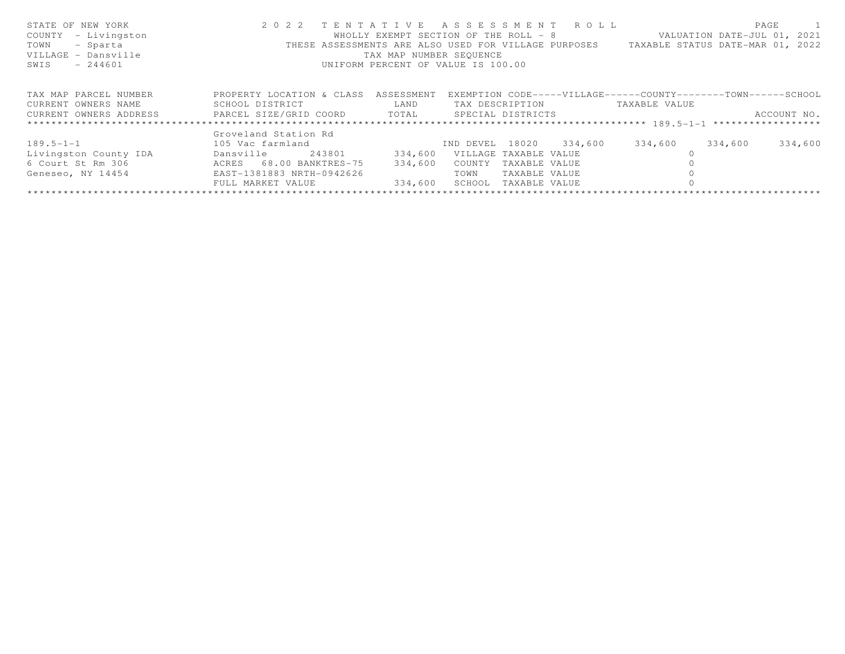| STATE OF NEW YORK                                                                 | 2022 TENTATIVE ASSESSMENT ROLL       |                                    |                       |               |                 |               | PAGE                                                                                  |
|-----------------------------------------------------------------------------------|--------------------------------------|------------------------------------|-----------------------|---------------|-----------------|---------------|---------------------------------------------------------------------------------------|
| COUNTY - Livingston                                                               |                                      |                                    |                       |               |                 |               | WHOLLY EXEMPT SECTION OF THE ROLL - 8 VALUATION DATE-JUL 01, 2021                     |
| TOWN<br>- Sparta                                                                  |                                      |                                    |                       |               |                 |               | THESE ASSESSMENTS ARE ALSO USED FOR VILLAGE PURPOSES TAXABLE STATUS DATE-MAR 01, 2022 |
| VILLAGE - Dansville                                                               |                                      | TAX MAP NUMBER SEQUENCE            |                       |               |                 |               |                                                                                       |
| SWIS<br>$-244601$                                                                 |                                      | UNIFORM PERCENT OF VALUE IS 100.00 |                       |               |                 |               |                                                                                       |
|                                                                                   |                                      |                                    |                       |               |                 |               |                                                                                       |
| TAX MAP PARCEL NUMBER                                                             | PROPERTY LOCATION & CLASS ASSESSMENT |                                    |                       |               |                 |               | EXEMPTION CODE-----VILLAGE------COUNTY--------TOWN------SCHOOL                        |
|                                                                                   |                                      |                                    |                       |               |                 |               |                                                                                       |
| CURRENT OWNERS NAME                                                               | SCHOOL DISTRICT                      | LAND                               |                       |               | TAX DESCRIPTION | TAXABLE VALUE |                                                                                       |
| CURRENT OWNERS ADDRESS     PARCEL SIZE/GRID COORD     TOTAL     SPECIAL DISTRICTS |                                      |                                    |                       |               |                 |               | ACCOUNT NO.                                                                           |
|                                                                                   |                                      |                                    |                       |               |                 |               |                                                                                       |
|                                                                                   | Groveland Station Rd                 |                                    |                       |               |                 |               |                                                                                       |
| $189.5 - 1 - 1$                                                                   | 105 Vac farmland                     | IND DEVEL 18020 334,600            |                       |               |                 | 334,600       | 334,600<br>334,600                                                                    |
| Livingston County IDA                                                             | Dansville 243801                     | 334,600                            | VILLAGE TAXABLE VALUE |               |                 |               |                                                                                       |
| 6 Court St Rm 306 6 ACRES 68.00 BANKTRES-75                                       |                                      | 334,600                            | COUNTY                | TAXABLE VALUE |                 |               |                                                                                       |
| Geneseo, NY 14454 EAST-1381883 NRTH-0942626                                       |                                      |                                    | TOWN                  | TAXABLE VALUE |                 |               |                                                                                       |
|                                                                                   | FULL MARKET VALUE                    | 334,600                            | SCHOOL TAXABLE VALUE  |               |                 |               |                                                                                       |
|                                                                                   |                                      |                                    |                       |               |                 |               |                                                                                       |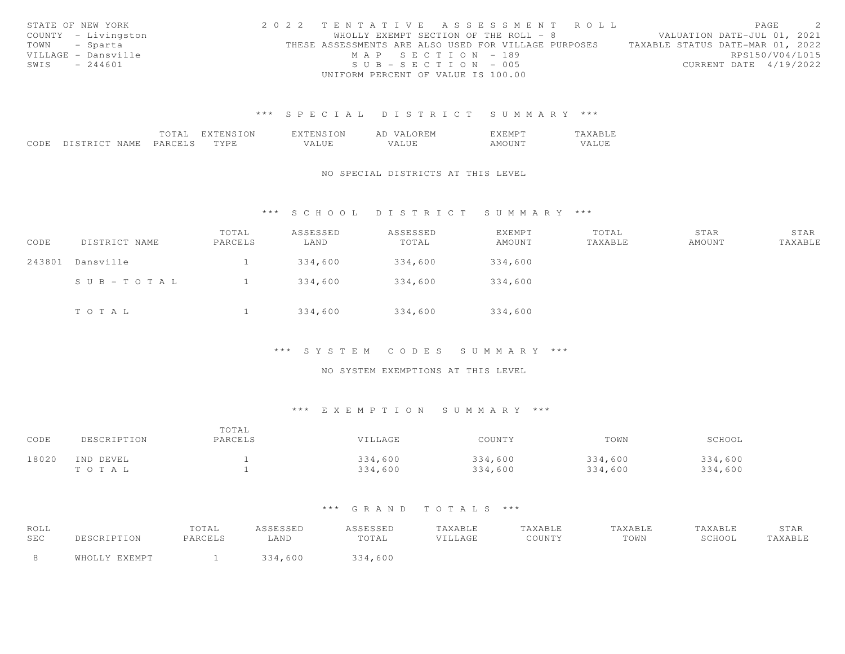| STATE OF NEW YORK   | 2022 TENTATIVE ASSESSMENT ROLL |                                                      |                       |  |                                  | PAGE            | $\sim$ 2 |
|---------------------|--------------------------------|------------------------------------------------------|-----------------------|--|----------------------------------|-----------------|----------|
| COUNTY - Livingston |                                | WHOLLY EXEMPT SECTION OF THE ROLL - 8                |                       |  | VALUATION DATE-JUL 01, 2021      |                 |          |
| TOWN - Sparta       |                                | THESE ASSESSMENTS ARE ALSO USED FOR VILLAGE PURPOSES |                       |  | TAXABLE STATUS DATE-MAR 01, 2022 |                 |          |
| VILLAGE - Dansville |                                |                                                      | MAP SECTION - 189     |  |                                  | RPS150/V04/L015 |          |
| SWIS - 244601       |                                |                                                      | $SUB - SECTION - 005$ |  | CURRENT DATE 4/19/2022           |                 |          |
|                     |                                | UNIFORM PERCENT OF VALUE IS 100.00                   |                       |  |                                  |                 |          |

|                                      |                  | $- - -$ | $\overline{1}$<br>'NI | $  -$<br>⊇N<br>- 18.1 | $\sqrt{2}$<br>AI        | . IVI |                          |
|--------------------------------------|------------------|---------|-----------------------|-----------------------|-------------------------|-------|--------------------------|
| QCDF<br>uude<br>$\sim$ $\sim$ $\sim$ | . IVI F<br>NL AL | PARI    | TVD                   | <b>TTT</b><br>▵       | $- - - -$<br>∸<br>----- | ו ועו | .<br>$^{\prime}$<br>ALUE |

## NO SPECIAL DISTRICTS AT THIS LEVEL

## \*\*\* S C H O O L D I S T R I C T S U M M A R Y \*\*\*

| CODE   | DISTRICT NAME | TOTAL<br>PARCELS | ASSESSED<br>LAND | ASSESSED<br>TOTAL | EXEMPT<br>AMOUNT | TOTAL<br>TAXABLE | STAR<br>AMOUNT | STAR<br>TAXABLE |
|--------|---------------|------------------|------------------|-------------------|------------------|------------------|----------------|-----------------|
| 243801 | Dansville     |                  | 334,600          | 334,600           | 334,600          |                  |                |                 |
|        | SUB-TOTAL     |                  | 334,600          | 334,600           | 334,600          |                  |                |                 |
|        | TOTAL         |                  | 334,600          | 334,600           | 334,600          |                  |                |                 |

#### \*\*\* S Y S T E M C O D E S S U M M A R Y \*\*\*

## NO SYSTEM EXEMPTIONS AT THIS LEVEL

## \*\*\* E X E M P T I O N S U M M A R Y \*\*\*

| CODE  | DESCRIPTION | TOTAL<br>PARCELS | VILLAGE | COUNTY  | TOWN    | SCHOOL  |
|-------|-------------|------------------|---------|---------|---------|---------|
| 18020 | IND DEVEL   |                  | 334,600 | 334,600 | 334,600 | 334,600 |
|       | TOTAL       |                  | 334,600 | 334,600 | 334,600 | 334,600 |

| ROLL |               | TOTAL   | ASSESSED | ASSESSED | TAXABLE | TAXABLE | TAXABLE | TAXABLE | STAR    |
|------|---------------|---------|----------|----------|---------|---------|---------|---------|---------|
| SEC  |               | PARCELS | LAND     | TOTAL    | VILLAGE | COUNTY  | TOWN    | SCHOOL  | "AXABLE |
|      | WHOLLY EXEMPT |         | 334,600  | 334,600  |         |         |         |         |         |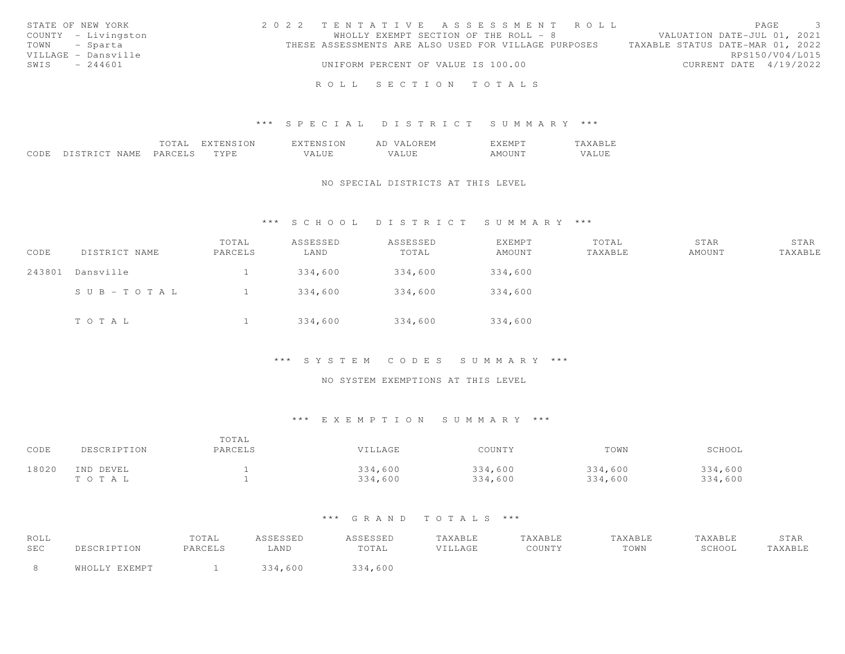| STATE OF NEW YORK   | 2022 TENTATIVE ASSESSMENT ROLL                       | $\mathbf{3}$<br>PAGE             |
|---------------------|------------------------------------------------------|----------------------------------|
| COUNTY - Livingston | WHOLLY EXEMPT SECTION OF THE ROLL - 8                | VALUATION DATE-JUL 01, 2021      |
| TOWN - Sparta       | THESE ASSESSMENTS ARE ALSO USED FOR VILLAGE PURPOSES | TAXABLE STATUS DATE-MAR 01, 2022 |
| VILLAGE - Dansville |                                                      | RPS150/V04/L015                  |
| SWIS - 244601       | UNIFORM PERCENT OF VALUE IS 100.00                   | CURRENT DATE 4/19/2022           |
|                     |                                                      |                                  |
|                     | ROLL SECTION TOTALS                                  |                                  |

|      |                     | ΤΑΙ     | ON<br>. <u>.</u> | T ON<br>'NL             | ∵∩RFM<br>AΓ<br>\/ Д I      | . F. M P             | $\overline{a}$ |
|------|---------------------|---------|------------------|-------------------------|----------------------------|----------------------|----------------|
| CODE | NAME.<br>DISTRICT N | PARCELS | TYDF<br>---      | U TIT<br>$\overline{A}$ | $T$ $T$ $T$<br>╯△<br>طالطة | $\sim$ $\sim$ $\sim$ | 'A LUF         |

#### NO SPECIAL DISTRICTS AT THIS LEVEL

## \*\*\* S C H O O L D I S T R I C T S U M M A R Y \*\*\*

| CODE   | DISTRICT NAME | TOTAL<br>PARCELS | ASSESSED<br>LAND | ASSESSED<br>TOTAL | EXEMPT<br>AMOUNT | TOTAL<br>TAXABLE | STAR<br>AMOUNT | STAR<br>TAXABLE |
|--------|---------------|------------------|------------------|-------------------|------------------|------------------|----------------|-----------------|
| 243801 | Dansville     |                  | 334,600          | 334,600           | 334,600          |                  |                |                 |
|        | SUB-TOTAL     |                  | 334,600          | 334,600           | 334,600          |                  |                |                 |
|        | TOTAL         |                  | 334,600          | 334,600           | 334,600          |                  |                |                 |

## \*\*\* S Y S T E M C O D E S S U M M A R Y \*\*\*

## NO SYSTEM EXEMPTIONS AT THIS LEVEL

## \*\*\* E X E M P T I O N S U M M A R Y \*\*\*

| CODE  | DESCRIPTION | TOTAL<br>PARCELS | VILLAGE | COUNTY  | TOWN    | SCHOOL  |
|-------|-------------|------------------|---------|---------|---------|---------|
| 18020 | IND DEVEL   |                  | 334,600 | 334,600 | 334,600 | 334,600 |
|       | тота L      |                  | 334,600 | 334,600 | 334,600 | 334,600 |

| ROLL<br>SEC | DESCRIPTION   | TOTAL<br>PARCELS | ASSESSED<br>LAND | ASSESSED<br>TOTAL | TAXABLE<br><b>VILLAGE</b> | TAXABLE<br>COUNTY | TAXABLE<br>TOWN | TAXABLE<br>SCHOOL | STAR<br>TAXABLE |
|-------------|---------------|------------------|------------------|-------------------|---------------------------|-------------------|-----------------|-------------------|-----------------|
|             | WHOLLY EXEMPT |                  | 334,600          | 334,600           |                           |                   |                 |                   |                 |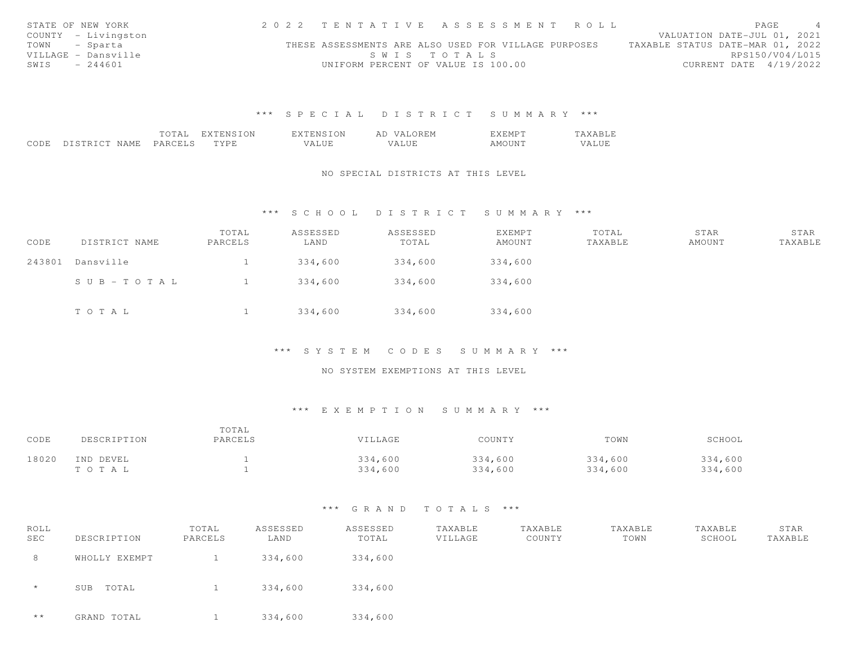| STATE OF NEW YORK   | 2022 TENTATTVE ASSESSMENT ROLL |                                                      |             |  |  |                                  | PAGE                        |  |
|---------------------|--------------------------------|------------------------------------------------------|-------------|--|--|----------------------------------|-----------------------------|--|
| COUNTY - Livingston |                                |                                                      |             |  |  |                                  | VALUATION DATE-JUL 01, 2021 |  |
| TOWN - Sparta       |                                | THESE ASSESSMENTS ARE ALSO USED FOR VILLAGE PURPOSES |             |  |  | TAXABLE STATUS DATE-MAR 01, 2022 |                             |  |
| VILLAGE - Dansville |                                |                                                      | SWIS TOTALS |  |  |                                  | RPS150/V04/L015             |  |
| SWIS - 244601       |                                | UNIFORM PERCENT OF VALUE IS 100.00                   |             |  |  |                                  | CURRENT DATE 4/19/2022      |  |

|              |                   | --- | $\overline{\phantom{a}}$ | $\overline{\phantom{a}}$<br>- 15.1 | $\prime$ $\prime$<br>AI | $\sim$ |           |
|--------------|-------------------|-----|--------------------------|------------------------------------|-------------------------|--------|-----------|
| QCDF<br>uude | . IVI F<br>$\sim$ | ΡΔ  | $\lambda$                | T T T<br>▵                         | $-77$<br>$\cdot$        | $\sim$ | 1 I V J F |

## NO SPECIAL DISTRICTS AT THIS LEVEL

## \*\*\* S C H O O L D I S T R I C T S U M M A R Y \*\*\*

| CODE   | DISTRICT NAME | TOTAL<br>PARCELS | ASSESSED<br>LAND | ASSESSED<br>TOTAL | <b>EXEMPT</b><br>AMOUNT | TOTAL<br>TAXABLE | STAR<br>AMOUNT | STAR<br>TAXABLE |
|--------|---------------|------------------|------------------|-------------------|-------------------------|------------------|----------------|-----------------|
| 243801 | Dansville     |                  | 334,600          | 334,600           | 334,600                 |                  |                |                 |
|        | SUB-TOTAL     |                  | 334,600          | 334,600           | 334,600                 |                  |                |                 |
|        | TOTAL         |                  | 334,600          | 334,600           | 334,600                 |                  |                |                 |

## \*\*\* S Y S T E M C O D E S S U M M A R Y \*\*\*

## NO SYSTEM EXEMPTIONS AT THIS LEVEL

## \*\*\* E X E M P T I O N S U M M A R Y \*\*\*

| CODE  | DESCRIPTION | TOTAL<br>PARCELS | VILLAGE | COUNTY  | TOWN    | SCHOOL  |
|-------|-------------|------------------|---------|---------|---------|---------|
| 18020 | IND DEVEL   |                  | 334,600 | 334,600 | 334,600 | 334,600 |
|       | TOTAL       |                  | 334,600 | 334,600 | 334,600 | 334,600 |

| ROLL<br><b>SEC</b> | DESCRIPTION   | TOTAL<br>PARCELS | ASSESSED<br>LAND | ASSESSED<br>TOTAL | TAXABLE<br>VILLAGE | TAXABLE<br>COUNTY | TAXABLE<br>TOWN | TAXABLE<br>SCHOOL | STAR<br>TAXABLE |
|--------------------|---------------|------------------|------------------|-------------------|--------------------|-------------------|-----------------|-------------------|-----------------|
| 8                  | WHOLLY EXEMPT |                  | 334,600          | 334,600           |                    |                   |                 |                   |                 |
| $\star$            | TOTAL<br>SUB  |                  | 334,600          | 334,600           |                    |                   |                 |                   |                 |
| $* *$              | GRAND TOTAL   |                  | 334,600          | 334,600           |                    |                   |                 |                   |                 |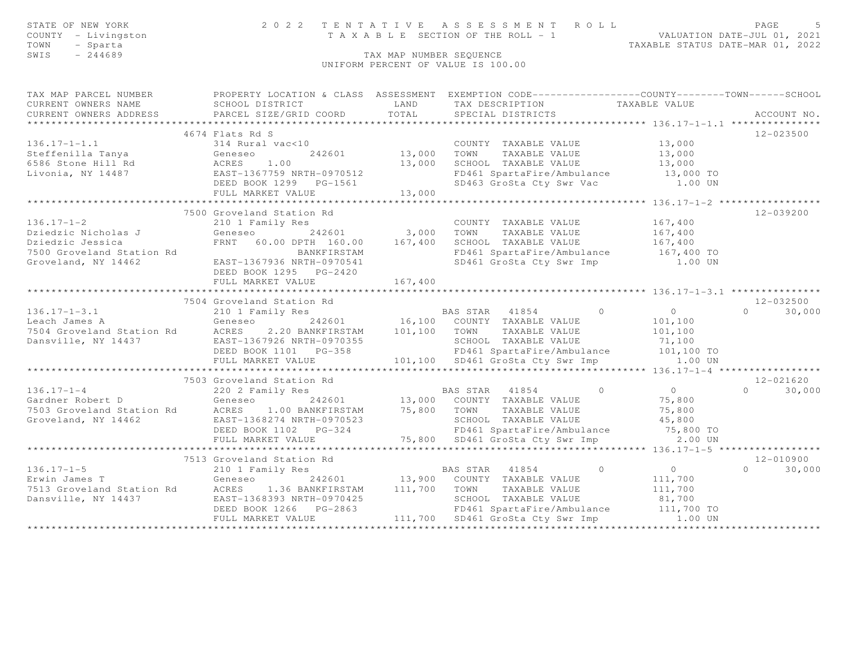| STATE OF NEW YORK<br>COUNTY - Livingston<br>TOWN<br>- Sparta<br>SWIS<br>$-244689$ |                                                                                                                                                                                                                                                                                                                                                                                     | TAX MAP NUMBER SEQUENCE | TENTATIVE ASSESSMENT ROLL PAGE 5<br>TAXABLE SECTION OF THE ROLL - 1 VALUATION DATE-JUL 01, 2021<br>TAXABLE STATUS DATE-MAR 01, 2022<br>2022 TENTATIVE ASSESSMENT ROLL<br>UNIFORM PERCENT OF VALUE IS 100.00 |                            |
|-----------------------------------------------------------------------------------|-------------------------------------------------------------------------------------------------------------------------------------------------------------------------------------------------------------------------------------------------------------------------------------------------------------------------------------------------------------------------------------|-------------------------|-------------------------------------------------------------------------------------------------------------------------------------------------------------------------------------------------------------|----------------------------|
| CURRENT OWNERS NAME<br>CURRENT OWNERS ADDRESS                                     | TAX MAP PARCEL NUMBER FROPERTY LOCATION & CLASS ASSESSMENT EXEMPTION CODE---------------COUNTY-------TOWN-----SCHOOL<br>SCHOOL DISTRICT<br>PARCEL SIZE/GRID COORD                                                                                                                                                                                                                   |                         | LAND TAX DESCRIPTION TAXABLE VALUE<br>TOTAL SPECIAL DISTRICTS                                                                                                                                               | ACCOUNT NO.                |
|                                                                                   | 4674 Flats Rd S                                                                                                                                                                                                                                                                                                                                                                     |                         |                                                                                                                                                                                                             | 12-023500                  |
|                                                                                   | 136.17-1-1.1<br>314 Rural vac<10<br>314 Rural vac<10<br>42601 13,000 TOWN TAXABLE VALUE 13,000<br>42601 13,000 TOWN TAXABLE VALUE 13,000<br>5586 Stone Hill Rd ACRES 1.00 13,000 SCHOOL TAXABLE VALUE 13,000<br>43,000 SCHOOL TAXABLE VALU<br>FULL MARKET VALUE 13,000                                                                                                              |                         | 13,000 1000 12000 12000 12000 12000 12000 12000 12000 13,000 13,000 13,000 13<br>SD463 GroSta Cty Swr Vac 1.00 UN                                                                                           |                            |
|                                                                                   |                                                                                                                                                                                                                                                                                                                                                                                     |                         |                                                                                                                                                                                                             |                            |
| $136.17 - 1 - 2$                                                                  | 7500 Groveland Station Rd<br>210 1 Family Res<br>Dziedzic Nicholas J (1993)<br>Dziedzic Jessica (167,400 FRNT 60.00 DPTH 160.00 167,400 SCHOOL TAXABLE VALUE 167,400<br>T500 Groveland Station Rd BANKFIRSTAM (167,400 FD461 SpartaFire/Ambulance 167,400 TOWN TAXABLE VALUE 167,400<br><br>BANKFIRSTAM<br>EAST-1367936 NRTH-0970541<br>DEED BOOK 1295 PG-2420<br>FULL MARKET VALUE | 167,400                 | COUNTY TAXABLE VALUE 167,400                                                                                                                                                                                | 12-039200                  |
|                                                                                   |                                                                                                                                                                                                                                                                                                                                                                                     |                         |                                                                                                                                                                                                             |                            |
|                                                                                   |                                                                                                                                                                                                                                                                                                                                                                                     |                         |                                                                                                                                                                                                             | $12 - 032500$              |
|                                                                                   | 7504 Groveland Station Rd<br>136.17-1-3.1 210 1 Family Res<br>Eeach James A Geneseo 242601 16,100 COUNTY TAXABLE VALUE 101,100<br>7504 Groveland Station Rd ACRES 2.20 BANKFIRSTAM 101,100 TOWN TAXABLE VALUE 101,100<br>Dansville, NY                                                                                                                                              |                         |                                                                                                                                                                                                             | $0 \t 30,000$              |
|                                                                                   |                                                                                                                                                                                                                                                                                                                                                                                     |                         |                                                                                                                                                                                                             |                            |
|                                                                                   | 7503 Groveland Station Rd<br>136.17-1-4<br>Gardner Robert D<br>Ceneseo 242601 13,000 COUNTY TAXABLE VALUE 75,800<br>T503 Groveland Station Rd<br>Groveland, NY 14462 EAST-1368274 NRTH-0970523 5CHOOL TAXABLE VALUE 75,800<br>DEED BOOK 1102 PG-324 FD461 SpartaFire                                                                                                                |                         |                                                                                                                                                                                                             | 12-021620<br>$0 \t 30,000$ |
|                                                                                   |                                                                                                                                                                                                                                                                                                                                                                                     |                         |                                                                                                                                                                                                             |                            |
|                                                                                   | 7513 Groveland Station Rd<br>136.17-1-5<br>Erwin James T<br>Ceneseo 242601 13,900 COUNTY TAXABLE VALUE<br>7513 Groveland Station Rd<br>26.17-1-5<br>7513 Groveland Station Rd<br>26.17-1-5<br>76.17-1-5<br>26.17-1-5<br>26.17-1-5<br>26.17-1-5<br>26.17-1-5<br>26.17-1-700 2011<br>2                                                                                                |                         |                                                                                                                                                                                                             | 12-010900<br>$0 \t 30,000$ |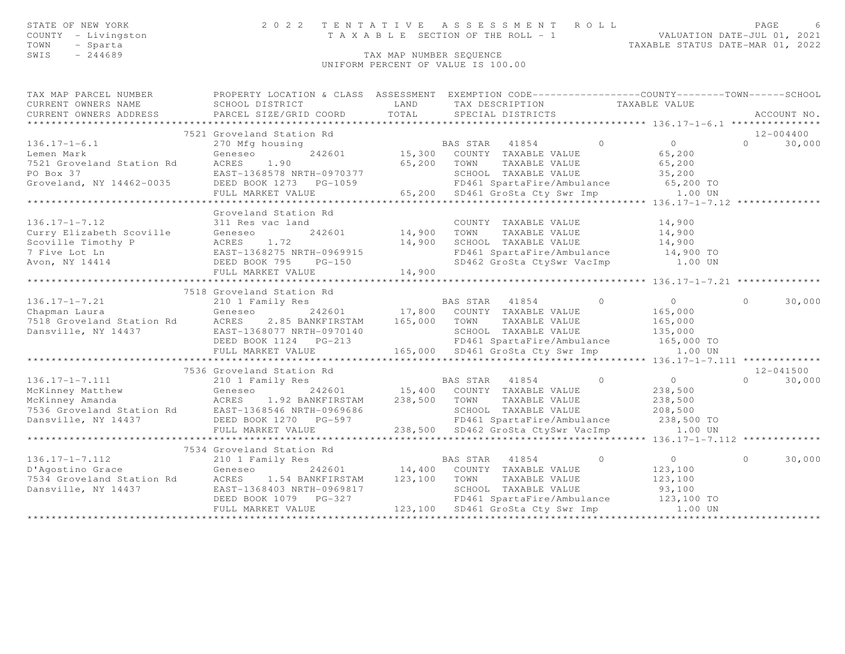| STATE OF NEW YORK   |  | 2022 TENTATIVE ASSESSMENT ROLL        | PAGE                        |  |
|---------------------|--|---------------------------------------|-----------------------------|--|
| COUNTY - Livingston |  | T A X A B L E SECTION OF THE ROLL - 1 | VALUATION DATE-JUL 01, 2021 |  |

 TOWN - Sparta TAXABLE STATUS DATE-MAR 01, 2022TOWN - Sparta<br>SWIS - 244689 TAX MAP NUMBER SEQUENCE

UNIFORM PERCENT OF VALUE IS 100.00

| TAX MAP PARCEL NUMBER<br>CURRENT OWNERS NAME<br>CURRENT OWNERS ADDRESS                                                                                                                                                                                     | PROPERTY LOCATION & CLASS ASSESSMENT EXEMPTION CODE-----------------COUNTY-------TOWN------SCHOOL<br>SCHOOL DISTRICT<br>PARCEL SIZE/GRID COORD                                                                                 | LAND<br>TOTAL                     | TAX DESCRIPTION TAXABLE VALUE<br>SPECIAL DISTRICTS                                                                                                                                                                |                                                        |                                                 |          | ACCOUNT NO. |
|------------------------------------------------------------------------------------------------------------------------------------------------------------------------------------------------------------------------------------------------------------|--------------------------------------------------------------------------------------------------------------------------------------------------------------------------------------------------------------------------------|-----------------------------------|-------------------------------------------------------------------------------------------------------------------------------------------------------------------------------------------------------------------|--------------------------------------------------------|-------------------------------------------------|----------|-------------|
|                                                                                                                                                                                                                                                            | 7521 Groveland Station Rd                                                                                                                                                                                                      |                                   |                                                                                                                                                                                                                   |                                                        |                                                 |          | 12-004400   |
| $136.17 - 1 - 6.1$<br>7521 Groveland Station Rd<br>PO Box 37<br>Groveland, NY 14462-0035                                                                                                                                                                   | 270 Mfg housing<br>Geneseo<br>ACRES<br>1.90<br>EAST-1368578 NRTH-0970377<br>EED BOOK 1273 PG-1059 FD461 SpartaFire/Ambulance 65,200 TO<br>FULL MARKET VALUE 65,200 SD461 GroSta Cty Swr Imp 1.00 UN                            | 65,200 TOWN                       | BAS STAR 41854<br>242601 15,300 COUNTY TAXABLE VALUE<br>TAXABLE VALUE                                                                                                                                             | $\overline{0}$                                         | $\overline{0}$<br>65,200<br>65,200              | $\cap$   | 30,000      |
|                                                                                                                                                                                                                                                            |                                                                                                                                                                                                                                |                                   |                                                                                                                                                                                                                   |                                                        |                                                 |          |             |
| $136.17 - 1 - 7.12$<br>Curry Elizabeth Scoville<br>Scoville Timothy P<br>7 Five Lot Ln<br>AVON, NY 14414<br>2 EAST-1368275 NRTH-0969915<br>DEED BOOK 795 PG-150                                                                                            | Groveland Station Rd<br>311 Res vac land<br>Geneseo<br>FULL MARKET VALUE                                                                                                                                                       | 1<br>242601 14,900 TOWN<br>14,900 | COUNTY TAXABLE VALUE 14,900<br>TAXABLE VALUE<br>14,900 SCHOOL TAXABLE VALUE 1969915<br>TH-0969915 FD461 SpartaFire/Ambulates 14,900<br>FD461 SpartaFire/Ambulance 14,900 TO<br>SD462 GroSta CtySwr VacImp 1.00 UN |                                                        | 14,900                                          |          |             |
|                                                                                                                                                                                                                                                            |                                                                                                                                                                                                                                |                                   |                                                                                                                                                                                                                   |                                                        |                                                 |          |             |
| $136.17 - 1 - 7.21$<br>Chapman Laura<br>7518 Groveland Station Rd 17,800 COUNTY<br>7518 Groveland Station Rd 165,000 TOWN 2015 CHOOL 2015 EAST-1368077 NRTH-0970140 2016<br>Dansville, NY 14437                                                            | 7518 Groveland Station Rd<br>210 1 Family Res<br>EAST-1368077 NRTH-0970140<br>DEED BOOK 1124 PG-213                                                                                                                            |                                   | <b>BAS STAR 41854</b><br>242601 17,800 COUNTY TAXABLE VALUE<br>TAXABLE VALUE<br>SCHOOL TAXABLE VALUE<br>FD461 SpartaFire/Ambulance 165,000 TO                                                                     | $\begin{array}{ccc} & & & 0 & \quad & & 0 \end{array}$ | 165,000<br>165,000<br>135,000                   | $\Omega$ | 30,000      |
|                                                                                                                                                                                                                                                            |                                                                                                                                                                                                                                |                                   |                                                                                                                                                                                                                   |                                                        |                                                 |          | 12-041500   |
| $136.17 - 1 - 7.111$<br>McKinney Matthew Geneseo 242601 15,400 COUNTY TAXABLE VALUE 238,500<br>McKinney Amanda ACRES 1.92 BANKFIRSTAM 238,500 TOWN TAXABLE VALUE 238,500<br>7536 Groveland Station Rd EAST-1368546 NRTH-0969686 SCHOOL TAXABLE VALUE 208,5 | 7536 Groveland Station Rd<br>210 1 Family Res                                                                                                                                                                                  | BAS STAR                          | 41854<br>FD461 SpartaFire/Ambulance 238,500 TO                                                                                                                                                                    | $\Omega$                                               | $\overline{0}$                                  | $\cap$   | 30,000      |
|                                                                                                                                                                                                                                                            | 7534 Groveland Station Rd                                                                                                                                                                                                      |                                   |                                                                                                                                                                                                                   |                                                        |                                                 |          |             |
| $136.17 - 1 - 7.112$<br>D'Agostino Grace<br>7534 Groveland Station Rd<br>Dansville, NY 14437                                                                                                                                                               | 210 1 Family Res<br>Geneseo<br>ACRES 1.54 BANKFIRSTAM 123,100 TOWN<br>EAST-1368403 NRTH-0969817 SCHOOL TAXABLE VALUE<br>DEED BOOK 1079 PG-327 FD461 SpartaFire/Ambulance<br>FULL MARKET VALUE 123,100 SD461 GroSta Cty Swr Imp |                                   | BAS STAR 41854<br>$242601$ 14,400 COUNTY TAXABLE VALUE<br>TAXABLE VALUE<br>FD461 SpartaFire/Ambulance 123,100 TO                                                                                                  | $\circ$<br>93,100                                      | $\overline{0}$<br>123,100<br>123,100<br>1.00 UN | $\Omega$ | 30,000      |
|                                                                                                                                                                                                                                                            |                                                                                                                                                                                                                                |                                   |                                                                                                                                                                                                                   |                                                        |                                                 |          |             |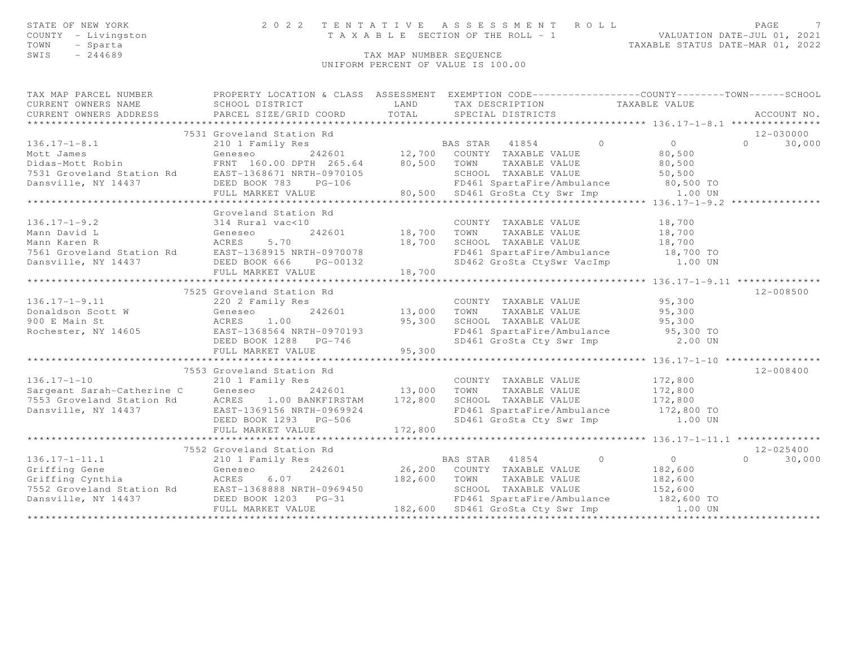| STATE OF NEW YORK   | 2022 TENTATIVE ASSESSMENT ROLL        |  |  |                                  | PAGE |  |
|---------------------|---------------------------------------|--|--|----------------------------------|------|--|
| COUNTY - Livingston | T A X A B L E SECTION OF THE ROLL - 1 |  |  | VALUATION DATE-JUL 01, 2021      |      |  |
| TOWN - Sparta       |                                       |  |  | TAXABLE STATUS DATE-MAR 01, 2022 |      |  |
| SWIS<br>$-244689$   | TAX MAP NUMBER SEOUENCE               |  |  |                                  |      |  |

TAX MAP NUMBER SEQUENCE UNIFORM PERCENT OF VALUE IS 100.00

| TAX MAP PARCEL NUMBER<br>CURRENT OWNERS NAME<br>CURRENT OWNERS ADDRESS                                             | SCHOOL DISTRICT<br>PARCEL SIZE/GRID COORD | LAND<br>TOTAL | PROPERTY LOCATION & CLASS ASSESSMENT EXEMPTION CODE----------------COUNTY-------TOWN-----SCHOOL<br>TAX DESCRIPTION TAXABLE VALUE<br>SPECIAL DISTRICTS |                    | ACCOUNT NO.        |
|--------------------------------------------------------------------------------------------------------------------|-------------------------------------------|---------------|-------------------------------------------------------------------------------------------------------------------------------------------------------|--------------------|--------------------|
|                                                                                                                    | 7531 Groveland Station Rd                 |               |                                                                                                                                                       |                    | 12-030000          |
| $136.17 - 1 - 8.1$                                                                                                 | 210 1 Family Res                          |               | $\bigcirc$                                                                                                                                            | $\bigcirc$         | $\Omega$<br>30,000 |
| Mott James                                                                                                         | Geneseo                                   |               | EXTERM 1854<br>12,700 COUNTY TAXABLE VALUE                                                                                                            | 80,500             |                    |
| Didas-Mott Robin                                                                                                   | FRNT 160.00 DPTH 265.64 80,500            |               | TOWN<br>TAXABLE VALUE                                                                                                                                 | 80,500             |                    |
| 7531 Groveland Station Rd<br>Dansville, NY 14437 DEED BOOK 783 PG-106                                              |                                           |               | SCHOOL TAXABLE VALUE                                                                                                                                  | 50,500             |                    |
|                                                                                                                    |                                           |               | FD461 SpartaFire/Ambulance 30,500 TO                                                                                                                  |                    |                    |
|                                                                                                                    | FULL MARKET VALUE                         |               | 80,500 SD461 GroSta Cty Swr Imp 1.00 UN                                                                                                               |                    |                    |
|                                                                                                                    |                                           |               |                                                                                                                                                       |                    |                    |
|                                                                                                                    | Groveland Station Rd                      |               |                                                                                                                                                       |                    |                    |
| $136.17 - 1 - 9.2$                                                                                                 | 314 Rural vac<10                          |               | COUNTY TAXABLE VALUE                                                                                                                                  | 18,700             |                    |
|                                                                                                                    |                                           | 242601 18,700 | TOWN<br>TAXABLE VALUE                                                                                                                                 | 18,700             |                    |
|                                                                                                                    |                                           | 18,700        | SCHOOL TAXABLE VALUE                                                                                                                                  | 18,700             |                    |
|                                                                                                                    |                                           |               | FD461 SpartaFire/Ambulance 18,700 TO                                                                                                                  |                    |                    |
| Dansville, NY 14437                                                                                                | DEED BOOK 666 PG-00132                    |               | SD462 GroSta CtySwr VacImp 1.00 UN                                                                                                                    |                    |                    |
|                                                                                                                    | FULL MARKET VALUE                         | 18,700        |                                                                                                                                                       |                    |                    |
|                                                                                                                    |                                           |               |                                                                                                                                                       |                    |                    |
|                                                                                                                    | 7525 Groveland Station Rd                 |               |                                                                                                                                                       |                    | $12 - 008500$      |
| $136.17 - 1 - 9.11$                                                                                                | 220 2 Family Res                          |               | COUNTY TAXABLE VALUE                                                                                                                                  | 95,300             |                    |
| Donaldson Scott W                                                                                                  | 242601<br>Geneseo<br>ACRES 1.00           | 13,000        | TAXABLE VALUE<br>TOWN                                                                                                                                 | 95,300             |                    |
| 900 E Main St                                                                                                      |                                           | 95,300        | SCHOOL TAXABLE VALUE                                                                                                                                  | 95,300             |                    |
| Rochester, NY 14605 EAST-1368564 NRTH-0970193                                                                      |                                           |               | FD461 SpartaFire/Ambulance 95,300 TO                                                                                                                  |                    |                    |
|                                                                                                                    | DEED BOOK 1288 PG-746                     |               | SD461 GroSta Cty Swr Imp 2.00 UN                                                                                                                      |                    |                    |
|                                                                                                                    | FULL MARKET VALUE                         | 95,300        |                                                                                                                                                       |                    |                    |
|                                                                                                                    |                                           |               |                                                                                                                                                       |                    |                    |
|                                                                                                                    | 7553 Groveland Station Rd                 |               |                                                                                                                                                       |                    | $12 - 008400$      |
| $136.17 - 1 - 10$                                                                                                  | 210 1 Family Res                          |               | COUNTY TAXABLE VALUE                                                                                                                                  | 172,800            |                    |
| Sargeant Sarah-Catherine C Geneseo                                                                                 |                                           | 242601 13,000 | TAXABLE VALUE<br>TOWN                                                                                                                                 | 172,800            |                    |
| 7553 Groveland Station Rd                                                                                          | ACRES 1.00 BANKFIRSTAM                    | 172,800       |                                                                                                                                                       |                    |                    |
| Dansville, NY 14437                                                                                                | EAST-1369156 NRTH-0969924                 |               |                                                                                                                                                       |                    |                    |
|                                                                                                                    | DEED BOOK 1293 PG-506                     |               | SCHOOL TAXABLE VALUE 172,800<br>FD461 SpartaFire/Ambulance 172,800 TO<br>SD461 GroSta Cty Swr Imp 1.00 UN                                             |                    |                    |
|                                                                                                                    | FULL MARKET VALUE                         | 172,800       |                                                                                                                                                       |                    |                    |
|                                                                                                                    | 7552 Groveland Station Rd                 |               |                                                                                                                                                       |                    | $12 - 025400$      |
|                                                                                                                    |                                           |               | $\sim$ 0                                                                                                                                              | $\overline{0}$     | $\Omega$           |
| $136.17 - 1 - 11.1$                                                                                                | 210 1 Family Res                          |               | BAS STAR 41854                                                                                                                                        |                    | 30,000             |
| Griffing Gene Geneseo 242601<br>Griffing Cynthia ACRES 6.07<br>7552 Groveland Station Rd EAST-1368888 NRTH-0969450 |                                           | 182,600 TOWN  | 26,200 COUNTY TAXABLE VALUE<br>TAXABLE VALUE                                                                                                          | 182,600<br>182,600 |                    |
|                                                                                                                    |                                           |               | SCHOOL TAXABLE VALUE                                                                                                                                  | 152,600            |                    |
| Dansville, NY 14437                                                                                                | DEED BOOK 1203 PG-31                      |               | FD461 SpartaFire/Ambulance 182,600 TO                                                                                                                 |                    |                    |
|                                                                                                                    | FULL MARKET VALUE                         |               | 182,600 SD461 GroSta Cty Swr Imp 1.00 UN                                                                                                              |                    |                    |
|                                                                                                                    |                                           |               |                                                                                                                                                       |                    |                    |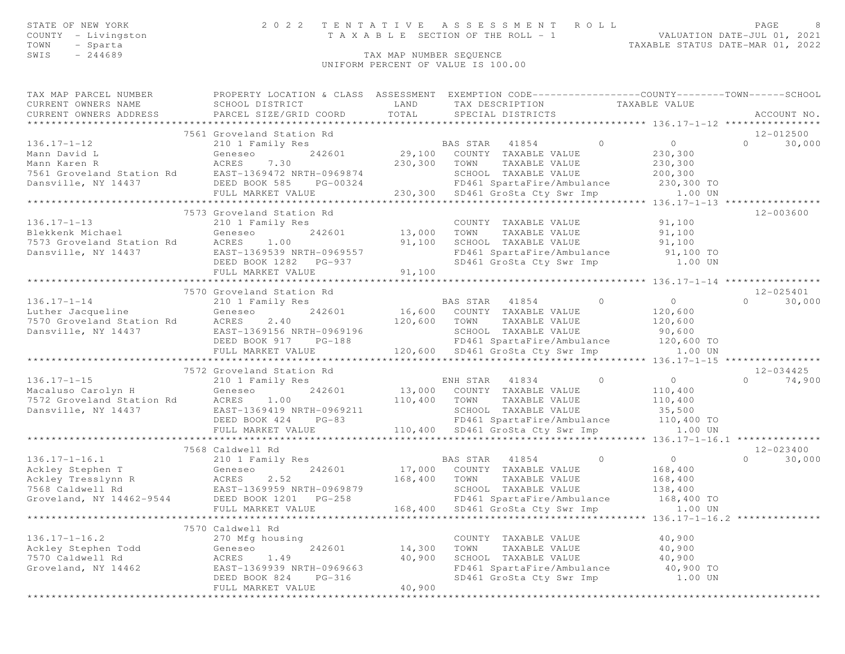| STATE OF NEW YORK   | 2022 TENTATIVE ASSESSMENT ROLL        | PAGE.                                                                                                           |  |
|---------------------|---------------------------------------|-----------------------------------------------------------------------------------------------------------------|--|
| COUNTY - Livingston | T A X A B L E SECTION OF THE ROLL - 1 | VALUATION DATE-JUL 01, 2021                                                                                     |  |
|                     |                                       | the contract of the contract of the contract of the contract of the contract of the contract of the contract of |  |

SWIS - 244689 CONTROL EXAMPLE TAX MAP NUMBER SEQUENCE

UNIFORM PERCENT OF VALUE IS 100.00

| TOWN | Sparta | TAXABLE STATUS DATE-MAR 01, 2022 |  |
|------|--------|----------------------------------|--|

| TAX MAP PARCEL NUMBER<br>CURRENT OWNERS NAME<br>CURRENT OWNERS ADDRESS | PROPERTY LOCATION & CLASS<br>SCHOOL DISTRICT<br>PARCEL SIZE/GRID COORD | ASSESSMENT<br>LAND<br>TOTAL |          | EXEMPTION CODE-----------------COUNTY-------TOWN------SCHOOL<br>TAX DESCRIPTION<br>SPECIAL DISTRICTS |          | TAXABLE VALUE                      |          | ACCOUNT NO.   |
|------------------------------------------------------------------------|------------------------------------------------------------------------|-----------------------------|----------|------------------------------------------------------------------------------------------------------|----------|------------------------------------|----------|---------------|
|                                                                        |                                                                        |                             |          |                                                                                                      |          |                                    |          |               |
|                                                                        | 7561 Groveland Station Rd                                              |                             |          |                                                                                                      |          |                                    |          | $12 - 012500$ |
| $136.17 - 1 - 12$                                                      | 210 1 Family Res                                                       |                             | BAS STAR | 41854                                                                                                | $\Omega$ | $\bigcirc$                         | $\Omega$ | 30,000        |
| Mann David L                                                           | 242601<br>Geneseo                                                      | 29,100                      | COUNTY   | TAXABLE VALUE                                                                                        |          | 230,300                            |          |               |
| Mann Karen R                                                           | ACRES 7.30                                                             | 230,300                     | TOWN     | TAXABLE VALUE                                                                                        |          | 230,300                            |          |               |
| 7561 Groveland Station Rd                                              | EAST-1369472 NRTH-0969874                                              |                             | SCHOOL   | TAXABLE VALUE                                                                                        |          | 200,300                            |          |               |
| Dansville, NY 14437                                                    | PG-00324<br>DEED BOOK 585                                              |                             |          | FD461 SpartaFire/Ambulance                                                                           |          | 230,300 TO                         |          |               |
|                                                                        | FULL MARKET VALUE                                                      | 230,300                     |          | SD461 GroSta Cty Swr Imp                                                                             |          | 1.00 UN                            |          |               |
|                                                                        |                                                                        |                             |          |                                                                                                      |          | $136.17 - 1 - 13$ **************** |          |               |
|                                                                        |                                                                        |                             |          |                                                                                                      |          |                                    |          | .             |

|                                             | FULL MARKET VALUE                                                                                                                            |         |                | 230,300 SD461 GroSta Cty Swr Imp 1.00 UN |                |                |          |               |
|---------------------------------------------|----------------------------------------------------------------------------------------------------------------------------------------------|---------|----------------|------------------------------------------|----------------|----------------|----------|---------------|
|                                             |                                                                                                                                              |         |                |                                          |                |                |          |               |
|                                             | 7573 Groveland Station Rd                                                                                                                    |         |                |                                          |                |                |          | $12 - 003600$ |
| $136.17 - 1 - 13$                           | 210 1 Family Res                                                                                                                             |         |                | COUNTY TAXABLE VALUE                     |                | 91,100         |          |               |
|                                             |                                                                                                                                              | 13,000  | TOWN           | TAXABLE VALUE                            |                | 91,100         |          |               |
|                                             |                                                                                                                                              | 91,100  |                | SCHOOL TAXABLE VALUE                     |                | 91,100         |          |               |
|                                             |                                                                                                                                              |         |                | FD461 SpartaFire/Ambulance 91,100 TO     |                |                |          |               |
|                                             | DEED BOOK 1282 PG-937                                                                                                                        |         |                | SD461 GroSta Cty Swr Imp 1.00 UN         |                |                |          |               |
|                                             | FULL MARKET VALUE                                                                                                                            | 91,100  |                |                                          |                |                |          |               |
|                                             | **************************                                                                                                                   |         |                |                                          |                |                |          |               |
|                                             | 7570 Groveland Station Rd                                                                                                                    |         |                |                                          |                |                |          | 12-025401     |
| $136.17 - 1 - 14$                           | 210 1 Family Res                                                                                                                             |         |                | BAS STAR 41854                           | $\overline{0}$ | $\overline{0}$ | $\cap$   | 30,000        |
| Luther Jacqueline <b>Example 18</b> Geneseo |                                                                                                                                              |         |                | 242601 16,600 COUNTY TAXABLE VALUE       |                | 120,600        |          |               |
| 7570 Groveland Station Rd ACRES             | 2.40                                                                                                                                         | 120,600 | TOWN           | TAXABLE VALUE                            |                | 120,600        |          |               |
| Dansville, NY 14437                         | EAST-1369156 NRTH-0969196                                                                                                                    |         |                | SCHOOL TAXABLE VALUE                     |                | 90,600         |          |               |
|                                             | DEED BOOK 917 PG-188                                                                                                                         |         |                | FD461 SpartaFire/Ambulance               |                | 120,600 TO     |          |               |
|                                             | FULL MARKET VALUE                                                                                                                            |         |                | 120,600 SD461 GroSta Cty Swr Imp         |                | 1.00 UN        |          |               |
|                                             |                                                                                                                                              |         |                |                                          |                |                |          |               |
|                                             | 7572 Groveland Station Rd                                                                                                                    |         |                |                                          |                |                |          | $12 - 034425$ |
|                                             |                                                                                                                                              |         |                | ENH STAR 41834 0                         |                | $\overline{0}$ |          | $0 \t 74,900$ |
|                                             | 136.17-1-15<br>Macaluso Carolyn H (Seneseo 242601<br>7572 Groveland Station Rd (ACRES 1.00<br>Danswille, NY 14437 (EAST-1369419 NRTH-0969211 |         |                | 242601 13,000 COUNTY TAXABLE VALUE       |                | 110,400        |          |               |
|                                             |                                                                                                                                              | 110,400 | TOWN           | TAXABLE VALUE                            |                | 110,400        |          |               |
|                                             |                                                                                                                                              |         |                | SCHOOL TAXABLE VALUE                     |                | 35,500         |          |               |
|                                             | DEED BOOK 424<br>$PG-83$                                                                                                                     |         |                | FD461 SpartaFire/Ambulance 110,400 TO    |                |                |          |               |
|                                             | FULL MARKET VALUE                                                                                                                            |         |                | 110,400 SD461 GroSta Cty Swr Imp 1.00 UN |                |                |          |               |
|                                             |                                                                                                                                              |         |                |                                          |                |                |          |               |
|                                             | 7568 Caldwell Rd                                                                                                                             |         |                |                                          |                |                |          | 12-023400     |
| $136.17 - 1 - 16.1$                         | 210 1 Family Res                                                                                                                             |         | BAS STAR 41854 |                                          | $\overline{0}$ | $\overline{0}$ | $\Omega$ | 30,000        |
| Geneseo<br>Ackley Stephen T                 |                                                                                                                                              |         |                | 242601 17,000 COUNTY TAXABLE VALUE       |                | 168,400        |          |               |
|                                             |                                                                                                                                              | 168,400 | TOWN           | TAXABLE VALUE                            |                | 168,400        |          |               |
|                                             |                                                                                                                                              |         |                | SCHOOL TAXABLE VALUE                     |                | 138,400        |          |               |
|                                             |                                                                                                                                              |         |                | FD461 SpartaFire/Ambulance               |                | 168,400 TO     |          |               |
|                                             | FULL MARKET VALUE                                                                                                                            |         |                | 168,400 SD461 GroSta Cty Swr Imp 1.00 UN |                |                |          |               |
|                                             |                                                                                                                                              |         |                |                                          |                |                |          |               |
|                                             | 7570 Caldwell Rd                                                                                                                             |         |                |                                          |                |                |          |               |
| $136.17 - 1 - 16.2$                         | 270 Mfg housing                                                                                                                              |         |                | COUNTY TAXABLE VALUE                     |                | 40,900         |          |               |
| Ackley Stephen Todd                         | 242601<br>Geneseo                                                                                                                            | 14,300  |                | TOWN TAXABLE VALUE                       |                | 40,900         |          |               |
| 7570 Caldwell Rd                            | 1.49<br>ACRES                                                                                                                                | 40,900  |                | SCHOOL TAXABLE VALUE                     |                | 40,900         |          |               |
| Groveland, NY 14462                         | EAST-1369939 NRTH-0969663                                                                                                                    |         |                | FD461 SpartaFire/Ambulance 40,900 TO     |                |                |          |               |
|                                             | DEED BOOK 824<br>$PG-316$                                                                                                                    |         |                | SD461 GroSta Cty Swr Imp 1.00 UN         |                |                |          |               |
|                                             | FULL MARKET VALUE                                                                                                                            | 40,900  |                |                                          |                |                |          |               |
|                                             |                                                                                                                                              |         |                |                                          |                |                |          |               |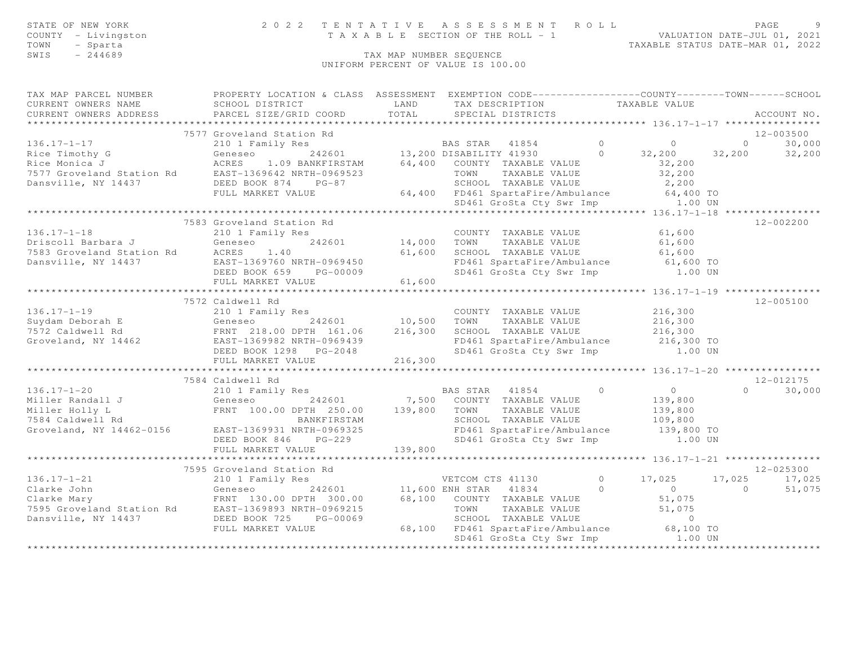| STATE OF NEW YORK<br>COUNTY - Livingston                                                                                                                                                                                                   |                                                               |       | PAGE 9 7 2 2 3 1 E N T A T I V E A S S E S S M E N T R O L L<br>T A X A B L E SECTION OF THE ROLL - 1 VALUATION DATE-JUL 01, 2021<br>TAXABLE STATUS DATE-MAR 01, 2022 |                      |                                                    |
|--------------------------------------------------------------------------------------------------------------------------------------------------------------------------------------------------------------------------------------------|---------------------------------------------------------------|-------|-----------------------------------------------------------------------------------------------------------------------------------------------------------------------|----------------------|----------------------------------------------------|
| TOWN<br>- Sparta                                                                                                                                                                                                                           |                                                               |       |                                                                                                                                                                       |                      |                                                    |
| SWIS<br>$-244689$                                                                                                                                                                                                                          |                                                               |       | TAX MAP NUMBER SEQUENCE                                                                                                                                               |                      |                                                    |
|                                                                                                                                                                                                                                            |                                                               |       | UNIFORM PERCENT OF VALUE IS 100.00                                                                                                                                    |                      |                                                    |
|                                                                                                                                                                                                                                            |                                                               |       |                                                                                                                                                                       |                      |                                                    |
| TAX MAP PARCEL NUMBER <b>FROPERTY LOCATION &amp; CLASS</b> ASSESSMENT EXEMPTION CODE---------------COUNTY-------TOWN------SCHOOL                                                                                                           |                                                               |       |                                                                                                                                                                       |                      |                                                    |
| CURRENT OWNERS NAME                                                                                                                                                                                                                        | SCHOOL DISTRICT                                               | LAND  | TAX DESCRIPTION TAXABLE VALUE                                                                                                                                         |                      |                                                    |
| CURRENT OWNERS ADDRESS                                                                                                                                                                                                                     | PARCEL SIZE/GRID COORD                                        | TOTAL | SPECIAL DISTRICTS                                                                                                                                                     |                      | ACCOUNT NO.                                        |
|                                                                                                                                                                                                                                            |                                                               |       |                                                                                                                                                                       |                      |                                                    |
|                                                                                                                                                                                                                                            | 7577 Groveland Station Rd                                     |       |                                                                                                                                                                       |                      | 12-003500                                          |
| 136.17-1-17 (1909)<br>The Timothy G (1909)<br>Rice Timothy G (1909)<br>Rice Timothy G (1909)<br>Ceneseo 242601 13,200 DISABILITY 41930 0 32,200 32,200 32,200<br>Rice Monica J (1909)<br>Rice Monica ACRES 1.09 BANKFIRSTAM 64,400 COUNTY  |                                                               |       |                                                                                                                                                                       |                      |                                                    |
|                                                                                                                                                                                                                                            |                                                               |       |                                                                                                                                                                       |                      |                                                    |
|                                                                                                                                                                                                                                            |                                                               |       |                                                                                                                                                                       |                      |                                                    |
|                                                                                                                                                                                                                                            |                                                               |       |                                                                                                                                                                       |                      |                                                    |
|                                                                                                                                                                                                                                            |                                                               |       |                                                                                                                                                                       |                      |                                                    |
|                                                                                                                                                                                                                                            |                                                               |       |                                                                                                                                                                       |                      |                                                    |
|                                                                                                                                                                                                                                            |                                                               |       |                                                                                                                                                                       |                      |                                                    |
|                                                                                                                                                                                                                                            |                                                               |       |                                                                                                                                                                       |                      | 12-002200                                          |
|                                                                                                                                                                                                                                            |                                                               |       |                                                                                                                                                                       |                      |                                                    |
|                                                                                                                                                                                                                                            |                                                               |       | mily Res<br>242601 14,000 TOWN TAXABLE VALUE                                                                                                                          | $61,600$<br>$61,600$ |                                                    |
|                                                                                                                                                                                                                                            |                                                               |       | 61,600 SCHOOL TAXABLE VALUE                                                                                                                                           | 61,600               |                                                    |
|                                                                                                                                                                                                                                            |                                                               |       |                                                                                                                                                                       |                      |                                                    |
|                                                                                                                                                                                                                                            |                                                               |       | FD461 SpartaFire/Ambulance 61,600 TO<br>SD461 GroSta Cty Swr Imp 1.00 UN                                                                                              |                      |                                                    |
|                                                                                                                                                                                                                                            |                                                               |       |                                                                                                                                                                       |                      |                                                    |
|                                                                                                                                                                                                                                            |                                                               |       |                                                                                                                                                                       |                      |                                                    |
|                                                                                                                                                                                                                                            |                                                               |       |                                                                                                                                                                       |                      | 12-005100                                          |
|                                                                                                                                                                                                                                            |                                                               |       |                                                                                                                                                                       |                      |                                                    |
|                                                                                                                                                                                                                                            |                                                               |       |                                                                                                                                                                       |                      |                                                    |
| 136.17-1-19<br>Suydam Deborah E 210 1 Family Res<br>7572 Caldwell Rd FRNT 218.00 DPTH 161.06 216,300 SCHOOL TAXABLE VALUE 216,300<br>GENES COUNTY TAXABLE VALUE 216,300<br>7572 Caldwell Rd FRNT 218.00 DPTH 161.06 216,300 SCHOOL TAX     |                                                               |       |                                                                                                                                                                       |                      |                                                    |
|                                                                                                                                                                                                                                            |                                                               |       |                                                                                                                                                                       |                      |                                                    |
|                                                                                                                                                                                                                                            | FULL MARKET VALUE 216,300                                     |       |                                                                                                                                                                       |                      |                                                    |
|                                                                                                                                                                                                                                            |                                                               |       |                                                                                                                                                                       |                      |                                                    |
|                                                                                                                                                                                                                                            | 7584 Caldwell Rd                                              |       |                                                                                                                                                                       |                      | 12-012175                                          |
| $136.17 - 1 - 20$                                                                                                                                                                                                                          |                                                               |       | BAS STAR 41854 0 0 0                                                                                                                                                  |                      | $0 \t 30,000$                                      |
|                                                                                                                                                                                                                                            | 210 1 Family Res<br>Ceneseo 242601 7,500 COUNTY TAXABLE VALUE |       |                                                                                                                                                                       |                      |                                                    |
|                                                                                                                                                                                                                                            |                                                               |       |                                                                                                                                                                       |                      |                                                    |
| Miller Randall J<br>Miller Rolly L<br>The Tamp of the Control of Taxable Value<br>T584 Caldwell Rd<br>Groveland, NY 14462-0156 EAST-1369931 NRTH-0969325 EDED BOOK 846 PG-229 SP461 SpartaFire/Ambulance 139,800 TO<br>Taxable Value<br>SP |                                                               |       |                                                                                                                                                                       |                      |                                                    |
|                                                                                                                                                                                                                                            |                                                               |       |                                                                                                                                                                       |                      |                                                    |
|                                                                                                                                                                                                                                            |                                                               |       |                                                                                                                                                                       |                      |                                                    |
|                                                                                                                                                                                                                                            |                                                               |       |                                                                                                                                                                       |                      |                                                    |
|                                                                                                                                                                                                                                            |                                                               |       |                                                                                                                                                                       |                      |                                                    |
|                                                                                                                                                                                                                                            |                                                               |       |                                                                                                                                                                       |                      | 12-025300                                          |
|                                                                                                                                                                                                                                            |                                                               |       |                                                                                                                                                                       |                      |                                                    |
|                                                                                                                                                                                                                                            |                                                               |       |                                                                                                                                                                       |                      | $0$ 17,025 17,025 17,025<br>0 0 0 51,075<br>51,075 |
|                                                                                                                                                                                                                                            |                                                               |       |                                                                                                                                                                       |                      |                                                    |
|                                                                                                                                                                                                                                            |                                                               |       |                                                                                                                                                                       |                      |                                                    |
|                                                                                                                                                                                                                                            |                                                               |       |                                                                                                                                                                       |                      |                                                    |
| FULL MAKKLI VALUE<br>TOP 595 Groveland Station Rd<br>210 1 Family Res<br>2126.17-1-21 7595 Groveland Station Rd<br>212601 11,600 ENH STAR 41834 0<br>Clarke John Geneseo 242601 11,600 ENH STAR 41834 0<br>Clarke Mary FRNT 130.00 DPTH 30 |                                                               |       |                                                                                                                                                                       |                      |                                                    |
|                                                                                                                                                                                                                                            |                                                               |       |                                                                                                                                                                       |                      |                                                    |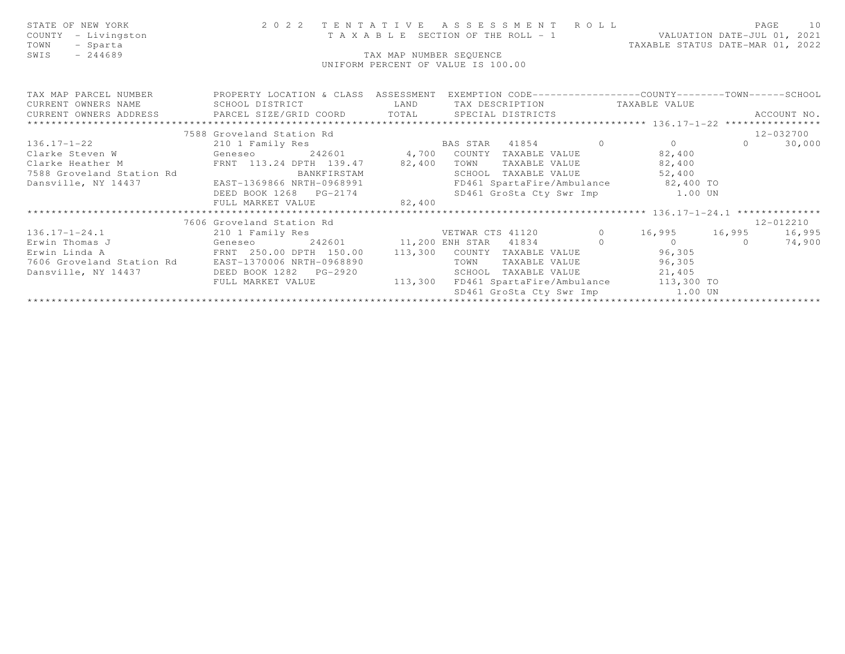| STATE OF NEW YORK<br>COUNTY<br>- Livingston<br>- Sparta<br>TOWN<br>$-244689$<br>SWIS                                                                                                                                                                                                                                                                                                                                                                                                                                                                                                                                                                                                   |                                                                                                                                                      | TAX MAP NUMBER SEQUENCE | UNIFORM PERCENT OF VALUE IS 100.00                                                                                                                               | TAXABLE STATUS DATE-MAR 01, 2022 |                |             |
|----------------------------------------------------------------------------------------------------------------------------------------------------------------------------------------------------------------------------------------------------------------------------------------------------------------------------------------------------------------------------------------------------------------------------------------------------------------------------------------------------------------------------------------------------------------------------------------------------------------------------------------------------------------------------------------|------------------------------------------------------------------------------------------------------------------------------------------------------|-------------------------|------------------------------------------------------------------------------------------------------------------------------------------------------------------|----------------------------------|----------------|-------------|
| TAX MAP PARCEL NUMBER <a> PROPERTY LOCATION &amp; CLASS ASSESSMENT EXEMPTION CODE---------------COUNTY-------TOWN------SCHOOL<br/>CURRENT OWNERS NAME SCHOOL DISTRICT THE LAND<br/><math display="block">\begin{minipage}{0.5in} \begin{minipage}{0.5in} \begin{minipage}{0.5in} \end{minipage} \begin{minipage}{0.5in} \end{minipage} \begin{minipage}{0.5in} \begin{minipage}{0.5in} \end{minipage} \begin{minipage}{0.5in} \begin{minipage}{0.5in} \end{minipage} \begin{minipage}{0.5in} \end{minipage} \begin{minipage}{0.5in} \end{minipage} \begin{minipage}{0.5in} \begin{minipage}{0.5in} \end{minipage} \begin{minipage}{0.5in} \end{minipage} \begin{minipage}{0</math></a> |                                                                                                                                                      |                         | TAX DESCRIPTION TAXABLE VALUE                                                                                                                                    |                                  |                | ACCOUNT NO. |
|                                                                                                                                                                                                                                                                                                                                                                                                                                                                                                                                                                                                                                                                                        | 7588 Groveland Station Rd                                                                                                                            |                         |                                                                                                                                                                  |                                  |                | 12-032700   |
| $136.17 - 1 - 22$<br>Clarke Steven W                  Geneseo           242601          4,700 COUNTY TAXABLE VALUE               82,400<br>Clarke Heather M<br>7588 Groveland Station Rd<br>Dansville, NY 14437                                                                                                                                                                                                                                                                                                                                                                                                                                                                        | 210 1 Family Res<br>FRNT 113.24 DPTH 139.47 82,400<br>BANKFIRSTAM<br>EAST-1369866 NRTH-0968991<br>DEED BOOK 1268 PG-2174<br>FULL MARKET VALUE 82,400 |                         | BAS STAR 41854 0 0 0<br>TOWN<br>SCHOOL TAXABLE VALUE 52,400<br>FD461 SpartaFire/Ambulance 82,400 TO<br>SD461 GroSta Cty Swr Imp 1.00 UN                          | TAXABLE VALUE 82,400             | $\overline{0}$ | 30,000      |
|                                                                                                                                                                                                                                                                                                                                                                                                                                                                                                                                                                                                                                                                                        |                                                                                                                                                      |                         |                                                                                                                                                                  |                                  |                |             |
|                                                                                                                                                                                                                                                                                                                                                                                                                                                                                                                                                                                                                                                                                        | 7606 Groveland Station Rd                                                                                                                            |                         |                                                                                                                                                                  |                                  |                | 12-012210   |
| Geneseo<br>Erwin Linda A<br>7606 Groveland Station Rd EAST-1370006 NRTH-0968890<br>Dansville, NY 14437                                                                                                                                                                                                                                                                                                                                                                                                                                                                                                                                                                                 | FRNT 250.00 DPTH 150.00<br>FULL MARKET VALUE                                                                                                         | 113,300<br>113,300      | COUNTY TAXABLE VALUE 96,305<br>TOWN<br>TAXABLE VALUE<br>SCHOOL TAXABLE VALUE 21,405<br>FD461 SpartaFire/Ambulance 113,300 TO<br>SD461 GroSta Cty Swr Imp 1.00 UN | 96,305                           |                |             |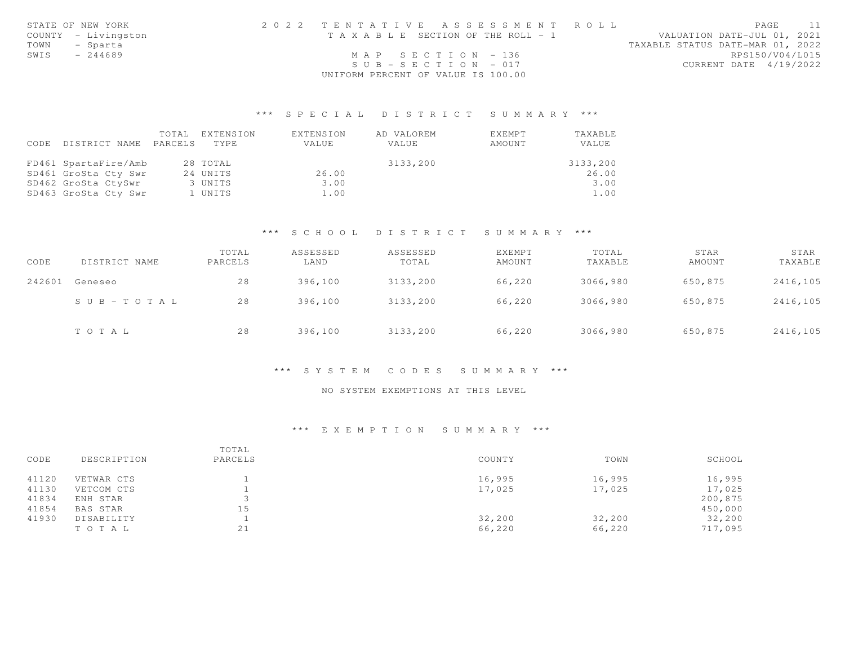|      | STATE OF NEW YORK   | 2022 TENTATIVE ASSESSMENT ROLL        | PAGE                             |
|------|---------------------|---------------------------------------|----------------------------------|
|      | COUNTY - Livingston | T A X A B L E SECTION OF THE ROLL - 1 | VALUATION DATE-JUL 01, 2021      |
| TOWN | - Sparta            |                                       | TAXABLE STATUS DATE-MAR 01, 2022 |
| SWIS | $-244689$           | MAP SECTION $-136$                    | RPS150/V04/L015                  |
|      |                     | $SUB - SECTION - 017$                 | CURRENT DATE 4/19/2022           |
|      |                     | UNIFORM PERCENT OF VALUE IS 100.00    |                                  |

| CODE | DISTRICT NAME        | TOTAL<br>PARCELS | EXTENSION<br>TYPE | EXTENSION<br>VALUE | AD VALOREM<br>VALUE | EXEMPT<br>AMOUNT | TAXABLE<br><b>VALUE</b> |
|------|----------------------|------------------|-------------------|--------------------|---------------------|------------------|-------------------------|
|      | FD461 SpartaFire/Amb |                  | 28 TOTAL          |                    | 3133,200            |                  | 3133,200                |
|      | SD461 GroSta Cty Swr |                  | 24 UNITS          | 26.00              |                     |                  | 26.00                   |
|      | SD462 GroSta CtySwr  |                  | 3 UNITS           | 3.00               |                     |                  | 3.00                    |
|      | SD463 GroSta Cty Swr |                  | 1 UNITS           | 1.00               |                     |                  | 1.00                    |

## \*\*\* S C H O O L D I S T R I C T S U M M A R Y \*\*\*

| CODE   | DISTRICT NAME | TOTAL<br>PARCELS | ASSESSED<br>LAND | ASSESSED<br>TOTAL | <b>EXEMPT</b><br>AMOUNT | TOTAL<br>TAXABLE | STAR<br>AMOUNT | STAR<br>TAXABLE |
|--------|---------------|------------------|------------------|-------------------|-------------------------|------------------|----------------|-----------------|
| 242601 | Geneseo       | 28               | 396,100          | 3133,200          | 66,220                  | 3066,980         | 650,875        | 2416,105        |
|        | SUB-TOTAL     | 28               | 396,100          | 3133,200          | 66,220                  | 3066,980         | 650,875        | 2416,105        |
|        | TOTAL         | 28               | 396,100          | 3133,200          | 66,220                  | 3066,980         | 650,875        | 2416,105        |

## \*\*\* S Y S T E M C O D E S S U M M A R Y \*\*\*

## NO SYSTEM EXEMPTIONS AT THIS LEVEL

#### \*\*\* E X E M P T I O N S U M M A R Y \*\*\*

| CODE  | DESCRIPTION | TOTAL<br>PARCELS | COUNTY | TOWN   | SCHOOL  |
|-------|-------------|------------------|--------|--------|---------|
| 41120 | VETWAR CTS  |                  | 16,995 | 16,995 | 16,995  |
| 41130 | VETCOM CTS  |                  | 17,025 | 17,025 | 17,025  |
| 41834 | ENH STAR    |                  |        |        | 200,875 |
| 41854 | BAS STAR    | 15               |        |        | 450,000 |
| 41930 | DISABILITY  |                  | 32,200 | 32,200 | 32,200  |
|       | TOTAL       | 21               | 66,220 | 66,220 | 717,095 |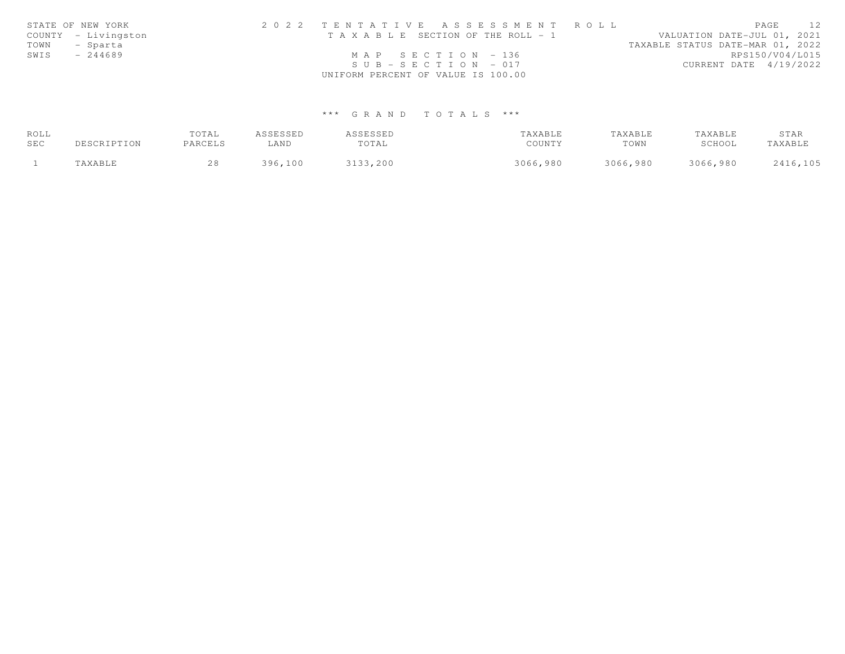|      | STATE OF NEW YORK   | 2022 TENTATIVE ASSESSMENT ROLL        |  |                                  | PAGE            | 12 |
|------|---------------------|---------------------------------------|--|----------------------------------|-----------------|----|
|      | COUNTY - Livingston | T A X A B L E SECTION OF THE ROLL - 1 |  | VALUATION DATE-JUL 01, 2021      |                 |    |
|      | TOWN - Sparta       |                                       |  | TAXABLE STATUS DATE-MAR 01, 2022 |                 |    |
| SWIS | - 244689            | MAP SECTION - 136                     |  |                                  | RPS150/V04/L015 |    |
|      |                     | $SUB - SECTION - 017$                 |  | CURRENT DATE 4/19/2022           |                 |    |
|      |                     | UNIFORM PERCENT OF VALUE IS 100.00    |  |                                  |                 |    |

| ROLL |             | TOTAL   | ASSESSED | ASSESSED | TAXABLE  | TAXABLE  | TAXABLE  | STAR     |
|------|-------------|---------|----------|----------|----------|----------|----------|----------|
| SEC  | DESCRIPTION | PARCELS | ⊥AND     | TOTAL    | COUNTY   | TOWN     | SCHOOL   | TAXABLE  |
|      | TAXABLE     | 28      | 396,100  | 3133,200 | 3066,980 | 3066,980 | 3066,980 | 2416,105 |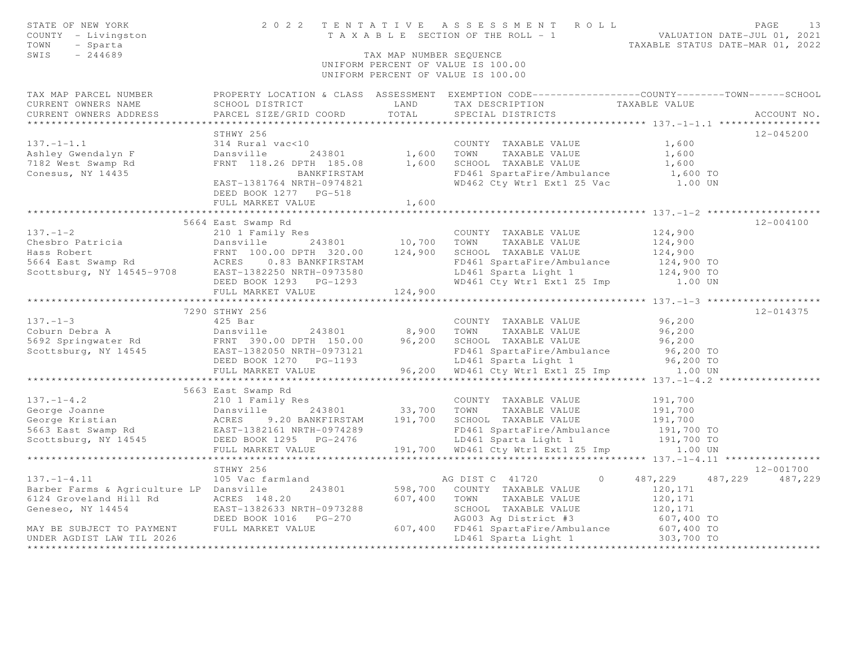| STATE OF NEW YORK<br>COUNTY - Livingston<br>TOWN<br>- Sparta<br>SWIS<br>$-244689$                                                                                            |                                                    | TAX MAP NUMBER SEQUENCE | 2022 TENTATIVE ASSESSMENT ROLL<br>T A X A B L E SECTION OF THE ROLL - 1 VALUATION DATE-JUL 01, 2021<br>UNIFORM PERCENT OF VALUE IS 100.00<br>UNIFORM PERCENT OF VALUE IS 100.00 | TAXABLE STATUS DATE-MAR 01, 2022 | PAGE<br>13        |
|------------------------------------------------------------------------------------------------------------------------------------------------------------------------------|----------------------------------------------------|-------------------------|---------------------------------------------------------------------------------------------------------------------------------------------------------------------------------|----------------------------------|-------------------|
| TAX MAP PARCEL NUMBER                                                                                                                                                        |                                                    |                         | PROPERTY LOCATION & CLASS ASSESSMENT EXEMPTION CODE----------------COUNTY-------TOWN------SCHOOL                                                                                |                                  |                   |
| CURRENT OWNERS NAME<br>CURRENT OWNERS ADDRESS                                                                                                                                | SCHOOL DISTRICT<br>PARCEL SIZE/GRID COORD          | LAND<br>TOTAL           | TAX DESCRIPTION TAXABLE VALUE<br>SPECIAL DISTRICTS                                                                                                                              |                                  | ACCOUNT NO.       |
|                                                                                                                                                                              |                                                    |                         |                                                                                                                                                                                 |                                  |                   |
|                                                                                                                                                                              | STHWY 256                                          |                         |                                                                                                                                                                                 |                                  | $12 - 045200$     |
| $137. - 1 - 1.1$                                                                                                                                                             | 314 Rural vac<10                                   |                         | COUNTY TAXABLE VALUE                                                                                                                                                            | 1,600                            |                   |
| Ashley Gwendalyn F                                                                                                                                                           | Dansville<br>243801                                | 1,600                   | TOWN<br>TAXABLE VALUE                                                                                                                                                           | 1,600                            |                   |
| 7182 West Swamp Rd                                                                                                                                                           | FRNT 118.26 DPTH 185.08                            | 1,600                   | SCHOOL TAXABLE VALUE                                                                                                                                                            | 1,600                            |                   |
| Conesus, NY 14435                                                                                                                                                            | BANKFIRSTAM                                        |                         | FD461 SpartaFire/Ambulance                                                                                                                                                      | 1,600 TO                         |                   |
|                                                                                                                                                                              | EAST-1381764 NRTH-0974821<br>DEED BOOK 1277 PG-518 |                         | WD462 Cty Wtr1 Ext1 Z5 Vac 1.00 UN                                                                                                                                              |                                  |                   |
|                                                                                                                                                                              | FULL MARKET VALUE                                  | 1,600                   |                                                                                                                                                                                 |                                  |                   |
|                                                                                                                                                                              |                                                    | **************          |                                                                                                                                                                                 |                                  |                   |
|                                                                                                                                                                              | 5664 East Swamp Rd                                 |                         |                                                                                                                                                                                 |                                  | $12 - 004100$     |
| $137. - 1 - 2$                                                                                                                                                               | 210 1 Family Res                                   |                         | COUNTY TAXABLE VALUE                                                                                                                                                            | 124,900                          |                   |
|                                                                                                                                                                              | Dansville 243801                                   | 10,700                  | TOWN<br>TAXABLE VALUE                                                                                                                                                           | 124,900                          |                   |
|                                                                                                                                                                              | FRNT 100.00 DPTH 320.00 124,900                    |                         | SCHOOL TAXABLE VALUE                                                                                                                                                            | 124,900                          |                   |
| Chesbro Patricia bansville 243801<br>Hass Robert FRNT 100.00 DPTH 320.00<br>5664 East Swamp Rd ACRES 0.83 BANKFIRSTAM<br>Scottsburg, NY 14545-9708 EAST-1382250 NRTH-0973580 |                                                    |                         | FD461 SpartaFire/Ambulance<br>LD461 Sparta Light 1                                                                                                                              | 124,900 TO<br>124,900 TO         |                   |
|                                                                                                                                                                              | DEED BOOK 1293 PG-1293                             |                         | WD461 Cty Wtr1 Ext1 Z5 Imp 1.00 UN                                                                                                                                              |                                  |                   |
|                                                                                                                                                                              | FULL MARKET VALUE                                  | 124,900                 |                                                                                                                                                                                 |                                  |                   |
|                                                                                                                                                                              |                                                    |                         |                                                                                                                                                                                 |                                  |                   |
|                                                                                                                                                                              | 7290 STHWY 256                                     |                         |                                                                                                                                                                                 |                                  | 12-014375         |
| $137. - 1 - 3$                                                                                                                                                               | 425 Bar                                            |                         | COUNTY TAXABLE VALUE                                                                                                                                                            | 96,200                           |                   |
| 137.-1-3<br>Coburn Debra A<br>5692 Springwater Rd<br>71114545<br>2007 - EAST-1382050 NRTH-0973121<br>2008 NRTH-0973121<br>2008 1270 PG-1193                                  | 243801                                             | 8,900                   | TOWN TAXABLE VALUE                                                                                                                                                              | 96,200                           |                   |
|                                                                                                                                                                              |                                                    | 96,200                  | SCHOOL TAXABLE VALUE                                                                                                                                                            | 96,200                           |                   |
|                                                                                                                                                                              |                                                    |                         | FD461 SpartaFire/Ambulance                                                                                                                                                      | 96,200 TO                        |                   |
|                                                                                                                                                                              |                                                    |                         | LD461 Sparta Light 1                                                                                                                                                            | 96,200 TO                        |                   |
|                                                                                                                                                                              | FULL MARKET VALUE                                  |                         | 96,200 WD461 Cty Wtr1 Ext1 Z5 Imp                                                                                                                                               | 1.00 UN                          |                   |
|                                                                                                                                                                              |                                                    |                         |                                                                                                                                                                                 |                                  |                   |
| $137. - 1 - 4.2$                                                                                                                                                             | 5663 East Swamp Rd                                 |                         |                                                                                                                                                                                 |                                  |                   |
| George Joanne                                                                                                                                                                | 210 1 Family Res                                   | 33,700 TOWN             | COUNTY TAXABLE VALUE<br>TAXABLE VALUE                                                                                                                                           | 191,700<br>191,700               |                   |
| George Kristian                                                                                                                                                              |                                                    |                         | SCHOOL TAXABLE VALUE                                                                                                                                                            | 191,700                          |                   |
| 5663 East Swamp Rd<br>Scottsburg, NY 14545                                                                                                                                   | EAST-1382161 NRTH-0974289                          |                         | FD461 SpartaFire/Ambulance                                                                                                                                                      | 191,700 TO                       |                   |
|                                                                                                                                                                              | DEED BOOK 1295 PG-2476                             |                         | LD461 Sparta Light 1                                                                                                                                                            | 191,700 TO                       |                   |
|                                                                                                                                                                              | FULL MARKET VALUE                                  |                         | 191,700 WD461 Cty Wtr1 Ext1 Z5 Imp 1.00 UN                                                                                                                                      |                                  |                   |
|                                                                                                                                                                              |                                                    |                         |                                                                                                                                                                                 |                                  |                   |
|                                                                                                                                                                              | STHWY 256                                          |                         |                                                                                                                                                                                 |                                  | 12-001700         |
| $137. - 1 - 4.11$                                                                                                                                                            | 105 Vac farmland                                   |                         | AG DIST C 41720<br>$\circ$                                                                                                                                                      | 487,229                          | 487, 229 487, 229 |
| Barber Farms & Agriculture LP Dansville                                                                                                                                      | 243801                                             | 598,700                 | COUNTY TAXABLE VALUE                                                                                                                                                            | 120,171                          |                   |
| 6124 Groveland Hill Rd                                                                                                                                                       | ACRES 148.20                                       | 607,400                 | TOWN TAXABLE VALUE                                                                                                                                                              | 120,171                          |                   |
| Geneseo, NY 14454                                                                                                                                                            | EAST-1382633 NRTH-0973288                          |                         | NOTION THAABLE VALUE<br>AG003 Ag District #3<br>ED461 C                                                                                                                         | 120,171                          |                   |
|                                                                                                                                                                              | DEED BOOK 1016 PG-270                              |                         |                                                                                                                                                                                 | 607,400 TO                       |                   |
| MAY BE SUBJECT TO PAYMENT                                                                                                                                                    | FULL MARKET VALUE                                  | 607,400                 | FD461 SpartaFire/Ambulance 607,400 TO<br>LD461 Sparta Light 1 303,700 TO                                                                                                        |                                  |                   |
| UNDER AGDIST LAW TIL 2026<br>**********************                                                                                                                          |                                                    |                         |                                                                                                                                                                                 |                                  | ************      |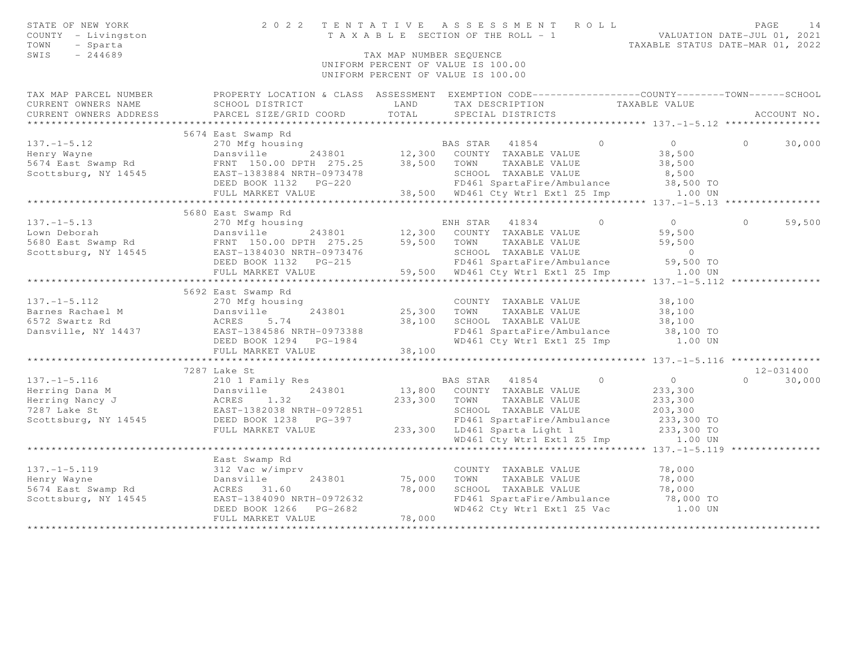| STATE OF NEW YORK<br>COUNTY - Livingston<br>TOWN<br>- Sparta<br>SWIS<br>$-244689$ | 2 0 2 2                                     | TAX MAP NUMBER SEQUENCE  | TENTATIVE ASSESSMENT ROLL<br>TENTAILVE ASSESSMENT ANNELLE VALUATION DATE-JUL 01, 2021<br>TAXABLE SECTION OF THE ROLL - 1<br>TAXABLE STATUS DATE-MAR 01, 2022<br>UNIFORM PERCENT OF VALUE IS 100.00<br>UNIFORM PERCENT OF VALUE IS 100.00 |                                                            | PAGE<br>14    |
|-----------------------------------------------------------------------------------|---------------------------------------------|--------------------------|------------------------------------------------------------------------------------------------------------------------------------------------------------------------------------------------------------------------------------------|------------------------------------------------------------|---------------|
| TAX MAP PARCEL NUMBER                                                             |                                             |                          | PROPERTY LOCATION & CLASS ASSESSMENT EXEMPTION CODE-----------------COUNTY-------TOWN------SCHOOL                                                                                                                                        |                                                            |               |
| CURRENT OWNERS NAME<br>CURRENT OWNERS ADDRESS                                     | SCHOOL DISTRICT<br>PARCEL SIZE/GRID COORD   | LAND<br>TOTAL            | TAX DESCRIPTION<br>SPECIAL DISTRICTS                                                                                                                                                                                                     | TAXABLE VALUE                                              | ACCOUNT NO.   |
| ***********************                                                           |                                             |                          |                                                                                                                                                                                                                                          |                                                            |               |
|                                                                                   | 5674 East Swamp Rd                          |                          |                                                                                                                                                                                                                                          |                                                            |               |
| $137. - 1 - 5.12$                                                                 | 270 Mfg housing                             |                          | BAS STAR 41854<br>$\overline{0}$                                                                                                                                                                                                         | $\overline{0}$<br>$\circ$                                  | 30,000        |
| Henry Wayne                                                                       | ng<br>243801<br>Dansville                   |                          | 12,300 COUNTY TAXABLE VALUE                                                                                                                                                                                                              | 38,500                                                     |               |
| 5674 East Swamp Rd                                                                | FRNT 150.00 DPTH 275.25 38,500              |                          | TAXABLE VALUE<br>TOWN                                                                                                                                                                                                                    | 38,500                                                     |               |
| Scottsburg, NY 14545                                                              | EAST-1383884 NRTH-0973478                   |                          | SCHOOL TAXABLE VALUE                                                                                                                                                                                                                     | 8,500                                                      |               |
|                                                                                   |                                             |                          | FD461 SpartaFire/Ambulance                                                                                                                                                                                                               | 38,500 TO                                                  |               |
|                                                                                   | FULL MARKET VALUE                           |                          | 38,500 WD461 Cty Wtr1 Ext1 Z5 Imp                                                                                                                                                                                                        | 1.00 UN                                                    |               |
|                                                                                   | ************************                    |                          |                                                                                                                                                                                                                                          |                                                            |               |
|                                                                                   | 5680 East Swamp Rd                          |                          |                                                                                                                                                                                                                                          |                                                            |               |
| $137. - 1 - 5.13$                                                                 | 270 Mfg housing                             |                          | $\circ$<br>ENH STAR 41834                                                                                                                                                                                                                | $\overline{0}$<br>$\Omega$                                 | 59,500        |
| Lown Deborah                                                                      | Dansville<br>243801                         | 12,300                   | COUNTY TAXABLE VALUE                                                                                                                                                                                                                     | 59,500                                                     |               |
| 5680 East Swamp Rd                                                                | Dansville 243801<br>FRNT 150.00 DPTH 275.25 | 59,500                   | TOWN<br>TAXABLE VALUE                                                                                                                                                                                                                    | 59,500                                                     |               |
| Scottsburg, NY 14545                                                              | EAST-1384030 NRTH-0973476                   |                          | SCHOOL TAXABLE VALUE                                                                                                                                                                                                                     | $\overline{0}$                                             |               |
|                                                                                   | DEED BOOK 1132 PG-215                       |                          | FD461 SpartaFire/Ambulance                                                                                                                                                                                                               | 59,500 TO                                                  |               |
|                                                                                   | FULL MARKET VALUE                           | ************************ | 59,500 WD461 Cty Wtr1 Ext1 Z5 Imp                                                                                                                                                                                                        | 1.00 UN                                                    |               |
|                                                                                   |                                             |                          |                                                                                                                                                                                                                                          | **************************** 137.-1-5.112 **************** |               |
|                                                                                   | 5692 East Swamp Rd                          |                          |                                                                                                                                                                                                                                          |                                                            |               |
| $137. - 1 - 5.112$                                                                | 270 Mfg housing                             |                          | COUNTY TAXABLE VALUE                                                                                                                                                                                                                     | 38,100                                                     |               |
| Barnes Rachael M<br>6572 Swartz Rd                                                | Dansville<br>243801<br>ACRES<br>5.74        | 25,300<br>38,100         | TOWN<br>TAXABLE VALUE<br>SCHOOL TAXABLE VALUE                                                                                                                                                                                            | 38,100<br>38,100                                           |               |
| Dansville, NY 14437                                                               | EAST-1384586 NRTH-0973388                   |                          | FD461 SpartaFire/Ambulance                                                                                                                                                                                                               | 38,100 TO                                                  |               |
|                                                                                   | DEED BOOK 1294    PG-1984                   |                          | WD461 Cty Wtr1 Ext1 Z5 Imp                                                                                                                                                                                                               | 1.00 UN                                                    |               |
|                                                                                   | FULL MARKET VALUE                           | 38,100                   |                                                                                                                                                                                                                                          |                                                            |               |
|                                                                                   |                                             |                          |                                                                                                                                                                                                                                          |                                                            |               |
|                                                                                   | 7287 Lake St                                |                          |                                                                                                                                                                                                                                          |                                                            | $12 - 031400$ |
| $137. - 1 - 5.116$                                                                | 210 1 Family Res                            |                          | BAS STAR 41854<br>$\overline{0}$                                                                                                                                                                                                         | $\overline{0}$                                             | $0 \t 30,000$ |
| Herring Dana M                                                                    | 243801<br>Dansville                         |                          | 13,800 COUNTY TAXABLE VALUE                                                                                                                                                                                                              | 233,300                                                    |               |
| Herring Nancy J                                                                   | ACRES<br>1.32                               | 233,300                  | TOWN<br>TAXABLE VALUE                                                                                                                                                                                                                    | 233,300                                                    |               |
| 7287 Lake St                                                                      | EAST-1382038 NRTH-0972851                   |                          | SCHOOL TAXABLE VALUE                                                                                                                                                                                                                     | 203,300                                                    |               |
| Scottsburg, NY 14545                                                              | DEED BOOK 1238 PG-397                       |                          | FD461 SpartaFire/Ambulance                                                                                                                                                                                                               | 233,300 TO                                                 |               |
|                                                                                   | FULL MARKET VALUE                           | 233,300                  | LD461 Sparta Light 1                                                                                                                                                                                                                     | 233,300 TO                                                 |               |
|                                                                                   |                                             |                          | WD461 Cty Wtr1 Ext1 Z5 Imp 1.00 UN                                                                                                                                                                                                       |                                                            |               |
|                                                                                   |                                             |                          |                                                                                                                                                                                                                                          |                                                            |               |
|                                                                                   | East Swamp Rd                               |                          |                                                                                                                                                                                                                                          |                                                            |               |
| $137. - 1 - 5.119$                                                                | 312 Vac w/imprv                             |                          | COUNTY TAXABLE VALUE                                                                                                                                                                                                                     | 78,000                                                     |               |
| Henry Wayne                                                                       | Dansville<br>243801                         | 75,000                   | TOWN<br>TAXABLE VALUE                                                                                                                                                                                                                    | 78,000                                                     |               |
| 5674 East Swamp Rd                                                                | ACRES 31.60                                 | 78,000                   | SCHOOL TAXABLE VALUE                                                                                                                                                                                                                     | 78,000                                                     |               |
| Scottsburg, NY 14545                                                              | EAST-1384090 NRTH-0972632                   |                          | FD461 SpartaFire/Ambulance 78,000 TO<br>WD462 Cty Wtr1 Ext1 Z5 Vac 1.00 UN                                                                                                                                                               |                                                            |               |
|                                                                                   | DEED BOOK 1266<br>$PG-2682$                 |                          |                                                                                                                                                                                                                                          |                                                            |               |
|                                                                                   | FULL MARKET VALUE                           | 78,000                   |                                                                                                                                                                                                                                          |                                                            |               |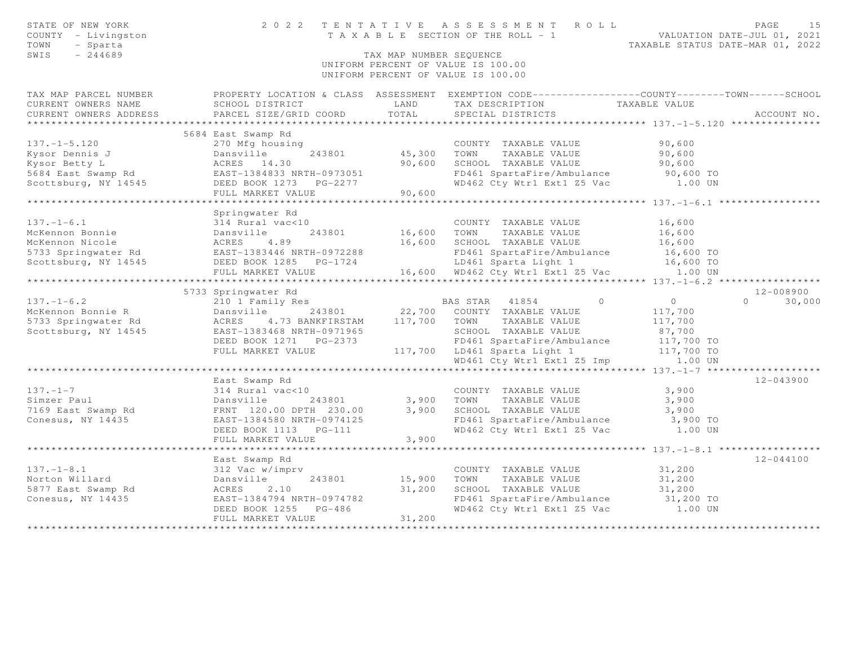| STATE OF NEW YORK<br>COUNTY - Livingston<br>TOWN<br>- Sparta<br>SWIS<br>$-244689$ |                                                              | TAX MAP NUMBER SEQUENCE | 2022 TENTATIVE ASSESSMENT ROLL<br>T A X A B L E SECTION OF THE ROLL - 1 VALUATION DATE-JUL 01, 2021<br>UNIFORM PERCENT OF VALUE IS 100.00<br>UNIFORM PERCENT OF VALUE IS 100.00 | TAXABLE STATUS DATE-MAR 01, 2022 | PAGE<br>15    |
|-----------------------------------------------------------------------------------|--------------------------------------------------------------|-------------------------|---------------------------------------------------------------------------------------------------------------------------------------------------------------------------------|----------------------------------|---------------|
| TAX MAP PARCEL NUMBER                                                             |                                                              |                         | PROPERTY LOCATION & CLASS ASSESSMENT EXEMPTION CODE----------------COUNTY-------TOWN------SCHOOL                                                                                |                                  |               |
| CURRENT OWNERS NAME                                                               | SCHOOL DISTRICT                                              | LAND                    | TAX DESCRIPTION                                                                                                                                                                 | TAXABLE VALUE                    |               |
| CURRENT OWNERS ADDRESS<br>************************                                | PARCEL SIZE/GRID COORD                                       | TOTAL                   | SPECIAL DISTRICTS                                                                                                                                                               |                                  | ACCOUNT NO.   |
|                                                                                   | 5684 East Swamp Rd                                           |                         |                                                                                                                                                                                 |                                  |               |
| $137. - 1 - 5.120$                                                                | 270 Mfg housing                                              |                         | COUNTY TAXABLE VALUE                                                                                                                                                            | 90,600                           |               |
| Kysor Dennis J                                                                    |                                                              | 45,300                  | TOWN<br>TAXABLE VALUE                                                                                                                                                           | 90,600                           |               |
| Kysor Betty L                                                                     | Dansville 243801<br>ACRES 14.30<br>EAST-1384833 NRTH-0973051 | 90,600                  | SCHOOL TAXABLE VALUE                                                                                                                                                            | 90,600                           |               |
| 5684 East Swamp Rd                                                                |                                                              |                         | FD461 SpartaFire/Ambulance                                                                                                                                                      | 90,600 TO                        |               |
| Scottsburg, NY 14545                                                              | DEED BOOK 1273 PG-2277                                       |                         | WD462 Cty Wtr1 Ext1 Z5 Vac 1.00 UN                                                                                                                                              |                                  |               |
|                                                                                   | FULL MARKET VALUE                                            | 90,600                  |                                                                                                                                                                                 |                                  |               |
|                                                                                   |                                                              |                         |                                                                                                                                                                                 |                                  |               |
|                                                                                   | Springwater Rd                                               |                         |                                                                                                                                                                                 |                                  |               |
| $137. - 1 - 6.1$                                                                  | 314 Rural vac<10                                             |                         | COUNTY TAXABLE VALUE                                                                                                                                                            | 16,600                           |               |
| McKennon Bonnie                                                                   | Dansville<br>243801                                          | 16,600                  | TOWN<br>TAXABLE VALUE                                                                                                                                                           | 16,600                           |               |
| McKennon Nicole                                                                   | ACRES<br>4.89                                                | 16,600                  | SCHOOL TAXABLE VALUE                                                                                                                                                            | 16,600                           |               |
| 5733 Springwater Rd                                                               | EAST-1383446 NRTH-0972288                                    |                         | FD461 SpartaFire/Ambulance                                                                                                                                                      | 16,600 TO                        |               |
| Scottsburg, NY 14545                                                              | DEED BOOK 1285 PG-1724                                       |                         | LD461 Sparta Light 1                                                                                                                                                            | 16,600 TO                        |               |
|                                                                                   | FULL MARKET VALUE                                            |                         | 16,600 WD462 Cty Wtr1 Ext1 Z5 Vac 1.00 UN                                                                                                                                       |                                  |               |
|                                                                                   |                                                              |                         |                                                                                                                                                                                 |                                  |               |
|                                                                                   | 5733 Springwater Rd                                          |                         |                                                                                                                                                                                 |                                  | 12-008900     |
| $137. - 1 - 6.2$                                                                  | 210 1 Family Res                                             |                         | BAS STAR 41854 0                                                                                                                                                                | $\overline{0}$                   | $0 \t 30,000$ |
| McKennon Bonnie R                                                                 | Dansville 243801                                             |                         | 22,700 COUNTY TAXABLE VALUE                                                                                                                                                     | 117,700                          |               |
| 5733 Springwater Rd                                                               | 4.73 BANKFIRSTAM<br>ACRES                                    |                         | 117,700 TOWN TAXABLE VALUE                                                                                                                                                      | 117,700<br>87,700                |               |
| Scottsburg, NY 14545                                                              | EAST-1383468 NRTH-0971965<br>DEED BOOK 1271 PG-2373          |                         | SCHOOL TAXABLE VALUE<br>FD461 SpartaFire/Ambulance                                                                                                                              | 117,700 TO                       |               |
|                                                                                   | FULL MARKET VALUE                                            |                         | 117,700 LD461 Sparta Light 1                                                                                                                                                    | 117,700 TO                       |               |
|                                                                                   |                                                              |                         | WD461 Cty Wtr1 Ext1 Z5 Imp                                                                                                                                                      | 1.00 UN                          |               |
|                                                                                   |                                                              |                         |                                                                                                                                                                                 |                                  |               |
|                                                                                   | East Swamp Rd                                                |                         |                                                                                                                                                                                 |                                  | $12 - 043900$ |
| $137. - 1 - 7$                                                                    | 314 Rural vac<10                                             |                         | COUNTY TAXABLE VALUE                                                                                                                                                            | 3,900                            |               |
| Simzer Paul                                                                       | Dansville<br>243801                                          | 3,900 TOWN              | TAXABLE VALUE                                                                                                                                                                   | 3,900                            |               |
| 7169 East Swamp Rd                                                                | FRNT 120.00 DPTH 230.00                                      | 3,900                   | SCHOOL TAXABLE VALUE                                                                                                                                                            | 3,900                            |               |
| Conesus, NY 14435                                                                 | EAST-1384580 NRTH-0974125                                    |                         | FD461 SpartaFire/Ambulance                                                                                                                                                      | 3,900 TO                         |               |
|                                                                                   | DEED BOOK 1113 PG-111                                        |                         | WD462 Cty Wtr1 Ext1 Z5 Vac 1.00 UN                                                                                                                                              |                                  |               |
|                                                                                   | FULL MARKET VALUE                                            | 3,900                   |                                                                                                                                                                                 |                                  |               |
|                                                                                   |                                                              |                         |                                                                                                                                                                                 |                                  |               |
|                                                                                   | East Swamp Rd                                                |                         |                                                                                                                                                                                 |                                  | $12 - 044100$ |
| $137. - 1 - 8.1$                                                                  | 312 Vac w/imprv                                              |                         | COUNTY TAXABLE VALUE                                                                                                                                                            | 31,200                           |               |
| Norton Willard                                                                    | Dansville<br>243801                                          | 15,900                  | TOWN<br>TAXABLE VALUE                                                                                                                                                           | 31,200                           |               |
| 5877 East Swamp Rd                                                                | 2.10<br>ACRES                                                | 31,200                  | SCHOOL TAXABLE VALUE                                                                                                                                                            | 31,200                           |               |
| Conesus, NY 14435                                                                 | EAST-1384794 NRTH-0974782                                    |                         | FD461 SpartaFire/Ambulance 31,200 TO<br>WD462 Cty Wtr1 Ext1 Z5 Vac 1.00 UN                                                                                                      |                                  |               |
|                                                                                   | DEED BOOK 1255 PG-486                                        |                         |                                                                                                                                                                                 |                                  |               |
|                                                                                   | FULL MARKET VALUE                                            | 31,200                  |                                                                                                                                                                                 |                                  |               |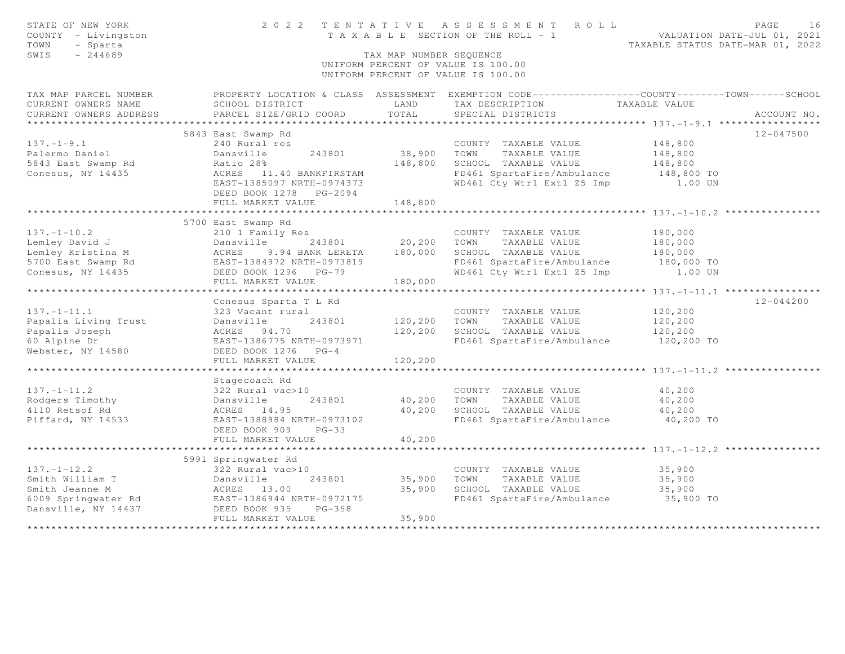| STATE OF NEW YORK<br>COUNTY - Livingston<br>TOWN<br>- Sparta<br>SWIS<br>$-244689$ |                                                                             | TAX MAP NUMBER SEQUENCE | 2022 TENTATIVE ASSESSMENT ROLL<br>T A X A B L E SECTION OF THE ROLL - 1<br>UNIFORM PERCENT OF VALUE IS 100.00<br>UNIFORM PERCENT OF VALUE IS 100.00 | PAGE<br>VALUATION DATE-JUL 01, 2021<br>TAXABLE STATUS DATE-MAR 01, 2022                          | 16 |
|-----------------------------------------------------------------------------------|-----------------------------------------------------------------------------|-------------------------|-----------------------------------------------------------------------------------------------------------------------------------------------------|--------------------------------------------------------------------------------------------------|----|
| TAX MAP PARCEL NUMBER                                                             |                                                                             |                         |                                                                                                                                                     | PROPERTY LOCATION & CLASS ASSESSMENT EXEMPTION CODE----------------COUNTY--------TOWN-----SCHOOL |    |
| CURRENT OWNERS NAME                                                               | SCHOOL DISTRICT                                                             | LAND                    | TAX DESCRIPTION                                                                                                                                     | TAXABLE VALUE                                                                                    |    |
| CURRENT OWNERS ADDRESS                                                            | PARCEL SIZE/GRID COORD                                                      | TOTAL                   | SPECIAL DISTRICTS                                                                                                                                   | ACCOUNT NO.                                                                                      |    |
|                                                                                   |                                                                             |                         |                                                                                                                                                     |                                                                                                  |    |
|                                                                                   | 5843 East Swamp Rd                                                          |                         |                                                                                                                                                     | $12 - 047500$                                                                                    |    |
| $137. - 1 - 9.1$                                                                  | 240 Rural res                                                               |                         | COUNTY TAXABLE VALUE                                                                                                                                | 148,800                                                                                          |    |
| Palermo Daniel                                                                    | Dansville<br>243801                                                         | 38,900                  | TOWN<br>TAXABLE VALUE                                                                                                                               | 148,800                                                                                          |    |
| 5843 East Swamp Rd                                                                | Ratio 28%                                                                   | 148,800                 | SCHOOL TAXABLE VALUE                                                                                                                                | 148,800                                                                                          |    |
| Conesus, NY 14435                                                                 | ACRES 11.40 BANKFIRSTAM                                                     |                         | FD461 SpartaFire/Ambulance                                                                                                                          | 148,800 TO                                                                                       |    |
|                                                                                   | EAST-1385097 NRTH-0974373<br>DEED BOOK 1278 PG-2094                         |                         | WD461 Cty Wtr1 Ext1 Z5 Imp                                                                                                                          | 1.00 UN                                                                                          |    |
|                                                                                   | FULL MARKET VALUE                                                           | 148,800                 |                                                                                                                                                     |                                                                                                  |    |
|                                                                                   |                                                                             |                         |                                                                                                                                                     |                                                                                                  |    |
|                                                                                   | 5700 East Swamp Rd                                                          |                         |                                                                                                                                                     |                                                                                                  |    |
| $137. - 1 - 10.2$                                                                 | 210 1 Family Res                                                            |                         | COUNTY TAXABLE VALUE                                                                                                                                | 180,000                                                                                          |    |
| Lemley David J                                                                    | Dansville<br>243801                                                         | 20,200                  | TOWN<br>TAXABLE VALUE                                                                                                                               | 180,000                                                                                          |    |
| Lemley Kristina M                                                                 | ACRES<br>9.94 BANK LERETA                                                   | 180,000                 | SCHOOL TAXABLE VALUE                                                                                                                                | 180,000                                                                                          |    |
| 5700 East Swamp Rd                                                                | ACRES 9.94 BANK LERETA<br>EAST-1384972 NRTH-0973819<br>DEED BOOK 1296 PG-79 |                         | FD461 SpartaFire/Ambulance                                                                                                                          | 180,000 TO                                                                                       |    |
| Conesus, NY 14435                                                                 | DEED BOOK 1296 PG-79                                                        |                         | WD461 Cty Wtr1 Ext1 Z5 Imp 1.00 UN                                                                                                                  |                                                                                                  |    |
|                                                                                   | FULL MARKET VALUE                                                           | 180,000                 |                                                                                                                                                     |                                                                                                  |    |
|                                                                                   |                                                                             |                         |                                                                                                                                                     |                                                                                                  |    |
|                                                                                   | Conesus Sparta T L Rd                                                       |                         |                                                                                                                                                     | $12 - 044200$                                                                                    |    |
| $137. - 1 - 11.1$                                                                 | 323 Vacant rural                                                            |                         | COUNTY TAXABLE VALUE                                                                                                                                | 120,200                                                                                          |    |
| Papalia Living Trust                                                              | 243801<br>Dansville                                                         | 120,200                 | TOWN<br>TAXABLE VALUE                                                                                                                               | 120,200                                                                                          |    |
| Papalia Joseph                                                                    | ACRES 94.70                                                                 | 120,200                 | SCHOOL TAXABLE VALUE                                                                                                                                | 120,200                                                                                          |    |
| 60 Alpine Dr                                                                      | EAST-1386775 NRTH-0973971                                                   |                         | FD461 SpartaFire/Ambulance                                                                                                                          | 120,200 TO                                                                                       |    |
| Webster, NY 14580                                                                 | DEED BOOK 1276 PG-4                                                         |                         |                                                                                                                                                     |                                                                                                  |    |
|                                                                                   | FULL MARKET VALUE                                                           | 120,200                 |                                                                                                                                                     |                                                                                                  |    |
|                                                                                   |                                                                             |                         |                                                                                                                                                     |                                                                                                  |    |
|                                                                                   | Stagecoach Rd                                                               |                         |                                                                                                                                                     |                                                                                                  |    |
| $137. - 1 - 11.2$                                                                 | 322 Rural vac>10                                                            |                         | COUNTY TAXABLE VALUE                                                                                                                                | 40,200                                                                                           |    |
| Rodgers Timothy<br>4110 Retsof Rd                                                 | Dansville<br>243801<br>ACRES 14.95                                          | 40,200<br>40,200        | TOWN<br>TAXABLE VALUE<br>SCHOOL TAXABLE VALUE                                                                                                       | 40,200<br>40,200                                                                                 |    |
| Piffard, NY 14533                                                                 | EAST-1388984 NRTH-0973102                                                   |                         | FD461 SpartaFire/Ambulance                                                                                                                          | 40,200 TO                                                                                        |    |
|                                                                                   | DEED BOOK 909<br>$PG-33$                                                    |                         |                                                                                                                                                     |                                                                                                  |    |
|                                                                                   | FULL MARKET VALUE                                                           | 40,200                  |                                                                                                                                                     |                                                                                                  |    |
|                                                                                   |                                                                             | ***********             |                                                                                                                                                     | *********************************** 137.-1-12.2 *****************                                |    |
|                                                                                   | 5991 Springwater Rd                                                         |                         |                                                                                                                                                     |                                                                                                  |    |
| $137. - 1 - 12.2$                                                                 | 322 Rural vac>10                                                            |                         | COUNTY TAXABLE VALUE                                                                                                                                | 35,900                                                                                           |    |
| Smith William T                                                                   | Dansville<br>243801                                                         | 35,900                  | TOWN<br>TAXABLE VALUE                                                                                                                               | 35,900                                                                                           |    |
| Smith Jeanne M                                                                    | ACRES 13.00                                                                 | 35,900                  | SCHOOL TAXABLE VALUE                                                                                                                                | 35,900                                                                                           |    |
| 6009 Springwater Rd                                                               | EAST-1386944 NRTH-0972175                                                   |                         | FD461 SpartaFire/Ambulance                                                                                                                          | 35,900 TO                                                                                        |    |
| Dansville, NY 14437                                                               | DEED BOOK 935<br>$PG-358$                                                   |                         |                                                                                                                                                     |                                                                                                  |    |
|                                                                                   | FULL MARKET VALUE                                                           | 35,900                  |                                                                                                                                                     |                                                                                                  |    |
|                                                                                   |                                                                             |                         |                                                                                                                                                     |                                                                                                  |    |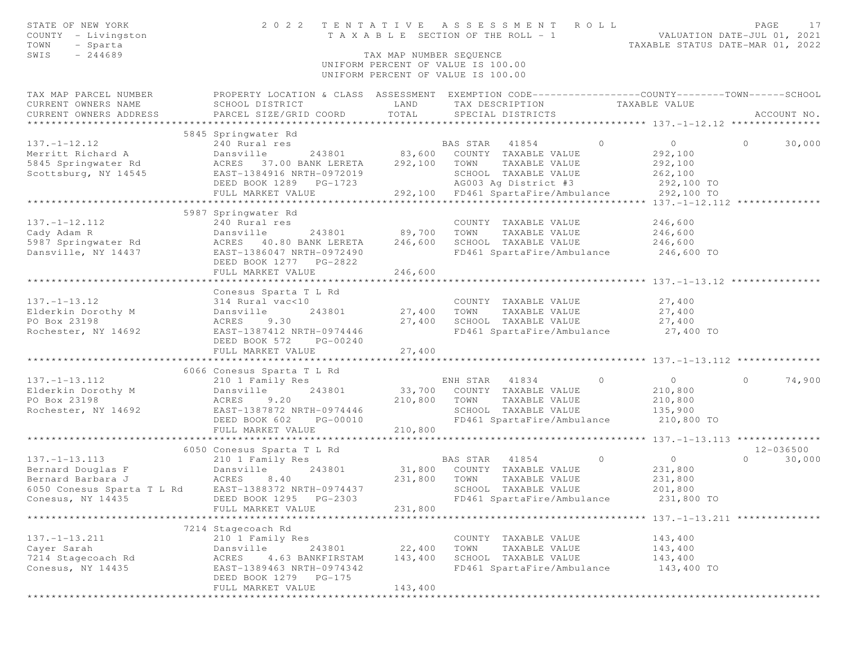| STATE OF NEW YORK<br>COUNTY - Livingston<br>TOWN<br>- Sparta<br>SWIS<br>$-244689$                                                                                 | TENTATIVE ASSESSMENT ROLL<br>2 0 2 2<br>T A X A B L E SECTION OF THE ROLL - 1 | VALUATION DATE-JUL 01, 2021<br>TAXABLE STATUS DATE-MAR 01, 2022 | PAGE<br>17                                                                                      |                |                    |
|-------------------------------------------------------------------------------------------------------------------------------------------------------------------|-------------------------------------------------------------------------------|-----------------------------------------------------------------|-------------------------------------------------------------------------------------------------|----------------|--------------------|
|                                                                                                                                                                   |                                                                               | TAX MAP NUMBER SEQUENCE                                         | UNIFORM PERCENT OF VALUE IS 100.00<br>UNIFORM PERCENT OF VALUE IS 100.00                        |                |                    |
| TAX MAP PARCEL NUMBER                                                                                                                                             |                                                                               |                                                                 | PROPERTY LOCATION & CLASS ASSESSMENT EXEMPTION CODE---------------COUNTY-------TOWN------SCHOOL |                |                    |
| CURRENT OWNERS NAME                                                                                                                                               | SCHOOL DISTRICT                                                               | LAND                                                            | TAX DESCRIPTION TAXABLE VALUE                                                                   |                |                    |
| CURRENT OWNERS ADDRESS                                                                                                                                            | PARCEL SIZE/GRID COORD                                                        | TOTAL                                                           | SPECIAL DISTRICTS                                                                               |                | ACCOUNT NO.        |
|                                                                                                                                                                   | 5845 Springwater Rd                                                           |                                                                 |                                                                                                 |                |                    |
| $137. - 1 - 12.12$                                                                                                                                                | 240 Rural res                                                                 |                                                                 | $\Omega$<br>BAS STAR 41854                                                                      | $\overline{0}$ | $\Omega$<br>30,000 |
|                                                                                                                                                                   |                                                                               |                                                                 | 243801 83,600 COUNTY TAXABLE VALUE                                                              | 292,100        |                    |
| Merritt Richard A                       Dansville            243801           83,600<br>5845 Springwater Rd                ACRES   37.00 BANK LERETA      292,100 |                                                                               |                                                                 | TOWN TAXABLE VALUE                                                                              | 292,100        |                    |
| Scottsburg, NY 14545                                                                                                                                              |                                                                               |                                                                 | SCHOOL TAXABLE VALUE                                                                            | 262,100        |                    |
|                                                                                                                                                                   | 11101 1004910 NKIH-0972019<br>DEED BOOK 1289 PG-1723<br>FULL MADYDE 11101     |                                                                 | AG003 Ag District #3                                                                            | 292,100 TO     |                    |
|                                                                                                                                                                   | FULL MARKET VALUE                                                             |                                                                 | 292,100 FD461 SpartaFire/Ambulance 292,100 TO                                                   |                |                    |
|                                                                                                                                                                   |                                                                               |                                                                 |                                                                                                 |                |                    |
|                                                                                                                                                                   | 5987 Springwater Rd                                                           |                                                                 |                                                                                                 |                |                    |
| $137. - 1 - 12.112$                                                                                                                                               | 240 Rural res                                                                 |                                                                 | COUNTY TAXABLE VALUE                                                                            | 246,600        |                    |
| Cady Adam R                                                                                                                                                       | 243801 89,700<br>Dansville                                                    |                                                                 | TOWN<br>TAXABLE VALUE                                                                           | 246,600        |                    |
| 5987 Springwater Rd                                                                                                                                               | ACRES 40.80 BANK LERETA                                                       | 246,600                                                         | SCHOOL TAXABLE VALUE                                                                            | 246,600        |                    |
| Dansville, NY 14437                                                                                                                                               | EAST-1386047 NRTH-0972490                                                     |                                                                 | FD461 SpartaFire/Ambulance 246,600 TO                                                           |                |                    |
|                                                                                                                                                                   | DEED BOOK 1277 PG-2822                                                        |                                                                 |                                                                                                 |                |                    |
|                                                                                                                                                                   | FULL MARKET VALUE                                                             | 246,600                                                         |                                                                                                 |                |                    |
|                                                                                                                                                                   |                                                                               |                                                                 |                                                                                                 |                |                    |
|                                                                                                                                                                   | Conesus Sparta T L Rd                                                         |                                                                 |                                                                                                 |                |                    |
| $137. - 1 - 13.12$                                                                                                                                                | 314 Rural vac<10                                                              |                                                                 | COUNTY TAXABLE VALUE                                                                            | 27,400         |                    |
| Elderkin Dorothy M                                                                                                                                                | 243801<br>Dansville                                                           | 27,400 TOWN                                                     | TAXABLE VALUE                                                                                   | 27,400         |                    |
| PO Box 23198                                                                                                                                                      | ACRES<br>9.30                                                                 | 27,400                                                          | SCHOOL TAXABLE VALUE                                                                            | 27,400         |                    |
| Rochester, NY 14692                                                                                                                                               | EAST-1387412 NRTH-0974446                                                     |                                                                 | FD461 SpartaFire/Ambulance                                                                      | $27,400$ TO    |                    |
|                                                                                                                                                                   | DEED BOOK 572<br>PG-00240                                                     |                                                                 |                                                                                                 |                |                    |
|                                                                                                                                                                   | FULL MARKET VALUE<br>********************************                         | 27,400<br>**************                                        |                                                                                                 |                |                    |
|                                                                                                                                                                   | 6066 Conesus Sparta T L Rd                                                    |                                                                 |                                                                                                 |                |                    |
| $137. - 1 - 13.112$                                                                                                                                               | 210 1 Family Res                                                              |                                                                 | ENH STAR 41834 0                                                                                | $\overline{0}$ | 74,900<br>$\circ$  |
| Elderkin Dorothy M                                                                                                                                                | 243801<br>Dansville                                                           |                                                                 | 33,700 COUNTY TAXABLE VALUE                                                                     | 210,800        |                    |
| PO Box 23198                                                                                                                                                      | ACRES<br>9.20                                                                 | 210,800                                                         | TAXABLE VALUE<br>TOWN                                                                           | 210,800        |                    |
| Rochester, NY 14692                                                                                                                                               | EAST-1387872 NRTH-0974446                                                     |                                                                 | SCHOOL TAXABLE VALUE                                                                            | 135,900        |                    |
|                                                                                                                                                                   | DEED BOOK 602<br>PG-00010                                                     |                                                                 | FD461 SpartaFire/Ambulance                                                                      | 210,800 TO     |                    |
|                                                                                                                                                                   | FULL MARKET VALUE                                                             | 210,800                                                         |                                                                                                 |                |                    |
|                                                                                                                                                                   |                                                                               |                                                                 |                                                                                                 |                |                    |
|                                                                                                                                                                   | 6050 Conesus Sparta T L Rd                                                    |                                                                 |                                                                                                 |                | 12-036500          |
| $137. - 1 - 13.113$                                                                                                                                               | 210 1 Family Res                                                              |                                                                 | BAS STAR 41854<br>$\sim$ 0                                                                      | $\overline{0}$ | $\Omega$<br>30,000 |
|                                                                                                                                                                   | 243801                                                                        |                                                                 | 31,800 COUNTY TAXABLE VALUE                                                                     | 231,800        |                    |
|                                                                                                                                                                   |                                                                               | 231,800                                                         | TOWN<br>TAXABLE VALUE                                                                           | 231,800        |                    |
| 6050 Conesus Sparta T L Rd EAST-1388372 NRTH-0974437                                                                                                              |                                                                               |                                                                 | SCHOOL TAXABLE VALUE                                                                            | 201,800        |                    |
| Conesus, NY 14435 Conesus, NY 14435 Conesus, NY 14435                                                                                                             |                                                                               |                                                                 | FD461 SpartaFire/Ambulance                                                                      | 231,800 TO     |                    |
|                                                                                                                                                                   | FULL MARKET VALUE                                                             | 231,800                                                         |                                                                                                 |                |                    |
|                                                                                                                                                                   |                                                                               |                                                                 |                                                                                                 |                |                    |
|                                                                                                                                                                   | 7214 Stagecoach Rd                                                            |                                                                 |                                                                                                 |                |                    |
| $137. - 1 - 13.211$                                                                                                                                               | 210 1 Family Res                                                              |                                                                 | COUNTY TAXABLE VALUE                                                                            | 143,400        |                    |
| Cayer Sarah                                                                                                                                                       | Dansville<br>243801                                                           | 22,400                                                          | TAXABLE VALUE<br>TOWN                                                                           | 143,400        |                    |
| 7214 Stagecoach Rd                                                                                                                                                | 4.63 BANKFIRSTAM<br>ACRES                                                     | 143,400                                                         | SCHOOL TAXABLE VALUE                                                                            | 143,400        |                    |
| Conesus, NY 14435                                                                                                                                                 | EAST-1389463 NRTH-0974342<br>DEED BOOK 1279 PG-175                            |                                                                 | FD461 SpartaFire/Ambulance                                                                      | 143,400 TO     |                    |
|                                                                                                                                                                   | FULL MARKET VALUE                                                             | 143,400                                                         |                                                                                                 |                |                    |
|                                                                                                                                                                   |                                                                               |                                                                 |                                                                                                 |                |                    |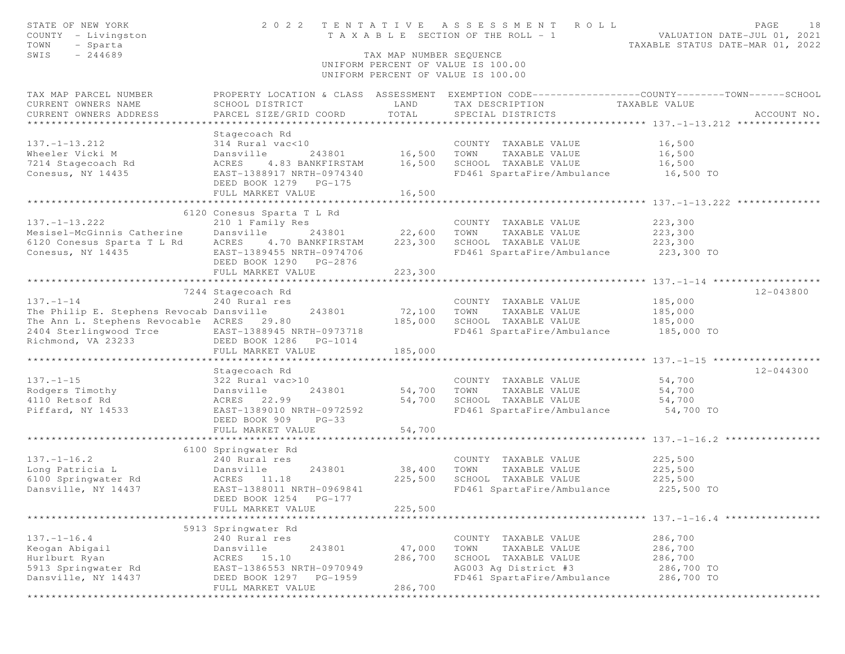| STATE OF NEW YORK<br>COUNTY - Livingston<br>TOWN<br>- Sparta<br>$-244689$<br>SWIS | TENTATIVE<br>ASSESSMENT ROLL<br>2 0 2 2<br>T A X A B L E SECTION OF THE ROLL - 1<br>TAX MAP NUMBER SEQUENCE |               |                                                                          | PAGE<br>18<br>VALUATION DATE-JUL 01, 2021<br>TAXABLE STATUS DATE-MAR 01, 2022                   |
|-----------------------------------------------------------------------------------|-------------------------------------------------------------------------------------------------------------|---------------|--------------------------------------------------------------------------|-------------------------------------------------------------------------------------------------|
|                                                                                   |                                                                                                             |               | UNIFORM PERCENT OF VALUE IS 100.00<br>UNIFORM PERCENT OF VALUE IS 100.00 |                                                                                                 |
| TAX MAP PARCEL NUMBER                                                             |                                                                                                             |               |                                                                          | PROPERTY LOCATION & CLASS ASSESSMENT EXEMPTION CODE---------------COUNTY-------TOWN------SCHOOL |
| CURRENT OWNERS NAME                                                               | SCHOOL DISTRICT                                                                                             | LAND          | TAX DESCRIPTION TAXABLE VALUE                                            |                                                                                                 |
| CURRENT OWNERS ADDRESS                                                            | PARCEL SIZE/GRID COORD                                                                                      | TOTAL         | SPECIAL DISTRICTS                                                        | ACCOUNT NO.                                                                                     |
|                                                                                   |                                                                                                             |               |                                                                          |                                                                                                 |
|                                                                                   | Stagecoach Rd                                                                                               |               |                                                                          |                                                                                                 |
| $137. - 1 - 13.212$<br>Wheeler Vicki M                                            | 314 Rural vac<10<br>Dansville                                                                               | 243801 16,500 | COUNTY TAXABLE VALUE<br>TOWN<br>TAXABLE VALUE                            | 16,500<br>16,500                                                                                |
| 7214 Stagecoach Rd                                                                | ACRES<br>4.83 BANKFIRSTAM                                                                                   | 16,500        | SCHOOL TAXABLE VALUE                                                     | 16,500                                                                                          |
| Conesus, NY 14435                                                                 | EAST-1388917 NRTH-0974340                                                                                   |               | FD461 SpartaFire/Ambulance 16,500 TO                                     |                                                                                                 |
|                                                                                   | DEED BOOK 1279 PG-175                                                                                       |               |                                                                          |                                                                                                 |
|                                                                                   | FULL MARKET VALUE                                                                                           | 16,500        |                                                                          |                                                                                                 |
|                                                                                   |                                                                                                             |               |                                                                          |                                                                                                 |
|                                                                                   | 6120 Conesus Sparta T L Rd                                                                                  |               |                                                                          |                                                                                                 |
| $137. - 1 - 13.222$                                                               | 210 1 Family Res                                                                                            |               | COUNTY TAXABLE VALUE                                                     | 223,300                                                                                         |
| Mesisel-McGinnis Catherine Dansville                                              | 243801                                                                                                      | 22,600        | TOWN<br>TAXABLE VALUE                                                    | 223,300                                                                                         |
| 6120 Conesus Sparta T L Rd ACRES 4.70 BANKFIRSTAM                                 |                                                                                                             | 223,300       | SCHOOL TAXABLE VALUE                                                     | 223,300                                                                                         |
| Conesus, NY 14435                                                                 | EAST-1389455 NRTH-0974706                                                                                   |               | FD461 SpartaFire/Ambulance 223,300 TO                                    |                                                                                                 |
|                                                                                   | DEED BOOK 1290 PG-2876                                                                                      |               |                                                                          |                                                                                                 |
|                                                                                   | FULL MARKET VALUE                                                                                           | 223,300       |                                                                          |                                                                                                 |
|                                                                                   | 7244 Stagecoach Rd                                                                                          |               |                                                                          | 12-043800                                                                                       |
| $137. - 1 - 14$                                                                   | 240 Rural res                                                                                               |               | COUNTY TAXABLE VALUE                                                     | 185,000                                                                                         |
| The Philip E. Stephens Revocab Dansville                                          | 243801                                                                                                      | 72,100        | TOWN<br>TAXABLE VALUE                                                    | 185,000                                                                                         |
| The Ann L. Stephens Revocable ACRES 29.80                                         |                                                                                                             | 185,000       |                                                                          |                                                                                                 |
| 2404 Sterlingwood Trce EAST-1388945 NRTH-0973718                                  |                                                                                                             |               | SCHOOL TAXABLE VALUE 185,000<br>FD461 SpartaFire/Ambulance 185,000 TO    |                                                                                                 |
| Richmond, VA 23233 DEED BOOK 1286 PG-1014                                         |                                                                                                             |               |                                                                          |                                                                                                 |
|                                                                                   | FULL MARKET VALUE                                                                                           | 185,000       |                                                                          |                                                                                                 |
|                                                                                   |                                                                                                             | ************  |                                                                          |                                                                                                 |
|                                                                                   | Stagecoach Rd                                                                                               |               |                                                                          | 12-044300                                                                                       |
| $137. - 1 - 15$                                                                   | 322 Rural vac>10                                                                                            |               | COUNTY TAXABLE VALUE                                                     | 54,700                                                                                          |
| Rodgers Timothy                                                                   | Dansville<br>ACRES 22.99<br>243801                                                                          | 54,700        | TOWN<br>TAXABLE VALUE<br>SCHOOL TAXABLE VALUE                            | 54,700                                                                                          |
| 4110 Retsof Rd<br>Piffard, NY 14533                                               | EAST-1389010 NRTH-0972592                                                                                   | 54,700        | FD461 SpartaFire/Ambulance 54,700 TO                                     | 54,700                                                                                          |
|                                                                                   | DEED BOOK 909<br>$PG-33$                                                                                    |               |                                                                          |                                                                                                 |
|                                                                                   | FULL MARKET VALUE                                                                                           | 54,700        |                                                                          |                                                                                                 |
|                                                                                   |                                                                                                             |               |                                                                          |                                                                                                 |
|                                                                                   | 6100 Springwater Rd                                                                                         |               |                                                                          |                                                                                                 |
| $137. - 1 - 16.2$                                                                 | 240 Rural res                                                                                               |               | COUNTY TAXABLE VALUE                                                     | 225,500                                                                                         |
| Long Patricia L                                                                   | Dansville<br>243801                                                                                         | 38,400        | TOWN<br>TAXABLE VALUE                                                    | 225,500                                                                                         |
| 6100 Springwater Rd                                                               | ACRES 11.18                                                                                                 | 225,500       | SCHOOL TAXABLE VALUE                                                     | 225,500                                                                                         |
| Dansville, NY 14437                                                               | EAST-1388011 NRTH-0969841                                                                                   |               | FD461 SpartaFire/Ambulance                                               | 225,500 TO                                                                                      |
|                                                                                   |                                                                                                             |               |                                                                          |                                                                                                 |
|                                                                                   | FULL MARKET VALUE                                                                                           | 225,500       |                                                                          | ************************ 137.-1-16.4 *****************                                          |
|                                                                                   | 5913 Springwater Rd                                                                                         |               |                                                                          |                                                                                                 |
| $137. - 1 - 16.4$                                                                 | 240 Rural res                                                                                               |               | COUNTY TAXABLE VALUE                                                     | 286,700                                                                                         |
| Keogan Abigail                                                                    | 243801<br>Dansville                                                                                         | 47,000        | TOWN<br>TAXABLE VALUE                                                    | 286,700                                                                                         |
| Hurlburt Ryan                                                                     | ACRES<br>15.10                                                                                              | 286,700       | SCHOOL TAXABLE VALUE                                                     | 286,700                                                                                         |
| 5913 Springwater Rd                                                               | EAST-1386553 NRTH-0970949                                                                                   |               | AG003 Ag District #3                                                     | 286,700 TO                                                                                      |
| Dansville, NY 14437                                                               | DEED BOOK 1297<br>PG-1959                                                                                   |               | FD461 SpartaFire/Ambulance                                               | 286,700 TO                                                                                      |
|                                                                                   | FULL MARKET VALUE                                                                                           | 286,700       |                                                                          |                                                                                                 |
|                                                                                   | *******************************                                                                             |               | ***********************                                                  | *****************************                                                                   |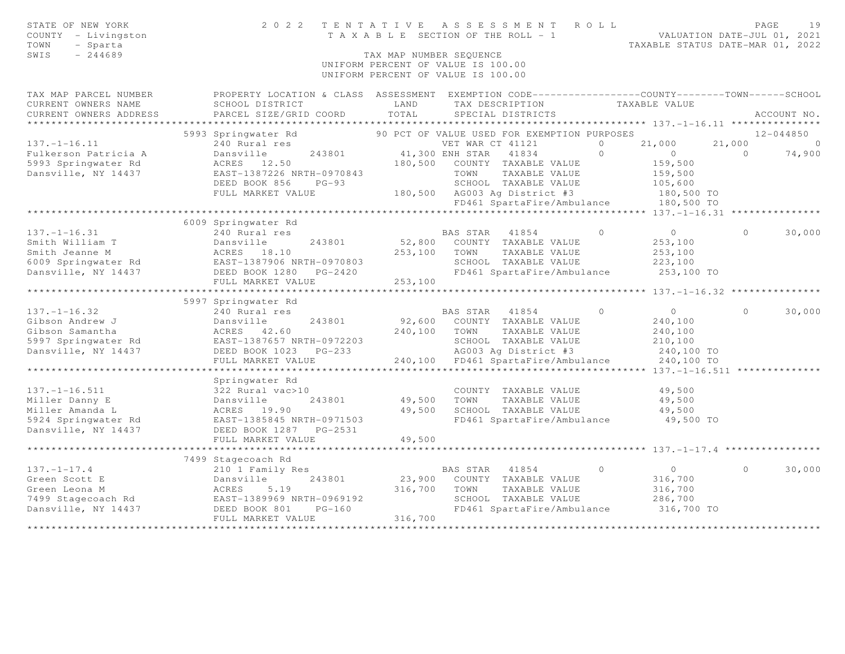| STATE OF NEW YORK<br>COUNTY - Livingston<br>- Sparta<br>TOWN<br>SWIS<br>$-244689$ | 2 0 2 2                                                                                                                                       | TENTATIVE<br>T A X A B L E SECTION OF THE ROLL - 1<br>TAX MAP NUMBER SEQUENCE<br>UNIFORM PERCENT OF VALUE IS 100.00<br>UNIFORM PERCENT OF VALUE IS 100.00 | ASSESSMENT ROLL                      |                                                                    | PAGE<br>19<br>VALUATION DATE-JUL 01, 2021<br>TAXABLE STATUS DATE-MAR 01, 2022 |
|-----------------------------------------------------------------------------------|-----------------------------------------------------------------------------------------------------------------------------------------------|-----------------------------------------------------------------------------------------------------------------------------------------------------------|--------------------------------------|--------------------------------------------------------------------|-------------------------------------------------------------------------------|
| TAX MAP PARCEL NUMBER<br>CURRENT OWNERS NAME<br>CURRENT OWNERS ADDRESS            | PROPERTY LOCATION & CLASS ASSESSMENT EXEMPTION CODE----------------COUNTY-------TOWN------SCHOOL<br>SCHOOL DISTRICT<br>PARCEL SIZE/GRID COORD | LAND<br>TOTAL                                                                                                                                             | TAX DESCRIPTION<br>SPECIAL DISTRICTS | TAXABLE VALUE                                                      | ACCOUNT NO.                                                                   |
| ******************                                                                |                                                                                                                                               |                                                                                                                                                           |                                      |                                                                    |                                                                               |
|                                                                                   | 5993 Springwater Rd                                                                                                                           | 90 PCT OF VALUE USED FOR EXEMPTION PURPOSES                                                                                                               |                                      |                                                                    | $12 - 044850$                                                                 |
| $137. - 1 - 16.11$                                                                | 240 Rural res                                                                                                                                 | VET WAR CT 41121                                                                                                                                          |                                      | 21,000<br>$\Omega$                                                 | 21,000<br>$\overline{0}$                                                      |
| Fulkerson Patricia A                                                              | Dansville<br>243801                                                                                                                           | 41,300 ENH STAR                                                                                                                                           | 41834                                | $\Omega$<br>$\circ$                                                | 74,900<br>$\Omega$                                                            |
| 5993 Springwater Rd                                                               | ACRES 12.50                                                                                                                                   | 180,500                                                                                                                                                   | COUNTY TAXABLE VALUE                 | 159,500                                                            |                                                                               |
| Dansville, NY 14437                                                               | EAST-1387226 NRTH-0970843                                                                                                                     | TOWN                                                                                                                                                      | TAXABLE VALUE                        | 159,500                                                            |                                                                               |
|                                                                                   | DEED BOOK 856<br>$PG-93$                                                                                                                      |                                                                                                                                                           | SCHOOL TAXABLE VALUE                 | 105,600                                                            |                                                                               |
|                                                                                   | FULL MARKET VALUE                                                                                                                             | 180,500 AG003 Ag District #3                                                                                                                              |                                      | 180,500 TO                                                         |                                                                               |
|                                                                                   | ********************************                                                                                                              |                                                                                                                                                           | FD461 SpartaFire/Ambulance           | 180,500 TO                                                         |                                                                               |
|                                                                                   |                                                                                                                                               |                                                                                                                                                           |                                      | ************************************ 137.-1-16.31 **************** |                                                                               |
|                                                                                   | 6009 Springwater Rd                                                                                                                           |                                                                                                                                                           |                                      | $\Omega$<br>$\overline{0}$                                         | $\Omega$                                                                      |
| $137. - 1 - 16.31$<br>Smith William T                                             | 240 Rural res<br>Dansville<br>243801                                                                                                          | BAS STAR 41854<br>52,800                                                                                                                                  | COUNTY TAXABLE VALUE                 | 253,100                                                            | 30,000                                                                        |
| Smith Jeanne M                                                                    | ACRES 18.10                                                                                                                                   | 253,100<br>TOWN                                                                                                                                           | TAXABLE VALUE                        | 253,100                                                            |                                                                               |
| 6009 Springwater Rd                                                               | EAST-1387906 NRTH-0970803                                                                                                                     |                                                                                                                                                           | SCHOOL TAXABLE VALUE                 | 223,100                                                            |                                                                               |
| Dansville, NY 14437                                                               | DEED BOOK 1280<br>$PG-2420$                                                                                                                   |                                                                                                                                                           | FD461 SpartaFire/Ambulance           | 253,100 TO                                                         |                                                                               |
|                                                                                   | FULL MARKET VALUE                                                                                                                             | 253,100                                                                                                                                                   |                                      |                                                                    |                                                                               |
|                                                                                   | *********************                                                                                                                         | **********************************                                                                                                                        |                                      | ********* 137.-1-16.32 ****************                            |                                                                               |
|                                                                                   | 5997 Springwater Rd                                                                                                                           |                                                                                                                                                           |                                      |                                                                    |                                                                               |
| $137. - 1 - 16.32$                                                                | 240 Rural res                                                                                                                                 | BAS STAR 41854                                                                                                                                            |                                      | $\bigcirc$<br>$\circ$                                              | $\Omega$<br>30,000                                                            |
| Gibson Andrew J                                                                   | Dansville<br>243801                                                                                                                           | 92,600                                                                                                                                                    | COUNTY TAXABLE VALUE                 | 240,100                                                            |                                                                               |
| Gibson Samantha                                                                   | ACRES 42.60                                                                                                                                   | 240,100<br>TOWN                                                                                                                                           | TAXABLE VALUE                        | 240,100                                                            |                                                                               |
| 5997 Springwater Rd                                                               | EAST-1387657 NRTH-0972203                                                                                                                     |                                                                                                                                                           | SCHOOL TAXABLE VALUE                 | 210,100                                                            |                                                                               |
| Dansville, NY 14437                                                               | DEED BOOK 1023<br>$PG-233$                                                                                                                    |                                                                                                                                                           | AG003 Ag District #3                 | 240,100 TO                                                         |                                                                               |
|                                                                                   | FULL MARKET VALUE<br>********************                                                                                                     | 240,100                                                                                                                                                   | FD461 SpartaFire/Ambulance           | 240,100 TO                                                         |                                                                               |
|                                                                                   |                                                                                                                                               |                                                                                                                                                           |                                      |                                                                    |                                                                               |
| $137. - 1 - 16.511$                                                               | Springwater Rd<br>322 Rural vac>10                                                                                                            |                                                                                                                                                           | COUNTY TAXABLE VALUE                 | 49,500                                                             |                                                                               |
| Miller Danny E                                                                    | Dansville<br>243801                                                                                                                           | 49,500<br>TOWN                                                                                                                                            | TAXABLE VALUE                        | 49,500                                                             |                                                                               |
| Miller Amanda L                                                                   | ACRES 19.90                                                                                                                                   | 49,500                                                                                                                                                    | SCHOOL TAXABLE VALUE                 | 49,500                                                             |                                                                               |
| 5924 Springwater Rd                                                               | EAST-1385845 NRTH-0971503                                                                                                                     |                                                                                                                                                           | FD461 SpartaFire/Ambulance           | 49,500 TO                                                          |                                                                               |
| Dansville, NY 14437                                                               | DEED BOOK 1287 PG-2531                                                                                                                        |                                                                                                                                                           |                                      |                                                                    |                                                                               |
|                                                                                   | FULL MARKET VALUE                                                                                                                             | 49,500                                                                                                                                                    |                                      |                                                                    |                                                                               |
|                                                                                   |                                                                                                                                               |                                                                                                                                                           |                                      |                                                                    |                                                                               |
|                                                                                   | 7499 Stagecoach Rd                                                                                                                            |                                                                                                                                                           |                                      |                                                                    |                                                                               |
| $137. - 1 - 17.4$                                                                 | 210 1 Family Res                                                                                                                              | BAS STAR 41854                                                                                                                                            |                                      | $\Omega$<br>$\circ$                                                | $\Omega$<br>30,000                                                            |
| Green Scott E                                                                     | Dansville<br>243801                                                                                                                           | 23,900                                                                                                                                                    | COUNTY TAXABLE VALUE                 | 316,700                                                            |                                                                               |
| Green Leona M                                                                     | 5.19<br>ACRES                                                                                                                                 | 316,700<br>TOWN                                                                                                                                           | TAXABLE VALUE                        | 316,700                                                            |                                                                               |
| 7499 Stagecoach Rd                                                                | EAST-1389969 NRTH-0969192                                                                                                                     |                                                                                                                                                           | SCHOOL TAXABLE VALUE                 | 286,700                                                            |                                                                               |
| Dansville, NY 14437                                                               | DEED BOOK 801<br>$PG-160$                                                                                                                     |                                                                                                                                                           | FD461 SpartaFire/Ambulance           | 316,700 TO                                                         |                                                                               |
|                                                                                   | FULL MARKET VALUE                                                                                                                             | 316,700                                                                                                                                                   |                                      |                                                                    |                                                                               |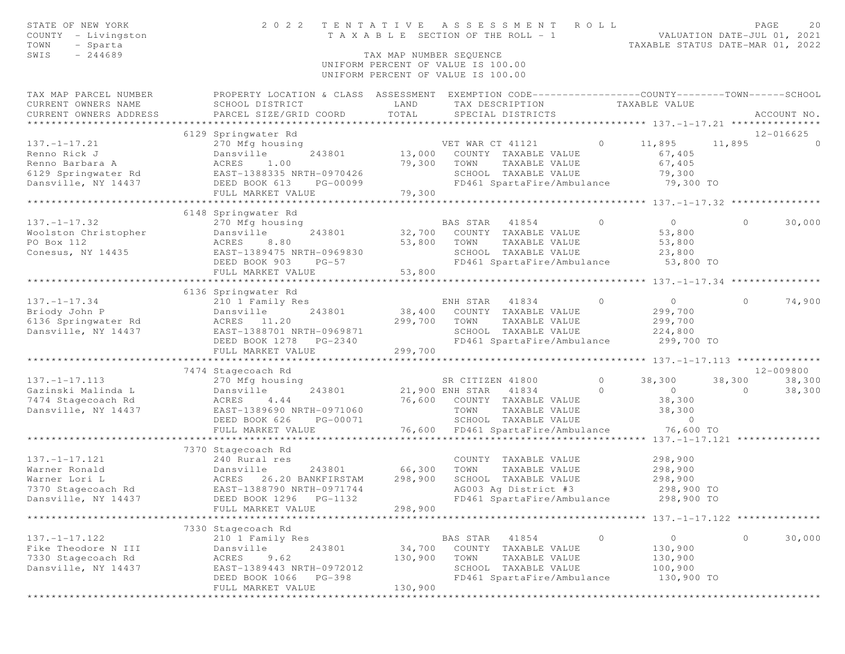| STATE OF NEW YORK<br>COUNTY - Livingston<br>TOWN<br>- Sparta<br>SWIS<br>$-244689$ | 2 0 2 2                                                                                                                                       | TAX MAP NUMBER SEOUENCE      | TENTATIVE ASSESSMENT<br>T A X A B L E SECTION OF THE ROLL - 1<br>UNIFORM PERCENT OF VALUE IS 100.00 | R O L L  | TAXABLE STATUS DATE-MAR 01, 2022                    | VALUATION DATE-JUL 01, 2021 | PAGE<br>20  |
|-----------------------------------------------------------------------------------|-----------------------------------------------------------------------------------------------------------------------------------------------|------------------------------|-----------------------------------------------------------------------------------------------------|----------|-----------------------------------------------------|-----------------------------|-------------|
|                                                                                   |                                                                                                                                               |                              | UNIFORM PERCENT OF VALUE IS 100.00                                                                  |          |                                                     |                             |             |
| TAX MAP PARCEL NUMBER<br>CURRENT OWNERS NAME<br>CURRENT OWNERS ADDRESS            | PROPERTY LOCATION & CLASS ASSESSMENT EXEMPTION CODE----------------COUNTY-------TOWN------SCHOOL<br>SCHOOL DISTRICT<br>PARCEL SIZE/GRID COORD | LAND<br>TOTAL                | TAX DESCRIPTION<br>SPECIAL DISTRICTS                                                                |          | TAXABLE VALUE                                       |                             | ACCOUNT NO. |
|                                                                                   | 6129 Springwater Rd                                                                                                                           |                              |                                                                                                     |          |                                                     |                             | 12-016625   |
| $137. - 1 - 17.21$                                                                | 270 Mfg housing                                                                                                                               |                              | VET WAR CT 41121                                                                                    | $\Omega$ | 11,895                                              | 11,895                      | $\bigcirc$  |
| Renno Rick J                                                                      | Dansville<br>243801                                                                                                                           | 13,000                       | COUNTY TAXABLE VALUE                                                                                |          | 67,405                                              |                             |             |
| Renno Barbara A                                                                   | ACRES<br>1.00                                                                                                                                 | 79,300                       | TOWN<br>TAXABLE VALUE                                                                               |          | 67,405                                              |                             |             |
| 6129 Springwater Rd                                                               | EAST-1388335 NRTH-0970426                                                                                                                     |                              | SCHOOL TAXABLE VALUE                                                                                |          | 79,300                                              |                             |             |
| Dansville, NY 14437                                                               | DEED BOOK 613<br>PG-00099                                                                                                                     | 79,300                       | FD461 SpartaFire/Ambulance                                                                          |          | 79,300 TO                                           |                             |             |
|                                                                                   | FULL MARKET VALUE<br>*****************************                                                                                            |                              |                                                                                                     |          |                                                     |                             |             |
|                                                                                   | 6148 Springwater Rd                                                                                                                           |                              |                                                                                                     |          |                                                     |                             |             |
| $137. - 1 - 17.32$                                                                | 270 Mfg housing                                                                                                                               |                              | BAS STAR 41854                                                                                      | $\circ$  | $\circ$                                             | $\circ$                     | 30,000      |
| Woolston Christopher                                                              | Dansville<br>243801                                                                                                                           | 32,700                       | COUNTY TAXABLE VALUE                                                                                |          | 53,800                                              |                             |             |
| PO Box 112                                                                        | ACRES<br>8.80                                                                                                                                 | 53,800                       | TAXABLE VALUE<br>TOWN                                                                               |          | 53,800                                              |                             |             |
| Conesus, NY 14435                                                                 | EAST-1389475 NRTH-0969830                                                                                                                     |                              | SCHOOL TAXABLE VALUE                                                                                |          | 23,800                                              |                             |             |
|                                                                                   | DEED BOOK 903<br>$PG-57$                                                                                                                      |                              | FD461 SpartaFire/Ambulance                                                                          |          | 53,800 TO                                           |                             |             |
|                                                                                   | FULL MARKET VALUE                                                                                                                             | 53,800                       |                                                                                                     |          |                                                     |                             |             |
|                                                                                   |                                                                                                                                               |                              |                                                                                                     |          |                                                     |                             |             |
|                                                                                   | 6136 Springwater Rd                                                                                                                           |                              |                                                                                                     |          |                                                     |                             |             |
| $137. - 1 - 17.34$                                                                | 210 1 Family Res                                                                                                                              |                              | ENH STAR<br>41834                                                                                   | $\circ$  | $\overline{0}$                                      | $\circ$                     | 74,900      |
| Briody John P                                                                     | Dansville<br>243801                                                                                                                           | 38,400                       | COUNTY TAXABLE VALUE                                                                                |          | 299,700                                             |                             |             |
| 6136 Springwater Rd                                                               | ACRES 11.20                                                                                                                                   | 299,700                      | TOWN<br>TAXABLE VALUE                                                                               |          | 299,700                                             |                             |             |
| Dansville, NY 14437                                                               | EAST-1388701 NRTH-0969871                                                                                                                     |                              | SCHOOL TAXABLE VALUE                                                                                |          | 224,800                                             |                             |             |
|                                                                                   | DEED BOOK 1278<br>PG-2340<br>FULL MARKET VALUE                                                                                                | 299,700                      | FD461 SpartaFire/Ambulance                                                                          |          | 299,700 TO                                          |                             |             |
|                                                                                   |                                                                                                                                               |                              |                                                                                                     |          |                                                     |                             |             |
|                                                                                   | 7474 Stagecoach Rd                                                                                                                            |                              |                                                                                                     |          |                                                     |                             | 12-009800   |
| $137. - 1 - 17.113$                                                               | 270 Mfg housing                                                                                                                               |                              | SR CITIZEN 41800                                                                                    | $\Omega$ | 38,300                                              | 38,300                      | 38,300      |
| Gazinski Malinda L                                                                | Dansville<br>243801                                                                                                                           |                              | 21,900 ENH STAR<br>41834                                                                            | $\circ$  | $\circ$                                             | $\circ$                     | 38,300      |
| 7474 Stagecoach Rd                                                                | ACRES<br>4.44                                                                                                                                 | 76,600                       | COUNTY TAXABLE VALUE                                                                                |          | 38,300                                              |                             |             |
| Dansville, NY 14437                                                               | EAST-1389690 NRTH-0971060                                                                                                                     |                              | TOWN<br>TAXABLE VALUE                                                                               |          | 38,300                                              |                             |             |
|                                                                                   | DEED BOOK 626<br>PG-00071                                                                                                                     |                              | SCHOOL TAXABLE VALUE                                                                                |          | $\circ$                                             |                             |             |
|                                                                                   | FULL MARKET VALUE                                                                                                                             | 76,600                       | FD461 SpartaFire/Ambulance                                                                          |          | 76,600 TO                                           |                             |             |
|                                                                                   | ***********************                                                                                                                       |                              |                                                                                                     |          |                                                     |                             |             |
|                                                                                   | 7370 Stagecoach Rd                                                                                                                            |                              |                                                                                                     |          |                                                     |                             |             |
| $137. - 1 - 17.121$                                                               | 240 Rural res                                                                                                                                 |                              | COUNTY TAXABLE VALUE                                                                                |          | 298,900                                             |                             |             |
| Warner Ronald                                                                     | Dansville<br>243801                                                                                                                           | 66,300                       | TOWN<br>TAXABLE VALUE                                                                               |          | 298,900                                             |                             |             |
| Warner Lori L                                                                     | ACRES<br>26.20 BANKFIRSTAM                                                                                                                    | 298,900                      | SCHOOL TAXABLE VALUE                                                                                |          | 298,900                                             |                             |             |
| 7370 Stagecoach Rd                                                                | EAST-1388790 NRTH-0971744                                                                                                                     |                              | AG003 Ag District #3                                                                                |          | 298,900 TO                                          |                             |             |
| Dansville, NY 14437                                                               | DEED BOOK 1296    PG-1132                                                                                                                     |                              | FD461 SpartaFire/Ambulance                                                                          |          | 298,900 TO                                          |                             |             |
|                                                                                   | FULL MARKET VALUE                                                                                                                             | 298,900<br>* * * * * * * * * |                                                                                                     |          | ********************** 137.-1-17.122 ************** |                             |             |
|                                                                                   | 7330 Stagecoach Rd                                                                                                                            |                              |                                                                                                     |          |                                                     |                             |             |
| $137. - 1 - 17.122$                                                               | 210 1 Family Res                                                                                                                              |                              | BAS STAR<br>41854                                                                                   | 0        | 0                                                   | 0                           | 30,000      |
| Fike Theodore N III                                                               | 243801<br>Dansville                                                                                                                           | 34,700                       | COUNTY<br>TAXABLE VALUE                                                                             |          | 130,900                                             |                             |             |
| 7330 Stagecoach Rd                                                                | 9.62<br>ACRES                                                                                                                                 | 130,900                      | TAXABLE VALUE<br>TOWN                                                                               |          | 130,900                                             |                             |             |
| Dansville, NY 14437                                                               | EAST-1389443 NRTH-0972012                                                                                                                     |                              | SCHOOL TAXABLE VALUE                                                                                |          | 100,900                                             |                             |             |
|                                                                                   | DEED BOOK 1066<br>PG-398                                                                                                                      |                              | FD461 SpartaFire/Ambulance                                                                          |          | 130,900 TO                                          |                             |             |
|                                                                                   | FULL MARKET VALUE                                                                                                                             | 130,900                      |                                                                                                     |          |                                                     |                             |             |
|                                                                                   | *************************                                                                                                                     |                              | **********************                                                                              |          | *************************************               |                             |             |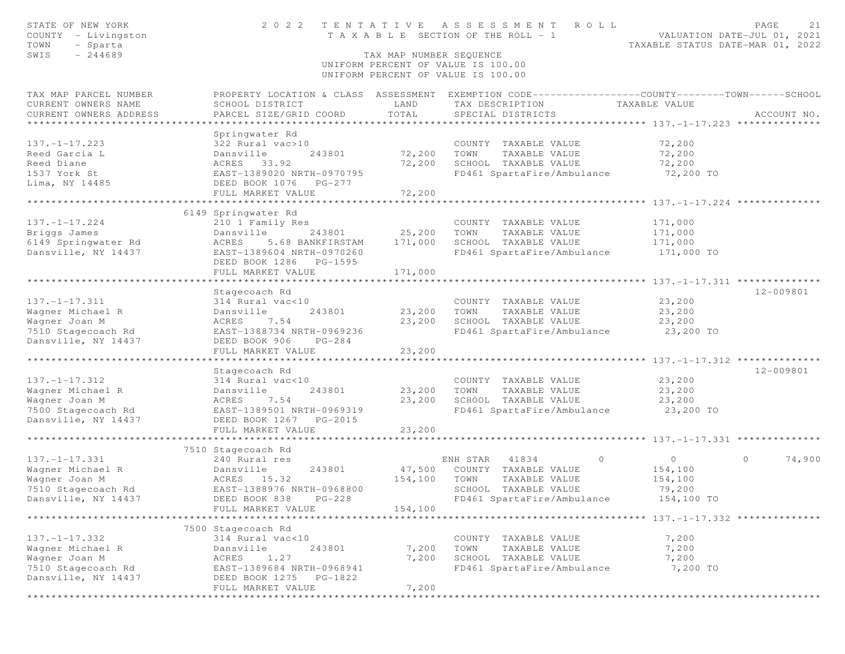| SWIS<br>$-244689$<br>TAX MAP NUMBER SEOUENCE                                                                                                       |               |
|----------------------------------------------------------------------------------------------------------------------------------------------------|---------------|
| UNIFORM PERCENT OF VALUE IS 100.00<br>UNIFORM PERCENT OF VALUE IS 100.00                                                                           |               |
| PROPERTY LOCATION & CLASS ASSESSMENT EXEMPTION CODE----------------COUNTY-------TOWN-----SCHOOL<br>TAX MAP PARCEL NUMBER                           |               |
| CURRENT OWNERS NAME<br>SCHOOL DISTRICT<br>LAND<br>TAXABLE VALUE<br>TAX DESCRIPTION                                                                 |               |
| TOTAL<br>CURRENT OWNERS ADDRESS<br>PARCEL SIZE/GRID COORD<br>SPECIAL DISTRICTS                                                                     | ACCOUNT NO.   |
| ***********************                                                                                                                            |               |
| Springwater Rd<br>$137. - 1 - 17.223$<br>322 Rural vac>10<br>COUNTY TAXABLE VALUE<br>72,200                                                        |               |
| Dansville<br>72,200<br>TOWN<br>TAXABLE VALUE<br>72,200<br>Reed Garcia L<br>243801                                                                  |               |
| 72,200<br>SCHOOL TAXABLE VALUE<br>72,200<br>Reed Diane<br>ACRES 33.92                                                                              |               |
| 72,200 TO<br>1537 York St<br>EAST-1389020 NRTH-0970795<br>FD461 SpartaFire/Ambulance                                                               |               |
| Lima, NY 14485<br>DEED BOOK 1076 PG-277                                                                                                            |               |
| 72,200<br>FULL MARKET VALUE                                                                                                                        |               |
|                                                                                                                                                    |               |
| 6149 Springwater Rd                                                                                                                                |               |
| $137. - 1 - 17.224$<br>210 1 Family Res<br>COUNTY TAXABLE VALUE<br>171,000                                                                         |               |
| Briggs James<br>25,200<br>Dansville<br>243801<br>TOWN<br>TAXABLE VALUE<br>171,000<br>5.68 BANKFIRSTAM<br>SCHOOL TAXABLE VALUE                      |               |
| 6149 Springwater Rd<br>171,000<br>171,000<br>ACRES<br>FD461 SpartaFire/Ambulance<br>Dansville, NY 14437<br>EAST-1389604 NRTH-0970260<br>171,000 TO |               |
| DEED BOOK 1286 PG-1595                                                                                                                             |               |
| FULL MARKET VALUE<br>171,000                                                                                                                       |               |
|                                                                                                                                                    |               |
| Stagecoach Rd                                                                                                                                      | $12 - 009801$ |
| $137. - 1 - 17.311$<br>23,200<br>314 Rural vac<10<br>COUNTY TAXABLE VALUE                                                                          |               |
| Wagner Michael R<br>TAXABLE VALUE<br>23,200<br>Dansville<br>243801<br>23,200<br>TOWN                                                               |               |
| Wagner Joan M<br>23,200<br>SCHOOL TAXABLE VALUE<br>23,200<br>ACRES<br>7.54                                                                         |               |
| 23,200 TO<br>7510 Stagecoach Rd<br>EAST-1388734 NRTH-0969236<br>FD461 SpartaFire/Ambulance                                                         |               |
| Dansville, NY 14437<br>DEED BOOK 906<br>$PG-284$                                                                                                   |               |
| FULL MARKET VALUE<br>23,200<br>***********************<br>* * * * * * * * * *                                                                      |               |
| Stagecoach Rd                                                                                                                                      | 12-009801     |
| $137. - 1 - 17.312$<br>314 Rural vac<10<br>COUNTY TAXABLE VALUE<br>23,200                                                                          |               |
| Wagner Michael R<br>Dansville<br>243801<br>23,200<br>TOWN<br>TAXABLE VALUE<br>23,200                                                               |               |
| 7.54<br>23,200<br>SCHOOL TAXABLE VALUE<br>23,200<br>Wagner Joan M<br>ACRES                                                                         |               |
| EAST-1389501 NRTH-0969319<br>7500 Stagecoach Rd<br>FD461 SpartaFire/Ambulance<br>23,200 TO                                                         |               |
| Dansville, NY 14437<br>DEED BOOK 1267<br>PG-2015                                                                                                   |               |
| 23,200<br>FULL MARKET VALUE                                                                                                                        |               |
| **************************                                                                                                                         |               |
| 7510 Stagecoach Rd                                                                                                                                 |               |
| $137. - 1 - 17.331$<br>41834<br>240 Rural res<br>ENH STAR<br>$\circ$<br>$\circ$<br>$\circ$                                                         | 74,900        |
| 243801<br>47,500<br>Wagner Michael R<br>COUNTY TAXABLE VALUE<br>154,100<br>Dansville<br>154,100<br>TOWN<br>TAXABLE VALUE                           |               |
| Wagner Joan M<br>ACRES 15.32<br>154,100<br>7510 Stagecoach Rd<br>EAST-1388976 NRTH-0968800<br>SCHOOL TAXABLE VALUE<br>79,200                       |               |
| Dansville, NY 14437<br>DEED BOOK 838 PG-228<br>154,100 TO<br>FD461 SpartaFire/Ambulance                                                            |               |
| FULL MARKET VALUE<br>154,100                                                                                                                       |               |
|                                                                                                                                                    |               |
| 7500 Stagecoach Rd                                                                                                                                 |               |
| $137. - 1 - 17.332$<br>314 Rural vac<10<br>7,200<br>COUNTY TAXABLE VALUE                                                                           |               |
| Wagner Michael R<br>7,200<br>TAXABLE VALUE<br>7,200<br>Dansville<br>243801<br>TOWN                                                                 |               |
| Wagner Joan M<br>1.27<br>7,200<br>SCHOOL TAXABLE VALUE<br>7,200<br>ACRES                                                                           |               |
| 7510 Stagecoach Rd<br>EAST-1389684 NRTH-0968941<br>FD461 SpartaFire/Ambulance<br>7,200 TO                                                          |               |
| Dansville, NY 14437<br>DEED BOOK 1275<br>PG-1822                                                                                                   |               |
| 7,200<br>FULL MARKET VALUE                                                                                                                         |               |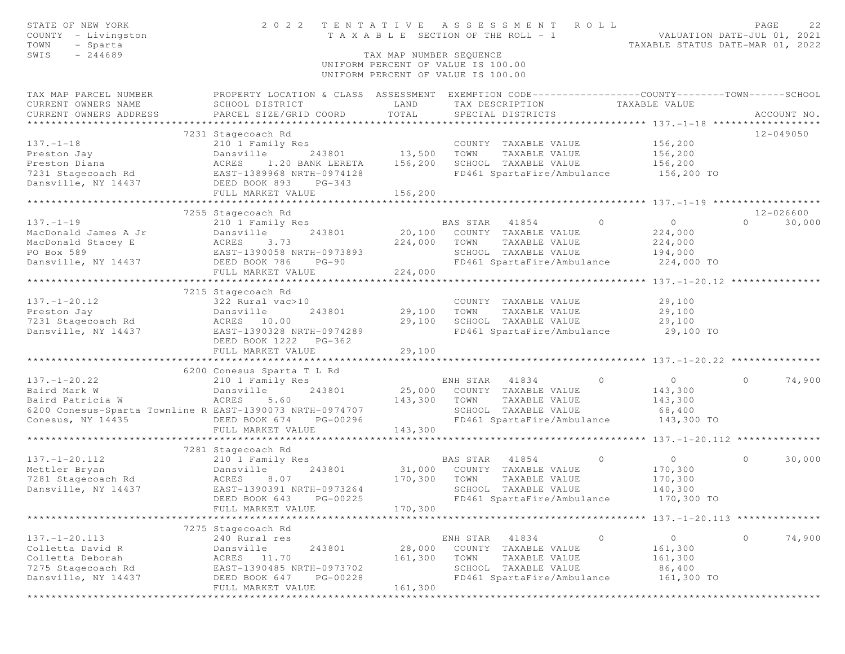| STATE OF NEW YORK<br>COUNTY - Livingston<br>TOWN<br>- Sparta                                                                                                     | 2 0 2 2<br>TENTATIVE<br>A S S E S S M E N T<br>ROLL<br>T A X A B L E SECTION OF THE ROLL - 1       |                                                                                                     |                |                                       |         |                | PAGE<br>VALUATION DATE-JUL 01, 2021<br>TAXABLE STATUS DATE-MAR 01, 2022 | 22     |
|------------------------------------------------------------------------------------------------------------------------------------------------------------------|----------------------------------------------------------------------------------------------------|-----------------------------------------------------------------------------------------------------|----------------|---------------------------------------|---------|----------------|-------------------------------------------------------------------------|--------|
| SWIS<br>$-244689$                                                                                                                                                |                                                                                                    | TAX MAP NUMBER SEOUENCE<br>UNIFORM PERCENT OF VALUE IS 100.00<br>UNIFORM PERCENT OF VALUE IS 100.00 |                |                                       |         |                |                                                                         |        |
| TAX MAP PARCEL NUMBER                                                                                                                                            | PROPERTY LOCATION & CLASS ASSESSMENT EXEMPTION CODE-----------------COUNTY--------TOWN------SCHOOL |                                                                                                     |                |                                       |         |                |                                                                         |        |
| CURRENT OWNERS NAME                                                                                                                                              | SCHOOL DISTRICT                                                                                    | LAND                                                                                                |                | TAX DESCRIPTION TAXABLE VALUE         |         |                |                                                                         |        |
| CURRENT OWNERS ADDRESS                                                                                                                                           | PARCEL SIZE/GRID COORD                                                                             | TOTAL                                                                                               |                | SPECIAL DISTRICTS                     |         |                | ACCOUNT NO.                                                             |        |
|                                                                                                                                                                  |                                                                                                    |                                                                                                     |                |                                       |         |                | 12-049050                                                               |        |
| $137. - 1 - 18$                                                                                                                                                  | 7231 Stagecoach Rd<br>210 1 Family Res                                                             |                                                                                                     |                | COUNTY TAXABLE VALUE                  |         | 156,200        |                                                                         |        |
|                                                                                                                                                                  | 243801 13,500 TOWN                                                                                 |                                                                                                     |                | TAXABLE VALUE                         |         | 156,200        |                                                                         |        |
| Preston Jay bansville 243801<br>Preston Diana acres 1.20 BANK LERETA<br>7231 Stagecoach Rd EAST-1389968 NRTH-0974128<br>Dansville, NY 14437 DEED BOOK 893 PG-343 | 1.20 BANK LERETA 156,200                                                                           |                                                                                                     |                | SCHOOL TAXABLE VALUE                  |         | 156,200        |                                                                         |        |
|                                                                                                                                                                  |                                                                                                    |                                                                                                     |                | FD461 SpartaFire/Ambulance 156,200 TO |         |                |                                                                         |        |
|                                                                                                                                                                  |                                                                                                    |                                                                                                     |                |                                       |         |                |                                                                         |        |
|                                                                                                                                                                  | FULL MARKET VALUE                                                                                  | 156,200                                                                                             |                |                                       |         |                |                                                                         |        |
|                                                                                                                                                                  |                                                                                                    |                                                                                                     |                |                                       |         |                |                                                                         |        |
|                                                                                                                                                                  | 7255 Stagecoach Rd                                                                                 |                                                                                                     |                |                                       |         |                | 12-026600                                                               |        |
| $137. - 1 - 19$                                                                                                                                                  | 210 1 Family Res                                                                                   |                                                                                                     | BAS STAR 41854 |                                       | $\circ$ | $\overline{0}$ | $\Omega$                                                                | 30,000 |
| MacDonald James A Jr                                                                                                                                             | 243801<br>Dansville                                                                                | 20,100                                                                                              |                | COUNTY TAXABLE VALUE                  |         | 224,000        |                                                                         |        |
| MacDonald Stacey E                                                                                                                                               |                                                                                                    | 224,000                                                                                             | TOWN           | TAXABLE VALUE                         |         | 224,000        |                                                                         |        |
| PO Box 589                                                                                                                                                       |                                                                                                    |                                                                                                     |                | SCHOOL TAXABLE VALUE                  |         | 194,000        |                                                                         |        |
| Dansville, NY 14437                                                                                                                                              |                                                                                                    |                                                                                                     |                | FD461 SpartaFire/Ambulance            |         | 224,000 TO     |                                                                         |        |
|                                                                                                                                                                  | FULL MARKET VALUE                                                                                  | 224,000                                                                                             |                |                                       |         |                |                                                                         |        |
|                                                                                                                                                                  |                                                                                                    |                                                                                                     |                |                                       |         |                |                                                                         |        |
|                                                                                                                                                                  | 7215 Stagecoach Rd                                                                                 |                                                                                                     |                |                                       |         |                |                                                                         |        |
| $137. - 1 - 20.12$                                                                                                                                               | 322 Rural vac>10                                                                                   |                                                                                                     |                | COUNTY TAXABLE VALUE                  |         | 29,100         |                                                                         |        |
| Preston Jay                                                                                                                                                      | 243801<br>Dansville                                                                                | 29,100                                                                                              | TOWN           | TAXABLE VALUE                         |         | 29,100         |                                                                         |        |
| 7231 Stagecoach Rd                                                                                                                                               | ACRES 10.00                                                                                        | 29,100                                                                                              |                | SCHOOL TAXABLE VALUE                  |         | 29,100         |                                                                         |        |
| Dansville, NY 14437                                                                                                                                              | EAST-1390328 NRTH-0974289                                                                          |                                                                                                     |                | FD461 SpartaFire/Ambulance            |         | 29,100 TO      |                                                                         |        |
|                                                                                                                                                                  | DEED BOOK 1222 PG-362                                                                              |                                                                                                     |                |                                       |         |                |                                                                         |        |
|                                                                                                                                                                  | FULL MARKET VALUE                                                                                  | 29,100                                                                                              |                |                                       |         |                |                                                                         |        |
|                                                                                                                                                                  | ******************************                                                                     | **************                                                                                      |                |                                       |         |                |                                                                         |        |
|                                                                                                                                                                  | 6200 Conesus Sparta T L Rd                                                                         |                                                                                                     |                |                                       |         |                |                                                                         |        |
| $137. - 1 - 20.22$                                                                                                                                               | 210 1 Family Res                                                                                   |                                                                                                     | ENH STAR       | 41834<br>$\sim$ 0                     |         | $\overline{0}$ | $\circ$                                                                 | 74,900 |
| Baird Mark W                                                                                                                                                     | 243801<br>Dansville                                                                                |                                                                                                     |                | 25,000 COUNTY TAXABLE VALUE           |         | 143,300        |                                                                         |        |
| Baird Patricia W                                                                                                                                                 | ACRES<br>5.60                                                                                      | 143,300                                                                                             | TOWN           | TAXABLE VALUE                         |         | 143,300        |                                                                         |        |
| 6200 Conesus-Sparta Townline R EAST-1390073 NRTH-0974707                                                                                                         |                                                                                                    |                                                                                                     |                | SCHOOL TAXABLE VALUE                  |         | 68,400         |                                                                         |        |
| Conesus, NY 14435                                                                                                                                                | DEED BOOK 674<br>PG-00296                                                                          |                                                                                                     |                | FD461 SpartaFire/Ambulance            |         | 143,300 TO     |                                                                         |        |
|                                                                                                                                                                  | FULL MARKET VALUE                                                                                  | 143,300                                                                                             |                |                                       |         |                |                                                                         |        |
|                                                                                                                                                                  | 7281 Stagecoach Rd                                                                                 |                                                                                                     |                |                                       |         |                |                                                                         |        |
| $137. - 1 - 20.112$                                                                                                                                              | 210 1 Family Res                                                                                   |                                                                                                     | BAS STAR 41854 |                                       | $\circ$ | $\overline{0}$ | $\Omega$                                                                | 30,000 |
| Mettler Bryan                                                                                                                                                    | 243801<br>Dansville                                                                                |                                                                                                     |                | 31,000 COUNTY TAXABLE VALUE           |         | 170,300        |                                                                         |        |
| 7281 Stagecoach Rd                                                                                                                                               | ACRES 8.07                                                                                         | 170,300 TOWN                                                                                        |                | TAXABLE VALUE                         |         | 170,300        |                                                                         |        |
| Dansville, NY 14437                                                                                                                                              | EAST-1390391 NRTH-0973264                                                                          |                                                                                                     |                | SCHOOL TAXABLE VALUE                  |         | 140,300        |                                                                         |        |
|                                                                                                                                                                  | DEED BOOK 643 PG-00225                                                                             |                                                                                                     |                | FD461 SpartaFire/Ambulance            |         | 170,300 TO     |                                                                         |        |
|                                                                                                                                                                  | FULL MARKET VALUE                                                                                  | 170,300                                                                                             |                |                                       |         |                |                                                                         |        |
|                                                                                                                                                                  |                                                                                                    |                                                                                                     |                |                                       |         |                |                                                                         |        |
|                                                                                                                                                                  | 7275 Stagecoach Rd                                                                                 |                                                                                                     |                |                                       |         |                |                                                                         |        |
| $137. - 1 - 20.113$                                                                                                                                              | 240 Rural res                                                                                      |                                                                                                     | ENH STAR       | 41834                                 | $\circ$ | $\circ$        | $\circ$                                                                 | 74,900 |
| Colletta David R                                                                                                                                                 | 243801<br>Dansville                                                                                | 28,000                                                                                              |                | COUNTY TAXABLE VALUE                  |         | 161,300        |                                                                         |        |
| Colletta Deborah                                                                                                                                                 | ACRES<br>11.70                                                                                     | 161,300                                                                                             | TOWN           | TAXABLE VALUE                         |         | 161,300        |                                                                         |        |
| 7275 Stagecoach Rd                                                                                                                                               | EAST-1390485 NRTH-0973702                                                                          |                                                                                                     |                | SCHOOL TAXABLE VALUE                  |         | 86,400         |                                                                         |        |
| Dansville, NY 14437                                                                                                                                              | DEED BOOK 647<br>PG-00228                                                                          |                                                                                                     |                | FD461 SpartaFire/Ambulance            |         | 161,300 TO     |                                                                         |        |
|                                                                                                                                                                  | FULL MARKET VALUE                                                                                  | 161,300                                                                                             |                |                                       |         |                |                                                                         |        |
|                                                                                                                                                                  |                                                                                                    | * * * * * * * * * * * * * * * * * *                                                                 |                |                                       |         |                |                                                                         |        |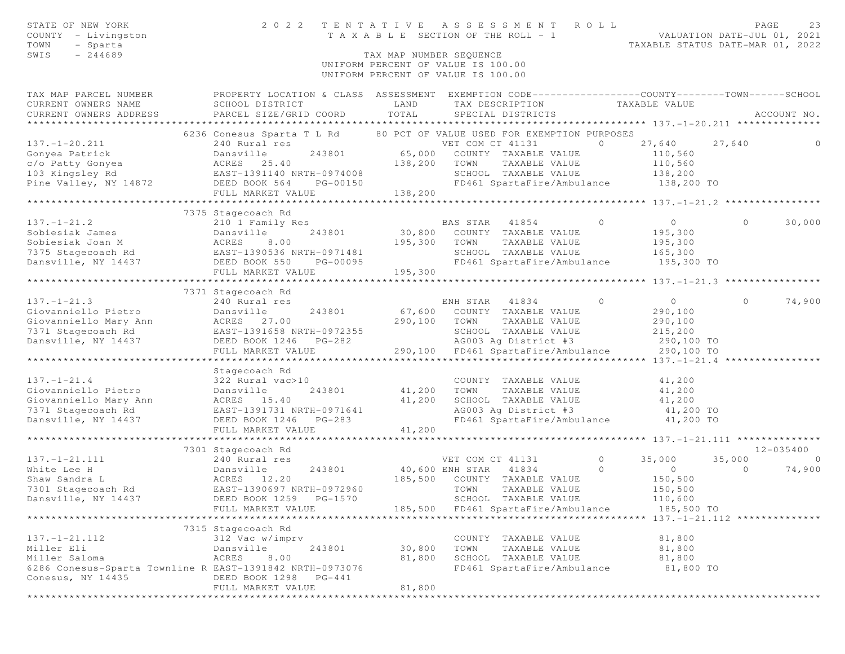| STATE OF NEW YORK<br>COUNTY - Livingston<br>TOWN<br>- Sparta             | TENTATIVE<br>A S S E S S M E N T<br>2 0 2 2<br>ROLL<br>T A X A B L E SECTION OF THE ROLL - 1    |                   |                                                       |          |                     | VALUATION DATE-JUL 01, 2021<br>TAXABLE STATUS DATE-MAR 01, 2022 | PAGE<br>23     |
|--------------------------------------------------------------------------|-------------------------------------------------------------------------------------------------|-------------------|-------------------------------------------------------|----------|---------------------|-----------------------------------------------------------------|----------------|
| SWIS<br>$-244689$                                                        | TAX MAP NUMBER SEQUENCE                                                                         |                   |                                                       |          |                     |                                                                 |                |
| UNIFORM PERCENT OF VALUE IS 100.00<br>UNIFORM PERCENT OF VALUE IS 100.00 |                                                                                                 |                   |                                                       |          |                     |                                                                 |                |
| TAX MAP PARCEL NUMBER                                                    | PROPERTY LOCATION & CLASS ASSESSMENT EXEMPTION CODE---------------COUNTY-------TOWN------SCHOOL |                   |                                                       |          |                     |                                                                 |                |
| CURRENT OWNERS NAME                                                      | SCHOOL DISTRICT                                                                                 | LAND              | TAX DESCRIPTION                                       |          | TAXABLE VALUE       |                                                                 |                |
| CURRENT OWNERS ADDRESS                                                   | PARCEL SIZE/GRID COORD                                                                          | TOTAL             | SPECIAL DISTRICTS                                     |          |                     |                                                                 | ACCOUNT NO.    |
|                                                                          |                                                                                                 |                   |                                                       |          |                     |                                                                 |                |
|                                                                          | 6236 Conesus Sparta T L Rd 80 PCT OF VALUE USED FOR EXEMPTION PURPOSES                          |                   |                                                       |          |                     |                                                                 |                |
| $137. - 1 - 20.211$                                                      | 240 Rural res                                                                                   |                   | VET COM CT 41131                                      | $\Omega$ | 27,640              | 27,640                                                          | 0              |
| Gonyea Patrick<br>c/o Patty Gonyea                                       | Dansville<br>243801                                                                             | 65,000<br>138,200 | COUNTY TAXABLE VALUE<br>TAXABLE VALUE                 |          | 110,560             |                                                                 |                |
| 103 Kingsley Rd                                                          | ACRES 25.40<br>EAST-1391140 NRTH-0974008                                                        |                   | TOWN<br>SCHOOL TAXABLE VALUE                          |          | 110,560<br>138,200  |                                                                 |                |
| Pine Valley, NY 14872                                                    | DEED BOOK 564<br>PG-00150                                                                       |                   | FD461 SpartaFire/Ambulance                            |          | 138,200 TO          |                                                                 |                |
|                                                                          | FULL MARKET VALUE                                                                               | 138,200           |                                                       |          |                     |                                                                 |                |
|                                                                          |                                                                                                 |                   |                                                       |          |                     |                                                                 |                |
|                                                                          | 7375 Stagecoach Rd                                                                              |                   |                                                       |          |                     |                                                                 |                |
| $137. - 1 - 21.2$                                                        | 210 1 Family Res                                                                                |                   | BAS STAR 41854                                        | $\circ$  | $\circ$             | $\circ$                                                         | 30,000         |
| Sobiesiak James                                                          | Dansville<br>243801                                                                             | 30,800            | COUNTY TAXABLE VALUE                                  |          | 195,300             |                                                                 |                |
| Sobiesiak Joan M                                                         | 8.00<br>ACRES                                                                                   | 195,300           | TOWN<br>TAXABLE VALUE                                 |          | 195,300             |                                                                 |                |
| 7375 Stagecoach Rd EAST-1390536 NRTH-0971481                             |                                                                                                 |                   | SCHOOL TAXABLE VALUE                                  |          | 165,300             |                                                                 |                |
| Dansville, NY 14437                                                      | DEED BOOK 550<br>PG-00095                                                                       |                   | FD461 SpartaFire/Ambulance                            |          | 195,300 TO          |                                                                 |                |
|                                                                          | FULL MARKET VALUE                                                                               | 195,300           |                                                       |          |                     |                                                                 |                |
|                                                                          |                                                                                                 |                   |                                                       |          |                     |                                                                 |                |
|                                                                          | 7371 Stagecoach Rd                                                                              |                   |                                                       |          |                     |                                                                 |                |
| $137. - 1 - 21.3$                                                        | 240 Rural res                                                                                   |                   | ENH STAR<br>41834                                     | $\circ$  | $\circ$             | $\circ$                                                         | 74,900         |
| Giovanniello Pietro                                                      | Dansville<br>243801                                                                             | 67,600            | COUNTY TAXABLE VALUE                                  |          | 290,100             |                                                                 |                |
| Giovanniello Mary Ann                                                    | ACRES 27.00                                                                                     | 290,100           | TOWN<br>TAXABLE VALUE                                 |          | 290,100             |                                                                 |                |
| 7371 Stagecoach Rd                                                       | EAST-1391658 NRTH-0972355                                                                       |                   | SCHOOL TAXABLE VALUE                                  |          | 215,200             |                                                                 |                |
| Dansville, NY 14437                                                      | DEED BOOK 1246<br>$PG-282$                                                                      |                   | AG003 Ag District #3                                  |          | 290,100 TO          |                                                                 |                |
|                                                                          | FULL MARKET VALUE<br>*************************                                                  | 290,100           | FD461 SpartaFire/Ambulance                            |          | 290,100 TO          |                                                                 |                |
|                                                                          |                                                                                                 |                   | $x**************************************137. -1-21.4$ |          |                     |                                                                 |                |
|                                                                          | Stagecoach Rd                                                                                   |                   |                                                       |          |                     |                                                                 |                |
| $137. - 1 - 21.4$                                                        | 322 Rural vac>10                                                                                |                   | COUNTY TAXABLE VALUE                                  |          | 41,200              |                                                                 |                |
| Giovanniello Pietro                                                      | Dansville<br>243801                                                                             | 41,200            | TOWN<br>TAXABLE VALUE                                 |          | 41,200              |                                                                 |                |
| Giovanniello Mary Ann<br>7371 Stagecoach Rd                              | ACRES 15.40<br>EAST-1391731 NRTH-0971641                                                        | 41,200            | SCHOOL TAXABLE VALUE<br>AG003 Ag District #3          |          | 41,200<br>41,200 TO |                                                                 |                |
| Dansville, NY 14437                                                      | DEED BOOK 1246<br>$PG-283$                                                                      |                   | FD461 SpartaFire/Ambulance                            |          | 41,200 TO           |                                                                 |                |
|                                                                          | FULL MARKET VALUE                                                                               | 41,200            |                                                       |          |                     |                                                                 |                |
|                                                                          |                                                                                                 |                   |                                                       |          |                     |                                                                 |                |
|                                                                          | 7301 Stagecoach Rd                                                                              |                   |                                                       |          |                     |                                                                 | 12-035400      |
| $137. - 1 - 21.111$                                                      | 240 Rural res                                                                                   |                   | VET COM CT 41131                                      | $\circ$  | 35,000              | 35,000                                                          | $\overline{0}$ |
| White Lee H                                                              | Dansville<br>243801                                                                             | 40,600 ENH STAR   | 41834                                                 | $\circ$  | $\circ$             | $\circ$                                                         | 74,900         |
| Shaw Sandra L                                                            | ACRES 12.20                                                                                     | 185,500           | COUNTY TAXABLE VALUE                                  |          | 150,500             |                                                                 |                |
| 7301 Stagecoach Rd                                                       | EAST-1390697 NRTH-0972960                                                                       |                   | TOWN<br>TAXABLE VALUE                                 |          | 150,500             |                                                                 |                |
| Dansville, NY 14437                                                      | DEED BOOK 1259 PG-1570                                                                          |                   | SCHOOL TAXABLE VALUE                                  |          | 110,600             |                                                                 |                |
|                                                                          | FULL MARKET VALUE                                                                               | 185,500           | FD461 SpartaFire/Ambulance                            |          | 185,500 TO          |                                                                 |                |
|                                                                          |                                                                                                 |                   |                                                       |          |                     |                                                                 |                |
|                                                                          | 7315 Stagecoach Rd                                                                              |                   |                                                       |          |                     |                                                                 |                |
| $137. - 1 - 21.112$                                                      | 312 Vac w/imprv                                                                                 |                   | COUNTY TAXABLE VALUE                                  |          | 81,800              |                                                                 |                |
| Miller Eli                                                               | Dansville<br>243801                                                                             | 30,800            | TAXABLE VALUE<br>TOWN                                 |          | 81,800              |                                                                 |                |
| Miller Saloma                                                            | ACRES<br>8.00                                                                                   | 81,800            | SCHOOL TAXABLE VALUE                                  |          | 81,800              |                                                                 |                |
| 6286 Conesus-Sparta Townline R EAST-1391842 NRTH-0973076                 |                                                                                                 |                   | FD461 SpartaFire/Ambulance                            |          | 81,800 TO           |                                                                 |                |
| Conesus, NY 14435                                                        | DEED BOOK 1298 PG-441                                                                           |                   |                                                       |          |                     |                                                                 |                |
|                                                                          | FULL MARKET VALUE                                                                               | 81,800            |                                                       |          |                     |                                                                 |                |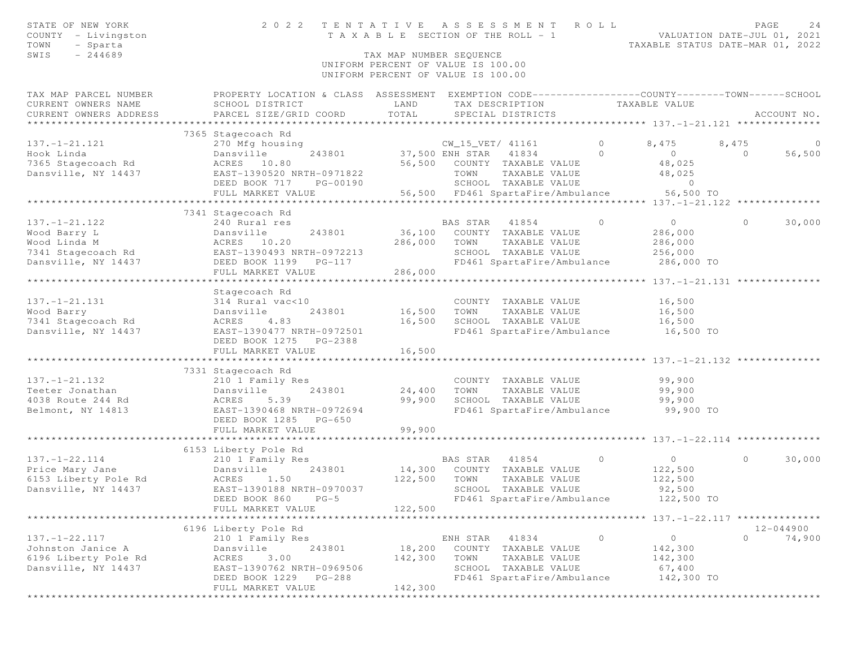| STATE OF NEW YORK<br>COUNTY - Livingston<br>TOWN<br>- Sparta<br>$-244689$<br>SWIS | 2 0 2 2                                                                                         | TENTATIVE<br>T A X A B L E SECTION OF THE ROLL - 1<br>TAX MAP NUMBER SEQUENCE<br>UNIFORM PERCENT OF VALUE IS 100.00<br>UNIFORM PERCENT OF VALUE IS 100.00 |                  | ASSESSMENT ROLL                                                         |                | VALUATION DATE-JUL 01, 2021<br>TAXABLE STATUS DATE-MAR 01, 2022 | PAGE    | 24             |
|-----------------------------------------------------------------------------------|-------------------------------------------------------------------------------------------------|-----------------------------------------------------------------------------------------------------------------------------------------------------------|------------------|-------------------------------------------------------------------------|----------------|-----------------------------------------------------------------|---------|----------------|
| TAX MAP PARCEL NUMBER                                                             | PROPERTY LOCATION & CLASS ASSESSMENT EXEMPTION CODE----------------COUNTY-------TOWN-----SCHOOL |                                                                                                                                                           |                  |                                                                         |                |                                                                 |         |                |
| CURRENT OWNERS NAME<br>CURRENT OWNERS ADDRESS                                     | SCHOOL DISTRICT<br>PARCEL SIZE/GRID COORD                                                       | LAND<br>TOTAL                                                                                                                                             |                  | TAX DESCRIPTION TAXABLE VALUE<br>SPECIAL DISTRICTS<br>SPECIAL DISTRICTS |                |                                                                 |         | ACCOUNT NO.    |
|                                                                                   |                                                                                                 |                                                                                                                                                           |                  |                                                                         |                |                                                                 |         |                |
|                                                                                   | 7365 Stagecoach Rd                                                                              |                                                                                                                                                           |                  |                                                                         |                |                                                                 |         |                |
| $137. - 1 - 21.121$                                                               | 270 Mfg housing                                                                                 |                                                                                                                                                           | CW_15_VET/ 41161 |                                                                         | $\circ$        | 8,475                                                           | 8,475   | $\overline{0}$ |
| Hook Linda                                                                        | 243801<br>Dansville                                                                             | 37,500 ENH STAR 41834                                                                                                                                     |                  |                                                                         | $\circ$        | $\circ$                                                         | $\circ$ | 56,500         |
| 7365 Stagecoach Rd                                                                | ACRES 10.80                                                                                     |                                                                                                                                                           |                  | 56,500 COUNTY TAXABLE VALUE                                             |                | 48,025                                                          |         |                |
| Dansville, NY 14437                                                               | EAST-1390520 NRTH-0971822                                                                       |                                                                                                                                                           | TOWN             | TAXABLE VALUE                                                           |                | 48,025                                                          |         |                |
|                                                                                   | DEED BOOK 717 PG-00190                                                                          |                                                                                                                                                           |                  | SCHOOL TAXABLE VALUE<br>56,500 FD461 SpartaFire/Ambulance 56,500 TO     |                | $\circ$                                                         |         |                |
|                                                                                   | FULL MARKET VALUE                                                                               |                                                                                                                                                           |                  |                                                                         |                |                                                                 |         |                |
|                                                                                   | 7341 Stagecoach Rd                                                                              |                                                                                                                                                           |                  |                                                                         |                |                                                                 |         |                |
| $137. - 1 - 21.122$                                                               | 240 Rural res                                                                                   |                                                                                                                                                           | BAS STAR 41854   |                                                                         | $\circ$        | $\circ$                                                         | $\circ$ | 30,000         |
| Wood Barry L                                                                      | Dansville<br>243801                                                                             | 36,100                                                                                                                                                    |                  | COUNTY TAXABLE VALUE                                                    |                | 286,000                                                         |         |                |
| Wood Linda M                                                                      | ACRES 10.20                                                                                     | 286,000                                                                                                                                                   | TOWN             | TAXABLE VALUE                                                           |                | 286,000                                                         |         |                |
| 7341 Stagecoach Rd EAST-1390493 NRTH-0972213                                      |                                                                                                 |                                                                                                                                                           |                  | SCHOOL TAXABLE VALUE                                                    |                | 256,000                                                         |         |                |
| Dansville, NY 14437                                                               | DEED BOOK 1199    PG-117                                                                        |                                                                                                                                                           |                  | FD461 SpartaFire/Ambulance                                              |                | 286,000 TO                                                      |         |                |
|                                                                                   | FULL MARKET VALUE                                                                               | 286,000                                                                                                                                                   |                  |                                                                         |                |                                                                 |         |                |
|                                                                                   | Stagecoach Rd                                                                                   |                                                                                                                                                           |                  |                                                                         |                |                                                                 |         |                |
| $137. - 1 - 21.131$                                                               | 314 Rural vac<10                                                                                |                                                                                                                                                           |                  | COUNTY TAXABLE VALUE                                                    |                | 16,500                                                          |         |                |
| Wood Barry                                                                        | Dansville<br>243801                                                                             | 16,500                                                                                                                                                    | TOWN             | TAXABLE VALUE                                                           |                | 16,500                                                          |         |                |
| 7341 Stagecoach Rd                                                                | 4.83<br>ACRES                                                                                   | 16,500                                                                                                                                                    |                  | SCHOOL TAXABLE VALUE                                                    |                | 16,500                                                          |         |                |
| Dansville, NY 14437                                                               | EAST-1390477 NRTH-0972501                                                                       |                                                                                                                                                           |                  | FD461 SpartaFire/Ambulance                                              |                | 16,500 TO                                                       |         |                |
|                                                                                   | DEED BOOK 1275 PG-2388                                                                          |                                                                                                                                                           |                  |                                                                         |                |                                                                 |         |                |
|                                                                                   | FULL MARKET VALUE                                                                               | 16,500                                                                                                                                                    |                  |                                                                         |                |                                                                 |         |                |
|                                                                                   |                                                                                                 | * * * * * * * * * * * * *                                                                                                                                 |                  | ************************************137.-1-21.132 ***************       |                |                                                                 |         |                |
|                                                                                   | 7331 Stagecoach Rd                                                                              |                                                                                                                                                           |                  |                                                                         |                |                                                                 |         |                |
| $137. - 1 - 21.132$                                                               | 210 1 Family Res                                                                                |                                                                                                                                                           |                  | COUNTY TAXABLE VALUE                                                    |                | 99,900                                                          |         |                |
| Teeter Jonathan                                                                   | Dansville<br>243801                                                                             | 24,400                                                                                                                                                    | TOWN             | TAXABLE VALUE                                                           |                | 99,900                                                          |         |                |
| 4038 Route 244 Rd                                                                 | ACRES<br>5.39                                                                                   | 99,900                                                                                                                                                    |                  | SCHOOL TAXABLE VALUE                                                    |                | 99,900                                                          |         |                |
| Belmont, NY 14813                                                                 | EAST-1390468 NRTH-0972694                                                                       |                                                                                                                                                           |                  | FD461 SpartaFire/Ambulance                                              |                | 99,900 TO                                                       |         |                |
|                                                                                   | DEED BOOK 1285 PG-650<br>FULL MARKET VALUE                                                      | 99,900                                                                                                                                                    |                  |                                                                         |                |                                                                 |         |                |
|                                                                                   |                                                                                                 |                                                                                                                                                           |                  |                                                                         |                |                                                                 |         |                |
|                                                                                   | 6153 Liberty Pole Rd                                                                            |                                                                                                                                                           |                  |                                                                         |                |                                                                 |         |                |
| $137. - 1 - 22.114$                                                               | 210 1 Family Res                                                                                |                                                                                                                                                           | BAS STAR 41854   |                                                                         | $\overline{0}$ | $\overline{0}$                                                  | $\circ$ | 30,000         |
| Price Mary Jane                                                                   | 243801<br>Dansville                                                                             | 14,300                                                                                                                                                    |                  | COUNTY TAXABLE VALUE                                                    |                | 122,500                                                         |         |                |
| 6153 Liberty Pole Rd                                                              | ACRES 1.50                                                                                      | 122,500                                                                                                                                                   | TOWN             | TAXABLE VALUE                                                           |                | 122,500                                                         |         |                |
| Dansville, NY 14437                                                               | EAST-1390188 NRTH-0970037                                                                       |                                                                                                                                                           |                  | SCHOOL TAXABLE VALUE                                                    |                | 92,500                                                          |         |                |
|                                                                                   | DEED BOOK 860 PG-5                                                                              |                                                                                                                                                           |                  | FD461 SpartaFire/Ambulance                                              |                | 122,500 TO                                                      |         |                |
|                                                                                   | FULL MARKET VALUE                                                                               | 122,500                                                                                                                                                   |                  |                                                                         |                |                                                                 |         |                |
|                                                                                   |                                                                                                 | *********                                                                                                                                                 |                  |                                                                         |                |                                                                 |         |                |
|                                                                                   | 6196 Liberty Pole Rd                                                                            |                                                                                                                                                           |                  |                                                                         |                |                                                                 |         | 12-044900      |
| $137. - 1 - 22.117$<br>Johnston Janice A                                          | 210 1 Family Res<br>243801                                                                      |                                                                                                                                                           | ENH STAR         | 41834<br>COUNTY TAXABLE VALUE                                           | $\circ$        | $\circ$                                                         | $\circ$ | 74,900         |
| 6196 Liberty Pole Rd                                                              | Dansville<br>3.00<br>ACRES                                                                      | 18,200                                                                                                                                                    | TOWN             | TAXABLE VALUE                                                           |                | 142,300                                                         |         |                |
| Dansville, NY 14437                                                               | EAST-1390762 NRTH-0969506                                                                       | 142,300                                                                                                                                                   |                  | SCHOOL TAXABLE VALUE                                                    |                | 142,300<br>67,400                                               |         |                |
|                                                                                   | DEED BOOK 1229 PG-288                                                                           |                                                                                                                                                           |                  | FD461 SpartaFire/Ambulance                                              |                | 142,300 TO                                                      |         |                |
|                                                                                   | FULL MARKET VALUE                                                                               | 142,300                                                                                                                                                   |                  |                                                                         |                |                                                                 |         |                |
|                                                                                   |                                                                                                 | ************************                                                                                                                                  |                  |                                                                         |                |                                                                 |         |                |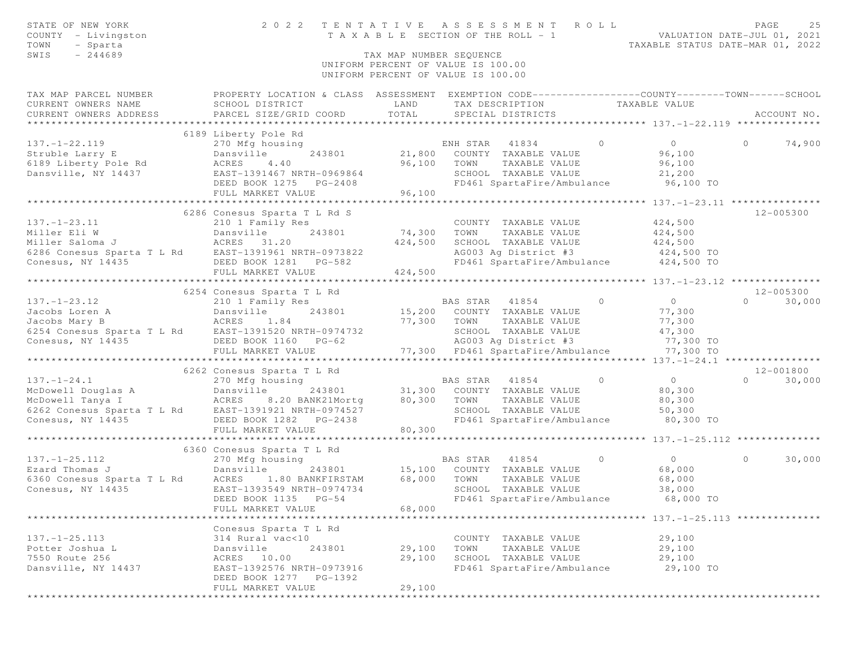| STATE OF NEW YORK<br>COUNTY - Livingston<br>TOWN<br>- Sparta<br>$-244689$<br>SWIS                                                                    | 2 0 2 2                                                                                          | TAX MAP NUMBER SEOUENCE | TENTATIVE ASSESSMENT ROLL<br>T A X A B L E SECTION OF THE ROLL - 1       |                            |          | VALUATION DATE-JUL 01, 2021<br>TAXABLE STATUS DATE-MAR 01, 2022     | PAGE     | 25          |
|------------------------------------------------------------------------------------------------------------------------------------------------------|--------------------------------------------------------------------------------------------------|-------------------------|--------------------------------------------------------------------------|----------------------------|----------|---------------------------------------------------------------------|----------|-------------|
|                                                                                                                                                      |                                                                                                  |                         | UNIFORM PERCENT OF VALUE IS 100.00<br>UNIFORM PERCENT OF VALUE IS 100.00 |                            |          |                                                                     |          |             |
| TAX MAP PARCEL NUMBER                                                                                                                                | PROPERTY LOCATION & CLASS ASSESSMENT EXEMPTION CODE----------------COUNTY-------TOWN------SCHOOL |                         |                                                                          |                            |          |                                                                     |          |             |
| CURRENT OWNERS NAME                                                                                                                                  | SCHOOL DISTRICT                                                                                  | LAND                    |                                                                          | TAX DESCRIPTION            |          | TAXABLE VALUE                                                       |          |             |
| CURRENT OWNERS ADDRESS                                                                                                                               | PARCEL SIZE/GRID COORD                                                                           | TOTAL                   | SPECIAL DISTRICTS                                                        |                            |          |                                                                     |          | ACCOUNT NO. |
|                                                                                                                                                      |                                                                                                  |                         |                                                                          |                            |          |                                                                     |          |             |
| $137. - 1 - 22.119$                                                                                                                                  | 6189 Liberty Pole Rd<br>270 Mfg housing                                                          |                         | ENH STAR                                                                 | 41834                      | $\Omega$ | $\circ$                                                             | $\Omega$ | 74,900      |
| Struble Larry E                                                                                                                                      | Dansville<br>243801                                                                              | 21,800                  |                                                                          | COUNTY TAXABLE VALUE       |          | 96,100                                                              |          |             |
| 6189 Liberty Pole Rd                                                                                                                                 | ACRES<br>4.40                                                                                    | 96,100                  | TOWN                                                                     | TAXABLE VALUE              |          | 96,100                                                              |          |             |
| Dansville, NY 14437                                                                                                                                  | EAST-1391467 NRTH-0969864                                                                        |                         |                                                                          | SCHOOL TAXABLE VALUE       |          | 21,200                                                              |          |             |
|                                                                                                                                                      | DEED BOOK 1275 PG-2408                                                                           |                         |                                                                          | FD461 SpartaFire/Ambulance |          | 96,100 TO                                                           |          |             |
|                                                                                                                                                      | FULL MARKET VALUE                                                                                | 96,100                  |                                                                          |                            |          |                                                                     |          |             |
|                                                                                                                                                      | *************************                                                                        | *****************       |                                                                          |                            |          | ********* 137.-1-23.11 ****************                             |          |             |
|                                                                                                                                                      | 6286 Conesus Sparta T L Rd S                                                                     |                         |                                                                          |                            |          |                                                                     |          | 12-005300   |
| $137. - 1 - 23.11$                                                                                                                                   | 210 1 Family Res                                                                                 |                         |                                                                          | COUNTY TAXABLE VALUE       |          | 424,500                                                             |          |             |
| Dansville<br>J<br>ACRES 31.20<br>Miller Eli W                                                                                                        | 243801                                                                                           | 74,300                  | TOWN                                                                     | TAXABLE VALUE              |          | 424,500                                                             |          |             |
| Miller Saloma J                                                                                                                                      |                                                                                                  | 424,500                 |                                                                          | SCHOOL TAXABLE VALUE       |          | 424,500                                                             |          |             |
| 6286 Conesus Sparta T L Rd EAST-1391961 NRTH-0973822                                                                                                 |                                                                                                  |                         |                                                                          | AG003 Ag District #3       |          | 424,500 TO                                                          |          |             |
| Conesus, NY 14435                                                                                                                                    | DEED BOOK 1281 PG-582                                                                            |                         |                                                                          | FD461 SpartaFire/Ambulance |          | 424,500 TO                                                          |          |             |
|                                                                                                                                                      | FULL MARKET VALUE                                                                                | 424,500                 |                                                                          |                            |          |                                                                     |          |             |
|                                                                                                                                                      |                                                                                                  |                         |                                                                          |                            |          |                                                                     |          | 12-005300   |
| $137. - 1 - 23.12$                                                                                                                                   | 6254 Conesus Sparta T L Rd<br>210 1 Family Res                                                   |                         | BAS STAR                                                                 | 41854                      | $\circ$  | $\overline{0}$                                                      | $\Omega$ | 30,000      |
| 137.-1-23.12 210 1 Family Res<br>Jacobs Loren A Dansville 243801<br>Jacobs Mary B ACRES 1.84<br>6254 Conesus Sparta T L Rd EAST-1391520 NRTH-0974732 |                                                                                                  |                         | 15,200 COUNTY TAXABLE VALUE                                              |                            |          | 77,300                                                              |          |             |
|                                                                                                                                                      |                                                                                                  | 77,300                  | TOWN                                                                     | TAXABLE VALUE              |          | 77,300                                                              |          |             |
|                                                                                                                                                      |                                                                                                  |                         |                                                                          | SCHOOL TAXABLE VALUE       |          | 47,300                                                              |          |             |
| Conesus, NY 14435                                                                                                                                    | DEED BOOK 1160 PG-62                                                                             |                         |                                                                          | AG003 Ag District #3       |          | 77,300 TO                                                           |          |             |
|                                                                                                                                                      | FULL MARKET VALUE                                                                                |                         | 77,300 FD461 SpartaFire/Ambulance                                        |                            |          | 77,300 TO                                                           |          |             |
|                                                                                                                                                      |                                                                                                  |                         |                                                                          |                            |          |                                                                     |          |             |
|                                                                                                                                                      | 6262 Conesus Sparta T L Rd                                                                       |                         |                                                                          |                            |          |                                                                     |          | 12-001800   |
| $137. - 1 - 24.1$                                                                                                                                    | 270 Mfg housing                                                                                  |                         | BAS STAR                                                                 | 41854                      | $\Omega$ | $\overline{0}$                                                      | $\Omega$ | 30,000      |
|                                                                                                                                                      |                                                                                                  |                         | 31,300 COUNTY TAXABLE VALUE                                              |                            |          | 80,300                                                              |          |             |
|                                                                                                                                                      |                                                                                                  | 80,300                  | TOWN                                                                     | TAXABLE VALUE              |          | 80,300                                                              |          |             |
|                                                                                                                                                      |                                                                                                  |                         |                                                                          | SCHOOL TAXABLE VALUE       |          | 50,300                                                              |          |             |
| Conesus, NY 14435                                                                                                                                    | DEED BOOK 1282 PG-2438                                                                           |                         |                                                                          | FD461 SpartaFire/Ambulance |          | 80,300 TO                                                           |          |             |
|                                                                                                                                                      | FULL MARKET VALUE                                                                                | 80,300                  |                                                                          |                            |          |                                                                     |          |             |
|                                                                                                                                                      |                                                                                                  |                         |                                                                          |                            |          | ************************************* 137.-1-25.112 *************** |          |             |
|                                                                                                                                                      | 6360 Conesus Sparta T L Rd                                                                       |                         |                                                                          |                            | $\circ$  |                                                                     | $\Omega$ |             |
| $137. - 1 - 25.112$<br>Ezard Thomas J                                                                                                                | 270 Mfg housing<br>Dansville                                                                     | 243801 15,100           | BAS STAR 41854                                                           | COUNTY TAXABLE VALUE       |          | $\overline{0}$<br>68,000                                            |          | 30,000      |
| 6360 Conesus Sparta T L Rd ACRES 1.80 BANKFIRSTAM                                                                                                    |                                                                                                  | 68,000                  | TOWN                                                                     | TAXABLE VALUE              |          | 68,000                                                              |          |             |
| Conesus, NY 14435                                                                                                                                    | EAST-1393549 NRTH-0974734                                                                        |                         |                                                                          | SCHOOL TAXABLE VALUE       |          | 38,000                                                              |          |             |
|                                                                                                                                                      | DEED BOOK 1135 PG-54                                                                             |                         |                                                                          | FD461 SpartaFire/Ambulance |          | 68,000 TO                                                           |          |             |
|                                                                                                                                                      | FULL MARKET VALUE                                                                                | 68,000                  |                                                                          |                            |          |                                                                     |          |             |
|                                                                                                                                                      |                                                                                                  |                         |                                                                          |                            |          | ************************* 137.-1-25.113 ***************             |          |             |
|                                                                                                                                                      | Conesus Sparta T L Rd                                                                            |                         |                                                                          |                            |          |                                                                     |          |             |
| $137. - 1 - 25.113$                                                                                                                                  | 314 Rural vac<10                                                                                 |                         |                                                                          | COUNTY TAXABLE VALUE       |          | 29,100                                                              |          |             |
| Potter Joshua L                                                                                                                                      | Dansville<br>243801                                                                              | 29,100                  | TOWN                                                                     | TAXABLE VALUE              |          | 29,100                                                              |          |             |
| 7550 Route 256                                                                                                                                       | 10.00<br>ACRES                                                                                   | 29,100                  |                                                                          | SCHOOL TAXABLE VALUE       |          | 29,100                                                              |          |             |
| Dansville, NY 14437                                                                                                                                  | EAST-1392576 NRTH-0973916<br>DEED BOOK 1277<br>PG-1392                                           |                         |                                                                          | FD461 SpartaFire/Ambulance |          | 29,100 TO                                                           |          |             |
| * * * * * * * * * *                                                                                                                                  | FULL MARKET VALUE                                                                                | 29,100                  |                                                                          |                            |          |                                                                     |          |             |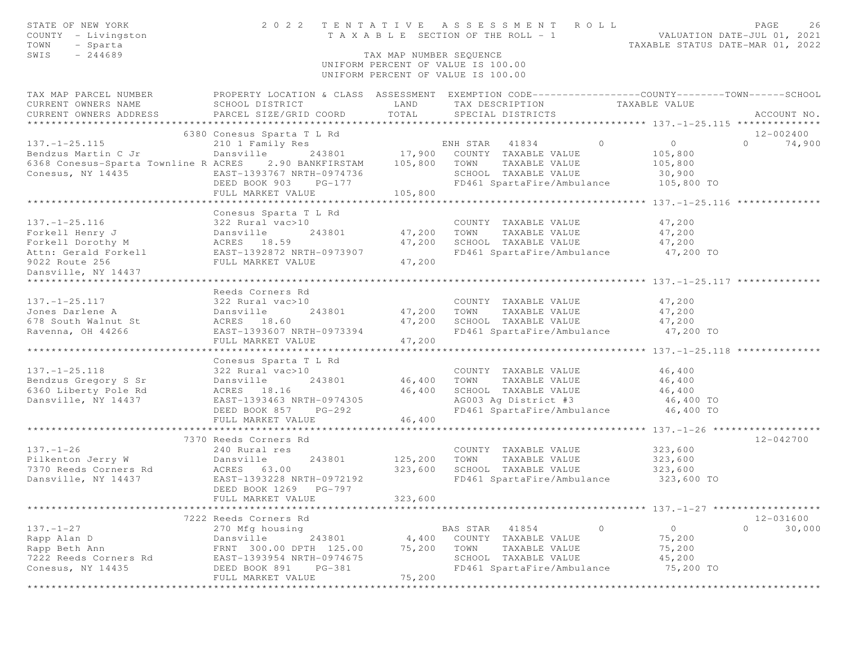| STATE OF NEW YORK<br>COUNTY - Livingston<br>TOWN<br>- Sparta                                                                                                                                                                                 |                                            |                         | TENTATIVE ASSESSMENT ROLL PAGE 26<br>TAXABLE SECTION OF THE ROLL - 1 VALUATION DATE-JUL 01, 2021<br>TAXABLE STATUS DATE-MAR 01, 2022<br>2022 TENTATIVE ASSESSMENT ROLL |         |                    |                   |
|----------------------------------------------------------------------------------------------------------------------------------------------------------------------------------------------------------------------------------------------|--------------------------------------------|-------------------------|------------------------------------------------------------------------------------------------------------------------------------------------------------------------|---------|--------------------|-------------------|
| SWIS<br>$-244689$                                                                                                                                                                                                                            |                                            | TAX MAP NUMBER SEQUENCE | UNIFORM PERCENT OF VALUE IS 100.00<br>UNIFORM PERCENT OF VALUE IS 100.00                                                                                               |         |                    |                   |
| TAX MAP PARCEL NUMBER FROPERTY LOCATION & CLASS ASSESSMENT EXEMPTION CODE---------------COUNTY-------TOWN------SCHOOL                                                                                                                        |                                            |                         |                                                                                                                                                                        |         |                    |                   |
| CURRENT OWNERS NAME SCHOOL DISTRICT LAND<br>CURRENT OWNERS ADDRESS PARCEL SIZE/GRID COORD TOTAL                                                                                                                                              |                                            |                         | TAX DESCRIPTION TAXABLE VALUE<br>SPECIAL DISTRICTS                                                                                                                     |         |                    | ACCOUNT NO.       |
|                                                                                                                                                                                                                                              |                                            |                         |                                                                                                                                                                        |         |                    | 12-002400         |
|                                                                                                                                                                                                                                              |                                            |                         |                                                                                                                                                                        |         |                    | $0 \t 74,900$     |
|                                                                                                                                                                                                                                              |                                            |                         |                                                                                                                                                                        |         |                    |                   |
|                                                                                                                                                                                                                                              |                                            |                         |                                                                                                                                                                        |         | 105,800            |                   |
|                                                                                                                                                                                                                                              |                                            |                         | SCHOOL TAXABLE VALUE                                                                                                                                                   |         | 30,900             |                   |
| Conesus, NY 14435 EAST-1393767 NRTH-0974736<br>DEED BOOK 903 PG-177                                                                                                                                                                          |                                            |                         | FD461 SpartaFire/Ambulance 105,800 TO                                                                                                                                  |         |                    |                   |
|                                                                                                                                                                                                                                              |                                            |                         |                                                                                                                                                                        |         |                    |                   |
|                                                                                                                                                                                                                                              |                                            |                         |                                                                                                                                                                        |         |                    |                   |
| 137.-1-25.116<br>Forkell Henry J<br>Forkell Dorothy M<br>ACRES 18.59<br>ACRES 18.59<br>2022 Route 256<br>Danswille, NY 14437<br>2022 Route 256<br>2022 Route 256<br>2022 Route 256<br>2022 Route 256<br>2022 Route 256<br>2022 Route 256<br> |                                            |                         |                                                                                                                                                                        |         |                    |                   |
|                                                                                                                                                                                                                                              |                                            |                         | COUNTY TAXABLE VALUE                                                                                                                                                   |         | 47,200             |                   |
|                                                                                                                                                                                                                                              |                                            |                         | TAXABLE VALUE 47,200<br>TAXABLE VALUE 47,200                                                                                                                           |         |                    |                   |
|                                                                                                                                                                                                                                              |                                            |                         | SCHOOL TAXABLE VALUE                                                                                                                                                   |         |                    |                   |
|                                                                                                                                                                                                                                              |                                            |                         | FD461 SpartaFire/Ambulance 47,200 TO                                                                                                                                   |         |                    |                   |
|                                                                                                                                                                                                                                              |                                            |                         |                                                                                                                                                                        |         |                    |                   |
|                                                                                                                                                                                                                                              |                                            |                         |                                                                                                                                                                        |         |                    |                   |
|                                                                                                                                                                                                                                              |                                            |                         |                                                                                                                                                                        |         |                    |                   |
|                                                                                                                                                                                                                                              | Reeds Corners Rd                           |                         |                                                                                                                                                                        |         |                    |                   |
|                                                                                                                                                                                                                                              |                                            |                         | rac>10 COUNTY TAXABLE VALUE<br>243801 47,200 TOWN TAXABLE VALUE                                                                                                        |         | 47,200             |                   |
|                                                                                                                                                                                                                                              |                                            |                         |                                                                                                                                                                        |         | 47,200             |                   |
|                                                                                                                                                                                                                                              |                                            |                         | 47,200 SCHOOL TAXABLE VALUE 47,200<br>FD461 SpartaFire/Ambulance 47,200 TO                                                                                             |         |                    |                   |
| 137.-1-25.117<br>Jones Darlene A 222 Rural vac>10<br>578 South Walnut St ACRES 18.60<br>Ravenna, OH 44266<br>Ravenna, OH 44266<br>EAST-1393607 NRTH-0973394<br>ACRES 18.60<br>243801<br>247,200                                              |                                            |                         |                                                                                                                                                                        |         |                    |                   |
|                                                                                                                                                                                                                                              | FULL MARKET VALUE                          | 47,200                  |                                                                                                                                                                        |         |                    |                   |
|                                                                                                                                                                                                                                              |                                            |                         |                                                                                                                                                                        |         |                    |                   |
|                                                                                                                                                                                                                                              | Conesus Sparta T L Rd                      |                         |                                                                                                                                                                        |         |                    |                   |
| $137. - 1 - 25.118$                                                                                                                                                                                                                          | 322 Rural vac>10                           |                         | COUNTY TAXABLE VALUE 46,400                                                                                                                                            |         |                    |                   |
| Bendzus Gregory S Sr Dansville                                                                                                                                                                                                               |                                            | 243801 46,400           | TOWN TAXABLE VALUE 46,400                                                                                                                                              |         |                    |                   |
| 6360 Liberty Pole Rd                                                                                                                                                                                                                         | ACRES 18.16                                | 46,400                  | SCHOOL TAXABLE VALUE 46,400<br>AG003 Ag District #3 46,400 TO                                                                                                          |         |                    |                   |
| Dansville, NY 14437                                                                                                                                                                                                                          | EAST-1393463 NRTH-0974305                  |                         |                                                                                                                                                                        |         |                    |                   |
|                                                                                                                                                                                                                                              | DEED BOOK 857 PG-292                       | 46,400                  | FD461 SpartaFire/Ambulance 46,400 TO                                                                                                                                   |         |                    |                   |
|                                                                                                                                                                                                                                              | FULL MARKET VALUE                          |                         |                                                                                                                                                                        |         |                    |                   |
|                                                                                                                                                                                                                                              | 7370 Reeds Corners Rd                      |                         |                                                                                                                                                                        |         |                    | 12-042700         |
| $137. - 1 - 26$                                                                                                                                                                                                                              |                                            |                         |                                                                                                                                                                        |         |                    |                   |
|                                                                                                                                                                                                                                              |                                            |                         | COUNTY TAXABLE VALUE<br>TAXABLE VALUE<br>TOWN                                                                                                                          |         | 323,600<br>323,600 |                   |
|                                                                                                                                                                                                                                              |                                            |                         | SCHOOL TAXABLE VALUE 323,600                                                                                                                                           |         |                    |                   |
| 137.-1-26<br>Pilkenton Jerry W Dansville 243801 125,200<br>7370 Reeds Corners Rd ACRES 63.00 323,600<br>Dansville, NY 14437 EAST-1393228 NRTH-0972192                                                                                        |                                            |                         | FD461 SpartaFire/Ambulance                                                                                                                                             |         | 323,600 TO         |                   |
|                                                                                                                                                                                                                                              | DEED BOOK 1269 PG-797<br>FULL MARKET VALUE | 323,600                 |                                                                                                                                                                        |         |                    |                   |
| ******************                                                                                                                                                                                                                           |                                            |                         |                                                                                                                                                                        |         |                    |                   |
|                                                                                                                                                                                                                                              | 7222 Reeds Corners Rd                      |                         |                                                                                                                                                                        |         |                    | 12-031600         |
| $137. - 1 - 27$                                                                                                                                                                                                                              | 270 Mfg housing                            |                         | BAS STAR<br>41854                                                                                                                                                      | $\circ$ | $\circ$            | $\circ$<br>30,000 |
| Rapp Alan D                                                                                                                                                                                                                                  | Dansville<br>243801                        | 4,400                   | COUNTY TAXABLE VALUE                                                                                                                                                   |         | 75,200             |                   |
| Rapp Beth Ann                                                                                                                                                                                                                                | FRNT 300.00 DPTH 125.00                    | 75,200                  | TOWN<br>TAXABLE VALUE                                                                                                                                                  |         | 75,200             |                   |
| 7222 Reeds Corners Rd                                                                                                                                                                                                                        | EAST-1393954 NRTH-0974675                  |                         | SCHOOL TAXABLE VALUE                                                                                                                                                   |         | 45,200             |                   |
| Conesus, NY 14435                                                                                                                                                                                                                            | DEED BOOK 891<br>PG-381                    |                         | FD461 SpartaFire/Ambulance                                                                                                                                             |         | 75,200 TO          |                   |
|                                                                                                                                                                                                                                              | FULL MARKET VALUE                          | 75,200                  |                                                                                                                                                                        |         |                    |                   |
| ********************                                                                                                                                                                                                                         | **************************                 |                         |                                                                                                                                                                        |         |                    |                   |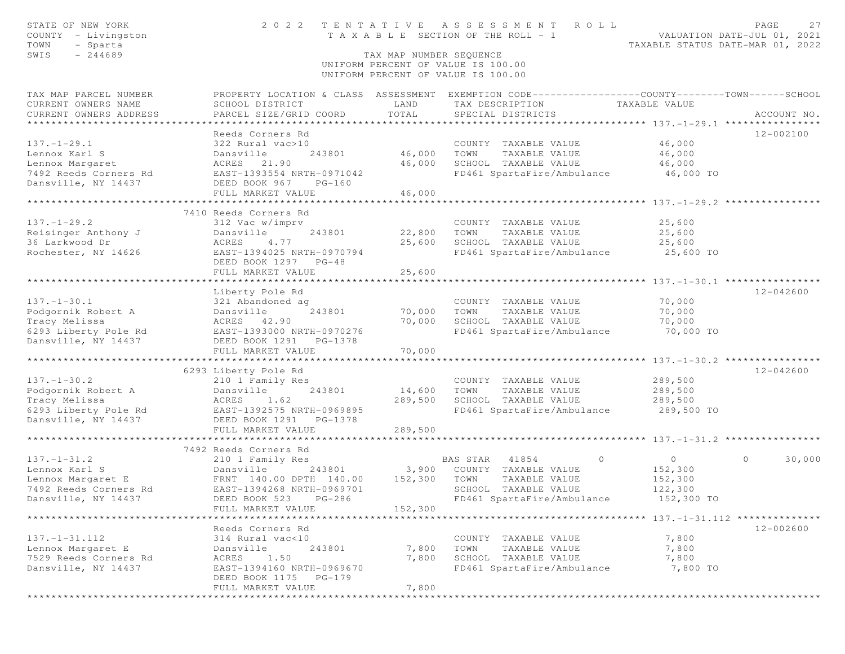| STATE OF NEW YORK<br>COUNTY - Livingston<br>TOWN<br>- Sparta | 2 0 2 2                                       | TENTATIVE                     | A S S E S S M E N T<br>ROLL<br>T A X A B L E SECTION OF THE ROLL - 1                            |                                                    | PAGE<br>27<br>VALUATION DATE-JUL 01, 2021<br>TAXABLE STATUS DATE-MAR 01, 2022 |
|--------------------------------------------------------------|-----------------------------------------------|-------------------------------|-------------------------------------------------------------------------------------------------|----------------------------------------------------|-------------------------------------------------------------------------------|
| $-244689$<br>SWIS                                            |                                               | TAX MAP NUMBER SEQUENCE       |                                                                                                 |                                                    |                                                                               |
|                                                              |                                               |                               | UNIFORM PERCENT OF VALUE IS 100.00                                                              |                                                    |                                                                               |
|                                                              |                                               |                               | UNIFORM PERCENT OF VALUE IS 100.00                                                              |                                                    |                                                                               |
| TAX MAP PARCEL NUMBER                                        |                                               |                               | PROPERTY LOCATION & CLASS ASSESSMENT EXEMPTION CODE----------------COUNTY-------TOWN-----SCHOOL |                                                    |                                                                               |
| CURRENT OWNERS NAME                                          | SCHOOL DISTRICT                               | LAND                          | TAX DESCRIPTION                                                                                 | TAXABLE VALUE                                      |                                                                               |
| CURRENT OWNERS ADDRESS                                       | PARCEL SIZE/GRID COORD                        | TOTAL                         | SPECIAL DISTRICTS                                                                               |                                                    | ACCOUNT NO.                                                                   |
|                                                              | Reeds Corners Rd                              |                               |                                                                                                 |                                                    | 12-002100                                                                     |
| $137. - 1 - 29.1$                                            | 322 Rural vac>10                              |                               | COUNTY TAXABLE VALUE                                                                            | 46,000                                             |                                                                               |
| Lennox Karl S                                                | Dansville<br>243801                           | 46,000                        | TOWN<br>TAXABLE VALUE                                                                           | 46,000                                             |                                                                               |
| Lennox Margaret                                              | ACRES 21.90                                   | 46,000                        | SCHOOL TAXABLE VALUE                                                                            | 46,000                                             |                                                                               |
| 7492 Reeds Corners Rd                                        | EAST-1393554 NRTH-0971042                     |                               | FD461 SpartaFire/Ambulance                                                                      | 46,000 TO                                          |                                                                               |
| Dansville, NY 14437                                          | DEED BOOK 967<br>$PG-160$                     |                               |                                                                                                 |                                                    |                                                                               |
|                                                              | FULL MARKET VALUE                             | 46,000                        |                                                                                                 |                                                    |                                                                               |
|                                                              |                                               |                               |                                                                                                 |                                                    |                                                                               |
|                                                              | 7410 Reeds Corners Rd                         |                               |                                                                                                 |                                                    |                                                                               |
| $137. - 1 - 29.2$                                            | 312 Vac w/imprv                               |                               | COUNTY TAXABLE VALUE                                                                            | 25,600                                             |                                                                               |
| Reisinger Anthony J                                          | Dansville<br>243801                           | 22,800                        | TOWN<br>TAXABLE VALUE                                                                           | 25,600                                             |                                                                               |
| 36 Larkwood Dr                                               | ACRES<br>4.77                                 | 25,600                        | SCHOOL TAXABLE VALUE                                                                            | 25,600                                             |                                                                               |
| Rochester, NY 14626                                          | EAST-1394025 NRTH-0970794                     |                               | FD461 SpartaFire/Ambulance                                                                      | 25,600 TO                                          |                                                                               |
|                                                              | DEED BOOK 1297 PG-48                          |                               |                                                                                                 |                                                    |                                                                               |
|                                                              | FULL MARKET VALUE                             | 25,600                        |                                                                                                 |                                                    |                                                                               |
|                                                              |                                               |                               |                                                                                                 |                                                    |                                                                               |
|                                                              | Liberty Pole Rd                               |                               |                                                                                                 |                                                    | $12 - 042600$                                                                 |
| $137. - 1 - 30.1$                                            | 321 Abandoned ag                              |                               | COUNTY TAXABLE VALUE                                                                            | 70,000                                             |                                                                               |
| Podgornik Robert A                                           | Dansville<br>243801                           | 70,000                        | TOWN<br>TAXABLE VALUE                                                                           | 70,000                                             |                                                                               |
| Tracy Melissa                                                | ACRES 42.90                                   | 70,000                        | SCHOOL TAXABLE VALUE                                                                            | 70,000                                             |                                                                               |
| 6293 Liberty Pole Rd                                         | EAST-1393000 NRTH-0970276                     |                               | FD461 SpartaFire/Ambulance                                                                      | 70,000 TO                                          |                                                                               |
| Dansville, NY 14437                                          | DEED BOOK 1291 PG-1378                        |                               |                                                                                                 |                                                    |                                                                               |
|                                                              | FULL MARKET VALUE<br>************************ | 70,000<br>* * * * * * * * * * |                                                                                                 | ********************* 137.-1-30.2 **************** |                                                                               |
|                                                              |                                               |                               |                                                                                                 |                                                    |                                                                               |
|                                                              | 6293 Liberty Pole Rd                          |                               |                                                                                                 |                                                    | 12-042600                                                                     |
| $137. - 1 - 30.2$                                            | 210 1 Family Res                              |                               | COUNTY TAXABLE VALUE<br>TOWN                                                                    | 289,500                                            |                                                                               |
| Podgornik Robert A                                           | Dansville<br>243801                           | 14,600<br>289,500             | TAXABLE VALUE<br>SCHOOL TAXABLE VALUE                                                           | 289,500                                            |                                                                               |
| Tracy Melissa<br>6293 Liberty Pole Rd                        | ACRES<br>1.62<br>EAST-1392575 NRTH-0969895    |                               | FD461 SpartaFire/Ambulance                                                                      | 289,500<br>289,500 TO                              |                                                                               |
| Dansville, NY 14437                                          | DEED BOOK 1291 PG-1378                        |                               |                                                                                                 |                                                    |                                                                               |
|                                                              | FULL MARKET VALUE                             | 289,500                       |                                                                                                 |                                                    |                                                                               |
|                                                              |                                               |                               |                                                                                                 |                                                    |                                                                               |
|                                                              | 7492 Reeds Corners Rd                         |                               |                                                                                                 |                                                    |                                                                               |
| $137. - 1 - 31.2$                                            | 210 1 Family Res                              |                               | 41854<br>BAS STAR<br>$\circ$                                                                    | $\overline{0}$                                     | 30,000<br>$\circ$                                                             |
| Lennox Karl S                                                | Dansville<br>243801                           | 3,900                         | COUNTY TAXABLE VALUE                                                                            | 152,300                                            |                                                                               |
| Lennox Margaret E                                            | FRNT 140.00 DPTH 140.00                       | 152,300                       | TOWN<br>TAXABLE VALUE                                                                           | 152,300                                            |                                                                               |
| 7492 Reeds Corners Rd                                        | EAST-1394268 NRTH-0969701                     |                               | SCHOOL TAXABLE VALUE                                                                            | 122,300                                            |                                                                               |
| Dansville, NY 14437                                          | DEED BOOK 523 PG-286                          |                               | FD461 SpartaFire/Ambulance                                                                      | 152,300 TO                                         |                                                                               |
|                                                              | FULL MARKET VALUE                             | 152,300                       |                                                                                                 |                                                    |                                                                               |
|                                                              |                                               |                               |                                                                                                 |                                                    |                                                                               |
|                                                              | Reeds Corners Rd                              |                               |                                                                                                 |                                                    | $12 - 002600$                                                                 |
| $137. - 1 - 31.112$                                          | 314 Rural vac<10                              |                               | COUNTY TAXABLE VALUE                                                                            | 7,800                                              |                                                                               |
| Lennox Margaret E                                            | Dansville<br>243801                           | 7,800                         | TOWN<br>TAXABLE VALUE                                                                           | 7,800                                              |                                                                               |
| 7529 Reeds Corners Rd                                        | 1.50<br>ACRES                                 | 7,800                         | SCHOOL TAXABLE VALUE                                                                            | 7,800                                              |                                                                               |
| Dansville, NY 14437                                          | EAST-1394160 NRTH-0969670                     |                               | FD461 SpartaFire/Ambulance                                                                      | 7,800 TO                                           |                                                                               |
|                                                              | DEED BOOK 1175<br>PG-179                      |                               |                                                                                                 |                                                    |                                                                               |
|                                                              | FULL MARKET VALUE                             | 7,800                         |                                                                                                 |                                                    |                                                                               |
|                                                              |                                               |                               |                                                                                                 |                                                    |                                                                               |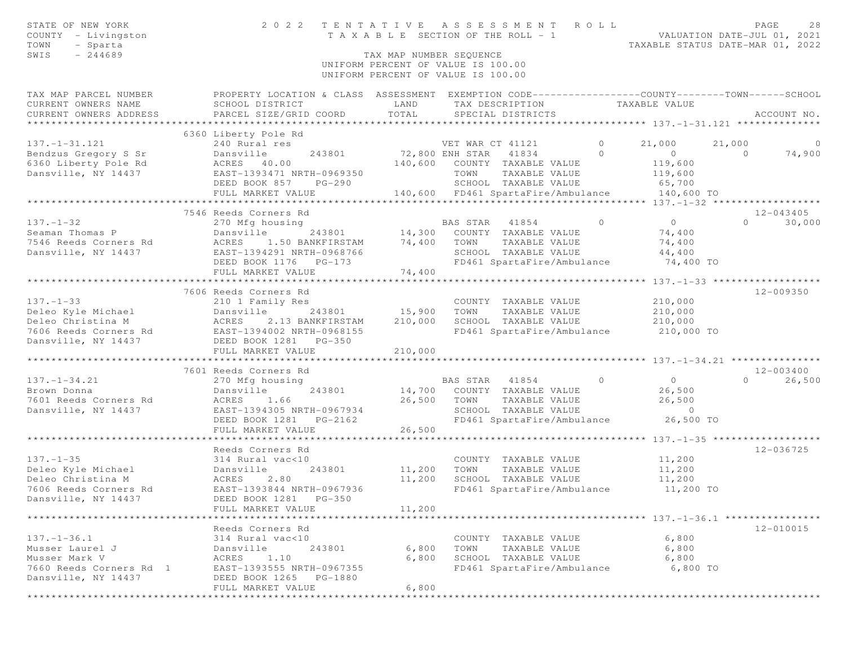| STATE OF NEW YORK<br>COUNTY - Livingston<br>TOWN<br>- Sparta<br>$-244689$<br>SWIS                       |                                                                                                                                                                                                                                           | TAX MAP NUMBER SEQUENCE      | 2022 TENTATIVE ASSESSMENT ROLL<br>T A X A B L E SECTION OF THE ROLL - 1<br>UNIFORM PERCENT OF VALUE IS 100.00                                                                                                                                                                                                                                                                                                                                                                                                                                   |                                                  | PAGE<br>28<br>VALUATION DATE-JUL 01, 2021<br>TAXABLE STATUS DATE-MAR 01, 2022           |
|---------------------------------------------------------------------------------------------------------|-------------------------------------------------------------------------------------------------------------------------------------------------------------------------------------------------------------------------------------------|------------------------------|-------------------------------------------------------------------------------------------------------------------------------------------------------------------------------------------------------------------------------------------------------------------------------------------------------------------------------------------------------------------------------------------------------------------------------------------------------------------------------------------------------------------------------------------------|--------------------------------------------------|-----------------------------------------------------------------------------------------|
|                                                                                                         |                                                                                                                                                                                                                                           |                              | UNIFORM PERCENT OF VALUE IS 100.00                                                                                                                                                                                                                                                                                                                                                                                                                                                                                                              |                                                  |                                                                                         |
| TAX MAP PARCEL NUMBER<br>CURRENT OWNERS NAME<br>CURRENT OWNERS ADDRESS                                  | PROPERTY LOCATION & CLASS ASSESSMENT EXEMPTION CODE----------------COUNTY-------TOWN-----SCHOOL<br>SCHOOL DISTRICT<br>PARCEL SIZE/GRID COORD                                                                                              | LAND<br>TOTAL                | TAX DESCRIPTION<br>SPECIAL DISTRICTS                                                                                                                                                                                                                                                                                                                                                                                                                                                                                                            | TAXABLE VALUE                                    | ACCOUNT NO.                                                                             |
| $137. - 1 - 31.121$                                                                                     | 6360 Liberty Pole Rd<br>240 Rural res                                                                                                                                                                                                     |                              | VET WAR CT 41121                                                                                                                                                                                                                                                                                                                                                                                                                                                                                                                                | $\circ$<br>21,000                                | 21,000<br>$\overline{0}$                                                                |
| Bendzus Gregory S Sr<br>6360 Liberty Pole Rd<br>Dansville, NY 14437                                     | Dansville<br>ACRES 40.00<br>Dansville<br>EAST-1393471 NRTH-0969350<br>DEED BOOK 857 PG-290<br>FULL MARKET VALUE                                                                                                                           |                              | ${\small 243801} \begin{array}{l} \begin{array}{c} \begin{array}{c} \begin{array}{c} \begin{array}{c} \text{243801} \end{array} \\ \text{140,600} \end{array} \end{array} \end{array} \begin{array}{c} \begin{array}{c} \text{ENH} \end{array} \end{array} \begin{array}{c} \text{57AR} \end{array} \begin{array}{c} \begin{array}{c} \text{41834} \\ \text{72,8394} \end{array} \end{array} \end{array} \end{array} \end{array}$<br>$\sim$ 0<br>TOWN<br>TAXABLE VALUE<br>SCHOOL TAXABLE VALUE<br>140,600 FD461 SpartaFire/Ambulance 140,600 TO | $\overline{0}$<br>119,600<br>119,600<br>65,700   | $\overline{0}$<br>74,900                                                                |
|                                                                                                         |                                                                                                                                                                                                                                           |                              |                                                                                                                                                                                                                                                                                                                                                                                                                                                                                                                                                 |                                                  |                                                                                         |
| $137. - 1 - 32$<br>Seaman Thomas P<br>7546 Reeds Corners Rd<br>Dansville, NY 14437                      | 7546 Reeds Corners Rd<br>270 Mfg housing<br>Dansville  270001<br>FS Rd 2008 ACRES 20091 NDTH-0968766<br>243801 14,300<br>EAST-1394291 NRTH-0968766<br>FULL MARKET VALUE                                                                   | 74,400<br>74,400             | BAS STAR 41854<br>COUNTY TAXABLE VALUE<br>TOWN<br>TAXABLE VALUE<br>SCHOOL TAXABLE VALUE<br>FD461 SpartaFire/Ambulance                                                                                                                                                                                                                                                                                                                                                                                                                           | $\overline{0}$                                   | 12-043405<br>$\overline{0}$<br>$0 \t 30,000$<br>74,400<br>74,400<br>44,400<br>74,400 TO |
|                                                                                                         |                                                                                                                                                                                                                                           |                              |                                                                                                                                                                                                                                                                                                                                                                                                                                                                                                                                                 |                                                  |                                                                                         |
| $137. - 1 - 33$<br>Dansville, NY 14437                                                                  | 7606 Reeds Corners Rd<br>210 1 Family Res<br>Peleo Kyle Michael Dansville 243801<br>Deleo Christina M (ACRES 2.13 BANKFIRSTAM<br>7606 Reeds Corners Rd (BAST-1394002 NRTH-0968155<br>243801<br>DEED BOOK 1281 PG-350<br>FULL MARKET VALUE | 15,900<br>210,000<br>210,000 | COUNTY TAXABLE VALUE<br>TOWN<br>TAXABLE VALUE<br>SCHOOL TAXABLE VALUE<br>FD461 SpartaFire/Ambulance                                                                                                                                                                                                                                                                                                                                                                                                                                             | 210,000<br>210,000<br>$rac{210,000}{210,000}$ TO | 12-009350                                                                               |
|                                                                                                         | ***************************                                                                                                                                                                                                               | ***********                  |                                                                                                                                                                                                                                                                                                                                                                                                                                                                                                                                                 |                                                  |                                                                                         |
| $137. - 1 - 34.21$<br>Brown Donna<br>7601 Reeds Corners Rd<br>Dansville, NY 14437                       | 7601 Reeds Corners Rd<br>270 Mfg housing<br>Dansville<br>243801<br>1.66<br>ACRES<br>EAST-1394305 NRTH-0967934<br>DEED BOOK 1281 PG-2162<br>FULL MARKET VALUE                                                                              | 26,500<br>26,500             | BAS STAR 41854<br>$\overline{0}$<br>14,700 COUNTY TAXABLE VALUE<br>TOWN<br>TAXABLE VALUE<br>SCHOOL TAXABLE VALUE<br>FD461 SpartaFire/Ambulance                                                                                                                                                                                                                                                                                                                                                                                                  | $\overline{0}$                                   | 12-003400<br>26,500<br>$\Omega$<br>26,500<br>26,500<br>$\circ$<br>26,500 TO             |
|                                                                                                         | Reeds Corners Rd                                                                                                                                                                                                                          |                              |                                                                                                                                                                                                                                                                                                                                                                                                                                                                                                                                                 |                                                  | 12-036725                                                                               |
| $137. - 1 - 35$<br>7606 Reeds Corners Rd<br>Dansville, NY 14437                                         | 314 Rural vac<10<br>243801<br>2.80<br>EAST-1393844 NRTH-0967936<br>DEED BOOK 1281    PG-350<br>FULL MARKET VALUE                                                                                                                          | 11,200<br>11,200<br>11,200   | COUNTY TAXABLE VALUE<br>TOWN<br>TAXABLE VALUE<br>SCHOOL TAXABLE VALUE<br>FD461 SpartaFire/Ambulance 11,200 TO                                                                                                                                                                                                                                                                                                                                                                                                                                   | 11,200                                           | 11,200<br>11,200                                                                        |
|                                                                                                         | Reeds Corners Rd                                                                                                                                                                                                                          |                              |                                                                                                                                                                                                                                                                                                                                                                                                                                                                                                                                                 |                                                  | 12-010015                                                                               |
| $137. - 1 - 36.1$<br>Musser Laurel J<br>Musser Mark V<br>7660 Reeds Corners Rd 1<br>Dansville, NY 14437 | 314 Rural vac<10<br>Dansville<br>243801<br>1.10<br>ACRES<br>EAST-1393555 NRTH-0967355<br>DEED BOOK 1265<br>PG-1880<br>FULL MARKET VALUE                                                                                                   | 6,800<br>6,800<br>6,800      | COUNTY TAXABLE VALUE<br>TOWN<br>TAXABLE VALUE<br>SCHOOL TAXABLE VALUE<br>FD461 SpartaFire/Ambulance                                                                                                                                                                                                                                                                                                                                                                                                                                             |                                                  | 6,800<br>6,800<br>6,800<br>6,800 TO                                                     |
| **************                                                                                          |                                                                                                                                                                                                                                           |                              |                                                                                                                                                                                                                                                                                                                                                                                                                                                                                                                                                 |                                                  |                                                                                         |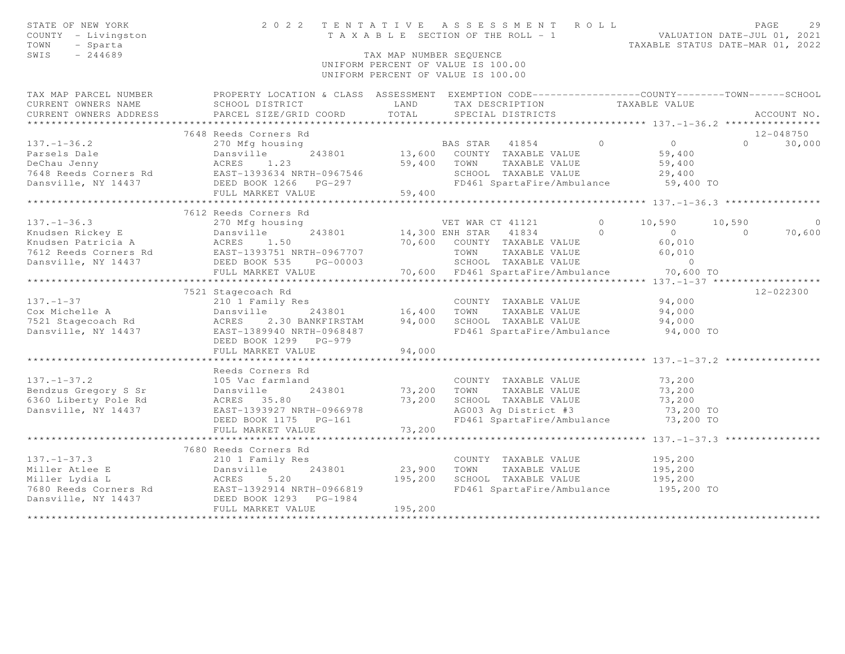| STATE OF NEW YORK<br>COUNTY - Livingston<br>TOWN<br>- Sparta<br>SWIS<br>$-244689$                                                                                                                       |                                                                                                   | TAX MAP NUMBER SEOUENCE | 2022 TENTATIVE ASSESSMENT ROLL<br>T A X A B L E SECTION OF THE ROLL - 1 VALUATION DATE-JUL 01, 2021<br>UNIFORM PERCENT OF VALUE IS 100.00<br>UNIFORM PERCENT OF VALUE IS 100.00 |                | TAXABLE STATUS DATE-MAR 01, 2022                    |           | PAGE        | 29     |
|---------------------------------------------------------------------------------------------------------------------------------------------------------------------------------------------------------|---------------------------------------------------------------------------------------------------|-------------------------|---------------------------------------------------------------------------------------------------------------------------------------------------------------------------------|----------------|-----------------------------------------------------|-----------|-------------|--------|
| TAX MAP PARCEL NUMBER                                                                                                                                                                                   | PROPERTY LOCATION & CLASS ASSESSMENT EXEMPTION CODE-----------------COUNTY-------TOWN------SCHOOL |                         |                                                                                                                                                                                 |                |                                                     |           |             |        |
| CURRENT OWNERS NAME                                                                                                                                                                                     | SCHOOL DISTRICT                                                                                   | LAND                    | TAX DESCRIPTION                                                                                                                                                                 |                | TAXABLE VALUE                                       |           |             |        |
| CURRENT OWNERS ADDRESS                                                                                                                                                                                  | PARCEL SIZE/GRID COORD                                                                            | TOTAL                   | SPECIAL DISTRICTS                                                                                                                                                               |                |                                                     |           | ACCOUNT NO. |        |
|                                                                                                                                                                                                         |                                                                                                   |                         |                                                                                                                                                                                 |                |                                                     |           |             |        |
|                                                                                                                                                                                                         | 7648 Reeds Corners Rd                                                                             |                         |                                                                                                                                                                                 | $\overline{0}$ |                                                     | $\Omega$  | 12-048750   |        |
| $137. - 1 - 36.2$                                                                                                                                                                                       | 270 Mfg housing                                                                                   |                         | BAS STAR 41854                                                                                                                                                                  |                | $\overline{0}$                                      |           |             | 30,000 |
| Parsels Dale<br>DeChau Jenny                                                                                                                                                                            | 243801<br>Dansville<br>ACRES 1.23                                                                 | 59,400                  | 13,600 COUNTY TAXABLE VALUE<br>TOWN<br>TAXABLE VALUE                                                                                                                            |                | 59,400                                              |           |             |        |
|                                                                                                                                                                                                         | EAST-1393634 NRTH-0967546                                                                         |                         | SCHOOL TAXABLE VALUE                                                                                                                                                            |                | 59,400<br>29,400                                    |           |             |        |
|                                                                                                                                                                                                         |                                                                                                   |                         | FD461 SpartaFire/Ambulance                                                                                                                                                      |                | 59,400 TO                                           |           |             |        |
|                                                                                                                                                                                                         | FULL MARKET VALUE                                                                                 | 59,400                  |                                                                                                                                                                                 |                |                                                     |           |             |        |
|                                                                                                                                                                                                         | **************************                                                                        | *************           |                                                                                                                                                                                 |                | ********************** 137.-1-36.3 **************** |           |             |        |
|                                                                                                                                                                                                         | 7612 Reeds Corners Rd                                                                             |                         |                                                                                                                                                                                 |                |                                                     |           |             |        |
| $137. - 1 - 36.3$                                                                                                                                                                                       | 270 Mfg housing                                                                                   |                         | VET WAR CT 41121                                                                                                                                                                | $\bigcirc$     | 10,590                                              | 10,590    |             | 0      |
| Xandsen Rickey E<br>Knudsen Patricia A<br>The Markey E<br>The Markey Actual Patricia A<br>The Markey E<br>The Markey E<br>EAST-1393751 NRTH-0967707<br>The Tags Corners Rd<br>EAST-1393751 NRTH-0967707 |                                                                                                   | 14,300 ENH STAR         | 41834                                                                                                                                                                           | $\Omega$       | $\Omega$                                            | $\bigcap$ |             | 70,600 |
|                                                                                                                                                                                                         |                                                                                                   |                         | 70,600 COUNTY TAXABLE VALUE                                                                                                                                                     |                | 60,010                                              |           |             |        |
|                                                                                                                                                                                                         |                                                                                                   |                         | TOWN<br>TAXABLE VALUE                                                                                                                                                           |                | 60,010                                              |           |             |        |
| Dansville, NY 14437                                                                                                                                                                                     | DEED BOOK 535<br>PG-00003                                                                         |                         | SCHOOL TAXABLE VALUE                                                                                                                                                            |                | $\overline{0}$                                      |           |             |        |
|                                                                                                                                                                                                         | FULL MARKET VALUE                                                                                 |                         | 70,600 FD461 SpartaFire/Ambulance                                                                                                                                               |                | 70,600 TO                                           |           |             |        |
|                                                                                                                                                                                                         | ***********************                                                                           |                         |                                                                                                                                                                                 |                |                                                     |           |             |        |
|                                                                                                                                                                                                         | 7521 Stagecoach Rd                                                                                |                         |                                                                                                                                                                                 |                |                                                     |           | 12-022300   |        |
| $137. - 1 - 37$                                                                                                                                                                                         | 210 1 Family Res                                                                                  |                         | COUNTY TAXABLE VALUE                                                                                                                                                            |                | 94,000                                              |           |             |        |
| Cox Michelle A                                                                                                                                                                                          | Dansville<br>243801                                                                               | 16,400                  | TOWN<br>TAXABLE VALUE                                                                                                                                                           |                | 94,000                                              |           |             |        |
| 7521 Stagecoach Rd                                                                                                                                                                                      | ACRES<br>2.30 BANKFIRSTAM                                                                         | 94,000                  | SCHOOL TAXABLE VALUE                                                                                                                                                            |                | 94,000                                              |           |             |        |
| Dansville, NY 14437                                                                                                                                                                                     | EAST-1389940 NRTH-0968487                                                                         |                         | FD461 SpartaFire/Ambulance                                                                                                                                                      |                | 94,000 TO                                           |           |             |        |
|                                                                                                                                                                                                         | DEED BOOK 1299 PG-979                                                                             |                         |                                                                                                                                                                                 |                |                                                     |           |             |        |
|                                                                                                                                                                                                         | FULL MARKET VALUE                                                                                 | 94,000                  |                                                                                                                                                                                 |                |                                                     |           |             |        |
|                                                                                                                                                                                                         |                                                                                                   |                         |                                                                                                                                                                                 |                |                                                     |           |             |        |
|                                                                                                                                                                                                         | Reeds Corners Rd                                                                                  |                         |                                                                                                                                                                                 |                |                                                     |           |             |        |
| $137. - 1 - 37.2$                                                                                                                                                                                       | 105 Vac farmland                                                                                  |                         | COUNTY TAXABLE VALUE                                                                                                                                                            |                | 73,200                                              |           |             |        |
| Bendzus Gregory S Sr                                                                                                                                                                                    | Dansville<br>243801                                                                               | 73,200                  | TOWN<br>TAXABLE VALUE                                                                                                                                                           |                | 73,200                                              |           |             |        |
| 6360 Liberty Pole Rd                                                                                                                                                                                    | ACRES 35.80                                                                                       | 73,200                  | SCHOOL TAXABLE VALUE<br>AG003 Ag District #3                                                                                                                                    |                | 73,200                                              |           |             |        |
| Dansville, NY 14437                                                                                                                                                                                     | EAST-1393927 NRTH-0966978                                                                         |                         |                                                                                                                                                                                 |                | 73,200 TO                                           |           |             |        |
|                                                                                                                                                                                                         | DEED BOOK 1175    PG-161<br>FULL MARKET VALUE                                                     | 73,200                  | FD461 SpartaFire/Ambulance                                                                                                                                                      |                | 73,200 TO                                           |           |             |        |
|                                                                                                                                                                                                         |                                                                                                   |                         |                                                                                                                                                                                 |                |                                                     |           |             |        |
|                                                                                                                                                                                                         | 7680 Reeds Corners Rd                                                                             |                         |                                                                                                                                                                                 |                |                                                     |           |             |        |
| $137. - 1 - 37.3$                                                                                                                                                                                       | 210 1 Family Res                                                                                  |                         | COUNTY TAXABLE VALUE                                                                                                                                                            |                | 195,200                                             |           |             |        |
| Miller Atlee E                                                                                                                                                                                          | 243801<br>Dansville                                                                               | 23,900                  | TOWN<br>TAXABLE VALUE                                                                                                                                                           |                | 195,200                                             |           |             |        |
| Miller Lydia L                                                                                                                                                                                          | ACRES<br>5.20                                                                                     | 195,200                 | SCHOOL TAXABLE VALUE                                                                                                                                                            |                | 195,200                                             |           |             |        |
|                                                                                                                                                                                                         | EAST-1392914 NRTH-0966819                                                                         |                         | FD461 SpartaFire/Ambulance                                                                                                                                                      |                | 195,200 TO                                          |           |             |        |
| Miller mysischer Rd<br>7680 Reeds Corners Rd<br>2008 1233 DEED BOOK 1233                                                                                                                                | PG-1984                                                                                           |                         |                                                                                                                                                                                 |                |                                                     |           |             |        |
|                                                                                                                                                                                                         | FULL MARKET VALUE                                                                                 | 195,200                 |                                                                                                                                                                                 |                |                                                     |           |             |        |
|                                                                                                                                                                                                         |                                                                                                   |                         |                                                                                                                                                                                 |                |                                                     |           |             |        |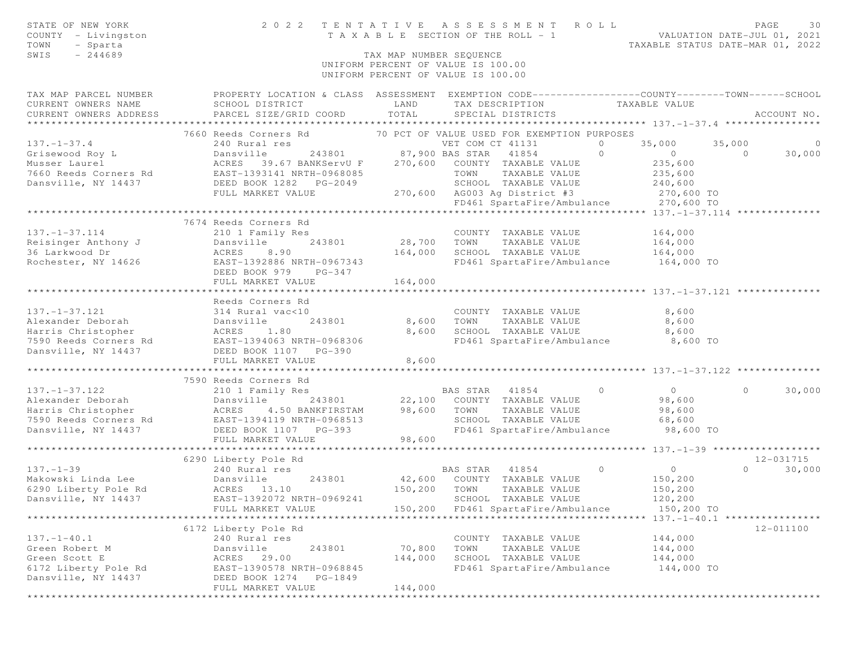| STATE OF NEW YORK<br>COUNTY - Livingston<br>- Sparta<br>TOWN<br>SWIS<br>$-244689$                                                                                                                                                                                                                   |                                                                                                                                                | TAX MAP NUMBER SEQUENCE | 2022 TENTATIVE ASSESSMENT ROLL<br>T A X A B L E SECTION OF THE ROLL - 1 VALUATION DATE-JUL 01, 2021 |         | TAXABLE STATUS DATE-MAR 01, 2022 | PAGE     | 30          |
|-----------------------------------------------------------------------------------------------------------------------------------------------------------------------------------------------------------------------------------------------------------------------------------------------------|------------------------------------------------------------------------------------------------------------------------------------------------|-------------------------|-----------------------------------------------------------------------------------------------------|---------|----------------------------------|----------|-------------|
|                                                                                                                                                                                                                                                                                                     |                                                                                                                                                |                         | UNIFORM PERCENT OF VALUE IS 100.00<br>UNIFORM PERCENT OF VALUE IS 100.00                            |         |                                  |          |             |
| TAX MAP PARCEL NUMBER<br>CURRENT OWNERS NAME<br>CURRENT OWNERS ADDRESS                                                                                                                                                                                                                              | PROPERTY LOCATION & CLASS ASSESSMENT EXEMPTION CODE-----------------COUNTY-------TOWN------SCHOOL<br>SCHOOL DISTRICT<br>PARCEL SIZE/GRID COORD | LAND<br>TOTAL           | TAX DESCRIPTION TAXABLE VALUE<br>SPECIAL DISTRICTS                                                  |         |                                  |          | ACCOUNT NO. |
|                                                                                                                                                                                                                                                                                                     | 7660 Reeds Corners Rd 70 PCT OF VALUE USED FOR EXEMPTION PURPOSES                                                                              |                         |                                                                                                     |         |                                  |          |             |
| $137. - 1 - 37.4$                                                                                                                                                                                                                                                                                   | 240 Rural res                                                                                                                                  |                         | VET COM CT 41131                                                                                    | $\circ$ | 35,000                           | 35,000   | $\sim$ 0    |
|                                                                                                                                                                                                                                                                                                     |                                                                                                                                                |                         |                                                                                                     |         | $\sim$ 0                         |          | 30,000      |
|                                                                                                                                                                                                                                                                                                     |                                                                                                                                                |                         |                                                                                                     |         |                                  |          |             |
|                                                                                                                                                                                                                                                                                                     |                                                                                                                                                |                         |                                                                                                     |         |                                  |          |             |
|                                                                                                                                                                                                                                                                                                     |                                                                                                                                                |                         |                                                                                                     |         |                                  |          |             |
| $\begin{tabular}{lllllllllllllllllllllllll} \begin{tabular}{lcccccc} 137,-1-37.4 & 240\;Rural\;res & VET\;COM\;CT\;41131 & 0 & 35,000 & 35,000 & 35,000 & 35,000 & 35,000 & 35,000 & 35,000 & 35,000 & 35,000 & 35,000 & 35,000 & 35,000 & 35,000 & 35,000 & 35,000 & 35,000 & 35,000 & 35,000 & 3$ |                                                                                                                                                |                         |                                                                                                     |         |                                  |          |             |
|                                                                                                                                                                                                                                                                                                     |                                                                                                                                                |                         |                                                                                                     |         |                                  |          |             |
|                                                                                                                                                                                                                                                                                                     | 7674 Reeds Corners Rd                                                                                                                          |                         |                                                                                                     |         |                                  |          |             |
| $137. - 1 - 37.114$                                                                                                                                                                                                                                                                                 | 210 1 Family Res                                                                                                                               | COUNTY<br>28,700 TOWN   | COUNTY TAXABLE VALUE                                                                                |         | 164,000                          |          |             |
|                                                                                                                                                                                                                                                                                                     |                                                                                                                                                |                         | TAXABLE VALUE                                                                                       |         | 164,000                          |          |             |
|                                                                                                                                                                                                                                                                                                     |                                                                                                                                                | 164,000                 | SCHOOL TAXABLE VALUE                                                                                |         | 164,000                          |          |             |
| 137.-1-37.114<br>Reisinger Anthony J<br>36 Larkwood Dr (ACRES 8.90<br>Rochester, NY 14626 (EAST-1392886 NRTH-0967343<br>DEED BOOK 979 PG-347                                                                                                                                                        |                                                                                                                                                |                         | FD461 SpartaFire/Ambulance                                                                          |         | 164,000 TO                       |          |             |
|                                                                                                                                                                                                                                                                                                     | DEED BOOK 979 PG-347                                                                                                                           |                         |                                                                                                     |         |                                  |          |             |
|                                                                                                                                                                                                                                                                                                     | FULL MARKET VALUE                                                                                                                              | 164,000                 |                                                                                                     |         |                                  |          |             |
|                                                                                                                                                                                                                                                                                                     | Reeds Corners Rd                                                                                                                               |                         |                                                                                                     |         |                                  |          |             |
|                                                                                                                                                                                                                                                                                                     |                                                                                                                                                |                         | COUNTY TAXABLE VALUE                                                                                |         | 8,600                            |          |             |
|                                                                                                                                                                                                                                                                                                     |                                                                                                                                                | 8,600                   | TOWN      TAXABLE VALUE<br>SCHOOL   TAXABLE VALUE                                                   |         | 8,600                            |          |             |
|                                                                                                                                                                                                                                                                                                     |                                                                                                                                                | 8,600                   |                                                                                                     |         | 8,600                            |          |             |
| 137.-1-37.121<br>Alexander Deborah<br>Harris Christopher<br>7590 Reeds Corners Rd<br>243801<br>243801<br>7590 Reeds Corners Rd<br>26.1.80<br>243801<br>243801<br>243801<br>243801<br>243801<br>243801<br>243801<br>2590 Reeds Corners Rd<br>26.2.1.80<br>26.2.1.                                    |                                                                                                                                                |                         | FD461 SpartaFire/Ambulance 8,600 TO                                                                 |         |                                  |          |             |
|                                                                                                                                                                                                                                                                                                     |                                                                                                                                                |                         |                                                                                                     |         |                                  |          |             |
|                                                                                                                                                                                                                                                                                                     | FULL MARKET VALUE                                                                                                                              | 8,600                   |                                                                                                     |         |                                  |          |             |
|                                                                                                                                                                                                                                                                                                     | 7590 Reeds Corners Rd                                                                                                                          |                         |                                                                                                     |         |                                  |          |             |
| $137. - 1 - 37.122$                                                                                                                                                                                                                                                                                 | 210 1 Family Res                                                                                                                               |                         | BAS STAR 41854                                                                                      | $\circ$ | $\overline{0}$                   | $\Omega$ | 30,000      |
|                                                                                                                                                                                                                                                                                                     |                                                                                                                                                |                         | 243801 22,100 COUNTY TAXABLE VALUE                                                                  |         | 98,600                           |          |             |
|                                                                                                                                                                                                                                                                                                     |                                                                                                                                                |                         | TAXABLE VALUE                                                                                       |         | 98,600                           |          |             |
|                                                                                                                                                                                                                                                                                                     |                                                                                                                                                |                         | SCHOOL TAXABLE VALUE                                                                                |         | 68,600                           |          |             |
| Alexander Deborah<br>Alexander Deborah<br>Marxis Christopher ACRES 4.50 BANKFIRSTAM 98,600 TOWN<br>T590 Reeds Corners Rd EAST-1394119 NRTH-0968513 SCHOOL<br>Dansville, NY 14437 DEED BOOK 1107 PG-393 FD461 Sp<br>FULL MARKET VALUE 98.                                                            | FULL MARKET VALUE                                                                                                                              | 98,600                  | FD461 SpartaFire/Ambulance 98,600 TO                                                                |         |                                  |          |             |
|                                                                                                                                                                                                                                                                                                     |                                                                                                                                                |                         |                                                                                                     |         |                                  |          |             |
|                                                                                                                                                                                                                                                                                                     | 6290 Liberty Pole Rd                                                                                                                           |                         |                                                                                                     |         |                                  |          | 12-031715   |
|                                                                                                                                                                                                                                                                                                     |                                                                                                                                                |                         | BAS STAR 41854                                                                                      | $\circ$ | $0$<br>150,200                   | $\Omega$ | 30,000      |
|                                                                                                                                                                                                                                                                                                     |                                                                                                                                                |                         | 243801 42,600 COUNTY TAXABLE VALUE                                                                  |         |                                  |          |             |
| 137.-1-39<br>Makowski Linda Lee Bansville<br>6290 Liberty Pole Rd ACRES 13.10<br>Denomille NY 14427 FAST-1392072 NP1                                                                                                                                                                                |                                                                                                                                                | 150,200 TOWN            | TAXABLE VALUE                                                                                       |         | 150,200                          |          |             |
| Dansville, NY 14437                                                                                                                                                                                                                                                                                 | EAST-1392072 NRTH-0969241 SCHOOL TAXABLE VALUE                                                                                                 |                         |                                                                                                     |         | 120,200                          |          |             |
|                                                                                                                                                                                                                                                                                                     | FULL MARKET VALUE                                                                                                                              | 150,200                 | FD461 SpartaFire/Ambulance<br>*************************** 137. -1-40.1 ****************             |         | 150,200 TO                       |          |             |
|                                                                                                                                                                                                                                                                                                     | 6172 Liberty Pole Rd                                                                                                                           |                         |                                                                                                     |         |                                  |          | 12-011100   |
| $137. - 1 - 40.1$                                                                                                                                                                                                                                                                                   | 240 Rural res                                                                                                                                  |                         | COUNTY TAXABLE VALUE                                                                                |         | 144,000                          |          |             |
| Green Robert M                                                                                                                                                                                                                                                                                      | Dansville<br>243801                                                                                                                            | 70,800                  | TAXABLE VALUE<br>TOWN                                                                               |         | 144,000                          |          |             |
| Green Scott E                                                                                                                                                                                                                                                                                       | ACRES 29.00                                                                                                                                    | 144,000                 | SCHOOL TAXABLE VALUE                                                                                |         | 144,000                          |          |             |
| 6172 Liberty Pole Rd                                                                                                                                                                                                                                                                                | EAST-1390578 NRTH-0968845                                                                                                                      |                         | FD461 SpartaFire/Ambulance                                                                          |         | 144,000 TO                       |          |             |
| Dansville, NY 14437                                                                                                                                                                                                                                                                                 | DEED BOOK 1274<br>PG-1849                                                                                                                      |                         |                                                                                                     |         |                                  |          |             |
|                                                                                                                                                                                                                                                                                                     | FULL MARKET VALUE                                                                                                                              | 144,000                 |                                                                                                     |         |                                  |          |             |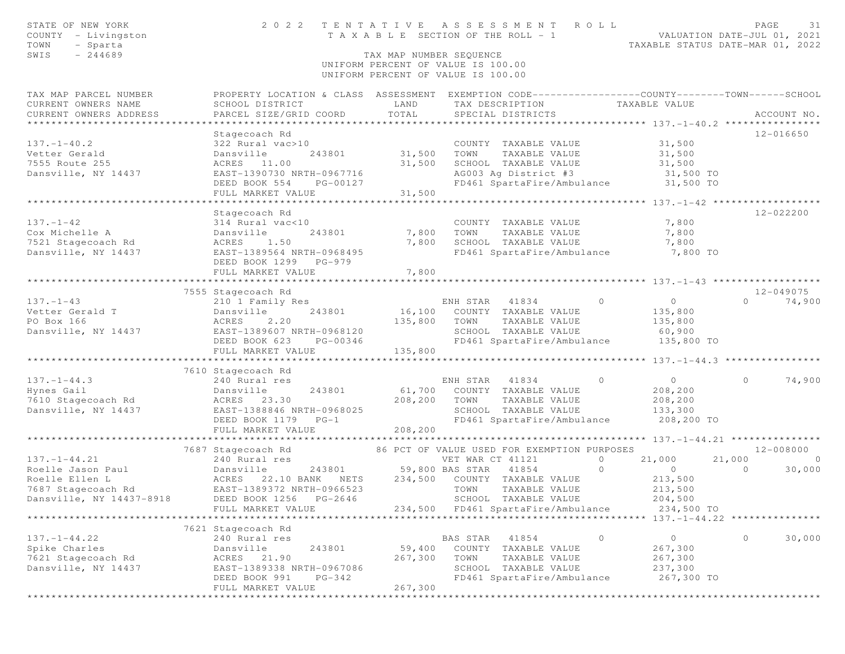| STATE OF NEW YORK<br>COUNTY - Livingston<br>TOWN<br>- Sparta | 2 0 2 2                                                                                          |                                       | TENTATIVE ASSESSMENT<br>T A X A B L E SECTION OF THE ROLL - 1            | ROLL<br>VALUATION DATE-JUL 01, 2021 | PAGE<br>31<br>TAXABLE STATUS DATE-MAR 01, 2022 |
|--------------------------------------------------------------|--------------------------------------------------------------------------------------------------|---------------------------------------|--------------------------------------------------------------------------|-------------------------------------|------------------------------------------------|
| $-244689$<br>SWIS                                            |                                                                                                  | TAX MAP NUMBER SEQUENCE               |                                                                          |                                     |                                                |
|                                                              |                                                                                                  |                                       | UNIFORM PERCENT OF VALUE IS 100.00<br>UNIFORM PERCENT OF VALUE IS 100.00 |                                     |                                                |
| TAX MAP PARCEL NUMBER                                        | PROPERTY LOCATION & CLASS ASSESSMENT EXEMPTION CODE----------------COUNTY-------TOWN------SCHOOL |                                       |                                                                          |                                     |                                                |
| CURRENT OWNERS NAME                                          | SCHOOL DISTRICT                                                                                  | LAND                                  | TAX DESCRIPTION                                                          | TAXABLE VALUE                       |                                                |
| CURRENT OWNERS ADDRESS                                       | PARCEL SIZE/GRID COORD                                                                           | TOTAL                                 | SPECIAL DISTRICTS                                                        |                                     | ACCOUNT NO.                                    |
|                                                              |                                                                                                  |                                       |                                                                          |                                     | 12-016650                                      |
| $137. - 1 - 40.2$                                            | Stagecoach Rd<br>322 Rural vac>10                                                                |                                       | COUNTY TAXABLE VALUE                                                     | 31,500                              |                                                |
| Vetter Gerald                                                | Dansville<br>243801                                                                              | 31,500                                | TOWN<br>TAXABLE VALUE                                                    | 31,500                              |                                                |
| 7555 Route 255                                               | ACRES 11.00                                                                                      | 31,500                                | SCHOOL TAXABLE VALUE                                                     | 31,500                              |                                                |
| Dansville, NY 14437                                          | EAST-1390730 NRTH-0967716                                                                        |                                       | AG003 Ag District #3                                                     | 31,500 TO                           |                                                |
|                                                              | DEED BOOK 554<br>PG-00127                                                                        |                                       | FD461 SpartaFire/Ambulance 31,500 TO                                     |                                     |                                                |
|                                                              | FULL MARKET VALUE                                                                                | 31,500                                |                                                                          |                                     |                                                |
|                                                              |                                                                                                  |                                       |                                                                          |                                     |                                                |
|                                                              | Stagecoach Rd                                                                                    |                                       |                                                                          |                                     | 12-022200                                      |
| $137. - 1 - 42$                                              | 314 Rural vac<10                                                                                 |                                       | COUNTY TAXABLE VALUE                                                     | 7,800                               |                                                |
| Cox Michelle A                                               | 243801<br>Dansville                                                                              | 7,800                                 | TAXABLE VALUE<br>TOWN                                                    | 7,800                               |                                                |
| 7521 Stagecoach Rd                                           | ACRES<br>1.50                                                                                    | 7,800                                 | SCHOOL TAXABLE VALUE                                                     | 7,800                               |                                                |
| Dansville, NY 14437                                          | EAST-1389564 NRTH-0968495                                                                        |                                       | FD461 SpartaFire/Ambulance 7,800 TO                                      |                                     |                                                |
|                                                              | DEED BOOK 1299 PG-979                                                                            |                                       |                                                                          |                                     |                                                |
|                                                              | FULL MARKET VALUE                                                                                | 7,800                                 |                                                                          |                                     |                                                |
|                                                              |                                                                                                  |                                       |                                                                          |                                     |                                                |
| $137. - 1 - 43$                                              | 7555 Stagecoach Rd<br>210 1 Family Res                                                           |                                       | ENH STAR 41834                                                           | $\circ$<br>$\overline{0}$           | 12-049075<br>$\Omega$<br>74,900                |
| Vetter Gerald T                                              | Dansville<br>243801                                                                              | 16,100                                | COUNTY TAXABLE VALUE                                                     | 135,800                             |                                                |
| PO Box 166                                                   | 2.20<br>ACRES                                                                                    | 135,800                               | TAXABLE VALUE<br>TOWN                                                    | 135,800                             |                                                |
| Dansville, NY 14437                                          | EAST-1389607 NRTH-0968120                                                                        |                                       | SCHOOL TAXABLE VALUE                                                     | 60,900                              |                                                |
|                                                              | DEED BOOK 623<br>PG-00346                                                                        |                                       | FD461 SpartaFire/Ambulance                                               | 135,800 TO                          |                                                |
|                                                              | FULL MARKET VALUE                                                                                | 135,800                               |                                                                          |                                     |                                                |
|                                                              |                                                                                                  | * * * * * * * * * * * * * * * * * * * |                                                                          |                                     | ********* 137.-1-44.3 *****************        |
|                                                              | 7610 Stagecoach Rd                                                                               |                                       |                                                                          |                                     |                                                |
| $137. - 1 - 44.3$                                            | 240 Rural res                                                                                    |                                       | ENH STAR 41834                                                           | $\overline{0}$<br>$\overline{0}$    | 74,900<br>$\circ$                              |
| Hynes Gail                                                   | Dansville<br>243801                                                                              |                                       | 61,700 COUNTY TAXABLE VALUE                                              | 208,200                             |                                                |
| 7610 Stagecoach Rd                                           | ACRES 23.30                                                                                      | 208,200                               | TOWN<br>TAXABLE VALUE                                                    | 208,200                             |                                                |
| Dansville, NY 14437                                          | EAST-1388846 NRTH-0968025                                                                        |                                       | SCHOOL TAXABLE VALUE                                                     | 133,300                             |                                                |
|                                                              | DEED BOOK 1179<br>$PG-1$                                                                         |                                       | FD461 SpartaFire/Ambulance                                               | 208,200 TO                          |                                                |
|                                                              | FULL MARKET VALUE                                                                                | 208,200                               |                                                                          |                                     |                                                |
|                                                              |                                                                                                  |                                       |                                                                          |                                     |                                                |
|                                                              | 7687 Stagecoach Rd                                                                               |                                       | 86 PCT OF VALUE USED FOR EXEMPTION PURPOSES                              | $\circ$                             | 12-008000                                      |
| $137. - 1 - 44.21$                                           | 240 Rural res<br>Dansville                                                                       | 243801 59,800 BAS STAR                | VET WAR CT 41121<br>41854                                                | 21,000<br>$\circ$<br>$\overline{0}$ | 21,000<br>$\overline{0}$<br>30,000<br>$\Omega$ |
| Roelle Jason Paul 1999 Dansvill<br>Roelle Ellen Lackers      | 22.10 BANK NETS                                                                                  |                                       | 234,500 COUNTY TAXABLE VALUE                                             | 213,500                             |                                                |
| 7687 Stagecoach Rd                                           | EAST-1389372 NRTH-0966523                                                                        |                                       | TAXABLE VALUE<br>TOWN                                                    | 213,500                             |                                                |
| Dansville, NY 14437-8918                                     | DEED BOOK 1256 PG-2646                                                                           |                                       | SCHOOL TAXABLE VALUE                                                     | 204,500                             |                                                |
|                                                              | FULL MARKET VALUE                                                                                |                                       | 234,500 FD461 SpartaFire/Ambulance                                       | 234,500 TO                          |                                                |
|                                                              |                                                                                                  |                                       |                                                                          |                                     |                                                |
|                                                              | 7621 Stagecoach Rd                                                                               |                                       |                                                                          |                                     |                                                |
| $137. - 1 - 44.22$                                           | 240 Rural res                                                                                    |                                       | BAS STAR<br>41854                                                        | 0<br>0                              | $\circ$<br>30,000                              |
| Spike Charles                                                | 243801<br>Dansville                                                                              | 59,400                                | COUNTY TAXABLE VALUE                                                     | 267,300                             |                                                |
| 7621 Stagecoach Rd                                           | ACRES<br>21.90                                                                                   | 267,300                               | TOWN<br>TAXABLE VALUE                                                    | 267,300                             |                                                |
| Dansville, NY 14437                                          | EAST-1389338 NRTH-0967086                                                                        |                                       | SCHOOL TAXABLE VALUE                                                     | 237,300                             |                                                |
|                                                              | $PG-342$<br>DEED BOOK 991                                                                        |                                       | FD461 SpartaFire/Ambulance                                               | 267,300 TO                          |                                                |
|                                                              | FULL MARKET VALUE                                                                                | 267,300                               |                                                                          |                                     |                                                |
|                                                              |                                                                                                  |                                       |                                                                          |                                     |                                                |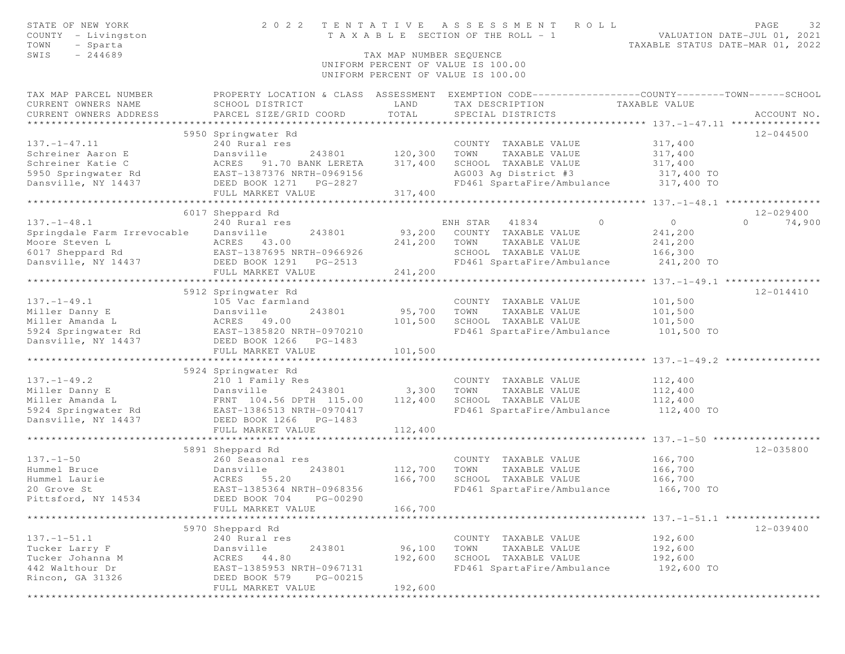| STATE OF NEW YORK<br>COUNTY - Livingston<br>TOWN<br>- Sparta | 2 0 2 2                                              | TENTATIVE               | A S S E S S M E N T<br>ROLL<br>T A X A B L E SECTION OF THE ROLL - 1                             |                    | PAGE<br>32<br>VALUATION DATE-JUL 01, 2021<br>TAXABLE STATUS DATE-MAR 01, 2022 |
|--------------------------------------------------------------|------------------------------------------------------|-------------------------|--------------------------------------------------------------------------------------------------|--------------------|-------------------------------------------------------------------------------|
| $-244689$<br>SWIS                                            |                                                      | TAX MAP NUMBER SEQUENCE |                                                                                                  |                    |                                                                               |
|                                                              |                                                      |                         | UNIFORM PERCENT OF VALUE IS 100.00                                                               |                    |                                                                               |
|                                                              |                                                      |                         | UNIFORM PERCENT OF VALUE IS 100.00                                                               |                    |                                                                               |
| TAX MAP PARCEL NUMBER                                        |                                                      |                         | PROPERTY LOCATION & CLASS ASSESSMENT EXEMPTION CODE----------------COUNTY-------TOWN------SCHOOL |                    |                                                                               |
| CURRENT OWNERS NAME                                          | SCHOOL DISTRICT                                      | LAND                    | TAX DESCRIPTION TAXABLE VALUE                                                                    |                    |                                                                               |
| CURRENT OWNERS ADDRESS                                       | PARCEL SIZE/GRID COORD                               | TOTAL                   | SPECIAL DISTRICTS                                                                                |                    | ACCOUNT NO.                                                                   |
|                                                              |                                                      |                         |                                                                                                  |                    |                                                                               |
|                                                              | 5950 Springwater Rd                                  |                         |                                                                                                  |                    | $12 - 044500$                                                                 |
| $137. - 1 - 47.11$                                           | 240 Rural res                                        |                         | COUNTY TAXABLE VALUE                                                                             | 317,400            |                                                                               |
| Schreiner Aaron E<br>Schreiner Katie C                       | Dansville                                            | 243801 120,300          | TAXABLE VALUE<br>TOWN                                                                            | 317,400            |                                                                               |
|                                                              | ACRES 91.70 BANK LERETA                              | 317,400                 | SCHOOL TAXABLE VALUE                                                                             | 317,400            |                                                                               |
| 5950 Springwater Rd<br>Dansville, NY 14437                   | EAST-1387376 NRTH-0969156<br>DEED BOOK 1271 PG-2827  |                         | AG003 Ag District #3 317,400 TO<br>FD461 SpartaFire/Ambulance 317,400 TO                         |                    |                                                                               |
|                                                              | FULL MARKET VALUE                                    | 317,400                 |                                                                                                  |                    |                                                                               |
|                                                              |                                                      |                         |                                                                                                  |                    |                                                                               |
|                                                              | 6017 Sheppard Rd                                     |                         |                                                                                                  |                    | 12-029400                                                                     |
| $137. - 1 - 48.1$                                            | 240 Rural res                                        |                         | $\circ$<br>ENH STAR 41834                                                                        | $\circ$            | $\Omega$<br>74,900                                                            |
| Springdale Farm Irrevocable                                  | Dansville<br>243801                                  | 93,200                  | COUNTY TAXABLE VALUE                                                                             | 241,200            |                                                                               |
| Moore Steven L                                               | ACRES 43.00                                          | 241,200                 | TOWN<br>TAXABLE VALUE                                                                            | 241,200            |                                                                               |
| 6017 Sheppard Rd                                             | EAST-1387695 NRTH-0966926                            |                         | SCHOOL TAXABLE VALUE                                                                             | 166,300            |                                                                               |
| Dansville, NY 14437                                          | DEED BOOK 1291<br>PG-2513                            |                         | FD461 SpartaFire/Ambulance                                                                       | 241,200 TO         |                                                                               |
|                                                              | FULL MARKET VALUE                                    | 241,200                 |                                                                                                  |                    |                                                                               |
|                                                              |                                                      |                         |                                                                                                  |                    |                                                                               |
|                                                              | 5912 Springwater Rd                                  |                         |                                                                                                  |                    | $12 - 014410$                                                                 |
| $137. - 1 - 49.1$                                            | 105 Vac farmland                                     |                         | COUNTY TAXABLE VALUE                                                                             | 101,500            |                                                                               |
| Miller Danny E                                               | Dansville<br>243801                                  | 95,700                  | TOWN<br>TAXABLE VALUE                                                                            | 101,500            |                                                                               |
| Miller Amanda L                                              | ACRES 45.00<br>EAST-1385820 NRTH-0970210             | 101,500                 | SCHOOL TAXABLE VALUE                                                                             | 101,500            |                                                                               |
| 5924 Springwater Rd                                          |                                                      |                         | FD461 SpartaFire/Ambulance                                                                       | 101,500 TO         |                                                                               |
| Dansville, NY 14437                                          | DEED BOOK 1266 PG-1483                               |                         |                                                                                                  |                    |                                                                               |
|                                                              | FULL MARKET VALUE<br>******************************* | 101,500<br>***********  |                                                                                                  |                    |                                                                               |
|                                                              |                                                      |                         |                                                                                                  |                    |                                                                               |
| $137. - 1 - 49.2$                                            | 5924 Springwater Rd<br>210 1 Family Res              |                         | COUNTY TAXABLE VALUE                                                                             | 112,400            |                                                                               |
| Miller Danny E                                               | Dansville<br>243801                                  | 3,300                   | TOWN<br>TAXABLE VALUE                                                                            | 112,400            |                                                                               |
| Miller Amanda L                                              | FRNT 104.56 DPTH 115.00                              | 112,400                 | SCHOOL TAXABLE VALUE                                                                             | 112,400            |                                                                               |
| 5924 Springwater Rd                                          | EAST-1386513 NRTH-0970417                            |                         | FD461 SpartaFire/Ambulance 112,400 TO                                                            |                    |                                                                               |
| Dansville, NY 14437                                          | DEED BOOK 1266 PG-1483                               |                         |                                                                                                  |                    |                                                                               |
|                                                              | FULL MARKET VALUE                                    | 112,400                 |                                                                                                  |                    |                                                                               |
|                                                              |                                                      |                         |                                                                                                  |                    |                                                                               |
|                                                              | 5891 Sheppard Rd                                     |                         |                                                                                                  |                    | 12-035800                                                                     |
| $137. - 1 - 50$                                              | 260 Seasonal res                                     |                         | COUNTY TAXABLE VALUE                                                                             | 166,700            |                                                                               |
| Hummel Bruce                                                 | Dansville<br>243801                                  | 112,700                 | TOWN<br>TAXABLE VALUE                                                                            | 166,700            |                                                                               |
| Hummel Laurie                                                | ACRES 55.20                                          | 166,700                 | SCHOOL TAXABLE VALUE                                                                             | 166,700            |                                                                               |
| 20 Grove St                                                  | EAST-1385364 NRTH-0968356                            |                         | FD461 SpartaFire/Ambulance                                                                       | 166,700 TO         |                                                                               |
| Pittsford, NY 14534                                          | DEED BOOK 704 PG-00290                               |                         |                                                                                                  |                    |                                                                               |
|                                                              | FULL MARKET VALUE                                    | 166,700                 |                                                                                                  |                    |                                                                               |
|                                                              | ***********************************                  |                         |                                                                                                  |                    |                                                                               |
|                                                              | 5970 Sheppard Rd                                     |                         |                                                                                                  |                    | $12 - 039400$                                                                 |
| $137. - 1 - 51.1$                                            | 240 Rural res                                        |                         | COUNTY TAXABLE VALUE                                                                             | 192,600            |                                                                               |
| Tucker Larry F<br>Tucker Johanna M                           | 243801<br>Dansville<br>ACRES<br>44.80                | 96,100                  | TAXABLE VALUE<br>TOWN<br>SCHOOL TAXABLE VALUE                                                    | 192,600<br>192,600 |                                                                               |
| 442 Walthour Dr                                              | EAST-1385953 NRTH-0967131                            | 192,600                 | FD461 SpartaFire/Ambulance                                                                       | 192,600 TO         |                                                                               |
| Rincon, GA 31326                                             | DEED BOOK 579<br>PG-00215                            |                         |                                                                                                  |                    |                                                                               |
|                                                              | FULL MARKET VALUE                                    | 192,600                 |                                                                                                  |                    |                                                                               |
|                                                              | *******************************                      |                         | ***************************                                                                      |                    |                                                                               |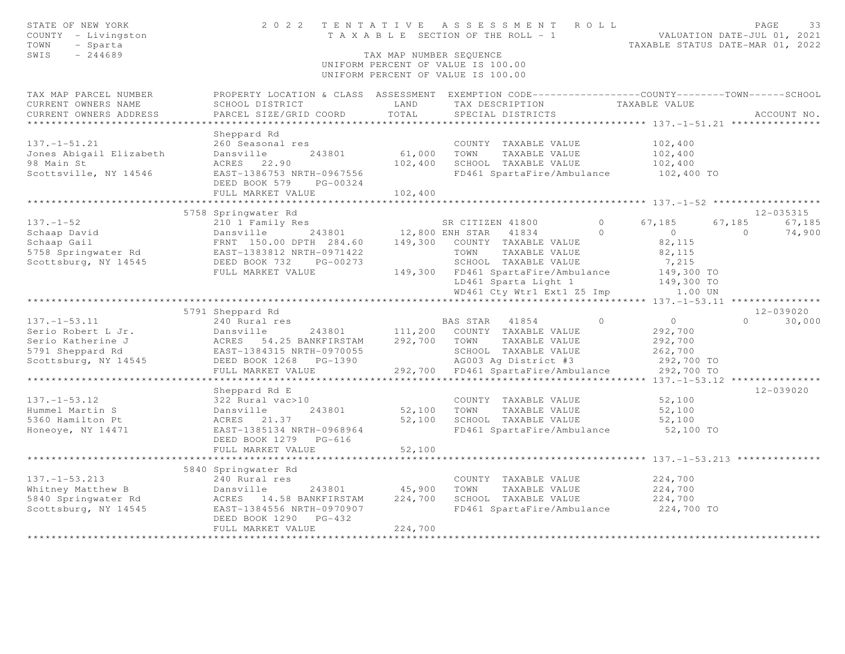| STATE OF NEW YORK<br>COUNTY - Livingston<br>TOWN<br>- Sparta<br>SWIS<br>$-244689$    |                                                                                                                                              | TAX MAP NUMBER SEQUENCE | 2022 TENTATIVE ASSESSMENT ROLL<br>T A X A B L E SECTION OF THE ROLL - 1<br>UNIFORM PERCENT OF VALUE IS 100.00<br>UNIFORM PERCENT OF VALUE IS 100.00 |                                                           | PAGE<br>33<br>VALUATION DATE-JUL 01, 2021<br>TAXABLE STATUS DATE-MAR 01, 2022 |
|--------------------------------------------------------------------------------------|----------------------------------------------------------------------------------------------------------------------------------------------|-------------------------|-----------------------------------------------------------------------------------------------------------------------------------------------------|-----------------------------------------------------------|-------------------------------------------------------------------------------|
| TAX MAP PARCEL NUMBER<br>CURRENT OWNERS NAME<br>CURRENT OWNERS ADDRESS               | PROPERTY LOCATION & CLASS ASSESSMENT EXEMPTION CODE---------------COUNTY-------TOWN------SCHOOL<br>SCHOOL DISTRICT<br>PARCEL SIZE/GRID COORD | LAND<br>TOTAL           | TAX DESCRIPTION<br>SPECIAL DISTRICTS                                                                                                                | TAXABLE VALUE                                             | ACCOUNT NO.                                                                   |
|                                                                                      |                                                                                                                                              | ***********             |                                                                                                                                                     |                                                           | **************************** 137.-1-51.21 ***************                     |
| $137. - 1 - 51.21$<br>Jones Abigail Elizabeth<br>98 Main St<br>Scottsville, NY 14546 | Sheppard Rd<br>260 Seasonal res<br>Dansville<br>243801<br>ACRES 22.90<br>EAST-1386753 NRTH-0967556                                           | 61,000<br>102,400       | COUNTY TAXABLE VALUE<br>TOWN<br>TAXABLE VALUE<br>SCHOOL TAXABLE VALUE<br>FD461 SpartaFire/Ambulance                                                 | 102,400<br>102,400<br>102,400<br>102,400 TO               |                                                                               |
|                                                                                      | DEED BOOK 579<br>PG-00324<br>FULL MARKET VALUE                                                                                               | 102,400                 |                                                                                                                                                     |                                                           |                                                                               |
|                                                                                      |                                                                                                                                              |                         | ******************************** 137. -1-52 ******************                                                                                      |                                                           |                                                                               |
|                                                                                      | 5758 Springwater Rd                                                                                                                          |                         |                                                                                                                                                     |                                                           | 12-035315                                                                     |
| $137. - 1 - 52$<br>Schaap David<br>Schaap Gail                                       | 210 1 Family Res<br>243801<br>Dansville<br>FRNT 150.00 DPTH 284.60 149,300 COUNTY TAXABLE VALUE                                              |                         | SR CITIZEN 41800<br>12,800 ENH STAR 41834                                                                                                           | $\circ$<br>67,185<br>$\Omega$<br>$\overline{0}$<br>82,115 | 67,185<br>67,185<br>74,900<br>$\Omega$                                        |
| 5758 Springwater Rd<br>Scottsburg, NY 14545                                          | EAST-1383812 NRTH-0971422<br>DEED BOOK 732<br>PG-00273<br>FULL MARKET VALUE                                                                  |                         | TOWN<br>TAXABLE VALUE<br>SCHOOL TAXABLE VALUE<br>149,300 FD461 SpartaFire/Ambulance<br>LD461 Sparta Light 1                                         | 82,115<br>7,215<br>149,300 TO<br>149,300 TO               |                                                                               |
|                                                                                      |                                                                                                                                              |                         | WD461 Cty Wtr1 Ext1 Z5 Imp                                                                                                                          | 1.00 UN                                                   |                                                                               |
|                                                                                      | *************************                                                                                                                    |                         |                                                                                                                                                     |                                                           | ***************** 137.-1-53.11 ****************                               |
|                                                                                      | 5791 Sheppard Rd                                                                                                                             |                         |                                                                                                                                                     |                                                           | 12-039020                                                                     |
| $137. - 1 - 53.11$                                                                   | 240 Rural res                                                                                                                                |                         | BAS STAR 41854                                                                                                                                      | $0 \qquad \qquad$<br>$\Omega$                             | $\Omega$<br>30,000                                                            |
| Serio Robert L Jr.                                                                   | Dansville<br>243801                                                                                                                          | 111,200                 | COUNTY TAXABLE VALUE                                                                                                                                | 292,700                                                   |                                                                               |
| Serio Katherine J                                                                    | ACRES 54.25 BANKFIRSTAM                                                                                                                      | 292,700                 | TOWN TAXABLE VALUE                                                                                                                                  | 292,700                                                   |                                                                               |
| 5791 Sheppard Rd                                                                     | EAST-1384315 NRTH-0970055                                                                                                                    |                         | SCHOOL TAXABLE VALUE                                                                                                                                | 262,700                                                   |                                                                               |
| Scottsburg, NY 14545                                                                 | DEED BOOK 1268<br>PG-1390                                                                                                                    |                         | AG003 Ag District #3                                                                                                                                | 292,700 TO                                                |                                                                               |
|                                                                                      | FULL MARKET VALUE                                                                                                                            |                         | 292,700 FD461 SpartaFire/Ambulance                                                                                                                  | 292,700 TO                                                |                                                                               |
|                                                                                      |                                                                                                                                              |                         |                                                                                                                                                     | $137. - 1 - 53.12$ *                                      | 12-039020                                                                     |
| $137. - 1 - 53.12$<br>Hummel Martin S<br>5360 Hamilton Pt<br>Honeoye, NY 14471       | Sheppard Rd E<br>322 Rural vac>10<br>243801<br>Dansville<br>ACRES 21.37<br>EAST-1385134 NRTH-0968964<br>DEED BOOK 1279 PG-616                | 52,100<br>52,100        | COUNTY TAXABLE VALUE<br>TOWN<br>TAXABLE VALUE<br>SCHOOL TAXABLE VALUE<br>FD461 SpartaFire/Ambulance                                                 | 52,100<br>52,100<br>52,100<br>52,100 TO                   |                                                                               |
|                                                                                      | FULL MARKET VALUE                                                                                                                            | 52,100                  |                                                                                                                                                     |                                                           |                                                                               |
|                                                                                      |                                                                                                                                              |                         |                                                                                                                                                     |                                                           |                                                                               |
|                                                                                      | 5840 Springwater Rd                                                                                                                          |                         |                                                                                                                                                     |                                                           |                                                                               |
| $137. - 1 - 53.213$                                                                  | 240 Rural res                                                                                                                                |                         | COUNTY TAXABLE VALUE                                                                                                                                | 224,700                                                   |                                                                               |
| Whitney Matthew B                                                                    | Dansville<br>243801                                                                                                                          | 45,900                  | TOWN<br>TAXABLE VALUE                                                                                                                               | 224,700                                                   |                                                                               |
| 5840 Springwater Rd                                                                  | ACRES 14.58 BANKFIRSTAM                                                                                                                      | 224,700                 | SCHOOL TAXABLE VALUE                                                                                                                                | 224,700                                                   |                                                                               |
| Scottsburg, NY 14545                                                                 | EAST-1384556 NRTH-0970907<br>DEED BOOK 1290<br>$PG-432$<br>FULL MARKET VALUE                                                                 | 224,700                 | FD461 SpartaFire/Ambulance                                                                                                                          | 224,700 TO                                                |                                                                               |
|                                                                                      |                                                                                                                                              |                         |                                                                                                                                                     |                                                           |                                                                               |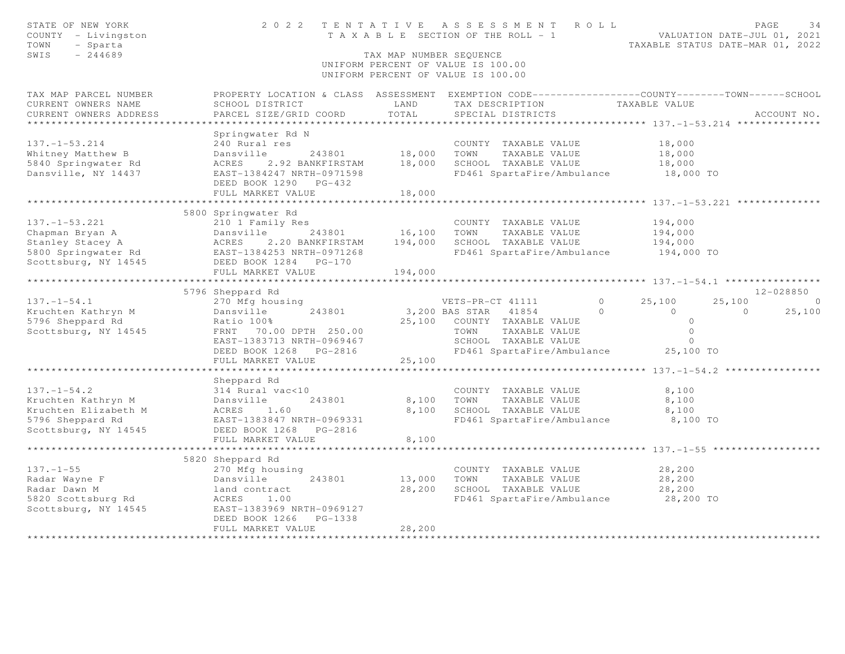| STATE OF NEW YORK<br>COUNTY - Livingston<br>TOWN<br>- Sparta<br>$-244689$<br>SWIS                           |                                                                                                                                                                                                               | TAX MAP NUMBER SEQUENCE                        | 2022 TENTATIVE ASSESSMENT<br>R O L L<br>T A X A B L E SECTION OF THE ROLL - 1<br>UNIFORM PERCENT OF VALUE IS 100.00<br>UNIFORM PERCENT OF VALUE IS 100.00                           | VALUATION DATE-JUL 01, 2021<br>TAXABLE STATUS DATE-MAR 01, 2022             | PAGE<br>34                          |
|-------------------------------------------------------------------------------------------------------------|---------------------------------------------------------------------------------------------------------------------------------------------------------------------------------------------------------------|------------------------------------------------|-------------------------------------------------------------------------------------------------------------------------------------------------------------------------------------|-----------------------------------------------------------------------------|-------------------------------------|
| TAX MAP PARCEL NUMBER<br>CURRENT OWNERS NAME<br>CURRENT OWNERS ADDRESS                                      | SCHOOL DISTRICT<br>PARCEL SIZE/GRID COORD                                                                                                                                                                     | LAND<br>TOTAL<br>***********                   | PROPERTY LOCATION & CLASS ASSESSMENT EXEMPTION CODE----------------COUNTY-------TOWN------SCHOOL<br>TAX DESCRIPTION<br>SPECIAL DISTRICTS                                            | TAXABLE VALUE<br>****************** 137.-1-53.214 ***************           | ACCOUNT NO.                         |
| $137. - 1 - 53.214$<br>Whitney Matthew B<br>5840 Springwater Rd<br>Dansville, NY 14437                      | Springwater Rd N<br>240 Rural res<br>Dansville<br>243801<br>2.92 BANKFIRSTAM<br>ACRES<br>EAST-1384247 NRTH-0971598<br>DEED BOOK 1290 PG-432<br>FULL MARKET VALUE                                              | 18,000<br>18,000<br>18,000<br>**************** | COUNTY TAXABLE VALUE<br>TOWN<br>TAXABLE VALUE<br>SCHOOL TAXABLE VALUE<br>FD461 SpartaFire/Ambulance 18,000 TO<br>************************************ 137.-1-53.221 *************** | 18,000<br>18,000<br>18,000                                                  |                                     |
| $137. - 1 - 53.221$<br>Scottsburg, NY 14545                                                                 | 5800 Springwater Rd<br>210 1 Family Res<br>2.20 BANKFIRSTAM<br>DEED BOOK 1284    PG-170<br>FULL MARKET VALUE<br>***********                                                                                   | 16,100<br>194,000<br>194,000                   | COUNTY TAXABLE VALUE<br>TOWN<br>TAXABLE VALUE<br>SCHOOL TAXABLE VALUE<br>FD461 SpartaFire/Ambulance                                                                                 | 194,000<br>194,000<br>194,000<br>194,000 TO<br>************* 137.-1-54.1 ** |                                     |
| $137. - 1 - 54.1$<br>Kruchten Kathryn M<br>5796 Sheppard Rd<br>Scottsburg, NY 14545                         | 5796 Sheppard Rd<br>270 Mfg housing<br>243801<br>Dansville<br>Ratio 100%<br>FRNT 70.00 DPTH 250.00<br>EAST-1383713 NRTH-0969467<br>DEED BOOK 1268<br>PG-2816<br>FULL MARKET VALUE                             | 25,100<br>25,100                               | $\Omega$<br>VETS-PR-CT 41111<br>3,200 BAS STAR<br>41854<br>$\circ$<br>COUNTY TAXABLE VALUE<br>TOWN<br>TAXABLE VALUE<br>SCHOOL TAXABLE VALUE<br>FD461 SpartaFire/Ambulance 25,100 TO | 25,100<br>25,100<br>$\bigcap$<br>$\circ$<br>$\circ$<br>$\circ$<br>$\circ$   | $12 - 028850$<br>$\Omega$<br>25,100 |
| $137. - 1 - 54.2$<br>Kruchten Kathryn M<br>Kruchten Elizabeth M<br>5796 Sheppard Rd<br>Scottsburg, NY 14545 | Sheppard Rd<br>314 Rural vac<10<br>Dansville<br>243801<br>ACRES 1.60<br>EAST-1383847 NRTH-0969331<br>DEED BOOK 1268 PG-2816<br>FULL MARKET VALUE                                                              | 8,100<br>8,100<br>8,100                        | COUNTY TAXABLE VALUE<br>TAXABLE VALUE<br>TOWN<br>SCHOOL TAXABLE VALUE<br>FD461 SpartaFire/Ambulance                                                                                 | 8,100<br>8,100<br>8,100<br>8,100 TO                                         |                                     |
| $137. - 1 - 55$<br>Radar Wayne F<br>Radar Dawn M<br>5820 Scottsburg Rd<br>Scottsburg, NY 14545              | ******************************<br>5820 Sheppard Rd<br>270 Mfg housing<br>Dansville<br>243801<br>land contract<br>ACRES<br>1.00<br>EAST-1383969 NRTH-0969127<br>DEED BOOK 1266<br>PG-1338<br>FULL MARKET VALUE | 13,000<br>28,200<br>28,200                     | COUNTY TAXABLE VALUE<br>TOWN<br>TAXABLE VALUE<br>SCHOOL TAXABLE VALUE<br>FD461 SpartaFire/Ambulance                                                                                 | 28,200<br>28,200<br>28,200<br>28,200 TO                                     |                                     |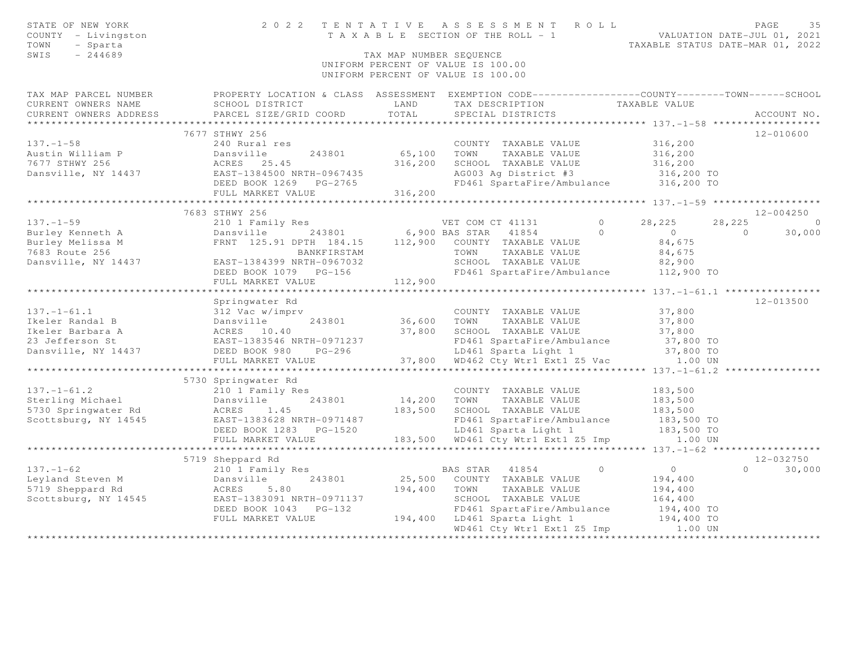| STATE OF NEW YORK<br>COUNTY - Livingston<br>- Sparta<br>TOWN<br>SWIS<br>$-244689$                                                                                                                                                                    |                                           |                    | 2022 TENTATIVE ASSESSMENT ROLL<br>TAX MAP NUMBER SEQUENCE<br>UNIFORM PERCENT OF VALUE IS 100.00<br>UNIFORM PERCENT OF VALUE IS 100.00 |                  |                                         | PAGE<br>35         |
|------------------------------------------------------------------------------------------------------------------------------------------------------------------------------------------------------------------------------------------------------|-------------------------------------------|--------------------|---------------------------------------------------------------------------------------------------------------------------------------|------------------|-----------------------------------------|--------------------|
| TAX MAP PARCEL NUMBER FROPERTY LOCATION & CLASS ASSESSMENT EXEMPTION CODE---------------COUNTY-------TOWN-----SCHOOL<br>CURRENT OWNERS NAME<br>CURRENT OWNERS ADDRESS                                                                                | SCHOOL DISTRICT<br>PARCEL SIZE/GRID COORD | LAND<br>TOTAL      | TAX DESCRIPTION<br>SPECIAL DISTRICTS                                                                                                  | TAXABLE VALUE    |                                         | ACCOUNT NO.        |
| 137.-1-58<br>Austin William P<br>1677 STHWY 256<br>Dansville, NY 14437<br>26 Dansville, NY 14437<br>26 Dansville, NY 14437<br>26 Dansville, NY 14437<br>26 Dansville, NY 14437<br>26 Dansville, NY 14437<br>26 Dansville, NY 14437<br>26 Dansville   |                                           |                    |                                                                                                                                       |                  |                                         | 12-010600          |
|                                                                                                                                                                                                                                                      |                                           |                    | COUNTY TAXABLE VALUE                                                                                                                  |                  | 316,200                                 |                    |
|                                                                                                                                                                                                                                                      |                                           | 243801 65,100 TOWN | TAXABLE VALUE                                                                                                                         |                  | 316, 200                                |                    |
|                                                                                                                                                                                                                                                      |                                           |                    |                                                                                                                                       |                  |                                         |                    |
|                                                                                                                                                                                                                                                      |                                           |                    |                                                                                                                                       |                  |                                         |                    |
|                                                                                                                                                                                                                                                      |                                           |                    |                                                                                                                                       |                  |                                         |                    |
|                                                                                                                                                                                                                                                      |                                           |                    |                                                                                                                                       |                  |                                         |                    |
|                                                                                                                                                                                                                                                      |                                           |                    |                                                                                                                                       |                  |                                         |                    |
|                                                                                                                                                                                                                                                      | 7683 STHWY 256                            |                    |                                                                                                                                       |                  |                                         | 12-004250          |
|                                                                                                                                                                                                                                                      |                                           |                    |                                                                                                                                       |                  | 28,225                                  | 28,225 0           |
|                                                                                                                                                                                                                                                      |                                           |                    |                                                                                                                                       | $\overline{0}$ 0 | $\overline{0}$                          | 30,000             |
|                                                                                                                                                                                                                                                      |                                           |                    |                                                                                                                                       |                  | 84,675                                  |                    |
|                                                                                                                                                                                                                                                      |                                           |                    |                                                                                                                                       |                  | 84,675                                  |                    |
|                                                                                                                                                                                                                                                      |                                           |                    |                                                                                                                                       |                  | 82,900                                  |                    |
|                                                                                                                                                                                                                                                      | DEED BOOK 1079 PG-156                     |                    | FD461 SpartaFire/Ambulance 112,900 TO                                                                                                 |                  |                                         |                    |
|                                                                                                                                                                                                                                                      | FULL MARKET VALUE                         | 112,900            |                                                                                                                                       |                  |                                         |                    |
|                                                                                                                                                                                                                                                      |                                           |                    |                                                                                                                                       |                  |                                         |                    |
|                                                                                                                                                                                                                                                      | Springwater Rd                            |                    |                                                                                                                                       |                  |                                         | 12-013500          |
|                                                                                                                                                                                                                                                      |                                           |                    |                                                                                                                                       |                  |                                         |                    |
|                                                                                                                                                                                                                                                      |                                           |                    |                                                                                                                                       |                  |                                         |                    |
|                                                                                                                                                                                                                                                      |                                           |                    |                                                                                                                                       |                  |                                         |                    |
| 137.-1-61.1<br>137.-1-61.1<br>137.-1-61.1<br>13800 Dansville 243801<br>1383546 NRTH-0971237<br>137,800 SCHOOL TAXABLE VALUE<br>23 Jefferson St<br>23 Jefferson St<br>23 Jefferson St<br>23 Jefferson St<br>23 Magnetic Ambulance<br>23 Sensville, NY |                                           |                    |                                                                                                                                       |                  |                                         |                    |
|                                                                                                                                                                                                                                                      |                                           |                    |                                                                                                                                       |                  |                                         |                    |
|                                                                                                                                                                                                                                                      |                                           |                    |                                                                                                                                       |                  |                                         |                    |
|                                                                                                                                                                                                                                                      |                                           |                    |                                                                                                                                       |                  |                                         |                    |
|                                                                                                                                                                                                                                                      |                                           |                    |                                                                                                                                       |                  |                                         |                    |
|                                                                                                                                                                                                                                                      |                                           |                    |                                                                                                                                       |                  |                                         |                    |
|                                                                                                                                                                                                                                                      |                                           |                    |                                                                                                                                       |                  | 183,500<br>183,500                      |                    |
|                                                                                                                                                                                                                                                      |                                           |                    |                                                                                                                                       |                  | 183,500                                 |                    |
| 5730 Springwater Ku<br>210 1 Family Res<br>243801 14,200 TOWN TAXABLE VALUE<br>5730 Springwater Rd<br>Scottsburg, NY 14545 EAST-1383628 NRTH-0971487 183,500 SCHOOL TAXABLE VALUE<br>DEED BOOK 1283 PG-1520 100 10461 Sparta Light 1<br>20           |                                           |                    | FD461 SpartaFire/Ambulance 183,500 TO                                                                                                 |                  |                                         |                    |
|                                                                                                                                                                                                                                                      |                                           |                    | LD461 Sparta Light 1                                                                                                                  |                  | 183,500 TO                              |                    |
|                                                                                                                                                                                                                                                      | FULL MARKET VALUE                         |                    | 183,500 WD461 Cty Wtr1 Ext1 Z5 Imp 1.00 UN                                                                                            |                  |                                         |                    |
|                                                                                                                                                                                                                                                      |                                           |                    |                                                                                                                                       |                  |                                         |                    |
|                                                                                                                                                                                                                                                      |                                           |                    |                                                                                                                                       |                  |                                         | $12 - 032750$      |
|                                                                                                                                                                                                                                                      |                                           |                    |                                                                                                                                       |                  |                                         | $\Omega$<br>30,000 |
|                                                                                                                                                                                                                                                      |                                           |                    |                                                                                                                                       |                  | $\begin{array}{c}0\\194,400\end{array}$ |                    |
|                                                                                                                                                                                                                                                      |                                           |                    |                                                                                                                                       |                  |                                         |                    |
|                                                                                                                                                                                                                                                      |                                           |                    |                                                                                                                                       |                  | 194,400<br>164,400                      |                    |
|                                                                                                                                                                                                                                                      |                                           |                    |                                                                                                                                       |                  |                                         |                    |
|                                                                                                                                                                                                                                                      |                                           |                    | FD461 SpartaFire/Ambulance 194,400 TO<br>LD461 Sparta Light 1 194,400 TO                                                              |                  |                                         |                    |
|                                                                                                                                                                                                                                                      |                                           |                    | WD461 Cty Wtr1 Ext1 Z5 Imp 1.00 UN                                                                                                    |                  |                                         |                    |
|                                                                                                                                                                                                                                                      |                                           |                    |                                                                                                                                       |                  |                                         |                    |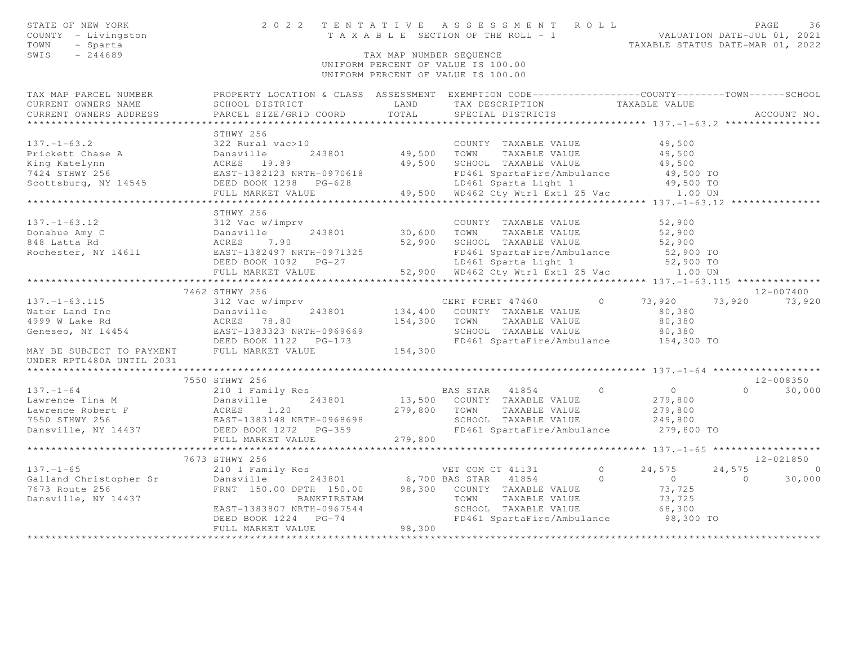| STATE OF NEW YORK<br>COUNTY - Livingston<br>- Sparta<br>TOWN<br>$-244689$<br>SWIS                                                                                                                                                                                      |                                                                                                                                                                                                        | TAX MAP NUMBER SEQUENCE | UNIFORM PERCENT OF VALUE IS 100.00<br>UNIFORM PERCENT OF VALUE IS 100.00                                                                                                                      |                                                                                                                                                      |
|------------------------------------------------------------------------------------------------------------------------------------------------------------------------------------------------------------------------------------------------------------------------|--------------------------------------------------------------------------------------------------------------------------------------------------------------------------------------------------------|-------------------------|-----------------------------------------------------------------------------------------------------------------------------------------------------------------------------------------------|------------------------------------------------------------------------------------------------------------------------------------------------------|
| CURRENT OWNERS NAME<br>CURRENT OWNERS ADDRESS                                                                                                                                                                                                                          | SCHOOL DISTRICT<br>PARCEL SIZE/GRID COORD                                                                                                                                                              | LAND<br>TOTAL           | TAX DESCRIPTION<br>SPECIAL DISTRICTS                                                                                                                                                          | TAX MAP PARCEL NUMBER FROPERTY LOCATION & CLASS ASSESSMENT EXEMPTION CODE---------------COUNTY-------TOWN-----SCHOOL<br>TAXABLE VALUE<br>ACCOUNT NO. |
| $137. - 1 - 63.2$<br>Prickett Chase A<br>King Katelynn<br>7424 STHWY 256<br>Scottsburg, NY 14545                                                                                                                                                                       | STHWY 256<br>322 Rural vac>10<br>Dansville 243801 49,500<br>ACRES 19.89 49,500<br>EAST-1382123 NRTH-0970618<br>DEED BOOK 1298 PG-628<br>FULL MARKET VALUE                                              | 243801 49,500 TOWN      | COUNTY TAXABLE VALUE<br>TAXABLE VALUE<br>49,500 SCHOOL TAXABLE VALUE<br>FD461 SpartaFire/Ambulance<br>LD461 Sparta Light 1<br>49,500 WD462 Cty Wtr1 Ext1 Z5 Vac 1.00 UN                       | 49,500<br>49,500<br>49,500<br>49,500 TO<br>49,500 TO                                                                                                 |
|                                                                                                                                                                                                                                                                        |                                                                                                                                                                                                        |                         |                                                                                                                                                                                               |                                                                                                                                                      |
| $137. - 1 - 63.12$<br>137.-1-63.12<br>Donahue Amy C<br>848 Latta Rd<br>Rochester, NY 14611<br>Rochester, NY 14611<br>Rochester, NY 14611<br>Rochester, NY 14611<br>Rochester, NY 14611                                                                                 | STHWY 256<br>312 Vac w/imprv<br>DEED BOOK 1092 PG-27                                                                                                                                                   | 30,600 TOWN             | COUNTY TAXABLE VALUE<br>TAXABLE VALUE<br>52,900 SCHOOL TAXABLE VALUE<br>FD461 SpartaFire/Ambulance 52,900 TO<br>LD461 Sparta Light 1                                                          | 52,900<br>52,900<br>52,900<br>52,900 TO                                                                                                              |
|                                                                                                                                                                                                                                                                        | FULL MARKET VALUE                                                                                                                                                                                      |                         | 52,900 WD462 Cty Wtr1 Ext1 Z5 Vac 1.00 UN                                                                                                                                                     |                                                                                                                                                      |
|                                                                                                                                                                                                                                                                        | 7462 STHWY 256                                                                                                                                                                                         |                         |                                                                                                                                                                                               | 12-007400                                                                                                                                            |
| 137.-1-63.115<br>Water Land Inc Dansville 243801 134,400<br>4999 W Lake Rd ACRES 78.80 154,300<br>Geneseo, NY 14454 DEED BOOK 1122 PG-173<br>MAY BE SUBJECT TO PAYMENT FULL MARKET VALUE                                                                               |                                                                                                                                                                                                        | 154,300 TOWN<br>154,300 | CERT FORET 47460 0<br>134,400 COUNTY TAXABLE VALUE<br>TOWN     TAXABLE VALUE<br>SCHOOL   TAXABLE VALUE<br>FD461 SpartaFire/Ambulance 154,300 TO                                               | 73,920 73,920<br>73,920<br>80,380<br>80,380<br>80,380                                                                                                |
| UNDER RPTL480A UNTIL 2031                                                                                                                                                                                                                                              |                                                                                                                                                                                                        |                         |                                                                                                                                                                                               |                                                                                                                                                      |
|                                                                                                                                                                                                                                                                        | 7550 STHWY 256                                                                                                                                                                                         |                         | BAS STAR 41854 0                                                                                                                                                                              | 12-008350<br>$\overline{0}$<br>$0 \t 30,000$                                                                                                         |
| 137.-1-64<br>Lawrence Tina M<br>Lawrence Robert F<br>The Magnetic School (13,500)<br>279,800<br>279,800<br>279,800<br>279,800<br>279,800<br>279,800<br>279,800<br>279,800<br>279,800<br>279,800<br>279,800<br>279,800<br>279,800<br>279,800<br>279,800<br>279,800<br>2 |                                                                                                                                                                                                        |                         | 13,500 COUNTY TAXABLE VALUE<br>279,800 TOWN TAXABLE VALUE<br>SCHOOL TAXABLE VALUE<br>FD461 SpartaFire/Ambulance                                                                               | 279,800<br>279,800<br>249,800<br>279,800 TO                                                                                                          |
|                                                                                                                                                                                                                                                                        |                                                                                                                                                                                                        |                         |                                                                                                                                                                                               |                                                                                                                                                      |
| $137. - 1 - 65$<br>Galland Christopher Sr<br>7673 Route 256<br>Dansville, NY 14437                                                                                                                                                                                     | 7673 STHWY 256<br>210 1 Family Res<br>210 1 Family Res<br>243801 6,700 BAS STAR 41854<br>BANKFIRSTAM<br>EAST-1383807 NRTH-0967544<br>DEED BOOK 1224 PG-74<br>DEED BOOK 1224 PG-74<br>FULL MARKET VALUE | 98,300                  | $\overline{0}$<br>VET COM CT 41131<br>$\circ$<br>FRNT 150.00 DPTH 150.00 98,300 COUNTY TAXABLE VALUE<br>TOWN<br>TAXABLE VALUE<br>SCHOOL TAXABLE VALUE<br>FD461 SpartaFire/Ambulance 98,300 TO | 12-021850<br>24,575<br>24,575<br>$\sim$ 0<br>$\overline{0}$<br>$\overline{0}$<br>30,000<br>73,725<br>73,725<br>68,300                                |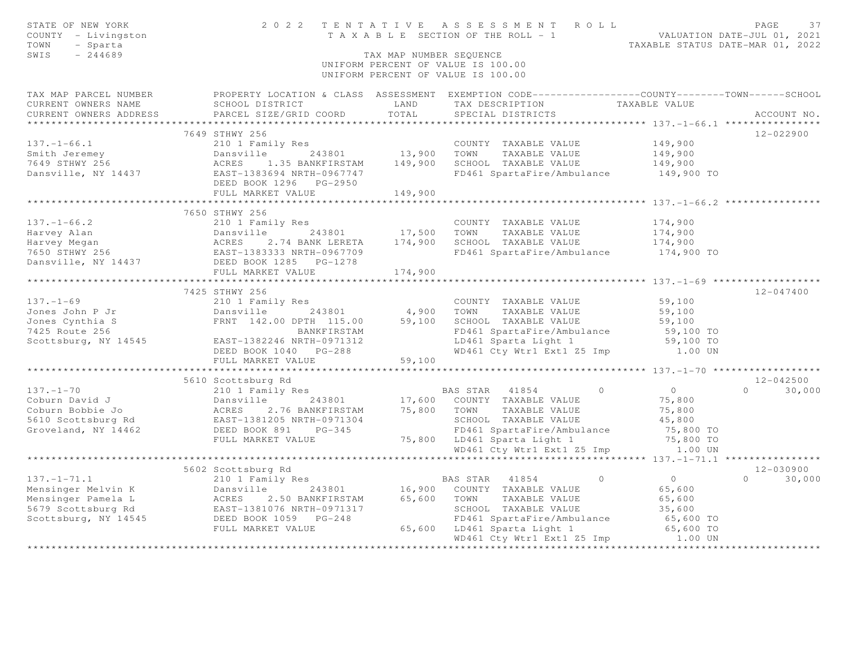| STATE OF NEW YORK<br>COUNTY - Livingston<br>TOWN<br>- Sparta<br>SWIS<br>$-244689$ |                                                                                                                                                                      | TAX MAP NUMBER SEQUENCE | 2022 TENTATIVE ASSESSMENT ROLL<br>TENTAILVE ASSESSMENT ACEE<br>TAXABLE SECTION OF THE ROLL - 1<br>TAXABLE STATUS DATE-MAR 01, 2022<br>UNIFORM PERCENT OF VALUE IS 100.00<br>UNIFORM PERCENT OF VALUE IS 100.00 |                                             | PAGE<br>37         |
|-----------------------------------------------------------------------------------|----------------------------------------------------------------------------------------------------------------------------------------------------------------------|-------------------------|----------------------------------------------------------------------------------------------------------------------------------------------------------------------------------------------------------------|---------------------------------------------|--------------------|
|                                                                                   | TAX MAP PARCEL NUMBER PROPERTY LOCATION & CLASS ASSESSMENT EXEMPTION CODE---------------COUNTY-------TOWN-----SCHOOL                                                 |                         |                                                                                                                                                                                                                |                                             |                    |
| CURRENT OWNERS NAME                                                               | SCHOOL DISTRICT                                                                                                                                                      | LAND                    | TAX DESCRIPTION                                                                                                                                                                                                | TAXABLE VALUE                               |                    |
| CURRENT OWNERS ADDRESS                                                            | PARCEL SIZE/GRID COORD                                                                                                                                               | TOTAL                   | SPECIAL DISTRICTS                                                                                                                                                                                              |                                             | ACCOUNT NO.        |
|                                                                                   |                                                                                                                                                                      |                         |                                                                                                                                                                                                                |                                             |                    |
|                                                                                   | 7649 STHWY 256                                                                                                                                                       |                         |                                                                                                                                                                                                                |                                             | 12-022900          |
| $137. - 1 - 66.1$                                                                 | 210 1 Family Res                                                                                                                                                     |                         | COUNTY TAXABLE VALUE                                                                                                                                                                                           | 149,900                                     |                    |
| Smith Jeremey<br>7649 STHWY 256                                                   | 243801 13,900 TOWN<br>Dansville<br>1.35 BANKFIRSTAM 149,900<br>ACRES                                                                                                 |                         | TAXABLE VALUE<br>SCHOOL TAXABLE VALUE                                                                                                                                                                          | 149,900<br>149,900                          |                    |
| Dansville, NY 14437                                                               | EAST-1383694 NRTH-0967747                                                                                                                                            |                         | FD461 SpartaFire/Ambulance                                                                                                                                                                                     | 149,900 TO                                  |                    |
|                                                                                   | DEED BOOK 1296    PG-2950                                                                                                                                            |                         |                                                                                                                                                                                                                |                                             |                    |
|                                                                                   | FULL MARKET VALUE                                                                                                                                                    | 149,900                 |                                                                                                                                                                                                                |                                             |                    |
|                                                                                   |                                                                                                                                                                      |                         |                                                                                                                                                                                                                |                                             |                    |
|                                                                                   | 7650 STHWY 256                                                                                                                                                       |                         |                                                                                                                                                                                                                |                                             |                    |
| $137. - 1 - 66.2$                                                                 | 210 1 Family Res                                                                                                                                                     |                         | COUNTY TAXABLE VALUE                                                                                                                                                                                           | 174,900                                     |                    |
|                                                                                   | 243801 17,500                                                                                                                                                        |                         | TOWN<br>TAXABLE VALUE                                                                                                                                                                                          | 174,900                                     |                    |
|                                                                                   |                                                                                                                                                                      |                         | SCHOOL TAXABLE VALUE                                                                                                                                                                                           | 174,900                                     |                    |
|                                                                                   |                                                                                                                                                                      |                         | FD461 SpartaFire/Ambulance 174,900 TO                                                                                                                                                                          |                                             |                    |
|                                                                                   |                                                                                                                                                                      |                         |                                                                                                                                                                                                                |                                             |                    |
|                                                                                   | FULL MARKET VALUE                                                                                                                                                    | 174,900                 |                                                                                                                                                                                                                |                                             |                    |
|                                                                                   | ************************                                                                                                                                             | * * * * * * * * * * *   |                                                                                                                                                                                                                | ************* 137.-1-69 ******************* |                    |
|                                                                                   | 7425 STHWY 256                                                                                                                                                       |                         |                                                                                                                                                                                                                |                                             | 12-047400          |
| $137. - 1 - 69$                                                                   | 210 1 Family Res                                                                                                                                                     |                         | COUNTY TAXABLE VALUE                                                                                                                                                                                           | 59,100                                      |                    |
| Jones John P Jr                                                                   | 243801<br>Dansville                                                                                                                                                  | 4,900                   | TOWN<br>TAXABLE VALUE                                                                                                                                                                                          | 59,100                                      |                    |
| Jones Cynthia S                                                                   | FRNT 142.00 DPTH 115.00                                                                                                                                              | 59,100                  | SCHOOL TAXABLE VALUE                                                                                                                                                                                           | 59,100                                      |                    |
| 7425 Route 256<br>Scottsburg, NY 14545                                            | BANKFIRSTAM                                                                                                                                                          |                         | FD461 SpartaFire/Ambulance                                                                                                                                                                                     | 59,100 TO<br>59,100 TO                      |                    |
|                                                                                   | EAST-1382246 NRTH-0971312<br>DEED BOOK 1040 PG-288                                                                                                                   |                         | LD461 Sparta Light 1<br>WD461 Cty Wtr1 Ext1 Z5 Imp 1.00 UN                                                                                                                                                     |                                             |                    |
|                                                                                   | FULL MARKET VALUE                                                                                                                                                    | 59,100                  |                                                                                                                                                                                                                |                                             |                    |
|                                                                                   |                                                                                                                                                                      |                         |                                                                                                                                                                                                                |                                             |                    |
|                                                                                   | 5610 Scottsburg Rd                                                                                                                                                   |                         |                                                                                                                                                                                                                |                                             | $12 - 042500$      |
| $137. - 1 - 70$                                                                   | 210 1 Family Res                                                                                                                                                     |                         | $\Omega$<br>BAS STAR 41854                                                                                                                                                                                     | $\overline{0}$                              | 30,000<br>$\Omega$ |
|                                                                                   |                                                                                                                                                                      |                         | 17,600 COUNTY TAXABLE VALUE                                                                                                                                                                                    | 75,800                                      |                    |
|                                                                                   |                                                                                                                                                                      | 75,800                  | TOWN<br>TAXABLE VALUE                                                                                                                                                                                          | 75,800                                      |                    |
|                                                                                   |                                                                                                                                                                      |                         | SCHOOL TAXABLE VALUE                                                                                                                                                                                           | 45,800                                      |                    |
|                                                                                   | Coburn David J<br>Coburn Bobbie Jo<br>5610 Scottsburg Rd<br>Groveland, NY 14462<br>EAST-1381205 NRTH-0971304<br>EAST-1381205 NRTH-0971304<br>DEED BOOK 891<br>PG-345 |                         | FD461 SpartaFire/Ambulance                                                                                                                                                                                     | 75,800 TO                                   |                    |
|                                                                                   | FULL MARKET VALUE                                                                                                                                                    |                         | 75,800 LD461 Sparta Light 1                                                                                                                                                                                    | 75,800 TO                                   |                    |
|                                                                                   |                                                                                                                                                                      |                         | WD461 Cty Wtr1 Ext1 Z5 Imp                                                                                                                                                                                     | 1.00 UN                                     |                    |
|                                                                                   |                                                                                                                                                                      |                         |                                                                                                                                                                                                                |                                             |                    |
|                                                                                   | 5602 Scottsburg Rd                                                                                                                                                   |                         |                                                                                                                                                                                                                |                                             | 12-030900          |
| $137. - 1 - 71.1$                                                                 | 210 1 Family Res                                                                                                                                                     |                         | $\circ$<br>BAS STAR 41854                                                                                                                                                                                      | $\overline{0}$                              | $0 \t 30,000$      |
| Mensinger Melvin K                                                                | Dansville 243801<br>ACRES 2.50 BANKFIRSTAM                                                                                                                           |                         | 243801 16,900 COUNTY TAXABLE VALUE                                                                                                                                                                             | 65,600                                      |                    |
| Mensinger Pamela L                                                                |                                                                                                                                                                      | 65,600                  | TOWN TAXABLE VALUE                                                                                                                                                                                             | 65,600                                      |                    |
|                                                                                   | 5679 Scottsburg Rd<br>Scottsburg Rd<br>Scottsburg, NY 14545<br>DEED BOOK 1059 PG-248                                                                                 |                         | SCHOOL TAXABLE VALUE                                                                                                                                                                                           | 35,600                                      |                    |
|                                                                                   | FULL MARKET VALUE                                                                                                                                                    |                         | FD461 SpartaFire/Ambulance                                                                                                                                                                                     | 65,600 TO<br>65,600 TO                      |                    |
|                                                                                   |                                                                                                                                                                      |                         | 65,600 LD461 Sparta Light 1<br>WD461 Cty Wtr1 Ext1 Z5 Imp                                                                                                                                                      | 1.00 UN                                     |                    |
|                                                                                   |                                                                                                                                                                      |                         |                                                                                                                                                                                                                |                                             |                    |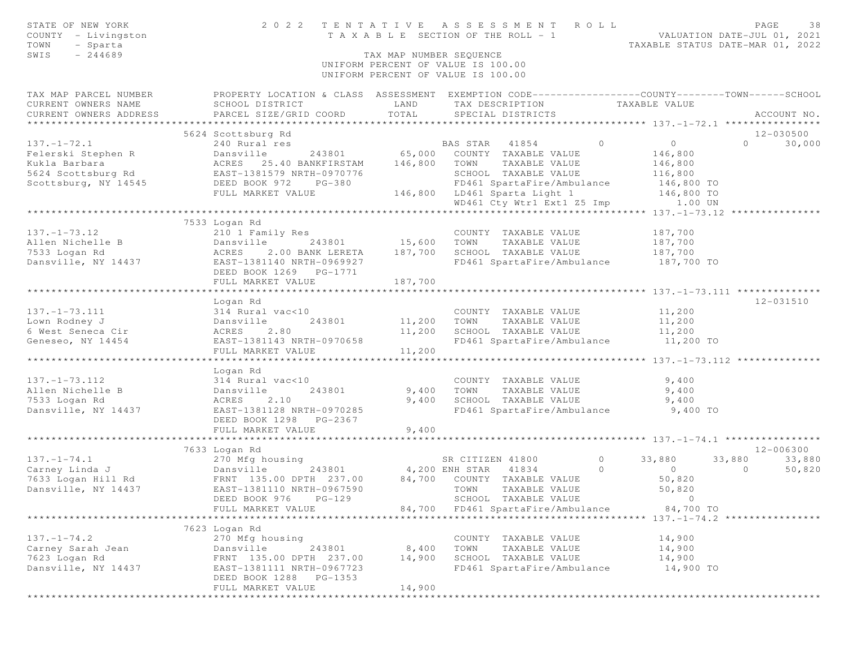| STATE OF NEW YORK                                               | 2 0 2 2                                        | TENTATIVE               | ASSESSMENT ROLL                                                                                 |                                            | PAGE<br>38                      |
|-----------------------------------------------------------------|------------------------------------------------|-------------------------|-------------------------------------------------------------------------------------------------|--------------------------------------------|---------------------------------|
| COUNTY - Livingston                                             |                                                |                         | T A X A B L E SECTION OF THE ROLL - 1                                                           | VALUATION DATE-JUL 01, 2021                |                                 |
| TOWN<br>- Sparta                                                |                                                |                         |                                                                                                 | TAXABLE STATUS DATE-MAR 01, 2022           |                                 |
| $-244689$<br>SWIS                                               |                                                | TAX MAP NUMBER SEQUENCE | UNIFORM PERCENT OF VALUE IS 100.00                                                              |                                            |                                 |
|                                                                 |                                                |                         | UNIFORM PERCENT OF VALUE IS 100.00                                                              |                                            |                                 |
| TAX MAP PARCEL NUMBER                                           |                                                |                         | PROPERTY LOCATION & CLASS ASSESSMENT EXEMPTION CODE---------------COUNTY-------TOWN------SCHOOL |                                            |                                 |
| CURRENT OWNERS NAME                                             | SCHOOL DISTRICT                                | LAND                    | TAX DESCRIPTION                                                                                 | TAXABLE VALUE                              |                                 |
| CURRENT OWNERS ADDRESS                                          | PARCEL SIZE/GRID COORD                         | TOTAL                   | SPECIAL DISTRICTS                                                                               |                                            | ACCOUNT NO.                     |
|                                                                 |                                                |                         |                                                                                                 |                                            |                                 |
| $137. - 1 - 72.1$                                               | 5624 Scottsburg Rd<br>240 Rural res            |                         | $\circ$<br>BAS STAR 41854                                                                       | $\overline{0}$                             | 12-030500<br>$\Omega$<br>30,000 |
| Felerski Stephen R                                              | Dansville                                      |                         | 243801 65,000 COUNTY TAXABLE VALUE                                                              | 146,800                                    |                                 |
| Kukla Barbara                                                   | ACRES 25.40 BANKFIRSTAM 146,800                |                         | TOWN<br>TAXABLE VALUE                                                                           | 146,800                                    |                                 |
|                                                                 |                                                |                         | SCHOOL TAXABLE VALUE                                                                            | 116,800                                    |                                 |
| 5624 Scottsburg Rd<br>Scottsburg, NY 14545 DEED BOOK 972 PG-380 |                                                |                         | FD461 SpartaFire/Ambulance                                                                      | 146,800 TO                                 |                                 |
|                                                                 | FULL MARKET VALUE                              |                         | 146,800 LD461 Sparta Light 1                                                                    | 146,800 TO                                 |                                 |
|                                                                 |                                                |                         | WD461 Cty Wtrl Ext1 Z5 Imp 1.00 UN                                                              |                                            |                                 |
|                                                                 |                                                |                         |                                                                                                 |                                            |                                 |
|                                                                 | 7533 Logan Rd                                  |                         |                                                                                                 |                                            |                                 |
| $137. - 1 - 73.12$                                              | 210 1 Family Res                               |                         | COUNTY TAXABLE VALUE                                                                            | 187,700                                    |                                 |
| Allen Nichelle B                                                | Dansville<br>243801                            | 15,600                  | TOWN<br>TAXABLE VALUE                                                                           | 187,700                                    |                                 |
| 7533 Logan Rd                                                   | 2.00 BANK LERETA<br>ACRES                      | 187,700                 | SCHOOL TAXABLE VALUE                                                                            | 187,700                                    |                                 |
| Dansville, NY 14437                                             | EAST-1381140 NRTH-0969927                      |                         | FD461 SpartaFire/Ambulance                                                                      | 187,700 TO                                 |                                 |
|                                                                 | DEED BOOK 1269    PG-1771<br>FULL MARKET VALUE | 187,700                 |                                                                                                 |                                            |                                 |
|                                                                 |                                                |                         |                                                                                                 |                                            |                                 |
|                                                                 | Logan Rd                                       |                         |                                                                                                 |                                            | 12-031510                       |
| $137. - 1 - 73.111$                                             | 314 Rural vac<10                               |                         | COUNTY TAXABLE VALUE                                                                            | 11,200                                     |                                 |
| Lown Rodney J                                                   | Dansville<br>243801                            | 11,200                  | TOWN<br>TAXABLE VALUE                                                                           | 11,200                                     |                                 |
| 6 West Seneca Cir                                               | 2.80<br>ACRES                                  | 11,200                  | SCHOOL TAXABLE VALUE                                                                            | 11,200                                     |                                 |
| Geneseo, NY 14454                                               | EAST-1381143 NRTH-0970658                      |                         | FD461 SpartaFire/Ambulance 11,200 TO                                                            |                                            |                                 |
|                                                                 | FULL MARKET VALUE                              | 11,200                  |                                                                                                 |                                            |                                 |
|                                                                 | **********************                         | * * * * * * * * * *     |                                                                                                 | ************ 137.-1-73.112 *************** |                                 |
|                                                                 | Logan Rd                                       |                         |                                                                                                 |                                            |                                 |
| $137. - 1 - 73.112$                                             | 314 Rural vac<10                               |                         | COUNTY TAXABLE VALUE                                                                            | 9,400                                      |                                 |
| Allen Nichelle B<br>7533 Logan Rd                               | Dansville<br>243801<br>2.10                    | 9,400<br>9,400          | TOWN<br>TAXABLE VALUE<br>SCHOOL TAXABLE VALUE                                                   | 9,400                                      |                                 |
| Dansville, NY 14437                                             | ACRES<br>EAST-1381128 NRTH-0970285             |                         | FD461 SpartaFire/Ambulance                                                                      | 9,400<br>9,400 TO                          |                                 |
|                                                                 | DEED BOOK 1298 PG-2367                         |                         |                                                                                                 |                                            |                                 |
|                                                                 | FULL MARKET VALUE                              | 9,400                   |                                                                                                 |                                            |                                 |
|                                                                 |                                                |                         |                                                                                                 |                                            |                                 |
|                                                                 | 7633 Logan Rd                                  |                         |                                                                                                 |                                            | 12-006300                       |
| $137. - 1 - 74.1$                                               | 270 Mfg housing                                |                         | $\overline{0}$<br>SR CITIZEN 41800                                                              | 33,880<br>33,880                           | 33,880                          |
| Carney Linda J                                                  |                                                | 243801 4,200 ENH STAR   | $\circ$<br>41834                                                                                | $\circ$                                    | $\circ$<br>50,820               |
| 7633 Logan Hill Rd                                              | Dansville 245801<br>FRNT 135.00 DPTH 237.00    |                         | 84,700 COUNTY TAXABLE VALUE                                                                     | 50,820                                     |                                 |
| Dansville, NY 14437                                             | EAST-1381110 NRTH-0967590                      |                         | TOWN<br>TAXABLE VALUE                                                                           | 50,820                                     |                                 |
|                                                                 | DEED BOOK 976 PG-129                           |                         | SCHOOL TAXABLE VALUE                                                                            | $\overline{0}$                             |                                 |
|                                                                 | FULL MARKET VALUE                              |                         | 84,700 FD461 SpartaFire/Ambulance                                                               | 84,700 TO                                  |                                 |
|                                                                 |                                                |                         |                                                                                                 |                                            |                                 |
|                                                                 | 7623 Logan Rd                                  |                         |                                                                                                 |                                            |                                 |
| $137. - 1 - 74.2$<br>Carney Sarah Jean                          | 270 Mfg housing<br>243801<br>Dansville         | 8,400                   | COUNTY TAXABLE VALUE<br>TOWN<br>TAXABLE VALUE                                                   | 14,900<br>14,900                           |                                 |
| 7623 Logan Rd                                                   | FRNT 135.00 DPTH 237.00                        | 14,900                  | SCHOOL TAXABLE VALUE                                                                            | 14,900                                     |                                 |
| Dansville, NY 14437                                             | EAST-1381111 NRTH-0967723                      |                         | FD461 SpartaFire/Ambulance                                                                      | 14,900 TO                                  |                                 |
|                                                                 | PG-1353<br>DEED BOOK 1288                      |                         |                                                                                                 |                                            |                                 |
|                                                                 | FULL MARKET VALUE                              | 14,900                  |                                                                                                 |                                            |                                 |
|                                                                 |                                                |                         |                                                                                                 |                                            |                                 |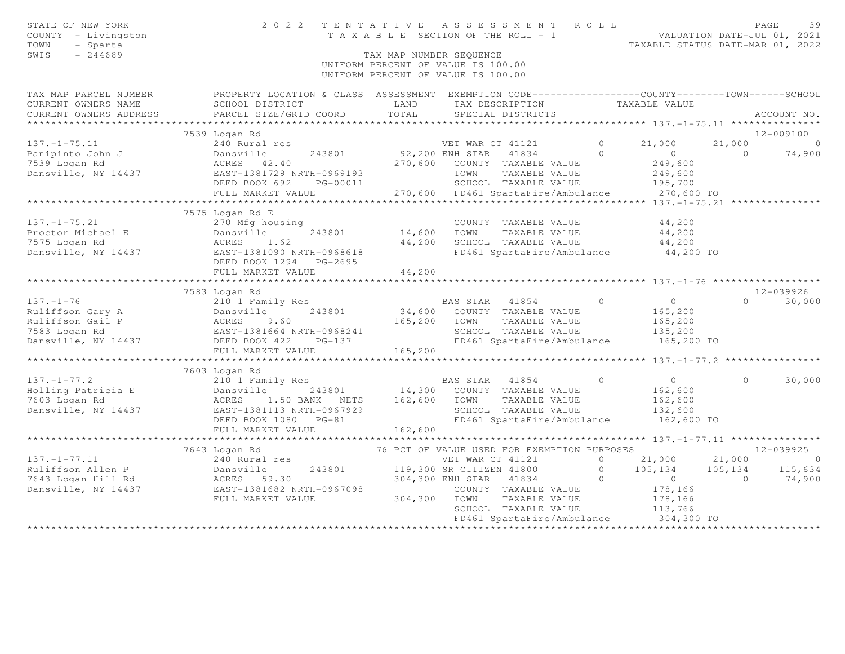| STATE OF NEW YORK<br>COUNTY - Livingston<br>TOWN<br>- Sparta<br>SWIS<br>$-244689$                                                                                     |                                                                                                                                              | TAX MAP NUMBER SEQUENCE | 2022 TENTATIVE ASSESSMENT ROLL<br>T A X A B L E SECTION OF THE ROLL - 1<br>VALUATION DATE-JUL 01, 2021<br>TAXABLE STATUS DATE-MAR 01. 2022<br>UNIFORM PERCENT OF VALUE IS 100.00<br>UNIFORM PERCENT OF VALUE IS 100.00 |                |                                           |                | PAGE<br>39     |
|-----------------------------------------------------------------------------------------------------------------------------------------------------------------------|----------------------------------------------------------------------------------------------------------------------------------------------|-------------------------|------------------------------------------------------------------------------------------------------------------------------------------------------------------------------------------------------------------------|----------------|-------------------------------------------|----------------|----------------|
| TAX MAP PARCEL NUMBER<br>CURRENT OWNERS NAME<br>CURRENT OWNERS ADDRESS<br>*********************                                                                       | PROPERTY LOCATION & CLASS ASSESSMENT EXEMPTION CODE----------------COUNTY-------TOWN-----SCHOOL<br>SCHOOL DISTRICT<br>PARCEL SIZE/GRID COORD | LAND<br>TOTAL           | TAX DESCRIPTION<br>SPECIAL DISTRICTS                                                                                                                                                                                   |                | TAXABLE VALUE                             |                | ACCOUNT NO.    |
|                                                                                                                                                                       | 7539 Logan Rd                                                                                                                                |                         |                                                                                                                                                                                                                        |                |                                           |                | 12-009100      |
| $137. - 1 - 75.11$                                                                                                                                                    | 240 Rural res                                                                                                                                |                         |                                                                                                                                                                                                                        | $\overline{0}$ | 21,000                                    | 21,000         | $\overline{0}$ |
| Panipinto John J<br>7539 Logan Rd<br>Dansville, NY 14437                                                                                                              | Dansville 243801<br>ACRES 42.40<br>EAST-1381729 NRTH-0969193                                                                                 | 270,600                 | VET WAR CT 41121<br>92,200 ENH STAR 41834<br>COUNTY TAXABLE VALUE<br>TOWN<br>TAXABLE VALUE                                                                                                                             | $\bigcap$      | $\overline{0}$<br>249,600<br>249,600      | $\Omega$       | 74,900         |
|                                                                                                                                                                       | DEED BOOK 692<br>PG-00011                                                                                                                    |                         | SCHOOL TAXABLE VALUE                                                                                                                                                                                                   |                | 195,700                                   |                |                |
|                                                                                                                                                                       | FULL MARKET VALUE                                                                                                                            |                         | 270,600 FD461 SpartaFire/Ambulance                                                                                                                                                                                     |                | 270,600 TO                                |                |                |
|                                                                                                                                                                       |                                                                                                                                              |                         |                                                                                                                                                                                                                        |                | ********** 137.-1-75.21 ****************  |                |                |
| $137. - 1 - 75.21$<br>137.-1-75.21 270 Mfg housing<br>Proctor Michael E Dansville 243801<br>7575 Logan Rd ACRES 1.62<br>Dansville, NY 14437 EAST-1381090 NRTH-0968618 | 7575 Logan Rd E<br>270 Mfg housing                                                                                                           | 14,600<br>44,200        | COUNTY TAXABLE VALUE<br>TOWN      TAXABLE VALUE<br>SCHOOL   TAXABLE VALUE<br>FD461 SpartaFire/Ambulance                                                                                                                |                | 44,200<br>44,200<br>44,200<br>44,200 TO   |                |                |
|                                                                                                                                                                       | DEED BOOK 1294 PG-2695                                                                                                                       |                         |                                                                                                                                                                                                                        |                |                                           |                |                |
|                                                                                                                                                                       | FULL MARKET VALUE                                                                                                                            | 44,200                  |                                                                                                                                                                                                                        |                |                                           |                |                |
|                                                                                                                                                                       | 7583 Logan Rd                                                                                                                                |                         |                                                                                                                                                                                                                        |                |                                           |                | 12-039926      |
| $137. - 1 - 76$                                                                                                                                                       | 210 1 Family Res                                                                                                                             |                         | BAS STAR 41854 0                                                                                                                                                                                                       |                | $\overline{0}$                            |                | $0 \t 30,000$  |
|                                                                                                                                                                       |                                                                                                                                              | 34,600                  | COUNTY TAXABLE VALUE                                                                                                                                                                                                   |                | 165,200                                   |                |                |
|                                                                                                                                                                       |                                                                                                                                              | 165,200                 | TOWN<br>TAXABLE VALUE                                                                                                                                                                                                  |                | 165,200                                   |                |                |
|                                                                                                                                                                       |                                                                                                                                              |                         | SCHOOL TAXABLE VALUE                                                                                                                                                                                                   |                | 135,200                                   |                |                |
|                                                                                                                                                                       |                                                                                                                                              |                         | FD461 SpartaFire/Ambulance                                                                                                                                                                                             |                | 165,200 TO                                |                |                |
|                                                                                                                                                                       | FULL MARKET VALUE                                                                                                                            | 165,200                 |                                                                                                                                                                                                                        |                |                                           |                |                |
|                                                                                                                                                                       | *************************                                                                                                                    |                         | ************************************                                                                                                                                                                                   |                | ********** 137. -1-77.2 ***************** |                |                |
|                                                                                                                                                                       | 7603 Logan Rd                                                                                                                                |                         |                                                                                                                                                                                                                        |                |                                           |                |                |
| $137. - 1 - 77.2$                                                                                                                                                     | 210 1 Family Res                                                                                                                             |                         | BAS STAR 41854                                                                                                                                                                                                         | $\bigcirc$     | $\overline{0}$                            | $\Omega$       | 30,000         |
|                                                                                                                                                                       | Dansville                                                                                                                                    |                         | 243801 14,300 COUNTY TAXABLE VALUE                                                                                                                                                                                     |                |                                           |                |                |
| Holling Patricia E<br>7603 Logan Rd                                                                                                                                   | 1.50 BANK NETS                                                                                                                               | 162,600                 | TOWN<br>TAXABLE VALUE                                                                                                                                                                                                  |                | 162,600<br>162,600                        |                |                |
| Dansville, NY 14437<br>Dansville, NY 14437<br>EAST-1                                                                                                                  | EAST-1381113 NRTH-0967929                                                                                                                    |                         | SCHOOL TAXABLE VALUE                                                                                                                                                                                                   |                | 132,600                                   |                |                |
|                                                                                                                                                                       | DEED BOOK 1080 PG-81                                                                                                                         |                         | FD461 SpartaFire/Ambulance 162,600 TO                                                                                                                                                                                  |                |                                           |                |                |
|                                                                                                                                                                       | FULL MARKET VALUE                                                                                                                            | 162,600                 |                                                                                                                                                                                                                        |                |                                           |                |                |
|                                                                                                                                                                       | ************************                                                                                                                     |                         |                                                                                                                                                                                                                        |                |                                           |                |                |
|                                                                                                                                                                       | 7643 Logan Rd                                                                                                                                |                         | 76 PCT OF VALUE USED FOR EXEMPTION PURPOSES                                                                                                                                                                            |                |                                           |                | 12-039925      |
| $137. - 1 - 77.11$                                                                                                                                                    | 240 Rural res                                                                                                                                |                         | VET WAR CT 41121                                                                                                                                                                                                       | $\Omega$       | 21,000                                    | 21,000         | $\overline{0}$ |
| Ruliffson Allen P                                                                                                                                                     |                                                                                                                                              |                         | 119,300 SR CITIZEN 41800                                                                                                                                                                                               | $\Omega$       | $105, 134$ $105, 134$                     |                | 115,634        |
| 7643 Logan Hill Rd                                                                                                                                                    | 240 Nurai res<br>Dansville 243801<br>ACRES 59.30<br>EAST-1381682 NRTH-0967098                                                                |                         | 304,300 ENH STAR 41834                                                                                                                                                                                                 | $\circ$        | $\overline{0}$                            | $\overline{a}$ | 74,900         |
| Dansville, NY 14437                                                                                                                                                   |                                                                                                                                              |                         | COUNTY TAXABLE VALUE                                                                                                                                                                                                   |                | 178,166                                   |                |                |
|                                                                                                                                                                       | FULL MARKET VALUE                                                                                                                            | 304,300 TOWN            | TAXABLE VALUE                                                                                                                                                                                                          |                | 178,166                                   |                |                |
|                                                                                                                                                                       |                                                                                                                                              |                         | SCHOOL TAXABLE VALUE                                                                                                                                                                                                   |                | 113,766                                   |                |                |
|                                                                                                                                                                       |                                                                                                                                              |                         | FD461 SpartaFire/Ambulance                                                                                                                                                                                             |                | 304,300 TO                                |                |                |
|                                                                                                                                                                       |                                                                                                                                              |                         |                                                                                                                                                                                                                        |                |                                           |                |                |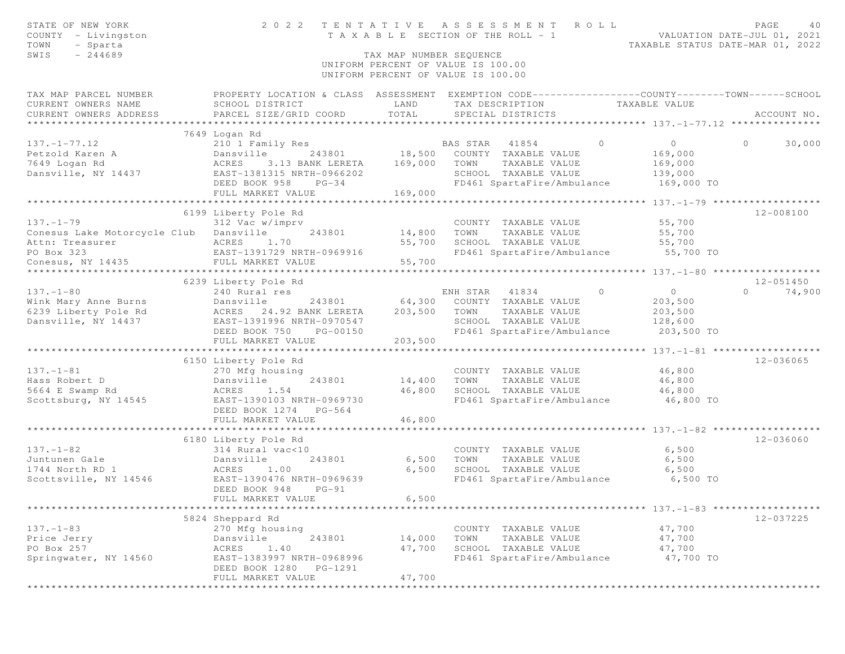| STATE OF NEW YORK<br>COUNTY - Livingston<br>TOWN<br>- Sparta<br>$-244689$<br>SWIS |                                                     | TAX MAP NUMBER SEQUENCE | 2022 TENTATIVE ASSESSMENT ROLL<br>T A X A B L E SECTION OF THE ROLL - 1<br>UNIFORM PERCENT OF VALUE IS 100.00<br>UNIFORM PERCENT OF VALUE IS 100.00    | VALUATION DATE-JUL 01, 2021<br>TAXABLE STATUS DATE-MAR 01, 2022 | PAGE<br>40                |
|-----------------------------------------------------------------------------------|-----------------------------------------------------|-------------------------|--------------------------------------------------------------------------------------------------------------------------------------------------------|-----------------------------------------------------------------|---------------------------|
| TAX MAP PARCEL NUMBER<br>CURRENT OWNERS NAME<br>CURRENT OWNERS ADDRESS            | SCHOOL DISTRICT<br>PARCEL SIZE/GRID COORD           | LAND<br>TOTAL           | PROPERTY LOCATION & CLASS ASSESSMENT EXEMPTION CODE----------------COUNTY-------TOWN------SCHOOL<br>TAX DESCRIPTION TAXABLE VALUE<br>SPECIAL DISTRICTS |                                                                 | ACCOUNT NO.               |
|                                                                                   | 7649 Logan Rd                                       |                         |                                                                                                                                                        |                                                                 |                           |
| $137. - 1 - 77.12$                                                                | 210 1 Family Res                                    |                         | BAS STAR 41854<br>$\Omega$                                                                                                                             | $\circ$                                                         | $\Omega$<br>30,000        |
| Petzold Karen A                                                                   | 243801 18,500<br>Dansville                          |                         | COUNTY TAXABLE VALUE                                                                                                                                   | 169,000                                                         |                           |
| 7649 Logan Rd                                                                     | 3.13 BANK LERETA<br>ACRES                           | 169,000                 | TOWN<br>TAXABLE VALUE                                                                                                                                  | 169,000                                                         |                           |
| Dansville, NY 14437                                                               | EAST-1381315 NRTH-0966202                           |                         | SCHOOL TAXABLE VALUE                                                                                                                                   | 139,000                                                         |                           |
|                                                                                   | DEED BOOK 958<br>$PG-34$                            |                         | FD461 SpartaFire/Ambulance                                                                                                                             | 169,000 TO                                                      |                           |
|                                                                                   | FULL MARKET VALUE                                   | 169,000                 |                                                                                                                                                        | ********* 137. - 1 - 79 ******************                      |                           |
|                                                                                   | 6199 Liberty Pole Rd                                |                         |                                                                                                                                                        |                                                                 | 12-008100                 |
| $137. - 1 - 79$                                                                   | 312 Vac w/imprv                                     |                         | COUNTY TAXABLE VALUE                                                                                                                                   | 55,700                                                          |                           |
| Conesus Lake Motorcycle Club Dansville                                            | 243801                                              | 14,800                  | TAXABLE VALUE<br>TOWN                                                                                                                                  | 55,700                                                          |                           |
| Attn: Treasurer                                                                   |                                                     | 55,700                  | SCHOOL TAXABLE VALUE                                                                                                                                   | 55,700                                                          |                           |
| PO Box 323                                                                        | ACRES 1.70<br>EAST-1391729 NRTH-0969916             |                         | FD461 SpartaFire/Ambulance 55,700 TO                                                                                                                   |                                                                 |                           |
| Conesus, NY 14435                                                                 | FULL MARKET VALUE                                   | 55,700                  |                                                                                                                                                        |                                                                 |                           |
|                                                                                   |                                                     |                         |                                                                                                                                                        |                                                                 |                           |
|                                                                                   | 6239 Liberty Pole Rd                                |                         |                                                                                                                                                        |                                                                 | $12 - 051450$<br>$\Omega$ |
| $137. - 1 - 80$<br>Wink Mary Anne Burns                                           | 240 Rural res<br>243801<br>Dansville                | 64,300                  | ENH STAR 41834<br>$\overline{0}$<br>COUNTY TAXABLE VALUE                                                                                               | $\overline{0}$<br>203,500                                       | 74,900                    |
| 6239 Liberty Pole Rd                                                              | ACRES 24.92 BANK LERETA                             | 203,500                 | TOWN<br>TAXABLE VALUE                                                                                                                                  | 203,500                                                         |                           |
| Dansville, NY 14437                                                               | EAST-1391996 NRTH-0970547                           |                         | SCHOOL TAXABLE VALUE                                                                                                                                   | 128,600                                                         |                           |
|                                                                                   | DEED BOOK 750<br>PG-00150                           |                         | FD461 SpartaFire/Ambulance                                                                                                                             | 203,500 TO                                                      |                           |
|                                                                                   | FULL MARKET VALUE                                   | 203,500                 |                                                                                                                                                        |                                                                 |                           |
|                                                                                   |                                                     |                         |                                                                                                                                                        |                                                                 |                           |
|                                                                                   | 6150 Liberty Pole Rd                                |                         |                                                                                                                                                        |                                                                 | 12-036065                 |
| $137. - 1 - 81$<br>Hass Robert D                                                  | 270 Mfg housing<br>Dansville<br>243801              | 14,400                  | COUNTY TAXABLE VALUE<br>TAXABLE VALUE<br>TOWN                                                                                                          | 46,800<br>46,800                                                |                           |
| 5664 E Swamp Rd                                                                   | ACRES 1.54                                          | 46,800                  | SCHOOL TAXABLE VALUE                                                                                                                                   | 46,800                                                          |                           |
| Scottsburg, NY 14545                                                              | EAST-1390103 NRTH-0969730                           |                         | FD461 SpartaFire/Ambulance                                                                                                                             | 46,800 TO                                                       |                           |
|                                                                                   | DEED BOOK 1274 PG-564                               |                         |                                                                                                                                                        |                                                                 |                           |
|                                                                                   | FULL MARKET VALUE                                   | 46,800                  |                                                                                                                                                        |                                                                 |                           |
|                                                                                   | ************************                            |                         |                                                                                                                                                        |                                                                 |                           |
|                                                                                   | 6180 Liberty Pole Rd                                |                         |                                                                                                                                                        |                                                                 | 12-036060                 |
| $137. - 1 - 82$                                                                   | 314 Rural vac<10                                    |                         | COUNTY TAXABLE VALUE                                                                                                                                   | 6,500                                                           |                           |
| Juntunen Gale<br>1744 North RD 1                                                  | Dansville<br>243801<br>ACRES<br>1.00                | 6,500<br>6,500          | TOWN<br>TAXABLE VALUE<br>SCHOOL TAXABLE VALUE                                                                                                          | 6,500<br>6,500                                                  |                           |
| Scottsville, NY 14546                                                             | EAST-1390476 NRTH-0969639                           |                         | FD461 SpartaFire/Ambulance                                                                                                                             | 6,500 TO                                                        |                           |
|                                                                                   | DEED BOOK 948<br>$PG-91$                            |                         |                                                                                                                                                        |                                                                 |                           |
|                                                                                   | FULL MARKET VALUE                                   | 6,500                   |                                                                                                                                                        |                                                                 |                           |
|                                                                                   |                                                     |                         |                                                                                                                                                        |                                                                 |                           |
|                                                                                   | 5824 Sheppard Rd                                    |                         |                                                                                                                                                        |                                                                 | 12-037225                 |
| $137. - 1 - 83$                                                                   | 270 Mfg housing                                     |                         | COUNTY TAXABLE VALUE                                                                                                                                   | 47,700                                                          |                           |
| Price Jerry                                                                       | 243801<br>Dansville                                 | 14,000                  | TOWN<br>TAXABLE VALUE                                                                                                                                  | 47,700                                                          |                           |
| PO Box 257                                                                        | 1.40<br>ACRES                                       | 47,700                  | SCHOOL TAXABLE VALUE                                                                                                                                   | 47,700                                                          |                           |
| Springwater, NY 14560                                                             | EAST-1383997 NRTH-0968996<br>DEED BOOK 1280 PG-1291 |                         | FD461 SpartaFire/Ambulance                                                                                                                             | 47,700 TO                                                       |                           |
|                                                                                   | FULL MARKET VALUE                                   | 47,700                  |                                                                                                                                                        |                                                                 |                           |
| **********                                                                        | ***************************                         |                         |                                                                                                                                                        |                                                                 |                           |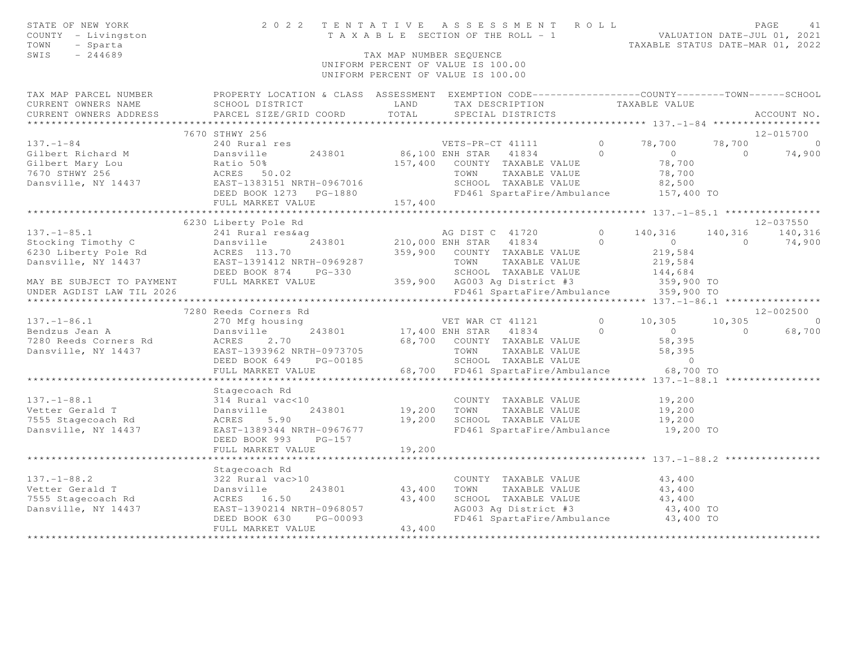| STATE OF NEW YORK<br>COUNTY - Livingston<br>TOWN<br>- Sparta<br>SWIS<br>$-244689$                              |                                                                                                                                                                                                                                                                                                                         |         | TAX MAP NUMBER SEQUENCE<br>UNIFORM PERCENT OF VALUE IS 100.00<br>UNIFORM PERCENT OF VALUE IS 100.00         |                                                     |                        |
|----------------------------------------------------------------------------------------------------------------|-------------------------------------------------------------------------------------------------------------------------------------------------------------------------------------------------------------------------------------------------------------------------------------------------------------------------|---------|-------------------------------------------------------------------------------------------------------------|-----------------------------------------------------|------------------------|
|                                                                                                                | TAX MAP PARCEL NUMBER FROPERTY LOCATION & CLASS ASSESSMENT EXEMPTION CODE---------------COUNTY-------TOWN------SCHOOL                                                                                                                                                                                                   |         |                                                                                                             |                                                     |                        |
|                                                                                                                |                                                                                                                                                                                                                                                                                                                         |         | TAX DESCRIPTION TAXABLE VALUE<br>SPECIAL DISTRICTS                                                          |                                                     | ACCOUNT NO.            |
|                                                                                                                |                                                                                                                                                                                                                                                                                                                         |         |                                                                                                             |                                                     |                        |
|                                                                                                                | 7670 STHWY 256                                                                                                                                                                                                                                                                                                          |         |                                                                                                             |                                                     | 12-015700              |
| $137. - 1 - 84$                                                                                                | 240 Rural res                                                                                                                                                                                                                                                                                                           |         | VETS-PR-CT 41111                                                                                            | $0 \t 78,700$                                       | 78,700 0               |
|                                                                                                                |                                                                                                                                                                                                                                                                                                                         |         |                                                                                                             |                                                     | $0 \t 74,900$          |
|                                                                                                                |                                                                                                                                                                                                                                                                                                                         |         |                                                                                                             |                                                     |                        |
|                                                                                                                |                                                                                                                                                                                                                                                                                                                         |         |                                                                                                             |                                                     |                        |
|                                                                                                                |                                                                                                                                                                                                                                                                                                                         |         |                                                                                                             |                                                     |                        |
|                                                                                                                |                                                                                                                                                                                                                                                                                                                         |         |                                                                                                             |                                                     |                        |
|                                                                                                                | FULL MARKET VALUE                                                                                                                                                                                                                                                                                                       | 157,400 |                                                                                                             |                                                     |                        |
|                                                                                                                | ******************************<br>6230 Liberty Pole Rd                                                                                                                                                                                                                                                                  |         |                                                                                                             |                                                     | 12-037550              |
|                                                                                                                | $\begin{array}{cccccccc} & & & & & & & & & 6230 \text{ Library Pole Rd} & & & & & & & & 12-0375500 \\ 57. -1-85.1 && 241 \text{ Runal res} & & & & & & & & & 140,316 & 140,316 & 140,316 & 140,316 & 140,316 & 140,316 & 140,316 & 140,316 & 140,316 & 140,316 & 140,316 & 140,316 & 140,316 & 140,316 & 140,316 & 140$ |         |                                                                                                             |                                                     |                        |
|                                                                                                                |                                                                                                                                                                                                                                                                                                                         |         |                                                                                                             |                                                     |                        |
|                                                                                                                |                                                                                                                                                                                                                                                                                                                         |         |                                                                                                             |                                                     |                        |
|                                                                                                                |                                                                                                                                                                                                                                                                                                                         |         |                                                                                                             |                                                     |                        |
|                                                                                                                |                                                                                                                                                                                                                                                                                                                         |         |                                                                                                             |                                                     |                        |
|                                                                                                                |                                                                                                                                                                                                                                                                                                                         |         |                                                                                                             |                                                     |                        |
| UNDER AGDIST LAW TIL 2026                                                                                      |                                                                                                                                                                                                                                                                                                                         |         | FD461 SpartaFire/Ambulance 359,900 TO                                                                       |                                                     |                        |
|                                                                                                                |                                                                                                                                                                                                                                                                                                                         |         |                                                                                                             | ********************* 137.-1-86.1 ***************** |                        |
|                                                                                                                | 7280 Reeds Corners Rd                                                                                                                                                                                                                                                                                                   |         |                                                                                                             |                                                     | 12-002500              |
|                                                                                                                | 137. -1-86.1<br>Bendzus Jean A<br>270 Mfg housing<br>243801 17,400 ENH STAR 41834 0<br>243801 17,400 ENH STAR 41834 0<br>243801 17,400 ENH STAR 41834 0<br>243801 57,700 COUNTY TAXABLE VALUE<br>ERST-1393962 NRTH-0973705 TOWN TAXABLE VALU                                                                            |         | VET WAR CT 41121 0 10,305                                                                                   |                                                     | $10,305$ 0<br>0 68,700 |
|                                                                                                                |                                                                                                                                                                                                                                                                                                                         |         |                                                                                                             | $58,395$<br>$58,395$<br>$58,395$<br>0               |                        |
|                                                                                                                |                                                                                                                                                                                                                                                                                                                         |         |                                                                                                             |                                                     |                        |
|                                                                                                                |                                                                                                                                                                                                                                                                                                                         |         |                                                                                                             |                                                     |                        |
|                                                                                                                |                                                                                                                                                                                                                                                                                                                         |         |                                                                                                             |                                                     |                        |
|                                                                                                                | FULL MARKET VALUE                                                                                                                                                                                                                                                                                                       |         | 68,700 FD461 SpartaFire/Ambulance 68,700 TO                                                                 |                                                     |                        |
|                                                                                                                |                                                                                                                                                                                                                                                                                                                         |         |                                                                                                             |                                                     |                        |
|                                                                                                                | Stagecoach Rd                                                                                                                                                                                                                                                                                                           |         |                                                                                                             |                                                     |                        |
|                                                                                                                |                                                                                                                                                                                                                                                                                                                         |         | COUNTY TAXABLE VALUE                                                                                        | 19,200                                              |                        |
|                                                                                                                | 243801                                                                                                                                                                                                                                                                                                                  |         | 19,200    TOWN      TAXABLE VALUE<br>19,200    SCHOOL   TAXABLE VALUE                                       | 19,200                                              |                        |
| 137.-1-88.1 314 Rural vac<10<br>Vetter Gerald T 243801<br>7555 Stagecoach Rd ACRES 5.90<br>Dansville. NY 14437 |                                                                                                                                                                                                                                                                                                                         |         |                                                                                                             | 19,200                                              |                        |
| Dansville, NY 14437                                                                                            | EAST-1389344 NRTH-0967677                                                                                                                                                                                                                                                                                               |         | FD461 SpartaFire/Ambulance                                                                                  | 19,200 TO                                           |                        |
|                                                                                                                | DEED BOOK 993 PG-157                                                                                                                                                                                                                                                                                                    |         |                                                                                                             |                                                     |                        |
|                                                                                                                | FULL MARKET VALUE                                                                                                                                                                                                                                                                                                       | 19,200  |                                                                                                             |                                                     |                        |
|                                                                                                                | Stagecoach Rd                                                                                                                                                                                                                                                                                                           |         |                                                                                                             |                                                     |                        |
|                                                                                                                |                                                                                                                                                                                                                                                                                                                         |         |                                                                                                             | 43,400                                              |                        |
|                                                                                                                | 137.-1-88.2<br>Vetter Gerald T<br>Vetter Gerald T<br>7555 Stagecoach Rd<br>243801 243801 43,400 TOWN TAXABLE VALUE<br>7555 Stagecoach Rd<br>2681 243801 43,400 SCHOOL TAXABLE VALUE<br>243801 43,400 SCHOOL TAXABLE VALUE<br>268057 43,400 SCH                                                                          |         |                                                                                                             | 43,400                                              |                        |
|                                                                                                                |                                                                                                                                                                                                                                                                                                                         |         |                                                                                                             |                                                     |                        |
|                                                                                                                |                                                                                                                                                                                                                                                                                                                         |         | SCHOOL TAXABLE VALUE $43,400$<br>AG003 Ag District #3 $43,400$ TO<br>FD461 SpartaFire/Ambulance $43,400$ TO |                                                     |                        |
|                                                                                                                |                                                                                                                                                                                                                                                                                                                         |         |                                                                                                             |                                                     |                        |
|                                                                                                                | FULL MARKET VALUE                                                                                                                                                                                                                                                                                                       | 43,400  |                                                                                                             |                                                     |                        |
|                                                                                                                |                                                                                                                                                                                                                                                                                                                         |         |                                                                                                             |                                                     |                        |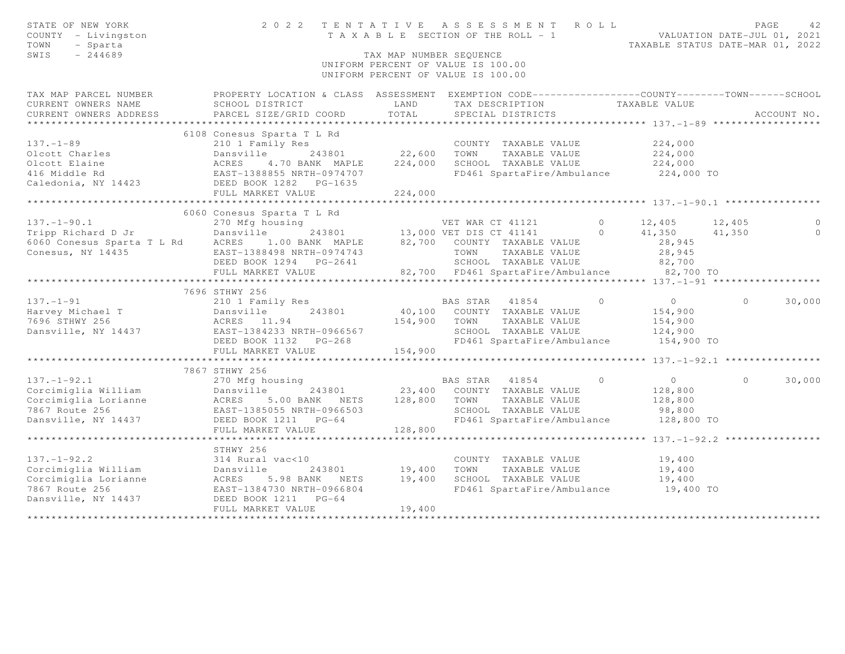| STATE OF NEW YORK<br>COUNTY - Livingston<br>TOWN<br>- Sparta<br>SWIS<br>$-244689$ | 2022 TENTATIVE ASSESSMENT ROLL                                                                    | TAX MAP NUMBER SEOUENCE | T A X A B L E SECTION OF THE ROLL - 1<br>UNIFORM PERCENT OF VALUE IS 100.00<br>UNIFORM PERCENT OF VALUE IS 100.00 |                            | TAXABLE STATUS DATE-MAR 01, 2022 |          | PAGE<br>42<br>VALUATION DATE-JUL 01, 2021 |
|-----------------------------------------------------------------------------------|---------------------------------------------------------------------------------------------------|-------------------------|-------------------------------------------------------------------------------------------------------------------|----------------------------|----------------------------------|----------|-------------------------------------------|
| TAX MAP PARCEL NUMBER                                                             | PROPERTY LOCATION & CLASS ASSESSMENT EXEMPTION CODE-----------------COUNTY-------TOWN------SCHOOL |                         |                                                                                                                   |                            |                                  |          |                                           |
| CURRENT OWNERS NAME                                                               | SCHOOL DISTRICT                                                                                   | LAND                    | TAX DESCRIPTION                                                                                                   |                            | TAXABLE VALUE                    |          |                                           |
| CURRENT OWNERS ADDRESS<br>***********************                                 | PARCEL SIZE/GRID COORD                                                                            | TOTAL                   | SPECIAL DISTRICTS                                                                                                 |                            |                                  |          | ACCOUNT NO.                               |
|                                                                                   |                                                                                                   |                         |                                                                                                                   |                            |                                  |          |                                           |
| $137. - 1 - 89$                                                                   | 6108 Conesus Sparta T L Rd<br>210 1 Family Res                                                    |                         | COUNTY TAXABLE VALUE                                                                                              |                            | 224,000                          |          |                                           |
| Olcott Charles                                                                    | Dansville<br>243801                                                                               | 22,600                  | TOWN                                                                                                              | TAXABLE VALUE              | 224,000                          |          |                                           |
| Olcott Elaine                                                                     | 4.70 BANK MAPLE                                                                                   | 224,000                 | SCHOOL TAXABLE VALUE                                                                                              |                            | 224,000                          |          |                                           |
| 416 Middle Rd                                                                     | EAST-1388855 NRTH-0974707                                                                         |                         |                                                                                                                   | FD461 SpartaFire/Ambulance | 224,000 TO                       |          |                                           |
| Caledonia, NY 14423                                                               | $PG-1635$                                                                                         |                         |                                                                                                                   |                            |                                  |          |                                           |
|                                                                                   |                                                                                                   | 224,000                 |                                                                                                                   |                            |                                  |          |                                           |
|                                                                                   | ACKLU<br>EAST-1388855 IV.<br>DEED BOOK 1282<br>TIILI MARKET VALU'                                 |                         |                                                                                                                   |                            |                                  |          |                                           |
|                                                                                   | 6060 Conesus Sparta T L Rd                                                                        |                         |                                                                                                                   |                            |                                  |          |                                           |
| $137. - 1 - 90.1$                                                                 | 270 Mfg housing                                                                                   |                         | VET WAR CT 41121                                                                                                  | $\circ$                    | 12,405                           | 12,405   | $\circ$                                   |
| Tripp Richard D Jr                                                                | Dansville                                                                                         |                         | 243801 13,000 VET DIS CT 41141                                                                                    | $\Omega$                   | 41,350                           | 41,350   | $\circ$                                   |
| 6060 Conesus Sparta T L Rd                                                        | ACRES<br>1.00 BANK MAPLE                                                                          |                         | 82,700 COUNTY TAXABLE VALUE                                                                                       |                            | 28,945                           |          |                                           |
| Conesus, NY 14435                                                                 | EAST-1388498 NRTH-0974743                                                                         |                         | TOWN                                                                                                              | TAXABLE VALUE              | 28,945                           |          |                                           |
|                                                                                   | DEED BOOK 1294 PG-2641                                                                            |                         |                                                                                                                   | SCHOOL TAXABLE VALUE       | 82,700                           |          |                                           |
|                                                                                   | FULL MARKET VALUE                                                                                 |                         | 82,700 FD461 SpartaFire/Ambulance                                                                                 |                            | 82,700 TO                        |          |                                           |
|                                                                                   | ************************                                                                          |                         |                                                                                                                   |                            |                                  |          |                                           |
|                                                                                   | 7696 STHWY 256                                                                                    |                         |                                                                                                                   |                            |                                  |          |                                           |
| $137. - 1 - 91$                                                                   | 210 1 Family Res                                                                                  |                         | BAS STAR                                                                                                          | $\circ$<br>41854           | $\circ$                          | $\Omega$ | 30,000                                    |
| Harvey Michael T                                                                  | Dansville<br>243801                                                                               | 40,100                  | COUNTY TAXABLE VALUE                                                                                              |                            | 154,900                          |          |                                           |
| 7696 STHWY 256<br>Dansville, NY 14437                                             | ACRES 11.94<br>EAST-1384233 NRTH-0966567                                                          | 154,900                 | TOWN<br>SCHOOL TAXABLE VALUE                                                                                      | TAXABLE VALUE              | 154,900<br>124,900               |          |                                           |
|                                                                                   | DEED BOOK 1132<br>$PG-268$                                                                        |                         |                                                                                                                   | FD461 SpartaFire/Ambulance | 154,900 TO                       |          |                                           |
|                                                                                   | FULL MARKET VALUE                                                                                 | 154,900                 |                                                                                                                   |                            |                                  |          |                                           |
|                                                                                   | ****************************                                                                      |                         |                                                                                                                   |                            |                                  |          |                                           |
|                                                                                   | 7867 STHWY 256                                                                                    |                         |                                                                                                                   |                            |                                  |          |                                           |
| $137. - 1 - 92.1$                                                                 | 270 Mfg housing                                                                                   |                         | BAS STAR 41854                                                                                                    | $\Omega$                   | $\circ$                          | $\Omega$ | 30,000                                    |
| Corcimiglia William                                                               | 243801<br>Dansville                                                                               | 23,400                  | COUNTY TAXABLE VALUE                                                                                              |                            | 128,800                          |          |                                           |
| Corcimiglia Lorianne                                                              | ACRES<br>5.00 BANK NETS                                                                           | 128,800                 | TOWN                                                                                                              | TAXABLE VALUE              | 128,800                          |          |                                           |
| 7867 Route 256                                                                    | EAST-1385055 NRTH-0966503                                                                         |                         | SCHOOL TAXABLE VALUE                                                                                              |                            | 98,800                           |          |                                           |
| Dansville, NY 14437                                                               | DEED BOOK 1211 PG-64                                                                              |                         |                                                                                                                   | FD461 SpartaFire/Ambulance | 128,800 TO                       |          |                                           |
|                                                                                   | FULL MARKET VALUE                                                                                 | 128,800                 |                                                                                                                   |                            |                                  |          |                                           |
|                                                                                   |                                                                                                   |                         |                                                                                                                   |                            | ********* 137.-1-92.2 ********   |          |                                           |
|                                                                                   | STHWY 256                                                                                         |                         |                                                                                                                   |                            |                                  |          |                                           |
| $137. - 1 - 92.2$                                                                 | 314 Rural vac<10                                                                                  |                         | COUNTY TAXABLE VALUE                                                                                              |                            | 19,400                           |          |                                           |
| Corcimiglia William                                                               | Dansville<br>243801                                                                               | 19,400                  | TOWN                                                                                                              | TAXABLE VALUE              | 19,400                           |          |                                           |
| Corcimiglia Lorianne                                                              | ACRES<br>5.98 BANK NETS                                                                           | 19,400                  | SCHOOL TAXABLE VALUE                                                                                              |                            | 19,400                           |          |                                           |
| 7867 Route 256                                                                    | EAST-1384730 NRTH-0966804                                                                         |                         |                                                                                                                   | FD461 SpartaFire/Ambulance | 19,400 TO                        |          |                                           |
| Dansville, NY 14437                                                               | DEED BOOK 1211<br>$PG-64$<br>FULL MARKET VALUE                                                    | 19,400                  |                                                                                                                   |                            |                                  |          |                                           |
|                                                                                   |                                                                                                   |                         |                                                                                                                   |                            |                                  |          |                                           |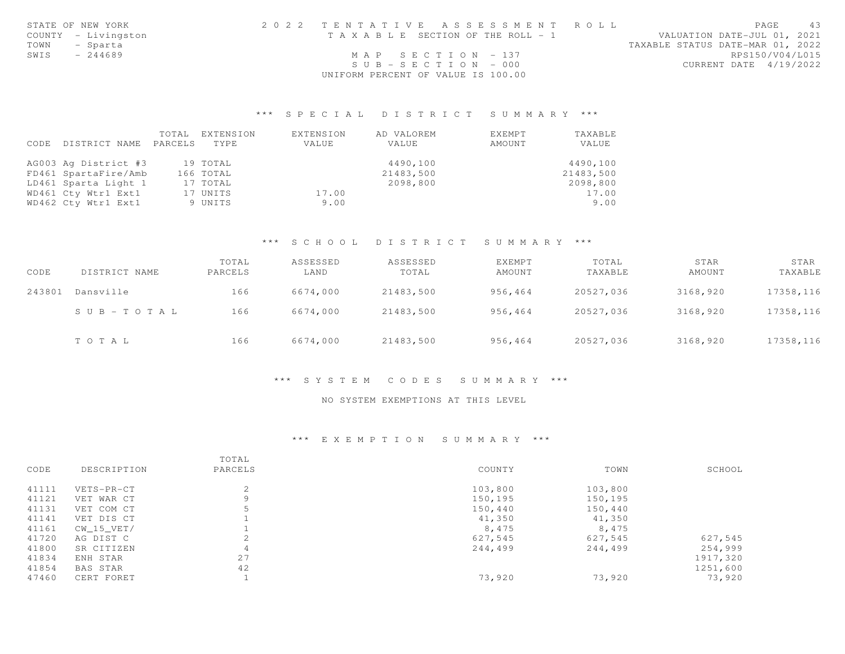|      | STATE OF NEW YORK   | 2022 TENTATIVE ASSESSMENT ROLL        | 43<br>PAGE                       |
|------|---------------------|---------------------------------------|----------------------------------|
|      | COUNTY - Livingston | T A X A B L E SECTION OF THE ROLL - 1 | VALUATION DATE-JUL 01, 2021      |
| TOWN | - Sparta            |                                       | TAXABLE STATUS DATE-MAR 01, 2022 |
| SWIS | - 244689            | $MAP$ SECTION - 137                   | RPS150/V04/L015                  |
|      |                     | $SUB - SECTION - 000$                 | CURRENT DATE 4/19/2022           |
|      |                     | UNIFORM PERCENT OF VALUE IS 100.00    |                                  |

# \*\*\* S P E C I A L D I S T R I C T S U M M A R Y \*\*\*

|      |                      | TOTAL   | EXTENSION | EXTENSION | AD VALOREM | EXEMPT | TAXABLE   |
|------|----------------------|---------|-----------|-----------|------------|--------|-----------|
| CODE | DISTRICT NAME        | PARCELS | TYPE.     | VALUE     | VALUE      | AMOUNT | VALUE     |
|      | AG003 Ag District #3 |         | 19 TOTAL  |           | 4490,100   |        | 4490,100  |
|      | FD461 SpartaFire/Amb |         | 166 TOTAL |           | 21483,500  |        | 21483,500 |
|      | LD461 Sparta Light 1 |         | 17 TOTAL  |           | 2098,800   |        | 2098,800  |
|      | WD461 Cty Wtr1 Ext1  |         | 17 UNITS  | 17.00     |            |        | 17.00     |
|      | WD462 Cty Wtr1 Ext1  |         | 9 UNITS   | 9.00      |            |        | 9.00      |

# \*\*\* S C H O O L D I S T R I C T S U M M A R Y \*\*\*

| CODE   | DISTRICT NAME | TOTAL<br>PARCELS | ASSESSED<br>LAND | ASSESSED<br>TOTAL | <b>EXEMPT</b><br>AMOUNT | TOTAL<br>TAXABLE | STAR<br>AMOUNT | STAR<br>TAXABLE |
|--------|---------------|------------------|------------------|-------------------|-------------------------|------------------|----------------|-----------------|
| 243801 | Dansville     | 166              | 6674,000         | 21483,500         | 956,464                 | 20527,036        | 3168,920       | 17358,116       |
|        | SUB-TOTAL     | 166              | 6674,000         | 21483,500         | 956,464                 | 20527,036        | 3168,920       | 17358,116       |
|        | TOTAL         | 166              | 6674,000         | 21483,500         | 956,464                 | 20527,036        | 3168,920       | 17358,116       |

### \*\*\* S Y S T E M C O D E S S U M M A R Y \*\*\*

### NO SYSTEM EXEMPTIONS AT THIS LEVEL

### \*\*\* E X E M P T I O N S U M M A R Y \*\*\*

|       |                 | TOTAL   |         |         |          |
|-------|-----------------|---------|---------|---------|----------|
| CODE  | DESCRIPTION     | PARCELS | COUNTY  | TOWN    | SCHOOL   |
| 41111 | VETS-PR-CT      | 2       | 103,800 | 103,800 |          |
| 41121 | VET WAR CT      | 9       | 150,195 | 150,195 |          |
| 41131 | VET COM CT      | 5       | 150,440 | 150,440 |          |
| 41141 | VET DIS CT      |         | 41,350  | 41,350  |          |
| 41161 | $CW_15_VET/$    |         | 8,475   | 8,475   |          |
| 41720 | AG DIST C       | 2       | 627,545 | 627,545 | 627,545  |
| 41800 | SR CITIZEN      | 4       | 244,499 | 244,499 | 254,999  |
| 41834 | ENH STAR        | 27      |         |         | 1917,320 |
| 41854 | <b>BAS STAR</b> | 42      |         |         | 1251,600 |
| 47460 | CERT FORET      |         | 73,920  | 73,920  | 73,920   |
|       |                 |         |         |         |          |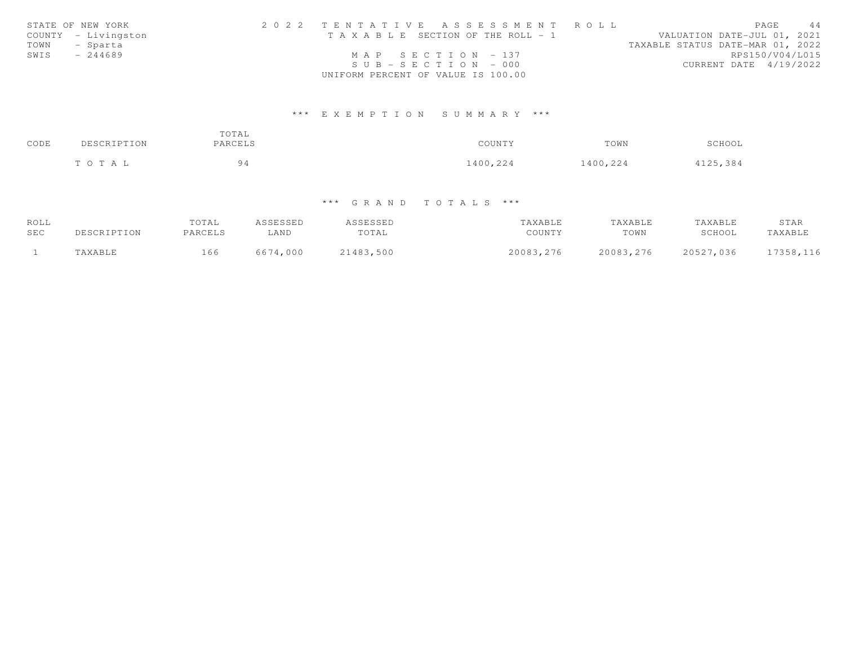|      | STATE OF NEW YORK   | 2022 TENTATIVE ASSESSMENT ROLL        |  |  |                                  | PAGE | 44                     |
|------|---------------------|---------------------------------------|--|--|----------------------------------|------|------------------------|
|      | COUNTY - Livingston | T A X A B L E SECTION OF THE ROLL - 1 |  |  | VALUATION DATE-JUL 01, 2021      |      |                        |
|      | TOWN - Sparta       |                                       |  |  | TAXABLE STATUS DATE-MAR 01, 2022 |      |                        |
| SWIS | $-244689$           | MAP SECTION $-137$                    |  |  |                                  |      | RPS150/V04/L015        |
|      |                     | $SUB - SECTION - 000$                 |  |  |                                  |      | CURRENT DATE 4/19/2022 |
|      |                     | UNIFORM PERCENT OF VALUE IS 100.00    |  |  |                                  |      |                        |

# \*\*\* E X E M P T I O N S U M M A R Y \*\*\*

| CODE | DESCRIPTION | TOTAL<br>PARCELS | COUNTY   | TOWN     | SCHOOL   |
|------|-------------|------------------|----------|----------|----------|
|      | TOTAL       | 94               | 1400,224 | 1400,224 | 4125,384 |

# \*\*\* G R A N D T O T A L S \*\*\*

| ROLL |             | TOTAL   | ASSESSED | ASSESSED  | TAXABLE    | TAXABLE    | TAXABLE   | STAR      |
|------|-------------|---------|----------|-----------|------------|------------|-----------|-----------|
| SEC  | DESCRIPTION | PARCELS | LAND     | TOTAL     | COUNTY     | TOWN       | SCHOOL    | TAXABLE   |
|      | TAXABLE     | 166     | 6674,000 | 21483,500 | 20083, 276 | 20083, 276 | 20527,036 | 17358,116 |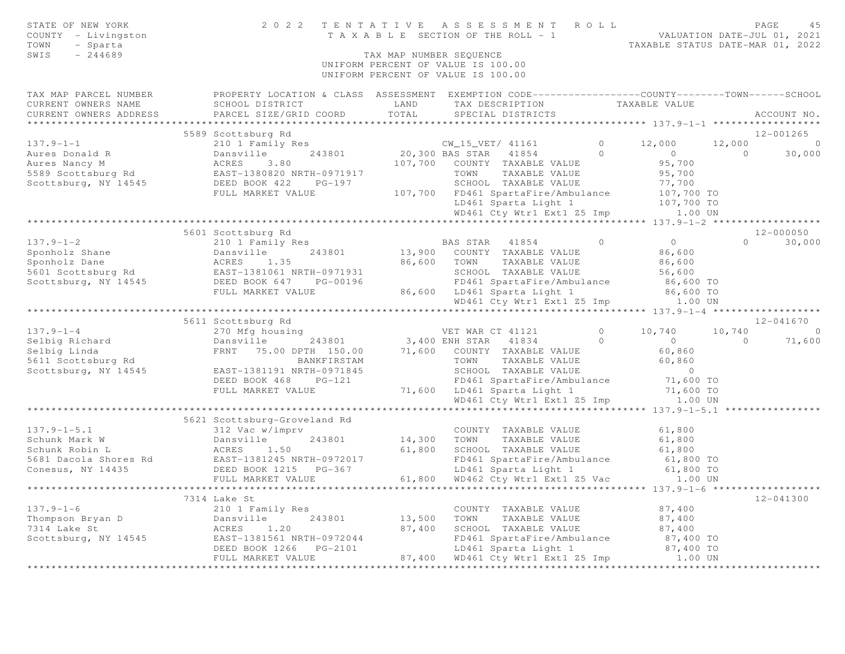| STATE OF NEW YORK<br>COUNTY - Livingston<br>TOWN<br>- Sparta<br>SWIS<br>$-244689$                                                                                                                                                                        | 2022 TENTATIVE                                                                                                                                    |               | TENTATIVE ASSESSMENT ROLL PAGE 45<br>TAXABLE SECTION OF THE ROLL - 1 VALUATION DATE-JUL 01, 2021<br>TAXABLE STATUS DATE-MAR 01, 2022<br>TAX MAP NUMBER SEQUENCE<br>UNIFORM PERCENT OF VALUE IS 100.00<br>UNIFORM PERCENT OF VALUE IS 100.00 |                |                                    |               |
|----------------------------------------------------------------------------------------------------------------------------------------------------------------------------------------------------------------------------------------------------------|---------------------------------------------------------------------------------------------------------------------------------------------------|---------------|---------------------------------------------------------------------------------------------------------------------------------------------------------------------------------------------------------------------------------------------|----------------|------------------------------------|---------------|
| TAX MAP PARCEL NUMBER<br>CURRENT OWNERS NAME<br>CURRENT OWNERS ADDRESS                                                                                                                                                                                   | PROPERTY LOCATION & CLASS ASSESSMENT EXEMPTION CODE-----------------COUNTY-------TOWN------SCHOOL<br>SCHOOL DISTRICT<br>PARCEL SIZE/GRID COORD    | LAND<br>TOTAL | TAX DESCRIPTION TAXABLE VALUE<br>SPECIAL DISTRICTS                                                                                                                                                                                          |                |                                    | ACCOUNT NO.   |
| ***********************                                                                                                                                                                                                                                  |                                                                                                                                                   |               |                                                                                                                                                                                                                                             |                |                                    |               |
|                                                                                                                                                                                                                                                          | 5589 Scottsburg Rd                                                                                                                                |               |                                                                                                                                                                                                                                             |                |                                    | 12-001265     |
| $137.9 - 1 - 1$                                                                                                                                                                                                                                          | SCOTTSDUIG NU<br>20,300 BAS STAR 41854 0<br>DARS STAR 41854 0<br>ACRES 3.80 107,700 COUNTY TAXABLE VALUE                                          |               |                                                                                                                                                                                                                                             | $0 \t 12,000$  |                                    | $12,000$ 0    |
|                                                                                                                                                                                                                                                          |                                                                                                                                                   |               |                                                                                                                                                                                                                                             |                | $\overline{0}$<br>$\sim$ 0         | 30,000        |
|                                                                                                                                                                                                                                                          |                                                                                                                                                   |               |                                                                                                                                                                                                                                             |                | 95,700                             |               |
|                                                                                                                                                                                                                                                          | EAST-1380820 NRTH-0971917 TOWN TAXABLE VALUE<br>DEED BOOK 422 PG-197 SCHOOL TAXABLE VALUE<br>FULL MARKET VALUE 107,700 FD461 SpartaFire/Ambulance |               |                                                                                                                                                                                                                                             |                | 95,700                             |               |
|                                                                                                                                                                                                                                                          |                                                                                                                                                   |               |                                                                                                                                                                                                                                             |                |                                    |               |
|                                                                                                                                                                                                                                                          |                                                                                                                                                   |               |                                                                                                                                                                                                                                             |                | 77,700<br>107,700 TO<br>107,700 TO |               |
|                                                                                                                                                                                                                                                          |                                                                                                                                                   |               | LD461 Sparta Light 1                                                                                                                                                                                                                        |                |                                    |               |
|                                                                                                                                                                                                                                                          |                                                                                                                                                   |               | WD461 Cty Wtr1 Ext1 Z5 Imp 1.00 UN                                                                                                                                                                                                          |                |                                    |               |
|                                                                                                                                                                                                                                                          |                                                                                                                                                   |               |                                                                                                                                                                                                                                             |                |                                    |               |
| 137.9-1-2<br>Sponholz Shane<br>Sponholz Dane<br>Sponholz Dane<br>Sponholz Dane<br>Scottsburg Rd<br>Scottsburg, NY 14545<br>Scottsburg, NY 14545<br>SEED BOOK 647<br>PULL MARKET VALUE<br>THE POST PG-00196<br>THE PG-00196<br>SCHOOL TAXABLE VALUE<br>SC | 5601 Scottsburg Rd                                                                                                                                |               |                                                                                                                                                                                                                                             | $\overline{0}$ | $\overline{0}$                     | 12-000050     |
|                                                                                                                                                                                                                                                          |                                                                                                                                                   |               |                                                                                                                                                                                                                                             |                | 86,600                             | $0 \t 30,000$ |
|                                                                                                                                                                                                                                                          |                                                                                                                                                   |               | TAXABLE VALUE                                                                                                                                                                                                                               |                |                                    |               |
|                                                                                                                                                                                                                                                          |                                                                                                                                                   |               | SCHOOL TAXABLE VALUE                                                                                                                                                                                                                        |                | 86,600<br>56,600                   |               |
|                                                                                                                                                                                                                                                          |                                                                                                                                                   |               | SCHOOL TAXABLE VALUE<br>FD461 SpartaFire/Ambulance                                                                                                                                                                                          |                | 86,600 TO                          |               |
|                                                                                                                                                                                                                                                          |                                                                                                                                                   |               |                                                                                                                                                                                                                                             |                |                                    |               |
|                                                                                                                                                                                                                                                          |                                                                                                                                                   |               | 86,600 LD461 Sparta Light 1 86,600 TO<br>WD461 Cty Wtr1 Ext1 Z5 Imp 1.00 UN                                                                                                                                                                 |                |                                    |               |
|                                                                                                                                                                                                                                                          |                                                                                                                                                   |               |                                                                                                                                                                                                                                             |                |                                    |               |
|                                                                                                                                                                                                                                                          | 5611 Scottsburg Rd                                                                                                                                |               |                                                                                                                                                                                                                                             |                |                                    | 12-041670     |
|                                                                                                                                                                                                                                                          |                                                                                                                                                   |               |                                                                                                                                                                                                                                             | $0 \t 10,740$  |                                    | $10,740$ 0    |
|                                                                                                                                                                                                                                                          |                                                                                                                                                   |               |                                                                                                                                                                                                                                             |                | $\overline{0}$<br>$\overline{0}$   | 71,600        |
| 137.9-1-4<br>Selbig Richard 270 Mfg housing<br>Selbig Richard Dansville 243801<br>Selbig Linda FRNT 75.00 DPTH 150.00 71,600 COUNTY TAXABLE VALUE<br>Scottsburg, NY 14545<br>EAST-1381191 NRTH-09718445<br>FRNT 75.00 DPTH 150.00 71,600 C               |                                                                                                                                                   |               |                                                                                                                                                                                                                                             |                |                                    |               |
|                                                                                                                                                                                                                                                          |                                                                                                                                                   |               |                                                                                                                                                                                                                                             |                | 60,860<br>60,860                   |               |
|                                                                                                                                                                                                                                                          |                                                                                                                                                   |               |                                                                                                                                                                                                                                             |                | $\overline{0}$                     |               |
|                                                                                                                                                                                                                                                          | DEED BOOK 468 PG-121                                                                                                                              |               | FD461 SpartaFire/Ambulance<br>T1,600 LD461 SpartaFire/Ambulance<br>FD461 SpartaFire/Ambulance                                                                                                                                               |                | 71,600 TO                          |               |
|                                                                                                                                                                                                                                                          | FULL MARKET VALUE                                                                                                                                 |               |                                                                                                                                                                                                                                             |                | 71,600 TO                          |               |
|                                                                                                                                                                                                                                                          |                                                                                                                                                   |               | WD461 Cty Wtr1 Ext1 Z5 Imp 1.00 UN                                                                                                                                                                                                          |                |                                    |               |
|                                                                                                                                                                                                                                                          |                                                                                                                                                   |               |                                                                                                                                                                                                                                             |                |                                    |               |
|                                                                                                                                                                                                                                                          | 5621 Scottsburg-Groveland Rd                                                                                                                      |               |                                                                                                                                                                                                                                             |                |                                    |               |
| $137.9 - 1 - 5.1$                                                                                                                                                                                                                                        | 312 Vac w/imprv                                                                                                                                   |               | COUNTY TAXABLE VALUE                                                                                                                                                                                                                        |                | 61,800                             |               |
| Schunk Mark W Dansville 243801<br>Schunk Robin L ACRES 1.50<br>5681 Dacola Shores Rd EAST-1381245 NRTH-0972017<br>Conesus, NY 14435 DEED BOOK 1215 PG-367<br>FIIT MADKET VALUE                                                                           |                                                                                                                                                   | 14,300 TOWN   | 14,300    TOWN      TAXABLE VALUE<br>61,800    SCHOOL   TAXABLE VALUE                                                                                                                                                                       |                | 61,800                             |               |
|                                                                                                                                                                                                                                                          |                                                                                                                                                   |               |                                                                                                                                                                                                                                             |                | 61,800                             |               |
|                                                                                                                                                                                                                                                          |                                                                                                                                                   |               | FD461 SpartaFire/Ambulance 61,800 TO<br>LD461 Sparta Light 1 61,800 TO<br>61,800 WD462 Cty Wtr1 Ext1 Z5 Vac 1.00 UN<br>1.00 UN                                                                                                              |                |                                    |               |
|                                                                                                                                                                                                                                                          |                                                                                                                                                   |               |                                                                                                                                                                                                                                             |                |                                    |               |
|                                                                                                                                                                                                                                                          | FULL MARKET VALUE                                                                                                                                 |               |                                                                                                                                                                                                                                             |                |                                    |               |
|                                                                                                                                                                                                                                                          | 7314 Lake St                                                                                                                                      |               |                                                                                                                                                                                                                                             |                |                                    | 12-041300     |
| $137.9 - 1 - 6$                                                                                                                                                                                                                                          | 210 1 Family Res                                                                                                                                  |               | COUNTY TAXABLE VALUE                                                                                                                                                                                                                        |                | 87,400                             |               |
|                                                                                                                                                                                                                                                          | 243801<br>Dansville                                                                                                                               |               | 13,500 TOWN TAXABLE VALUE                                                                                                                                                                                                                   |                | 87,400                             |               |
| Thompson Bryan D<br>7314 Lake St<br>7314 Lake St                                                                                                                                                                                                         | ACRES<br>1.20                                                                                                                                     | 87,400        | SCHOOL TAXABLE VALUE                                                                                                                                                                                                                        |                | 87,400                             |               |
| Scottsburg, NY 14545                                                                                                                                                                                                                                     | EAST-1381561 NRTH-0972044                                                                                                                         |               | FD461 SpartaFire/Ambulance                                                                                                                                                                                                                  |                | 87,400 TO                          |               |
|                                                                                                                                                                                                                                                          | DEED BOOK 1266    PG-2101                                                                                                                         |               | LD461 Sparta Light 1                                                                                                                                                                                                                        |                | 87,400 TO                          |               |
|                                                                                                                                                                                                                                                          | FULL MARKET VALUE                                                                                                                                 |               | 87,400 WD461 Cty Wtrl Ext1 Z5 Imp 1.00 UN                                                                                                                                                                                                   |                |                                    |               |
|                                                                                                                                                                                                                                                          |                                                                                                                                                   |               |                                                                                                                                                                                                                                             |                |                                    |               |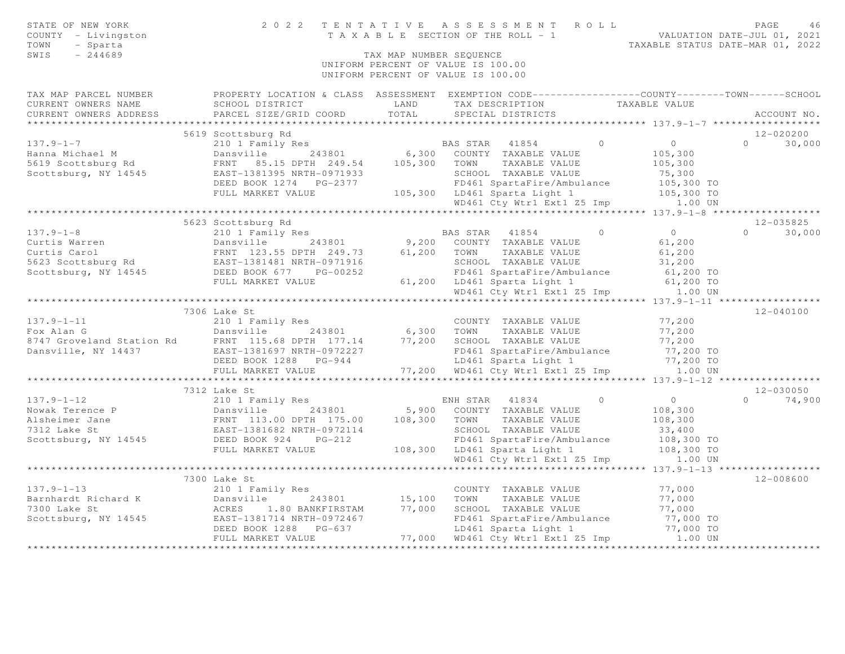| STATE OF NEW YORK<br>COUNTY - Livingston<br>- Sparta<br>TOWN<br>SWIS<br>$-244689$                                                                                                                                                    |                                                                                                         | UNIFORM PERCENT OF VALUE IS 100.00 | 2022 TENTATIVE ASSESSMENT ROLL<br>PAGE<br>TAXABLE SECTION OF THE ROLL - 1 VALUATION DATE-JUL 01, 2021<br>TAXABLE STATUS DATE-MAR 01, 2022<br>TAX MAP NUMBER SEOUENCE<br>UNIFORM PERCENT OF VALUE IS 100.00 |            |                   |               |
|--------------------------------------------------------------------------------------------------------------------------------------------------------------------------------------------------------------------------------------|---------------------------------------------------------------------------------------------------------|------------------------------------|------------------------------------------------------------------------------------------------------------------------------------------------------------------------------------------------------------|------------|-------------------|---------------|
|                                                                                                                                                                                                                                      |                                                                                                         |                                    |                                                                                                                                                                                                            |            |                   |               |
| TAX MAP PARCEL NUMBER FROPERTY LOCATION & CLASS ASSESSMENT EXEMPTION CODE---------------COUNTY-------TOWN------SCHOOL<br>CURRENT OWNERS NAME<br>CURRENT OWNERS ADDRESS                                                               | SCHOOL DISTRICT<br>PARCEL SIZE/GRID COORD                                                               | LAND<br>TOTAL                      | TAX DESCRIPTION TAXABLE VALUE<br>SPECIAL DISTRICTS                                                                                                                                                         |            |                   | ACCOUNT NO.   |
|                                                                                                                                                                                                                                      |                                                                                                         |                                    |                                                                                                                                                                                                            |            |                   |               |
|                                                                                                                                                                                                                                      | 5619 Scottsburg Rd                                                                                      |                                    |                                                                                                                                                                                                            |            |                   | 12-020200     |
| $137.9 - 1 - 7$                                                                                                                                                                                                                      | 210 1 Family Res                                                                                        |                                    | BAS STAR 41854                                                                                                                                                                                             | $\bigcirc$ | $\overline{0}$    | $0 \t 30,000$ |
| Hanna Michael M                                                                                                                                                                                                                      | Dansville 243801 6,300 COUNTY TAXABLE VALUE                                                             |                                    |                                                                                                                                                                                                            |            | 105,300           |               |
| 5619 Scottsburg Rd                                                                                                                                                                                                                   | FRNT 85.15 DPTH 249.54 105,300 TOWN TAXABLE VALUE                                                       |                                    |                                                                                                                                                                                                            |            | 105,300           |               |
| Scottsburg, NY 14545                                                                                                                                                                                                                 | EAST-1381395 NRTH-0971933                                                                               |                                    | SCHOOL TAXABLE VALUE                                                                                                                                                                                       |            | 75,300            |               |
|                                                                                                                                                                                                                                      | DEED BOOK 1274    PG-2377                                                                               |                                    | FD461 SpartaFire/Ambulance                                                                                                                                                                                 |            | 105,300 TO        |               |
|                                                                                                                                                                                                                                      | FULL MARKET VALUE                                                                                       |                                    | 105,300 LD461 Sparta Light 1                                                                                                                                                                               |            | 105,300 TO        |               |
|                                                                                                                                                                                                                                      |                                                                                                         |                                    | WD461 Cty Wtr1 Ext1 Z5 Imp 1.00 UN                                                                                                                                                                         |            |                   |               |
|                                                                                                                                                                                                                                      | 5623 Scottsburg Rd                                                                                      |                                    |                                                                                                                                                                                                            |            |                   | 12-035825     |
| $137.9 - 1 - 8$                                                                                                                                                                                                                      | 210 1 Family Res                                                                                        |                                    | BAS STAR 41854                                                                                                                                                                                             | $\circ$    | $\overline{0}$    | $0 \t 30,000$ |
|                                                                                                                                                                                                                                      | 243801                                                                                                  |                                    | 9,200 COUNTY TAXABLE VALUE                                                                                                                                                                                 |            | 61,200            |               |
|                                                                                                                                                                                                                                      |                                                                                                         |                                    |                                                                                                                                                                                                            |            | 61,200            |               |
|                                                                                                                                                                                                                                      |                                                                                                         |                                    |                                                                                                                                                                                                            |            | 31,200            |               |
| Curtis Warren<br>Curtis Carol Curtis Carol ERNT 123.55 DPTH 249.73 61,200 COUNTY TAXABLE VALUE<br>5623 Scottsburg Rd EAST-1381481 NRTH-0971916 SCHOOL TAXABLE VALUE<br>Scottsburg, NY 14545 DEED BOOK 677 PG-00252 FD461 SpartaFire/ |                                                                                                         |                                    | FD461 SpartaFire/Ambulance                                                                                                                                                                                 |            | 61,200 TO         |               |
|                                                                                                                                                                                                                                      | FULL MARKET VALUE                                                                                       |                                    | 61,200 LD461 Sparta Light 1                                                                                                                                                                                |            | 61,200 TO         |               |
|                                                                                                                                                                                                                                      |                                                                                                         |                                    | WD461 Cty Wtrl Ext1 Z5 Imp 1.00 UN                                                                                                                                                                         |            |                   |               |
|                                                                                                                                                                                                                                      |                                                                                                         |                                    |                                                                                                                                                                                                            |            |                   |               |
| $137.9 - 1 - 11$                                                                                                                                                                                                                     | 7306 Lake St                                                                                            |                                    |                                                                                                                                                                                                            |            | 77,200            | 12-040100     |
|                                                                                                                                                                                                                                      | 210 1 Family Res                                                                                        |                                    | COUNTY TAXABLE VALUE                                                                                                                                                                                       |            | 77,200            |               |
|                                                                                                                                                                                                                                      |                                                                                                         |                                    |                                                                                                                                                                                                            |            | 77,200            |               |
|                                                                                                                                                                                                                                      |                                                                                                         |                                    |                                                                                                                                                                                                            |            |                   |               |
|                                                                                                                                                                                                                                      |                                                                                                         |                                    |                                                                                                                                                                                                            |            |                   |               |
| Fox Alan G<br>Fox Alan G<br>243801 6,300 TOWN TAXABLE VALUE<br>8747 Groveland Station Rd<br>EAST-1381697 NRTH-0972227 FD461 SpartaFire/Ambulance<br>DEED BOOK 1288 PG-944 LD461 SpartaLight 1<br>TT.200 WD461 Cty Wtr1 Ext1 Z5 Imp   |                                                                                                         |                                    | FD461 SpartaFire/Ambulance 77,200 TO<br>LD461 Sparta Light 1 77,200 TO<br>77,200 WD461 Cty Wtr1 Ext1 Z5 Imp 1.00 UN                                                                                        |            |                   |               |
|                                                                                                                                                                                                                                      |                                                                                                         |                                    |                                                                                                                                                                                                            |            |                   |               |
|                                                                                                                                                                                                                                      | 7312 Lake St                                                                                            |                                    |                                                                                                                                                                                                            |            |                   | $12 - 030050$ |
| $137.9 - 1 - 12$                                                                                                                                                                                                                     | 210 1 Family Res                                                                                        |                                    | ENH STAR 41834                                                                                                                                                                                             | $\circ$    | $\overline{0}$    | $0 \t 74,900$ |
| Nowak Terence P<br>Alsheimer Jane<br>7312 Lake St<br>Scottsburg, NY 14545                                                                                                                                                            | Dansville 243801 5,900 COUNT<br>FRNT 113.00 DPTH 175.00 108,300 TOWN<br>EAST-1381682 NRTH-0972114 SCHOO |                                    | 5,900 COUNTY TAXABLE VALUE                                                                                                                                                                                 |            | 108,300           |               |
|                                                                                                                                                                                                                                      |                                                                                                         |                                    | TAXABLE VALUE<br>SCHOOL TAXABLE VALUE                                                                                                                                                                      |            | 108,300<br>33,400 |               |
|                                                                                                                                                                                                                                      | DEED BOOK 924 PG-212                                                                                    |                                    | FD461 SpartaFire/Ambulance                                                                                                                                                                                 |            | 108,300 TO        |               |
|                                                                                                                                                                                                                                      | FULL MARKET VALUE                                                                                       |                                    | 108,300 LD461 Sparta Light 1                                                                                                                                                                               |            | 108,300 TO        |               |
|                                                                                                                                                                                                                                      |                                                                                                         |                                    | WD461 Cty Wtr1 Ext1 Z5 Imp 1.00 UN                                                                                                                                                                         |            |                   |               |
|                                                                                                                                                                                                                                      | *******************************                                                                         |                                    |                                                                                                                                                                                                            |            |                   |               |
|                                                                                                                                                                                                                                      | 7300 Lake St                                                                                            |                                    |                                                                                                                                                                                                            |            |                   | 12-008600     |
| $137.9 - 1 - 13$                                                                                                                                                                                                                     | 210 1 Family Res                                                                                        |                                    | COUNTY TAXABLE VALUE                                                                                                                                                                                       |            | 77,000            |               |
| Barnhardt Richard K                                                                                                                                                                                                                  | Dansville 243801                                                                                        |                                    | 15,100 TOWN TAXABLE VALUE                                                                                                                                                                                  |            | 77,000            |               |
| 7300 Lake St                                                                                                                                                                                                                         | ACRES 1.80 BANKFIRSTAM                                                                                  | 77,000                             | SCHOOL TAXABLE VALUE                                                                                                                                                                                       |            | 77,000            |               |
| Scottsburg, NY 14545 EAST-1381714 NRTH-0972467                                                                                                                                                                                       |                                                                                                         |                                    | FD461 SpartaFire/Ambulance                                                                                                                                                                                 |            | 77,000 TO         |               |
|                                                                                                                                                                                                                                      | DEED BOOK 1288 PG-637                                                                                   |                                    | LD461 Sparta Light 1<br>77,000 WD461 Cty Wtr1 Ext1 Z5 Imp 1.00 UN                                                                                                                                          |            | 77,000 TO         |               |
|                                                                                                                                                                                                                                      | FULL MARKET VALUE                                                                                       |                                    |                                                                                                                                                                                                            |            |                   |               |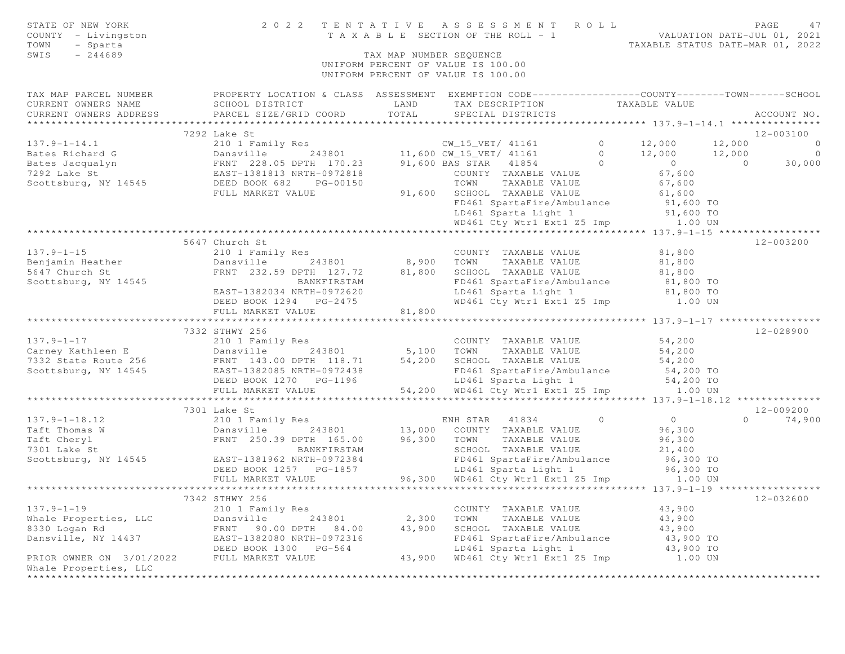| STATE OF NEW YORK<br>COUNTY - Livingston<br>TOWN<br>- Sparta<br>$-244689$<br>SWIS | 2 0 2 2                                                                                                                                      | TENTATIVE<br>TAX MAP NUMBER SEQUENCE | A S S E S S M E N T<br>T A X A B L E SECTION OF THE ROLL - 1<br>UNIFORM PERCENT OF VALUE IS 100.00<br>UNIFORM PERCENT OF VALUE IS 100.00 | R O L L           | PAGE<br>47<br>VALUATION DATE-JUL 01, 2021<br>TAXABLE STATUS DATE-MAR 01, 2022 |
|-----------------------------------------------------------------------------------|----------------------------------------------------------------------------------------------------------------------------------------------|--------------------------------------|------------------------------------------------------------------------------------------------------------------------------------------|-------------------|-------------------------------------------------------------------------------|
| TAX MAP PARCEL NUMBER<br>CURRENT OWNERS NAME<br>CURRENT OWNERS ADDRESS            | PROPERTY LOCATION & CLASS ASSESSMENT EXEMPTION CODE----------------COUNTY-------TOWN-----SCHOOL<br>SCHOOL DISTRICT<br>PARCEL SIZE/GRID COORD | LAND<br>TOTAL                        | TAX DESCRIPTION<br>SPECIAL DISTRICTS                                                                                                     | TAXABLE VALUE     | ACCOUNT NO.                                                                   |
|                                                                                   |                                                                                                                                              |                                      |                                                                                                                                          |                   |                                                                               |
|                                                                                   | 7292 Lake St                                                                                                                                 |                                      |                                                                                                                                          |                   | $12 - 003100$                                                                 |
| $137.9 - 1 - 14.1$                                                                | 210 1 Family Res                                                                                                                             |                                      | CW_15_VET/ 41161                                                                                                                         | $\circ$<br>12,000 | 12,000<br>$\bigcirc$                                                          |
| Bates Richard G                                                                   | Dansville<br>243801                                                                                                                          |                                      | 11,600 CW_15_VET/ 41161                                                                                                                  | 12,000<br>$\circ$ | 12,000<br>$\overline{0}$                                                      |
| Bates Jacqualyn                                                                   | FRNT 228.05 DPTH 170.23                                                                                                                      |                                      | 41854<br>91,600 BAS STAR                                                                                                                 | $\Omega$          | $\overline{0}$<br>30,000<br>$\Omega$                                          |
| 7292 Lake St                                                                      | EAST-1381813 NRTH-0972818                                                                                                                    |                                      | COUNTY TAXABLE VALUE                                                                                                                     |                   | 67,600                                                                        |
| Scottsburg, NY 14545                                                              | DEED BOOK 682<br>PG-00150                                                                                                                    |                                      | TOWN<br>TAXABLE VALUE                                                                                                                    |                   | 67,600                                                                        |
|                                                                                   | FULL MARKET VALUE                                                                                                                            | 91,600                               | SCHOOL TAXABLE VALUE                                                                                                                     |                   | 61,600                                                                        |
|                                                                                   |                                                                                                                                              |                                      | FD461 SpartaFire/Ambulance                                                                                                               |                   | 91,600 TO                                                                     |
|                                                                                   |                                                                                                                                              |                                      | LD461 Sparta Light 1                                                                                                                     |                   | 91,600 TO                                                                     |
|                                                                                   |                                                                                                                                              |                                      | WD461 Cty Wtr1 Ext1 Z5 Imp                                                                                                               |                   | 1.00 UN                                                                       |
|                                                                                   |                                                                                                                                              |                                      |                                                                                                                                          |                   |                                                                               |
|                                                                                   | 5647 Church St                                                                                                                               |                                      |                                                                                                                                          |                   | $12 - 003200$                                                                 |
| $137.9 - 1 - 15$                                                                  | 210 1 Family Res                                                                                                                             |                                      | COUNTY TAXABLE VALUE                                                                                                                     |                   | 81,800                                                                        |
| Benjamin Heather                                                                  | Dansville<br>243801                                                                                                                          | 8,900                                | TOWN<br>TAXABLE VALUE                                                                                                                    |                   | 81,800                                                                        |
| 5647 Church St                                                                    | FRNT 232.59 DPTH 127.72                                                                                                                      | 81,800                               | SCHOOL TAXABLE VALUE                                                                                                                     |                   | 81,800                                                                        |
| Scottsburg, NY 14545                                                              | BANKFIRSTAM<br>EAST-1382034 NRTH-0972620                                                                                                     |                                      | FD461 SpartaFire/Ambulance                                                                                                               |                   | 81,800 TO<br>81,800 TO                                                        |
|                                                                                   | DEED BOOK 1294 PG-2475                                                                                                                       |                                      | LD461 Sparta Light 1<br>WD461 Cty Wtr1 Ext1 Z5 Imp                                                                                       |                   | 1.00 UN                                                                       |
|                                                                                   | FULL MARKET VALUE                                                                                                                            | 81,800                               |                                                                                                                                          |                   |                                                                               |
|                                                                                   |                                                                                                                                              | *********                            |                                                                                                                                          |                   | *********** 137.9-1-17 *************                                          |
|                                                                                   | 7332 STHWY 256                                                                                                                               |                                      |                                                                                                                                          |                   | 12-028900                                                                     |
| $137.9 - 1 - 17$                                                                  | 210 1 Family Res                                                                                                                             |                                      | COUNTY TAXABLE VALUE                                                                                                                     |                   | 54,200                                                                        |
| Carney Kathleen E                                                                 | Dansville<br>243801                                                                                                                          | 5,100                                | TOWN<br>TAXABLE VALUE                                                                                                                    |                   | 54,200                                                                        |
| 7332 State Route 256                                                              | FRNT 143.00 DPTH 118.71                                                                                                                      | 54,200                               | SCHOOL TAXABLE VALUE                                                                                                                     |                   | 54,200                                                                        |
| Scottsburg, NY 14545                                                              | EAST-1382085 NRTH-0972438                                                                                                                    |                                      | FD461 SpartaFire/Ambulance                                                                                                               |                   | 54,200 TO                                                                     |
|                                                                                   | DEED BOOK 1270 PG-1196                                                                                                                       |                                      | LD461 Sparta Light 1                                                                                                                     |                   | 54,200 TO                                                                     |
|                                                                                   | FULL MARKET VALUE                                                                                                                            | 54,200                               | WD461 Cty Wtr1 Ext1 Z5 Imp                                                                                                               |                   | 1.00 UN                                                                       |
|                                                                                   | ****************************                                                                                                                 |                                      |                                                                                                                                          |                   |                                                                               |
|                                                                                   | 7301 Lake St                                                                                                                                 |                                      |                                                                                                                                          |                   | 12-009200                                                                     |
| $137.9 - 1 - 18.12$                                                               | 210 1 Family Res                                                                                                                             |                                      | 41834<br>ENH STAR                                                                                                                        | $\circ$           | $\overline{0}$<br>74,900<br>$\cap$                                            |
| Taft Thomas W                                                                     | Dansville<br>243801                                                                                                                          | 13,000                               | COUNTY TAXABLE VALUE                                                                                                                     |                   | 96,300                                                                        |
| Taft Cheryl                                                                       | FRNT 250.39 DPTH 165.00                                                                                                                      | 96,300                               | TOWN<br>TAXABLE VALUE                                                                                                                    |                   | 96,300                                                                        |
| 7301 Lake St                                                                      | BANKFIRSTAM                                                                                                                                  |                                      | SCHOOL TAXABLE VALUE                                                                                                                     |                   | 21,400                                                                        |
| Scottsburg, NY 14545                                                              | EAST-1381962 NRTH-0972384                                                                                                                    |                                      | FD461 SpartaFire/Ambulance                                                                                                               |                   | 96,300 TO                                                                     |
|                                                                                   | DEED BOOK 1257 PG-1857                                                                                                                       |                                      | LD461 Sparta Light 1                                                                                                                     |                   | 96,300 TO                                                                     |
|                                                                                   | FULL MARKET VALUE                                                                                                                            | 96,300                               | WD461 Cty Wtr1 Ext1 Z5 Imp                                                                                                               |                   | 1.00 UN                                                                       |
|                                                                                   | 7342 STHWY 256                                                                                                                               |                                      |                                                                                                                                          |                   | 12-032600                                                                     |
| $137.9 - 1 - 19$                                                                  | 210 1 Family Res                                                                                                                             |                                      | COUNTY TAXABLE VALUE                                                                                                                     |                   | 43,900                                                                        |
| Whale Properties, LLC                                                             | Dansville<br>243801                                                                                                                          | 2,300                                | TOWN<br>TAXABLE VALUE                                                                                                                    |                   | 43,900                                                                        |
| 8330 Logan Rd                                                                     | 90.00 DPTH<br>FRNT<br>84.00                                                                                                                  | 43,900                               | SCHOOL TAXABLE VALUE                                                                                                                     |                   | 43,900                                                                        |
| Dansville, NY 14437                                                               | EAST-1382080 NRTH-0972316                                                                                                                    |                                      | FD461 SpartaFire/Ambulance                                                                                                               |                   | 43,900 TO                                                                     |
|                                                                                   | DEED BOOK 1300 PG-564                                                                                                                        |                                      | LD461 Sparta Light 1                                                                                                                     |                   | 43,900 TO                                                                     |
| PRIOR OWNER ON 3/01/2022                                                          | FULL MARKET VALUE                                                                                                                            | 43,900                               | WD461 Cty Wtr1 Ext1 Z5 Imp                                                                                                               |                   | 1.00 UN                                                                       |
| Whale Properties, LLC                                                             |                                                                                                                                              |                                      |                                                                                                                                          |                   |                                                                               |
|                                                                                   | ********************                                                                                                                         |                                      |                                                                                                                                          |                   |                                                                               |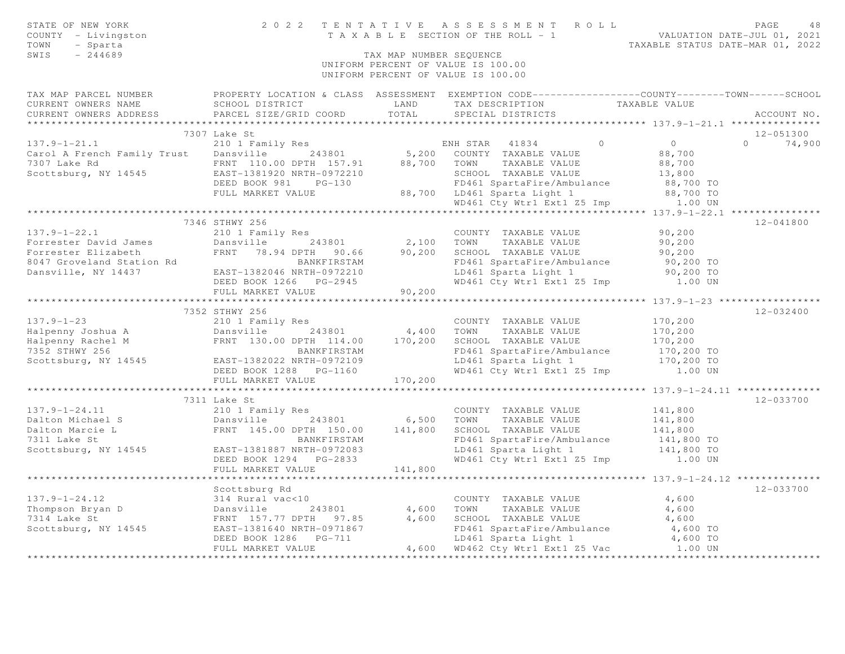| STATE OF NEW YORK<br>COUNTY - Livingston<br>- Sparta<br>TOWN<br>SWIS<br>$-244689$                                                                                                                                                            |                           | TAX MAP NUMBER SEQUENCE<br>UNIFORM PERCENT OF VALUE IS 100.00<br>UNIFORM PERCENT OF VALUE IS 100.00 |                                                                                                                                                                                                                                         |                                                                                                                      |  |
|----------------------------------------------------------------------------------------------------------------------------------------------------------------------------------------------------------------------------------------------|---------------------------|-----------------------------------------------------------------------------------------------------|-----------------------------------------------------------------------------------------------------------------------------------------------------------------------------------------------------------------------------------------|----------------------------------------------------------------------------------------------------------------------|--|
|                                                                                                                                                                                                                                              |                           |                                                                                                     |                                                                                                                                                                                                                                         | TAX MAP PARCEL NUMBER FROPERTY LOCATION & CLASS ASSESSMENT EXEMPTION CODE---------------COUNTY-------TOWN-----SCHOOL |  |
| CURRENT OWNERS NAME                                                                                                                                                                                                                          | SCHOOL DISTRICT           | LAND                                                                                                | TAX DESCRIPTION TAXABLE VALUE                                                                                                                                                                                                           |                                                                                                                      |  |
| CURRENT OWNERS ADDRESS PARCEL SIZE/GRID COORD                                                                                                                                                                                                |                           | TOTAL                                                                                               | SPECIAL DISTRICTS                                                                                                                                                                                                                       | ACCOUNT NO.                                                                                                          |  |
|                                                                                                                                                                                                                                              | 7307 Lake St              |                                                                                                     |                                                                                                                                                                                                                                         | 12-051300                                                                                                            |  |
| $137.9 - 1 - 21.1$                                                                                                                                                                                                                           | 210 1 Family Res          |                                                                                                     | $\circ$                                                                                                                                                                                                                                 | $\overline{0}$<br>$0 \t 74,900$                                                                                      |  |
| Carol A French Family Trust Dansville 243801                                                                                                                                                                                                 |                           |                                                                                                     | ENH STAR 41834<br>5,200 COUNTY TAXABLE VALUE                                                                                                                                                                                            | 88,700                                                                                                               |  |
|                                                                                                                                                                                                                                              |                           |                                                                                                     |                                                                                                                                                                                                                                         | 88,700                                                                                                               |  |
| 7307 Lake Rd<br>Scottsburg, NY 14545<br>Scottsburg, NY 14545<br>EAST-1381920 NRTH-0972210<br>SCHOOL TAXABLE VALUE                                                                                                                            |                           |                                                                                                     |                                                                                                                                                                                                                                         |                                                                                                                      |  |
|                                                                                                                                                                                                                                              | DEED BOOK 981 PG-130      |                                                                                                     |                                                                                                                                                                                                                                         |                                                                                                                      |  |
|                                                                                                                                                                                                                                              |                           |                                                                                                     |                                                                                                                                                                                                                                         |                                                                                                                      |  |
|                                                                                                                                                                                                                                              |                           |                                                                                                     |                                                                                                                                                                                                                                         |                                                                                                                      |  |
|                                                                                                                                                                                                                                              |                           |                                                                                                     | FRNT 110.00 DPTH 13.131920<br>EAST-1381920 NRTH-0972210<br>DEED BOOK 981 PG-130 FD461 SpartaFire/Ambulance 88,700 TO<br>FULL MARKET VALUE 88,700 LD461 Sparta Light 1 88,700 TO<br>WD461 Cty Wtr1 Ext1 25 Imp 1.00 UN<br>WD461 Cty Wtr1 |                                                                                                                      |  |
|                                                                                                                                                                                                                                              | 7346 STHWY 256            |                                                                                                     |                                                                                                                                                                                                                                         | 12-041800                                                                                                            |  |
| $137.9 - 1 - 22.1$                                                                                                                                                                                                                           | 210 1 Family Res          |                                                                                                     | COUNTY TAXABLE VALUE                                                                                                                                                                                                                    | 90, 200                                                                                                              |  |
|                                                                                                                                                                                                                                              | Dansville 243801          | 2,100 TOWN                                                                                          |                                                                                                                                                                                                                                         | 90,200                                                                                                               |  |
|                                                                                                                                                                                                                                              |                           |                                                                                                     |                                                                                                                                                                                                                                         | 90,200                                                                                                               |  |
| Forrester David James<br>Forrester Elizabeth<br>8047 Groveland Station Rd<br>243801 2,100 TOWN TAXABLE VALUE<br>8047 Groveland Station Rd<br>251-1382046 NRTH-0972210 EAST-0972210<br>261 SpartaFire/Ambulance<br>243801 2,100 TOWN TAXABLE  |                           |                                                                                                     | FD461 SpartaFire/Ambulance                                                                                                                                                                                                              | 90,200 TO                                                                                                            |  |
|                                                                                                                                                                                                                                              |                           |                                                                                                     | LD461 Sparta Light 1                                                                                                                                                                                                                    | 90,200 TO                                                                                                            |  |
|                                                                                                                                                                                                                                              | DEED BOOK 1266 PG-2945    |                                                                                                     | WD461 Cty Wtr1 Ext1 Z5 Imp 1.00 UN                                                                                                                                                                                                      |                                                                                                                      |  |
|                                                                                                                                                                                                                                              | FULL MARKET VALUE         | 90,200                                                                                              |                                                                                                                                                                                                                                         |                                                                                                                      |  |
|                                                                                                                                                                                                                                              |                           |                                                                                                     |                                                                                                                                                                                                                                         |                                                                                                                      |  |
|                                                                                                                                                                                                                                              | 7352 STHWY 256            |                                                                                                     |                                                                                                                                                                                                                                         | 12-032400                                                                                                            |  |
|                                                                                                                                                                                                                                              |                           |                                                                                                     | COUNTY TAXABLE VALUE                                                                                                                                                                                                                    | 170,200                                                                                                              |  |
|                                                                                                                                                                                                                                              |                           |                                                                                                     | TAXABLE VALUE                                                                                                                                                                                                                           | 170,200                                                                                                              |  |
| 137.9-1-23<br>Halpenny Joshua A 243801 4,400 TOWN<br>Halpenny Rachel M FRNT 130.00 DPTH 114.00 170,200 SCHOO<br>7352 STHWY 256 BANKFIRSTAM FD461<br>Scottsburg, NY 14545 EAST-1382022 NRTH-0972109 170,200 LD461<br>FRNT 130.00 DPTH 114     |                           |                                                                                                     | SCHOOL TAXABLE VALUE                                                                                                                                                                                                                    | 170,200                                                                                                              |  |
|                                                                                                                                                                                                                                              |                           |                                                                                                     | FD461 SpartaFire/Ambulance                                                                                                                                                                                                              | 170,200 TO                                                                                                           |  |
|                                                                                                                                                                                                                                              |                           |                                                                                                     | LD461 Sparta Light 1                                                                                                                                                                                                                    | 170,200 TO                                                                                                           |  |
|                                                                                                                                                                                                                                              | DEED BOOK 1288 PG-1160    |                                                                                                     | WD461 Cty Wtr1 Ext1 Z5 Imp                                                                                                                                                                                                              | 1.00 UN                                                                                                              |  |
|                                                                                                                                                                                                                                              | FULL MARKET VALUE         | 170,200                                                                                             |                                                                                                                                                                                                                                         |                                                                                                                      |  |
|                                                                                                                                                                                                                                              |                           |                                                                                                     |                                                                                                                                                                                                                                         | 12-033700                                                                                                            |  |
|                                                                                                                                                                                                                                              | 7311 Lake St              |                                                                                                     | COUNTY TAXABLE VALUE                                                                                                                                                                                                                    | 141,800                                                                                                              |  |
| 137.9-1-24.11 210 1 Family Res<br>Dansville 243801 6,500 TOWN TAXABLE VALUE<br>Dansville 243801 6,500 TOWN TAXABLE VALUE<br>Dansville 243801 6,500 TOWN TAXABLE VALUE<br>PRIT 145.00 DPTH 150.00 141,800 SCHOOL TAXABLE VALUE<br>FRIT 14     |                           |                                                                                                     |                                                                                                                                                                                                                                         | 141,800                                                                                                              |  |
|                                                                                                                                                                                                                                              |                           |                                                                                                     | SCHOOL TAXABLE VALUE                                                                                                                                                                                                                    | 141,800                                                                                                              |  |
|                                                                                                                                                                                                                                              |                           |                                                                                                     |                                                                                                                                                                                                                                         |                                                                                                                      |  |
|                                                                                                                                                                                                                                              |                           |                                                                                                     | FD461 SpartaFire/Ambulance 141,800 TO<br>LD461 Sparta Light 1 141,800 TO<br>LD461 Sparta Light 1                                                                                                                                        |                                                                                                                      |  |
|                                                                                                                                                                                                                                              | DEED BOOK 1294    PG-2833 |                                                                                                     | WD461 Cty Wtr1 Ext1 Z5 Imp 1.00 UN                                                                                                                                                                                                      |                                                                                                                      |  |
|                                                                                                                                                                                                                                              | FULL MARKET VALUE         | 141,800                                                                                             |                                                                                                                                                                                                                                         |                                                                                                                      |  |
|                                                                                                                                                                                                                                              |                           |                                                                                                     |                                                                                                                                                                                                                                         | ******************************** 137.9-1-24.12 **************                                                        |  |
|                                                                                                                                                                                                                                              | Scottsburg Rd             |                                                                                                     |                                                                                                                                                                                                                                         | $12 - 033700$                                                                                                        |  |
| 137.9-1-24.12<br>Thompson Bryan D<br>Thompson Bryan D<br>243801 243801 4,600 TOWN TAXABLE VALUE<br>7314 Lake St<br>Scottsburg, NY 14545 EAST-138164,600 SCHOOL TAXABLE VALUE<br>EAST-138164,600 SCHOOL TAXABLE VALUE<br>FD461 SpartaFire/Amb |                           |                                                                                                     | COUNTY TAXABLE VALUE                                                                                                                                                                                                                    | 4,600                                                                                                                |  |
|                                                                                                                                                                                                                                              |                           |                                                                                                     |                                                                                                                                                                                                                                         | 4,600                                                                                                                |  |
|                                                                                                                                                                                                                                              |                           |                                                                                                     |                                                                                                                                                                                                                                         | 4,600                                                                                                                |  |
|                                                                                                                                                                                                                                              |                           |                                                                                                     |                                                                                                                                                                                                                                         | 4,600 TO                                                                                                             |  |
|                                                                                                                                                                                                                                              | DEED BOOK 1286 PG-711     |                                                                                                     | LD461 Sparta Light 1                                                                                                                                                                                                                    | 4,600 TO                                                                                                             |  |
|                                                                                                                                                                                                                                              | FULL MARKET VALUE         |                                                                                                     | 4,600 WD462 Cty Wtr1 Ext1 Z5 Vac 1.00 UN                                                                                                                                                                                                |                                                                                                                      |  |
|                                                                                                                                                                                                                                              |                           |                                                                                                     |                                                                                                                                                                                                                                         |                                                                                                                      |  |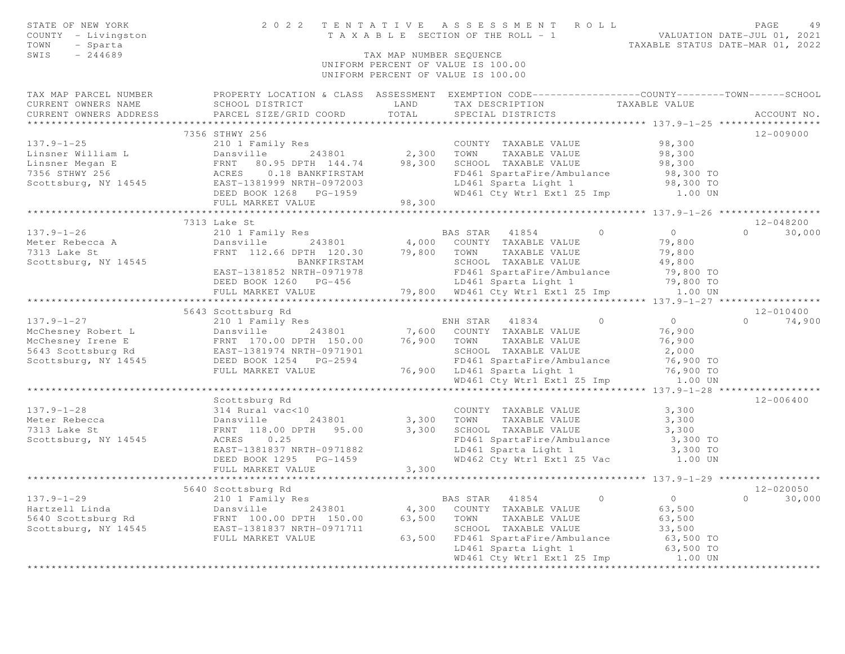| STATE OF NEW YORK<br>COUNTY - Livingston<br>TOWN - Sparta<br>SWIS - 244689                                                                                                                                                        |                    |       | 2022 TENTATIVE ASSESSMENT ROLL PAGE 49<br>TAXABLE SECTION OF THE ROLL - 1 VALUATION DATE-JUL 01, 2021<br>TAXABLE STATUS DATE-MAR 01, 2022<br>TAX MAP NUMBER SEQUENCE<br>UNIFORM PERCENT OF VALUE IS 100.00<br>UNIFORM PERCENT OF VALUE IS 100.00 |                                                |               |
|-----------------------------------------------------------------------------------------------------------------------------------------------------------------------------------------------------------------------------------|--------------------|-------|--------------------------------------------------------------------------------------------------------------------------------------------------------------------------------------------------------------------------------------------------|------------------------------------------------|---------------|
| TAX MAP PARCEL NUMBER          PROPERTY LOCATION & CLASS ASSESSMENT EXEMPTION CODE----------------COUNTY-------TOWN------SCHOOL CURRENT OWNERS NAME                SCHOOL DISTRICT              LAND      TAX DESCRIPTION         |                    |       |                                                                                                                                                                                                                                                  |                                                |               |
|                                                                                                                                                                                                                                   |                    |       | LAND TAX DESCRIPTION TAXABLE VALUE                                                                                                                                                                                                               |                                                |               |
| CURRENT OWNERS ADDRESS PARCEL SIZE/GRID COORD                                                                                                                                                                                     |                    | TOTAL | SPECIAL DISTRICTS                                                                                                                                                                                                                                |                                                | ACCOUNT NO.   |
|                                                                                                                                                                                                                                   |                    |       |                                                                                                                                                                                                                                                  |                                                |               |
|                                                                                                                                                                                                                                   | 7356 STHWY 256     |       |                                                                                                                                                                                                                                                  |                                                | 12-009000     |
|                                                                                                                                                                                                                                   |                    |       |                                                                                                                                                                                                                                                  |                                                |               |
|                                                                                                                                                                                                                                   |                    |       |                                                                                                                                                                                                                                                  |                                                |               |
|                                                                                                                                                                                                                                   |                    |       |                                                                                                                                                                                                                                                  |                                                |               |
|                                                                                                                                                                                                                                   |                    |       |                                                                                                                                                                                                                                                  |                                                |               |
|                                                                                                                                                                                                                                   |                    |       |                                                                                                                                                                                                                                                  |                                                |               |
|                                                                                                                                                                                                                                   |                    |       |                                                                                                                                                                                                                                                  |                                                |               |
|                                                                                                                                                                                                                                   |                    |       |                                                                                                                                                                                                                                                  |                                                |               |
|                                                                                                                                                                                                                                   |                    |       |                                                                                                                                                                                                                                                  |                                                | 12-048200     |
|                                                                                                                                                                                                                                   |                    |       |                                                                                                                                                                                                                                                  |                                                | $0 \t 30,000$ |
|                                                                                                                                                                                                                                   |                    |       |                                                                                                                                                                                                                                                  |                                                |               |
|                                                                                                                                                                                                                                   |                    |       |                                                                                                                                                                                                                                                  |                                                |               |
|                                                                                                                                                                                                                                   |                    |       |                                                                                                                                                                                                                                                  |                                                |               |
|                                                                                                                                                                                                                                   |                    |       |                                                                                                                                                                                                                                                  |                                                |               |
|                                                                                                                                                                                                                                   | FULL MARKET VALUE  |       | 79,800 WD461 Cty Wtr1 Ext1 Z5 Imp 1.00 UN                                                                                                                                                                                                        |                                                |               |
|                                                                                                                                                                                                                                   |                    |       |                                                                                                                                                                                                                                                  | **************** 137.9-1-27 ****************** |               |
|                                                                                                                                                                                                                                   |                    |       |                                                                                                                                                                                                                                                  |                                                | 12-010400     |
|                                                                                                                                                                                                                                   |                    |       |                                                                                                                                                                                                                                                  |                                                | $0 \t 74,900$ |
|                                                                                                                                                                                                                                   |                    |       |                                                                                                                                                                                                                                                  |                                                |               |
|                                                                                                                                                                                                                                   |                    |       |                                                                                                                                                                                                                                                  |                                                |               |
|                                                                                                                                                                                                                                   |                    |       |                                                                                                                                                                                                                                                  |                                                |               |
|                                                                                                                                                                                                                                   |                    |       |                                                                                                                                                                                                                                                  |                                                |               |
|                                                                                                                                                                                                                                   |                    |       |                                                                                                                                                                                                                                                  |                                                |               |
| 5643 Scottsburg Rd 5643 Scottsburg Rd 210 1 Family Res 243801 7,600 COUNTY TAXABLE VALUE 76,900<br>McChesney Robert L Danswille 243801 7,600 COUNTY TAXABLE VALUE 76,900<br>McChesney Irene E FRNT 170.00 DPTH 150.00 76,900 TOWN |                    |       |                                                                                                                                                                                                                                                  |                                                |               |
|                                                                                                                                                                                                                                   | Scottsburg Rd      |       |                                                                                                                                                                                                                                                  |                                                | 12-006400     |
| $137.9 - 1 - 28$                                                                                                                                                                                                                  |                    |       |                                                                                                                                                                                                                                                  |                                                |               |
|                                                                                                                                                                                                                                   |                    |       |                                                                                                                                                                                                                                                  |                                                |               |
| Meter Rebecca<br>7313 Lake St                                                                                                                                                                                                     |                    |       |                                                                                                                                                                                                                                                  |                                                |               |
| Scottsburg, NY 14545                                                                                                                                                                                                              |                    |       |                                                                                                                                                                                                                                                  |                                                |               |
|                                                                                                                                                                                                                                   |                    |       |                                                                                                                                                                                                                                                  |                                                |               |
|                                                                                                                                                                                                                                   |                    |       | 314 Rural vac<10<br>Dansville 243801 3,300 TOWN TAXABLE VALUE 3,300<br>FRNT 118.00 DPTH 95.00 3,300 SCHOOL TAXABLE VALUE 3,300<br>ACRES 0.25<br>EAST-1381837 NRTH-0971882 LD461 SpartaFire/Ambulance 3,300 TO<br>DEED BOOK 1295 PG-1459          |                                                |               |
|                                                                                                                                                                                                                                   | FULL MARKET VALUE  | 3,300 |                                                                                                                                                                                                                                                  |                                                |               |
|                                                                                                                                                                                                                                   |                    |       |                                                                                                                                                                                                                                                  |                                                |               |
|                                                                                                                                                                                                                                   | 5640 Scottsburg Rd |       |                                                                                                                                                                                                                                                  |                                                | 12-020050     |
|                                                                                                                                                                                                                                   |                    |       | BAS STAR 41854 0                                                                                                                                                                                                                                 | $0$<br>63,500                                  | $0 \t 30,000$ |
|                                                                                                                                                                                                                                   |                    |       |                                                                                                                                                                                                                                                  |                                                |               |
|                                                                                                                                                                                                                                   |                    |       |                                                                                                                                                                                                                                                  |                                                |               |
|                                                                                                                                                                                                                                   | FULL MARKET VALUE  |       |                                                                                                                                                                                                                                                  |                                                |               |
|                                                                                                                                                                                                                                   |                    |       | 150.00 63,500 TOWN TAXABLE VALUE<br>53,500 SCHOOL TAXABLE VALUE 33,500 TO<br>63,500 FD461 SpartaFire/Ambulance 63,500 TO<br>53,500 TO<br>53,500 TO<br>53,500 TO<br>53,500 TO                                                                     |                                                |               |
|                                                                                                                                                                                                                                   |                    |       | WD461 Cty Wtr1 Ext1 Z5 Imp 1.00 UN                                                                                                                                                                                                               |                                                |               |
|                                                                                                                                                                                                                                   |                    |       |                                                                                                                                                                                                                                                  |                                                |               |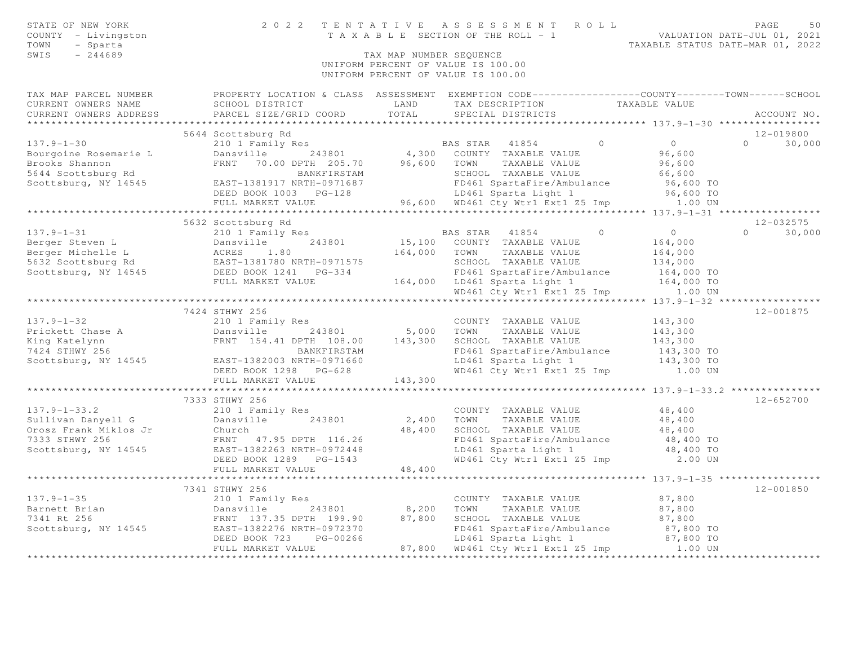| STATE OF NEW YORK<br>COUNTY - Livingston<br>TOWN<br>- Sparta<br>SWIS<br>$-244689$ |                                                                                                                                                                                                                                                                            |                 | 2022 TENTATIVE ASSESSMENT ROLL<br>T A X A B L E SECTION OF THE ROLL - 1<br>T A X A B L E SECTION OF THE ROLL - 1<br>TAXABLE STATUS DATE-MAR 01, 2022<br>TAX MAP NUMBER SEQUENCE<br>UNIFORM PERCENT OF VALUE IS 100.00<br>UNIFORM PERCENT OF VALUE IS 100.00 |                              |                    |  |
|-----------------------------------------------------------------------------------|----------------------------------------------------------------------------------------------------------------------------------------------------------------------------------------------------------------------------------------------------------------------------|-----------------|-------------------------------------------------------------------------------------------------------------------------------------------------------------------------------------------------------------------------------------------------------------|------------------------------|--------------------|--|
|                                                                                   | TAX MAP PARCEL NUMBER FROPERTY LOCATION & CLASS ASSESSMENT EXEMPTION CODE---------------COUNTY-------TOWN------SCHOOL                                                                                                                                                      |                 |                                                                                                                                                                                                                                                             |                              |                    |  |
| CURRENT OWNERS NAME                                                               | SCHOOL DISTRICT                                                                                                                                                                                                                                                            | LAND            | TAX DESCRIPTION TAXABLE VALUE                                                                                                                                                                                                                               |                              |                    |  |
| CURRENT OWNERS ADDRESS                                                            | PARCEL SIZE/GRID COORD TOTAL                                                                                                                                                                                                                                               |                 | SPECIAL DISTRICTS                                                                                                                                                                                                                                           |                              | ACCOUNT NO.        |  |
|                                                                                   | 5644 Scottsburg Rd                                                                                                                                                                                                                                                         |                 |                                                                                                                                                                                                                                                             |                              | 12-019800          |  |
| $137.9 - 1 - 30$                                                                  | 210 1 Family Res                                                                                                                                                                                                                                                           |                 | BAS STAR 41854                                                                                                                                                                                                                                              | $\overline{0}$<br>$\bigcirc$ | $0 \t 30,000$      |  |
| Bourgoine Rosemarie L                                                             | Dansville 243801                                                                                                                                                                                                                                                           |                 | $4,300$ COUNTY TAXABLE VALUE                                                                                                                                                                                                                                | 96,600                       |                    |  |
| Brooks Shannon                                                                    | FRNT 70.00 DPTH 205.70 96,600 TOWN TAXABLE VALUE                                                                                                                                                                                                                           |                 |                                                                                                                                                                                                                                                             | 96,600                       |                    |  |
|                                                                                   | 5644 Scottsburg Rd 5644 Scottsburg, NY 14545<br>SAST-1381917 NRTH-0971687                                                                                                                                                                                                  |                 | SCHOOL TAXABLE VALUE                                                                                                                                                                                                                                        | 66,600                       |                    |  |
|                                                                                   |                                                                                                                                                                                                                                                                            |                 | FD461 SpartaFire/Ambulance                                                                                                                                                                                                                                  | 96,600 TO                    |                    |  |
|                                                                                   |                                                                                                                                                                                                                                                                            |                 | LD461 Sparta Light 1                                                                                                                                                                                                                                        | 96,600 TO                    |                    |  |
|                                                                                   | FULL MARKET VALUE                                                                                                                                                                                                                                                          |                 | 96,600 WD461 Cty Wtrl Ext1 Z5 Imp 1.00 UN                                                                                                                                                                                                                   |                              |                    |  |
|                                                                                   |                                                                                                                                                                                                                                                                            |                 |                                                                                                                                                                                                                                                             |                              |                    |  |
|                                                                                   | 5632 Scottsburg Rd                                                                                                                                                                                                                                                         |                 |                                                                                                                                                                                                                                                             |                              | 12-032575          |  |
| $137.9 - 1 - 31$                                                                  | 210 1 Family Res                                                                                                                                                                                                                                                           |                 | BAS STAR 41854                                                                                                                                                                                                                                              | $\overline{0}$<br>$\Omega$   | $\Omega$<br>30,000 |  |
|                                                                                   |                                                                                                                                                                                                                                                                            |                 | 15,100 COUNTY TAXABLE VALUE                                                                                                                                                                                                                                 | 164,000                      |                    |  |
|                                                                                   |                                                                                                                                                                                                                                                                            | 164,000 TOWN    | TAXABLE VALUE                                                                                                                                                                                                                                               | 164,000                      |                    |  |
|                                                                                   |                                                                                                                                                                                                                                                                            |                 | SCHOOL TAXABLE VALUE                                                                                                                                                                                                                                        | 134,000                      |                    |  |
|                                                                                   |                                                                                                                                                                                                                                                                            |                 | FD461 SpartaFire/Ambulance                                                                                                                                                                                                                                  | 164,000 TO                   |                    |  |
|                                                                                   | 137.9-1-31 210 1 Family Res<br>Berger Steven L Dansville 243801 15,100<br>Berger Michelle L ACRES 1.80 164,000<br>5632 Scottsburg Rd EAST-1381780 NRTH-0971575<br>Scottsburg, NY 14545 DEED BOOK 1241 PG-334<br>FULL MARKET VALUE 164,00                                   |                 | 164,000 LD461 Sparta Light 1                                                                                                                                                                                                                                | 164,000 TO                   |                    |  |
|                                                                                   |                                                                                                                                                                                                                                                                            |                 | WD461 Cty Wtr1 Ext1 Z5 Imp                                                                                                                                                                                                                                  | 1.00 UN                      |                    |  |
|                                                                                   |                                                                                                                                                                                                                                                                            |                 |                                                                                                                                                                                                                                                             |                              |                    |  |
| $137.9 - 1 - 32$                                                                  | 7424 STHWY 256                                                                                                                                                                                                                                                             |                 |                                                                                                                                                                                                                                                             |                              | 12-001875          |  |
|                                                                                   | 210 1 Family Res                                                                                                                                                                                                                                                           | 5,000 TOWN      | COUNTY TAXABLE VALUE<br>TAXABLE VALUE                                                                                                                                                                                                                       | 143,300<br>143,300           |                    |  |
|                                                                                   | Prickett Chase A<br>Erickett Chase A<br>Tensor is the passible that the 243801<br>FRNT 154.41 DPTH 108.00<br>TENT 154.41 DPTH 108.00<br>BANKFIRSTAM<br>Scottsburg, NY 14545<br>EAST-1382003 NRTH-0971660<br>PC-628<br>FRNT 154.41 DPTH 108.00 143,300 SCHOOL TAXABLE VALUE |                 |                                                                                                                                                                                                                                                             | 143,300                      |                    |  |
|                                                                                   |                                                                                                                                                                                                                                                                            |                 | FD461 SpartaFire/Ambulance                                                                                                                                                                                                                                  | 143,300 TO                   |                    |  |
|                                                                                   |                                                                                                                                                                                                                                                                            |                 | LD461 Sparta Light 1                                                                                                                                                                                                                                        | 143,300 TO                   |                    |  |
|                                                                                   | DEED BOOK 1298 PG-628                                                                                                                                                                                                                                                      |                 | WD461 Cty Wtr1 Ext1 Z5 Imp                                                                                                                                                                                                                                  | 1.00 UN                      |                    |  |
|                                                                                   | FULL MARKET VALUE                                                                                                                                                                                                                                                          | 143,300         |                                                                                                                                                                                                                                                             |                              |                    |  |
|                                                                                   |                                                                                                                                                                                                                                                                            |                 |                                                                                                                                                                                                                                                             |                              |                    |  |
|                                                                                   | 7333 STHWY 256                                                                                                                                                                                                                                                             |                 |                                                                                                                                                                                                                                                             |                              | $12 - 652700$      |  |
| $137.9 - 1 - 33.2$                                                                | 210 1 Family Res                                                                                                                                                                                                                                                           |                 | COUNTY TAXABLE VALUE                                                                                                                                                                                                                                        | 48,400                       |                    |  |
| Sullivan Danyell G                                                                | Dansville 243801                                                                                                                                                                                                                                                           |                 | 2,400 TOWN<br>TAXABLE VALUE                                                                                                                                                                                                                                 | 48,400                       |                    |  |
| Orosz Frank Miklos Jr<br>7333 STHWY 256                                           | Church                                                                                                                                                                                                                                                                     | 48,400          | SCHOOL TAXABLE VALUE                                                                                                                                                                                                                                        | 48,400                       |                    |  |
|                                                                                   | FRNT 47.95 DPTH 116.26                                                                                                                                                                                                                                                     |                 | FD461 SpartaFire/Ambulance                                                                                                                                                                                                                                  | 48,400 TO                    |                    |  |
| Scottsburg, NY 14545                                                              | EAST-1382263 NRTH-0972448                                                                                                                                                                                                                                                  |                 | LD461 Sparta Light 1                                                                                                                                                                                                                                        | 48,400 TO                    |                    |  |
|                                                                                   | DEED BOOK 1289 PG-1543                                                                                                                                                                                                                                                     |                 | WD461 Cty Wtr1 Ext1 Z5 Imp 2.00 UN                                                                                                                                                                                                                          |                              |                    |  |
|                                                                                   | FULL MARKET VALUE                                                                                                                                                                                                                                                          | 48,400          |                                                                                                                                                                                                                                                             |                              |                    |  |
|                                                                                   |                                                                                                                                                                                                                                                                            |                 |                                                                                                                                                                                                                                                             |                              |                    |  |
|                                                                                   | 7341 STHWY 256                                                                                                                                                                                                                                                             |                 |                                                                                                                                                                                                                                                             |                              | 12-001850          |  |
| $137.9 - 1 - 35$                                                                  | 210 1 Family Res                                                                                                                                                                                                                                                           |                 | COUNTY TAXABLE VALUE<br>TOWN                                                                                                                                                                                                                                | 87,800<br>87,800             |                    |  |
|                                                                                   |                                                                                                                                                                                                                                                                            | 8,200<br>87,800 | TAXABLE VALUE<br>SCHOOL TAXABLE VALUE                                                                                                                                                                                                                       | 87,800                       |                    |  |
|                                                                                   | Barnett Brian<br>7341 Rt 256<br>Scottsburg, NY 14545<br>EAST-1382276 NRTH-0972370<br>PAST-1382276 NRTH-0972370                                                                                                                                                             |                 | FD461 SpartaFire/Ambulance                                                                                                                                                                                                                                  | 87,800 TO                    |                    |  |
|                                                                                   | DEED BOOK 723<br>PG-00266                                                                                                                                                                                                                                                  |                 | LD461 Sparta Light 1                                                                                                                                                                                                                                        | 87,800 TO                    |                    |  |
|                                                                                   | FULL MARKET VALUE                                                                                                                                                                                                                                                          |                 | 87,800 WD461 Cty Wtr1 Ext1 Z5 Imp 1.00 UN                                                                                                                                                                                                                   |                              |                    |  |
|                                                                                   |                                                                                                                                                                                                                                                                            |                 |                                                                                                                                                                                                                                                             |                              |                    |  |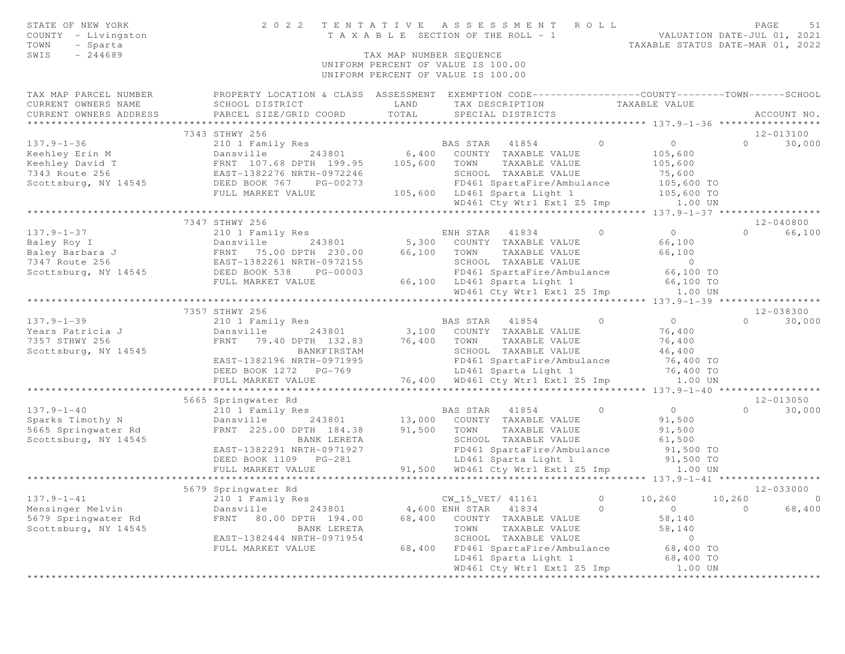| STATE OF NEW YORK<br>COUNTY - Livingston<br>TOWN<br>- Sparta<br>$-244689$<br>SWIS                          | TENTATIVE ASSESSMENT ROLL<br>2 0 2 2<br>T A X A B L E SECTION OF THE ROLL - 1<br>TAX MAP NUMBER SEQUENCE<br>UNIFORM PERCENT OF VALUE IS 100.00<br>UNIFORM PERCENT OF VALUE IS 100.00 |                  | PAGE<br>51<br>VALUATION DATE-JUL 01, 2021<br>TAXABLE STATUS DATE-MAR 01, 2022                                                                                                                            |                               |                                                                         |                    |               |
|------------------------------------------------------------------------------------------------------------|--------------------------------------------------------------------------------------------------------------------------------------------------------------------------------------|------------------|----------------------------------------------------------------------------------------------------------------------------------------------------------------------------------------------------------|-------------------------------|-------------------------------------------------------------------------|--------------------|---------------|
| TAX MAP PARCEL NUMBER<br>CURRENT OWNERS NAME<br>CURRENT OWNERS ADDRESS                                     | PROPERTY LOCATION & CLASS ASSESSMENT EXEMPTION CODE---------------COUNTY-------TOWN-----SCHOOL<br>SCHOOL DISTRICT<br>PARCEL SIZE/GRID COORD                                          | LAND<br>TOTAL    | TAX DESCRIPTION<br>SPECIAL DISTRICTS                                                                                                                                                                     |                               | TAXABLE VALUE                                                           |                    | ACCOUNT NO.   |
|                                                                                                            |                                                                                                                                                                                      |                  |                                                                                                                                                                                                          |                               |                                                                         |                    |               |
|                                                                                                            | 7343 STHWY 256                                                                                                                                                                       |                  |                                                                                                                                                                                                          |                               |                                                                         |                    | 12-013100     |
| $137.9 - 1 - 36$<br>137.9-1-50<br>Keehley Erin M<br>Asvid T<br>7343 Route 256<br>Scottsburg, NY 14545      | 210 1 Family Res<br>Dansville<br>243801<br>FRNT 107.68 DPTH 199.95<br>EAST-1382276 NRTH-0972246<br>DEED BOOK 767<br>PG-00273<br>FULL MARKET VALUE                                    | 105,600          | BAS STAR 41854<br>6,400 COUNTY TAXABLE VALUE<br>TOWN<br>TAXABLE VALUE<br>SCHOOL TAXABLE VALUE<br>FD461 SpartaFire/Ambulance<br>105,600 LD461 Sparta Light 1                                              | $\bigcirc$                    | 0<br>105,600<br>105,600<br>75,600<br>105,600 TO<br>105,600 TO           | $\Omega$           | 30,000        |
|                                                                                                            |                                                                                                                                                                                      |                  | WD461 Cty Wtr1 Ext1 Z5 Imp 1.00 UN                                                                                                                                                                       |                               |                                                                         |                    |               |
|                                                                                                            | 7347 STHWY 256                                                                                                                                                                       |                  |                                                                                                                                                                                                          |                               |                                                                         |                    | 12-040800     |
| $137.9 - 1 - 37$<br>Baley Roy I<br>Baley Barbara J<br>7347 Route 256<br>Scottsburg, NY 14545 DEED BOOK 538 | 210 1 Family Res<br>Dansville<br>243801<br>FRNT 75.00 DPTH 230.00 66,100<br>EAST-1382261 NRTH-0972155<br>PG-00003<br>FULL MARKET VALUE                                               |                  | ENH STAR 41834<br>5,300 COUNTY TAXABLE VALUE<br>TOWN<br>TAXABLE VALUE<br>SCHOOL TAXABLE VALUE<br>FD461 SpartaFire/Ambulance<br>66,100 LD461 Sparta Light 1                                               | $\circ$                       | $\overline{0}$<br>66,100<br>66,100<br>$\circ$<br>66,100 TO<br>66,100 TO | $\Omega$           | 66,100        |
|                                                                                                            |                                                                                                                                                                                      |                  | WD461 Cty Wtr1 Ext1 Z5 Imp                                                                                                                                                                               |                               | 1.00 UN                                                                 |                    |               |
|                                                                                                            | 7357 STHWY 256                                                                                                                                                                       |                  |                                                                                                                                                                                                          |                               |                                                                         |                    | 12-038300     |
| $137.9 - 1 - 39$                                                                                           | 210 1 Family Res                                                                                                                                                                     |                  | BAS STAR 41854                                                                                                                                                                                           | $\circ$                       | $\overline{0}$                                                          | $\Omega$           | 30,000        |
| Years Patricia J<br>7357 STHWY 256<br>Scottsburg, NY 14545                                                 | 243801<br>Dansville<br>FRNT 79.40 DPTH 132.83 76,400<br>BANKFIRSTAM<br>EAST-1382196 NRTH-0971995<br>DEED BOOK 1272 PG-769<br>FULL MARKET VALUE                                       |                  | 3,100 COUNTY TAXABLE VALUE<br>TOWN<br>TAXABLE VALUE<br>SCHOOL TAXABLE VALUE<br>FD461 SpartaFire/Ambulance<br>LD461 Sparta Light 1<br>76,400 WD461 Cty Wtr1 Ext1 Z5 Imp 1.00 UN                           |                               | 76,400<br>76,400<br>46,400<br>76,400 TO<br>76,400 TO                    |                    |               |
|                                                                                                            |                                                                                                                                                                                      |                  |                                                                                                                                                                                                          |                               |                                                                         |                    |               |
|                                                                                                            | 5665 Springwater Rd                                                                                                                                                                  |                  |                                                                                                                                                                                                          |                               |                                                                         |                    | 12-013050     |
| $137.9 - 1 - 40$<br>Sparks Timothy N<br>5665 Springwater Rd<br>Scottsburg, NY 14545                        | 210 1 Family Res<br>Dansville<br>FRNT 225.00 DPTH 184.38<br>BANK LERETA<br>EAST-1382291 NRTH-0971927<br>DEED BOOK 1109 PG-281<br>FULL MARKET VALUE                                   | 91,500           | BAS STAR 41854<br>243801 13,000 COUNTY TAXABLE VALUE<br>TOWN<br>TAXABLE VALUE<br>SCHOOL TAXABLE VALUE<br>FD461 SpartaFire/Ambulance<br>LD461 Sparta Light 1<br>91,500 WD461 Cty Wtr1 Ext1 Z5 Imp 1.00 UN | $\circ$                       | $\overline{0}$<br>91,500<br>91,500<br>61,500<br>91,500 TO<br>91,500 TO  |                    | $0 \t 30,000$ |
|                                                                                                            |                                                                                                                                                                                      |                  |                                                                                                                                                                                                          |                               |                                                                         |                    |               |
|                                                                                                            | 5679 Springwater Rd                                                                                                                                                                  |                  |                                                                                                                                                                                                          |                               |                                                                         |                    | 12-033000     |
| $137.9 - 1 - 41$<br>Mensinger Melvin<br>5679 Springwater Rd<br>Scottsburg, NY 14545                        | 210 1 Family Res<br>Dansville<br>243801<br>FRNT<br>80.00 DPTH 194.00<br>BANK LERETA<br>EAST-1382444 NRTH-0971954<br>FULL MARKET VALUE                                                | 68,400<br>68,400 | CW_15_VET/ 41161<br>4,600 ENH STAR<br>41834<br>COUNTY TAXABLE VALUE<br>TOWN<br>TAXABLE VALUE<br>SCHOOL TAXABLE VALUE<br>FD461 SpartaFire/Ambulance<br>LD461 Sparta Light 1                               | $0 \t 10,260$<br>$\mathbf{0}$ | $\circ$<br>58,140<br>58,140<br>$\circ$<br>68,400 TO<br>68,400 TO        | 10,260<br>$\Omega$ | 68,400        |
|                                                                                                            | ************************************                                                                                                                                                 |                  | WD461 Cty Wtr1 Ext1 Z5 Imp                                                                                                                                                                               |                               | 1.00 UN                                                                 |                    |               |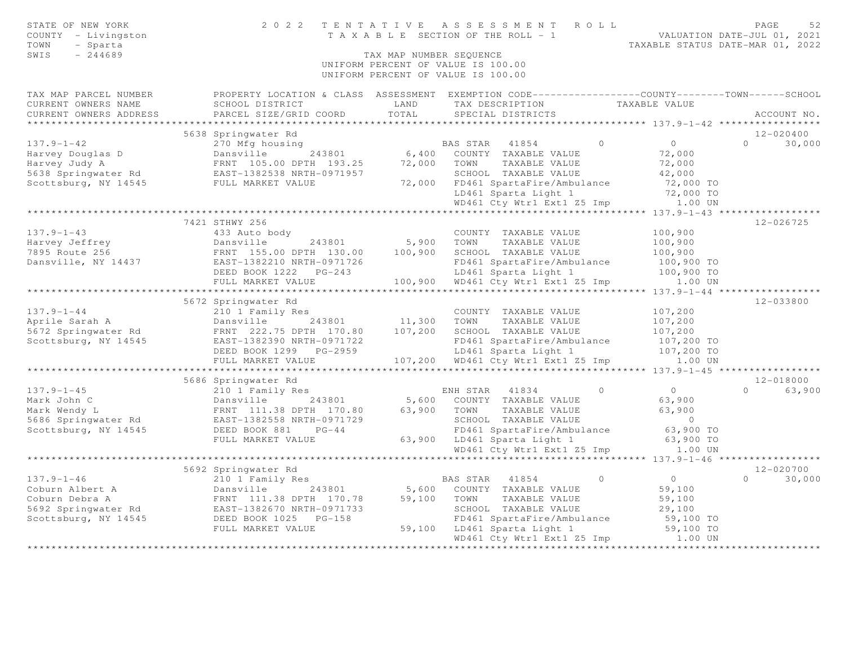| STATE OF NEW YORK<br>COUNTY - Livingston<br>TOWN<br>- Sparta<br>SWIS<br>$-244689$ | 2 0 2 2                                                                                          | TAX MAP NUMBER SEQUENCE | TENTATIVE ASSESSMENT ROLL<br>T A X A B L E SECTION OF THE ROLL - 1<br>UNIFORM PERCENT OF VALUE IS 100.00<br>UNIFORM PERCENT OF VALUE IS 100.00 |                            | PAGE<br>52<br>VALUATION DATE-JUL 01, 2021<br>TAXABLE STATUS DATE-MAR 01, 2022 |
|-----------------------------------------------------------------------------------|--------------------------------------------------------------------------------------------------|-------------------------|------------------------------------------------------------------------------------------------------------------------------------------------|----------------------------|-------------------------------------------------------------------------------|
| TAX MAP PARCEL NUMBER                                                             | PROPERTY LOCATION & CLASS ASSESSMENT EXEMPTION CODE----------------COUNTY-------TOWN------SCHOOL |                         |                                                                                                                                                |                            |                                                                               |
| CURRENT OWNERS NAME                                                               | SCHOOL DISTRICT                                                                                  | LAND                    | TAX DESCRIPTION                                                                                                                                | TAXABLE VALUE              |                                                                               |
| CURRENT OWNERS ADDRESS                                                            | PARCEL SIZE/GRID COORD                                                                           | TOTAL                   | SPECIAL DISTRICTS                                                                                                                              |                            | ACCOUNT NO.                                                                   |
|                                                                                   |                                                                                                  |                         |                                                                                                                                                |                            |                                                                               |
| $137.9 - 1 - 42$                                                                  | 5638 Springwater Rd                                                                              |                         |                                                                                                                                                | $\circ$<br>$\bigcap$       | $12 - 020400$<br>$\Omega$<br>30,000                                           |
|                                                                                   | 270 Mfg housing<br>243801<br>Dansville                                                           | 6,400                   | BAS STAR 41854                                                                                                                                 | 72,000                     |                                                                               |
| Harvey Douglas D<br>Harvey Judy A                                                 | FRNT 105.00 DPTH 193.25                                                                          | 72,000                  | COUNTY TAXABLE VALUE<br>TOWN<br>TAXABLE VALUE                                                                                                  | 72,000                     |                                                                               |
| 5638 Springwater Rd                                                               | EAST-1382538 NRTH-0971957                                                                        |                         | SCHOOL TAXABLE VALUE                                                                                                                           | 42,000                     |                                                                               |
| Scottsburg, NY 14545 FULL MARKET VALUE                                            |                                                                                                  | 72,000                  | FD461 SpartaFire/Ambulance                                                                                                                     | 72,000 TO                  |                                                                               |
|                                                                                   |                                                                                                  |                         | LD461 Sparta Light 1                                                                                                                           | 72,000 TO                  |                                                                               |
|                                                                                   |                                                                                                  |                         | WD461 Cty Wtr1 Ext1 Z5 Imp                                                                                                                     | 1.00 UN                    |                                                                               |
|                                                                                   |                                                                                                  |                         | ************************************** 137.9-1-43 *****************                                                                            |                            |                                                                               |
|                                                                                   | 7421 STHWY 256                                                                                   |                         |                                                                                                                                                |                            | 12-026725                                                                     |
| $137.9 - 1 - 43$                                                                  | 433 Auto body                                                                                    |                         | COUNTY TAXABLE VALUE                                                                                                                           | 100,900                    |                                                                               |
| Harvey Jeffrey                                                                    | 243801<br>Dansville                                                                              | 5,900                   | TOWN<br>TAXABLE VALUE                                                                                                                          | 100,900                    |                                                                               |
| 7895 Route 256                                                                    | FRNT 155.00 DPTH 130.00 100,900                                                                  |                         | SCHOOL TAXABLE VALUE                                                                                                                           | 100,900                    |                                                                               |
| Dansville, NY 14437                                                               | EAST-1382210 NRTH-0971726                                                                        |                         | FD461 SpartaFire/Ambulance                                                                                                                     | 100,900 TO                 |                                                                               |
|                                                                                   | DEED BOOK 1222 PG-243                                                                            |                         | LD461 Sparta Light 1                                                                                                                           | 100,900 TO                 |                                                                               |
|                                                                                   | FULL MARKET VALUE                                                                                |                         | 100,900 WD461 Cty Wtr1 Ext1 Z5 Imp 1.00 UN                                                                                                     |                            |                                                                               |
|                                                                                   |                                                                                                  |                         |                                                                                                                                                |                            |                                                                               |
|                                                                                   | 5672 Springwater Rd                                                                              |                         |                                                                                                                                                |                            | 12-033800                                                                     |
| $137.9 - 1 - 44$                                                                  | 210 1 Family Res                                                                                 |                         | COUNTY TAXABLE VALUE                                                                                                                           | 107,200                    |                                                                               |
| Aprile Sarah A                                                                    | Dansville 243801                                                                                 | 11,300                  | TOWN<br>TAXABLE VALUE                                                                                                                          | 107,200                    |                                                                               |
| 5672 Springwater Rd                                                               | FRNT 222.75 DPTH 170.80                                                                          | 107,200                 | SCHOOL TAXABLE VALUE                                                                                                                           | 107,200                    |                                                                               |
| Scottsburg, NY 14545                                                              | EAST-1382390 NRTH-0971722                                                                        |                         | FD461 SpartaFire/Ambulance                                                                                                                     | 107,200 TO                 |                                                                               |
|                                                                                   | DEED BOOK 1299 PG-2959<br>FULL MARKET VALUE                                                      |                         | LD461 Sparta Light 1                                                                                                                           | 107,200 TO<br>1.00 UN      |                                                                               |
|                                                                                   |                                                                                                  |                         | 107,200 WD461 Cty Wtr1 Ext1 Z5 Imp                                                                                                             | **** 137.9-1-45 ***        | *************                                                                 |
|                                                                                   | 5686 Springwater Rd                                                                              |                         |                                                                                                                                                |                            | $12 - 018000$                                                                 |
| $137.9 - 1 - 45$                                                                  | 210 1 Family Res                                                                                 |                         | ENH STAR 41834                                                                                                                                 | $\Omega$<br>$\overline{0}$ | $\Omega$<br>63,900                                                            |
| Mark John C                                                                       | Dansville<br>243801                                                                              |                         | 5,600 COUNTY TAXABLE VALUE                                                                                                                     | 63,900                     |                                                                               |
| Mark Wendy L                                                                      | FRNT 111.38 DPTH 170.80                                                                          | 63,900                  | TOWN<br>TAXABLE VALUE                                                                                                                          | 63,900                     |                                                                               |
| 5686 Springwater Rd                                                               | EAST-1382558 NRTH-0971729                                                                        |                         | SCHOOL TAXABLE VALUE                                                                                                                           | $\overline{0}$             |                                                                               |
| Scottsburg, NY 14545                                                              | DEED BOOK 881<br>$PG-44$                                                                         |                         | FD461 SpartaFire/Ambulance                                                                                                                     | 63,900 TO                  |                                                                               |
|                                                                                   | FULL MARKET VALUE                                                                                |                         | 63,900 LD461 Sparta Light 1                                                                                                                    | 63,900 TO                  |                                                                               |
|                                                                                   |                                                                                                  |                         | WD461 Cty Wtr1 Ext1 Z5 Imp                                                                                                                     | 1.00 UN                    |                                                                               |
|                                                                                   |                                                                                                  |                         | **************************************9-1-46 ******                                                                                            |                            |                                                                               |
|                                                                                   | 5692 Springwater Rd                                                                              |                         |                                                                                                                                                |                            | 12-020700                                                                     |
| $137.9 - 1 - 46$                                                                  | 210 1 Family Res                                                                                 |                         | BAS STAR 41854                                                                                                                                 | $\overline{0}$<br>$\Omega$ | 30,000<br>$\cap$                                                              |
| Coburn Albert A                                                                   | Dansville<br>243801                                                                              | 5,600                   | COUNTY TAXABLE VALUE                                                                                                                           | 59,100                     |                                                                               |
| Coburn Debra A                                                                    | FRNT 111.38 DPTH 170.78                                                                          | 59,100                  | TOWN<br>TAXABLE VALUE                                                                                                                          | 59,100                     |                                                                               |
| 5692 Springwater Rd                                                               | EAST-1382670 NRTH-0971733<br>DEED BOOK 1025 PG-158                                               |                         | SCHOOL TAXABLE VALUE                                                                                                                           | 29,100                     |                                                                               |
| Scottsburg, NY 14545                                                              |                                                                                                  |                         | FD461 SpartaFire/Ambulance                                                                                                                     | 59,100 TO                  |                                                                               |
|                                                                                   | FULL MARKET VALUE                                                                                |                         | 59,100 LD461 Sparta Light 1                                                                                                                    | 59,100 TO                  |                                                                               |
|                                                                                   |                                                                                                  |                         | WD461 Cty Wtr1 Ext1 Z5 Imp                                                                                                                     | 1.00 UN                    |                                                                               |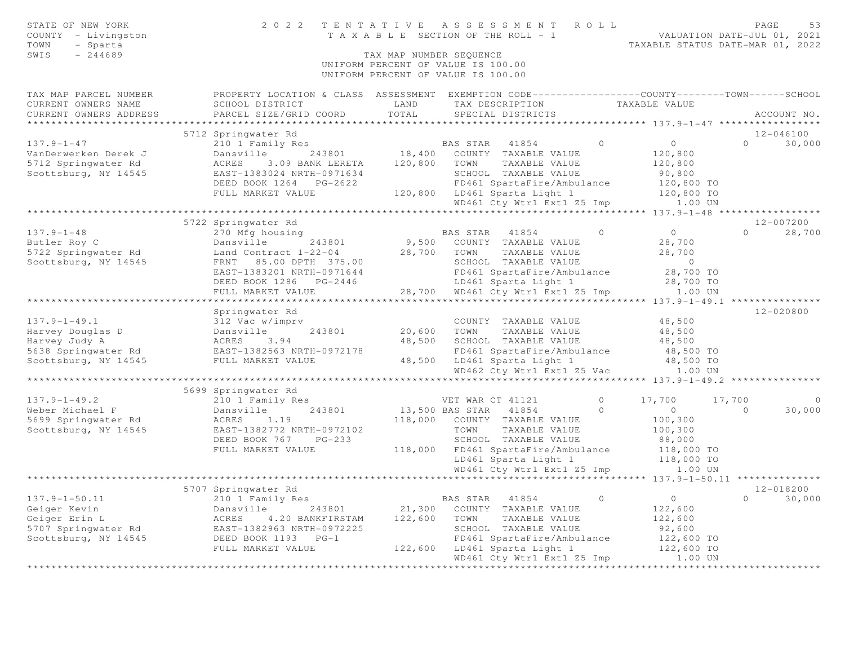| STATE OF NEW YORK<br>COUNTY - Livingston<br>- Sparta<br>TOWN<br>$-244689$<br>SWIS | 2022 TENTATIVE                                                                                                      | TAX MAP NUMBER SEQUENCE | ASSESSMENT ROLL<br>T A X A B L E SECTION OF THE ROLL - 1                 |         | VALUATION DATE-JUL 01, 2021<br>TAXABLE STATUS DATE-MAR 01, 2022 |          | PAGE<br>53     |
|-----------------------------------------------------------------------------------|---------------------------------------------------------------------------------------------------------------------|-------------------------|--------------------------------------------------------------------------|---------|-----------------------------------------------------------------|----------|----------------|
|                                                                                   |                                                                                                                     |                         | UNIFORM PERCENT OF VALUE IS 100.00<br>UNIFORM PERCENT OF VALUE IS 100.00 |         |                                                                 |          |                |
| TAX MAP PARCEL NUMBER<br>CURRENT OWNERS NAME                                      | PROPERTY LOCATION & CLASS ASSESSMENT EXEMPTION CODE----------------COUNTY-------TOWN------SCHOOL<br>SCHOOL DISTRICT | LAND                    | TAX DESCRIPTION TAXABLE VALUE                                            |         |                                                                 |          |                |
| CURRENT OWNERS ADDRESS                                                            | PARCEL SIZE/GRID COORD                                                                                              | TOTAL                   | SPECIAL DISTRICTS                                                        |         | ********************* 137.9-1-47 **********                     |          | ACCOUNT NO.    |
|                                                                                   | 5712 Springwater Rd                                                                                                 |                         |                                                                          |         |                                                                 |          | $12 - 046100$  |
| $137.9 - 1 - 47$                                                                  | 210 1 Family Res                                                                                                    |                         | BAS STAR 41854                                                           | $\circ$ | $\overline{0}$                                                  | $\Omega$ | 30,000         |
| VanDerwerken Derek J                                                              | Dansville                                                                                                           |                         | 243801 18,400 COUNTY TAXABLE VALUE                                       |         | 120,800                                                         |          |                |
| 5712 Springwater Rd                                                               | ACRES 3.09 BANK LERETA                                                                                              | 120,800                 | TOWN TAXABLE VALUE                                                       |         | 120,800                                                         |          |                |
| Scottsburg, NY 14545                                                              | EAST-1383024 NRTH-0971634                                                                                           |                         | SCHOOL TAXABLE VALUE                                                     |         | 90,800                                                          |          |                |
|                                                                                   | DEED BOOK 1264 PG-2622                                                                                              |                         | FD461 SpartaFire/Ambulance                                               |         | 120,800 TO                                                      |          |                |
|                                                                                   | FULL MARKET VALUE                                                                                                   |                         | 120,800 LD461 Sparta Light 1<br>WD461 Cty Wtr1 Ext1 Z5 Imp 1.00 UN       |         | 120,800 TO                                                      |          |                |
|                                                                                   |                                                                                                                     |                         |                                                                          |         |                                                                 |          |                |
|                                                                                   | 5722 Springwater Rd                                                                                                 |                         |                                                                          |         |                                                                 |          | 12-007200      |
| $137.9 - 1 - 48$                                                                  | 270 Mfg housing                                                                                                     |                         | BAS STAR 41854                                                           | $\circ$ | $\overline{0}$                                                  |          | $0 \t 28,700$  |
| Butler Roy C                                                                      | Dansville<br>243801                                                                                                 |                         | 9,500 COUNTY TAXABLE VALUE                                               |         | 28,700                                                          |          |                |
| 5722 Springwater Rd                                                               | Land Contract 1-22-04                                                                                               | 28,700                  | TOWN TAXABLE VALUE                                                       |         | 28,700                                                          |          |                |
| Scottsburg, NY 14545                                                              | FRNT 85.00 DPTH 375.00<br>EAST-1383201 NRTH-0971644                                                                 |                         | SCHOOL TAXABLE VALUE<br>FD461 SpartaFire/Ambulance                       |         | $\overline{0}$<br>28,700 TO                                     |          |                |
|                                                                                   | DEED BOOK 1286 PG-2446                                                                                              |                         | LD461 Sparta Light 1                                                     |         | 28,700 TO                                                       |          |                |
|                                                                                   | FULL MARKET VALUE                                                                                                   |                         | 28,700 WD461 Cty Wtr1 Ext1 Z5 Imp                                        |         | 1.00 UN                                                         |          |                |
|                                                                                   |                                                                                                                     |                         |                                                                          |         |                                                                 |          |                |
|                                                                                   | Springwater Rd                                                                                                      |                         |                                                                          |         |                                                                 |          | 12-020800      |
| $137.9 - 1 - 49.1$                                                                | 312 Vac w/imprv                                                                                                     |                         | COUNTY TAXABLE VALUE                                                     |         | 48,500                                                          |          |                |
| Harvey Douglas D                                                                  | Dansville<br>243801                                                                                                 | 20,600                  | TOWN<br>TAXABLE VALUE                                                    |         | 48,500                                                          |          |                |
| Harvey Judy A                                                                     | ACRES 3.94                                                                                                          | 48,500                  | SCHOOL TAXABLE VALUE                                                     |         | 48,500                                                          |          |                |
| 5638 Springwater Rd<br>Scottsburg, NY 14545                                       | EAST-1382563 NRTH-0972178<br>FULL MARKET VALUE                                                                      |                         | FD461 SpartaFire/Ambulance<br>48,500 LD461 Sparta Light 1                |         | 48,500 TO<br>48,500 TO                                          |          |                |
|                                                                                   |                                                                                                                     |                         | WD462 Cty Wtr1 Ext1 Z5 Vac                                               |         | 1.00 UN                                                         |          |                |
|                                                                                   |                                                                                                                     |                         |                                                                          |         |                                                                 |          |                |
|                                                                                   | 5699 Springwater Rd                                                                                                 |                         |                                                                          |         |                                                                 |          |                |
| $137.9 - 1 - 49.2$                                                                | 210 1 Family Res                                                                                                    |                         | VET WAR CT 41121                                                         | $\circ$ | 17,700                                                          | 17,700   | $\overline{0}$ |
| Weber Michael F                                                                   | 243801<br>Dansville                                                                                                 |                         | 13,500 BAS STAR 41854                                                    | $\circ$ | $\overline{0}$                                                  | $\Omega$ | 30,000         |
| 5699 Springwater Rd                                                               | ACRES<br>1.19                                                                                                       |                         | 118,000 COUNTY TAXABLE VALUE                                             |         | 100,300                                                         |          |                |
| Scottsburg, NY 14545                                                              | EAST-1382772 NRTH-0972102                                                                                           |                         | TOWN<br>TAXABLE VALUE                                                    |         | 100,300                                                         |          |                |
|                                                                                   | DEED BOOK 767<br>$PG-233$<br>FULL MARKET VALUE                                                                      |                         | SCHOOL TAXABLE VALUE<br>118,000 FD461 SpartaFire/Ambulance               |         | 88,000<br>118,000 TO                                            |          |                |
|                                                                                   |                                                                                                                     |                         | LD461 Sparta Light 1                                                     |         | 118,000 TO                                                      |          |                |
|                                                                                   |                                                                                                                     |                         | WD461 Cty Wtr1 Ext1 Z5 Imp                                               |         | 1.00 UN                                                         |          |                |
|                                                                                   |                                                                                                                     |                         |                                                                          |         | ****************** 137.9-1-50.11 **************                 |          |                |
|                                                                                   | 5707 Springwater Rd                                                                                                 |                         |                                                                          |         |                                                                 |          | 12-018200      |
| $137.9 - 1 - 50.11$                                                               | 210 1 Family Res                                                                                                    |                         | BAS STAR 41854                                                           | $\circ$ | $0 \qquad \qquad$                                               | $\Omega$ | 30,000         |
| Geiger Kevin                                                                      | 243801<br>Dansville                                                                                                 | 21,300                  | COUNTY TAXABLE VALUE                                                     |         | 122,600                                                         |          |                |
| Geiger Erin L                                                                     | ACRES 4.20 BANKFIRSTAM                                                                                              | 122,600                 | TOWN TAXABLE VALUE                                                       |         | 122,600                                                         |          |                |
| 5707 Springwater Rd                                                               | EAST-1382963 NRTH-0972225<br>DEED BOOK 1193    PG-1                                                                 |                         | SCHOOL TAXABLE VALUE                                                     |         | 92,600                                                          |          |                |
| Scottsburg, NY 14545                                                              | FULL MARKET VALUE                                                                                                   |                         | FD461 SpartaFire/Ambulance<br>122,600 LD461 Sparta Light 1               |         | 122,600 TO<br>122,600 TO                                        |          |                |
|                                                                                   |                                                                                                                     |                         | WD461 Cty Wtr1 Ext1 Z5 Imp                                               |         | 1.00 UN                                                         |          |                |
|                                                                                   |                                                                                                                     |                         |                                                                          |         |                                                                 |          |                |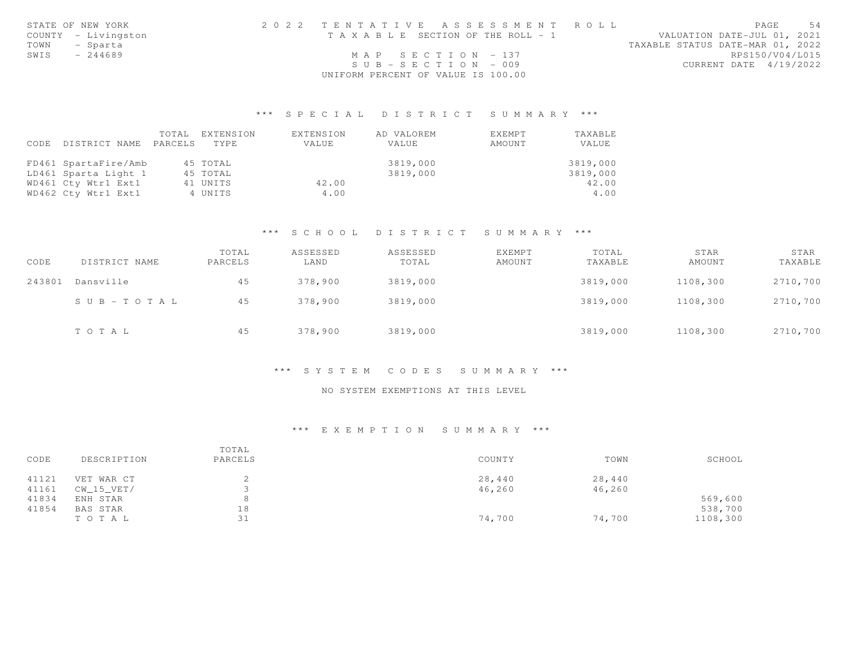|      | STATE OF NEW YORK   | 2022 TENTATIVE ASSESSMENT ROLL        | PAGE                             | 54 |
|------|---------------------|---------------------------------------|----------------------------------|----|
|      | COUNTY - Livingston | T A X A B L E SECTION OF THE ROLL - 1 | VALUATION DATE-JUL 01, 2021      |    |
| TOWN | - Sparta            |                                       | TAXABLE STATUS DATE-MAR 01, 2022 |    |
| SWIS | - 244689            | MAP SECTION $-137$                    | RPS150/V04/L015                  |    |
|      |                     | $SUB = SECTION = 009$                 | CURRENT DATE 4/19/2022           |    |
|      |                     | UNIFORM PERCENT OF VALUE IS 100.00    |                                  |    |

# \*\*\* S P E C I A L D I S T R I C T S U M M A R Y \*\*\*

|      |                      | TOTAL   | EXTENSION | EXTENSION | AD VALOREM | EXEMPT | TAXABLE  |
|------|----------------------|---------|-----------|-----------|------------|--------|----------|
| CODE | DISTRICT NAME        | PARCELS | TYPE.     | VALUE     | VALUE      | AMOUNT | VALUE    |
|      |                      |         |           |           |            |        |          |
|      | FD461 SpartaFire/Amb |         | 45 TOTAL  |           | 3819,000   |        | 3819,000 |
|      | LD461 Sparta Light 1 |         | 45 TOTAL  |           | 3819,000   |        | 3819,000 |
|      | WD461 Cty Wtr1 Ext1  |         | 41 UNITS  | 42.00     |            |        | 42.00    |
|      | WD462 Cty Wtr1 Ext1  |         | 4 UNITS   | 4.00      |            |        | 4.00     |

### \*\*\* S C H O O L D I S T R I C T S U M M A R Y \*\*\*

| CODE   | DISTRICT NAME         | TOTAL<br>PARCELS | ASSESSED<br>LAND | ASSESSED<br>TOTAL | <b>EXEMPT</b><br>AMOUNT | TOTAL<br>TAXABLE | STAR<br>AMOUNT | STAR<br>TAXABLE |
|--------|-----------------------|------------------|------------------|-------------------|-------------------------|------------------|----------------|-----------------|
| 243801 | Dansville             | 45               | 378,900          | 3819,000          |                         | 3819,000         | 1108,300       | 2710,700        |
|        | $S \cup B - TO T A L$ | 45               | 378,900          | 3819,000          |                         | 3819,000         | 1108,300       | 2710,700        |
|        | TOTAL                 | 45               | 378,900          | 3819,000          |                         | 3819,000         | 1108,300       | 2710,700        |

### \*\*\* S Y S T E M C O D E S S U M M A R Y \*\*\*

#### NO SYSTEM EXEMPTIONS AT THIS LEVEL

#### \*\*\* E X E M P T I O N S U M M A R Y \*\*\*

| CODE  | DESCRIPTION | TOTAL<br>PARCELS | COUNTY | TOWN   | SCHOOL   |
|-------|-------------|------------------|--------|--------|----------|
| 41121 | VET WAR CT  | ▵                | 28,440 | 28,440 |          |
| 41161 | CW 15 VET/  |                  | 46,260 | 46,260 |          |
| 41834 | ENH STAR    | 8                |        |        | 569,600  |
| 41854 | BAS STAR    | 18               |        |        | 538,700  |
|       | TOTAL       | 31               | 74,700 | 74,700 | 1108,300 |
|       |             |                  |        |        |          |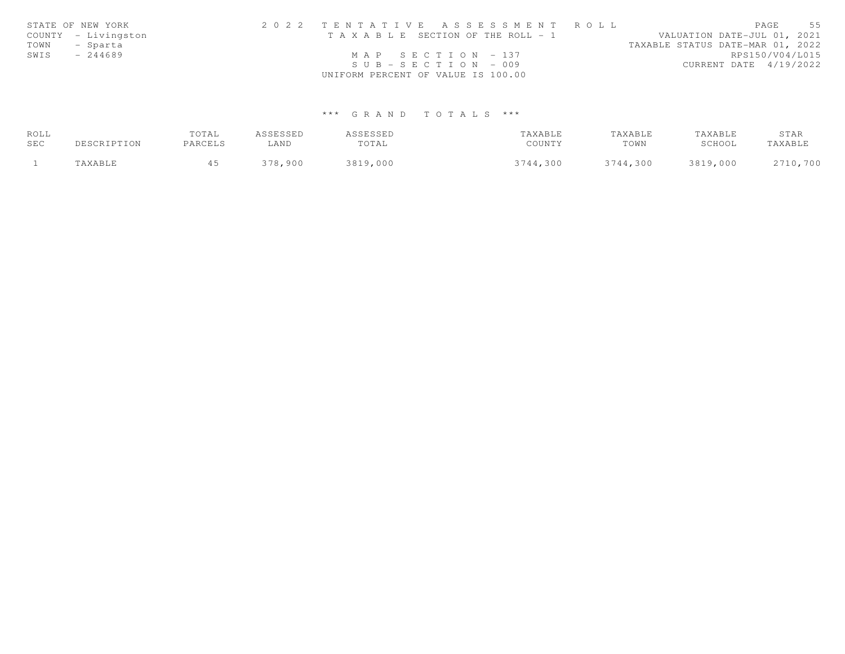|      | STATE OF NEW YORK   | 2022 TENTATIVE ASSESSMENT ROLL        | 55<br>PAGE                       |
|------|---------------------|---------------------------------------|----------------------------------|
|      | COUNTY - Livingston | T A X A B L E SECTION OF THE ROLL - 1 | VALUATION DATE-JUL 01, 2021      |
| TOWN | - Sparta            |                                       | TAXABLE STATUS DATE-MAR 01, 2022 |
| SWIS | $-244689$           | MAP SECTION - 137                     | RPS150/V04/L015                  |
|      |                     | $SUB - SECTION - 009$                 | CURRENT DATE 4/19/2022           |
|      |                     | UNIFORM PERCENT OF VALUE IS 100.00    |                                  |

# \*\*\* G R A N D T O T A L S \*\*\*

| ROLL |             | TOTAL   | ASSESSED | ASSESSED | TAXABLE  | TAXABLE  | TAXABLE  | STAR     |
|------|-------------|---------|----------|----------|----------|----------|----------|----------|
| SEC  | DESCRIPTION | PARCELS | LAND     | TOTAL    | COUNTY   | TOWN     | SCHOOL   | TAXABLE  |
|      | TAXABLE     |         | 378,900  | 3819,000 | 3744,300 | 3744,300 | 3819,000 | 2710,700 |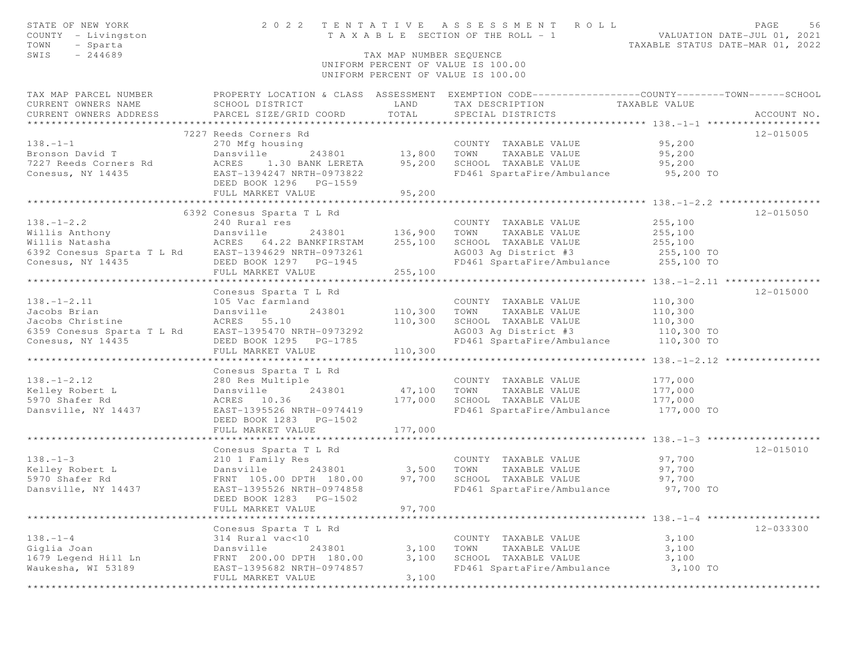| STATE OF NEW YORK<br>COUNTY - Livingston<br>TOWN<br>- Sparta<br>$-244689$<br>SWIS                                                               |                                                                                                               | TAX MAP NUMBER SEQUENCE | 2022 TENTATIVE ASSESSMENT ROLL<br>UNIFORM PERCENT OF VALUE IS 100.00<br>UNIFORM PERCENT OF VALUE IS 100.00 | PAGE<br>56<br>TENTATIVE ASSESSMENT NULLE<br>TAXABLE SECTION OF THE ROLL - 1<br>TAXABLE STATUS DATE-MAR 01, 2022 |
|-------------------------------------------------------------------------------------------------------------------------------------------------|---------------------------------------------------------------------------------------------------------------|-------------------------|------------------------------------------------------------------------------------------------------------|-----------------------------------------------------------------------------------------------------------------|
| TAX MAP PARCEL NUMBER<br>CURRENT OWNERS NAME<br>CURRENT OWNERS ADDRESS                                                                          | SCHOOL DISTRICT<br>PARCEL SIZE/GRID COORD                                                                     | LAND<br>TOTAL           | TAX DESCRIPTION TAXABLE VALUE<br>SPECIAL DISTRICTS                                                         | PROPERTY LOCATION & CLASS ASSESSMENT EXEMPTION CODE----------------COUNTY-------TOWN------SCHOOL<br>ACCOUNT NO. |
|                                                                                                                                                 | 7227 Reeds Corners Rd                                                                                         |                         |                                                                                                            | 12-015005                                                                                                       |
| $138 - 1 - 1$                                                                                                                                   | 270 Mfg housing                                                                                               |                         | COUNTY TAXABLE VALUE 95,200                                                                                |                                                                                                                 |
|                                                                                                                                                 |                                                                                                               |                         |                                                                                                            | 95,200                                                                                                          |
| Bronson David T<br>7227 Reeds Corners Rd<br>243801 MORES 1.30 BANK LERETA                                                                       | 13,800 TOWN<br>243801 13,800 TOWN<br>30 BANK LERETA 95,200 SCHOO                                              |                         | TOWN      TAXABLE VALUE<br>SCHOOL   TAXABLE VALUE                                                          | 95,200                                                                                                          |
| Conesus, NY 14435 EAST-1394247 NRTH-0973822                                                                                                     |                                                                                                               |                         | FD461 SpartaFire/Ambulance 95,200 TO                                                                       |                                                                                                                 |
|                                                                                                                                                 | FULL MARKET VALUE                                                                                             | 95,200                  |                                                                                                            |                                                                                                                 |
|                                                                                                                                                 |                                                                                                               |                         |                                                                                                            |                                                                                                                 |
|                                                                                                                                                 | 6392 Conesus Sparta T L Rd                                                                                    |                         |                                                                                                            | 12-015050                                                                                                       |
| $138. - 1 - 2.2$                                                                                                                                | 240 Rural res                                                                                                 |                         | COUNTY TAXABLE VALUE<br>TAXABLE VALUE                                                                      | 255,100<br>255,100                                                                                              |
|                                                                                                                                                 |                                                                                                               |                         | TOWN                                                                                                       |                                                                                                                 |
|                                                                                                                                                 |                                                                                                               |                         | SCHOOL TAXABLE VALUE 255,100<br>AG003 Ag District #3 255,100 TO                                            |                                                                                                                 |
| Conesus, NY 14435 DEED BOOK 1297 PG-1945                                                                                                        |                                                                                                               |                         | FD461 SpartaFire/Ambulance 255,100 TO                                                                      |                                                                                                                 |
|                                                                                                                                                 | FULL MARKET VALUE                                                                                             | 255,100                 |                                                                                                            |                                                                                                                 |
|                                                                                                                                                 |                                                                                                               |                         |                                                                                                            |                                                                                                                 |
|                                                                                                                                                 | Conesus Sparta T L Rd                                                                                         |                         |                                                                                                            | 12-015000                                                                                                       |
| $138. - 1 - 2.11$                                                                                                                               | 105 Vac farmland                                                                                              |                         | COUNTY TAXABLE VALUE<br>110,300 TOWN TAXABLE VALUE<br>COUNTY TAXABLE VALUE                                 | 110,300                                                                                                         |
| 138.-1-2.11 105 Vac farmla<br>Jacobs Brian 105 Vac farmla<br>Jacobs Christine 12 Rd EAST-1395470 N<br>6359 Conesus Sparta T L Rd EAST-1395470 N | 243801                                                                                                        |                         |                                                                                                            | 110,300                                                                                                         |
|                                                                                                                                                 |                                                                                                               | 110,300                 | -<br>SCHOOL TAXABLE VALUE 110,300<br>AG003 Aq District #3 110,300 TO                                       |                                                                                                                 |
|                                                                                                                                                 | EAST-1395470 NRTH-0973292                                                                                     |                         |                                                                                                            |                                                                                                                 |
| Conesus, NY 14435                                                                                                                               | DEED BOOK 1295 PG-1785                                                                                        |                         | FD461 SpartaFire/Ambulance 110,300 TO                                                                      |                                                                                                                 |
|                                                                                                                                                 | FULL MARKET VALUE                                                                                             | 110,300                 |                                                                                                            |                                                                                                                 |
|                                                                                                                                                 | Conesus Sparta T L Rd                                                                                         |                         |                                                                                                            |                                                                                                                 |
| $138. - 1 - 2.12$                                                                                                                               | 280 Res Multiple                                                                                              |                         | COUNTY TAXABLE VALUE 177,000                                                                               |                                                                                                                 |
| Kelley Robert L                                                                                                                                 | 243801<br>Dansville                                                                                           |                         | 47,100 TOWN TAXABLE VALUE                                                                                  |                                                                                                                 |
| 5970 Shafer Rd                                                                                                                                  | ACRES 10.36                                                                                                   | 177,000                 | SCHOOL TAXABLE VALUE                                                                                       | 177,000<br>177,000                                                                                              |
| Dansville, NY 14437                                                                                                                             | EAST-1395526 NRTH-0974419                                                                                     |                         | FD461 SpartaFire/Ambulance 177,000 TO                                                                      |                                                                                                                 |
|                                                                                                                                                 | DEED BOOK 1283 PG-1502                                                                                        |                         |                                                                                                            |                                                                                                                 |
|                                                                                                                                                 | FULL MARKET VALUE                                                                                             | 177,000                 |                                                                                                            |                                                                                                                 |
|                                                                                                                                                 |                                                                                                               |                         |                                                                                                            |                                                                                                                 |
|                                                                                                                                                 | Conesus Sparta T L Rd                                                                                         |                         |                                                                                                            | 12-015010                                                                                                       |
| $138. - 1 - 3$                                                                                                                                  |                                                                                                               |                         | COUNTY TAXABLE VALUE                                                                                       | 97,700                                                                                                          |
| Kelley Robert L                                                                                                                                 |                                                                                                               |                         | TOWN<br>TAXABLE VALUE                                                                                      | 97,700                                                                                                          |
| 5970 Shafer Rd<br>Dansville, NY 14437                                                                                                           | 210 1 Family Res<br>Dansville 243801 3,500<br>FRNT 105.00 DPTH 180.00 97,700<br>437 EAST-1395526 NRTH-0974056 |                         | SCHOOL TAXABLE VALUE<br>FD461 SpartaFire/Ambulance 97,700 TO                                               | 97,700                                                                                                          |
|                                                                                                                                                 | DEED BOOK 1283 PG-1502                                                                                        |                         |                                                                                                            |                                                                                                                 |
|                                                                                                                                                 | FULL MARKET VALUE                                                                                             | 97,700                  |                                                                                                            |                                                                                                                 |
|                                                                                                                                                 | *****************                                                                                             |                         |                                                                                                            |                                                                                                                 |
|                                                                                                                                                 | Conesus Sparta T L Rd                                                                                         |                         |                                                                                                            | 12-033300                                                                                                       |
| $138. - 1 - 4$                                                                                                                                  | 314 Rural vac<10                                                                                              |                         | COUNTY TAXABLE VALUE                                                                                       | 3,100                                                                                                           |
| Giglia Joan                                                                                                                                     | Dansville<br>243801                                                                                           | 3,100                   | TAXABLE VALUE<br>TOWN                                                                                      | 3,100                                                                                                           |
| 1679 Legend Hill Ln                                                                                                                             | FRNT 200.00 DPTH 180.00                                                                                       | 3,100                   | SCHOOL TAXABLE VALUE                                                                                       | 3,100                                                                                                           |
| Waukesha, WI 53189                                                                                                                              | EAST-1395682 NRTH-0974857                                                                                     |                         | FD461 SpartaFire/Ambulance                                                                                 | 3,100 TO                                                                                                        |
| ***************                                                                                                                                 | FULL MARKET VALUE<br>********************************                                                         | 3,100                   |                                                                                                            |                                                                                                                 |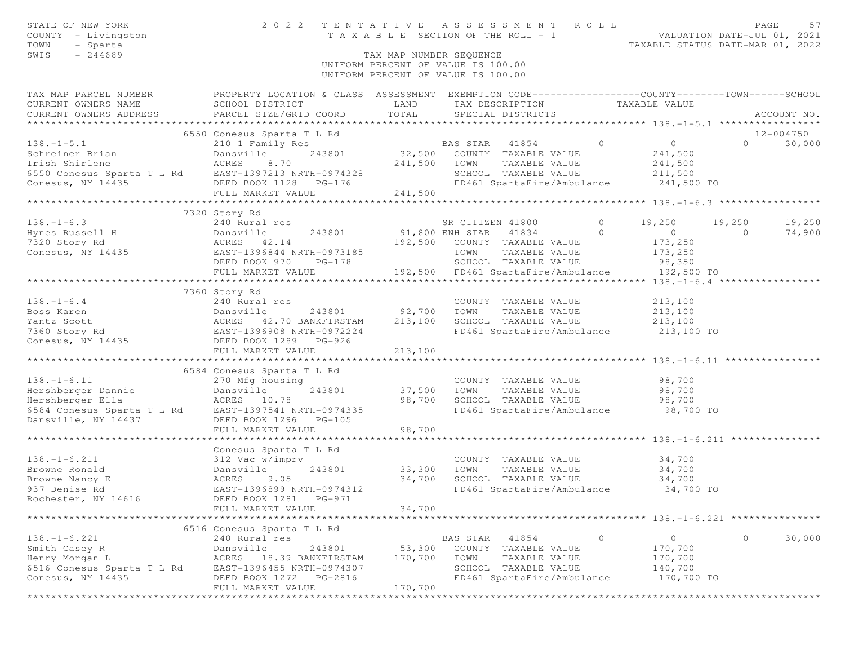| STATE OF NEW YORK<br>COUNTY - Livingston<br>TOWN<br>- Sparta<br>SWIS<br>$-244689$                                                                                                                                                      | 2022 TENTATIVE                                                                                        | TAX MAP NUMBER SEQUENCE<br>UNIFORM PERCENT OF VALUE IS 100.00<br>UNIFORM PERCENT OF VALUE IS 100.00 |          | ASSESSMENT ROLL                                   |         | TAXABLE SECTION OF THE ROLL - 1<br>TAXABLE SECTION OF THE ROLL - 1<br>TAXABLE STATUS DATE-MAR 01, 2022 |                | PAGE<br>57  |
|----------------------------------------------------------------------------------------------------------------------------------------------------------------------------------------------------------------------------------------|-------------------------------------------------------------------------------------------------------|-----------------------------------------------------------------------------------------------------|----------|---------------------------------------------------|---------|--------------------------------------------------------------------------------------------------------|----------------|-------------|
| TAX MAP PARCEL NUMBER PROPERTY LOCATION & CLASS ASSESSMENT EXEMPTION CODE---------------COUNTY-------TOWN------SCHOOL                                                                                                                  |                                                                                                       |                                                                                                     |          |                                                   |         |                                                                                                        |                |             |
| CURRENT OWNERS NAME<br>CURRENT OWNERS ADDRESS                                                                                                                                                                                          | SCHOOL DISTRICT<br>SCHOOL DISTRICT<br>PARCEL SIZE/GRID COORD                                          | LAND<br>TOTAL                                                                                       |          | SPECIAL DISTRICTS                                 |         | TAX DESCRIPTION TAXABLE VALUE                                                                          |                | ACCOUNT NO. |
| CONFIDENTIAL MANNET VALUE<br>Schreiner Brian Mannet Dansville 243801 32,500 COUNTY TAXABLE VALUE<br>Irish Shirlene ACRES 8.70 241,500 TOWN TAXABLE VALUE<br>CONESUS Sparta T L Rd EAST-1397213 NRTH-0974328 SCHOOL TAXABLE VALUE<br>CO |                                                                                                       |                                                                                                     |          |                                                   |         |                                                                                                        |                | 12-004750   |
|                                                                                                                                                                                                                                        |                                                                                                       |                                                                                                     |          |                                                   |         | $\overline{0}$                                                                                         | $\Omega$       | 30,000      |
|                                                                                                                                                                                                                                        |                                                                                                       |                                                                                                     |          |                                                   |         | 241,500                                                                                                |                |             |
|                                                                                                                                                                                                                                        |                                                                                                       |                                                                                                     |          |                                                   |         | 241,500                                                                                                |                |             |
|                                                                                                                                                                                                                                        |                                                                                                       |                                                                                                     |          |                                                   |         | SCHOOL TAXABLE VALUE 211,500                                                                           |                |             |
|                                                                                                                                                                                                                                        |                                                                                                       |                                                                                                     |          |                                                   |         | FD461 SpartaFire/Ambulance 241,500 TO                                                                  |                |             |
|                                                                                                                                                                                                                                        |                                                                                                       |                                                                                                     |          |                                                   |         |                                                                                                        |                |             |
|                                                                                                                                                                                                                                        |                                                                                                       |                                                                                                     |          |                                                   |         |                                                                                                        |                |             |
|                                                                                                                                                                                                                                        | 7320 Story Rd                                                                                         |                                                                                                     |          | SR CITIZEN 41800                                  | $\circ$ | 19,250                                                                                                 | 19,250         | 19,250      |
| 138.-1-6.3<br>Hynes Russell H Dansville 243801 91,800 E<br>7320 Story Rd ACRES 42.14 192,500<br>Conesus, NY 14435 DEED BOOK 970 PG-178<br>DEED BOOK 970 PG-178                                                                         |                                                                                                       |                                                                                                     |          | 243801 91,800 ENH STAR 41834 0                    |         |                                                                                                        | $\overline{0}$ | 74,900      |
|                                                                                                                                                                                                                                        |                                                                                                       |                                                                                                     |          | 192,500 COUNTY TAXABLE VALUE                      |         | $\begin{array}{c} 0 \\ 173,250 \end{array}$                                                            |                |             |
|                                                                                                                                                                                                                                        |                                                                                                       |                                                                                                     |          | TOWN TAXABLE VALUE                                |         | 173,250                                                                                                |                |             |
|                                                                                                                                                                                                                                        |                                                                                                       |                                                                                                     |          | SCHOOL TAXABLE VALUE                              |         | 98,350                                                                                                 |                |             |
|                                                                                                                                                                                                                                        | FULL MARKET VALUE                                                                                     |                                                                                                     |          |                                                   |         | 192,500 FD461 SpartaFire/Ambulance 192,500 TO                                                          |                |             |
|                                                                                                                                                                                                                                        |                                                                                                       |                                                                                                     |          |                                                   |         |                                                                                                        |                |             |
|                                                                                                                                                                                                                                        | 7360 Story Rd                                                                                         |                                                                                                     |          |                                                   |         |                                                                                                        |                |             |
| $138. - 1 - 6.4$                                                                                                                                                                                                                       | 240 Rural res                                                                                         |                                                                                                     |          | COUNTY TAXABLE VALUE                              |         | 213,100                                                                                                |                |             |
|                                                                                                                                                                                                                                        |                                                                                                       | 243801 92,700                                                                                       | TOWN     | TAXABLE VALUE                                     |         | 213,100                                                                                                |                |             |
|                                                                                                                                                                                                                                        |                                                                                                       | 213,100                                                                                             |          |                                                   |         |                                                                                                        |                |             |
|                                                                                                                                                                                                                                        |                                                                                                       |                                                                                                     |          |                                                   |         |                                                                                                        |                |             |
|                                                                                                                                                                                                                                        |                                                                                                       |                                                                                                     |          |                                                   |         |                                                                                                        |                |             |
|                                                                                                                                                                                                                                        | FULL MARKET VALUE                                                                                     | 213,100                                                                                             |          |                                                   |         |                                                                                                        |                |             |
|                                                                                                                                                                                                                                        |                                                                                                       |                                                                                                     |          |                                                   |         |                                                                                                        |                |             |
|                                                                                                                                                                                                                                        | 6584 Conesus Sparta T L Rd                                                                            |                                                                                                     |          |                                                   |         | 98,700                                                                                                 |                |             |
|                                                                                                                                                                                                                                        |                                                                                                       |                                                                                                     |          | COUNTY TAXABLE VALUE<br>37,500 TOWN TAXABLE VALUE |         | 98,700                                                                                                 |                |             |
|                                                                                                                                                                                                                                        |                                                                                                       | 98,700                                                                                              |          |                                                   |         |                                                                                                        |                |             |
| 138.-1-6.11 270 Mfg housing<br>Hershberger Dannie Dansville 243801<br>Hershberger Ella ACRES 10.78<br>6584 Conesus Sparta T L Rd EAST-1397541 NRTH-0974335                                                                             |                                                                                                       |                                                                                                     |          |                                                   |         |                                                                                                        |                |             |
| Dansville, NY 14437                                                                                                                                                                                                                    | DEED BOOK 1296 PG-105                                                                                 |                                                                                                     |          |                                                   |         |                                                                                                        |                |             |
|                                                                                                                                                                                                                                        | FULL MARKET VALUE                                                                                     | 98,700                                                                                              |          |                                                   |         |                                                                                                        |                |             |
|                                                                                                                                                                                                                                        |                                                                                                       |                                                                                                     |          |                                                   |         |                                                                                                        |                |             |
|                                                                                                                                                                                                                                        | Conesus Sparta T L Rd<br>Conesus Sparta 1<br>312 Vac w/imprv<br>Dansville 2<br>ACRES 9.05<br>EAST-100 |                                                                                                     |          |                                                   |         |                                                                                                        |                |             |
| $138. - 1 - 6.211$                                                                                                                                                                                                                     |                                                                                                       |                                                                                                     |          |                                                   |         | COUNTY TAXABLE VALUE 34,700                                                                            |                |             |
| Browne Ronald                                                                                                                                                                                                                          | 243801                                                                                                | 33,300                                                                                              |          | TOWN      TAXABLE VALUE<br>SCHOOL   TAXABLE VALUE |         | $34,700$<br>$34,700$                                                                                   |                |             |
| Browne Nancy E                                                                                                                                                                                                                         |                                                                                                       | 34,700                                                                                              |          |                                                   |         |                                                                                                        |                |             |
| 937 Denise Rd                                                                                                                                                                                                                          | EAST-1396899 NRTH-0974312                                                                             |                                                                                                     |          |                                                   |         | FD461 SpartaFire/Ambulance 34,700 TO                                                                   |                |             |
| Rochester, NY 14616                                                                                                                                                                                                                    | DEED BOOK 1281 PG-971                                                                                 |                                                                                                     |          |                                                   |         |                                                                                                        |                |             |
|                                                                                                                                                                                                                                        | FULL MARKET VALUE                                                                                     | 34,700                                                                                              |          |                                                   |         |                                                                                                        |                |             |
|                                                                                                                                                                                                                                        |                                                                                                       |                                                                                                     |          |                                                   |         |                                                                                                        |                |             |
|                                                                                                                                                                                                                                        | 6516 Conesus Sparta T L Rd                                                                            |                                                                                                     |          |                                                   |         |                                                                                                        |                |             |
| $138. - 1 - 6.221$<br>Smith Casey R                                                                                                                                                                                                    | 240 Rural res                                                                                         |                                                                                                     | BAS STAR | 41854                                             | $\circ$ | $\circ$                                                                                                | $\Omega$       | 30,000      |
| Henry Morgan L                                                                                                                                                                                                                         | Dansville<br>243801<br>ACRES 18.39 BANKFIRSTAM                                                        | 53,300<br>170,700                                                                                   | TOWN     | COUNTY TAXABLE VALUE<br>TAXABLE VALUE             |         | 170,700<br>170,700                                                                                     |                |             |
| 6516 Conesus Sparta T L Rd                                                                                                                                                                                                             | EAST-1396455 NRTH-0974307                                                                             |                                                                                                     |          | SCHOOL TAXABLE VALUE                              |         | 140,700                                                                                                |                |             |
| Conesus, NY 14435                                                                                                                                                                                                                      | DEED BOOK 1272<br>PG-2816                                                                             |                                                                                                     |          | FD461 SpartaFire/Ambulance                        |         | 170,700 TO                                                                                             |                |             |
|                                                                                                                                                                                                                                        | FULL MARKET VALUE                                                                                     | 170,700                                                                                             |          |                                                   |         |                                                                                                        |                |             |
|                                                                                                                                                                                                                                        |                                                                                                       |                                                                                                     |          |                                                   |         |                                                                                                        |                |             |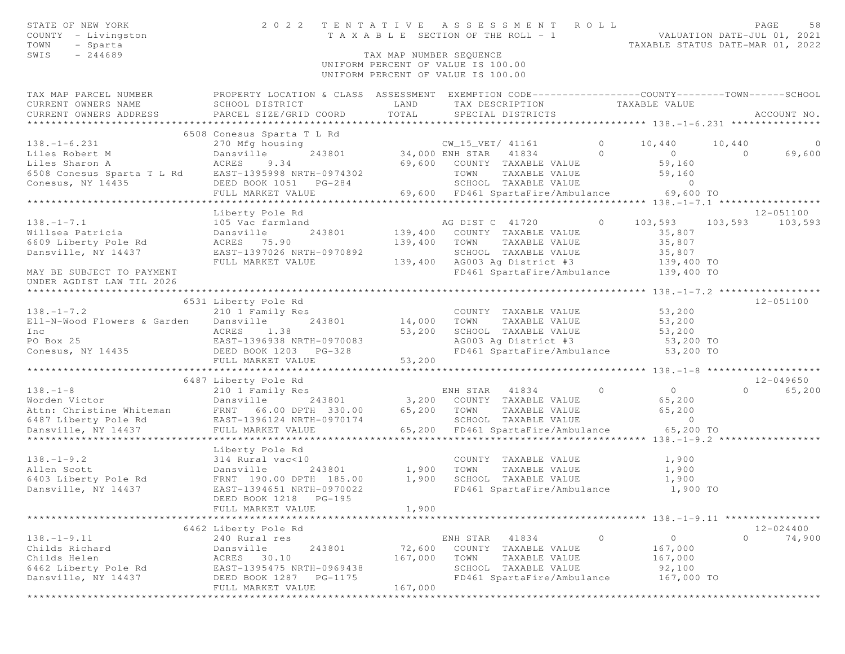| STATE OF NEW YORK<br>COUNTY - Livingston<br>TOWN<br>- Sparta<br>$-244689$<br>SWIS                                                                                                                                         | 2 0 2 2                                                                                                                                                                        | TAX MAP NUMBER SEQUENCE                          | TENTATIVE ASSESSMENT ROLL<br>TENTATIVE ASSESSMENT NVIL<br>TAXABLE SECTION OF THE ROLL - 1<br>TAXABLE STATUS DATE-MAR 01, 2022<br>UNIFORM PERCENT OF VALUE IS 100.00                                 |          |                                                                                  |                          | PAGE<br>58               |
|---------------------------------------------------------------------------------------------------------------------------------------------------------------------------------------------------------------------------|--------------------------------------------------------------------------------------------------------------------------------------------------------------------------------|--------------------------------------------------|-----------------------------------------------------------------------------------------------------------------------------------------------------------------------------------------------------|----------|----------------------------------------------------------------------------------|--------------------------|--------------------------|
|                                                                                                                                                                                                                           |                                                                                                                                                                                |                                                  | UNIFORM PERCENT OF VALUE IS 100.00                                                                                                                                                                  |          |                                                                                  |                          |                          |
| TAX MAP PARCEL NUMBER THE PROPERTY LOCATION & CLASS ASSESSMENT EXEMPTION CODE--------------COUNTY-------TOWN------SCHOOL<br>CURRENT OWNERS NAME                                                                           | SCHOOL DISTRICT<br>LAND                                                                                                                                                        |                                                  | TAX DESCRIPTION TAXABLE VALUE<br>SPECIAL DISTRICTS                                                                                                                                                  |          |                                                                                  |                          |                          |
|                                                                                                                                                                                                                           | 6508 Conesus Sparta T L Rd                                                                                                                                                     |                                                  |                                                                                                                                                                                                     |          |                                                                                  |                          |                          |
| $138. - 1 - 6.231$                                                                                                                                                                                                        | 270 Mfg housing                                                                                                                                                                |                                                  | using<br>243801 34,000 ENH STAR 41834 0<br>34 69,600 COUNTY TAXABLE VALUE                                                                                                                           |          | 10,440<br>$0$<br>59,160                                                          | 10,440<br>$\overline{0}$ | $\overline{0}$<br>69,600 |
| Liles Robert M<br>Liles Sharon A<br>69,600<br>6508 Conesus Sparta T L Rd<br>Conesus, NY 14435<br>Conesus, NY 14435<br>Conesus, NY 14435<br>CONERED BOOK 1051 PG-284<br>FULL MARKET VALUE<br>FULL MARKET VALUE             | FULL MARKET VALUE                                                                                                                                                              |                                                  | TOWN      TAXABLE VALUE<br>SCHOOL   TAXABLE VALUE<br>$69,600$ FD461 SpartaFire/Ambulance 69,600 TO                                                                                                  |          | 59,160<br>$\sim$ 0                                                               |                          |                          |
|                                                                                                                                                                                                                           |                                                                                                                                                                                |                                                  |                                                                                                                                                                                                     |          |                                                                                  |                          | 12-051100                |
| $138. - 1 - 7.1$<br>Willsea Patricia<br>6609 Liberty Pole Rd<br>Dansville, NY 14437                                                                                                                                       | Alberty Pole Rd<br>105 Vac farmland<br>Dansville<br>Rd<br>2 ACRES<br>243801<br>EAST-1397026 NRTH-0970892<br>FULL MARKET VALUE                                                  | 139,400<br>139,400                               | AG DIST C 41720 0 103,593 103,593 103,593<br>COUNTY TAXABLE VALUE<br>TOWN TAXABLE VALUE<br>SCHOOL TAXABLE VALUE<br>139,400 AG003 Ag District #3 139,400 TO<br>FD461 SpartaFire/Ambulance 139,400 TO |          | 35,807<br>35,807<br>35,807                                                       |                          |                          |
| MAY BE SUBJECT TO PAYMENT<br>UNDER AGDIST LAW TIL 2026                                                                                                                                                                    |                                                                                                                                                                                |                                                  |                                                                                                                                                                                                     |          |                                                                                  |                          |                          |
|                                                                                                                                                                                                                           |                                                                                                                                                                                |                                                  |                                                                                                                                                                                                     |          |                                                                                  |                          |                          |
| $138. - 1 - 7.2$<br>Ell-N-Wood Flowers & Garden Dansville<br>The ACRES 1.38<br>PO Box 25<br>Conesus, NY 14435<br>Conesus, NY 14435<br>PO Box 25<br>DEED BOOK 1203<br>PG-328<br>PO Box 25<br>PG-328<br>PO Box 25<br>PG-328 | 6531 Liberty Pole Rd<br>210 1 Family Res<br>243801 14,000<br>FULL MARKET VALUE                                                                                                 | 53,200<br>53,200                                 | COUNTY TAXABLE VALUE 53,200<br>TOWN<br>TAXABLE VALUE<br>SCHOOL TAXABLE VALUE 53,200<br>AG003 Ag District #3 53,200 TO<br>FD461 SpartaFire/Ambulance 53,200 TO                                       |          | 53,200                                                                           |                          | 12-051100                |
|                                                                                                                                                                                                                           |                                                                                                                                                                                |                                                  |                                                                                                                                                                                                     |          |                                                                                  |                          |                          |
|                                                                                                                                                                                                                           | 6487 Liberty Pole Rd<br>210 1 Family Res                                                                                                                                       |                                                  | ENH STAR 41834<br>243801 3,200 COUNTY TAXABLE VALUE<br>TOWN      TAXABLE VALUE<br>SCHOOL   TAXABLE VALUE<br>65,200 FD461 SpartaFire/Ambulance 65,200 TO                                             | $\Omega$ | $\overline{0}$<br>65,200<br>65,200<br>$\circ$                                    |                          | 12-049650<br>0 65,200    |
| $138. - 1 - 9.2$<br>Allen Scott<br>6403 Liberty Pole Rd<br>Dansville, NY 14437                                                                                                                                            | Liberty Pole Rd<br>314 Rural vac<10<br>Dansville 243801<br>Pole Rd FRNT 190.00 DPTH 185.00<br>14437 EAST-1394651 NRTH-0970022<br>DEED BOOK 1218    PG-195<br>FULL MARKET VALUE | 243801 1,900<br>TH 185.00 1,900<br>1,900         | COUNTY TAXABLE VALUE<br>TOWN<br>TAXABLE VALUE<br>SCHOOL TAXABLE VALUE<br>FD461 SpartaFire/Ambulance 1,900 TO                                                                                        |          | 1,900<br>1,900<br>1,900<br>********************** 138. -1-9.11 ***************** |                          |                          |
|                                                                                                                                                                                                                           | 6462 Liberty Pole Rd                                                                                                                                                           |                                                  |                                                                                                                                                                                                     |          |                                                                                  |                          | $12 - 024400$            |
| $138. - 1 - 9.11$<br>Childs Richard<br>Childs Helen<br>6462 Liberty Pole Rd<br>Dansville, NY 14437                                                                                                                        | 240 Rural res<br>243801<br>Dansville<br>ACRES<br>30.10<br>EAST-1395475 NRTH-0969438<br>DEED BOOK 1287<br>PG-1175<br>FULL MARKET VALUE                                          | 72,600<br>167,000<br>167,000<br>**************** | 41834<br>ENH STAR<br>COUNTY<br>TAXABLE VALUE<br>TOWN<br>TAXABLE VALUE<br>SCHOOL<br>TAXABLE VALUE<br>FD461 SpartaFire/Ambulance                                                                      | $\circ$  | $\circ$<br>167,000<br>167,000<br>92,100<br>167,000 TO                            | $\circ$                  | 74,900                   |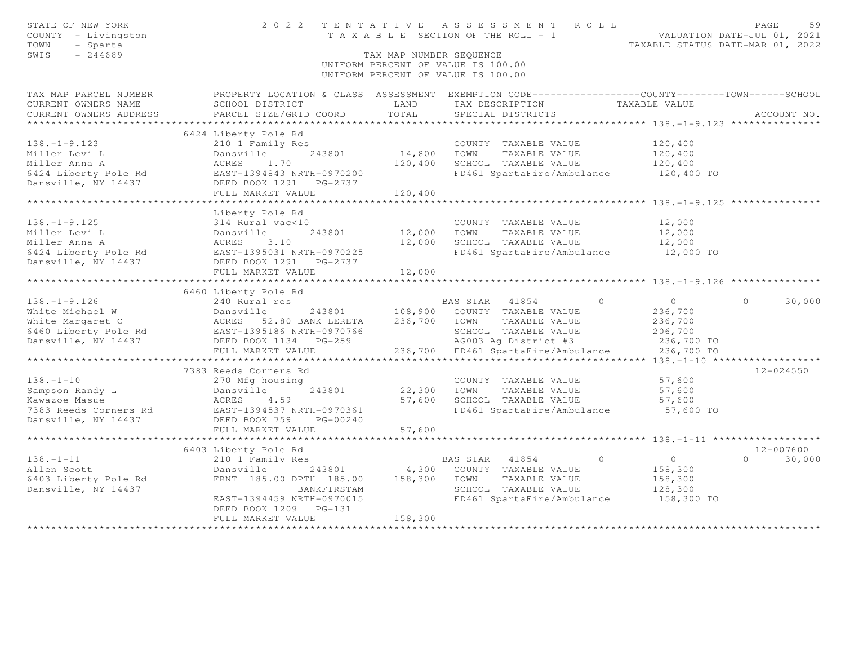| STATE OF NEW YORK<br>COUNTY - Livingston<br>TOWN<br>- Sparta           |                                                                                 |                         | 2022 TENTATIVE ASSESSMENT ROLL<br>T A X A B L E SECTION OF THE ROLL - 1                                                                  | TAXABLE STATUS DATE-MAR 01, 2022 | PAGE<br>59<br>VALUATION DATE-JUL 01, 2021 |
|------------------------------------------------------------------------|---------------------------------------------------------------------------------|-------------------------|------------------------------------------------------------------------------------------------------------------------------------------|----------------------------------|-------------------------------------------|
| SWIS<br>$-244689$                                                      |                                                                                 | TAX MAP NUMBER SEQUENCE | UNIFORM PERCENT OF VALUE IS 100.00<br>UNIFORM PERCENT OF VALUE IS 100.00                                                                 |                                  |                                           |
| TAX MAP PARCEL NUMBER<br>CURRENT OWNERS NAME<br>CURRENT OWNERS ADDRESS | SCHOOL DISTRICT<br>PARCEL SIZE/GRID COORD                                       | LAND<br>TOTAL           | PROPERTY LOCATION & CLASS ASSESSMENT EXEMPTION CODE----------------COUNTY--------TOWN-----SCHOOL<br>TAX DESCRIPTION<br>SPECIAL DISTRICTS | TAXABLE VALUE                    | ACCOUNT NO.                               |
| ***********************                                                |                                                                                 |                         |                                                                                                                                          |                                  |                                           |
|                                                                        | 6424 Liberty Pole Rd                                                            |                         |                                                                                                                                          |                                  |                                           |
| $138. - 1 - 9.123$                                                     | 210 1 Family Res                                                                |                         | COUNTY TAXABLE VALUE                                                                                                                     | 120,400                          |                                           |
| Miller Levi L                                                          | Dansville<br>243801                                                             | 14,800                  | TOWN<br>TAXABLE VALUE                                                                                                                    | 120,400                          |                                           |
| Miller Anna A                                                          | ACRES<br>1.70                                                                   | 120,400                 | SCHOOL TAXABLE VALUE                                                                                                                     | 120,400                          |                                           |
| 6424 Liberty Pole Rd<br>Dansville, NY 14437                            | EAST-1394843 NRTH-0970200<br>DEED BOOK 1291<br>PG-2737                          |                         | FD461 SpartaFire/Ambulance                                                                                                               | 120,400 TO                       |                                           |
|                                                                        | FULL MARKET VALUE<br>************************                                   | 120,400                 |                                                                                                                                          |                                  |                                           |
|                                                                        | Liberty Pole Rd                                                                 |                         |                                                                                                                                          |                                  |                                           |
| $138. - 1 - 9.125$                                                     | 314 Rural vac<10                                                                |                         | COUNTY TAXABLE VALUE                                                                                                                     | 12,000                           |                                           |
| Miller Levi L                                                          | Dansville<br>243801                                                             | 12,000                  | TOWN<br>TAXABLE VALUE                                                                                                                    | 12,000                           |                                           |
| Miller Anna A                                                          | 3.10<br>ACRES                                                                   | 12,000                  | SCHOOL TAXABLE VALUE                                                                                                                     | 12,000                           |                                           |
| 6424 Liberty Pole Rd                                                   | EAST-1395031 NRTH-0970225                                                       |                         | FD461 SpartaFire/Ambulance                                                                                                               | 12,000 TO                        |                                           |
| Dansville, NY 14437                                                    | DEED BOOK 1291<br>PG-2737                                                       |                         |                                                                                                                                          |                                  |                                           |
|                                                                        | FULL MARKET VALUE                                                               | 12,000                  |                                                                                                                                          |                                  |                                           |
|                                                                        |                                                                                 |                         |                                                                                                                                          |                                  |                                           |
|                                                                        | 6460 Liberty Pole Rd                                                            |                         |                                                                                                                                          |                                  |                                           |
| $138. - 1 - 9.126$                                                     | 240 Rural res                                                                   |                         | BAS STAR 41854<br>$\Omega$                                                                                                               | $\overline{0}$                   | 30,000<br>$\Omega$                        |
| White Michael W                                                        | Dansville<br>243801                                                             | 108,900                 | COUNTY TAXABLE VALUE                                                                                                                     | 236,700                          |                                           |
| White Margaret C                                                       | ACRES 52.80 BANK LERETA<br>ACRES 52.80 BANA PEASIA<br>EAST-1395186 NRTH-0970766 | 236,700                 | TAXABLE VALUE<br>TOWN                                                                                                                    | 236,700                          |                                           |
| 6460 Liberty Pole Rd<br>Dansville, NY 14437                            |                                                                                 |                         | SCHOOL TAXABLE VALUE                                                                                                                     | 206,700                          |                                           |
|                                                                        | DEED BOOK 1134    PG-259<br>FULL MARKET VALUE                                   |                         | AG003 Ag District #3<br>236,700 FD461 SpartaFire/Ambulance                                                                               | 236,700 TO<br>236,700 TO         |                                           |
|                                                                        |                                                                                 |                         |                                                                                                                                          |                                  |                                           |
|                                                                        | 7383 Reeds Corners Rd                                                           |                         |                                                                                                                                          |                                  | $12 - 024550$                             |
| $138. - 1 - 10$                                                        | 270 Mfg housing                                                                 |                         | COUNTY TAXABLE VALUE                                                                                                                     | 57,600                           |                                           |
| Sampson Randy L                                                        | Dansville<br>243801                                                             | 22,300                  | TOWN<br>TAXABLE VALUE                                                                                                                    | 57,600                           |                                           |
| Kawazoe Masue                                                          | ACRES<br>4.59                                                                   | 57,600                  | SCHOOL TAXABLE VALUE                                                                                                                     | 57,600                           |                                           |
| 7383 Reeds Corners Rd                                                  | EAST-1394537 NRTH-0970361                                                       |                         | FD461 SpartaFire/Ambulance                                                                                                               | 57,600 TO                        |                                           |
| Dansville, NY 14437                                                    | DEED BOOK 759<br>PG-00240                                                       |                         |                                                                                                                                          |                                  |                                           |
|                                                                        | FULL MARKET VALUE                                                               | 57,600                  |                                                                                                                                          |                                  |                                           |
|                                                                        |                                                                                 | **********              |                                                                                                                                          |                                  |                                           |
|                                                                        | 6403 Liberty Pole Rd                                                            |                         |                                                                                                                                          |                                  | 12-007600                                 |
| $138. - 1 - 11$                                                        | 210 1 Family Res                                                                |                         | $\circ$<br>BAS STAR<br>41854                                                                                                             | $\overline{0}$                   | 30,000<br>$\Omega$                        |
| Allen Scott                                                            | Dansville<br>243801                                                             | 4,300                   | COUNTY TAXABLE VALUE                                                                                                                     | 158,300                          |                                           |
| 6403 Liberty Pole Rd                                                   | FRNT 185.00 DPTH 185.00                                                         | 158,300                 | TAXABLE VALUE<br>TOWN                                                                                                                    | 158,300                          |                                           |
| Dansville, NY 14437                                                    | BANKFIRSTAM<br>EAST-1394459 NRTH-0970015                                        |                         | SCHOOL TAXABLE VALUE<br>FD461 SpartaFire/Ambulance                                                                                       | 128,300<br>158,300 TO            |                                           |
|                                                                        | DEED BOOK 1209 PG-131                                                           |                         |                                                                                                                                          |                                  |                                           |
|                                                                        | FULL MARKET VALUE                                                               | 158,300                 |                                                                                                                                          |                                  |                                           |
|                                                                        |                                                                                 |                         |                                                                                                                                          |                                  |                                           |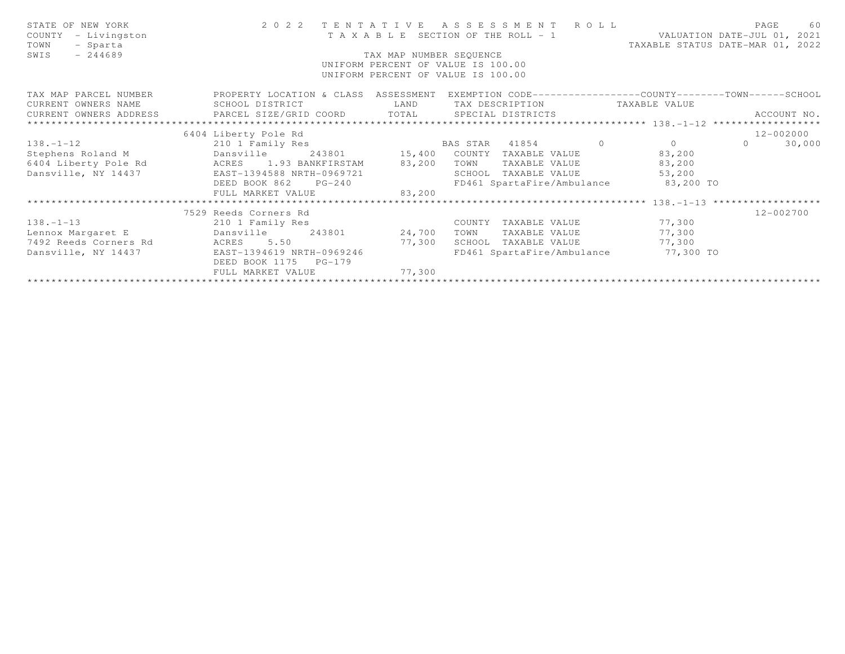| STATE OF NEW YORK<br>COUNTY<br>- Livingston<br>- Sparta<br>TOWN<br>$-244689$<br>SWIS | 2022 TENTATIVE ASSESSMENT ROLL                                                                                                     | T A X A B L E SECTION OF THE ROLL - 1<br>TAX MAP NUMBER SEQUENCE<br>UNIFORM PERCENT OF VALUE IS 100.00<br>UNIFORM PERCENT OF VALUE IS 100.00 |      |                                    |  | VALUATION DATE-JUL 01, 2021<br>TAXABLE STATUS DATE-MAR 01, 2022 |          | PAGE<br>60    |
|--------------------------------------------------------------------------------------|------------------------------------------------------------------------------------------------------------------------------------|----------------------------------------------------------------------------------------------------------------------------------------------|------|------------------------------------|--|-----------------------------------------------------------------|----------|---------------|
| TAX MAP PARCEL NUMBER<br>CURRENT OWNERS NAME                                         | PROPERTY LOCATION & CLASS ASSESSMENT EXEMPTION CODE----------------COUNTY-------TOWN------SCHOOL<br>SCHOOL DISTRICT<br><b>LAND</b> |                                                                                                                                              |      |                                    |  | TAX DESCRIPTION TAXABLE VALUE                                   |          | ACCOUNT NO.   |
|                                                                                      | 6404 Liberty Pole Rd                                                                                                               |                                                                                                                                              |      |                                    |  |                                                                 |          | 12-002000     |
| $138. - 1 - 12$                                                                      |                                                                                                                                    |                                                                                                                                              |      |                                    |  |                                                                 | $\Omega$ | 30,000        |
| Stephens Roland M Dansville                                                          |                                                                                                                                    |                                                                                                                                              |      | 243801 15,400 COUNTY TAXABLE VALUE |  | 83,200                                                          |          |               |
| 6404 Liberty Pole Rd                                                                 | ACRES 1.93 BANKFIRSTAM 83,200                                                                                                      |                                                                                                                                              | TOWN | TAXABLE VALUE                      |  | 83,200                                                          |          |               |
| Dansville, NY 14437 EAST-1394588 NRTH-0969721                                        |                                                                                                                                    |                                                                                                                                              |      | SCHOOL TAXABLE VALUE               |  | 53,200                                                          |          |               |
|                                                                                      | DEED BOOK 862<br>$PG-240$                                                                                                          | FD461 SpartaFire/Ambulance 83,200 TO<br>83,200                                                                                               |      |                                    |  |                                                                 |          |               |
|                                                                                      | FULL MARKET VALUE                                                                                                                  |                                                                                                                                              |      |                                    |  |                                                                 |          |               |
|                                                                                      |                                                                                                                                    |                                                                                                                                              |      |                                    |  |                                                                 |          |               |
|                                                                                      | 7529 Reeds Corners Rd                                                                                                              |                                                                                                                                              |      |                                    |  |                                                                 |          | $12 - 002700$ |
| $138. - 1 - 13$                                                                      | 210 1 Family Res                                                                                                                   |                                                                                                                                              |      | COUNTY TAXABLE VALUE               |  | 77,300                                                          |          |               |
| Lennox Margaret E                                                                    | Dansville                                                                                                                          | 243801 24,700                                                                                                                                | TOWN | TAXABLE VALUE                      |  | 77,300                                                          |          |               |
| 7492 Reeds Corners Rd                                                                | ACRES 5.50                                                                                                                         | 77,300                                                                                                                                       |      | SCHOOL TAXABLE VALUE               |  | 77,300                                                          |          |               |
| Dansville, NY 14437                                                                  | EAST-1394619 NRTH-0969246                                                                                                          |                                                                                                                                              |      |                                    |  | FD461 SpartaFire/Ambulance 77,300 TO                            |          |               |
|                                                                                      | DEED BOOK 1175    PG-179<br>FULL MARKET VALUE                                                                                      | 77,300                                                                                                                                       |      |                                    |  |                                                                 |          |               |
|                                                                                      |                                                                                                                                    |                                                                                                                                              |      |                                    |  |                                                                 |          |               |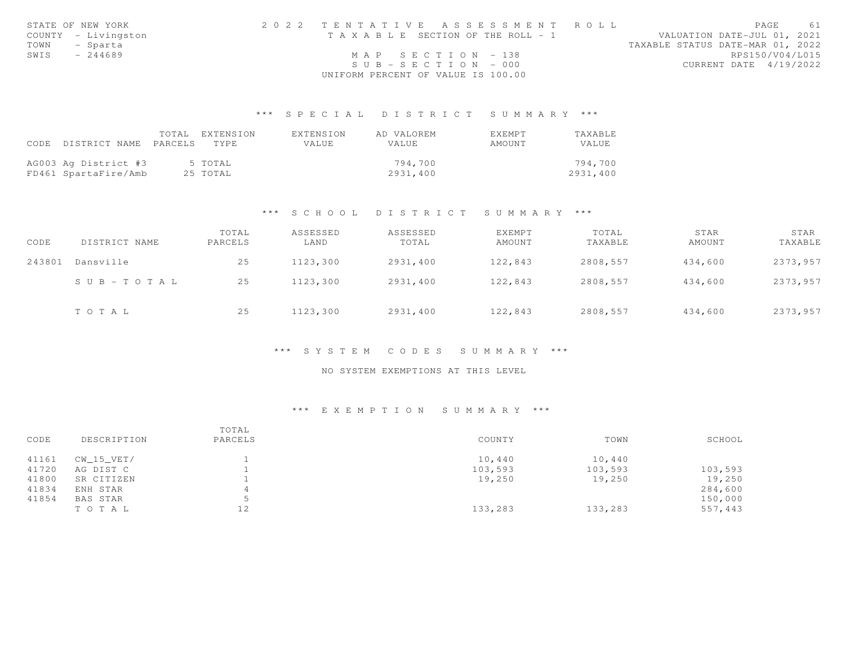|      | STATE OF NEW YORK   | 2022 TENTATIVE ASSESSMENT ROLL        | PAGE<br>61                       |
|------|---------------------|---------------------------------------|----------------------------------|
|      | COUNTY - Livingston | T A X A B L E SECTION OF THE ROLL - 1 | VALUATION DATE-JUL 01, 2021      |
|      | TOWN - Sparta       |                                       | TAXABLE STATUS DATE-MAR 01, 2022 |
| SWIS | $-244689$           | MAP SECTION - 138                     | RPS150/V04/L015                  |
|      |                     | $SUB - SECTION - 000$                 | CURRENT DATE 4/19/2022           |
|      |                     | UNIFORM PERCENT OF VALUE IS 100.00    |                                  |

# \*\*\* S P E C I A L D I S T R I C T S U M M A R Y \*\*\*

|                                 | TOTAL EXTENSION | EXTENSION | AD VALOREM | <b>FXFMPT</b> | TAXABLE      |
|---------------------------------|-----------------|-----------|------------|---------------|--------------|
| CODE DISTRICT NAME PARCELS TYPE |                 | VALUE.    | VALUE      | AMOUNT        | <b>VALUE</b> |
|                                 |                 |           |            |               |              |
| AG003 Ag District #3            | 5 TOTAL         |           | 794.700    |               | 794,700      |
| FD461 SpartaFire/Amb            | 25 TOTAL        |           | 2931,400   |               | 2931,400     |

#### \*\*\* S C H O O L D I S T R I C T S U M M A R Y \*\*\*

| CODE   | DISTRICT NAME | TOTAL<br>PARCELS | ASSESSED<br>LAND | ASSESSED<br>TOTAL | <b>EXEMPT</b><br>AMOUNT | TOTAL<br>TAXABLE | STAR<br>AMOUNT | STAR<br>TAXABLE |
|--------|---------------|------------------|------------------|-------------------|-------------------------|------------------|----------------|-----------------|
| 243801 | Dansville     | 25               | 1123,300         | 2931,400          | 122,843                 | 2808,557         | 434,600        | 2373,957        |
|        | SUB-TOTAL     | 25               | 1123,300         | 2931,400          | 122,843                 | 2808,557         | 434,600        | 2373,957        |
|        | TOTAL         | 25               | 1123,300         | 2931,400          | 122,843                 | 2808,557         | 434,600        | 2373,957        |

#### \*\*\* S Y S T E M C O D E S S U M M A R Y \*\*\*

### NO SYSTEM EXEMPTIONS AT THIS LEVEL

# \*\*\* E X E M P T I O N S U M M A R Y \*\*\*

| CODE  | DESCRIPTION  | TOTAL<br>PARCELS | COUNTY  | TOWN    | SCHOOL  |
|-------|--------------|------------------|---------|---------|---------|
|       |              |                  |         |         |         |
| 41161 | $CW_15_VET/$ |                  | 10,440  | 10,440  |         |
| 41720 | AG DIST C    |                  | 103,593 | 103,593 | 103,593 |
| 41800 | SR CITIZEN   |                  | 19,250  | 19,250  | 19,250  |
| 41834 | ENH STAR     |                  |         |         | 284,600 |
| 41854 | BAS STAR     | ь.               |         |         | 150,000 |
|       | TOTAL        | 12               | 133,283 | 133,283 | 557,443 |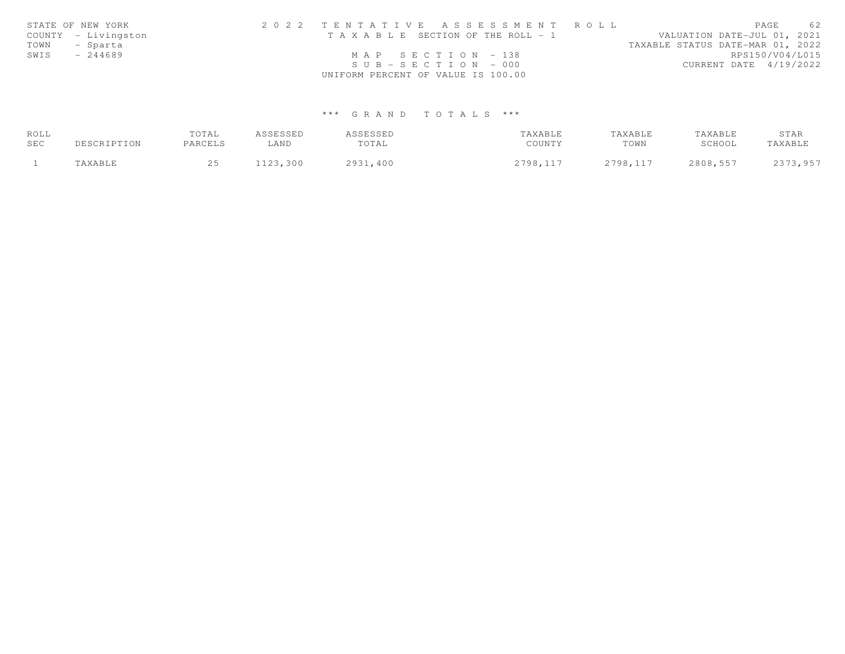|      | STATE OF NEW YORK   | 2022 TENTATIVE ASSESSMENT ROLL        | 62<br>PAGE                       |
|------|---------------------|---------------------------------------|----------------------------------|
|      | COUNTY - Livingston | T A X A B L E SECTION OF THE ROLL - 1 | VALUATION DATE-JUL 01, 2021      |
|      | TOWN - Sparta       |                                       | TAXABLE STATUS DATE-MAR 01, 2022 |
| SWIS | - 244689            | $MAP$ SECTION - 138                   | RPS150/V04/L015                  |
|      |                     | $SUB - SECTION - 000$                 | CURRENT DATE 4/19/2022           |
|      |                     | UNIFORM PERCENT OF VALUE IS 100.00    |                                  |

# \*\*\* G R A N D T O T A L S \*\*\*

| ROLL |             | TOTAL   | ASSESSED | ASSESSED | TAXABLE  | TAXABLE  | TAXABLE  | STAR     |
|------|-------------|---------|----------|----------|----------|----------|----------|----------|
| SEC  | DESCRIPTION | PARCELS | LAND     | TOTAL    | COUNTY   | TOWN     | SCHOOL   | TAXABLE  |
|      | TAXABLE     |         | 1123,300 | 2931,400 | 2798,117 | 2798,117 | 2808,557 | 2373,957 |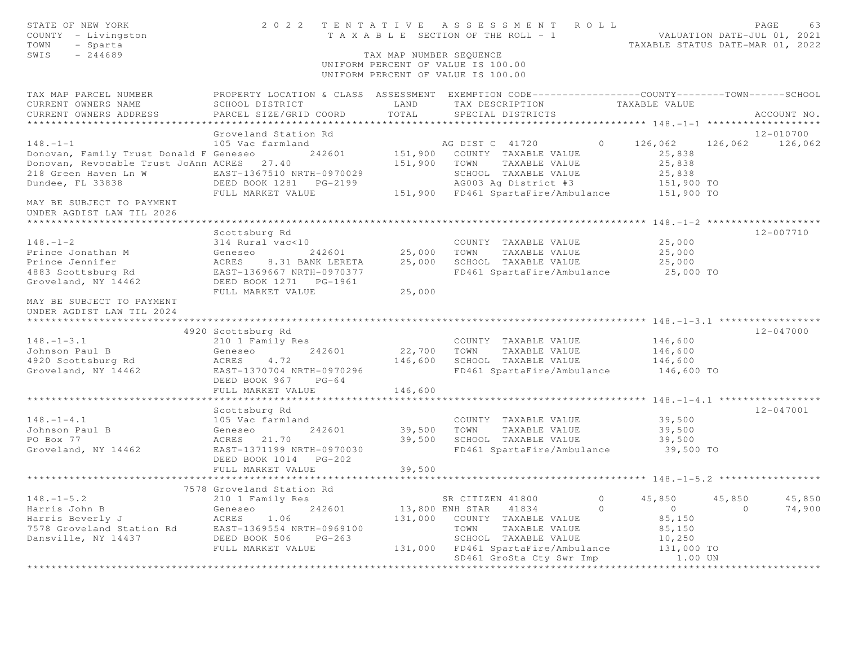| PROPERTY LOCATION & CLASS ASSESSMENT EXEMPTION CODE----------------COUNTY-------TOWN------SCHOOL<br>TAX MAP PARCEL NUMBER<br>TAX DESCRIPTION<br>CURRENT OWNERS NAME<br>SCHOOL DISTRICT<br>LAND<br>TAXABLE VALUE<br>TOTAL<br>CURRENT OWNERS ADDRESS<br>PARCEL SIZE/GRID COORD<br>SPECIAL DISTRICTS<br>ACCOUNT NO.<br>***********************<br>12-010700<br>Groveland Station Rd<br>$148. - 1 - 1$<br>AG DIST C 41720<br>126,062 126,062 126,062<br>105 Vac farmland<br>$\overline{0}$<br>151,900 COUNTY TAXABLE VALUE<br>Donovan, Family Trust Donald F Geneseo 242601<br>25,838<br>Donovan, Revocable Trust JoAnn ACRES 27.40<br>151,900 TOWN TAXABLE VALUE<br>25,838<br>218 Green Haven Ln W<br>EAST-1367510 NRTH-0970029<br>SCHOOL TAXABLE VALUE<br>25,838<br>AG003 Ag District #3<br>Dundee, FL 33838<br>151,900 TO<br>$151,900$ TO<br>151,900 FD461 SpartaFire/Ambulance<br>FULL MARKET VALUE<br>MAY BE SUBJECT TO PAYMENT<br>UNDER AGDIST LAW TIL 2026<br>12-007710<br>Scottsburg Rd<br>25,000<br>$148. - 1 - 2$<br>314 Rural vac<10<br>COUNTY TAXABLE VALUE<br>25,000 TOWN<br>Prince Jonathan M<br>242601<br>TAXABLE VALUE<br>25,000<br>Geneseo<br>Prince Jennifer<br><b>ACRES</b><br>25,000<br>SCHOOL TAXABLE VALUE<br>8.31 BANK LERETA<br>25,000<br>4883 Scottsburg Rd<br>EAST-1369667 NRTH-0970377<br>FD461 SpartaFire/Ambulance 25,000 TO<br>Groveland, NY 14462<br>FULL MARKET VALUE<br>25,000<br>MAY BE SUBJECT TO PAYMENT<br>UNDER AGDIST LAW TIL 2024<br>12-047000<br>4920 Scottsburg Rd<br>$148. - 1 - 3.1$<br>210 1 Family Res<br>COUNTY TAXABLE VALUE<br>146,600<br>Johnson Paul B<br>242601<br>22,700 TOWN<br>TAXABLE VALUE<br>146,600<br>Geneseo<br>146,600<br>SCHOOL TAXABLE VALUE<br>4920 Scottsburg Rd<br>ACRES<br>4.72<br>146,600<br>Groveland, NY 14462<br>EAST-1370704 NRTH-0970296<br>FD461 SpartaFire/Ambulance<br>146,600 TO<br>DEED BOOK 967 PG-64<br>146,600<br>FULL MARKET VALUE<br>**************** 148. -1-4.1 ******************<br>***************************<br>$12 - 047001$<br>Scottsburg Rd<br>105 Vac farmland<br>$148. - 1 - 4.1$<br>39,500<br>COUNTY TAXABLE VALUE<br>39,500<br>Johnson Paul B<br>Geneseo<br>242601<br>TOWN<br>TAXABLE VALUE<br>39,500 | STATE OF NEW YORK<br>COUNTY - Livingston<br>TOWN<br>- Sparta<br>SWIS<br>$-244689$ | TAX MAP NUMBER SEQUENCE | 2022 TENTATIVE ASSESSMENT ROLL<br>T A X A B L E SECTION OF THE ROLL - 1<br>UNIFORM PERCENT OF VALUE IS 100.00<br>UNIFORM PERCENT OF VALUE IS 100.00 | PAGE<br>63<br>VALUATION DATE-JUL 01, 2021<br>TAXABLE STATUS DATE-MAR 01, 2022 |
|-----------------------------------------------------------------------------------------------------------------------------------------------------------------------------------------------------------------------------------------------------------------------------------------------------------------------------------------------------------------------------------------------------------------------------------------------------------------------------------------------------------------------------------------------------------------------------------------------------------------------------------------------------------------------------------------------------------------------------------------------------------------------------------------------------------------------------------------------------------------------------------------------------------------------------------------------------------------------------------------------------------------------------------------------------------------------------------------------------------------------------------------------------------------------------------------------------------------------------------------------------------------------------------------------------------------------------------------------------------------------------------------------------------------------------------------------------------------------------------------------------------------------------------------------------------------------------------------------------------------------------------------------------------------------------------------------------------------------------------------------------------------------------------------------------------------------------------------------------------------------------------------------------------------------------------------------------------------------------------------------------------------------------------------------------------------------------------------------------------------------------------------------------------------------------------------------------|-----------------------------------------------------------------------------------|-------------------------|-----------------------------------------------------------------------------------------------------------------------------------------------------|-------------------------------------------------------------------------------|
|                                                                                                                                                                                                                                                                                                                                                                                                                                                                                                                                                                                                                                                                                                                                                                                                                                                                                                                                                                                                                                                                                                                                                                                                                                                                                                                                                                                                                                                                                                                                                                                                                                                                                                                                                                                                                                                                                                                                                                                                                                                                                                                                                                                                     |                                                                                   |                         |                                                                                                                                                     |                                                                               |
|                                                                                                                                                                                                                                                                                                                                                                                                                                                                                                                                                                                                                                                                                                                                                                                                                                                                                                                                                                                                                                                                                                                                                                                                                                                                                                                                                                                                                                                                                                                                                                                                                                                                                                                                                                                                                                                                                                                                                                                                                                                                                                                                                                                                     |                                                                                   |                         |                                                                                                                                                     |                                                                               |
|                                                                                                                                                                                                                                                                                                                                                                                                                                                                                                                                                                                                                                                                                                                                                                                                                                                                                                                                                                                                                                                                                                                                                                                                                                                                                                                                                                                                                                                                                                                                                                                                                                                                                                                                                                                                                                                                                                                                                                                                                                                                                                                                                                                                     |                                                                                   |                         |                                                                                                                                                     |                                                                               |
|                                                                                                                                                                                                                                                                                                                                                                                                                                                                                                                                                                                                                                                                                                                                                                                                                                                                                                                                                                                                                                                                                                                                                                                                                                                                                                                                                                                                                                                                                                                                                                                                                                                                                                                                                                                                                                                                                                                                                                                                                                                                                                                                                                                                     |                                                                                   |                         |                                                                                                                                                     |                                                                               |
|                                                                                                                                                                                                                                                                                                                                                                                                                                                                                                                                                                                                                                                                                                                                                                                                                                                                                                                                                                                                                                                                                                                                                                                                                                                                                                                                                                                                                                                                                                                                                                                                                                                                                                                                                                                                                                                                                                                                                                                                                                                                                                                                                                                                     |                                                                                   |                         |                                                                                                                                                     |                                                                               |
|                                                                                                                                                                                                                                                                                                                                                                                                                                                                                                                                                                                                                                                                                                                                                                                                                                                                                                                                                                                                                                                                                                                                                                                                                                                                                                                                                                                                                                                                                                                                                                                                                                                                                                                                                                                                                                                                                                                                                                                                                                                                                                                                                                                                     |                                                                                   |                         |                                                                                                                                                     |                                                                               |
|                                                                                                                                                                                                                                                                                                                                                                                                                                                                                                                                                                                                                                                                                                                                                                                                                                                                                                                                                                                                                                                                                                                                                                                                                                                                                                                                                                                                                                                                                                                                                                                                                                                                                                                                                                                                                                                                                                                                                                                                                                                                                                                                                                                                     |                                                                                   |                         |                                                                                                                                                     |                                                                               |
|                                                                                                                                                                                                                                                                                                                                                                                                                                                                                                                                                                                                                                                                                                                                                                                                                                                                                                                                                                                                                                                                                                                                                                                                                                                                                                                                                                                                                                                                                                                                                                                                                                                                                                                                                                                                                                                                                                                                                                                                                                                                                                                                                                                                     |                                                                                   |                         |                                                                                                                                                     |                                                                               |
|                                                                                                                                                                                                                                                                                                                                                                                                                                                                                                                                                                                                                                                                                                                                                                                                                                                                                                                                                                                                                                                                                                                                                                                                                                                                                                                                                                                                                                                                                                                                                                                                                                                                                                                                                                                                                                                                                                                                                                                                                                                                                                                                                                                                     |                                                                                   |                         |                                                                                                                                                     |                                                                               |
|                                                                                                                                                                                                                                                                                                                                                                                                                                                                                                                                                                                                                                                                                                                                                                                                                                                                                                                                                                                                                                                                                                                                                                                                                                                                                                                                                                                                                                                                                                                                                                                                                                                                                                                                                                                                                                                                                                                                                                                                                                                                                                                                                                                                     |                                                                                   |                         |                                                                                                                                                     |                                                                               |
|                                                                                                                                                                                                                                                                                                                                                                                                                                                                                                                                                                                                                                                                                                                                                                                                                                                                                                                                                                                                                                                                                                                                                                                                                                                                                                                                                                                                                                                                                                                                                                                                                                                                                                                                                                                                                                                                                                                                                                                                                                                                                                                                                                                                     |                                                                                   |                         |                                                                                                                                                     |                                                                               |
|                                                                                                                                                                                                                                                                                                                                                                                                                                                                                                                                                                                                                                                                                                                                                                                                                                                                                                                                                                                                                                                                                                                                                                                                                                                                                                                                                                                                                                                                                                                                                                                                                                                                                                                                                                                                                                                                                                                                                                                                                                                                                                                                                                                                     |                                                                                   |                         |                                                                                                                                                     |                                                                               |
|                                                                                                                                                                                                                                                                                                                                                                                                                                                                                                                                                                                                                                                                                                                                                                                                                                                                                                                                                                                                                                                                                                                                                                                                                                                                                                                                                                                                                                                                                                                                                                                                                                                                                                                                                                                                                                                                                                                                                                                                                                                                                                                                                                                                     |                                                                                   |                         |                                                                                                                                                     |                                                                               |
|                                                                                                                                                                                                                                                                                                                                                                                                                                                                                                                                                                                                                                                                                                                                                                                                                                                                                                                                                                                                                                                                                                                                                                                                                                                                                                                                                                                                                                                                                                                                                                                                                                                                                                                                                                                                                                                                                                                                                                                                                                                                                                                                                                                                     |                                                                                   |                         |                                                                                                                                                     |                                                                               |
|                                                                                                                                                                                                                                                                                                                                                                                                                                                                                                                                                                                                                                                                                                                                                                                                                                                                                                                                                                                                                                                                                                                                                                                                                                                                                                                                                                                                                                                                                                                                                                                                                                                                                                                                                                                                                                                                                                                                                                                                                                                                                                                                                                                                     |                                                                                   |                         |                                                                                                                                                     |                                                                               |
|                                                                                                                                                                                                                                                                                                                                                                                                                                                                                                                                                                                                                                                                                                                                                                                                                                                                                                                                                                                                                                                                                                                                                                                                                                                                                                                                                                                                                                                                                                                                                                                                                                                                                                                                                                                                                                                                                                                                                                                                                                                                                                                                                                                                     |                                                                                   |                         |                                                                                                                                                     |                                                                               |
|                                                                                                                                                                                                                                                                                                                                                                                                                                                                                                                                                                                                                                                                                                                                                                                                                                                                                                                                                                                                                                                                                                                                                                                                                                                                                                                                                                                                                                                                                                                                                                                                                                                                                                                                                                                                                                                                                                                                                                                                                                                                                                                                                                                                     |                                                                                   |                         |                                                                                                                                                     |                                                                               |
|                                                                                                                                                                                                                                                                                                                                                                                                                                                                                                                                                                                                                                                                                                                                                                                                                                                                                                                                                                                                                                                                                                                                                                                                                                                                                                                                                                                                                                                                                                                                                                                                                                                                                                                                                                                                                                                                                                                                                                                                                                                                                                                                                                                                     |                                                                                   |                         |                                                                                                                                                     |                                                                               |
|                                                                                                                                                                                                                                                                                                                                                                                                                                                                                                                                                                                                                                                                                                                                                                                                                                                                                                                                                                                                                                                                                                                                                                                                                                                                                                                                                                                                                                                                                                                                                                                                                                                                                                                                                                                                                                                                                                                                                                                                                                                                                                                                                                                                     |                                                                                   |                         |                                                                                                                                                     |                                                                               |
|                                                                                                                                                                                                                                                                                                                                                                                                                                                                                                                                                                                                                                                                                                                                                                                                                                                                                                                                                                                                                                                                                                                                                                                                                                                                                                                                                                                                                                                                                                                                                                                                                                                                                                                                                                                                                                                                                                                                                                                                                                                                                                                                                                                                     |                                                                                   |                         |                                                                                                                                                     |                                                                               |
|                                                                                                                                                                                                                                                                                                                                                                                                                                                                                                                                                                                                                                                                                                                                                                                                                                                                                                                                                                                                                                                                                                                                                                                                                                                                                                                                                                                                                                                                                                                                                                                                                                                                                                                                                                                                                                                                                                                                                                                                                                                                                                                                                                                                     |                                                                                   |                         |                                                                                                                                                     |                                                                               |
|                                                                                                                                                                                                                                                                                                                                                                                                                                                                                                                                                                                                                                                                                                                                                                                                                                                                                                                                                                                                                                                                                                                                                                                                                                                                                                                                                                                                                                                                                                                                                                                                                                                                                                                                                                                                                                                                                                                                                                                                                                                                                                                                                                                                     |                                                                                   |                         |                                                                                                                                                     |                                                                               |
|                                                                                                                                                                                                                                                                                                                                                                                                                                                                                                                                                                                                                                                                                                                                                                                                                                                                                                                                                                                                                                                                                                                                                                                                                                                                                                                                                                                                                                                                                                                                                                                                                                                                                                                                                                                                                                                                                                                                                                                                                                                                                                                                                                                                     |                                                                                   |                         |                                                                                                                                                     |                                                                               |
|                                                                                                                                                                                                                                                                                                                                                                                                                                                                                                                                                                                                                                                                                                                                                                                                                                                                                                                                                                                                                                                                                                                                                                                                                                                                                                                                                                                                                                                                                                                                                                                                                                                                                                                                                                                                                                                                                                                                                                                                                                                                                                                                                                                                     |                                                                                   |                         |                                                                                                                                                     |                                                                               |
|                                                                                                                                                                                                                                                                                                                                                                                                                                                                                                                                                                                                                                                                                                                                                                                                                                                                                                                                                                                                                                                                                                                                                                                                                                                                                                                                                                                                                                                                                                                                                                                                                                                                                                                                                                                                                                                                                                                                                                                                                                                                                                                                                                                                     |                                                                                   |                         |                                                                                                                                                     |                                                                               |
|                                                                                                                                                                                                                                                                                                                                                                                                                                                                                                                                                                                                                                                                                                                                                                                                                                                                                                                                                                                                                                                                                                                                                                                                                                                                                                                                                                                                                                                                                                                                                                                                                                                                                                                                                                                                                                                                                                                                                                                                                                                                                                                                                                                                     |                                                                                   |                         |                                                                                                                                                     |                                                                               |
|                                                                                                                                                                                                                                                                                                                                                                                                                                                                                                                                                                                                                                                                                                                                                                                                                                                                                                                                                                                                                                                                                                                                                                                                                                                                                                                                                                                                                                                                                                                                                                                                                                                                                                                                                                                                                                                                                                                                                                                                                                                                                                                                                                                                     |                                                                                   |                         |                                                                                                                                                     |                                                                               |
|                                                                                                                                                                                                                                                                                                                                                                                                                                                                                                                                                                                                                                                                                                                                                                                                                                                                                                                                                                                                                                                                                                                                                                                                                                                                                                                                                                                                                                                                                                                                                                                                                                                                                                                                                                                                                                                                                                                                                                                                                                                                                                                                                                                                     |                                                                                   |                         |                                                                                                                                                     |                                                                               |
|                                                                                                                                                                                                                                                                                                                                                                                                                                                                                                                                                                                                                                                                                                                                                                                                                                                                                                                                                                                                                                                                                                                                                                                                                                                                                                                                                                                                                                                                                                                                                                                                                                                                                                                                                                                                                                                                                                                                                                                                                                                                                                                                                                                                     |                                                                                   |                         |                                                                                                                                                     |                                                                               |
|                                                                                                                                                                                                                                                                                                                                                                                                                                                                                                                                                                                                                                                                                                                                                                                                                                                                                                                                                                                                                                                                                                                                                                                                                                                                                                                                                                                                                                                                                                                                                                                                                                                                                                                                                                                                                                                                                                                                                                                                                                                                                                                                                                                                     |                                                                                   |                         |                                                                                                                                                     |                                                                               |
| 39,500<br>PO Box 77<br>ACRES 21.70<br>SCHOOL TAXABLE VALUE<br>39,500<br>FD461 SpartaFire/Ambulance 39,500 TO                                                                                                                                                                                                                                                                                                                                                                                                                                                                                                                                                                                                                                                                                                                                                                                                                                                                                                                                                                                                                                                                                                                                                                                                                                                                                                                                                                                                                                                                                                                                                                                                                                                                                                                                                                                                                                                                                                                                                                                                                                                                                        |                                                                                   |                         |                                                                                                                                                     |                                                                               |
| Groveland, NY 14462<br>EAST-1371199 NRTH-0970030<br>DEED BOOK 1014    PG-202                                                                                                                                                                                                                                                                                                                                                                                                                                                                                                                                                                                                                                                                                                                                                                                                                                                                                                                                                                                                                                                                                                                                                                                                                                                                                                                                                                                                                                                                                                                                                                                                                                                                                                                                                                                                                                                                                                                                                                                                                                                                                                                        |                                                                                   |                         |                                                                                                                                                     |                                                                               |
| FULL MARKET VALUE<br>39,500                                                                                                                                                                                                                                                                                                                                                                                                                                                                                                                                                                                                                                                                                                                                                                                                                                                                                                                                                                                                                                                                                                                                                                                                                                                                                                                                                                                                                                                                                                                                                                                                                                                                                                                                                                                                                                                                                                                                                                                                                                                                                                                                                                         |                                                                                   |                         |                                                                                                                                                     |                                                                               |
| 7578 Groveland Station Rd                                                                                                                                                                                                                                                                                                                                                                                                                                                                                                                                                                                                                                                                                                                                                                                                                                                                                                                                                                                                                                                                                                                                                                                                                                                                                                                                                                                                                                                                                                                                                                                                                                                                                                                                                                                                                                                                                                                                                                                                                                                                                                                                                                           |                                                                                   |                         |                                                                                                                                                     |                                                                               |
| $148. - 1 - 5.2$<br>45,850<br>210 1 Family Res<br>SR CITIZEN 41800<br>$\circ$<br>45,850<br>45,850                                                                                                                                                                                                                                                                                                                                                                                                                                                                                                                                                                                                                                                                                                                                                                                                                                                                                                                                                                                                                                                                                                                                                                                                                                                                                                                                                                                                                                                                                                                                                                                                                                                                                                                                                                                                                                                                                                                                                                                                                                                                                                   |                                                                                   |                         |                                                                                                                                                     |                                                                               |
| 13,800 ENH STAR 41834<br>$\bigcirc$<br>$\overline{0}$<br>$\Omega$<br>74,900                                                                                                                                                                                                                                                                                                                                                                                                                                                                                                                                                                                                                                                                                                                                                                                                                                                                                                                                                                                                                                                                                                                                                                                                                                                                                                                                                                                                                                                                                                                                                                                                                                                                                                                                                                                                                                                                                                                                                                                                                                                                                                                         |                                                                                   |                         |                                                                                                                                                     |                                                                               |
| 131,000 COUNTY TAXABLE VALUE<br>85,150                                                                                                                                                                                                                                                                                                                                                                                                                                                                                                                                                                                                                                                                                                                                                                                                                                                                                                                                                                                                                                                                                                                                                                                                                                                                                                                                                                                                                                                                                                                                                                                                                                                                                                                                                                                                                                                                                                                                                                                                                                                                                                                                                              |                                                                                   |                         |                                                                                                                                                     |                                                                               |
| 85,150<br>TOWN<br>TAXABLE VALUE                                                                                                                                                                                                                                                                                                                                                                                                                                                                                                                                                                                                                                                                                                                                                                                                                                                                                                                                                                                                                                                                                                                                                                                                                                                                                                                                                                                                                                                                                                                                                                                                                                                                                                                                                                                                                                                                                                                                                                                                                                                                                                                                                                     |                                                                                   |                         |                                                                                                                                                     |                                                                               |
| SCHOOL TAXABLE VALUE<br>10,250<br>131,000 TO                                                                                                                                                                                                                                                                                                                                                                                                                                                                                                                                                                                                                                                                                                                                                                                                                                                                                                                                                                                                                                                                                                                                                                                                                                                                                                                                                                                                                                                                                                                                                                                                                                                                                                                                                                                                                                                                                                                                                                                                                                                                                                                                                        |                                                                                   |                         |                                                                                                                                                     |                                                                               |
| Harris John B<br>Harris Beverly J<br>7578 Groveland Station Rd<br>242601<br>7578 Groveland Station Rd<br>261 EAST-1369554 NRTH-0969100<br>261 Dansville, NY 14437<br>2020 DANSER BOOK 506<br>26-263<br>2020 FULL MARKET VALUE<br>131,000 FD461 SpartaFire/Ambulance                                                                                                                                                                                                                                                                                                                                                                                                                                                                                                                                                                                                                                                                                                                                                                                                                                                                                                                                                                                                                                                                                                                                                                                                                                                                                                                                                                                                                                                                                                                                                                                                                                                                                                                                                                                                                                                                                                                                 |                                                                                   |                         |                                                                                                                                                     |                                                                               |
| SD461 GroSta Cty Swr Imp<br>1.00 UN                                                                                                                                                                                                                                                                                                                                                                                                                                                                                                                                                                                                                                                                                                                                                                                                                                                                                                                                                                                                                                                                                                                                                                                                                                                                                                                                                                                                                                                                                                                                                                                                                                                                                                                                                                                                                                                                                                                                                                                                                                                                                                                                                                 |                                                                                   |                         |                                                                                                                                                     |                                                                               |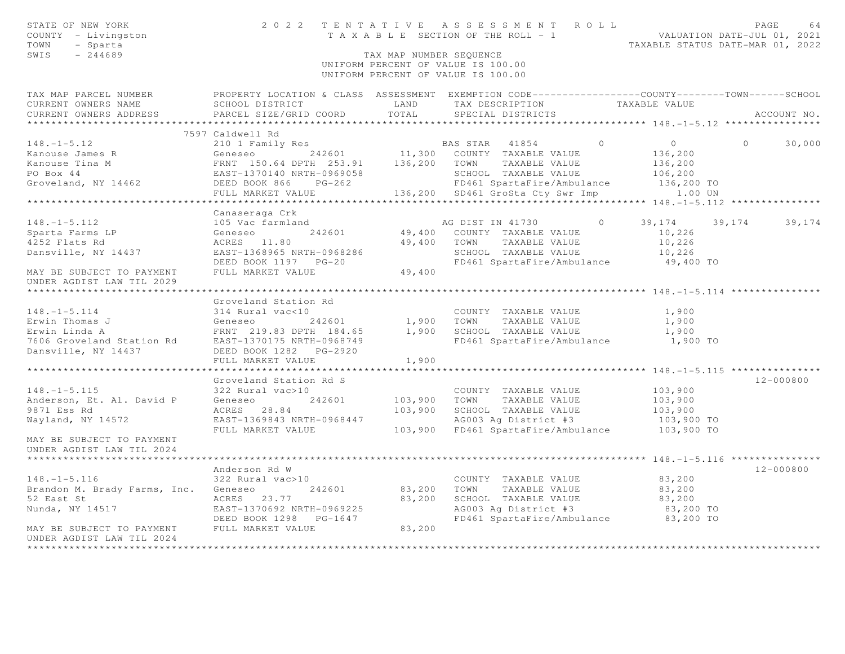| STATE OF NEW YORK<br>COUNTY - Livingston<br>- Sparta<br>TOWN<br>SWIS<br>$-244689$                                                                                                                                                                             |                                           | TAX MAP NUMBER SEOUENCE | 2022 TENTATIVE ASSESSMENT ROLL<br>TENTATIVE ASSESSMENT NVILLES<br>TAXABLE SECTION OF THE ROLL - 1<br>TAXABLE STATUS DATE-MAR 01, 2022<br>UNIFORM PERCENT OF VALUE IS 100.00<br>UNIFORM PERCENT OF VALUE IS 100.00 |                                                 | PAGE<br>64         |
|---------------------------------------------------------------------------------------------------------------------------------------------------------------------------------------------------------------------------------------------------------------|-------------------------------------------|-------------------------|-------------------------------------------------------------------------------------------------------------------------------------------------------------------------------------------------------------------|-------------------------------------------------|--------------------|
| TAX MAP PARCEL NUMBER<br>CURRENT OWNERS NAME<br>CURRENT OWNERS ADDRESS                                                                                                                                                                                        | SCHOOL DISTRICT<br>PARCEL SIZE/GRID COORD | LAND<br>TOTAL           | PROPERTY LOCATION & CLASS ASSESSMENT EXEMPTION CODE-----------------COUNTY--------TOWN------SCHOOL<br>TAX DESCRIPTION<br>SPECIAL DISTRICTS                                                                        | TAXABLE VALUE                                   | ACCOUNT NO.        |
|                                                                                                                                                                                                                                                               |                                           |                         |                                                                                                                                                                                                                   |                                                 |                    |
|                                                                                                                                                                                                                                                               | 7597 Caldwell Rd                          |                         | $\bigcirc$                                                                                                                                                                                                        |                                                 |                    |
| $148. - 1 - 5.12$<br>Xanouse James R<br>Xanouse Tina M<br>ERNT 150.64 DPTH 253.91 11,300 COUNTY TAXABLE VALUE<br>PO Box 44 EAST-1370140 NRTH-0969058 SCHOOL TAXABLE VALUE<br>Groveland, NY 14462 DEED BOOK 866 PG-262 FD461 SpartaFire/Ambulance<br>FULL MARK | 210 1 Family Res                          |                         | BAS STAR 41854                                                                                                                                                                                                    | $\overline{0}$<br>136,200<br>136,200<br>106,200 | $\Omega$<br>30,000 |
|                                                                                                                                                                                                                                                               |                                           |                         | FD461 SpartaFire/Ambulance 136,200 TO                                                                                                                                                                             |                                                 |                    |
|                                                                                                                                                                                                                                                               |                                           |                         |                                                                                                                                                                                                                   | 1.00 UN                                         |                    |
|                                                                                                                                                                                                                                                               |                                           |                         |                                                                                                                                                                                                                   |                                                 |                    |
| $148. - 1 - 5.112$                                                                                                                                                                                                                                            | Canaseraga Crk<br>105 Vac farmland        |                         | AG DIST IN 41730<br>$\overline{0}$                                                                                                                                                                                | 39,174                                          | 39, 174 39, 174    |
|                                                                                                                                                                                                                                                               | 242601<br>Geneseo                         |                         | 49,400 COUNTY TAXABLE VALUE                                                                                                                                                                                       | 10,226                                          |                    |
| Sparta Farms LP<br>1050 Flate Pd<br>4252 Flats Rd                                                                                                                                                                                                             | ACRES 11.80                               | 49,400 TOWN             | TAXABLE VALUE                                                                                                                                                                                                     | 10,226                                          |                    |
| Dansville, NY 14437                                                                                                                                                                                                                                           | EAST-1368965 NRTH-0968286                 |                         | SCHOOL TAXABLE VALUE                                                                                                                                                                                              | 10,226                                          |                    |
|                                                                                                                                                                                                                                                               |                                           |                         | FD461 SpartaFire/Ambulance 49,400 TO                                                                                                                                                                              |                                                 |                    |
| MAY BE SUBJECT TO PAYMENT<br>UNDER AGDIST LAW TIL 2029                                                                                                                                                                                                        | FULL MARKET VALUE                         | 49,400                  |                                                                                                                                                                                                                   |                                                 |                    |
|                                                                                                                                                                                                                                                               | Groveland Station Rd                      |                         |                                                                                                                                                                                                                   |                                                 |                    |
|                                                                                                                                                                                                                                                               |                                           |                         |                                                                                                                                                                                                                   | 1,900                                           |                    |
|                                                                                                                                                                                                                                                               |                                           |                         |                                                                                                                                                                                                                   | 1,900                                           |                    |
|                                                                                                                                                                                                                                                               |                                           |                         |                                                                                                                                                                                                                   | 1,900                                           |                    |
|                                                                                                                                                                                                                                                               | FULL MARKET VALUE                         | 1,900                   | FD461 SpartaFire/Ambulance                                                                                                                                                                                        | 1,900 TO                                        |                    |
|                                                                                                                                                                                                                                                               |                                           |                         |                                                                                                                                                                                                                   |                                                 |                    |
|                                                                                                                                                                                                                                                               | Groveland Station Rd S                    |                         |                                                                                                                                                                                                                   |                                                 | $12 - 000800$      |
| $148. - 1 - 5.115$                                                                                                                                                                                                                                            | 322 Rural vac>10                          |                         | COUNTY TAXABLE VALUE                                                                                                                                                                                              | 103,900                                         |                    |
| Anderson, Et. Al. David P                                                                                                                                                                                                                                     | Geneseo<br>242601                         | 103,900                 | TOWN TAXABLE VALUE                                                                                                                                                                                                | 103,900                                         |                    |
| 9871 Ess Rd<br>Wayland, NY 14572                                                                                                                                                                                                                              | ACRES 28.84<br>EAST-1369843 NRTH-0968447  | 103,900                 | SCHOOL TAXABLE VALUE<br>AG003 Ag District #3                                                                                                                                                                      | 103,900<br>103,900 TO                           |                    |
|                                                                                                                                                                                                                                                               | FULL MARKET VALUE                         |                         | 103,900 FD461 SpartaFire/Ambulance                                                                                                                                                                                | 103,900 TO                                      |                    |
| MAY BE SUBJECT TO PAYMENT<br>UNDER AGDIST LAW TIL 2024<br>*****************************                                                                                                                                                                       |                                           |                         |                                                                                                                                                                                                                   |                                                 |                    |
|                                                                                                                                                                                                                                                               | Anderson Rd W                             |                         |                                                                                                                                                                                                                   |                                                 | $12 - 000800$      |
| $148. - 1 - 5.116$                                                                                                                                                                                                                                            | 322 Rural vac>10                          |                         | COUNTY TAXABLE VALUE                                                                                                                                                                                              | 83,200                                          |                    |
| Brandon M. Brady Farms, Inc. Geneseo                                                                                                                                                                                                                          | 242601                                    | 83,200                  | TOWN TAXABLE VALUE                                                                                                                                                                                                | 83,200                                          |                    |
| 52 East St                                                                                                                                                                                                                                                    | ACRES 23.77                               | 83,200                  | SCHOOL TAXABLE VALUE                                                                                                                                                                                              | 83,200                                          |                    |
| Nunda, NY 14517                                                                                                                                                                                                                                               | EAST-1370692 NRTH-0969225                 |                         | AG003 Ag District #3                                                                                                                                                                                              | 83,200 TO                                       |                    |
|                                                                                                                                                                                                                                                               | DEED BOOK 1298 PG-1647                    |                         | FD461 SpartaFire/Ambulance 83,200 TO                                                                                                                                                                              |                                                 |                    |
| MAY BE SUBJECT TO PAYMENT FULL MARKET VALUE<br>UNDER AGDIST LAW TIL 2024<br>*****************                                                                                                                                                                 |                                           | 83,200                  |                                                                                                                                                                                                                   |                                                 |                    |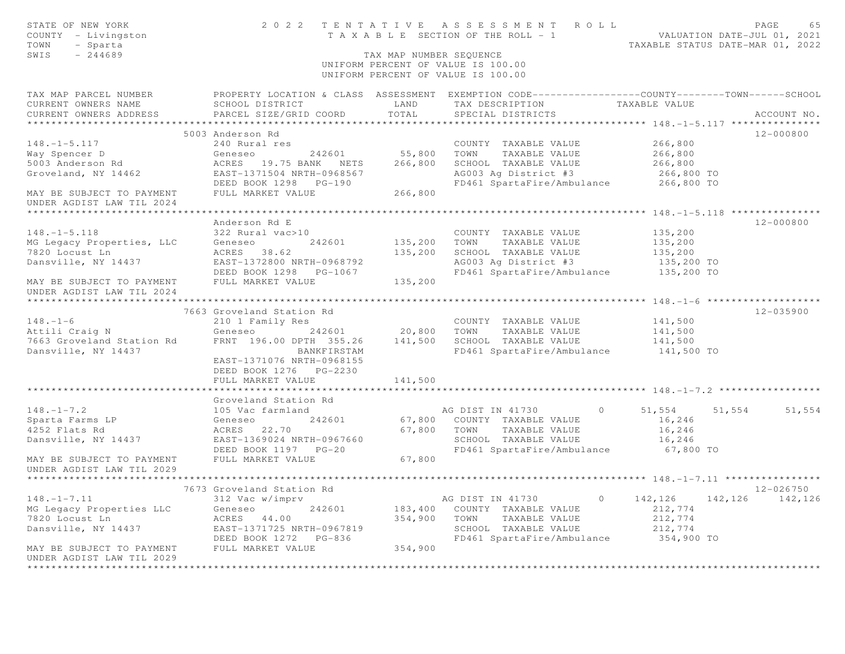| STATE OF NEW YORK<br>COUNTY - Livingston<br>TOWN<br>- Sparta<br>SWIS<br>$-244689$                                                                                       |                                                                                         | TAX MAP NUMBER SEQUENCE | 2022 TENTATIVE ASSESSMENT ROLL<br>TAXABLE SECTION OF THE ROLL - 1<br>TAXABLE SECTION OF THE ROLL - 1<br>TAXABLE STATUS DATE-MAR 01, 2022<br>UNIFORM PERCENT OF VALUE IS 100.00<br>UNIFORM PERCENT OF VALUE IS 100.00 |                           | PAGE<br>65        |
|-------------------------------------------------------------------------------------------------------------------------------------------------------------------------|-----------------------------------------------------------------------------------------|-------------------------|----------------------------------------------------------------------------------------------------------------------------------------------------------------------------------------------------------------------|---------------------------|-------------------|
| TAX MAP PARCEL NUMBER FROPERTY LOCATION & CLASS ASSESSMENT EXEMPTION CODE---------------COUNTY--------TOWN------SCHOOL<br>CURRENT OWNERS NAME<br>CURRENT OWNERS ADDRESS | SCHOOL DISTRICT<br>PARCEL SIZE/GRID COORD                                               | LAND<br>TOTAL           | TAX DESCRIPTION TAXABLE VALUE<br>SPECIAL DISTRICTS                                                                                                                                                                   |                           | ACCOUNT NO.       |
|                                                                                                                                                                         |                                                                                         |                         |                                                                                                                                                                                                                      |                           |                   |
|                                                                                                                                                                         | 5003 Anderson Rd                                                                        |                         |                                                                                                                                                                                                                      |                           | 12-000800         |
| $148. - 1 - 5.117$                                                                                                                                                      | 240 Rural res                                                                           |                         | COUNTY TAXABLE VALUE                                                                                                                                                                                                 | 266,800                   |                   |
| Way Spencer D<br>5003 Anderson Rd                                                                                                                                       |                                                                                         |                         |                                                                                                                                                                                                                      | 266,800                   |                   |
|                                                                                                                                                                         |                                                                                         |                         | SCHOOL TAXABLE VALUE                                                                                                                                                                                                 | 266,800                   |                   |
| Groveland, NY 14462                                                                                                                                                     | EAST-1371504 NRTH-0968567                                                               |                         | AG003 Ag District #3                                                                                                                                                                                                 | 266,800 TO                |                   |
| MAY BE SUBJECT TO PAYMENT<br>UNDER AGDIST LAW TIL 2024                                                                                                                  | DEED BOOK 1298 PG-190<br>FULL MARKET VALUE                                              | 266,800                 | FD461 SpartaFire/Ambulance 266,800 TO                                                                                                                                                                                |                           |                   |
|                                                                                                                                                                         |                                                                                         |                         |                                                                                                                                                                                                                      |                           |                   |
|                                                                                                                                                                         | Anderson Rd E                                                                           |                         |                                                                                                                                                                                                                      |                           | 12-000800         |
| $148. - 1 - 5.118$                                                                                                                                                      | 322 Rural vac>10                                                                        |                         | COUNTY TAXABLE VALUE                                                                                                                                                                                                 | 135,200                   |                   |
| MG Legacy Properties, LLC                                                                                                                                               | 242601<br>Geneseo                                                                       |                         | 135,200 TOWN TAXABLE VALUE                                                                                                                                                                                           | 135,200                   |                   |
| 7820 Locust Ln                                                                                                                                                          | ACRES 38.62                                                                             | 135,200                 | SCHOOL TAXABLE VALUE                                                                                                                                                                                                 | $135,200$<br>$135,200$ TO |                   |
| Dansville, NY 14437                                                                                                                                                     | EAST-1372800 NRTH-0968792                                                               |                         | AG003 Ag District #3                                                                                                                                                                                                 |                           |                   |
|                                                                                                                                                                         |                                                                                         |                         | FD461 SpartaFire/Ambulance 135,200 TO                                                                                                                                                                                |                           |                   |
| MAY BE SUBJECT TO PAYMENT<br>UNDER AGDIST LAW TIL 2024                                                                                                                  | FULL MARKET VALUE                                                                       | 135,200                 |                                                                                                                                                                                                                      |                           |                   |
| ******************                                                                                                                                                      |                                                                                         |                         |                                                                                                                                                                                                                      |                           |                   |
|                                                                                                                                                                         | 7663 Groveland Station Rd                                                               |                         |                                                                                                                                                                                                                      |                           | 12-035900         |
| $148. - 1 - 6$                                                                                                                                                          | 210 1 Family Res                                                                        |                         | COUNTY TAXABLE VALUE                                                                                                                                                                                                 | 141,500                   |                   |
| Attili Craig N                                                                                                                                                          |                                                                                         |                         | Geneseo 242601 20,800 TOWN TAXABLE VALUE                                                                                                                                                                             | 141,500                   |                   |
| 7663 Groveland Station Rd                                                                                                                                               | FRNT 196.00 DPTH 355.26                                                                 | 141,500                 | SCHOOL TAXABLE VALUE                                                                                                                                                                                                 | 141,500                   |                   |
| Dansville, NY 14437                                                                                                                                                     | BANKFIRSTAM<br>EAST-1371076 NRTH-0968155<br>DEED BOOK 1276 PG-2230<br>FULL MARKET VALUE | 141,500                 | FD461 SpartaFire/Ambulance 141,500 TO                                                                                                                                                                                |                           |                   |
|                                                                                                                                                                         |                                                                                         |                         |                                                                                                                                                                                                                      |                           |                   |
|                                                                                                                                                                         | Groveland Station Rd                                                                    |                         |                                                                                                                                                                                                                      |                           |                   |
| $148. - 1 - 7.2$                                                                                                                                                        | 105 Vac farmland                                                                        |                         | AG DIST IN 41730<br>$\overline{0}$                                                                                                                                                                                   | 51,554 51,554 51,554      |                   |
| 140.<br>Sparta Farms LP                                                                                                                                                 | Geneseo<br>242601                                                                       |                         | 67,800 COUNTY TAXABLE VALUE                                                                                                                                                                                          | 16,246                    |                   |
| 4252 Flats Rd                                                                                                                                                           | ACRES 22.70                                                                             | 67,800 TOWN             | TAXABLE VALUE                                                                                                                                                                                                        | 16,246                    |                   |
| Dansville, NY 14437                                                                                                                                                     | EAST-1369024 NRTH-0967660<br>DEED BOOK 1197 PG-20                                       |                         | SCHOOL TAXABLE VALUE<br>FD461 SpartaFire/Ambulance 67,800 TO                                                                                                                                                         | 16,246                    |                   |
| MAY BE SUBJECT TO PAYMENT<br>UNDER AGDIST LAW TIL 2029                                                                                                                  | FULL MARKET VALUE                                                                       | 67,800                  |                                                                                                                                                                                                                      |                           |                   |
|                                                                                                                                                                         |                                                                                         |                         |                                                                                                                                                                                                                      |                           |                   |
|                                                                                                                                                                         | 7673 Groveland Station Rd                                                               |                         |                                                                                                                                                                                                                      |                           | 12-026750         |
| $148. - 1 - 7.11$                                                                                                                                                       | 312 Vac w/imprv                                                                         |                         | AG DIST IN 41730<br>$\circ$                                                                                                                                                                                          | 142,126                   | 142, 126 142, 126 |
| MG Legacy Properties LLC                                                                                                                                                | 242601<br>Geneseo                                                                       |                         | 183,400 COUNTY TAXABLE VALUE                                                                                                                                                                                         | 212,774                   |                   |
| 7820 Locust Ln                                                                                                                                                          | ACRES 44.00                                                                             | 354,900                 | TOWN TAXABLE VALUE                                                                                                                                                                                                   | 212,774                   |                   |
| Dansville, NY 14437                                                                                                                                                     | EAST-1371725 NRTH-0967819                                                               |                         | SCHOOL TAXABLE VALUE                                                                                                                                                                                                 | 212,774                   |                   |
|                                                                                                                                                                         | DEED BOOK 1272 PG-836                                                                   |                         | FD461 SpartaFire/Ambulance 354,900 TO                                                                                                                                                                                |                           |                   |
| MAY BE SUBJECT TO PAYMENT                                                                                                                                               | FULL MARKET VALUE                                                                       | 354,900                 |                                                                                                                                                                                                                      |                           |                   |
| UNDER AGDIST LAW TIL 2029                                                                                                                                               |                                                                                         |                         |                                                                                                                                                                                                                      |                           |                   |
|                                                                                                                                                                         |                                                                                         |                         |                                                                                                                                                                                                                      |                           |                   |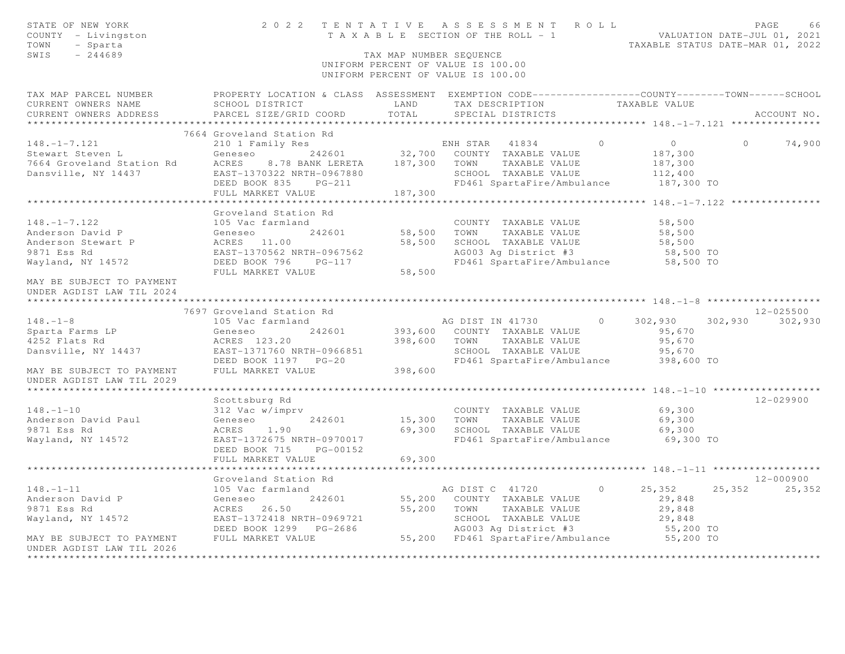| STATE OF NEW YORK<br>COUNTY - Livingston<br>TOWN<br>- Sparta<br>$-244689$<br>SWIS |                                                                                                  | TAX MAP NUMBER SEQUENCE | 2022 TENTATIVE ASSESSMENT ROLL<br>T A X A B L E SECTION OF THE ROLL - 1<br>UNIFORM PERCENT OF VALUE IS 100.00<br>UNIFORM PERCENT OF VALUE IS 100.00 |                                   | PAGE<br>66<br>VALUATION DATE-JUL 01, 2021<br>TAXABLE STATUS DATE-MAR 01, 2022 |
|-----------------------------------------------------------------------------------|--------------------------------------------------------------------------------------------------|-------------------------|-----------------------------------------------------------------------------------------------------------------------------------------------------|-----------------------------------|-------------------------------------------------------------------------------|
| TAX MAP PARCEL NUMBER                                                             | PROPERTY LOCATION & CLASS ASSESSMENT EXEMPTION CODE----------------COUNTY-------TOWN------SCHOOL |                         |                                                                                                                                                     |                                   |                                                                               |
| CURRENT OWNERS NAME<br>CURRENT OWNERS ADDRESS<br>*************************        | SCHOOL DISTRICT<br>PARCEL SIZE/GRID COORD                                                        | LAND<br>TOTAL           | TAX DESCRIPTION<br>SPECIAL DISTRICTS                                                                                                                | TAXABLE VALUE                     | ACCOUNT NO.                                                                   |
|                                                                                   | 7664 Groveland Station Rd                                                                        |                         |                                                                                                                                                     |                                   |                                                                               |
| $148. - 1 - 7.121$                                                                | 210 1 Family Res                                                                                 |                         | ENH STAR 41834                                                                                                                                      | $\bigcirc$<br>$\overline{0}$      | $\Omega$<br>74,900                                                            |
| Stewart Steven L                                                                  | Geneseo<br>242601                                                                                | 32,700                  | COUNTY TAXABLE VALUE                                                                                                                                | 187,300                           |                                                                               |
| 7664 Groveland Station Rd                                                         | ACRES<br>8.78 BANK LERETA                                                                        | 187,300                 | TOWN<br>TAXABLE VALUE                                                                                                                               | 187,300                           |                                                                               |
| Dansville, NY 14437                                                               | EAST-1370322 NRTH-0967880                                                                        |                         | SCHOOL TAXABLE VALUE                                                                                                                                | 112,400                           |                                                                               |
|                                                                                   | DEED BOOK 835<br>$PG-211$                                                                        |                         | FD461 SpartaFire/Ambulance                                                                                                                          | 187,300 TO                        |                                                                               |
|                                                                                   | FULL MARKET VALUE                                                                                | 187,300                 |                                                                                                                                                     |                                   |                                                                               |
|                                                                                   | * * * * * * * * * * * * * * * * * * * *                                                          |                         |                                                                                                                                                     |                                   | ************************* 148. -1-7.122 ***************                       |
|                                                                                   | Groveland Station Rd                                                                             |                         |                                                                                                                                                     |                                   |                                                                               |
| $148. - 1 - 7.122$                                                                | 105 Vac farmland                                                                                 |                         | COUNTY TAXABLE VALUE                                                                                                                                | 58,500                            |                                                                               |
| Anderson David P                                                                  | 242601<br>Geneseo                                                                                | 58,500                  | TAXABLE VALUE<br>TOWN                                                                                                                               | 58,500                            |                                                                               |
| Anderson Stewart P                                                                | ACRES 11.00                                                                                      | 58,500                  | SCHOOL TAXABLE VALUE                                                                                                                                | 58,500                            |                                                                               |
| 9871 Ess Rd                                                                       | EAST-1370562 NRTH-0967562                                                                        |                         | AG003 Ag District #3                                                                                                                                | 58,500 TO                         |                                                                               |
| Wayland, NY 14572                                                                 | DEED BOOK 796<br>$PG-117$<br>FULL MARKET VALUE                                                   | 58,500                  | FD461 SpartaFire/Ambulance                                                                                                                          | 58,500 TO                         |                                                                               |
| MAY BE SUBJECT TO PAYMENT                                                         |                                                                                                  |                         |                                                                                                                                                     |                                   |                                                                               |
| UNDER AGDIST LAW TIL 2024                                                         |                                                                                                  |                         |                                                                                                                                                     |                                   |                                                                               |
|                                                                                   |                                                                                                  |                         |                                                                                                                                                     |                                   |                                                                               |
|                                                                                   | 7697 Groveland Station Rd                                                                        |                         |                                                                                                                                                     |                                   | 12-025500                                                                     |
| $148. - 1 - 8$                                                                    | 105 Vac farmland                                                                                 |                         | AG DIST IN 41730                                                                                                                                    | $\circ$<br>302,930                | 302,930<br>302,930                                                            |
| Sparta Farms LP                                                                   | Geneseo<br>242601                                                                                | 393,600                 | COUNTY TAXABLE VALUE                                                                                                                                | 95,670                            |                                                                               |
| 4252 Flats Rd                                                                     | ACRES 123.20                                                                                     | 398,600                 | TAXABLE VALUE<br>TOWN                                                                                                                               | 95,670                            |                                                                               |
| Dansville, NY 14437                                                               | EAST-1371760 NRTH-0966851                                                                        |                         | SCHOOL TAXABLE VALUE                                                                                                                                | 95,670                            |                                                                               |
|                                                                                   | DEED BOOK 1197 PG-20                                                                             |                         | FD461 SpartaFire/Ambulance                                                                                                                          | 398,600 TO                        |                                                                               |
| MAY BE SUBJECT TO PAYMENT                                                         | FULL MARKET VALUE                                                                                | 398,600                 |                                                                                                                                                     |                                   |                                                                               |
| UNDER AGDIST LAW TIL 2029                                                         |                                                                                                  |                         |                                                                                                                                                     |                                   |                                                                               |
| *****************************                                                     |                                                                                                  |                         |                                                                                                                                                     |                                   |                                                                               |
|                                                                                   | Scottsburg Rd                                                                                    |                         |                                                                                                                                                     |                                   | $12 - 029900$                                                                 |
| $148. - 1 - 10$                                                                   | 312 Vac w/imprv                                                                                  |                         | COUNTY TAXABLE VALUE                                                                                                                                | 69,300                            |                                                                               |
| Anderson David Paul                                                               | 242601<br>Geneseo                                                                                | 15,300                  | TOWN<br>TAXABLE VALUE                                                                                                                               | 69,300                            |                                                                               |
| 9871 Ess Rd                                                                       | ACRES<br>1.90                                                                                    | 69,300                  | SCHOOL TAXABLE VALUE                                                                                                                                | 69,300                            |                                                                               |
| Wayland, NY 14572                                                                 | EAST-1372675 NRTH-0970017                                                                        |                         | FD461 SpartaFire/Ambulance                                                                                                                          | 69,300 TO                         |                                                                               |
|                                                                                   | DEED BOOK 715<br>PG-00152<br>FULL MARKET VALUE                                                   | 69,300                  |                                                                                                                                                     |                                   |                                                                               |
|                                                                                   |                                                                                                  |                         |                                                                                                                                                     | *********** 148.-1-11 *********** |                                                                               |
|                                                                                   | Groveland Station Rd                                                                             |                         |                                                                                                                                                     |                                   | $12 - 000900$                                                                 |
| $148. - 1 - 11$                                                                   | 105 Vac farmland                                                                                 |                         | AG DIST C 41720                                                                                                                                     | $\cap$<br>25,352                  | 25,352<br>25,352                                                              |
| Anderson David P                                                                  | 242601<br>Geneseo                                                                                | 55,200                  | COUNTY TAXABLE VALUE                                                                                                                                | 29,848                            |                                                                               |
| 9871 Ess Rd                                                                       | ACRES 26.50                                                                                      | 55,200                  | TOWN<br>TAXABLE VALUE                                                                                                                               | 29,848                            |                                                                               |
| Wayland, NY 14572                                                                 | EAST-1372418 NRTH-0969721                                                                        |                         | SCHOOL TAXABLE VALUE                                                                                                                                | 29,848                            |                                                                               |
|                                                                                   | DEED BOOK 1299 PG-2686                                                                           |                         | AG003 Ag District #3                                                                                                                                | 55,200 TO                         |                                                                               |
| MAY BE SUBJECT TO PAYMENT                                                         | FULL MARKET VALUE                                                                                |                         | 55,200 FD461 SpartaFire/Ambulance                                                                                                                   | 55,200 TO                         |                                                                               |
| UNDER AGDIST LAW TIL 2026                                                         |                                                                                                  |                         |                                                                                                                                                     |                                   |                                                                               |
|                                                                                   |                                                                                                  |                         |                                                                                                                                                     |                                   |                                                                               |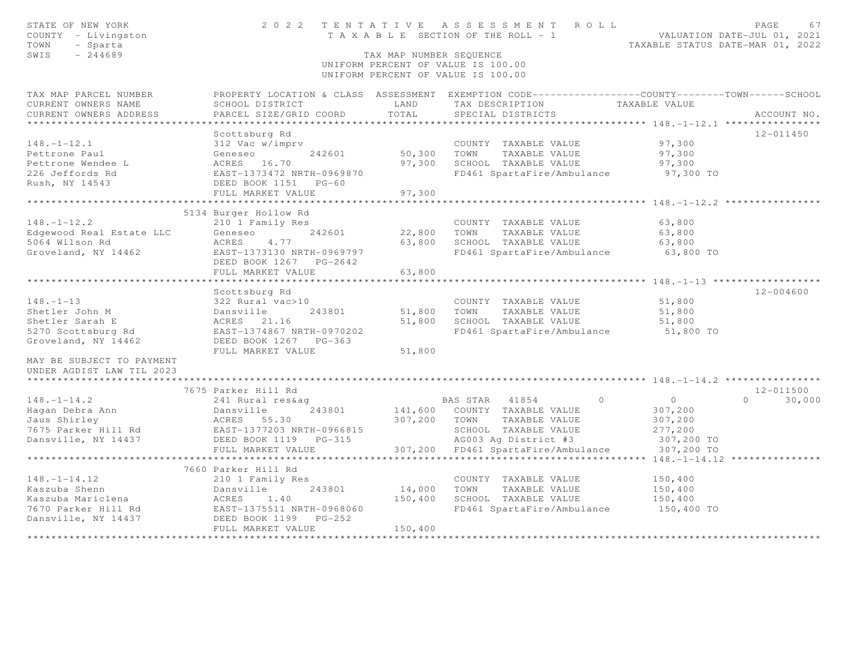| STATE OF NEW YORK<br>COUNTY - Livingston<br>TOWN<br>- Sparta<br>$-244689$<br>SWIS                                                                           | 2022 TENTATIVE                                                                                                                                                                          | TAX MAP NUMBER SEQUENCE                               | ASSESSMENT ROLL<br>T A X A B L E SECTION OF THE ROLL - 1<br>UNIFORM PERCENT OF VALUE IS 100.00<br>UNIFORM PERCENT OF VALUE IS 100.00                                        |                                                                      | PAGE<br>67<br>VALUATION DATE-JUL 01, 2021<br>TAXABLE STATUS DATE-MAR 01, 2022 |
|-------------------------------------------------------------------------------------------------------------------------------------------------------------|-----------------------------------------------------------------------------------------------------------------------------------------------------------------------------------------|-------------------------------------------------------|-----------------------------------------------------------------------------------------------------------------------------------------------------------------------------|----------------------------------------------------------------------|-------------------------------------------------------------------------------|
| TAX MAP PARCEL NUMBER<br>CURRENT OWNERS NAME<br>CURRENT OWNERS ADDRESS                                                                                      | SCHOOL DISTRICT<br>PARCEL SIZE/GRID COORD                                                                                                                                               | LAND<br>TOTAL                                         | PROPERTY LOCATION & CLASS ASSESSMENT EXEMPTION CODE----------------COUNTY-------TOWN------SCHOOL<br>TAX DESCRIPTION<br>SPECIAL DISTRICTS                                    | TAXABLE VALUE                                                        | ACCOUNT NO.                                                                   |
| $148. - 1 - 12.1$<br>Pettrone Paul<br>Pettrone Wendee L<br>226 Jeffords Rd<br>Rush, NY 14543                                                                | Scottsburg Rd<br>312 Vac w/imprv<br>242601<br>Geneseo<br>ACRES 16.70<br>EAST-1373472 NRTH-0969870<br>DEED BOOK 1151<br>$PG-60$<br>FULL MARKET VALUE                                     | 50,300<br>97,300<br>97,300                            | COUNTY TAXABLE VALUE<br>TOWN<br>TAXABLE VALUE<br>SCHOOL TAXABLE VALUE<br>FD461 SpartaFire/Ambulance                                                                         | 97,300<br>97,300<br>97,300<br>97,300 TO                              | $12 - 011450$                                                                 |
| $148. - 1 - 12.2$<br>Edgewood Real Estate LLC<br>5064 Wilson Rd<br>Groveland, NY 14462                                                                      | 5134 Burger Hollow Rd<br>210 1 Family Res<br>242601<br>Geneseo<br>ACRES<br>4.77<br>EAST-1373130 NRTH-0969797<br>DEED BOOK 1267 PG-2642<br>FULL MARKET VALUE                             | 22,800<br>63,800<br>63,800<br>* * * * * * * * * * * * | COUNTY TAXABLE VALUE<br>TOWN<br>TAXABLE VALUE<br>SCHOOL TAXABLE VALUE<br>FD461 SpartaFire/Ambulance                                                                         | 63,800<br>63,800<br>63,800<br>63,800 TO                              |                                                                               |
| $148. - 1 - 13$<br>Shetler John M<br>Shetler Sarah E<br>5270 Scottsburg Rd<br>Groveland, NY 14462<br>MAY BE SUBJECT TO PAYMENT<br>UNDER AGDIST LAW TIL 2023 | Scottsburg Rd<br>322 Rural vac>10<br>Dansville<br>243801<br>ACRES 21.16<br>EAST-1374867 NRTH-0970202<br>DEED BOOK 1267<br>$PG-363$<br>FULL MARKET VALUE                                 | 51,800<br>51,800<br>51,800                            | COUNTY TAXABLE VALUE<br>TOWN<br>TAXABLE VALUE<br>SCHOOL TAXABLE VALUE<br>FD461 SpartaFire/Ambulance                                                                         | 51,800<br>51,800<br>51,800<br>51,800 TO                              | $12 - 004600$                                                                 |
| $148. - 1 - 14.2$<br>Hagan Debra Ann<br>Jaus Shirley<br>7675 Parker Hill Rd<br>Dansville, NY 14437                                                          | 7675 Parker Hill Rd<br>241 Rural res&aq<br>243801<br>Dansville<br>ACRES 55.30<br>EAST-1377203 NRTH-0966815<br>DEED BOOK 1119<br>PG-315<br>FULL MARKET VALUE<br>************************ | 307,200                                               | $\bigcirc$<br>BAS STAR 41854<br>141,600 COUNTY TAXABLE VALUE<br>TOWN<br>TAXABLE VALUE<br>SCHOOL TAXABLE VALUE<br>AG003 Ag District #3<br>307,200 FD461 SpartaFire/Ambulance | $\circ$<br>307,200<br>307,200<br>277,200<br>307,200 TO<br>307,200 TO | $12 - 011500$<br>$\Omega$<br>30,000                                           |
| $148. - 1 - 14.12$<br>Kaszuba Shenn<br>Kaszuba Mariclena<br>7670 Parker Hill Rd<br>Dansville, NY 14437                                                      | 7660 Parker Hill Rd<br>210 1 Family Res<br>243801<br>Dansville<br>ACRES<br>1.40<br>EAST-1375511 NRTH-0968060<br>DEED BOOK 1199 PG-252<br>FULL MARKET VALUE                              | 14,000<br>150,400<br>150,400                          | COUNTY TAXABLE VALUE<br>TAXABLE VALUE<br>TOWN<br>SCHOOL TAXABLE VALUE<br>FD461 SpartaFire/Ambulance                                                                         | 150,400<br>150,400<br>150,400<br>150,400 TO                          |                                                                               |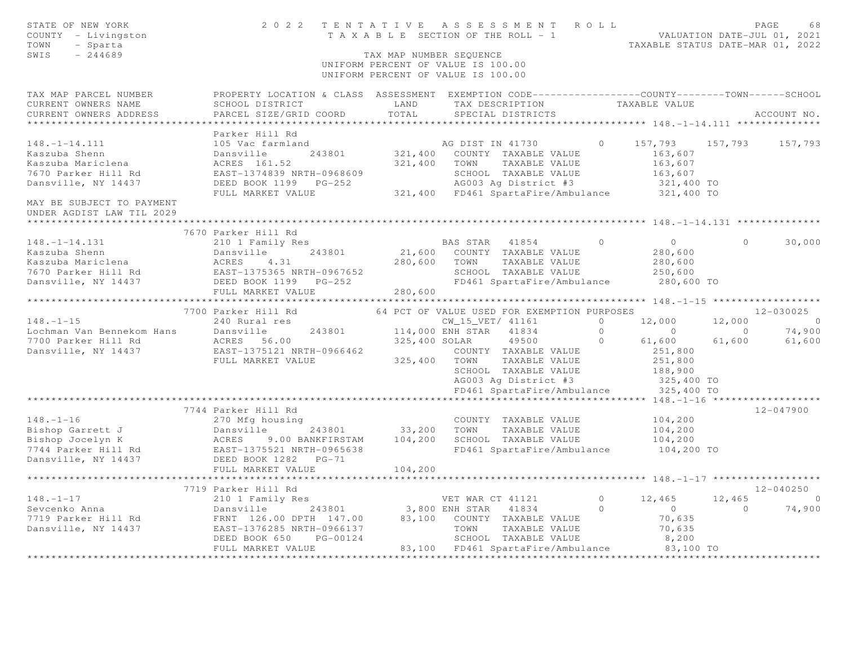| STATE OF NEW YORK<br>COUNTY - Livingston<br>TOWN<br>- Sparta<br>SWIS<br>$-244689$                                                    |                                                                                                                                                                                                                                                            | 2022 TENTATIVE ASSESSMENT ROLL<br>TENTATIVE ASSESSMENT NVILLE VALUATION DATE-JUL 01, 2021<br>TAXABLE SECTION OF THE ROLL - 1<br>TAXABLE STATUS DATE-MAR 01, 2022<br>TAX MAP NUMBER SEQUENCE<br>UNIFORM PERCENT OF VALUE IS 100.00<br>UNIFORM PERCENT OF VALUE IS 100.00            | PAGE<br>68                                                                                                                                                                                      |
|--------------------------------------------------------------------------------------------------------------------------------------|------------------------------------------------------------------------------------------------------------------------------------------------------------------------------------------------------------------------------------------------------------|------------------------------------------------------------------------------------------------------------------------------------------------------------------------------------------------------------------------------------------------------------------------------------|-------------------------------------------------------------------------------------------------------------------------------------------------------------------------------------------------|
| TAX MAP PARCEL NUMBER<br>CURRENT OWNERS NAME<br>CURRENT OWNERS ADDRESS                                                               | SCHOOL DISTRICT<br>PARCEL SIZE/GRID COORD                                                                                                                                                                                                                  | PROPERTY LOCATION & CLASS ASSESSMENT EXEMPTION CODE----------------COUNTY-------TOWN------SCHOOL<br>LAND TAX DESCRIPTION TAXABLE VALUE<br>TOTAL<br>SPECIAL DISTRICTS                                                                                                               | ACCOUNT NO.                                                                                                                                                                                     |
| $148. - 1 - 14.111$<br>Kaszuba Shenn<br>Kaszuba Mariclena<br>7670 Parker Hill Rd<br>Dansville, NY 14437<br>MAY BE SUBJECT TO PAYMENT | Parker Hill Rd<br>105 Vac farmland<br>Dansville<br>243801<br>ACRES 161.52                                                                                                                                                                                  | $\bigcirc$<br>AG DIST IN 41730<br>321,400 COUNTY TAXABLE VALUE<br>321,400 TOWN TAXABLE VALUE<br>EAST-1374839 NRTH-0968609 SCHOOL TAXABLE VALUE 163,607<br>DEED BOOK 1199 PG-252 AG003 Ag District #3 321,400 TO<br>FULL MARKET VALUE 321,400 FD461 SpartaFire/Ambulance 321,400 TO | 157,793 157,793<br>157,793<br>163,607<br>163,607<br>$163,607$<br>$321,400$ TO                                                                                                                   |
| UNDER AGDIST LAW TIL 2029                                                                                                            |                                                                                                                                                                                                                                                            |                                                                                                                                                                                                                                                                                    |                                                                                                                                                                                                 |
| $148. - 1 - 14.131$                                                                                                                  | 7670 Parker Hill Rd<br>210 1 Family Res<br>Example 243801 21,600<br>Example 243801 21,600<br>EXALES 4.31 280,600<br>7670 Parker Hill Rd EAST-1375365 NRTH-0967652<br>Dansville, NY 14437 DEED BOOK 1199 PG-252<br>FULL MARKET VALUE<br>7700 Parker Hill Rd | BAS STAR 41854<br>$\Omega$<br>21,600 COUNTY TAXABLE VALUE<br>280,600 TOWN TAXABLE VALUE<br>SCHOOL TAXABLE VALUE<br>FD461 SpartaFire/Ambulance<br>280,600<br>64 PCT OF VALUE USED FOR EXEMPTION PURPOSES<br>$\overline{a}$                                                          | $\overline{0}$<br>$\Omega$<br>30,000<br>280,600<br>280,600<br>250,600<br>280,600 TO<br>12-030025<br>12,000<br>12,000<br>$\sim$ 0<br>$\begin{matrix}0&0\end{matrix}$<br>74,900<br>$\overline{0}$ |
|                                                                                                                                      |                                                                                                                                                                                                                                                            | $\overline{0}$<br>COUNTY TAXABLE VALUE<br>SCHOOL TAXABLE VALUE<br>AG003 Ag District #3 325,400 TO<br>FD461 SpartaFire/Ambulance 325,400 TO                                                                                                                                         | 61,600<br>61,600<br>61,600<br>251,800<br>251,800<br>188,900                                                                                                                                     |
|                                                                                                                                      |                                                                                                                                                                                                                                                            |                                                                                                                                                                                                                                                                                    |                                                                                                                                                                                                 |
| $148. - 1 - 16$<br>7744 Parker Hill Rd<br>Dansville, NY 14437                                                                        | 7744 Parker Hill Rd<br>270 Mfg housing<br>Example 243801<br>Bishop Garrett J Dansville 243801<br>Bishop Jocelyn K ACRES 9.00 BANKFIRSTAM<br>7744 Parker Hill Rd EAST-1375521 NRTH-0965638<br>DEED BOOK 1282    PG-71<br>FULL MARKET VALUE                  | COUNTY TAXABLE VALUE<br>243801 33,200 TOWN<br>TAXABLE VALUE<br>104,200 SCHOOL TAXABLE VALUE<br>FD461 SpartaFire/Ambulance<br>104,200                                                                                                                                               | $12 - 047900$<br>104,200<br>104,200<br>104,200<br>104,200 TO                                                                                                                                    |
|                                                                                                                                      | 7719 Parker Hill Rd                                                                                                                                                                                                                                        |                                                                                                                                                                                                                                                                                    | 12-040250                                                                                                                                                                                       |
| $148. - 1 - 17$<br>Sevcenko Anna<br>7719 Parker Hill Rd<br>Dansville, NY 14437                                                       | 210 1 Family Res<br>EAST-1376285 NRTH-0966137<br>DEED BOOK 650<br>PG-00124<br>FULL MARKET VALUE                                                                                                                                                            | VET WAR CT 41121<br>Dansville 243801 3,800 ENH STAR 41834<br>FRNT 126.00 DPTH 147.00 83,100 COUNTY TAXABLE VALUE<br>$\Omega$<br>TOWN<br>TAXABLE VALUE<br>SCHOOL TAXABLE VALUE<br>83,100 FD461 SpartaFire/Ambulance 83,100 TO                                                       | $0 \t 12,465$<br>12,465<br>$\overline{0}$<br>74,900<br>$\overline{0}$<br>$\overline{a}$<br>70,635<br>70,635<br>8,200                                                                            |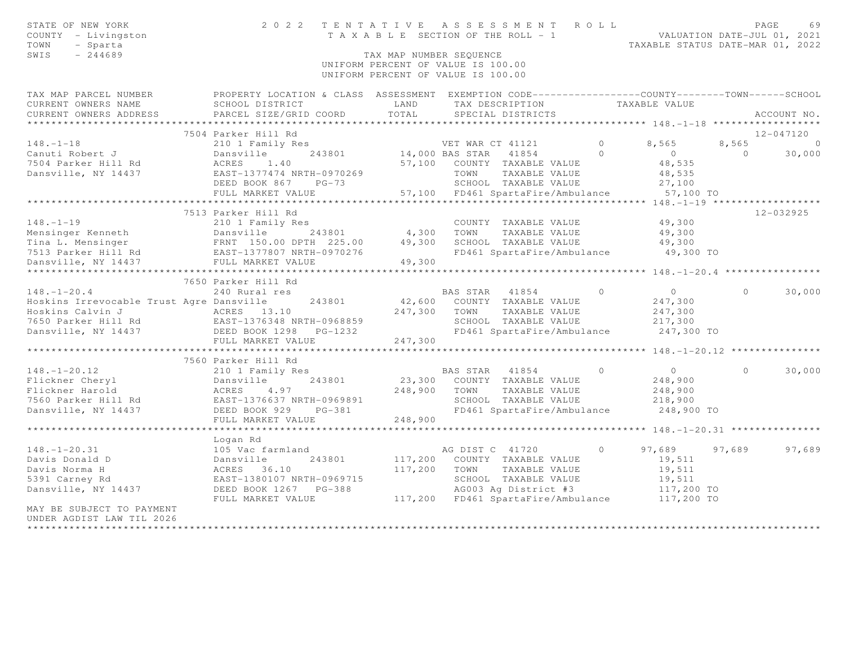| STATE OF NEW YORK<br>COUNTY - Livingston<br>TOWN<br>- Sparta<br>SWIS<br>$-244689$                                                                                                                                                                                                                                                                                                                                                               |                                                                                                               | TAX MAP NUMBER SEQUENCE | TENTATIVE ASSESSMENT ROLL PAGE 69<br>TAXABLE SECTION OF THE ROLL - 1 VALUATION DATE-JUL 01, 2021<br>TAXABLE STATUS DATE-MAR 01, 2022<br>2022 TENTATIVE ASSESSMENT ROLL<br>UNIFORM PERCENT OF VALUE IS 100.00<br>UNIFORM PERCENT OF VALUE IS 100.00 |         |                      |          |                  |
|-------------------------------------------------------------------------------------------------------------------------------------------------------------------------------------------------------------------------------------------------------------------------------------------------------------------------------------------------------------------------------------------------------------------------------------------------|---------------------------------------------------------------------------------------------------------------|-------------------------|----------------------------------------------------------------------------------------------------------------------------------------------------------------------------------------------------------------------------------------------------|---------|----------------------|----------|------------------|
| TAX MAP PARCEL NUMBER PROPERTY LOCATION & CLASS ASSESSMENT EXEMPTION CODE---------------COUNTY-------TOWN------SCHOOL<br>CURRENT OWNERS NAME<br>CURRENT OWNERS ADDRESS                                                                                                                                                                                                                                                                          | SCHOOL DISTRICT LAND<br>PARCEL SIZE/GRID COORD                                                                | TOTAL                   | TAX DESCRIPTION<br>SPECIAL DISTRICTS                                                                                                                                                                                                               |         | TAXABLE VALUE        |          | ACCOUNT NO.      |
| ***********************                                                                                                                                                                                                                                                                                                                                                                                                                         |                                                                                                               |                         |                                                                                                                                                                                                                                                    |         |                      |          |                  |
|                                                                                                                                                                                                                                                                                                                                                                                                                                                 | 7504 Parker Hill Rd                                                                                           |                         |                                                                                                                                                                                                                                                    |         |                      |          | 12-047120        |
| $148. - 1 - 18$                                                                                                                                                                                                                                                                                                                                                                                                                                 |                                                                                                               |                         |                                                                                                                                                                                                                                                    |         | 8,565<br>$\bigcirc$  | $\Omega$ | 8,565<br>$\circ$ |
| Canuti Robert J                                                                                                                                                                                                                                                                                                                                                                                                                                 | ACRES 1.40                                                                                                    |                         |                                                                                                                                                                                                                                                    |         |                      |          | 30,000           |
| 7504 Parker Hill Rd                                                                                                                                                                                                                                                                                                                                                                                                                             |                                                                                                               |                         | 57,100 COUNTY TAXABLE VALUE<br>TOWN TAXABLE VALUE                                                                                                                                                                                                  |         | 48,535<br>48,535     |          |                  |
| Dansville, NY 14437                                                                                                                                                                                                                                                                                                                                                                                                                             | EAST-1377474 NRTH-0970269<br>DEED BOOK 867 PG-73                                                              |                         |                                                                                                                                                                                                                                                    |         | 27,100               |          |                  |
|                                                                                                                                                                                                                                                                                                                                                                                                                                                 | FULL MARKET VALUE                                                                                             |                         | SCHOOL TAXABLE VALUE<br>57,100 FD461 SpartaFire/Ambulance 57,100 TO                                                                                                                                                                                |         |                      |          |                  |
|                                                                                                                                                                                                                                                                                                                                                                                                                                                 |                                                                                                               |                         |                                                                                                                                                                                                                                                    |         |                      |          |                  |
|                                                                                                                                                                                                                                                                                                                                                                                                                                                 | 7513 Parker Hill Rd                                                                                           |                         |                                                                                                                                                                                                                                                    |         |                      |          | 12-032925        |
|                                                                                                                                                                                                                                                                                                                                                                                                                                                 |                                                                                                               |                         |                                                                                                                                                                                                                                                    |         | 49,300               |          |                  |
|                                                                                                                                                                                                                                                                                                                                                                                                                                                 |                                                                                                               |                         |                                                                                                                                                                                                                                                    |         |                      |          |                  |
|                                                                                                                                                                                                                                                                                                                                                                                                                                                 |                                                                                                               |                         |                                                                                                                                                                                                                                                    |         | 49,300<br>49,300     |          |                  |
| $\begin{tabular}{lllllllllllllllllllll} \hline 148.-1-19 & 210&1 Family Res & 200NTY TAXABLE VALUE \\ \hline \texttt{Mensinger Kenneth} & \texttt{Dansville} & 243801 & 4,300 TOWN TAXABLE VALUE \\ \texttt{Tina L. Mensinger} & \texttt{FRNT} & 150.00 DPH & 225.00 & 49,300 SCHOOL TAXABLE VALUE \\ \hline \texttt{7513 Parker Hill Rd} & \texttt{EAST-1377807 NRFH-0970276} & \texttt{FP461 SpartaFire/Ambulance \\ \texttt{Dansville, NY 1$ |                                                                                                               |                         | FD461 SpartaFire/Ambulance 49,300 TO                                                                                                                                                                                                               |         |                      |          |                  |
|                                                                                                                                                                                                                                                                                                                                                                                                                                                 |                                                                                                               |                         |                                                                                                                                                                                                                                                    |         |                      |          |                  |
|                                                                                                                                                                                                                                                                                                                                                                                                                                                 |                                                                                                               |                         |                                                                                                                                                                                                                                                    |         |                      |          |                  |
|                                                                                                                                                                                                                                                                                                                                                                                                                                                 | 7650 Parker Hill Rd                                                                                           |                         |                                                                                                                                                                                                                                                    |         |                      |          |                  |
| $148. - 1 - 20.4$                                                                                                                                                                                                                                                                                                                                                                                                                               | 240 Rural res                                                                                                 |                         | BAS STAR 41854                                                                                                                                                                                                                                     | $\circ$ | $\overline{0}$       | $\Omega$ | 30,000           |
| Hoskins Irrevocable Trust Agre Dansville                                                                                                                                                                                                                                                                                                                                                                                                        | 243801                                                                                                        |                         | 42,600 COUNTY TAXABLE VALUE                                                                                                                                                                                                                        |         | 247,300              |          |                  |
|                                                                                                                                                                                                                                                                                                                                                                                                                                                 |                                                                                                               |                         | 247,300 TOWN TAXABLE VALUE                                                                                                                                                                                                                         |         | 247,300              |          |                  |
| Hoskins Calvin J<br>7650 Parker Hill Rd<br>247,300<br>DEED BOOK 1298 PG-1232                                                                                                                                                                                                                                                                                                                                                                    |                                                                                                               |                         |                                                                                                                                                                                                                                                    |         |                      |          |                  |
|                                                                                                                                                                                                                                                                                                                                                                                                                                                 |                                                                                                               |                         |                                                                                                                                                                                                                                                    |         |                      |          |                  |
|                                                                                                                                                                                                                                                                                                                                                                                                                                                 | FULL MARKET VALUE                                                                                             | 247,300                 |                                                                                                                                                                                                                                                    |         |                      |          |                  |
|                                                                                                                                                                                                                                                                                                                                                                                                                                                 |                                                                                                               |                         |                                                                                                                                                                                                                                                    |         |                      |          |                  |
|                                                                                                                                                                                                                                                                                                                                                                                                                                                 | 7560 Parker Hill Rd                                                                                           |                         |                                                                                                                                                                                                                                                    |         |                      |          |                  |
|                                                                                                                                                                                                                                                                                                                                                                                                                                                 |                                                                                                               |                         | BAS STAR 41854                                                                                                                                                                                                                                     | $\circ$ | $\overline{0}$       | $\Omega$ | 30,000           |
|                                                                                                                                                                                                                                                                                                                                                                                                                                                 |                                                                                                               |                         | 23,300 COUNTY TAXABLE VALUE                                                                                                                                                                                                                        |         | 248,900              |          |                  |
|                                                                                                                                                                                                                                                                                                                                                                                                                                                 | 248,900 TOWN                                                                                                  |                         | TAXABLE VALUE                                                                                                                                                                                                                                      |         | 248,900              |          |                  |
|                                                                                                                                                                                                                                                                                                                                                                                                                                                 |                                                                                                               |                         | SCHOOL TAXABLE VALUE                                                                                                                                                                                                                               |         | 218,900              |          |                  |
|                                                                                                                                                                                                                                                                                                                                                                                                                                                 |                                                                                                               |                         | FD461 SpartaFire/Ambulance 248,900 TO                                                                                                                                                                                                              |         |                      |          |                  |
| 148.-1-20.12<br>Flickner Cheryl 210 1 Family Res<br>Flickner Harold ACRES 4.97<br>7560 Parker Hill Rd EAST-1376637 NRTH-0969891 248,900 T<br>Dansville, NY 14437 DEED BOOK 929 PG-381 248,900 FULL MARKET VALUE                                                                                                                                                                                                                                 |                                                                                                               |                         |                                                                                                                                                                                                                                                    |         |                      |          |                  |
|                                                                                                                                                                                                                                                                                                                                                                                                                                                 | *************************                                                                                     |                         |                                                                                                                                                                                                                                                    |         |                      |          |                  |
|                                                                                                                                                                                                                                                                                                                                                                                                                                                 |                                                                                                               |                         |                                                                                                                                                                                                                                                    |         |                      |          |                  |
| $148. - 1 - 20.31$                                                                                                                                                                                                                                                                                                                                                                                                                              |                                                                                                               |                         | AG DIST C 41720                                                                                                                                                                                                                                    | $\circ$ | 97,689 97,689        |          | 97,689           |
| Davis Donald D                                                                                                                                                                                                                                                                                                                                                                                                                                  |                                                                                                               |                         | 117,200 COUNTY TAXABLE VALUE                                                                                                                                                                                                                       |         | 19,511               |          |                  |
| Davis Norma H                                                                                                                                                                                                                                                                                                                                                                                                                                   |                                                                                                               |                         | 117,200 TOWN TAXABLE VALUE                                                                                                                                                                                                                         |         | 19,511               |          |                  |
| 5391 Carney Rd                                                                                                                                                                                                                                                                                                                                                                                                                                  | 105 Vac farmland<br>Dansville 243801<br>ACRES 36.10<br>EAST-1380107 NRTH-0969715<br>437 DEED BOOK 1267 PC 300 |                         | SCHOOL TAXABLE VALUE                                                                                                                                                                                                                               |         | 19,511<br>117,200 TO |          |                  |
| Dansville, NY 14437                                                                                                                                                                                                                                                                                                                                                                                                                             | DEED BOOK 1267 PG-388                                                                                         |                         | AG003 Ag District #3                                                                                                                                                                                                                               |         |                      |          |                  |
|                                                                                                                                                                                                                                                                                                                                                                                                                                                 | FULL MARKET VALUE                                                                                             |                         | 117,200 FD461 SpartaFire/Ambulance 117,200 TO                                                                                                                                                                                                      |         |                      |          |                  |
| MAY BE SUBJECT TO PAYMENT                                                                                                                                                                                                                                                                                                                                                                                                                       |                                                                                                               |                         |                                                                                                                                                                                                                                                    |         |                      |          |                  |
| UNDER AGDIST LAW TIL 2026                                                                                                                                                                                                                                                                                                                                                                                                                       |                                                                                                               |                         |                                                                                                                                                                                                                                                    |         |                      |          |                  |
|                                                                                                                                                                                                                                                                                                                                                                                                                                                 |                                                                                                               |                         |                                                                                                                                                                                                                                                    |         |                      |          |                  |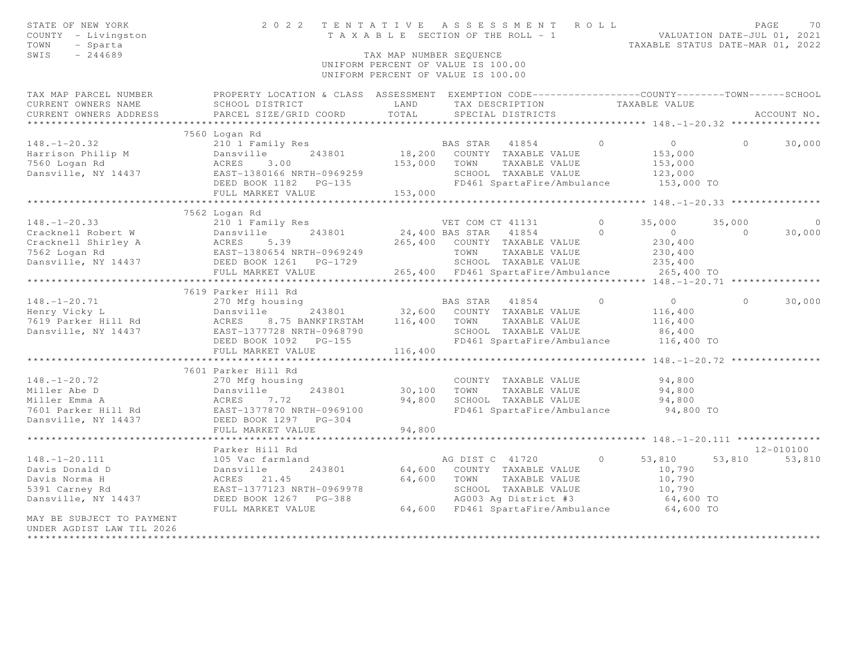| STATE OF NEW YORK<br>COUNTY - Livingston<br>TOWN<br>- Sparta<br>SWIS<br>$-244689$ | TENTATIVE<br>2 0 2 2                                                                                                                          | TAX MAP NUMBER SEQUENCE | ASSESSMENT ROLL<br>T A X A B L E SECTION OF THE ROLL - 1<br>UNIFORM PERCENT OF VALUE IS 100.00<br>UNIFORM PERCENT OF VALUE IS 100.00 |          | VALUATION DATE-JUL 01, 2021<br>TAXABLE STATUS DATE-MAR 01, 2022 |          | PAGE<br>70  |
|-----------------------------------------------------------------------------------|-----------------------------------------------------------------------------------------------------------------------------------------------|-------------------------|--------------------------------------------------------------------------------------------------------------------------------------|----------|-----------------------------------------------------------------|----------|-------------|
| TAX MAP PARCEL NUMBER<br>CURRENT OWNERS NAME<br>CURRENT OWNERS ADDRESS            | PROPERTY LOCATION & CLASS ASSESSMENT EXEMPTION CODE----------------COUNTY-------TOWN------SCHOOL<br>SCHOOL DISTRICT<br>PARCEL SIZE/GRID COORD | LAND<br>TOTAL           | TAX DESCRIPTION<br>SPECIAL DISTRICTS                                                                                                 |          | TAXABLE VALUE                                                   |          | ACCOUNT NO. |
|                                                                                   |                                                                                                                                               |                         |                                                                                                                                      |          |                                                                 |          |             |
|                                                                                   | 7560 Logan Rd                                                                                                                                 |                         |                                                                                                                                      |          |                                                                 |          |             |
| $148. - 1 - 20.32$                                                                | 210 1 Family Res                                                                                                                              |                         | BAS STAR 41854                                                                                                                       | $\circ$  | $\circ$                                                         | $\Omega$ | 30,000      |
| Harrison Philip M                                                                 | 243801<br>Dansville                                                                                                                           | 18,200                  | COUNTY TAXABLE VALUE                                                                                                                 |          | 153,000                                                         |          |             |
| 7560 Logan Rd                                                                     | ACRES<br>3.00                                                                                                                                 | 153,000                 | TOWN<br>TAXABLE VALUE                                                                                                                |          | 153,000                                                         |          |             |
| Dansville, NY 14437                                                               | EAST-1380166 NRTH-0969259                                                                                                                     |                         | SCHOOL TAXABLE VALUE                                                                                                                 |          | 123,000                                                         |          |             |
|                                                                                   | DEED BOOK 1182<br>$PG-135$                                                                                                                    |                         | FD461 SpartaFire/Ambulance                                                                                                           |          | 153,000 TO                                                      |          |             |
|                                                                                   | FULL MARKET VALUE<br>************************                                                                                                 | 153,000                 |                                                                                                                                      |          |                                                                 |          |             |
|                                                                                   | 7562 Logan Rd                                                                                                                                 |                         |                                                                                                                                      |          |                                                                 |          |             |
| $148. - 1 - 20.33$                                                                | 210 1 Family Res                                                                                                                              |                         | VET COM CT 41131                                                                                                                     | $\Omega$ | 35,000                                                          | 35,000   | $\Omega$    |
| Cracknell Robert W                                                                | 243801<br>Dansville                                                                                                                           |                         | 24,400 BAS STAR<br>41854                                                                                                             | $\Omega$ | $\overline{0}$                                                  | $\Omega$ | 30,000      |
| Cracknell Shirley A                                                               | ACRES<br>5.39                                                                                                                                 |                         | 265,400 COUNTY TAXABLE VALUE                                                                                                         |          | 230,400                                                         |          |             |
| 7562 Logan Rd                                                                     | EAST-1380654 NRTH-0969249                                                                                                                     |                         | TOWN<br>TAXABLE VALUE                                                                                                                |          | 230,400                                                         |          |             |
| Dansville, NY 14437                                                               | DEED BOOK 1261    PG-1729                                                                                                                     |                         | SCHOOL TAXABLE VALUE                                                                                                                 |          | 235,400                                                         |          |             |
|                                                                                   | FULL MARKET VALUE                                                                                                                             |                         | 265,400 FD461 SpartaFire/Ambulance                                                                                                   |          | 265,400 TO                                                      |          |             |
|                                                                                   | **************************                                                                                                                    |                         |                                                                                                                                      |          |                                                                 |          |             |
|                                                                                   | 7619 Parker Hill Rd                                                                                                                           |                         |                                                                                                                                      |          |                                                                 |          |             |
| $148. - 1 - 20.71$                                                                | 270 Mfg housing                                                                                                                               |                         | BAS STAR<br>41854                                                                                                                    | $\Omega$ | $\overline{0}$                                                  | $\Omega$ | 30,000      |
| Henry Vicky L                                                                     | Dansville<br>243801                                                                                                                           | 116,400                 | 32,600 COUNTY TAXABLE VALUE                                                                                                          |          | 116,400                                                         |          |             |
| 7619 Parker Hill Rd<br>Dansville, NY 14437                                        | ACRES<br>8.75 BANKFIRSTAM<br>EAST-1377728 NRTH-0968790                                                                                        |                         | TOWN<br>TAXABLE VALUE<br>SCHOOL TAXABLE VALUE                                                                                        |          | 116,400<br>86,400                                               |          |             |
|                                                                                   | DEED BOOK 1092<br>$PG-155$                                                                                                                    |                         | FD461 SpartaFire/Ambulance                                                                                                           |          | 116,400 TO                                                      |          |             |
|                                                                                   | FULL MARKET VALUE                                                                                                                             | 116,400                 |                                                                                                                                      |          |                                                                 |          |             |
|                                                                                   | ********************                                                                                                                          |                         |                                                                                                                                      |          | ********* 148. -1-20. 72 ***************                        |          |             |
|                                                                                   | 7601 Parker Hill Rd                                                                                                                           |                         |                                                                                                                                      |          |                                                                 |          |             |
| $148. - 1 - 20.72$                                                                | 270 Mfg housing                                                                                                                               |                         | COUNTY TAXABLE VALUE                                                                                                                 |          | 94,800                                                          |          |             |
| Miller Abe D                                                                      | Dansville<br>243801                                                                                                                           | 30,100                  | TOWN<br>TAXABLE VALUE                                                                                                                |          | 94,800                                                          |          |             |
| Miller Emma A                                                                     | 7.72<br>ACRES                                                                                                                                 | 94,800                  | SCHOOL TAXABLE VALUE                                                                                                                 |          | 94,800                                                          |          |             |
| 7601 Parker Hill Rd                                                               | EAST-1377870 NRTH-0969100                                                                                                                     |                         | FD461 SpartaFire/Ambulance                                                                                                           |          | 94,800 TO                                                       |          |             |
| Dansville, NY 14437                                                               | DEED BOOK 1297<br>$PG-304$                                                                                                                    |                         |                                                                                                                                      |          |                                                                 |          |             |
|                                                                                   | FULL MARKET VALUE                                                                                                                             | 94,800                  |                                                                                                                                      |          |                                                                 |          |             |
|                                                                                   |                                                                                                                                               |                         |                                                                                                                                      |          | ************ 148.-1-20.111 ******                               |          | 12-010100   |
| $148. - 1 - 20.111$                                                               | Parker Hill Rd<br>105 Vac farmland                                                                                                            |                         | AG DIST C 41720                                                                                                                      | $\Omega$ | 53,810                                                          | 53,810   | 53,810      |
| Davis Donald D                                                                    | Dansville<br>243801                                                                                                                           | 64,600                  | COUNTY TAXABLE VALUE                                                                                                                 |          | 10,790                                                          |          |             |
| Davis Norma H                                                                     | ACRES<br>21.45                                                                                                                                | 64,600                  | TOWN<br>TAXABLE VALUE                                                                                                                |          | 10,790                                                          |          |             |
| 5391 Carney Rd                                                                    | EAST-1377123 NRTH-0969978                                                                                                                     |                         |                                                                                                                                      |          | 10,790                                                          |          |             |
| Dansville, NY 14437                                                               | DEED BOOK 1267<br>$PG-388$                                                                                                                    |                         | AG003 Ag District #3<br>FD461 Sport T                                                                                                |          | 64,600 TO                                                       |          |             |
|                                                                                   | FULL MARKET VALUE                                                                                                                             |                         | 64,600 FD461 SpartaFire/Ambulance                                                                                                    |          | 64,600 TO                                                       |          |             |
| MAY BE SUBJECT TO PAYMENT                                                         |                                                                                                                                               |                         |                                                                                                                                      |          |                                                                 |          |             |
| UNDER AGDIST LAW TIL 2026                                                         |                                                                                                                                               |                         |                                                                                                                                      |          |                                                                 |          |             |
|                                                                                   |                                                                                                                                               |                         |                                                                                                                                      |          |                                                                 |          |             |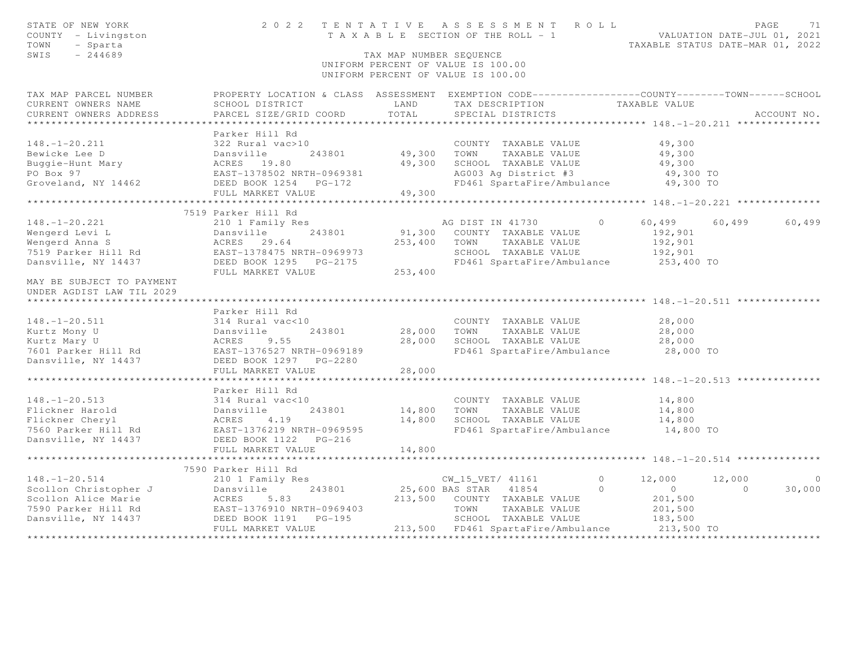| STATE OF NEW YORK<br>COUNTY - Livingston<br>- Sparta<br>TOWN<br>SWIS<br>$-244689$                       |                                                                                                                                                     | TAX MAP NUMBER SEQUENCE         | 2022 TENTATIVE ASSESSMENT ROLL<br>T A X A B L E SECTION OF THE ROLL - 1 VALUATION DATE-JUL 01, 2021<br>UNIFORM PERCENT OF VALUE IS 100.00<br>UNIFORM PERCENT OF VALUE IS 100.00 |                                                                        | PAGE<br>71<br>TAXABLE STATUS DATE-MAR 01, 2022        |
|---------------------------------------------------------------------------------------------------------|-----------------------------------------------------------------------------------------------------------------------------------------------------|---------------------------------|---------------------------------------------------------------------------------------------------------------------------------------------------------------------------------|------------------------------------------------------------------------|-------------------------------------------------------|
| TAX MAP PARCEL NUMBER<br>CURRENT OWNERS NAME<br>CURRENT OWNERS ADDRESS                                  | PROPERTY LOCATION & CLASS ASSESSMENT EXEMPTION CODE----------------COUNTY-------TOWN------SCHOOL<br>SCHOOL DISTRICT<br>PARCEL SIZE/GRID COORD       | LAND<br>TOTAL                   | TAX DESCRIPTION<br>SPECIAL DISTRICTS                                                                                                                                            | TAXABLE VALUE                                                          | ACCOUNT NO.                                           |
| $148. - 1 - 20.211$<br>Bewicke Lee D<br>Buggie-Hunt Mary<br>PO Box 97<br>Groveland, NY 14462            | Parker Hill Rd<br>322 Rural vac>10<br>Dansville<br>ACRES 19.80<br>243801<br>EAST-1378502 NRTH-0969381<br>DEED BOOK 1254 PG-172<br>FULL MARKET VALUE | 49,300 TOWN<br>49,300<br>49,300 | COUNTY TAXABLE VALUE<br>TAXABLE VALUE<br>SCHOOL TAXABLE VALUE<br>AG003 Ag District #3<br>FD461 SpartaFire/Ambulance                                                             | 49,300<br>49,300<br>49,300<br>49,300 TO<br>49,300 TO                   |                                                       |
|                                                                                                         | 7519 Parker Hill Rd                                                                                                                                 |                                 |                                                                                                                                                                                 |                                                                        |                                                       |
| $148. - 1 - 20.221$<br>Wengerd Levi L<br>Wengerd Anna S<br>7519 Parker Hill Rd<br>Dansville, NY 14437   | 210 1 Family Res<br>243801<br>Dansville <sup>1</sup><br>ACRES 29.64<br>EAST-1378475 NRTH-0969973<br>DEED BOOK 1295 PG-2175<br>FULL MARKET VALUE     | 91,300<br>253,400<br>253,400    | AG DIST IN 41730<br>COUNTY TAXABLE VALUE<br>TOWN<br>TAXABLE VALUE<br>SCHOOL TAXABLE VALUE<br>FD461 SpartaFire/Ambulance                                                         | $\Omega$<br>60,499<br>192,901<br>192,901<br>192,901<br>253,400 TO      | 60,499<br>60,499                                      |
| MAY BE SUBJECT TO PAYMENT<br>UNDER AGDIST LAW TIL 2029                                                  |                                                                                                                                                     |                                 |                                                                                                                                                                                 |                                                                        |                                                       |
|                                                                                                         |                                                                                                                                                     |                                 |                                                                                                                                                                                 |                                                                        |                                                       |
| $148. - 1 - 20.511$<br>Kurtz Mony U<br>Kurtz Mary U<br>7601 Parker Hill Rd<br>Dansville, NY 14437       | Parker Hill Rd<br>314 Rural vac<10<br>Dansville<br>243801<br>ACRES 9.55<br>EAST-1376527 NRTH-0969189<br>DEED BOOK 1297 PG-2280<br>FULL MARKET VALUE | 28,000<br>28,000<br>28,000      | COUNTY TAXABLE VALUE<br>TOWN<br>TAXABLE VALUE<br>SCHOOL TAXABLE VALUE<br>FD461 SpartaFire/Ambulance                                                                             | 28,000<br>28,000<br>28,000<br>28,000 TO                                |                                                       |
|                                                                                                         | Parker Hill Rd                                                                                                                                      |                                 | ************************************* 148.-1-20.513 ***************                                                                                                             |                                                                        |                                                       |
| $148. - 1 - 20.513$<br>Flickner Harold<br>Flickner Cheryl<br>7560 Parker Hill Rd<br>Dansville, NY 14437 | 314 Rural vac<10<br>Dansvi<br>ACRES<br>243801<br>Dansville<br>4.19<br>EAST-1376219 NRTH-0969595<br>DEED BOOK 1122 PG-216                            | 14,800<br>14,800                | COUNTY TAXABLE VALUE<br>TOWN<br>TAXABLE VALUE<br>SCHOOL TAXABLE VALUE<br>FD461 SpartaFire/Ambulance                                                                             | 14,800<br>14,800<br>14,800<br>14,800 TO                                |                                                       |
|                                                                                                         | FULL MARKET VALUE                                                                                                                                   | 14,800                          |                                                                                                                                                                                 |                                                                        |                                                       |
|                                                                                                         | *************************                                                                                                                           |                                 |                                                                                                                                                                                 |                                                                        | ********************* 148. -1-20. 514 *************** |
| $148. - 1 - 20.514$<br>Scollon Christopher J<br>Scollon Alice Marie<br>7590 Parker Hill Rd              | 7590 Parker Hill Rd<br>210 1 Family Res<br>243801<br>Dansville<br>ACRES<br>5.83<br>EAST-1376910 NRTH-0969403<br>DEED BOOK 1191 PG-195               | 213,500                         | CW_15_VET/ 41161<br>25,600 BAS STAR 41854<br>COUNTY TAXABLE VALUE<br>TOWN<br>TAXABLE VALUE<br>SCHOOL TAXABLE VALUE                                                              | $\Omega$<br>12,000<br>$\Omega$<br>$\overline{0}$<br>201,500<br>201,500 | 12,000<br>$\overline{0}$<br>30,000<br>$\Omega$        |
| Dansville, NY 14437                                                                                     | FULL MARKET VALUE                                                                                                                                   |                                 | 213,500 FD461 SpartaFire/Ambulance                                                                                                                                              | 183,500<br>213,500 TO                                                  |                                                       |
|                                                                                                         |                                                                                                                                                     |                                 |                                                                                                                                                                                 |                                                                        |                                                       |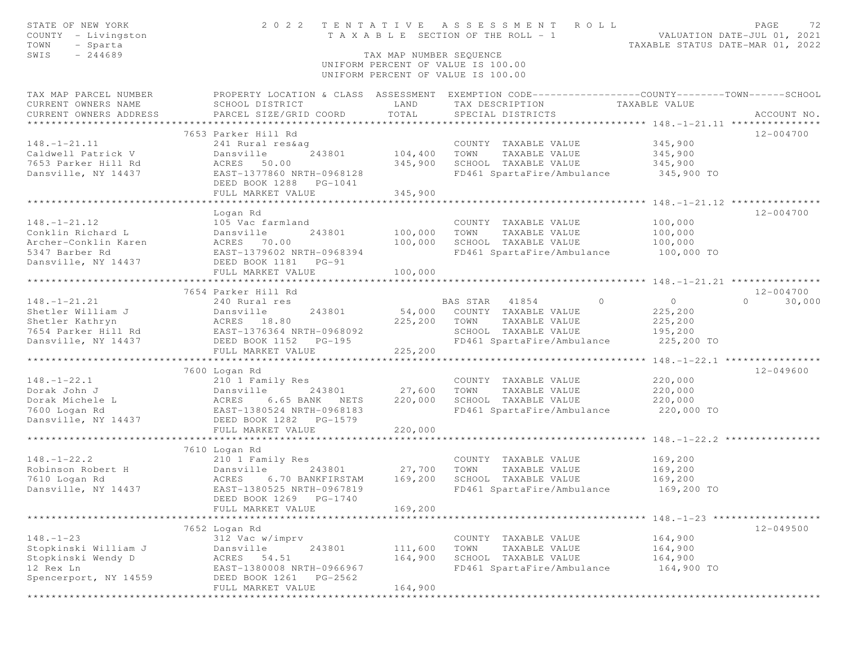| STATE OF NEW YORK<br>COUNTY - Livingston<br>- Sparta<br>TOWN                                                             | 2 0 2 2                                                                               |                         | TENTATIVE ASSESSMENT ROLL<br>T A X A B L E SECTION OF THE ROLL - 1 | PAGE<br>72<br>VALUATION DATE-JUL 01, 2021<br>TAXABLE STATUS DATE-MAR 01, 2022                      |
|--------------------------------------------------------------------------------------------------------------------------|---------------------------------------------------------------------------------------|-------------------------|--------------------------------------------------------------------|----------------------------------------------------------------------------------------------------|
| $-244689$<br>SWIS<br>TAX MAP NUMBER SEQUENCE<br>UNIFORM PERCENT OF VALUE IS 100.00<br>UNIFORM PERCENT OF VALUE IS 100.00 |                                                                                       |                         |                                                                    |                                                                                                    |
| TAX MAP PARCEL NUMBER                                                                                                    |                                                                                       |                         |                                                                    | PROPERTY LOCATION & CLASS ASSESSMENT EXEMPTION CODE-----------------COUNTY--------TOWN------SCHOOL |
| CURRENT OWNERS NAME<br>CURRENT OWNERS ADDRESS                                                                            | SCHOOL DISTRICT<br>PARCEL SIZE/GRID COORD                                             | LAND<br>TOTAL           | TAX DESCRIPTION TAXABLE VALUE<br>SPECIAL DISTRICTS                 | ACCOUNT NO.                                                                                        |
|                                                                                                                          |                                                                                       |                         |                                                                    |                                                                                                    |
|                                                                                                                          | 7653 Parker Hill Rd                                                                   |                         |                                                                    | 12-004700                                                                                          |
| $148. - 1 - 21.11$                                                                                                       | 241 Rural res&ag                                                                      |                         | COUNTY TAXABLE VALUE                                               | 345,900                                                                                            |
| Caldwell Patrick V                                                                                                       | Dansville<br>243801                                                                   | 104,400                 | TOWN<br>TAXABLE VALUE                                              | 345,900                                                                                            |
| 7653 Parker Hill Rd                                                                                                      | ACRES 50.00                                                                           | 345,900                 | SCHOOL TAXABLE VALUE                                               | 345,900                                                                                            |
| Dansville, NY 14437                                                                                                      | EAST-1377860 NRTH-0968128                                                             |                         | FD461 SpartaFire/Ambulance                                         | 345,900 TO                                                                                         |
|                                                                                                                          | DEED BOOK 1288 PG-1041                                                                |                         |                                                                    |                                                                                                    |
|                                                                                                                          | FULL MARKET VALUE                                                                     | 345,900                 |                                                                    |                                                                                                    |
|                                                                                                                          |                                                                                       |                         |                                                                    |                                                                                                    |
|                                                                                                                          | Logan Rd                                                                              |                         |                                                                    | 12-004700                                                                                          |
| $148. - 1 - 21.12$                                                                                                       | 105 Vac farmland                                                                      |                         | COUNTY TAXABLE VALUE                                               | 100,000                                                                                            |
| Conklin Richard L                                                                                                        |                                                                                       | 100,000                 | TOWN<br>TAXABLE VALUE                                              | 100,000                                                                                            |
| Archer-Conklin Karen<br>5347 Barber Rd                                                                                   | Dansville 243801<br>ACRES 70.00<br>EAST-1379602 NRTH-0968394                          | 100,000                 | SCHOOL TAXABLE VALUE                                               | 100,000                                                                                            |
|                                                                                                                          |                                                                                       |                         | FD461 SpartaFire/Ambulance 100,000 TO                              |                                                                                                    |
| Dansville, NY 14437                                                                                                      | DEED BOOK 1181    PG-91<br>FULL MARKET VALUE                                          | 100,000                 |                                                                    |                                                                                                    |
|                                                                                                                          |                                                                                       |                         |                                                                    |                                                                                                    |
|                                                                                                                          | 7654 Parker Hill Rd                                                                   |                         |                                                                    | 12-004700                                                                                          |
| $148. - 1 - 21.21$                                                                                                       | 240 Rural res                                                                         |                         | $\circ$<br>BAS STAR 41854                                          | 30,000<br>$\overline{0}$<br>$\circ$                                                                |
| Shetler William J                                                                                                        |                                                                                       | 54,000                  | COUNTY TAXABLE VALUE                                               | 225,200                                                                                            |
| Shetler Kathryn                                                                                                          |                                                                                       | 225,200                 | TAXABLE VALUE<br>TOWN                                              | 225,200                                                                                            |
| 7654 Parker Hill Rd                                                                                                      |                                                                                       |                         | SCHOOL TAXABLE VALUE                                               | 195,200                                                                                            |
| Dansville, NY 14437                                                                                                      | Dansville 243801<br>ACRES 18.80<br>EAST-1376364 NRTH-0968092<br>DEED BOOK 1152 PG-195 |                         | FD461 SpartaFire/Ambulance                                         | 225,200 TO                                                                                         |
|                                                                                                                          | FULL MARKET VALUE                                                                     | 225,200                 |                                                                    |                                                                                                    |
| *******************************<br>************<br>************** 148.-1-22.1 *****************                          |                                                                                       |                         |                                                                    |                                                                                                    |
|                                                                                                                          | 7600 Logan Rd                                                                         |                         |                                                                    | 12-049600                                                                                          |
| $148. - 1 - 22.1$                                                                                                        | 210 1 Family Res                                                                      |                         | COUNTY TAXABLE VALUE                                               | 220,000                                                                                            |
| Dorak John J                                                                                                             | Dansville<br>243801                                                                   | 27,600                  | TOWN<br>TAXABLE VALUE                                              | 220,000                                                                                            |
| Dorak Michele L                                                                                                          | ACRES<br>6.65 BANK NETS                                                               | 220,000                 | SCHOOL TAXABLE VALUE                                               | 220,000                                                                                            |
| 7600 Logan Rd                                                                                                            | EAST-1380524 NRTH-0968183                                                             |                         | FD461 SpartaFire/Ambulance 220,000 TO                              |                                                                                                    |
| Dansville, NY 14437                                                                                                      | DEED BOOK 1282 PG-1579                                                                |                         |                                                                    |                                                                                                    |
|                                                                                                                          | FULL MARKET VALUE                                                                     | 220,000                 |                                                                    |                                                                                                    |
|                                                                                                                          |                                                                                       |                         |                                                                    |                                                                                                    |
|                                                                                                                          | 7610 Logan Rd                                                                         |                         |                                                                    |                                                                                                    |
| $148. - 1 - 22.2$                                                                                                        | 210 1 Family Res                                                                      |                         | COUNTY TAXABLE VALUE                                               | 169,200                                                                                            |
| Robinson Robert H                                                                                                        | Dansville<br>243801                                                                   | 27,700                  | TOWN<br>TAXABLE VALUE                                              | 169,200                                                                                            |
| 7610 Logan Rd                                                                                                            | ACRES<br>6.70 BANKFIRSTAM                                                             | 169,200                 | SCHOOL TAXABLE VALUE                                               | 169,200                                                                                            |
| Dansville, NY 14437                                                                                                      | EAST-1380525 NRTH-0967819                                                             |                         | FD461 SpartaFire/Ambulance                                         | 169,200 TO                                                                                         |
|                                                                                                                          | DEED BOOK 1269 PG-1740                                                                |                         |                                                                    |                                                                                                    |
|                                                                                                                          | FULL MARKET VALUE                                                                     | 169,200                 |                                                                    |                                                                                                    |
| 7652 Logan Rd<br>$12 - 049500$                                                                                           |                                                                                       |                         |                                                                    |                                                                                                    |
| $148. - 1 - 23$                                                                                                          | 312 Vac w/imprv                                                                       |                         | COUNTY TAXABLE VALUE                                               | 164,900                                                                                            |
| Stopkinski William J                                                                                                     | Dansville<br>243801                                                                   | 111,600                 | TOWN<br>TAXABLE VALUE                                              | 164,900                                                                                            |
| Stopkinski Wendy D                                                                                                       | ACRES<br>54.51                                                                        | 164,900                 | SCHOOL TAXABLE VALUE                                               | 164,900                                                                                            |
| 12 Rex Ln                                                                                                                | EAST-1380008 NRTH-0966967                                                             |                         | FD461 SpartaFire/Ambulance                                         | 164,900 TO                                                                                         |
| Spencerport, NY 14559                                                                                                    | DEED BOOK 1261<br>PG-2562                                                             |                         |                                                                    |                                                                                                    |
|                                                                                                                          | FULL MARKET VALUE                                                                     | 164,900                 |                                                                    |                                                                                                    |
|                                                                                                                          | **************************                                                            | *********************** |                                                                    |                                                                                                    |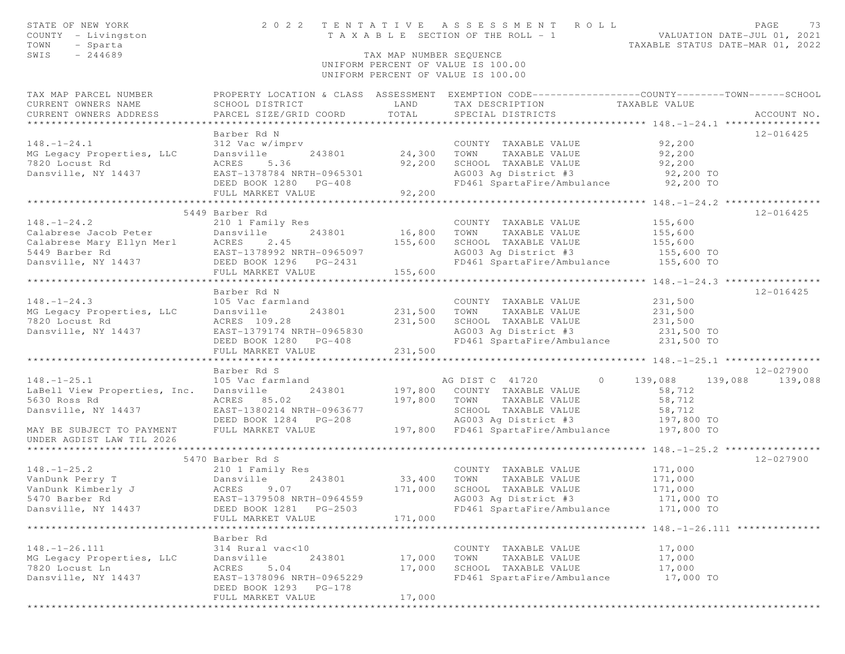| STATE OF NEW YORK<br>COUNTY - Livingston<br>TOWN<br>- Sparta<br>$-244689$<br>SWIS                                                                                                           |                                                                                                                                                   | TAX MAP NUMBER SEQUENCE         | 2022 TENTATIVE ASSESSMENT ROLL<br>T A X A B L E SECTION OF THE ROLL - 1<br>UNIFORM PERCENT OF VALUE IS 100.00<br>UNIFORM PERCENT OF VALUE IS 100.00                       | VALUATION DATE-JUL 01, 2021<br>TAXABLE STATUS DATE-MAR 01, 2022           | PAGE<br>73           |
|---------------------------------------------------------------------------------------------------------------------------------------------------------------------------------------------|---------------------------------------------------------------------------------------------------------------------------------------------------|---------------------------------|---------------------------------------------------------------------------------------------------------------------------------------------------------------------------|---------------------------------------------------------------------------|----------------------|
| TAX MAP PARCEL NUMBER<br>CURRENT OWNERS NAME<br>CURRENT OWNERS ADDRESS                                                                                                                      | SCHOOL DISTRICT<br>PARCEL SIZE/GRID COORD                                                                                                         | LAND<br>TOTAL                   | PROPERTY LOCATION & CLASS ASSESSMENT EXEMPTION CODE---------------COUNTY-------TOWN------SCHOOL<br>TAX DESCRIPTION<br>SPECIAL DISTRICTS                                   | TAXABLE VALUE                                                             | ACCOUNT NO.          |
| $148. - 1 - 24.1$<br>MG Legacy Properties, LLC<br>7820 Locust Rd<br>Dansville, NY 14437                                                                                                     | Barber Rd N<br>312 Vac w/imprv<br>243801<br>Dansville<br>5.36<br>ACRES<br>EAST-1378784 NRTH-0965301<br>DEED BOOK 1280 PG-408<br>FULL MARKET VALUE | 24,300 TOWN<br>92,200<br>92,200 | COUNTY TAXABLE VALUE<br>TAXABLE VALUE<br>SCHOOL TAXABLE VALUE<br>AG003 Ag District #3 92,200 TO<br>FD461 SpartaFire/Ambulance 92,200 TO                                   | 92,200<br>92,200<br>92,200                                                | 12-016425            |
|                                                                                                                                                                                             |                                                                                                                                                   |                                 |                                                                                                                                                                           |                                                                           |                      |
| 148.-1-24.2<br>Calabrese Jacob Peter<br>Calabrese Mary Ellyn Merl<br>Times Ramber Rd<br>CAST-1378992 NRTH-0965097<br>PEED BOOK 1296 PG-2431<br>PEED BOOK 1296 PG-2431<br>PHILL MARKET VALUE |                                                                                                                                                   | 16,800<br>155,600<br>155,600    | COUNTY TAXABLE VALUE<br>TOWN<br>TAXABLE VALUE<br>SCHOOL TAXABLE VALUE<br>AG003 Ag District #3<br>FD461 SpartaFire/Ambulance                                               | 155,600<br>155,600<br>155,600<br>155,600 TO<br>155,600 TO                 | 12-016425            |
|                                                                                                                                                                                             |                                                                                                                                                   |                                 |                                                                                                                                                                           |                                                                           |                      |
| $148. - 1 - 24.3$<br>MG Legacy Properties, LLC Dansville<br>7820 Locust Rd<br>Dansville, NY 14437                                                                                           | Barber Rd N<br>105 Vac farmland<br>243801<br>ACRES 109.28<br>EAST-1379174 NRTH-0965830<br>DEED BOOK 1280 PG-408<br>FULL MARKET VALUE              | 231,500<br>231,500<br>231,500   | COUNTY TAXABLE VALUE<br>TAXABLE VALUE<br>TOWN<br>SCHOOL TAXABLE VALUE 231,500<br>AG003 Ag District #3 231,500 TO<br>FD461 SpartaFire/Ambulance 231,500 TO                 | 231,500<br>231,500                                                        | $12 - 016425$        |
|                                                                                                                                                                                             | *************************                                                                                                                         | *******************             |                                                                                                                                                                           | ********************* 148. -1 - 25.1 *****************                    |                      |
| $148. - 1 - 25.1$<br>LaBell View Properties, Inc.<br>5630 Ross Rd<br>Dansville, NY 14437<br>MAY BE SUBJECT TO PAYMENT                                                                       | Barber Rd S<br>105 Vac farmland<br>Dansville<br>243801<br>ACRES 85.02<br>EAST-1380214 NRTH-0963677<br>DEED BOOK 1284 PG-208<br>FULL MARKET VALUE  | 197,800                         | $\circ$<br>AG DIST C 41720<br>197,800 COUNTY TAXABLE VALUE<br>TOWN<br>TAXABLE VALUE<br>SCHOOL TAXABLE VALUE<br>AG003 Ag District #3<br>197,800 FD461 SpartaFire/Ambulance | 139,088 139,088<br>58,712<br>58,712<br>58,712<br>197,800 TO<br>197,800 TO | 12-027900<br>139,088 |
| UNDER AGDIST LAW TIL 2026                                                                                                                                                                   |                                                                                                                                                   |                                 |                                                                                                                                                                           |                                                                           |                      |
|                                                                                                                                                                                             | 5470 Barber Rd S                                                                                                                                  |                                 |                                                                                                                                                                           |                                                                           | 12-027900            |
| $148. - 1 - 25.2$<br>VanDunk Perry T<br>VanDunk Kimberly J<br>5470 Barber Rd<br>Dansville, NY 14437                                                                                         | 210 1 Family Res<br>243801<br>Dansville<br>ACRES<br>9.07<br>EAST-1379508 NRTH-0964559<br>DEED BOOK 1281 PG-2503<br>FULL MARKET VALUE              | 33,400<br>171,000<br>171,000    | COUNTY TAXABLE VALUE<br>TOWN<br>TAXABLE VALUE<br>SCHOOL TAXABLE VALUE<br>AG003 Ag District #3<br>FD461 SpartaFire/Ambulance                                               | 171,000<br>171,000<br>171,000<br>171,000 TO<br>171,000 TO                 |                      |
|                                                                                                                                                                                             |                                                                                                                                                   |                                 |                                                                                                                                                                           |                                                                           |                      |
| $148. - 1 - 26.111$<br>MG Legacy Properties, LLC<br>7820 Locust Ln<br>Dansville, NY 14437                                                                                                   | Barber Rd<br>314 Rural vac<10<br>243801<br>Dansville<br>5.04<br>ACRES<br>EAST-1378096 NRTH-0965229<br>DEED BOOK 1293 PG-178<br>FULL MARKET VALUE  | 17,000<br>17,000<br>17,000      | COUNTY TAXABLE VALUE<br>TOWN<br>TAXABLE VALUE<br>SCHOOL TAXABLE VALUE<br>FD461 SpartaFire/Ambulance                                                                       | 17,000<br>17,000<br>17,000<br>17,000 TO                                   |                      |
|                                                                                                                                                                                             |                                                                                                                                                   |                                 |                                                                                                                                                                           |                                                                           |                      |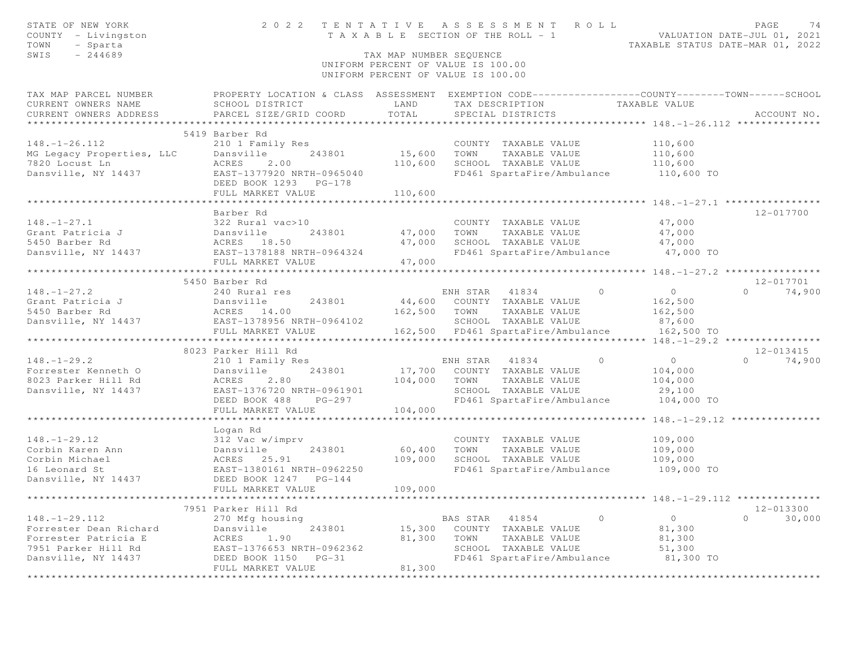| STATE OF NEW YORK<br>COUNTY - Livingston<br>TOWN<br>- Sparta<br>$-244689$<br>SWIS                                                                                               |                                                                                                  | TAX MAP NUMBER SEOUENCE | 2022 TENTATIVE ASSESSMENT ROLL<br>T A X A B L E SECTION OF THE ROLL - 1 VALUATION DATE-JUL 01, 2021<br>UNIFORM PERCENT OF VALUE IS 100.00<br>UNIFORM PERCENT OF VALUE IS 100.00 | TAXABLE STATUS DATE-MAR 01, 2022 | PAGE<br>74         |
|---------------------------------------------------------------------------------------------------------------------------------------------------------------------------------|--------------------------------------------------------------------------------------------------|-------------------------|---------------------------------------------------------------------------------------------------------------------------------------------------------------------------------|----------------------------------|--------------------|
| TAX MAP PARCEL NUMBER                                                                                                                                                           | PROPERTY LOCATION & CLASS ASSESSMENT EXEMPTION CODE----------------COUNTY--------TOWN-----SCHOOL |                         |                                                                                                                                                                                 |                                  |                    |
| CURRENT OWNERS NAME                                                                                                                                                             | SCHOOL DISTRICT                                                                                  | LAND                    | TAX DESCRIPTION TAXABLE VALUE                                                                                                                                                   |                                  |                    |
| CURRENT OWNERS ADDRESS                                                                                                                                                          | PARCEL SIZE/GRID COORD                                                                           | TOTAL                   | SPECIAL DISTRICTS                                                                                                                                                               |                                  | ACCOUNT NO.        |
|                                                                                                                                                                                 |                                                                                                  |                         |                                                                                                                                                                                 |                                  |                    |
| $148. - 1 - 26.112$                                                                                                                                                             | 5419 Barber Rd<br>210 1 Family Res                                                               |                         |                                                                                                                                                                                 |                                  |                    |
| MG Legacy Properties, LLC                                                                                                                                                       | Dansville<br>243801                                                                              | 15,600                  | COUNTY TAXABLE VALUE<br>TOWN<br>TAXABLE VALUE                                                                                                                                   | 110,600                          |                    |
| 7820 Locust Ln                                                                                                                                                                  | ACRES<br>2.00                                                                                    | 110,600                 | SCHOOL TAXABLE VALUE                                                                                                                                                            | 110,600<br>110,600               |                    |
| Dansville, NY 14437 EAST-1377920 NRTH-0965040                                                                                                                                   |                                                                                                  |                         | FD461 SpartaFire/Ambulance 110,600 TO                                                                                                                                           |                                  |                    |
|                                                                                                                                                                                 | DEED BOOK 1293 PG-178                                                                            |                         |                                                                                                                                                                                 |                                  |                    |
|                                                                                                                                                                                 | FULL MARKET VALUE                                                                                | 110,600                 |                                                                                                                                                                                 |                                  |                    |
|                                                                                                                                                                                 |                                                                                                  |                         |                                                                                                                                                                                 |                                  |                    |
|                                                                                                                                                                                 | Barber Rd                                                                                        |                         |                                                                                                                                                                                 |                                  | 12-017700          |
|                                                                                                                                                                                 |                                                                                                  |                         | COUNTY TAXABLE VALUE                                                                                                                                                            | 47,000                           |                    |
| 148.-1-27.1<br>Grant Patricia J (1997) 22 Rural vac>10<br>5450 Barber Rd (1997) 243801<br>Dansville, NY 14437 (1997) 2887-1378188 NRTH-0964324                                  |                                                                                                  | 243801 47,000           | TOWN<br>TAXABLE VALUE                                                                                                                                                           | 47,000                           |                    |
|                                                                                                                                                                                 |                                                                                                  | 47,000                  | SCHOOL TAXABLE VALUE                                                                                                                                                            | 47,000                           |                    |
|                                                                                                                                                                                 |                                                                                                  | 47,000                  | FD461 SpartaFire/Ambulance 47,000 TO                                                                                                                                            |                                  |                    |
|                                                                                                                                                                                 | FULL MARKET VALUE                                                                                |                         |                                                                                                                                                                                 |                                  |                    |
|                                                                                                                                                                                 | 5450 Barber Rd                                                                                   |                         |                                                                                                                                                                                 |                                  | $12 - 017701$      |
| $148. - 1 - 27.2$                                                                                                                                                               | 240 Rural res                                                                                    |                         | ENH STAR 41834 0                                                                                                                                                                | $\overline{0}$                   | $\Omega$<br>74,900 |
|                                                                                                                                                                                 | 243801                                                                                           |                         | 44,600 COUNTY TAXABLE VALUE                                                                                                                                                     | 162,500                          |                    |
| Grant Patricia J<br>$\begin{array}{ccc} \texttt{Grant} & \texttt{Patricia J} & \texttt{Dansville} \\ 5450 & \texttt{Barber} & \texttt{Rd} & \texttt{ACRES} & 14 \\ \end{array}$ | ACRES 14.00                                                                                      |                         | 162,500 TOWN TAXABLE VALUE                                                                                                                                                      | 162,500                          |                    |
| Dansville, NY 14437 EAST-1378956 NRTH-0964102                                                                                                                                   |                                                                                                  |                         | SCHOOL TAXABLE VALUE                                                                                                                                                            | 87,600                           |                    |
|                                                                                                                                                                                 | FULL MARKET VALUE                                                                                |                         | 162,500 FD461 SpartaFire/Ambulance                                                                                                                                              | 162,500 TO                       |                    |
|                                                                                                                                                                                 |                                                                                                  |                         |                                                                                                                                                                                 |                                  |                    |
|                                                                                                                                                                                 | 8023 Parker Hill Rd                                                                              |                         |                                                                                                                                                                                 |                                  | 12-013415          |
| $148. - 1 - 29.2$                                                                                                                                                               | 210 1 Family Res                                                                                 |                         | ENH STAR 41834<br>$\sim$ 0                                                                                                                                                      | $\overline{0}$                   | $0 \t 74,900$      |
| Forrester Kenneth O                                                                                                                                                             | 243801<br>Dansville<br>Dansvi<br>ACRES                                                           |                         | 17,700 COUNTY TAXABLE VALUE                                                                                                                                                     | 104,000                          |                    |
| 8023 Parker Hill Rd<br>Dansville, NY 14437                                                                                                                                      | 2.80<br>EAST-1376720 NRTH-0961901                                                                | 104,000                 | TOWN<br>TAXABLE VALUE<br>SCHOOL TAXABLE VALUE                                                                                                                                   | 104,000                          |                    |
|                                                                                                                                                                                 | PG-297<br>DEED BOOK 488                                                                          |                         | FD461 SpartaFire/Ambulance                                                                                                                                                      | 29,100<br>104,000 TO             |                    |
|                                                                                                                                                                                 | FULL MARKET VALUE                                                                                | 104,000                 |                                                                                                                                                                                 |                                  |                    |
|                                                                                                                                                                                 |                                                                                                  |                         |                                                                                                                                                                                 |                                  |                    |
|                                                                                                                                                                                 | Logan Rd                                                                                         |                         |                                                                                                                                                                                 |                                  |                    |
| $148. - 1 - 29.12$                                                                                                                                                              |                                                                                                  |                         | COUNTY TAXABLE VALUE                                                                                                                                                            | 109,000                          |                    |
| Corbin Karen Ann                                                                                                                                                                |                                                                                                  | 60,400                  | TOWN<br>TAXABLE VALUE                                                                                                                                                           | 109,000                          |                    |
| Corbin Michael                                                                                                                                                                  | 312 Vac w/imprv<br>Dansville 243801<br>ACRES 25.91<br>EAST-1380161 NRTH-0962250                  | 109,000                 | SCHOOL TAXABLE VALUE                                                                                                                                                            | 109,000                          |                    |
| 16 Leonard St                                                                                                                                                                   |                                                                                                  |                         | FD461 SpartaFire/Ambulance 109,000 TO                                                                                                                                           |                                  |                    |
| Dansville, NY 14437                                                                                                                                                             | DEED BOOK 1247<br>$PG-144$                                                                       |                         |                                                                                                                                                                                 |                                  |                    |
|                                                                                                                                                                                 | FULL MARKET VALUE                                                                                | 109,000                 |                                                                                                                                                                                 |                                  |                    |
|                                                                                                                                                                                 |                                                                                                  |                         |                                                                                                                                                                                 |                                  | 12-013300          |
| $148. - 1 - 29.112$                                                                                                                                                             | 7951 Parker Hill Rd<br>270 Mfg housing                                                           |                         | BAS STAR<br>41854                                                                                                                                                               | $\circ$<br>$\circ$               | $\circ$<br>30,000  |
| Forrester Dean Richard                                                                                                                                                          | Dansville<br>243801                                                                              | 15,300                  | COUNTY TAXABLE VALUE                                                                                                                                                            | 81,300                           |                    |
| Forrester Patricia E                                                                                                                                                            | ACRES<br>1.90                                                                                    | 81,300                  | TOWN<br>TAXABLE VALUE                                                                                                                                                           | 81,300                           |                    |
| 7951 Parker Hill Rd                                                                                                                                                             | EAST-1376653 NRTH-0962362                                                                        |                         | SCHOOL TAXABLE VALUE                                                                                                                                                            | 51,300                           |                    |
| Dansville, NY 14437                                                                                                                                                             | DEED BOOK 1150<br>$PG-31$                                                                        |                         | FD461 SpartaFire/Ambulance                                                                                                                                                      | 81,300 TO                        |                    |
|                                                                                                                                                                                 | FULL MARKET VALUE                                                                                | 81,300                  |                                                                                                                                                                                 |                                  |                    |
| ************                                                                                                                                                                    |                                                                                                  |                         |                                                                                                                                                                                 |                                  |                    |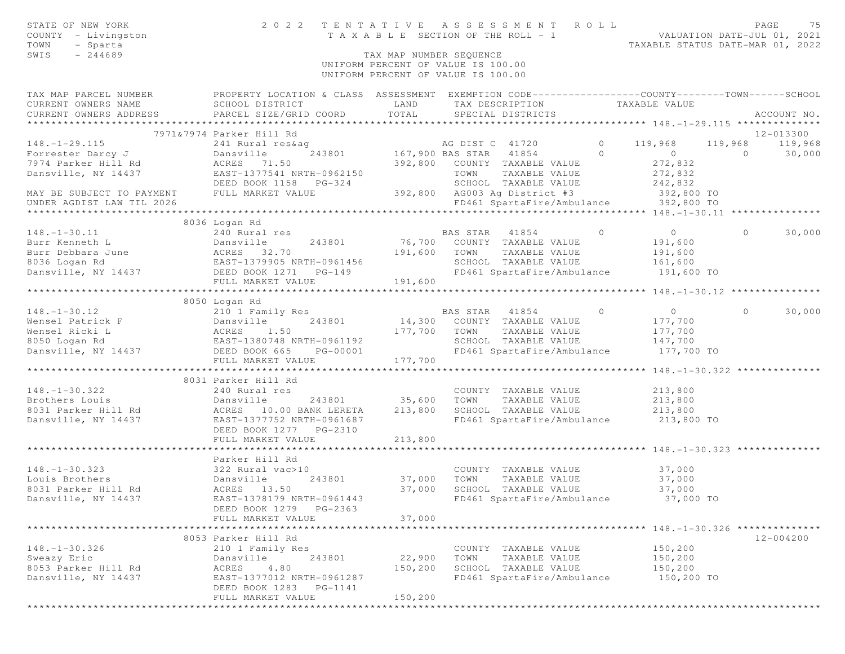| STATE OF NEW YORK<br>COUNTY - Livingston                                                                                                                                                                                                                                                                                                                                          |                           |                         | PAGE 75 TENTATIVE ASSESSMENT ROLL PALUATION DATE-JUL 01, 2021<br>TAXABLE SECTION OF THE ROLL - 1 VALUATION DATE-JUL 01, 2021 |                  |           |
|-----------------------------------------------------------------------------------------------------------------------------------------------------------------------------------------------------------------------------------------------------------------------------------------------------------------------------------------------------------------------------------|---------------------------|-------------------------|------------------------------------------------------------------------------------------------------------------------------|------------------|-----------|
| TOWN<br>- Sparta                                                                                                                                                                                                                                                                                                                                                                  |                           |                         |                                                                                                                              |                  |           |
| SWIS<br>$-244689$                                                                                                                                                                                                                                                                                                                                                                 |                           | TAX MAP NUMBER SEQUENCE |                                                                                                                              |                  |           |
|                                                                                                                                                                                                                                                                                                                                                                                   |                           |                         | UNIFORM PERCENT OF VALUE IS 100.00                                                                                           |                  |           |
|                                                                                                                                                                                                                                                                                                                                                                                   |                           |                         | UNIFORM PERCENT OF VALUE IS 100.00                                                                                           |                  |           |
| TAX MAP PARCEL NUMBER <b>FROPERTY LOCATION &amp; CLASS</b> ASSESSMENT EXEMPTION CODE---------------COUNTY-------TOWN------SCHOOL                                                                                                                                                                                                                                                  |                           |                         |                                                                                                                              |                  |           |
|                                                                                                                                                                                                                                                                                                                                                                                   |                           |                         |                                                                                                                              |                  |           |
|                                                                                                                                                                                                                                                                                                                                                                                   |                           |                         |                                                                                                                              |                  |           |
|                                                                                                                                                                                                                                                                                                                                                                                   |                           |                         |                                                                                                                              |                  |           |
|                                                                                                                                                                                                                                                                                                                                                                                   | 7971&7974 Parker Hill Rd  |                         |                                                                                                                              |                  | 12-013300 |
|                                                                                                                                                                                                                                                                                                                                                                                   |                           |                         |                                                                                                                              |                  |           |
|                                                                                                                                                                                                                                                                                                                                                                                   |                           |                         |                                                                                                                              |                  |           |
|                                                                                                                                                                                                                                                                                                                                                                                   |                           |                         |                                                                                                                              |                  |           |
|                                                                                                                                                                                                                                                                                                                                                                                   |                           |                         |                                                                                                                              |                  |           |
|                                                                                                                                                                                                                                                                                                                                                                                   |                           |                         |                                                                                                                              |                  |           |
|                                                                                                                                                                                                                                                                                                                                                                                   |                           |                         |                                                                                                                              |                  |           |
|                                                                                                                                                                                                                                                                                                                                                                                   |                           |                         |                                                                                                                              |                  |           |
|                                                                                                                                                                                                                                                                                                                                                                                   | 8036 Logan Rd             |                         |                                                                                                                              |                  |           |
|                                                                                                                                                                                                                                                                                                                                                                                   |                           |                         |                                                                                                                              |                  |           |
|                                                                                                                                                                                                                                                                                                                                                                                   |                           |                         |                                                                                                                              |                  |           |
|                                                                                                                                                                                                                                                                                                                                                                                   |                           |                         |                                                                                                                              |                  |           |
|                                                                                                                                                                                                                                                                                                                                                                                   |                           |                         |                                                                                                                              |                  |           |
|                                                                                                                                                                                                                                                                                                                                                                                   |                           |                         |                                                                                                                              |                  |           |
|                                                                                                                                                                                                                                                                                                                                                                                   |                           |                         |                                                                                                                              |                  |           |
| $\begin{tabular}{lllllllllllll} 148.-1-30.11 & 240\;Rural\; res & BAS\; STAR & 41854 & 0 & 0 & 30,000 \\ \text{Burr Kenneth L} & Dansville & 243801 & 76,700 & COUNTY & TAXABLE VALUE & 191,600 & 0 & 30,000 \\ \text{Burr Debbara June & ACRES & 32.70 & 191,600 & TONN & TAXABLE VALUE & 191,600 \\ \text{8036 Logan Rd} & EAST-1379905 NRH+0961456 & 191,600 & TONN & TAXABLE$ |                           |                         |                                                                                                                              |                  |           |
|                                                                                                                                                                                                                                                                                                                                                                                   | 8050 Logan Rd             |                         |                                                                                                                              |                  |           |
|                                                                                                                                                                                                                                                                                                                                                                                   |                           |                         |                                                                                                                              |                  |           |
|                                                                                                                                                                                                                                                                                                                                                                                   |                           |                         |                                                                                                                              |                  |           |
|                                                                                                                                                                                                                                                                                                                                                                                   |                           |                         |                                                                                                                              |                  |           |
|                                                                                                                                                                                                                                                                                                                                                                                   |                           |                         |                                                                                                                              |                  |           |
|                                                                                                                                                                                                                                                                                                                                                                                   |                           |                         |                                                                                                                              |                  |           |
|                                                                                                                                                                                                                                                                                                                                                                                   |                           |                         |                                                                                                                              |                  |           |
|                                                                                                                                                                                                                                                                                                                                                                                   |                           |                         |                                                                                                                              |                  |           |
|                                                                                                                                                                                                                                                                                                                                                                                   | 8031 Parker Hill Rd       |                         |                                                                                                                              |                  |           |
| $148. - 1 - 30.322$                                                                                                                                                                                                                                                                                                                                                               | 240 Rural res             |                         | COUNTY TAXABLE VALUE 213,800                                                                                                 |                  |           |
| Brothers Louis                                                                                                                                                                                                                                                                                                                                                                    |                           |                         | TAXABLE VALUE 213,800<br>TAXABLE VALUE 213,800<br>TOWN                                                                       |                  |           |
| 8031 Parker Hill Rd<br>Dansville, NY 14437 EAST-1377752 NRTH-0961687                                                                                                                                                                                                                                                                                                              |                           |                         | SCHOOL TAXABLE VALUE<br>FD461 SpartaFire/Ambulance 213,800 TO                                                                |                  |           |
|                                                                                                                                                                                                                                                                                                                                                                                   | DEED BOOK 1277 PG-2310    |                         |                                                                                                                              |                  |           |
|                                                                                                                                                                                                                                                                                                                                                                                   | FULL MARKET VALUE         | 213,800                 |                                                                                                                              |                  |           |
|                                                                                                                                                                                                                                                                                                                                                                                   |                           |                         |                                                                                                                              |                  |           |
|                                                                                                                                                                                                                                                                                                                                                                                   | Parker Hill Rd            |                         |                                                                                                                              |                  |           |
|                                                                                                                                                                                                                                                                                                                                                                                   |                           |                         | COUNTY TAXABLE VALUE                                                                                                         |                  |           |
|                                                                                                                                                                                                                                                                                                                                                                                   |                           |                         | TAXABLE VALUE                                                                                                                | 37,000<br>37,000 |           |
| 148. -1 -30.323<br>Louis Brothers<br>8031 Parker Hill Rd<br>8031 Parker Hill Rd<br>202 Rural vac>10<br>202 Rural vac>10<br>202 Rural vac>10<br>202 Rural vac>10<br>202 Rural vac>10<br>202 Rural vac>10<br>202 Rural vac>10<br>202 Rural vac>10                                                                                                                                   |                           | 37,000                  | SCHOOL TAXABLE VALUE                                                                                                         | 37,000           |           |
| Dansville, NY 14437                                                                                                                                                                                                                                                                                                                                                               | EAST-1378179 NRTH-0961443 |                         | FD461 SpartaFire/Ambulance 37,000 TO                                                                                         |                  |           |
|                                                                                                                                                                                                                                                                                                                                                                                   | DEED BOOK 1279 PG-2363    |                         |                                                                                                                              |                  |           |
|                                                                                                                                                                                                                                                                                                                                                                                   | FULL MARKET VALUE         | 37,000                  |                                                                                                                              |                  |           |
|                                                                                                                                                                                                                                                                                                                                                                                   |                           |                         |                                                                                                                              |                  |           |
|                                                                                                                                                                                                                                                                                                                                                                                   | 8053 Parker Hill Rd       |                         |                                                                                                                              |                  | 12-004200 |
| $148. - 1 - 30.326$                                                                                                                                                                                                                                                                                                                                                               | 210 1 Family Res          |                         | COUNTY TAXABLE VALUE                                                                                                         | 150,200          |           |
| Sweazy Eric                                                                                                                                                                                                                                                                                                                                                                       | Dansville<br>243801       | 22,900                  | TOWN<br>TAXABLE VALUE                                                                                                        | 150,200          |           |
| 8053 Parker Hill Rd                                                                                                                                                                                                                                                                                                                                                               | ACRES<br>4.80             | 150,200                 | SCHOOL TAXABLE VALUE                                                                                                         | 150,200          |           |
| Dansville, NY 14437                                                                                                                                                                                                                                                                                                                                                               | EAST-1377012 NRTH-0961287 |                         | FD461 SpartaFire/Ambulance                                                                                                   | 150,200 TO       |           |
|                                                                                                                                                                                                                                                                                                                                                                                   | DEED BOOK 1283<br>PG-1141 |                         |                                                                                                                              |                  |           |
|                                                                                                                                                                                                                                                                                                                                                                                   | FULL MARKET VALUE         | 150,200                 |                                                                                                                              |                  |           |
|                                                                                                                                                                                                                                                                                                                                                                                   |                           |                         |                                                                                                                              |                  |           |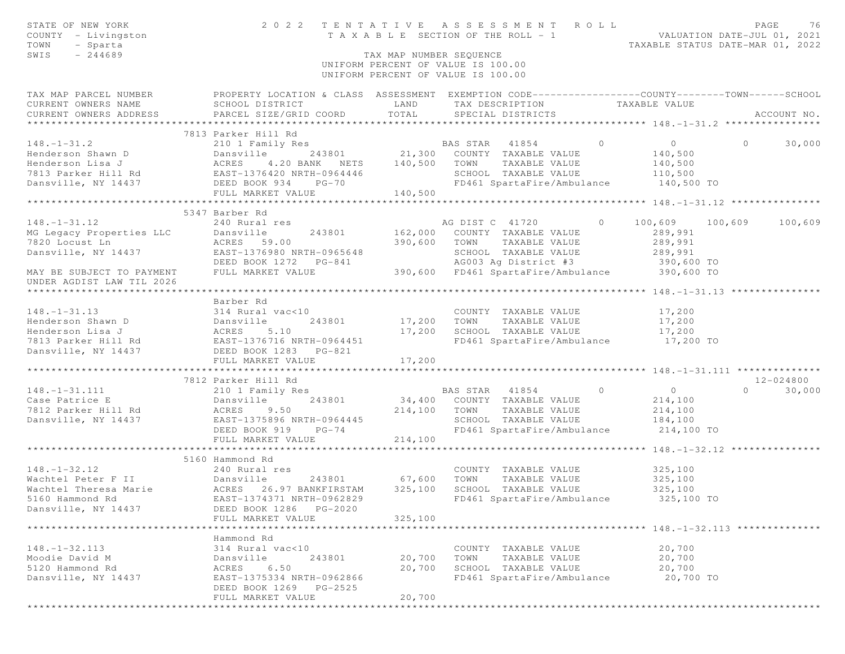| STATE OF NEW YORK<br>COUNTY - Livingston<br>TOWN<br>- Sparta<br>$-244689$<br>SWIS                                                                                                                                                                  |                                                                                                                                    | TAX MAP NUMBER SEQUENCE | TENTATIVE ASSESSMENT ROLL PAGE 76<br>TAXABLE SECTION OF THE ROLL - 1 VALUATION DATE-JUL 01, 2021<br>TAXABLE STATUS DATE-MAR 01, 2022<br>2022 TENTATIVE ASSESSMENT ROLL<br>UNIFORM PERCENT OF VALUE IS 100.00<br>UNIFORM PERCENT OF VALUE IS 100.00 |                                           |                    |
|----------------------------------------------------------------------------------------------------------------------------------------------------------------------------------------------------------------------------------------------------|------------------------------------------------------------------------------------------------------------------------------------|-------------------------|----------------------------------------------------------------------------------------------------------------------------------------------------------------------------------------------------------------------------------------------------|-------------------------------------------|--------------------|
| TAX MAP PARCEL NUMBER THE PROPERTY LOCATION & CLASS ASSESSMENT EXEMPTION CODE--------------COUNTY-------TOWN------SCHOOL<br>CURRENT OWNERS NAME SCHOOL DISTRICT<br>CURRENT OWNERS ADDRESS PARCEL SIZE/GRID COORD TOTAL                             | LAND                                                                                                                               |                         | TAX DESCRIPTION TAXABLE VALUE<br>SPECIAL DISTRICTS                                                                                                                                                                                                 |                                           | ACCOUNT NO.        |
| 148.-1-31.2<br>Henderson Shawn D<br>Henderson Lisa J<br>210 1 Family Res<br>243801<br>21,300 COUNTY TAXABLE VALUE<br>21,300 COUNTY TAXABLE VALUE<br>21,300 COUNTY TAXABLE VALUE<br>21,300 COUNTY TAXABLE VALUE<br>21,300 COUNTY TAXABLE VALUE<br>2 | 7813 Parker Hill Rd                                                                                                                |                         | SCHOOL TAXABLE VALUE 110,500<br>FD461 SpartaFire/Ambulance 140,500 TO                                                                                                                                                                              | $\overline{O}$<br>140,500<br>140,500      | $\Omega$<br>30,000 |
|                                                                                                                                                                                                                                                    |                                                                                                                                    |                         |                                                                                                                                                                                                                                                    |                                           |                    |
| 148.-1-31.12<br>MG Legacy Properties LLC Dansville 243801 162,000 COONL 1<br>7820 Locust Ln ACRES 59.00 390,600 TOWN TAXABLE VALUE 289,991<br>289,991 EAST-1376980 NRTH-0965648 SCHOOL TAXABLE VALUE 289,991<br>DEED BOOK 1272 PG-8                | 5347 Barber Rd                                                                                                                     |                         |                                                                                                                                                                                                                                                    | 0 $100,609$ $100,609$ $100,609$ $100,609$ |                    |
|                                                                                                                                                                                                                                                    |                                                                                                                                    |                         |                                                                                                                                                                                                                                                    |                                           |                    |
|                                                                                                                                                                                                                                                    |                                                                                                                                    |                         |                                                                                                                                                                                                                                                    |                                           |                    |
|                                                                                                                                                                                                                                                    |                                                                                                                                    |                         |                                                                                                                                                                                                                                                    |                                           |                    |
| 148.-1-31.13<br>Henderson Shawn D<br>Henderson Lisa J<br>7813 Parker Hill Rd<br>17813 Parker Hill Rd<br>17813 Parker Hill Rd<br>17813 Parker Hill Rd<br>17813 Parker Hill Rd<br>17813 Parker Hill Rd<br>17813 Parker Hill Rd<br>17827 PEED BOOK 12 | 243801 17,200 TOWN                                                                                                                 |                         | COUNTY TAXABLE VALUE 17,200<br>TAXABLE VALUE 17,200<br>TAXABLE VALUE 17,200<br>17,200 SCHOOL TAXABLE VALUE<br>FD461 SpartaFire/Ambulance 17,200 TO                                                                                                 |                                           |                    |
|                                                                                                                                                                                                                                                    |                                                                                                                                    |                         |                                                                                                                                                                                                                                                    |                                           |                    |
|                                                                                                                                                                                                                                                    |                                                                                                                                    |                         |                                                                                                                                                                                                                                                    |                                           |                    |
|                                                                                                                                                                                                                                                    | 7812 Parker Hill Rd                                                                                                                |                         |                                                                                                                                                                                                                                                    |                                           | 12-024800          |
| 148.-1-31.111 210 1 Family Res<br>Case Patrice E Dansville 243801<br>7812 Parker Hill Rd ACRES 9.50<br>Dansville, NY 14437 EAST-1375896 NRTH-0964445                                                                                               | DEED BOOK 919 PG-74<br>FULL MARKET VALUE                                                                                           | 214,100 TOWN<br>214,100 | BAS STAR 41854 0<br>243801 34,400 COUNTY TAXABLE VALUE 214,100<br>TOWN TAXABLE VALUE 214,100<br>SCHOOL TAXABLE VALUE 184,100<br>FD461 SpartaFire/Ambulance 214,100 TO                                                                              | $\overline{0}$                            | $0 \t 30,000$      |
|                                                                                                                                                                                                                                                    |                                                                                                                                    |                         | ************************************ 148.-1-32.12 ****************                                                                                                                                                                                 |                                           |                    |
| 5160 Hammond Rd<br>Dansville, NY 14437                                                                                                                                                                                                             | 5160 Hammond Rd<br>DEED BOOK 1286<br>PG-2020<br>FULL MARKET VALUE                                                                  | 325,100                 | COUNTY TAXABLE VALUE 325,100<br>TOWN<br>TAXABLE VALUE<br>SCHOOL TAXABLE VALUE<br>EAST-1374371 NRTH-0962829 FD461 SpartaFire/Ambulance                                                                                                              | 325,100<br>325,100<br>325,100 TO          |                    |
|                                                                                                                                                                                                                                                    |                                                                                                                                    |                         |                                                                                                                                                                                                                                                    |                                           |                    |
| $148. - 1 - 32.113$<br>Moodie David M<br>5120 Hammond Rd<br>Dansville, NY 14437                                                                                                                                                                    | Hammond Rd<br>314 Rural vac<10<br>Dansville<br>243801<br>6.50<br>ACRES<br>EAST-1375334 NRTH-0962866<br>DEED BOOK 1269<br>$PG-2525$ | 20,700<br>20,700        | COUNTY TAXABLE VALUE<br>TOWN<br>TAXABLE VALUE<br>SCHOOL TAXABLE VALUE<br>FD461 SpartaFire/Ambulance                                                                                                                                                | 20,700<br>20,700<br>20,700<br>20,700 TO   |                    |
|                                                                                                                                                                                                                                                    | FULL MARKET VALUE                                                                                                                  | 20,700                  |                                                                                                                                                                                                                                                    | ********************************          |                    |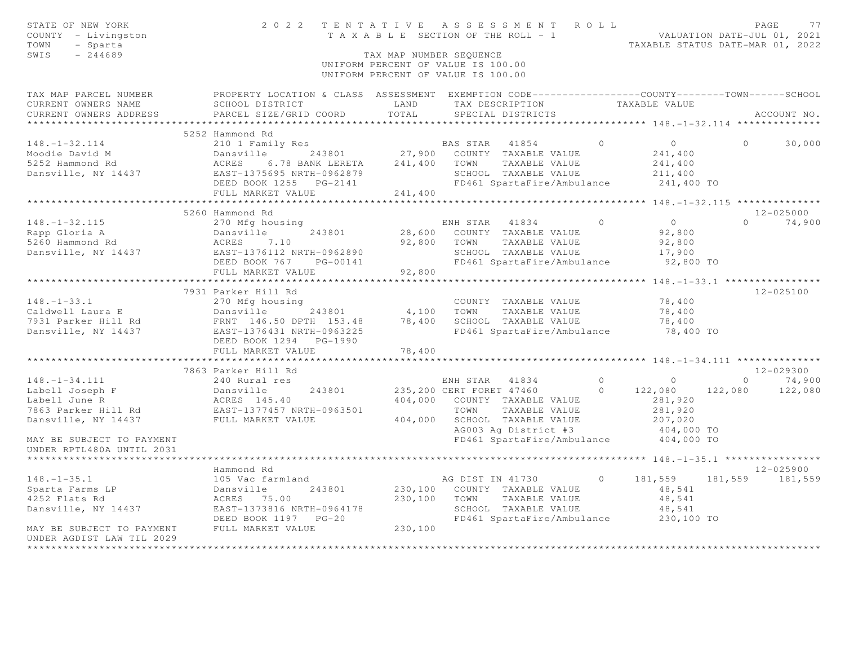| STATE OF NEW YORK<br>COUNTY - Livingston<br>- Sparta<br>TOWN<br>SWIS<br>$-244689$                                                                                         | 2022 TENTATIVE ASSESSMENT ROLL                                                                                                                                    | TAX MAP NUMBER SEOUENCE<br>UNIFORM PERCENT OF VALUE IS 100.00<br>UNIFORM PERCENT OF VALUE IS 100.00 |                        |                                                                                                                      |                      | TAXABLE SECTION OF THE ROLL - 1 VALUATION DATE-JUL 01, 2021<br>TAXABLE STATUS DATE-MAR 01, 2022 |          | PAGE<br>77                                        |
|---------------------------------------------------------------------------------------------------------------------------------------------------------------------------|-------------------------------------------------------------------------------------------------------------------------------------------------------------------|-----------------------------------------------------------------------------------------------------|------------------------|----------------------------------------------------------------------------------------------------------------------|----------------------|-------------------------------------------------------------------------------------------------|----------|---------------------------------------------------|
| TAX MAP PARCEL NUMBER THE PROPERTY LOCATION & CLASS ASSESSMENT EXEMPTION CODE--------------COUNTY-------TOWN------SCHOOL<br>CURRENT OWNERS NAME<br>CURRENT OWNERS ADDRESS | SCHOOL DISTRICT<br>PARCEL SIZE/GRID COORD                                                                                                                         | LAND<br>TOTAL                                                                                       |                        | TAX DESCRIPTION<br>SPECIAL DISTRICTS                                                                                 |                      | TAXABLE VALUE                                                                                   |          | ACCOUNT NO.                                       |
| ***********************                                                                                                                                                   |                                                                                                                                                                   |                                                                                                     |                        |                                                                                                                      |                      |                                                                                                 |          |                                                   |
|                                                                                                                                                                           | 5252 Hammond Rd                                                                                                                                                   |                                                                                                     |                        |                                                                                                                      |                      |                                                                                                 |          |                                                   |
| $148. - 1 - 32.114$<br>Moodie David M<br>5252 Hammond Rd<br>Dansville, NY 14437                                                                                           | 210 1 Family Res<br>243801 27,900 COUNTY TAXABLE VALUE<br>Dansville<br>ACRES<br>6.78 BANK LERETA<br>EAST-1375695 NRTH-0962879<br>DEED BOOK 1255 PG-2141           | 241,400                                                                                             | BAS STAR 41854<br>TOWN | TAXABLE VALUE<br>SCHOOL TAXABLE VALUE                                                                                | $\Omega$             | $\overline{0}$<br>241,400<br>241,400<br>211,400<br>FD461 SpartaFire/Ambulance 241,400 TO        | $\Omega$ | 30,000                                            |
|                                                                                                                                                                           | FULL MARKET VALUE                                                                                                                                                 | 241,400                                                                                             |                        |                                                                                                                      |                      |                                                                                                 |          |                                                   |
|                                                                                                                                                                           |                                                                                                                                                                   |                                                                                                     |                        |                                                                                                                      |                      |                                                                                                 |          |                                                   |
| $148. - 1 - 32.115$<br>Rapp Gloria A<br>5260 Hammond Rd<br>Dansville, NY 14437                                                                                            | 5260 Hammond Rd<br>270 Mfg housing<br>243801<br>Dansville<br>ACRES<br>7.10<br>EAST-1376112 NRTH-0962890<br>DEED BOOK 767 PG-00141                                 |                                                                                                     | 92,800 TOWN            | ENH STAR 41834<br>28,600 COUNTY TAXABLE VALUE<br>TAXABLE VALUE<br>SCHOOL TAXABLE VALUE<br>FD461 SpartaFire/Ambulance | $\circ$              | $\overline{0}$<br>92,800<br>92,800<br>17,900<br>92,800 TO                                       | $\Omega$ | $12 - 025000$<br>74,900                           |
|                                                                                                                                                                           | FULL MARKET VALUE                                                                                                                                                 | 92,800                                                                                              |                        |                                                                                                                      |                      |                                                                                                 |          |                                                   |
|                                                                                                                                                                           |                                                                                                                                                                   |                                                                                                     |                        |                                                                                                                      |                      |                                                                                                 |          |                                                   |
| $148. - 1 - 33.1$<br>Caldwell Laura E<br>7931 Parker Hill Rd<br>Dansville, NY 14437                                                                                       | 7931 Parker Hill Rd<br>270 Mfg housing<br>Dansville 243801<br>FRNT 146.50 DPTH 153.48<br>EAST-1376431 NRTH-0962225<br>DEED BOOK 1294 PG-1990<br>FULL MARKET VALUE | 4,100<br>78,400<br>78,400                                                                           | TOWN                   | COUNTY TAXABLE VALUE<br>TAXABLE VALUE<br>SCHOOL TAXABLE VALUE<br>FD461 SpartaFire/Ambulance                          |                      | 78,400<br>78,400<br>78,400<br>78,400 TO                                                         |          | 12-025100                                         |
|                                                                                                                                                                           | ************************                                                                                                                                          |                                                                                                     |                        |                                                                                                                      |                      |                                                                                                 |          |                                                   |
| $148. - 1 - 34.111$<br>Labell Joseph F                                                                                                                                    | 7863 Parker Hill Rd<br>240 Rural res<br>Dansville<br>243801                                                                                                       |                                                                                                     | ENH STAR 41834         | 235,200 CERT FORET 47460                                                                                             | $\Omega$<br>$\Omega$ | $\circ$<br>122,080                                                                              |          | $12 - 029300$<br>$0 \t 74,900$<br>122,080 122,080 |
| Labell June R<br>7863 Parker Hill Rd<br>Dansville. NY 14437<br>Dansville, NY 14437<br>MAY BE SUBJECT TO PAYMENT                                                           | ACRES 145.40<br>EAST-1377457 NRTH-0963501<br>FULL MARKET VALUE                                                                                                    | 404,000                                                                                             | TOWN                   | 404,000 COUNTY TAXABLE VALUE<br>TAXABLE VALUE<br>SCHOOL TAXABLE VALUE<br>AG003 Ag District #3                        |                      | 281,920<br>281,920<br>207,020<br>404,000 TO<br>FD461 SpartaFire/Ambulance 404,000 TO            |          |                                                   |
| UNDER RPTL480A UNTIL 2031                                                                                                                                                 |                                                                                                                                                                   |                                                                                                     |                        |                                                                                                                      |                      |                                                                                                 |          |                                                   |
|                                                                                                                                                                           |                                                                                                                                                                   |                                                                                                     |                        |                                                                                                                      |                      |                                                                                                 |          |                                                   |
| $148. - 1 - 35.1$<br>Sparta Farms LP<br>4252 Flats Rd<br>Dansville, NY 14437<br>MAY BE SUBJECT TO PAYMENT                                                                 | Hammond Rd<br>105 Vac farmland<br>243801<br>Dansville<br>ACRES 75.00<br>EAST-1373816 NRTH-0964178<br>DEED BOOK 1197 PG-20<br>FULL MARKET VALUE                    | 230,100<br>230,100                                                                                  | TOWN                   | AG DIST IN 41730<br>230,100 COUNTY TAXABLE VALUE<br>TAXABLE VALUE<br>SCHOOL TAXABLE VALUE                            | $\circ$              | 181,559<br>48,541<br>48,541<br>48,541<br>FD461 SpartaFire/Ambulance 230,100 TO                  |          | 12-025900<br>181,559 181,559                      |
| UNDER AGDIST LAW TIL 2029<br>****************                                                                                                                             |                                                                                                                                                                   |                                                                                                     |                        |                                                                                                                      |                      |                                                                                                 |          |                                                   |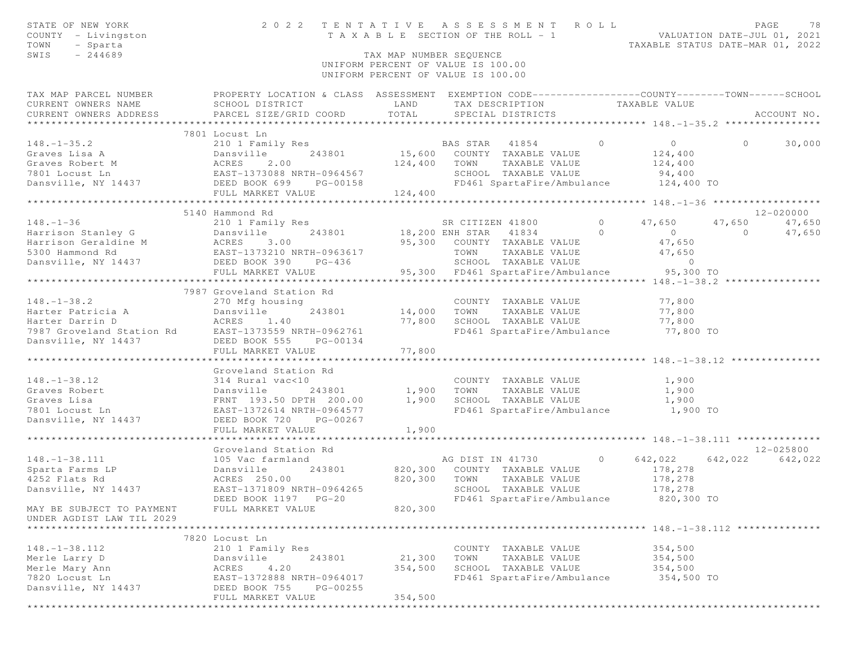| STATE OF NEW YORK<br>COUNTY - Livingston<br>TOWN<br>- Sparta<br>SWIS<br>$-244689$ |                                                                                                                                                                                                                                                                                                                                                                                       | TAX MAP NUMBER SEQUENCE |                                                                                  |                          |                            |
|-----------------------------------------------------------------------------------|---------------------------------------------------------------------------------------------------------------------------------------------------------------------------------------------------------------------------------------------------------------------------------------------------------------------------------------------------------------------------------------|-------------------------|----------------------------------------------------------------------------------|--------------------------|----------------------------|
|                                                                                   |                                                                                                                                                                                                                                                                                                                                                                                       |                         | UNIFORM PERCENT OF VALUE IS 100.00<br>UNIFORM PERCENT OF VALUE IS 100.00         |                          |                            |
|                                                                                   | TAX MAP PARCEL NUMBER THE PROPERTY LOCATION & CLASS ASSESSMENT EXEMPTION CODE---------------COUNTY-------TOWN------SCHOOL                                                                                                                                                                                                                                                             |                         |                                                                                  |                          |                            |
|                                                                                   |                                                                                                                                                                                                                                                                                                                                                                                       |                         | TAX DESCRIPTION TAXABLE VALUE                                                    |                          |                            |
|                                                                                   |                                                                                                                                                                                                                                                                                                                                                                                       |                         |                                                                                  |                          |                            |
|                                                                                   |                                                                                                                                                                                                                                                                                                                                                                                       |                         |                                                                                  |                          |                            |
|                                                                                   | 7801 Locust Ln                                                                                                                                                                                                                                                                                                                                                                        |                         |                                                                                  |                          |                            |
|                                                                                   |                                                                                                                                                                                                                                                                                                                                                                                       |                         |                                                                                  |                          |                            |
|                                                                                   |                                                                                                                                                                                                                                                                                                                                                                                       |                         |                                                                                  |                          |                            |
|                                                                                   |                                                                                                                                                                                                                                                                                                                                                                                       |                         |                                                                                  |                          |                            |
|                                                                                   |                                                                                                                                                                                                                                                                                                                                                                                       |                         |                                                                                  |                          |                            |
|                                                                                   |                                                                                                                                                                                                                                                                                                                                                                                       |                         |                                                                                  |                          |                            |
|                                                                                   |                                                                                                                                                                                                                                                                                                                                                                                       |                         |                                                                                  |                          |                            |
|                                                                                   | $\begin{tabular}{lllllllllllllllllll} \rule{0mm}{0.1cm} \rule{0mm}{0.1cm} \rule{0mm}{0.1cm} \rule{0mm}{0.1cm} \rule{0mm}{0.1cm} \rule{0mm}{0.1cm} \rule{0mm}{0.1cm} \rule{0mm}{0.1cm} \rule{0mm}{0.1cm} \rule{0mm}{0.1cm} \rule{0mm}{0.1cm} \rule{0mm}{0.1cm} \rule{0mm}{0.1cm} \rule{0mm}{0.1cm} \rule{0mm}{0.1cm} \rule{0mm}{0.1cm} \rule{0mm}{0.1cm} \rule{0mm}{0.1cm} \rule{0mm$  |                         |                                                                                  |                          |                            |
|                                                                                   |                                                                                                                                                                                                                                                                                                                                                                                       |                         | SR CITIZEN 41800 0 47,650                                                        |                          | 12-020000<br>47,650 47,650 |
|                                                                                   |                                                                                                                                                                                                                                                                                                                                                                                       |                         |                                                                                  |                          | 0 $47,650$                 |
|                                                                                   |                                                                                                                                                                                                                                                                                                                                                                                       |                         |                                                                                  | $\overline{0}$<br>47,650 |                            |
|                                                                                   |                                                                                                                                                                                                                                                                                                                                                                                       |                         |                                                                                  | 47,650                   |                            |
|                                                                                   |                                                                                                                                                                                                                                                                                                                                                                                       |                         |                                                                                  | $\overline{0}$           |                            |
|                                                                                   |                                                                                                                                                                                                                                                                                                                                                                                       |                         | 95,300 FD461 SpartaFire/Ambulance 95,300 TO                                      |                          |                            |
|                                                                                   |                                                                                                                                                                                                                                                                                                                                                                                       |                         |                                                                                  |                          |                            |
|                                                                                   | 7987 Groveland Station Rd                                                                                                                                                                                                                                                                                                                                                             |                         |                                                                                  |                          |                            |
|                                                                                   |                                                                                                                                                                                                                                                                                                                                                                                       |                         | COUNTY TAXABLE VALUE                                                             |                          |                            |
|                                                                                   | 243801                                                                                                                                                                                                                                                                                                                                                                                |                         | COUNTY TAXABLE VALUE<br>14,000 TOWN TAXABLE VALUE                                | 77,800<br>77,800         |                            |
|                                                                                   |                                                                                                                                                                                                                                                                                                                                                                                       |                         |                                                                                  |                          |                            |
|                                                                                   |                                                                                                                                                                                                                                                                                                                                                                                       |                         | 77,800 SCHOOL TAXABLE VALUE 77,800<br>FD461 SpartaFire/Ambulance 77,800 TO       |                          |                            |
|                                                                                   | 148. -1-38.2<br>Harter Patricia A<br>Harter Darrin D<br>7987 Groveland Station Rd<br>243801<br>243801<br>7987 Groveland Station Rd<br>2625 Book 555 PG-00134<br>2008 S55 PG-00134<br>2008 S55 PG-00134                                                                                                                                                                                |                         |                                                                                  |                          |                            |
|                                                                                   | FULL MARKET VALUE                                                                                                                                                                                                                                                                                                                                                                     | 77,800                  |                                                                                  |                          |                            |
|                                                                                   |                                                                                                                                                                                                                                                                                                                                                                                       | ************            | *********************************** 148.-1-38.12 ******************************* |                          |                            |
|                                                                                   | Groveland Station Rd                                                                                                                                                                                                                                                                                                                                                                  |                         |                                                                                  |                          |                            |
|                                                                                   | 314 Rural vac<10             COUNTY TAXABLE VALUE<br>Dansville    243801       1,900   TOWN   TAXABLE VALUE                                                                                                                                                                                                                                                                           |                         | COUNTY TAXABLE VALUE 1,900                                                       |                          |                            |
|                                                                                   |                                                                                                                                                                                                                                                                                                                                                                                       |                         |                                                                                  |                          |                            |
|                                                                                   |                                                                                                                                                                                                                                                                                                                                                                                       |                         |                                                                                  |                          |                            |
|                                                                                   |                                                                                                                                                                                                                                                                                                                                                                                       |                         | FD461 SpartaFire/Ambulance 1,900 TO                                              |                          |                            |
|                                                                                   |                                                                                                                                                                                                                                                                                                                                                                                       |                         |                                                                                  |                          |                            |
|                                                                                   | FULL MARKET VALUE                                                                                                                                                                                                                                                                                                                                                                     | 1,900                   |                                                                                  |                          |                            |
|                                                                                   |                                                                                                                                                                                                                                                                                                                                                                                       |                         |                                                                                  |                          | 12-025800                  |
|                                                                                   | Groveland Station Rd<br>105 Vac farmland <b>105 Control Control Control Control Control Control Control Control Control Control Control Control Control Control Control Control Control Control Control Control Control Control Co</b><br>148.-1-38.111<br>Sparta Farms LP<br>4252 Flats Rd<br>Dansville, NY 14437<br>Dansville, NY 14437<br>CRES 250.00<br>EAST-1371809 NRTH-0964265 |                         |                                                                                  |                          | 642,022 642,022            |
|                                                                                   |                                                                                                                                                                                                                                                                                                                                                                                       |                         | 243801 820,300 COUNTY TAXABLE VALUE 178,278                                      |                          |                            |
|                                                                                   |                                                                                                                                                                                                                                                                                                                                                                                       |                         | 820,300 TOWN TAXABLE VALUE                                                       | 178,278                  |                            |
|                                                                                   | EAST-1371809 NRTH-0964265                                                                                                                                                                                                                                                                                                                                                             |                         | SCHOOL TAXABLE VALUE                                                             | 178,278                  |                            |
|                                                                                   | DEED BOOK 1197 PG-20                                                                                                                                                                                                                                                                                                                                                                  |                         | FD461 SpartaFire/Ambulance                                                       | 820,300 TO               |                            |
| MAY BE SUBJECT TO PAYMENT                                                         | FULL MARKET VALUE                                                                                                                                                                                                                                                                                                                                                                     | 820,300                 |                                                                                  |                          |                            |
| UNDER AGDIST LAW TIL 2029                                                         |                                                                                                                                                                                                                                                                                                                                                                                       |                         |                                                                                  |                          |                            |
|                                                                                   |                                                                                                                                                                                                                                                                                                                                                                                       |                         |                                                                                  |                          |                            |
|                                                                                   | 7820 Locust Ln                                                                                                                                                                                                                                                                                                                                                                        |                         |                                                                                  |                          |                            |
| $148. - 1 - 38.112$                                                               | 210 1 Family Res                                                                                                                                                                                                                                                                                                                                                                      |                         | COUNTY TAXABLE VALUE                                                             | 354,500                  |                            |
| Merle Larry D                                                                     | 243801<br>Dansville                                                                                                                                                                                                                                                                                                                                                                   | 21,300                  | TOWN<br>TAXABLE VALUE                                                            | 354,500                  |                            |
| Merle Mary Ann                                                                    | 4.20<br>ACRES                                                                                                                                                                                                                                                                                                                                                                         | 354,500                 | SCHOOL TAXABLE VALUE                                                             | 354,500                  |                            |
| 7820 Locust Ln                                                                    | EAST-1372888 NRTH-0964017                                                                                                                                                                                                                                                                                                                                                             |                         | FD461 SpartaFire/Ambulance                                                       | 354,500 TO               |                            |
| Dansville, NY 14437                                                               | DEED BOOK 755<br>PG-00255                                                                                                                                                                                                                                                                                                                                                             |                         |                                                                                  |                          |                            |
|                                                                                   | FULL MARKET VALUE                                                                                                                                                                                                                                                                                                                                                                     | 354,500                 |                                                                                  |                          |                            |
|                                                                                   |                                                                                                                                                                                                                                                                                                                                                                                       |                         |                                                                                  |                          |                            |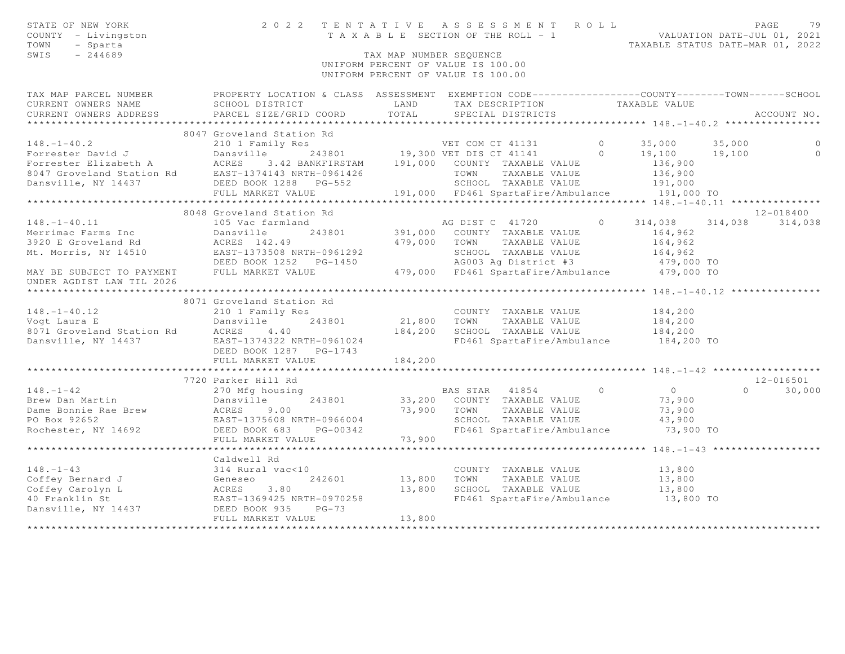| STATE OF NEW YORK<br>COUNTY - Livingston<br>- Sparta<br>TOWN<br>SWIS<br>$-244689$                   |                                                                                                   | TAX MAP NUMBER SEOUENCE | 2022 TENTATIVE ASSESSMENT ROLL<br>T A X A B L E SECTION OF THE ROLL - 1 VALUATION DATE-JUL 01, 2021<br>UNIFORM PERCENT OF VALUE IS 100.00<br>UNIFORM PERCENT OF VALUE IS 100.00 |         | TAXABLE STATUS DATE-MAR 01, 2022           | PAGE            | 79            |
|-----------------------------------------------------------------------------------------------------|---------------------------------------------------------------------------------------------------|-------------------------|---------------------------------------------------------------------------------------------------------------------------------------------------------------------------------|---------|--------------------------------------------|-----------------|---------------|
| TAX MAP PARCEL NUMBER                                                                               | PROPERTY LOCATION & CLASS ASSESSMENT EXEMPTION CODE-----------------COUNTY-------TOWN------SCHOOL |                         |                                                                                                                                                                                 |         |                                            |                 |               |
| CURRENT OWNERS NAME                                                                                 | SCHOOL DISTRICT                                                                                   | LAND                    | TAX DESCRIPTION                                                                                                                                                                 |         | TAXABLE VALUE                              |                 |               |
| CURRENT OWNERS ADDRESS                                                                              | PARCEL SIZE/GRID COORD                                                                            | TOTAL                   | SPECIAL DISTRICTS                                                                                                                                                               |         |                                            |                 | ACCOUNT NO.   |
| ***********************                                                                             |                                                                                                   |                         |                                                                                                                                                                                 |         |                                            |                 |               |
|                                                                                                     | 8047 Groveland Station Rd                                                                         |                         |                                                                                                                                                                                 |         |                                            |                 |               |
| $148. - 1 - 40.2$                                                                                   | 210 1 Family Res                                                                                  |                         | VET COM CT 41131                                                                                                                                                                | $\circ$ | 35,000                                     | 35,000          |               |
| Forrester David J                                                                                   | Dansville                                                                                         |                         | 243801 19,300 VET DIS CT 41141                                                                                                                                                  | $\circ$ | 19,100                                     | 19,100          | $\circ$       |
| Forrester Elizabeth A ACRES 3.42 BANKFIRSTAM<br>8047 Groveland Station Rd EAST-1374143 NRTH-0961426 |                                                                                                   |                         | 3.42 BANKFIRSTAM 191,000 COUNTY TAXABLE VALUE                                                                                                                                   |         | 136,900                                    |                 |               |
|                                                                                                     |                                                                                                   |                         | TOWN<br>TAXABLE VALUE                                                                                                                                                           |         | 136,900                                    |                 |               |
| Dansville, NY 14437                                                                                 | DEED BOOK 1288 PG-552<br>FULL MARKET VALUE                                                        |                         | SCHOOL TAXABLE VALUE                                                                                                                                                            |         | 191,000                                    |                 |               |
|                                                                                                     |                                                                                                   |                         | 191,000 FD461 SpartaFire/Ambulance                                                                                                                                              |         | 191,000 TO                                 |                 |               |
|                                                                                                     | 8048 Groveland Station Rd                                                                         |                         |                                                                                                                                                                                 |         |                                            |                 | 12-018400     |
| $148. - 1 - 40.11$                                                                                  | 105 Vac farmland                                                                                  |                         | AG DIST C 41720                                                                                                                                                                 | $\circ$ | 314,038                                    | 314,038 314,038 |               |
| Merrimac Farms Inc                                                                                  | Dansville<br>243801                                                                               | 391,000                 | COUNTY TAXABLE VALUE                                                                                                                                                            |         | 164,962                                    |                 |               |
| 3920 E Groveland Rd                                                                                 | ACRES 142.49                                                                                      | 479,000                 | TOWN<br>TAXABLE VALUE                                                                                                                                                           |         | 164,962                                    |                 |               |
| Mt. Morris, NY 14510                                                                                | EAST-1373508 NRTH-0961292                                                                         |                         | SCHOOL TAXABLE VALUE                                                                                                                                                            |         | 164,962                                    |                 |               |
|                                                                                                     | DEED BOOK 1252 PG-1450                                                                            |                         | AG003 Ag District #3                                                                                                                                                            |         | 479,000 TO                                 |                 |               |
| MAY BE SUBJECT TO PAYMENT FULL MARKET VALUE                                                         |                                                                                                   |                         | 479,000 FD461 SpartaFire/Ambulance 479,000 TO                                                                                                                                   |         |                                            |                 |               |
| UNDER AGDIST LAW TIL 2026                                                                           |                                                                                                   |                         |                                                                                                                                                                                 |         |                                            |                 |               |
|                                                                                                     |                                                                                                   |                         |                                                                                                                                                                                 |         |                                            |                 |               |
|                                                                                                     | 8071 Groveland Station Rd                                                                         |                         |                                                                                                                                                                                 |         |                                            |                 |               |
| $148. - 1 - 40.12$                                                                                  | 210 1 Family Res                                                                                  |                         | COUNTY TAXABLE VALUE                                                                                                                                                            |         | 184,200                                    |                 |               |
| Vogt Laura E<br>8071 Groveland Station Rd BCRES                                                     | 243801<br>Dansville                                                                               | 21,800                  | TOWN<br>TAXABLE VALUE                                                                                                                                                           |         | 184,200                                    |                 |               |
|                                                                                                     | 4.40                                                                                              | 184,200                 | SCHOOL TAXABLE VALUE                                                                                                                                                            |         | 184,200                                    |                 |               |
| Dansville, NY 14437                                                                                 | EAST-1374322 NRTH-0961024                                                                         |                         | FD461 SpartaFire/Ambulance 184,200 TO                                                                                                                                           |         |                                            |                 |               |
|                                                                                                     | DEED BOOK 1287 PG-1743                                                                            |                         |                                                                                                                                                                                 |         |                                            |                 |               |
|                                                                                                     | FULL MARKET VALUE                                                                                 | 184,200                 |                                                                                                                                                                                 |         |                                            |                 |               |
|                                                                                                     |                                                                                                   | *************           | ****************************** 148. -1-42 ******************                                                                                                                    |         |                                            |                 |               |
|                                                                                                     | 7720 Parker Hill Rd                                                                               |                         |                                                                                                                                                                                 |         |                                            |                 | $12 - 016501$ |
| $148. - 1 - 42$                                                                                     | 270 Mfg housing                                                                                   |                         | BAS STAR 41854                                                                                                                                                                  | $\circ$ | $\overline{0}$                             | $\circ$         | 30,000        |
| Brew Dan Martin                                                                                     | 243801<br>Dansville                                                                               | 33,200                  | COUNTY TAXABLE VALUE                                                                                                                                                            |         | 73,900                                     |                 |               |
| Dame Bonnie Rae Brew                                                                                | <b>ACRES</b><br>9.00                                                                              | 73,900                  | TAXABLE VALUE<br>TOWN                                                                                                                                                           |         | 73,900                                     |                 |               |
| PO Box 92652                                                                                        | EAST-1375608 NRTH-0966004                                                                         |                         | SCHOOL TAXABLE VALUE                                                                                                                                                            |         | 43,900                                     |                 |               |
| Rochester, NY 14692                                                                                 | DEED BOOK 683<br>PG-00342                                                                         |                         | FD461 SpartaFire/Ambulance                                                                                                                                                      |         | 73,900 TO                                  |                 |               |
|                                                                                                     | FULL MARKET VALUE                                                                                 | 73,900                  |                                                                                                                                                                                 |         |                                            |                 |               |
|                                                                                                     |                                                                                                   |                         |                                                                                                                                                                                 |         | *********** 148. -1-43 ******************* |                 |               |
|                                                                                                     | Caldwell Rd                                                                                       |                         |                                                                                                                                                                                 |         |                                            |                 |               |
| $148. - 1 - 43$                                                                                     | 314 Rural vac<10                                                                                  |                         | COUNTY TAXABLE VALUE<br>TOWN                                                                                                                                                    |         | 13,800                                     |                 |               |
| Coffey Bernard J                                                                                    | Geneseo<br>ACRES<br>242601<br>3.80                                                                | 13,800<br>13,800        | TAXABLE VALUE<br>SCHOOL TAXABLE VALUE                                                                                                                                           |         | 13,800                                     |                 |               |
| Coffey Carolyn L<br>40 Franklin St                                                                  | EAST-1369425 NRTH-0970258                                                                         |                         |                                                                                                                                                                                 |         | 13,800<br>13,800 TO                        |                 |               |
| Dansville, NY 14437                                                                                 | EAST-1369425 I<br>DEED BOOK 935<br>$PG-73$                                                        |                         | FD461 SpartaFire/Ambulance                                                                                                                                                      |         |                                            |                 |               |
|                                                                                                     | FULL MARKET VALUE                                                                                 | 13,800                  |                                                                                                                                                                                 |         |                                            |                 |               |
|                                                                                                     |                                                                                                   |                         |                                                                                                                                                                                 |         |                                            |                 |               |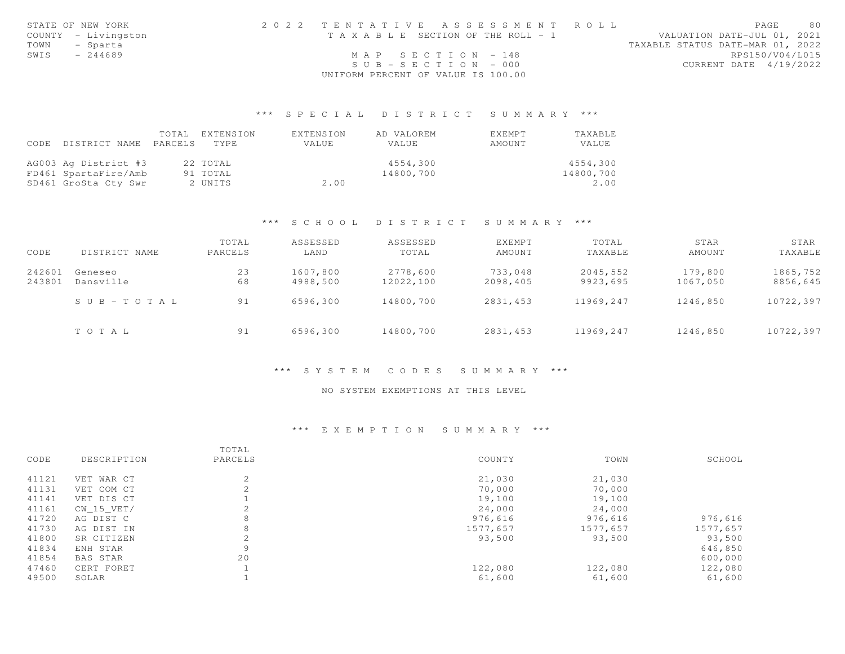|      | STATE OF NEW YORK   | 2022 TENTATIVE ASSESSMENT ROLL        | 80<br>PAGE                       |
|------|---------------------|---------------------------------------|----------------------------------|
|      | COUNTY - Livingston | T A X A B L E SECTION OF THE ROLL - 1 | VALUATION DATE-JUL 01, 2021      |
| TOWN | - Sparta            |                                       | TAXABLE STATUS DATE-MAR 01, 2022 |
| SWIS | $-244689$           | MAP SECTION - 148                     | RPS150/V04/L015                  |
|      |                     | $SUB - SECTION - 000$                 | CURRENT DATE 4/19/2022           |
|      |                     | UNIFORM PERCENT OF VALUE IS 100.00    |                                  |

## \*\*\* S P E C I A L D I S T R I C T S U M M A R Y \*\*\*

|      |                      | TOTAL   | EXTENSION | EXTENSION | AD VALOREM | EXEMPT | TAXABLE   |
|------|----------------------|---------|-----------|-----------|------------|--------|-----------|
| CODE | DISTRICT NAME        | PARCELS | TYPE.     | VALUE     | VALUE      | AMOUNT | VALUE     |
|      |                      |         |           |           |            |        |           |
|      | AG003 Ag District #3 |         | 22 TOTAL  |           | 4554,300   |        | 4554,300  |
|      | FD461 SpartaFire/Amb |         | 91 TOTAL  |           | 14800,700  |        | 14800,700 |
|      | SD461 GroSta Cty Swr |         | 2 UNITS   | 2.00      |            |        | 2.00      |

## \*\*\* S C H O O L D I S T R I C T S U M M A R Y \*\*\*

| CODE             | DISTRICT NAME         | TOTAL<br>PARCELS | ASSESSED<br>LAND     | ASSESSED<br>TOTAL     | EXEMPT<br>AMOUNT    | TOTAL<br>TAXABLE     | STAR<br>AMOUNT      | STAR<br>TAXABLE      |
|------------------|-----------------------|------------------|----------------------|-----------------------|---------------------|----------------------|---------------------|----------------------|
| 242601<br>243801 | Geneseo<br>Dansville  | 23<br>68         | 1607,800<br>4988,500 | 2778,600<br>12022,100 | 733,048<br>2098,405 | 2045,552<br>9923,695 | 179,800<br>1067,050 | 1865,752<br>8856,645 |
|                  | $S \cup B - TO T A L$ | 91               | 6596,300             | 14800,700             | 2831,453            | 11969,247            | 1246,850            | 10722,397            |
|                  | TOTAL                 | 91               | 6596,300             | 14800,700             | 2831,453            | 11969,247            | 1246,850            | 10722,397            |

# \*\*\* S Y S T E M C O D E S S U M M A R Y \*\*\*

#### NO SYSTEM EXEMPTIONS AT THIS LEVEL

## \*\*\* E X E M P T I O N S U M M A R Y \*\*\*

|       |             | TOTAL   |          |          |          |
|-------|-------------|---------|----------|----------|----------|
| CODE  | DESCRIPTION | PARCELS | COUNTY   | TOWN     | SCHOOL   |
| 41121 | VET WAR CT  | 2       | 21,030   | 21,030   |          |
| 41131 | VET COM CT  | 2       | 70,000   | 70,000   |          |
| 41141 | VET DIS CT  |         | 19,100   | 19,100   |          |
| 41161 | CW 15 VET/  | ∠       | 24,000   | 24,000   |          |
| 41720 | AG DIST C   | 8       | 976,616  | 976,616  | 976,616  |
| 41730 | AG DIST IN  | 8       | 1577,657 | 1577,657 | 1577,657 |
| 41800 | SR CITIZEN  | ∠       | 93,500   | 93,500   | 93,500   |
| 41834 | ENH STAR    | 9       |          |          | 646,850  |
| 41854 | BAS STAR    | 20      |          |          | 600,000  |
| 47460 | CERT FORET  |         | 122,080  | 122,080  | 122,080  |
| 49500 | SOLAR       |         | 61,600   | 61,600   | 61,600   |
|       |             |         |          |          |          |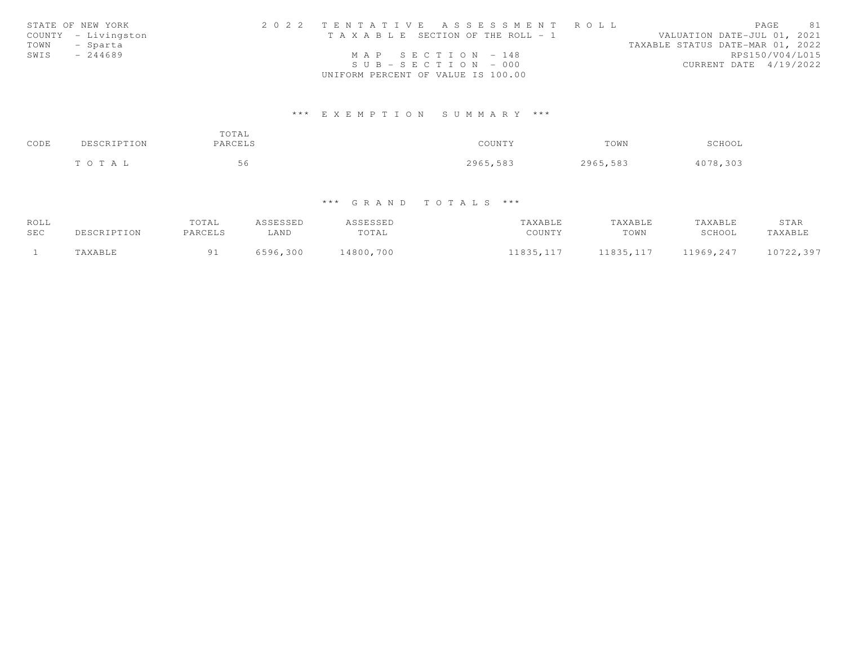|      | STATE OF NEW YORK   | 2022 TENTATIVE ASSESSMENT ROLL        |                       |  |  |                                  | PAGE | 81              |
|------|---------------------|---------------------------------------|-----------------------|--|--|----------------------------------|------|-----------------|
|      | COUNTY - Livingston | T A X A B L E SECTION OF THE ROLL - 1 |                       |  |  | VALUATION DATE-JUL 01, 2021      |      |                 |
|      | TOWN - Sparta       |                                       |                       |  |  | TAXABLE STATUS DATE-MAR 01, 2022 |      |                 |
| SWIS | $-244689$           |                                       | MAP SECTION $-148$    |  |  |                                  |      | RPS150/V04/L015 |
|      |                     |                                       | $SUB - SECTION - 000$ |  |  | CURRENT DATE 4/19/2022           |      |                 |
|      |                     | UNIFORM PERCENT OF VALUE IS 100.00    |                       |  |  |                                  |      |                 |

# \*\*\* E X E M P T I O N S U M M A R Y \*\*\*

| CODE | DESCRIPTION | TOTAL<br>PARCELS | COUNTY   | TOWN     | SCHOOL   |
|------|-------------|------------------|----------|----------|----------|
|      | TOTAL       | 56               | 2965,583 | 2965,583 | 4078,303 |

# \*\*\* G R A N D T O T A L S \*\*\*

| ROLL |             | TOTAL   | ASSESSED | ASSESSED  | TAXABLE    | TAXABLE    | TAXABLE   | STAR      |
|------|-------------|---------|----------|-----------|------------|------------|-----------|-----------|
| SEC  | DESCRIPTION | PARCELS | LAND     | TOTAL     | COUNTY     | TOWN       | SCHOOL    | TAXABLE   |
|      | TAXABLE     |         | 6596,300 | 14800,700 | 11835, 117 | 11835, 117 | 11969,247 | 10722,397 |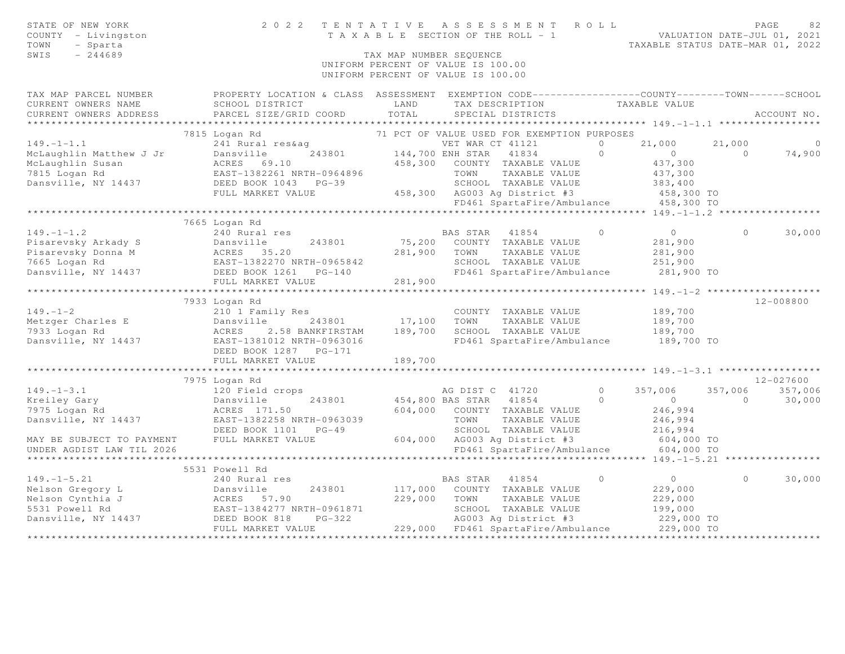| STATE OF NEW YORK<br>COUNTY - Livingston<br>TOWN<br>- Sparta<br>$-244689$<br>SWIS | 2022<br>TENTATIVE                                                                                                    | T A X A B L E SECTION OF THE ROLL - 1<br>TAX MAP NUMBER SEQUENCE<br>UNIFORM PERCENT OF VALUE IS 100.00<br>UNIFORM PERCENT OF VALUE IS 100.00 |                  | ASSESSMENT ROLL                             |          | TAXABLE STATUS DATE-MAR 01, 2022      | VALUATION DATE-JUL 01, 2021 | PAGE<br>82  |
|-----------------------------------------------------------------------------------|----------------------------------------------------------------------------------------------------------------------|----------------------------------------------------------------------------------------------------------------------------------------------|------------------|---------------------------------------------|----------|---------------------------------------|-----------------------------|-------------|
| TAX MAP PARCEL NUMBER<br>CURRENT OWNERS NAME                                      | PROPERTY LOCATION & CLASS ASSESSMENT EXEMPTION CODE-----------------COUNTY-------TOWN------SCHOOL<br>SCHOOL DISTRICT | LAND                                                                                                                                         | TAX DESCRIPTION  |                                             |          | TAXABLE VALUE                         |                             |             |
| CURRENT OWNERS ADDRESS                                                            | PARCEL SIZE/GRID COORD                                                                                               | TOTAL                                                                                                                                        |                  | SPECIAL DISTRICTS                           |          |                                       |                             | ACCOUNT NO. |
|                                                                                   | 7815 Logan Rd                                                                                                        |                                                                                                                                              |                  | 71 PCT OF VALUE USED FOR EXEMPTION PURPOSES |          |                                       |                             |             |
| $149. - 1 - 1.1$                                                                  | 241 Rural res&aq                                                                                                     |                                                                                                                                              | VET WAR CT 41121 |                                             | $\Omega$ | 21,000                                | 21,000                      | $\circ$     |
| McLaughlin Matthew J Jr                                                           | Dansville<br>243801                                                                                                  | 144,700 ENH STAR                                                                                                                             |                  | 41834                                       | $\Omega$ | $\overline{0}$                        | $\Omega$                    | 74,900      |
| McLaughlin Susan                                                                  | ACRES 69.10                                                                                                          | 458,300                                                                                                                                      |                  | COUNTY TAXABLE VALUE                        |          | 437,300                               |                             |             |
| 7815 Logan Rd                                                                     | EAST-1382261 NRTH-0964896                                                                                            |                                                                                                                                              | TOWN             | TAXABLE VALUE                               |          | 437,300                               |                             |             |
| Dansville, NY 14437                                                               | EAST-1382261 NRTH-09648<br>DEED BOOK 1043 PG-39                                                                      |                                                                                                                                              |                  | SCHOOL TAXABLE VALUE                        |          | 383,400                               |                             |             |
|                                                                                   | FULL MARKET VALUE                                                                                                    |                                                                                                                                              |                  | 458,300 AG003 Ag District #3                |          | 458,300 TO                            |                             |             |
|                                                                                   |                                                                                                                      |                                                                                                                                              |                  | FD461 SpartaFire/Ambulance                  |          | 458,300 TO                            |                             |             |
|                                                                                   | *****************************                                                                                        |                                                                                                                                              |                  |                                             |          |                                       |                             |             |
|                                                                                   | 7665 Logan Rd                                                                                                        |                                                                                                                                              |                  |                                             |          |                                       |                             |             |
| $149. - 1 - 1.2$                                                                  | 240 Rural res                                                                                                        |                                                                                                                                              | BAS STAR         | 41854                                       | $\circ$  | $\overline{0}$                        | $\circ$                     | 30,000      |
| Pisarevsky Arkady S                                                               | Dansville<br>243801                                                                                                  |                                                                                                                                              |                  | 75,200 COUNTY TAXABLE VALUE                 |          | 281,900                               |                             |             |
| Pisarevsky Donna M                                                                |                                                                                                                      | 281,900                                                                                                                                      | TOWN             | TAXABLE VALUE                               |          | 281,900                               |                             |             |
| 7665 Logan Rd<br>Dansville, NY 14437 DEED BOOK 1261 PG-140                        | ACRES 35.20<br>EAST-1382270 NRTH-0965842<br>-- DOOM 1261 PG-140                                                      |                                                                                                                                              |                  | SCHOOL TAXABLE VALUE                        |          | 251,900                               |                             |             |
|                                                                                   | FULL MARKET VALUE                                                                                                    | 281,900                                                                                                                                      |                  |                                             |          | FD461 SpartaFire/Ambulance 281,900 TO |                             |             |
|                                                                                   |                                                                                                                      |                                                                                                                                              |                  |                                             |          |                                       |                             |             |
|                                                                                   | 7933 Logan Rd                                                                                                        |                                                                                                                                              |                  |                                             |          |                                       |                             | 12-008800   |
| $149. - 1 - 2$                                                                    | 210 1 Family Res                                                                                                     |                                                                                                                                              |                  | COUNTY TAXABLE VALUE                        |          | 189,700                               |                             |             |
| Metzger Charles E                                                                 | Dansville<br>243801                                                                                                  | 17,100                                                                                                                                       | TOWN             | TAXABLE VALUE                               |          | 189,700                               |                             |             |
| 7933 Logan Rd                                                                     | Dansvi<br>ACRES<br>2.58 BANKFIRSTAM                                                                                  | 189,700                                                                                                                                      |                  | SCHOOL TAXABLE VALUE                        |          | 189,700                               |                             |             |
| Dansville, NY 14437                                                               | EAST-1381012 NRTH-0963016<br>DEED BOOK 1287 PG-171                                                                   |                                                                                                                                              |                  | FD461 SpartaFire/Ambulance                  |          | 189,700 TO                            |                             |             |
|                                                                                   | FULL MARKET VALUE                                                                                                    | 189,700                                                                                                                                      |                  |                                             |          |                                       |                             |             |
|                                                                                   |                                                                                                                      |                                                                                                                                              |                  |                                             |          |                                       |                             |             |
|                                                                                   | 7975 Logan Rd                                                                                                        |                                                                                                                                              |                  |                                             |          |                                       |                             | 12-027600   |
| $149. - 1 - 3.1$                                                                  | 120 Field crops                                                                                                      |                                                                                                                                              | AG DIST C 41720  |                                             | $\Omega$ | 357,006                               | 357,006                     | 357,006     |
| Kreiley Gary                                                                      | 243801<br>Dansville                                                                                                  | 454,800 BAS STAR                                                                                                                             |                  | 41854                                       | $\circ$  | $\overline{0}$                        | $\circ$                     | 30,000      |
| 7975 Logan Rd                                                                     | ACRES 171.50                                                                                                         |                                                                                                                                              |                  | 604,000 COUNTY TAXABLE VALUE                |          | 246,994                               |                             |             |
| Dansville, NY 14437 EAST-1382258 NRTH-0963039                                     |                                                                                                                      |                                                                                                                                              | TOWN             | TAXABLE VALUE                               |          | 246,994                               |                             |             |
|                                                                                   | DEED BOOK 1101 PG-49                                                                                                 |                                                                                                                                              |                  | SCHOOL TAXABLE VALUE                        |          | 216,994                               |                             |             |
| MAY BE SUBJECT TO PAYMENT FULL MARKET VALUE                                       |                                                                                                                      |                                                                                                                                              |                  | 604,000 AG003 Ag District #3                |          | 604,000 TO                            |                             |             |
| UNDER AGDIST LAW TIL 2026                                                         |                                                                                                                      |                                                                                                                                              |                  | FD461 SpartaFire/Ambulance                  |          | 604,000 TO                            |                             |             |
|                                                                                   |                                                                                                                      |                                                                                                                                              |                  |                                             |          |                                       |                             |             |
|                                                                                   | 5531 Powell Rd                                                                                                       |                                                                                                                                              |                  |                                             |          |                                       |                             |             |
| $149. - 1 - 5.21$                                                                 | 240 Rural res                                                                                                        |                                                                                                                                              | BAS STAR         | 41854                                       | $\circ$  | $\overline{0}$                        | $\Omega$                    | 30,000      |
| Nelson Gregory L                                                                  | Dansville<br>243801                                                                                                  | 117,000                                                                                                                                      |                  | COUNTY TAXABLE VALUE                        |          | 229,000                               |                             |             |
| Nelson Cynthia J<br>5531 Powell Rd                                                | EAST-1384277 NRTH-0961871                                                                                            | 229,000                                                                                                                                      | TOWN             | TAXABLE VALUE<br>SCHOOL TAXABLE VALUE       |          | 229,000                               |                             |             |
| Dansville, NY 14437                                                               | ACRES 57.90<br>EAST-1384277 N<br>37 DEED BOOK 818<br>$PG-322$                                                        |                                                                                                                                              |                  | AG003 Ag District #3                        |          | 199,000<br>229,000 TO                 |                             |             |
|                                                                                   | FULL MARKET VALUE                                                                                                    |                                                                                                                                              |                  | 229,000 FD461 SpartaFire/Ambulance          |          | 229,000 TO                            |                             |             |
|                                                                                   |                                                                                                                      |                                                                                                                                              |                  |                                             |          |                                       |                             |             |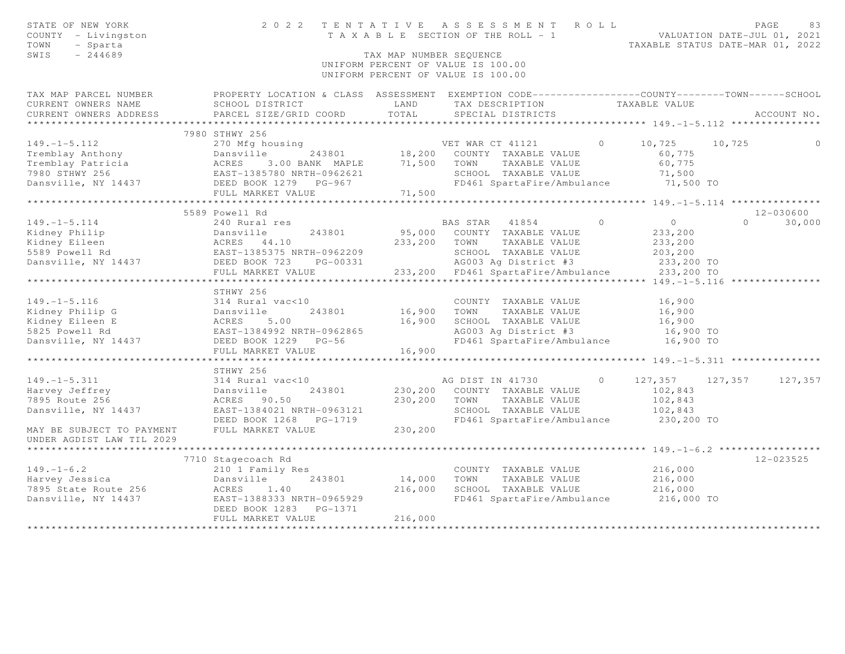| PROPERTY LOCATION & CLASS ASSESSMENT EXEMPTION CODE-----------------COUNTY--------TOWN------SCHOOL<br>LAND<br>TAXABLE VALUE<br>SCHOOL DISTRICT<br>TAX DESCRIPTION<br>TOTAL<br>CURRENT OWNERS ADDRESS<br>PARCEL SIZE/GRID COORD<br>SPECIAL DISTRICTS<br>ACCOUNT NO.<br>*******************<br>7980 STHWY 256<br>$149. - 1 - 5.112$<br>270 Mfg housing<br>$\overline{0}$<br>10,725<br>VET WAR CT 41121<br>10,725<br>0<br>243801<br>18,200 COUNTY TAXABLE VALUE<br>Tremblay Anthony<br>60,775<br>Dansville 243801<br>ACRES 3.00 BANK MAPLE<br>EAST-1385780 NRTH-0962621<br>Tremblay Patricia<br>71,500<br>TOWN<br>TAXABLE VALUE<br>60,775<br>3.00 BANK MAPLE<br>7980 STHWY 256<br>SCHOOL TAXABLE VALUE<br>71,500<br>Dansville, NY 14437<br>FD461 SpartaFire/Ambulance 71,500 TO<br>DEED BOOK 1279 PG-967<br>71,500<br>FULL MARKET VALUE<br>*******************<br>************ 149. -1-5. 114 ****************<br>5589 Powell Rd<br>12-030600<br>$\Omega$<br>$149. - 1 - 5.114$<br>$\bigcirc$<br>$\overline{0}$<br>30,000<br>240 Rural res<br>BAS STAR 41854<br>Kidney Philip<br>95,000<br>COUNTY TAXABLE VALUE<br>233,200<br>Dansville 243801<br>ACRES 44.10<br>EAST-1385375 NRTH-0962209<br>DEED BOOK 723 PG-00331<br>Kidney Eileen<br>233,200<br>TOWN<br>TAXABLE VALUE<br>233,200<br>5589 Powell Rd<br>SCHOOL TAXABLE VALUE<br>203,200<br>Dansville, NY 14437<br>AG003 Ag District #3<br>233,200 TO<br>FULL MARKET VALUE<br>233,200 FD461 SpartaFire/Ambulance<br>233,200 TO<br>*****************************149.-1-5.116 *****************<br>***********************<br>STHWY 256<br>314 Rural vac<10<br>COUNTY TAXABLE VALUE<br>16,900<br>Dansville<br>ACRES 5.00<br>EAST-1384992 NRTH-0962865<br>DEED BOOK 1229 PG-56<br>16,900<br>TOWN<br>TAXABLE VALUE<br>16,900<br>16,900<br>SCHOOL TAXABLE VALUE<br>16,900<br>AG003 Ag District #3<br>16,900 TO<br>FD461 SpartaFire/Ambulance 16,900 TO<br>16,900<br>***********************<br>STHWY 256<br>$149. - 1 - 5.311$<br>AG DIST IN 41730<br>$\circ$<br>127,357 127,357 127,357<br>314 Rural vac<10<br>230,200 COUNTY TAXABLE VALUE<br>102,843<br>Harvey Jeffrey<br>243801<br>Dansville<br>230,200<br>7895 Route 256<br>TOWN<br>TAXABLE VALUE<br>102,843<br>ACRES 90.50<br>Dansville, NY 14437<br>EAST-1384021 NRTH-0963121<br>SCHOOL TAXABLE VALUE<br>102,843<br>FD461 SpartaFire/Ambulance<br>DEED BOOK 1268 PG-1719<br>230,200 TO<br>MAY BE SUBJECT TO PAYMENT<br>FULL MARKET VALUE<br>230,200<br>7710 Stagecoach Rd<br>12-023525<br>216,000<br>210 1 Family Res<br>COUNTY TAXABLE VALUE<br>14,000<br>TOWN<br>243801<br>TAXABLE VALUE<br>216,000<br>Dansville<br>216,000<br>ACRES<br>1.40<br>SCHOOL TAXABLE VALUE<br>216,000<br>EAST-1388333 NRTH-0965929<br>FD461 SpartaFire/Ambulance 216,000 TO<br>DEED BOOK 1283 PG-1371<br>216,000<br>FULL MARKET VALUE | STATE OF NEW YORK<br>COUNTY - Livingston<br>- Sparta<br>TOWN<br>SWIS<br>$-244689$ | 2022 TENTATIVE | TAX MAP NUMBER SEQUENCE | ASSESSMENT ROLL<br>T A X A B L E SECTION OF THE ROLL - 1<br>UNIFORM PERCENT OF VALUE IS 100.00<br>UNIFORM PERCENT OF VALUE IS 100.00 | VALUATION DATE-JUL 01, 2021<br>TAXABLE STATUS DATE-MAR 01, 2022 | PAGE<br>83 |
|-------------------------------------------------------------------------------------------------------------------------------------------------------------------------------------------------------------------------------------------------------------------------------------------------------------------------------------------------------------------------------------------------------------------------------------------------------------------------------------------------------------------------------------------------------------------------------------------------------------------------------------------------------------------------------------------------------------------------------------------------------------------------------------------------------------------------------------------------------------------------------------------------------------------------------------------------------------------------------------------------------------------------------------------------------------------------------------------------------------------------------------------------------------------------------------------------------------------------------------------------------------------------------------------------------------------------------------------------------------------------------------------------------------------------------------------------------------------------------------------------------------------------------------------------------------------------------------------------------------------------------------------------------------------------------------------------------------------------------------------------------------------------------------------------------------------------------------------------------------------------------------------------------------------------------------------------------------------------------------------------------------------------------------------------------------------------------------------------------------------------------------------------------------------------------------------------------------------------------------------------------------------------------------------------------------------------------------------------------------------------------------------------------------------------------------------------------------------------------------------------------------------------------------------------------------------------------------------------------------------------------------------------------------------------------------------------------------------------------------------------------------------------------------------------------------------|-----------------------------------------------------------------------------------|----------------|-------------------------|--------------------------------------------------------------------------------------------------------------------------------------|-----------------------------------------------------------------|------------|
|                                                                                                                                                                                                                                                                                                                                                                                                                                                                                                                                                                                                                                                                                                                                                                                                                                                                                                                                                                                                                                                                                                                                                                                                                                                                                                                                                                                                                                                                                                                                                                                                                                                                                                                                                                                                                                                                                                                                                                                                                                                                                                                                                                                                                                                                                                                                                                                                                                                                                                                                                                                                                                                                                                                                                                                                                   | TAX MAP PARCEL NUMBER                                                             |                |                         |                                                                                                                                      |                                                                 |            |
|                                                                                                                                                                                                                                                                                                                                                                                                                                                                                                                                                                                                                                                                                                                                                                                                                                                                                                                                                                                                                                                                                                                                                                                                                                                                                                                                                                                                                                                                                                                                                                                                                                                                                                                                                                                                                                                                                                                                                                                                                                                                                                                                                                                                                                                                                                                                                                                                                                                                                                                                                                                                                                                                                                                                                                                                                   | CURRENT OWNERS NAME                                                               |                |                         |                                                                                                                                      |                                                                 |            |
|                                                                                                                                                                                                                                                                                                                                                                                                                                                                                                                                                                                                                                                                                                                                                                                                                                                                                                                                                                                                                                                                                                                                                                                                                                                                                                                                                                                                                                                                                                                                                                                                                                                                                                                                                                                                                                                                                                                                                                                                                                                                                                                                                                                                                                                                                                                                                                                                                                                                                                                                                                                                                                                                                                                                                                                                                   |                                                                                   |                |                         |                                                                                                                                      |                                                                 |            |
|                                                                                                                                                                                                                                                                                                                                                                                                                                                                                                                                                                                                                                                                                                                                                                                                                                                                                                                                                                                                                                                                                                                                                                                                                                                                                                                                                                                                                                                                                                                                                                                                                                                                                                                                                                                                                                                                                                                                                                                                                                                                                                                                                                                                                                                                                                                                                                                                                                                                                                                                                                                                                                                                                                                                                                                                                   |                                                                                   |                |                         |                                                                                                                                      |                                                                 |            |
|                                                                                                                                                                                                                                                                                                                                                                                                                                                                                                                                                                                                                                                                                                                                                                                                                                                                                                                                                                                                                                                                                                                                                                                                                                                                                                                                                                                                                                                                                                                                                                                                                                                                                                                                                                                                                                                                                                                                                                                                                                                                                                                                                                                                                                                                                                                                                                                                                                                                                                                                                                                                                                                                                                                                                                                                                   |                                                                                   |                |                         |                                                                                                                                      |                                                                 |            |
|                                                                                                                                                                                                                                                                                                                                                                                                                                                                                                                                                                                                                                                                                                                                                                                                                                                                                                                                                                                                                                                                                                                                                                                                                                                                                                                                                                                                                                                                                                                                                                                                                                                                                                                                                                                                                                                                                                                                                                                                                                                                                                                                                                                                                                                                                                                                                                                                                                                                                                                                                                                                                                                                                                                                                                                                                   |                                                                                   |                |                         |                                                                                                                                      |                                                                 |            |
|                                                                                                                                                                                                                                                                                                                                                                                                                                                                                                                                                                                                                                                                                                                                                                                                                                                                                                                                                                                                                                                                                                                                                                                                                                                                                                                                                                                                                                                                                                                                                                                                                                                                                                                                                                                                                                                                                                                                                                                                                                                                                                                                                                                                                                                                                                                                                                                                                                                                                                                                                                                                                                                                                                                                                                                                                   |                                                                                   |                |                         |                                                                                                                                      |                                                                 |            |
|                                                                                                                                                                                                                                                                                                                                                                                                                                                                                                                                                                                                                                                                                                                                                                                                                                                                                                                                                                                                                                                                                                                                                                                                                                                                                                                                                                                                                                                                                                                                                                                                                                                                                                                                                                                                                                                                                                                                                                                                                                                                                                                                                                                                                                                                                                                                                                                                                                                                                                                                                                                                                                                                                                                                                                                                                   |                                                                                   |                |                         |                                                                                                                                      |                                                                 |            |
|                                                                                                                                                                                                                                                                                                                                                                                                                                                                                                                                                                                                                                                                                                                                                                                                                                                                                                                                                                                                                                                                                                                                                                                                                                                                                                                                                                                                                                                                                                                                                                                                                                                                                                                                                                                                                                                                                                                                                                                                                                                                                                                                                                                                                                                                                                                                                                                                                                                                                                                                                                                                                                                                                                                                                                                                                   |                                                                                   |                |                         |                                                                                                                                      |                                                                 |            |
|                                                                                                                                                                                                                                                                                                                                                                                                                                                                                                                                                                                                                                                                                                                                                                                                                                                                                                                                                                                                                                                                                                                                                                                                                                                                                                                                                                                                                                                                                                                                                                                                                                                                                                                                                                                                                                                                                                                                                                                                                                                                                                                                                                                                                                                                                                                                                                                                                                                                                                                                                                                                                                                                                                                                                                                                                   |                                                                                   |                |                         |                                                                                                                                      |                                                                 |            |
|                                                                                                                                                                                                                                                                                                                                                                                                                                                                                                                                                                                                                                                                                                                                                                                                                                                                                                                                                                                                                                                                                                                                                                                                                                                                                                                                                                                                                                                                                                                                                                                                                                                                                                                                                                                                                                                                                                                                                                                                                                                                                                                                                                                                                                                                                                                                                                                                                                                                                                                                                                                                                                                                                                                                                                                                                   |                                                                                   |                |                         |                                                                                                                                      |                                                                 |            |
|                                                                                                                                                                                                                                                                                                                                                                                                                                                                                                                                                                                                                                                                                                                                                                                                                                                                                                                                                                                                                                                                                                                                                                                                                                                                                                                                                                                                                                                                                                                                                                                                                                                                                                                                                                                                                                                                                                                                                                                                                                                                                                                                                                                                                                                                                                                                                                                                                                                                                                                                                                                                                                                                                                                                                                                                                   |                                                                                   |                |                         |                                                                                                                                      |                                                                 |            |
|                                                                                                                                                                                                                                                                                                                                                                                                                                                                                                                                                                                                                                                                                                                                                                                                                                                                                                                                                                                                                                                                                                                                                                                                                                                                                                                                                                                                                                                                                                                                                                                                                                                                                                                                                                                                                                                                                                                                                                                                                                                                                                                                                                                                                                                                                                                                                                                                                                                                                                                                                                                                                                                                                                                                                                                                                   |                                                                                   |                |                         |                                                                                                                                      |                                                                 |            |
|                                                                                                                                                                                                                                                                                                                                                                                                                                                                                                                                                                                                                                                                                                                                                                                                                                                                                                                                                                                                                                                                                                                                                                                                                                                                                                                                                                                                                                                                                                                                                                                                                                                                                                                                                                                                                                                                                                                                                                                                                                                                                                                                                                                                                                                                                                                                                                                                                                                                                                                                                                                                                                                                                                                                                                                                                   |                                                                                   |                |                         |                                                                                                                                      |                                                                 |            |
|                                                                                                                                                                                                                                                                                                                                                                                                                                                                                                                                                                                                                                                                                                                                                                                                                                                                                                                                                                                                                                                                                                                                                                                                                                                                                                                                                                                                                                                                                                                                                                                                                                                                                                                                                                                                                                                                                                                                                                                                                                                                                                                                                                                                                                                                                                                                                                                                                                                                                                                                                                                                                                                                                                                                                                                                                   |                                                                                   |                |                         |                                                                                                                                      |                                                                 |            |
|                                                                                                                                                                                                                                                                                                                                                                                                                                                                                                                                                                                                                                                                                                                                                                                                                                                                                                                                                                                                                                                                                                                                                                                                                                                                                                                                                                                                                                                                                                                                                                                                                                                                                                                                                                                                                                                                                                                                                                                                                                                                                                                                                                                                                                                                                                                                                                                                                                                                                                                                                                                                                                                                                                                                                                                                                   |                                                                                   |                |                         |                                                                                                                                      |                                                                 |            |
|                                                                                                                                                                                                                                                                                                                                                                                                                                                                                                                                                                                                                                                                                                                                                                                                                                                                                                                                                                                                                                                                                                                                                                                                                                                                                                                                                                                                                                                                                                                                                                                                                                                                                                                                                                                                                                                                                                                                                                                                                                                                                                                                                                                                                                                                                                                                                                                                                                                                                                                                                                                                                                                                                                                                                                                                                   |                                                                                   |                |                         |                                                                                                                                      |                                                                 |            |
|                                                                                                                                                                                                                                                                                                                                                                                                                                                                                                                                                                                                                                                                                                                                                                                                                                                                                                                                                                                                                                                                                                                                                                                                                                                                                                                                                                                                                                                                                                                                                                                                                                                                                                                                                                                                                                                                                                                                                                                                                                                                                                                                                                                                                                                                                                                                                                                                                                                                                                                                                                                                                                                                                                                                                                                                                   |                                                                                   |                |                         |                                                                                                                                      |                                                                 |            |
|                                                                                                                                                                                                                                                                                                                                                                                                                                                                                                                                                                                                                                                                                                                                                                                                                                                                                                                                                                                                                                                                                                                                                                                                                                                                                                                                                                                                                                                                                                                                                                                                                                                                                                                                                                                                                                                                                                                                                                                                                                                                                                                                                                                                                                                                                                                                                                                                                                                                                                                                                                                                                                                                                                                                                                                                                   |                                                                                   |                |                         |                                                                                                                                      |                                                                 |            |
|                                                                                                                                                                                                                                                                                                                                                                                                                                                                                                                                                                                                                                                                                                                                                                                                                                                                                                                                                                                                                                                                                                                                                                                                                                                                                                                                                                                                                                                                                                                                                                                                                                                                                                                                                                                                                                                                                                                                                                                                                                                                                                                                                                                                                                                                                                                                                                                                                                                                                                                                                                                                                                                                                                                                                                                                                   |                                                                                   |                |                         |                                                                                                                                      |                                                                 |            |
|                                                                                                                                                                                                                                                                                                                                                                                                                                                                                                                                                                                                                                                                                                                                                                                                                                                                                                                                                                                                                                                                                                                                                                                                                                                                                                                                                                                                                                                                                                                                                                                                                                                                                                                                                                                                                                                                                                                                                                                                                                                                                                                                                                                                                                                                                                                                                                                                                                                                                                                                                                                                                                                                                                                                                                                                                   | $149. - 1 - 5.116$                                                                |                |                         |                                                                                                                                      |                                                                 |            |
|                                                                                                                                                                                                                                                                                                                                                                                                                                                                                                                                                                                                                                                                                                                                                                                                                                                                                                                                                                                                                                                                                                                                                                                                                                                                                                                                                                                                                                                                                                                                                                                                                                                                                                                                                                                                                                                                                                                                                                                                                                                                                                                                                                                                                                                                                                                                                                                                                                                                                                                                                                                                                                                                                                                                                                                                                   | Kidney Philip G                                                                   |                |                         |                                                                                                                                      |                                                                 |            |
|                                                                                                                                                                                                                                                                                                                                                                                                                                                                                                                                                                                                                                                                                                                                                                                                                                                                                                                                                                                                                                                                                                                                                                                                                                                                                                                                                                                                                                                                                                                                                                                                                                                                                                                                                                                                                                                                                                                                                                                                                                                                                                                                                                                                                                                                                                                                                                                                                                                                                                                                                                                                                                                                                                                                                                                                                   | Kidney Eileen E                                                                   |                |                         |                                                                                                                                      |                                                                 |            |
|                                                                                                                                                                                                                                                                                                                                                                                                                                                                                                                                                                                                                                                                                                                                                                                                                                                                                                                                                                                                                                                                                                                                                                                                                                                                                                                                                                                                                                                                                                                                                                                                                                                                                                                                                                                                                                                                                                                                                                                                                                                                                                                                                                                                                                                                                                                                                                                                                                                                                                                                                                                                                                                                                                                                                                                                                   | 5825 Powell Rd                                                                    |                |                         |                                                                                                                                      |                                                                 |            |
|                                                                                                                                                                                                                                                                                                                                                                                                                                                                                                                                                                                                                                                                                                                                                                                                                                                                                                                                                                                                                                                                                                                                                                                                                                                                                                                                                                                                                                                                                                                                                                                                                                                                                                                                                                                                                                                                                                                                                                                                                                                                                                                                                                                                                                                                                                                                                                                                                                                                                                                                                                                                                                                                                                                                                                                                                   | Dansville, NY 14437                                                               |                |                         |                                                                                                                                      |                                                                 |            |
|                                                                                                                                                                                                                                                                                                                                                                                                                                                                                                                                                                                                                                                                                                                                                                                                                                                                                                                                                                                                                                                                                                                                                                                                                                                                                                                                                                                                                                                                                                                                                                                                                                                                                                                                                                                                                                                                                                                                                                                                                                                                                                                                                                                                                                                                                                                                                                                                                                                                                                                                                                                                                                                                                                                                                                                                                   |                                                                                   |                |                         |                                                                                                                                      |                                                                 |            |
|                                                                                                                                                                                                                                                                                                                                                                                                                                                                                                                                                                                                                                                                                                                                                                                                                                                                                                                                                                                                                                                                                                                                                                                                                                                                                                                                                                                                                                                                                                                                                                                                                                                                                                                                                                                                                                                                                                                                                                                                                                                                                                                                                                                                                                                                                                                                                                                                                                                                                                                                                                                                                                                                                                                                                                                                                   |                                                                                   |                |                         |                                                                                                                                      |                                                                 |            |
|                                                                                                                                                                                                                                                                                                                                                                                                                                                                                                                                                                                                                                                                                                                                                                                                                                                                                                                                                                                                                                                                                                                                                                                                                                                                                                                                                                                                                                                                                                                                                                                                                                                                                                                                                                                                                                                                                                                                                                                                                                                                                                                                                                                                                                                                                                                                                                                                                                                                                                                                                                                                                                                                                                                                                                                                                   |                                                                                   |                |                         |                                                                                                                                      |                                                                 |            |
|                                                                                                                                                                                                                                                                                                                                                                                                                                                                                                                                                                                                                                                                                                                                                                                                                                                                                                                                                                                                                                                                                                                                                                                                                                                                                                                                                                                                                                                                                                                                                                                                                                                                                                                                                                                                                                                                                                                                                                                                                                                                                                                                                                                                                                                                                                                                                                                                                                                                                                                                                                                                                                                                                                                                                                                                                   |                                                                                   |                |                         |                                                                                                                                      |                                                                 |            |
|                                                                                                                                                                                                                                                                                                                                                                                                                                                                                                                                                                                                                                                                                                                                                                                                                                                                                                                                                                                                                                                                                                                                                                                                                                                                                                                                                                                                                                                                                                                                                                                                                                                                                                                                                                                                                                                                                                                                                                                                                                                                                                                                                                                                                                                                                                                                                                                                                                                                                                                                                                                                                                                                                                                                                                                                                   |                                                                                   |                |                         |                                                                                                                                      |                                                                 |            |
|                                                                                                                                                                                                                                                                                                                                                                                                                                                                                                                                                                                                                                                                                                                                                                                                                                                                                                                                                                                                                                                                                                                                                                                                                                                                                                                                                                                                                                                                                                                                                                                                                                                                                                                                                                                                                                                                                                                                                                                                                                                                                                                                                                                                                                                                                                                                                                                                                                                                                                                                                                                                                                                                                                                                                                                                                   |                                                                                   |                |                         |                                                                                                                                      |                                                                 |            |
|                                                                                                                                                                                                                                                                                                                                                                                                                                                                                                                                                                                                                                                                                                                                                                                                                                                                                                                                                                                                                                                                                                                                                                                                                                                                                                                                                                                                                                                                                                                                                                                                                                                                                                                                                                                                                                                                                                                                                                                                                                                                                                                                                                                                                                                                                                                                                                                                                                                                                                                                                                                                                                                                                                                                                                                                                   |                                                                                   |                |                         |                                                                                                                                      |                                                                 |            |
|                                                                                                                                                                                                                                                                                                                                                                                                                                                                                                                                                                                                                                                                                                                                                                                                                                                                                                                                                                                                                                                                                                                                                                                                                                                                                                                                                                                                                                                                                                                                                                                                                                                                                                                                                                                                                                                                                                                                                                                                                                                                                                                                                                                                                                                                                                                                                                                                                                                                                                                                                                                                                                                                                                                                                                                                                   |                                                                                   |                |                         |                                                                                                                                      |                                                                 |            |
|                                                                                                                                                                                                                                                                                                                                                                                                                                                                                                                                                                                                                                                                                                                                                                                                                                                                                                                                                                                                                                                                                                                                                                                                                                                                                                                                                                                                                                                                                                                                                                                                                                                                                                                                                                                                                                                                                                                                                                                                                                                                                                                                                                                                                                                                                                                                                                                                                                                                                                                                                                                                                                                                                                                                                                                                                   | UNDER AGDIST LAW TIL 2029                                                         |                |                         |                                                                                                                                      |                                                                 |            |
|                                                                                                                                                                                                                                                                                                                                                                                                                                                                                                                                                                                                                                                                                                                                                                                                                                                                                                                                                                                                                                                                                                                                                                                                                                                                                                                                                                                                                                                                                                                                                                                                                                                                                                                                                                                                                                                                                                                                                                                                                                                                                                                                                                                                                                                                                                                                                                                                                                                                                                                                                                                                                                                                                                                                                                                                                   |                                                                                   |                |                         |                                                                                                                                      |                                                                 |            |
|                                                                                                                                                                                                                                                                                                                                                                                                                                                                                                                                                                                                                                                                                                                                                                                                                                                                                                                                                                                                                                                                                                                                                                                                                                                                                                                                                                                                                                                                                                                                                                                                                                                                                                                                                                                                                                                                                                                                                                                                                                                                                                                                                                                                                                                                                                                                                                                                                                                                                                                                                                                                                                                                                                                                                                                                                   |                                                                                   |                |                         |                                                                                                                                      |                                                                 |            |
|                                                                                                                                                                                                                                                                                                                                                                                                                                                                                                                                                                                                                                                                                                                                                                                                                                                                                                                                                                                                                                                                                                                                                                                                                                                                                                                                                                                                                                                                                                                                                                                                                                                                                                                                                                                                                                                                                                                                                                                                                                                                                                                                                                                                                                                                                                                                                                                                                                                                                                                                                                                                                                                                                                                                                                                                                   | $149. - 1 - 6.2$                                                                  |                |                         |                                                                                                                                      |                                                                 |            |
|                                                                                                                                                                                                                                                                                                                                                                                                                                                                                                                                                                                                                                                                                                                                                                                                                                                                                                                                                                                                                                                                                                                                                                                                                                                                                                                                                                                                                                                                                                                                                                                                                                                                                                                                                                                                                                                                                                                                                                                                                                                                                                                                                                                                                                                                                                                                                                                                                                                                                                                                                                                                                                                                                                                                                                                                                   | Harvey Jessica                                                                    |                |                         |                                                                                                                                      |                                                                 |            |
|                                                                                                                                                                                                                                                                                                                                                                                                                                                                                                                                                                                                                                                                                                                                                                                                                                                                                                                                                                                                                                                                                                                                                                                                                                                                                                                                                                                                                                                                                                                                                                                                                                                                                                                                                                                                                                                                                                                                                                                                                                                                                                                                                                                                                                                                                                                                                                                                                                                                                                                                                                                                                                                                                                                                                                                                                   | 7895 State Route 256                                                              |                |                         |                                                                                                                                      |                                                                 |            |
|                                                                                                                                                                                                                                                                                                                                                                                                                                                                                                                                                                                                                                                                                                                                                                                                                                                                                                                                                                                                                                                                                                                                                                                                                                                                                                                                                                                                                                                                                                                                                                                                                                                                                                                                                                                                                                                                                                                                                                                                                                                                                                                                                                                                                                                                                                                                                                                                                                                                                                                                                                                                                                                                                                                                                                                                                   | Dansville, NY 14437                                                               |                |                         |                                                                                                                                      |                                                                 |            |
|                                                                                                                                                                                                                                                                                                                                                                                                                                                                                                                                                                                                                                                                                                                                                                                                                                                                                                                                                                                                                                                                                                                                                                                                                                                                                                                                                                                                                                                                                                                                                                                                                                                                                                                                                                                                                                                                                                                                                                                                                                                                                                                                                                                                                                                                                                                                                                                                                                                                                                                                                                                                                                                                                                                                                                                                                   |                                                                                   |                |                         |                                                                                                                                      |                                                                 |            |
|                                                                                                                                                                                                                                                                                                                                                                                                                                                                                                                                                                                                                                                                                                                                                                                                                                                                                                                                                                                                                                                                                                                                                                                                                                                                                                                                                                                                                                                                                                                                                                                                                                                                                                                                                                                                                                                                                                                                                                                                                                                                                                                                                                                                                                                                                                                                                                                                                                                                                                                                                                                                                                                                                                                                                                                                                   |                                                                                   |                |                         |                                                                                                                                      |                                                                 |            |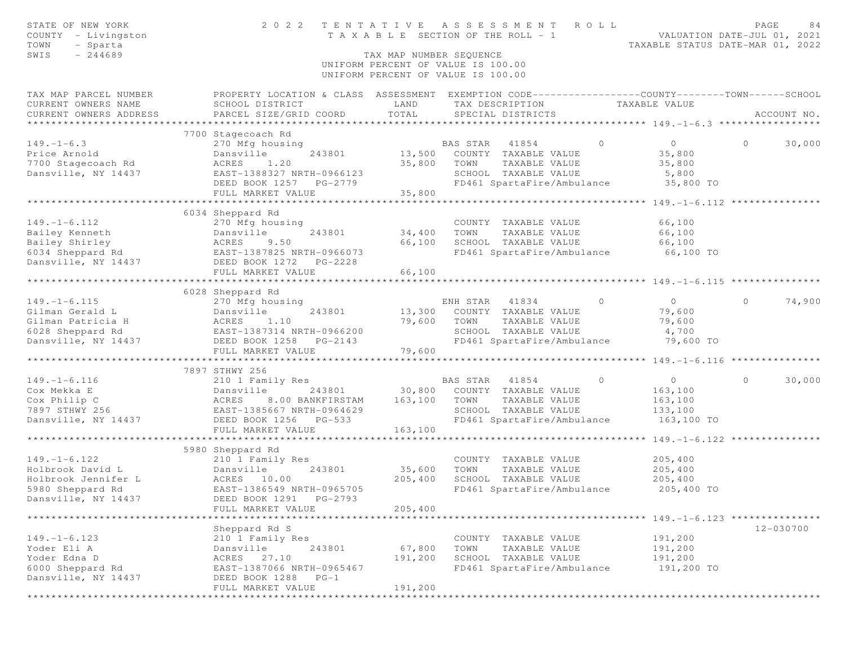| STATE OF NEW YORK<br>COUNTY - Livingston<br>TOWN<br>- Sparta | 2 0 2 2                                                      | TENTATIVE               | A S S E S S M E N T<br>ROLL<br>T A X A B L E SECTION OF THE ROLL - 1                            | TAXABLE STATUS DATE-MAR 01, 2022          | PAGE<br>84<br>VALUATION DATE-JUL 01, 2021 |
|--------------------------------------------------------------|--------------------------------------------------------------|-------------------------|-------------------------------------------------------------------------------------------------|-------------------------------------------|-------------------------------------------|
| $-244689$<br>SWIS                                            |                                                              | TAX MAP NUMBER SEQUENCE |                                                                                                 |                                           |                                           |
|                                                              |                                                              |                         | UNIFORM PERCENT OF VALUE IS 100.00<br>UNIFORM PERCENT OF VALUE IS 100.00                        |                                           |                                           |
| TAX MAP PARCEL NUMBER                                        |                                                              |                         | PROPERTY LOCATION & CLASS ASSESSMENT EXEMPTION CODE---------------COUNTY-------TOWN------SCHOOL |                                           |                                           |
| CURRENT OWNERS NAME                                          | SCHOOL DISTRICT                                              | LAND                    | TAX DESCRIPTION TAXABLE VALUE                                                                   |                                           |                                           |
| CURRENT OWNERS ADDRESS                                       | PARCEL SIZE/GRID COORD                                       | TOTAL                   | SPECIAL DISTRICTS                                                                               |                                           | ACCOUNT NO.                               |
|                                                              |                                                              |                         |                                                                                                 |                                           |                                           |
|                                                              | 7700 Stagecoach Rd                                           |                         |                                                                                                 |                                           |                                           |
| $149. - 1 - 6.3$                                             | 270 Mfg housing                                              |                         | BAS STAR 41854<br>$\Omega$                                                                      | $\overline{0}$                            | $\Omega$<br>30,000                        |
| Price Arnold                                                 | Dansville<br>243801                                          |                         | 13,500 COUNTY TAXABLE VALUE                                                                     | 35,800                                    |                                           |
| 7700 Stagecoach Rd                                           | ACRES<br>1,20<br>EAST-1388327 NRTH-0966123                   | 35,800                  | TOWN<br>TAXABLE VALUE                                                                           | 35,800                                    |                                           |
| Dansville, NY 14437                                          | DEED BOOK 1257 PG-2779                                       |                         | SCHOOL TAXABLE VALUE<br>FD461 SpartaFire/Ambulance                                              | 5,800<br>35,800 TO                        |                                           |
|                                                              | FULL MARKET VALUE                                            | 35,800                  |                                                                                                 |                                           |                                           |
|                                                              |                                                              |                         |                                                                                                 |                                           |                                           |
|                                                              | 6034 Sheppard Rd                                             |                         |                                                                                                 |                                           |                                           |
| $149. - 1 - 6.112$                                           | 270 Mfg housing                                              |                         | COUNTY TAXABLE VALUE                                                                            | 66,100                                    |                                           |
|                                                              |                                                              | 34,400                  | TAXABLE VALUE<br>TOWN                                                                           | 66,100                                    |                                           |
|                                                              |                                                              | 66,100                  | SCHOOL TAXABLE VALUE                                                                            | 66,100                                    |                                           |
|                                                              |                                                              |                         | FD461 SpartaFire/Ambulance 66,100 TO                                                            |                                           |                                           |
| Dansville, NY 14437                                          | DEED BOOK 1272 PG-2228                                       |                         |                                                                                                 |                                           |                                           |
|                                                              | FULL MARKET VALUE                                            | 66,100                  |                                                                                                 |                                           |                                           |
|                                                              |                                                              |                         |                                                                                                 |                                           |                                           |
|                                                              | 6028 Sheppard Rd                                             |                         |                                                                                                 |                                           |                                           |
| $149. - 1 - 6.115$                                           | 270 Mfg housing                                              |                         | ENH STAR 41834<br>$\circ$                                                                       | $\overline{0}$                            | $\circ$<br>74,900                         |
| Gilman Gerald L                                              | Dansville<br>243801                                          | 13,300                  | COUNTY TAXABLE VALUE                                                                            | 79,600                                    |                                           |
| Gilman Patricia H                                            |                                                              | 79,600                  | TOWN<br>TAXABLE VALUE                                                                           | 79,600                                    |                                           |
| 6028 Sheppard Rd                                             | ACRES 1.10<br>EAST-1387314 NRTH-0966200<br>EAST-1258 PG-2143 |                         | SCHOOL TAXABLE VALUE                                                                            | 4,700                                     |                                           |
| Dansville, NY 14437                                          | DEED BOOK 1258 PG-2143                                       |                         | FD461 SpartaFire/Ambulance 79,600 TO                                                            |                                           |                                           |
|                                                              | FULL MARKET VALUE                                            | 79,600                  |                                                                                                 |                                           |                                           |
|                                                              | **************************                                   | ********************    |                                                                                                 | ********** 149. -1-6.116 **************** |                                           |
|                                                              | 7897 STHWY 256                                               |                         |                                                                                                 |                                           |                                           |
| $149. - 1 - 6.116$                                           | 210 1 Family Res                                             |                         | $\overline{0}$<br>BAS STAR<br>41854                                                             | $\overline{0}$                            | 30,000<br>$\circ$                         |
| Cox Mekka E                                                  | Dansville<br>243801                                          |                         | 30,800 COUNTY TAXABLE VALUE                                                                     | 163,100                                   |                                           |
| Cox Philip C                                                 | ACRES<br>8.00 BANKFIRSTAM                                    | 163,100                 | TOWN<br>TAXABLE VALUE                                                                           | 163,100                                   |                                           |
| 7897 STHWY 256<br>Dansville, NY 14437                        | EAST-1385667 NRTH-0964629                                    |                         | SCHOOL TAXABLE VALUE<br>FD461 SpartaFire/Ambulance                                              | 133,100<br>163,100 TO                     |                                           |
|                                                              | DEED BOOK 1256 PG-533<br>FULL MARKET VALUE                   | 163,100                 |                                                                                                 |                                           |                                           |
|                                                              |                                                              |                         |                                                                                                 |                                           |                                           |
|                                                              | 5980 Sheppard Rd                                             |                         |                                                                                                 |                                           |                                           |
| $149. - 1 - 6.122$                                           | 210 1 Family Res                                             |                         | COUNTY TAXABLE VALUE                                                                            | 205,400                                   |                                           |
| Holbrook David L                                             | 243801                                                       | 35,600                  | TOWN<br>TAXABLE VALUE                                                                           | 205,400                                   |                                           |
| Holbrook Jennifer L                                          | Dansville<br>L ACRES 10.00                                   | 205,400                 | SCHOOL TAXABLE VALUE                                                                            | 205,400                                   |                                           |
| 5980 Sheppard Rd                                             | EAST-1386549 NRTH-0965705                                    |                         | FD461 SpartaFire/Ambulance                                                                      | 205,400 TO                                |                                           |
| Dansville, NY 14437                                          | DEED BOOK 1291 PG-2793                                       |                         |                                                                                                 |                                           |                                           |
|                                                              | FULL MARKET VALUE                                            | 205,400                 |                                                                                                 |                                           |                                           |
|                                                              | * * * * * * * * * * * * * * * * * *                          |                         | ***************************** 149. -1-6.123 ***************                                     |                                           |                                           |
|                                                              | Sheppard Rd S                                                |                         |                                                                                                 |                                           | 12-030700                                 |
| $149. - 1 - 6.123$                                           | 210 1 Family Res                                             |                         | COUNTY TAXABLE VALUE                                                                            | 191,200                                   |                                           |
| Yoder Eli A                                                  | Dansville<br>243801                                          | 67,800                  | TOWN<br>TAXABLE VALUE                                                                           | 191,200                                   |                                           |
| Yoder Edna D                                                 | ACRES<br>27.10                                               | 191,200                 | SCHOOL TAXABLE VALUE                                                                            | 191,200                                   |                                           |
| 6000 Sheppard Rd                                             | EAST-1387066 NRTH-0965467                                    |                         | FD461 SpartaFire/Ambulance                                                                      | 191,200 TO                                |                                           |
| Dansville, NY 14437                                          | DEED BOOK 1288<br>$PG-1$                                     |                         |                                                                                                 |                                           |                                           |
|                                                              | FULL MARKET VALUE                                            | 191,200                 |                                                                                                 |                                           |                                           |
|                                                              |                                                              | *********************   |                                                                                                 |                                           |                                           |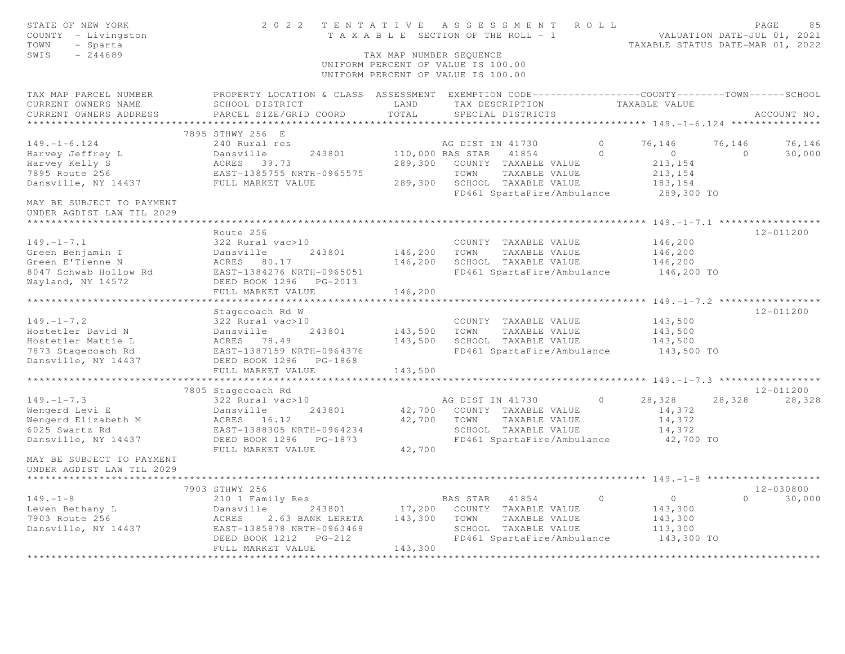| STATE OF NEW YORK<br>COUNTY - Livingston<br>TOWN<br>- Sparta<br>SWIS<br>$-244689$ | 2 0 2 2                                                                                          | TAX MAP NUMBER SEQUENCE | TENTATIVE ASSESSMENT<br>T A X A B L E SECTION OF THE ROLL - 1<br>UNIFORM PERCENT OF VALUE IS 100.00<br>UNIFORM PERCENT OF VALUE IS 100.00 | ROLL     | TAXABLE STATUS DATE-MAR 01, 2022              |          | PAGE<br>85<br>VALUATION DATE-JUL 01, 2021 |
|-----------------------------------------------------------------------------------|--------------------------------------------------------------------------------------------------|-------------------------|-------------------------------------------------------------------------------------------------------------------------------------------|----------|-----------------------------------------------|----------|-------------------------------------------|
| TAX MAP PARCEL NUMBER                                                             | PROPERTY LOCATION & CLASS ASSESSMENT EXEMPTION CODE----------------COUNTY-------TOWN------SCHOOL |                         |                                                                                                                                           |          |                                               |          |                                           |
| CURRENT OWNERS NAME                                                               | SCHOOL DISTRICT                                                                                  | LAND                    | TAX DESCRIPTION                                                                                                                           |          | TAXABLE VALUE                                 |          |                                           |
| CURRENT OWNERS ADDRESS                                                            | PARCEL SIZE/GRID COORD                                                                           | TOTAL                   | SPECIAL DISTRICTS                                                                                                                         |          |                                               |          | ACCOUNT NO.                               |
| * * * * * * * * * * * * * * * * * * *                                             | 7895 STHWY 256 E                                                                                 |                         |                                                                                                                                           |          |                                               |          |                                           |
| $149. - 1 - 6.124$                                                                | 240 Rural res                                                                                    |                         | AG DIST IN 41730                                                                                                                          | $\circ$  | 76,146                                        | 76,146   | 76,146                                    |
| Harvey Jeffrey L                                                                  | 243801<br>Dansville                                                                              |                         | 110,000 BAS STAR<br>41854                                                                                                                 | $\Omega$ | $\overline{0}$                                | $\Omega$ | 30,000                                    |
| Harvey Kelly S                                                                    | ACRES 39.73                                                                                      | 289,300                 | COUNTY TAXABLE VALUE                                                                                                                      |          | 213,154                                       |          |                                           |
| 7895 Route 256                                                                    | EAST-1385755 NRTH-0965575                                                                        |                         | TOWN<br>TAXABLE VALUE                                                                                                                     |          | 213, 154                                      |          |                                           |
| Dansville, NY 14437                                                               | FULL MARKET VALUE                                                                                | 289,300                 | SCHOOL TAXABLE VALUE                                                                                                                      |          | 183,154                                       |          |                                           |
|                                                                                   |                                                                                                  |                         | FD461 SpartaFire/Ambulance                                                                                                                |          | 289,300 TO                                    |          |                                           |
| MAY BE SUBJECT TO PAYMENT<br>UNDER AGDIST LAW TIL 2029                            |                                                                                                  |                         |                                                                                                                                           |          |                                               |          |                                           |
| *****************************                                                     |                                                                                                  |                         |                                                                                                                                           |          |                                               |          |                                           |
|                                                                                   | Route 256                                                                                        |                         |                                                                                                                                           |          |                                               |          | 12-011200                                 |
| $149. - 1 - 7.1$                                                                  | 322 Rural vac>10                                                                                 |                         | COUNTY TAXABLE VALUE                                                                                                                      |          | 146,200                                       |          |                                           |
| Green Benjamin T                                                                  | Dansville<br>243801                                                                              | 146,200                 | TOWN<br>TAXABLE VALUE                                                                                                                     |          | 146,200                                       |          |                                           |
| Green E'Tienne N                                                                  | ACRES 80.17                                                                                      | 146,200                 | SCHOOL TAXABLE VALUE                                                                                                                      |          | 146,200                                       |          |                                           |
| 8047 Schwab Hollow Rd                                                             | EAST-1384276 NRTH-0965051                                                                        |                         | FD461 SpartaFire/Ambulance                                                                                                                |          | 146,200 TO                                    |          |                                           |
| Wayland, NY 14572                                                                 | DEED BOOK 1296 PG-2013<br>FULL MARKET VALUE                                                      | 146,200                 |                                                                                                                                           |          |                                               |          |                                           |
|                                                                                   | ********************                                                                             |                         |                                                                                                                                           |          | ********** 149. - 1 - 7. 2 ****************** |          |                                           |
|                                                                                   | Stagecoach Rd W                                                                                  |                         |                                                                                                                                           |          |                                               |          | 12-011200                                 |
| $149. - 1 - 7.2$                                                                  | 322 Rural vac>10                                                                                 |                         | COUNTY TAXABLE VALUE                                                                                                                      |          | 143,500                                       |          |                                           |
| Hostetler David N                                                                 | Dansville<br>243801                                                                              | 143,500                 | TAXABLE VALUE<br>TOWN                                                                                                                     |          | 143,500                                       |          |                                           |
| Hostetler Mattie L                                                                | ACRES<br>78.49                                                                                   | 143,500                 | SCHOOL TAXABLE VALUE                                                                                                                      |          | 143,500                                       |          |                                           |
| 7873 Stagecoach Rd                                                                | EAST-1387159 NRTH-0964376                                                                        |                         | FD461 SpartaFire/Ambulance                                                                                                                |          | 143,500 TO                                    |          |                                           |
| Dansville, NY 14437                                                               | DEED BOOK 1296 PG-1868                                                                           |                         |                                                                                                                                           |          |                                               |          |                                           |
|                                                                                   | FULL MARKET VALUE                                                                                | 143,500                 |                                                                                                                                           |          |                                               |          |                                           |
|                                                                                   |                                                                                                  |                         |                                                                                                                                           |          |                                               |          |                                           |
|                                                                                   | 7805 Stagecoach Rd                                                                               |                         |                                                                                                                                           |          |                                               |          | $12 - 011200$                             |
| $149. - 1 - 7.3$                                                                  | 322 Rural vac>10                                                                                 |                         | AG DIST IN 41730                                                                                                                          | $\circ$  | 28,328                                        | 28,328   | 28,328                                    |
| Wengerd Levi E                                                                    | 243801<br>Dansville                                                                              |                         | 42,700 COUNTY TAXABLE VALUE<br>TOWN                                                                                                       |          | 14,372                                        |          |                                           |
| Wengerd Elizabeth M<br>6025 Swartz Rd                                             | ACRES 16.12<br>EAST-1388305 NRTH-0964234                                                         | 42,700                  | TAXABLE VALUE<br>SCHOOL TAXABLE VALUE                                                                                                     |          | 14,372<br>14,372                              |          |                                           |
| Dansville, NY 14437                                                               | DEED BOOK 1296<br>PG-1873                                                                        |                         | FD461 SpartaFire/Ambulance                                                                                                                |          | 42,700 TO                                     |          |                                           |
|                                                                                   | FULL MARKET VALUE                                                                                | 42,700                  |                                                                                                                                           |          |                                               |          |                                           |
| MAY BE SUBJECT TO PAYMENT<br>UNDER AGDIST LAW TIL 2029                            |                                                                                                  |                         |                                                                                                                                           |          |                                               |          |                                           |
|                                                                                   |                                                                                                  |                         |                                                                                                                                           |          |                                               |          |                                           |
|                                                                                   | 7903 STHWY 256                                                                                   |                         |                                                                                                                                           |          |                                               |          | $12 - 030800$                             |
| $149. - 1 - 8$                                                                    | 210 1 Family Res                                                                                 |                         | BAS STAR<br>41854                                                                                                                         | $\circ$  | $\circ$                                       | $\Omega$ | 30,000                                    |
| Leven Bethany L                                                                   | Dansville<br>243801                                                                              | 17,200                  | COUNTY TAXABLE VALUE                                                                                                                      |          | 143,300                                       |          |                                           |
| 7903 Route 256                                                                    | ACRES<br>2.63 BANK LERETA                                                                        | 143,300                 | TOWN<br>TAXABLE VALUE                                                                                                                     |          | 143,300                                       |          |                                           |
| Dansville, NY 14437                                                               | EAST-1385878 NRTH-0963469                                                                        |                         | SCHOOL TAXABLE VALUE                                                                                                                      |          | 113,300                                       |          |                                           |
|                                                                                   | DEED BOOK 1212<br>$PG-212$                                                                       |                         | FD461 SpartaFire/Ambulance                                                                                                                |          | 143,300 TO                                    |          |                                           |
|                                                                                   | FULL MARKET VALUE                                                                                | 143,300                 |                                                                                                                                           |          |                                               |          |                                           |
|                                                                                   |                                                                                                  |                         |                                                                                                                                           |          |                                               |          |                                           |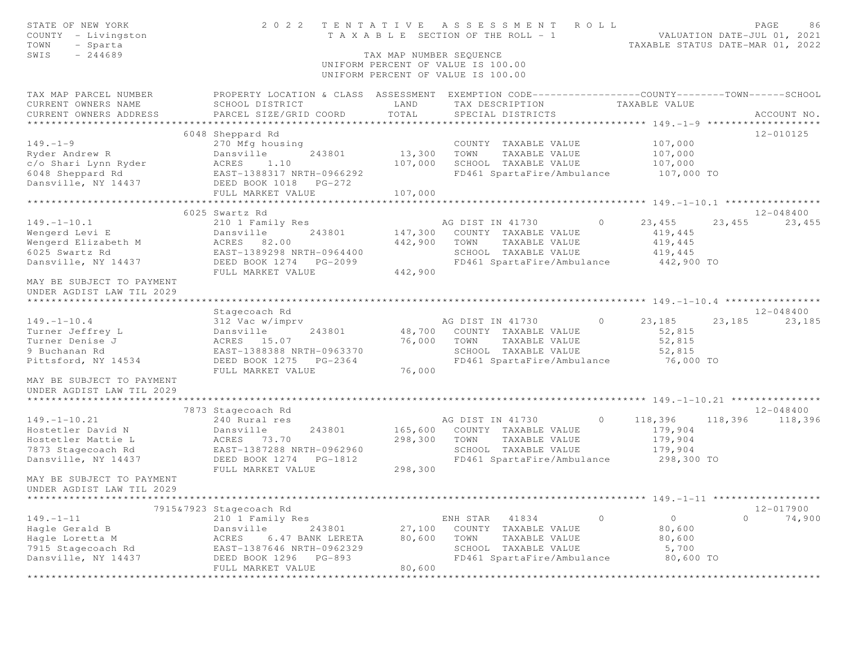| STATE OF NEW YORK<br>COUNTY - Livingston<br>TOWN<br>- Sparta<br>$-244689$<br>SWIS | 2 0 2 2                                                                                        | TAX MAP NUMBER SEQUENCE | TENTATIVE ASSESSMENT<br>ROLL<br>T A X A B L E SECTION OF THE ROLL - 1<br>UNIFORM PERCENT OF VALUE IS 100.00<br>UNIFORM PERCENT OF VALUE IS 100.00 |                    | PAGE<br>86<br>VALUATION DATE-JUL 01, 2021<br>TAXABLE STATUS DATE-MAR 01, 2022 |
|-----------------------------------------------------------------------------------|------------------------------------------------------------------------------------------------|-------------------------|---------------------------------------------------------------------------------------------------------------------------------------------------|--------------------|-------------------------------------------------------------------------------|
| TAX MAP PARCEL NUMBER                                                             | PROPERTY LOCATION & CLASS ASSESSMENT EXEMPTION CODE---------------COUNTY-------TOWN-----SCHOOL |                         |                                                                                                                                                   |                    |                                                                               |
| CURRENT OWNERS NAME                                                               | SCHOOL DISTRICT                                                                                | LAND                    | TAX DESCRIPTION                                                                                                                                   | TAXABLE VALUE      |                                                                               |
| CURRENT OWNERS ADDRESS<br>*************************                               | PARCEL SIZE/GRID COORD                                                                         | TOTAL                   | SPECIAL DISTRICTS                                                                                                                                 |                    | ACCOUNT NO.                                                                   |
|                                                                                   | 6048 Sheppard Rd                                                                               |                         |                                                                                                                                                   |                    | 12-010125                                                                     |
| $149. - 1 - 9$                                                                    | 270 Mfg housing                                                                                |                         | COUNTY TAXABLE VALUE                                                                                                                              | 107,000            |                                                                               |
| Ryder Andrew R                                                                    | Dansville<br>243801                                                                            | 13,300                  | TAXABLE VALUE<br>TOWN                                                                                                                             | 107,000            |                                                                               |
| c/o Shari Lynn Ryder                                                              | ACRES<br>1,10                                                                                  | 107,000                 | SCHOOL TAXABLE VALUE                                                                                                                              | 107,000            |                                                                               |
| 6048 Sheppard Rd                                                                  | EAST-1388317 NRTH-0966292                                                                      |                         | FD461 SpartaFire/Ambulance                                                                                                                        | 107,000 TO         |                                                                               |
| Dansville, NY 14437                                                               | DEED BOOK 1018<br>$PG-272$                                                                     |                         |                                                                                                                                                   |                    |                                                                               |
|                                                                                   | FULL MARKET VALUE                                                                              | 107,000                 |                                                                                                                                                   |                    |                                                                               |
|                                                                                   | ************************                                                                       | *****************       |                                                                                                                                                   |                    |                                                                               |
|                                                                                   | 6025 Swartz Rd                                                                                 |                         |                                                                                                                                                   |                    | 12-048400                                                                     |
| $149. - 1 - 10.1$                                                                 | 210 1 Family Res                                                                               |                         | AG DIST IN 41730                                                                                                                                  | 23,455<br>$\circ$  | 23,455<br>23,455                                                              |
| Wengerd Levi E                                                                    | Dansville<br>243801                                                                            | 147,300                 | COUNTY TAXABLE VALUE                                                                                                                              | 419,445            |                                                                               |
| Wengerd Elizabeth M                                                               | ACRES 82.00                                                                                    | 442,900                 | TOWN<br>TAXABLE VALUE                                                                                                                             | 419,445            |                                                                               |
| 6025 Swartz Rd                                                                    | EAST-1389298 NRTH-0964400                                                                      |                         | SCHOOL TAXABLE VALUE                                                                                                                              | 419,445            |                                                                               |
| Dansville, NY 14437                                                               | DEED BOOK 1274<br>$PG-2099$<br>FULL MARKET VALUE                                               | 442,900                 | FD461 SpartaFire/Ambulance                                                                                                                        | 442,900 TO         |                                                                               |
| MAY BE SUBJECT TO PAYMENT<br>UNDER AGDIST LAW TIL 2029                            |                                                                                                |                         |                                                                                                                                                   |                    |                                                                               |
|                                                                                   |                                                                                                |                         |                                                                                                                                                   |                    |                                                                               |
| $149. - 1 - 10.4$                                                                 | Stagecoach Rd<br>312 Vac w/imprv                                                               |                         | AG DIST IN 41730                                                                                                                                  | $\circ$<br>23,185  | 12-048400<br>23,185<br>23,185                                                 |
| Turner Jeffrey L                                                                  | Dansville<br>243801                                                                            | 48,700                  | COUNTY TAXABLE VALUE                                                                                                                              | 52,815             |                                                                               |
| Turner Denise J                                                                   | ACRES 15.07                                                                                    | 76,000                  | TOWN<br>TAXABLE VALUE                                                                                                                             | 52,815             |                                                                               |
| 9 Buchanan Rd                                                                     | EAST-1388388 NRTH-0963370                                                                      |                         | SCHOOL TAXABLE VALUE                                                                                                                              | 52,815             |                                                                               |
| Pittsford, NY 14534                                                               | DEED BOOK 1275<br>$PG-2364$                                                                    |                         | FD461 SpartaFire/Ambulance                                                                                                                        | 76,000 TO          |                                                                               |
|                                                                                   | FULL MARKET VALUE                                                                              | 76,000                  |                                                                                                                                                   |                    |                                                                               |
| MAY BE SUBJECT TO PAYMENT<br>UNDER AGDIST LAW TIL 2029                            |                                                                                                |                         |                                                                                                                                                   |                    |                                                                               |
|                                                                                   |                                                                                                |                         |                                                                                                                                                   |                    |                                                                               |
|                                                                                   | 7873 Stagecoach Rd                                                                             |                         |                                                                                                                                                   |                    | 12-048400                                                                     |
| $149. - 1 - 10.21$                                                                | 240 Rural res                                                                                  |                         | AG DIST IN 41730                                                                                                                                  | $\circ$<br>118,396 | 118,396<br>118,396                                                            |
| Hostetler David N                                                                 | 243801<br>Dansville                                                                            | 165,600                 | COUNTY TAXABLE VALUE                                                                                                                              | 179,904            |                                                                               |
| Hostetler Mattie L                                                                | ACRES 73.70                                                                                    | 298,300                 | TOWN<br>TAXABLE VALUE                                                                                                                             | 179,904            |                                                                               |
| 7873 Stagecoach Rd                                                                | EAST-1387288 NRTH-0962960                                                                      |                         | SCHOOL TAXABLE VALUE                                                                                                                              | 179,904            |                                                                               |
| Dansville, NY 14437                                                               | DEED BOOK 1274<br>PG-1812                                                                      |                         | FD461 SpartaFire/Ambulance                                                                                                                        | 298,300 TO         |                                                                               |
| MAY BE SUBJECT TO PAYMENT                                                         | FULL MARKET VALUE                                                                              | 298,300                 |                                                                                                                                                   |                    |                                                                               |
| UNDER AGDIST LAW TIL 2029                                                         |                                                                                                |                         |                                                                                                                                                   |                    |                                                                               |
|                                                                                   |                                                                                                |                         |                                                                                                                                                   | $149. - 1 - 11$    |                                                                               |
|                                                                                   | 7915&7923 Stagecoach Rd                                                                        |                         |                                                                                                                                                   |                    | 12-017900                                                                     |
| $149. - 1 - 11$                                                                   | 210 1 Family Res                                                                               |                         | 41834<br>ENH STAR                                                                                                                                 | $\circ$<br>$\circ$ | $\circ$<br>74,900                                                             |
| Hagle Gerald B                                                                    | Dansville<br>243801                                                                            | 27,100                  | COUNTY<br>TAXABLE VALUE                                                                                                                           | 80,600             |                                                                               |
| Hagle Loretta M                                                                   | 6.47 BANK LERETA<br>ACRES                                                                      | 80,600                  | TOWN<br>TAXABLE VALUE                                                                                                                             | 80,600             |                                                                               |
| 7915 Stagecoach Rd                                                                | EAST-1387646 NRTH-0962329                                                                      |                         | SCHOOL TAXABLE VALUE                                                                                                                              | 5,700              |                                                                               |
| Dansville, NY 14437                                                               | DEED BOOK 1296<br>$PG-893$                                                                     |                         | FD461 SpartaFire/Ambulance                                                                                                                        | 80,600 TO          |                                                                               |
|                                                                                   | FULL MARKET VALUE                                                                              | 80,600                  |                                                                                                                                                   |                    |                                                                               |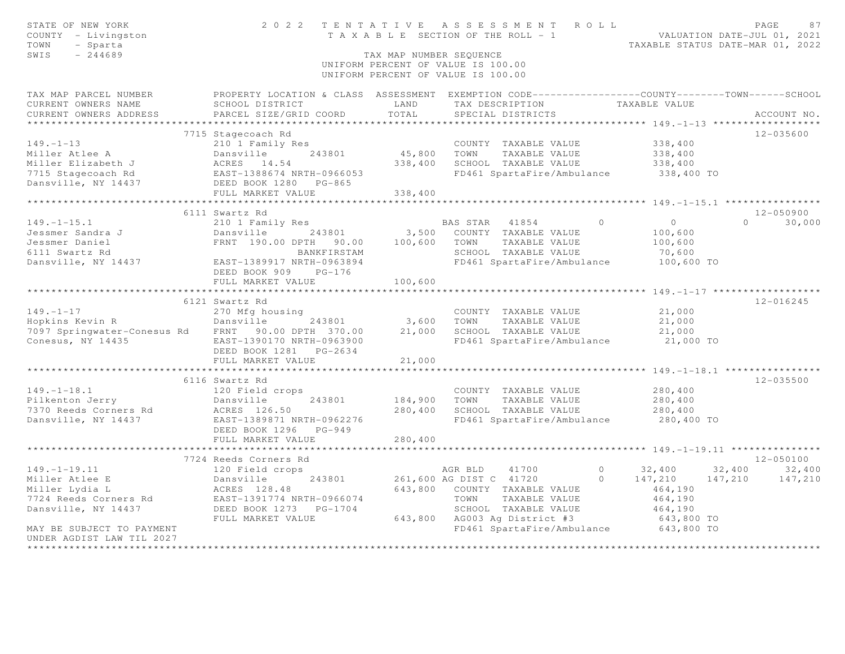| STATE OF NEW YORK<br>COUNTY - Livingston<br>- Sparta<br>TOWN<br>$-244689$<br>SWIS                                                                                          |                                                       | TAX MAP NUMBER SEQUENCE | 2022 TENTATIVE ASSESSMENT ROLL<br>T A X A B L E SECTION OF THE ROLL - 1<br>UNIFORM PERCENT OF VALUE IS 100.00<br>UNIFORM PERCENT OF VALUE IS 100.00 |                                  | PAGE<br>87<br>VALUATION DATE-JUL 01, 2021<br>TAXABLE STATUS DATE-MAR 01, 2022 |
|----------------------------------------------------------------------------------------------------------------------------------------------------------------------------|-------------------------------------------------------|-------------------------|-----------------------------------------------------------------------------------------------------------------------------------------------------|----------------------------------|-------------------------------------------------------------------------------|
| TAX MAP PARCEL NUMBER THE PROPERTY LOCATION & CLASS ASSESSMENT EXEMPTION CODE---------------COUNTY-------TOWN------SCHOOL<br>CURRENT OWNERS NAME<br>CURRENT OWNERS ADDRESS | SCHOOL DISTRICT<br>PARCEL SIZE/GRID COORD             | LAND<br>TOTAL           | TAX DESCRIPTION<br>SPECIAL DISTRICTS                                                                                                                | TAXABLE VALUE                    | ACCOUNT NO.                                                                   |
|                                                                                                                                                                            |                                                       |                         |                                                                                                                                                     |                                  |                                                                               |
|                                                                                                                                                                            | 7715 Stagecoach Rd                                    |                         |                                                                                                                                                     |                                  | 12-035600                                                                     |
| $149. - 1 - 13$                                                                                                                                                            | 210 1 Family Res                                      |                         | COUNTY TAXABLE VALUE                                                                                                                                | 338,400                          |                                                                               |
| Miller Atlee A                                                                                                                                                             | Dansville<br>243801                                   | 45,800                  | TAXABLE VALUE<br>TOWN                                                                                                                               | 338,400                          |                                                                               |
| Miller Elizabeth J                                                                                                                                                         | ACRES 14.54                                           | 338,400                 | SCHOOL TAXABLE VALUE                                                                                                                                | 338,400                          |                                                                               |
| 7715 Stagecoach Rd                                                                                                                                                         | EAST-1388674 NRTH-0966053                             |                         | FD461 SpartaFire/Ambulance                                                                                                                          | 338,400 TO                       |                                                                               |
| Dansville, NY 14437 DEED BOOK 1280 PG-865                                                                                                                                  |                                                       |                         |                                                                                                                                                     |                                  |                                                                               |
|                                                                                                                                                                            | FULL MARKET VALUE                                     | 338,400                 |                                                                                                                                                     |                                  |                                                                               |
|                                                                                                                                                                            |                                                       |                         |                                                                                                                                                     |                                  |                                                                               |
|                                                                                                                                                                            | 6111 Swartz Rd                                        |                         |                                                                                                                                                     |                                  | $12 - 050900$<br>$\Omega$                                                     |
| $149. - 1 - 15.1$                                                                                                                                                          | 210 1 Family Res                                      |                         | BAS STAR 41854                                                                                                                                      | $\overline{0}$<br>$\overline{0}$ | 30,000                                                                        |
| Jessmer Sandra J<br>Jessmer Daniel                                                                                                                                         | 243801<br>Dansville<br>FRNT 190.00 DPTH 90.00 100,600 |                         | 3,500 COUNTY TAXABLE VALUE<br>TOWN<br>TAXABLE VALUE                                                                                                 | 100,600<br>100,600               |                                                                               |
| 6111 Swartz Rd                                                                                                                                                             | BANKFIRSTAM                                           |                         | SCHOOL TAXABLE VALUE                                                                                                                                | 70,600                           |                                                                               |
| Dansville, NY 14437 EAST-1389917 NRTH-0963894                                                                                                                              |                                                       |                         | FD461 SpartaFire/Ambulance                                                                                                                          | 100,600 TO                       |                                                                               |
|                                                                                                                                                                            | DEED BOOK 909 PG-176                                  |                         |                                                                                                                                                     |                                  |                                                                               |
|                                                                                                                                                                            | FULL MARKET VALUE                                     | 100,600                 |                                                                                                                                                     |                                  |                                                                               |
|                                                                                                                                                                            |                                                       |                         |                                                                                                                                                     |                                  |                                                                               |
|                                                                                                                                                                            | 6121 Swartz Rd                                        |                         |                                                                                                                                                     |                                  | 12-016245                                                                     |
| $149. - 1 - 17$                                                                                                                                                            | 270 Mfg housing                                       |                         | COUNTY TAXABLE VALUE                                                                                                                                | 21,000                           |                                                                               |
| Hopkins Kevin R Dansville                                                                                                                                                  | 243801                                                | 3,600                   | TAXABLE VALUE<br>TOWN                                                                                                                               | 21,000                           |                                                                               |
| 7097 Springwater-Conesus Rd FRNT 90.00 DPTH 370.00                                                                                                                         |                                                       | 21,000                  | SCHOOL TAXABLE VALUE                                                                                                                                | 21,000                           |                                                                               |
| Conesus, NY 14435                                                                                                                                                          | EAST-1390170 NRTH-0963900                             |                         | FD461 SpartaFire/Ambulance                                                                                                                          | 21,000 TO                        |                                                                               |
|                                                                                                                                                                            | DEED BOOK 1281 PG-2634                                |                         |                                                                                                                                                     |                                  |                                                                               |
|                                                                                                                                                                            | FULL MARKET VALUE                                     | 21,000<br>************* | ************************************** 149.-1-18.1 *****************                                                                                |                                  |                                                                               |
|                                                                                                                                                                            | 6116 Swartz Rd                                        |                         |                                                                                                                                                     |                                  | $12 - 035500$                                                                 |
| $149. - 1 - 18.1$                                                                                                                                                          | 120 Field crops                                       |                         | COUNTY TAXABLE VALUE                                                                                                                                | 280,400                          |                                                                               |
| Pilkenton Jerry                                                                                                                                                            | Dansville<br>243801                                   | 184,900                 | TOWN<br>TAXABLE VALUE                                                                                                                               | 280,400                          |                                                                               |
| 7370 Reeds Corners Rd                                                                                                                                                      | ACRES 126.50                                          | 280,400                 | SCHOOL TAXABLE VALUE                                                                                                                                | 280,400                          |                                                                               |
| Dansville, NY 14437                                                                                                                                                        | EAST-1389871 NRTH-0962276                             |                         | FD461 SpartaFire/Ambulance                                                                                                                          | 280,400 TO                       |                                                                               |
|                                                                                                                                                                            | DEED BOOK 1296<br>$PG-949$                            |                         |                                                                                                                                                     |                                  |                                                                               |
|                                                                                                                                                                            | FULL MARKET VALUE                                     | 280,400                 |                                                                                                                                                     |                                  |                                                                               |
|                                                                                                                                                                            | ********************                                  |                         |                                                                                                                                                     |                                  |                                                                               |
|                                                                                                                                                                            | 7724 Reeds Corners Rd                                 |                         |                                                                                                                                                     |                                  | $12 - 050100$                                                                 |
| $149. - 1 - 19.11$                                                                                                                                                         | 120 Field crops                                       |                         | AGR BLD<br>41700                                                                                                                                    | $\Omega$<br>32,400               | 32,400 32,400                                                                 |
| Miller Atlee E                                                                                                                                                             | Dansville<br>243801                                   |                         | 261,600 AG DIST C 41720                                                                                                                             | 147,210<br>$\circ$               | 147,210 147,210                                                               |
| Miller Lydia L                                                                                                                                                             | ACRES 128.48                                          |                         | 643,800 COUNTY TAXABLE VALUE                                                                                                                        | 464,190                          |                                                                               |
| 7724 Reeds Corners Rd                                                                                                                                                      | EAST-1391774 NRTH-0966074                             |                         | TOWN<br>TAXABLE VALUE                                                                                                                               | 464,190                          |                                                                               |
| Dansville, NY 14437                                                                                                                                                        | DEED BOOK 1273<br>PG-1704                             |                         | SCHOOL TAXABLE VALUE<br>643,800 AG003 Ag District #3                                                                                                | 464,190                          |                                                                               |
| MAY BE SUBJECT TO PAYMENT                                                                                                                                                  | FULL MARKET VALUE                                     |                         | FD461 SpartaFire/Ambulance                                                                                                                          | 643,800 TO<br>643,800 TO         |                                                                               |
| UNDER AGDIST LAW TIL 2027                                                                                                                                                  |                                                       |                         |                                                                                                                                                     |                                  |                                                                               |
| * * * * * * * * * * * * *                                                                                                                                                  |                                                       |                         |                                                                                                                                                     |                                  |                                                                               |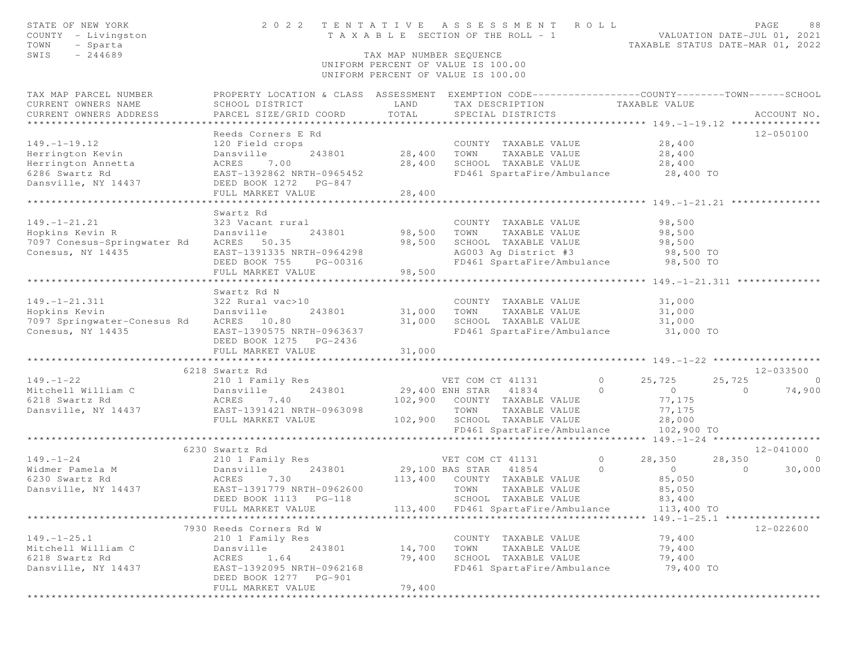| STATE OF NEW YORK<br>COUNTY - Livingston<br>TOWN<br>- Sparta | 2022 TENTATIVE ASSESSMENT ROLL                                                                   | T A X A B L E SECTION OF THE ROLL - 1                                    |                       |                                              |                | VALUATION DATE-JUL 01, 2021<br>TAXABLE STATUS DATE-MAR 01, 2022 |         | PAGE<br>88     |
|--------------------------------------------------------------|--------------------------------------------------------------------------------------------------|--------------------------------------------------------------------------|-----------------------|----------------------------------------------|----------------|-----------------------------------------------------------------|---------|----------------|
| $-244689$<br>SWIS                                            |                                                                                                  | TAX MAP NUMBER SEOUENCE                                                  |                       |                                              |                |                                                                 |         |                |
|                                                              |                                                                                                  | UNIFORM PERCENT OF VALUE IS 100.00<br>UNIFORM PERCENT OF VALUE IS 100.00 |                       |                                              |                |                                                                 |         |                |
| TAX MAP PARCEL NUMBER                                        | PROPERTY LOCATION & CLASS ASSESSMENT EXEMPTION CODE----------------COUNTY-------TOWN------SCHOOL |                                                                          |                       |                                              |                |                                                                 |         |                |
| CURRENT OWNERS NAME                                          | SCHOOL DISTRICT                                                                                  | LAND                                                                     |                       | TAX DESCRIPTION                              |                | TAXABLE VALUE                                                   |         |                |
| CURRENT OWNERS ADDRESS                                       | PARCEL SIZE/GRID COORD                                                                           | TOTAL                                                                    |                       | SPECIAL DISTRICTS                            |                |                                                                 |         | ACCOUNT NO.    |
|                                                              |                                                                                                  |                                                                          |                       |                                              |                |                                                                 |         |                |
|                                                              | Reeds Corners E Rd                                                                               |                                                                          |                       |                                              |                |                                                                 |         | 12-050100      |
| $149. - 1 - 19.12$                                           | 120 Field crops                                                                                  |                                                                          |                       | COUNTY TAXABLE VALUE                         |                | 28,400                                                          |         |                |
| Herrington Kevin                                             | 243801<br>Dansville                                                                              | 28,400                                                                   | TOWN                  | TAXABLE VALUE                                |                | 28,400                                                          |         |                |
| Herrington Annetta                                           | 7.00<br>ACRES                                                                                    | 28,400                                                                   |                       | SCHOOL TAXABLE VALUE                         |                | 28,400                                                          |         |                |
| 6286 Swartz Rd                                               | EAST-1392862 NRTH-0965452                                                                        |                                                                          |                       | FD461 SpartaFire/Ambulance                   |                | 28,400 TO                                                       |         |                |
| Dansville, NY 14437                                          | DEED BOOK 1272 PG-847                                                                            |                                                                          |                       |                                              |                |                                                                 |         |                |
|                                                              | FULL MARKET VALUE                                                                                | 28,400                                                                   |                       |                                              |                |                                                                 |         |                |
|                                                              |                                                                                                  |                                                                          |                       |                                              |                |                                                                 |         |                |
|                                                              | Swartz Rd                                                                                        |                                                                          |                       |                                              |                |                                                                 |         |                |
| $149. - 1 - 21.21$                                           | 323 Vacant rural                                                                                 |                                                                          |                       | COUNTY TAXABLE VALUE                         |                | 98,500                                                          |         |                |
| Hopkins Kevin R                                              | Dansville<br>243801                                                                              | 98,500                                                                   | TOWN                  | TAXABLE VALUE                                |                | 98,500                                                          |         |                |
| 7097 Conesus-Springwater Rd ACRES 50.35                      |                                                                                                  | 98,500                                                                   |                       | SCHOOL TAXABLE VALUE<br>AG003 Ag District #3 |                | 98,500                                                          |         |                |
| Conesus, NY 14435                                            | EAST-1391335 NRTH-0964298                                                                        |                                                                          |                       |                                              |                | 98,500 TO                                                       |         |                |
|                                                              | DEED BOOK 755<br>PG-00316                                                                        |                                                                          |                       | FD461 SpartaFire/Ambulance                   |                | 98,500 TO                                                       |         |                |
|                                                              | FULL MARKET VALUE                                                                                | 98,500                                                                   |                       |                                              |                |                                                                 |         |                |
|                                                              | Swartz Rd N                                                                                      |                                                                          |                       |                                              |                |                                                                 |         |                |
| $149. - 1 - 21.311$                                          | 322 Rural vac>10                                                                                 |                                                                          |                       | COUNTY TAXABLE VALUE                         |                | 31,000                                                          |         |                |
| Hopkins Kevin                                                | Dansville<br>243801                                                                              | 31,000                                                                   | TOWN                  | TAXABLE VALUE                                |                | 31,000                                                          |         |                |
| 7097 Springwater-Conesus Rd                                  | ACRES 10.80                                                                                      | 31,000                                                                   |                       | SCHOOL TAXABLE VALUE                         |                | 31,000                                                          |         |                |
| Conesus, NY 14435                                            | EAST-1390575 NRTH-0963637                                                                        |                                                                          |                       | FD461 SpartaFire/Ambulance                   |                | 31,000 TO                                                       |         |                |
|                                                              | DEED BOOK 1275 PG-2436                                                                           |                                                                          |                       |                                              |                |                                                                 |         |                |
|                                                              | FULL MARKET VALUE                                                                                | 31,000                                                                   |                       |                                              |                |                                                                 |         |                |
|                                                              | ****************************                                                                     | * * * * * * * * * * *                                                    |                       |                                              |                | ************************ 149. -1-22 *******************         |         |                |
|                                                              | 6218 Swartz Rd                                                                                   |                                                                          |                       |                                              |                |                                                                 |         | 12-033500      |
| $149. - 1 - 22$                                              | 210 1 Family Res                                                                                 |                                                                          | VET COM CT 41131      |                                              | $\overline{0}$ | 25,725                                                          | 25,725  | $\circ$        |
| Mitchell William C                                           | 243801<br>Dansville                                                                              |                                                                          | 29,400 ENH STAR 41834 |                                              | $\circ$        | $\overline{0}$                                                  | $\circ$ | 74,900         |
| 6218 Swartz Rd                                               | 7.40<br>ACRES                                                                                    | 102,900                                                                  |                       | COUNTY TAXABLE VALUE                         |                | 77,175                                                          |         |                |
| Dansville, NY 14437                                          | EAST-1391421 NRTH-0963098                                                                        |                                                                          | TOWN                  | TAXABLE VALUE                                |                | 77,175                                                          |         |                |
|                                                              | FULL MARKET VALUE                                                                                |                                                                          |                       | 102,900 SCHOOL TAXABLE VALUE                 |                | 28,000                                                          |         |                |
|                                                              |                                                                                                  |                                                                          |                       | FD461 SpartaFire/Ambulance                   |                | 102,900 TO                                                      |         |                |
|                                                              |                                                                                                  |                                                                          |                       |                                              |                |                                                                 |         |                |
|                                                              | 6230 Swartz Rd                                                                                   |                                                                          |                       |                                              |                |                                                                 |         | 12-041000      |
| $149. - 1 - 24$                                              | 210 1 Family Res                                                                                 |                                                                          | VET COM CT 41131      |                                              | $\sim$ 0       | 28,350                                                          | 28,350  | $\overline{0}$ |
| Widmer Pamela M                                              | 243801<br>Dansville                                                                              | 29,100 BAS STAR 41854                                                    |                       |                                              | $\Omega$       | $\overline{0}$                                                  | $\circ$ | 30,000         |
| 6230 Swartz Rd                                               | ACRES 7.30                                                                                       |                                                                          |                       | 113,400 COUNTY TAXABLE VALUE                 |                | 85,050                                                          |         |                |
| Dansville, NY 14437                                          | EAST-1391779 NRTH-0962600                                                                        |                                                                          | TOWN                  | TAXABLE VALUE                                |                | 85,050                                                          |         |                |
|                                                              |                                                                                                  |                                                                          |                       | SCHOOL TAXABLE VALUE                         |                | 83,400                                                          |         |                |
|                                                              | FULL MARKET VALUE                                                                                |                                                                          |                       | 113,400 FD461 SpartaFire/Ambulance           |                | 113,400 TO                                                      |         |                |
|                                                              |                                                                                                  |                                                                          |                       |                                              |                |                                                                 |         |                |
|                                                              | 7930 Reeds Corners Rd W                                                                          |                                                                          |                       |                                              |                |                                                                 |         | 12-022600      |
| $149. - 1 - 25.1$                                            | 210 1 Family Res                                                                                 |                                                                          |                       | COUNTY TAXABLE VALUE                         |                | 79,400                                                          |         |                |
| Mitchell William C                                           | Dansville<br>243801                                                                              | 14,700                                                                   | TOWN                  | TAXABLE VALUE                                |                | 79,400                                                          |         |                |
| 6218 Swartz Rd                                               | ACRES<br>1.64                                                                                    | 79,400                                                                   |                       | SCHOOL TAXABLE VALUE                         |                | 79,400                                                          |         |                |
| Dansville, NY 14437                                          | EAST-1392095 NRTH-0962168                                                                        |                                                                          |                       | FD461 SpartaFire/Ambulance                   |                | 79,400 TO                                                       |         |                |
|                                                              | DEED BOOK 1277<br>PG-901                                                                         |                                                                          |                       |                                              |                |                                                                 |         |                |
|                                                              | FULL MARKET VALUE                                                                                | 79,400                                                                   |                       |                                              |                |                                                                 |         |                |
|                                                              |                                                                                                  |                                                                          |                       |                                              |                |                                                                 |         |                |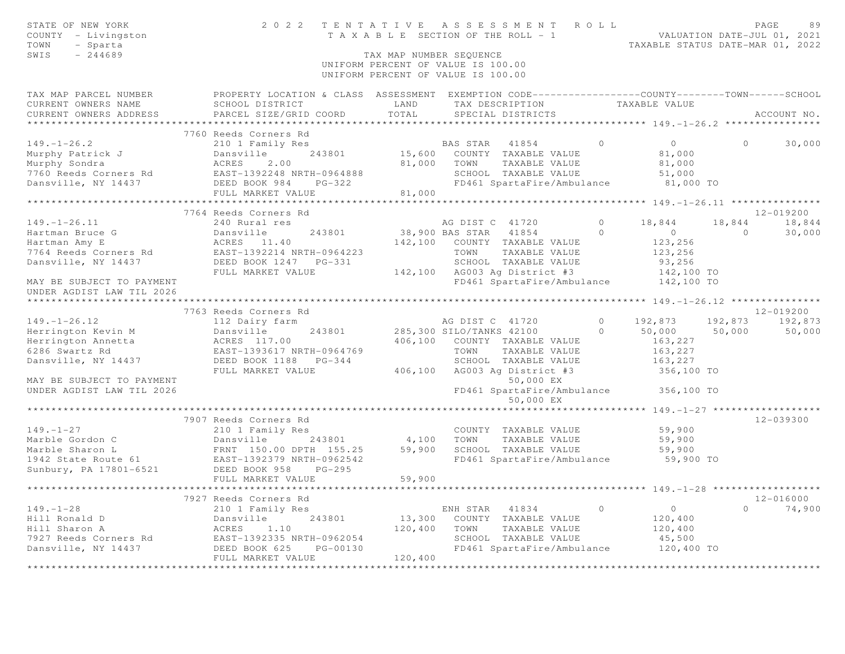| STATE OF NEW YORK<br>COUNTY - Livingston<br>TOWN<br>- Sparta<br>SWIS<br>$-244689$                                                                                        |                                                                                                   | TAX MAP NUMBER SEQUENCE             | 2022 TENTATIVE ASSESSMENT ROLL<br>TAXABLE SECTION OF THE ROLL - 1<br>TAXABLE SECTION OF THE ROLL - 1<br>TAXABLE STATUS DATE-MAR 01, 2022<br>UNIFORM PERCENT OF VALUE IS 100.00<br>UNIFORM PERCENT OF VALUE IS 100.00 |                     |                                                     |                | PAGE<br>89      |
|--------------------------------------------------------------------------------------------------------------------------------------------------------------------------|---------------------------------------------------------------------------------------------------|-------------------------------------|----------------------------------------------------------------------------------------------------------------------------------------------------------------------------------------------------------------------|---------------------|-----------------------------------------------------|----------------|-----------------|
| TAX MAP PARCEL NUMBER                                                                                                                                                    | PROPERTY LOCATION & CLASS ASSESSMENT EXEMPTION CODE-----------------COUNTY-------TOWN------SCHOOL |                                     |                                                                                                                                                                                                                      |                     |                                                     |                |                 |
| CURRENT OWNERS NAME                                                                                                                                                      | SCHOOL DISTRICT                                                                                   | LAND                                | TAX DESCRIPTION TAXABLE VALUE                                                                                                                                                                                        |                     |                                                     |                |                 |
| CURRENT OWNERS ADDRESS                                                                                                                                                   | PARCEL SIZE/GRID COORD                                                                            | TOTAL<br>************************** | SPECIAL DISTRICTS                                                                                                                                                                                                    |                     | ***************** 149.-1-26.2 *******               |                | ACCOUNT NO.     |
|                                                                                                                                                                          | 7760 Reeds Corners Rd                                                                             |                                     |                                                                                                                                                                                                                      |                     |                                                     |                |                 |
| $149. - 1 - 26.2$                                                                                                                                                        | 210 1 Family Res                                                                                  |                                     | BAS STAR 41854 0                                                                                                                                                                                                     |                     | $\overline{0}$                                      | $\Omega$       | 30,000          |
|                                                                                                                                                                          | Dansville<br>243801                                                                               |                                     | 15,600 COUNTY TAXABLE VALUE                                                                                                                                                                                          |                     | 81,000                                              |                |                 |
| Murphy Patrick J<br>Murphy Sondra<br>Murphy Sondra                                                                                                                       | ACRES<br>2.00                                                                                     | 81,000 TOWN                         | TAXABLE VALUE                                                                                                                                                                                                        |                     | 81,000                                              |                |                 |
|                                                                                                                                                                          |                                                                                                   |                                     | SCHOOL TAXABLE VALUE                                                                                                                                                                                                 |                     | 51,000                                              |                |                 |
|                                                                                                                                                                          |                                                                                                   |                                     | FD461 SpartaFire/Ambulance 81,000 TO                                                                                                                                                                                 |                     |                                                     |                |                 |
|                                                                                                                                                                          | FULL MARKET VALUE                                                                                 | 81,000                              |                                                                                                                                                                                                                      |                     |                                                     |                |                 |
|                                                                                                                                                                          | *************************                                                                         |                                     | **********************                                                                                                                                                                                               |                     | ********************* 149. -1-26.11 *************** |                |                 |
|                                                                                                                                                                          | 7764 Reeds Corners Rd                                                                             |                                     |                                                                                                                                                                                                                      |                     |                                                     |                | 12-019200       |
| $149. - 1 - 26.11$                                                                                                                                                       | 240 Rural res                                                                                     |                                     | AG DIST C 41720                                                                                                                                                                                                      | $\overline{0}$      | 18,844                                              |                | 18,844 18,844   |
| Hartman Bruce G<br>$\mathbb{G}$                                                                                                                                          | Dansville<br>243801                                                                               |                                     | 38,900 BAS STAR 41854                                                                                                                                                                                                | $\circ$             | $\overline{0}$                                      | $\overline{0}$ | 30,000          |
| Hartman Amy E                                                                                                                                                            | ACRES 11.40<br>ACRES 11.40<br>EAST-1392214 NRTH-0964223                                           |                                     | 142,100 COUNTY TAXABLE VALUE                                                                                                                                                                                         |                     | 123,256                                             |                |                 |
| 7764 Reeds Corners Rd<br>Dansville, NY 14437                                                                                                                             |                                                                                                   |                                     | TOWN<br>TAXABLE VALUE                                                                                                                                                                                                |                     | 123,256                                             |                |                 |
|                                                                                                                                                                          | DEED BOOK 1247    PG-331                                                                          |                                     |                                                                                                                                                                                                                      |                     |                                                     |                |                 |
|                                                                                                                                                                          | FULL MARKET VALUE                                                                                 |                                     | SCHOOL TAXABLE VALUE<br>142,100 AG003 Ag District #3 142,100 TO<br>142,100 TRACA Contestine/Ambulance 142,100 TO                                                                                                     |                     |                                                     |                |                 |
| MAY BE SUBJECT TO PAYMENT<br>UNDER AGDIST LAW TIL 2026                                                                                                                   |                                                                                                   |                                     |                                                                                                                                                                                                                      |                     |                                                     |                |                 |
|                                                                                                                                                                          |                                                                                                   |                                     |                                                                                                                                                                                                                      |                     |                                                     |                |                 |
|                                                                                                                                                                          | 7763 Reeds Corners Rd                                                                             |                                     |                                                                                                                                                                                                                      |                     |                                                     |                | 12-019200       |
| $149. - 1 - 26.12$                                                                                                                                                       | 112 Dairy farm<br>Dansville                                                                       |                                     | AG DIST C 41720<br>243801 285,300 SILO/TANKS 42100                                                                                                                                                                   | $\circ$<br>$\Omega$ | 192,873<br>$50,000$ $50,000$                        |                | 192,873 192,873 |
| Herrington Kevin M<br>Herrington Annetta                                                                                                                                 |                                                                                                   |                                     | 406,100 COUNTY TAXABLE VALUE                                                                                                                                                                                         |                     | 163,227                                             |                | 50,000          |
| 6286 Swartz Rd                                                                                                                                                           | ACRES 117.00<br>EAST-1393617 NRTH-0964769<br>DEED BOOK 1188 PG-344                                |                                     | TOWN<br>TAXABLE VALUE                                                                                                                                                                                                |                     |                                                     |                |                 |
| Dansville, NY 14437                                                                                                                                                      |                                                                                                   |                                     | SCHOOL TAXABLE VALUE                                                                                                                                                                                                 |                     | 163,227<br>163,227                                  |                |                 |
|                                                                                                                                                                          | FULL MARKET VALUE                                                                                 |                                     | 406,100 AG003 Ag District #3                                                                                                                                                                                         |                     | 356,100 TO                                          |                |                 |
| MAY BE SUBJECT TO PAYMENT                                                                                                                                                |                                                                                                   |                                     | 50,000 EX                                                                                                                                                                                                            |                     |                                                     |                |                 |
| UNDER AGDIST LAW TIL 2026                                                                                                                                                |                                                                                                   |                                     | FD461 SpartaFire/Ambulance 356,100 TO                                                                                                                                                                                |                     |                                                     |                |                 |
|                                                                                                                                                                          |                                                                                                   |                                     | 50,000 EX                                                                                                                                                                                                            |                     |                                                     |                |                 |
|                                                                                                                                                                          |                                                                                                   |                                     |                                                                                                                                                                                                                      |                     | ********** 149. - 1-27 *******************          |                |                 |
|                                                                                                                                                                          | 7907 Reeds Corners Rd                                                                             |                                     |                                                                                                                                                                                                                      |                     |                                                     |                | 12-039300       |
| $149. - 1 - 27$                                                                                                                                                          | 210 1 Family Res                                                                                  |                                     | COUNTY TAXABLE VALUE                                                                                                                                                                                                 |                     | 59,900                                              |                |                 |
|                                                                                                                                                                          | 243801                                                                                            | 4,100 TOWN                          | TAXABLE VALUE                                                                                                                                                                                                        |                     | 59,900                                              |                |                 |
| Marble Gordon C<br>Marble Sharon L<br>1942 State Route 61<br>Sunbury, PA 17801-6521<br>Marble Sharon L<br>EAST-1392379 NRTH-0962542<br>DEED BOOK 958<br>PG-295<br>PG-295 |                                                                                                   | 59,900                              | SCHOOL TAXABLE VALUE                                                                                                                                                                                                 |                     | 59,900                                              |                |                 |
|                                                                                                                                                                          |                                                                                                   |                                     | FD461 SpartaFire/Ambulance                                                                                                                                                                                           |                     | 59,900 TO                                           |                |                 |
|                                                                                                                                                                          |                                                                                                   |                                     |                                                                                                                                                                                                                      |                     |                                                     |                |                 |
|                                                                                                                                                                          | FULL MARKET VALUE                                                                                 | 59,900                              |                                                                                                                                                                                                                      |                     |                                                     |                |                 |
|                                                                                                                                                                          | 7927 Reeds Corners Rd                                                                             |                                     |                                                                                                                                                                                                                      |                     |                                                     |                | $12 - 016000$   |
| $149. - 1 - 28$                                                                                                                                                          | 210 1 Family Res                                                                                  |                                     | ENH STAR 41834                                                                                                                                                                                                       | $\overline{0}$      | $\overline{0}$                                      | $\Omega$       | 74,900          |
| Hill Ronald D                                                                                                                                                            | Dansville<br>243801                                                                               |                                     | 13,300 COUNTY TAXABLE VALUE                                                                                                                                                                                          |                     | 120,400                                             |                |                 |
| Hill Sharon A                                                                                                                                                            | ACRES<br>1.10                                                                                     | 120,400                             | TOWN<br>TAXABLE VALUE                                                                                                                                                                                                |                     | 120,400                                             |                |                 |
|                                                                                                                                                                          |                                                                                                   |                                     | SCHOOL TAXABLE VALUE                                                                                                                                                                                                 |                     | 45,500                                              |                |                 |
|                                                                                                                                                                          |                                                                                                   |                                     | FD461 SpartaFire/Ambulance 120,400 TO                                                                                                                                                                                |                     |                                                     |                |                 |
|                                                                                                                                                                          | FULL MARKET VALUE                                                                                 | 120,400                             |                                                                                                                                                                                                                      |                     |                                                     |                |                 |
|                                                                                                                                                                          | **************************                                                                        | ******************                  |                                                                                                                                                                                                                      |                     |                                                     |                |                 |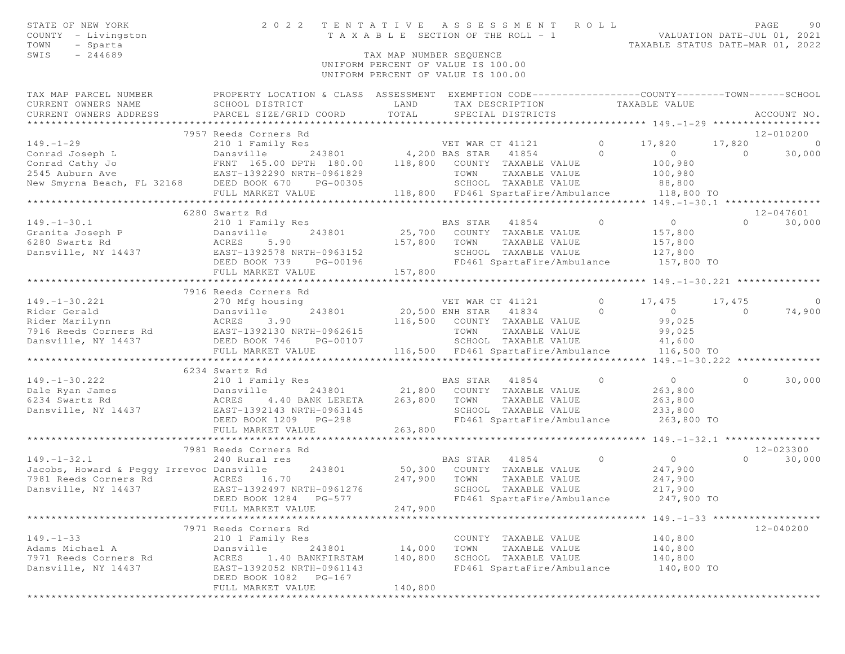| STATE OF NEW YORK<br>COUNTY - Livingston<br>TOWN<br>- Sparta<br>$-244689$<br>SWIS                                                                                                            | 2 0 2 2                                                                                           | TAX MAP NUMBER SEQUENCE | TENTATIVE ASSESSMENT ROLL<br>T A X A B L E SECTION OF THE ROLL - 1             |                | VALUATION DATE-JUL 01, 2021<br>TAXABLE STATUS DATE-MAR 01, 2022 |                | PAGE<br>90     |
|----------------------------------------------------------------------------------------------------------------------------------------------------------------------------------------------|---------------------------------------------------------------------------------------------------|-------------------------|--------------------------------------------------------------------------------|----------------|-----------------------------------------------------------------|----------------|----------------|
|                                                                                                                                                                                              |                                                                                                   |                         | UNIFORM PERCENT OF VALUE IS 100.00<br>UNIFORM PERCENT OF VALUE IS 100.00       |                |                                                                 |                |                |
| TAX MAP PARCEL NUMBER                                                                                                                                                                        | PROPERTY LOCATION & CLASS ASSESSMENT EXEMPTION CODE-----------------COUNTY-------TOWN------SCHOOL |                         |                                                                                |                |                                                                 |                |                |
| CURRENT OWNERS NAME<br>CURRENT OWNERS ADDRESS                                                                                                                                                | SCHOOL DISTRICT<br>PARCEL SIZE/GRID COORD                                                         | LAND<br>TOTAL           | TAX DESCRIPTION TAXABLE VALUE<br>SPECIAL DISTRICTS                             |                |                                                                 |                | ACCOUNT NO.    |
|                                                                                                                                                                                              | 7957 Reeds Corners Rd                                                                             |                         |                                                                                |                |                                                                 |                | 12-010200      |
| $149. - 1 - 29$                                                                                                                                                                              | 210 1 Family Res                                                                                  |                         |                                                                                | $\sim$ 0       | 17,820                                                          | 17,820         | $\overline{0}$ |
|                                                                                                                                                                                              |                                                                                                   |                         | ly Res<br>243801 243801 4,200 BAS STAR 41854                                   |                | $\sim$ 0                                                        | $\circ$        | 30,000         |
|                                                                                                                                                                                              |                                                                                                   |                         |                                                                                |                | 100,980                                                         |                |                |
|                                                                                                                                                                                              |                                                                                                   |                         |                                                                                |                |                                                                 |                |                |
|                                                                                                                                                                                              |                                                                                                   |                         | SCHOOL TAXABLE VALUE                                                           |                | 100,980<br>88,800                                               |                |                |
|                                                                                                                                                                                              |                                                                                                   |                         |                                                                                |                |                                                                 |                |                |
|                                                                                                                                                                                              |                                                                                                   |                         |                                                                                |                |                                                                 |                |                |
|                                                                                                                                                                                              | 6280 Swartz Rd                                                                                    |                         |                                                                                |                |                                                                 |                | 12-047601      |
| $149. - 1 - 30.1$<br>149.-1-30.1 210 1 Family Res<br>Granita Joseph P Dansville 243801<br>6280 Swartz Rd ACRES 5.90<br>Dansville, NY 14437 EAST-1392578 NRTH-0963152                         | 210 1 Family Res                                                                                  |                         | <b>BAS STAR</b> 41854                                                          | $\overline{0}$ | $\overline{0}$                                                  |                | $0 \t 30,000$  |
|                                                                                                                                                                                              |                                                                                                   |                         | 25,700 COUNTY TAXABLE VALUE                                                    |                | 157,800                                                         |                |                |
|                                                                                                                                                                                              |                                                                                                   |                         | 157,800 TOWN<br>TAXABLE VALUE                                                  |                | 157,800                                                         |                |                |
|                                                                                                                                                                                              |                                                                                                   |                         | SCHOOL TAXABLE VALUE                                                           |                | 127,800                                                         |                |                |
|                                                                                                                                                                                              | DEED BOOK 739 PG-00196                                                                            |                         | FD461 SpartaFire/Ambulance                                                     |                | 157,800 TO                                                      |                |                |
|                                                                                                                                                                                              | FULL MARKET VALUE                                                                                 | 157,800                 |                                                                                |                |                                                                 |                |                |
|                                                                                                                                                                                              | 7916 Reeds Corners Rd                                                                             |                         |                                                                                |                |                                                                 |                |                |
| $149. - 1 - 30.221$                                                                                                                                                                          |                                                                                                   |                         | VET WAR CT 41121                                                               |                | 0 $17,475$                                                      | 17,475         | $\overline{0}$ |
|                                                                                                                                                                                              |                                                                                                   |                         | 20,500 ENH STAR 41834                                                          | $\overline{0}$ | $\overline{0}$                                                  | $\overline{0}$ | 74,900         |
| 149.-1-30.221 270 Mfg housing<br>Rider Gerald Dansville 243801<br>Rider Marilynn ACRES 3.90<br>7916 Reeds Corners Rd EAST-1392130 NRTH-0962615<br>Dansville, NY 14437 DEED BOOK 746 PG-00107 |                                                                                                   |                         | 116,500 COUNTY TAXABLE VALUE                                                   |                | 99,025                                                          |                |                |
|                                                                                                                                                                                              |                                                                                                   |                         | TOWN<br>TAXABLE VALUE                                                          |                | 99,025                                                          |                |                |
|                                                                                                                                                                                              |                                                                                                   |                         |                                                                                |                |                                                                 |                |                |
|                                                                                                                                                                                              | FULL MARKET VALUE                                                                                 |                         | SCHOOL TAXABLE VALUE $41,600$<br>116,500 FD461 SpartaFire/Ambulance 116,500 TO |                |                                                                 |                |                |
|                                                                                                                                                                                              |                                                                                                   |                         |                                                                                |                |                                                                 |                |                |
|                                                                                                                                                                                              | 6234 Swartz Rd                                                                                    |                         |                                                                                |                |                                                                 |                |                |
| $149. - 1 - 30.222$                                                                                                                                                                          | 210 1 Family Res                                                                                  |                         | BAS STAR 41854                                                                 | $\overline{0}$ | $\overline{0}$                                                  | $\circ$        | 30,000         |
|                                                                                                                                                                                              | Dansville                                                                                         |                         | 243801 21,800 COUNTY TAXABLE VALUE                                             |                | 263,800                                                         |                |                |
|                                                                                                                                                                                              | 4.40 BANK LERETA 263,800                                                                          |                         | TAXABLE VALUE<br>TOWN                                                          |                | 263,800                                                         |                |                |
| Dansville, NY 14437                                                                                                                                                                          | EAST-1392143 NRTH-0963145                                                                         |                         | SCHOOL TAXABLE VALUE                                                           |                | 233,800                                                         |                |                |
|                                                                                                                                                                                              | DEED BOOK 1209 PG-298                                                                             |                         | FD461 SpartaFire/Ambulance                                                     |                | 263,800 TO                                                      |                |                |
|                                                                                                                                                                                              | FULL MARKET VALUE                                                                                 | 263,800                 |                                                                                |                |                                                                 |                |                |
|                                                                                                                                                                                              |                                                                                                   |                         |                                                                                |                |                                                                 |                |                |
|                                                                                                                                                                                              | 7981 Reeds Corners Rd                                                                             |                         |                                                                                |                |                                                                 |                | 12-023300      |
| $149. - 1 - 32.1$<br>Jacobs, Howard & Peqqy Irrevoc Dansville                                                                                                                                | 240 Rural res                                                                                     |                         | BAS STAR 41854<br>$\sim$ 0<br>50,300 COUNTY TAXABLE VALUE                      |                | $\overline{0}$                                                  | $\Omega$       | 30,000         |
|                                                                                                                                                                                              | 243801                                                                                            |                         |                                                                                |                | 247,900                                                         |                |                |
| 7981 Reeds Corners Rd ACRES 16.70<br>Dansville, NY 14437                                                                                                                                     | EAST-1392497 NRTH-0961276                                                                         | 247,900                 | TOWN<br>TAXABLE VALUE<br>SCHOOL TAXABLE VALUE                                  |                | 247,900<br>217,900                                              |                |                |
|                                                                                                                                                                                              | DEED BOOK 1284 PG-577                                                                             |                         | FD461 SpartaFire/Ambulance                                                     |                | 247,900 TO                                                      |                |                |
|                                                                                                                                                                                              | FULL MARKET VALUE                                                                                 | 247,900                 |                                                                                |                |                                                                 |                |                |
|                                                                                                                                                                                              |                                                                                                   |                         |                                                                                |                |                                                                 |                |                |
|                                                                                                                                                                                              | 7971 Reeds Corners Rd                                                                             |                         |                                                                                |                |                                                                 |                | $12 - 040200$  |
| $149. - 1 - 33$                                                                                                                                                                              | 210 1 Family Res                                                                                  |                         | COUNTY TAXABLE VALUE                                                           |                | 140,800                                                         |                |                |
| Adams Michael A                                                                                                                                                                              | Dansville<br>243801                                                                               | 14,000                  | TOWN<br>TAXABLE VALUE                                                          |                | 140,800                                                         |                |                |
| 7971 Reeds Corners Rd                                                                                                                                                                        | ACRES<br>1.40 BANKFIRSTAM                                                                         | 140,800                 | SCHOOL TAXABLE VALUE                                                           |                | 140,800                                                         |                |                |
| Dansville, NY 14437                                                                                                                                                                          | EAST-1392052 NRTH-0961143                                                                         |                         | FD461 SpartaFire/Ambulance                                                     |                | 140,800 TO                                                      |                |                |
|                                                                                                                                                                                              | DEED BOOK 1082 PG-167                                                                             |                         |                                                                                |                |                                                                 |                |                |
|                                                                                                                                                                                              | FULL MARKET VALUE                                                                                 | 140,800                 |                                                                                |                |                                                                 |                |                |
|                                                                                                                                                                                              |                                                                                                   |                         |                                                                                |                |                                                                 |                |                |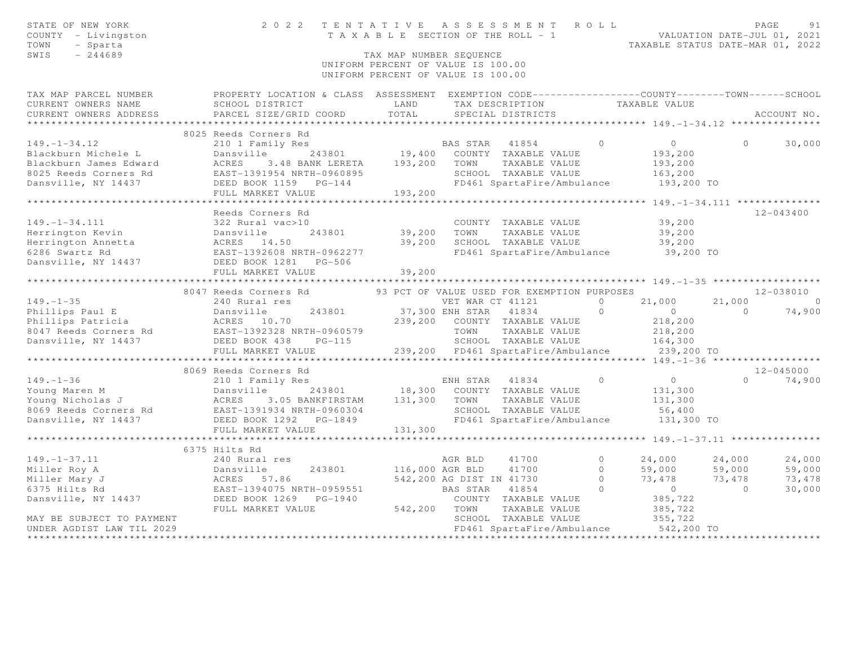| STATE OF NEW YORK<br>COUNTY - Livingston<br>TOWN<br>- Sparta<br>SWIS<br>$-244689$ |                                                                                                                                                                                                                                                                                                                                                                                                                                              | TAX MAP NUMBER SEQUENCE | 2022 TENTATIVE ASSESSMENT ROLL<br>T A X A B L E SECTION OF THE ROLL - 1 VALUATION DATE-JUL 01, 2021<br>UNIFORM PERCENT OF VALUE IS 100.00<br>UNIFORM PERCENT OF VALUE IS 100.00 |          | TAXABLE STATUS DATE-MAR 01, 2022                           |                | PAGE<br>91    |
|-----------------------------------------------------------------------------------|----------------------------------------------------------------------------------------------------------------------------------------------------------------------------------------------------------------------------------------------------------------------------------------------------------------------------------------------------------------------------------------------------------------------------------------------|-------------------------|---------------------------------------------------------------------------------------------------------------------------------------------------------------------------------|----------|------------------------------------------------------------|----------------|---------------|
| CURRENT OWNERS NAME                                                               | TAX MAP PARCEL NUMBER THE PROPERTY LOCATION & CLASS ASSESSMENT EXEMPTION CODE---------------COUNTY-------TOWN------SCHOOL<br>SCHOOL DISTRICT                                                                                                                                                                                                                                                                                                 | LAND                    |                                                                                                                                                                                 |          |                                                            |                |               |
| CURRENT OWNERS ADDRESS                                                            | PARCEL SIZE/GRID COORD                                                                                                                                                                                                                                                                                                                                                                                                                       | TOTAL                   | TAX DESCRIPTION TAXABLE VALUE<br>SPECIAL DISTRICTS                                                                                                                              |          |                                                            |                | ACCOUNT NO.   |
|                                                                                   |                                                                                                                                                                                                                                                                                                                                                                                                                                              |                         |                                                                                                                                                                                 |          |                                                            |                |               |
|                                                                                   | 8025 Reeds Corners Rd                                                                                                                                                                                                                                                                                                                                                                                                                        |                         |                                                                                                                                                                                 |          |                                                            |                |               |
| $149. - 1 - 34.12$                                                                | 210 1 Family Res                                                                                                                                                                                                                                                                                                                                                                                                                             |                         | <b>BAS STAR</b> 41854                                                                                                                                                           | $\Omega$ | $\overline{0}$                                             | $\Omega$       | 30,000        |
|                                                                                   |                                                                                                                                                                                                                                                                                                                                                                                                                                              |                         |                                                                                                                                                                                 |          | 193,200                                                    |                |               |
|                                                                                   |                                                                                                                                                                                                                                                                                                                                                                                                                                              |                         |                                                                                                                                                                                 |          | 193,200                                                    |                |               |
|                                                                                   |                                                                                                                                                                                                                                                                                                                                                                                                                                              |                         | SCHOOL TAXABLE VALUE                                                                                                                                                            |          | 163,200                                                    |                |               |
|                                                                                   | 149.-1-34.12<br>Blackburn Michele L Dansville 243801 19,400 COUNTY TAXABLE VALUE<br>Blackburn James Edward ACRES 3.48 BANK LERETA 193,200 TOWN TAXABLE VALUE<br>8025 Reeds Corners Rd EAST-1391954 NRTH-0960895 SCHOOL TAXABLE VALUE                                                                                                                                                                                                         |                         | FD461 SpartaFire/Ambulance                                                                                                                                                      |          | 193,200 TO                                                 |                |               |
|                                                                                   |                                                                                                                                                                                                                                                                                                                                                                                                                                              |                         |                                                                                                                                                                                 |          |                                                            |                |               |
|                                                                                   |                                                                                                                                                                                                                                                                                                                                                                                                                                              |                         |                                                                                                                                                                                 |          |                                                            |                |               |
| $149. - 1 - 34.111$                                                               | Reeds Corners Rd                                                                                                                                                                                                                                                                                                                                                                                                                             |                         | COUNTY TAXABLE VALUE                                                                                                                                                            |          |                                                            |                | 12-043400     |
|                                                                                   | 322 Rural vac>10                                                                                                                                                                                                                                                                                                                                                                                                                             | 39,200                  | TOWN<br>TAXABLE VALUE                                                                                                                                                           |          | 39,200<br>39,200                                           |                |               |
|                                                                                   |                                                                                                                                                                                                                                                                                                                                                                                                                                              | 39,200                  | SCHOOL TAXABLE VALUE                                                                                                                                                            |          | 39,200                                                     |                |               |
|                                                                                   |                                                                                                                                                                                                                                                                                                                                                                                                                                              |                         | FD461 SpartaFire/Ambulance 39,200 TO                                                                                                                                            |          |                                                            |                |               |
|                                                                                   | 149.-1-34.111 322 Rural vac>10<br>Herrington Kevin Dansville 243801<br>Herrington Annetta ACRES 14.50<br>6286 Swartz Rd EAST-1392608 NRTH-0962277<br>Dansville, NY 14437 DEED BOOK 1281 PG-506                                                                                                                                                                                                                                               |                         |                                                                                                                                                                                 |          |                                                            |                |               |
|                                                                                   | FULL MARKET VALUE                                                                                                                                                                                                                                                                                                                                                                                                                            | 39,200                  |                                                                                                                                                                                 |          |                                                            |                |               |
|                                                                                   |                                                                                                                                                                                                                                                                                                                                                                                                                                              |                         |                                                                                                                                                                                 |          |                                                            |                |               |
|                                                                                   | 8047 Reeds Corners Rd                                                                                                                                                                                                                                                                                                                                                                                                                        |                         | 93 PCT OF VALUE USED FOR EXEMPTION PURPOSES                                                                                                                                     |          |                                                            |                | 12-038010     |
| $149. - 1 - 35$                                                                   | 240 Rural res                                                                                                                                                                                                                                                                                                                                                                                                                                |                         | VET WAR CT 41121<br>243801 37,300 ENH STAR 41834<br>$\sim$ 0                                                                                                                    |          | 21,000                                                     | 21,000         | $\sim$ 0      |
|                                                                                   |                                                                                                                                                                                                                                                                                                                                                                                                                                              |                         | $\overline{0}$                                                                                                                                                                  |          | $\overline{0}$                                             | $\overline{a}$ | 74,900        |
|                                                                                   |                                                                                                                                                                                                                                                                                                                                                                                                                                              |                         | 239,200 COUNTY TAXABLE VALUE                                                                                                                                                    |          | 218,200                                                    |                |               |
|                                                                                   |                                                                                                                                                                                                                                                                                                                                                                                                                                              |                         | TOWN                                                                                                                                                                            |          |                                                            |                |               |
|                                                                                   | 149.-1-35 $\begin{array}{ccc}\n 149. -1-35 & 240 \text{ Rural res} \\  \text{Philips Paul E} & \text{Dansville} & 243801 & 37,300 \text{ E} \\  \text{Philips Patricia} & \text{ACRES} & 10.70 & 239,200 \\  \text{B047 Records Corresponds Red} & \text{EAST-1392328 NRTH-0960579} & \text{DEED} & 239,200 \\  \text{Dansville, NY 14437} & \text{DEED DOK 4380} & \text{FG-115} & 239,200\n \end{array}$                                   |                         |                                                                                                                                                                                 |          |                                                            |                |               |
|                                                                                   | FULL MARKET VALUE<br>******************************                                                                                                                                                                                                                                                                                                                                                                                          |                         | TOWN TAXABLE VALUE 164,300<br>SCHOOL TAXABLE VALUE 164,300<br>CALL TAXABLE VAMbulance 239,200 TO<br>239,200 FD461 SpartaFire/Ambulance                                          |          |                                                            |                |               |
|                                                                                   |                                                                                                                                                                                                                                                                                                                                                                                                                                              |                         |                                                                                                                                                                                 |          |                                                            |                |               |
|                                                                                   | 8069 Reeds Corners Rd                                                                                                                                                                                                                                                                                                                                                                                                                        |                         |                                                                                                                                                                                 | $\circ$  | $\overline{0}$                                             |                | $12 - 045000$ |
|                                                                                   |                                                                                                                                                                                                                                                                                                                                                                                                                                              |                         | ENH STAR 41834<br>243801 18,300 COUNTY TAXABLE VALUE                                                                                                                            |          | 131,300                                                    |                | $0 \t 74,900$ |
|                                                                                   |                                                                                                                                                                                                                                                                                                                                                                                                                                              |                         | TAXABLE VALUE                                                                                                                                                                   |          | 131,300                                                    |                |               |
|                                                                                   |                                                                                                                                                                                                                                                                                                                                                                                                                                              |                         | SCHOOL TAXABLE VALUE                                                                                                                                                            |          | 56,400                                                     |                |               |
|                                                                                   | $\begin{tabular}{lllllllllllllllllll} \rule{0pt}{0pt} \text{149.-1--36} & \text{ENH STA} & \text{ENH STA} & \text{Dansville} & \text{Res} & \text{ENH STA} \\ \text{Young March M} & \text{Dansville} & \text{243801} & \text{18,300} & \text{COUNT} \\ \text{Young Nicholas J} & \text{ACRES} & \text{3.05 BANKFIRSTAM} & \text{131,300} & \text{TOWN} \\ \text{8069 Reeds Conners Rd} & \text{EAST-1391934 NRTH-0960304} & \text{SCHOC} &$ |                         | FD461 SpartaFire/Ambulance 131,300 TO                                                                                                                                           |          |                                                            |                |               |
|                                                                                   | FULL MARKET VALUE                                                                                                                                                                                                                                                                                                                                                                                                                            | 131,300                 |                                                                                                                                                                                 |          |                                                            |                |               |
|                                                                                   | *********************                                                                                                                                                                                                                                                                                                                                                                                                                        |                         |                                                                                                                                                                                 |          |                                                            |                |               |
|                                                                                   | 6375 Hilts Rd                                                                                                                                                                                                                                                                                                                                                                                                                                |                         |                                                                                                                                                                                 |          |                                                            |                |               |
| $149. - 1 - 37.11$                                                                | 240 Rural res                                                                                                                                                                                                                                                                                                                                                                                                                                |                         | 41700<br>AGR BLD                                                                                                                                                                | $\circ$  | 24,000                                                     | 24,000         | 24,000        |
| Miller Roy A                                                                      |                                                                                                                                                                                                                                                                                                                                                                                                                                              | 116,000 AGR BLD         | 41700                                                                                                                                                                           | $\Omega$ |                                                            |                | 59,000        |
| Miller Mary J                                                                     |                                                                                                                                                                                                                                                                                                                                                                                                                                              |                         | 542,200 AG DIST IN 41730                                                                                                                                                        | $\circ$  | $59,000$ $59,000$<br>$73,478$ $73,478$<br>$0$<br>$385,722$ |                | 73,478        |
| 6375 Hilts Rd                                                                     |                                                                                                                                                                                                                                                                                                                                                                                                                                              |                         | BAS STAR 41854                                                                                                                                                                  | $\Omega$ |                                                            |                | 30,000        |
| Dansville, NY 14437                                                               |                                                                                                                                                                                                                                                                                                                                                                                                                                              |                         | COUNTY TAXABLE VALUE                                                                                                                                                            |          |                                                            |                |               |
|                                                                                   | -<br>Dansville<br>ACRES 57.86<br>EAST-1394075 NRTH-0959551<br>DEED BOOK 1269 PG-1940<br>FULL MARKET VALUE                                                                                                                                                                                                                                                                                                                                    | 542,200 TOWN            | TAXABLE VALUE                                                                                                                                                                   |          | 385,722                                                    |                |               |
| MAY BE SUBJECT TO PAYMENT                                                         |                                                                                                                                                                                                                                                                                                                                                                                                                                              |                         | SCHOOL TAXABLE VALUE                                                                                                                                                            |          | 355,722                                                    |                |               |
| UNDER AGDIST LAW TIL 2029                                                         |                                                                                                                                                                                                                                                                                                                                                                                                                                              |                         | FD461 SpartaFire/Ambulance                                                                                                                                                      |          | 542,200 TO                                                 |                |               |
|                                                                                   |                                                                                                                                                                                                                                                                                                                                                                                                                                              |                         |                                                                                                                                                                                 |          |                                                            |                |               |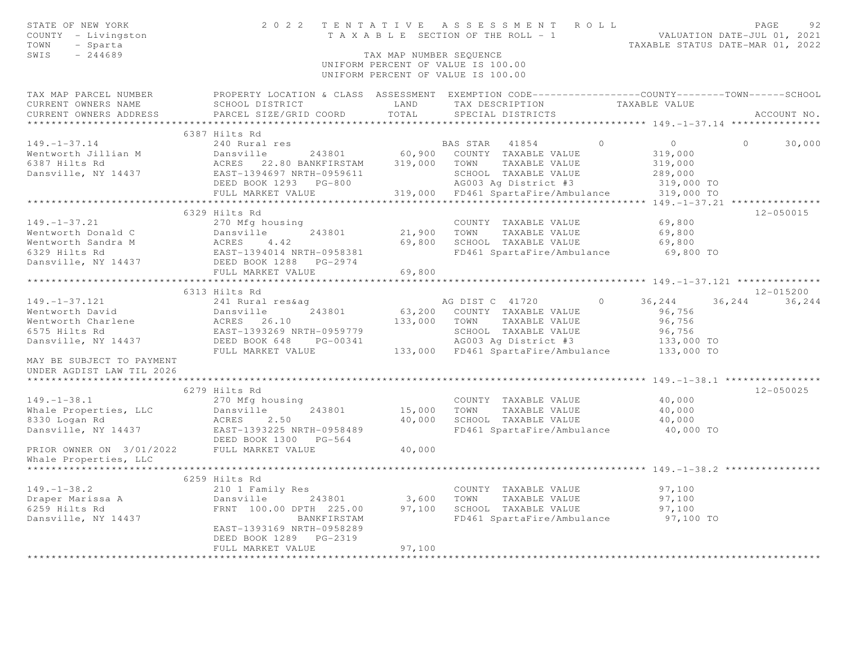| STATE OF NEW YORK<br>COUNTY - Livingston<br>TOWN<br>- Sparta |                                                                                       |                         | 2022 TENTATIVE ASSESSMENT ROLL                                           | TENTATIVE ASSESSMENI NUMIRIAL VALUATION DATE-JUL 01, 2021<br>TAXABLE SECTION OF THE ROLL - 1<br>TAXABLE STATUS DATE-MAR 01, 2022 |  |
|--------------------------------------------------------------|---------------------------------------------------------------------------------------|-------------------------|--------------------------------------------------------------------------|----------------------------------------------------------------------------------------------------------------------------------|--|
| $-244689$<br>SWIS                                            |                                                                                       | TAX MAP NUMBER SEQUENCE | UNIFORM PERCENT OF VALUE IS 100.00<br>UNIFORM PERCENT OF VALUE IS 100.00 |                                                                                                                                  |  |
| TAX MAP PARCEL NUMBER<br>CURRENT OWNERS NAME                 | SCHOOL DISTRICT                                                                       | LAND                    | TAX DESCRIPTION TAXABLE VALUE                                            | PROPERTY LOCATION & CLASS ASSESSMENT EXEMPTION CODE----------------COUNTY-------TOWN------SCHOOL                                 |  |
| CURRENT OWNERS ADDRESS                                       | PARCEL SIZE/GRID COORD                                                                | TOTAL                   | SPECIAL DISTRICTS                                                        | ACCOUNT NO.                                                                                                                      |  |
|                                                              | 6387 Hilts Rd                                                                         |                         |                                                                          |                                                                                                                                  |  |
| $149. - 1 - 37.14$                                           | 240 Rural res                                                                         |                         | $\Omega$<br>BAS STAR 41854                                               | $\overline{0}$<br>30,000<br>$\Omega$                                                                                             |  |
| Wentworth Jillian M                                          | Dansville                                                                             |                         | 243801 60,900 COUNTY TAXABLE VALUE                                       | 319,000                                                                                                                          |  |
| 6387 Hilts Rd                                                | ACRES 22.80 BANKFIRSTAM 319,000 TOWN TAXABLE VALUE                                    |                         |                                                                          | 319,000                                                                                                                          |  |
| Dansville, NY 14437                                          | EAST-1394697 NRTH-0959611                                                             |                         | SCHOOL TAXABLE VALUE                                                     | 289,000                                                                                                                          |  |
|                                                              | DEED BOOK 1293 PG-800                                                                 |                         | AG003 Ag District #3                                                     | 319,000 TO                                                                                                                       |  |
|                                                              | FULL MARKET VALUE                                                                     | 319,000                 | FD461 SpartaFire/Ambulance                                               | 319,000 TO                                                                                                                       |  |
|                                                              | ***************************                                                           |                         |                                                                          |                                                                                                                                  |  |
|                                                              | 6329 Hilts Rd                                                                         |                         |                                                                          | 12-050015                                                                                                                        |  |
| $149. - 1 - 37.21$                                           | 270 Mfg housing                                                                       |                         | COUNTY TAXABLE VALUE                                                     | 69,800                                                                                                                           |  |
| Wentworth Donald C                                           |                                                                                       |                         | 21,900 TOWN TAXABLE VALUE                                                | 69,800                                                                                                                           |  |
| Wentworth Sandra M                                           |                                                                                       |                         | 69,800 SCHOOL TAXABLE VALUE                                              | 69,800                                                                                                                           |  |
| 6329 Hilts Rd                                                | Dansville 243801<br>ACRES 4.42<br>EAST-1394014 NRTH-0958381<br>DEED BOOK 1288 PG-2974 |                         | FD461 SpartaFire/Ambulance                                               | 69,800 TO                                                                                                                        |  |
| Dansville, NY 14437                                          |                                                                                       |                         |                                                                          |                                                                                                                                  |  |
|                                                              | FULL MARKET VALUE                                                                     | 69,800                  |                                                                          |                                                                                                                                  |  |
|                                                              |                                                                                       |                         |                                                                          | *********** 149. -1-37. 121 ***************                                                                                      |  |
|                                                              | 6313 Hilts Rd                                                                         |                         |                                                                          | $12 - 015200$                                                                                                                    |  |
| $149. - 1 - 37.121$                                          | 241 Rural res&aq                                                                      |                         | AG DIST C 41720<br>$\bigcirc$                                            | 36,244<br>36, 244 36, 244                                                                                                        |  |
| Wentworth David                                              | 243801<br>Dansville                                                                   |                         | 63,200 COUNTY TAXABLE VALUE                                              | 96,756                                                                                                                           |  |
| Wentworth Charlene                                           | ACRES 26.10                                                                           |                         | 133,000 TOWN TAXABLE VALUE                                               | 96,756                                                                                                                           |  |
| 6575 Hilts Rd                                                | EAST-1393269 NRTH-0959779                                                             |                         | SCHOOL TAXABLE VALUE                                                     | 96,756                                                                                                                           |  |
| Dansville, NY 14437                                          | DEED BOOK 648 PG-00341                                                                |                         | AG003 Ag District #3                                                     | 133,000 TO                                                                                                                       |  |
|                                                              | FULL MARKET VALUE                                                                     |                         | 133,000 FD461 SpartaFire/Ambulance                                       | 133,000 TO                                                                                                                       |  |
| MAY BE SUBJECT TO PAYMENT                                    |                                                                                       |                         |                                                                          |                                                                                                                                  |  |
| UNDER AGDIST LAW TIL 2026                                    |                                                                                       |                         |                                                                          |                                                                                                                                  |  |
|                                                              |                                                                                       |                         |                                                                          |                                                                                                                                  |  |
|                                                              | 6279 Hilts Rd                                                                         |                         |                                                                          | 12-050025                                                                                                                        |  |
| $149. - 1 - 38.1$                                            | 270 Mfg housing                                                                       |                         | COUNTY TAXABLE VALUE                                                     | 40,000                                                                                                                           |  |
| Whale Properties, LLC                                        | 243801<br>Dansville                                                                   |                         | 15,000 TOWN TAXABLE VALUE                                                | 40,000                                                                                                                           |  |
| 8330 Logan Rd                                                | ACRES<br>2.50                                                                         | 40,000                  | SCHOOL TAXABLE VALUE                                                     | 40,000                                                                                                                           |  |
| Dansville, NY 14437                                          | EAST-1393225 NRTH-0958489                                                             |                         | FD461 SpartaFire/Ambulance                                               | 40,000 TO                                                                                                                        |  |
|                                                              | DEED BOOK 1300 PG-564                                                                 |                         |                                                                          |                                                                                                                                  |  |
| PRIOR OWNER ON 3/01/2022                                     | FULL MARKET VALUE                                                                     | 40,000                  |                                                                          |                                                                                                                                  |  |
| Whale Properties, LLC                                        |                                                                                       |                         |                                                                          |                                                                                                                                  |  |
|                                                              |                                                                                       |                         |                                                                          |                                                                                                                                  |  |
|                                                              | 6259 Hilts Rd                                                                         |                         |                                                                          |                                                                                                                                  |  |
| $149. - 1 - 38.2$                                            | 210 1 Family Res<br>Dansville<br>243801                                               |                         | COUNTY TAXABLE VALUE<br>3,600 TOWN TAXABLE VALUE                         | 97,100<br>97,100                                                                                                                 |  |
| Draper Marissa A<br>6259 Hilts Rd                            |                                                                                       |                         | 97,100 SCHOOL TAXABLE VALUE                                              | 97,100                                                                                                                           |  |
| Dansville, NY 14437                                          | FRNT 100.00 DPTH 225.00<br>BANKFIRSTAM                                                |                         | FD461 SpartaFire/Ambulance                                               | 97,100 TO                                                                                                                        |  |
|                                                              | EAST-1393169 NRTH-0958289                                                             |                         |                                                                          |                                                                                                                                  |  |
|                                                              | DEED BOOK 1289 PG-2319                                                                |                         |                                                                          |                                                                                                                                  |  |
|                                                              | FULL MARKET VALUE                                                                     | 97,100                  |                                                                          |                                                                                                                                  |  |
|                                                              |                                                                                       |                         |                                                                          |                                                                                                                                  |  |
|                                                              |                                                                                       |                         |                                                                          |                                                                                                                                  |  |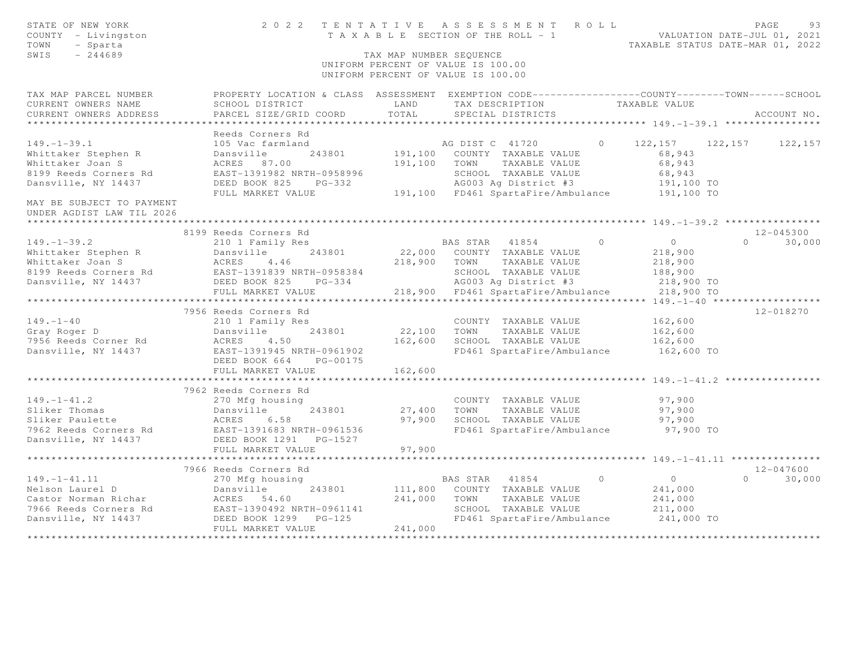| STATE OF NEW YORK<br>COUNTY - Livingston<br>TOWN<br>- Sparta<br>SWIS<br>$-244689$                                                                                                                                                                       |                                                                                                                                                                                  | TAX MAP NUMBER SEQUENCE | 2022 TENTATIVE ASSESSMENT ROLL<br>T A X A B L E SECTION OF THE ROLL - 1<br>T A X A B L E SECTION OF THE ROLL - 1<br>TAXABLE STATUS DATE-MAR 01, 2022<br>UNIFORM PERCENT OF VALUE IS 100.00<br>UNIFORM PERCENT OF VALUE IS 100.00 |                |                                                   | PAGE     | 93            |
|---------------------------------------------------------------------------------------------------------------------------------------------------------------------------------------------------------------------------------------------------------|----------------------------------------------------------------------------------------------------------------------------------------------------------------------------------|-------------------------|----------------------------------------------------------------------------------------------------------------------------------------------------------------------------------------------------------------------------------|----------------|---------------------------------------------------|----------|---------------|
| TAX MAP PARCEL NUMBER<br>CURRENT OWNERS NAME                                                                                                                                                                                                            | PROPERTY LOCATION & CLASS ASSESSMENT EXEMPTION CODE-----------------COUNTY--------TOWN-----SCHOOL<br>SCHOOL DISTRICT                                                             | LAND                    | TAX DESCRIPTION TAXABLE VALUE                                                                                                                                                                                                    |                |                                                   |          |               |
| CURRENT OWNERS ADDRESS                                                                                                                                                                                                                                  | PARCEL SIZE/GRID COORD                                                                                                                                                           | TOTAL                   | SPECIAL DISTRICTS                                                                                                                                                                                                                |                |                                                   |          | ACCOUNT NO.   |
|                                                                                                                                                                                                                                                         |                                                                                                                                                                                  |                         |                                                                                                                                                                                                                                  |                |                                                   |          |               |
|                                                                                                                                                                                                                                                         | Reeds Corners Rd                                                                                                                                                                 |                         |                                                                                                                                                                                                                                  |                |                                                   |          |               |
| $149. - 1 - 39.1$                                                                                                                                                                                                                                       | 105 Vac farmland                                                                                                                                                                 |                         | AG DIST C 41720 0<br>191,100 COUNTY TAXABLE VALUE                                                                                                                                                                                |                | $122, 157$ $122, 157$ $122, 157$<br>68,943        |          |               |
| Whittaker Stephen R<br>Whittaker Joan S                                                                                                                                                                                                                 | Dansville 243801<br>ACRES 87.00<br>243801                                                                                                                                        |                         | 191,100 TOWN TAXABLE VALUE                                                                                                                                                                                                       |                | 68,943                                            |          |               |
| 8199 Reeds Corners Rd                                                                                                                                                                                                                                   |                                                                                                                                                                                  |                         |                                                                                                                                                                                                                                  |                |                                                   |          |               |
| Dansville, NY 14437                                                                                                                                                                                                                                     |                                                                                                                                                                                  |                         |                                                                                                                                                                                                                                  |                |                                                   |          |               |
|                                                                                                                                                                                                                                                         | EAST-1391982 NRTH-0958996 SCHOOL TAXABLE VALUE 68,943<br>DEED BOOK 825 PG-332 AG003 Ag District #3 191,100 TO<br>FULL MARKET VALUE 191,100 FD461 SpartaFire/Ambulance 191,100 TO |                         |                                                                                                                                                                                                                                  |                |                                                   |          |               |
| MAY BE SUBJECT TO PAYMENT                                                                                                                                                                                                                               |                                                                                                                                                                                  |                         |                                                                                                                                                                                                                                  |                |                                                   |          |               |
| UNDER AGDIST LAW TIL 2026                                                                                                                                                                                                                               |                                                                                                                                                                                  |                         |                                                                                                                                                                                                                                  |                |                                                   |          |               |
|                                                                                                                                                                                                                                                         |                                                                                                                                                                                  |                         |                                                                                                                                                                                                                                  |                | ********* 149. - 1 - 39. 2 *****************      |          |               |
|                                                                                                                                                                                                                                                         | 8199 Reeds Corners Rd                                                                                                                                                            |                         |                                                                                                                                                                                                                                  |                |                                                   |          | 12-045300     |
| $149. - 1 - 39.2$                                                                                                                                                                                                                                       | 210 1 Family Res                                                                                                                                                                 |                         | BAS STAR 41854                                                                                                                                                                                                                   | $\circ$        | $\overline{0}$                                    |          | $0 \t 30,000$ |
|                                                                                                                                                                                                                                                         |                                                                                                                                                                                  |                         | 22,000 COUNTY TAXABLE VALUE                                                                                                                                                                                                      |                | 218,900                                           |          |               |
|                                                                                                                                                                                                                                                         |                                                                                                                                                                                  |                         | 218,900 TOWN TAXABLE VALUE                                                                                                                                                                                                       |                | 218,900                                           |          |               |
|                                                                                                                                                                                                                                                         |                                                                                                                                                                                  |                         | SCHOOL TAXABLE VALUE<br>SCHOOL TAXABLE VALUE<br>AG003 Ag District #3                                                                                                                                                             |                | 188,900                                           |          |               |
| 149. -1-39.2<br>Whittaker Stephen R Dansville 243801<br>Whittaker Joan S ACRES 4.46<br>8199 Reeds Corners Rd EAST-1391839 NRTH-0958384<br>Dansville, NY 14437 DEED BOOK 825 PG-334<br>DEED BOOK 825 PG-334                                              |                                                                                                                                                                                  |                         |                                                                                                                                                                                                                                  |                | 218,900 TO                                        |          |               |
|                                                                                                                                                                                                                                                         | FULL MARKET VALUE                                                                                                                                                                | ******************      | 218,900 FD461 SpartaFire/Ambulance 218,900 TO                                                                                                                                                                                    |                |                                                   |          |               |
|                                                                                                                                                                                                                                                         |                                                                                                                                                                                  |                         |                                                                                                                                                                                                                                  |                |                                                   |          | 12-018270     |
|                                                                                                                                                                                                                                                         | 7956 Reeds Corners Rd<br>210 1 Family Res                                                                                                                                        |                         | COUNTY TAXABLE VALUE                                                                                                                                                                                                             |                | 162,600                                           |          |               |
| 149.-1-40<br>Gray Roger D                                                                                                                                                                                                                               |                                                                                                                                                                                  |                         | 22,100 TOWN TAXABLE VALUE                                                                                                                                                                                                        |                | 162,600                                           |          |               |
| 7956 Reeds Corner Rd                                                                                                                                                                                                                                    |                                                                                                                                                                                  |                         | 162,600 SCHOOL TAXABLE VALUE                                                                                                                                                                                                     |                | 162,600                                           |          |               |
| Dansville, NY 14437                                                                                                                                                                                                                                     | 210 1 Family Res<br>Dansville 243801<br>ACRES 4.50<br>EAST-1391945 NRTH-0961902<br>DEED BOOK 664 PG-00175                                                                        |                         | FD461 SpartaFire/Ambulance                                                                                                                                                                                                       |                | 162,600 TO                                        |          |               |
|                                                                                                                                                                                                                                                         | FULL MARKET VALUE                                                                                                                                                                | 162,600                 |                                                                                                                                                                                                                                  |                |                                                   |          |               |
|                                                                                                                                                                                                                                                         | **********************                                                                                                                                                           |                         |                                                                                                                                                                                                                                  |                | ************************ 149. -1-41. 2 ********** |          |               |
|                                                                                                                                                                                                                                                         | 7962 Reeds Corners Rd                                                                                                                                                            |                         |                                                                                                                                                                                                                                  |                |                                                   |          |               |
|                                                                                                                                                                                                                                                         |                                                                                                                                                                                  |                         | COUNTY TAXABLE VALUE                                                                                                                                                                                                             |                | 97,900                                            |          |               |
| 149.-1-41.2<br>Sliker Thomas<br>Sliker Paulette<br>7962 Reeds Corners Rd<br>Dansville, NY 14437<br>270 Mfg housing<br>243801<br>243801<br>243801<br>243801<br>2650 BOOK 1291<br>2650 BOOK 1291<br>267-1391683 NRTH-0961536<br>2680 POOK 1291<br>26-1527 |                                                                                                                                                                                  |                         | 27,400 TOWN TAXABLE VALUE                                                                                                                                                                                                        |                | 97,900                                            |          |               |
|                                                                                                                                                                                                                                                         |                                                                                                                                                                                  |                         | 97,900 SCHOOL TAXABLE VALUE                                                                                                                                                                                                      |                | 97,900                                            |          |               |
|                                                                                                                                                                                                                                                         |                                                                                                                                                                                  |                         | FD461 SpartaFire/Ambulance                                                                                                                                                                                                       |                | 97,900 TO                                         |          |               |
|                                                                                                                                                                                                                                                         |                                                                                                                                                                                  |                         |                                                                                                                                                                                                                                  |                |                                                   |          |               |
|                                                                                                                                                                                                                                                         | FULL MARKET VALUE                                                                                                                                                                | 97,900                  |                                                                                                                                                                                                                                  |                |                                                   |          |               |
|                                                                                                                                                                                                                                                         |                                                                                                                                                                                  |                         |                                                                                                                                                                                                                                  |                |                                                   |          |               |
|                                                                                                                                                                                                                                                         | 7966 Reeds Corners Rd                                                                                                                                                            |                         |                                                                                                                                                                                                                                  |                |                                                   |          | $12 - 047600$ |
| 149.-1-41.11 270 Mfg housing<br>Nelson Laurel D Dansville 243801 111,800 COUNTY TAXABLE VALUE<br>Castor Norman Richar ACRES 54.60 241,000 TOWN TAXABLE VALUE<br>7966 Reeds Corners Rd EAST-1390492 NRTH-0961141 SCHOOL TAXABLE VALUE                    |                                                                                                                                                                                  |                         |                                                                                                                                                                                                                                  | $\overline{0}$ | $\overline{0}$                                    | $\Omega$ | 30,000        |
|                                                                                                                                                                                                                                                         |                                                                                                                                                                                  |                         |                                                                                                                                                                                                                                  |                | 241,000                                           |          |               |
|                                                                                                                                                                                                                                                         |                                                                                                                                                                                  |                         | SCHOOL TAXABLE VALUE                                                                                                                                                                                                             |                | 241,000<br>211,000                                |          |               |
|                                                                                                                                                                                                                                                         |                                                                                                                                                                                  |                         | FD461 SpartaFire/Ambulance 241,000 TO                                                                                                                                                                                            |                |                                                   |          |               |
|                                                                                                                                                                                                                                                         | FULL MARKET VALUE                                                                                                                                                                | 241,000                 |                                                                                                                                                                                                                                  |                |                                                   |          |               |
|                                                                                                                                                                                                                                                         |                                                                                                                                                                                  |                         |                                                                                                                                                                                                                                  |                |                                                   |          |               |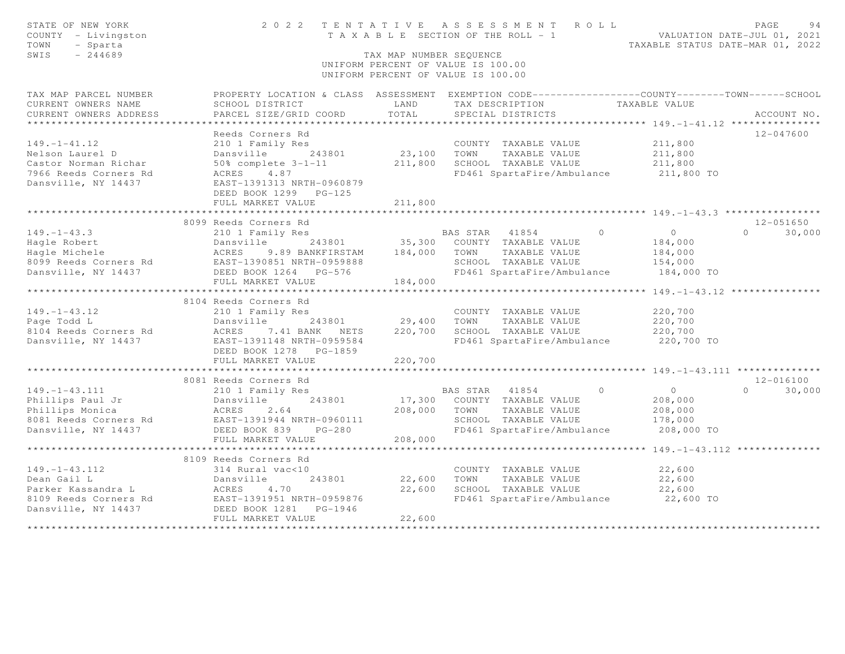| STATE OF NEW YORK<br>COUNTY - Livingston<br>TOWN<br>- Sparta<br>SWIS<br>$-244689$ | 2 0 2 2                                                                                         | TENTATIVE<br>TAX MAP NUMBER SEQUENCE | ASSESSMENT ROLL<br>T A X A B L E SECTION OF THE ROLL - 1<br>UNIFORM PERCENT OF VALUE IS 100.00<br>UNIFORM PERCENT OF VALUE IS 100.00 |                | VALUATION DATE-JUL 01, 2021                           | PAGE<br>94<br>TAXABLE STATUS DATE-MAR 01, 2022 |
|-----------------------------------------------------------------------------------|-------------------------------------------------------------------------------------------------|--------------------------------------|--------------------------------------------------------------------------------------------------------------------------------------|----------------|-------------------------------------------------------|------------------------------------------------|
| TAX MAP PARCEL NUMBER                                                             | PROPERTY LOCATION & CLASS ASSESSMENT EXEMPTION CODE---------------COUNTY-------TOWN------SCHOOL |                                      |                                                                                                                                      |                |                                                       |                                                |
| CURRENT OWNERS NAME                                                               | SCHOOL DISTRICT                                                                                 | LAND                                 | TAX DESCRIPTION                                                                                                                      |                | TAXABLE VALUE                                         |                                                |
| CURRENT OWNERS ADDRESS<br>*********************                                   | PARCEL SIZE/GRID COORD                                                                          | TOTAL                                | SPECIAL DISTRICTS                                                                                                                    |                |                                                       | ACCOUNT NO.                                    |
|                                                                                   |                                                                                                 |                                      |                                                                                                                                      |                |                                                       |                                                |
| $149. - 1 - 41.12$                                                                | Reeds Corners Rd                                                                                |                                      |                                                                                                                                      |                | 211,800                                               | $12 - 047600$                                  |
| Nelson Laurel D                                                                   | 210 1 Family Res<br>Dansville 243801                                                            | 23,100                               | COUNTY TAXABLE VALUE<br>TOWN                                                                                                         | TAXABLE VALUE  | 211,800                                               |                                                |
| Castor Norman Richar                                                              | $50\%$ complete $3-1-11$                                                                        | 211,800                              | SCHOOL TAXABLE VALUE                                                                                                                 |                | 211,800                                               |                                                |
| 7966 Reeds Corners Rd                                                             | ACRES 4.87                                                                                      |                                      | FD461 SpartaFire/Ambulance                                                                                                           |                | 211,800 TO                                            |                                                |
| Dansville, NY 14437                                                               | EAST-1391313 NRTH-0960879<br>DEED BOOK 1299 PG-125                                              |                                      |                                                                                                                                      |                |                                                       |                                                |
|                                                                                   | FULL MARKET VALUE                                                                               | 211,800                              |                                                                                                                                      |                |                                                       |                                                |
|                                                                                   |                                                                                                 |                                      |                                                                                                                                      |                |                                                       |                                                |
|                                                                                   | 8099 Reeds Corners Rd                                                                           |                                      |                                                                                                                                      |                |                                                       | 12-051650                                      |
| $149. - 1 - 43.3$                                                                 | 210 1 Family Res                                                                                |                                      | BAS STAR 41854                                                                                                                       | $\overline{0}$ | $\overline{0}$                                        | $\Omega$<br>30,000                             |
| Hagle Robert                                                                      | Dansville<br>243801                                                                             | 35,300                               | COUNTY TAXABLE VALUE                                                                                                                 |                | 184,000                                               |                                                |
| Hagle Michele                                                                     | 9.89 BANKFIRSTAM<br>ACRES<br>EAST-1390851 NRTH-0959888                                          | 184,000                              | TOWN                                                                                                                                 | TAXABLE VALUE  | 184,000                                               |                                                |
| 8099 Reeds Corners Rd                                                             | DEED BOOK 1264 PG-576                                                                           |                                      | SCHOOL TAXABLE VALUE<br>FD461 SpartaFire/Ambulance                                                                                   |                | 154,000<br>184,000 TO                                 |                                                |
| Dansville, NY 14437                                                               | FULL MARKET VALUE                                                                               | 184,000                              |                                                                                                                                      |                |                                                       |                                                |
|                                                                                   |                                                                                                 |                                      |                                                                                                                                      |                | ********** 149. -1-43. 12 ****************            |                                                |
|                                                                                   | 8104 Reeds Corners Rd                                                                           |                                      |                                                                                                                                      |                |                                                       |                                                |
| $149. - 1 - 43.12$                                                                | 210 1 Family Res                                                                                |                                      | COUNTY TAXABLE VALUE                                                                                                                 |                | 220,700                                               |                                                |
| Page Todd L                                                                       | Dansville<br>243801                                                                             | 29,400                               | TOWN                                                                                                                                 | TAXABLE VALUE  | 220,700                                               |                                                |
| 8104 Reeds Corners Rd                                                             | ACRES 7.41 BANK NETS                                                                            | 220,700                              | SCHOOL TAXABLE VALUE                                                                                                                 |                | 220,700                                               |                                                |
| Dansville, NY 14437                                                               | EAST-1391148 NRTH-0959584                                                                       |                                      | FD461 SpartaFire/Ambulance                                                                                                           |                | 220,700 TO                                            |                                                |
|                                                                                   | DEED BOOK 1278 PG-1859                                                                          |                                      |                                                                                                                                      |                |                                                       |                                                |
|                                                                                   | FULL MARKET VALUE                                                                               | 220,700                              |                                                                                                                                      |                |                                                       |                                                |
|                                                                                   | **************************                                                                      |                                      |                                                                                                                                      |                | ********************** 149. -1-43. 111 ************** |                                                |
|                                                                                   | 8081 Reeds Corners Rd                                                                           |                                      |                                                                                                                                      |                |                                                       | $12 - 016100$                                  |
| $149. - 1 - 43.111$                                                               | 210 1 Family Res                                                                                |                                      | BAS STAR 41854                                                                                                                       | $\overline{0}$ | $\overline{0}$                                        | $\Omega$<br>30,000                             |
| Phillips Paul Jr                                                                  | Dansville<br>243801                                                                             | 17,300                               | COUNTY TAXABLE VALUE                                                                                                                 |                | 208,000                                               |                                                |
| Phillips Monica                                                                   | ACRES<br>2.64                                                                                   | 208,000                              | TOWN                                                                                                                                 | TAXABLE VALUE  | 208,000                                               |                                                |
| 8081 Reeds Corners Rd                                                             | EAST-1391944 NRTH-0960111                                                                       |                                      | SCHOOL TAXABLE VALUE                                                                                                                 |                | 178,000                                               |                                                |
| Dansville, NY 14437                                                               | $PG-280$<br>DEED BOOK 839                                                                       |                                      | FD461 SpartaFire/Ambulance                                                                                                           |                | 208,000 TO                                            |                                                |
|                                                                                   | FULL MARKET VALUE                                                                               | 208,000                              |                                                                                                                                      |                |                                                       |                                                |
|                                                                                   | ************************                                                                        | ************                         |                                                                                                                                      |                | ****************** 149. -1-43. 112 ***************    |                                                |
|                                                                                   | 8109 Reeds Corners Rd                                                                           |                                      |                                                                                                                                      |                |                                                       |                                                |
| $149. - 1 - 43.112$                                                               | 314 Rural vac<10                                                                                |                                      | COUNTY TAXABLE VALUE                                                                                                                 |                | 22,600                                                |                                                |
| Dean Gail L<br>Parker Kassandra L                                                 | 243801<br>Dansville<br>Dansvi<br>ACRES<br>4.70                                                  | 22,600<br>22,600                     | TOWN<br>SCHOOL TAXABLE VALUE                                                                                                         | TAXABLE VALUE  | 22,600<br>22,600                                      |                                                |
| 8109 Reeds Corners Rd                                                             |                                                                                                 |                                      | FD461 SpartaFire/Ambulance                                                                                                           |                | 22,600 TO                                             |                                                |
| Dansville, NY 14437                                                               | EAST-1391951 NRTH-0959876<br>DEED BOOK 1281<br>PG-1946                                          |                                      |                                                                                                                                      |                |                                                       |                                                |
|                                                                                   | FULL MARKET VALUE                                                                               | 22,600                               |                                                                                                                                      |                |                                                       |                                                |
|                                                                                   |                                                                                                 |                                      |                                                                                                                                      |                |                                                       |                                                |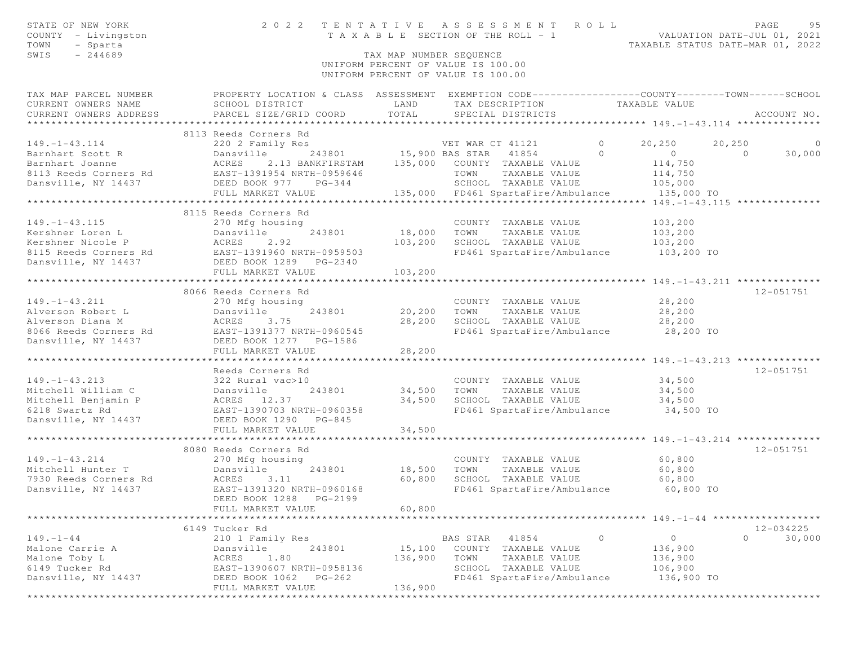| STATE OF NEW YORK<br>COUNTY - Livingston<br>TOWN<br>- Sparta<br>$-244689$<br>SWIS                                                                                                                            |                                                                                                  | TAX MAP NUMBER SEOUENCE | 2022 TENTATIVE ASSESSMENT ROLL<br>TENIAIIVE ASSESSMENT ACCEPT VALUATION DATE-JUL 01, 2021<br>TAXABLE SECTION OF THE ROLL - 1<br>TAXABLE STATUS DATE-MAR 01, 2022 |                |                                                                | PAGE          | 95             |
|--------------------------------------------------------------------------------------------------------------------------------------------------------------------------------------------------------------|--------------------------------------------------------------------------------------------------|-------------------------|------------------------------------------------------------------------------------------------------------------------------------------------------------------|----------------|----------------------------------------------------------------|---------------|----------------|
|                                                                                                                                                                                                              |                                                                                                  |                         | UNIFORM PERCENT OF VALUE IS 100.00                                                                                                                               |                |                                                                |               |                |
|                                                                                                                                                                                                              |                                                                                                  |                         | UNIFORM PERCENT OF VALUE IS 100.00                                                                                                                               |                |                                                                |               |                |
| TAX MAP PARCEL NUMBER                                                                                                                                                                                        | PROPERTY LOCATION & CLASS ASSESSMENT EXEMPTION CODE----------------COUNTY-------TOWN------SCHOOL |                         |                                                                                                                                                                  |                |                                                                |               |                |
| CURRENT OWNERS NAME                                                                                                                                                                                          | SCHOOL DISTRICT                                                                                  | LAND                    | TAX DESCRIPTION TAXABLE VALUE                                                                                                                                    |                |                                                                |               |                |
| CURRENT OWNERS ADDRESS                                                                                                                                                                                       | PARCEL SIZE/GRID COORD                                                                           | TOTAL                   | SPECIAL DISTRICTS                                                                                                                                                |                |                                                                | ACCOUNT NO.   |                |
|                                                                                                                                                                                                              | 8113 Reeds Corners Rd                                                                            |                         |                                                                                                                                                                  |                |                                                                |               |                |
|                                                                                                                                                                                                              |                                                                                                  |                         |                                                                                                                                                                  | $\sim$ 0       | 20,250                                                         | 20,250        | $\overline{0}$ |
|                                                                                                                                                                                                              |                                                                                                  |                         |                                                                                                                                                                  | $\overline{0}$ | $\overline{0}$                                                 | $\sim$ 0      | 30,000         |
|                                                                                                                                                                                                              |                                                                                                  |                         |                                                                                                                                                                  |                | 114,750                                                        |               |                |
|                                                                                                                                                                                                              |                                                                                                  |                         | TOWN TAXABLE VALUE                                                                                                                                               |                | 114,750<br>105,000                                             |               |                |
|                                                                                                                                                                                                              |                                                                                                  |                         | SCHOOL TAXABLE VALUE                                                                                                                                             |                |                                                                |               |                |
|                                                                                                                                                                                                              | FULL MARKET VALUE                                                                                |                         | 135,000 FD461 SpartaFire/Ambulance 135,000 TO                                                                                                                    |                |                                                                |               |                |
|                                                                                                                                                                                                              | 8115 Reeds Corners Rd                                                                            |                         |                                                                                                                                                                  |                |                                                                |               |                |
| $149. - 1 - 43.115$                                                                                                                                                                                          | 270 Mfg housing                                                                                  |                         | COUNTY TAXABLE VALUE                                                                                                                                             |                | 103,200                                                        |               |                |
|                                                                                                                                                                                                              |                                                                                                  | 18,000                  | TAXABLE VALUE<br>TOWN                                                                                                                                            |                | 103,200                                                        |               |                |
|                                                                                                                                                                                                              |                                                                                                  | 103,200                 | SCHOOL TAXABLE VALUE                                                                                                                                             |                | 103,200                                                        |               |                |
|                                                                                                                                                                                                              |                                                                                                  |                         | FD461 SpartaFire/Ambulance 103,200 TO                                                                                                                            |                |                                                                |               |                |
| Extra Service Density<br>Extra Service P<br>Extra Service P<br>Sanctive P<br>Sanctive P<br>Sanctive P<br>EXST-1391960 NRTH-0959503<br>Dansville, NY 14437<br>DEED BOOK 1289<br>PG-2340<br>PG-2340<br>PG-2340 |                                                                                                  |                         |                                                                                                                                                                  |                |                                                                |               |                |
|                                                                                                                                                                                                              | FULL MARKET VALUE                                                                                | 103,200                 |                                                                                                                                                                  |                |                                                                |               |                |
|                                                                                                                                                                                                              | 8066 Reeds Corners Rd                                                                            |                         |                                                                                                                                                                  |                |                                                                | 12-051751     |                |
| $149. - 1 - 43.211$                                                                                                                                                                                          |                                                                                                  |                         | COUNTY TAXABLE VALUE                                                                                                                                             |                | 28,200                                                         |               |                |
|                                                                                                                                                                                                              |                                                                                                  | 20,200                  | TAXABLE VALUE<br>TOWN                                                                                                                                            |                | 28,200                                                         |               |                |
|                                                                                                                                                                                                              |                                                                                                  | 28,200                  |                                                                                                                                                                  |                |                                                                |               |                |
|                                                                                                                                                                                                              |                                                                                                  |                         |                                                                                                                                                                  |                |                                                                |               |                |
| 149.-1-43.211 270 Mfg housing<br>Alverson Robert L Dansville 243801<br>Alverson Diana M ACRES 3.75<br>8066 Reeds Corners Rd EAST-1391377 NRTH-0960545<br>Dansville, NY 14437 DEED BOOK 1277 PG-1586          |                                                                                                  |                         |                                                                                                                                                                  |                |                                                                |               |                |
|                                                                                                                                                                                                              | FULL MARKET VALUE<br>**************************                                                  | 28,200<br>**********    |                                                                                                                                                                  |                | ****************************** 149. -1-43. 213 *************** |               |                |
|                                                                                                                                                                                                              | Reeds Corners Rd                                                                                 |                         |                                                                                                                                                                  |                |                                                                | 12-051751     |                |
| $149. - 1 - 43.213$                                                                                                                                                                                          | 322 Rural vac>10                                                                                 |                         | COUNTY TAXABLE VALUE                                                                                                                                             |                | 34,500                                                         |               |                |
|                                                                                                                                                                                                              | 243801                                                                                           | 34,500                  | TOWN<br>TAXABLE VALUE                                                                                                                                            |                | 34,500                                                         |               |                |
|                                                                                                                                                                                                              |                                                                                                  | 34,500                  | SCHOOL TAXABLE VALUE 34,500                                                                                                                                      |                |                                                                |               |                |
|                                                                                                                                                                                                              | EAST-1390703 NRTH-0960358                                                                        |                         | FD461 SpartaFire/Ambulance 34,500 TO                                                                                                                             |                |                                                                |               |                |
| Mitchell William C 143801<br>Mitchell Benjamin P 12.37<br>6218 Swartz Rd EAST-1390703 NRTH-096035<br>Dansville, NY 14437 DEED BOOK 1290 PG-845                                                               |                                                                                                  |                         |                                                                                                                                                                  |                |                                                                |               |                |
|                                                                                                                                                                                                              | FULL MARKET VALUE                                                                                | 34,500                  |                                                                                                                                                                  |                |                                                                |               |                |
|                                                                                                                                                                                                              | 8080 Reeds Corners Rd                                                                            |                         |                                                                                                                                                                  |                |                                                                | $12 - 051751$ |                |
| $149. - 1 - 43.214$                                                                                                                                                                                          | 270 Mfg housing                                                                                  |                         | COUNTY TAXABLE VALUE                                                                                                                                             |                | 60,800                                                         |               |                |
|                                                                                                                                                                                                              |                                                                                                  | 243801 18,500           | TOWN<br>TAXABLE VALUE                                                                                                                                            |                | 60,800                                                         |               |                |
| Mitchell Hunter T<br>7930 Reeds Corners Rd 1930 Reeds Corners Rd 1930 Reeds Corners Rd 1930 Reeds 2011                                                                                                       |                                                                                                  | 60,800                  | SCHOOL TAXABLE VALUE                                                                                                                                             |                | 60,800                                                         |               |                |
| Dansville, NY 14437                                                                                                                                                                                          | EAST-1391320 NRTH-0960168                                                                        |                         | FD461 SpartaFire/Ambulance 60,800 TO                                                                                                                             |                |                                                                |               |                |
|                                                                                                                                                                                                              | DEED BOOK 1288 PG-2199                                                                           |                         |                                                                                                                                                                  |                |                                                                |               |                |
|                                                                                                                                                                                                              | FULL MARKET VALUE                                                                                | 60,800                  |                                                                                                                                                                  |                |                                                                |               |                |
|                                                                                                                                                                                                              |                                                                                                  |                         |                                                                                                                                                                  |                |                                                                |               |                |
|                                                                                                                                                                                                              | 6149 Tucker Rd                                                                                   |                         |                                                                                                                                                                  |                |                                                                | 12-034225     |                |
| $149. - 1 - 44$<br>Malone Carrie A                                                                                                                                                                           | 210 1 Family Res<br>Dansville<br>243801                                                          | 15,100                  | BAS STAR<br>41854<br>COUNTY<br>TAXABLE VALUE                                                                                                                     | $\circ$        | 0<br>136,900                                                   | $\circ$       | 30,000         |
| Malone Toby L                                                                                                                                                                                                | 1.80<br>ACRES                                                                                    | 136,900                 | TOWN<br>TAXABLE VALUE                                                                                                                                            |                | 136,900                                                        |               |                |
| 6149 Tucker Rd                                                                                                                                                                                               | EAST-1390607 NRTH-0958136                                                                        |                         | SCHOOL<br>TAXABLE VALUE                                                                                                                                          |                | 106,900                                                        |               |                |
| Dansville, NY 14437                                                                                                                                                                                          | DEED BOOK 1062<br>$PG-262$                                                                       |                         | FD461 SpartaFire/Ambulance                                                                                                                                       |                | 136,900 TO                                                     |               |                |
|                                                                                                                                                                                                              | FULL MARKET VALUE                                                                                | 136,900                 |                                                                                                                                                                  |                |                                                                |               |                |
|                                                                                                                                                                                                              |                                                                                                  |                         | **********************                                                                                                                                           |                | *********************************                              |               |                |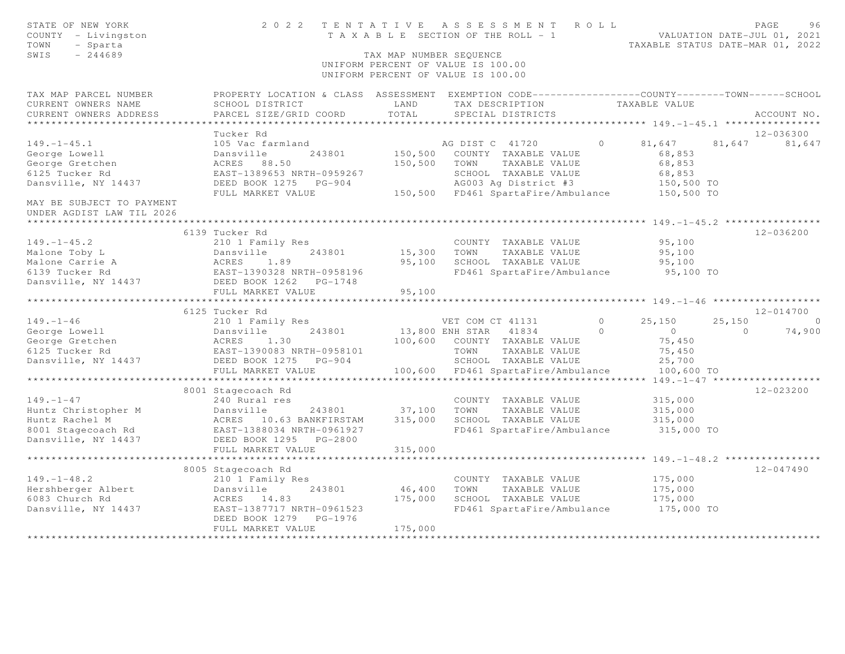| STATE OF NEW YORK<br>COUNTY - Livingston<br>- Sparta<br>TOWN<br>$-244689$<br>SWIS |                                                                                                                    | TAX MAP NUMBER SEQUENCE | 2022 TENTATIVE ASSESSMENT ROLL<br>T A X A B L E SECTION OF THE ROLL - 1<br>UNIFORM PERCENT OF VALUE IS 100.00<br>UNIFORM PERCENT OF VALUE IS 100.00 |            | TAXABLE STATUS DATE-MAR 01, 2022           |          | PAGE<br>96<br>VALUATION DATE-JUL 01, 2021 |
|-----------------------------------------------------------------------------------|--------------------------------------------------------------------------------------------------------------------|-------------------------|-----------------------------------------------------------------------------------------------------------------------------------------------------|------------|--------------------------------------------|----------|-------------------------------------------|
| TAX MAP PARCEL NUMBER<br>CURRENT OWNERS NAME                                      | PROPERTY LOCATION & CLASS ASSESSMENT EXEMPTION CODE----------------COUNTY-------TOWN-----SCHOOL<br>SCHOOL DISTRICT | LAND                    | TAX DESCRIPTION                                                                                                                                     |            | TAXABLE VALUE                              |          |                                           |
| CURRENT OWNERS ADDRESS                                                            | PARCEL SIZE/GRID COORD                                                                                             | TOTAL                   | SPECIAL DISTRICTS                                                                                                                                   |            |                                            |          | ACCOUNT NO.                               |
|                                                                                   |                                                                                                                    |                         |                                                                                                                                                     |            |                                            |          |                                           |
|                                                                                   | Tucker Rd                                                                                                          |                         |                                                                                                                                                     |            |                                            |          | 12-036300                                 |
| $149. - 1 - 45.1$                                                                 | 105 Vac farmland                                                                                                   |                         | AG DIST C 41720                                                                                                                                     | $\Omega$   | 81,647                                     |          | 81,647 81,647                             |
| George Lowell                                                                     | Dansville<br>243801                                                                                                | 150,500                 | COUNTY TAXABLE VALUE                                                                                                                                |            | 68,853                                     |          |                                           |
| George Gretchen                                                                   | ACRES 88.50                                                                                                        | 150,500                 | TOWN<br>TAXABLE VALUE                                                                                                                               |            | 68,853                                     |          |                                           |
| 6125 Tucker Rd                                                                    | EAST-1389653 NRTH-0959267                                                                                          |                         | SCHOOL TAXABLE VALUE                                                                                                                                |            | 68,853                                     |          |                                           |
| Dansville, NY 14437                                                               | DEED BOOK 1275 PG-904                                                                                              |                         | AG003 Ag District #3                                                                                                                                |            | 150,500 TO                                 |          |                                           |
| MAY BE SUBJECT TO PAYMENT                                                         | FULL MARKET VALUE                                                                                                  |                         | 150,500 FD461 SpartaFire/Ambulance 150,500 TO                                                                                                       |            |                                            |          |                                           |
| UNDER AGDIST LAW TIL 2026                                                         |                                                                                                                    |                         |                                                                                                                                                     |            | *********** 149. -1-45.2 ***************** |          |                                           |
|                                                                                   | 6139 Tucker Rd                                                                                                     |                         |                                                                                                                                                     |            |                                            |          | 12-036200                                 |
| $149. - 1 - 45.2$                                                                 | 210 1 Family Res                                                                                                   |                         | COUNTY TAXABLE VALUE                                                                                                                                |            | 95,100                                     |          |                                           |
| Malone Toby L                                                                     | Dansville<br>243801                                                                                                | 15,300                  | TOWN<br>TAXABLE VALUE                                                                                                                               |            | 95,100                                     |          |                                           |
| Malone Carrie A                                                                   | ACRES 1.89                                                                                                         | 95,100                  | SCHOOL TAXABLE VALUE                                                                                                                                |            | 95,100                                     |          |                                           |
| 6139 Tucker Rd                                                                    | EAST-1390328 NRTH-0958196                                                                                          |                         | FD461 SpartaFire/Ambulance                                                                                                                          |            | 95,100 TO                                  |          |                                           |
| Dansville, NY 14437                                                               | DEED BOOK 1262<br>PG-1748                                                                                          |                         |                                                                                                                                                     |            |                                            |          |                                           |
|                                                                                   | FULL MARKET VALUE                                                                                                  | 95,100                  |                                                                                                                                                     |            |                                            |          |                                           |
|                                                                                   | * * * * * * * * * * * * * * * * * *                                                                                |                         | ******************************** 149. -1 -46 ******************                                                                                     |            |                                            |          |                                           |
|                                                                                   | 6125 Tucker Rd                                                                                                     |                         |                                                                                                                                                     |            |                                            |          | 12-014700                                 |
| $149. - 1 - 46$                                                                   | 210 1 Family Res                                                                                                   |                         | VET COM CT 41131                                                                                                                                    | $\circ$    | 25.150                                     | 25,150   | $\bigcirc$                                |
| George Lowell                                                                     | 243801<br>Dansville                                                                                                |                         | 13,800 ENH STAR 41834                                                                                                                               | $\bigcirc$ | $\overline{0}$                             | $\Omega$ | 74,900                                    |
| George Gretchen                                                                   | ACRES 1.30                                                                                                         |                         | 100,600 COUNTY TAXABLE VALUE                                                                                                                        |            | 75,450                                     |          |                                           |
| 6125 Tucker Rd<br>Dansville, NY 14437                                             | EAST-1390083 NRTH-0958101                                                                                          |                         | TOWN<br>TAXABLE VALUE                                                                                                                               |            | 75,450                                     |          |                                           |
|                                                                                   | DEED BOOK 1275 PG-904<br>FULL MARKET VALUE                                                                         |                         | SCHOOL TAXABLE VALUE<br>100,600 FD461 SpartaFire/Ambulance                                                                                          |            | 25,700<br>100,600 TO                       |          |                                           |
|                                                                                   | *******************                                                                                                |                         |                                                                                                                                                     |            | $149, -1 - 47$ *******************         |          |                                           |
|                                                                                   | 8001 Stagecoach Rd                                                                                                 |                         |                                                                                                                                                     |            |                                            |          | 12-023200                                 |
| $149. - 1 - 47$                                                                   | 240 Rural res                                                                                                      |                         | COUNTY TAXABLE VALUE                                                                                                                                |            | 315,000                                    |          |                                           |
| Huntz Christopher M                                                               | Dansville<br>243801                                                                                                | 37,100                  | TOWN<br>TAXABLE VALUE                                                                                                                               |            | 315,000                                    |          |                                           |
| Huntz Rachel M                                                                    | ACRES 10.63 BANKFIRSTAM                                                                                            | 315,000                 | SCHOOL TAXABLE VALUE                                                                                                                                |            | 315,000                                    |          |                                           |
| 8001 Stagecoach Rd                                                                | EAST-1388034 NRTH-0961927                                                                                          |                         | FD461 SpartaFire/Ambulance                                                                                                                          |            | 315,000 TO                                 |          |                                           |
| Dansville, NY 14437                                                               | DEED BOOK 1295 PG-2800                                                                                             |                         |                                                                                                                                                     |            |                                            |          |                                           |
|                                                                                   | FULL MARKET VALUE                                                                                                  | 315,000                 |                                                                                                                                                     |            |                                            |          |                                           |
|                                                                                   |                                                                                                                    |                         |                                                                                                                                                     |            |                                            |          |                                           |
|                                                                                   | 8005 Stagecoach Rd                                                                                                 |                         |                                                                                                                                                     |            |                                            |          | $12 - 047490$                             |
| $149. - 1 - 48.2$                                                                 | 210 1 Family Res                                                                                                   |                         | COUNTY TAXABLE VALUE                                                                                                                                |            | 175,000                                    |          |                                           |
| Hershberger Albert                                                                | Dansville<br>243801                                                                                                | 46,400                  | TOWN<br>TAXABLE VALUE                                                                                                                               |            | 175,000                                    |          |                                           |
| 6083 Church Rd                                                                    | ACRES 14.83                                                                                                        | 175,000                 | SCHOOL TAXABLE VALUE                                                                                                                                |            | 175,000                                    |          |                                           |
| Dansville, NY 14437                                                               | EAST-1387717 NRTH-0961523<br>DEED BOOK 1279<br>PG-1976                                                             |                         | FD461 SpartaFire/Ambulance                                                                                                                          |            | 175,000 TO                                 |          |                                           |
|                                                                                   | FULL MARKET VALUE                                                                                                  | 175,000                 |                                                                                                                                                     |            |                                            |          |                                           |
|                                                                                   |                                                                                                                    |                         |                                                                                                                                                     |            |                                            |          |                                           |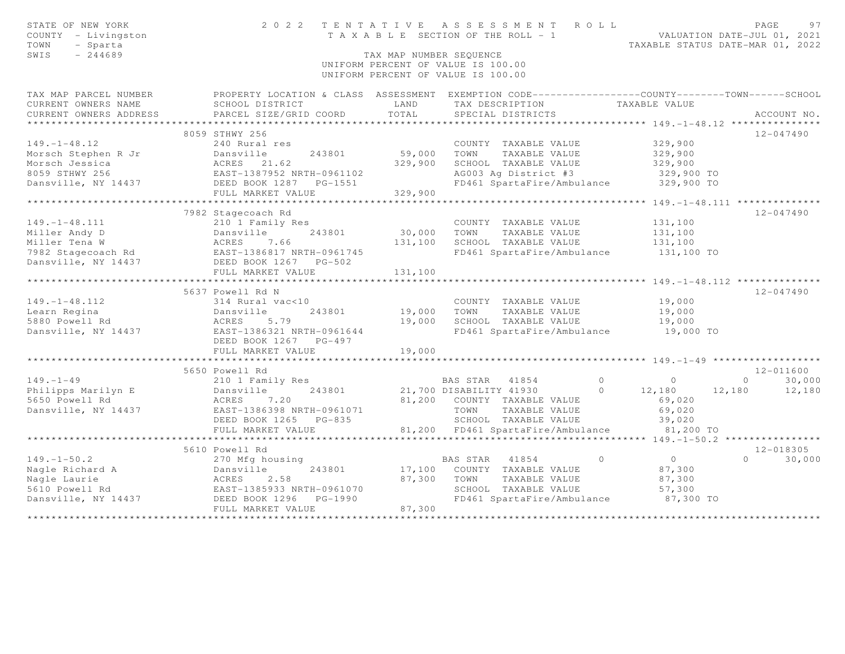| STATE OF NEW YORK<br>COUNTY - Livingston<br>- Sparta<br>TOWN<br>SWIS<br>$-244689$ |                                                                                                   | TAX MAP NUMBER SEOUENCE | 2022 TENTATIVE ASSESSMENT ROLL<br>T A X A B L E SECTION OF THE ROLL - 1<br>UNIFORM PERCENT OF VALUE IS 100.00 |               | VALUATION DATE-JUL 01, 2021<br>TAXABLE STATUS DATE-MAR 01, 2022 | PAGE     | 97                  |
|-----------------------------------------------------------------------------------|---------------------------------------------------------------------------------------------------|-------------------------|---------------------------------------------------------------------------------------------------------------|---------------|-----------------------------------------------------------------|----------|---------------------|
|                                                                                   |                                                                                                   |                         | UNIFORM PERCENT OF VALUE IS 100.00                                                                            |               |                                                                 |          |                     |
| TAX MAP PARCEL NUMBER                                                             | PROPERTY LOCATION & CLASS ASSESSMENT EXEMPTION CODE-----------------COUNTY-------TOWN------SCHOOL |                         |                                                                                                               |               |                                                                 |          |                     |
| CURRENT OWNERS NAME                                                               | SCHOOL DISTRICT                                                                                   | LAND                    | TAX DESCRIPTION                                                                                               | TAXABLE VALUE |                                                                 |          |                     |
| CURRENT OWNERS ADDRESS                                                            | PARCEL SIZE/GRID COORD                                                                            | TOTAL                   | SPECIAL DISTRICTS                                                                                             |               |                                                                 |          | ACCOUNT NO.         |
|                                                                                   |                                                                                                   |                         |                                                                                                               |               |                                                                 |          |                     |
|                                                                                   | 8059 STHWY 256                                                                                    |                         |                                                                                                               |               |                                                                 |          | $12 - 047490$       |
| $149. - 1 - 48.12$                                                                | 240 Rural res                                                                                     |                         | COUNTY TAXABLE VALUE                                                                                          |               | 329,900                                                         |          |                     |
| Morsch Stephen R Jr<br>Morsch Jessica                                             | Dansville<br>243801<br>ACRES 21.62                                                                | 59,000<br>329,900       | TOWN<br>TAXABLE VALUE<br>SCHOOL TAXABLE VALUE                                                                 |               | 329,900<br>329,900                                              |          |                     |
| 8059 STHWY 256                                                                    |                                                                                                   |                         | AG003 Ag District #3                                                                                          |               | 329,900 TO                                                      |          |                     |
| Dansville, NY 14437                                                               | EAST-1387952 NRTH-0961102<br>DEED BOOK 1287 PG-1551                                               |                         | FD461 SpartaFire/Ambulance                                                                                    |               | 329,900 TO                                                      |          |                     |
|                                                                                   | FULL MARKET VALUE                                                                                 | 329,900                 |                                                                                                               |               |                                                                 |          |                     |
|                                                                                   |                                                                                                   |                         |                                                                                                               |               |                                                                 |          |                     |
|                                                                                   | 7982 Stagecoach Rd                                                                                |                         |                                                                                                               |               |                                                                 |          | $12 - 047490$       |
| $149. - 1 - 48.111$                                                               | 210 1 Family Res                                                                                  |                         | COUNTY TAXABLE VALUE                                                                                          |               | 131,100                                                         |          |                     |
| Miller Andy D                                                                     |                                                                                                   | 30,000                  | TOWN<br>TAXABLE VALUE                                                                                         |               | 131,100                                                         |          |                     |
| Miller Tena W                                                                     |                                                                                                   | 131,100                 | SCHOOL TAXABLE VALUE                                                                                          |               | 131,100                                                         |          |                     |
| 7982 Stagecoach Rd                                                                | Dansville 230001<br>ACRES 7.66<br>EAST-1386817 NRTH-0961745                                       |                         | FD461 SpartaFire/Ambulance                                                                                    |               | 131,100 TO                                                      |          |                     |
| Dansville, NY 14437                                                               | DEED BOOK 1267 PG-502                                                                             |                         |                                                                                                               |               |                                                                 |          |                     |
|                                                                                   | FULL MARKET VALUE<br>***********************                                                      | 131,100<br>********     |                                                                                                               |               |                                                                 |          |                     |
|                                                                                   |                                                                                                   |                         |                                                                                                               |               | ********** 149. -1-48. 112 ***************                      |          |                     |
| $149. - 1 - 48.112$                                                               | 5637 Powell Rd N                                                                                  |                         |                                                                                                               |               |                                                                 |          | $12 - 047490$       |
| Learn Regina                                                                      | 314 Rural vac<10<br>Dansville<br>243801                                                           | 19,000                  | COUNTY TAXABLE VALUE<br>TAXABLE VALUE<br>TOWN                                                                 |               | 19,000<br>19,000                                                |          |                     |
| 5880 Powell Rd                                                                    | ACRES<br>5.79                                                                                     | 19,000                  | SCHOOL TAXABLE VALUE                                                                                          |               | 19,000                                                          |          |                     |
| Dansville, NY 14437                                                               | EAST-1386321 NRTH-0961644                                                                         |                         | FD461 SpartaFire/Ambulance                                                                                    |               | 19,000 TO                                                       |          |                     |
|                                                                                   | DEED BOOK 1267 PG-497                                                                             |                         |                                                                                                               |               |                                                                 |          |                     |
|                                                                                   | FULL MARKET VALUE                                                                                 | 19,000                  |                                                                                                               |               |                                                                 |          |                     |
|                                                                                   | ************************                                                                          |                         |                                                                                                               |               |                                                                 |          |                     |
|                                                                                   | 5650 Powell Rd                                                                                    |                         |                                                                                                               |               |                                                                 |          | 12-011600           |
| $149. - 1 - 49$                                                                   | 210 1 Family Res                                                                                  |                         | BAS STAR 41854                                                                                                | $\Omega$      | $\circ$                                                         | $\Omega$ | 30,000              |
| Philipps Marilyn E                                                                | 243801<br>Dansville                                                                               |                         | 21,700 DISABILITY 41930                                                                                       | $\Omega$      | 12,180                                                          | 12,180   | 12,180              |
| 5650 Powell Rd                                                                    | ACRES<br>7.20                                                                                     |                         | 81,200 COUNTY TAXABLE VALUE                                                                                   |               | 69,020                                                          |          |                     |
| Dansville, NY 14437                                                               | EAST-1386398 NRTH-0961071                                                                         |                         | TOWN<br>TAXABLE VALUE                                                                                         |               | 69,020                                                          |          |                     |
|                                                                                   | DEED BOOK 1265<br>PG-835                                                                          |                         | SCHOOL TAXABLE VALUE                                                                                          |               | 39,020                                                          |          |                     |
|                                                                                   | FULL MARKET VALUE<br>********************                                                         |                         | 81,200 FD461 SpartaFire/Ambulance                                                                             |               | 81,200 TO                                                       |          |                     |
|                                                                                   |                                                                                                   |                         |                                                                                                               |               | ******** 149. -1-50.2 ****************                          |          |                     |
| $149. - 1 - 50.2$                                                                 | 5610 Powell Rd<br>270 Mfg housing                                                                 |                         | BAS STAR 41854                                                                                                | $\circ$       | $\overline{0}$                                                  | $\Omega$ | 12-018305<br>30,000 |
| Nagle Richard A                                                                   | 243801<br>Dansville                                                                               | 17,100                  | COUNTY TAXABLE VALUE                                                                                          |               | 87,300                                                          |          |                     |
| Nagle Laurie                                                                      | 2.58<br>ACRES                                                                                     | 87,300                  | TOWN<br>TAXABLE VALUE                                                                                         |               | 87,300                                                          |          |                     |
| 5610 Powell Rd                                                                    |                                                                                                   |                         | SCHOOL TAXABLE VALUE                                                                                          |               | 57,300                                                          |          |                     |
| Dansville, NY 14437                                                               | EAST-1385933 NRTH-0961070<br>DEED BOOK 1296 PG-1990                                               |                         | FD461 SpartaFire/Ambulance                                                                                    |               | 87,300 TO                                                       |          |                     |
|                                                                                   | FULL MARKET VALUE                                                                                 | 87,300                  |                                                                                                               |               |                                                                 |          |                     |
|                                                                                   |                                                                                                   |                         |                                                                                                               |               |                                                                 |          |                     |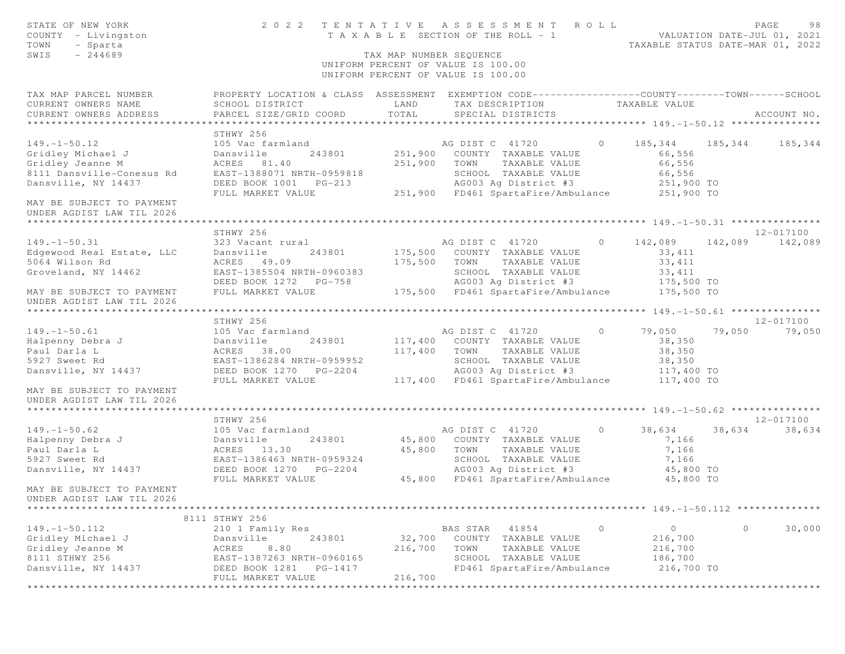| STATE OF NEW YORK<br>COUNTY - Livingston<br>TOWN<br>- Sparta<br>$-244689$<br>SWIS |                                                                                                                                              | TAX MAP NUMBER SEOUENCE | 2022 TENTATIVE ASSESSMENT ROLL<br>T A X A B L E SECTION OF THE ROLL - 1<br>UNIFORM PERCENT OF VALUE IS 100.00<br>UNIFORM PERCENT OF VALUE IS 100.00 |         | TAXABLE STATUS DATE-MAR 01, 2022 |         | PAGE<br>98<br>VALUATION DATE-JUL 01, 2021 |
|-----------------------------------------------------------------------------------|----------------------------------------------------------------------------------------------------------------------------------------------|-------------------------|-----------------------------------------------------------------------------------------------------------------------------------------------------|---------|----------------------------------|---------|-------------------------------------------|
| TAX MAP PARCEL NUMBER<br>CURRENT OWNERS NAME<br>CURRENT OWNERS ADDRESS            | PROPERTY LOCATION & CLASS ASSESSMENT EXEMPTION CODE---------------COUNTY-------TOWN------SCHOOL<br>SCHOOL DISTRICT<br>PARCEL SIZE/GRID COORD | LAND<br>TOTAL           | TAX DESCRIPTION<br>SPECIAL DISTRICTS                                                                                                                |         | TAXABLE VALUE                    |         | ACCOUNT NO.                               |
|                                                                                   |                                                                                                                                              |                         |                                                                                                                                                     |         |                                  |         |                                           |
|                                                                                   | STHWY 256                                                                                                                                    |                         |                                                                                                                                                     |         |                                  |         |                                           |
| $149. - 1 - 50.12$                                                                | 105 Vac farmland                                                                                                                             |                         | AG DIST C 41720                                                                                                                                     | $\circ$ | 185,344                          | 185,344 | 185,344                                   |
| Gridley Michael J                                                                 | Dansville<br>243801                                                                                                                          | 251,900                 | COUNTY TAXABLE VALUE                                                                                                                                |         | 66,556                           |         |                                           |
| Gridley Jeanne M                                                                  | ACRES 81.40                                                                                                                                  | 251,900                 | TOWN<br>TAXABLE VALUE                                                                                                                               |         | 66,556                           |         |                                           |
| 8111 Dansville-Conesus Rd                                                         | EAST-1388071 NRTH-0959818                                                                                                                    |                         | SCHOOL TAXABLE VALUE                                                                                                                                |         | 66,556                           |         |                                           |
| Dansville, NY 14437                                                               | DEED BOOK 1001 PG-213                                                                                                                        |                         | AG003 Aq District #3<br>251,900 FD461 SpartaFire/Ambulance 251,900 TO                                                                               |         | 251,900 TO                       |         |                                           |
| MAY BE SUBJECT TO PAYMENT                                                         | FULL MARKET VALUE                                                                                                                            |                         |                                                                                                                                                     |         |                                  |         |                                           |
| UNDER AGDIST LAW TIL 2026                                                         |                                                                                                                                              |                         |                                                                                                                                                     |         |                                  |         |                                           |
|                                                                                   | STHWY 256                                                                                                                                    |                         |                                                                                                                                                     |         |                                  |         | 12-017100                                 |
| $149. - 1 - 50.31$                                                                | 323 Vacant rural                                                                                                                             |                         | AG DIST C 41720                                                                                                                                     | $\circ$ | 142,089                          |         | 142,089 142,089                           |
| Edgewood Real Estate, LLC                                                         | Dansville<br>243801                                                                                                                          | 175,500                 | COUNTY TAXABLE VALUE                                                                                                                                |         | 33, 411                          |         |                                           |
| 5064 Wilson Rd                                                                    | ACRES 49.09                                                                                                                                  | 175,500                 | TAXABLE VALUE<br>TOWN                                                                                                                               |         | 33, 411                          |         |                                           |
| Groveland, NY 14462                                                               | EAST-1385504 NRTH-0960383                                                                                                                    |                         | SCHOOL TAXABLE VALUE                                                                                                                                |         | 33,411                           |         |                                           |
|                                                                                   | DEED BOOK 1272 PG-758                                                                                                                        |                         | AG003 Ag District #3                                                                                                                                |         | 175,500 TO                       |         |                                           |
| MAY BE SUBJECT TO PAYMENT<br>UNDER AGDIST LAW TIL 2026                            | FULL MARKET VALUE                                                                                                                            |                         | 175,500 FD461 SpartaFire/Ambulance                                                                                                                  |         | $175,500$ TO                     |         |                                           |
|                                                                                   |                                                                                                                                              |                         |                                                                                                                                                     |         |                                  |         |                                           |
|                                                                                   | STHWY 256                                                                                                                                    |                         |                                                                                                                                                     |         |                                  |         | 12-017100                                 |
| $149. - 1 - 50.61$                                                                | 105 Vac farmland                                                                                                                             |                         | AG DIST C 41720                                                                                                                                     | $\circ$ | 79,050                           | 79,050  | 79,050                                    |
| Halpenny Debra J                                                                  | 243801<br>Dansville                                                                                                                          | 117,400                 | COUNTY TAXABLE VALUE                                                                                                                                |         | 38,350                           |         |                                           |
| Paul Darla L                                                                      | ACRES 38.00                                                                                                                                  | 117,400                 | TOWN<br>TAXABLE VALUE                                                                                                                               |         | 38,350                           |         |                                           |
| 5927 Sweet Rd                                                                     | EAST-1386284 NRTH-0959952                                                                                                                    |                         | SCHOOL TAXABLE VALUE                                                                                                                                |         | 38,350                           |         |                                           |
| Dansville, NY 14437                                                               | DEED BOOK 1270 PG-2204<br>FULL MARKET VALUE                                                                                                  |                         | AG003 Ag District #3<br>117,400 FD461 SpartaFire/Ambulance 117,400 TO                                                                               |         | 117,400 TO                       |         |                                           |
| MAY BE SUBJECT TO PAYMENT                                                         |                                                                                                                                              |                         |                                                                                                                                                     |         |                                  |         |                                           |
| UNDER AGDIST LAW TIL 2026                                                         |                                                                                                                                              |                         |                                                                                                                                                     |         |                                  |         |                                           |
|                                                                                   |                                                                                                                                              |                         |                                                                                                                                                     |         |                                  |         |                                           |
|                                                                                   | STHWY 256                                                                                                                                    |                         |                                                                                                                                                     |         |                                  |         | 12-017100                                 |
| $149. - 1 - 50.62$                                                                | 105 Vac farmland                                                                                                                             |                         | AG DIST C 41720                                                                                                                                     | $\circ$ | 38,634                           | 38,634  | 38,634                                    |
| Halpenny Debra J                                                                  | Dansville<br>243801                                                                                                                          |                         | 45,800 COUNTY TAXABLE VALUE                                                                                                                         |         | 7,166                            |         |                                           |
| Paul Darla L                                                                      | ACRES 13.30                                                                                                                                  | 45,800                  | TOWN<br>TAXABLE VALUE                                                                                                                               |         | 7,166                            |         |                                           |
| 5927 Sweet Rd                                                                     | EAST-1386463 NRTH-0959324                                                                                                                    |                         | SCHOOL TAXABLE VALUE                                                                                                                                |         | 7,166                            |         |                                           |
| Dansville, NY 14437                                                               | DEED BOOK 1270 PG-2204                                                                                                                       |                         | AG003 Ag District #3                                                                                                                                |         | 45,800 TO                        |         |                                           |
| MAY BE SUBJECT TO PAYMENT                                                         | FULL MARKET VALUE                                                                                                                            |                         | 45,800 FD461 SpartaFire/Ambulance                                                                                                                   |         | 45,800 TO                        |         |                                           |
| UNDER AGDIST LAW TIL 2026                                                         |                                                                                                                                              |                         |                                                                                                                                                     |         |                                  |         |                                           |
|                                                                                   | 8111 STHWY 256                                                                                                                               |                         |                                                                                                                                                     |         |                                  |         |                                           |
| $149. - 1 - 50.112$                                                               | 210 1 Family Res                                                                                                                             |                         | BAS STAR<br>41854                                                                                                                                   | $\circ$ | $\circ$                          | $\circ$ | 30,000                                    |
| Gridley Michael J                                                                 | 243801<br>Dansville                                                                                                                          | 32,700                  | COUNTY TAXABLE VALUE                                                                                                                                |         | 216,700                          |         |                                           |
| Gridley Jeanne M                                                                  | 8.80<br>ACRES                                                                                                                                | 216,700                 | TOWN<br>TAXABLE VALUE                                                                                                                               |         | 216,700                          |         |                                           |
| 8111 STHWY 256                                                                    | EAST-1387263 NRTH-0960165                                                                                                                    |                         | SCHOOL TAXABLE VALUE                                                                                                                                |         | 186,700                          |         |                                           |
| Dansville, NY 14437                                                               | DEED BOOK 1281<br>PG-1417<br>FULL MARKET VALUE                                                                                               | 216,700                 | FD461 SpartaFire/Ambulance                                                                                                                          |         | 216,700 TO                       |         |                                           |
|                                                                                   |                                                                                                                                              |                         | **********************                                                                                                                              |         | ******************************** |         |                                           |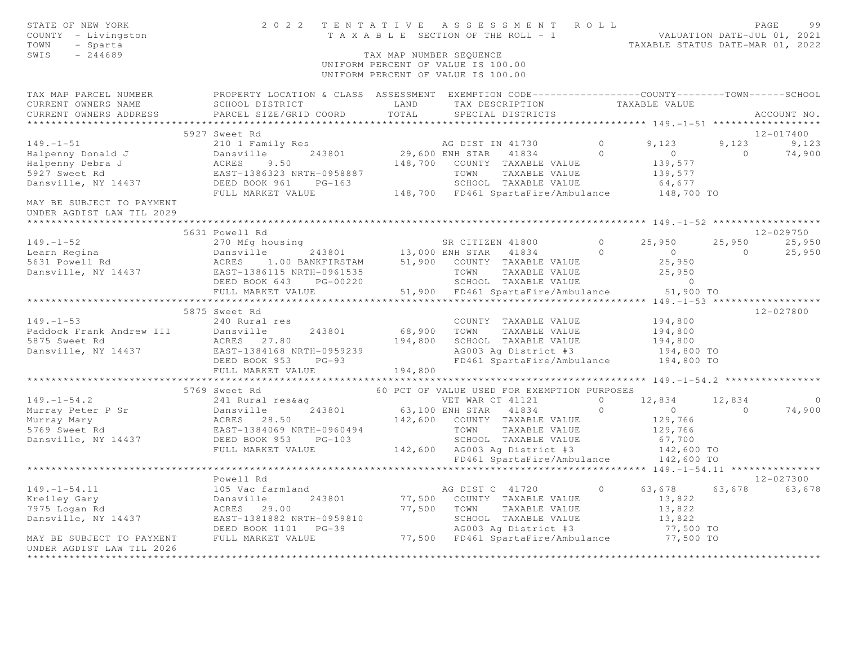| STATE OF NEW YORK<br>COUNTY - Livingston<br>TOWN<br>- Sparta<br>SWIS<br>$-244689$                                                                                                                                                                                                                                                                                                               |                                                                                                                                                                                                                                          | TAX MAP NUMBER SEQUENCE | UNIFORM PERCENT OF VALUE IS 100.00<br>UNIFORM PERCENT OF VALUE IS 100.00                                     |                |                |                             |
|-------------------------------------------------------------------------------------------------------------------------------------------------------------------------------------------------------------------------------------------------------------------------------------------------------------------------------------------------------------------------------------------------|------------------------------------------------------------------------------------------------------------------------------------------------------------------------------------------------------------------------------------------|-------------------------|--------------------------------------------------------------------------------------------------------------|----------------|----------------|-----------------------------|
|                                                                                                                                                                                                                                                                                                                                                                                                 | TAX MAP PARCEL NUMBER PROPERTY LOCATION & CLASS ASSESSMENT EXEMPTION CODE---------------COUNTY--------TOWN------SCHOOL                                                                                                                   |                         |                                                                                                              |                |                |                             |
| CURRENT OWNERS NAME                                                                                                                                                                                                                                                                                                                                                                             | SCHOOL DISTRICT                                                                                                                                                                                                                          | LAND                    | TAX DESCRIPTION TAXABLE VALUE                                                                                |                |                |                             |
| CURRENT OWNERS ADDRESS                                                                                                                                                                                                                                                                                                                                                                          | PARCEL SIZE/GRID COORD                                                                                                                                                                                                                   | TOTAL                   | SPECIAL DISTRICTS                                                                                            |                |                | ACCOUNT NO.                 |
| *******************                                                                                                                                                                                                                                                                                                                                                                             |                                                                                                                                                                                                                                          |                         |                                                                                                              |                |                |                             |
|                                                                                                                                                                                                                                                                                                                                                                                                 | 5927 Sweet Rd                                                                                                                                                                                                                            |                         |                                                                                                              |                |                | 12-017400                   |
| $149. - 1 - 51$                                                                                                                                                                                                                                                                                                                                                                                 |                                                                                                                                                                                                                                          |                         |                                                                                                              |                |                | $9,123$ $9,123$<br>0 74.900 |
| Halpenny Donald J<br>Halpenny Debra J<br>5927 Sweet Rd                                                                                                                                                                                                                                                                                                                                          |                                                                                                                                                                                                                                          |                         |                                                                                                              |                | $\overline{0}$ | 74,900                      |
|                                                                                                                                                                                                                                                                                                                                                                                                 |                                                                                                                                                                                                                                          |                         |                                                                                                              |                |                |                             |
| Dansville, NY 14437                                                                                                                                                                                                                                                                                                                                                                             |                                                                                                                                                                                                                                          |                         |                                                                                                              |                |                |                             |
|                                                                                                                                                                                                                                                                                                                                                                                                 |                                                                                                                                                                                                                                          |                         |                                                                                                              |                |                |                             |
| MAY BE SUBJECT TO PAYMENT<br>UNDER AGDIST LAW TIL 2029                                                                                                                                                                                                                                                                                                                                          | 210 1 Family Res<br>243801 29,600 ENH STAR 41834 0<br>ACRES 9.50 148,700 COUNTY TAXABLE VALUE<br>EAST-1386323 NRTH-0958887 TOWN TAXABLE VALUE 139,577<br>DEED BOOK 961 PG-163 5CHOOL TAXABLE VALUE 64,677<br>FULL MARKET VALUE 148,700 F |                         |                                                                                                              |                |                |                             |
|                                                                                                                                                                                                                                                                                                                                                                                                 |                                                                                                                                                                                                                                          |                         |                                                                                                              |                |                |                             |
|                                                                                                                                                                                                                                                                                                                                                                                                 | 5631 Powell Rd                                                                                                                                                                                                                           |                         |                                                                                                              |                |                | 12-029750                   |
| $149. - 1 - 52$                                                                                                                                                                                                                                                                                                                                                                                 | 270 Mfg housing                                                                                                                                                                                                                          |                         | SR CITIZEN 41800                                                                                             | $0 \t 25,950$  |                | 25,950 25,950               |
|                                                                                                                                                                                                                                                                                                                                                                                                 |                                                                                                                                                                                                                                          |                         |                                                                                                              | $\overline{0}$ | $\overline{0}$ | 25,950                      |
|                                                                                                                                                                                                                                                                                                                                                                                                 |                                                                                                                                                                                                                                          |                         |                                                                                                              | 25,950         |                |                             |
|                                                                                                                                                                                                                                                                                                                                                                                                 |                                                                                                                                                                                                                                          |                         |                                                                                                              |                |                |                             |
| Exam Regina (1980)<br>Learn Regina (1980)<br>Dansville (1980)<br>Dansville (1996)<br>Dansville, NY 14437 (243801 (243801 13,000 ENH STAR 41834 (2631 Powell Rd (243801 1996)<br>Dansville, NY 14437 (285T-1386115 NRTH-0961535 TOWN TAXA                                                                                                                                                        |                                                                                                                                                                                                                                          |                         |                                                                                                              |                |                |                             |
|                                                                                                                                                                                                                                                                                                                                                                                                 | FULL MARKET VALUE                                                                                                                                                                                                                        |                         |                                                                                                              |                |                |                             |
|                                                                                                                                                                                                                                                                                                                                                                                                 |                                                                                                                                                                                                                                          |                         |                                                                                                              |                |                |                             |
| $149. - 1 - 53$                                                                                                                                                                                                                                                                                                                                                                                 | 5875 Sweet Rd<br>240 Rural res                                                                                                                                                                                                           |                         |                                                                                                              | 194,800        |                | 12-027800                   |
| Paddock Frank Andrew III Dansville                                                                                                                                                                                                                                                                                                                                                              | 243801                                                                                                                                                                                                                                   |                         | COUNTY TAXABLE VALUE<br>TOWN<br>TAXABLE VALUE                                                                | 194,800        |                |                             |
| 5875 Sweet Rd                                                                                                                                                                                                                                                                                                                                                                                   | ACRES 27.80                                                                                                                                                                                                                              | $68,900$<br>$194,800$   | SCHOOL TAXABLE VALUE                                                                                         | 194,800        |                |                             |
| Dansville, NY 14437                                                                                                                                                                                                                                                                                                                                                                             |                                                                                                                                                                                                                                          |                         | AG003 Ag District #3                                                                                         | 194,800 TO     |                |                             |
|                                                                                                                                                                                                                                                                                                                                                                                                 |                                                                                                                                                                                                                                          |                         | FD461 SpartaFire/Ambulance 194,800 TO                                                                        |                |                |                             |
|                                                                                                                                                                                                                                                                                                                                                                                                 | ACRES 27.80<br>EAST-1384168 NRTH-0959239<br>DEED BOOK 953 PG-93<br>FUIL MARKET VALUE 194,800                                                                                                                                             |                         |                                                                                                              |                |                |                             |
|                                                                                                                                                                                                                                                                                                                                                                                                 | ****************************                                                                                                                                                                                                             |                         |                                                                                                              |                |                |                             |
|                                                                                                                                                                                                                                                                                                                                                                                                 | 5769 Sweet Rd                                                                                                                                                                                                                            |                         | 60 PCT OF VALUE USED FOR EXEMPTION PURPOSES                                                                  |                |                |                             |
| $149. - 1 - 54.2$                                                                                                                                                                                                                                                                                                                                                                               | 241 Rural res&aq                                                                                                                                                                                                                         |                         | $\sim$ 0<br>VET WAR CT 41121                                                                                 | 12,834         | 12,834         | $\overline{0}$              |
|                                                                                                                                                                                                                                                                                                                                                                                                 |                                                                                                                                                                                                                                          |                         |                                                                                                              |                | $\overline{0}$ | 74,900                      |
|                                                                                                                                                                                                                                                                                                                                                                                                 |                                                                                                                                                                                                                                          |                         |                                                                                                              |                |                |                             |
|                                                                                                                                                                                                                                                                                                                                                                                                 |                                                                                                                                                                                                                                          |                         |                                                                                                              |                |                |                             |
|                                                                                                                                                                                                                                                                                                                                                                                                 |                                                                                                                                                                                                                                          |                         |                                                                                                              |                |                |                             |
| $\begin{array}{cccccc} \texttt{149.-1-54.2} & \texttt{241~num} & \texttt{243801} & \texttt{63,100~ENH~STAR} & \texttt{41834} & \texttt{0129,766} \\ \texttt{Murray Peter P Sr} & \texttt{ACRE X} & \texttt{ACRE X} & \texttt{243801} & \texttt{63,100~ENH~STAR} & \texttt{41834} & \texttt{029,766} \\ \texttt{Murray Mary} & \texttt{ACR} & \texttt{ACRS} & \texttt{28.50} & \texttt{142,600}$ |                                                                                                                                                                                                                                          |                         |                                                                                                              |                |                |                             |
|                                                                                                                                                                                                                                                                                                                                                                                                 |                                                                                                                                                                                                                                          |                         | FD461 SpartaFire/Ambulance 142,600 TO                                                                        |                |                |                             |
|                                                                                                                                                                                                                                                                                                                                                                                                 |                                                                                                                                                                                                                                          |                         |                                                                                                              |                |                |                             |
|                                                                                                                                                                                                                                                                                                                                                                                                 | Powell Rd                                                                                                                                                                                                                                |                         | AG DIST C 41720 0 63,678 63,678 63,678                                                                       |                |                | 12-027300                   |
|                                                                                                                                                                                                                                                                                                                                                                                                 |                                                                                                                                                                                                                                          |                         | 243801 77,500 COUNTY TAXABLE VALUE                                                                           | 13,822         |                |                             |
|                                                                                                                                                                                                                                                                                                                                                                                                 |                                                                                                                                                                                                                                          |                         | 77,500 TOWN TAXABLE VALUE                                                                                    | 13,822         |                |                             |
|                                                                                                                                                                                                                                                                                                                                                                                                 |                                                                                                                                                                                                                                          |                         |                                                                                                              |                |                |                             |
|                                                                                                                                                                                                                                                                                                                                                                                                 |                                                                                                                                                                                                                                          |                         | SCHOOL TAXABLE VALUE<br>SCHOOL TAXABLE VALUE<br>AG003 Ag District #3                                         |                |                |                             |
|                                                                                                                                                                                                                                                                                                                                                                                                 | 149.-1-54.11<br>Kreiley Gary<br>7975 Logan Rd<br>Dansville, NY 14437<br>MAY BE SUBJECT TO PAYMENT<br>THE REST LOGAL PRESS CONTROLLING PG-39<br>TULL MARKET VALUE<br>TULL MARKET VALUE                                                    |                         | SCHOOL TAXABLE VALUE 13,822<br>AGOO3 Ag District #3 77,500 TO<br>77,500 FD461 SpartaFire/Ambulance 77,500 TO |                |                |                             |
| UNDER AGDIST LAW TIL 2026                                                                                                                                                                                                                                                                                                                                                                       |                                                                                                                                                                                                                                          |                         |                                                                                                              |                |                |                             |
| **********************                                                                                                                                                                                                                                                                                                                                                                          |                                                                                                                                                                                                                                          |                         |                                                                                                              |                |                |                             |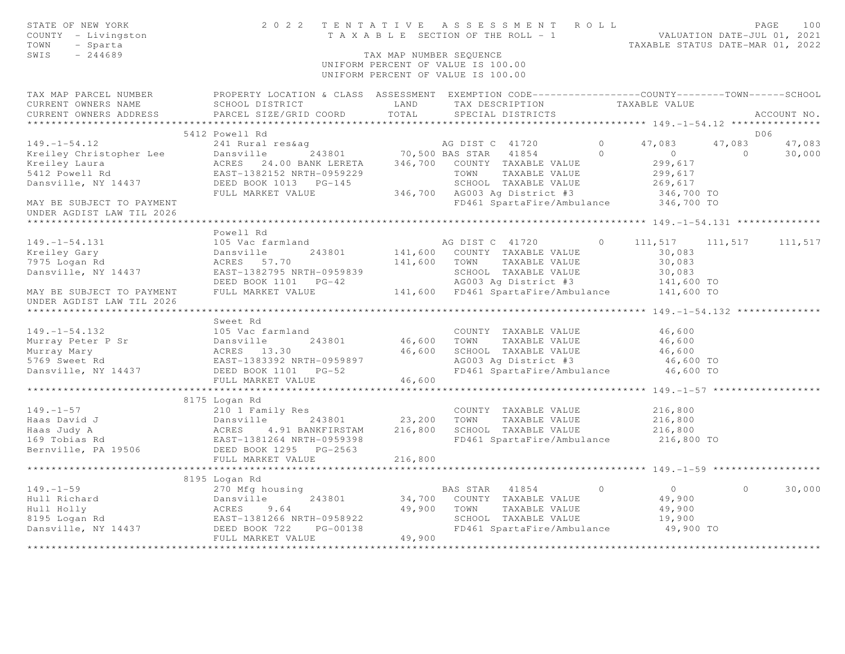| STATE OF NEW YORK<br>COUNTY - Livingston<br>TOWN<br>- Sparta<br>SWIS<br>$-244689$ | 2022 TENTATIVE                                                                                                      | TAX MAP NUMBER SEQUENCE       | ASSESSMENT ROLL<br>T A X A B L E SECTION OF THE ROLL - 1 VALUATION DATE-JUL 01, 2021<br>UNIFORM PERCENT OF VALUE IS 100.00<br>UNIFORM PERCENT OF VALUE IS 100.00 |          | TAXABLE STATUS DATE-MAR 01, 2022                   |                | PAGE<br>100 |
|-----------------------------------------------------------------------------------|---------------------------------------------------------------------------------------------------------------------|-------------------------------|------------------------------------------------------------------------------------------------------------------------------------------------------------------|----------|----------------------------------------------------|----------------|-------------|
| TAX MAP PARCEL NUMBER<br>CURRENT OWNERS NAME                                      | PROPERTY LOCATION & CLASS ASSESSMENT EXEMPTION CODE----------------COUNTY--------TOWN-----SCHOOL<br>SCHOOL DISTRICT | LAND                          | TAX DESCRIPTION                                                                                                                                                  |          | TAXABLE VALUE                                      |                |             |
| CURRENT OWNERS ADDRESS                                                            | PARCEL SIZE/GRID COORD                                                                                              | TOTAL                         | SPECIAL DISTRICTS                                                                                                                                                |          |                                                    |                | ACCOUNT NO. |
|                                                                                   |                                                                                                                     |                               |                                                                                                                                                                  |          |                                                    |                |             |
|                                                                                   | 5412 Powell Rd                                                                                                      |                               |                                                                                                                                                                  |          |                                                    |                | DO6         |
| $149. - 1 - 54.12$                                                                | 241 Rural res&aq                                                                                                    |                               | AG DIST C 41720                                                                                                                                                  | $\Omega$ | 47,083                                             | 47,083         | 47,083      |
| Kreiley Christopher Lee<br>Kreiley Laura<br>5412 Powell Rd                        | 243801<br>Dansville                                                                                                 |                               | 70,500 BAS STAR 41854                                                                                                                                            | $\circ$  | $\circ$                                            | $\overline{0}$ | 30,000      |
|                                                                                   | ACRES 24.00 BANK LERETA<br>EAST-1382152 NRTH-0959229                                                                |                               | 346,700 COUNTY TAXABLE VALUE<br>TOWN<br>TAXABLE VALUE                                                                                                            |          | 299,617<br>299,617                                 |                |             |
| Dansville, NY 14437                                                               | DEED BOOK 1013 PG-145                                                                                               |                               | SCHOOL TAXABLE VALUE                                                                                                                                             |          | 269,617                                            |                |             |
|                                                                                   | FULL MARKET VALUE                                                                                                   |                               | 346,700 AG003 Ag District #3                                                                                                                                     |          | 346,700 TO                                         |                |             |
| MAY BE SUBJECT TO PAYMENT<br>UNDER AGDIST LAW TIL 2026                            |                                                                                                                     |                               | FD461 SpartaFire/Ambulance                                                                                                                                       |          | 346,700 TO                                         |                |             |
|                                                                                   |                                                                                                                     |                               |                                                                                                                                                                  |          |                                                    |                |             |
|                                                                                   | Powell Rd                                                                                                           |                               |                                                                                                                                                                  |          |                                                    |                |             |
| $149. - 1 - 54.131$                                                               | 105 Vac farmland                                                                                                    |                               | AG DIST C 41720                                                                                                                                                  | $\Omega$ | 111,517                                            | 111,517        | 111,517     |
| Kreiley Gary                                                                      | Dansville<br>243801                                                                                                 |                               | 141,600 COUNTY TAXABLE VALUE                                                                                                                                     |          | 30,083                                             |                |             |
| 7975 Logan Rd                                                                     | ACRES 57.70                                                                                                         | 141,600 TOWN                  | TAXABLE VALUE                                                                                                                                                    |          | 30,083                                             |                |             |
| Dansville, NY 14437                                                               | EAST-1382795 NRTH-0959839                                                                                           |                               | SCHOOL TAXABLE VALUE                                                                                                                                             |          | 30,083                                             |                |             |
|                                                                                   | DEED BOOK 1101 PG-42                                                                                                |                               | AG003 Ag District #3                                                                                                                                             |          | 141,600 TO                                         |                |             |
| MAY BE SUBJECT TO PAYMENT<br>UNDER AGDIST LAW TIL 2026                            | FULL MARKET VALUE                                                                                                   |                               | 141,600 FD461 SpartaFire/Ambulance                                                                                                                               |          | 141,600 TO                                         |                |             |
|                                                                                   |                                                                                                                     |                               |                                                                                                                                                                  |          | ********************* 149.-1-54.132 ************** |                |             |
|                                                                                   | Sweet Rd                                                                                                            |                               |                                                                                                                                                                  |          |                                                    |                |             |
| $149. - 1 - 54.132$                                                               | 105 Vac farmland                                                                                                    |                               | COUNTY TAXABLE VALUE                                                                                                                                             |          | 46,600                                             |                |             |
| Murray Peter P Sr                                                                 | Dansville<br>243801                                                                                                 | 46,600 TOWN                   | TAXABLE VALUE                                                                                                                                                    |          | 46,600                                             |                |             |
| Murray Mary                                                                       | ACRES 13.30                                                                                                         | 46,600                        | SCHOOL TAXABLE VALUE                                                                                                                                             |          | 46,600                                             |                |             |
| 5769 Sweet Rd                                                                     | EAST-1383392 NRTH-0959897                                                                                           |                               | AG003 Ag District #3                                                                                                                                             |          | 46,600 TO                                          |                |             |
| Dansville, NY 14437                                                               | DEED BOOK 1101 PG-52                                                                                                |                               | FD461 SpartaFire/Ambulance                                                                                                                                       |          | 46,600 TO                                          |                |             |
|                                                                                   | FULL MARKET VALUE                                                                                                   | 46,600<br>******************* |                                                                                                                                                                  |          |                                                    |                |             |
|                                                                                   |                                                                                                                     |                               |                                                                                                                                                                  |          |                                                    |                |             |
| $149. - 1 - 57$                                                                   | 8175 Logan Rd<br>210 1 Family Res                                                                                   |                               | COUNTY TAXABLE VALUE                                                                                                                                             |          | 216,800                                            |                |             |
| Haas David J                                                                      | 243801<br>Dansville                                                                                                 | 23,200                        | TOWN<br>TAXABLE VALUE                                                                                                                                            |          | 216,800                                            |                |             |
| Haas Judy A                                                                       | ACRES<br>4.91 BANKFIRSTAM                                                                                           | 216,800                       | SCHOOL TAXABLE VALUE                                                                                                                                             |          | 216,800                                            |                |             |
| 169 Tobias Rd                                                                     | EAST-1381264 NRTH-0959398                                                                                           |                               | FD461 SpartaFire/Ambulance                                                                                                                                       |          | 216,800 TO                                         |                |             |
| Bernville, PA 19506                                                               | DEED BOOK 1295 PG-2563                                                                                              |                               |                                                                                                                                                                  |          |                                                    |                |             |
|                                                                                   | FULL MARKET VALUE                                                                                                   | 216,800                       |                                                                                                                                                                  |          |                                                    |                |             |
|                                                                                   |                                                                                                                     |                               |                                                                                                                                                                  |          |                                                    |                |             |
|                                                                                   | 8195 Logan Rd                                                                                                       |                               |                                                                                                                                                                  |          |                                                    |                |             |
| $149. - 1 - 59$                                                                   | 270 Mfg housing                                                                                                     |                               | BAS STAR 41854                                                                                                                                                   | $\circ$  | $\overline{0}$                                     | $\circ$        | 30,000      |
| Hull Richard                                                                      |                                                                                                                     | 34,700                        | COUNTY TAXABLE VALUE                                                                                                                                             |          | 49,900                                             |                |             |
| Hull Holly                                                                        |                                                                                                                     | 49,900                        | TOWN<br>TAXABLE VALUE                                                                                                                                            |          | 49,900                                             |                |             |
| 8195 Logan Rd<br>Dansville, NY 14437                                              | Dansville 243801<br>ACRES 9.64<br>EAST-1381266 NRTH-0958922<br>14437 DEED BOOK 722 PG-00138                         |                               | SCHOOL TAXABLE VALUE<br>FD461 SpartaFire/Ambulance                                                                                                               |          | 19,900<br>49,900 TO                                |                |             |
|                                                                                   | FULL MARKET VALUE                                                                                                   | 49,900                        |                                                                                                                                                                  |          |                                                    |                |             |
|                                                                                   |                                                                                                                     | ***********                   |                                                                                                                                                                  |          |                                                    |                |             |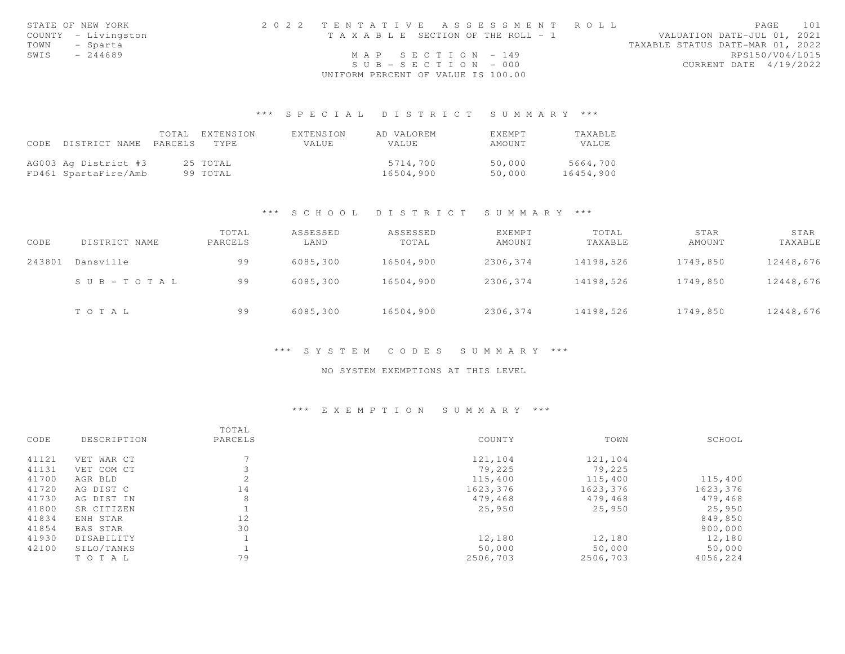|      | STATE OF NEW YORK   | 2022 TENTATIVE ASSESSMENT ROLL     |  |                                  | PAGE. | 101 |
|------|---------------------|------------------------------------|--|----------------------------------|-------|-----|
|      | COUNTY - Livingston | TAXABLE SECTION OF THE ROLL - 1    |  | VALUATION DATE-JUL 01, 2021      |       |     |
|      | TOWN - Sparta       |                                    |  | TAXABLE STATUS DATE-MAR 01, 2022 |       |     |
| SWIS | $-244689$           | MAP SECTION - 149                  |  | RPS150/V04/L015                  |       |     |
|      |                     | $SUB - SECTION - 000$              |  | CURRENT DATE 4/19/2022           |       |     |
|      |                     | UNIFORM PERCENT OF VALUE IS 100.00 |  |                                  |       |     |

## \*\*\* S P E C I A L D I S T R I C T S U M M A R Y \*\*\*

|                            | TOTAL EXTENSION | EXTENSION | AD VALOREM | <b>EXEMPT</b> | <b>TAXABLE</b> |
|----------------------------|-----------------|-----------|------------|---------------|----------------|
| CODE DISTRICT NAME PARCELS | TYPE.           | VALUE     | VALUE      | AMOUNT        | VALUE.         |
|                            |                 |           |            |               |                |
| AG003 Ag District #3       | 25 TOTAL        |           | 5714,700   | 50,000        | 5664,700       |
| FD461 SpartaFire/Amb       | 99 TOTAL        |           | 16504,900  | 50,000        | 16454,900      |

#### \*\*\* S C H O O L D I S T R I C T S U M M A R Y \*\*\*

| CODE   | DISTRICT NAME             | TOTAL<br>PARCELS | ASSESSED<br>LAND | ASSESSED<br>TOTAL | EXEMPT<br>AMOUNT | TOTAL<br>TAXABLE | STAR<br>AMOUNT | STAR<br>TAXABLE |
|--------|---------------------------|------------------|------------------|-------------------|------------------|------------------|----------------|-----------------|
| 243801 | Dansville                 | 99               | 6085,300         | 16504,900         | 2306,374         | 14198,526        | 1749,850       | 12448,676       |
|        | $S \cup B = T \cup T A L$ | 99               | 6085,300         | 16504,900         | 2306,374         | 14198,526        | 1749,850       | 12448,676       |
|        | TOTAL                     | 99               | 6085,300         | 16504,900         | 2306,374         | 14198,526        | 1749,850       | 12448,676       |

#### \*\*\* S Y S T E M C O D E S S U M M A R Y \*\*\*

#### NO SYSTEM EXEMPTIONS AT THIS LEVEL

## \*\*\* E X E M P T I O N S U M M A R Y \*\*\*

|       |                 | TOTAL   |          |          |          |
|-------|-----------------|---------|----------|----------|----------|
| CODE  | DESCRIPTION     | PARCELS | COUNTY   | TOWN     | SCHOOL   |
| 41121 | VET WAR CT      |         | 121,104  | 121,104  |          |
| 41131 | VET COM CT      |         | 79,225   | 79,225   |          |
| 41700 | AGR BLD         | 2       | 115,400  | 115,400  | 115,400  |
| 41720 | AG DIST C       | 14      | 1623,376 | 1623,376 | 1623,376 |
| 41730 | AG DIST IN      | 8       | 479,468  | 479,468  | 479,468  |
| 41800 | SR CITIZEN      |         | 25,950   | 25,950   | 25,950   |
| 41834 | ENH STAR        | 12      |          |          | 849,850  |
| 41854 | <b>BAS STAR</b> | 30      |          |          | 900,000  |
| 41930 | DISABILITY      |         | 12,180   | 12,180   | 12,180   |
| 42100 | SILO/TANKS      |         | 50,000   | 50,000   | 50,000   |
|       | TOTAL           | 79      | 2506,703 | 2506,703 | 4056,224 |
|       |                 |         |          |          |          |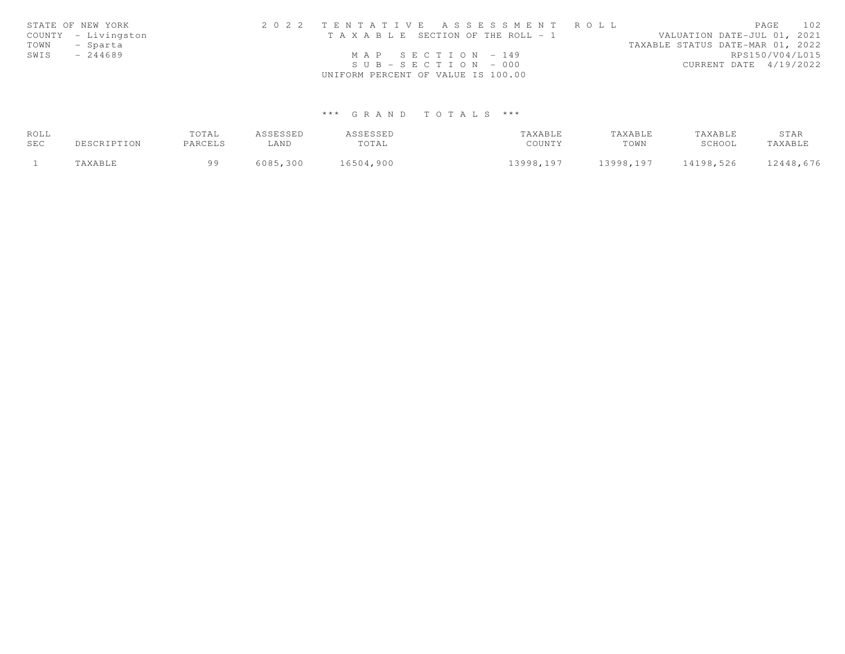|      | STATE OF NEW YORK   | 2022 TENTATIVE ASSESSMENT ROLL        |                                  | PAGE | 102 |
|------|---------------------|---------------------------------------|----------------------------------|------|-----|
|      | COUNTY - Livingston | T A X A B L E SECTION OF THE ROLL - 1 | VALUATION DATE-JUL 01, 2021      |      |     |
| TOWN | - Sparta            |                                       | TAXABLE STATUS DATE-MAR 01, 2022 |      |     |
| SWIS | $-244689$           | MAP SECTION $-149$                    | RPS150/V04/L015                  |      |     |
|      |                     | $SUB - SECTION - 000$                 | CURRENT DATE 4/19/2022           |      |     |
|      |                     | UNIFORM PERCENT OF VALUE IS 100.00    |                                  |      |     |

# \*\*\* G R A N D T O T A L S \*\*\*

| ROLL |             | TOTAL   | ASSESSED | ASSESSED  | TAXABLE   | TAXABLE   | TAXABLE   | STAR      |
|------|-------------|---------|----------|-----------|-----------|-----------|-----------|-----------|
| SEC  | DESCRIPTION | PARCELS | LAND     | TOTAL     | COUNTY    | TOWN      | SCHOOL    | TAXABLE   |
|      | TAXABLE     | a a     | 6085,300 | 16504,900 | 13998,197 | 13998,197 | 14198,526 | 12448,676 |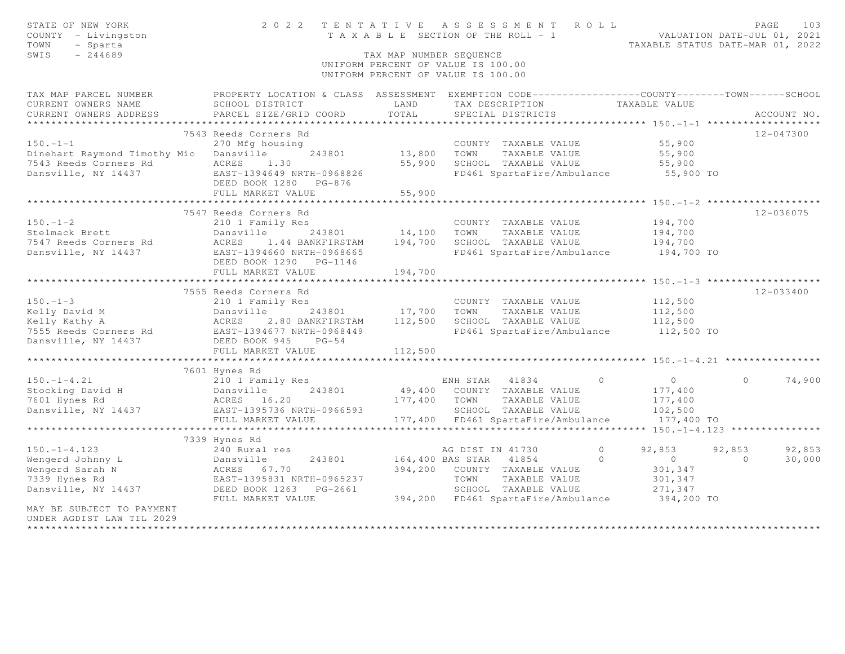| STATE OF NEW YORK<br>COUNTY - Livingston<br>- Sparta<br>TOWN<br>SWIS<br>$-244689$                                                                                                                                                       | 2022 TENTATIVE ASSESSMENT ROLL<br>T A X A B L E SECTION OF THE ROLL - 1 VALUATION DATE-JUL 01, 2021<br>TAX MAP NUMBER SEQUENCE<br>UNIFORM PERCENT OF VALUE IS 100.00<br>UNIFORM PERCENT OF VALUE IS 100.00 |                        |                  |                                              |         | TAXABLE STATUS DATE-MAR 01, 2022                         |          | PAGE          | 103    |
|-----------------------------------------------------------------------------------------------------------------------------------------------------------------------------------------------------------------------------------------|------------------------------------------------------------------------------------------------------------------------------------------------------------------------------------------------------------|------------------------|------------------|----------------------------------------------|---------|----------------------------------------------------------|----------|---------------|--------|
| TAX MAP PARCEL NUMBER                                                                                                                                                                                                                   | PROPERTY LOCATION & CLASS ASSESSMENT EXEMPTION CODE-----------------COUNTY--------TOWN------SCHOOL                                                                                                         |                        |                  |                                              |         |                                                          |          |               |        |
| CURRENT OWNERS NAME                                                                                                                                                                                                                     | SCHOOL DISTRICT                                                                                                                                                                                            | LAND                   |                  | TAX DESCRIPTION                              |         | TAXABLE VALUE                                            |          |               |        |
| CURRENT OWNERS ADDRESS                                                                                                                                                                                                                  | PARCEL SIZE/GRID COORD                                                                                                                                                                                     | TOTAL                  |                  | SPECIAL DISTRICTS                            |         |                                                          |          | ACCOUNT NO.   |        |
|                                                                                                                                                                                                                                         |                                                                                                                                                                                                            |                        |                  |                                              |         |                                                          |          |               |        |
|                                                                                                                                                                                                                                         | 7543 Reeds Corners Rd                                                                                                                                                                                      |                        |                  |                                              |         |                                                          |          | $12 - 047300$ |        |
| $150. - 1 - 1$                                                                                                                                                                                                                          | 270 Mfg housing                                                                                                                                                                                            | 243801 13,800 TOWN     |                  | COUNTY TAXABLE VALUE                         |         | 55,900                                                   |          |               |        |
| Dinehart Raymond Timothy Mic Dansville                                                                                                                                                                                                  | ACRES                                                                                                                                                                                                      |                        |                  | TAXABLE VALUE<br>55,900 SCHOOL TAXABLE VALUE |         | 55,900                                                   |          |               |        |
|                                                                                                                                                                                                                                         | 1.30<br>EAST-1394649 NRTH-0968826                                                                                                                                                                          |                        |                  | FD461 SpartaFire/Ambulance                   |         | 55,900<br>55,900 TO                                      |          |               |        |
|                                                                                                                                                                                                                                         | DEED BOOK 1280 PG-876                                                                                                                                                                                      |                        |                  |                                              |         |                                                          |          |               |        |
|                                                                                                                                                                                                                                         | FULL MARKET VALUE                                                                                                                                                                                          | 55,900                 |                  |                                              |         |                                                          |          |               |        |
|                                                                                                                                                                                                                                         |                                                                                                                                                                                                            |                        |                  |                                              |         |                                                          |          |               |        |
|                                                                                                                                                                                                                                         | 7547 Reeds Corners Rd                                                                                                                                                                                      |                        |                  |                                              |         |                                                          |          | 12-036075     |        |
| $150. - 1 - 2$                                                                                                                                                                                                                          | 210 1 Family Res                                                                                                                                                                                           |                        |                  | COUNTY TAXABLE VALUE                         |         | 194,700                                                  |          |               |        |
| Stelmack Brett                                                                                                                                                                                                                          | Dansville                                                                                                                                                                                                  | 243801 14,100          | TOWN             | TAXABLE VALUE                                |         | 194,700                                                  |          |               |        |
| 7547 Reeds Corners Rd                                                                                                                                                                                                                   | ACRES 1.44 BANKFIRSTAM 194,700                                                                                                                                                                             |                        |                  | SCHOOL TAXABLE VALUE                         |         | 194,700                                                  |          |               |        |
| Dansville, NY 14437                                                                                                                                                                                                                     | EAST-1394660 NRTH-0968665                                                                                                                                                                                  |                        |                  |                                              |         | FD461 SpartaFire/Ambulance 194,700 TO                    |          |               |        |
|                                                                                                                                                                                                                                         | DEED BOOK 1290 PG-1146<br>FULL MARKET VALUE                                                                                                                                                                | 194,700                |                  |                                              |         |                                                          |          |               |        |
|                                                                                                                                                                                                                                         |                                                                                                                                                                                                            |                        |                  |                                              |         |                                                          |          |               |        |
|                                                                                                                                                                                                                                         | 7555 Reeds Corners Rd                                                                                                                                                                                      |                        |                  |                                              |         |                                                          |          | 12-033400     |        |
| $150. - 1 - 3$                                                                                                                                                                                                                          | 210 1 Family Res                                                                                                                                                                                           |                        |                  | COUNTY TAXABLE VALUE                         |         | 112,500                                                  |          |               |        |
|                                                                                                                                                                                                                                         | 243801 17,700                                                                                                                                                                                              |                        | TOWN             | TAXABLE VALUE                                |         | 112,500                                                  |          |               |        |
|                                                                                                                                                                                                                                         | 2.80 BANKFIRSTAM                                                                                                                                                                                           | 112,500                |                  | SCHOOL TAXABLE VALUE                         |         | 112,500                                                  |          |               |        |
|                                                                                                                                                                                                                                         |                                                                                                                                                                                                            |                        |                  | FD461 SpartaFire/Ambulance                   |         | 112,500 TO                                               |          |               |        |
| Eventy David M<br>Eventy A acres 2.80 BANKFIRSTAM<br>T555 Reeds Corners Rd<br>Dansville, NY 14437<br>Dansville, NY 14437<br>DEED BOOK 945<br>DANST-1394677 NRTH-0968449<br>DANST-1394677 NRTH-0968449<br>DEED BOOK 945<br>DEED BOOK 945 |                                                                                                                                                                                                            |                        |                  |                                              |         |                                                          |          |               |        |
|                                                                                                                                                                                                                                         | FULL MARKET VALUE                                                                                                                                                                                          | 112,500                |                  |                                              |         |                                                          |          |               |        |
|                                                                                                                                                                                                                                         | *************************                                                                                                                                                                                  |                        |                  |                                              |         |                                                          |          |               |        |
|                                                                                                                                                                                                                                         | 7601 Hynes Rd                                                                                                                                                                                              |                        |                  |                                              |         |                                                          |          |               |        |
| $150. - 1 - 4.21$                                                                                                                                                                                                                       | 210 1 Family Res                                                                                                                                                                                           |                        | ENH STAR 41834   |                                              | $\circ$ | $\overline{0}$                                           | $\Omega$ |               | 74,900 |
|                                                                                                                                                                                                                                         |                                                                                                                                                                                                            |                        |                  | 49,400 COUNTY TAXABLE VALUE                  |         | 177,400                                                  |          |               |        |
| Stocking David H<br>Stocking David H<br>7601 Hynes Rd<br>Dansville, NY 14437<br>EAST-1395736 NRTH-0966593                                                                                                                               |                                                                                                                                                                                                            | 177,400 TOWN           |                  | TAXABLE VALUE                                |         | 177,400                                                  |          |               |        |
|                                                                                                                                                                                                                                         |                                                                                                                                                                                                            |                        |                  | SCHOOL TAXABLE VALUE                         |         | 102,500                                                  |          |               |        |
|                                                                                                                                                                                                                                         | FULL MARKET VALUE                                                                                                                                                                                          |                        |                  | 177,400 FD461 SpartaFire/Ambulance           |         | 177,400 TO                                               |          |               |        |
|                                                                                                                                                                                                                                         | ************************                                                                                                                                                                                   |                        |                  |                                              |         | *********** 150. -1-4.123 **************                 |          |               |        |
|                                                                                                                                                                                                                                         | 7339 Hynes Rd                                                                                                                                                                                              |                        |                  |                                              |         |                                                          |          |               |        |
| $150. -1 - 4.123$                                                                                                                                                                                                                       | 240 Rural res                                                                                                                                                                                              |                        | AG DIST IN 41730 |                                              | $\circ$ | 92,853                                                   | 92,853   |               | 92,853 |
| Wengerd Johnny L                                                                                                                                                                                                                        | 243801<br>Dansville                                                                                                                                                                                        | 164,400 BAS STAR 41854 |                  |                                              | $\circ$ | $\overline{0}$                                           | $\Omega$ |               | 30,000 |
| Wengerd Sarah N                                                                                                                                                                                                                         | ACRES 67.70                                                                                                                                                                                                |                        |                  | 394,200 COUNTY TAXABLE VALUE                 |         | 301,347                                                  |          |               |        |
| 7339 Hynes Rd                                                                                                                                                                                                                           | EAST-1395831 NRTH-0965237<br>DEED BOOK 1263 PG-2661                                                                                                                                                        |                        | TOWN             | TAXABLE VALUE<br>SCHOOL TAXABLE VALUE        |         | 301,347                                                  |          |               |        |
| Dansville, NY 14437                                                                                                                                                                                                                     | FULL MARKET VALUE                                                                                                                                                                                          |                        |                  |                                              |         | 271,347<br>394,200 FD461 SpartaFire/Ambulance 394,200 TO |          |               |        |
| MAY BE SUBJECT TO PAYMENT<br>UNDER AGDIST LAW TIL 2029                                                                                                                                                                                  |                                                                                                                                                                                                            |                        |                  |                                              |         |                                                          |          |               |        |
| ****************************                                                                                                                                                                                                            |                                                                                                                                                                                                            |                        |                  |                                              |         |                                                          |          |               |        |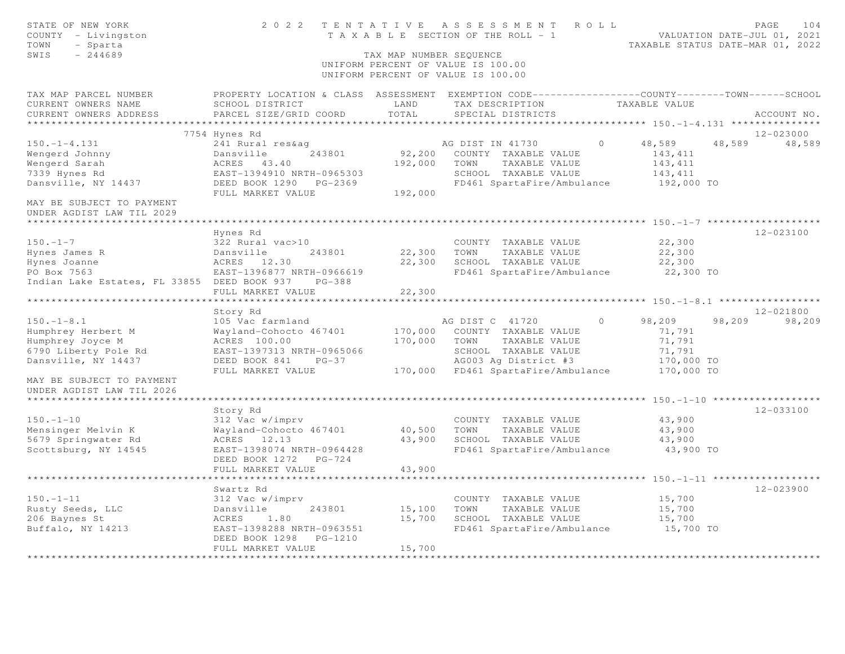| STATE OF NEW YORK<br>COUNTY - Livingston<br>TOWN<br>- Sparta<br>SWIS<br>$-244689$ | TENTATIVE ASSESSMENT<br>2 0 2 2<br>ROLL<br>T A X A B L E SECTION OF THE ROLL - 1<br>VALUATION DATE-JUL 01, 2021<br>TAXABLE STATUS DATE-MAR 01, 2022<br>TAX MAP NUMBER SEQUENCE<br>UNIFORM PERCENT OF VALUE IS 100.00<br>UNIFORM PERCENT OF VALUE IS 100.00 |               |                                                                                                  |                                                  |             |  |  |  |  |
|-----------------------------------------------------------------------------------|------------------------------------------------------------------------------------------------------------------------------------------------------------------------------------------------------------------------------------------------------------|---------------|--------------------------------------------------------------------------------------------------|--------------------------------------------------|-------------|--|--|--|--|
| TAX MAP PARCEL NUMBER                                                             |                                                                                                                                                                                                                                                            |               | PROPERTY LOCATION & CLASS ASSESSMENT EXEMPTION CODE----------------COUNTY-------TOWN------SCHOOL |                                                  |             |  |  |  |  |
| CURRENT OWNERS NAME<br>CURRENT OWNERS ADDRESS                                     | SCHOOL DISTRICT<br>PARCEL SIZE/GRID COORD                                                                                                                                                                                                                  | LAND<br>TOTAL | TAX DESCRIPTION<br>SPECIAL DISTRICTS                                                             | TAXABLE VALUE                                    | ACCOUNT NO. |  |  |  |  |
|                                                                                   |                                                                                                                                                                                                                                                            |               |                                                                                                  |                                                  |             |  |  |  |  |
|                                                                                   | 7754 Hynes Rd                                                                                                                                                                                                                                              |               |                                                                                                  |                                                  | 12-023000   |  |  |  |  |
| $150. - 1 - 4.131$                                                                | 241 Rural res&aq                                                                                                                                                                                                                                           |               | AG DIST IN 41730<br>$\Omega$                                                                     | 48,589<br>48,589                                 | 48,589      |  |  |  |  |
| Wengerd Johnny                                                                    | Dansville<br>243801                                                                                                                                                                                                                                        | 92,200        | COUNTY TAXABLE VALUE                                                                             | 143,411                                          |             |  |  |  |  |
| Wengerd Sarah                                                                     | ACRES 43.40                                                                                                                                                                                                                                                | 192,000       | TOWN<br>TAXABLE VALUE                                                                            | 143,411                                          |             |  |  |  |  |
| 7339 Hynes Rd                                                                     | EAST-1394910 NRTH-0965303                                                                                                                                                                                                                                  |               | SCHOOL TAXABLE VALUE                                                                             | 143,411                                          |             |  |  |  |  |
| Dansville, NY 14437                                                               | DEED BOOK 1290 PG-2369<br>FULL MARKET VALUE                                                                                                                                                                                                                | 192,000       | FD461 SpartaFire/Ambulance                                                                       | 192,000 TO                                       |             |  |  |  |  |
| MAY BE SUBJECT TO PAYMENT<br>UNDER AGDIST LAW TIL 2029                            |                                                                                                                                                                                                                                                            |               |                                                                                                  |                                                  |             |  |  |  |  |
| *********************                                                             |                                                                                                                                                                                                                                                            |               |                                                                                                  |                                                  |             |  |  |  |  |
|                                                                                   | Hynes Rd                                                                                                                                                                                                                                                   |               |                                                                                                  |                                                  | 12-023100   |  |  |  |  |
| $150. - 1 - 7$<br>Hynes James R                                                   | 322 Rural vac>10<br>243801<br>Dansville                                                                                                                                                                                                                    | 22,300        | COUNTY TAXABLE VALUE<br>TOWN<br>TAXABLE VALUE                                                    | 22,300<br>22,300                                 |             |  |  |  |  |
| Hynes Joanne                                                                      | ACRES 12.30                                                                                                                                                                                                                                                | 22,300        | SCHOOL TAXABLE VALUE                                                                             | 22,300                                           |             |  |  |  |  |
| PO Box 7563                                                                       | EAST-1396877 NRTH-0966619                                                                                                                                                                                                                                  |               | FD461 SpartaFire/Ambulance                                                                       | 22,300 TO                                        |             |  |  |  |  |
| Indian Lake Estates, FL 33855 DEED BOOK 937                                       | $PG-388$                                                                                                                                                                                                                                                   |               |                                                                                                  |                                                  |             |  |  |  |  |
|                                                                                   | FULL MARKET VALUE                                                                                                                                                                                                                                          | 22,300        |                                                                                                  |                                                  |             |  |  |  |  |
|                                                                                   |                                                                                                                                                                                                                                                            |               |                                                                                                  |                                                  |             |  |  |  |  |
|                                                                                   | Story Rd                                                                                                                                                                                                                                                   |               |                                                                                                  |                                                  | 12-021800   |  |  |  |  |
| $150. - 1 - 8.1$                                                                  | 105 Vac farmland                                                                                                                                                                                                                                           |               | AG DIST C 41720<br>$\circ$                                                                       | 98,209<br>98,209                                 | 98,209      |  |  |  |  |
| Humphrey Herbert M                                                                | Wayland-Cohocto 467401                                                                                                                                                                                                                                     | 170,000       | COUNTY TAXABLE VALUE                                                                             | 71,791                                           |             |  |  |  |  |
| Humphrey Joyce M                                                                  | ACRES 100.00                                                                                                                                                                                                                                               | 170,000       | TAXABLE VALUE<br>TOWN                                                                            | 71,791                                           |             |  |  |  |  |
| 6790 Liberty Pole Rd                                                              | EAST-1397313 NRTH-0965066                                                                                                                                                                                                                                  |               | SCHOOL TAXABLE VALUE                                                                             | 71,791                                           |             |  |  |  |  |
| Dansville, NY 14437                                                               | DEED BOOK 841<br>$PG-37$                                                                                                                                                                                                                                   |               | AG003 Ag District #3<br>170,000 FD461 SpartaFire/Ambulance                                       | 170,000 TO                                       |             |  |  |  |  |
| MAY BE SUBJECT TO PAYMENT                                                         | FULL MARKET VALUE                                                                                                                                                                                                                                          |               |                                                                                                  | 170,000 TO                                       |             |  |  |  |  |
| UNDER AGDIST LAW TIL 2026                                                         |                                                                                                                                                                                                                                                            |               |                                                                                                  |                                                  |             |  |  |  |  |
|                                                                                   | Story Rd                                                                                                                                                                                                                                                   |               |                                                                                                  | ** $150 - 1 - 10$ **                             | 12-033100   |  |  |  |  |
| $150. - 1 - 10$                                                                   | 312 Vac w/imprv                                                                                                                                                                                                                                            |               | COUNTY TAXABLE VALUE                                                                             | 43,900                                           |             |  |  |  |  |
| Mensinger Melvin K                                                                | Wayland-Cohocto 467401                                                                                                                                                                                                                                     | 40,500        | TOWN<br>TAXABLE VALUE                                                                            | 43,900                                           |             |  |  |  |  |
| 5679 Springwater Rd                                                               | ACRES 12.13                                                                                                                                                                                                                                                | 43,900        | SCHOOL TAXABLE VALUE                                                                             | 43,900                                           |             |  |  |  |  |
| Scottsburg, NY 14545                                                              | EAST-1398074 NRTH-0964428                                                                                                                                                                                                                                  |               | FD461 SpartaFire/Ambulance                                                                       | 43,900 TO                                        |             |  |  |  |  |
|                                                                                   | DEED BOOK 1272 PG-724                                                                                                                                                                                                                                      |               |                                                                                                  |                                                  |             |  |  |  |  |
|                                                                                   | FULL MARKET VALUE                                                                                                                                                                                                                                          | 43,900        |                                                                                                  |                                                  |             |  |  |  |  |
|                                                                                   | ********************                                                                                                                                                                                                                                       |               |                                                                                                  | ***************** 150. -1-11 ******************* |             |  |  |  |  |
|                                                                                   | Swartz Rd                                                                                                                                                                                                                                                  |               |                                                                                                  |                                                  | 12-023900   |  |  |  |  |
| $150. - 1 - 11$                                                                   | 312 Vac w/imprv                                                                                                                                                                                                                                            |               | COUNTY TAXABLE VALUE                                                                             | 15,700                                           |             |  |  |  |  |
| Rusty Seeds, LLC                                                                  | Dansville<br>243801                                                                                                                                                                                                                                        | 15,100        | TOWN<br>TAXABLE VALUE                                                                            | 15,700                                           |             |  |  |  |  |
| 206 Baynes St                                                                     | ACRES<br>1.80                                                                                                                                                                                                                                              | 15,700        | SCHOOL TAXABLE VALUE                                                                             | 15,700                                           |             |  |  |  |  |
| Buffalo, NY 14213                                                                 | EAST-1398288 NRTH-0963551<br>DEED BOOK 1298<br>PG-1210                                                                                                                                                                                                     |               | FD461 SpartaFire/Ambulance                                                                       | 15,700 TO                                        |             |  |  |  |  |
|                                                                                   | FULL MARKET VALUE                                                                                                                                                                                                                                          | 15,700        |                                                                                                  |                                                  |             |  |  |  |  |
|                                                                                   |                                                                                                                                                                                                                                                            |               |                                                                                                  |                                                  |             |  |  |  |  |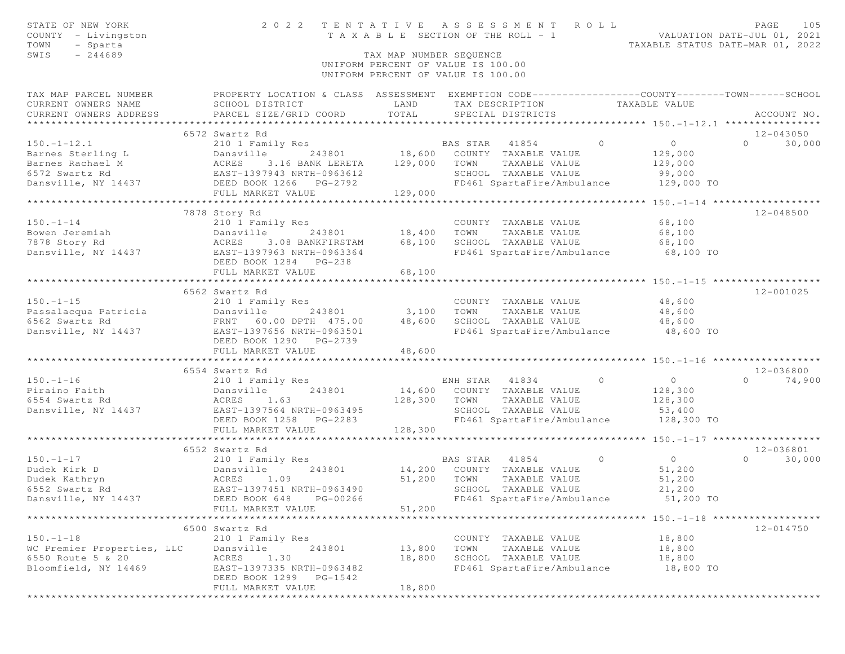| STATE OF NEW YORK<br>COUNTY - Livingston<br>- Sparta<br>TOWN                                                                       | 2022 TENTATIVE ASSESSMENT ROLL<br>TAXABLE SECTION OF THE ROLL - 1                                |                                    |                |                            |                               | VALUATION DATE-JUL 01, 2021<br>TAXABLE STATUS DATE-MAR 01, 2022 | PAGE           | 105           |
|------------------------------------------------------------------------------------------------------------------------------------|--------------------------------------------------------------------------------------------------|------------------------------------|----------------|----------------------------|-------------------------------|-----------------------------------------------------------------|----------------|---------------|
| SWIS<br>$-244689$                                                                                                                  |                                                                                                  | TAX MAP NUMBER SEQUENCE            |                |                            |                               |                                                                 |                |               |
|                                                                                                                                    |                                                                                                  | UNIFORM PERCENT OF VALUE IS 100.00 |                |                            |                               |                                                                 |                |               |
|                                                                                                                                    |                                                                                                  | UNIFORM PERCENT OF VALUE IS 100.00 |                |                            |                               |                                                                 |                |               |
| TAX MAP PARCEL NUMBER                                                                                                              | PROPERTY LOCATION & CLASS ASSESSMENT EXEMPTION CODE----------------COUNTY-------TOWN------SCHOOL |                                    |                |                            |                               |                                                                 |                |               |
| CURRENT OWNERS NAME                                                                                                                | SCHOOL DISTRICT                                                                                  | LAND                               |                |                            | TAX DESCRIPTION TAXABLE VALUE |                                                                 |                |               |
| CURRENT OWNERS ADDRESS                                                                                                             | PARCEL SIZE/GRID COORD                                                                           | TOTAL                              |                | SPECIAL DISTRICTS          |                               |                                                                 |                | ACCOUNT NO.   |
|                                                                                                                                    |                                                                                                  |                                    |                |                            |                               |                                                                 |                |               |
|                                                                                                                                    | 6572 Swartz Rd                                                                                   |                                    |                |                            |                               |                                                                 |                | 12-043050     |
| $150. - 1 - 12.1$                                                                                                                  | 210 1 Family Res                                                                                 |                                    |                | BAS STAR 41854             | $\Omega$                      | $\overline{0}$                                                  | $\overline{0}$ | 30,000        |
| Barnes Sterling L<br>Barnes Rachael M<br>6572 Swartz Rd<br>Dansville, NY 14437<br>Dansville, NY 14437<br>DEED BOOK 1266<br>PG-2792 |                                                                                                  |                                    |                |                            |                               | 129,000<br>129,000                                              |                |               |
|                                                                                                                                    |                                                                                                  |                                    |                | SCHOOL TAXABLE VALUE       |                               | 99,000                                                          |                |               |
|                                                                                                                                    |                                                                                                  |                                    |                |                            | FD461 SpartaFire/Ambulance    | 129,000 TO                                                      |                |               |
|                                                                                                                                    | FULL MARKET VALUE                                                                                | 129,000                            |                |                            |                               |                                                                 |                |               |
|                                                                                                                                    |                                                                                                  |                                    |                |                            |                               |                                                                 |                |               |
|                                                                                                                                    | 7878 Story Rd                                                                                    |                                    |                |                            |                               |                                                                 |                | 12-048500     |
| $150. - 1 - 14$                                                                                                                    | 210 1 Family Res                                                                                 |                                    |                | COUNTY TAXABLE VALUE       |                               | 68,100                                                          |                |               |
|                                                                                                                                    | 243801 18,400<br>Dansville                                                                       |                                    | TOWN           | TAXABLE VALUE              |                               | 68,100                                                          |                |               |
| Bowen Jeremiah (Dansvil)<br>1878 Story Rd (Dansvil)                                                                                | 3.08 BANKFIRSTAM                                                                                 | 68,100                             |                | SCHOOL TAXABLE VALUE       |                               | 68,100                                                          |                |               |
| Dansville, NY 14437 EAST-1397963 NRTH-0963364                                                                                      |                                                                                                  |                                    |                |                            |                               | FD461 SpartaFire/Ambulance 68,100 TO                            |                |               |
|                                                                                                                                    | DEED BOOK 1284 PG-238                                                                            |                                    |                |                            |                               |                                                                 |                |               |
|                                                                                                                                    | FULL MARKET VALUE                                                                                | 68,100                             |                |                            |                               |                                                                 |                |               |
|                                                                                                                                    |                                                                                                  |                                    |                |                            |                               |                                                                 |                |               |
|                                                                                                                                    | 6562 Swartz Rd                                                                                   |                                    |                |                            |                               |                                                                 |                | 12-001025     |
|                                                                                                                                    |                                                                                                  |                                    |                | COUNTY TAXABLE VALUE       |                               | 48,600                                                          |                |               |
|                                                                                                                                    |                                                                                                  | 3,100 TOWN                         |                | TAXABLE VALUE              |                               | 48,600                                                          |                |               |
|                                                                                                                                    |                                                                                                  | 48,600                             |                | SCHOOL TAXABLE VALUE       |                               | 48,600                                                          |                |               |
|                                                                                                                                    |                                                                                                  |                                    |                |                            | FD461 SpartaFire/Ambulance    | $48,600$ TO                                                     |                |               |
|                                                                                                                                    | DEED BOOK 1290 PG-2739                                                                           |                                    |                |                            |                               |                                                                 |                |               |
|                                                                                                                                    | FULL MARKET VALUE                                                                                | 48,600<br>************             |                |                            |                               |                                                                 |                |               |
|                                                                                                                                    |                                                                                                  |                                    |                |                            |                               |                                                                 |                | 12-036800     |
| $150. - 1 - 16$                                                                                                                    | 6554 Swartz Rd<br>210 1 Family Res                                                               |                                    |                | ENH STAR 41834 0           |                               | $\overline{0}$                                                  |                | $0 \t 74,900$ |
| Piraino Faith                                                                                                                      | 243801<br>Dansville                                                                              | 14,600 COUNTY TAXABLE VALUE        |                |                            |                               | 128,300                                                         |                |               |
| 6554 Swartz Rd                                                                                                                     | Dansvi<br>ACRES<br>1.63                                                                          | 128,300                            | TOWN           | TAXABLE VALUE              |                               | 128,300                                                         |                |               |
| Dansville, NY 14437                                                                                                                | EAST-1397564 NRTH-0963495                                                                        |                                    |                | SCHOOL TAXABLE VALUE       |                               | 53,400                                                          |                |               |
|                                                                                                                                    | DEED BOOK 1258 PG-2283                                                                           |                                    |                |                            |                               | FD461 SpartaFire/Ambulance 128,300 TO                           |                |               |
|                                                                                                                                    | FULL MARKET VALUE                                                                                | 128,300                            |                |                            |                               |                                                                 |                |               |
|                                                                                                                                    |                                                                                                  |                                    |                |                            |                               |                                                                 |                |               |
|                                                                                                                                    | 6552 Swartz Rd                                                                                   |                                    |                |                            |                               |                                                                 |                | 12-036801     |
| $150. - 1 - 17$                                                                                                                    | 210 1 Family Res                                                                                 |                                    | BAS STAR 41854 |                            | $\overline{0}$                | $\overline{O}$                                                  |                | $0 \t 30,000$ |
| Dudek Kirk D                                                                                                                       |                                                                                                  | 243801 14,200 COUNTY TAXABLE VALUE |                |                            |                               | 51,200                                                          |                |               |
| Dudek Kathryn                                                                                                                      |                                                                                                  | 51,200 TOWN                        |                | TAXABLE VALUE              |                               | 51,200                                                          |                |               |
| Dansville<br>ACRES 1.09<br>EAST-1397451 NI<br>6552 Swartz Rd                                                                       | EAST-1397451 NRTH-0963490                                                                        |                                    |                | SCHOOL TAXABLE VALUE       |                               | 21,200                                                          |                |               |
| Dansville, NY 14437                                                                                                                | DEED BOOK 648 PG-00266                                                                           |                                    |                | FD461 SpartaFire/Ambulance |                               | 51,200 TO                                                       |                |               |
|                                                                                                                                    | FULL MARKET VALUE                                                                                | 51,200                             |                |                            |                               |                                                                 |                |               |
|                                                                                                                                    |                                                                                                  |                                    |                |                            |                               |                                                                 |                |               |
|                                                                                                                                    | 6500 Swartz Rd                                                                                   |                                    |                |                            |                               |                                                                 |                | 12-014750     |
| $150. - 1 - 18$                                                                                                                    | 210 1 Family Res                                                                                 |                                    |                | COUNTY TAXABLE VALUE       |                               | 18,800                                                          |                |               |
| WC Premier Properties, LLC                                                                                                         | Dansville<br>243801                                                                              | 13,800                             | TOWN           | TAXABLE VALUE              |                               | 18,800                                                          |                |               |
| 6550 Route 5 & 20                                                                                                                  | 1.30<br>ACRES                                                                                    | 18,800                             |                | SCHOOL TAXABLE VALUE       |                               | 18,800                                                          |                |               |
| Bloomfield, NY 14469                                                                                                               | EAST-1397335 NRTH-0963482                                                                        |                                    |                | FD461 SpartaFire/Ambulance |                               | 18,800 TO                                                       |                |               |
|                                                                                                                                    | DEED BOOK 1299 PG-1542                                                                           |                                    |                |                            |                               |                                                                 |                |               |
|                                                                                                                                    | FULL MARKET VALUE                                                                                | 18,800                             |                |                            |                               |                                                                 |                |               |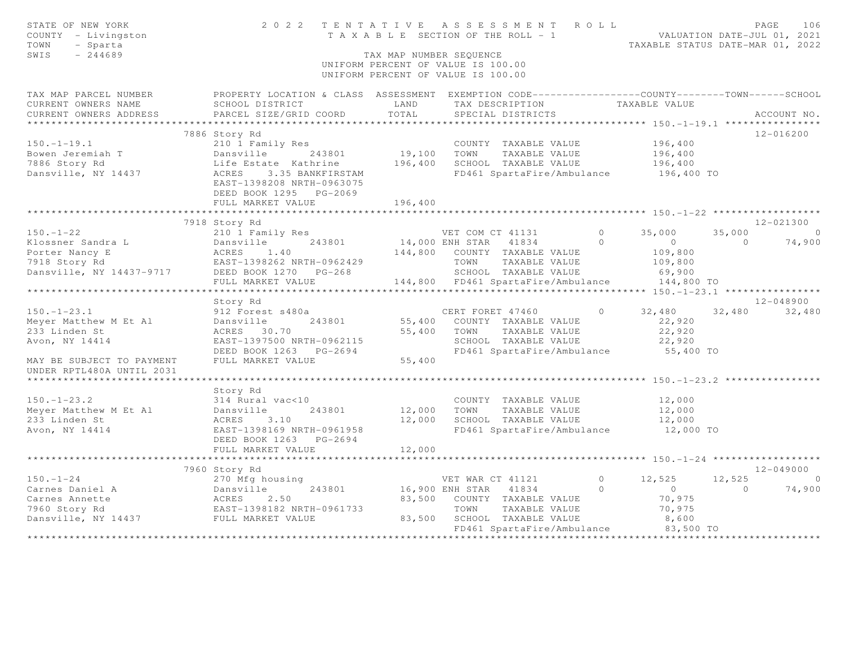| STATE OF NEW YORK<br>COUNTY - Livingston<br>TOWN<br>- Sparta<br>SWIS<br>$-244689$ | 2022                                                                                                                | TAX MAP NUMBER SEQUENCE | TENTATIVE ASSESSMENT ROLL<br>T A X A B L E SECTION OF THE ROLL - 1<br>UNIFORM PERCENT OF VALUE IS 100.00<br>UNIFORM PERCENT OF VALUE IS 100.00 |            | TAXABLE STATUS DATE-MAR 01, 2022      |          | PAGE<br>106<br>VALUATION DATE-JUL 01, 2021 |
|-----------------------------------------------------------------------------------|---------------------------------------------------------------------------------------------------------------------|-------------------------|------------------------------------------------------------------------------------------------------------------------------------------------|------------|---------------------------------------|----------|--------------------------------------------|
| TAX MAP PARCEL NUMBER<br>CURRENT OWNERS NAME                                      | PROPERTY LOCATION & CLASS ASSESSMENT EXEMPTION CODE----------------COUNTY-------TOWN------SCHOOL<br>SCHOOL DISTRICT | LAND                    | TAX DESCRIPTION                                                                                                                                |            | TAXABLE VALUE                         |          |                                            |
| CURRENT OWNERS ADDRESS                                                            | PARCEL SIZE/GRID COORD                                                                                              | TOTAL                   | SPECIAL DISTRICTS                                                                                                                              |            |                                       |          | ACCOUNT NO.                                |
| ******************                                                                |                                                                                                                     | ************            |                                                                                                                                                |            |                                       |          |                                            |
|                                                                                   | 7886 Story Rd                                                                                                       |                         |                                                                                                                                                |            |                                       |          | 12-016200                                  |
| $150. - 1 - 19.1$                                                                 | 210 1 Family Res                                                                                                    |                         | COUNTY TAXABLE VALUE                                                                                                                           |            | 196,400                               |          |                                            |
| Bowen Jeremiah T                                                                  | Dansville<br>243801                                                                                                 | 19,100                  | TAXABLE VALUE<br>TOWN                                                                                                                          |            | 196,400                               |          |                                            |
| 7886 Story Rd                                                                     | Life Estate Kathrine                                                                                                | 196,400                 | SCHOOL TAXABLE VALUE                                                                                                                           |            | 196,400                               |          |                                            |
| Dansville, NY 14437                                                               | ACRES<br>3.35 BANKFIRSTAM<br>EAST-1398208 NRTH-0963075<br>DEED BOOK 1295 PG-2069                                    |                         | FD461 SpartaFire/Ambulance                                                                                                                     |            | 196,400 TO                            |          |                                            |
|                                                                                   | FULL MARKET VALUE                                                                                                   | 196,400                 |                                                                                                                                                |            |                                       |          |                                            |
|                                                                                   | 7918 Story Rd                                                                                                       |                         |                                                                                                                                                |            |                                       |          | $12 - 021300$                              |
| $150. - 1 - 22$                                                                   | 210 1 Family Res                                                                                                    |                         | VET COM CT 41131                                                                                                                               | $\Omega$   | 35,000                                | 35,000   | $\bigcirc$                                 |
| Klossner Sandra L                                                                 | 243801<br>Dansville                                                                                                 |                         | 14,000 ENH STAR 41834                                                                                                                          | $\Omega$   | $\circ$                               | $\Omega$ | 74,900                                     |
| Porter Nancy E                                                                    | ACRES<br>1.40                                                                                                       | 144,800                 | COUNTY TAXABLE VALUE                                                                                                                           |            | 109,800                               |          |                                            |
| 7918 Story Rd                                                                     | EAST-1398262 NRTH-0962429                                                                                           |                         | TAXABLE VALUE<br>TOWN                                                                                                                          |            | 109,800                               |          |                                            |
| Dansville, NY 14437-9717                                                          | DEED BOOK 1270 PG-268                                                                                               |                         | SCHOOL TAXABLE VALUE                                                                                                                           |            | 69,900                                |          |                                            |
|                                                                                   | FULL MARKET VALUE                                                                                                   |                         | 144,800 FD461 SpartaFire/Ambulance                                                                                                             |            | 144,800 TO                            |          |                                            |
|                                                                                   | ****************                                                                                                    |                         |                                                                                                                                                |            |                                       |          |                                            |
|                                                                                   | Story Rd                                                                                                            |                         |                                                                                                                                                |            |                                       |          | $12 - 048900$                              |
| $150. - 1 - 23.1$                                                                 | 912 Forest s480a                                                                                                    |                         | CERT FORET 47460                                                                                                                               | $\circ$    | 32,480                                | 32,480   | 32,480                                     |
| Meyer Matthew M Et Al                                                             | 243801<br>Dansville                                                                                                 | 55,400                  | COUNTY TAXABLE VALUE                                                                                                                           |            | 22,920                                |          |                                            |
| 233 Linden St                                                                     | ACRES 30.70                                                                                                         | 55,400                  | TOWN<br>TAXABLE VALUE                                                                                                                          |            | 22,920                                |          |                                            |
| Avon, NY 14414                                                                    | EAST-1397500 NRTH-0962115                                                                                           |                         | SCHOOL TAXABLE VALUE                                                                                                                           |            | 22,920                                |          |                                            |
|                                                                                   | DEED BOOK 1263 PG-2694                                                                                              |                         | FD461 SpartaFire/Ambulance                                                                                                                     |            | 55,400 TO                             |          |                                            |
| MAY BE SUBJECT TO PAYMENT<br>UNDER RPTL480A UNTIL 2031                            | FULL MARKET VALUE                                                                                                   | 55,400                  |                                                                                                                                                |            |                                       |          |                                            |
|                                                                                   |                                                                                                                     |                         |                                                                                                                                                |            |                                       |          |                                            |
|                                                                                   | Story Rd                                                                                                            |                         |                                                                                                                                                |            |                                       |          |                                            |
| $150. - 1 - 23.2$                                                                 | 314 Rural vac<10                                                                                                    |                         | COUNTY TAXABLE VALUE                                                                                                                           |            | 12,000                                |          |                                            |
| Meyer Matthew M Et Al                                                             | 243801<br>Dansville                                                                                                 | 12,000                  | TOWN<br>TAXABLE VALUE                                                                                                                          |            | 12,000                                |          |                                            |
| 233 Linden St                                                                     | ACRES<br>3.10                                                                                                       | 12,000                  | SCHOOL TAXABLE VALUE                                                                                                                           |            | 12,000                                |          |                                            |
| Avon, NY 14414                                                                    | EAST-1398169 NRTH-0961958                                                                                           |                         | FD461 SpartaFire/Ambulance                                                                                                                     |            | 12,000 TO                             |          |                                            |
|                                                                                   | DEED BOOK 1263 PG-2694                                                                                              |                         |                                                                                                                                                |            |                                       |          |                                            |
|                                                                                   | FULL MARKET VALUE                                                                                                   | 12,000                  |                                                                                                                                                |            |                                       |          |                                            |
|                                                                                   | .                                                                                                                   |                         |                                                                                                                                                |            | ******* 150. -1-24 ****************** |          |                                            |
|                                                                                   | 7960 Story Rd                                                                                                       |                         |                                                                                                                                                |            |                                       |          | $12 - 049000$                              |
| $150. - 1 - 24$                                                                   | 270 Mfg housing                                                                                                     |                         | VET WAR CT 41121                                                                                                                               | $\bigcirc$ | 12,525                                | 12,525   | $\bigcirc$                                 |
| Carnes Daniel A                                                                   | 243801<br>Dansville                                                                                                 |                         | 16,900 ENH STAR<br>41834                                                                                                                       | $\cap$     | $\circ$                               | $\Omega$ | 74,900                                     |
| Carnes Annette<br>7960 Story Rd                                                   | ACRES<br>2.50                                                                                                       | 83,500                  | COUNTY TAXABLE VALUE<br>TOWN                                                                                                                   |            | 70,975                                |          |                                            |
| Dansville, NY 14437                                                               | EAST-1398182 NRTH-0961733<br>FULL MARKET VALUE                                                                      | 83,500                  | TAXABLE VALUE<br>SCHOOL TAXABLE VALUE                                                                                                          |            | 70,975<br>8,600                       |          |                                            |
|                                                                                   |                                                                                                                     |                         | FD461 SpartaFire/Ambulance                                                                                                                     |            | 83,500 TO                             |          |                                            |
|                                                                                   |                                                                                                                     |                         |                                                                                                                                                |            |                                       |          |                                            |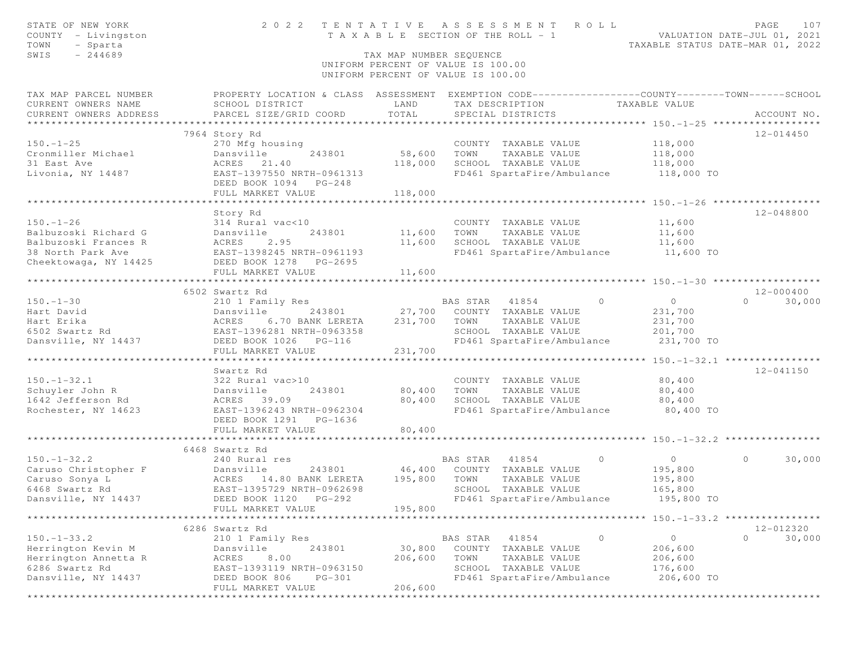| STATE OF NEW YORK                     | 2 0 2 2                                                                                            | TENTATIVE                             |                | A S S E S S M E N T                                           | R O L L        |                | PAGE                             | 107         |
|---------------------------------------|----------------------------------------------------------------------------------------------------|---------------------------------------|----------------|---------------------------------------------------------------|----------------|----------------|----------------------------------|-------------|
| COUNTY - Livingston                   |                                                                                                    | T A X A B L E SECTION OF THE ROLL - 1 |                |                                                               |                |                | VALUATION DATE-JUL 01, 2021      |             |
| TOWN<br>- Sparta<br>SWIS<br>$-244689$ |                                                                                                    | TAX MAP NUMBER SEQUENCE               |                |                                                               |                |                | TAXABLE STATUS DATE-MAR 01, 2022 |             |
|                                       |                                                                                                    | UNIFORM PERCENT OF VALUE IS 100.00    |                |                                                               |                |                |                                  |             |
|                                       |                                                                                                    | UNIFORM PERCENT OF VALUE IS 100.00    |                |                                                               |                |                |                                  |             |
| TAX MAP PARCEL NUMBER                 | PROPERTY LOCATION & CLASS ASSESSMENT EXEMPTION CODE-----------------COUNTY--------TOWN------SCHOOL |                                       |                |                                                               |                |                |                                  |             |
| CURRENT OWNERS NAME                   | SCHOOL DISTRICT                                                                                    | LAND                                  |                | TAX DESCRIPTION TAXABLE VALUE                                 |                |                |                                  |             |
| CURRENT OWNERS ADDRESS                | PARCEL SIZE/GRID COORD                                                                             | TOTAL                                 |                | SPECIAL DISTRICTS                                             |                |                |                                  | ACCOUNT NO. |
|                                       |                                                                                                    |                                       |                |                                                               |                |                |                                  |             |
|                                       | 7964 Story Rd                                                                                      |                                       |                |                                                               |                |                | 12-014450                        |             |
| $150. - 1 - 25$                       | 270 Mfg housing                                                                                    |                                       |                | COUNTY TAXABLE VALUE                                          |                | 118,000        |                                  |             |
| Cronmiller Michael                    | Dansville<br>243801                                                                                | 58,600                                | TOWN           | TAXABLE VALUE                                                 |                | 118,000        |                                  |             |
| 31 East Ave                           | ACRES<br>21.40<br>EAST-1397550 NRTH-0961313                                                        | 118,000                               |                | SCHOOL TAXABLE VALUE<br>FD461 SpartaFire/Ambulance 118,000 TO |                | 118,000        |                                  |             |
| Livonia, NY 14487                     | DEED BOOK 1094 PG-248                                                                              |                                       |                |                                                               |                |                |                                  |             |
|                                       | FULL MARKET VALUE                                                                                  | 118,000                               |                |                                                               |                |                |                                  |             |
|                                       |                                                                                                    |                                       |                |                                                               |                |                |                                  |             |
| $150. - 1 - 26$                       | Story Rd<br>314 Rural vac<10                                                                       |                                       |                | COUNTY TAXABLE VALUE                                          |                | 11,600         | 12-048800                        |             |
| Balbuzoski Richard G                  | Dansville<br>243801                                                                                | 11,600                                | TOWN           | TAXABLE VALUE                                                 |                | 11,600         |                                  |             |
| Balbuzoski Frances R                  | Dansvi<br>ACRES<br>2.95                                                                            | 11,600                                |                | SCHOOL TAXABLE VALUE                                          |                | 11,600         |                                  |             |
| 38 North Park Ave                     | EAST-1398245 NRTH-0961193                                                                          |                                       |                | FD461 SpartaFire/Ambulance 11,600 TO                          |                |                |                                  |             |
| Cheektowaga, NY 14425                 | DEED BOOK 1278 PG-2695                                                                             |                                       |                |                                                               |                |                |                                  |             |
|                                       | FULL MARKET VALUE                                                                                  | 11,600                                |                |                                                               |                |                |                                  |             |
|                                       |                                                                                                    |                                       |                |                                                               |                |                |                                  |             |
|                                       | 6502 Swartz Rd                                                                                     |                                       |                |                                                               |                |                | $12 - 000400$                    |             |
| $150. - 1 - 30$                       | 210 1 Family Res                                                                                   |                                       | BAS STAR 41854 |                                                               | $\Omega$       | $\overline{0}$ | $0 \t 30,000$                    |             |
| Hart David                            | 243801<br>Dansville                                                                                | 27,700                                |                | COUNTY TAXABLE VALUE                                          |                | 231,700        |                                  |             |
| Hart Erika                            |                                                                                                    | 231,700                               | TOWN           | TAXABLE VALUE                                                 |                | 231,700        |                                  |             |
| 6502 Swartz Rd                        | ACRES 6.70 BANK LEREIA<br>EAST-1396281 NRTH-0963358                                                |                                       |                | SCHOOL TAXABLE VALUE                                          |                | 201,700        |                                  |             |
| Dansville, NY 14437                   | DEED BOOK 1026    PG-116<br>FULL MARKET VALUE                                                      | 231,700                               |                | FD461 SpartaFire/Ambulance                                    |                | 231,700 TO     |                                  |             |
|                                       |                                                                                                    |                                       |                |                                                               |                |                |                                  |             |
|                                       | Swartz Rd                                                                                          |                                       |                |                                                               |                |                | 12-041150                        |             |
| $150. - 1 - 32.1$                     | 322 Rural vac>10                                                                                   |                                       |                | COUNTY TAXABLE VALUE                                          |                | 80,400         |                                  |             |
| Schuyler John R                       | Dansville<br>243801                                                                                | 80,400                                | TOWN           | TAXABLE VALUE                                                 |                | 80,400         |                                  |             |
| 1642 Jefferson Rd                     | ACRES 39.09                                                                                        | 80,400                                |                | SCHOOL TAXABLE VALUE                                          |                | 80,400         |                                  |             |
| Rochester, NY 14623                   | EAST-1396243 NRTH-0962304                                                                          |                                       |                | FD461 SpartaFire/Ambulance                                    |                | 80,400 TO      |                                  |             |
|                                       | DEED BOOK 1291 PG-1636                                                                             |                                       |                |                                                               |                |                |                                  |             |
|                                       | FULL MARKET VALUE                                                                                  | 80,400                                |                |                                                               |                |                |                                  |             |
|                                       |                                                                                                    |                                       |                |                                                               |                |                |                                  |             |
| $150. - 1 - 32.2$                     | 6468 Swartz Rd                                                                                     |                                       | BAS STAR 41854 |                                                               | $\overline{0}$ | $\overline{0}$ | $\circ$                          |             |
|                                       | 240 Rural res<br>243801                                                                            | 46,400                                |                | COUNTY TAXABLE VALUE                                          |                | 195,800        |                                  | 30,000      |
|                                       |                                                                                                    | 195,800                               | TOWN           | TAXABLE VALUE                                                 |                | 195,800        |                                  |             |
|                                       |                                                                                                    |                                       |                | SCHOOL TAXABLE VALUE                                          |                | 165,800        |                                  |             |
| Dansville, NY 14437                   | DEED BOOK 1120 PG-292                                                                              |                                       |                | FD461 SpartaFire/Ambulance                                    |                | 195,800 TO     |                                  |             |
|                                       | FULL MARKET VALUE                                                                                  | 195,800                               |                |                                                               |                |                |                                  |             |
|                                       |                                                                                                    |                                       |                |                                                               |                |                |                                  |             |
|                                       | 6286 Swartz Rd                                                                                     |                                       |                |                                                               |                |                | 12-012320                        |             |
| $150. - 1 - 33.2$                     | 210 1 Family Res                                                                                   |                                       | BAS STAR       | 41854                                                         | $\circ$        | $\circ$        | $\Omega$                         | 30,000      |
| Herrington Kevin M                    | 243801<br>Dansville                                                                                | 30,800                                |                | COUNTY TAXABLE VALUE                                          |                | 206,600        |                                  |             |
| Herrington Annetta R                  | ACRES<br>8.00                                                                                      | 206,600                               | TOWN           | TAXABLE VALUE                                                 |                | 206,600        |                                  |             |
| 6286 Swartz Rd                        | EAST-1393119 NRTH-0963150                                                                          |                                       |                | SCHOOL TAXABLE VALUE                                          |                | 176,600        |                                  |             |
| Dansville, NY 14437                   | DEED BOOK 806<br>$PG-301$                                                                          |                                       |                | FD461 SpartaFire/Ambulance                                    |                | 206,600 TO     |                                  |             |
|                                       | FULL MARKET VALUE                                                                                  | 206,600                               |                |                                                               |                |                |                                  |             |
|                                       |                                                                                                    |                                       |                |                                                               |                |                |                                  |             |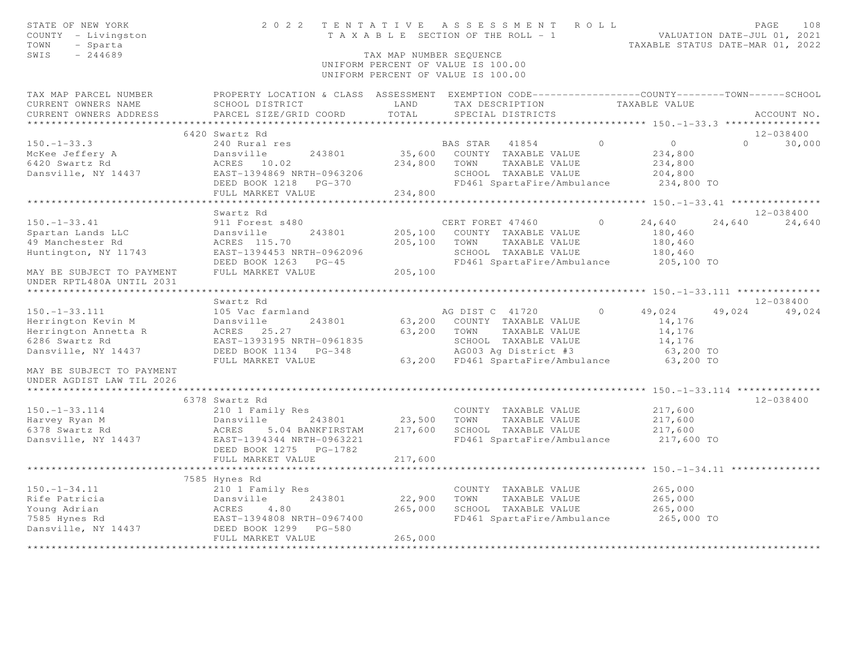| STATE OF NEW YORK<br>COUNTY - Livingston<br>TOWN<br>- Sparta<br>SWIS<br>$-244689$ | 2 0 2 2                                                                                                              | T A X A B L E SECTION OF THE ROLL - 1<br>TAX MAP NUMBER SEQUENCE<br>UNIFORM PERCENT OF VALUE IS 100.00<br>UNIFORM PERCENT OF VALUE IS 100.00 |                  | TENTATIVE ASSESSMENT ROLL             |          | VALUATION DATE-JUL 01, 2021<br>TAXABLE STATUS DATE-MAR 01, 2022 |        | PAGE<br>108                     |
|-----------------------------------------------------------------------------------|----------------------------------------------------------------------------------------------------------------------|----------------------------------------------------------------------------------------------------------------------------------------------|------------------|---------------------------------------|----------|-----------------------------------------------------------------|--------|---------------------------------|
| TAX MAP PARCEL NUMBER<br>CURRENT OWNERS NAME                                      | PROPERTY LOCATION & CLASS ASSESSMENT EXEMPTION CODE----------------COUNTY--------TOWN------SCHOOL<br>SCHOOL DISTRICT | LAND                                                                                                                                         |                  | TAX DESCRIPTION                       |          | TAXABLE VALUE                                                   |        |                                 |
| CURRENT OWNERS ADDRESS<br>*********************                                   | PARCEL SIZE/GRID COORD<br>**************************                                                                 | TOTAL                                                                                                                                        |                  | SPECIAL DISTRICTS                     |          |                                                                 |        | ACCOUNT NO.                     |
|                                                                                   |                                                                                                                      |                                                                                                                                              |                  |                                       |          |                                                                 |        |                                 |
| $150. - 1 - 33.3$                                                                 | 6420 Swartz Rd<br>240 Rural res                                                                                      |                                                                                                                                              | BAS STAR 41854   |                                       | $\circ$  | $\circ$                                                         |        | 12-038400<br>$\Omega$<br>30,000 |
| McKee Jeffery A                                                                   | 243801<br>Dansville                                                                                                  | 35,600                                                                                                                                       |                  | COUNTY TAXABLE VALUE                  |          | 234,800                                                         |        |                                 |
| 6420 Swartz Rd                                                                    | ACRES 10.02                                                                                                          | 234,800                                                                                                                                      | TOWN             | TAXABLE VALUE                         |          | 234,800                                                         |        |                                 |
| Dansville, NY 14437                                                               | EAST-1394869 NRTH-0963206                                                                                            |                                                                                                                                              |                  | SCHOOL TAXABLE VALUE                  |          | 204,800                                                         |        |                                 |
|                                                                                   | DEED BOOK 1218 PG-370                                                                                                |                                                                                                                                              |                  | FD461 SpartaFire/Ambulance            |          | 234,800 TO                                                      |        |                                 |
|                                                                                   | FULL MARKET VALUE                                                                                                    | 234,800                                                                                                                                      |                  |                                       |          |                                                                 |        |                                 |
|                                                                                   |                                                                                                                      |                                                                                                                                              |                  |                                       |          | *********** 150. -1-33. 41 ****************                     |        |                                 |
|                                                                                   | Swartz Rd                                                                                                            |                                                                                                                                              |                  |                                       |          |                                                                 |        | $12 - 038400$                   |
| $150. - 1 - 33.41$                                                                | 911 Forest s480                                                                                                      |                                                                                                                                              | CERT FORET 47460 |                                       | $\circ$  | 24,640                                                          | 24,640 | 24,640                          |
| Spartan Lands LLC                                                                 | 243801<br>Dansville                                                                                                  | 205,100                                                                                                                                      |                  | COUNTY TAXABLE VALUE                  |          | 180,460                                                         |        |                                 |
| 49 Manchester Rd<br>Huntington, NY 11743                                          | ACRES 115.70<br>EAST-1394453 NRTH-0962096                                                                            | 205,100                                                                                                                                      | TOWN             | TAXABLE VALUE<br>SCHOOL TAXABLE VALUE |          | 180,460<br>180,460                                              |        |                                 |
|                                                                                   | DEED BOOK 1263 PG-45                                                                                                 |                                                                                                                                              |                  | FD461 SpartaFire/Ambulance            |          | 205,100 TO                                                      |        |                                 |
| MAY BE SUBJECT TO PAYMENT                                                         | FULL MARKET VALUE                                                                                                    | 205,100                                                                                                                                      |                  |                                       |          |                                                                 |        |                                 |
| UNDER RPTL480A UNTIL 2031                                                         |                                                                                                                      |                                                                                                                                              |                  |                                       |          |                                                                 |        |                                 |
|                                                                                   |                                                                                                                      |                                                                                                                                              |                  |                                       |          |                                                                 |        |                                 |
|                                                                                   | Swartz Rd                                                                                                            |                                                                                                                                              |                  |                                       |          |                                                                 |        | 12-038400                       |
| $150. - 1 - 33.111$                                                               | 105 Vac farmland                                                                                                     |                                                                                                                                              | AG DIST C 41720  |                                       | $\Omega$ | 49,024                                                          | 49,024 | 49,024                          |
| Herrington Kevin M                                                                | 243801<br>Dansville                                                                                                  |                                                                                                                                              |                  | 63,200 COUNTY TAXABLE VALUE           |          | 14,176                                                          |        |                                 |
| Herrington Annetta R<br>6286 Swartz Rd                                            | ACRES 25.27<br>EAST-1393195 NRTH-0961835                                                                             |                                                                                                                                              | 63,200 TOWN      | TAXABLE VALUE<br>SCHOOL TAXABLE VALUE |          | 14,176<br>14,176                                                |        |                                 |
| Dansville, NY 14437                                                               | DEED BOOK 1134 PG-348                                                                                                |                                                                                                                                              |                  | AG003 Ag District #3                  |          | 63,200 TO                                                       |        |                                 |
|                                                                                   | FULL MARKET VALUE                                                                                                    |                                                                                                                                              |                  |                                       |          | 63,200 FD461 SpartaFire/Ambulance 63,200 TO                     |        |                                 |
| MAY BE SUBJECT TO PAYMENT<br>UNDER AGDIST LAW TIL 2026                            |                                                                                                                      |                                                                                                                                              |                  |                                       |          |                                                                 |        |                                 |
|                                                                                   |                                                                                                                      |                                                                                                                                              |                  |                                       |          |                                                                 |        |                                 |
|                                                                                   | 6378 Swartz Rd                                                                                                       |                                                                                                                                              |                  |                                       |          |                                                                 |        | 12-038400                       |
| $150. - 1 - 33.114$                                                               | 210 1 Family Res                                                                                                     |                                                                                                                                              |                  | COUNTY TAXABLE VALUE                  |          | 217,600                                                         |        |                                 |
| Harvey Ryan M<br>6378 Swartz Rd                                                   | Dansville<br>243801<br>5.04 BANKFIRSTAM<br>ACRES                                                                     | 23,500<br>217,600                                                                                                                            | TOWN             | TAXABLE VALUE<br>SCHOOL TAXABLE VALUE |          | 217,600<br>217,600                                              |        |                                 |
| Dansville, NY 14437                                                               | EAST-1394344 NRTH-0963221                                                                                            |                                                                                                                                              |                  | FD461 SpartaFire/Ambulance            |          | 217,600 TO                                                      |        |                                 |
|                                                                                   | DEED BOOK 1275 PG-1782                                                                                               |                                                                                                                                              |                  |                                       |          |                                                                 |        |                                 |
|                                                                                   | FULL MARKET VALUE                                                                                                    | 217,600                                                                                                                                      |                  |                                       |          |                                                                 |        |                                 |
|                                                                                   | ***********************                                                                                              |                                                                                                                                              |                  |                                       |          |                                                                 |        |                                 |
|                                                                                   | 7585 Hynes Rd                                                                                                        |                                                                                                                                              |                  |                                       |          |                                                                 |        |                                 |
| $150. - 1 - 34.11$                                                                | 210 1 Family Res                                                                                                     |                                                                                                                                              |                  | COUNTY TAXABLE VALUE                  |          | 265,000                                                         |        |                                 |
| Rife Patricia                                                                     | 243801<br>Dansville                                                                                                  | 22,900                                                                                                                                       | TOWN             | TAXABLE VALUE                         |          | 265,000                                                         |        |                                 |
| Young Adrian                                                                      | ACRES<br>4.80                                                                                                        | 265,000                                                                                                                                      |                  | SCHOOL TAXABLE VALUE                  |          | 265,000                                                         |        |                                 |
| 7585 Hynes Rd                                                                     | EAST-1394808 NRTH-0967400                                                                                            |                                                                                                                                              |                  | FD461 SpartaFire/Ambulance            |          | 265,000 TO                                                      |        |                                 |
| Dansville, NY 14437                                                               | DEED BOOK 1299<br>PG-580<br>FULL MARKET VALUE                                                                        |                                                                                                                                              |                  |                                       |          |                                                                 |        |                                 |
|                                                                                   |                                                                                                                      | 265,000                                                                                                                                      |                  |                                       |          |                                                                 |        |                                 |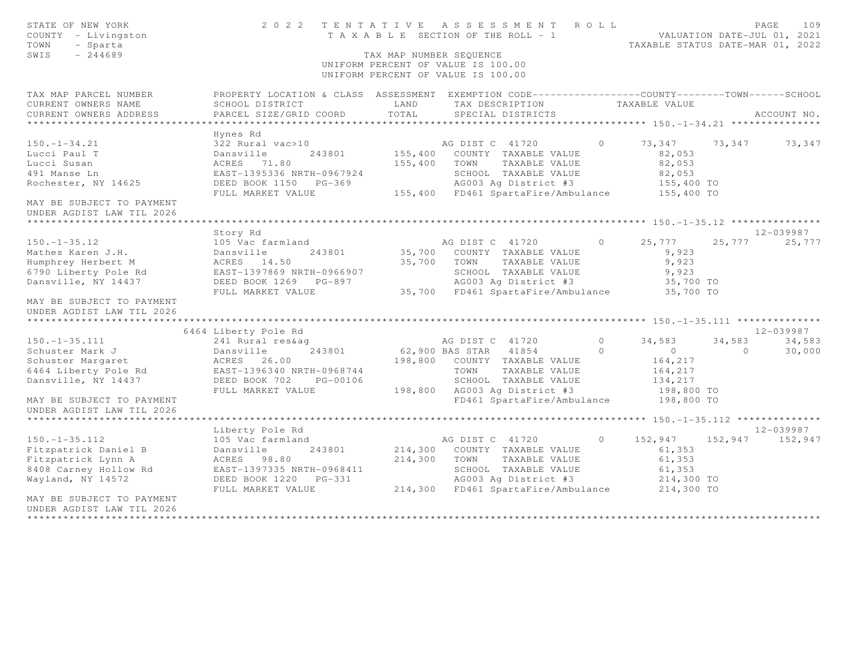| STATE OF NEW YORK<br>COUNTY - Livingston<br>TOWN<br>- Sparta<br>SWIS<br>$-244689$ | 2 0 2 2                                                                                         | TAX MAP NUMBER SEQUENCE | TENTATIVE ASSESSMENT ROLL<br>T A X A B L E SECTION OF THE ROLL - 1<br>UNIFORM PERCENT OF VALUE IS 100.00<br>UNIFORM PERCENT OF VALUE IS 100.00 |         | TAXABLE STATUS DATE-MAR 01, 2022 |         | 109<br>PAGE<br>VALUATION DATE-JUL 01, 2021 |
|-----------------------------------------------------------------------------------|-------------------------------------------------------------------------------------------------|-------------------------|------------------------------------------------------------------------------------------------------------------------------------------------|---------|----------------------------------|---------|--------------------------------------------|
| TAX MAP PARCEL NUMBER                                                             | PROPERTY LOCATION & CLASS ASSESSMENT EXEMPTION CODE---------------COUNTY-------TOWN------SCHOOL |                         |                                                                                                                                                |         |                                  |         |                                            |
| CURRENT OWNERS NAME                                                               | SCHOOL DISTRICT                                                                                 | LAND                    | TAX DESCRIPTION                                                                                                                                |         | TAXABLE VALUE                    |         |                                            |
| CURRENT OWNERS ADDRESS<br>*********************                                   | PARCEL SIZE/GRID COORD                                                                          | TOTAL                   | SPECIAL DISTRICTS                                                                                                                              |         |                                  |         | ACCOUNT NO.                                |
|                                                                                   | Hynes Rd                                                                                        |                         |                                                                                                                                                |         |                                  |         |                                            |
| $150. - 1 - 34.21$                                                                | 322 Rural vac>10                                                                                |                         | AG DIST C 41720                                                                                                                                | $\circ$ | 73,347                           | 73,347  | 73,347                                     |
| Lucci Paul T                                                                      | Dansville<br>243801                                                                             |                         | 155,400 COUNTY TAXABLE VALUE                                                                                                                   |         | 82,053                           |         |                                            |
| Lucci Susan                                                                       | ACRES 71.80                                                                                     | 155,400                 | TOWN<br>TAXABLE VALUE                                                                                                                          |         | 82,053                           |         |                                            |
| 491 Manse Ln                                                                      | EAST-1395336 NRTH-0967924                                                                       |                         | SCHOOL TAXABLE VALUE                                                                                                                           |         | 82,053                           |         |                                            |
| Rochester, NY 14625                                                               | DEED BOOK 1150 PG-369                                                                           |                         | AG003 Ag District #3                                                                                                                           |         | 155,400 TO                       |         |                                            |
|                                                                                   | FULL MARKET VALUE                                                                               |                         | 155,400 FD461 SpartaFire/Ambulance                                                                                                             |         | 155,400 TO                       |         |                                            |
| MAY BE SUBJECT TO PAYMENT<br>UNDER AGDIST LAW TIL 2026                            |                                                                                                 |                         |                                                                                                                                                |         |                                  |         |                                            |
| ************************                                                          |                                                                                                 |                         |                                                                                                                                                |         |                                  |         |                                            |
|                                                                                   | Story Rd                                                                                        |                         |                                                                                                                                                |         |                                  |         | 12-039987                                  |
| $150. - 1 - 35.12$                                                                | 105 Vac farmland                                                                                |                         | AG DIST C 41720                                                                                                                                | $\circ$ | 25,777                           | 25,777  | 25,777                                     |
| Mathes Karen J.H.                                                                 | Dansville<br>243801                                                                             | 35,700                  | COUNTY TAXABLE VALUE                                                                                                                           |         | 9,923                            |         |                                            |
| Humphrey Herbert M<br>6790 Liberty Pole Rd                                        | ACRES 14.50<br>EAST-1397869 NRTH-0966907                                                        | 35,700                  | TOWN<br>TAXABLE VALUE<br>SCHOOL TAXABLE VALUE                                                                                                  |         | 9,923<br>9,923                   |         |                                            |
| Dansville, NY 14437                                                               | DEED BOOK 1269 PG-897                                                                           |                         | AG003 Ag District #3                                                                                                                           |         | 35,700 TO                        |         |                                            |
|                                                                                   | FULL MARKET VALUE                                                                               |                         | 35,700 FD461 SpartaFire/Ambulance                                                                                                              |         | 35,700 TO                        |         |                                            |
| MAY BE SUBJECT TO PAYMENT                                                         |                                                                                                 |                         |                                                                                                                                                |         |                                  |         |                                            |
| UNDER AGDIST LAW TIL 2026                                                         |                                                                                                 |                         |                                                                                                                                                |         |                                  |         |                                            |
| *****************************                                                     |                                                                                                 |                         |                                                                                                                                                |         |                                  |         |                                            |
|                                                                                   | 6464 Liberty Pole Rd                                                                            |                         |                                                                                                                                                |         |                                  |         | 12-039987                                  |
| $150. - 1 - 35.111$                                                               | 241 Rural res&ag                                                                                |                         | AG DIST C 41720                                                                                                                                | $\circ$ | 34,583                           | 34,583  | 34,583                                     |
| Schuster Mark J                                                                   | Dansville<br>243801                                                                             |                         | 62,900 BAS STAR 41854                                                                                                                          | $\circ$ | $\circ$                          | $\circ$ | 30,000                                     |
| Schuster Margaret                                                                 | ACRES 26.00                                                                                     | 198,800                 | COUNTY TAXABLE VALUE                                                                                                                           |         | 164,217                          |         |                                            |
| 6464 Liberty Pole Rd                                                              | EAST-1396340 NRTH-0968744                                                                       |                         | TOWN<br>TAXABLE VALUE                                                                                                                          |         | 164,217                          |         |                                            |
| Dansville, NY 14437                                                               | DEED BOOK 702<br>PG-00106                                                                       |                         | SCHOOL TAXABLE VALUE                                                                                                                           |         | 134,217                          |         |                                            |
|                                                                                   | FULL MARKET VALUE                                                                               | 198,800                 | AG003 Ag District #3                                                                                                                           |         | 198,800 TO                       |         |                                            |
| MAY BE SUBJECT TO PAYMENT<br>UNDER AGDIST LAW TIL 2026                            |                                                                                                 |                         | FD461 SpartaFire/Ambulance                                                                                                                     |         | 198,800 TO                       |         |                                            |
|                                                                                   |                                                                                                 |                         |                                                                                                                                                |         |                                  |         |                                            |
|                                                                                   | Liberty Pole Rd                                                                                 |                         |                                                                                                                                                | $\circ$ |                                  |         | 12-039987                                  |
| $150. - 1 - 35.112$                                                               | 105 Vac farmland                                                                                |                         | AG DIST C 41720                                                                                                                                |         | 152,947                          | 152,947 | 152,947                                    |
| Fitzpatrick Daniel B                                                              | Dansville<br>243801                                                                             | 214,300<br>214,300      | COUNTY TAXABLE VALUE<br>TOWN<br>TAXABLE VALUE                                                                                                  |         | 61,353                           |         |                                            |
| Fitzpatrick Lynn A<br>8408 Carney Hollow Rd                                       | ACRES 98.80<br>EAST-1397335 NRTH-0968411                                                        |                         | SCHOOL TAXABLE VALUE                                                                                                                           |         | 61,353<br>61,353                 |         |                                            |
| Wayland, NY 14572                                                                 | DEED BOOK 1220 PG-331                                                                           |                         | AG003 Ag District #3                                                                                                                           |         | 214,300 TO                       |         |                                            |
|                                                                                   | FULL MARKET VALUE                                                                               |                         | 214,300 FD461 SpartaFire/Ambulance                                                                                                             |         | 214,300 TO                       |         |                                            |
| MAY BE SUBJECT TO PAYMENT                                                         |                                                                                                 |                         |                                                                                                                                                |         |                                  |         |                                            |
| UNDER AGDIST LAW TIL 2026                                                         |                                                                                                 |                         |                                                                                                                                                |         |                                  |         |                                            |
| ****************************                                                      |                                                                                                 |                         |                                                                                                                                                |         |                                  |         |                                            |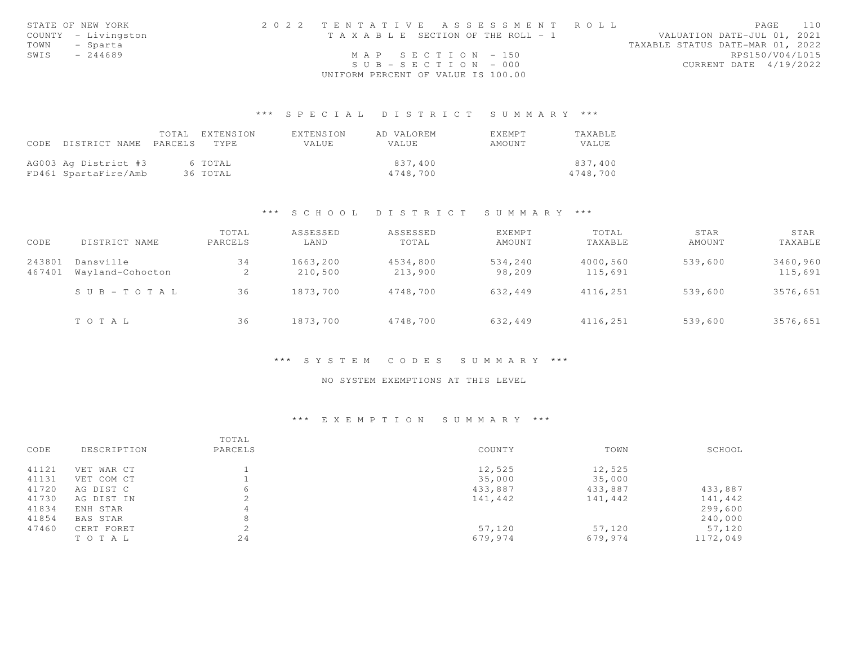|      | STATE OF NEW YORK   | 2022 TENTATIVE ASSESSMENT ROLL        | 110<br>PAGE                      |
|------|---------------------|---------------------------------------|----------------------------------|
|      | COUNTY - Livingston | T A X A B L E SECTION OF THE ROLL - 1 | VALUATION DATE-JUL 01, 2021      |
| TOWN | - Sparta            |                                       | TAXABLE STATUS DATE-MAR 01, 2022 |
| SWIS | $-244689$           | MAP SECTION $-150$                    | RPS150/V04/L015                  |
|      |                     | $SUB - SECTION - 000$                 | CURRENT DATE 4/19/2022           |
|      |                     | UNIFORM PERCENT OF VALUE IS 100.00    |                                  |

## \*\*\* S P E C I A L D I S T R I C T S U M M A R Y \*\*\*

|                            | TOTAL | EXTENSION | EXTENSION | AD VALOREM | EXEMPT | TAXABLE      |
|----------------------------|-------|-----------|-----------|------------|--------|--------------|
| CODE DISTRICT NAME PARCELS |       | TYPE.     | VALUE     | VALUE      | AMOUNT | <b>VALUE</b> |
|                            |       |           |           |            |        |              |
| AG003 Ag District #3       |       | 6 TOTAL   |           | 837,400    |        | 837,400      |
| FD461 SpartaFire/Amb       |       | 36 TOTAL  |           | 4748,700   |        | 4748,700     |

### \*\*\* S C H O O L D I S T R I C T S U M M A R Y \*\*\*

| CODE             | DISTRICT NAME                 | TOTAL<br>PARCELS | ASSESSED<br>LAND    | ASSESSED<br>TOTAL   | <b>EXEMPT</b><br>AMOUNT | TOTAL<br>TAXABLE    | STAR<br>AMOUNT | STAR<br>TAXABLE     |
|------------------|-------------------------------|------------------|---------------------|---------------------|-------------------------|---------------------|----------------|---------------------|
| 243801<br>467401 | Dansville<br>Wayland-Cohocton | 34<br>2          | 1663,200<br>210,500 | 4534,800<br>213,900 | 534,240<br>98,209       | 4000,560<br>115,691 | 539,600        | 3460,960<br>115,691 |
|                  | $S \cup B - TO T A L$         | 36               | 1873,700            | 4748,700            | 632,449                 | 4116,251            | 539,600        | 3576,651            |
|                  | TOTAL                         | 36               | 1873,700            | 4748,700            | 632,449                 | 4116,251            | 539,600        | 3576,651            |

### \*\*\* S Y S T E M C O D E S S U M M A R Y \*\*\*

### NO SYSTEM EXEMPTIONS AT THIS LEVEL

### \*\*\* E X E M P T I O N S U M M A R Y \*\*\*

|       |             | TOTAL         |         |         |          |
|-------|-------------|---------------|---------|---------|----------|
| CODE  | DESCRIPTION | PARCELS       | COUNTY  | TOWN    | SCHOOL   |
| 41121 | VET WAR CT  |               | 12,525  | 12,525  |          |
| 41131 | VET COM CT  |               | 35,000  | 35,000  |          |
| 41720 | AG DIST C   | 6             | 433,887 | 433,887 | 433,887  |
| 41730 | AG DIST IN  |               | 141,442 | 141,442 | 141,442  |
| 41834 | ENH STAR    | 4             |         |         | 299,600  |
| 41854 | BAS STAR    | 8             |         |         | 240,000  |
| 47460 | CERT FORET  | $\mathcal{L}$ | 57,120  | 57,120  | 57,120   |
|       | TO TAL      | 24            | 679,974 | 679,974 | 1172,049 |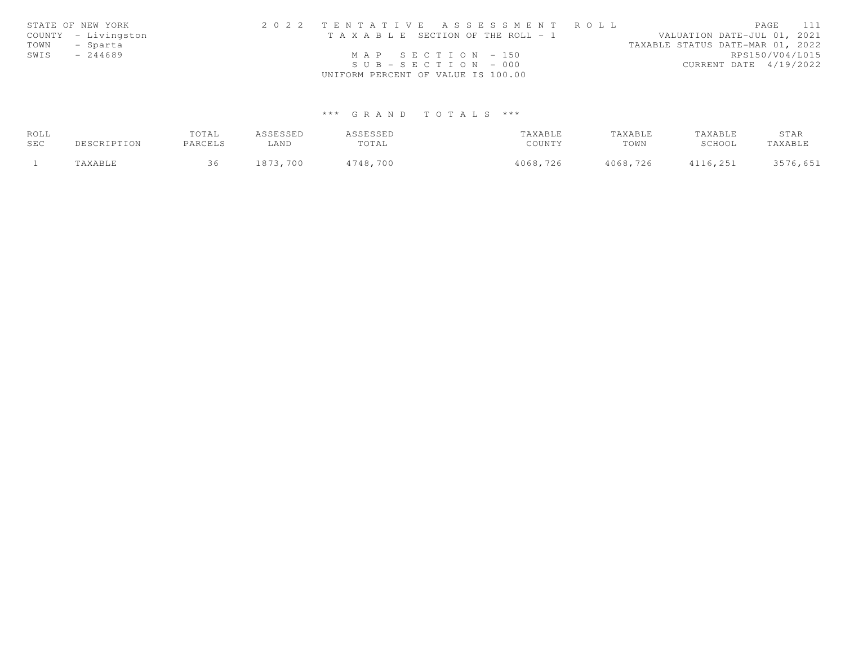|      | STATE OF NEW YORK   | 2022 TENTATIVE ASSESSMENT ROLL        | 111<br>PAGE                      |
|------|---------------------|---------------------------------------|----------------------------------|
|      | COUNTY - Livingston | T A X A B L E SECTION OF THE ROLL - 1 | VALUATION DATE-JUL 01, 2021      |
| TOWN | - Sparta            |                                       | TAXABLE STATUS DATE-MAR 01, 2022 |
| SWIS | $-244689$           | MAP SECTION $-150$                    | RPS150/V04/L015                  |
|      |                     | $SUB - SECTION - 000$                 | CURRENT DATE 4/19/2022           |
|      |                     | UNIFORM PERCENT OF VALUE IS 100.00    |                                  |

# \*\*\* G R A N D T O T A L S \*\*\*

| ROLL |             | TOTAL   | ASSESSED | ASSESSED | TAXABLE  | TAXABLE  | TAXABLE  | STAR     |
|------|-------------|---------|----------|----------|----------|----------|----------|----------|
| SEC  | DESCRIPTION | PARCELS | ∟AND     | TOTAL    | COUNTY   | TOWN     | SCHOOL   | TAXABLE  |
|      | TAXABLE     |         | 1873,700 | 4748,700 | 4068,726 | 4068,726 | 4116,251 | 3576,651 |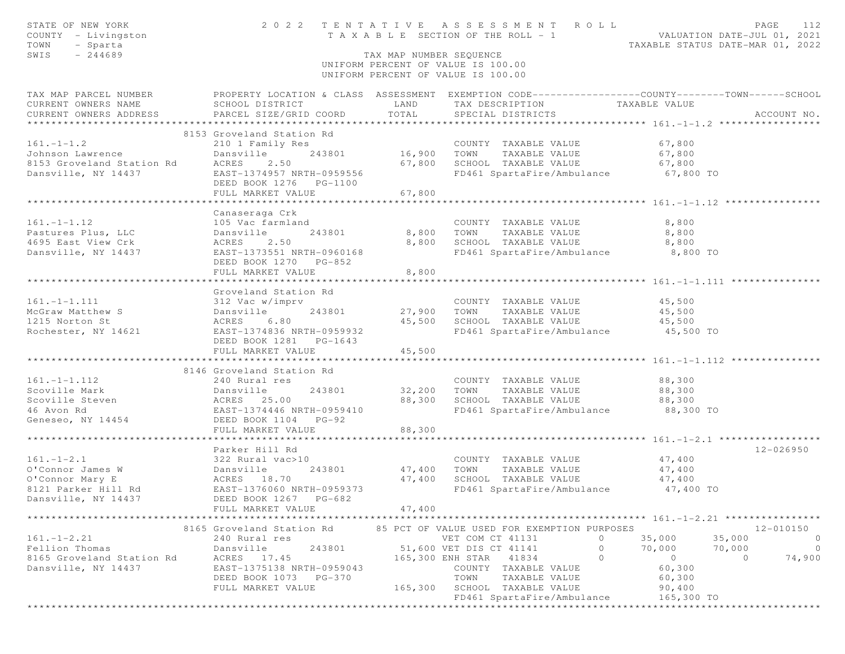| STATE OF NEW YORK<br>COUNTY - Livingston                                                                                                        |                                            |                         | 2022 TENTATIVE ASSESSMENT ROLL<br>T A X A B L E SECTION OF THE ROLL - 1 VALUATION DATE-JUL 01, 2021 |                | PAGE<br>112                      |
|-------------------------------------------------------------------------------------------------------------------------------------------------|--------------------------------------------|-------------------------|-----------------------------------------------------------------------------------------------------|----------------|----------------------------------|
| TOWN<br>- Sparta                                                                                                                                |                                            |                         |                                                                                                     |                | TAXABLE STATUS DATE-MAR 01, 2022 |
| SWIS<br>$-244689$                                                                                                                               |                                            | TAX MAP NUMBER SEQUENCE |                                                                                                     |                |                                  |
|                                                                                                                                                 |                                            |                         | UNIFORM PERCENT OF VALUE IS 100.00<br>UNIFORM PERCENT OF VALUE IS 100.00                            |                |                                  |
| TAX MAP PARCEL NUMBER THE PROPERTY LOCATION & CLASS ASSESSMENT EXEMPTION CODE--------------COUNTY-------TOWN------SCHOOL                        |                                            |                         |                                                                                                     |                |                                  |
| CURRENT OWNERS NAME                                                                                                                             | SCHOOL DISTRICT                            | LAND                    | TAX DESCRIPTION TAXABLE VALUE                                                                       |                |                                  |
| CURRENT OWNERS ADDRESS                                                                                                                          | PARCEL SIZE/GRID COORD                     | TOTAL                   | SPECIAL DISTRICTS                                                                                   |                | ACCOUNT NO.                      |
|                                                                                                                                                 |                                            |                         |                                                                                                     |                |                                  |
|                                                                                                                                                 | 8153 Groveland Station Rd                  |                         |                                                                                                     |                |                                  |
| $161. - 1 - 1.2$                                                                                                                                |                                            |                         |                                                                                                     | 67,800         |                                  |
| Johnson Lawrence                                                                                                                                |                                            |                         |                                                                                                     | 67,800         |                                  |
| 8153 Groveland Station Rd                                                                                                                       | ACRES<br>2.50                              |                         | 67,800 SCHOOL TAXABLE VALUE 67,800                                                                  |                |                                  |
| Dansville, NY 14437                                                                                                                             | EAST-1374957 NRTH-0959556                  |                         | FD461 SpartaFire/Ambulance                                                                          | 67,800 TO      |                                  |
|                                                                                                                                                 | DEED BOOK 1276    PG-1100                  |                         |                                                                                                     |                |                                  |
|                                                                                                                                                 | FULL MARKET VALUE                          | 67,800                  |                                                                                                     |                |                                  |
|                                                                                                                                                 |                                            |                         |                                                                                                     |                |                                  |
|                                                                                                                                                 | Canaseraga Crk                             |                         |                                                                                                     |                |                                  |
| $161. - 1 - 1.12$                                                                                                                               | 105 Vac farmland                           |                         | COUNTY TAXABLE VALUE                                                                                | 8,800          |                                  |
| Pastures Plus, LLC<br>4695 East View Crk ACRES                                                                                                  | 243801                                     | 8,800                   |                                                                                                     | 8,800          |                                  |
|                                                                                                                                                 | 2.50                                       | 8,800                   | TOWN      TAXABLE VALUE<br>SCHOOL   TAXABLE VALUE                                                   | 8,800          |                                  |
| Dansville, NY 14437 EAST-1373551 NRTH-0960168                                                                                                   |                                            |                         | FD461 SpartaFire/Ambulance 8,800 TO                                                                 |                |                                  |
|                                                                                                                                                 | DEED BOOK 1270 PG-852                      |                         |                                                                                                     |                |                                  |
|                                                                                                                                                 | FULL MARKET VALUE                          | 8,800                   |                                                                                                     |                |                                  |
|                                                                                                                                                 |                                            |                         |                                                                                                     |                |                                  |
|                                                                                                                                                 | Groveland Station Rd                       |                         |                                                                                                     |                |                                  |
|                                                                                                                                                 |                                            |                         | COUNTY TAXABLE VALUE                                                                                | 45,500         |                                  |
|                                                                                                                                                 |                                            |                         | 27,900 TOWN TAXABLE VALUE                                                                           | 45,500         |                                  |
|                                                                                                                                                 |                                            |                         | 45,500 SCHOOL TAXABLE VALUE                                                                         | 45,500         |                                  |
| 161.-1-1.111 312 Vac w/imprv<br>McGraw Matthew S Dansville 243801<br>1215 Norton St ACRES 6.80<br>Rochester, NY 14621 EAST-1374836 NRTH-0959932 |                                            |                         | FD461 SpartaFire/Ambulance 45,500 TO                                                                |                |                                  |
|                                                                                                                                                 | DEED BOOK 1281 PG-1643                     |                         |                                                                                                     |                |                                  |
|                                                                                                                                                 | FULL MARKET VALUE                          | 45,500                  |                                                                                                     |                |                                  |
|                                                                                                                                                 |                                            |                         |                                                                                                     |                |                                  |
|                                                                                                                                                 | 8146 Groveland Station Rd                  |                         |                                                                                                     |                |                                  |
|                                                                                                                                                 |                                            |                         | COUNTY TAXABLE VALUE                                                                                | 88,300         |                                  |
|                                                                                                                                                 | 243801                                     |                         | 32,200 TOWN TAXABLE VALUE                                                                           | 88,300         |                                  |
| 161.-1-1.112 240 Rural res<br>Scoville Mark Dansville<br>Scoville Steven ACRES 25.00<br>46 Avon Rd EAST-1374446 N                               |                                            | 88,300                  | SCHOOL TAXABLE VALUE                                                                                | 88,300         |                                  |
|                                                                                                                                                 | EAST-1374446 NRTH-0959410                  |                         | FD461 SpartaFire/Ambulance                                                                          | 88,300 TO      |                                  |
| Geneseo, NY 14454 DEED BOOK 1104 PG-92                                                                                                          |                                            |                         |                                                                                                     |                |                                  |
|                                                                                                                                                 | FULL MARKET VALUE                          | 88,300                  |                                                                                                     |                |                                  |
|                                                                                                                                                 | Parker Hill Rd                             |                         |                                                                                                     |                |                                  |
| 1.1.1.2.1<br>0'Connor James W 322 Rural vac>10<br>0'Connor Mary E 2.<br>8121 Parker Hill Rd EAST-1376060 NRTH-<br>Dansville, NY 14437           |                                            |                         | COUNTY TAXABLE VALUE 47,400                                                                         |                | 12-026950                        |
|                                                                                                                                                 | 243801                                     |                         |                                                                                                     |                |                                  |
|                                                                                                                                                 |                                            | 47,400                  | TOWN      TAXABLE VALUE<br>SCHOOL   TAXABLE VALUE                                                   | 47,400         |                                  |
|                                                                                                                                                 | EAST-1376060 NRTH-0959373                  | 47,400                  |                                                                                                     | 47,400         |                                  |
|                                                                                                                                                 |                                            |                         | FD461 SpartaFire/Ambulance 47,400 TO                                                                |                |                                  |
|                                                                                                                                                 | DEED BOOK 1267 PG-682<br>FULL MARKET VALUE | 47,400                  |                                                                                                     |                |                                  |
|                                                                                                                                                 | *********************                      |                         |                                                                                                     |                |                                  |
|                                                                                                                                                 | 8165 Groveland Station Rd                  |                         | 85 PCT OF VALUE USED FOR EXEMPTION PURPOSES                                                         |                | 12-010150                        |
| $161. - 1 - 2.21$                                                                                                                               | 240 Rural res                              |                         | VET COM CT 41131                                                                                    | 35,000         | $\overline{0}$<br>35,000         |
| Fellion Thomas                                                                                                                                  | 243801<br>Dansville                        |                         | $\Omega$<br>51,600 VET DIS CT 41141                                                                 | 70,000         | 70,000<br>$\overline{0}$         |
| 8165 Groveland Station Rd                                                                                                                       | ACRES 17.45                                |                         | 165,300 ENH STAR 41834<br>$\circ$                                                                   | $\overline{O}$ | $\circ$<br>74,900                |
| Dansville, NY 14437                                                                                                                             | EAST-1375138 NRTH-0959043                  |                         | COUNTY TAXABLE VALUE                                                                                | 60,300         |                                  |
|                                                                                                                                                 | DEED BOOK 1073 PG-370                      |                         | TOWN<br>TAXABLE VALUE                                                                               | 60,300         |                                  |
|                                                                                                                                                 | FULL MARKET VALUE                          | 165,300                 | SCHOOL TAXABLE VALUE                                                                                | 90,400         |                                  |
|                                                                                                                                                 |                                            |                         | FD461 SpartaFire/Ambulance                                                                          | 165,300 TO     |                                  |
|                                                                                                                                                 |                                            |                         |                                                                                                     |                |                                  |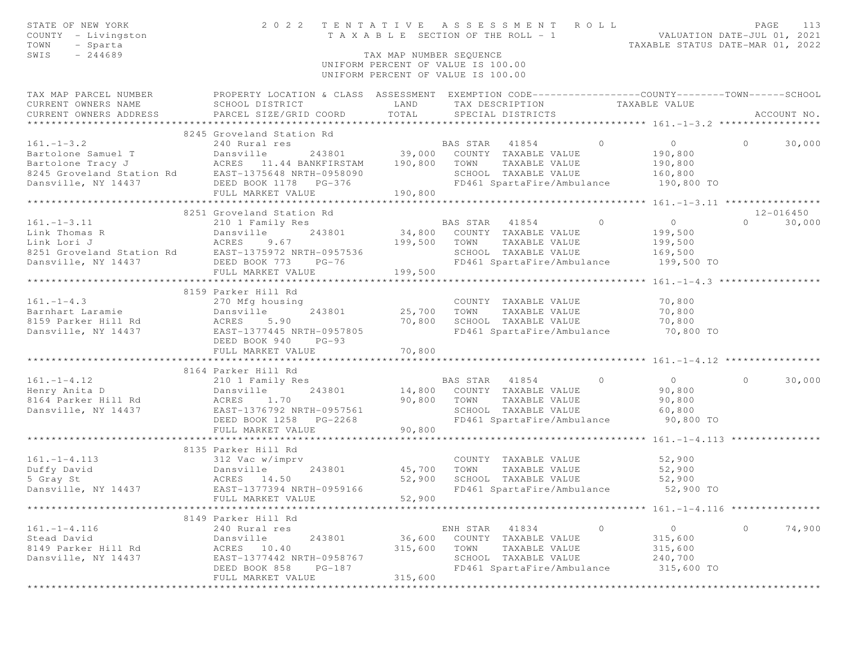| STATE OF NEW YORK<br>COUNTY - Livingston<br>TOWN<br>- Sparta<br>$-244689$<br>SWIS                                                                                                                                                | 2022 TENTATIVE ASSESSMENT ROLL                                                                                                                | TAX MAP NUMBER SEOUENCE<br>UNIFORM PERCENT OF VALUE IS 100.00<br>UNIFORM PERCENT OF VALUE IS 100.00 |                |                                                    |          | T A X A B L E SECTION OF THE ROLL - 1 WALUATION DATE-JUL 01, 2021<br>TAXABLE STATUS DATE-MAR 01. 2022<br>TAXABLE STATUS DATE-MAR 01, 2022 |          | PAGE<br>113   |
|----------------------------------------------------------------------------------------------------------------------------------------------------------------------------------------------------------------------------------|-----------------------------------------------------------------------------------------------------------------------------------------------|-----------------------------------------------------------------------------------------------------|----------------|----------------------------------------------------|----------|-------------------------------------------------------------------------------------------------------------------------------------------|----------|---------------|
| TAX MAP PARCEL NUMBER<br>CURRENT OWNERS NAME<br>CURRENT OWNERS ADDRESS                                                                                                                                                           | PROPERTY LOCATION & CLASS ASSESSMENT EXEMPTION CODE----------------COUNTY-------TOWN------SCHOOL<br>SCHOOL DISTRICT<br>PARCEL SIZE/GRID COORD | LAND<br>TOTAL                                                                                       |                | TAX DESCRIPTION TAXABLE VALUE<br>SPECIAL DISTRICTS |          |                                                                                                                                           |          | ACCOUNT NO.   |
|                                                                                                                                                                                                                                  | 8245 Groveland Station Rd                                                                                                                     |                                                                                                     |                |                                                    |          |                                                                                                                                           |          |               |
| $161. - 1 - 3.2$                                                                                                                                                                                                                 | 240 Rural res                                                                                                                                 |                                                                                                     | BAS STAR 41854 |                                                    | $\Omega$ | $\overline{0}$                                                                                                                            | $\Omega$ | 30,000        |
|                                                                                                                                                                                                                                  |                                                                                                                                               |                                                                                                     |                |                                                    |          | 190,800                                                                                                                                   |          |               |
|                                                                                                                                                                                                                                  |                                                                                                                                               |                                                                                                     |                | TAXABLE VALUE                                      |          | 190,800                                                                                                                                   |          |               |
| Bartolone Samuel T<br>Bartolone Tracy J<br>Bartolone Tracy J<br>Bartolone Tracy J<br>Bartolone Tracy J<br>Bartolone Tracy J<br>BARTEL BOOK 1178 PG-376<br>Dansville, NY 14437<br>DEED BOOK 1178 PG-376<br>PD461 SpartaFire/Ambul |                                                                                                                                               |                                                                                                     |                |                                                    |          | 160,800                                                                                                                                   |          |               |
|                                                                                                                                                                                                                                  | DEED BOOK 1178 PG-376                                                                                                                         |                                                                                                     |                | FD461 SpartaFire/Ambulance                         |          | 190,800 TO                                                                                                                                |          |               |
|                                                                                                                                                                                                                                  | FULL MARKET VALUE                                                                                                                             | 190,800                                                                                             |                |                                                    |          |                                                                                                                                           |          |               |
|                                                                                                                                                                                                                                  |                                                                                                                                               |                                                                                                     |                |                                                    |          | ********** 161.-1-3.11 *****************                                                                                                  |          |               |
|                                                                                                                                                                                                                                  | 8251 Groveland Station Rd                                                                                                                     |                                                                                                     |                |                                                    |          |                                                                                                                                           |          | 12-016450     |
| $161. - 1 - 3.11$                                                                                                                                                                                                                | 210 1 Family Res                                                                                                                              |                                                                                                     | BAS STAR 41854 |                                                    | $\circ$  | $\overline{0}$                                                                                                                            |          | $0 \t 30,000$ |
|                                                                                                                                                                                                                                  |                                                                                                                                               | 34,800                                                                                              | TOWN           | COUNTY TAXABLE VALUE<br>TAXABLE VALUE              |          | 199,500                                                                                                                                   |          |               |
|                                                                                                                                                                                                                                  |                                                                                                                                               | 199,500                                                                                             |                | SCHOOL TAXABLE VALUE                               |          | 199,500<br>169,500                                                                                                                        |          |               |
| 161.-1-3.11<br>Link Thomas R<br>Link Lori J<br>8251 Groveland Station Rd<br>Dansville, NY 14437<br>DEED BOOK 773 PEST<br>FIII MARKET VALUE                                                                                       |                                                                                                                                               |                                                                                                     |                | FD461 SpartaFire/Ambulance                         |          | 199,500 TO                                                                                                                                |          |               |
|                                                                                                                                                                                                                                  | FULL MARKET VALUE                                                                                                                             | 199,500                                                                                             |                |                                                    |          |                                                                                                                                           |          |               |
|                                                                                                                                                                                                                                  |                                                                                                                                               |                                                                                                     |                |                                                    |          |                                                                                                                                           |          |               |
|                                                                                                                                                                                                                                  | 8159 Parker Hill Rd                                                                                                                           |                                                                                                     |                |                                                    |          |                                                                                                                                           |          |               |
| $161. - 1 - 4.3$                                                                                                                                                                                                                 | 270 Mfg housing                                                                                                                               |                                                                                                     |                | COUNTY TAXABLE VALUE                               |          | 70,800                                                                                                                                    |          |               |
| Barnhart Laramie                                                                                                                                                                                                                 |                                                                                                                                               | COUNT<br>25,700       TOWN                                                                          |                | TAXABLE VALUE                                      |          | 70,800                                                                                                                                    |          |               |
| 8159 Parker Hill Rd                                                                                                                                                                                                              |                                                                                                                                               | 70,800                                                                                              |                | SCHOOL TAXABLE VALUE                               |          | 70,800                                                                                                                                    |          |               |
| Dansville, NY 14437                                                                                                                                                                                                              | 270 Mig nousing<br>Dansville 243801<br>ACRES 5.90<br>EAST-1377445 NRTH-0957805                                                                |                                                                                                     |                | FD461 SpartaFire/Ambulance                         |          | $70,800$ TO                                                                                                                               |          |               |
|                                                                                                                                                                                                                                  | DEED BOOK 940<br>$PG-93$                                                                                                                      |                                                                                                     |                |                                                    |          |                                                                                                                                           |          |               |
|                                                                                                                                                                                                                                  | FULL MARKET VALUE                                                                                                                             | 70,800                                                                                              |                |                                                    |          |                                                                                                                                           |          |               |
|                                                                                                                                                                                                                                  |                                                                                                                                               |                                                                                                     |                |                                                    |          |                                                                                                                                           |          |               |
| $161. - 1 - 4.12$                                                                                                                                                                                                                | 8164 Parker Hill Rd<br>210 1 Family Res                                                                                                       |                                                                                                     | BAS STAR 41854 |                                                    | $\sim$ 0 | $\overline{0}$                                                                                                                            | $\circ$  | 30,000        |
| Henry Anita D                                                                                                                                                                                                                    | 243801<br>Dansville                                                                                                                           |                                                                                                     |                | 14,800 COUNTY TAXABLE VALUE                        |          | 90,800                                                                                                                                    |          |               |
| 8164 Parker Hill Rd                                                                                                                                                                                                              | 1.70<br>ACRES                                                                                                                                 | 90,800                                                                                              | TOWN           | TAXABLE VALUE                                      |          | 90,800                                                                                                                                    |          |               |
| Dansville, NY 14437                                                                                                                                                                                                              | EAST-1376792 NRTH-0957561                                                                                                                     |                                                                                                     |                | SCHOOL TAXABLE VALUE                               |          | 60,800                                                                                                                                    |          |               |
|                                                                                                                                                                                                                                  | DEED BOOK 1258 PG-2268                                                                                                                        |                                                                                                     |                | FD461 SpartaFire/Ambulance                         |          | 90,800 TO                                                                                                                                 |          |               |
|                                                                                                                                                                                                                                  | FULL MARKET VALUE                                                                                                                             | 90,800                                                                                              |                |                                                    |          |                                                                                                                                           |          |               |
|                                                                                                                                                                                                                                  | **************************                                                                                                                    | **************                                                                                      |                |                                                    |          | ************************************* 161.-1-4.113 ****************                                                                       |          |               |
|                                                                                                                                                                                                                                  | 8135 Parker Hill Rd                                                                                                                           |                                                                                                     |                |                                                    |          |                                                                                                                                           |          |               |
| $161. - 1 - 4.113$                                                                                                                                                                                                               | 312 Vac w/imprv                                                                                                                               |                                                                                                     |                | COUNTY TAXABLE VALUE                               |          | 52,900                                                                                                                                    |          |               |
| Dansville<br>ACRES 14.50<br>Duffy David                                                                                                                                                                                          |                                                                                                                                               | 243801 45,700                                                                                       | TOWN           | TAXABLE VALUE                                      |          | 52,900                                                                                                                                    |          |               |
| 5 Gray St                                                                                                                                                                                                                        |                                                                                                                                               | 52,900                                                                                              |                | SCHOOL TAXABLE VALUE                               |          | 52,900                                                                                                                                    |          |               |
| Dansville, NY 14437                                                                                                                                                                                                              | EAST-1377394 NRTH-0959166                                                                                                                     |                                                                                                     |                |                                                    |          | FD461 SpartaFire/Ambulance 52,900 TO                                                                                                      |          |               |
|                                                                                                                                                                                                                                  | FULL MARKET VALUE                                                                                                                             | 52,900                                                                                              |                |                                                    |          |                                                                                                                                           |          |               |
|                                                                                                                                                                                                                                  | 8149 Parker Hill Rd                                                                                                                           |                                                                                                     |                |                                                    |          |                                                                                                                                           |          |               |
| $161. - 1 - 4.116$                                                                                                                                                                                                               | 240 Rural res                                                                                                                                 |                                                                                                     | ENH STAR       | 41834                                              | $\circ$  | $\circ$                                                                                                                                   | $\circ$  | 74,900        |
| Stead David                                                                                                                                                                                                                      | Dansville<br>243801                                                                                                                           | 36,600                                                                                              |                | COUNTY TAXABLE VALUE                               |          | 315,600                                                                                                                                   |          |               |
| 8149 Parker Hill Rd                                                                                                                                                                                                              | ACRES 10.40                                                                                                                                   | 315,600                                                                                             | TOWN           | TAXABLE VALUE                                      |          | 315,600                                                                                                                                   |          |               |
| Dansville, NY 14437                                                                                                                                                                                                              | EAST-1377442 NRTH-0958767                                                                                                                     |                                                                                                     |                | SCHOOL TAXABLE VALUE                               |          | 240,700                                                                                                                                   |          |               |
|                                                                                                                                                                                                                                  | DEED BOOK 858<br>$PG-187$                                                                                                                     |                                                                                                     |                | FD461 SpartaFire/Ambulance                         |          | 315,600 TO                                                                                                                                |          |               |
|                                                                                                                                                                                                                                  | FULL MARKET VALUE                                                                                                                             | 315,600                                                                                             |                |                                                    |          |                                                                                                                                           |          |               |
|                                                                                                                                                                                                                                  |                                                                                                                                               |                                                                                                     |                | **********************************                 |          |                                                                                                                                           |          |               |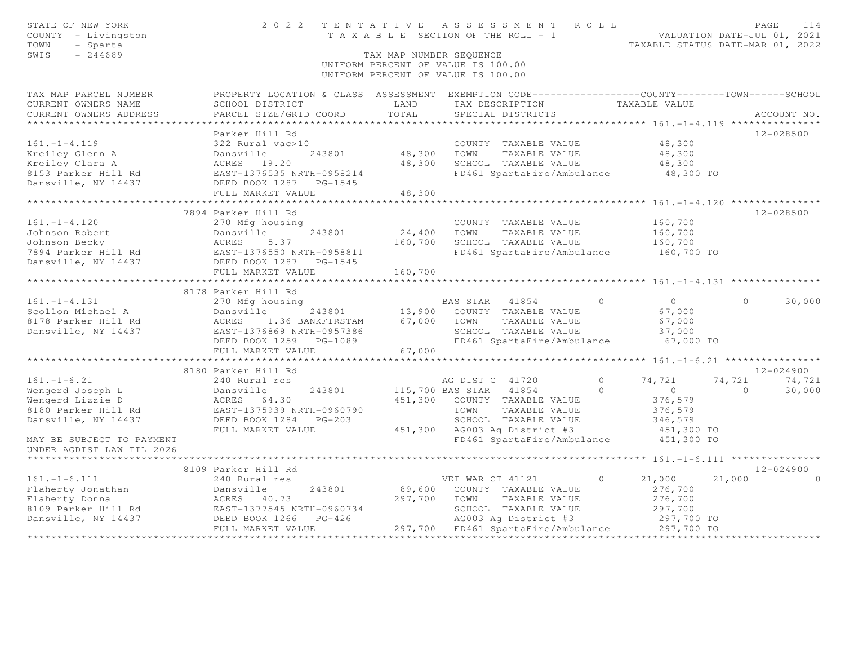| STATE OF NEW YORK<br>COUNTY - Livingston<br>TOWN<br>- Sparta<br>SWIS<br>$-244689$ | 2022<br>TENTATIVE                                                                               | TAX MAP NUMBER SEQUENCE | ASSESSMENT ROLL<br>T A X A B L E SECTION OF THE ROLL - 1<br>UNIFORM PERCENT OF VALUE IS 100.00<br>UNIFORM PERCENT OF VALUE IS 100.00 |                                | PAGE<br>114<br>VALUATION DATE-JUL 01, 2021<br>TAXABLE STATUS DATE-MAR 01, 2022 |
|-----------------------------------------------------------------------------------|-------------------------------------------------------------------------------------------------|-------------------------|--------------------------------------------------------------------------------------------------------------------------------------|--------------------------------|--------------------------------------------------------------------------------|
| TAX MAP PARCEL NUMBER                                                             | PROPERTY LOCATION & CLASS ASSESSMENT EXEMPTION CODE----------------COUNTY-------TOWN-----SCHOOL |                         |                                                                                                                                      |                                |                                                                                |
| CURRENT OWNERS NAME                                                               | SCHOOL DISTRICT                                                                                 | LAND                    | TAX DESCRIPTION                                                                                                                      | TAXABLE VALUE                  |                                                                                |
| CURRENT OWNERS ADDRESS                                                            | PARCEL SIZE/GRID COORD                                                                          | TOTAL                   | SPECIAL DISTRICTS                                                                                                                    |                                | ACCOUNT NO.                                                                    |
| *********************                                                             |                                                                                                 |                         |                                                                                                                                      |                                |                                                                                |
|                                                                                   | Parker Hill Rd                                                                                  |                         |                                                                                                                                      |                                | 12-028500                                                                      |
| $161. - 1 - 4.119$                                                                | 322 Rural vac>10                                                                                |                         | COUNTY TAXABLE VALUE                                                                                                                 | 48,300                         |                                                                                |
| Kreiley Glenn A<br>Kreiley Clara A                                                | Dansville<br>243801                                                                             | 48,300<br>48,300        | TOWN<br>TAXABLE VALUE<br>SCHOOL TAXABLE VALUE                                                                                        | 48,300                         |                                                                                |
| 8153 Parker Hill Rd                                                               | ACRES 19.20<br>EAST-1376535 NRTH-0958214                                                        |                         | FD461 SpartaFire/Ambulance                                                                                                           | 48,300<br>48,300 TO            |                                                                                |
| Dansville, NY 14437                                                               | DEED BOOK 1287<br>$PG-1545$                                                                     |                         |                                                                                                                                      |                                |                                                                                |
|                                                                                   | FULL MARKET VALUE                                                                               | 48,300                  |                                                                                                                                      |                                |                                                                                |
|                                                                                   |                                                                                                 | ************            |                                                                                                                                      |                                |                                                                                |
|                                                                                   | 7894 Parker Hill Rd                                                                             |                         |                                                                                                                                      |                                | $12 - 028500$                                                                  |
| $161. - 1 - 4.120$                                                                | 270 Mfg housing                                                                                 |                         | COUNTY TAXABLE VALUE                                                                                                                 | 160,700                        |                                                                                |
| Johnson Robert                                                                    | Dansville<br>243801                                                                             | 24,400                  | TAXABLE VALUE<br>TOWN                                                                                                                | 160,700                        |                                                                                |
| Johnson Becky                                                                     | ACRES<br>5.37                                                                                   | 160,700                 | SCHOOL TAXABLE VALUE                                                                                                                 | 160,700                        |                                                                                |
| 7894 Parker Hill Rd                                                               | EAST-1376550 NRTH-0958811                                                                       |                         | FD461 SpartaFire/Ambulance                                                                                                           | 160,700 TO                     |                                                                                |
| Dansville, NY 14437                                                               | DEED BOOK 1287 PG-1545                                                                          |                         |                                                                                                                                      |                                |                                                                                |
|                                                                                   | FULL MARKET VALUE                                                                               | 160,700                 |                                                                                                                                      |                                |                                                                                |
|                                                                                   |                                                                                                 |                         |                                                                                                                                      | ***** 161. $-1$ $-4$ , 131 *** |                                                                                |
|                                                                                   | 8178 Parker Hill Rd                                                                             |                         |                                                                                                                                      |                                |                                                                                |
| $161. - 1 - 4.131$                                                                | 270 Mfg housing                                                                                 |                         | BAS STAR<br>41854                                                                                                                    | $\Omega$<br>$\overline{0}$     | 30,000<br>$\Omega$                                                             |
| Scollon Michael A                                                                 | Dansville<br>243801                                                                             |                         | 13,900 COUNTY TAXABLE VALUE                                                                                                          | 67,000                         |                                                                                |
| 8178 Parker Hill Rd                                                               | ACRES<br>1.36 BANKFIRSTAM                                                                       | 67,000                  | TOWN<br>TAXABLE VALUE                                                                                                                | 67,000                         |                                                                                |
| Dansville, NY 14437                                                               | EAST-1376869 NRTH-0957386                                                                       |                         | SCHOOL TAXABLE VALUE                                                                                                                 | 37,000                         |                                                                                |
|                                                                                   | DEED BOOK 1259 PG-1089                                                                          |                         | FD461 SpartaFire/Ambulance                                                                                                           | 67,000 TO                      |                                                                                |
|                                                                                   | FULL MARKET VALUE<br>**************************                                                 | 67,000                  |                                                                                                                                      |                                |                                                                                |
|                                                                                   | 8180 Parker Hill Rd                                                                             |                         |                                                                                                                                      |                                | $12 - 024900$                                                                  |
| $161. - 1 - 6.21$                                                                 | 240 Rural res                                                                                   |                         | AG DIST C 41720                                                                                                                      | $\bigcirc$<br>74,721           | 74,721<br>74,721                                                               |
| Wengerd Joseph L                                                                  | Dansville<br>243801                                                                             |                         | 115,700 BAS STAR<br>41854                                                                                                            | $\Omega$<br>$\overline{0}$     | 30,000<br>$\Omega$                                                             |
| Wengerd Lizzie D                                                                  | ACRES 64.30                                                                                     | 451,300                 | COUNTY TAXABLE VALUE                                                                                                                 | 376,579                        |                                                                                |
| 8180 Parker Hill Rd                                                               | EAST-1375939 NRTH-0960790                                                                       |                         | TOWN<br>TAXABLE VALUE                                                                                                                | 376,579                        |                                                                                |
| Dansville, NY 14437                                                               | DEED BOOK 1284<br>$PG-203$                                                                      |                         | SCHOOL TAXABLE VALUE                                                                                                                 | 346,579                        |                                                                                |
|                                                                                   | FULL MARKET VALUE                                                                               | 451,300                 | AG003 Ag District #3                                                                                                                 | 451,300 TO                     |                                                                                |
| MAY BE SUBJECT TO PAYMENT                                                         |                                                                                                 |                         | FD461 SpartaFire/Ambulance                                                                                                           | 451,300 TO                     |                                                                                |
| UNDER AGDIST LAW TIL 2026                                                         |                                                                                                 |                         |                                                                                                                                      |                                |                                                                                |
|                                                                                   |                                                                                                 |                         |                                                                                                                                      |                                | ******** 161.-1-6.111 ****************                                         |
|                                                                                   | 8109 Parker Hill Rd                                                                             |                         |                                                                                                                                      |                                | $12 - 024900$                                                                  |
| $161. - 1 - 6.111$                                                                | 240 Rural res                                                                                   |                         | VET WAR CT 41121                                                                                                                     | 21,000<br>$\Omega$             | 21,000                                                                         |
| Flaherty Jonathan                                                                 | Dansville<br>243801                                                                             | 89,600                  | COUNTY TAXABLE VALUE                                                                                                                 | 276,700                        |                                                                                |
| Flaherty Donna                                                                    | ACRES<br>40.73                                                                                  | 297,700                 | TOWN<br>TAXABLE VALUE                                                                                                                | 276,700                        |                                                                                |
| 8109 Parker Hill Rd                                                               | EAST-1377545 NRTH-0960734                                                                       |                         | SCHOOL TAXABLE VALUE                                                                                                                 | 297,700                        |                                                                                |
| Dansville, NY 14437                                                               | DEED BOOK 1266<br>$PG-426$                                                                      |                         | AG003 Ag District #3                                                                                                                 | 297,700 TO                     |                                                                                |
|                                                                                   | FULL MARKET VALUE                                                                               |                         | 297,700 FD461 SpartaFire/Ambulance                                                                                                   | 297,700 TO                     |                                                                                |
|                                                                                   |                                                                                                 |                         |                                                                                                                                      |                                |                                                                                |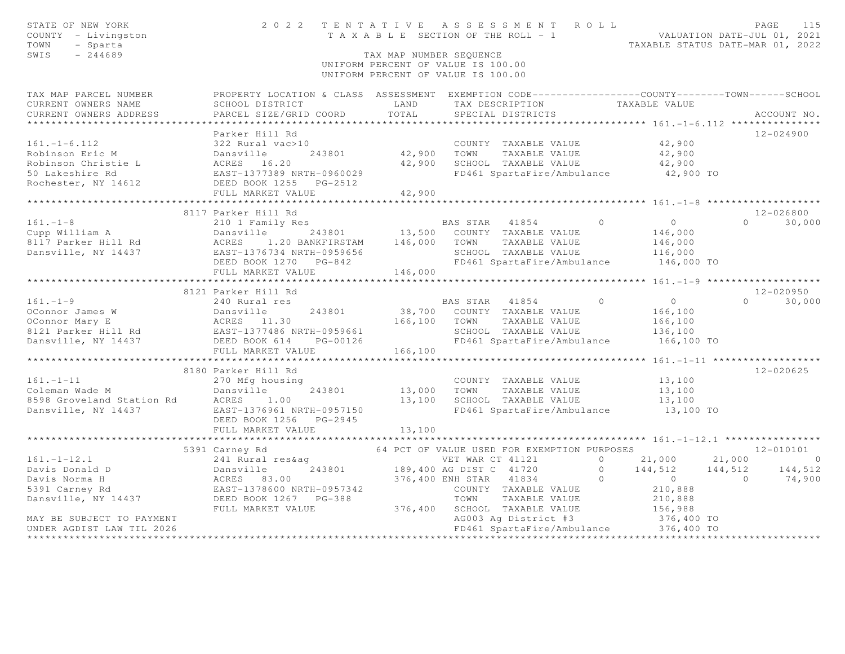| STATE OF NEW YORK<br>COUNTY - Livingston<br>TOWN<br>- Sparta<br>SWIS<br>$-244689$                                                                                                                                                                |                                                                                                                                                          | TAX MAP NUMBER SEQUENCE                | 2022 TENTATIVE ASSESSMENT ROLL<br>TENTATIVE ASSESSMENT NULLE NUMEROL VALUATION DATE-JUL 01, 2021<br>TAXABLE SECTION OF THE ROLL - 1<br>TAXABLE STATUS DATE-MAR 01, 2022<br>UNIFORM PERCENT OF VALUE IS 100.00<br>UNIFORM PERCENT OF VALUE IS 100.00 |                |                                                                                                                 |                | PAGE<br>115                    |
|--------------------------------------------------------------------------------------------------------------------------------------------------------------------------------------------------------------------------------------------------|----------------------------------------------------------------------------------------------------------------------------------------------------------|----------------------------------------|-----------------------------------------------------------------------------------------------------------------------------------------------------------------------------------------------------------------------------------------------------|----------------|-----------------------------------------------------------------------------------------------------------------|----------------|--------------------------------|
| TAX MAP PARCEL NUMBER<br>CURRENT OWNERS NAME<br>CURRENT OWNERS ADDRESS                                                                                                                                                                           | PROPERTY LOCATION & CLASS ASSESSMENT EXEMPTION CODE----------------COUNTY-------TOWN-----SCHOOL<br>SCHOOL DISTRICT<br>PARCEL SIZE/GRID COORD             | LAND<br>TOTAL                          | TAX DESCRIPTION<br>SPECIAL DISTRICTS                                                                                                                                                                                                                |                | TAXABLE VALUE                                                                                                   |                | ACCOUNT NO.                    |
| $161. - 1 - 6.112$<br>Robinson Eric M<br>Robinson Christie L<br>50 Lakeshire Rd<br>Rochester, NY 14612                                                                                                                                           | Parker Hill Rd<br>322 Rural vac>10<br>Dansville<br>ACRES 16.20<br>EAST-1377389 NRTH-0960029<br>DEED BOOK 1255<br>PG-2512<br>PG-2512<br>FULL MARKET VALUE | 243801 42,900 TOWN<br>42,900<br>42,900 | COUNTY TAXABLE VALUE<br>TAXABLE VALUE<br>SCHOOL TAXABLE VALUE<br>FD461 SpartaFire/Ambulance 42,900 TO                                                                                                                                               |                | 42,900<br>42,900<br>42,900                                                                                      |                | $12 - 024900$                  |
|                                                                                                                                                                                                                                                  |                                                                                                                                                          |                                        |                                                                                                                                                                                                                                                     |                |                                                                                                                 |                |                                |
|                                                                                                                                                                                                                                                  | 8117 Parker Hill Rd                                                                                                                                      |                                        |                                                                                                                                                                                                                                                     |                |                                                                                                                 |                | 12-026800                      |
| 161.-1-8<br>Cupp William A<br>210 1 Family Res<br>210 1 Family Res<br>243801<br>243801 13,500 COUNTY TAXABLE VALUE<br>243801 13,500 COUNTY TAXABLE VALUE<br>243801 146,000 TOWN TAXABLE VALUE<br>243801 146,000 TOWN TAXABLE VALUE<br>243801 13, | FULL MARKET VALUE                                                                                                                                        | 146,000                                | BAS STAR 41854 0<br>SCHOOL TAXABLE VALUE<br>FD461 SpartaFire/Ambulance                                                                                                                                                                              |                | $\overline{0}$<br>146,000<br>146,000<br>116,000<br>146,000 TO                                                   |                | $0 \t 30,000$                  |
|                                                                                                                                                                                                                                                  |                                                                                                                                                          |                                        |                                                                                                                                                                                                                                                     |                |                                                                                                                 |                |                                |
| $161. - 1 - 9$<br>0Connor James W bansville 243801 38,700<br>0Connor Mary E ACRES 11.30 166,100<br>8121 Parker Hill Rd EAST-1377486 NRTH-0959661<br>Dansville, NY 14437 DEED BOOK 614 PG-00126                                                   | 8121 Parker Hill Rd<br>240 Rural res                                                                                                                     | 166,100 TOWN                           | BAS STAR 41854 0<br>38,700 COUNTY TAXABLE VALUE<br>TAXABLE VALUE<br>SCHOOL TAXABLE VALUE<br>FD461 SpartaFire/Ambulance 166,100 TO                                                                                                                   |                | $\overline{0}$<br>166,100<br>166,100<br>136,100                                                                 |                | $12 - 020950$<br>$0 \t 30,000$ |
|                                                                                                                                                                                                                                                  | FULL MARKET VALUE                                                                                                                                        | 166,100                                |                                                                                                                                                                                                                                                     |                |                                                                                                                 |                |                                |
| Coleman Wade M<br>270 Mfg housir<br>8598 Groveland Station Rd<br>Dansville, NY 14437<br>Dansville, NY 14437<br>EAST-1376961 N                                                                                                                    | 8180 Parker Hill Rd<br>270 Mfg housing<br>243801<br>EAST-1376961 NRTH-0957150<br>DEED BOOK 1256 PG-2945                                                  | 13,000<br>13,100                       | COUNTY TAXABLE VALUE<br>TOWN<br>TAXABLE VALUE<br>SCHOOL TAXABLE VALUE<br>FD461 SpartaFire/Ambulance 13,100 TO                                                                                                                                       |                | 13,100<br>13,100<br>13,100                                                                                      |                | 12-020625                      |
|                                                                                                                                                                                                                                                  | FULL MARKET VALUE                                                                                                                                        | 13,100                                 |                                                                                                                                                                                                                                                     |                |                                                                                                                 |                |                                |
|                                                                                                                                                                                                                                                  | *************************                                                                                                                                | * * * * * * * * * * * * * *            |                                                                                                                                                                                                                                                     |                |                                                                                                                 |                |                                |
| $161. - 1 - 12.1$<br>161.-1-12.1<br>Davis Donald D<br>Davis Norma H<br>5391 Carney Rd<br>Dansville, NY 14437<br>DEED BOOK 1267 PG-388<br>MAY BE SUBJECT TO PAYMENT                                                                               | 5391 Carney Rd<br>241 Rural res&aq<br>FULL MARKET VALUE                                                                                                  |                                        | 64 PCT OF VALUE USED FOR EXEMPTION PURPOSES<br>VET WAR CT 41121<br>243801 189,400 AG DIST C 41720<br>376,400 ENH STAR 41834<br>COUNTY TAXABLE VALUE<br>TOWN<br>TAXABLE VALUE<br>376,400 SCHOOL TAXABLE VALUE<br>AG003 Ag District #3                | $\overline{0}$ | 0 21,000 21,000 0<br>0 144,512 144,512 144,512<br>$\overline{0}$<br>210,888<br>210,888<br>156,988<br>376,400 TO | $\overline{0}$ | 12-010101<br>74,900            |
| UNDER AGDIST LAW TIL 2026                                                                                                                                                                                                                        |                                                                                                                                                          |                                        | FD461 SpartaFire/Ambulance 376,400 TO                                                                                                                                                                                                               |                |                                                                                                                 |                |                                |
|                                                                                                                                                                                                                                                  |                                                                                                                                                          |                                        |                                                                                                                                                                                                                                                     |                |                                                                                                                 |                |                                |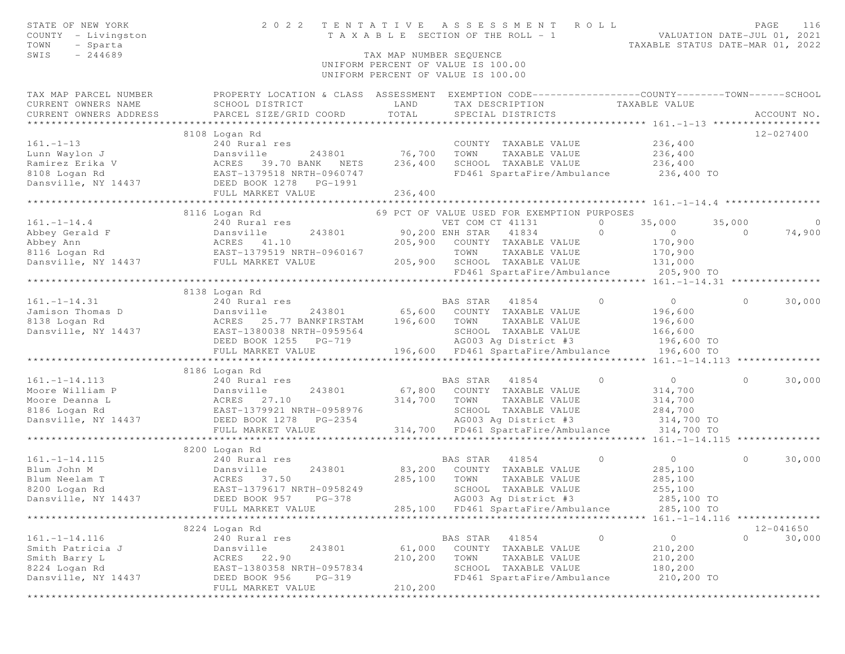| STATE OF NEW YORK<br>COUNTY - Livingston<br>TOWN<br>- Sparta<br>SWIS<br>$-244689$ | 2 0 2 2                                                                                                            | TENTATIVE<br>TAX MAP NUMBER SEQUENCE | A S S E S S M E N T<br>T A X A B L E SECTION OF THE ROLL - 1             | ROLL                | PAGE<br>116<br>VALUATION DATE-JUL 01, 2021<br>TAXABLE STATUS DATE-MAR 01, 2022 |
|-----------------------------------------------------------------------------------|--------------------------------------------------------------------------------------------------------------------|--------------------------------------|--------------------------------------------------------------------------|---------------------|--------------------------------------------------------------------------------|
|                                                                                   |                                                                                                                    |                                      | UNIFORM PERCENT OF VALUE IS 100.00<br>UNIFORM PERCENT OF VALUE IS 100.00 |                     |                                                                                |
| TAX MAP PARCEL NUMBER<br>CURRENT OWNERS NAME                                      | PROPERTY LOCATION & CLASS ASSESSMENT EXEMPTION CODE---------------COUNTY-------TOWN------SCHOOL<br>SCHOOL DISTRICT | LAND                                 | TAX DESCRIPTION                                                          | TAXABLE VALUE       |                                                                                |
| CURRENT OWNERS ADDRESS<br>***********************                                 | PARCEL SIZE/GRID COORD                                                                                             | TOTAL                                | SPECIAL DISTRICTS                                                        |                     | ACCOUNT NO.                                                                    |
|                                                                                   | 8108 Logan Rd                                                                                                      |                                      |                                                                          |                     | 12-027400                                                                      |
| $161. - 1 - 13$                                                                   | 240 Rural res                                                                                                      |                                      | COUNTY TAXABLE VALUE                                                     | 236,400             |                                                                                |
| Lunn Waylon J                                                                     | 243801<br>Dansville                                                                                                | 76,700                               | TOWN<br>TAXABLE VALUE                                                    | 236,400             |                                                                                |
| Ramirez Erika V                                                                   | ACRES 39.70 BANK NETS                                                                                              | 236,400                              | SCHOOL TAXABLE VALUE                                                     | 236,400             |                                                                                |
| 8108 Logan Rd                                                                     | EAST-1379518 NRTH-0960747                                                                                          |                                      | FD461 SpartaFire/Ambulance                                               | 236,400 TO          |                                                                                |
| Dansville, NY 14437                                                               | DEED BOOK 1278<br>PG-1991                                                                                          |                                      |                                                                          |                     |                                                                                |
|                                                                                   | FULL MARKET VALUE                                                                                                  | 236,400                              |                                                                          |                     |                                                                                |
|                                                                                   | 8116 Logan Rd                                                                                                      |                                      | 69 PCT OF VALUE USED FOR EXEMPTION PURPOSES                              |                     |                                                                                |
| $161. - 1 - 14.4$                                                                 | 240 Rural res                                                                                                      |                                      | VET COM CT 41131                                                         | $\circ$<br>35,000   | 35,000<br>$\overline{0}$                                                       |
| Abbey Gerald F                                                                    | 243801<br>Dansville                                                                                                |                                      | 90,200 ENH STAR 41834                                                    | $\circ$<br>$\circ$  | $\Omega$<br>74,900                                                             |
| Abbey Ann                                                                         | ACRES 41.10                                                                                                        | 205,900                              | COUNTY TAXABLE VALUE                                                     | 170,900             |                                                                                |
| 8116 Logan Rd                                                                     | EAST-1379519 NRTH-0960167                                                                                          |                                      | TOWN<br>TAXABLE VALUE                                                    | 170,900             |                                                                                |
| Dansville, NY 14437                                                               | FULL MARKET VALUE                                                                                                  | 205,900                              | SCHOOL TAXABLE VALUE                                                     | 131,000             |                                                                                |
|                                                                                   |                                                                                                                    |                                      | FD461 SpartaFire/Ambulance                                               | 205,900 TO          |                                                                                |
|                                                                                   |                                                                                                                    |                                      |                                                                          |                     |                                                                                |
| $161. - 1 - 14.31$                                                                | 8138 Logan Rd<br>240 Rural res                                                                                     |                                      | BAS STAR 41854                                                           | $\Omega$<br>$\circ$ | $\circ$<br>30,000                                                              |
| Jamison Thomas D                                                                  | Dansville<br>243801                                                                                                | 65,600                               | COUNTY TAXABLE VALUE                                                     | 196,600             |                                                                                |
| 8138 Logan Rd                                                                     | ACRES 25.77 BANKFIRSTAM                                                                                            | 196,600                              | TAXABLE VALUE<br>TOWN                                                    | 196,600             |                                                                                |
| Dansville, NY 14437                                                               | EAST-1380038 NRTH-0959564                                                                                          |                                      | SCHOOL TAXABLE VALUE                                                     | 166,600             |                                                                                |
|                                                                                   | DEED BOOK 1255 PG-719                                                                                              |                                      | AG003 Ag District #3                                                     | 196,600 TO          |                                                                                |
|                                                                                   | FULL MARKET VALUE                                                                                                  |                                      | 196,600 FD461 SpartaFire/Ambulance                                       | 196,600 TO          |                                                                                |
|                                                                                   | *************************                                                                                          |                                      |                                                                          |                     |                                                                                |
|                                                                                   | 8186 Logan Rd                                                                                                      |                                      |                                                                          |                     |                                                                                |
| $161. - 1 - 14.113$                                                               | 240 Rural res                                                                                                      |                                      | BAS STAR<br>41854                                                        | $\circ$<br>$\circ$  | 30,000<br>$\circ$                                                              |
| Moore William P<br>Moore Deanna L                                                 | Dansville<br>243801<br>ACRES 27.10                                                                                 | 67,800<br>314,700                    | COUNTY TAXABLE VALUE<br>TOWN<br>TAXABLE VALUE                            | 314,700<br>314,700  |                                                                                |
| 8186 Logan Rd                                                                     | EAST-1379921 NRTH-0958976                                                                                          |                                      | SCHOOL TAXABLE VALUE                                                     | 284,700             |                                                                                |
| Dansville, NY 14437                                                               | DEED BOOK 1278<br>PG-2354                                                                                          |                                      | AG003 Ag District #3                                                     | 314,700 TO          |                                                                                |
|                                                                                   | FULL MARKET VALUE                                                                                                  |                                      | 314,700 FD461 SpartaFire/Ambulance                                       | 314,700 TO          |                                                                                |
|                                                                                   |                                                                                                                    |                                      |                                                                          |                     |                                                                                |
|                                                                                   | 8200 Logan Rd                                                                                                      |                                      |                                                                          |                     |                                                                                |
| $161. - 1 - 14.115$                                                               | 240 Rural res                                                                                                      |                                      | 41854<br>BAS STAR                                                        | $\circ$<br>$\circ$  | 30,000<br>$\circ$                                                              |
| Blum John M                                                                       | 243801<br>Dansville                                                                                                | 83,200                               | COUNTY TAXABLE VALUE                                                     | 285,100             |                                                                                |
| Blum Neelam T                                                                     | ACRES<br>37.50<br>EAST-1379617 NRTH-0958249                                                                        | 285,100                              | TOWN<br>TAXABLE VALUE<br>SCHOOL TAXABLE VALUE                            | 285,100<br>255,100  |                                                                                |
| 8200 Logan Rd<br>Dansville, NY 14437                                              | DEED BOOK 957 PG-378                                                                                               |                                      | AG003 Ag District #3                                                     | 285,100 TO          |                                                                                |
|                                                                                   | FULL MARKET VALUE                                                                                                  |                                      | 285,100 FD461 SpartaFire/Ambulance                                       | 285,100 TO          |                                                                                |
| *************************                                                         |                                                                                                                    | *****************************        |                                                                          |                     | ****************************    161.-1-14.116    **************                |
|                                                                                   | 8224 Logan Rd                                                                                                      |                                      |                                                                          |                     | $12 - 041650$                                                                  |
| $161. - 1 - 14.116$                                                               | 240 Rural res                                                                                                      |                                      | BAS STAR 41854                                                           | $\circ$<br>$\circ$  | $\Omega$<br>30,000                                                             |
| Smith Patricia J                                                                  | Dansville<br>243801                                                                                                | 61,000                               | COUNTY TAXABLE VALUE                                                     | 210,200             |                                                                                |
| Smith Barry L                                                                     | ACRES 22.90                                                                                                        | 210,200                              | TOWN<br>TAXABLE VALUE                                                    | 210,200             |                                                                                |
| 8224 Logan Rd                                                                     | EAST-1380358 NRTH-0957834                                                                                          |                                      | SCHOOL TAXABLE VALUE                                                     | 180,200             |                                                                                |
| Dansville, NY 14437                                                               | DEED BOOK 956<br>$PG-319$                                                                                          |                                      | FD461 SpartaFire/Ambulance                                               | 210,200 TO          |                                                                                |
|                                                                                   | FULL MARKET VALUE                                                                                                  | 210,200                              |                                                                          |                     |                                                                                |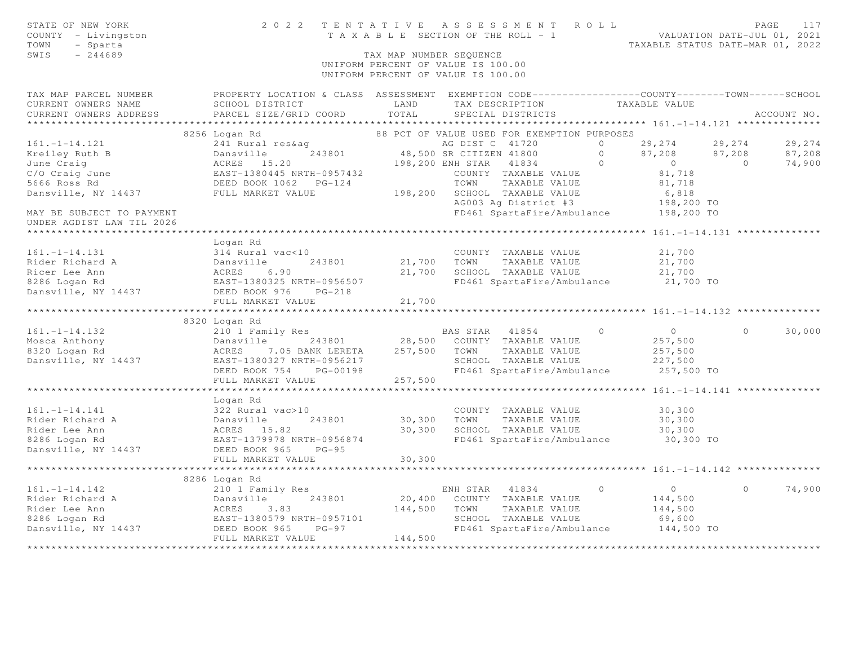| STATE OF NEW YORK<br>COUNTY - Livingston<br>TOWN<br>- Sparta<br>SWIS<br>$-244689$ | 2 0 2 2                                                                                         | TENTATIVE<br>TAX MAP NUMBER SEQUENCE | ASSESSMENT ROLL<br>T A X A B L E SECTION OF THE ROLL - 1<br>UNIFORM PERCENT OF VALUE IS 100.00<br>UNIFORM PERCENT OF VALUE IS 100.00 |         | VALUATION DATE-JUL 01, 2021<br>TAXABLE STATUS DATE-MAR 01, 2022 |          | PAGE<br>117 |
|-----------------------------------------------------------------------------------|-------------------------------------------------------------------------------------------------|--------------------------------------|--------------------------------------------------------------------------------------------------------------------------------------|---------|-----------------------------------------------------------------|----------|-------------|
| TAX MAP PARCEL NUMBER                                                             | PROPERTY LOCATION & CLASS ASSESSMENT EXEMPTION CODE---------------COUNTY-------TOWN------SCHOOL |                                      |                                                                                                                                      |         |                                                                 |          |             |
| CURRENT OWNERS NAME                                                               | SCHOOL DISTRICT                                                                                 | LAND                                 | TAX DESCRIPTION                                                                                                                      |         | TAXABLE VALUE                                                   |          |             |
| CURRENT OWNERS ADDRESS                                                            | PARCEL SIZE/GRID COORD<br>*****************************                                         | TOTAL                                | SPECIAL DISTRICTS                                                                                                                    |         |                                                                 |          | ACCOUNT NO. |
|                                                                                   | 8256 Logan Rd                                                                                   |                                      | 88 PCT OF VALUE USED FOR EXEMPTION PURPOSES                                                                                          |         |                                                                 |          |             |
| $161. - 1 - 14.121$                                                               | 241 Rural res&aq                                                                                |                                      | AG DIST C 41720                                                                                                                      | $\circ$ | 29,274                                                          | 29,274   | 29,274      |
| Kreiley Ruth B                                                                    | 243801<br>Dansville                                                                             |                                      | 48,500 SR CITIZEN 41800                                                                                                              | $\circ$ | 87,208                                                          | 87,208   | 87,208      |
| June Craig                                                                        | ACRES 15.20                                                                                     |                                      | 41834<br>198,200 ENH STAR                                                                                                            | $\circ$ | $\overline{0}$                                                  | $\Omega$ | 74,900      |
| C/O Craig June                                                                    | EAST-1380445 NRTH-0957432<br>DEED BOOK 1062 PG-124<br>FULL MARKET VALUE                         |                                      | COUNTY TAXABLE VALUE                                                                                                                 |         | 81,718                                                          |          |             |
| 5666 Ross Rd                                                                      |                                                                                                 |                                      | TOWN<br>TAXABLE VALUE                                                                                                                |         | 81,718                                                          |          |             |
| Dansville, NY 14437                                                               |                                                                                                 | 198,200                              | SCHOOL TAXABLE VALUE                                                                                                                 |         | 6,818                                                           |          |             |
|                                                                                   |                                                                                                 |                                      | AG003 Ag District #3                                                                                                                 |         | 198,200 TO                                                      |          |             |
| MAY BE SUBJECT TO PAYMENT<br>UNDER AGDIST LAW TIL 2026                            |                                                                                                 |                                      | FD461 SpartaFire/Ambulance                                                                                                           |         | 198,200 TO                                                      |          |             |
|                                                                                   |                                                                                                 |                                      |                                                                                                                                      |         |                                                                 |          |             |
|                                                                                   | Logan Rd                                                                                        |                                      |                                                                                                                                      |         |                                                                 |          |             |
| $161. - 1 - 14.131$                                                               | 314 Rural vac<10                                                                                |                                      | COUNTY TAXABLE VALUE                                                                                                                 |         | 21,700                                                          |          |             |
| Rider Richard A                                                                   | 243801<br>Dansville                                                                             | 21,700                               | TOWN<br>TAXABLE VALUE                                                                                                                |         | 21,700                                                          |          |             |
| Ricer Lee Ann<br>8286 Logan Rd                                                    | ACRES<br>6.90<br>EAST-1380325 NRTH-0956507                                                      | 21,700                               | SCHOOL TAXABLE VALUE<br>FD461 SpartaFire/Ambulance                                                                                   |         | 21,700<br>21,700 TO                                             |          |             |
| Dansville, NY 14437                                                               | DEED BOOK 976<br>$PG-218$                                                                       |                                      |                                                                                                                                      |         |                                                                 |          |             |
|                                                                                   | FULL MARKET VALUE                                                                               | 21,700                               |                                                                                                                                      |         |                                                                 |          |             |
|                                                                                   |                                                                                                 | *********                            |                                                                                                                                      |         | ******** 161. -1-14. 132 ***                                    |          |             |
|                                                                                   | 8320 Logan Rd                                                                                   |                                      |                                                                                                                                      |         |                                                                 |          |             |
| $161. - 1 - 14.132$                                                               | 210 1 Family Res                                                                                |                                      | BAS STAR 41854                                                                                                                       | $\circ$ | $\overline{0}$                                                  | $\circ$  | 30,000      |
| Mosca Anthony                                                                     | Dansville<br>243801                                                                             | 28,500                               | COUNTY TAXABLE VALUE                                                                                                                 |         | 257,500                                                         |          |             |
| 8320 Logan Rd                                                                     | ACRES<br>7.05 BANK LERETA                                                                       | 257,500                              | TOWN<br>TAXABLE VALUE                                                                                                                |         | 257,500                                                         |          |             |
| Dansville, NY 14437                                                               | EAST-1380327 NRTH-0956217                                                                       |                                      | SCHOOL TAXABLE VALUE                                                                                                                 |         | 227,500                                                         |          |             |
|                                                                                   | DEED BOOK 754<br>PG-00198                                                                       |                                      | FD461 SpartaFire/Ambulance                                                                                                           |         | 257,500 TO                                                      |          |             |
|                                                                                   | FULL MARKET VALUE<br>******************                                                         | 257,500<br>************              |                                                                                                                                      |         |                                                                 |          |             |
|                                                                                   |                                                                                                 |                                      |                                                                                                                                      |         | **************** 161.-1-14.141 ***************                  |          |             |
| $161. - 1 - 14.141$                                                               | Logan Rd<br>322 Rural vac>10                                                                    |                                      | COUNTY TAXABLE VALUE                                                                                                                 |         | 30,300                                                          |          |             |
| Rider Richard A                                                                   | 243801<br>Dansville                                                                             | 30,300                               | TOWN<br>TAXABLE VALUE                                                                                                                |         | 30,300                                                          |          |             |
| Rider Lee Ann                                                                     | ACRES 15.82                                                                                     | 30,300                               | SCHOOL TAXABLE VALUE                                                                                                                 |         | 30,300                                                          |          |             |
| 8286 Logan Rd                                                                     | EAST-1379978 NRTH-0956874                                                                       |                                      | FD461 SpartaFire/Ambulance                                                                                                           |         | 30,300 TO                                                       |          |             |
| Dansville, NY 14437                                                               | DEED BOOK 965<br>$PG-95$                                                                        |                                      |                                                                                                                                      |         |                                                                 |          |             |
|                                                                                   | FULL MARKET VALUE                                                                               | 30,300                               |                                                                                                                                      |         |                                                                 |          |             |
|                                                                                   |                                                                                                 |                                      |                                                                                                                                      |         | ********* 161. -1-14. 142 ************                          |          |             |
|                                                                                   | 8286 Logan Rd                                                                                   |                                      |                                                                                                                                      |         |                                                                 |          |             |
| $161. - 1 - 14.142$                                                               | 210 1 Family Res                                                                                |                                      | ENH STAR<br>41834                                                                                                                    | $\circ$ | $\overline{0}$                                                  | $\Omega$ | 74,900      |
| Rider Richard A                                                                   | 243801<br>Dansville                                                                             | 20,400                               | COUNTY TAXABLE VALUE                                                                                                                 |         | 144,500                                                         |          |             |
| Rider Lee Ann                                                                     | 3.83<br>ACRES                                                                                   | 144,500                              | TOWN<br>TAXABLE VALUE                                                                                                                |         | 144,500                                                         |          |             |
| 8286 Logan Rd                                                                     | EAST-1380579 NRTH-0957101                                                                       |                                      | SCHOOL TAXABLE VALUE                                                                                                                 |         | 69,600                                                          |          |             |
| Dansville, NY 14437                                                               | DEED BOOK 965<br>$PG-97$                                                                        |                                      | FD461 SpartaFire/Ambulance                                                                                                           |         | 144,500 TO                                                      |          |             |
|                                                                                   | FULL MARKET VALUE                                                                               | 144,500                              |                                                                                                                                      |         |                                                                 |          |             |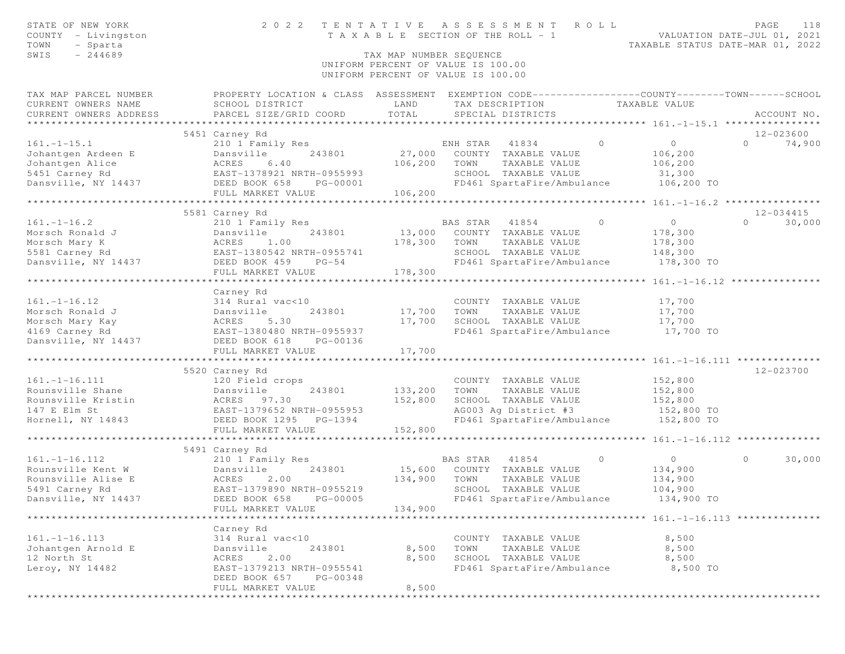| STATE OF NEW YORK<br>COUNTY - Livingston  | 2 0 2 2<br>TENTATIVE                                                                               |                         | A S S E S S M E N T<br>T A X A B L E SECTION OF THE ROLL - 1 | ROLL           | VALUATION DATE-JUL 01, 2021      | PAGE              | 118                 |
|-------------------------------------------|----------------------------------------------------------------------------------------------------|-------------------------|--------------------------------------------------------------|----------------|----------------------------------|-------------------|---------------------|
| TOWN<br>- Sparta                          |                                                                                                    |                         |                                                              |                | TAXABLE STATUS DATE-MAR 01, 2022 |                   |                     |
| SWIS<br>$-244689$                         |                                                                                                    | TAX MAP NUMBER SEQUENCE |                                                              |                |                                  |                   |                     |
|                                           |                                                                                                    |                         | UNIFORM PERCENT OF VALUE IS 100.00                           |                |                                  |                   |                     |
|                                           |                                                                                                    |                         | UNIFORM PERCENT OF VALUE IS 100.00                           |                |                                  |                   |                     |
| TAX MAP PARCEL NUMBER                     | PROPERTY LOCATION & CLASS ASSESSMENT EXEMPTION CODE-----------------COUNTY--------TOWN------SCHOOL |                         |                                                              |                |                                  |                   |                     |
| CURRENT OWNERS NAME                       | SCHOOL DISTRICT                                                                                    | LAND                    | TAX DESCRIPTION TAXABLE VALUE                                |                |                                  |                   |                     |
| CURRENT OWNERS ADDRESS                    | PARCEL SIZE/GRID COORD                                                                             | TOTAL                   | SPECIAL DISTRICTS                                            |                |                                  |                   | ACCOUNT NO.         |
|                                           |                                                                                                    |                         |                                                              |                |                                  |                   |                     |
|                                           | 5451 Carney Rd                                                                                     |                         |                                                              |                |                                  |                   | 12-023600           |
| $161. - 1 - 15.1$                         | 210 1 Family Res                                                                                   |                         | $\sim$ 0<br>ENH STAR<br>41834                                |                | $\overline{0}$                   | $0 \qquad \qquad$ | 74,900              |
| Johantgen Ardeen E                        | 243801<br>Dansville                                                                                |                         | 27,000 COUNTY TAXABLE VALUE                                  |                | 106,200                          |                   |                     |
| Johantgen Alice                           | ACRES<br>6.40                                                                                      | 106,200                 | TOWN<br>TAXABLE VALUE                                        |                | 106,200                          |                   |                     |
| 5451 Carney Rd                            | EAST-1378921 NRTH-0955993                                                                          |                         | SCHOOL TAXABLE VALUE                                         |                | 31,300                           |                   |                     |
|                                           | PG-00001                                                                                           |                         | FD461 SpartaFire/Ambulance 106,200 TO                        |                |                                  |                   |                     |
|                                           | FULL MARKET VALUE                                                                                  | 106,200                 |                                                              |                |                                  |                   |                     |
|                                           |                                                                                                    |                         |                                                              |                |                                  |                   |                     |
| $161. - 1 - 16.2$                         | 5581 Carney Rd                                                                                     |                         | BAS STAR 41854                                               | $\overline{0}$ | $\circ$                          | $\Omega$          | 12-034415<br>30,000 |
| Morsch Ronald J                           | 210 1 Family Res<br>Dansville<br>243801                                                            | 13,000                  | COUNTY TAXABLE VALUE                                         |                | 178,300                          |                   |                     |
| Morsch Mary K                             | Dansvi<br>ACRES<br>1.00                                                                            | 178,300                 | TOWN<br>TAXABLE VALUE                                        |                | 178,300                          |                   |                     |
| 5581 Carney Rd                            |                                                                                                    |                         | SCHOOL TAXABLE VALUE                                         |                | 148,300                          |                   |                     |
| Dansville, NY 14437                       | DEED BOOK 459 PG-54                                                                                |                         | FD461 SpartaFire/Ambulance                                   |                | 178,300 TO                       |                   |                     |
|                                           | FULL MARKET VALUE                                                                                  | 178,300                 |                                                              |                |                                  |                   |                     |
|                                           |                                                                                                    |                         |                                                              |                |                                  |                   |                     |
|                                           | Carney Rd                                                                                          |                         |                                                              |                |                                  |                   |                     |
| $161. - 1 - 16.12$                        |                                                                                                    |                         | COUNTY TAXABLE VALUE                                         |                | 17,700                           |                   |                     |
| Morsch Ronald J                           |                                                                                                    | 17,700                  | TOWN<br>TAXABLE VALUE                                        |                | 17,700                           |                   |                     |
| Morsch Mary Kay                           | 314 Rural vac<10<br>Dansville 243801<br>ACRES 5.30<br>EAST-1380480 NRTH-0955937                    | 17,700                  | SCHOOL TAXABLE VALUE                                         |                | 17,700                           |                   |                     |
| 4169 Carney Rd                            |                                                                                                    |                         | FD461 SpartaFire/Ambulance                                   |                | 17,700 TO                        |                   |                     |
| Dansville, NY 14437                       | DEED BOOK 618<br>PG-00136                                                                          |                         |                                                              |                |                                  |                   |                     |
|                                           | FULL MARKET VALUE                                                                                  | 17,700                  |                                                              |                |                                  |                   |                     |
|                                           |                                                                                                    |                         |                                                              |                |                                  |                   |                     |
|                                           | 5520 Carney Rd                                                                                     |                         |                                                              |                |                                  |                   | 12-023700           |
| $161. - 1 - 16.111$                       | 120 Field crops                                                                                    |                         | COUNTY TAXABLE VALUE                                         |                | 152,800                          |                   |                     |
| Rounsville Shane<br>Rounsville Kristin    | Dansville<br>243801                                                                                | 133,200                 | TOWN<br>TAXABLE VALUE                                        |                | 152,800                          |                   |                     |
|                                           | ACRES 97.30                                                                                        | 152,800                 | SCHOOL TAXABLE VALUE                                         |                | 152,800                          |                   |                     |
| 147 E Elm St                              | EAST-1379652 NRTH-0955953                                                                          |                         | AG003 Ag District #3                                         |                | 152,800 TO                       |                   |                     |
| Hornell, NY 14843 DEED BOOK 1295 PG-1394  |                                                                                                    |                         | FD461 SpartaFire/Ambulance 152,800 TO                        |                |                                  |                   |                     |
|                                           | FULL MARKET VALUE                                                                                  | 152,800                 |                                                              |                |                                  |                   |                     |
|                                           |                                                                                                    |                         |                                                              |                |                                  |                   |                     |
|                                           | 5491 Carney Rd                                                                                     |                         |                                                              |                |                                  |                   |                     |
| $161. - 1 - 16.112$                       | 210 1 Family Res                                                                                   |                         | BAS STAR 41854                                               | $\overline{0}$ | $\overline{0}$                   | $\circ$           | 30,000              |
| Rounsville Kent W Dansville Alise E ACRES | 243801<br>Dansville                                                                                |                         | 15,600 COUNTY TAXABLE VALUE                                  |                | 134,900                          |                   |                     |
|                                           | 2.00                                                                                               | 134,900                 | TOWN<br>TAXABLE VALUE                                        |                | 134,900                          |                   |                     |
| 5491 Carney Rd                            | EAST-1379890 NRTH-0955219                                                                          |                         | SCHOOL TAXABLE VALUE                                         |                | 104,900                          |                   |                     |
| Dansville, NY 14437                       | DEED BOOK 658 PG-00005                                                                             |                         | FD461 SpartaFire/Ambulance                                   |                | 134,900 TO                       |                   |                     |
|                                           | FULL MARKET VALUE                                                                                  | 134,900                 |                                                              |                |                                  |                   |                     |
|                                           |                                                                                                    |                         |                                                              |                |                                  |                   |                     |
| $161. - 1 - 16.113$                       | Carney Rd<br>314 Rural vac<10                                                                      |                         | COUNTY TAXABLE VALUE                                         |                | 8,500                            |                   |                     |
| Johantgen Arnold E                        | 243801<br>Dansville                                                                                | 8,500                   | TOWN<br>TAXABLE VALUE                                        |                | 8,500                            |                   |                     |
| 12 North St                               | ACRES 2.00                                                                                         | 8,500                   | SCHOOL TAXABLE VALUE                                         |                | 8,500                            |                   |                     |
| Leroy, NY 14482                           | EAST-1379213 NRTH-0955541                                                                          |                         | FD461 SpartaFire/Ambulance                                   |                | 8,500 TO                         |                   |                     |
|                                           | DEED BOOK 657<br>PG-00348                                                                          |                         |                                                              |                |                                  |                   |                     |
|                                           | FULL MARKET VALUE                                                                                  | 8,500                   |                                                              |                |                                  |                   |                     |
| ************                              |                                                                                                    |                         |                                                              |                |                                  |                   |                     |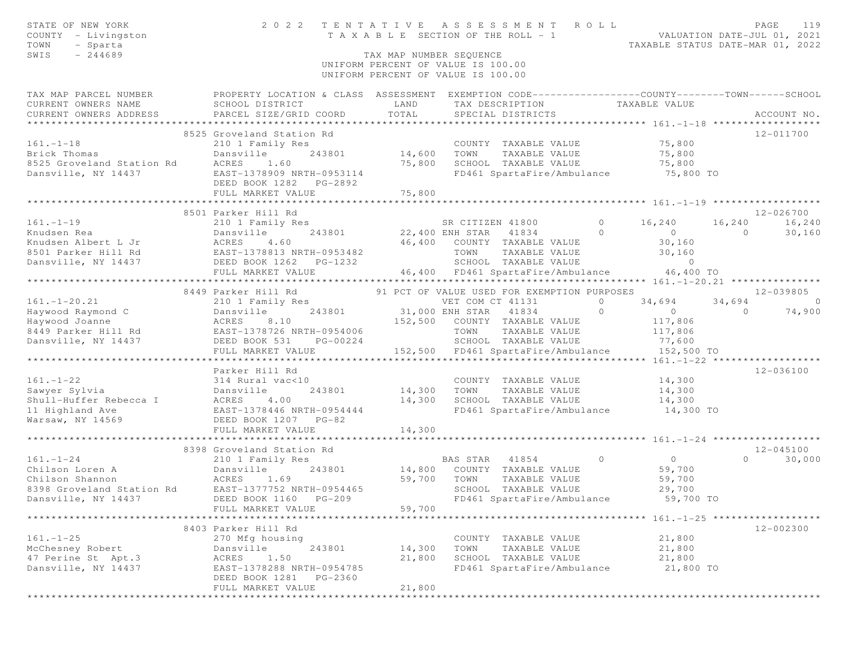| STATE OF NEW YORK<br>COUNTY - Livingston                 |                                                                                                  |                         | 2022 TENTATIVE ASSESSMENT ROLL<br>TENTAILVE ASSESSMENT NUMBES VALUATION DATE-JUL 01, 2021<br>TAXABLE SECTION OF THE ROLL - 1<br>TAXABLE STATUS DATE-MAR 01, 2022 |                |                |                | PAGE              | 119            |
|----------------------------------------------------------|--------------------------------------------------------------------------------------------------|-------------------------|------------------------------------------------------------------------------------------------------------------------------------------------------------------|----------------|----------------|----------------|-------------------|----------------|
| TOWN<br>- Sparta                                         |                                                                                                  |                         |                                                                                                                                                                  |                |                |                |                   |                |
| $-244689$<br>SWIS                                        |                                                                                                  | TAX MAP NUMBER SEQUENCE |                                                                                                                                                                  |                |                |                |                   |                |
|                                                          |                                                                                                  |                         | UNIFORM PERCENT OF VALUE IS 100.00<br>UNIFORM PERCENT OF VALUE IS 100.00                                                                                         |                |                |                |                   |                |
|                                                          |                                                                                                  |                         |                                                                                                                                                                  |                |                |                |                   |                |
| TAX MAP PARCEL NUMBER                                    | PROPERTY LOCATION & CLASS ASSESSMENT EXEMPTION CODE----------------COUNTY-------TOWN------SCHOOL |                         |                                                                                                                                                                  |                |                |                |                   |                |
| CURRENT OWNERS NAME                                      | SCHOOL DISTRICT                                                                                  | LAND                    | TAX DESCRIPTION TAXABLE VALUE                                                                                                                                    |                |                |                |                   |                |
| CURRENT OWNERS ADDRESS                                   | PARCEL SIZE/GRID COORD                                                                           | TOTAL                   | SPECIAL DISTRICTS                                                                                                                                                |                |                |                | ACCOUNT NO.       |                |
|                                                          |                                                                                                  |                         |                                                                                                                                                                  |                |                |                |                   |                |
|                                                          | 8525 Groveland Station Rd                                                                        |                         |                                                                                                                                                                  |                |                |                | 12-011700         |                |
| $161. - 1 - 18$                                          | 210 1 Family Res                                                                                 |                         | COUNTY TAXABLE VALUE 75,800                                                                                                                                      |                |                |                |                   |                |
| Brick Thomas<br>8525 Groveland Station Rd      ACRES     | 243801 14,600 TOWN<br>Dansville                                                                  |                         | TAXABLE VALUE                                                                                                                                                    |                | 75,800         |                |                   |                |
|                                                          | 1.60                                                                                             | 75,800                  | SCHOOL TAXABLE VALUE                                                                                                                                             |                | 75,800         |                |                   |                |
| Dansville, NY 14437                                      | EAST-1378909 NRTH-0953114                                                                        |                         | FD461 SpartaFire/Ambulance 75,800 TO                                                                                                                             |                |                |                |                   |                |
|                                                          |                                                                                                  |                         |                                                                                                                                                                  |                |                |                |                   |                |
|                                                          |                                                                                                  |                         |                                                                                                                                                                  |                |                |                |                   |                |
|                                                          | 8501 Parker Hill Rd                                                                              |                         |                                                                                                                                                                  |                |                |                | 12-026700         |                |
| $161. - 1 - 19$                                          | 210 1 Family Res                                                                                 |                         | SR CITIZEN 41800                                                                                                                                                 | $\overline{0}$ | 16,240         | 16,240 16,240  |                   |                |
| Knudsen Rea                                              | Dansville                                                                                        |                         | 243801 22,400 ENH STAR 41834 0                                                                                                                                   |                | $\overline{O}$ | $\overline{0}$ |                   | 30,160         |
| Knudsen Albert L Jr                                      | Dansvi<br>ACRES<br>4.60                                                                          |                         | 46,400 COUNTY TAXABLE VALUE                                                                                                                                      |                | 30,160         |                |                   |                |
|                                                          |                                                                                                  |                         | TOWN<br>TAXABLE VALUE                                                                                                                                            |                | 30,160         |                |                   |                |
|                                                          |                                                                                                  |                         | SCHOOL TAXABLE VALUE                                                                                                                                             |                | $\circ$        |                |                   |                |
|                                                          |                                                                                                  |                         | 46,400 FD461 SpartaFire/Ambulance 46,400 TO                                                                                                                      |                |                |                |                   |                |
|                                                          |                                                                                                  |                         |                                                                                                                                                                  |                |                |                |                   |                |
|                                                          | 8449 Parker Hill Rd                                                                              |                         | 91 PCT OF VALUE USED FOR EXEMPTION PURPOSES                                                                                                                      |                |                |                | 12-039805         |                |
| $161. - 1 - 20.21$                                       |                                                                                                  |                         |                                                                                                                                                                  | $\circ$        | 34,694 34,694  |                |                   | $\overline{0}$ |
|                                                          |                                                                                                  |                         | 3<br>243801 31,000 ENH STAR 41834                                                                                                                                | $\overline{0}$ | $\overline{0}$ | 74,900         |                   |                |
|                                                          |                                                                                                  |                         | 152,500 COUNTY TAXABLE VALUE                                                                                                                                     |                | 117,806        |                |                   |                |
|                                                          |                                                                                                  |                         | TOWN TAXABLE VALUE                                                                                                                                               |                | 117,806        |                |                   |                |
| Dansville, NY 14437                                      | DEED BOOK 531<br>PG-00224                                                                        |                         | SCHOOL TAXABLE VALUE                                                                                                                                             |                | 77,600         |                |                   |                |
|                                                          | FULL MARKET VALUE                                                                                |                         | 152,500 FD461 SpartaFire/Ambulance                                                                                                                               |                | 152,500 TO     |                |                   |                |
|                                                          | *******************************                                                                  |                         |                                                                                                                                                                  |                |                |                |                   |                |
|                                                          | Parker Hill Rd                                                                                   |                         |                                                                                                                                                                  |                |                |                | 12-036100         |                |
| $161. - 1 - 22$                                          | 314 Rural vac<10                                                                                 |                         | COUNTY TAXABLE VALUE                                                                                                                                             |                | 14,300         |                |                   |                |
| Sawyer Sylvia                                            | 243801<br>Dansville                                                                              |                         | 14,300 TOWN TAXABLE VALUE<br>SCHOOL TAXABLE VALUE 14,300                                                                                                         |                | 14,300         |                |                   |                |
| Shull-Huffer Rebecca I                                   | ACRES<br>4.00                                                                                    | 14,300                  |                                                                                                                                                                  |                |                |                |                   |                |
| 11 Highland Ave<br>Warsaw, NY 14569 DEED BOOK 1207 PG-82 | EAST-1378446 NRTH-0954444                                                                        |                         | FD461 SpartaFire/Ambulance 14,300 TO                                                                                                                             |                |                |                |                   |                |
|                                                          |                                                                                                  | 14,300                  |                                                                                                                                                                  |                |                |                |                   |                |
|                                                          | FULL MARKET VALUE                                                                                |                         |                                                                                                                                                                  |                |                |                |                   |                |
|                                                          | 8398 Groveland Station Rd                                                                        |                         |                                                                                                                                                                  |                |                |                | 12-045100         |                |
| $161. - 1 - 24$                                          | 210 1 Family Res                                                                                 |                         | $\overline{0}$<br>BAS STAR 41854                                                                                                                                 |                | $\overline{0}$ |                | $0 \qquad \qquad$ | 30,000         |
| Chilson Loren A                                          |                                                                                                  |                         | 243801 14,800 COUNTY TAXABLE VALUE                                                                                                                               |                | 59,700         |                |                   |                |
| Chilson Shannon                                          | Dansville<br>ACRES 1.69                                                                          | 59,700 TOWN             | TAXABLE VALUE                                                                                                                                                    |                | 59,700         |                |                   |                |
| 8398 Groveland Station Rd                                | EAST-1377752 NRTH-0954465                                                                        |                         | SCHOOL TAXABLE VALUE                                                                                                                                             |                | 29,700         |                |                   |                |
| Dansville, NY 14437 DEED BOOK 1160 PG-209                |                                                                                                  |                         | FD461 SpartaFire/Ambulance                                                                                                                                       |                | 59,700 TO      |                |                   |                |
|                                                          | FULL MARKET VALUE                                                                                | 59,700                  |                                                                                                                                                                  |                |                |                |                   |                |
|                                                          |                                                                                                  |                         |                                                                                                                                                                  |                |                |                |                   |                |
|                                                          | 8403 Parker Hill Rd                                                                              |                         |                                                                                                                                                                  |                |                |                | 12-002300         |                |
| $161. - 1 - 25$                                          | 270 Mfg housing                                                                                  |                         | COUNTY TAXABLE VALUE                                                                                                                                             |                | 21,800         |                |                   |                |
| McChesney Robert                                         | Dansville<br>243801                                                                              | 14,300                  | TAXABLE VALUE<br>TOWN                                                                                                                                            |                | 21,800         |                |                   |                |
| 47 Perine St Apt.3                                       | 1.50<br>ACRES                                                                                    | 21,800                  | SCHOOL TAXABLE VALUE                                                                                                                                             |                | 21,800         |                |                   |                |
| Dansville, NY 14437                                      | EAST-1378288 NRTH-0954785                                                                        |                         | FD461 SpartaFire/Ambulance                                                                                                                                       |                | 21,800 TO      |                |                   |                |
|                                                          | DEED BOOK 1281<br>PG-2360                                                                        |                         |                                                                                                                                                                  |                |                |                |                   |                |
|                                                          | FULL MARKET VALUE                                                                                | 21,800                  |                                                                                                                                                                  |                |                |                |                   |                |
|                                                          |                                                                                                  |                         |                                                                                                                                                                  |                |                |                |                   |                |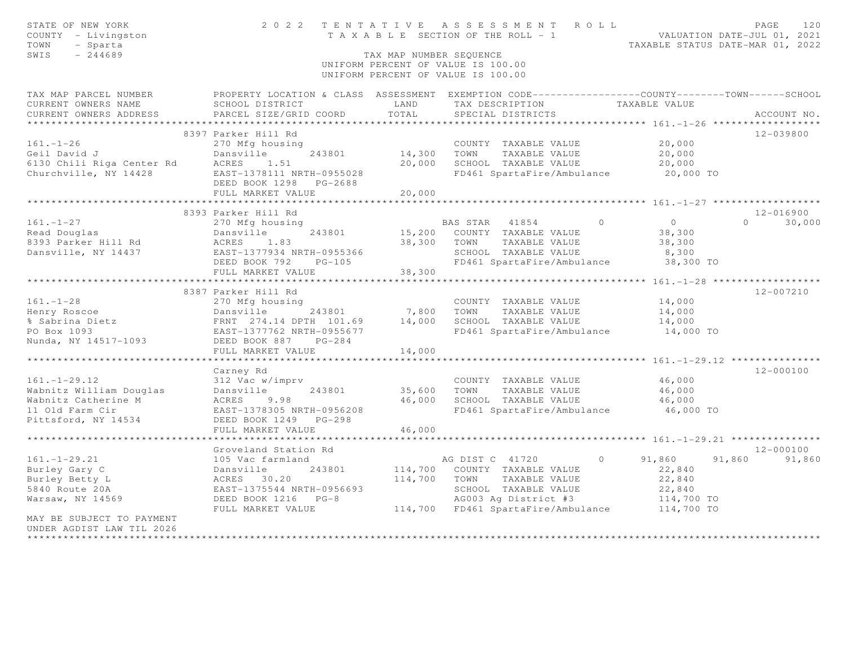| STATE OF NEW YORK<br>COUNTY - Livingston<br>TOWN<br>- Sparta<br>SWIS<br>$-244689$ |                                           | TAX MAP NUMBER SEOUENCE | 2022 TENTATIVE ASSESSMENT ROLL<br>T A X A B L E SECTION OF THE ROLL - 1<br>UNIFORM PERCENT OF VALUE IS 100.00<br>UNIFORM PERCENT OF VALUE IS 100.00 |                                    | PAGE<br>120<br>VALUATION DATE-JUL 01, 2021<br>TAXABLE STATUS DATE-MAR 01, 2022 |
|-----------------------------------------------------------------------------------|-------------------------------------------|-------------------------|-----------------------------------------------------------------------------------------------------------------------------------------------------|------------------------------------|--------------------------------------------------------------------------------|
| TAX MAP PARCEL NUMBER                                                             |                                           |                         | PROPERTY LOCATION & CLASS ASSESSMENT EXEMPTION CODE-----------------COUNTY-------TOWN------SCHOOL                                                   |                                    |                                                                                |
| CURRENT OWNERS NAME<br>CURRENT OWNERS ADDRESS                                     | SCHOOL DISTRICT<br>PARCEL SIZE/GRID COORD | LAND<br>TOTAL           | TAX DESCRIPTION<br>SPECIAL DISTRICTS                                                                                                                | TAXABLE VALUE                      | ACCOUNT NO.                                                                    |
| **********************                                                            |                                           |                         |                                                                                                                                                     |                                    |                                                                                |
|                                                                                   | 8397 Parker Hill Rd                       |                         |                                                                                                                                                     |                                    | 12-039800                                                                      |
| $161. - 1 - 26$                                                                   | 270 Mfg housing                           |                         | COUNTY TAXABLE VALUE                                                                                                                                | 20,000                             |                                                                                |
| Geil David J                                                                      | Dansville<br>243801                       | 14,300                  | TOWN<br>TAXABLE VALUE                                                                                                                               | 20,000                             |                                                                                |
| 6130 Chili Riga Center Rd                                                         | ACRES<br>1.51                             | 20,000                  | SCHOOL TAXABLE VALUE                                                                                                                                | 20,000                             |                                                                                |
| Churchville, NY 14428                                                             | EAST-1378111 NRTH-0955028                 |                         | FD461 SpartaFire/Ambulance 20,000 TO                                                                                                                |                                    |                                                                                |
|                                                                                   | DEED BOOK 1298 PG-2688                    |                         |                                                                                                                                                     |                                    |                                                                                |
|                                                                                   | FULL MARKET VALUE                         | 20,000                  |                                                                                                                                                     |                                    |                                                                                |
|                                                                                   |                                           | ***************         |                                                                                                                                                     |                                    |                                                                                |
| $161. - 1 - 27$                                                                   | 8393 Parker Hill Rd                       |                         | BAS STAR 41854<br>$\circ$                                                                                                                           | 0                                  | 12-016900<br>$\Omega$<br>30,000                                                |
| Read Douglas                                                                      | 270 Mfg housing<br>Dansville<br>243801    | 15,200                  | COUNTY TAXABLE VALUE                                                                                                                                | 38,300                             |                                                                                |
| 8393 Parker Hill Rd                                                               | 1.83<br>ACRES                             | 38,300                  | TOWN<br>TAXABLE VALUE                                                                                                                               | 38,300                             |                                                                                |
| Dansville, NY 14437                                                               | EAST-1377934 NRTH-0955366                 |                         | SCHOOL TAXABLE VALUE                                                                                                                                | 8,300                              |                                                                                |
|                                                                                   | DEED BOOK 792<br>$PG-105$                 |                         | FD461 SpartaFire/Ambulance                                                                                                                          | 38,300 TO                          |                                                                                |
|                                                                                   | FULL MARKET VALUE                         | 38,300                  |                                                                                                                                                     |                                    |                                                                                |
|                                                                                   |                                           |                         |                                                                                                                                                     | *** $161. - 1 - 28$ ************** |                                                                                |
|                                                                                   | 8387 Parker Hill Rd                       |                         |                                                                                                                                                     |                                    | $12 - 007210$                                                                  |
| $161. - 1 - 28$                                                                   | 270 Mfg housing                           |                         | COUNTY TAXABLE VALUE                                                                                                                                | 14,000                             |                                                                                |
|                                                                                   | Dansville<br>243801                       | 7,800                   | TOWN<br>TAXABLE VALUE                                                                                                                               | 14,000                             |                                                                                |
| Henry Roscoe<br>% Sabrina Dietz                                                   | FRNT 274.14 DPTH 101.69                   | 14,000                  | SCHOOL TAXABLE VALUE                                                                                                                                | 14,000                             |                                                                                |
| PO Box 1093                                                                       | EAST-1377762 NRTH-0955677                 |                         | FD461 SpartaFire/Ambulance                                                                                                                          | 14,000 TO                          |                                                                                |
| Nunda, NY 14517-1093                                                              | DEED BOOK 887 PG-284                      |                         |                                                                                                                                                     |                                    |                                                                                |
|                                                                                   | FULL MARKET VALUE                         | 14,000                  |                                                                                                                                                     |                                    |                                                                                |
|                                                                                   |                                           |                         |                                                                                                                                                     |                                    |                                                                                |
|                                                                                   | Carney Rd                                 |                         |                                                                                                                                                     | 46,000                             | $12 - 000100$                                                                  |
| $161. - 1 - 29.12$<br>Wabnitz William Douglas                                     | 312 Vac w/imprv<br>Dansville<br>243801    | 35,600                  | COUNTY TAXABLE VALUE<br>TOWN<br>TAXABLE VALUE                                                                                                       | 46,000                             |                                                                                |
| Wabnitz Catherine M                                                               | ACRES<br>9.98                             | 46,000                  | SCHOOL TAXABLE VALUE                                                                                                                                | 46,000                             |                                                                                |
| 11 Old Farm Cir                                                                   | EAST-1378305 NRTH-0956208                 |                         | FD461 SpartaFire/Ambulance                                                                                                                          | 46,000 TO                          |                                                                                |
| Pittsford, NY 14534                                                               | DEED BOOK 1249<br>$PG-298$                |                         |                                                                                                                                                     |                                    |                                                                                |
|                                                                                   | FULL MARKET VALUE                         | 46,000                  |                                                                                                                                                     |                                    |                                                                                |
|                                                                                   |                                           |                         |                                                                                                                                                     |                                    |                                                                                |
|                                                                                   | Groveland Station Rd                      |                         |                                                                                                                                                     |                                    | 12-000100                                                                      |
| $161. - 1 - 29.21$                                                                | 105 Vac farmland                          |                         | AG DIST C 41720<br>$\circ$                                                                                                                          | 91,860                             | 91,860<br>91,860                                                               |
| Burley Gary C                                                                     | Dansville<br>243801                       | 114,700                 | COUNTY TAXABLE VALUE                                                                                                                                | 22,840                             |                                                                                |
| Burley Betty L                                                                    | ACRES 30.20                               | 114,700                 | TOWN<br>TAXABLE VALUE                                                                                                                               | 22,840                             |                                                                                |
| 5840 Route 20A                                                                    | EAST-1375544 NRTH-0956693                 |                         | SCHOOL TAXABLE VALUE                                                                                                                                | 22,840                             |                                                                                |
| Warsaw, NY 14569                                                                  | DEED BOOK 1216 PG-8                       |                         | AG003 Ag District #3                                                                                                                                | 114,700 TO                         |                                                                                |
|                                                                                   | FULL MARKET VALUE                         |                         | 114,700 FD461 SpartaFire/Ambulance 114,700 TO                                                                                                       |                                    |                                                                                |
| MAY BE SUBJECT TO PAYMENT<br>UNDER AGDIST LAW TIL 2026                            |                                           |                         |                                                                                                                                                     |                                    |                                                                                |
|                                                                                   |                                           |                         |                                                                                                                                                     |                                    |                                                                                |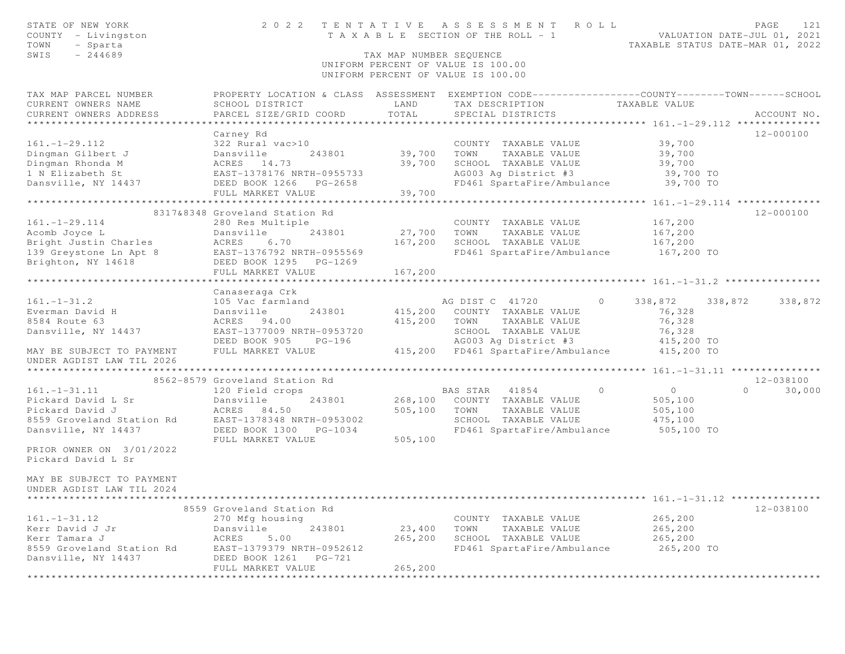| STATE OF NEW YORK<br>COUNTY - Livingston<br>TOWN<br>- Sparta<br>SWIS<br>$-244689$                                                                                 | 2 0 2 2                                                                                                                                                                | TENTATIVE<br>TAX MAP NUMBER SEQUENCE | A S S E S S M E N T<br>ROLL<br>T A X A B L E SECTION OF THE ROLL - 1                                                                                              | PAGE<br>121<br>VALUATION DATE-JUL 01, 2021<br>TAXABLE STATUS DATE-MAR 01, 2022                                                  |
|-------------------------------------------------------------------------------------------------------------------------------------------------------------------|------------------------------------------------------------------------------------------------------------------------------------------------------------------------|--------------------------------------|-------------------------------------------------------------------------------------------------------------------------------------------------------------------|---------------------------------------------------------------------------------------------------------------------------------|
|                                                                                                                                                                   |                                                                                                                                                                        |                                      | UNIFORM PERCENT OF VALUE IS 100.00<br>UNIFORM PERCENT OF VALUE IS 100.00                                                                                          |                                                                                                                                 |
| TAX MAP PARCEL NUMBER<br>CURRENT OWNERS NAME<br>CURRENT OWNERS ADDRESS                                                                                            | SCHOOL DISTRICT<br>PARCEL SIZE/GRID COORD                                                                                                                              | LAND<br>TOTAL                        | TAX DESCRIPTION<br>SPECIAL DISTRICTS                                                                                                                              | PROPERTY LOCATION & CLASS ASSESSMENT EXEMPTION CODE---------------COUNTY-------TOWN------SCHOOL<br>TAXABLE VALUE<br>ACCOUNT NO. |
|                                                                                                                                                                   | Carney Rd                                                                                                                                                              |                                      |                                                                                                                                                                   | 12-000100                                                                                                                       |
| $161. - 1 - 29.112$<br>Dingman Gilbert J<br>Dingman Rhonda M<br>1 N Elizabeth St<br>Dansville, NY 14437                                                           | 322 Rural vac>10<br>Dansville<br>243801<br>ACRES 14.73<br>EAST-1378176 NRTH-0955733<br>DEED BOOK 1266<br>PG-2658<br>FULL MARKET VALUE                                  | 39,700<br>39,700<br>39,700           | COUNTY TAXABLE VALUE<br>TOWN<br>TAXABLE VALUE<br>SCHOOL TAXABLE VALUE<br>AG003 Ag District #3<br>FD461 SpartaFire/Ambulance                                       | 39,700<br>39,700<br>39,700<br>39,700 TO<br>39,700 TO                                                                            |
|                                                                                                                                                                   |                                                                                                                                                                        |                                      |                                                                                                                                                                   |                                                                                                                                 |
| $161. - 1 - 29.114$<br>Acomb Joyce L<br>Bright Justin Charles<br>139 Greystone Ln Apt 8<br>Brighton, NY 14618                                                     | 8317&8348 Groveland Station Rd<br>280 Res Multiple<br>Dansville<br>243801<br>ACRES<br>6.70<br>EAST-1376792 NRTH-0955569<br>DEED BOOK 1295<br>$PG-1269$                 | 27,700<br>167,200                    | COUNTY TAXABLE VALUE<br>TOWN<br>TAXABLE VALUE<br>SCHOOL TAXABLE VALUE<br>FD461 SpartaFire/Ambulance 167,200 TO                                                    | 12-000100<br>167,200<br>167,200<br>167,200                                                                                      |
|                                                                                                                                                                   | FULL MARKET VALUE                                                                                                                                                      | 167,200                              |                                                                                                                                                                   |                                                                                                                                 |
| $161. - 1 - 31.2$<br>Everman David H<br>8584 Route 63<br>Dansville, NY 14437<br>MAY BE SUBJECT TO PAYMENT<br>UNDER AGDIST LAW TIL 2026                            | Canaseraga Crk<br>105 Vac farmland<br>Dansville<br>243801<br>ACRES 94.00<br>EAST-1377009 NRTH-0953720<br>DEED BOOK 905<br>$PG-196$<br>FULL MARKET VALUE                | 415,200<br>415,200                   | AG DIST C 41720<br>$\circ$<br>COUNTY TAXABLE VALUE<br>TAXABLE VALUE<br>TOWN<br>SCHOOL TAXABLE VALUE<br>AG003 Ag District #3<br>415,200 FD461 SpartaFire/Ambulance | 338,872<br>338,872<br>338,872<br>76,328<br>76,328<br>76,328<br>415,200 TO<br>415,200 TO                                         |
|                                                                                                                                                                   |                                                                                                                                                                        |                                      |                                                                                                                                                                   |                                                                                                                                 |
| $161. - 1 - 31.11$<br>Pickard David L Sr<br>Pickard David J<br>8559 Groveland Station Rd<br>Dansville, NY 14437<br>PRIOR OWNER ON 3/01/2022<br>Pickard David L Sr | 8562-8579 Groveland Station Rd<br>120 Field crops<br>Dansville<br>243801<br>ACRES 84.50<br>EAST-1378348 NRTH-0953002<br>DEED BOOK 1300<br>PG-1034<br>FULL MARKET VALUE | 268,100<br>505,100<br>505,100        | $\circ$<br>BAS STAR 41854<br>COUNTY TAXABLE VALUE<br>TOWN<br>TAXABLE VALUE<br>SCHOOL TAXABLE VALUE<br>FD461 SpartaFire/Ambulance                                  | 12-038100<br>$\Omega$<br>$\overline{0}$<br>30,000<br>505,100<br>505,100<br>475,100<br>505,100 TO                                |
| MAY BE SUBJECT TO PAYMENT<br>UNDER AGDIST LAW TIL 2024                                                                                                            |                                                                                                                                                                        |                                      |                                                                                                                                                                   |                                                                                                                                 |
| $161. - 1 - 31.12$<br>Kerr David J Jr<br>Kerr Tamara J<br>8559 Groveland Station Rd<br>Dansville, NY 14437                                                        | 8559 Groveland Station Rd<br>270 Mfg housing<br>Dansville<br>243801<br>ACRES<br>5.00<br>EAST-1379379 NRTH-0952612<br>DEED BOOK 1261<br>PG-721<br>FULL MARKET VALUE     | 23,400<br>265,200<br>265,200         | COUNTY TAXABLE VALUE<br>TOWN<br>TAXABLE VALUE<br>SCHOOL TAXABLE VALUE<br>FD461 SpartaFire/Ambulance                                                               | $12 - 038100$<br>265,200<br>265,200<br>265,200<br>265,200 TO                                                                    |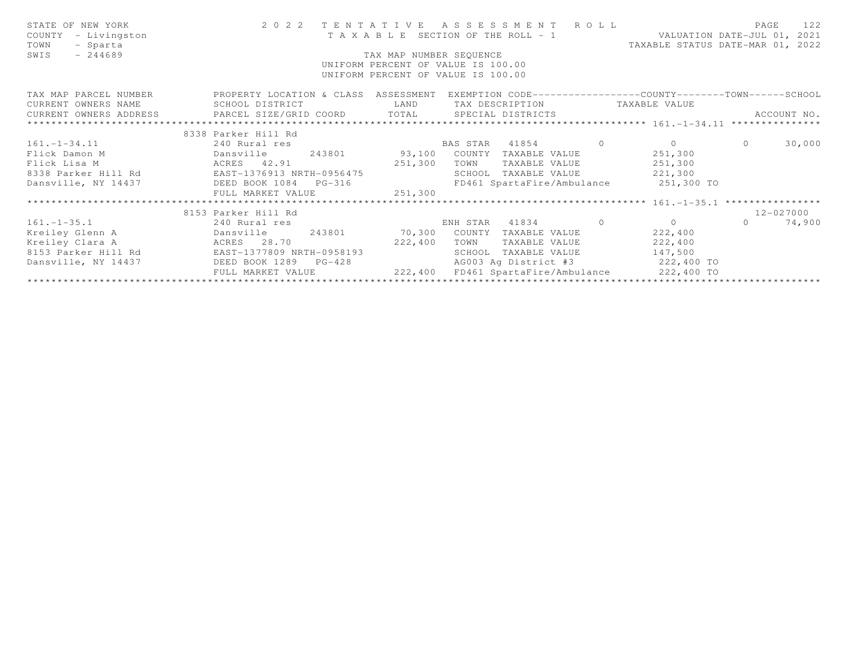| STATE OF NEW YORK<br>COUNTY - Livingston<br>TOWN<br>- Sparta<br>$-244689$<br>SWIS                                        | 2022 TENTATIVE ASSESSMENT ROLL<br>TAXABLE SECTION OF THE ROLL - 1 VALUATION DATE-JUL 01, 2021<br>TAXABLE STATUS DATE-MAR 01, 2022<br>TAX MAP NUMBER SEQUENCE<br>UNIFORM PERCENT OF VALUE IS 100.00<br>UNIFORM PERCENT OF VALUE IS 100.00 |         |      |                                               |  |         |           | PAGE<br>122 |
|--------------------------------------------------------------------------------------------------------------------------|------------------------------------------------------------------------------------------------------------------------------------------------------------------------------------------------------------------------------------------|---------|------|-----------------------------------------------|--|---------|-----------|-------------|
| TAX MAP PARCEL NUMBER THE PROPERTY LOCATION & CLASS ASSESSMENT EXEMPTION CODE--------------COUNTY-------TOWN------SCHOOL |                                                                                                                                                                                                                                          |         |      |                                               |  |         |           |             |
| CURRENT OWNERS NAME SCHOOL DISTRICT                                                                                      |                                                                                                                                                                                                                                          | LAND    |      | TAX DESCRIPTION TAXABLE VALUE                 |  |         |           |             |
| CURRENT OWNERS ADDRESS FARCEL SIZE/GRID COORD TOTAL SPECIAL DISTRICTS                                                    |                                                                                                                                                                                                                                          |         |      |                                               |  |         |           | ACCOUNT NO. |
| *************************                                                                                                |                                                                                                                                                                                                                                          |         |      |                                               |  |         |           |             |
|                                                                                                                          | 8338 Parker Hill Rd                                                                                                                                                                                                                      |         |      |                                               |  |         |           |             |
| 161.-1-34.11 240 Rural res                                                                                               |                                                                                                                                                                                                                                          |         |      | BAS STAR 41854 0 0 0                          |  |         | $\bigcap$ | 30,000      |
| Flick Damon M                                                                                                            | Dansville 243801 93,100 COUNTY TAXABLE VALUE 251,300                                                                                                                                                                                     |         |      |                                               |  |         |           |             |
|                                                                                                                          | ACRES 42.91                                                                                                                                                                                                                              |         | TOWN | TAXABLE VALUE 251,300                         |  |         |           |             |
|                                                                                                                          |                                                                                                                                                                                                                                          |         |      | SCHOOL TAXABLE VALUE 221,300                  |  |         |           |             |
| Dansville, NY 14437 DEED BOOK 1084 PG-316                                                                                |                                                                                                                                                                                                                                          |         |      | FD461 SpartaFire/Ambulance 251,300 TO         |  |         |           |             |
|                                                                                                                          | FULL MARKET VALUE                                                                                                                                                                                                                        | 251,300 |      |                                               |  |         |           |             |
|                                                                                                                          |                                                                                                                                                                                                                                          |         |      |                                               |  |         |           |             |
|                                                                                                                          | 8153 Parker Hill Rd                                                                                                                                                                                                                      |         |      |                                               |  |         |           | 12-027000   |
| $161. -1 - 35.1$                                                                                                         | 240 Rural res                                                                                                                                                                                                                            |         |      | ENH STAR 41834 0 0                            |  |         | $\Omega$  | 74,900      |
|                                                                                                                          |                                                                                                                                                                                                                                          |         |      |                                               |  | 222,400 |           |             |
| Kreiley Clara A                                                                                                          | ACRES 28.70                                                                                                                                                                                                                              | 222,400 | TOWN | TAXABLE VALUE 222,400                         |  |         |           |             |
| 8153 Parker Hill Rd EAST-1377809 NRTH-0958193                                                                            |                                                                                                                                                                                                                                          |         |      | SCHOOL TAXABLE VALUE 147,500                  |  |         |           |             |
| Dansville, NY 14437 DEED BOOK 1289 PG-428                                                                                |                                                                                                                                                                                                                                          |         |      | AG003 Ag District #3 222,400 TO               |  |         |           |             |
|                                                                                                                          | FULL MARKET VALUE                                                                                                                                                                                                                        |         |      | 222,400 FD461 SpartaFire/Ambulance 222,400 TO |  |         |           |             |
|                                                                                                                          |                                                                                                                                                                                                                                          |         |      |                                               |  |         |           |             |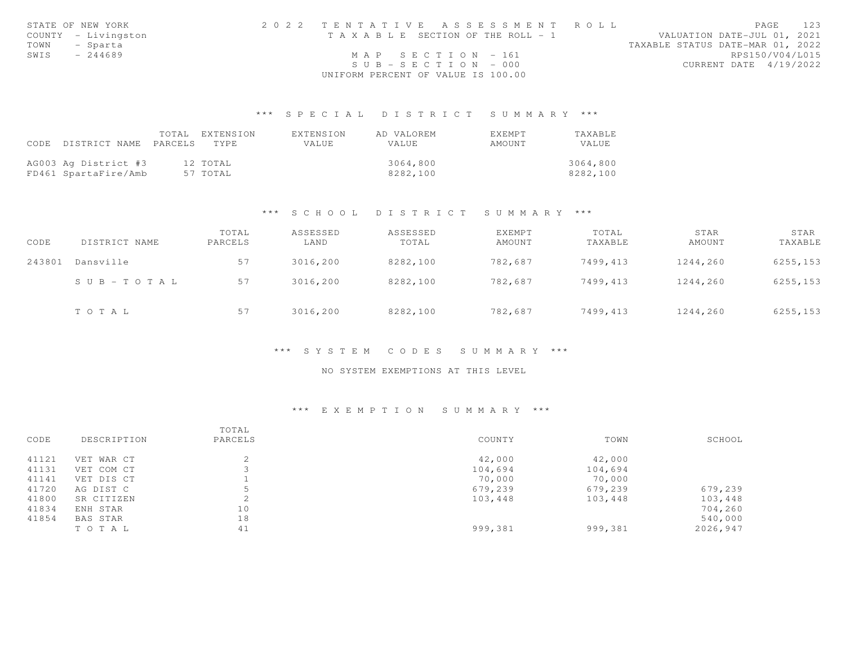|      | STATE OF NEW YORK   | 2022 TENTATIVE ASSESSMENT ROLL        | PAGE                             | 123 |
|------|---------------------|---------------------------------------|----------------------------------|-----|
|      | COUNTY - Livingston | T A X A B L E SECTION OF THE ROLL - 1 | VALUATION DATE-JUL 01, 2021      |     |
|      | TOWN - Sparta       |                                       | TAXABLE STATUS DATE-MAR 01, 2022 |     |
| SWIS | $-244689$           | MAP SECTION - 161                     | RPS150/V04/L015                  |     |
|      |                     | $SUB - SECTION - 000$                 | CURRENT DATE 4/19/2022           |     |
|      |                     | UNIFORM PERCENT OF VALUE IS 100.00    |                                  |     |

## \*\*\* S P E C I A L D I S T R I C T S U M M A R Y \*\*\*

|      |                      | TOTAL   | EXTENSION | EXTENSION | AD VALOREM   | EXEMPT | TAXABLE  |
|------|----------------------|---------|-----------|-----------|--------------|--------|----------|
| CODE | DISTRICT NAME        | PARCELS | TYPE.     | VALUE     | <b>VALUE</b> | AMOUNT | VALUE    |
|      |                      |         |           |           |              |        |          |
|      | AG003 Ag District #3 |         | 12 TOTAL  |           | 3064,800     |        | 3064,800 |
|      | FD461 SpartaFire/Amb |         | 57 TOTAL  |           | 8282,100     |        | 8282,100 |

### \*\*\* S C H O O L D I S T R I C T S U M M A R Y \*\*\*

| CODE   | DISTRICT NAME | TOTAL<br>PARCELS | ASSESSED<br>LAND | ASSESSED<br>TOTAL | <b>EXEMPT</b><br>AMOUNT | TOTAL<br>TAXABLE | STAR<br>AMOUNT | STAR<br>TAXABLE |
|--------|---------------|------------------|------------------|-------------------|-------------------------|------------------|----------------|-----------------|
| 243801 | Dansville     | 57               | 3016,200         | 8282,100          | 782,687                 | 7499,413         | 1244,260       | 6255,153        |
|        | SUB-TOTAL     | 57               | 3016,200         | 8282,100          | 782,687                 | 7499,413         | 1244,260       | 6255, 153       |
|        | TOTAL         | 57               | 3016,200         | 8282,100          | 782,687                 | 7499,413         | 1244,260       | 6255,153        |

### \*\*\* S Y S T E M C O D E S S U M M A R Y \*\*\*

### NO SYSTEM EXEMPTIONS AT THIS LEVEL

## \*\*\* E X E M P T I O N S U M M A R Y \*\*\*

| CODE  | DESCRIPTION | TOTAL<br>PARCELS | COUNTY  | TOWN    | SCHOOL   |
|-------|-------------|------------------|---------|---------|----------|
| 41121 | VET WAR CT  | $\hat{ }$        | 42,000  | 42,000  |          |
| 41131 | VET COM CT  |                  | 104,694 | 104,694 |          |
| 41141 | VET DIS CT  |                  | 70,000  | 70,000  |          |
| 41720 | AG DIST C   | 5                | 679,239 | 679,239 | 679,239  |
| 41800 | SR CITIZEN  |                  | 103,448 | 103,448 | 103,448  |
| 41834 | ENH STAR    | 10               |         |         | 704,260  |
| 41854 | BAS STAR    | 18               |         |         | 540,000  |
|       | TO TAL      | 41               | 999,381 | 999,381 | 2026,947 |
|       |             |                  |         |         |          |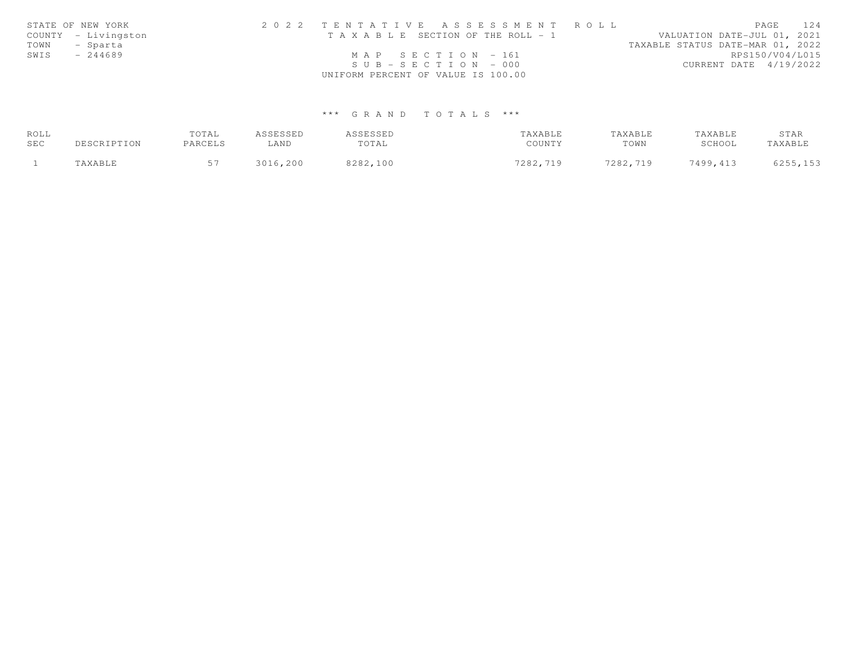|      | STATE OF NEW YORK   | 2022 TENTATIVE ASSESSMENT ROLL        | PAGE 124                         |
|------|---------------------|---------------------------------------|----------------------------------|
|      | COUNTY - Livingston | T A X A B L E SECTION OF THE ROLL - 1 | VALUATION DATE-JUL 01, 2021      |
| TOWN | - Sparta            |                                       | TAXABLE STATUS DATE-MAR 01, 2022 |
| SWIS | $-244689$           | MAP SECTION - 161                     | RPS150/V04/L015                  |
|      |                     | $SUB - SECTION - 000$                 | CURRENT DATE 4/19/2022           |
|      |                     | UNIFORM PERCENT OF VALUE IS 100.00    |                                  |

# \*\*\* G R A N D T O T A L S \*\*\*

| ROLL |             | TOTAL   | ASSESSED | ASSESSED | TAXABLE  | TAXABLE  | TAXABLE  | STAR     |
|------|-------------|---------|----------|----------|----------|----------|----------|----------|
| SEC  | DESCRIPTION | PARCELS | LAND     | TOTAL    | COUNTY   | TOWN     | SCHOOL   | TAXABLE  |
|      | TAXABLE     |         | 3016,200 | 8282,100 | 7282,719 | 7282,719 | 7499,413 | 6255,153 |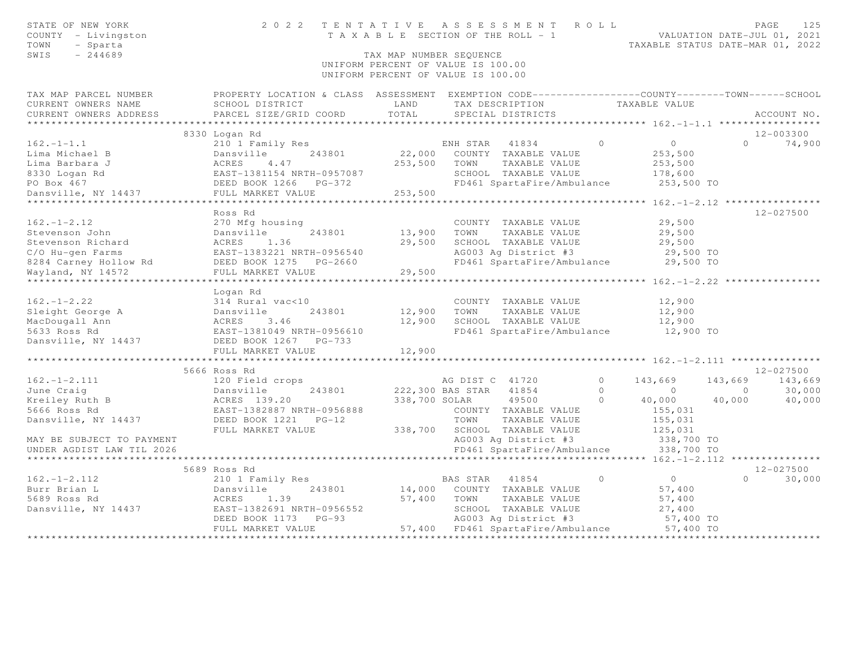| STATE OF NEW YORK<br>COUNTY - Livingston<br>TOWN<br>- Sparta<br>SWIS<br>$-244689$ |                                                                                                   | TAX MAP NUMBER SEQUENCE | 2022 TENTATIVE ASSESSMENT ROLL<br>T A X A B L E SECTION OF THE ROLL - 1<br>UNIFORM PERCENT OF VALUE IS 100.00<br>UNIFORM PERCENT OF VALUE IS 100.00 |          | VALUATION DATE-JUL 01, 2021<br>TAXABLE STATUS DATE-MAR 01, 2022 |                | PAGE<br>125   |
|-----------------------------------------------------------------------------------|---------------------------------------------------------------------------------------------------|-------------------------|-----------------------------------------------------------------------------------------------------------------------------------------------------|----------|-----------------------------------------------------------------|----------------|---------------|
| TAX MAP PARCEL NUMBER                                                             | PROPERTY LOCATION & CLASS ASSESSMENT EXEMPTION CODE-----------------COUNTY-------TOWN------SCHOOL |                         |                                                                                                                                                     |          |                                                                 |                |               |
| CURRENT OWNERS NAME                                                               | SCHOOL DISTRICT                                                                                   | LAND                    | TAX DESCRIPTION                                                                                                                                     |          | TAXABLE VALUE                                                   |                |               |
| CURRENT OWNERS ADDRESS                                                            | PARCEL SIZE/GRID COORD                                                                            | TOTAL                   | SPECIAL DISTRICTS                                                                                                                                   |          |                                                                 |                | ACCOUNT NO.   |
|                                                                                   | 8330 Logan Rd                                                                                     |                         |                                                                                                                                                     |          |                                                                 |                | $12 - 003300$ |
| $162. - 1 - 1.1$                                                                  | 210 1 Family Res                                                                                  |                         | ENH STAR 41834                                                                                                                                      | $\Omega$ | $\circ$                                                         | $\Omega$       | 74,900        |
| Lima Michael B                                                                    | 243801<br>Dansville                                                                               | 22,000                  | COUNTY TAXABLE VALUE                                                                                                                                |          | 253,500                                                         |                |               |
| Lima Barbara J                                                                    |                                                                                                   | 253,500                 | TOWN<br>TAXABLE VALUE                                                                                                                               |          | 253,500                                                         |                |               |
| 8330 Logan Rd                                                                     |                                                                                                   |                         | SCHOOL TAXABLE VALUE                                                                                                                                |          | 178,600                                                         |                |               |
| PO Box 467                                                                        |                                                                                                   |                         | FD461 SpartaFire/Ambulance                                                                                                                          |          | 253,500 TO                                                      |                |               |
| Dansville, NY 14437                                                               | FULL MARKET VALUE                                                                                 | 253,500                 |                                                                                                                                                     |          |                                                                 |                |               |
|                                                                                   | ***********************                                                                           |                         |                                                                                                                                                     |          |                                                                 |                |               |
|                                                                                   | Ross Rd                                                                                           |                         |                                                                                                                                                     |          |                                                                 |                | 12-027500     |
| $162. - 1 - 2.12$                                                                 | 270 Mfg housing                                                                                   |                         | COUNTY TAXABLE VALUE                                                                                                                                |          | 29,500                                                          |                |               |
| Stevenson John                                                                    | Dansville<br>243801                                                                               | 13,900                  | TAXABLE VALUE<br>TOWN                                                                                                                               |          | 29,500                                                          |                |               |
| Stevenson Richard                                                                 | ACRES 1.36                                                                                        | 29,500                  | SCHOOL TAXABLE VALUE                                                                                                                                |          | 29,500                                                          |                |               |
| C/O Hu-gen Farms                                                                  | EAST-1383221 NRTH-0956540                                                                         |                         | AG003 Ag District #3                                                                                                                                |          | 29,500 TO                                                       |                |               |
| 8284 Carney Hollow Rd                                                             | DEED BOOK 1275 PG-2660                                                                            | 29,500                  | FD461 SpartaFire/Ambulance                                                                                                                          |          | 29,500 TO                                                       |                |               |
| Wayland, NY 14572                                                                 | FULL MARKET VALUE<br>**************************                                                   |                         |                                                                                                                                                     |          |                                                                 |                |               |
|                                                                                   | Logan Rd                                                                                          |                         |                                                                                                                                                     |          |                                                                 |                |               |
| $162. - 1 - 2.22$                                                                 | 314 Rural vac<10                                                                                  |                         | COUNTY TAXABLE VALUE                                                                                                                                |          | 12,900                                                          |                |               |
| Sleight George A                                                                  |                                                                                                   | 12,900                  | TOWN<br>TAXABLE VALUE                                                                                                                               |          | 12,900                                                          |                |               |
| MacDougall Ann                                                                    |                                                                                                   | 12,900                  | SCHOOL TAXABLE VALUE                                                                                                                                |          | 12,900                                                          |                |               |
| 5633 Ross Rd                                                                      | Dansville 243801<br>ACRES 3.46<br>EAST-1381049 NRTH-0956610                                       |                         | FD461 SpartaFire/Ambulance                                                                                                                          |          | 12,900 TO                                                       |                |               |
| Dansville, NY 14437                                                               | DEED BOOK 1267 PG-733                                                                             |                         |                                                                                                                                                     |          |                                                                 |                |               |
|                                                                                   | FULL MARKET VALUE                                                                                 | 12,900                  |                                                                                                                                                     |          |                                                                 |                |               |
|                                                                                   | *************************                                                                         |                         |                                                                                                                                                     |          |                                                                 |                |               |
|                                                                                   | 5666 Ross Rd                                                                                      |                         |                                                                                                                                                     |          |                                                                 |                | $12 - 027500$ |
| $162. - 1 - 2.111$                                                                | 120 Field crops                                                                                   |                         | AG DIST C 41720                                                                                                                                     | $\circ$  | 143,669                                                         | 143,669        | 143,669       |
| June Craig                                                                        | 243801<br>Dansville                                                                               |                         | 222,300 BAS STAR<br>41854                                                                                                                           | $\Omega$ | $\sim$ 0                                                        | $\overline{0}$ | 30,000        |
| Kreiley Ruth B                                                                    | ACRES 139.20                                                                                      | 338,700 SOLAR           | 49500                                                                                                                                               | $\Omega$ | 40,000                                                          | 40,000         | 40,000        |
| 5666 Ross Rd                                                                      | EAST-1382887 NRTH-0956888                                                                         |                         | COUNTY TAXABLE VALUE                                                                                                                                |          | 155,031                                                         |                |               |
| Dansville, NY 14437                                                               | DEED BOOK 1221    PG-12                                                                           |                         | TOWN<br>TAXABLE VALUE                                                                                                                               |          | 155,031                                                         |                |               |
|                                                                                   | FULL MARKET VALUE                                                                                 | 338,700                 | SCHOOL TAXABLE VALUE                                                                                                                                |          | 125,031                                                         |                |               |
| MAY BE SUBJECT TO PAYMENT<br>UNDER AGDIST LAW TIL 2026                            |                                                                                                   |                         | AG003 Ag District #3<br>FD461 SpartaFire/Ambulance                                                                                                  |          | 338,700 TO<br>338,700 TO                                        |                |               |
|                                                                                   |                                                                                                   |                         |                                                                                                                                                     |          |                                                                 |                |               |
|                                                                                   | 5689 Ross Rd                                                                                      |                         |                                                                                                                                                     |          |                                                                 |                | 12-027500     |
| $162. - 1 - 2.112$                                                                | 210 1 Family Res                                                                                  |                         | BAS STAR 41854                                                                                                                                      | $\circ$  | $\overline{0}$                                                  | $\Omega$       | 30,000        |
| Burr Brian L                                                                      | Dansville<br>243801                                                                               | 14,000                  | COUNTY TAXABLE VALUE                                                                                                                                |          | 57,400                                                          |                |               |
| 5689 Ross Rd                                                                      | 1.39<br>ACRES                                                                                     | 57,400                  | TOWN<br>TAXABLE VALUE                                                                                                                               |          | 57,400                                                          |                |               |
| Dansville, NY 14437                                                               | EAST-1382691 NRTH-0956552                                                                         |                         | SCHOOL TAXABLE VALUE                                                                                                                                |          | 27,400                                                          |                |               |
|                                                                                   | DEED BOOK 1173<br>$PG-93$                                                                         |                         | AG003 Ag District #3                                                                                                                                |          | 57,400 TO                                                       |                |               |
|                                                                                   | FULL MARKET VALUE                                                                                 |                         | 57,400 FD461 SpartaFire/Ambulance                                                                                                                   |          | 57,400 TO                                                       |                |               |
|                                                                                   |                                                                                                   |                         |                                                                                                                                                     |          |                                                                 |                |               |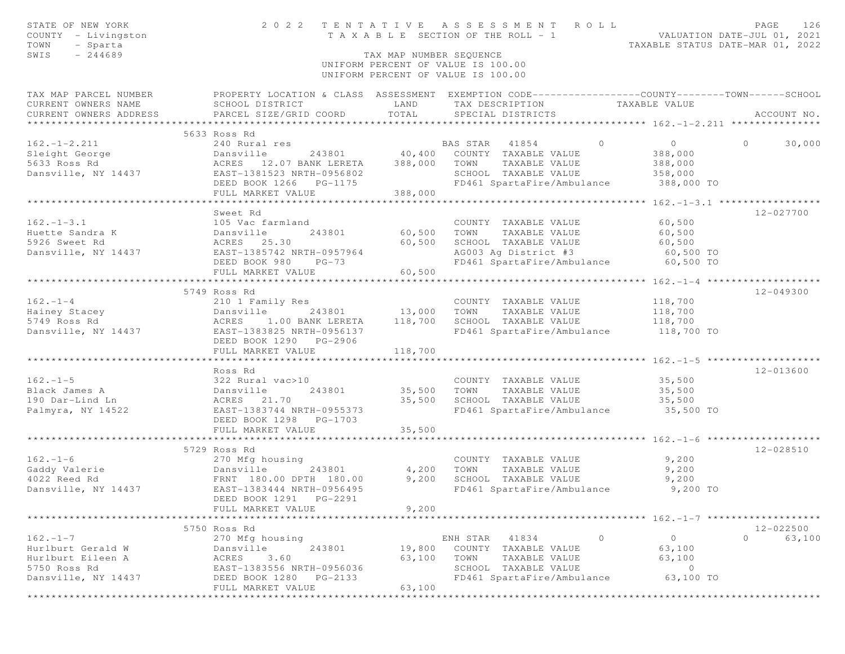| STATE OF NEW YORK                                                                                                                                               |                                                                                                  |                         | 2022 TENTATIVE ASSESSMENT ROLL                                        |                     | PAGE<br>126<br>VALUATION DATE-JUL 01, 2021 |
|-----------------------------------------------------------------------------------------------------------------------------------------------------------------|--------------------------------------------------------------------------------------------------|-------------------------|-----------------------------------------------------------------------|---------------------|--------------------------------------------|
| COUNTY - Livingston                                                                                                                                             |                                                                                                  |                         | T A X A B L E SECTION OF THE ROLL - 1                                 |                     |                                            |
| TOWN<br>- Sparta<br>SWIS<br>$-244689$                                                                                                                           |                                                                                                  |                         |                                                                       |                     | TAXABLE STATUS DATE-MAR 01, 2022           |
|                                                                                                                                                                 |                                                                                                  | TAX MAP NUMBER SEQUENCE | UNIFORM PERCENT OF VALUE IS 100.00                                    |                     |                                            |
|                                                                                                                                                                 |                                                                                                  |                         | UNIFORM PERCENT OF VALUE IS 100.00                                    |                     |                                            |
| TAX MAP PARCEL NUMBER                                                                                                                                           | PROPERTY LOCATION & CLASS ASSESSMENT EXEMPTION CODE----------------COUNTY-------TOWN------SCHOOL |                         |                                                                       |                     |                                            |
| CURRENT OWNERS NAME                                                                                                                                             | SCHOOL DISTRICT                                                                                  | LAND                    | TAX DESCRIPTION TAXABLE VALUE                                         |                     |                                            |
| CURRENT OWNERS ADDRESS                                                                                                                                          | SCHOOL DISTRICI<br>PARCEL SIZE/GRID COORD                                                        | TOTAL                   | SPECIAL DISTRICTS                                                     |                     | ACCOUNT NO.                                |
|                                                                                                                                                                 |                                                                                                  |                         |                                                                       |                     |                                            |
|                                                                                                                                                                 | 5633 Ross Rd                                                                                     |                         |                                                                       |                     |                                            |
| $162. - 1 - 2.211$                                                                                                                                              |                                                                                                  |                         | $\overline{0}$                                                        | $\overline{0}$      | 30,000<br>$\Omega$                         |
| Sleight George<br>5633 Ross Rd<br>5633 Ross Rd<br>5633 Ross Rd<br>5633 Ross Rd<br>5633 Ross Rd<br>5637-1381523 NRTH-0956802<br>56802<br>56802<br>56802<br>56802 |                                                                                                  |                         |                                                                       | 388,000             |                                            |
|                                                                                                                                                                 |                                                                                                  |                         | TOWN<br>TAXABLE VALUE                                                 | 388,000             |                                            |
|                                                                                                                                                                 | 11101 1901923 NKTH-0956802<br>DEED BOOK 1266 PG-1175<br>FULL MARING 1000                         |                         | SCHOOL TAXABLE VALUE                                                  | 358,000             |                                            |
|                                                                                                                                                                 |                                                                                                  |                         | FD461 SpartaFire/Ambulance 388,000 TO                                 |                     |                                            |
|                                                                                                                                                                 | FULL MARKET VALUE                                                                                | 388,000                 |                                                                       |                     |                                            |
|                                                                                                                                                                 |                                                                                                  |                         |                                                                       |                     |                                            |
| $162. - 1 - 3.1$                                                                                                                                                | Sweet Rd<br>105 Vac farmland                                                                     |                         | COUNTY TAXABLE VALUE                                                  | 60,500              | 12-027700                                  |
|                                                                                                                                                                 | 243801                                                                                           | 60,500                  | TOWN<br>TAXABLE VALUE                                                 | 60,500              |                                            |
| Huette Sandra K<br>Final Sandra K<br>The Sandra K<br>Sand ACRES 25.30                                                                                           |                                                                                                  | 60,500                  | SCHOOL TAXABLE VALUE                                                  | 60,500              |                                            |
| Dansville, NY 14437 EAST-1385742 NRTH-0957964                                                                                                                   |                                                                                                  |                         | AG003 Ag District #3                                                  | 60,500 TO           |                                            |
|                                                                                                                                                                 | DEED BOOK 980 PG-73                                                                              |                         | FD461 SpartaFire/Ambulance                                            | 60,500 TO           |                                            |
|                                                                                                                                                                 | FULL MARKET VALUE                                                                                | 60,500                  |                                                                       |                     |                                            |
|                                                                                                                                                                 |                                                                                                  |                         |                                                                       |                     |                                            |
|                                                                                                                                                                 | 5749 Ross Rd                                                                                     |                         |                                                                       |                     | $12 - 049300$                              |
| $162 - 1 - 4$                                                                                                                                                   | 210 1 Family Res                                                                                 |                         | COUNTY TAXABLE VALUE                                                  | 118,700             |                                            |
|                                                                                                                                                                 |                                                                                                  |                         | TOWN<br>TAXABLE VALUE                                                 | 118,700             |                                            |
|                                                                                                                                                                 |                                                                                                  |                         | SCHOOL TAXABLE VALUE                                                  | 118,700             |                                            |
|                                                                                                                                                                 |                                                                                                  |                         | SCHOOL IAXABLE VALUE 118,700<br>FD461 SpartaFire/Ambulance 118,700 TO |                     |                                            |
|                                                                                                                                                                 | DEED BOOK 1290 PG-2906                                                                           |                         |                                                                       |                     |                                            |
|                                                                                                                                                                 | FULL MARKET VALUE                                                                                | 118,700                 |                                                                       |                     |                                            |
|                                                                                                                                                                 |                                                                                                  |                         |                                                                       |                     |                                            |
|                                                                                                                                                                 | Ross Rd                                                                                          |                         |                                                                       |                     | 12-013600                                  |
| $162. - 1 - 5$                                                                                                                                                  | 322 Rural vac>10                                                                                 |                         | COUNTY TAXABLE VALUE                                                  | 35,500              |                                            |
| Black James A                                                                                                                                                   | Dansville 243801<br>ACRES 21.70<br>EAST-1383744 NRTH-0955373                                     | 35,500                  | TOWN<br>TAXABLE VALUE                                                 | 35,500              |                                            |
| 190 Dar-Lind Ln                                                                                                                                                 |                                                                                                  | 35,500                  | SCHOOL TAXABLE VALUE                                                  | 35,500              |                                            |
| Palmyra, NY 14522                                                                                                                                               |                                                                                                  |                         | FD461 SpartaFire/Ambulance 35,500 TO                                  |                     |                                            |
|                                                                                                                                                                 | DEED BOOK 1298 PG-1703                                                                           |                         |                                                                       |                     |                                            |
|                                                                                                                                                                 | FULL MARKET VALUE                                                                                | 35,500                  |                                                                       |                     |                                            |
|                                                                                                                                                                 |                                                                                                  |                         |                                                                       |                     | 12-028510                                  |
|                                                                                                                                                                 | 5729 Ross Rd                                                                                     |                         |                                                                       |                     |                                            |
| $162. - 1 - 6$                                                                                                                                                  | 270 Mfg housing                                                                                  | 4,200                   | COUNTY TAXABLE VALUE<br>TOWN TAXABLE VALUE                            | 9,200<br>9,200      |                                            |
|                                                                                                                                                                 | 243801<br>TH 180.00                                                                              | 9,200                   | SCHOOL TAXABLE VALUE                                                  | 9,200               |                                            |
| Dansville, NY 14437                                                                                                                                             | EAST-1383444 NRTH-0956495                                                                        |                         | FD461 SpartaFire/Ambulance 9,200 TO                                   |                     |                                            |
|                                                                                                                                                                 | DEED BOOK 1291 PG-2291                                                                           |                         |                                                                       |                     |                                            |
|                                                                                                                                                                 | FULL MARKET VALUE                                                                                | 9,200                   |                                                                       |                     |                                            |
|                                                                                                                                                                 |                                                                                                  |                         |                                                                       |                     |                                            |
|                                                                                                                                                                 | 5750 Ross Rd                                                                                     |                         |                                                                       |                     | $12 - 022500$                              |
| $162. - 1 - 7$                                                                                                                                                  | 270 Mfg housing                                                                                  |                         | 41834<br>ENH STAR                                                     | $\Omega$<br>$\circ$ | $\Omega$<br>63,100                         |
| Hurlburt Gerald W                                                                                                                                               | 243801<br>Dansville                                                                              | 19,800                  | COUNTY TAXABLE VALUE                                                  | 63,100              |                                            |
| Hurlburt Eileen A                                                                                                                                               | ACRES<br>3.60                                                                                    | 63,100                  | TOWN<br>TAXABLE VALUE                                                 | 63,100              |                                            |
| 5750 Ross Rd                                                                                                                                                    | EAST-1383556 NRTH-0956036                                                                        |                         | SCHOOL TAXABLE VALUE                                                  | $\circ$             |                                            |
| Dansville, NY 14437                                                                                                                                             | DEED BOOK 1280<br>PG-2133                                                                        |                         | FD461 SpartaFire/Ambulance                                            | 63,100 TO           |                                            |
|                                                                                                                                                                 | FULL MARKET VALUE                                                                                | 63,100                  |                                                                       |                     |                                            |
| ************                                                                                                                                                    |                                                                                                  |                         |                                                                       |                     |                                            |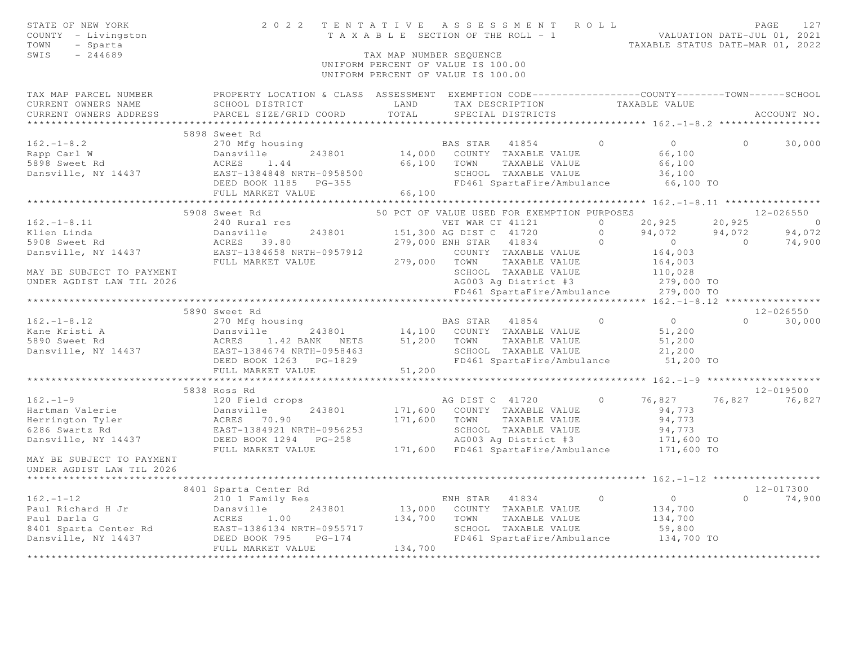| STATE OF NEW YORK<br>COUNTY - Livingston<br>TOWN<br>- Sparta<br>SWIS<br>$-244689$ |                                                                                                                                                                                 | TAX MAP NUMBER SEOUENCE | 2022 TENTATIVE ASSESSMENT ROLL<br>TENIAITVE ASSESSMENT ACCEPT VALUATION DATE-JUL 01, 2021<br>TAXABLE SECTION OF THE ROLL - 1<br>TAXABLE STATUS DATE-MAR 01, 2022 |                |                           | PAGE                     | 127              |
|-----------------------------------------------------------------------------------|---------------------------------------------------------------------------------------------------------------------------------------------------------------------------------|-------------------------|------------------------------------------------------------------------------------------------------------------------------------------------------------------|----------------|---------------------------|--------------------------|------------------|
|                                                                                   |                                                                                                                                                                                 |                         | UNIFORM PERCENT OF VALUE IS 100.00<br>UNIFORM PERCENT OF VALUE IS 100.00                                                                                         |                |                           |                          |                  |
| CURRENT OWNERS NAME                                                               | TAX MAP PARCEL NUMBER FROPERTY LOCATION & CLASS ASSESSMENT EXEMPTION CODE---------------COUNTY-------TOWN-----SCHOOL<br>SCHOOL DISTRICT                                         | LAND                    | TAX DESCRIPTION TAXABLE VALUE                                                                                                                                    |                |                           |                          |                  |
| CURRENT OWNERS ADDRESS                                                            | PARCEL SIZE/GRID COORD                                                                                                                                                          | TOTAL                   | SPECIAL DISTRICTS                                                                                                                                                |                |                           |                          | ACCOUNT NO.      |
|                                                                                   | 5898 Sweet Rd                                                                                                                                                                   |                         |                                                                                                                                                                  |                |                           |                          |                  |
| $162. - 1 - 8.2$                                                                  | 270 Mfg housing                                                                                                                                                                 |                         | BAS STAR 41854                                                                                                                                                   | $\circ$        | $\overline{0}$            | $\circ$                  | 30,000           |
| Rapp Carl W                                                                       | Dansville<br>243801                                                                                                                                                             |                         | 14,000 COUNTY TAXABLE VALUE                                                                                                                                      |                | 66,100                    |                          |                  |
| 5898 Sweet Rd                                                                     | Dansviile<br>ACRES 1.44<br>1004948 NRT                                                                                                                                          |                         | 66,100 TOWN TAXABLE VALUE                                                                                                                                        |                | 66,100                    |                          |                  |
|                                                                                   |                                                                                                                                                                                 |                         | SCHOOL TAXABLE VALUE                                                                                                                                             |                | 36,100                    |                          |                  |
|                                                                                   |                                                                                                                                                                                 |                         | FD461 SpartaFire/Ambulance                                                                                                                                       |                | 66,100 TO                 |                          |                  |
|                                                                                   | FULL MARKET VALUE                                                                                                                                                               | 66,100                  |                                                                                                                                                                  |                |                           |                          |                  |
|                                                                                   |                                                                                                                                                                                 |                         |                                                                                                                                                                  |                |                           |                          |                  |
|                                                                                   | 5908 Sweet Rd                                                                                                                                                                   |                         | 50 PCT OF VALUE USED FOR EXEMPTION PURPOSES                                                                                                                      |                |                           |                          | $12 - 026550$    |
| $162. - 1 - 8.11$                                                                 | 240 Rural res                                                                                                                                                                   |                         | VET WAR CT 41121                                                                                                                                                 | $\cap$         | 20,925                    | 20,925                   | $\sim$ 0         |
| Klien Linda<br>5908 Sweet Rd                                                      | Dansville 243801<br>ACRES 39.80                                                                                                                                                 |                         | 151,300 AG DIST C 41720                                                                                                                                          | $\bigcirc$     | 94,072<br>$\sim$ 0 $\sim$ | 94,072<br>$\overline{0}$ | 94,072<br>74,900 |
|                                                                                   |                                                                                                                                                                                 |                         | 279,000 ENH STAR 41834 0<br>COUNTY TAXABLE VALUE                                                                                                                 |                | 164,003                   |                          |                  |
|                                                                                   | Dansville, NY 14437 EAST-1384658 NRTH-0957912 COUNTY<br>FULL MARKET VALUE 279,000 TOWN                                                                                          |                         | TAXABLE VALUE                                                                                                                                                    |                | 164,003                   |                          |                  |
| MAY BE SUBJECT TO PAYMENT                                                         |                                                                                                                                                                                 |                         | SCHOOL TAXABLE VALUE                                                                                                                                             |                | 110,028                   |                          |                  |
| UNDER AGDIST LAW TIL 2026                                                         |                                                                                                                                                                                 |                         | AG003 Ag District #3                                                                                                                                             |                | 279,000 TO                |                          |                  |
|                                                                                   |                                                                                                                                                                                 |                         | FD461 SpartaFire/Ambulance                                                                                                                                       |                | 279,000 TO                |                          |                  |
|                                                                                   |                                                                                                                                                                                 |                         |                                                                                                                                                                  |                |                           |                          |                  |
|                                                                                   | 5890 Sweet Rd                                                                                                                                                                   |                         |                                                                                                                                                                  |                |                           |                          | 12-026550        |
| $162. - 1 - 8.12$                                                                 | 270 Mfg housing                                                                                                                                                                 |                         | BAS STAR 41854                                                                                                                                                   | $\bigcirc$     | $\overline{0}$            |                          | $0 \t 30,000$    |
| Kane Kristi A<br>5890 Sweet Rd                                                    | Dansville<br>ACRES 1<br>243801                                                                                                                                                  |                         | 14,100 COUNTY TAXABLE VALUE<br>51,200 TOWN TAXABLE VALUE                                                                                                         |                | 51,200                    |                          |                  |
|                                                                                   | 1.42 BANK NETS                                                                                                                                                                  |                         | TAXABLE VALUE                                                                                                                                                    |                | 51,200                    |                          |                  |
| Dansville, NY 14437                                                               | EAST-1384674 NRTH-0958463                                                                                                                                                       |                         | SCHOOL TAXABLE VALUE                                                                                                                                             |                | 21,200                    |                          |                  |
|                                                                                   | DEED BOOK 1263 PG-1829                                                                                                                                                          |                         | FD461 SpartaFire/Ambulance 51,200 TO                                                                                                                             |                |                           |                          |                  |
|                                                                                   | FULL MARKET VALUE<br>***************************                                                                                                                                | 51,200                  |                                                                                                                                                                  |                |                           |                          |                  |
|                                                                                   | 5838 Ross Rd                                                                                                                                                                    |                         |                                                                                                                                                                  |                |                           |                          | $12 - 019500$    |
| $162. - 1 - 9$                                                                    | 120 Field crops                                                                                                                                                                 |                         | AG DIST C 41720                                                                                                                                                  | $\circ$        | 76,827                    | 76,827                   | 76,827           |
|                                                                                   |                                                                                                                                                                                 |                         | 171,600 COUNTY TAXABLE VALUE                                                                                                                                     |                | 94,773                    |                          |                  |
|                                                                                   |                                                                                                                                                                                 | 171,600                 | TOWN<br>TAXABLE VALUE                                                                                                                                            |                | 94,773                    |                          |                  |
|                                                                                   |                                                                                                                                                                                 |                         | SCHOOL TAXABLE VALUE                                                                                                                                             |                | 94,773                    |                          |                  |
|                                                                                   | 1921<br>Hartman Valerie<br>Herrington Tyler<br>6286 Swartz Rd<br>Dansville, NY 14437<br>Dansville, NY 14437<br>DEED BOOK 1294<br>PG-258<br>THE MARKET VALUE<br>THE MARKET VALUE |                         | AG003 Ag District #3                                                                                                                                             |                |                           |                          |                  |
|                                                                                   | FULL MARKET VALUE                                                                                                                                                               |                         | 171,600 FD461 SpartaFire/Ambulance                                                                                                                               |                | 171,600 TO<br>171,600 TO  |                          |                  |
| MAY BE SUBJECT TO PAYMENT<br>UNDER AGDIST LAW TIL 2026                            |                                                                                                                                                                                 |                         |                                                                                                                                                                  |                |                           |                          |                  |
|                                                                                   |                                                                                                                                                                                 |                         |                                                                                                                                                                  |                |                           |                          |                  |
|                                                                                   | 8401 Sparta Center Rd                                                                                                                                                           |                         |                                                                                                                                                                  |                |                           |                          | 12-017300        |
| $162. - 1 - 12$                                                                   | 210 1 Family Res                                                                                                                                                                |                         | ENH STAR 41834<br>13,000 COUNTY TAXABLE VALUE                                                                                                                    | $\overline{0}$ | $\overline{0}$            | $\Omega$                 | 74,900           |
| Paul Richard H Jr<br>- Alberta G                                                  | Dansville<br>243801<br>ACRES 1.00                                                                                                                                               | 134,700                 | TOWN<br>TAXABLE VALUE                                                                                                                                            |                | 134,700<br>134,700        |                          |                  |
|                                                                                   |                                                                                                                                                                                 |                         | SCHOOL TAXABLE VALUE                                                                                                                                             |                | 59,800                    |                          |                  |
|                                                                                   | Paul Darla G<br>8401 Sparta Center Rd<br>BAST-1386134 NRTH-0955717<br>DEED BOOK 795                                                                                             |                         | FD461 SpartaFire/Ambulance 134,700 TO                                                                                                                            |                |                           |                          |                  |
|                                                                                   | FULL MARKET VALUE                                                                                                                                                               | 134,700                 |                                                                                                                                                                  |                |                           |                          |                  |
|                                                                                   |                                                                                                                                                                                 | **************          |                                                                                                                                                                  |                |                           |                          |                  |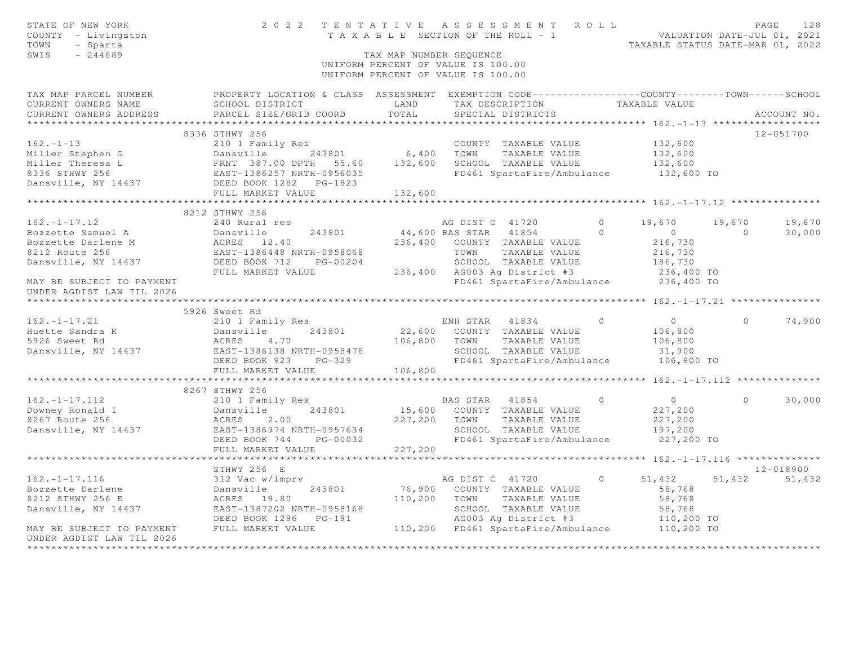| STATE OF NEW YORK<br>COUNTY - Livingston<br>TOWN<br>- Sparta<br>$-244689$<br>SWIS |                                                                                                   | TAX MAP NUMBER SEQUENCE | 2022 TENTATIVE ASSESSMENT ROLL<br>T A X A B L E SECTION OF THE ROLL - 1<br>UNIFORM PERCENT OF VALUE IS 100.00<br>UNIFORM PERCENT OF VALUE IS 100.00 |                | VALUATION DATE-JUL 01, 2021<br>TAXABLE STATUS DATE-MAR 01, 2022 |            | PAGE<br>128   |
|-----------------------------------------------------------------------------------|---------------------------------------------------------------------------------------------------|-------------------------|-----------------------------------------------------------------------------------------------------------------------------------------------------|----------------|-----------------------------------------------------------------|------------|---------------|
| TAX MAP PARCEL NUMBER                                                             | PROPERTY LOCATION & CLASS ASSESSMENT EXEMPTION CODE-----------------COUNTY-------TOWN------SCHOOL |                         |                                                                                                                                                     |                |                                                                 |            |               |
| CURRENT OWNERS NAME                                                               | SCHOOL DISTRICT                                                                                   | LAND                    | TAX DESCRIPTION                                                                                                                                     |                | TAXABLE VALUE                                                   |            |               |
| CURRENT OWNERS ADDRESS                                                            | PARCEL SIZE/GRID COORD                                                                            | TOTAL                   | SPECIAL DISTRICTS                                                                                                                                   |                |                                                                 |            | ACCOUNT NO.   |
|                                                                                   | 8336 STHWY 256                                                                                    |                         |                                                                                                                                                     |                |                                                                 |            | 12-051700     |
| $162. - 1 - 13$                                                                   | 210 1 Family Res                                                                                  |                         | COUNTY TAXABLE VALUE                                                                                                                                |                | 132,600                                                         |            |               |
| Miller Stephen G                                                                  | Dansville<br>243801                                                                               | 6,400 TOWN              | TAXABLE VALUE                                                                                                                                       |                | 132,600                                                         |            |               |
| Miller Theresa L                                                                  |                                                                                                   | 132,600                 | SCHOOL TAXABLE VALUE                                                                                                                                |                | 132,600                                                         |            |               |
| 8336 STHWY 256                                                                    |                                                                                                   |                         | FD461 SpartaFire/Ambulance                                                                                                                          |                | 132,600 TO                                                      |            |               |
| Dansville, NY 14437 DEED BOOK 1282 PG-1823                                        |                                                                                                   |                         |                                                                                                                                                     |                |                                                                 |            |               |
|                                                                                   | FULL MARKET VALUE                                                                                 | 132,600                 |                                                                                                                                                     |                |                                                                 |            |               |
|                                                                                   |                                                                                                   |                         |                                                                                                                                                     |                |                                                                 |            |               |
|                                                                                   | 8212 STHWY 256                                                                                    |                         |                                                                                                                                                     |                |                                                                 |            |               |
| $162. - 1 - 17.12$                                                                | 240 Rural res                                                                                     |                         | AG DIST C 41720                                                                                                                                     | $\overline{0}$ | 19,670                                                          | 19,670     | 19,670        |
| Bozzette Samuel A                                                                 | 243801<br>Dansville                                                                               | 44,600 BAS STAR         | 41854                                                                                                                                               | $\bigcirc$     | $\overline{0}$                                                  | $\bigcirc$ | 30,000        |
| Bozzette Darlene M                                                                |                                                                                                   |                         | 236,400 COUNTY TAXABLE VALUE                                                                                                                        |                | 216,730                                                         |            |               |
| 8212 Route 256                                                                    | ACRES 12.40<br>EAST-1386448 NRTH-0958068<br>DEED BOOK 712 PG-00204                                |                         | TOWN<br>TAXABLE VALUE                                                                                                                               |                | 216,730                                                         |            |               |
| Dansville, NY 14437                                                               |                                                                                                   |                         | SCHOOL TAXABLE VALUE                                                                                                                                |                | 186,730                                                         |            |               |
|                                                                                   | FULL MARKET VALUE                                                                                 |                         | 236,400 AG003 Ag District #3                                                                                                                        |                | 236,400 TO                                                      |            |               |
| MAY BE SUBJECT TO PAYMENT<br>UNDER AGDIST LAW TIL 2026                            |                                                                                                   |                         | FD461 SpartaFire/Ambulance 236,400 TO                                                                                                               |                |                                                                 |            |               |
|                                                                                   |                                                                                                   |                         |                                                                                                                                                     |                |                                                                 |            |               |
|                                                                                   | 5926 Sweet Rd                                                                                     |                         |                                                                                                                                                     |                |                                                                 |            |               |
| $162. -1 - 17.21$                                                                 | 210 1 Family Res                                                                                  |                         | ENH STAR 41834                                                                                                                                      | $\overline{0}$ | $\overline{0}$                                                  | $\Omega$   | 74,900        |
| Huette Sandra K                                                                   | 243801<br>Dansville                                                                               |                         | 22,600 COUNTY TAXABLE VALUE                                                                                                                         |                | 106,800                                                         |            |               |
| 5926 Sweet Rd                                                                     | ACRES<br>4.70                                                                                     | 106,800 TOWN            | TAXABLE VALUE                                                                                                                                       |                | 106,800                                                         |            |               |
| Dansville, NY 14437                                                               | EAST-1386138 NRTH-0958476                                                                         |                         | SCHOOL TAXABLE VALUE                                                                                                                                |                | 31,900                                                          |            |               |
|                                                                                   | DEED BOOK 923<br>$PG-329$                                                                         |                         | FD461 SpartaFire/Ambulance 106,800 TO                                                                                                               |                |                                                                 |            |               |
|                                                                                   | FULL MARKET VALUE                                                                                 | 106,800                 |                                                                                                                                                     |                |                                                                 |            |               |
|                                                                                   |                                                                                                   |                         |                                                                                                                                                     |                |                                                                 |            |               |
|                                                                                   | 8267 STHWY 256                                                                                    |                         |                                                                                                                                                     |                |                                                                 |            |               |
| $162. - 1 - 17.112$                                                               | 210 1 Family Res                                                                                  |                         | BAS STAR 41854                                                                                                                                      | $\bigcirc$     | $\overline{0}$                                                  | $\Omega$   | 30,000        |
| Downey Ronald I                                                                   | 243801<br>Dansville                                                                               | 15,600                  | COUNTY TAXABLE VALUE                                                                                                                                |                | 227,200                                                         |            |               |
| 8267 Route 256                                                                    | ACRES<br>2.00                                                                                     | 227,200                 | TOWN<br>TAXABLE VALUE                                                                                                                               |                | 227,200                                                         |            |               |
| Dansville, NY 14437                                                               | EAST-1386974 NRTH-0957634<br>DEED BOOK 744<br>PG-00032                                            |                         | SCHOOL TAXABLE VALUE<br>FD461 SpartaFire/Ambulance                                                                                                  |                | 197,200<br>227,200 TO                                           |            |               |
|                                                                                   | FULL MARKET VALUE                                                                                 | 227,200                 |                                                                                                                                                     |                |                                                                 |            |               |
|                                                                                   |                                                                                                   |                         |                                                                                                                                                     |                |                                                                 |            |               |
|                                                                                   | STHWY 256 E                                                                                       |                         |                                                                                                                                                     |                |                                                                 |            | 12-018900     |
| $162. - 1 - 17.116$                                                               | 312 Vac w/imprv                                                                                   |                         | AG DIST C 41720                                                                                                                                     | $\circ$        | 51,432                                                          |            | 51,432 51,432 |
| Bozzette Darlene                                                                  | Dansville<br>243801                                                                               |                         | 76,900 COUNTY TAXABLE VALUE                                                                                                                         |                | 58,768                                                          |            |               |
| 8212 STHWY 256 E                                                                  | ACRES 19.80                                                                                       | 110,200                 | TOWN TAXABLE VALUE                                                                                                                                  |                | 58,768                                                          |            |               |
| Dansville, NY 14437                                                               | EAST-1387202 NRTH-0958168                                                                         |                         | SCHOOL TAXABLE VALUE                                                                                                                                |                | 58,768                                                          |            |               |
|                                                                                   | DEED BOOK 1296 PG-191                                                                             |                         | AG003 Ag District #3<br>FD461 Second T                                                                                                              |                | 110,200 TO                                                      |            |               |
| MAY BE SUBJECT TO PAYMENT                                                         | FULL MARKET VALUE                                                                                 |                         | 110,200 FD461 SpartaFire/Ambulance 110,200 TO                                                                                                       |                |                                                                 |            |               |
| UNDER AGDIST LAW TIL 2026                                                         |                                                                                                   |                         |                                                                                                                                                     |                |                                                                 |            |               |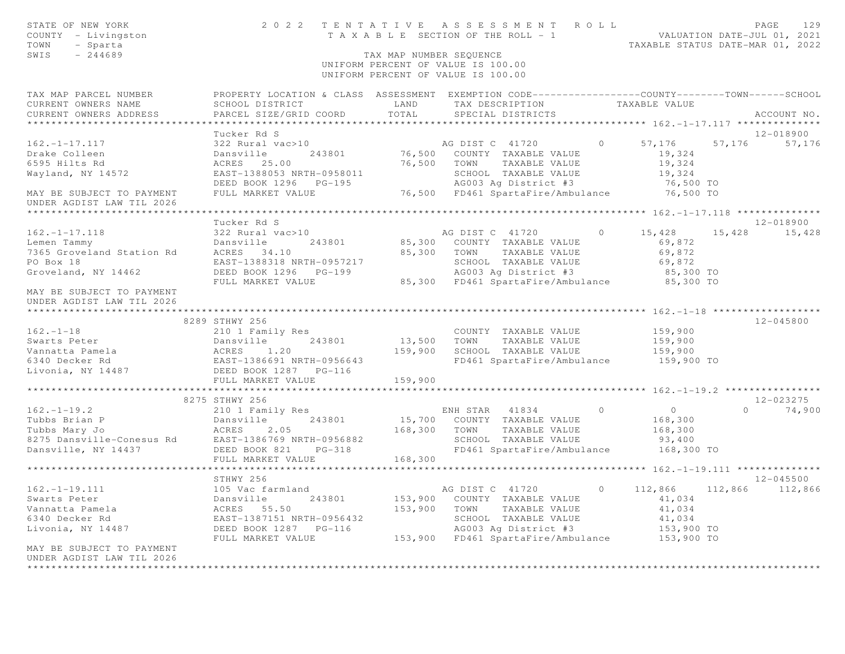| STATE OF NEW YORK<br>COUNTY - Livingston<br>TOWN<br>- Sparta<br>SWIS<br>$-244689$                                                                                                                                                                    |                                                                                                                                                                                                                                    |         | TAX MAP NUMBER SEQUENCE                                                   |                 |                 |
|------------------------------------------------------------------------------------------------------------------------------------------------------------------------------------------------------------------------------------------------------|------------------------------------------------------------------------------------------------------------------------------------------------------------------------------------------------------------------------------------|---------|---------------------------------------------------------------------------|-----------------|-----------------|
|                                                                                                                                                                                                                                                      |                                                                                                                                                                                                                                    |         | UNIFORM PERCENT OF VALUE IS 100.00<br>UNIFORM PERCENT OF VALUE IS 100.00  |                 |                 |
| TAX MAP PARCEL NUMBER<br>CURRENT OWNERS NAME                                                                                                                                                                                                         | PROPERTY LOCATION & CLASS ASSESSMENT EXEMPTION CODE----------------COUNTY-------TOWN------SCHOOL<br>SCHOOL DISTRICT                                                                                                                |         | LAND TAX DESCRIPTION TAXABLE VALUE                                        |                 |                 |
| CURRENT OWNERS ADDRESS                                                                                                                                                                                                                               | PARCEL SIZE/GRID COORD                                                                                                                                                                                                             | TOTAL   | SPECIAL DISTRICTS                                                         |                 | ACCOUNT NO.     |
|                                                                                                                                                                                                                                                      |                                                                                                                                                                                                                                    |         |                                                                           |                 |                 |
|                                                                                                                                                                                                                                                      | Tucker Rd S                                                                                                                                                                                                                        |         |                                                                           |                 | 12-018900       |
| $162. - 1 - 17.117$                                                                                                                                                                                                                                  | 322 Rural vac>10                                                                                                                                                                                                                   |         | AG DIST C 41720 0 57,176 57,176 57,176                                    |                 |                 |
| Drake Colleen                                                                                                                                                                                                                                        | Dansville                                                                                                                                                                                                                          |         | 243801 76,500 COUNTY TAXABLE VALUE<br>76,500 TOWN TAXABLE VALUE           | 19,324          |                 |
| 6595 Hilts Rd                                                                                                                                                                                                                                        | ACRES 25.00                                                                                                                                                                                                                        |         |                                                                           | 19,324          |                 |
| Wayland, NY 14572                                                                                                                                                                                                                                    |                                                                                                                                                                                                                                    |         |                                                                           |                 |                 |
|                                                                                                                                                                                                                                                      |                                                                                                                                                                                                                                    |         |                                                                           |                 |                 |
| MAY BE SUBJECT TO PAYMENT<br>UNDER AGDIST LAW TIL 2026                                                                                                                                                                                               | EAST-1388053 NRTH-0958011 SCHOOL TAXABLE VALUE 19,324<br>DEED BOOK 1296 PG-195                                    AG003 Ag District #3                         76,500 TO<br>FULL MARKET VALUE                         76,500 FD461 |         |                                                                           |                 |                 |
|                                                                                                                                                                                                                                                      |                                                                                                                                                                                                                                    |         |                                                                           |                 |                 |
|                                                                                                                                                                                                                                                      | Tucker Rd S                                                                                                                                                                                                                        |         |                                                                           |                 | 12-018900       |
| $162. - 1 - 17.118$                                                                                                                                                                                                                                  | 322 Rural vac>10                                                                                                                                                                                                                   |         | AG DIST C 41720 0 15,428                                                  |                 | 15,428 15,428   |
|                                                                                                                                                                                                                                                      | 243801                                                                                                                                                                                                                             |         | 85,300 COUNTY TAXABLE VALUE                                               | 69,872          |                 |
|                                                                                                                                                                                                                                                      |                                                                                                                                                                                                                                    |         | 85,300 TOWN TAXABLE VALUE                                                 | 69,872          |                 |
| 162.-1-17.118 ---<br>Lemen Tammy Dansville<br>7365 Groveland Station Rd ACRES 34.10<br>PO Boy 18 --- EAST-1388318 N                                                                                                                                  |                                                                                                                                                                                                                                    |         |                                                                           |                 |                 |
| Groveland, NY 14462                                                                                                                                                                                                                                  |                                                                                                                                                                                                                                    |         |                                                                           |                 |                 |
|                                                                                                                                                                                                                                                      |                                                                                                                                                                                                                                    |         |                                                                           |                 |                 |
| MAY BE SUBJECT TO PAYMENT<br>UNDER AGDIST LAW TIL 2026                                                                                                                                                                                               |                                                                                                                                                                                                                                    |         |                                                                           |                 |                 |
|                                                                                                                                                                                                                                                      |                                                                                                                                                                                                                                    |         |                                                                           |                 |                 |
|                                                                                                                                                                                                                                                      | 8289 STHWY 256                                                                                                                                                                                                                     |         |                                                                           |                 | $12 - 045800$   |
| 162.-1-18<br>Swarts Peter                                                                                                                                                                                                                            | 210 1 Family Res                                                                                                                                                                                                                   |         | COUNTY TAXABLE VALUE<br>13,500 TOWN TAXABLE VALUE<br>COUNTY TAXABLE VALUE | 159,900         |                 |
|                                                                                                                                                                                                                                                      |                                                                                                                                                                                                                                    |         |                                                                           | 159,900         |                 |
|                                                                                                                                                                                                                                                      |                                                                                                                                                                                                                                    |         | 159,900 SCHOOL TAXABLE VALUE<br>FD461 SpartaFire/Ambulance 159,900 TO     | 159,900         |                 |
|                                                                                                                                                                                                                                                      |                                                                                                                                                                                                                                    |         |                                                                           |                 |                 |
| Swarts Peter<br>Vannatta Pamela<br>6340 Decker Rd<br>6340 Decker Rd<br>6340 Decker Rd<br>6340 Decker Rd<br>6340 Decker Rd<br>6340 Decker Rd<br>6285T-1386691 NRTH-0956643<br>6285T-1386691 NRTH-0956643<br>6285T-1386691 NRTH-0956643<br>6285T-13866 | FULL MARKET VALUE                                                                                                                                                                                                                  | 159,900 |                                                                           |                 |                 |
|                                                                                                                                                                                                                                                      |                                                                                                                                                                                                                                    |         |                                                                           |                 |                 |
|                                                                                                                                                                                                                                                      | 8275 STHWY 256                                                                                                                                                                                                                     |         |                                                                           |                 | 12-023275       |
| $162. - 1 - 19.2$                                                                                                                                                                                                                                    | 210 1 Family Res                                                                                                                                                                                                                   |         | ENH STAR 41834 0                                                          | $\sim$ 0 $\sim$ | $0 \t 74,900$   |
|                                                                                                                                                                                                                                                      |                                                                                                                                                                                                                                    |         |                                                                           | 168,300         |                 |
|                                                                                                                                                                                                                                                      |                                                                                                                                                                                                                                    |         | 243801 15,700 COUNTY TAXABLE VALUE<br>2.05 168,300 TOWN TAXABLE VALUE     | 168,300         |                 |
|                                                                                                                                                                                                                                                      |                                                                                                                                                                                                                                    |         | SCHOOL TAXABLE VALUE                                                      | 93,400          |                 |
| 162.-1-19.2<br>Tubbs Brian P<br>Tubbs Mary Jo<br>8275 Dansville-Conesus Rd<br>Dansville, NY 14437<br>Tubbs Mary Jo<br>8275 Dansville-Conesus Rd<br>Dansville, NY 14437<br>DEED BOOK 821<br>PG-318<br>THE DOOK 821<br>PG-318                          |                                                                                                                                                                                                                                    |         | FD461 SpartaFire/Ambulance 168,300 TO                                     |                 |                 |
|                                                                                                                                                                                                                                                      | FULL MARKET VALUE                                                                                                                                                                                                                  | 168,300 |                                                                           |                 |                 |
|                                                                                                                                                                                                                                                      |                                                                                                                                                                                                                                    |         |                                                                           |                 |                 |
|                                                                                                                                                                                                                                                      | STHWY 256                                                                                                                                                                                                                          |         |                                                                           |                 | $12 - 045500$   |
| $162. - 1 - 19.111$                                                                                                                                                                                                                                  |                                                                                                                                                                                                                                    |         | AG DIST C 41720                                                           | $0 \t 112,866$  | 112,866 112,866 |
| Swarts Peter                                                                                                                                                                                                                                         |                                                                                                                                                                                                                                    |         | 153,900 COUNTY TAXABLE VALUE                                              | 41,034          |                 |
| Vannatta Pamela                                                                                                                                                                                                                                      |                                                                                                                                                                                                                                    |         | 153,900 TOWN TAXABLE VALUE                                                | 41,034          |                 |
| 6340 Decker Rd                                                                                                                                                                                                                                       |                                                                                                                                                                                                                                    |         |                                                                           | 41,034          |                 |
| Livonia, NY 14487                                                                                                                                                                                                                                    | 105 Vac farmland<br>Dansville 243801<br>ACRES 55.50<br>EAST-1387151 NRTH-0956432<br>DEED BOOK 1287 PG-116                                                                                                                          |         | SCHOOL TAXABLE VALUE<br>AG003 Ag District #3                              | 153,900 TO      |                 |
|                                                                                                                                                                                                                                                      | FULL MARKET VALUE                                                                                                                                                                                                                  |         | 153,900 FD461 SpartaFire/Ambulance 153,900 TO                             |                 |                 |
| MAY BE SUBJECT TO PAYMENT                                                                                                                                                                                                                            |                                                                                                                                                                                                                                    |         |                                                                           |                 |                 |
| UNDER AGDIST LAW TIL 2026                                                                                                                                                                                                                            |                                                                                                                                                                                                                                    |         |                                                                           |                 |                 |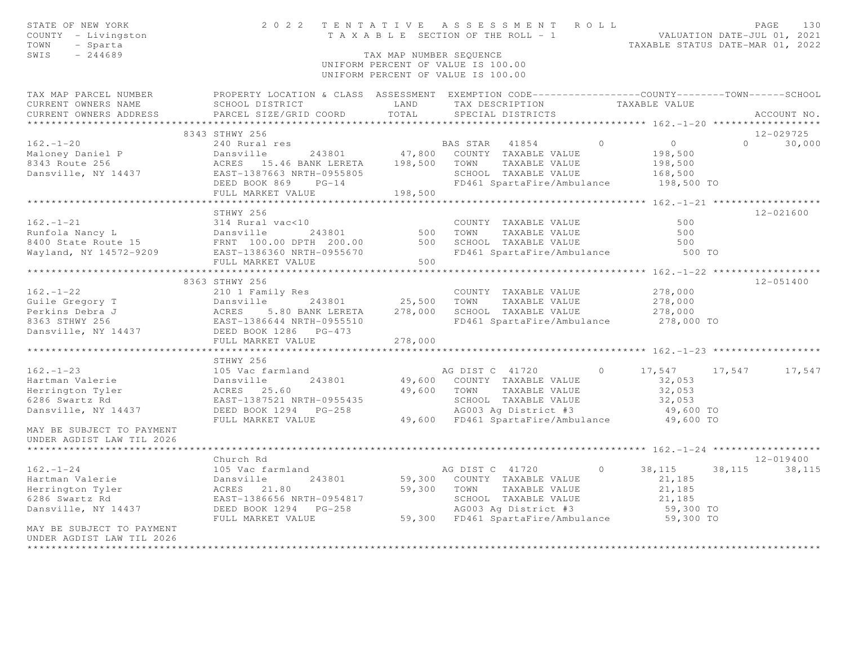| STATE OF NEW YORK<br>COUNTY - Livingston<br>TOWN<br>- Sparta<br>$-244689$<br>SWIS                                                                                                                                                                                                                                                                                                                                    |                                                    | TAX MAP NUMBER SEOUENCE | TENTATIVE ASSESSMENT ROLL PAGE 130<br>TAXABLE SECTION OF THE ROLL - 1 VALUATION DATE-JUL 01, 2021<br>TAXABLE STATUS DATE-MAR 01, 2022<br>2022 TENTATIVE ASSESSMENT ROLL |            |                 |  |
|----------------------------------------------------------------------------------------------------------------------------------------------------------------------------------------------------------------------------------------------------------------------------------------------------------------------------------------------------------------------------------------------------------------------|----------------------------------------------------|-------------------------|-------------------------------------------------------------------------------------------------------------------------------------------------------------------------|------------|-----------------|--|
|                                                                                                                                                                                                                                                                                                                                                                                                                      |                                                    |                         | UNIFORM PERCENT OF VALUE IS 100.00<br>UNIFORM PERCENT OF VALUE IS 100.00                                                                                                |            |                 |  |
| TAX MAP PARCEL NUMBER               PROPERTY LOCATION & CLASS ASSESSMENT EXEMPTION CODE----------------COUNTY-------TOWN------SCHOOL<br>CURRENT OWNERS NAME           SCHOOL DISTRICT                 LAND     TAX DESCRIPTION<br>CURRENT OWNERS NAME SCHOOL DISIRICI COORD LAND<br>CURRENT OWNERS ADDRESS PARCEL SIZE/GRID COORD TOTAL                                                                              | SCHOOL DISTRICT LAND TAX DESCRIPTION TAXABLE VALUE |                         | SPECIAL DISTRICTS                                                                                                                                                       |            |                 |  |
|                                                                                                                                                                                                                                                                                                                                                                                                                      |                                                    |                         |                                                                                                                                                                         |            | ACCOUNT NO.     |  |
|                                                                                                                                                                                                                                                                                                                                                                                                                      | 8343 STHWY 256                                     |                         |                                                                                                                                                                         |            | 12-029725       |  |
|                                                                                                                                                                                                                                                                                                                                                                                                                      |                                                    |                         | BAS STAR 41854 0 0                                                                                                                                                      |            | $0 \t 30,000$   |  |
|                                                                                                                                                                                                                                                                                                                                                                                                                      |                                                    |                         |                                                                                                                                                                         | 198,500    |                 |  |
|                                                                                                                                                                                                                                                                                                                                                                                                                      |                                                    |                         |                                                                                                                                                                         | 198,500    |                 |  |
|                                                                                                                                                                                                                                                                                                                                                                                                                      |                                                    |                         | SCHOOL TAXABLE VALUE                                                                                                                                                    | 168,500    |                 |  |
| $\begin{tabular}{lllllllllllllllllllll} \hline 162.-1-20 & 240~\text{Rural res} & & & & & & \text{BA5-JAM} & 110J1\\ \hline \text{Maloney Daniel P} & & & & & \text{Dansville} & 243801 & 47,800 & \text{COUNTY TAXABLE VALUE} \\ 8343~\text{Route 256} & & & & \text{ACRES} & 15.46~\text{BANK LERETA} & 198,500 & \text{TOWN} & \text{TAXABLE VALUE} \\ \text{Dansville, NY 14437} & & & & \text{ERET-1387663 NRT$ |                                                    |                         | FD461 SpartaFire/Ambulance 198,500 TO                                                                                                                                   |            |                 |  |
|                                                                                                                                                                                                                                                                                                                                                                                                                      |                                                    |                         |                                                                                                                                                                         |            |                 |  |
|                                                                                                                                                                                                                                                                                                                                                                                                                      |                                                    |                         |                                                                                                                                                                         |            |                 |  |
|                                                                                                                                                                                                                                                                                                                                                                                                                      | STHWY 256                                          |                         |                                                                                                                                                                         |            | 12-021600       |  |
|                                                                                                                                                                                                                                                                                                                                                                                                                      |                                                    |                         |                                                                                                                                                                         | 500<br>500 |                 |  |
|                                                                                                                                                                                                                                                                                                                                                                                                                      |                                                    |                         |                                                                                                                                                                         | 500        |                 |  |
|                                                                                                                                                                                                                                                                                                                                                                                                                      |                                                    |                         | FD461 SpartaFire/Ambulance 500 TO                                                                                                                                       |            |                 |  |
|                                                                                                                                                                                                                                                                                                                                                                                                                      |                                                    |                         |                                                                                                                                                                         |            |                 |  |
|                                                                                                                                                                                                                                                                                                                                                                                                                      |                                                    |                         |                                                                                                                                                                         |            |                 |  |
|                                                                                                                                                                                                                                                                                                                                                                                                                      |                                                    |                         |                                                                                                                                                                         |            | $12 - 051400$   |  |
|                                                                                                                                                                                                                                                                                                                                                                                                                      |                                                    |                         |                                                                                                                                                                         |            |                 |  |
|                                                                                                                                                                                                                                                                                                                                                                                                                      |                                                    |                         |                                                                                                                                                                         |            |                 |  |
|                                                                                                                                                                                                                                                                                                                                                                                                                      |                                                    |                         |                                                                                                                                                                         |            |                 |  |
|                                                                                                                                                                                                                                                                                                                                                                                                                      |                                                    |                         |                                                                                                                                                                         |            |                 |  |
| 162.-1-22<br>COUNTY TAXABLE VALUE<br>Guile Gregory T<br>Perkins Debra J<br>Perkins Debra J<br>278,000<br>ROCRES 5.80 BANK LERETA<br>278,000<br>278,000<br>Dansville, NY 14437<br>DEED BOOK 1286 PG-473<br>FULL MARKET VALUE<br>PERENTALLY COUNTY TAXAB                                                                                                                                                               |                                                    |                         |                                                                                                                                                                         |            |                 |  |
|                                                                                                                                                                                                                                                                                                                                                                                                                      |                                                    |                         |                                                                                                                                                                         |            |                 |  |
|                                                                                                                                                                                                                                                                                                                                                                                                                      | STHWY 256                                          |                         |                                                                                                                                                                         |            |                 |  |
|                                                                                                                                                                                                                                                                                                                                                                                                                      |                                                    |                         | AG DIST C 41720 0 17,547                                                                                                                                                |            | 17,547 17,547   |  |
|                                                                                                                                                                                                                                                                                                                                                                                                                      |                                                    |                         |                                                                                                                                                                         | 32,053     |                 |  |
|                                                                                                                                                                                                                                                                                                                                                                                                                      |                                                    |                         |                                                                                                                                                                         | 32,053     |                 |  |
|                                                                                                                                                                                                                                                                                                                                                                                                                      |                                                    |                         |                                                                                                                                                                         |            |                 |  |
|                                                                                                                                                                                                                                                                                                                                                                                                                      |                                                    |                         | SCHOOL TAXABLE VALUE 32,053<br>AG003 Ag District #3 49,600 TO<br>49,600 FD461 SpartaFire/Ambulance 49,600 TO                                                            |            |                 |  |
|                                                                                                                                                                                                                                                                                                                                                                                                                      | FULL MARKET VALUE                                  |                         |                                                                                                                                                                         |            |                 |  |
| MAY BE SUBJECT TO PAYMENT<br>UNDER AGDIST LAW TIL 2026                                                                                                                                                                                                                                                                                                                                                               |                                                    |                         |                                                                                                                                                                         |            |                 |  |
|                                                                                                                                                                                                                                                                                                                                                                                                                      |                                                    |                         |                                                                                                                                                                         |            |                 |  |
|                                                                                                                                                                                                                                                                                                                                                                                                                      | Church Rd                                          |                         |                                                                                                                                                                         |            | 12-019400       |  |
| $162 - 1 - 24$                                                                                                                                                                                                                                                                                                                                                                                                       | 105 Vac farmland                                   |                         | AG DIST C 41720 0                                                                                                                                                       | 38, 115    | 38, 115 38, 115 |  |
| Hartman Valerie<br>Herrington Tyler<br>6286 Swartz Rd 1999 Mart 21.80<br>6286 Swartz Rd 19954817                                                                                                                                                                                                                                                                                                                     |                                                    |                         | 59,300 COUNTY TAXABLE VALUE                                                                                                                                             | 21,185     |                 |  |
|                                                                                                                                                                                                                                                                                                                                                                                                                      |                                                    |                         | 59,300 TOWN TAXABLE VALUE                                                                                                                                               | 21,185     |                 |  |
| Dansville, NY 14437                                                                                                                                                                                                                                                                                                                                                                                                  | DEED BOOK 1294 PG-258                              |                         | SCHOOL TAXABLE VALUE                                                                                                                                                    | 21,185     |                 |  |
|                                                                                                                                                                                                                                                                                                                                                                                                                      | FULL MARKET VALUE                                  |                         | AG003 Ag District #3 59,300 TO<br>59,300 FD461 SpartaFire/Ambulance 59,300 TO                                                                                           |            |                 |  |
| MAY BE SUBJECT TO PAYMENT                                                                                                                                                                                                                                                                                                                                                                                            |                                                    |                         |                                                                                                                                                                         |            |                 |  |
| UNDER AGDIST LAW TIL 2026                                                                                                                                                                                                                                                                                                                                                                                            |                                                    |                         |                                                                                                                                                                         |            |                 |  |
|                                                                                                                                                                                                                                                                                                                                                                                                                      |                                                    |                         |                                                                                                                                                                         |            |                 |  |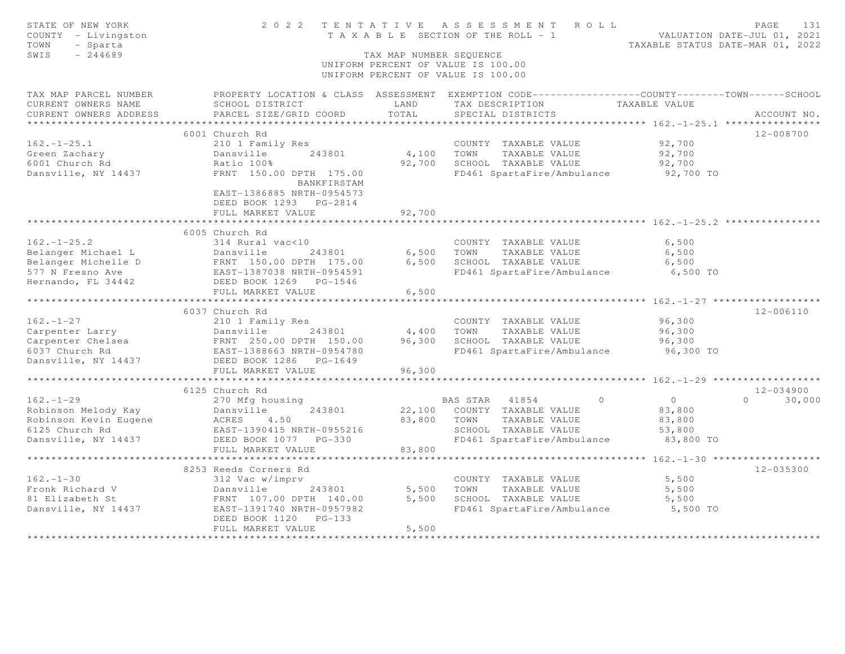| STATE OF NEW YORK<br>COUNTY - Livingston<br>TOWN<br>- Sparta<br>$-244689$<br>SWIS                                            |                                                                                                                           | TAX MAP NUMBER SEQUENCE | 2022 TENTATIVE ASSESSMENT ROLL<br>T A X A B L E SECTION OF THE ROLL - 1<br>UNIFORM PERCENT OF VALUE IS 100.00<br>UNIFORM PERCENT OF VALUE IS 100.00 | VALUATION DATE-JUL 01, 2021<br>TAXABLE STATUS DATE-MAR 01, 2022 | PAGE               | 131 |
|------------------------------------------------------------------------------------------------------------------------------|---------------------------------------------------------------------------------------------------------------------------|-------------------------|-----------------------------------------------------------------------------------------------------------------------------------------------------|-----------------------------------------------------------------|--------------------|-----|
| TAX MAP PARCEL NUMBER<br>CURRENT OWNERS NAME<br>CURRENT OWNERS ADDRESS                                                       | SCHOOL DISTRICT<br>PARCEL SIZE/GRID COORD                                                                                 | LAND<br>TOTAL           | PROPERTY LOCATION & CLASS ASSESSMENT EXEMPTION CODE-----------------COUNTY--------TOWN-----SCHOOL<br>TAX DESCRIPTION<br>SPECIAL DISTRICTS           | TAXABLE VALUE                                                   | ACCOUNT NO.        |     |
| ***********************                                                                                                      |                                                                                                                           |                         |                                                                                                                                                     |                                                                 |                    |     |
|                                                                                                                              | 6001 Church Rd                                                                                                            |                         |                                                                                                                                                     |                                                                 | 12-008700          |     |
| $162. - 1 - 25.1$                                                                                                            | 210 1 Family Res                                                                                                          |                         | COUNTY TAXABLE VALUE                                                                                                                                | 92,700                                                          |                    |     |
| Green Zachary<br>6001 Church Rd                                                                                              | 243801<br>Dansville<br>Ratio 100%                                                                                         | 4,100<br>92,700         | TAXABLE VALUE<br>TOWN<br>SCHOOL TAXABLE VALUE                                                                                                       | 92,700<br>92,700                                                |                    |     |
| Dansville, NY 14437                                                                                                          |                                                                                                                           |                         |                                                                                                                                                     |                                                                 |                    |     |
|                                                                                                                              | FRNT 150.00 DPTH 175.00<br><b>BANKFIRSTAM</b><br>EAST-1386885 NRTH-0954573<br>DEED BOOK 1293 PG-2814<br>FULL MARKET VALUE | 92,700                  | FD461 SpartaFire/Ambulance 92,700 TO                                                                                                                |                                                                 |                    |     |
|                                                                                                                              |                                                                                                                           |                         |                                                                                                                                                     | **************** 162.-1-25.2 **                                 |                    |     |
|                                                                                                                              | 6005 Church Rd                                                                                                            |                         |                                                                                                                                                     |                                                                 |                    |     |
| $162. - 1 - 25.2$                                                                                                            | 314 Rural vac<10                                                                                                          |                         | COUNTY TAXABLE VALUE                                                                                                                                | 6,500                                                           |                    |     |
| Belanger Michael L                                                                                                           | Dansville 243001<br>FRNT 150.00 DPTH 175.00<br>EAST-1387038 NRTH-0954591<br>DEED BOOK 1269 PG-1546                        | 6,500                   | TOWN<br>TAXABLE VALUE                                                                                                                               | 6,500                                                           |                    |     |
| Belanger Michelle D                                                                                                          |                                                                                                                           | 6,500                   | SCHOOL TAXABLE VALUE                                                                                                                                | 6,500                                                           |                    |     |
| 577 N Fresno Ave                                                                                                             |                                                                                                                           |                         | FD461 SpartaFire/Ambulance 6,500 TO                                                                                                                 |                                                                 |                    |     |
| Hernando, FL 34442                                                                                                           |                                                                                                                           |                         |                                                                                                                                                     |                                                                 |                    |     |
|                                                                                                                              | FULL MARKET VALUE                                                                                                         | 6,500                   |                                                                                                                                                     |                                                                 |                    |     |
|                                                                                                                              |                                                                                                                           |                         |                                                                                                                                                     |                                                                 |                    |     |
|                                                                                                                              | 6037 Church Rd                                                                                                            |                         |                                                                                                                                                     |                                                                 | 12-006110          |     |
| $162. - 1 - 27$                                                                                                              | 210 1 Family Res                                                                                                          |                         | COUNTY TAXABLE VALUE                                                                                                                                | 96,300                                                          |                    |     |
| Carpenter Larry<br>Carpenter Chelsea<br>Carpenter Chelsea<br>6037 Church Rd<br>Dansville, NY 14437<br>DEED BOOK 1286 PG-1649 |                                                                                                                           | 4,400                   | TOWN<br>TAXABLE VALUE                                                                                                                               | 96,300                                                          |                    |     |
|                                                                                                                              |                                                                                                                           | 96,300                  | SCHOOL TAXABLE VALUE                                                                                                                                | 96,300                                                          |                    |     |
|                                                                                                                              |                                                                                                                           |                         | FD461 SpartaFire/Ambulance                                                                                                                          | 96,300 TO                                                       |                    |     |
| Dansville, NY 14437                                                                                                          |                                                                                                                           |                         |                                                                                                                                                     |                                                                 |                    |     |
|                                                                                                                              | FULL MARKET VALUE<br>***********************                                                                              | 96,300                  |                                                                                                                                                     | ********* 162.-1-29 ********                                    |                    |     |
|                                                                                                                              |                                                                                                                           |                         |                                                                                                                                                     |                                                                 |                    |     |
|                                                                                                                              | 6125 Church Rd                                                                                                            |                         |                                                                                                                                                     |                                                                 | $12 - 034900$      |     |
| $162. - 1 - 29$                                                                                                              | 270 Mfg housing                                                                                                           |                         | BAS STAR 41854<br>$\circ$                                                                                                                           | $\overline{0}$                                                  | 30,000<br>$\Omega$ |     |
|                                                                                                                              |                                                                                                                           |                         | 22,100 COUNTY TAXABLE VALUE                                                                                                                         | 83,800                                                          |                    |     |
|                                                                                                                              |                                                                                                                           | 83,800                  | TOWN<br>TAXABLE VALUE<br>SCHOOL TAXABLE VALUE                                                                                                       | 83,800                                                          |                    |     |
| Dansville, NY 14437 DEED BOOK 1077 PG-330                                                                                    |                                                                                                                           |                         | FD461 SpartaFire/Ambulance 83,800 TO                                                                                                                | 53,800                                                          |                    |     |
|                                                                                                                              | FULL MARKET VALUE                                                                                                         | 83,800                  |                                                                                                                                                     |                                                                 |                    |     |
|                                                                                                                              |                                                                                                                           |                         |                                                                                                                                                     |                                                                 |                    |     |
|                                                                                                                              | 8253 Reeds Corners Rd                                                                                                     |                         |                                                                                                                                                     |                                                                 | $12 - 035300$      |     |
| $162. - 1 - 30$                                                                                                              | 312 Vac w/imprv                                                                                                           |                         | COUNTY TAXABLE VALUE                                                                                                                                | 5,500                                                           |                    |     |
| Fronk Richard V                                                                                                              | Dansville<br>243801                                                                                                       | 5,500                   | TOWN<br>TAXABLE VALUE                                                                                                                               | 5,500                                                           |                    |     |
| 81 Elizabeth St                                                                                                              | FRNT 107.00 DPTH 140.00                                                                                                   | 5,500                   | SCHOOL TAXABLE VALUE                                                                                                                                | 5,500                                                           |                    |     |
| Dansville, NY 14437                                                                                                          | EAST-1391740 NRTH-0957982                                                                                                 |                         | FD461 SpartaFire/Ambulance 5,500 TO                                                                                                                 |                                                                 |                    |     |
|                                                                                                                              | DEED BOOK 1120 PG-133                                                                                                     |                         |                                                                                                                                                     |                                                                 |                    |     |
|                                                                                                                              | FULL MARKET VALUE                                                                                                         | 5,500                   |                                                                                                                                                     |                                                                 |                    |     |
|                                                                                                                              |                                                                                                                           |                         |                                                                                                                                                     |                                                                 |                    |     |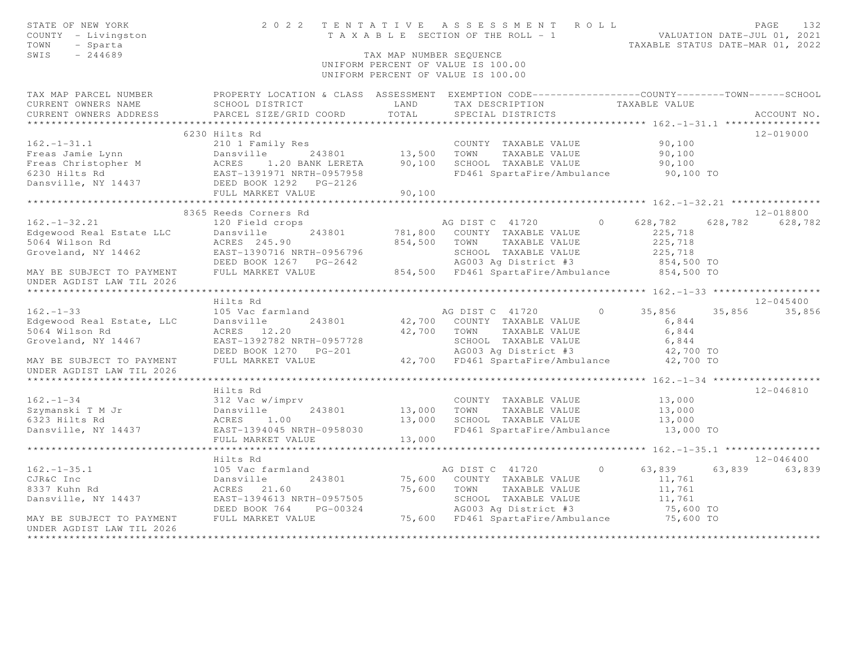| STATE OF NEW YORK<br>COUNTY - Livingston<br>TOWN<br>- Sparta<br>SWIS<br>$-244689$ | 2 0 2 2                                                                                                              | TAX MAP NUMBER SEQUENCE | TENTATIVE ASSESSMENT ROLL<br>T A X A B L E SECTION OF THE ROLL - 1 WALUATION DATE-JUL 01, 2021<br>UNIFORM PERCENT OF VALUE IS 100.00<br>UNIFORM PERCENT OF VALUE IS 100.00 |          | TAXABLE STATUS DATE-MAR 01, 2022          |                 | PAGE          | 132    |
|-----------------------------------------------------------------------------------|----------------------------------------------------------------------------------------------------------------------|-------------------------|----------------------------------------------------------------------------------------------------------------------------------------------------------------------------|----------|-------------------------------------------|-----------------|---------------|--------|
| TAX MAP PARCEL NUMBER<br>CURRENT OWNERS NAME                                      | PROPERTY LOCATION & CLASS ASSESSMENT EXEMPTION CODE-----------------COUNTY-------TOWN------SCHOOL<br>SCHOOL DISTRICT | LAND                    | TAX DESCRIPTION                                                                                                                                                            |          | TAXABLE VALUE                             |                 |               |        |
| CURRENT OWNERS ADDRESS                                                            | PARCEL SIZE/GRID COORD                                                                                               | TOTAL                   | SPECIAL DISTRICTS                                                                                                                                                          |          |                                           |                 | ACCOUNT NO.   |        |
| ******************                                                                | *******************************                                                                                      |                         |                                                                                                                                                                            |          |                                           |                 |               |        |
|                                                                                   | 6230 Hilts Rd                                                                                                        |                         |                                                                                                                                                                            |          |                                           |                 | 12-019000     |        |
| $162. - 1 - 31.1$                                                                 | 210 1 Family Res                                                                                                     |                         | COUNTY TAXABLE VALUE                                                                                                                                                       |          | 90,100                                    |                 |               |        |
| Freas Jamie Lynn                                                                  | 243801                                                                                                               | 13,500                  | TOWN<br>TAXABLE VALUE                                                                                                                                                      |          | 90,100                                    |                 |               |        |
| Freas Christopher M<br>6230 Hilts Rd                                              |                                                                                                                      | 90,100                  | SCHOOL TAXABLE VALUE<br>FD461 SpartaFire/Ambulance 90,100 TO                                                                                                               |          | 90,100                                    |                 |               |        |
| Dansville, NY 14437                                                               | Dansville 243801<br>ACRES 1.20 BANK LERETA<br>EAST-1391971 NRTH-0957958<br>DEED BOOK 1292 PG-2126                    |                         |                                                                                                                                                                            |          |                                           |                 |               |        |
|                                                                                   | FULL MARKET VALUE                                                                                                    | 90,100                  |                                                                                                                                                                            |          |                                           |                 |               |        |
|                                                                                   |                                                                                                                      |                         |                                                                                                                                                                            |          |                                           |                 |               |        |
|                                                                                   | 8365 Reeds Corners Rd                                                                                                |                         |                                                                                                                                                                            |          |                                           |                 | 12-018800     |        |
| $162. - 1 - 32.21$                                                                | 120 Field crops                                                                                                      |                         | AG DIST C 41720                                                                                                                                                            | $\circ$  | 628,782                                   | 628,782 628,782 |               |        |
| Edgewood Real Estate LLC                                                          | Dansville<br>243801                                                                                                  | 781,800                 | COUNTY TAXABLE VALUE                                                                                                                                                       |          | 225,718                                   |                 |               |        |
| 5064 Wilson Rd                                                                    | ACRES 245.90                                                                                                         | 854,500                 | TAXABLE VALUE<br>TOWN                                                                                                                                                      |          | 225,718                                   |                 |               |        |
| Groveland, NY 14462                                                               | EAST-1390716 NRTH-0956796                                                                                            |                         | SCHOOL TAXABLE VALUE                                                                                                                                                       |          | 225,718                                   |                 |               |        |
|                                                                                   | DEED BOOK 1267 PG-2642                                                                                               |                         | AG003 Ag District #3                                                                                                                                                       |          | 854,500 TO                                |                 |               |        |
| MAY BE SUBJECT TO PAYMENT                                                         | FULL MARKET VALUE                                                                                                    |                         | 854,500 FD461 SpartaFire/Ambulance 854,500 TO                                                                                                                              |          |                                           |                 |               |        |
| UNDER AGDIST LAW TIL 2026                                                         |                                                                                                                      |                         |                                                                                                                                                                            |          |                                           |                 |               |        |
|                                                                                   |                                                                                                                      |                         |                                                                                                                                                                            |          | ********** 162. -1-33 ******************* |                 |               |        |
|                                                                                   | Hilts Rd                                                                                                             |                         |                                                                                                                                                                            | $\Omega$ |                                           |                 | $12 - 045400$ |        |
| $162. - 1 - 33$<br>Edgewood Real Estate, LLC                                      | 105 Vac farmland<br>Dansville<br>243801                                                                              |                         | AG DIST C 41720<br>42,700 COUNTY TAXABLE VALUE                                                                                                                             |          | 35,856<br>6,844                           | 35,856 35,856   |               |        |
| 5064 Wilson Rd                                                                    | ACRES 12.20                                                                                                          | 42,700                  | TOWN<br>TAXABLE VALUE                                                                                                                                                      |          | 6,844                                     |                 |               |        |
| Groveland, NY 14467                                                               | EAST-1392782 NRTH-0957728                                                                                            |                         |                                                                                                                                                                            |          | 6,844                                     |                 |               |        |
|                                                                                   | DEED BOOK 1270 PG-201                                                                                                |                         | SCHOOL TAXABLE VALUE<br>AG003 Ag District #3                                                                                                                               |          | 42,700 TO                                 |                 |               |        |
| MAY BE SUBJECT TO PAYMENT                                                         | FULL MARKET VALUE                                                                                                    |                         | 42,700 FD461 SpartaFire/Ambulance                                                                                                                                          |          | 42,700 TO                                 |                 |               |        |
| UNDER AGDIST LAW TIL 2026                                                         |                                                                                                                      |                         |                                                                                                                                                                            |          |                                           |                 |               |        |
|                                                                                   |                                                                                                                      |                         |                                                                                                                                                                            |          |                                           |                 |               |        |
|                                                                                   | Hilts Rd                                                                                                             |                         |                                                                                                                                                                            |          |                                           |                 | $12 - 046810$ |        |
| $162 - 1 - 34$                                                                    | 312 Vac w/imprv                                                                                                      |                         | COUNTY TAXABLE VALUE                                                                                                                                                       |          | 13,000                                    |                 |               |        |
| Szymanski T M Jr<br>6323 Hilts Rd                                                 | 243801<br>Dansville                                                                                                  | 13,000                  | TOWN<br>TAXABLE VALUE                                                                                                                                                      |          | 13,000                                    |                 |               |        |
| 6323 Hilts Rd                                                                     | ACRES 1.00                                                                                                           | 13,000                  | SCHOOL TAXABLE VALUE                                                                                                                                                       |          | 13,000                                    |                 |               |        |
| Dansville, NY 14437                                                               | EAST-1394045 NRTH-0958030                                                                                            |                         | FD461 SpartaFire/Ambulance                                                                                                                                                 |          | 13,000 TO                                 |                 |               |        |
|                                                                                   | FULL MARKET VALUE                                                                                                    | 13,000                  |                                                                                                                                                                            |          |                                           |                 |               |        |
|                                                                                   |                                                                                                                      |                         |                                                                                                                                                                            |          | ******* 162. -1-35.1 ****************     |                 |               |        |
|                                                                                   | Hilts Rd                                                                                                             |                         |                                                                                                                                                                            |          |                                           |                 | $12 - 046400$ |        |
| $162. - 1 - 35.1$                                                                 | 105 Vac farmland                                                                                                     |                         | AG DIST C 41720                                                                                                                                                            | $\circ$  | 63,839                                    | 63,839          |               | 63,839 |
| CJR&C Inc<br>8337 Kuhn Rd                                                         | 243801<br>Dansville<br>ACRES 21.60                                                                                   | 75,600                  | 75,600 COUNTY TAXABLE VALUE<br>TOWN<br>TAXABLE VALUE                                                                                                                       |          | 11,761<br>11,761                          |                 |               |        |
| Dansville, NY 14437                                                               | EAST-1394613 NRTH-0957505                                                                                            |                         | SCHOOL TAXABLE VALUE                                                                                                                                                       |          | 11,761                                    |                 |               |        |
|                                                                                   | DEED BOOK 764<br>PG-00324                                                                                            |                         | AG003 Ag District #3                                                                                                                                                       |          | 75,600 TO                                 |                 |               |        |
| MAY BE SUBJECT TO PAYMENT                                                         | FULL MARKET VALUE                                                                                                    |                         | 75,600 FD461 SpartaFire/Ambulance                                                                                                                                          |          | 75,600 TO                                 |                 |               |        |
| UNDER AGDIST LAW TIL 2026                                                         |                                                                                                                      |                         |                                                                                                                                                                            |          |                                           |                 |               |        |
|                                                                                   |                                                                                                                      |                         |                                                                                                                                                                            |          |                                           |                 |               |        |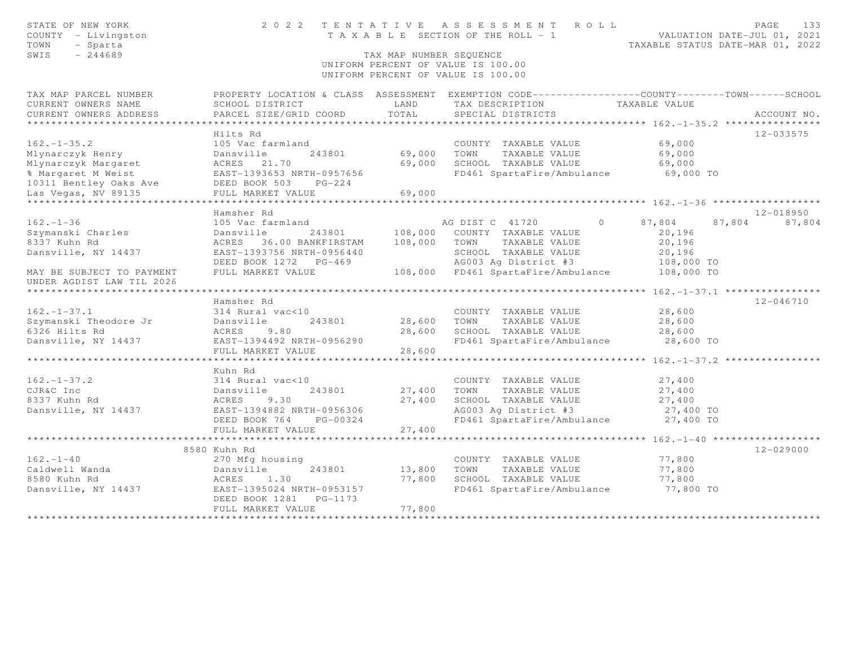| STATE OF NEW YORK<br>COUNTY - Livingston<br>TOWN<br>- Sparta<br>SWIS<br>$-244689$ |                                      | TAX MAP NUMBER SEQUENCE | 2022 TENTATIVE ASSESSMENT ROLL<br>T A X A B L E SECTION OF THE ROLL - 1<br>UNIFORM PERCENT OF VALUE IS 100.00<br>UNIFORM PERCENT OF VALUE IS 100.00 | TAXABLE STATUS DATE-MAR 01, 2022            | PAGE<br>133<br>VALUATION DATE-JUL 01, 2021 |
|-----------------------------------------------------------------------------------|--------------------------------------|-------------------------|-----------------------------------------------------------------------------------------------------------------------------------------------------|---------------------------------------------|--------------------------------------------|
| TAX MAP PARCEL NUMBER                                                             |                                      |                         | PROPERTY LOCATION & CLASS ASSESSMENT EXEMPTION CODE----------------COUNTY-------TOWN------SCHOOL                                                    |                                             |                                            |
| CURRENT OWNERS NAME                                                               | SCHOOL DISTRICT                      | LAND                    | TAX DESCRIPTION                                                                                                                                     | TAXABLE VALUE                               |                                            |
| CURRENT OWNERS ADDRESS                                                            | PARCEL SIZE/GRID COORD               | TOTAL                   | SPECIAL DISTRICTS                                                                                                                                   |                                             | ACCOUNT NO.                                |
|                                                                                   |                                      |                         |                                                                                                                                                     |                                             |                                            |
| $162. - 1 - 35.2$                                                                 | Hilts Rd<br>105 Vac farmland         |                         | COUNTY TAXABLE VALUE                                                                                                                                | 69,000                                      | 12-033575                                  |
| Mlynarczyk Henry                                                                  | 243801<br>Dansville                  | 69,000                  | TOWN<br>TAXABLE VALUE                                                                                                                               | 69,000                                      |                                            |
| Mlynarczyk Margaret                                                               | ACRES 21.70                          | 69,000                  | SCHOOL TAXABLE VALUE                                                                                                                                | 69,000                                      |                                            |
| % Margaret M Weist                                                                | EAST-1393653 NRTH-0957656            |                         | FD461 SpartaFire/Ambulance                                                                                                                          | 69,000 TO                                   |                                            |
| 10311 Bentley Oaks Ave                                                            | DEED BOOK 503<br>$PG-224$            |                         |                                                                                                                                                     |                                             |                                            |
| Las Vegas, NV 89135                                                               | FULL MARKET VALUE                    | 69,000                  |                                                                                                                                                     |                                             |                                            |
| ***********************                                                           | **************************           | * * * * * * * * * * * * |                                                                                                                                                     |                                             |                                            |
|                                                                                   | Hamsher Rd                           |                         |                                                                                                                                                     |                                             | 12-018950                                  |
| $162. - 1 - 36$                                                                   | 105 Vac farmland                     |                         | $\Omega$<br>AG DIST C 41720                                                                                                                         | 87,804                                      | 87,804<br>87,804                           |
| Szymanski Charles                                                                 | 243801<br>Dansville                  |                         | 108,000 COUNTY TAXABLE VALUE                                                                                                                        | 20,196                                      |                                            |
| 8337 Kuhn Rd                                                                      | ACRES 36.00 BANKFIRSTAM              | 108,000                 | TOWN<br>TAXABLE VALUE                                                                                                                               | 20,196                                      |                                            |
| Dansville, NY 14437                                                               | EAST-1393756 NRTH-0956440            |                         | SCHOOL TAXABLE VALUE                                                                                                                                | 20,196                                      |                                            |
|                                                                                   | DEED BOOK 1272 PG-469                |                         | AG003 Ag District #3                                                                                                                                | 108,000 TO                                  |                                            |
| MAY BE SUBJECT TO PAYMENT                                                         | FULL MARKET VALUE                    |                         | 108,000 FD461 SpartaFire/Ambulance                                                                                                                  | 108,000 TO                                  |                                            |
| UNDER AGDIST LAW TIL 2026                                                         |                                      |                         |                                                                                                                                                     |                                             |                                            |
|                                                                                   |                                      |                         |                                                                                                                                                     | ****** 162. $-1 - 37.1$ ****************    |                                            |
|                                                                                   | Hamsher Rd                           |                         |                                                                                                                                                     |                                             | 12-046710                                  |
| $162. - 1 - 37.1$                                                                 | 314 Rural vac<10                     |                         | COUNTY TAXABLE VALUE                                                                                                                                | 28,600                                      |                                            |
| Szymanski Theodore Jr<br>6326 Hilts Rd                                            | 243801<br>Dansville<br>9.80<br>ACRES | 28,600<br>28,600        | TOWN<br>TAXABLE VALUE<br>SCHOOL TAXABLE VALUE                                                                                                       | 28,600                                      |                                            |
| Dansville, NY 14437                                                               | EAST-1394492 NRTH-0956290            |                         | FD461 SpartaFire/Ambulance                                                                                                                          | 28,600<br>28,600 TO                         |                                            |
|                                                                                   | FULL MARKET VALUE                    | 28,600                  |                                                                                                                                                     |                                             |                                            |
|                                                                                   | ************************             |                         |                                                                                                                                                     |                                             |                                            |
|                                                                                   | Kuhn Rd                              |                         |                                                                                                                                                     |                                             |                                            |
| $162. - 1 - 37.2$                                                                 | 314 Rural vac<10                     |                         | COUNTY TAXABLE VALUE                                                                                                                                | 27,400                                      |                                            |
| CJR&C Inc                                                                         | 243801<br>Dansville                  | 27,400                  | TOWN<br>TAXABLE VALUE                                                                                                                               | 27,400                                      |                                            |
| 8337 Kuhn Rd                                                                      | 9.30<br>ACRES                        | 27,400                  | SCHOOL TAXABLE VALUE                                                                                                                                | 27,400                                      |                                            |
| Dansville, NY 14437                                                               | EAST-1394882 NRTH-0956306            |                         | AG003 Ag District #3                                                                                                                                | 27,400 TO                                   |                                            |
|                                                                                   | DEED BOOK 764<br>PG-00324            |                         | FD461 SpartaFire/Ambulance                                                                                                                          | 27,400 TO                                   |                                            |
|                                                                                   | FULL MARKET VALUE                    | 27,400                  |                                                                                                                                                     |                                             |                                            |
|                                                                                   |                                      |                         |                                                                                                                                                     | ********* $162 - 1 - 40$ ****************** |                                            |
|                                                                                   | 8580 Kuhn Rd                         |                         |                                                                                                                                                     |                                             | 12-029000                                  |
| $162. - 1 - 40$                                                                   | 270 Mfg housing                      |                         | COUNTY TAXABLE VALUE                                                                                                                                | 77,800                                      |                                            |
| Caldwell Wanda                                                                    | 243801<br>Dansville                  | 13,800                  | TAXABLE VALUE<br>TOWN                                                                                                                               | 77,800                                      |                                            |
| 8580 Kuhn Rd                                                                      | 1.30<br>ACRES                        | 77,800                  | SCHOOL TAXABLE VALUE                                                                                                                                | 77,800                                      |                                            |
| Dansville, NY 14437                                                               | EAST-1395024 NRTH-0953157            |                         | FD461 SpartaFire/Ambulance                                                                                                                          | 77,800 TO                                   |                                            |
|                                                                                   | DEED BOOK 1281<br>PG-1173            |                         |                                                                                                                                                     |                                             |                                            |
|                                                                                   | FULL MARKET VALUE                    | 77,800                  |                                                                                                                                                     |                                             |                                            |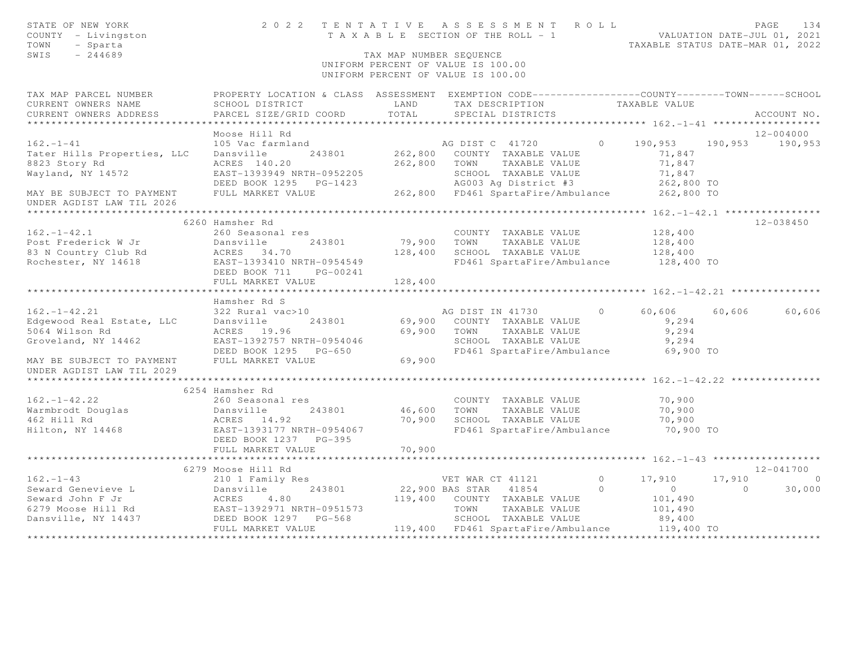| STATE OF NEW YORK<br>COUNTY - Livingston<br>TOWN<br>- Sparta<br>SWIS<br>$-244689$ |                                                                                                                                              | TAX MAP NUMBER SEQUENCE | 2022 TENTATIVE ASSESSMENT ROLL<br>TENTAILVE ASSESSMENT NVER HEROLD VALUATION DATE-JUL 01, 2021<br>TAXABLE SECTION OF THE ROLL - 1<br>TAXABLE STATUS DATE-MAR 01, 2022<br>UNIFORM PERCENT OF VALUE IS 100.00<br>UNIFORM PERCENT OF VALUE IS 100.00 |                |            |         | PAGE<br>134     |
|-----------------------------------------------------------------------------------|----------------------------------------------------------------------------------------------------------------------------------------------|-------------------------|---------------------------------------------------------------------------------------------------------------------------------------------------------------------------------------------------------------------------------------------------|----------------|------------|---------|-----------------|
| TAX MAP PARCEL NUMBER<br>CURRENT OWNERS NAME<br>CURRENT OWNERS ADDRESS            | PROPERTY LOCATION & CLASS ASSESSMENT EXEMPTION CODE----------------COUNTY-------TOWN-----SCHOOL<br>SCHOOL DISTRICT<br>PARCEL SIZE/GRID COORD | LAND<br>TOTAL           | TAX DESCRIPTION TAXABLE VALUE<br>SPECIAL DISTRICTS                                                                                                                                                                                                |                |            |         | ACCOUNT NO.     |
|                                                                                   |                                                                                                                                              |                         |                                                                                                                                                                                                                                                   |                |            |         |                 |
|                                                                                   | Moose Hill Rd                                                                                                                                |                         |                                                                                                                                                                                                                                                   |                |            |         | 12-004000       |
| $162. - 1 - 41$                                                                   | 105 Vac farmland                                                                                                                             |                         | AG DIST C 41720                                                                                                                                                                                                                                   | $\circ$        | 190,953    |         | 190,953 190,953 |
| Tater Hills Properties, LLC                                                       | Dansville<br>243801                                                                                                                          |                         | 262,800 COUNTY TAXABLE VALUE                                                                                                                                                                                                                      |                | 71,847     |         |                 |
| 8823 Story Rd                                                                     | ACRES 140.20                                                                                                                                 |                         | 262,800 TOWN TAXABLE VALUE                                                                                                                                                                                                                        |                | 71,847     |         |                 |
| Wayland, NY 14572                                                                 | EAST-1393949 NRTH-0952205                                                                                                                    |                         | SCHOOL TAXABLE VALUE<br>AG003 Ag District #3                                                                                                                                                                                                      |                | 71,847     |         |                 |
|                                                                                   |                                                                                                                                              |                         |                                                                                                                                                                                                                                                   |                |            |         |                 |
| MAY BE SUBJECT TO PAYMENT<br>UNDER AGDIST LAW TIL 2026                            |                                                                                                                                              |                         |                                                                                                                                                                                                                                                   |                |            |         |                 |
|                                                                                   |                                                                                                                                              |                         |                                                                                                                                                                                                                                                   |                |            |         |                 |
|                                                                                   | 6260 Hamsher Rd                                                                                                                              |                         |                                                                                                                                                                                                                                                   |                |            |         | $12 - 038450$   |
| $162. - 1 - 42.1$                                                                 | 260 Seasonal res                                                                                                                             |                         | COUNTY TAXABLE VALUE                                                                                                                                                                                                                              |                | 128,400    |         |                 |
|                                                                                   | 243801<br>Dansville                                                                                                                          |                         | 79,900 TOWN<br>TAXABLE VALUE                                                                                                                                                                                                                      |                | 128,400    |         |                 |
| Post Frederick W Jr<br>83 N Country Club Rd                                       | ACRES 34.70                                                                                                                                  |                         | 128,400 SCHOOL TAXABLE VALUE                                                                                                                                                                                                                      |                | 128,400    |         |                 |
| Rochester, NY 14618                                                               | EAST-1393410 NRTH-0954549                                                                                                                    |                         | FD461 SpartaFire/Ambulance                                                                                                                                                                                                                        |                | 128,400 TO |         |                 |
|                                                                                   | DEED BOOK 711<br>PG-00241                                                                                                                    |                         |                                                                                                                                                                                                                                                   |                |            |         |                 |
|                                                                                   | FULL MARKET VALUE                                                                                                                            | 128,400                 |                                                                                                                                                                                                                                                   |                |            |         |                 |
|                                                                                   |                                                                                                                                              |                         |                                                                                                                                                                                                                                                   |                |            |         |                 |
| $162. - 1 - 42.21$                                                                | Hamsher Rd S<br>322 Rural vac>10                                                                                                             |                         | AG DIST IN 41730                                                                                                                                                                                                                                  | $\circ$        | 60,606     | 60,606  | 60,606          |
| Edgewood Real Estate, LLC                                                         | Dansville<br>243801                                                                                                                          |                         | 69,900 COUNTY TAXABLE VALUE                                                                                                                                                                                                                       |                | 9,294      |         |                 |
| 5064 Wilson Rd                                                                    | ACRES 19.96                                                                                                                                  | 69,900 TOWN             | TAXABLE VALUE                                                                                                                                                                                                                                     |                | 9,294      |         |                 |
| Groveland, NY 14462                                                               | EAST-1392757 NRTH-0954046                                                                                                                    |                         | SCHOOL TAXABLE VALUE                                                                                                                                                                                                                              |                | 9,294      |         |                 |
|                                                                                   | DEED BOOK 1295 PG-650                                                                                                                        |                         | FD461 SpartaFire/Ambulance                                                                                                                                                                                                                        |                | 69,900 TO  |         |                 |
| MAY BE SUBJECT TO PAYMENT                                                         | FULL MARKET VALUE                                                                                                                            | 69,900                  |                                                                                                                                                                                                                                                   |                |            |         |                 |
| UNDER AGDIST LAW TIL 2029                                                         |                                                                                                                                              |                         |                                                                                                                                                                                                                                                   |                |            |         |                 |
|                                                                                   |                                                                                                                                              |                         |                                                                                                                                                                                                                                                   |                |            |         |                 |
|                                                                                   | 6254 Hamsher Rd                                                                                                                              |                         |                                                                                                                                                                                                                                                   |                |            |         |                 |
| $162. - 1 - 42.22$                                                                | 260 Seasonal res                                                                                                                             |                         | COUNTY TAXABLE VALUE                                                                                                                                                                                                                              |                | 70,900     |         |                 |
| Warmbrodt Douglas<br>462 Hill Rd                                                  | 243801<br>Dansville                                                                                                                          |                         | 46,600 TOWN TAXABLE VALUE                                                                                                                                                                                                                         |                | 70,900     |         |                 |
|                                                                                   | ACRES 14.92<br>EAST-1393177 NRTH-0954067                                                                                                     |                         | 70,900 SCHOOL TAXABLE VALUE                                                                                                                                                                                                                       |                | 70,900     |         |                 |
| Hilton, NY 14468                                                                  | DEED BOOK 1237 PG-395                                                                                                                        |                         | FD461 SpartaFire/Ambulance                                                                                                                                                                                                                        |                | 70,900 TO  |         |                 |
|                                                                                   | FULL MARKET VALUE                                                                                                                            | 70,900                  |                                                                                                                                                                                                                                                   |                |            |         |                 |
|                                                                                   |                                                                                                                                              |                         |                                                                                                                                                                                                                                                   |                |            |         |                 |
|                                                                                   | 6279 Moose Hill Rd                                                                                                                           |                         |                                                                                                                                                                                                                                                   |                |            |         | 12-041700       |
| $162 - 1 - 43$                                                                    | 210 1 Family Res                                                                                                                             |                         | VET WAR CT 41121                                                                                                                                                                                                                                  | $\circ$        | 17,910     | 17,910  | $\overline{0}$  |
| Seward Genevieve L                                                                |                                                                                                                                              |                         | 22,900 BAS STAR 41854                                                                                                                                                                                                                             | $\overline{0}$ | $\sim$ 0   | $\circ$ | 30,000          |
| Seward John F Jr                                                                  |                                                                                                                                              |                         | 119,400 COUNTY TAXABLE VALUE                                                                                                                                                                                                                      |                | 101,490    |         |                 |
| 6279 Moose Hill Rd                                                                |                                                                                                                                              |                         | TOWN<br>TAXABLE VALUE                                                                                                                                                                                                                             |                | 101,490    |         |                 |
| Dansville, NY 14437                                                               | Dansville 243801<br>ACRES 4.80<br>EAST-1392971 NRTH-0951573<br>DEED BOOK 1297 PG-568<br>THE MOOK 1297 PG-568                                 |                         | SCHOOL TAXABLE VALUE                                                                                                                                                                                                                              |                | 89,400     |         |                 |
|                                                                                   | FULL MARKET VALUE                                                                                                                            |                         | 119,400 FD461 SpartaFire/Ambulance                                                                                                                                                                                                                |                | 119,400 TO |         |                 |
|                                                                                   |                                                                                                                                              |                         |                                                                                                                                                                                                                                                   |                |            |         |                 |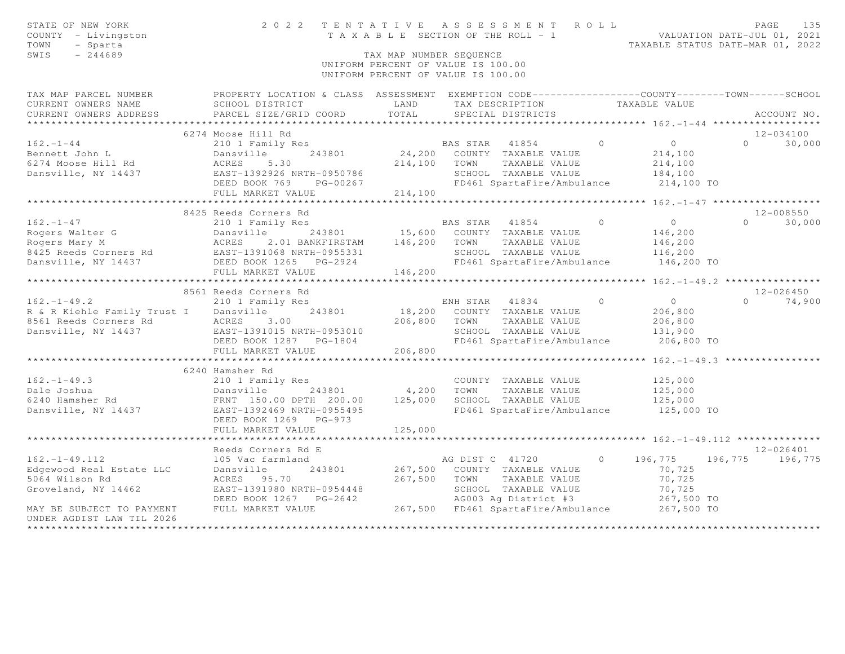| STATE OF NEW YORK<br>COUNTY - Livingston<br>TOWN<br>- Sparta<br>SWIS<br>$-244689$ | 2 0 2 2                                                                                          | T A X A B L E SECTION OF THE ROLL - 1<br>TAX MAP NUMBER SEOUENCE<br>UNIFORM PERCENT OF VALUE IS 100.00<br>UNIFORM PERCENT OF VALUE IS 100.00 |                | TENTATIVE ASSESSMENT ROLL                          |         | VALUATION DATE-JUL 01, 2021<br>TAXABLE STATUS DATE-MAR 01, 2022 |          | PAGE<br>135   |
|-----------------------------------------------------------------------------------|--------------------------------------------------------------------------------------------------|----------------------------------------------------------------------------------------------------------------------------------------------|----------------|----------------------------------------------------|---------|-----------------------------------------------------------------|----------|---------------|
| TAX MAP PARCEL NUMBER                                                             | PROPERTY LOCATION & CLASS ASSESSMENT EXEMPTION CODE----------------COUNTY-------TOWN------SCHOOL |                                                                                                                                              |                |                                                    |         |                                                                 |          |               |
| CURRENT OWNERS NAME                                                               | SCHOOL DISTRICT                                                                                  | LAND                                                                                                                                         |                | TAX DESCRIPTION                                    |         | TAXABLE VALUE                                                   |          |               |
| CURRENT OWNERS ADDRESS                                                            | PARCEL SIZE/GRID COORD                                                                           | TOTAL                                                                                                                                        |                | SPECIAL DISTRICTS                                  |         |                                                                 |          | ACCOUNT NO.   |
| ******************                                                                |                                                                                                  |                                                                                                                                              |                |                                                    |         |                                                                 |          |               |
|                                                                                   | 6274 Moose Hill Rd                                                                               |                                                                                                                                              |                |                                                    |         |                                                                 |          | $12 - 034100$ |
| $162. - 1 - 44$                                                                   | 210 1 Family Res                                                                                 |                                                                                                                                              | BAS STAR       | 41854                                              | $\circ$ | $\overline{0}$                                                  | $\Omega$ | 30,000        |
| Bennett John L                                                                    | Dansville<br>243801                                                                              |                                                                                                                                              |                | 24,200 COUNTY TAXABLE VALUE                        |         | 214,100                                                         |          |               |
| 6274 Moose Hill Rd                                                                | ACRES<br>5.30                                                                                    | 214,100                                                                                                                                      | TOWN           | TAXABLE VALUE                                      |         | 214,100                                                         |          |               |
| Dansville, NY 14437                                                               | EAST-1392926 NRTH-0950786                                                                        |                                                                                                                                              |                | SCHOOL TAXABLE VALUE                               |         | 184,100                                                         |          |               |
|                                                                                   | DEED BOOK 769<br>PG-00267                                                                        |                                                                                                                                              |                | FD461 SpartaFire/Ambulance                         |         | 214,100 TO                                                      |          |               |
|                                                                                   | FULL MARKET VALUE                                                                                | 214,100                                                                                                                                      |                |                                                    |         |                                                                 |          |               |
|                                                                                   | **********************                                                                           |                                                                                                                                              |                |                                                    |         | ****** 162._1_47 *******************                            |          |               |
|                                                                                   | 8425 Reeds Corners Rd                                                                            |                                                                                                                                              |                |                                                    |         |                                                                 |          | $12 - 008550$ |
| $162. - 1 - 47$                                                                   | 210 1 Family Res                                                                                 |                                                                                                                                              | BAS STAR 41854 |                                                    | $\circ$ | $\circ$                                                         | $\Omega$ | 30,000        |
| Rogers Walter G                                                                   | 243801<br>Dansville                                                                              | 15,600                                                                                                                                       |                | COUNTY TAXABLE VALUE                               |         | 146,200                                                         |          |               |
| Rogers Mary M<br>8425 Reeds Corners Rd                                            | 2.01 BANKFIRSTAM<br>ACRES                                                                        | 146,200                                                                                                                                      | TOWN           | TAXABLE VALUE                                      |         | 146,200                                                         |          |               |
| Dansville, NY 14437                                                               | EAST-1391068 NRTH-0955331<br>DEED BOOK 1265 PG-2924                                              |                                                                                                                                              |                | SCHOOL TAXABLE VALUE<br>FD461 SpartaFire/Ambulance |         | 116,200<br>146,200 TO                                           |          |               |
|                                                                                   | FULL MARKET VALUE                                                                                | 146,200                                                                                                                                      |                |                                                    |         |                                                                 |          |               |
|                                                                                   |                                                                                                  |                                                                                                                                              |                |                                                    |         | **** $162 - 1 - 49.2$ ****************                          |          |               |
|                                                                                   | 8561 Reeds Corners Rd                                                                            |                                                                                                                                              |                |                                                    |         |                                                                 |          | $12 - 026450$ |
| $162. - 1 - 49.2$                                                                 | 210 1 Family Res                                                                                 |                                                                                                                                              | ENH STAR       | 41834                                              | $\circ$ | $\circ$                                                         | $\Omega$ | 74,900        |
| R & R Kiehle Family Trust I                                                       | 243801<br>Dansville                                                                              | 18,200                                                                                                                                       |                | COUNTY TAXABLE VALUE                               |         | 206,800                                                         |          |               |
| 8561 Reeds Corners Rd                                                             | ACRES<br>3.00                                                                                    | 206,800                                                                                                                                      | TOWN           | TAXABLE VALUE                                      |         | 206,800                                                         |          |               |
| Dansville, NY 14437                                                               | EAST-1391015 NRTH-0953010                                                                        |                                                                                                                                              |                | SCHOOL TAXABLE VALUE                               |         | 131,900                                                         |          |               |
|                                                                                   | DEED BOOK 1287 PG-1804                                                                           |                                                                                                                                              |                | FD461 SpartaFire/Ambulance                         |         | 206,800 TO                                                      |          |               |
|                                                                                   | FULL MARKET VALUE                                                                                | 206,800                                                                                                                                      |                |                                                    |         |                                                                 |          |               |
|                                                                                   |                                                                                                  |                                                                                                                                              |                |                                                    |         | ** $162 - 1 - 49.3$ ****************                            |          |               |
|                                                                                   | 6240 Hamsher Rd                                                                                  |                                                                                                                                              |                |                                                    |         |                                                                 |          |               |
| $162. - 1 - 49.3$                                                                 | 210 1 Family Res                                                                                 |                                                                                                                                              |                | COUNTY TAXABLE VALUE                               |         | 125,000                                                         |          |               |
| Dale Joshua                                                                       | Dansville<br>243801                                                                              | 4,200                                                                                                                                        | TOWN           | TAXABLE VALUE                                      |         | 125,000                                                         |          |               |
| 6240 Hamsher Rd                                                                   | FRNT 150.00 DPTH 200.00                                                                          | 125,000                                                                                                                                      |                | SCHOOL TAXABLE VALUE                               |         | 125,000                                                         |          |               |
| Dansville, NY 14437                                                               | EAST-1392469 NRTH-0955495                                                                        |                                                                                                                                              |                | FD461 SpartaFire/Ambulance                         |         | 125,000 TO                                                      |          |               |
|                                                                                   | DEED BOOK 1269 PG-973                                                                            |                                                                                                                                              |                |                                                    |         |                                                                 |          |               |
|                                                                                   | FULL MARKET VALUE                                                                                | 125,000                                                                                                                                      |                |                                                    |         |                                                                 |          |               |
|                                                                                   | * * * * * * * * * * * * * * * * * * * *                                                          |                                                                                                                                              |                |                                                    |         | ******* $162 - 1 - 49 - 112$ **************                     |          |               |
|                                                                                   | Reeds Corners Rd E                                                                               |                                                                                                                                              |                |                                                    |         |                                                                 |          | $12 - 026401$ |
| $162. - 1 - 49.112$                                                               | 105 Vac farmland                                                                                 |                                                                                                                                              |                | AG DIST C 41720                                    | $\circ$ | 196,775                                                         | 196,775  | 196,775       |
| Edgewood Real Estate LLC                                                          | Dansville<br>243801                                                                              | 267,500                                                                                                                                      |                | COUNTY TAXABLE VALUE                               |         | 70,725                                                          |          |               |
| 5064 Wilson Rd                                                                    | ACRES 95.70                                                                                      | 267,500                                                                                                                                      | TOWN           | TAXABLE VALUE                                      |         | 70,725                                                          |          |               |
| Groveland, NY 14462                                                               | EAST-1391980 NRTH-0954448                                                                        |                                                                                                                                              |                | SCHOOL TAXABLE VALUE                               |         | 70,725                                                          |          |               |
|                                                                                   | DEED BOOK 1267 PG-2642                                                                           |                                                                                                                                              |                | AG003 Ag District #3                               |         | 267,500 TO                                                      |          |               |
| MAY BE SUBJECT TO PAYMENT                                                         | FULL MARKET VALUE                                                                                |                                                                                                                                              |                | 267,500 FD461 SpartaFire/Ambulance                 |         | 267,500 TO                                                      |          |               |
| UNDER AGDIST LAW TIL 2026                                                         |                                                                                                  |                                                                                                                                              |                |                                                    |         |                                                                 |          |               |
|                                                                                   |                                                                                                  |                                                                                                                                              |                |                                                    |         |                                                                 |          |               |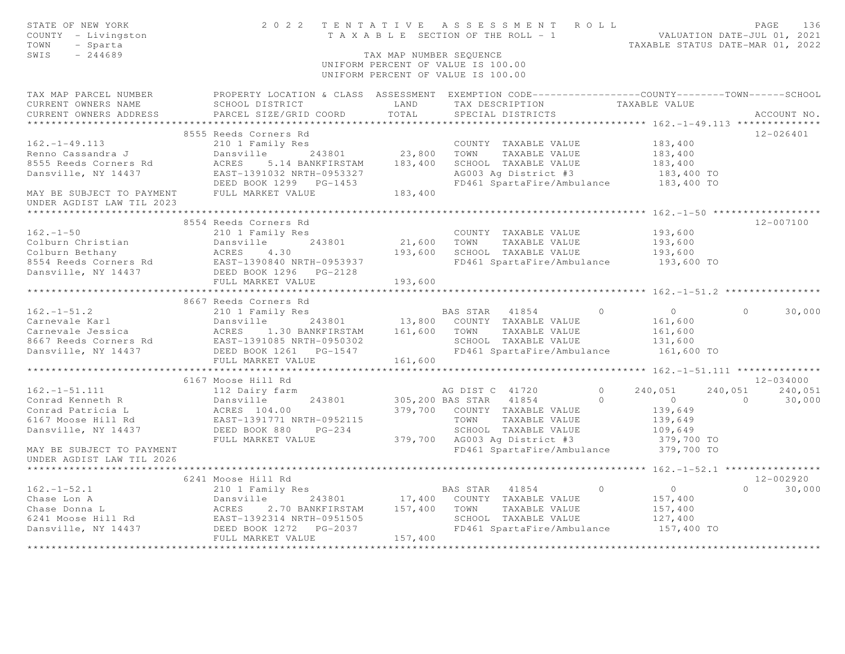| STATE OF NEW YORK<br>COUNTY - Livingston<br>TOWN<br>- Sparta<br>$-244689$<br>SWIS                                                             | 2022 TENTATIVE                                                                                    | TAX MAP NUMBER SEQUENCE | ASSESSMENT ROLL<br>T A X A B L E SECTION OF THE ROLL - 1<br>UNIFORM PERCENT OF VALUE IS 100.00<br>UNIFORM PERCENT OF VALUE IS 100.00 | VALUATION DATE-JUL 01, 2021<br>TAXABLE STATUS DATE-MAR 01, 2022 | PAGE     | 136                      |
|-----------------------------------------------------------------------------------------------------------------------------------------------|---------------------------------------------------------------------------------------------------|-------------------------|--------------------------------------------------------------------------------------------------------------------------------------|-----------------------------------------------------------------|----------|--------------------------|
| TAX MAP PARCEL NUMBER                                                                                                                         | PROPERTY LOCATION & CLASS ASSESSMENT EXEMPTION CODE-----------------COUNTY-------TOWN------SCHOOL |                         |                                                                                                                                      |                                                                 |          |                          |
| CURRENT OWNERS NAME                                                                                                                           | SCHOOL DISTRICT                                                                                   | LAND                    | TAX DESCRIPTION                                                                                                                      | TAXABLE VALUE                                                   |          |                          |
| CURRENT OWNERS ADDRESS                                                                                                                        | PARCEL SIZE/GRID COORD                                                                            | TOTAL                   | SPECIAL DISTRICTS                                                                                                                    |                                                                 |          | ACCOUNT NO.              |
|                                                                                                                                               | 8555 Reeds Corners Rd                                                                             |                         |                                                                                                                                      |                                                                 |          | $12 - 026401$            |
| $162. - 1 - 49.113$                                                                                                                           | 210 1 Family Res                                                                                  |                         | COUNTY TAXABLE VALUE                                                                                                                 | 183,400                                                         |          |                          |
| Renno Cassandra J                                                                                                                             | Dansville<br>243801                                                                               | 23,800                  | TOWN<br>TAXABLE VALUE                                                                                                                | 183,400                                                         |          |                          |
| 8555 Reeds Corners Rd                                                                                                                         | ACRES<br>5.14 BANKFIRSTAM                                                                         | 183,400                 | SCHOOL TAXABLE VALUE                                                                                                                 | 183,400                                                         |          |                          |
| Dansville, NY 14437                                                                                                                           | EAST-1391032 NRTH-0953327                                                                         |                         | AG003 Ag District #3                                                                                                                 | 183,400 TO                                                      |          |                          |
|                                                                                                                                               | DEED BOOK 1299 PG-1453                                                                            |                         | FD461 SpartaFire/Ambulance                                                                                                           | 183,400 TO                                                      |          |                          |
| MAY BE SUBJECT TO PAYMENT                                                                                                                     | FULL MARKET VALUE                                                                                 | 183,400                 |                                                                                                                                      |                                                                 |          |                          |
| UNDER AGDIST LAW TIL 2023                                                                                                                     |                                                                                                   |                         |                                                                                                                                      |                                                                 |          |                          |
|                                                                                                                                               |                                                                                                   |                         |                                                                                                                                      |                                                                 |          |                          |
|                                                                                                                                               | 8554 Reeds Corners Rd                                                                             |                         |                                                                                                                                      |                                                                 |          | 12-007100                |
| $162. - 1 - 50$                                                                                                                               | 210 1 Family Res                                                                                  |                         | COUNTY TAXABLE VALUE                                                                                                                 | 193,600                                                         |          |                          |
| Colburn Christian<br>Colburn Bethany                                                                                                          | 243801<br>Dansville                                                                               | 21,600<br>193,600       | TOWN<br>TAXABLE VALUE<br>SCHOOL TAXABLE VALUE                                                                                        | 193,600                                                         |          |                          |
| 8554 Reeds Corners Rd                                                                                                                         | ACRES<br>4.30<br>EAST-1390840 NRTH-0953937                                                        |                         | FD461 SpartaFire/Ambulance                                                                                                           | 193,600<br>193,600 TO                                           |          |                          |
| Dansville, NY 14437                                                                                                                           | DEED BOOK 1296    PG-2128                                                                         |                         |                                                                                                                                      |                                                                 |          |                          |
|                                                                                                                                               | FULL MARKET VALUE                                                                                 | 193,600                 |                                                                                                                                      |                                                                 |          |                          |
|                                                                                                                                               |                                                                                                   |                         |                                                                                                                                      |                                                                 |          |                          |
|                                                                                                                                               | 8667 Reeds Corners Rd                                                                             |                         |                                                                                                                                      |                                                                 |          |                          |
| $162. - 1 - 51.2$                                                                                                                             | 210 1 Family Res                                                                                  |                         | BAS STAR<br>41854<br>$\bigcirc$                                                                                                      | $\circ$                                                         | $\Omega$ | 30,000                   |
| Carnevale Karl                                                                                                                                | Dansville<br>243801                                                                               | 13,800                  | COUNTY TAXABLE VALUE                                                                                                                 | 161,600                                                         |          |                          |
| 243801<br>243801 MCRES 1.30 BANKFIRSTAM<br>2667 Reeds Corners Rd EAST-1391085 NRTH-0950302<br>2667 Reeds Corners Rd EAST-1391085 NRTH-0950302 |                                                                                                   | 161,600                 | TOWN<br>TAXABLE VALUE                                                                                                                | 161,600                                                         |          |                          |
|                                                                                                                                               |                                                                                                   |                         | SCHOOL TAXABLE VALUE                                                                                                                 | 131,600                                                         |          |                          |
|                                                                                                                                               |                                                                                                   |                         | FD461 SpartaFire/Ambulance                                                                                                           | 161,600 TO                                                      |          |                          |
|                                                                                                                                               | FULL MARKET VALUE                                                                                 | 161,600                 |                                                                                                                                      |                                                                 |          |                          |
|                                                                                                                                               |                                                                                                   |                         |                                                                                                                                      | ********************* 162.-1-51.111 **************              |          |                          |
| $162. - 1 - 51.111$                                                                                                                           | 6167 Moose Hill Rd<br>112 Dairy farm                                                              |                         | $\bigcirc$<br>AG DIST C 41720                                                                                                        | 240,051                                                         | 240,051  | $12 - 034000$<br>240,051 |
| Conrad Kenneth R                                                                                                                              | 243801<br>Dansville                                                                               |                         | 305,200 BAS STAR 41854                                                                                                               | $\Omega$<br>$\overline{0}$                                      | $\Omega$ | 30,000                   |
| Conrad Patricia L                                                                                                                             | ACRES 104.00                                                                                      | 379,700                 | COUNTY TAXABLE VALUE                                                                                                                 | 139,649                                                         |          |                          |
| 6167 Moose Hill Rd                                                                                                                            | EAST-1391771 NRTH-0952115                                                                         |                         | TOWN<br>TAXABLE VALUE                                                                                                                | 139,649                                                         |          |                          |
| Dansville, NY 14437                                                                                                                           | $PG-234$<br>DEED BOOK 880                                                                         |                         | SCHOOL TAXABLE VALUE                                                                                                                 | 109,649                                                         |          |                          |
|                                                                                                                                               | FULL MARKET VALUE                                                                                 | 379,700                 | AG003 Ag District #3                                                                                                                 | 379,700 TO                                                      |          |                          |
| MAY BE SUBJECT TO PAYMENT                                                                                                                     |                                                                                                   |                         | FD461 SpartaFire/Ambulance                                                                                                           | 379,700 TO                                                      |          |                          |
| UNDER AGDIST LAW TIL 2026                                                                                                                     |                                                                                                   |                         |                                                                                                                                      |                                                                 |          |                          |
|                                                                                                                                               |                                                                                                   |                         |                                                                                                                                      |                                                                 |          |                          |
|                                                                                                                                               | 6241 Moose Hill Rd                                                                                |                         |                                                                                                                                      |                                                                 |          | $12 - 002920$            |
| $162. - 1 - 52.1$                                                                                                                             | 210 1 Family Res                                                                                  |                         | 41854<br>$\Omega$<br>BAS STAR                                                                                                        | $\overline{0}$                                                  | $\Omega$ | 30,000                   |
| Chase Lon A                                                                                                                                   | Dansville<br>243801                                                                               | 17,400                  | COUNTY TAXABLE VALUE                                                                                                                 | 157,400                                                         |          |                          |
| Chase Donna L                                                                                                                                 | ACRES<br>2.70 BANKFIRSTAM<br>EAST-1392314 NRTH-0951505                                            | 157,400                 | TAXABLE VALUE<br>TOWN                                                                                                                | 157,400                                                         |          |                          |
| 6241 Moose Hill Rd<br>Dansville, NY 14437                                                                                                     |                                                                                                   |                         | SCHOOL TAXABLE VALUE<br>FD461 SpartaFire/Ambulance                                                                                   | 127,400<br>157,400 TO                                           |          |                          |
|                                                                                                                                               | FULL MARKET VALUE                                                                                 | 157,400                 |                                                                                                                                      |                                                                 |          |                          |
|                                                                                                                                               |                                                                                                   |                         |                                                                                                                                      |                                                                 |          |                          |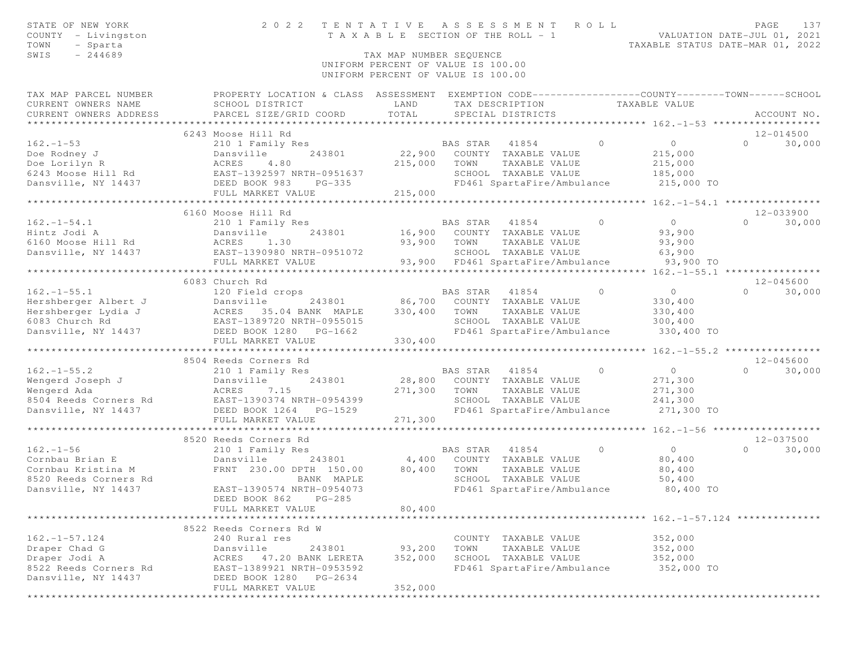| STATE OF NEW YORK<br>COUNTY - Livingston<br>TOWN<br>- Sparta                                                                                    | 2 0 2 2                                                                                           | TENTATIVE<br>T A X A B L E SECTION OF THE ROLL - 1 |                | A S S E S S M E N T                   | ROLL           | VALUATION DATE-JUL 01, 2021<br>TAXABLE STATUS DATE-MAR 01, 2022 | PAGE           | 137           |
|-------------------------------------------------------------------------------------------------------------------------------------------------|---------------------------------------------------------------------------------------------------|----------------------------------------------------|----------------|---------------------------------------|----------------|-----------------------------------------------------------------|----------------|---------------|
| SWIS<br>$-244689$                                                                                                                               |                                                                                                   | TAX MAP NUMBER SEQUENCE                            |                |                                       |                |                                                                 |                |               |
|                                                                                                                                                 |                                                                                                   | UNIFORM PERCENT OF VALUE IS 100.00                 |                |                                       |                |                                                                 |                |               |
|                                                                                                                                                 |                                                                                                   | UNIFORM PERCENT OF VALUE IS 100.00                 |                |                                       |                |                                                                 |                |               |
| TAX MAP PARCEL NUMBER                                                                                                                           | PROPERTY LOCATION & CLASS ASSESSMENT EXEMPTION CODE-----------------COUNTY-------TOWN------SCHOOL |                                                    |                |                                       |                |                                                                 |                |               |
| CURRENT OWNERS NAME                                                                                                                             | SCHOOL DISTRICT                                                                                   | LAND                                               |                | TAX DESCRIPTION                       |                | TAXABLE VALUE                                                   |                |               |
| CURRENT OWNERS ADDRESS                                                                                                                          | PARCEL SIZE/GRID COORD                                                                            | TOTAL                                              |                | SPECIAL DISTRICTS                     |                |                                                                 |                | ACCOUNT NO.   |
|                                                                                                                                                 |                                                                                                   |                                                    |                |                                       |                |                                                                 |                |               |
|                                                                                                                                                 | 6243 Moose Hill Rd                                                                                |                                                    |                |                                       |                |                                                                 |                | 12-014500     |
| $162. - 1 - 53$                                                                                                                                 | 210 1 Family Res                                                                                  |                                                    | BAS STAR       | $\sim$ 0<br>41854                     |                | $\overline{0}$                                                  | $\overline{0}$ | 30,000        |
| Doe Rodney J<br>Doe Lorilyn R<br>6243 Moose Hill Rd<br>Dansville 243801<br>6243 Moose Hill Rd<br>Dansville, NY 14437<br>DEED BOOK 983<br>PG-335 |                                                                                                   | 22,900                                             |                | COUNTY TAXABLE VALUE                  |                | 215,000                                                         |                |               |
|                                                                                                                                                 |                                                                                                   | 215,000                                            | TOWN           | TAXABLE VALUE                         |                | 215,000                                                         |                |               |
|                                                                                                                                                 |                                                                                                   |                                                    |                | SCHOOL TAXABLE VALUE                  |                | 185,000                                                         |                |               |
|                                                                                                                                                 |                                                                                                   |                                                    |                | FD461 SpartaFire/Ambulance            |                | 215,000 TO                                                      |                |               |
|                                                                                                                                                 | FULL MARKET VALUE                                                                                 | 215,000                                            |                |                                       |                |                                                                 |                |               |
|                                                                                                                                                 |                                                                                                   |                                                    |                |                                       |                |                                                                 |                |               |
|                                                                                                                                                 | 6160 Moose Hill Rd                                                                                |                                                    |                |                                       |                |                                                                 |                | 12-033900     |
| $162. - 1 - 54.1$                                                                                                                               | 210 1 Family Res                                                                                  |                                                    | BAS STAR 41854 |                                       | $\bigcirc$     | $\overline{0}$                                                  | $\Omega$       | 30,000        |
| Hintz Jodi A<br>Dansville<br>Rd ACRES 1.30                                                                                                      | 243801                                                                                            | 16,900                                             |                | COUNTY TAXABLE VALUE                  |                | 93,900                                                          |                |               |
| 6160 Moose Hill Rd                                                                                                                              |                                                                                                   | 93,900                                             | TOWN           | TAXABLE VALUE                         |                | 93,900                                                          |                |               |
| Dansville, NY 14437 EAST-1390980 NRTH-0951072                                                                                                   |                                                                                                   |                                                    |                | SCHOOL TAXABLE VALUE                  |                | 63,900                                                          |                |               |
|                                                                                                                                                 | FULL MARKET VALUE<br>*************************                                                    |                                                    |                | 93,900 FD461 SpartaFire/Ambulance     |                | 93,900 TO                                                       |                |               |
|                                                                                                                                                 | 6083 Church Rd                                                                                    |                                                    |                |                                       |                |                                                                 |                | 12-045600     |
| $162. - 1 - 55.1$                                                                                                                               | 120 Field crops                                                                                   |                                                    | BAS STAR       | 41854                                 | $\bigcirc$     | 0                                                               | $\Omega$       | 30,000        |
|                                                                                                                                                 | 243801                                                                                            |                                                    |                | 86,700 COUNTY TAXABLE VALUE           |                | 330,400                                                         |                |               |
|                                                                                                                                                 |                                                                                                   | 330,400                                            | TOWN           | TAXABLE VALUE                         |                | 330,400                                                         |                |               |
|                                                                                                                                                 |                                                                                                   |                                                    |                | SCHOOL TAXABLE VALUE                  |                | 300,400                                                         |                |               |
|                                                                                                                                                 |                                                                                                   |                                                    |                | FD461 SpartaFire/Ambulance            |                | 330,400 TO                                                      |                |               |
|                                                                                                                                                 | FULL MARKET VALUE                                                                                 | 330,400                                            |                |                                       |                |                                                                 |                |               |
|                                                                                                                                                 | *******************************                                                                   |                                                    |                |                                       |                |                                                                 |                |               |
|                                                                                                                                                 | 8504 Reeds Corners Rd                                                                             |                                                    |                |                                       |                |                                                                 |                | $12 - 045600$ |
| $162. - 1 - 55.2$                                                                                                                               | 210 1 Family Res                                                                                  |                                                    | BAS STAR 41854 |                                       | $\overline{0}$ | $\overline{0}$                                                  | $\Omega$       | 30,000        |
| Wengerd Joseph J                                                                                                                                | Dansville<br>243801                                                                               | 28,800                                             |                | COUNTY TAXABLE VALUE                  |                | 271,300                                                         |                |               |
| Wengerd Ada                                                                                                                                     | ACRES 7.15                                                                                        | 271,300                                            | TOWN           | TAXABLE VALUE                         |                | 271,300                                                         |                |               |
| 8504 Reeds Corners Rd                                                                                                                           | EAST-1390374 NRTH-0954399                                                                         |                                                    |                | SCHOOL TAXABLE VALUE                  |                | 241,300                                                         |                |               |
| Dansville, NY 14437                                                                                                                             | DEED BOOK 1264 PG-1529                                                                            |                                                    |                | FD461 SpartaFire/Ambulance            |                | 271,300 TO                                                      |                |               |
|                                                                                                                                                 | FULL MARKET VALUE                                                                                 | 271,300                                            |                |                                       |                |                                                                 |                |               |
|                                                                                                                                                 |                                                                                                   |                                                    |                |                                       |                |                                                                 |                |               |
|                                                                                                                                                 | 8520 Reeds Corners Rd                                                                             |                                                    |                |                                       |                |                                                                 |                | 12-037500     |
| $162. - 1 - 56$                                                                                                                                 | 210 1 Family Res                                                                                  |                                                    | BAS STAR 41854 |                                       | $\circ$        | $\overline{0}$                                                  | $\circ$        | 30,000        |
| Cornbau Brian E                                                                                                                                 | Dansville<br>243801                                                                               | 4,400                                              |                | COUNTY TAXABLE VALUE                  |                | 80,400                                                          |                |               |
| Cornbau Kristina M                                                                                                                              | FRNT 230.00 DPTH 150.00 80,400                                                                    |                                                    | TOWN           | TAXABLE VALUE                         |                | 80,400                                                          |                |               |
| 8520 Reeds Corners Rd                                                                                                                           | BANK MAPLE                                                                                        |                                                    |                | SCHOOL TAXABLE VALUE                  |                | 50,400                                                          |                |               |
| Dansville, NY 14437                                                                                                                             | EAST-1390574 NRTH-0954073                                                                         |                                                    |                | FD461 SpartaFire/Ambulance            |                | 80,400 TO                                                       |                |               |
|                                                                                                                                                 | DEED BOOK 862 PG-285                                                                              |                                                    |                |                                       |                |                                                                 |                |               |
|                                                                                                                                                 | FULL MARKET VALUE                                                                                 | 80,400                                             |                |                                       |                |                                                                 |                |               |
|                                                                                                                                                 |                                                                                                   |                                                    |                |                                       |                |                                                                 |                |               |
| $162. - 1 - 57.124$                                                                                                                             | 8522 Reeds Corners Rd W<br>240 Rural res                                                          |                                                    |                |                                       |                | 352,000                                                         |                |               |
| Draper Chad G                                                                                                                                   | Dansville<br>243801                                                                               | 93,200                                             | TOWN           | COUNTY TAXABLE VALUE<br>TAXABLE VALUE |                | 352,000                                                         |                |               |
| Draper Jodi A                                                                                                                                   | ACRES 47.20 BANK LERETA                                                                           | 352,000                                            |                | SCHOOL TAXABLE VALUE                  |                | 352,000                                                         |                |               |
| 8522 Reeds Corners Rd                                                                                                                           | EAST-1389921 NRTH-0953592                                                                         |                                                    |                | FD461 SpartaFire/Ambulance            |                | 352,000 TO                                                      |                |               |
| Dansville, NY 14437                                                                                                                             | DEED BOOK 1280<br>PG-2634                                                                         |                                                    |                |                                       |                |                                                                 |                |               |
|                                                                                                                                                 | FULL MARKET VALUE                                                                                 | 352,000                                            |                |                                       |                |                                                                 |                |               |
|                                                                                                                                                 |                                                                                                   |                                                    |                |                                       |                |                                                                 |                |               |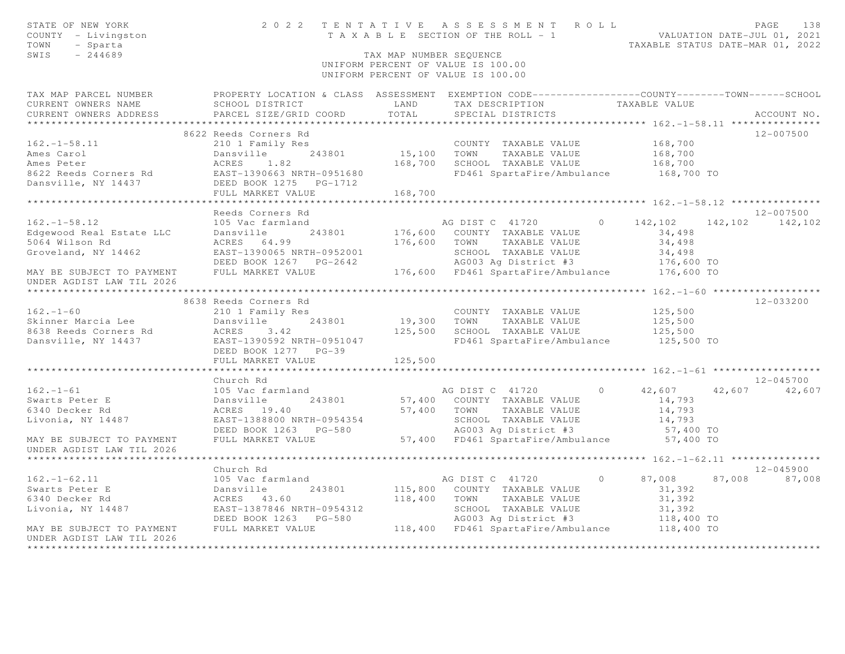| STATE OF NEW YORK<br>COUNTY - Livingston<br>TOWN<br>- Sparta<br>$-244689$<br>SWIS                                    |                                                     | TAX MAP NUMBER SEQUENCE | 2022 TENTATIVE ASSESSMENT ROLL<br>T A X A B L E SECTION OF THE ROLL - 1 VALUATION DATE-JUL 01, 2021<br>UNIFORM PERCENT OF VALUE IS 100.00<br>UNIFORM PERCENT OF VALUE IS 100.00 |                |                                                |        | 138<br>PAGE<br>TAXABLE STATUS DATE-MAR 01, 2022 |
|----------------------------------------------------------------------------------------------------------------------|-----------------------------------------------------|-------------------------|---------------------------------------------------------------------------------------------------------------------------------------------------------------------------------|----------------|------------------------------------------------|--------|-------------------------------------------------|
| TAX MAP PARCEL NUMBER FROPERTY LOCATION & CLASS ASSESSMENT EXEMPTION CODE--------------COUNTY-------TOWN------SCHOOL |                                                     |                         |                                                                                                                                                                                 |                |                                                |        |                                                 |
| CURRENT OWNERS NAME                                                                                                  | SCHOOL DISTRICT                                     | LAND<br>TOTAL           | TAX DESCRIPTION                                                                                                                                                                 |                | TAXABLE VALUE                                  |        |                                                 |
| CURRENT OWNERS ADDRESS                                                                                               | PARCEL SIZE/GRID COORD                              |                         | SPECIAL DISTRICTS                                                                                                                                                               |                |                                                |        | ACCOUNT NO.                                     |
|                                                                                                                      | 8622 Reeds Corners Rd                               |                         |                                                                                                                                                                                 |                |                                                |        | 12-007500                                       |
| $162. - 1 - 58.11$                                                                                                   | 210 1 Family Res                                    |                         | COUNTY TAXABLE VALUE                                                                                                                                                            |                | 168,700                                        |        |                                                 |
| Ames Carol                                                                                                           | 243801<br>Dansville                                 | 15,100 TOWN             | TAXABLE VALUE                                                                                                                                                                   |                | 168,700                                        |        |                                                 |
| Ames Peter                                                                                                           | ACRES<br>1.82                                       | 168,700                 | SCHOOL TAXABLE VALUE                                                                                                                                                            |                | 168,700                                        |        |                                                 |
| 8622 Reeds Corners Rd                                                                                                | EAST-1390663 NRTH-0951680                           |                         | FD461 SpartaFire/Ambulance                                                                                                                                                      |                | 168,700 TO                                     |        |                                                 |
| Dansville, NY 14437                                                                                                  | DEED BOOK 1275 PG-1712                              |                         |                                                                                                                                                                                 |                |                                                |        |                                                 |
|                                                                                                                      | FULL MARKET VALUE                                   | 168,700                 |                                                                                                                                                                                 |                |                                                |        |                                                 |
| **************************                                                                                           |                                                     |                         |                                                                                                                                                                                 |                |                                                |        |                                                 |
|                                                                                                                      | Reeds Corners Rd                                    |                         |                                                                                                                                                                                 |                |                                                |        | $12 - 007500$                                   |
| $162. - 1 - 58.12$                                                                                                   | 105 Vac farmland                                    |                         | AG DIST C 41720                                                                                                                                                                 | $\overline{0}$ | 142,102                                        |        | 142, 102 142, 102                               |
| Edgewood Real Estate LLC                                                                                             | Dansville<br>243801                                 |                         | 176,600 COUNTY TAXABLE VALUE                                                                                                                                                    |                | 34,498                                         |        |                                                 |
| 5064 Wilson Rd                                                                                                       | ACRES 64.99                                         | 176,600 TOWN            | TAXABLE VALUE                                                                                                                                                                   |                | 34,498                                         |        |                                                 |
| Groveland, NY 14462                                                                                                  | EAST-1390065 NRTH-0952001<br>DEED BOOK 1267 PG-2642 |                         | SCHOOL TAXABLE VALUE<br>AG003 Ag District #3                                                                                                                                    |                | 34,498<br>176,600 TO                           |        |                                                 |
| MAY BE SUBJECT TO PAYMENT                                                                                            | FULL MARKET VALUE                                   |                         | 176,600 FD461 SpartaFire/Ambulance                                                                                                                                              |                | 176,600 TO                                     |        |                                                 |
| UNDER AGDIST LAW TIL 2026                                                                                            |                                                     |                         |                                                                                                                                                                                 |                |                                                |        |                                                 |
|                                                                                                                      |                                                     |                         |                                                                                                                                                                                 |                |                                                |        |                                                 |
|                                                                                                                      | 8638 Reeds Corners Rd                               |                         |                                                                                                                                                                                 |                |                                                |        | 12-033200                                       |
| $162 - 1 - 60$                                                                                                       | 210 1 Family Res                                    |                         | COUNTY TAXABLE VALUE                                                                                                                                                            |                | 125,500                                        |        |                                                 |
| Skinner Marcia Lee                                                                                                   | Dansville 243801                                    | 19,300                  | TOWN<br>TAXABLE VALUE                                                                                                                                                           |                | 125,500                                        |        |                                                 |
| 8638 Reeds Corners Rd                                                                                                | ACRES<br>3.42                                       | 125,500                 | SCHOOL TAXABLE VALUE                                                                                                                                                            |                | 125,500                                        |        |                                                 |
| Dansville, NY 14437                                                                                                  | EAST-1390592 NRTH-0951047                           |                         | FD461 SpartaFire/Ambulance                                                                                                                                                      |                | 125,500 TO                                     |        |                                                 |
|                                                                                                                      | DEED BOOK 1277 PG-39                                |                         |                                                                                                                                                                                 |                |                                                |        |                                                 |
|                                                                                                                      | FULL MARKET VALUE                                   | 125,500                 |                                                                                                                                                                                 |                |                                                |        |                                                 |
|                                                                                                                      | *********************                               |                         |                                                                                                                                                                                 |                | ***************** 162.-1-61 ****************** |        |                                                 |
| $162. - 1 - 61$                                                                                                      | Church Rd                                           |                         |                                                                                                                                                                                 | $\circ$        |                                                | 42,607 | $12 - 045700$                                   |
| Swarts Peter E                                                                                                       | 105 Vac farmland<br>243801<br>Dansville             |                         | AG DIST C 41720<br>57,400 COUNTY TAXABLE VALUE                                                                                                                                  |                | 42,607<br>14,793                               |        | 42,607                                          |
| 6340 Decker Rd                                                                                                       | ACRES 19.40                                         | 57,400 TOWN             | TAXABLE VALUE                                                                                                                                                                   |                | 14,793                                         |        |                                                 |
| Livonia, NY 14487                                                                                                    | EAST-1388800 NRTH-0954354                           |                         | SCHOOL TAXABLE VALUE                                                                                                                                                            |                | 14,793                                         |        |                                                 |
|                                                                                                                      | DEED BOOK 1263 PG-580                               |                         | AG003 Ag District #3                                                                                                                                                            |                | 57,400 TO                                      |        |                                                 |
| MAY BE SUBJECT TO PAYMENT                                                                                            | FULL MARKET VALUE                                   |                         | 57,400 FD461 SpartaFire/Ambulance 57,400 TO                                                                                                                                     |                |                                                |        |                                                 |
| UNDER AGDIST LAW TIL 2026                                                                                            |                                                     |                         |                                                                                                                                                                                 |                |                                                |        |                                                 |
|                                                                                                                      |                                                     |                         |                                                                                                                                                                                 |                |                                                |        |                                                 |
|                                                                                                                      | Church Rd                                           |                         |                                                                                                                                                                                 |                |                                                |        | $12 - 045900$                                   |
| $162. - 1 - 62.11$                                                                                                   | 105 Vac farmland                                    |                         | AG DIST C 41720                                                                                                                                                                 | $\circ$        | 87,008                                         | 87,008 | 87,008                                          |
| Swarts Peter E                                                                                                       | 243801<br>Dansville                                 |                         | 115,800 COUNTY TAXABLE VALUE                                                                                                                                                    |                | 31,392                                         |        |                                                 |
| 6340 Decker Rd                                                                                                       | ACRES 43.60                                         | 118,400                 | TOWN TAXABLE VALUE                                                                                                                                                              |                | 31,392                                         |        |                                                 |
| Livonia, NY 14487                                                                                                    | EAST-1387846 NRTH-0954312                           |                         | SCHOOL TAXABLE VALUE                                                                                                                                                            |                | 31,392                                         |        |                                                 |
|                                                                                                                      | DEED BOOK 1263 PG-580                               |                         | AG003 Ag District #3                                                                                                                                                            |                | 118,400 TO                                     |        |                                                 |
| MAY BE SUBJECT TO PAYMENT                                                                                            | FULL MARKET VALUE                                   |                         | 118,400 FD461 SpartaFire/Ambulance 118,400 TO                                                                                                                                   |                |                                                |        |                                                 |
| UNDER AGDIST LAW TIL 2026                                                                                            |                                                     |                         |                                                                                                                                                                                 |                |                                                |        |                                                 |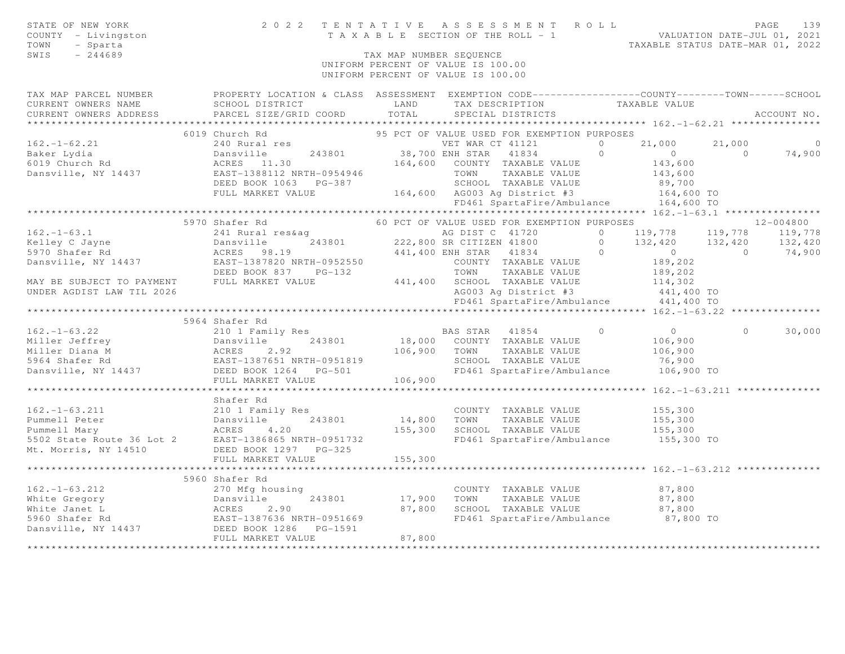| STATE OF NEW YORK<br>COUNTY - Livingston<br>- Sparta<br>TOWN<br>SWIS<br>$-244689$                                                                                                                                                            |                              | TAX MAP NUMBER SEOUENCE | UNIFORM PERCENT OF VALUE IS 100.00<br>UNIFORM PERCENT OF VALUE IS 100.00 |  |          |                          |
|----------------------------------------------------------------------------------------------------------------------------------------------------------------------------------------------------------------------------------------------|------------------------------|-------------------------|--------------------------------------------------------------------------|--|----------|--------------------------|
|                                                                                                                                                                                                                                              |                              |                         |                                                                          |  |          |                          |
|                                                                                                                                                                                                                                              |                              |                         |                                                                          |  |          |                          |
|                                                                                                                                                                                                                                              |                              |                         |                                                                          |  |          | $\overline{\phantom{0}}$ |
|                                                                                                                                                                                                                                              |                              |                         |                                                                          |  |          | 74,900                   |
|                                                                                                                                                                                                                                              |                              |                         |                                                                          |  |          |                          |
|                                                                                                                                                                                                                                              |                              |                         |                                                                          |  |          |                          |
|                                                                                                                                                                                                                                              |                              |                         |                                                                          |  |          |                          |
|                                                                                                                                                                                                                                              |                              |                         |                                                                          |  |          |                          |
|                                                                                                                                                                                                                                              |                              |                         | FD461 SpartaFire/Ambulance 164,600 TO                                    |  |          |                          |
|                                                                                                                                                                                                                                              |                              |                         |                                                                          |  |          |                          |
|                                                                                                                                                                                                                                              | 5970 Shafer Rd               |                         | 60 PCT OF VALUE USED FOR EXEMPTION PURPOSES 40 12-004800                 |  |          |                          |
|                                                                                                                                                                                                                                              |                              |                         |                                                                          |  |          |                          |
|                                                                                                                                                                                                                                              |                              |                         |                                                                          |  |          |                          |
|                                                                                                                                                                                                                                              |                              |                         |                                                                          |  |          |                          |
|                                                                                                                                                                                                                                              |                              |                         |                                                                          |  |          |                          |
|                                                                                                                                                                                                                                              |                              |                         |                                                                          |  |          |                          |
|                                                                                                                                                                                                                                              |                              |                         |                                                                          |  |          |                          |
|                                                                                                                                                                                                                                              |                              |                         |                                                                          |  |          |                          |
|                                                                                                                                                                                                                                              |                              |                         |                                                                          |  |          |                          |
|                                                                                                                                                                                                                                              | 5964 Shafer Rd               |                         |                                                                          |  |          |                          |
| 162.-1-63.22 310 1 Family Res<br>Miller Jeffrey 243801 210 1 Family Res<br>Miller Diana M ACRES 2.92 106,900 70WN TAXABLE VALUE 106,900<br>5964 Shafer Rd EAST-1387651 NRTH-0951819 2000 2000NTY TAXABLE VALUE 106,900<br>Danswille, N       |                              |                         |                                                                          |  | $\Omega$ | 30,000                   |
|                                                                                                                                                                                                                                              |                              |                         |                                                                          |  |          |                          |
|                                                                                                                                                                                                                                              |                              |                         |                                                                          |  |          |                          |
|                                                                                                                                                                                                                                              |                              |                         |                                                                          |  |          |                          |
|                                                                                                                                                                                                                                              |                              |                         |                                                                          |  |          |                          |
|                                                                                                                                                                                                                                              |                              |                         |                                                                          |  |          |                          |
|                                                                                                                                                                                                                                              |                              |                         |                                                                          |  |          |                          |
|                                                                                                                                                                                                                                              | Shafer Rd                    |                         |                                                                          |  |          |                          |
|                                                                                                                                                                                                                                              |                              |                         |                                                                          |  |          |                          |
|                                                                                                                                                                                                                                              |                              |                         |                                                                          |  |          |                          |
| 162.-1-63.211 210 1 Family Res<br>Pummell Peter Dansville 243801 155,300 TOWN TAXABLE VALUE 155,300<br>Pummell Mary ACRES 4.20 155,300 SCHOOL TAXABLE VALUE 155,300<br>5502 State Route 36 Lot 2 EAST-1386865 NRTH-0951732 FD461 Spa         |                              |                         |                                                                          |  |          |                          |
|                                                                                                                                                                                                                                              |                              |                         | FD461 SpartaFire/Ambulance 155,300 TO                                    |  |          |                          |
|                                                                                                                                                                                                                                              |                              |                         |                                                                          |  |          |                          |
|                                                                                                                                                                                                                                              |                              |                         |                                                                          |  |          |                          |
|                                                                                                                                                                                                                                              | **************************** |                         | ****************************** 162. -1-63.212 **************             |  |          |                          |
|                                                                                                                                                                                                                                              | 5960 Shafer Rd               |                         |                                                                          |  |          |                          |
| 37,800<br>White Gregory and the Minimum of the Mathematical Country TAXABLE VALUE<br>White Janet L<br>Minimum of Minimum of the Matches 2.90<br>Set of Minimum of the Matches 2.90<br>Danswille, NY 14437<br>Danswille, NY 14437<br>The Matc |                              |                         |                                                                          |  |          |                          |
|                                                                                                                                                                                                                                              |                              |                         |                                                                          |  |          |                          |
|                                                                                                                                                                                                                                              |                              |                         | FD461 SpartaFire/Ambulance 87,800 TO                                     |  |          |                          |
|                                                                                                                                                                                                                                              |                              |                         |                                                                          |  |          |                          |
|                                                                                                                                                                                                                                              |                              |                         |                                                                          |  |          |                          |
|                                                                                                                                                                                                                                              |                              |                         |                                                                          |  |          |                          |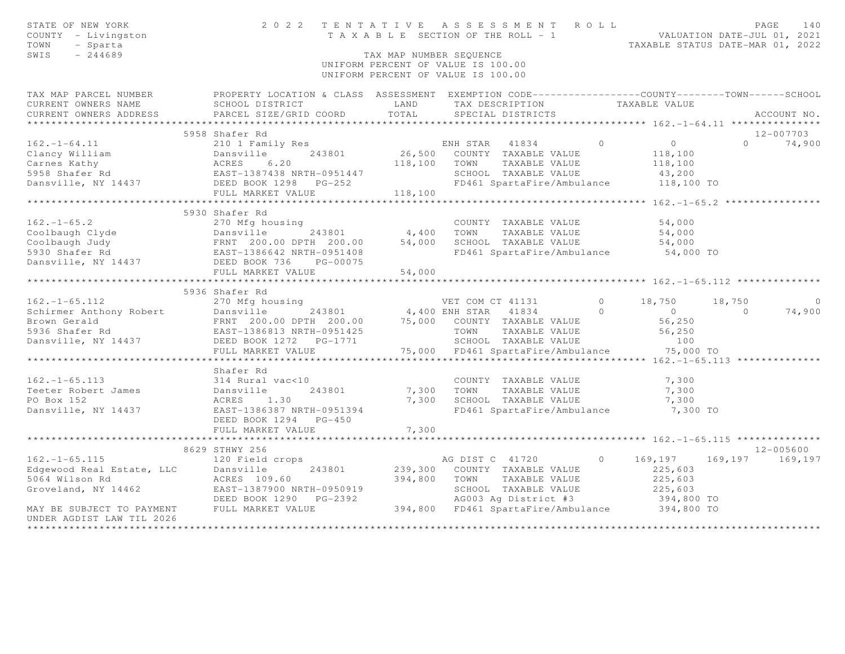| STATE OF NEW YORK<br>COUNTY - Livingston<br>TOWN<br>- Sparta<br>SWIS<br>$-244689$ | 2022 TENTATIVE                                                                                                                                                                                  |                   | TENTATIVE ASSESSMENT ROLL PAGE 140<br>TAXABLE SECTION OF THE ROLL - 1 VALUATION DATE-JUL 01, 2021<br>TAXABLE STATUS DATE-MAR 01, 2022<br>TAX MAP NUMBER SEQUENCE<br>UNIFORM PERCENT OF VALUE IS 100.00<br>UNIFORM PERCENT OF VALUE IS 100.00 |         |                      |          |                |
|-----------------------------------------------------------------------------------|-------------------------------------------------------------------------------------------------------------------------------------------------------------------------------------------------|-------------------|----------------------------------------------------------------------------------------------------------------------------------------------------------------------------------------------------------------------------------------------|---------|----------------------|----------|----------------|
| TAX MAP PARCEL NUMBER                                                             | PROPERTY LOCATION & CLASS ASSESSMENT EXEMPTION CODE-----------------COUNTY-------TOWN------SCHOOL                                                                                               |                   |                                                                                                                                                                                                                                              |         |                      |          |                |
| CURRENT OWNERS NAME<br>CURRENT OWNERS ADDRESS                                     | SCHOOL DISTRICT<br>PARCEL SIZE/GRID COORD                                                                                                                                                       | LAND<br>TOTAL     | TAX DESCRIPTION<br>SPECIAL DISTRICTS                                                                                                                                                                                                         |         | TAXABLE VALUE        |          | ACCOUNT NO.    |
| ************************                                                          |                                                                                                                                                                                                 |                   |                                                                                                                                                                                                                                              |         |                      |          |                |
|                                                                                   | 5958 Shafer Rd                                                                                                                                                                                  |                   |                                                                                                                                                                                                                                              |         |                      |          | 12-007703      |
| $162. - 1 - 64.11$                                                                | 210 1 Family Res                                                                                                                                                                                |                   | ENH STAR 41834<br>26,500 COUNTY TAXABLE VALUE<br>ENH STAR 41834                                                                                                                                                                              | $\circ$ | $\overline{O}$       | $\Omega$ | 74,900         |
|                                                                                   | Clancy William<br>Carnes Kathy<br>Carnes Kathy<br>5958 Shafer Rd<br>Dansville, NY 14437<br>DEED BOOK 1298 PG-252                                                                                | 118,100 TOWN      | TAXABLE VALUE                                                                                                                                                                                                                                |         | 118,100              |          |                |
|                                                                                   |                                                                                                                                                                                                 |                   | SCHOOL TAXABLE VALUE                                                                                                                                                                                                                         |         | 118,100              |          |                |
| Dansville, NY 14437                                                               |                                                                                                                                                                                                 |                   | FD461 SpartaFire/Ambulance                                                                                                                                                                                                                   |         | 43,200<br>118,100 TO |          |                |
|                                                                                   | FULL MARKET VALUE                                                                                                                                                                               | 118,100           |                                                                                                                                                                                                                                              |         |                      |          |                |
|                                                                                   |                                                                                                                                                                                                 |                   |                                                                                                                                                                                                                                              |         |                      |          |                |
|                                                                                   | 5930 Shafer Rd                                                                                                                                                                                  |                   |                                                                                                                                                                                                                                              |         |                      |          |                |
| $162. - 1 - 65.2$                                                                 | 270 Mfg housing                                                                                                                                                                                 |                   | COUNTY TAXABLE VALUE                                                                                                                                                                                                                         |         | 54,000               |          |                |
|                                                                                   |                                                                                                                                                                                                 |                   |                                                                                                                                                                                                                                              |         | 54,000               |          |                |
|                                                                                   |                                                                                                                                                                                                 | $4,400$<br>54,000 | TOWN      TAXABLE VALUE<br>SCHOOL   TAXABLE VALUE                                                                                                                                                                                            |         | 54,000               |          |                |
|                                                                                   |                                                                                                                                                                                                 |                   | FD461 SpartaFire/Ambulance                                                                                                                                                                                                                   |         | 54,000 TO            |          |                |
|                                                                                   | Coolbaugh Clyde<br>Coolbaugh Judy<br>Coolbaugh Judy<br>Same Coolbaugh Judy<br>Same Coolbaugh Termin 200.00 DPTH 200.00<br>Same Coolbaugh Termin 200.00 DPTH 200.00<br>DEED BOOK 736<br>PG-00075 |                   |                                                                                                                                                                                                                                              |         |                      |          |                |
|                                                                                   | FULL MARKET VALUE                                                                                                                                                                               | 54,000            |                                                                                                                                                                                                                                              |         |                      |          |                |
|                                                                                   |                                                                                                                                                                                                 |                   |                                                                                                                                                                                                                                              |         |                      |          |                |
|                                                                                   | 5936 Shafer Rd                                                                                                                                                                                  |                   |                                                                                                                                                                                                                                              |         |                      |          |                |
|                                                                                   |                                                                                                                                                                                                 |                   |                                                                                                                                                                                                                                              |         | 18,750               | 18,750   | $\overline{0}$ |
|                                                                                   |                                                                                                                                                                                                 |                   |                                                                                                                                                                                                                                              |         | $\overline{0}$       | $\Omega$ | 74,900         |
|                                                                                   |                                                                                                                                                                                                 |                   |                                                                                                                                                                                                                                              |         | 56,250               |          |                |
|                                                                                   |                                                                                                                                                                                                 |                   |                                                                                                                                                                                                                                              |         | 56, 250              |          |                |
|                                                                                   |                                                                                                                                                                                                 |                   |                                                                                                                                                                                                                                              |         | 100                  |          |                |
|                                                                                   |                                                                                                                                                                                                 |                   | 75,000 FD461 SpartaFire/Ambulance 75,000 TO                                                                                                                                                                                                  |         |                      |          |                |
|                                                                                   |                                                                                                                                                                                                 |                   |                                                                                                                                                                                                                                              |         |                      |          |                |
|                                                                                   | Shafer Rd                                                                                                                                                                                       |                   |                                                                                                                                                                                                                                              |         |                      |          |                |
| $162. - 1 - 65.113$                                                               | 314 Rural vac<10                                                                                                                                                                                |                   | COUNTY TAXABLE VALUE                                                                                                                                                                                                                         |         | 7,300                |          |                |
| Teeter Robert James Dansville                                                     | 243801                                                                                                                                                                                          | 7,300             | TOWN<br>TAXABLE VALUE                                                                                                                                                                                                                        |         | 7,300                |          |                |
| PO Box 152                                                                        | ACRES 1.30                                                                                                                                                                                      | 7,300             | SCHOOL TAXABLE VALUE                                                                                                                                                                                                                         |         | 7,300                |          |                |
| Dansville, NY 14437                                                               | EAST-1386387 NRTH-0951394<br>DEED BOOK 1294 PG-450                                                                                                                                              |                   | FD461 SpartaFire/Ambulance                                                                                                                                                                                                                   |         | 7,300 TO             |          |                |
|                                                                                   | FULL MARKET VALUE                                                                                                                                                                               | 7,300             |                                                                                                                                                                                                                                              |         |                      |          |                |
|                                                                                   |                                                                                                                                                                                                 |                   |                                                                                                                                                                                                                                              |         |                      |          |                |
|                                                                                   | 8629 STHWY 256                                                                                                                                                                                  |                   |                                                                                                                                                                                                                                              |         |                      |          | $12 - 005600$  |
|                                                                                   | 162.-1-65.115<br>Edgewood Real Estate, LLC Dansville 243801 239,300<br>5064 Wilson Rd ACRES 109.60 394,800<br>Groveland, NY 14462 EAST-1387900 NRTH-0950919<br>DEED BOOK 1290 PG-2392           |                   | AG DIST C 41720                                                                                                                                                                                                                              | $\circ$ | 169,197              | 169,197  | 169,197        |
|                                                                                   |                                                                                                                                                                                                 |                   | 239,300 COUNTY TAXABLE VALUE                                                                                                                                                                                                                 |         | 225,603              |          |                |
|                                                                                   |                                                                                                                                                                                                 |                   | TOWN<br>TAXABLE VALUE                                                                                                                                                                                                                        |         | 225,603              |          |                |
|                                                                                   |                                                                                                                                                                                                 |                   | SCHOOL TAXABLE VALUE<br>AG003 Ag District #3                                                                                                                                                                                                 |         | 225,603              |          |                |
|                                                                                   |                                                                                                                                                                                                 |                   |                                                                                                                                                                                                                                              |         | 394,800 TO           |          |                |
| MAY BE SUBJECT TO PAYMENT FULL MARKET VALUE                                       |                                                                                                                                                                                                 |                   | $394,800$ FD461 SpartaFire/Ambulance $394,800$ TO                                                                                                                                                                                            |         |                      |          |                |
| UNDER AGDIST LAW TIL 2026                                                         |                                                                                                                                                                                                 |                   |                                                                                                                                                                                                                                              |         |                      |          |                |
|                                                                                   |                                                                                                                                                                                                 |                   |                                                                                                                                                                                                                                              |         |                      |          |                |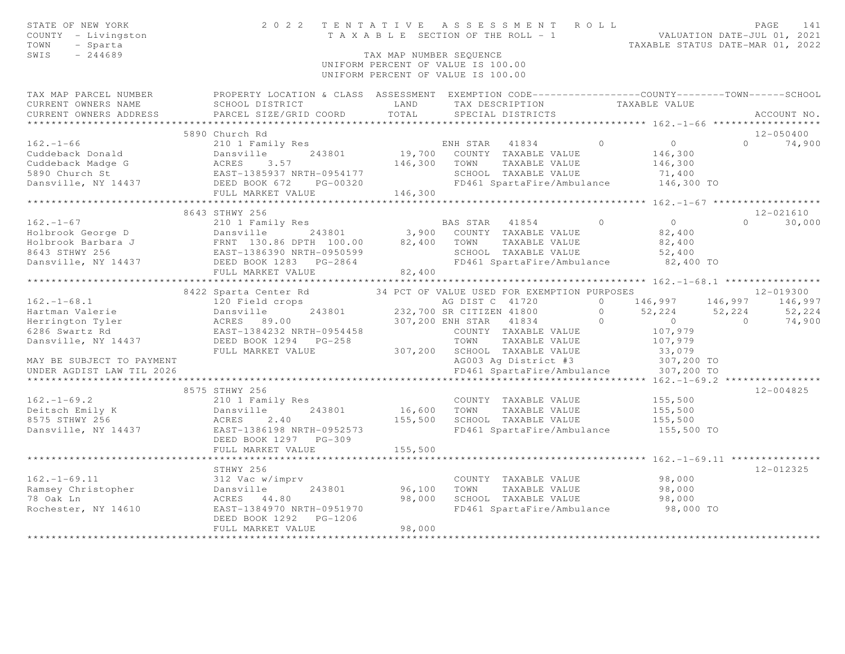| STATE OF NEW YORK<br>COUNTY - Livingston<br>- Sparta<br>TOWN<br>SWIS<br>$-244689$                                                                                                                                                           |                                                     | TAX MAP NUMBER SEQUENCE | 2022 TENTATIVE ASSESSMENT ROLL<br>TENTATIVE ASSESSMENT NVILLE VALUATION DATE-JUL 01, 2021<br>TAXABLE SECTION OF THE ROLL - 1<br>TAXABLE STATUS DATE-MAR 01, 2022<br>UNIFORM PERCENT OF VALUE IS 100.00<br>UNIFORM PERCENT OF VALUE IS 100.00 |                |                         | PAGE<br>141   |
|---------------------------------------------------------------------------------------------------------------------------------------------------------------------------------------------------------------------------------------------|-----------------------------------------------------|-------------------------|----------------------------------------------------------------------------------------------------------------------------------------------------------------------------------------------------------------------------------------------|----------------|-------------------------|---------------|
| TAX MAP PARCEL NUMBER FROPERTY LOCATION & CLASS ASSESSMENT EXEMPTION CODE---------------COUNTY-------TOWN------SCHOOL                                                                                                                       |                                                     |                         |                                                                                                                                                                                                                                              |                |                         |               |
| CURRENT OWNERS NAME                                                                                                                                                                                                                         | SCHOOL DISTRICT                                     | LAND                    | TAX DESCRIPTION TAXABLE VALUE                                                                                                                                                                                                                |                |                         |               |
| CURRENT OWNERS ADDRESS                                                                                                                                                                                                                      | PARCEL SIZE/GRID COORD                              | TOTAL                   | SPECIAL DISTRICTS                                                                                                                                                                                                                            |                |                         | ACCOUNT NO.   |
|                                                                                                                                                                                                                                             | 5890 Church Rd                                      |                         |                                                                                                                                                                                                                                              |                |                         | $12 - 050400$ |
| $162. - 1 - 66$                                                                                                                                                                                                                             | 210 1 Family Res                                    |                         | ENH STAR 41834                                                                                                                                                                                                                               | $\bigcirc$     | $\overline{0}$          | $0 \t 74,900$ |
|                                                                                                                                                                                                                                             | 243801                                              |                         | 19,700 COUNTY TAXABLE VALUE                                                                                                                                                                                                                  |                | 146,300                 |               |
|                                                                                                                                                                                                                                             |                                                     | 146,300                 | TOWN<br>TAXABLE VALUE                                                                                                                                                                                                                        |                | 146,300                 |               |
|                                                                                                                                                                                                                                             |                                                     |                         | SCHOOL TAXABLE VALUE                                                                                                                                                                                                                         |                | 71,400                  |               |
| Cuddeback Donald<br>Cuddeback Madge G<br>Cuddeback Madge G<br>2 ACRES 3.57<br>5890 Church St<br>Dansville, NY 14437<br>DEED BOOK 672                                                                                                        | EAST-1385937 NRTH-0954177<br>DEED BOOK 672 PG-00320 |                         | FD461 SpartaFire/Ambulance 146,300 TO                                                                                                                                                                                                        |                |                         |               |
|                                                                                                                                                                                                                                             | FULL MARKET VALUE                                   | 146,300                 |                                                                                                                                                                                                                                              |                |                         |               |
|                                                                                                                                                                                                                                             |                                                     |                         |                                                                                                                                                                                                                                              |                |                         |               |
|                                                                                                                                                                                                                                             | 8643 STHWY 256                                      |                         |                                                                                                                                                                                                                                              |                |                         | 12-021610     |
| $162. - 1 - 67$                                                                                                                                                                                                                             | 210 1 Family Res                                    |                         | BAS STAR 41854 0                                                                                                                                                                                                                             |                | $\overline{0}$          | $0 \t 30,000$ |
|                                                                                                                                                                                                                                             |                                                     |                         | 243801 3,900 COUNTY TAXABLE VALUE                                                                                                                                                                                                            |                | 82,400                  |               |
|                                                                                                                                                                                                                                             |                                                     |                         | TAXABLE VALUE                                                                                                                                                                                                                                |                | 82,400                  |               |
|                                                                                                                                                                                                                                             |                                                     |                         | SCHOOL TAXABLE VALUE                                                                                                                                                                                                                         |                | 52,400                  |               |
| 162.-1-67<br>Holbrook George D<br>Holbrook Barbara J<br>8643 STHWY 256<br>Dansville, NY 14437<br>DEED BOOK 1283 PG-2864<br>THE BOOK 1283 PG-2864<br>THE BOOK 1283 PG-2864<br>BAST-1386390 NRTH-0950599<br>DEED BOOK 1283 PG-2864<br>PD461 S |                                                     | 82,400                  | FD461 SpartaFire/Ambulance                                                                                                                                                                                                                   |                | 82,400 TO               |               |
|                                                                                                                                                                                                                                             |                                                     |                         |                                                                                                                                                                                                                                              |                |                         |               |
|                                                                                                                                                                                                                                             | 8422 Sparta Center Rd                               |                         | 34 PCT OF VALUE USED FOR EXEMPTION PURPOSES                                                                                                                                                                                                  |                |                         | 12-019300     |
| $162. - 1 - 68.1$                                                                                                                                                                                                                           | 120 Field crops                                     |                         |                                                                                                                                                                                                                                              | $\cap$         | 146,997 146,997 146,997 |               |
|                                                                                                                                                                                                                                             |                                                     |                         | AG DIST C 41720<br>232,700 SR CITIZEN 41800                                                                                                                                                                                                  | $\overline{0}$ | 52,224 52,224           | 52, 224       |
|                                                                                                                                                                                                                                             |                                                     |                         | $\sim$ 0<br>307,200 ENH STAR 41834                                                                                                                                                                                                           |                | $\overline{0}$          | $0 \t 74,900$ |
|                                                                                                                                                                                                                                             |                                                     |                         | COUNTY TAXABLE VALUE                                                                                                                                                                                                                         |                | 107,979                 |               |
| Dansville, NY 14437                                                                                                                                                                                                                         | DEED BOOK 1294 PG-258                               |                         | TOWN<br>TAXABLE VALUE                                                                                                                                                                                                                        |                | 107,979                 |               |
|                                                                                                                                                                                                                                             | FULL MARKET VALUE                                   |                         | 307,200 SCHOOL TAXABLE VALUE                                                                                                                                                                                                                 |                | 33,079                  |               |
| MAY BE SUBJECT TO PAYMENT                                                                                                                                                                                                                   |                                                     |                         | AG003 Ag District #3                                                                                                                                                                                                                         |                | 307,200 TO              |               |
| UNDER AGDIST LAW TIL 2026                                                                                                                                                                                                                   |                                                     |                         | FD461 SpartaFire/Ambulance 307,200 TO                                                                                                                                                                                                        |                |                         |               |
|                                                                                                                                                                                                                                             |                                                     |                         |                                                                                                                                                                                                                                              |                |                         |               |
|                                                                                                                                                                                                                                             | 8575 STHWY 256                                      |                         |                                                                                                                                                                                                                                              |                |                         | $12 - 004825$ |
| $162. - 1 - 69.2$                                                                                                                                                                                                                           | 210 1 Family Res                                    |                         | COUNTY TAXABLE VALUE                                                                                                                                                                                                                         |                | 155,500                 |               |
| Deitsch Emily K<br>8575 STHWY 256                                                                                                                                                                                                           | 243801<br>Dansville                                 | 155,500                 | 16,600 TOWN<br>TAXABLE VALUE                                                                                                                                                                                                                 |                | 155,500                 |               |
| Dansville, NY 14437                                                                                                                                                                                                                         | ACRES<br>2.40<br>EAST-1386198 NRTH-0952573          |                         | SCHOOL TAXABLE VALUE<br>FD461 SpartaFire/Ambulance                                                                                                                                                                                           |                | 155,500<br>155,500 TO   |               |
|                                                                                                                                                                                                                                             | DEED BOOK 1297 PG-309                               |                         |                                                                                                                                                                                                                                              |                |                         |               |
|                                                                                                                                                                                                                                             | FULL MARKET VALUE                                   | 155,500                 |                                                                                                                                                                                                                                              |                |                         |               |
|                                                                                                                                                                                                                                             | ****************************                        |                         |                                                                                                                                                                                                                                              |                |                         |               |
|                                                                                                                                                                                                                                             | STHWY 256                                           |                         |                                                                                                                                                                                                                                              |                |                         | $12 - 012325$ |
| $162. - 1 - 69.11$                                                                                                                                                                                                                          | 312 Vac w/imprv                                     |                         | COUNTY TAXABLE VALUE                                                                                                                                                                                                                         |                | 98,000                  |               |
| Ramsey Christopher                                                                                                                                                                                                                          | Dansville<br>243801                                 | 96,100                  | TAXABLE VALUE<br>TOWN                                                                                                                                                                                                                        |                | 98,000                  |               |
| 78 Oak Ln                                                                                                                                                                                                                                   | ACRES 44.80                                         | 98,000                  | SCHOOL TAXABLE VALUE                                                                                                                                                                                                                         |                | 98,000                  |               |
| Rochester, NY 14610                                                                                                                                                                                                                         | EAST-1384970 NRTH-0951970                           |                         | FD461 SpartaFire/Ambulance                                                                                                                                                                                                                   |                | 98,000 TO               |               |
|                                                                                                                                                                                                                                             | DEED BOOK 1292 PG-1206                              |                         |                                                                                                                                                                                                                                              |                |                         |               |
|                                                                                                                                                                                                                                             | FULL MARKET VALUE                                   | 98,000                  |                                                                                                                                                                                                                                              |                |                         |               |
|                                                                                                                                                                                                                                             |                                                     |                         |                                                                                                                                                                                                                                              |                |                         |               |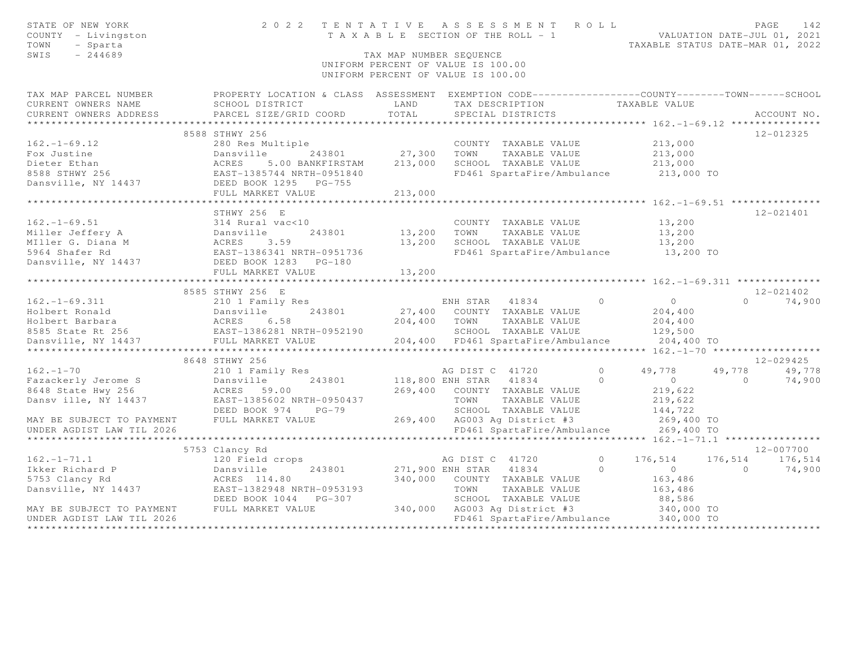| STATE OF NEW YORK<br>COUNTY - Livingston<br>TOWN<br>- Sparta<br>SWIS<br>$-244689$                                                                                                                                                                                                                                                                                                                                                                                                                              |                                                                                                  | TAX MAP NUMBER SEQUENCE | 2022 TENTATIVE ASSESSMENT ROLL<br>TENIAIIVE ASSESSMENI NUMBER VALUATION DATE-JUL 01, 2021<br>TAXABLE SECTION OF THE ROLL - 1<br>TAXABLE STATUS DATE-MAR 01, 2022<br>UNIFORM PERCENT OF VALUE IS 100.00<br>UNIFORM PERCENT OF VALUE IS 100.00 |          |                                            |                | PAGE<br>142   |
|----------------------------------------------------------------------------------------------------------------------------------------------------------------------------------------------------------------------------------------------------------------------------------------------------------------------------------------------------------------------------------------------------------------------------------------------------------------------------------------------------------------|--------------------------------------------------------------------------------------------------|-------------------------|----------------------------------------------------------------------------------------------------------------------------------------------------------------------------------------------------------------------------------------------|----------|--------------------------------------------|----------------|---------------|
| TAX MAP PARCEL NUMBER                                                                                                                                                                                                                                                                                                                                                                                                                                                                                          | PROPERTY LOCATION & CLASS ASSESSMENT EXEMPTION CODE----------------COUNTY-------TOWN------SCHOOL |                         |                                                                                                                                                                                                                                              |          |                                            |                |               |
| CURRENT OWNERS NAME                                                                                                                                                                                                                                                                                                                                                                                                                                                                                            | SCHOOL DISTRICT LAND                                                                             |                         | TAX DESCRIPTION                                                                                                                                                                                                                              |          | TAXABLE VALUE                              |                |               |
| CURRENT OWNERS ADDRESS                                                                                                                                                                                                                                                                                                                                                                                                                                                                                         | PARCEL SIZE/GRID COORD TOTAL                                                                     |                         | SPECIAL DISTRICTS                                                                                                                                                                                                                            |          |                                            |                | ACCOUNT NO.   |
|                                                                                                                                                                                                                                                                                                                                                                                                                                                                                                                |                                                                                                  |                         |                                                                                                                                                                                                                                              |          |                                            |                |               |
| $\begin{tabular}{lllllllllll} \multicolumn{3}{c}{\begin{tabular}{l} \multicolumn{3}{c}{\begin{tabular}{l} \multicolumn{3}{c}{\begin{tabular}{l} \multicolumn{3}{c}{\begin{tabular}{l} \multicolumn{3}{c}{\begin{tabular}{l} \multicolumn{3}{c}{\begin{tabular}{c} \multicolumn{3}{c}{\begin{tabular}{c} \multicolumn{3}{c}{\begin{tabular}{c} \multicolumn{3}{c}{\begin{tabular}{c} \multicolumn{3}{c}{\begin{tabular}{c} \multicolumn{3}{c}{\begin{tabular}{c} \multicolumn{3}{c}{\begin{tabular}{c} \multic$ |                                                                                                  |                         |                                                                                                                                                                                                                                              |          |                                            |                | $12 - 012325$ |
|                                                                                                                                                                                                                                                                                                                                                                                                                                                                                                                |                                                                                                  |                         | COUNTY TAXABLE VALUE 213,000                                                                                                                                                                                                                 |          |                                            |                |               |
|                                                                                                                                                                                                                                                                                                                                                                                                                                                                                                                |                                                                                                  |                         |                                                                                                                                                                                                                                              |          | 213,000                                    |                |               |
|                                                                                                                                                                                                                                                                                                                                                                                                                                                                                                                |                                                                                                  |                         |                                                                                                                                                                                                                                              |          |                                            |                |               |
|                                                                                                                                                                                                                                                                                                                                                                                                                                                                                                                |                                                                                                  |                         |                                                                                                                                                                                                                                              |          |                                            |                |               |
|                                                                                                                                                                                                                                                                                                                                                                                                                                                                                                                |                                                                                                  |                         |                                                                                                                                                                                                                                              |          |                                            |                |               |
|                                                                                                                                                                                                                                                                                                                                                                                                                                                                                                                |                                                                                                  |                         |                                                                                                                                                                                                                                              |          |                                            |                |               |
|                                                                                                                                                                                                                                                                                                                                                                                                                                                                                                                |                                                                                                  |                         |                                                                                                                                                                                                                                              |          |                                            |                |               |
|                                                                                                                                                                                                                                                                                                                                                                                                                                                                                                                | STHWY 256 E                                                                                      |                         |                                                                                                                                                                                                                                              |          |                                            |                | 12-021401     |
|                                                                                                                                                                                                                                                                                                                                                                                                                                                                                                                |                                                                                                  |                         | COUNTY TAXABLE VALUE                                                                                                                                                                                                                         |          | 13,200                                     |                |               |
|                                                                                                                                                                                                                                                                                                                                                                                                                                                                                                                | 243801 13,200 TOWN                                                                               |                         | TAXABLE VALUE                                                                                                                                                                                                                                |          | 13,200                                     |                |               |
| 162.-1-69.51<br>Miller Jeffery A<br>Miller G. Diana M<br>Miller G. Diana M<br>S964 Shafer Rd EAST-1386341 NRTH-0951736<br>Dansville, NY 14437<br>DEED BOOK 1283 PG-180<br>DEED BOOK 1283 PG-180                                                                                                                                                                                                                                                                                                                |                                                                                                  |                         | 13,200 SCHOOL TAXABLE VALUE<br>FD461 SpartaFire/Ambulance 13,200 TO                                                                                                                                                                          |          | 13,200                                     |                |               |
|                                                                                                                                                                                                                                                                                                                                                                                                                                                                                                                |                                                                                                  |                         |                                                                                                                                                                                                                                              |          |                                            |                |               |
|                                                                                                                                                                                                                                                                                                                                                                                                                                                                                                                | FULL MARKET VALUE                                                                                | 13,200                  |                                                                                                                                                                                                                                              |          |                                            |                |               |
|                                                                                                                                                                                                                                                                                                                                                                                                                                                                                                                |                                                                                                  |                         |                                                                                                                                                                                                                                              |          |                                            |                |               |
|                                                                                                                                                                                                                                                                                                                                                                                                                                                                                                                | 8585 STHWY 256 E                                                                                 |                         |                                                                                                                                                                                                                                              |          |                                            |                | 12-021402     |
| $162. - 1 - 69.311$                                                                                                                                                                                                                                                                                                                                                                                                                                                                                            |                                                                                                  |                         |                                                                                                                                                                                                                                              |          | $\overline{0}$                             |                | $0 \t 74,900$ |
| 162.-1-69.311 2003 2001 Family Res<br>Holbert Ronald Dansville 243801 27,400 COUNTY TAXABLE VALUE 204,400<br>Holbert Barbara (ACRES 6.58 204,400 TOWN TAXABLE VALUE 204,400<br>8585 State Rt 256 EAST-1386281 NRTH-0952190 SCHOOL TA                                                                                                                                                                                                                                                                           |                                                                                                  |                         |                                                                                                                                                                                                                                              |          |                                            |                |               |
|                                                                                                                                                                                                                                                                                                                                                                                                                                                                                                                |                                                                                                  |                         |                                                                                                                                                                                                                                              |          |                                            |                |               |
|                                                                                                                                                                                                                                                                                                                                                                                                                                                                                                                |                                                                                                  |                         |                                                                                                                                                                                                                                              |          |                                            |                |               |
|                                                                                                                                                                                                                                                                                                                                                                                                                                                                                                                |                                                                                                  |                         |                                                                                                                                                                                                                                              |          |                                            |                |               |
|                                                                                                                                                                                                                                                                                                                                                                                                                                                                                                                |                                                                                                  |                         |                                                                                                                                                                                                                                              |          |                                            |                |               |
|                                                                                                                                                                                                                                                                                                                                                                                                                                                                                                                | 8648 STHWY 256                                                                                   |                         |                                                                                                                                                                                                                                              |          |                                            |                | 12-029425     |
|                                                                                                                                                                                                                                                                                                                                                                                                                                                                                                                |                                                                                                  |                         | AG DIST C 41720 0 49,778                                                                                                                                                                                                                     |          |                                            |                | 49,778 49,778 |
|                                                                                                                                                                                                                                                                                                                                                                                                                                                                                                                |                                                                                                  |                         |                                                                                                                                                                                                                                              |          | $\sim$ 0 $\sim$ 0 $\sim$ 0 $\sim$ 0 $\sim$ | $\overline{0}$ | 74,900        |
|                                                                                                                                                                                                                                                                                                                                                                                                                                                                                                                |                                                                                                  |                         | 269,400 COUNTY TAXABLE VALUE                                                                                                                                                                                                                 |          | 219,622                                    |                |               |
| 8040 3100 LD Ramily Res<br>Fazackerly Jerome S<br>8648 State Hwy 256<br>Dansville 243801<br>269,400 COUNTY TAXABLE VALUE<br>269,400 COUNTY TAXABLE VALUE<br>269,400 COUNTY TAXABLE VALUE<br>269,400 COUNTY TAXABLE VALUE<br>269,400 COUNTY TAX                                                                                                                                                                                                                                                                 |                                                                                                  |                         |                                                                                                                                                                                                                                              |          | 219,622                                    |                |               |
|                                                                                                                                                                                                                                                                                                                                                                                                                                                                                                                |                                                                                                  |                         | TOWN TAXABLE VALUE 144,722                                                                                                                                                                                                                   |          |                                            |                |               |
| MAY BE SUBJECT TO PAYMENT FULL MARKET VALUE                                                                                                                                                                                                                                                                                                                                                                                                                                                                    |                                                                                                  |                         | 269,400 AG003 Ag District #3                                                                                                                                                                                                                 |          | 269,400 TO                                 |                |               |
| UNDER AGDIST LAW TIL 2026                                                                                                                                                                                                                                                                                                                                                                                                                                                                                      |                                                                                                  |                         | FD461 SpartaFire/Ambulance 269,400 TO                                                                                                                                                                                                        |          |                                            |                |               |
|                                                                                                                                                                                                                                                                                                                                                                                                                                                                                                                |                                                                                                  |                         |                                                                                                                                                                                                                                              |          |                                            |                |               |
|                                                                                                                                                                                                                                                                                                                                                                                                                                                                                                                | 5753 Clancy Rd                                                                                   |                         |                                                                                                                                                                                                                                              |          |                                            |                | 12-007700     |
|                                                                                                                                                                                                                                                                                                                                                                                                                                                                                                                |                                                                                                  |                         | AG DIST C 41720                                                                                                                                                                                                                              |          | 0 176,514 176,514 176,514                  |                |               |
|                                                                                                                                                                                                                                                                                                                                                                                                                                                                                                                |                                                                                                  |                         | 243801 271,900 ENH STAR 41834                                                                                                                                                                                                                | $\Omega$ | $\overline{O}$                             |                | $0 \t 74,900$ |
|                                                                                                                                                                                                                                                                                                                                                                                                                                                                                                                |                                                                                                  |                         | 340,000 COUNTY TAXABLE VALUE                                                                                                                                                                                                                 |          | 163, 486                                   |                |               |
|                                                                                                                                                                                                                                                                                                                                                                                                                                                                                                                |                                                                                                  |                         |                                                                                                                                                                                                                                              |          |                                            |                |               |
|                                                                                                                                                                                                                                                                                                                                                                                                                                                                                                                |                                                                                                  |                         | TOWN<br>TAXABLE VALUE                                                                                                                                                                                                                        |          | 163,486                                    |                |               |
|                                                                                                                                                                                                                                                                                                                                                                                                                                                                                                                |                                                                                                  |                         |                                                                                                                                                                                                                                              |          |                                            |                |               |
| 162.-1-71.1<br>Ikker Richard P<br>5753 Clancy Rd<br>Dansville, NY 14437<br>MAY BE SUBJECT TO PAYMENT<br>NAY BE SUBJECT TO PAYMENT<br>TO PAYMENT<br>TO PAYMENT<br>TO PAYMENT<br>FULL MARKET VALUE<br>TO PAYMENT<br>FULL MARKET VALUE<br>TULL MARKET VAL<br>UNDER AGDIST LAW TIL 2026                                                                                                                                                                                                                            |                                                                                                  |                         | 340,000 AG003 Ag District #3 340,000 TO<br>FD461 SpartaFire/Ambulance 340,000 TO                                                                                                                                                             |          |                                            |                |               |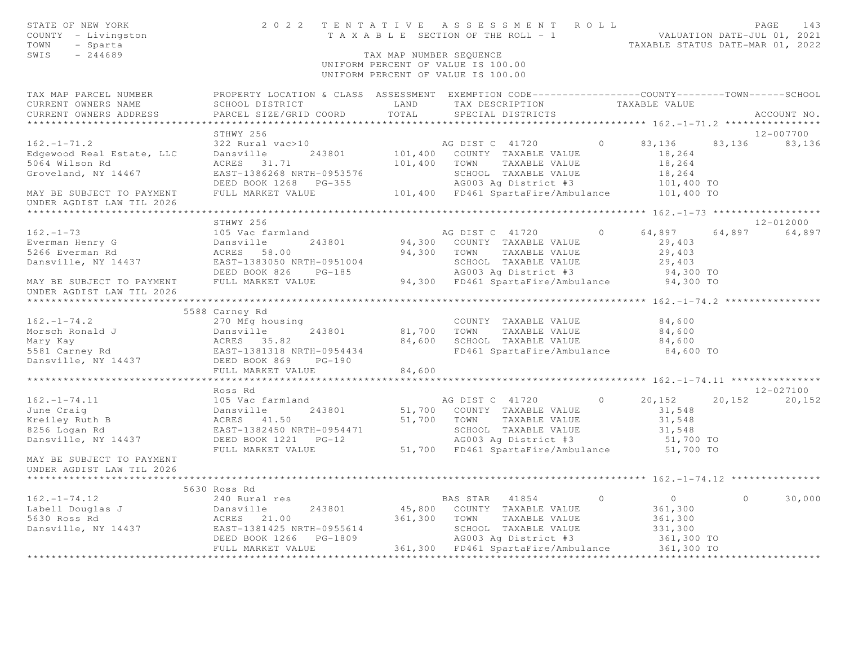| STATE OF NEW YORK<br>COUNTY - Livingston<br>TOWN<br>- Sparta<br>SWIS<br>$-244689$ |                                                                                                  | TAX MAP NUMBER SEQUENCE | 2022 TENTATIVE ASSESSMENT ROLL<br>T A X A B L E SECTION OF THE ROLL - 1<br>UNIFORM PERCENT OF VALUE IS 100.00<br>UNIFORM PERCENT OF VALUE IS 100.00 |          | VALUATION DATE-JUL 01, 2021<br>TAXABLE STATUS DATE-MAR 01, 2022 |          | PAGE<br>143     |
|-----------------------------------------------------------------------------------|--------------------------------------------------------------------------------------------------|-------------------------|-----------------------------------------------------------------------------------------------------------------------------------------------------|----------|-----------------------------------------------------------------|----------|-----------------|
| TAX MAP PARCEL NUMBER                                                             | PROPERTY LOCATION & CLASS ASSESSMENT EXEMPTION CODE----------------COUNTY-------TOWN------SCHOOL |                         |                                                                                                                                                     |          |                                                                 |          |                 |
| CURRENT OWNERS NAME                                                               | SCHOOL DISTRICT                                                                                  | LAND                    | TAX DESCRIPTION                                                                                                                                     |          | TAXABLE VALUE                                                   |          |                 |
| CURRENT OWNERS ADDRESS                                                            | PARCEL SIZE/GRID COORD                                                                           | TOTAL                   | SPECIAL DISTRICTS                                                                                                                                   |          |                                                                 |          | ACCOUNT NO.     |
|                                                                                   | STHWY 256                                                                                        |                         |                                                                                                                                                     |          |                                                                 |          | 12-007700       |
| $162. - 1 - 71.2$                                                                 | 322 Rural vac>10                                                                                 |                         | AG DIST C 41720                                                                                                                                     | $\Omega$ | 83,136                                                          |          | 83, 136 83, 136 |
| Edgewood Real Estate, LLC                                                         | Dansville<br>243801                                                                              |                         | 101,400 COUNTY TAXABLE VALUE                                                                                                                        |          | 18,264                                                          |          |                 |
| 5064 Wilson Rd                                                                    | ACRES 31.71                                                                                      |                         | 101,400 TOWN<br>TAXABLE VALUE                                                                                                                       |          | 18,264                                                          |          |                 |
| Groveland, NY 14467                                                               | EAST-1386268 NRTH-0953576                                                                        |                         | SCHOOL TAXABLE VALUE                                                                                                                                |          | 18,264                                                          |          |                 |
|                                                                                   | DEED BOOK 1268 PG-355                                                                            |                         | AG003 Ag District #3                                                                                                                                |          | 101,400 TO                                                      |          |                 |
| MAY BE SUBJECT TO PAYMENT                                                         | FULL MARKET VALUE                                                                                |                         | 101,400 FD461 SpartaFire/Ambulance 101,400 TO                                                                                                       |          |                                                                 |          |                 |
| UNDER AGDIST LAW TIL 2026                                                         |                                                                                                  |                         |                                                                                                                                                     |          |                                                                 |          |                 |
|                                                                                   |                                                                                                  |                         |                                                                                                                                                     |          |                                                                 |          |                 |
|                                                                                   | STHWY 256                                                                                        |                         |                                                                                                                                                     |          |                                                                 |          | 12-012000       |
| $162. - 1 - 73$                                                                   | 105 Vac farmland                                                                                 |                         | AG DIST C 41720                                                                                                                                     | $\circ$  | 64,897                                                          | 64,897   | 64,897          |
| Everman Henry G                                                                   | Dansville<br>243801                                                                              |                         | 94,300 COUNTY TAXABLE VALUE                                                                                                                         |          | 29,403                                                          |          |                 |
| 5266 Everman Rd                                                                   | ACRES 58.00                                                                                      |                         | 94,300 TOWN TAXABLE VALUE                                                                                                                           |          | 29,403                                                          |          |                 |
| Dansville, NY 14437                                                               | EAST-1383050 NRTH-0951004                                                                        |                         | SCHOOL TAXABLE VALUE                                                                                                                                |          | 29,403                                                          |          |                 |
|                                                                                   | DEED BOOK 826 PG-185                                                                             |                         | AG003 Ag District #3                                                                                                                                |          | 94,300 TO                                                       |          |                 |
| MAY BE SUBJECT TO PAYMENT                                                         | FULL MARKET VALUE                                                                                |                         | 94,300 FD461 SpartaFire/Ambulance 94,300 TO                                                                                                         |          |                                                                 |          |                 |
| UNDER AGDIST LAW TIL 2026                                                         |                                                                                                  |                         |                                                                                                                                                     |          |                                                                 |          |                 |
|                                                                                   | 5588 Carney Rd                                                                                   |                         |                                                                                                                                                     |          |                                                                 |          |                 |
| $162. - 1 - 74.2$                                                                 | 270 Mfg housing                                                                                  |                         | COUNTY TAXABLE VALUE                                                                                                                                |          | 84,600                                                          |          |                 |
| Morsch Ronald J                                                                   |                                                                                                  | 81,700 TOWN             | TAXABLE VALUE                                                                                                                                       |          | 84,600                                                          |          |                 |
| Mary Kay                                                                          |                                                                                                  | 84,600                  | SCHOOL TAXABLE VALUE                                                                                                                                |          | 84,600                                                          |          |                 |
| 5581 Carney Rd                                                                    | Dansville 243801<br>ACRES 35.82<br>EAST-1381318 NRTH-0954434                                     |                         | FD461 SpartaFire/Ambulance                                                                                                                          |          | 84,600 TO                                                       |          |                 |
| Dansville, NY 14437                                                               | DEED BOOK 869<br>$PG-190$                                                                        |                         |                                                                                                                                                     |          |                                                                 |          |                 |
|                                                                                   | FULL MARKET VALUE                                                                                | 84,600                  |                                                                                                                                                     |          |                                                                 |          |                 |
|                                                                                   |                                                                                                  |                         |                                                                                                                                                     |          |                                                                 |          |                 |
|                                                                                   | Ross Rd                                                                                          |                         |                                                                                                                                                     |          |                                                                 |          | 12-027100       |
| $162. - 1 - 74.11$                                                                | 105 Vac farmland                                                                                 |                         | AG DIST C 41720                                                                                                                                     | $\circ$  | 20,152                                                          | 20,152   | 20,152          |
| June Craig                                                                        | 243801<br>Dansville                                                                              |                         | 51,700 COUNTY TAXABLE VALUE                                                                                                                         |          | 31,548                                                          |          |                 |
| Kreiley Ruth B                                                                    | ACRES 41.50                                                                                      |                         | 51,700 TOWN<br>TAXABLE VALUE                                                                                                                        |          | 31,548                                                          |          |                 |
| 8256 Logan Rd                                                                     | EAST-1382450 NRTH-0954471                                                                        |                         | SCHOOL TAXABLE VALUE<br>AG003 Ag District #3                                                                                                        |          | 31,548                                                          |          |                 |
| Dansville, NY 14437                                                               | DEED BOOK 1221 PG-12<br>FULL MARKET VALUE                                                        |                         |                                                                                                                                                     |          | 51,700 TO                                                       |          |                 |
| MAY BE SUBJECT TO PAYMENT                                                         |                                                                                                  |                         | 51,700 FD461 SpartaFire/Ambulance                                                                                                                   |          | 51,700 TO                                                       |          |                 |
| UNDER AGDIST LAW TIL 2026                                                         |                                                                                                  |                         |                                                                                                                                                     |          |                                                                 |          |                 |
|                                                                                   | 5630 Ross Rd                                                                                     |                         |                                                                                                                                                     |          |                                                                 |          |                 |
| $162. - 1 - 74.12$                                                                | 240 Rural res                                                                                    |                         | BAS STAR 41854                                                                                                                                      | $\circ$  | $\overline{0}$                                                  | $\Omega$ | 30,000          |
| Labell Douglas J                                                                  | Dansville<br>243801                                                                              |                         | 45,800 COUNTY TAXABLE VALUE                                                                                                                         |          | 361,300                                                         |          |                 |
| 5630 Ross Rd                                                                      | ACRES 21.00                                                                                      | 361,300 TOWN            | TAXABLE VALUE                                                                                                                                       |          | 361,300                                                         |          |                 |
| Dansville, NY 14437 EAST-1381425 NRTH-0955614                                     |                                                                                                  |                         | SCHOOL TAXABLE VALUE                                                                                                                                |          | 331,300                                                         |          |                 |
|                                                                                   | DEED BOOK 1266<br>PG-1809                                                                        |                         | AG003 Aq District #3                                                                                                                                |          | 361,300 TO                                                      |          |                 |
|                                                                                   | FULL MARKET VALUE                                                                                |                         | 361,300 FD461 SpartaFire/Ambulance                                                                                                                  |          | 361,300 TO                                                      |          |                 |
|                                                                                   |                                                                                                  |                         |                                                                                                                                                     |          |                                                                 |          |                 |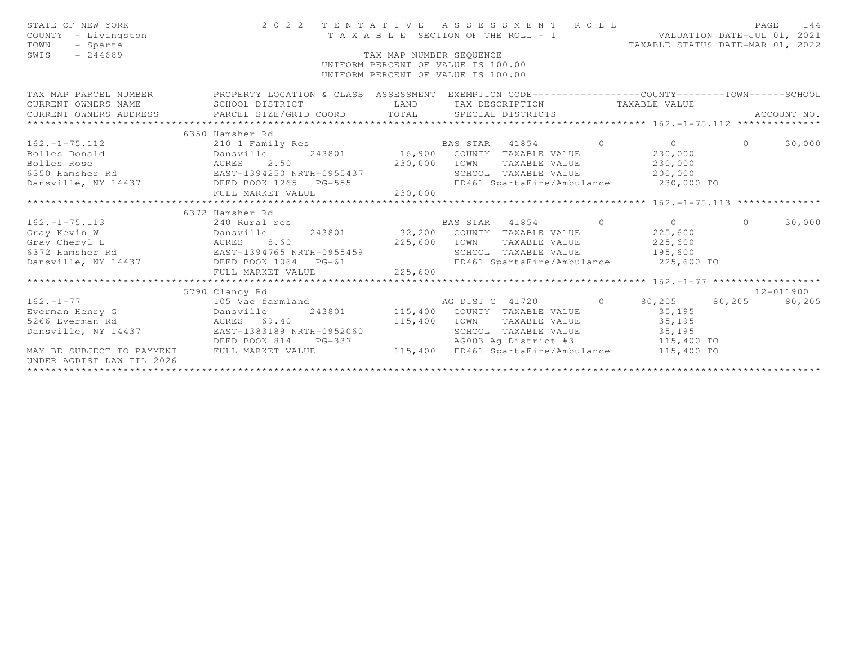| STATE OF NEW YORK<br>COUNTY - Livingston<br>TOWN<br>- Sparta<br>SWIS<br>$-244689$                                                          | 2 0 2 2                                                                                                                                                 | TAX MAP NUMBER SEOUENCE             | TENTATIVE ASSESSMENT ROLL<br>T A X A B L E SECTION OF THE ROLL - 1<br>UNIFORM PERCENT OF VALUE IS 100.00<br>UNIFORM PERCENT OF VALUE IS 100.00                        |                | VALUATION DATE-JUL 01, 2021<br>TAXABLE STATUS DATE-MAR 01, 2022 | PAGE           | 144                 |
|--------------------------------------------------------------------------------------------------------------------------------------------|---------------------------------------------------------------------------------------------------------------------------------------------------------|-------------------------------------|-----------------------------------------------------------------------------------------------------------------------------------------------------------------------|----------------|-----------------------------------------------------------------|----------------|---------------------|
| TAX MAP PARCEL NUMBER<br>CURRENT OWNERS NAME<br>CURRENT OWNERS ADDRESS                                                                     | PROPERTY LOCATION & CLASS ASSESSMENT EXEMPTION CODE----------------COUNTY-------TOWN------SCHOOL<br>SCHOOL DISTRICT<br>PARCEL SIZE/GRID COORD           | LAND<br>TOTAL                       | TAX DESCRIPTION<br>SPECIAL DISTRICTS                                                                                                                                  |                | TAXABLE VALUE                                                   |                | ACCOUNT NO.         |
|                                                                                                                                            | 6350 Hamsher Rd                                                                                                                                         |                                     |                                                                                                                                                                       |                |                                                                 |                |                     |
| $162. - 1 - 75.112$<br>Bolles Donald<br>Bolles Rose<br>6350 Hamsher Rd<br>Dansville, NY 14437 DEED BOOK 1265 PG-555                        | 210 1 Family Res<br>Dansville<br>ACRES 2.50<br>EAST-1394250 NRTH-0955437<br>FULL MARKET VALUE                                                           | 230,000<br>230,000                  | BAS STAR 41854<br>243801 16,900 COUNTY TAXABLE VALUE<br>TOWN<br>TAXABLE VALUE<br>SCHOOL TAXABLE VALUE<br>FD461 SpartaFire/Ambulance                                   | $\overline{0}$ | $\overline{0}$<br>230,000<br>230,000<br>200,000<br>230,000 TO   | $\overline{0}$ | 30,000              |
|                                                                                                                                            | 6372 Hamsher Rd                                                                                                                                         |                                     |                                                                                                                                                                       |                | $x*************************162. -1-75.113******************$    |                |                     |
| $162. - 1 - 75.113$<br>Gray Kevin W<br>Dansville<br>Gray Cheryl L<br><b>ACRES</b><br>6372 Hamsher Rd<br>Dansville, NY 14437 DEED BOOK 1064 | 240 Rural res<br>8.60<br>EAST-1394765 NRTH-0955459<br>$PG-61$<br>FULL MARKET VALUE                                                                      | 243801 32,200<br>225,600<br>225,600 | BAS STAR 41854<br>$\sim$ 0<br>COUNTY TAXABLE VALUE<br>TOWN<br>TAXABLE VALUE<br>SCHOOL TAXABLE VALUE<br>FD461 SpartaFire/Ambulance 225,600 TO                          |                | $\overline{0}$<br>225,600<br>225,600<br>195,600                 | $\Omega$       | 30,000              |
|                                                                                                                                            |                                                                                                                                                         |                                     |                                                                                                                                                                       |                |                                                                 |                |                     |
| $162. - 1 - 77$<br>Everman Henry G<br>5266 Everman Rd<br>Dansville, NY 14437<br>MAY BE SUBJECT TO PAYMENT<br>UNDER AGDIST LAW TIL 2026     | 5790 Clancy Rd<br>105 Vac farmland<br>243801<br>Dansville<br>ACRES 69.40<br>EAST-1383189 NRTH-0952060<br>DEED BOOK 814<br>$PG-337$<br>FULL MARKET VALUE | 115,400<br>115,400<br>115,400       | $\sim$ 0<br>AG DIST C 41720<br>COUNTY TAXABLE VALUE<br>TOWN<br>TAXABLE VALUE<br>SCHOOL TAXABLE VALUE<br>AG003 Ag District #3 115,400 TO<br>FD461 SpartaFire/Ambulance |                | 80,205<br>35,195<br>35,195<br>35,195<br>115,400 TO              | 80,205         | 12-011900<br>80,205 |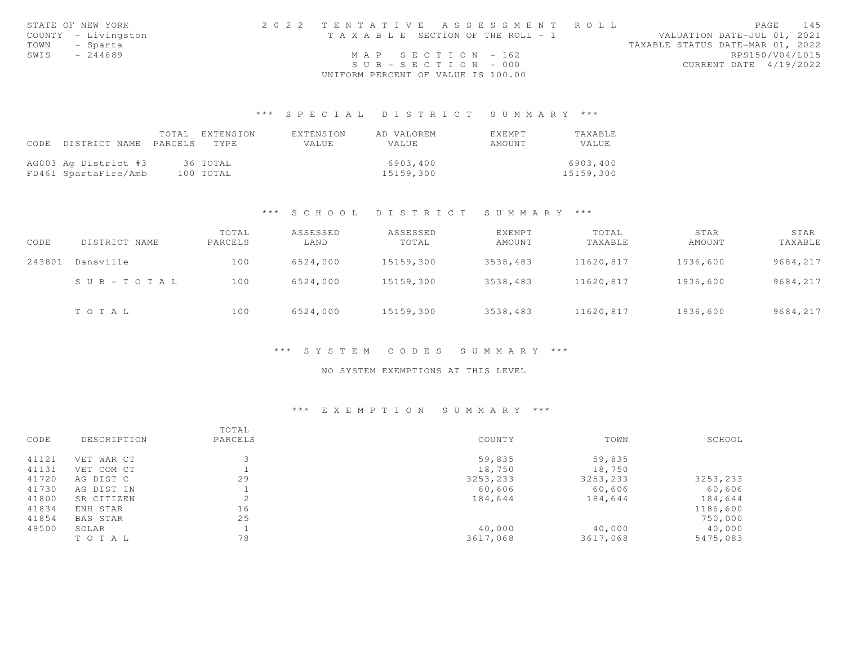|      | STATE OF NEW YORK   | 2022 TENTATIVE ASSESSMENT ROLL        | PAGE 145                         |
|------|---------------------|---------------------------------------|----------------------------------|
|      | COUNTY - Livingston | T A X A B L E SECTION OF THE ROLL - 1 | VALUATION DATE-JUL 01, 2021      |
|      | TOWN - Sparta       |                                       | TAXABLE STATUS DATE-MAR 01, 2022 |
| SWIS | $-244689$           | $MAP$ SECTION - 162                   | RPS150/V04/L015                  |
|      |                     | $SUB - SECTION - 000$                 | CURRENT DATE 4/19/2022           |
|      |                     | UNIFORM PERCENT OF VALUE IS 100.00    |                                  |

## \*\*\* S P E C I A L D I S T R I C T S U M M A R Y \*\*\*

|      |                      | TOTAL   | EXTENSION | EXTENSION | AD VALOREM | EXEMPT | TAXABLE   |
|------|----------------------|---------|-----------|-----------|------------|--------|-----------|
| CODE | DISTRICT NAME        | PARCELS | TYPE.     | VALUE     | VALUE      | AMOUNT | VALUE     |
|      |                      |         |           |           |            |        |           |
|      | AG003 Ag District #3 |         | 36 ТОТАL  |           | 6903,400   |        | 6903,400  |
|      | FD461 SpartaFire/Amb |         | 100 TOTAL |           | 15159,300  |        | 15159,300 |

#### \*\*\* S C H O O L D I S T R I C T S U M M A R Y \*\*\*

| CODE   | DISTRICT NAME | TOTAL<br>PARCELS | ASSESSED<br>LAND | ASSESSED<br>TOTAL | <b>EXEMPT</b><br>AMOUNT | TOTAL<br>TAXABLE | STAR<br>AMOUNT | STAR<br>TAXABLE |
|--------|---------------|------------------|------------------|-------------------|-------------------------|------------------|----------------|-----------------|
| 243801 | Dansville     | 100              | 6524,000         | 15159,300         | 3538,483                | 11620,817        | 1936,600       | 9684,217        |
|        | SUB-TOTAL     | 100              | 6524,000         | 15159,300         | 3538,483                | 11620,817        | 1936,600       | 9684,217        |
|        | TOTAL         | 100              | 6524,000         | 15159,300         | 3538,483                | 11620,817        | 1936,600       | 9684,217        |

#### \*\*\* S Y S T E M C O D E S S U M M A R Y \*\*\*

### NO SYSTEM EXEMPTIONS AT THIS LEVEL

## \*\*\* E X E M P T I O N S U M M A R Y \*\*\*

| 41121<br>59,835<br>59,835<br>VET WAR CT                |          |
|--------------------------------------------------------|----------|
|                                                        |          |
| 41131<br>18,750<br>18,750<br>VET COM CT                |          |
| 29<br>41720<br>3253,233<br>3253,233<br>AG DIST C       | 3253,233 |
| 41730<br>AG DIST IN<br>60,606<br>60,606                | 60,606   |
| 41800<br>$\hat{ }$<br>SR CITIZEN<br>184,644<br>184,644 | 184,644  |
| 16<br>41834<br>ENH STAR                                | 1186,600 |
| 25<br>41854<br>BAS STAR                                | 750,000  |
| 49500<br>40,000<br>40,000<br>SOLAR                     | 40,000   |
| 78<br>3617,068<br>3617,068<br>TO TAL                   | 5475,083 |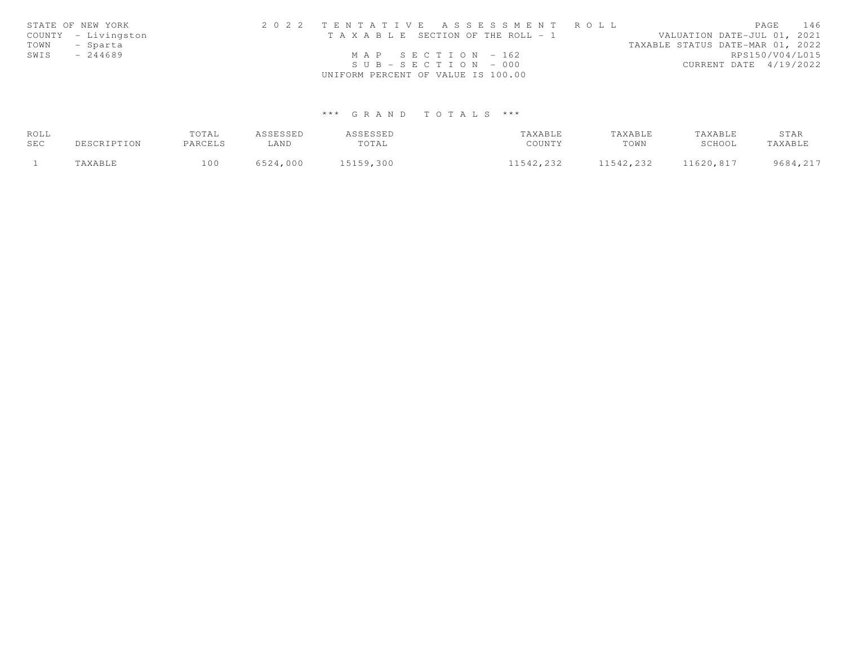|      | STATE OF NEW YORK   | 2022 TENTATIVE ASSESSMENT ROLL        |                                  | PAGE            | 146 |
|------|---------------------|---------------------------------------|----------------------------------|-----------------|-----|
|      | COUNTY - Livingston | T A X A B L E SECTION OF THE ROLL - 1 | VALUATION DATE-JUL 01, 2021      |                 |     |
| TOWN | - Sparta            |                                       | TAXABLE STATUS DATE-MAR 01, 2022 |                 |     |
| SWIS | $-244689$           | MAP SECTION $-162$                    |                                  | RPS150/V04/L015 |     |
|      |                     | $SUB - SECTION - 000$                 | CURRENT DATE 4/19/2022           |                 |     |
|      |                     | UNIFORM PERCENT OF VALUE IS 100.00    |                                  |                 |     |

# \*\*\* G R A N D T O T A L S \*\*\*

| ROLL |             | TOTAL   | ASSESSED | ASSESSED  | TAXABLE   | TAXABLE   | TAXABLE   | STAR     |
|------|-------------|---------|----------|-----------|-----------|-----------|-----------|----------|
| SEC  | DESCRIPTION | PARCELS | LAND     | TOTAL     | COUNTY    | TOWN      | SCHOOL    | TAXABLE  |
|      | TAXABLE     | 100     | 6524,000 | 15159,300 | 11542,232 | 11542,232 | 11620,817 | 9684,217 |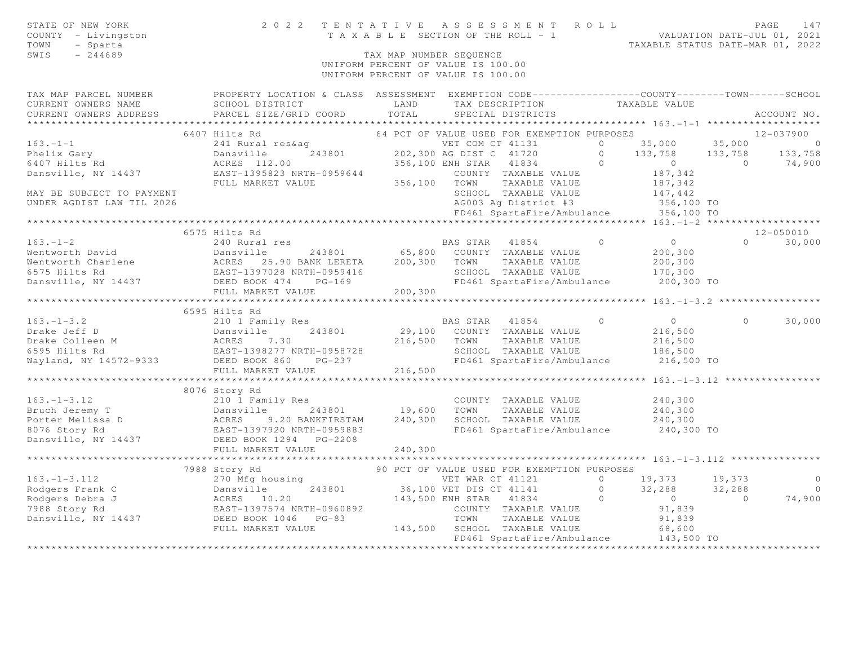| STATE OF NEW YORK<br>COUNTY - Livingston<br>- Sparta<br>TOWN<br>SWIS<br>$-244689$ |                                                                                                                                                                                                                                                                          | TAX MAP NUMBER SEQUENCE | PAGE 147<br>TAXABLE SECTION OF THE ROLL - 1 TAXABLE SECTION OF THE ROLL - 1 TAXABLE STATUS DATE-JUL 01, 2022<br>UNIFORM PERCENT OF VALUE IS 100.00<br>UNIFORM PERCENT OF VALUE IS 100.00 |                    |                |
|-----------------------------------------------------------------------------------|--------------------------------------------------------------------------------------------------------------------------------------------------------------------------------------------------------------------------------------------------------------------------|-------------------------|------------------------------------------------------------------------------------------------------------------------------------------------------------------------------------------|--------------------|----------------|
|                                                                                   | TAX MAP PARCEL NUMBER PROPERTY LOCATION & CLASS ASSESSMENT EXEMPTION CODE---------------COUNTY-------TOWN------SCHOOL<br>SCHOOL DISTRICT TAND TAX DESCRIPTION TAXABLE VALUE                                                                                              |                         |                                                                                                                                                                                          |                    |                |
|                                                                                   |                                                                                                                                                                                                                                                                          |                         |                                                                                                                                                                                          |                    | ACCOUNT NO.    |
|                                                                                   |                                                                                                                                                                                                                                                                          |                         |                                                                                                                                                                                          |                    |                |
|                                                                                   |                                                                                                                                                                                                                                                                          |                         |                                                                                                                                                                                          |                    |                |
|                                                                                   |                                                                                                                                                                                                                                                                          |                         |                                                                                                                                                                                          |                    |                |
|                                                                                   |                                                                                                                                                                                                                                                                          |                         |                                                                                                                                                                                          |                    |                |
|                                                                                   |                                                                                                                                                                                                                                                                          |                         |                                                                                                                                                                                          |                    |                |
|                                                                                   |                                                                                                                                                                                                                                                                          |                         |                                                                                                                                                                                          |                    |                |
|                                                                                   |                                                                                                                                                                                                                                                                          |                         |                                                                                                                                                                                          |                    |                |
|                                                                                   |                                                                                                                                                                                                                                                                          |                         |                                                                                                                                                                                          |                    |                |
| UNDER AGDIST LAW TIL 2026                                                         |                                                                                                                                                                                                                                                                          |                         |                                                                                                                                                                                          |                    |                |
|                                                                                   |                                                                                                                                                                                                                                                                          |                         |                                                                                                                                                                                          |                    |                |
|                                                                                   | 6575 Hilts Rd                                                                                                                                                                                                                                                            |                         |                                                                                                                                                                                          |                    | 12-050010      |
| $163. - 1 - 2$                                                                    | 240 Rural res                                                                                                                                                                                                                                                            |                         | BAS STAR 41854 0 0                                                                                                                                                                       |                    | $0 \t 30,000$  |
|                                                                                   |                                                                                                                                                                                                                                                                          |                         |                                                                                                                                                                                          | 200,300            |                |
|                                                                                   |                                                                                                                                                                                                                                                                          |                         |                                                                                                                                                                                          |                    |                |
|                                                                                   |                                                                                                                                                                                                                                                                          |                         |                                                                                                                                                                                          | 200,300<br>170,300 |                |
|                                                                                   |                                                                                                                                                                                                                                                                          |                         | FD461 SpartaFire/Ambulance 200,300 TO                                                                                                                                                    |                    |                |
|                                                                                   |                                                                                                                                                                                                                                                                          |                         |                                                                                                                                                                                          |                    |                |
|                                                                                   |                                                                                                                                                                                                                                                                          |                         |                                                                                                                                                                                          |                    |                |
|                                                                                   | 6595 Hilts Rd<br>6595 Hilts Rd BAS STAR 41854 0<br>Drake Jeff D Dansville 243801 29,100 COUNTY TAXABLE VALUE 216,500<br>Drake Colleen M ACRES 7.30 216,500 TOWN TAXABLE VALUE 216,500<br>6595 Hilts Rd EAST-1398277 NRTH-0958728 SCHOOL TAXABLE VALUE                    |                         |                                                                                                                                                                                          |                    |                |
|                                                                                   |                                                                                                                                                                                                                                                                          |                         |                                                                                                                                                                                          |                    | $0 \t 30,000$  |
|                                                                                   |                                                                                                                                                                                                                                                                          |                         |                                                                                                                                                                                          |                    |                |
|                                                                                   |                                                                                                                                                                                                                                                                          |                         |                                                                                                                                                                                          |                    |                |
|                                                                                   |                                                                                                                                                                                                                                                                          |                         |                                                                                                                                                                                          |                    |                |
|                                                                                   |                                                                                                                                                                                                                                                                          |                         |                                                                                                                                                                                          |                    |                |
|                                                                                   |                                                                                                                                                                                                                                                                          |                         |                                                                                                                                                                                          |                    |                |
|                                                                                   | 8076 Story Rd                                                                                                                                                                                                                                                            |                         |                                                                                                                                                                                          |                    |                |
|                                                                                   |                                                                                                                                                                                                                                                                          |                         |                                                                                                                                                                                          |                    |                |
|                                                                                   |                                                                                                                                                                                                                                                                          |                         |                                                                                                                                                                                          |                    |                |
|                                                                                   | 163.-1-3.12<br>Bruch Jeremy T<br>Porter Melissa D<br>Porter Melissa D<br>240,300<br>240,300<br>240,300<br>240,300<br>240,300<br>240,300<br>240,300<br>240,300<br>240,300<br>240,300<br>240,300<br>240,300<br>240,300<br>240,300<br>240,300<br>240,300<br>240,300<br>240, |                         |                                                                                                                                                                                          |                    |                |
|                                                                                   |                                                                                                                                                                                                                                                                          |                         | FD461 SpartaFire/Ambulance 240,300 TO                                                                                                                                                    |                    |                |
|                                                                                   |                                                                                                                                                                                                                                                                          |                         |                                                                                                                                                                                          |                    |                |
|                                                                                   | FULL MARKET VALUE 240,300                                                                                                                                                                                                                                                |                         |                                                                                                                                                                                          |                    |                |
|                                                                                   |                                                                                                                                                                                                                                                                          |                         |                                                                                                                                                                                          |                    |                |
|                                                                                   |                                                                                                                                                                                                                                                                          |                         |                                                                                                                                                                                          |                    |                |
|                                                                                   | 36.1-1-3.112 7988 Story Rd 90 PCT OF VALUE USED FOR EXEMPTION PURPOSES<br>36.1-1-3.112 7988 Story Rd 90 PCT OF VALUE USED FOR EXEMPTION PURPOSES<br>200 PCT OF VALUE USED FOR EXEMPTION PURPOSES<br>200 PCT OF VALUE USED FOR EXEMPT                                     |                         |                                                                                                                                                                                          |                    | $\overline{0}$ |
|                                                                                   |                                                                                                                                                                                                                                                                          |                         |                                                                                                                                                                                          |                    | $0$<br>74,900  |
|                                                                                   |                                                                                                                                                                                                                                                                          |                         |                                                                                                                                                                                          |                    |                |
|                                                                                   |                                                                                                                                                                                                                                                                          |                         |                                                                                                                                                                                          |                    |                |
|                                                                                   |                                                                                                                                                                                                                                                                          |                         |                                                                                                                                                                                          |                    |                |
|                                                                                   |                                                                                                                                                                                                                                                                          |                         | FD461 SpartaFire/Ambulance 143,500 TO                                                                                                                                                    |                    |                |
|                                                                                   |                                                                                                                                                                                                                                                                          |                         |                                                                                                                                                                                          |                    |                |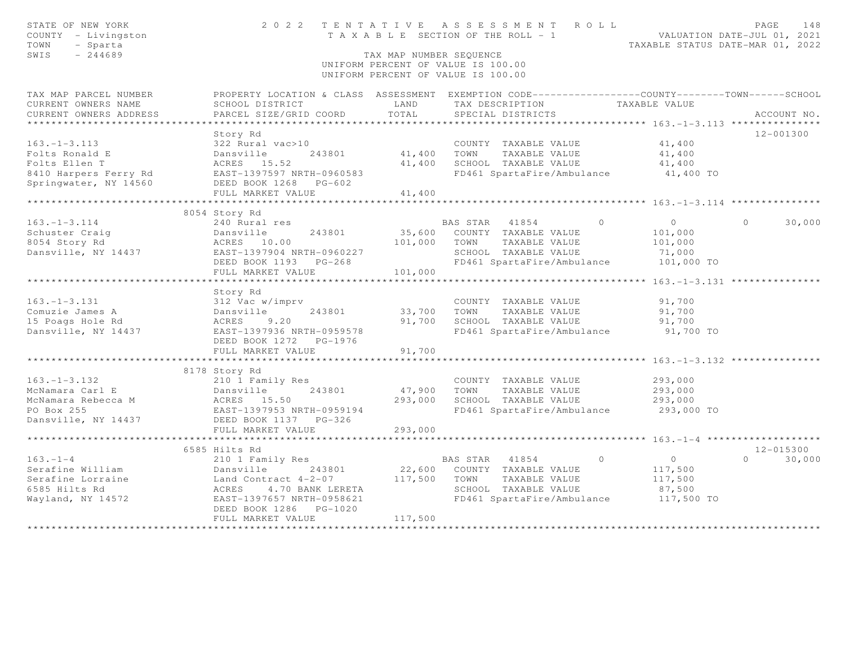| STATE OF NEW YORK<br>COUNTY - Livingston<br>- Sparta<br>TOWN<br>SWIS<br>$-244689$ | 2 0 2 2<br>TENTATIVE                                                                             | T A X A B L E SECTION OF THE ROLL - 1<br>TAX MAP NUMBER SEOUENCE<br>UNIFORM PERCENT OF VALUE IS 100.00<br>UNIFORM PERCENT OF VALUE IS 100.00 |                | A S S E S S M E N T                       | ROLL     | TAXABLE STATUS DATE-MAR 01, 2022                 | PAGE<br>VALUATION DATE-JUL 01, 2021 | 148           |
|-----------------------------------------------------------------------------------|--------------------------------------------------------------------------------------------------|----------------------------------------------------------------------------------------------------------------------------------------------|----------------|-------------------------------------------|----------|--------------------------------------------------|-------------------------------------|---------------|
| TAX MAP PARCEL NUMBER                                                             | PROPERTY LOCATION & CLASS ASSESSMENT EXEMPTION CODE----------------COUNTY-------TOWN------SCHOOL |                                                                                                                                              |                |                                           |          |                                                  |                                     |               |
| CURRENT OWNERS NAME                                                               | SCHOOL DISTRICT                                                                                  | LAND                                                                                                                                         |                | TAX DESCRIPTION                           |          | TAXABLE VALUE                                    |                                     |               |
| CURRENT OWNERS ADDRESS<br>*********************                                   | PARCEL SIZE/GRID COORD<br>******************                                                     | TOTAL<br>***************                                                                                                                     |                | SPECIAL DISTRICTS                         |          |                                                  |                                     | ACCOUNT NO.   |
|                                                                                   | Story Rd                                                                                         |                                                                                                                                              |                |                                           |          |                                                  |                                     | 12-001300     |
| $163. - 1 - 3.113$                                                                | 322 Rural vac>10                                                                                 |                                                                                                                                              |                | COUNTY TAXABLE VALUE                      |          | 41,400                                           |                                     |               |
| Folts Ronald E                                                                    | Dansville<br>243801                                                                              | 41,400                                                                                                                                       | TOWN           | TAXABLE VALUE                             |          | 41,400                                           |                                     |               |
| Folts Ellen T                                                                     | ACRES 15.52                                                                                      | 41,400                                                                                                                                       |                | SCHOOL TAXABLE VALUE                      |          | 41,400                                           |                                     |               |
| 8410 Harpers Ferry Rd                                                             | EAST-1397597 NRTH-0960583                                                                        |                                                                                                                                              |                | FD461 SpartaFire/Ambulance                |          | 41,400 TO                                        |                                     |               |
| Springwater, NY 14560                                                             | DEED BOOK 1268<br>$PG-602$                                                                       |                                                                                                                                              |                |                                           |          |                                                  |                                     |               |
|                                                                                   | FULL MARKET VALUE                                                                                | 41,400                                                                                                                                       |                |                                           |          |                                                  |                                     |               |
|                                                                                   | ***********************                                                                          |                                                                                                                                              |                |                                           |          |                                                  |                                     |               |
|                                                                                   | 8054 Story Rd                                                                                    |                                                                                                                                              |                |                                           |          |                                                  |                                     |               |
| $163. - 1 - 3.114$                                                                | 240 Rural res                                                                                    |                                                                                                                                              | BAS STAR 41854 |                                           | $\Omega$ | $\circ$                                          | $\Omega$                            | 30,000        |
| Schuster Craig                                                                    | Dansville<br>243801                                                                              | 35,600                                                                                                                                       |                | COUNTY TAXABLE VALUE                      |          | 101,000                                          |                                     |               |
| 8054 Story Rd                                                                     | ACRES 10.00                                                                                      | 101,000                                                                                                                                      | TOWN           | TAXABLE VALUE                             |          | 101,000                                          |                                     |               |
| Dansville, NY 14437                                                               | EAST-1397904 NRTH-0960227                                                                        |                                                                                                                                              |                | SCHOOL TAXABLE VALUE                      |          | 71,000                                           |                                     |               |
|                                                                                   | DEED BOOK 1193 PG-268                                                                            |                                                                                                                                              |                | FD461 SpartaFire/Ambulance                |          | 101,000 TO                                       |                                     |               |
|                                                                                   | FULL MARKET VALUE                                                                                | 101,000                                                                                                                                      |                |                                           |          |                                                  |                                     |               |
|                                                                                   |                                                                                                  |                                                                                                                                              |                |                                           |          | ****************** 163.-1-3.131 **************** |                                     |               |
| $163. - 1 - 3.131$                                                                | Story Rd                                                                                         |                                                                                                                                              |                | COUNTY TAXABLE VALUE                      |          | 91,700                                           |                                     |               |
| Comuzie James A                                                                   | 312 Vac w/imprv<br>Dansville<br>243801                                                           | 33,700                                                                                                                                       | TOWN           | TAXABLE VALUE                             |          | 91,700                                           |                                     |               |
| 15 Poags Hole Rd                                                                  | ACRES<br>9.20                                                                                    | 91,700                                                                                                                                       |                | SCHOOL TAXABLE VALUE                      |          | 91,700                                           |                                     |               |
| Dansville, NY 14437                                                               | EAST-1397936 NRTH-0959578                                                                        |                                                                                                                                              |                | FD461 SpartaFire/Ambulance                |          | 91,700 TO                                        |                                     |               |
|                                                                                   | DEED BOOK 1272 PG-1976                                                                           |                                                                                                                                              |                |                                           |          |                                                  |                                     |               |
|                                                                                   | FULL MARKET VALUE                                                                                | 91,700                                                                                                                                       |                |                                           |          |                                                  |                                     |               |
|                                                                                   |                                                                                                  |                                                                                                                                              |                | ************************ 163.-1-3.132 *** |          |                                                  |                                     |               |
|                                                                                   | 8178 Story Rd                                                                                    |                                                                                                                                              |                |                                           |          |                                                  |                                     |               |
| $163. - 1 - 3.132$                                                                | 210 1 Family Res                                                                                 |                                                                                                                                              |                | COUNTY TAXABLE VALUE                      |          | 293,000                                          |                                     |               |
| McNamara Carl E                                                                   | 243801<br>Dansville                                                                              | 47,900                                                                                                                                       | TOWN           | TAXABLE VALUE                             |          | 293,000                                          |                                     |               |
| McNamara Rebecca M                                                                | ACRES 15.50                                                                                      | 293,000                                                                                                                                      |                | SCHOOL TAXABLE VALUE                      |          | 293,000                                          |                                     |               |
| PO Box 255                                                                        | EAST-1397953 NRTH-0959194                                                                        |                                                                                                                                              |                | FD461 SpartaFire/Ambulance                |          | 293,000 TO                                       |                                     |               |
| Dansville, NY 14437                                                               | DEED BOOK 1137 PG-326                                                                            |                                                                                                                                              |                |                                           |          |                                                  |                                     |               |
|                                                                                   | FULL MARKET VALUE                                                                                | 293,000                                                                                                                                      |                |                                           |          |                                                  |                                     |               |
|                                                                                   |                                                                                                  |                                                                                                                                              |                |                                           |          | ********** 163. -1-4 ********************        |                                     |               |
|                                                                                   | 6585 Hilts Rd                                                                                    |                                                                                                                                              |                |                                           |          |                                                  |                                     | $12 - 015300$ |
| $163 - 1 - 4$<br>Serafine William                                                 | 210 1 Family Res<br>Dansville                                                                    |                                                                                                                                              | BAS STAR       | 41854                                     | $\circ$  | $\circ$                                          | $\Omega$                            | 30,000        |
| Serafine Lorraine                                                                 | 243801<br>Land Contract 4-2-07                                                                   | 22,600<br>117,500                                                                                                                            | TOWN           | COUNTY TAXABLE VALUE<br>TAXABLE VALUE     |          | 117,500<br>117,500                               |                                     |               |
| 6585 Hilts Rd                                                                     | 4.70 BANK LERETA<br>ACRES                                                                        |                                                                                                                                              |                | SCHOOL TAXABLE VALUE                      |          | 87,500                                           |                                     |               |
| Wayland, NY 14572                                                                 | EAST-1397657 NRTH-0958621                                                                        |                                                                                                                                              |                | FD461 SpartaFire/Ambulance                |          | 117,500 TO                                       |                                     |               |
|                                                                                   | DEED BOOK 1286<br>$PG-1020$                                                                      |                                                                                                                                              |                |                                           |          |                                                  |                                     |               |
|                                                                                   | FULL MARKET VALUE                                                                                | 117,500                                                                                                                                      |                |                                           |          |                                                  |                                     |               |
|                                                                                   |                                                                                                  |                                                                                                                                              |                |                                           |          |                                                  |                                     |               |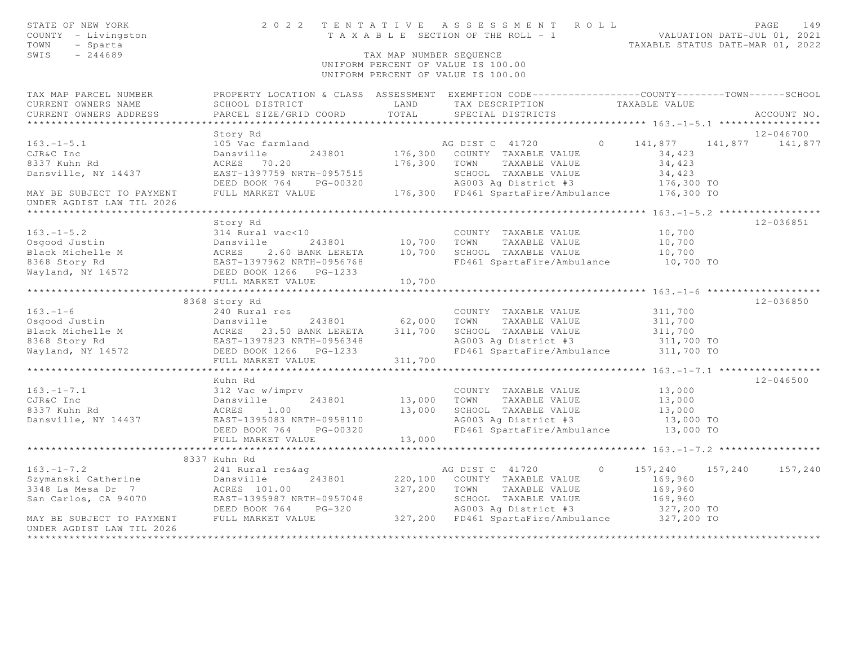| STATE OF NEW YORK<br>COUNTY - Livingston<br>TOWN<br>- Sparta<br>SWIS<br>$-244689$ | 2022 TENTATIVE                                                          | TAX MAP NUMBER SEQUENCE | ASSESSMENT ROLL<br>T A X A B L E SECTION OF THE ROLL - 1 VALUATION DATE-JUL 01, 2021<br>UNIFORM PERCENT OF VALUE IS 100.00<br>UNIFORM PERCENT OF VALUE IS 100.00 |                                          | PAGE<br>149<br>TAXABLE STATUS DATE-MAR 01, 2022 |
|-----------------------------------------------------------------------------------|-------------------------------------------------------------------------|-------------------------|------------------------------------------------------------------------------------------------------------------------------------------------------------------|------------------------------------------|-------------------------------------------------|
| TAX MAP PARCEL NUMBER                                                             |                                                                         |                         | PROPERTY LOCATION & CLASS ASSESSMENT EXEMPTION CODE---------------COUNTY-------TOWN------SCHOOL                                                                  |                                          |                                                 |
| CURRENT OWNERS NAME                                                               | SCHOOL DISTRICT                                                         | LAND                    | TAX DESCRIPTION                                                                                                                                                  | TAXABLE VALUE                            |                                                 |
| CURRENT OWNERS ADDRESS                                                            | PARCEL SIZE/GRID COORD                                                  | TOTAL                   | SPECIAL DISTRICTS                                                                                                                                                |                                          | ACCOUNT NO.                                     |
|                                                                                   |                                                                         |                         |                                                                                                                                                                  |                                          |                                                 |
|                                                                                   | Story Rd                                                                |                         |                                                                                                                                                                  |                                          | 12-046700                                       |
| $163. - 1 - 5.1$                                                                  | 105 Vac farmland                                                        |                         | AG DIST C 41720                                                                                                                                                  | $\circ$<br>141,877                       | 141,877 141,877                                 |
| CJR&C Inc                                                                         | Dansville<br>243801                                                     | 176,300                 | COUNTY TAXABLE VALUE                                                                                                                                             | 34,423                                   |                                                 |
| 8337 Kuhn Rd                                                                      | ACRES<br>70.20                                                          | 176,300                 | TOWN<br>TAXABLE VALUE                                                                                                                                            | 34,423                                   |                                                 |
| Dansville, NY 14437                                                               | EAST-1397759 NRTH-0957515                                               |                         | SCHOOL TAXABLE VALUE                                                                                                                                             | 34,423                                   |                                                 |
|                                                                                   | DEED BOOK 764<br>PG-00320                                               |                         | AG003 Ag District #3                                                                                                                                             | 176,300 TO                               |                                                 |
| MAY BE SUBJECT TO PAYMENT                                                         | FULL MARKET VALUE                                                       |                         | 176,300 FD461 SpartaFire/Ambulance                                                                                                                               | 176,300 TO                               |                                                 |
| UNDER AGDIST LAW TIL 2026                                                         |                                                                         | ***********             |                                                                                                                                                                  |                                          |                                                 |
|                                                                                   |                                                                         |                         |                                                                                                                                                                  |                                          |                                                 |
|                                                                                   | Story Rd                                                                |                         |                                                                                                                                                                  |                                          | 12-036851                                       |
| $163. - 1 - 5.2$                                                                  | 314 Rural vac<10                                                        |                         | COUNTY TAXABLE VALUE                                                                                                                                             | 10,700                                   |                                                 |
| Osgood Justin                                                                     | Dansville<br>243801                                                     | 10,700                  | TOWN<br>TAXABLE VALUE                                                                                                                                            | 10,700                                   |                                                 |
| Black Michelle M                                                                  | ACRES 2.60 BANK LERETA<br>EAST-1397962 NRTH-0956768<br>2.60 BANK LERETA | 10,700                  | SCHOOL TAXABLE VALUE                                                                                                                                             | 10,700                                   |                                                 |
| 8368 Story Rd                                                                     |                                                                         |                         | FD461 SpartaFire/Ambulance                                                                                                                                       | 10,700 TO                                |                                                 |
| Wayland, NY 14572                                                                 | DEED BOOK 1266 PG-1233<br>FULL MARKET VALUE                             |                         |                                                                                                                                                                  |                                          |                                                 |
|                                                                                   | ***********************                                                 | 10,700<br>************  |                                                                                                                                                                  |                                          |                                                 |
|                                                                                   | 8368 Story Rd                                                           |                         |                                                                                                                                                                  |                                          | 12-036850                                       |
| $163. - 1 - 6$                                                                    | 240 Rural res                                                           |                         | COUNTY TAXABLE VALUE                                                                                                                                             | 311,700                                  |                                                 |
| Osgood Justin                                                                     |                                                                         | 62,000                  | TOWN<br>TAXABLE VALUE                                                                                                                                            | 311,700                                  |                                                 |
| Black Michelle M                                                                  | Dansville 243801<br>ACRES 23.50 BANK LERETA                             | 311,700                 | SCHOOL TAXABLE VALUE                                                                                                                                             | 311,700                                  |                                                 |
| 8368 Story Rd                                                                     | EAST-1397823 NRTH-0956348                                               |                         | AG003 Ag District #3                                                                                                                                             | 311,700 TO                               |                                                 |
| Wayland, NY 14572                                                                 | DEED BOOK 1266 PG-1233                                                  |                         | FD461 SpartaFire/Ambulance                                                                                                                                       | 311,700 TO                               |                                                 |
|                                                                                   | FULL MARKET VALUE                                                       | 311,700                 |                                                                                                                                                                  |                                          |                                                 |
|                                                                                   |                                                                         |                         |                                                                                                                                                                  | **** $163. -1 - 7.1$ ***********         |                                                 |
|                                                                                   | Kuhn Rd                                                                 |                         |                                                                                                                                                                  |                                          | $12 - 046500$                                   |
| $163. - 1 - 7.1$                                                                  | 312 Vac w/imprv                                                         |                         | COUNTY TAXABLE VALUE                                                                                                                                             | 13,000                                   |                                                 |
| CJR&C Inc                                                                         | Dansville<br>243801                                                     | 13,000                  | TOWN<br>TAXABLE VALUE                                                                                                                                            | 13,000                                   |                                                 |
| 8337 Kuhn Rd                                                                      | ACRES 1.00                                                              | 13,000                  | SCHOOL TAXABLE VALUE                                                                                                                                             | 13,000                                   |                                                 |
| Dansville, NY 14437                                                               | EAST-1395083 NRTH-0958110                                               |                         | AG003 Ag District #3                                                                                                                                             | 13,000 TO                                |                                                 |
|                                                                                   | DEED BOOK 764<br>PG-00320                                               |                         | FD461 SpartaFire/Ambulance                                                                                                                                       | 13,000 TO                                |                                                 |
|                                                                                   | FULL MARKET VALUE                                                       | 13,000                  |                                                                                                                                                                  |                                          |                                                 |
|                                                                                   |                                                                         |                         |                                                                                                                                                                  | ********* 163. -1-7.2 ****************** |                                                 |
|                                                                                   | 8337 Kuhn Rd                                                            |                         |                                                                                                                                                                  |                                          |                                                 |
| $163. - 1 - 7.2$                                                                  | 241 Rural res&ag                                                        |                         | AG DIST C 41720                                                                                                                                                  | $\circ$<br>157,240 157,240               | 157,240                                         |
| Szymanski Catherine                                                               | 243801<br>Dansville                                                     | 220,100                 | COUNTY TAXABLE VALUE                                                                                                                                             | 169,960                                  |                                                 |
| 3348 La Mesa Dr 7                                                                 | ACRES 101.00                                                            | 327,200                 | TOWN<br>TAXABLE VALUE                                                                                                                                            | 169,960                                  |                                                 |
| San Carlos, CA 94070                                                              | EAST-1395987 NRTH-0957048                                               |                         | SCHOOL TAXABLE VALUE                                                                                                                                             | 169,960                                  |                                                 |
|                                                                                   | DEED BOOK 764<br>$PG-320$                                               |                         | AG003 Ag District #3                                                                                                                                             | 327,200 TO                               |                                                 |
| MAY BE SUBJECT TO PAYMENT                                                         | FULL MARKET VALUE                                                       |                         | 327,200 FD461 SpartaFire/Ambulance                                                                                                                               | 327,200 TO                               |                                                 |
| UNDER AGDIST LAW TIL 2026                                                         |                                                                         |                         |                                                                                                                                                                  |                                          |                                                 |
|                                                                                   |                                                                         |                         |                                                                                                                                                                  |                                          |                                                 |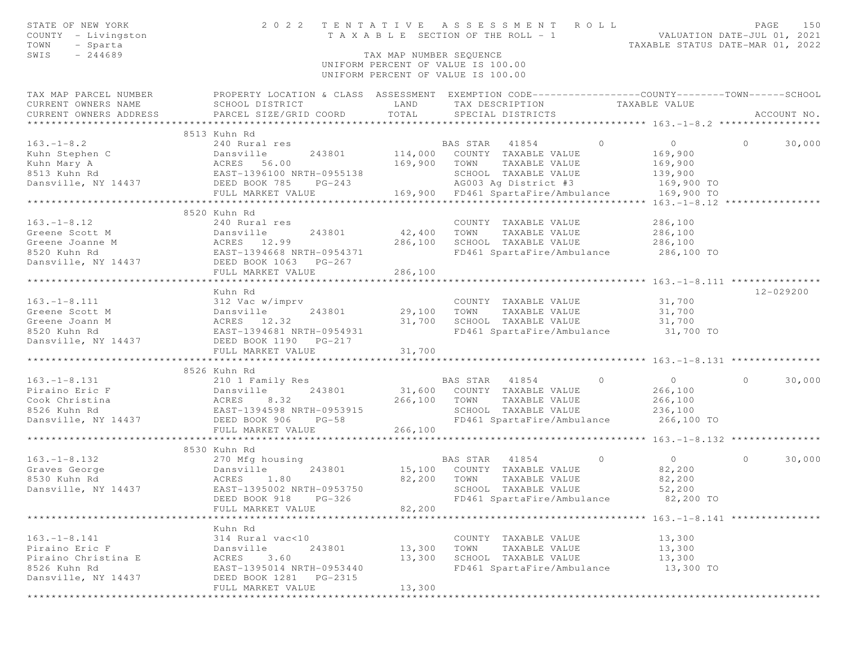| STATE OF NEW YORK<br>COUNTY - Livingston<br>TOWN<br>- Sparta |                                                                                                       | TAX MAP NUMBER SEOUENCE | 2022 TENTATIVE ASSESSMENT ROLL<br>T A X A B L E SECTION OF THE ROLL - 1                          | VALUATION DATE-JUL 01, 2021<br>TAXABLE STATUS DATE-MAR 01, 2022 | PAGE<br>150       |
|--------------------------------------------------------------|-------------------------------------------------------------------------------------------------------|-------------------------|--------------------------------------------------------------------------------------------------|-----------------------------------------------------------------|-------------------|
| SWIS<br>$-244689$                                            |                                                                                                       |                         |                                                                                                  |                                                                 |                   |
|                                                              |                                                                                                       |                         | UNIFORM PERCENT OF VALUE IS 100.00<br>UNIFORM PERCENT OF VALUE IS 100.00                         |                                                                 |                   |
| TAX MAP PARCEL NUMBER                                        |                                                                                                       |                         | PROPERTY LOCATION & CLASS ASSESSMENT EXEMPTION CODE----------------COUNTY-------TOWN------SCHOOL |                                                                 |                   |
| CURRENT OWNERS NAME                                          | SCHOOL DISTRICT                                                                                       | LAND                    | TAX DESCRIPTION TAXABLE VALUE                                                                    |                                                                 |                   |
| CURRENT OWNERS ADDRESS                                       | PARCEL SIZE/GRID COORD                                                                                | TOTAL                   | SPECIAL DISTRICTS                                                                                |                                                                 | ACCOUNT NO.       |
|                                                              | 8513 Kuhn Rd                                                                                          |                         |                                                                                                  |                                                                 |                   |
|                                                              |                                                                                                       |                         |                                                                                                  | $\overline{0}$                                                  | $\circ$<br>30,000 |
|                                                              |                                                                                                       |                         |                                                                                                  | 169,900                                                         |                   |
|                                                              |                                                                                                       |                         |                                                                                                  | 169,900                                                         |                   |
|                                                              |                                                                                                       |                         |                                                                                                  | 139,900                                                         |                   |
|                                                              |                                                                                                       |                         | AG003 Ag District #3 169,900 TO                                                                  |                                                                 |                   |
|                                                              |                                                                                                       |                         |                                                                                                  | 169,900 TO                                                      |                   |
|                                                              |                                                                                                       |                         |                                                                                                  |                                                                 |                   |
|                                                              | 8520 Kuhn Rd                                                                                          |                         |                                                                                                  |                                                                 |                   |
| $163. - 1 - 8.12$                                            | 240 Rural res                                                                                         |                         | COUNTY TAXABLE VALUE                                                                             | 286,100                                                         |                   |
| Greene Scott M                                               |                                                                                                       | 42,400                  | TOWN TAXABLE VALUE<br>SCHOOL TAXABLE VALUE                                                       | 286,100<br>286,100                                              |                   |
| Greene Joanne M                                              |                                                                                                       | 286,100                 |                                                                                                  |                                                                 |                   |
| 8520 Kuhn Rd                                                 |                                                                                                       |                         | FD461 SpartaFire/Ambulance 286,100 TO                                                            |                                                                 |                   |
| Dansville, NY 14437                                          |                                                                                                       | 286,100                 |                                                                                                  |                                                                 |                   |
|                                                              | Dansville<br>ACRES 12.99<br>EAST-1394668 NRTH-0954371<br>DEED BOOK 1063 PG-267<br>FIILI, MARKET VALUE |                         |                                                                                                  |                                                                 |                   |
|                                                              | Kuhn Rd                                                                                               |                         |                                                                                                  |                                                                 | 12-029200         |
| $163. - 1 - 8.111$                                           |                                                                                                       |                         | COUNTY TAXABLE VALUE                                                                             | 31,700                                                          |                   |
| Greene Scott M                                               |                                                                                                       | 243801 29,100           | TAXABLE VALUE 31,700<br>TOWN                                                                     |                                                                 |                   |
| Greene Joann M                                               |                                                                                                       | 31,700                  | SCHOOL TAXABLE VALUE                                                                             | 31,700                                                          |                   |
| 8520 Kuhn Rd                                                 | 312 Vac w/imprv<br>Dansville 243801<br>ACRES 12.32<br>EAST-1394681 NRTH-0954931                       |                         | FD461 SpartaFire/Ambulance 31,700 TO                                                             |                                                                 |                   |
| Dansville, NY 14437 DEED BOOK 1190 PG-217                    |                                                                                                       |                         |                                                                                                  |                                                                 |                   |
|                                                              | FULL MARKET VALUE                                                                                     | 31,700                  |                                                                                                  |                                                                 |                   |
|                                                              |                                                                                                       |                         |                                                                                                  |                                                                 |                   |
| $163. - 1 - 8.131$                                           | 8526 Kuhn Rd                                                                                          |                         | BAS STAR 41854 0                                                                                 | $\overline{0}$                                                  | 30,000<br>$\circ$ |
| Piraino Eric F                                               |                                                                                                       |                         | BAS STAR 41854 (31,600 COUNTY TAXABLE VALUE                                                      | 266,100                                                         |                   |
| Cook Christina                                               |                                                                                                       | 266,100 TOWN            | TAXABLE VALUE                                                                                    | 266,100                                                         |                   |
| 8526 Kuhn Rd                                                 |                                                                                                       |                         | SCHOOL TAXABLE VALUE                                                                             | 236,100                                                         |                   |
| Dansville, NY 14437 DEED BOOK 906                            | 210 1 Family Res<br>Dansville 243801<br>ACRES 8.32<br>EAST-1394598 NRTH-0953915<br>$PG-58$            |                         | FD461 SpartaFire/Ambulance 266,100 TO                                                            |                                                                 |                   |
|                                                              | FULL MARKET VALUE                                                                                     | 266,100                 |                                                                                                  |                                                                 |                   |
|                                                              |                                                                                                       |                         |                                                                                                  |                                                                 |                   |
|                                                              | 8530 Kuhn Rd                                                                                          |                         |                                                                                                  |                                                                 |                   |
| $163. - 1 - 8.132$                                           | 270 Mfg housing                                                                                       |                         | BAS STAR 41854<br>$\sim$ 0                                                                       | $\overline{0}$                                                  | 30,000<br>$\circ$ |
| Dansville<br>ACRES 1.80<br>Graves George                     | 243801                                                                                                |                         | 15,100 COUNTY TAXABLE VALUE                                                                      | 82,200                                                          |                   |
| 8530 Kuhn Rd                                                 |                                                                                                       | 82,200 TOWN             | TAXABLE VALUE                                                                                    | 82,200                                                          |                   |
| Dansville, NY 14437                                          | EAST-1395002 NRTH-0953750                                                                             |                         | SCHOOL TAXABLE VALUE                                                                             | 52,200                                                          |                   |
|                                                              | DEED BOOK 918 PG-326                                                                                  |                         | FD461 SpartaFire/Ambulance                                                                       | 82,200 TO                                                       |                   |
|                                                              | FULL MARKET VALUE                                                                                     | 82,200                  |                                                                                                  |                                                                 |                   |
|                                                              | Kuhn Rd                                                                                               |                         |                                                                                                  |                                                                 |                   |
| $163. - 1 - 8.141$                                           | 314 Rural vac<10                                                                                      |                         | COUNTY TAXABLE VALUE                                                                             | 13,300                                                          |                   |
| Piraino Eric F                                               | Dansville<br>243801                                                                                   | 13,300                  | TOWN<br>TAXABLE VALUE                                                                            | 13,300                                                          |                   |
| Piraino Christina E                                          | ACRES<br>3.60                                                                                         | 13,300                  | SCHOOL TAXABLE VALUE                                                                             | 13,300                                                          |                   |
| 8526 Kuhn Rd                                                 | EAST-1395014 NRTH-0953440                                                                             |                         | FD461 SpartaFire/Ambulance                                                                       | 13,300 TO                                                       |                   |
| Dansville, NY 14437                                          | DEED BOOK 1281<br>PG-2315                                                                             |                         |                                                                                                  |                                                                 |                   |
|                                                              | FULL MARKET VALUE                                                                                     | 13,300                  |                                                                                                  |                                                                 |                   |
|                                                              |                                                                                                       |                         |                                                                                                  |                                                                 |                   |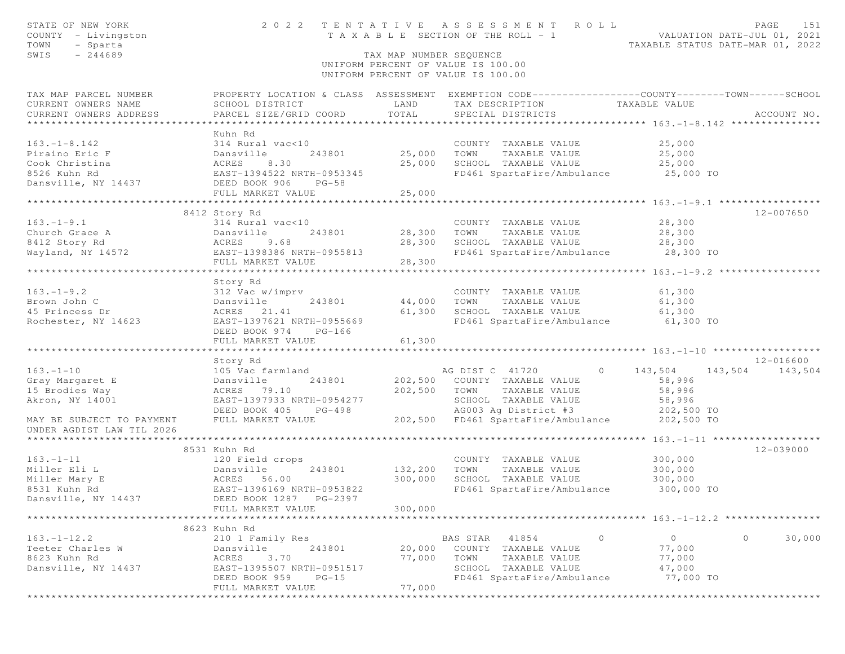| STATE OF NEW YORK<br>COUNTY - Livingston<br>TOWN<br>- Sparta | 2 0 2 2                                                                                                | TENTATIVE               | A S S E S S M E N T<br>ROLL<br>T A X A B L E SECTION OF THE ROLL - 1                           | VALUATION DATE-JUL 01, 2021<br>TAXABLE STATUS DATE-MAR 01, 2022 | PAGE<br>151     |
|--------------------------------------------------------------|--------------------------------------------------------------------------------------------------------|-------------------------|------------------------------------------------------------------------------------------------|-----------------------------------------------------------------|-----------------|
| SWIS<br>$-244689$                                            |                                                                                                        | TAX MAP NUMBER SEQUENCE |                                                                                                |                                                                 |                 |
|                                                              |                                                                                                        |                         | UNIFORM PERCENT OF VALUE IS 100.00<br>UNIFORM PERCENT OF VALUE IS 100.00                       |                                                                 |                 |
| TAX MAP PARCEL NUMBER                                        |                                                                                                        |                         | PROPERTY LOCATION & CLASS ASSESSMENT EXEMPTION CODE---------------COUNTY-------TOWN-----SCHOOL |                                                                 |                 |
| CURRENT OWNERS NAME                                          | SCHOOL DISTRICT                                                                                        | LAND                    | TAX DESCRIPTION                                                                                | TAXABLE VALUE                                                   |                 |
| CURRENT OWNERS ADDRESS                                       | PARCEL SIZE/GRID COORD                                                                                 | TOTAL                   | SPECIAL DISTRICTS                                                                              |                                                                 | ACCOUNT NO.     |
|                                                              |                                                                                                        |                         |                                                                                                |                                                                 |                 |
|                                                              | Kuhn Rd                                                                                                |                         |                                                                                                |                                                                 |                 |
| $163. - 1 - 8.142$                                           | 314 Rural vac<10                                                                                       |                         | COUNTY TAXABLE VALUE                                                                           | 25,000                                                          |                 |
| Piraino Eric F                                               | Dansville<br>243801                                                                                    | 25,000                  | TOWN<br>TAXABLE VALUE                                                                          | 25,000                                                          |                 |
| Cook Christina                                               | ACRES<br>8.30                                                                                          | 25,000                  | SCHOOL TAXABLE VALUE                                                                           | 25,000                                                          |                 |
| 8526 Kuhn Rd                                                 | EAST-1394522 NRTH-0953345                                                                              |                         | FD461 SpartaFire/Ambulance                                                                     | 25,000 TO                                                       |                 |
| Dansville, NY 14437                                          | DEED BOOK 906<br>$PG-58$                                                                               |                         |                                                                                                |                                                                 |                 |
|                                                              | FULL MARKET VALUE                                                                                      | 25,000                  |                                                                                                |                                                                 |                 |
|                                                              |                                                                                                        |                         |                                                                                                |                                                                 |                 |
|                                                              | 8412 Story Rd                                                                                          |                         |                                                                                                |                                                                 | 12-007650       |
| $163. - 1 - 9.1$                                             | 314 Rural vac<10                                                                                       |                         | COUNTY TAXABLE VALUE                                                                           | 28,300                                                          |                 |
| Church Grace A                                               | Dansville<br>243801<br>9.68                                                                            | 28,300<br>28,300        | TAXABLE VALUE<br>TOWN<br>SCHOOL TAXABLE VALUE                                                  | 28,300<br>28,300                                                |                 |
| 8412 Story Rd<br>Wayland, NY 14572                           | $\begin{array}{c}\n\texttt{Da.} \\ \texttt{ACRES} \\ \hline\n\end{array}$<br>EAST-1398386 NRTH-0955813 |                         | FD461 SpartaFire/Ambulance 28,300 TO                                                           |                                                                 |                 |
|                                                              | FULL MARKET VALUE                                                                                      | 28,300                  |                                                                                                |                                                                 |                 |
|                                                              |                                                                                                        |                         |                                                                                                |                                                                 |                 |
|                                                              | Story Rd                                                                                               |                         |                                                                                                |                                                                 |                 |
| $163. - 1 - 9.2$                                             | 312 Vac w/imprv                                                                                        |                         | COUNTY TAXABLE VALUE                                                                           | 61,300                                                          |                 |
| Brown John C                                                 | Dansville<br>243801                                                                                    | 44,000                  | TOWN<br>TAXABLE VALUE                                                                          | 61,300                                                          |                 |
| 45 Princess Dr                                               | ACRES 21.41                                                                                            | 61,300                  | SCHOOL TAXABLE VALUE                                                                           | 61,300                                                          |                 |
| Rochester, NY 14623                                          | EAST-1397621 NRTH-0955669                                                                              |                         | FD461 SpartaFire/Ambulance                                                                     | 61,300 TO                                                       |                 |
|                                                              | DEED BOOK 974<br>$PG-166$                                                                              |                         |                                                                                                |                                                                 |                 |
|                                                              | FULL MARKET VALUE                                                                                      | 61,300                  |                                                                                                |                                                                 |                 |
|                                                              |                                                                                                        |                         |                                                                                                |                                                                 |                 |
|                                                              | Story Rd                                                                                               |                         |                                                                                                |                                                                 | 12-016600       |
| $163. - 1 - 10$                                              | 105 Vac farmland                                                                                       |                         | AG DIST C 41720<br>$\overline{0}$                                                              | 143,504                                                         | 143,504 143,504 |
| Gray Margaret E                                              | 243801<br>Dansville                                                                                    | 202,500                 | COUNTY TAXABLE VALUE                                                                           | 58,996                                                          |                 |
| 15 Brodies Way                                               | ACRES 79.10                                                                                            | 202,500                 | TOWN<br>TAXABLE VALUE                                                                          | 58,996                                                          |                 |
| Akron, NY 14001                                              | EAST-1397933 NRTH-0954277                                                                              |                         | SCHOOL TAXABLE VALUE                                                                           | 58,996                                                          |                 |
|                                                              | DEED BOOK 405<br>$PG-498$                                                                              |                         | AG003 Ag District #3                                                                           | 202,500 TO                                                      |                 |
| MAY BE SUBJECT TO PAYMENT                                    | FULL MARKET VALUE                                                                                      | 202,500                 | FD461 SpartaFire/Ambulance                                                                     | 202,500 TO                                                      |                 |
| UNDER AGDIST LAW TIL 2026                                    |                                                                                                        |                         |                                                                                                |                                                                 |                 |
|                                                              |                                                                                                        |                         |                                                                                                | ****************** 163.-1-11 *******************                |                 |
|                                                              | 8531 Kuhn Rd                                                                                           |                         |                                                                                                |                                                                 | 12-039000       |
| $163. - 1 - 11$                                              | 120 Field crops                                                                                        |                         | COUNTY TAXABLE VALUE                                                                           | 300,000                                                         |                 |
| Miller Eli L                                                 | 243801<br>Dansville                                                                                    | 132,200                 | TOWN<br>TAXABLE VALUE                                                                          | 300,000                                                         |                 |
| Miller Mary E                                                | ACRES 56.00                                                                                            | 300,000                 | SCHOOL TAXABLE VALUE                                                                           | 300,000                                                         |                 |
| 8531 Kuhn Rd                                                 | EAST-1396169 NRTH-0953822                                                                              |                         | FD461 SpartaFire/Ambulance                                                                     | 300,000 TO                                                      |                 |
| Dansville, NY 14437                                          | DEED BOOK 1287    PG-2397                                                                              |                         |                                                                                                |                                                                 |                 |
|                                                              | FULL MARKET VALUE                                                                                      | 300,000                 |                                                                                                |                                                                 |                 |
|                                                              | ********************                                                                                   |                         |                                                                                                |                                                                 |                 |
|                                                              | 8623 Kuhn Rd                                                                                           |                         |                                                                                                |                                                                 |                 |
| $163. - 1 - 12.2$                                            | 210 1 Family Res                                                                                       |                         | $\circ$<br>BAS STAR<br>41854                                                                   | 0                                                               | 0<br>30,000     |
| Teeter Charles W                                             | Dansville<br>243801                                                                                    | 20,000                  | COUNTY<br>TAXABLE VALUE                                                                        | 77,000                                                          |                 |
| 8623 Kuhn Rd                                                 | 3.70<br>ACRES                                                                                          | 77,000                  | TOWN<br>TAXABLE VALUE                                                                          | 77,000                                                          |                 |
| Dansville, NY 14437                                          | EAST-1395507 NRTH-0951517                                                                              |                         | SCHOOL<br>TAXABLE VALUE                                                                        | 47,000                                                          |                 |
|                                                              | DEED BOOK 959<br>$PG-15$                                                                               | 77,000                  | FD461 SpartaFire/Ambulance                                                                     | 77,000 TO                                                       |                 |
|                                                              | FULL MARKET VALUE<br>* * * * * * * * * * * * * * * * * *                                               |                         | *******************                                                                            |                                                                 |                 |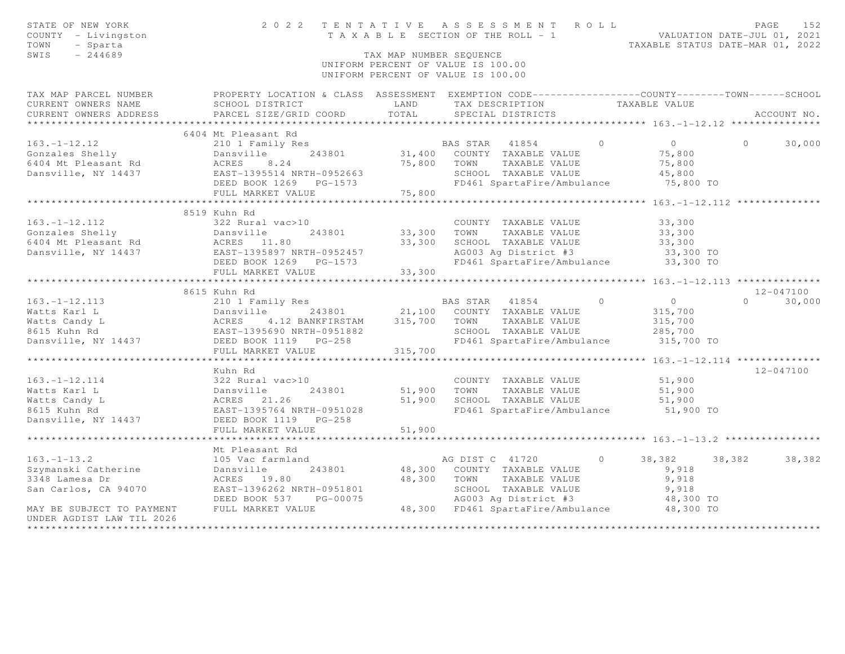| PROPERTY LOCATION & CLASS ASSESSMENT EXEMPTION CODE---------------COUNTY-------TOWN------SCHOOL<br>TAX MAP PARCEL NUMBER<br>LAND<br>CURRENT OWNERS NAME<br>SCHOOL DISTRICT<br>TAX DESCRIPTION<br>TAXABLE VALUE<br>CURRENT OWNERS ADDRESS<br>PARCEL SIZE/GRID COORD<br>TOTAL<br>SPECIAL DISTRICTS<br>ACCOUNT NO.<br>*********************<br>6404 Mt Pleasant Rd<br>$163. - 1 - 12.12$<br>210 1 Family Res<br>BAS STAR<br>$\circ$<br>$\overline{O}$<br>$\circ$<br>30,000<br>41854<br>Gonzales Shelly<br>31,400<br>COUNTY TAXABLE VALUE<br>75,800<br>Dansville<br>243801<br>6404 Mt Pleasant Rd<br>ACRES<br>75,800<br>TOWN<br>TAXABLE VALUE<br>75,800<br>8.24<br>Dansville, NY 14437<br>EAST-1395514 NRTH-0952663<br>SCHOOL TAXABLE VALUE<br>45,800<br>FD461 SpartaFire/Ambulance<br>75,800 TO<br>DEED BOOK 1269 PG-1573<br>FULL MARKET VALUE<br>75,800<br>***********************<br>*********************<br>*************** 163.-1-12.112 ***************<br>8519 Kuhn Rd<br>$163. - 1 - 12.112$<br>322 Rural vac>10<br>33,300<br>COUNTY TAXABLE VALUE<br>Gonzales Shelly<br>Dansville<br>33,300<br>TAXABLE VALUE<br>33,300<br>243801<br>TOWN<br>6404 Mt Pleasant Rd<br>33,300<br>SCHOOL TAXABLE VALUE<br>33,300<br>ACRES 11.80<br>Dansville, NY 14437<br>EAST-1395897 NRTH-0952457<br>AG003 Ag District #3<br>33,300 TO<br>DEED BOOK 1269<br>FD461 SpartaFire/Ambulance<br>33,300 TO<br>PG-1573<br>FULL MARKET VALUE<br>33,300<br>8615 Kuhn Rd<br>12-047100<br>$\circ$<br>$163. - 1 - 12.113$<br>210 1 Family Res<br>BAS STAR<br>41854<br>$\circ$<br>$\Omega$<br>30,000<br>Watts Karl L<br>Dansville<br>243801<br>21,100<br>COUNTY TAXABLE VALUE<br>315,700<br>4.12 BANKFIRSTAM<br>315,700<br>Watts Candy L<br>ACRES<br>TOWN<br>TAXABLE VALUE<br>315,700<br>EAST-1395690 NRTH-0951882<br>SCHOOL TAXABLE VALUE<br>8615 Kuhn Rd<br>285,700<br>DEED BOOK 1119 PG-258<br>FD461 SpartaFire/Ambulance<br>315,700 TO<br>Dansville, NY 14437<br>FULL MARKET VALUE<br>315,700<br>********** 163. -1-12. 114 ***************<br>Kuhn Rd<br>$12 - 047100$<br>$163. - 1 - 12.114$<br>322 Rural vac>10<br>COUNTY TAXABLE VALUE<br>51,900<br>Watts Karl L<br>243801<br>51,900<br>TAXABLE VALUE<br>Dansville<br>TOWN<br>51,900<br>Watts Candy L<br>ACRES<br>21.26<br>51,900<br>SCHOOL TAXABLE VALUE<br>51,900<br>FD461 SpartaFire/Ambulance<br>8615 Kuhn Rd<br>EAST-1395764 NRTH-0951028<br>51,900 TO<br>Dansville, NY 14437<br>DEED BOOK 1119<br>$PG-258$<br>51,900<br>FULL MARKET VALUE<br>*******************<br>********************* 163.-1-13.2 *****************<br>Mt Pleasant Rd<br>$163. - 1 - 13.2$<br>38,382<br>105 Vac farmland<br>AG DIST C 41720<br>$\circ$<br>38,382<br>38,382<br>Szymanski Catherine<br>48,300<br>9,918<br>Dansville<br>243801<br>COUNTY TAXABLE VALUE<br>3348 Lamesa Dr<br>48,300<br>ACRES 19.80<br>TOWN<br>TAXABLE VALUE<br>9,918<br>EAST-1396262 NRTH-0951801<br>SCHOOL TAXABLE VALUE<br>San Carlos, CA 94070<br>9,918<br>PG-00075<br>AG003 Ag District #3<br>DEED BOOK 537<br>48,300 TO<br>MAY BE SUBJECT TO PAYMENT<br>FULL MARKET VALUE<br>48,300 FD461 SpartaFire/Ambulance<br>48,300 TO<br>UNDER AGDIST LAW TIL 2026 | STATE OF NEW YORK<br>COUNTY - Livingston<br>TOWN<br>- Sparta<br>SWIS<br>$-244689$ | 2 0 2 2 | T A X A B L E SECTION OF THE ROLL - 1<br>TAX MAP NUMBER SEQUENCE<br>UNIFORM PERCENT OF VALUE IS 100.00<br>UNIFORM PERCENT OF VALUE IS 100.00 | TENTATIVE ASSESSMENT ROLL | TAXABLE STATUS DATE-MAR 01, 2022 | PAGE<br>152<br>VALUATION DATE-JUL 01, 2021 |
|--------------------------------------------------------------------------------------------------------------------------------------------------------------------------------------------------------------------------------------------------------------------------------------------------------------------------------------------------------------------------------------------------------------------------------------------------------------------------------------------------------------------------------------------------------------------------------------------------------------------------------------------------------------------------------------------------------------------------------------------------------------------------------------------------------------------------------------------------------------------------------------------------------------------------------------------------------------------------------------------------------------------------------------------------------------------------------------------------------------------------------------------------------------------------------------------------------------------------------------------------------------------------------------------------------------------------------------------------------------------------------------------------------------------------------------------------------------------------------------------------------------------------------------------------------------------------------------------------------------------------------------------------------------------------------------------------------------------------------------------------------------------------------------------------------------------------------------------------------------------------------------------------------------------------------------------------------------------------------------------------------------------------------------------------------------------------------------------------------------------------------------------------------------------------------------------------------------------------------------------------------------------------------------------------------------------------------------------------------------------------------------------------------------------------------------------------------------------------------------------------------------------------------------------------------------------------------------------------------------------------------------------------------------------------------------------------------------------------------------------------------------------------------------------------------------------------------------------------------------------------------------------------------------------------------------------------------------------------------------------------------------------------------------------------------------------------------------------------------------------------------------------------|-----------------------------------------------------------------------------------|---------|----------------------------------------------------------------------------------------------------------------------------------------------|---------------------------|----------------------------------|--------------------------------------------|
|                                                                                                                                                                                                                                                                                                                                                                                                                                                                                                                                                                                                                                                                                                                                                                                                                                                                                                                                                                                                                                                                                                                                                                                                                                                                                                                                                                                                                                                                                                                                                                                                                                                                                                                                                                                                                                                                                                                                                                                                                                                                                                                                                                                                                                                                                                                                                                                                                                                                                                                                                                                                                                                                                                                                                                                                                                                                                                                                                                                                                                                                                                                                                  |                                                                                   |         |                                                                                                                                              |                           |                                  |                                            |
|                                                                                                                                                                                                                                                                                                                                                                                                                                                                                                                                                                                                                                                                                                                                                                                                                                                                                                                                                                                                                                                                                                                                                                                                                                                                                                                                                                                                                                                                                                                                                                                                                                                                                                                                                                                                                                                                                                                                                                                                                                                                                                                                                                                                                                                                                                                                                                                                                                                                                                                                                                                                                                                                                                                                                                                                                                                                                                                                                                                                                                                                                                                                                  |                                                                                   |         |                                                                                                                                              |                           |                                  |                                            |
|                                                                                                                                                                                                                                                                                                                                                                                                                                                                                                                                                                                                                                                                                                                                                                                                                                                                                                                                                                                                                                                                                                                                                                                                                                                                                                                                                                                                                                                                                                                                                                                                                                                                                                                                                                                                                                                                                                                                                                                                                                                                                                                                                                                                                                                                                                                                                                                                                                                                                                                                                                                                                                                                                                                                                                                                                                                                                                                                                                                                                                                                                                                                                  |                                                                                   |         |                                                                                                                                              |                           |                                  |                                            |
|                                                                                                                                                                                                                                                                                                                                                                                                                                                                                                                                                                                                                                                                                                                                                                                                                                                                                                                                                                                                                                                                                                                                                                                                                                                                                                                                                                                                                                                                                                                                                                                                                                                                                                                                                                                                                                                                                                                                                                                                                                                                                                                                                                                                                                                                                                                                                                                                                                                                                                                                                                                                                                                                                                                                                                                                                                                                                                                                                                                                                                                                                                                                                  |                                                                                   |         |                                                                                                                                              |                           |                                  |                                            |
|                                                                                                                                                                                                                                                                                                                                                                                                                                                                                                                                                                                                                                                                                                                                                                                                                                                                                                                                                                                                                                                                                                                                                                                                                                                                                                                                                                                                                                                                                                                                                                                                                                                                                                                                                                                                                                                                                                                                                                                                                                                                                                                                                                                                                                                                                                                                                                                                                                                                                                                                                                                                                                                                                                                                                                                                                                                                                                                                                                                                                                                                                                                                                  |                                                                                   |         |                                                                                                                                              |                           |                                  |                                            |
|                                                                                                                                                                                                                                                                                                                                                                                                                                                                                                                                                                                                                                                                                                                                                                                                                                                                                                                                                                                                                                                                                                                                                                                                                                                                                                                                                                                                                                                                                                                                                                                                                                                                                                                                                                                                                                                                                                                                                                                                                                                                                                                                                                                                                                                                                                                                                                                                                                                                                                                                                                                                                                                                                                                                                                                                                                                                                                                                                                                                                                                                                                                                                  |                                                                                   |         |                                                                                                                                              |                           |                                  |                                            |
|                                                                                                                                                                                                                                                                                                                                                                                                                                                                                                                                                                                                                                                                                                                                                                                                                                                                                                                                                                                                                                                                                                                                                                                                                                                                                                                                                                                                                                                                                                                                                                                                                                                                                                                                                                                                                                                                                                                                                                                                                                                                                                                                                                                                                                                                                                                                                                                                                                                                                                                                                                                                                                                                                                                                                                                                                                                                                                                                                                                                                                                                                                                                                  |                                                                                   |         |                                                                                                                                              |                           |                                  |                                            |
|                                                                                                                                                                                                                                                                                                                                                                                                                                                                                                                                                                                                                                                                                                                                                                                                                                                                                                                                                                                                                                                                                                                                                                                                                                                                                                                                                                                                                                                                                                                                                                                                                                                                                                                                                                                                                                                                                                                                                                                                                                                                                                                                                                                                                                                                                                                                                                                                                                                                                                                                                                                                                                                                                                                                                                                                                                                                                                                                                                                                                                                                                                                                                  |                                                                                   |         |                                                                                                                                              |                           |                                  |                                            |
|                                                                                                                                                                                                                                                                                                                                                                                                                                                                                                                                                                                                                                                                                                                                                                                                                                                                                                                                                                                                                                                                                                                                                                                                                                                                                                                                                                                                                                                                                                                                                                                                                                                                                                                                                                                                                                                                                                                                                                                                                                                                                                                                                                                                                                                                                                                                                                                                                                                                                                                                                                                                                                                                                                                                                                                                                                                                                                                                                                                                                                                                                                                                                  |                                                                                   |         |                                                                                                                                              |                           |                                  |                                            |
|                                                                                                                                                                                                                                                                                                                                                                                                                                                                                                                                                                                                                                                                                                                                                                                                                                                                                                                                                                                                                                                                                                                                                                                                                                                                                                                                                                                                                                                                                                                                                                                                                                                                                                                                                                                                                                                                                                                                                                                                                                                                                                                                                                                                                                                                                                                                                                                                                                                                                                                                                                                                                                                                                                                                                                                                                                                                                                                                                                                                                                                                                                                                                  |                                                                                   |         |                                                                                                                                              |                           |                                  |                                            |
|                                                                                                                                                                                                                                                                                                                                                                                                                                                                                                                                                                                                                                                                                                                                                                                                                                                                                                                                                                                                                                                                                                                                                                                                                                                                                                                                                                                                                                                                                                                                                                                                                                                                                                                                                                                                                                                                                                                                                                                                                                                                                                                                                                                                                                                                                                                                                                                                                                                                                                                                                                                                                                                                                                                                                                                                                                                                                                                                                                                                                                                                                                                                                  |                                                                                   |         |                                                                                                                                              |                           |                                  |                                            |
|                                                                                                                                                                                                                                                                                                                                                                                                                                                                                                                                                                                                                                                                                                                                                                                                                                                                                                                                                                                                                                                                                                                                                                                                                                                                                                                                                                                                                                                                                                                                                                                                                                                                                                                                                                                                                                                                                                                                                                                                                                                                                                                                                                                                                                                                                                                                                                                                                                                                                                                                                                                                                                                                                                                                                                                                                                                                                                                                                                                                                                                                                                                                                  |                                                                                   |         |                                                                                                                                              |                           |                                  |                                            |
|                                                                                                                                                                                                                                                                                                                                                                                                                                                                                                                                                                                                                                                                                                                                                                                                                                                                                                                                                                                                                                                                                                                                                                                                                                                                                                                                                                                                                                                                                                                                                                                                                                                                                                                                                                                                                                                                                                                                                                                                                                                                                                                                                                                                                                                                                                                                                                                                                                                                                                                                                                                                                                                                                                                                                                                                                                                                                                                                                                                                                                                                                                                                                  |                                                                                   |         |                                                                                                                                              |                           |                                  |                                            |
|                                                                                                                                                                                                                                                                                                                                                                                                                                                                                                                                                                                                                                                                                                                                                                                                                                                                                                                                                                                                                                                                                                                                                                                                                                                                                                                                                                                                                                                                                                                                                                                                                                                                                                                                                                                                                                                                                                                                                                                                                                                                                                                                                                                                                                                                                                                                                                                                                                                                                                                                                                                                                                                                                                                                                                                                                                                                                                                                                                                                                                                                                                                                                  |                                                                                   |         |                                                                                                                                              |                           |                                  |                                            |
|                                                                                                                                                                                                                                                                                                                                                                                                                                                                                                                                                                                                                                                                                                                                                                                                                                                                                                                                                                                                                                                                                                                                                                                                                                                                                                                                                                                                                                                                                                                                                                                                                                                                                                                                                                                                                                                                                                                                                                                                                                                                                                                                                                                                                                                                                                                                                                                                                                                                                                                                                                                                                                                                                                                                                                                                                                                                                                                                                                                                                                                                                                                                                  |                                                                                   |         |                                                                                                                                              |                           |                                  |                                            |
|                                                                                                                                                                                                                                                                                                                                                                                                                                                                                                                                                                                                                                                                                                                                                                                                                                                                                                                                                                                                                                                                                                                                                                                                                                                                                                                                                                                                                                                                                                                                                                                                                                                                                                                                                                                                                                                                                                                                                                                                                                                                                                                                                                                                                                                                                                                                                                                                                                                                                                                                                                                                                                                                                                                                                                                                                                                                                                                                                                                                                                                                                                                                                  |                                                                                   |         |                                                                                                                                              |                           |                                  |                                            |
|                                                                                                                                                                                                                                                                                                                                                                                                                                                                                                                                                                                                                                                                                                                                                                                                                                                                                                                                                                                                                                                                                                                                                                                                                                                                                                                                                                                                                                                                                                                                                                                                                                                                                                                                                                                                                                                                                                                                                                                                                                                                                                                                                                                                                                                                                                                                                                                                                                                                                                                                                                                                                                                                                                                                                                                                                                                                                                                                                                                                                                                                                                                                                  |                                                                                   |         |                                                                                                                                              |                           |                                  |                                            |
|                                                                                                                                                                                                                                                                                                                                                                                                                                                                                                                                                                                                                                                                                                                                                                                                                                                                                                                                                                                                                                                                                                                                                                                                                                                                                                                                                                                                                                                                                                                                                                                                                                                                                                                                                                                                                                                                                                                                                                                                                                                                                                                                                                                                                                                                                                                                                                                                                                                                                                                                                                                                                                                                                                                                                                                                                                                                                                                                                                                                                                                                                                                                                  |                                                                                   |         |                                                                                                                                              |                           |                                  |                                            |
|                                                                                                                                                                                                                                                                                                                                                                                                                                                                                                                                                                                                                                                                                                                                                                                                                                                                                                                                                                                                                                                                                                                                                                                                                                                                                                                                                                                                                                                                                                                                                                                                                                                                                                                                                                                                                                                                                                                                                                                                                                                                                                                                                                                                                                                                                                                                                                                                                                                                                                                                                                                                                                                                                                                                                                                                                                                                                                                                                                                                                                                                                                                                                  |                                                                                   |         |                                                                                                                                              |                           |                                  |                                            |
|                                                                                                                                                                                                                                                                                                                                                                                                                                                                                                                                                                                                                                                                                                                                                                                                                                                                                                                                                                                                                                                                                                                                                                                                                                                                                                                                                                                                                                                                                                                                                                                                                                                                                                                                                                                                                                                                                                                                                                                                                                                                                                                                                                                                                                                                                                                                                                                                                                                                                                                                                                                                                                                                                                                                                                                                                                                                                                                                                                                                                                                                                                                                                  |                                                                                   |         |                                                                                                                                              |                           |                                  |                                            |
|                                                                                                                                                                                                                                                                                                                                                                                                                                                                                                                                                                                                                                                                                                                                                                                                                                                                                                                                                                                                                                                                                                                                                                                                                                                                                                                                                                                                                                                                                                                                                                                                                                                                                                                                                                                                                                                                                                                                                                                                                                                                                                                                                                                                                                                                                                                                                                                                                                                                                                                                                                                                                                                                                                                                                                                                                                                                                                                                                                                                                                                                                                                                                  |                                                                                   |         |                                                                                                                                              |                           |                                  |                                            |
|                                                                                                                                                                                                                                                                                                                                                                                                                                                                                                                                                                                                                                                                                                                                                                                                                                                                                                                                                                                                                                                                                                                                                                                                                                                                                                                                                                                                                                                                                                                                                                                                                                                                                                                                                                                                                                                                                                                                                                                                                                                                                                                                                                                                                                                                                                                                                                                                                                                                                                                                                                                                                                                                                                                                                                                                                                                                                                                                                                                                                                                                                                                                                  |                                                                                   |         |                                                                                                                                              |                           |                                  |                                            |
|                                                                                                                                                                                                                                                                                                                                                                                                                                                                                                                                                                                                                                                                                                                                                                                                                                                                                                                                                                                                                                                                                                                                                                                                                                                                                                                                                                                                                                                                                                                                                                                                                                                                                                                                                                                                                                                                                                                                                                                                                                                                                                                                                                                                                                                                                                                                                                                                                                                                                                                                                                                                                                                                                                                                                                                                                                                                                                                                                                                                                                                                                                                                                  |                                                                                   |         |                                                                                                                                              |                           |                                  |                                            |
|                                                                                                                                                                                                                                                                                                                                                                                                                                                                                                                                                                                                                                                                                                                                                                                                                                                                                                                                                                                                                                                                                                                                                                                                                                                                                                                                                                                                                                                                                                                                                                                                                                                                                                                                                                                                                                                                                                                                                                                                                                                                                                                                                                                                                                                                                                                                                                                                                                                                                                                                                                                                                                                                                                                                                                                                                                                                                                                                                                                                                                                                                                                                                  |                                                                                   |         |                                                                                                                                              |                           |                                  |                                            |
|                                                                                                                                                                                                                                                                                                                                                                                                                                                                                                                                                                                                                                                                                                                                                                                                                                                                                                                                                                                                                                                                                                                                                                                                                                                                                                                                                                                                                                                                                                                                                                                                                                                                                                                                                                                                                                                                                                                                                                                                                                                                                                                                                                                                                                                                                                                                                                                                                                                                                                                                                                                                                                                                                                                                                                                                                                                                                                                                                                                                                                                                                                                                                  |                                                                                   |         |                                                                                                                                              |                           |                                  |                                            |
|                                                                                                                                                                                                                                                                                                                                                                                                                                                                                                                                                                                                                                                                                                                                                                                                                                                                                                                                                                                                                                                                                                                                                                                                                                                                                                                                                                                                                                                                                                                                                                                                                                                                                                                                                                                                                                                                                                                                                                                                                                                                                                                                                                                                                                                                                                                                                                                                                                                                                                                                                                                                                                                                                                                                                                                                                                                                                                                                                                                                                                                                                                                                                  |                                                                                   |         |                                                                                                                                              |                           |                                  |                                            |
|                                                                                                                                                                                                                                                                                                                                                                                                                                                                                                                                                                                                                                                                                                                                                                                                                                                                                                                                                                                                                                                                                                                                                                                                                                                                                                                                                                                                                                                                                                                                                                                                                                                                                                                                                                                                                                                                                                                                                                                                                                                                                                                                                                                                                                                                                                                                                                                                                                                                                                                                                                                                                                                                                                                                                                                                                                                                                                                                                                                                                                                                                                                                                  |                                                                                   |         |                                                                                                                                              |                           |                                  |                                            |
|                                                                                                                                                                                                                                                                                                                                                                                                                                                                                                                                                                                                                                                                                                                                                                                                                                                                                                                                                                                                                                                                                                                                                                                                                                                                                                                                                                                                                                                                                                                                                                                                                                                                                                                                                                                                                                                                                                                                                                                                                                                                                                                                                                                                                                                                                                                                                                                                                                                                                                                                                                                                                                                                                                                                                                                                                                                                                                                                                                                                                                                                                                                                                  |                                                                                   |         |                                                                                                                                              |                           |                                  |                                            |
|                                                                                                                                                                                                                                                                                                                                                                                                                                                                                                                                                                                                                                                                                                                                                                                                                                                                                                                                                                                                                                                                                                                                                                                                                                                                                                                                                                                                                                                                                                                                                                                                                                                                                                                                                                                                                                                                                                                                                                                                                                                                                                                                                                                                                                                                                                                                                                                                                                                                                                                                                                                                                                                                                                                                                                                                                                                                                                                                                                                                                                                                                                                                                  |                                                                                   |         |                                                                                                                                              |                           |                                  |                                            |
|                                                                                                                                                                                                                                                                                                                                                                                                                                                                                                                                                                                                                                                                                                                                                                                                                                                                                                                                                                                                                                                                                                                                                                                                                                                                                                                                                                                                                                                                                                                                                                                                                                                                                                                                                                                                                                                                                                                                                                                                                                                                                                                                                                                                                                                                                                                                                                                                                                                                                                                                                                                                                                                                                                                                                                                                                                                                                                                                                                                                                                                                                                                                                  |                                                                                   |         |                                                                                                                                              |                           |                                  |                                            |
|                                                                                                                                                                                                                                                                                                                                                                                                                                                                                                                                                                                                                                                                                                                                                                                                                                                                                                                                                                                                                                                                                                                                                                                                                                                                                                                                                                                                                                                                                                                                                                                                                                                                                                                                                                                                                                                                                                                                                                                                                                                                                                                                                                                                                                                                                                                                                                                                                                                                                                                                                                                                                                                                                                                                                                                                                                                                                                                                                                                                                                                                                                                                                  |                                                                                   |         |                                                                                                                                              |                           |                                  |                                            |
|                                                                                                                                                                                                                                                                                                                                                                                                                                                                                                                                                                                                                                                                                                                                                                                                                                                                                                                                                                                                                                                                                                                                                                                                                                                                                                                                                                                                                                                                                                                                                                                                                                                                                                                                                                                                                                                                                                                                                                                                                                                                                                                                                                                                                                                                                                                                                                                                                                                                                                                                                                                                                                                                                                                                                                                                                                                                                                                                                                                                                                                                                                                                                  |                                                                                   |         |                                                                                                                                              |                           |                                  |                                            |
|                                                                                                                                                                                                                                                                                                                                                                                                                                                                                                                                                                                                                                                                                                                                                                                                                                                                                                                                                                                                                                                                                                                                                                                                                                                                                                                                                                                                                                                                                                                                                                                                                                                                                                                                                                                                                                                                                                                                                                                                                                                                                                                                                                                                                                                                                                                                                                                                                                                                                                                                                                                                                                                                                                                                                                                                                                                                                                                                                                                                                                                                                                                                                  |                                                                                   |         |                                                                                                                                              |                           |                                  |                                            |
|                                                                                                                                                                                                                                                                                                                                                                                                                                                                                                                                                                                                                                                                                                                                                                                                                                                                                                                                                                                                                                                                                                                                                                                                                                                                                                                                                                                                                                                                                                                                                                                                                                                                                                                                                                                                                                                                                                                                                                                                                                                                                                                                                                                                                                                                                                                                                                                                                                                                                                                                                                                                                                                                                                                                                                                                                                                                                                                                                                                                                                                                                                                                                  |                                                                                   |         |                                                                                                                                              |                           |                                  |                                            |
|                                                                                                                                                                                                                                                                                                                                                                                                                                                                                                                                                                                                                                                                                                                                                                                                                                                                                                                                                                                                                                                                                                                                                                                                                                                                                                                                                                                                                                                                                                                                                                                                                                                                                                                                                                                                                                                                                                                                                                                                                                                                                                                                                                                                                                                                                                                                                                                                                                                                                                                                                                                                                                                                                                                                                                                                                                                                                                                                                                                                                                                                                                                                                  |                                                                                   |         |                                                                                                                                              |                           |                                  |                                            |
|                                                                                                                                                                                                                                                                                                                                                                                                                                                                                                                                                                                                                                                                                                                                                                                                                                                                                                                                                                                                                                                                                                                                                                                                                                                                                                                                                                                                                                                                                                                                                                                                                                                                                                                                                                                                                                                                                                                                                                                                                                                                                                                                                                                                                                                                                                                                                                                                                                                                                                                                                                                                                                                                                                                                                                                                                                                                                                                                                                                                                                                                                                                                                  |                                                                                   |         |                                                                                                                                              |                           |                                  |                                            |
|                                                                                                                                                                                                                                                                                                                                                                                                                                                                                                                                                                                                                                                                                                                                                                                                                                                                                                                                                                                                                                                                                                                                                                                                                                                                                                                                                                                                                                                                                                                                                                                                                                                                                                                                                                                                                                                                                                                                                                                                                                                                                                                                                                                                                                                                                                                                                                                                                                                                                                                                                                                                                                                                                                                                                                                                                                                                                                                                                                                                                                                                                                                                                  |                                                                                   |         |                                                                                                                                              |                           |                                  |                                            |
|                                                                                                                                                                                                                                                                                                                                                                                                                                                                                                                                                                                                                                                                                                                                                                                                                                                                                                                                                                                                                                                                                                                                                                                                                                                                                                                                                                                                                                                                                                                                                                                                                                                                                                                                                                                                                                                                                                                                                                                                                                                                                                                                                                                                                                                                                                                                                                                                                                                                                                                                                                                                                                                                                                                                                                                                                                                                                                                                                                                                                                                                                                                                                  |                                                                                   |         |                                                                                                                                              |                           |                                  |                                            |
|                                                                                                                                                                                                                                                                                                                                                                                                                                                                                                                                                                                                                                                                                                                                                                                                                                                                                                                                                                                                                                                                                                                                                                                                                                                                                                                                                                                                                                                                                                                                                                                                                                                                                                                                                                                                                                                                                                                                                                                                                                                                                                                                                                                                                                                                                                                                                                                                                                                                                                                                                                                                                                                                                                                                                                                                                                                                                                                                                                                                                                                                                                                                                  |                                                                                   |         |                                                                                                                                              |                           |                                  |                                            |
|                                                                                                                                                                                                                                                                                                                                                                                                                                                                                                                                                                                                                                                                                                                                                                                                                                                                                                                                                                                                                                                                                                                                                                                                                                                                                                                                                                                                                                                                                                                                                                                                                                                                                                                                                                                                                                                                                                                                                                                                                                                                                                                                                                                                                                                                                                                                                                                                                                                                                                                                                                                                                                                                                                                                                                                                                                                                                                                                                                                                                                                                                                                                                  |                                                                                   |         |                                                                                                                                              |                           |                                  |                                            |
|                                                                                                                                                                                                                                                                                                                                                                                                                                                                                                                                                                                                                                                                                                                                                                                                                                                                                                                                                                                                                                                                                                                                                                                                                                                                                                                                                                                                                                                                                                                                                                                                                                                                                                                                                                                                                                                                                                                                                                                                                                                                                                                                                                                                                                                                                                                                                                                                                                                                                                                                                                                                                                                                                                                                                                                                                                                                                                                                                                                                                                                                                                                                                  |                                                                                   |         |                                                                                                                                              |                           |                                  |                                            |
|                                                                                                                                                                                                                                                                                                                                                                                                                                                                                                                                                                                                                                                                                                                                                                                                                                                                                                                                                                                                                                                                                                                                                                                                                                                                                                                                                                                                                                                                                                                                                                                                                                                                                                                                                                                                                                                                                                                                                                                                                                                                                                                                                                                                                                                                                                                                                                                                                                                                                                                                                                                                                                                                                                                                                                                                                                                                                                                                                                                                                                                                                                                                                  |                                                                                   |         |                                                                                                                                              |                           |                                  |                                            |
|                                                                                                                                                                                                                                                                                                                                                                                                                                                                                                                                                                                                                                                                                                                                                                                                                                                                                                                                                                                                                                                                                                                                                                                                                                                                                                                                                                                                                                                                                                                                                                                                                                                                                                                                                                                                                                                                                                                                                                                                                                                                                                                                                                                                                                                                                                                                                                                                                                                                                                                                                                                                                                                                                                                                                                                                                                                                                                                                                                                                                                                                                                                                                  |                                                                                   |         |                                                                                                                                              |                           |                                  |                                            |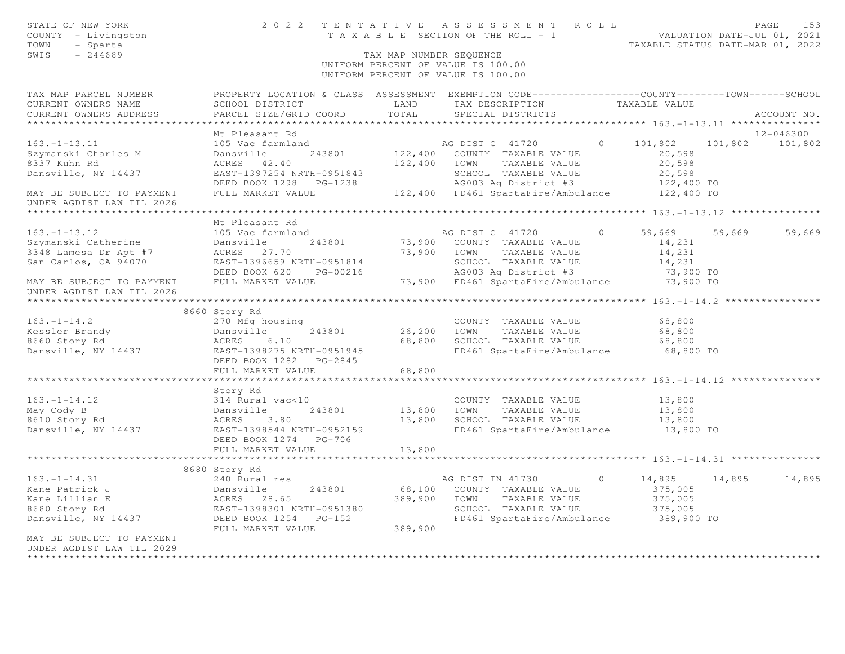| STATE OF NEW YORK<br>COUNTY - Livingston<br>TOWN<br>- Sparta<br>SWIS<br>$-244689$                                           |                                                                                                                                               | TAX MAP NUMBER SEQUENCE | 2022 TENTATIVE ASSESSMENT ROLL<br>TENIAIIVE ASSESSMENT NULLE NALUATION DATE-JUL 01, 2021<br>TAXABLE SECTION OF THE ROLL - 1<br>TAXABLE STATUS DATE-MAR 01, 2022<br>UNIFORM PERCENT OF VALUE IS 100.00<br>UNIFORM PERCENT OF VALUE IS 100.00 |         |                                                       |        | PAGE<br>153     |
|-----------------------------------------------------------------------------------------------------------------------------|-----------------------------------------------------------------------------------------------------------------------------------------------|-------------------------|---------------------------------------------------------------------------------------------------------------------------------------------------------------------------------------------------------------------------------------------|---------|-------------------------------------------------------|--------|-----------------|
| TAX MAP PARCEL NUMBER<br>CURRENT OWNERS NAME<br>CURRENT OWNERS ADDRESS                                                      | PROPERTY LOCATION & CLASS ASSESSMENT EXEMPTION CODE----------------COUNTY-------TOWN------SCHOOL<br>SCHOOL DISTRICT<br>PARCEL SIZE/GRID COORD | LAND<br>TOTAL           | TAX DESCRIPTION<br>SPECIAL DISTRICTS                                                                                                                                                                                                        |         | TAXABLE VALUE                                         |        | ACCOUNT NO.     |
|                                                                                                                             | Mt Pleasant Rd                                                                                                                                |                         |                                                                                                                                                                                                                                             |         |                                                       |        | 12-046300       |
| $163. - 1 - 13.11$                                                                                                          | 105 Vac farmland                                                                                                                              |                         | AG DIST C 41720 0 101,802                                                                                                                                                                                                                   |         |                                                       |        | 101,802 101,802 |
| Szymanski Charles M<br>8337 Kuhn Rd<br>Dansville, NY 14437                                                                  | 243801<br>Dansville<br>ACRES 42.40<br>EAST-1397254 NRTH-0951843                                                                               | 122,400 TOWN            | 122,400 COUNTY TAXABLE VALUE<br>TAXABLE VALUE<br>SCHOOL TAXABLE VALUE<br>AG003 Ag District #3                                                                                                                                               |         | 20,598<br>20,598<br>20,598                            |        |                 |
| MAY BE SUBJECT TO PAYMENT<br>UNDER AGDIST LAW TIL 2026                                                                      | DEED BOOK 1298 PG-1238<br>FULL MARKET VALUE                                                                                                   |                         | 122,400 FD461 SpartaFire/Ambulance 122,400 TO                                                                                                                                                                                               |         | 122,400 TO                                            |        |                 |
|                                                                                                                             |                                                                                                                                               |                         |                                                                                                                                                                                                                                             |         |                                                       |        |                 |
| $163. - 1 - 13.12$                                                                                                          | Mt Pleasant Rd<br>105 Vac farmland                                                                                                            |                         | AG DIST C 41720                                                                                                                                                                                                                             | $\circ$ | 59,669                                                | 59,669 | 59,669          |
| Szymanski Catherine                                                                                                         | Dansville 243801                                                                                                                              |                         | 73,900 COUNTY TAXABLE VALUE                                                                                                                                                                                                                 |         | 14,231                                                |        |                 |
| 3348 Lamesa Dr Apt #7                                                                                                       | ACRES 27.70                                                                                                                                   |                         | 73,900 TOWN TAXABLE VALUE                                                                                                                                                                                                                   |         | 14,231                                                |        |                 |
| San Carlos, CA 94070                                                                                                        | EAST-1396659 NRTH-0951814                                                                                                                     |                         | SCHOOL TAXABLE VALUE                                                                                                                                                                                                                        |         | 14,231                                                |        |                 |
|                                                                                                                             | DEED BOOK 620 PG-00216                                                                                                                        |                         | AG003 Ag District #3                                                                                                                                                                                                                        |         | 73,900 TO                                             |        |                 |
| MAY BE SUBJECT TO PAYMENT<br>UNDER AGDIST LAW TIL 2026                                                                      | FULL MARKET VALUE                                                                                                                             |                         | 73,900 FD461 SpartaFire/Ambulance 73,900 TO                                                                                                                                                                                                 |         |                                                       |        |                 |
|                                                                                                                             | ********************                                                                                                                          |                         |                                                                                                                                                                                                                                             |         |                                                       |        |                 |
| $163. - 1 - 14.2$                                                                                                           | 8660 Story Rd                                                                                                                                 |                         |                                                                                                                                                                                                                                             |         |                                                       |        |                 |
| Kessler Brandy                                                                                                              | 270 Mfg housing<br>243801<br>Dansville                                                                                                        | 26,200 TOWN             | COUNTY TAXABLE VALUE<br>TAXABLE VALUE                                                                                                                                                                                                       |         | 68,800<br>68,800                                      |        |                 |
| 8660 Story Rd                                                                                                               | ACRES<br>6.10                                                                                                                                 |                         | 68,800 SCHOOL TAXABLE VALUE                                                                                                                                                                                                                 |         | 68,800                                                |        |                 |
| Dansville, NY 14437                                                                                                         | EAST-1398275 NRTH-0951945<br>DEED BOOK 1282 PG-2845                                                                                           |                         | FD461 SpartaFire/Ambulance                                                                                                                                                                                                                  |         | 68,800 TO                                             |        |                 |
|                                                                                                                             | FULL MARKET VALUE                                                                                                                             | 68,800                  |                                                                                                                                                                                                                                             |         |                                                       |        |                 |
|                                                                                                                             |                                                                                                                                               |                         | ************************* 163.-1-14.12                                                                                                                                                                                                      |         |                                                       |        |                 |
| $163. - 1 - 14.12$<br>May Cody B                                                                                            | Story Rd<br>314 Rural vac<10<br>Dansville 243801<br>ACRES 3.80<br>243801                                                                      |                         | COUNTY TAXABLE VALUE<br>13,800 TOWN TAXABLE VALUE                                                                                                                                                                                           |         | 13,800<br>13,800                                      |        |                 |
| 8610 Story Rd                                                                                                               |                                                                                                                                               |                         | 13,800 SCHOOL TAXABLE VALUE                                                                                                                                                                                                                 |         | 13,800                                                |        |                 |
| Dansville, NY 14437                                                                                                         | EAST-1398544 NRTH-0952159<br>DEED BOOK 1274    PG-706                                                                                         |                         | FD461 SpartaFire/Ambulance 13,800 TO                                                                                                                                                                                                        |         |                                                       |        |                 |
|                                                                                                                             | FULL MARKET VALUE                                                                                                                             | 13,800                  |                                                                                                                                                                                                                                             |         |                                                       |        |                 |
|                                                                                                                             | 8680 Story Rd                                                                                                                                 |                         |                                                                                                                                                                                                                                             |         |                                                       |        |                 |
| $163. - 1 - 14.31$<br>Kane Patrick J<br>Kane Lillian E<br>8680 Story Rd<br>Dansville, NY 14437<br>MAY BE SUBJECT TO PAYMENT | 240 Rural res<br>Dansville 243801<br>ACRES 28.65<br>EAST-1398301 NRTH-0951380<br>DEED BOOK 1254 PG-152<br>FULL MARKET VALUE                   | 389,900                 | AG DIST IN 41730<br>68,100 COUNTY TAXABLE VALUE<br>389,900 TOWN<br>TAXABLE VALUE<br>SCHOOL TAXABLE VALUE<br>FD461 SpartaFire/Ambulance                                                                                                      | $\circ$ | 14,895<br>375,005<br>375,005<br>375,005<br>389,900 TO | 14,895 | 14,895          |
| UNDER AGDIST LAW TIL 2029                                                                                                   |                                                                                                                                               |                         |                                                                                                                                                                                                                                             |         |                                                       |        |                 |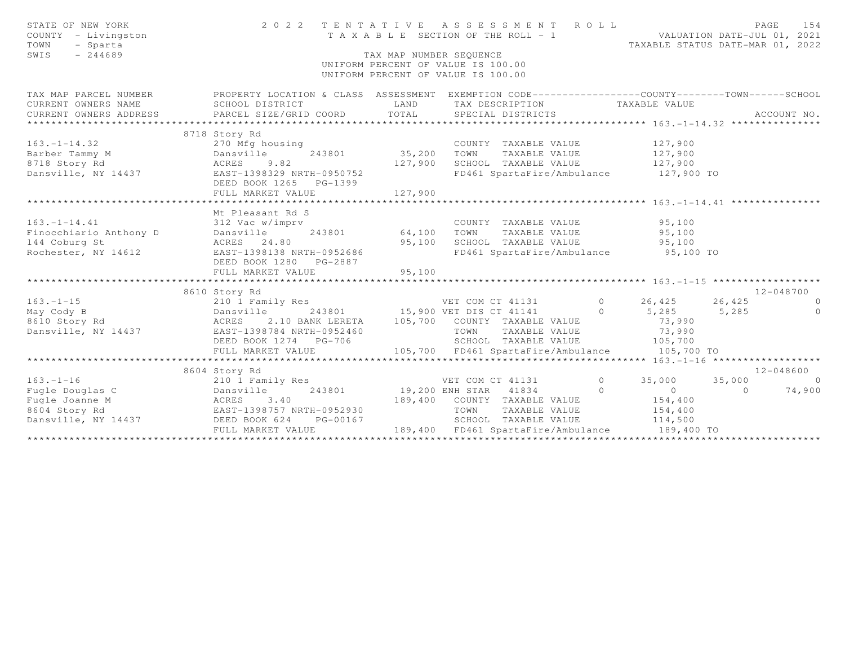| STATE OF NEW YORK<br>COUNTY - Livingston<br>TOWN<br>- Sparta<br>$-244689$<br>SWIS                                                                                                                                                    |                                                                                                                                    | TAX MAP NUMBER SEQUENCE | 2022 TENTATIVE ASSESSMENT ROLL<br>UNIFORM PERCENT OF VALUE IS 100.00<br>UNIFORM PERCENT OF VALUE IS 100.00 |                                       | PAGE<br>154                                                                                                                                                                                                                                                                                                                                  |
|--------------------------------------------------------------------------------------------------------------------------------------------------------------------------------------------------------------------------------------|------------------------------------------------------------------------------------------------------------------------------------|-------------------------|------------------------------------------------------------------------------------------------------------|---------------------------------------|----------------------------------------------------------------------------------------------------------------------------------------------------------------------------------------------------------------------------------------------------------------------------------------------------------------------------------------------|
| TAX MAP PARCEL NUMBER                                                                                                                                                                                                                | PROPERTY LOCATION & CLASS ASSESSMENT EXEMPTION CODE-----------------COUNTY-------TOWN------SCHOOL                                  |                         |                                                                                                            |                                       |                                                                                                                                                                                                                                                                                                                                              |
| CURRENT OWNERS NAME                                                                                                                                                                                                                  | SCHOOL DISTRICT                                                                                                                    | LAND                    | TAX DESCRIPTION TAXABLE VALUE                                                                              |                                       |                                                                                                                                                                                                                                                                                                                                              |
|                                                                                                                                                                                                                                      |                                                                                                                                    |                         |                                                                                                            |                                       | ACCOUNT NO.                                                                                                                                                                                                                                                                                                                                  |
|                                                                                                                                                                                                                                      | 8718 Story Rd                                                                                                                      |                         |                                                                                                            |                                       |                                                                                                                                                                                                                                                                                                                                              |
| $163, -1-14, 32$                                                                                                                                                                                                                     | 270 Mfg housing                                                                                                                    |                         |                                                                                                            |                                       |                                                                                                                                                                                                                                                                                                                                              |
| 163.-1-14.32 270 Mfg housin<br>Barber Tammy M Dansville<br>8718 Story Rd ACRES 9.82                                                                                                                                                  |                                                                                                                                    |                         |                                                                                                            |                                       |                                                                                                                                                                                                                                                                                                                                              |
|                                                                                                                                                                                                                                      |                                                                                                                                    |                         |                                                                                                            |                                       |                                                                                                                                                                                                                                                                                                                                              |
| Dansville, NY 14437 EAST-1398329 NRTH-0950752                                                                                                                                                                                        | DEED BOOK 1265 PG-1399                                                                                                             |                         | FD461 SpartaFire/Ambulance 127,900 TO                                                                      |                                       |                                                                                                                                                                                                                                                                                                                                              |
|                                                                                                                                                                                                                                      |                                                                                                                                    |                         |                                                                                                            |                                       |                                                                                                                                                                                                                                                                                                                                              |
|                                                                                                                                                                                                                                      | Mt Pleasant Rd S                                                                                                                   |                         |                                                                                                            |                                       |                                                                                                                                                                                                                                                                                                                                              |
|                                                                                                                                                                                                                                      |                                                                                                                                    |                         |                                                                                                            |                                       |                                                                                                                                                                                                                                                                                                                                              |
|                                                                                                                                                                                                                                      |                                                                                                                                    |                         |                                                                                                            |                                       |                                                                                                                                                                                                                                                                                                                                              |
|                                                                                                                                                                                                                                      |                                                                                                                                    |                         |                                                                                                            |                                       |                                                                                                                                                                                                                                                                                                                                              |
|                                                                                                                                                                                                                                      | DEED BOOK 1280 PG-2887                                                                                                             |                         | FD461 SpartaFire/Ambulance 95,100 TO                                                                       |                                       |                                                                                                                                                                                                                                                                                                                                              |
|                                                                                                                                                                                                                                      |                                                                                                                                    |                         |                                                                                                            |                                       |                                                                                                                                                                                                                                                                                                                                              |
|                                                                                                                                                                                                                                      |                                                                                                                                    |                         |                                                                                                            |                                       |                                                                                                                                                                                                                                                                                                                                              |
|                                                                                                                                                                                                                                      | 8610 Story Rd                                                                                                                      |                         |                                                                                                            |                                       | 12-048700                                                                                                                                                                                                                                                                                                                                    |
| $163. -1-15$<br>May Cody B                                                                                                                                                                                                           | 210 1 Family Res<br>243801 15,900 VET COM CT 41131 0 26,425 26,425 0<br>ACRES 2.10 BANK LERETA 105,700 COUNTY TAXABLE VALUE 73,990 |                         |                                                                                                            |                                       | $\overline{0}$                                                                                                                                                                                                                                                                                                                               |
| 8610 Story Rd                                                                                                                                                                                                                        |                                                                                                                                    |                         |                                                                                                            |                                       |                                                                                                                                                                                                                                                                                                                                              |
| Dansville, NY 14437 EAST-1398784 NRTH-0952460                                                                                                                                                                                        |                                                                                                                                    |                         | TOWN                                                                                                       | TAXABLE VALUE 73,990                  |                                                                                                                                                                                                                                                                                                                                              |
|                                                                                                                                                                                                                                      |                                                                                                                                    |                         |                                                                                                            |                                       |                                                                                                                                                                                                                                                                                                                                              |
|                                                                                                                                                                                                                                      |                                                                                                                                    |                         |                                                                                                            |                                       |                                                                                                                                                                                                                                                                                                                                              |
|                                                                                                                                                                                                                                      |                                                                                                                                    |                         |                                                                                                            |                                       |                                                                                                                                                                                                                                                                                                                                              |
|                                                                                                                                                                                                                                      | 8604 Story Rd                                                                                                                      |                         |                                                                                                            |                                       | 12-048600                                                                                                                                                                                                                                                                                                                                    |
| $163. - 1 - 16$                                                                                                                                                                                                                      | 210 1 Family Res<br>210 1 Family Res<br>243801 29,200 ENH STAR 41834 20 0                                                          |                         |                                                                                                            | $\begin{bmatrix} 0 & 0 \end{bmatrix}$ | $\overline{a}$ and $\overline{a}$ and $\overline{a}$ and $\overline{a}$ and $\overline{a}$ and $\overline{a}$ and $\overline{a}$ and $\overline{a}$ and $\overline{a}$ and $\overline{a}$ and $\overline{a}$ and $\overline{a}$ and $\overline{a}$ and $\overline{a}$ and $\overline{a}$ and $\overline{a}$ and $\overline{a}$ and<br>74,900 |
|                                                                                                                                                                                                                                      |                                                                                                                                    |                         | 189,400 COUNTY TAXABLE VALUE                                                                               | 154,400                               |                                                                                                                                                                                                                                                                                                                                              |
|                                                                                                                                                                                                                                      |                                                                                                                                    |                         | TOWN                                                                                                       | TAXABLE VALUE 154,400                 |                                                                                                                                                                                                                                                                                                                                              |
| 163.-1-16 210 I Family Res<br>Fugle Douglas C Dansville 243801 19,200 I<br>Fugle Joanne M ACRES 3.40 189,400<br>8604 Story Rd EAST-1398757 NRTH-0952930<br>Dansville, NY 14437 DEED BOOK 624 PG-00167<br>FULL MADYET WALKER PG-00167 |                                                                                                                                    |                         |                                                                                                            |                                       |                                                                                                                                                                                                                                                                                                                                              |
|                                                                                                                                                                                                                                      | FULL MARKET VALUE                                                                                                                  |                         |                                                                                                            |                                       |                                                                                                                                                                                                                                                                                                                                              |
|                                                                                                                                                                                                                                      |                                                                                                                                    |                         |                                                                                                            |                                       |                                                                                                                                                                                                                                                                                                                                              |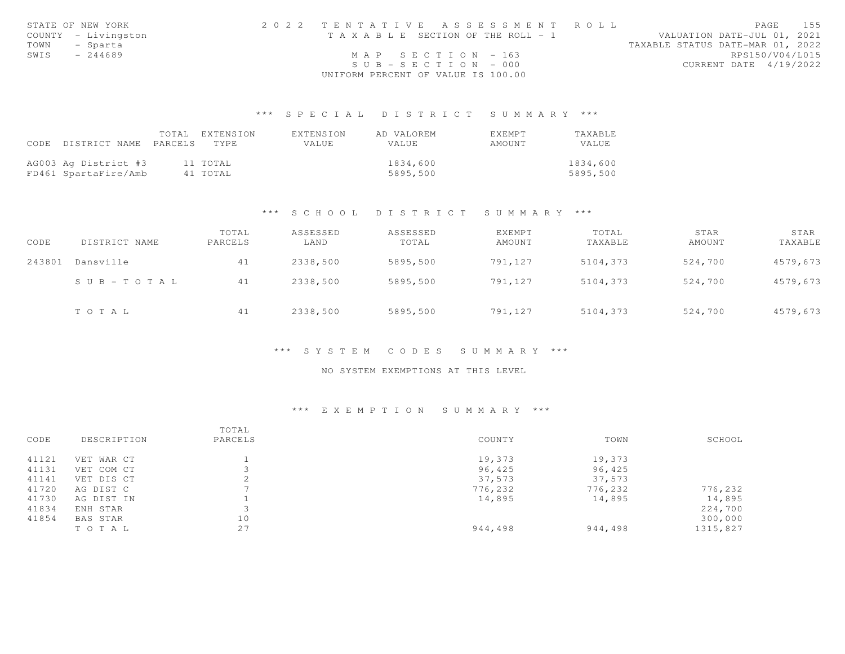|      | STATE OF NEW YORK   | 2022 TENTATIVE ASSESSMENT ROLL        | 155<br>PAGE                      |
|------|---------------------|---------------------------------------|----------------------------------|
|      | COUNTY - Livingston | T A X A B L E SECTION OF THE ROLL - 1 | VALUATION DATE-JUL 01, 2021      |
|      | TOWN - Sparta       |                                       | TAXABLE STATUS DATE-MAR 01, 2022 |
| SWIS | $-244689$           | MAP SECTION - 163                     | RPS150/V04/L015                  |
|      |                     | $SUB - SECTION - 000$                 | CURRENT DATE 4/19/2022           |
|      |                     | UNIFORM PERCENT OF VALUE IS 100.00    |                                  |

## \*\*\* S P E C I A L D I S T R I C T S U M M A R Y \*\*\*

|                            | TOTAL EXTENSION | EXTENSION | AD VALOREM | <b>EXEMPT</b> | <b>TAXABLE</b> |
|----------------------------|-----------------|-----------|------------|---------------|----------------|
| CODE DISTRICT NAME PARCELS | TYPE.           | VALUE     | VALUE      | AMOUNT        | VALUE.         |
|                            |                 |           |            |               |                |
| AG003 Ag District #3       | 11 TOTAL        |           | 1834,600   |               | 1834,600       |
| FD461 SpartaFire/Amb       | 41 TOTAL        |           | 5895,500   |               | 5895,500       |

#### \*\*\* S C H O O L D I S T R I C T S U M M A R Y \*\*\*

| CODE   | DISTRICT NAME         | TOTAL<br>PARCELS | ASSESSED<br>LAND | ASSESSED<br>TOTAL | EXEMPT<br>AMOUNT | TOTAL<br>TAXABLE | STAR<br>AMOUNT | STAR<br>TAXABLE |
|--------|-----------------------|------------------|------------------|-------------------|------------------|------------------|----------------|-----------------|
| 243801 | Dansville             | 41               | 2338,500         | 5895,500          | 791,127          | 5104,373         | 524,700        | 4579,673        |
|        | $S \cup B - TO T A L$ | 41               | 2338,500         | 5895,500          | 791,127          | 5104,373         | 524,700        | 4579,673        |
|        | TOTAL                 | 41               | 2338,500         | 5895,500          | 791,127          | 5104,373         | 524,700        | 4579,673        |

#### \*\*\* S Y S T E M C O D E S S U M M A R Y \*\*\*

### NO SYSTEM EXEMPTIONS AT THIS LEVEL

## \*\*\* E X E M P T I O N S U M M A R Y \*\*\*

| CODE  | DESCRIPTION   | TOTAL<br>PARCELS | COUNTY  | TOWN    | SCHOOL   |
|-------|---------------|------------------|---------|---------|----------|
| 41121 | VET<br>WAR CT |                  | 19,373  | 19,373  |          |
| 41131 | VET COM CT    |                  | 96,425  | 96,425  |          |
| 41141 | VET DIS CT    | ∠                | 37,573  | 37,573  |          |
| 41720 | AG DIST C     |                  | 776,232 | 776,232 | 776,232  |
| 41730 | AG DIST IN    |                  | 14,895  | 14,895  | 14,895   |
| 41834 | ENH STAR      |                  |         |         | 224,700  |
| 41854 | BAS STAR      | 10               |         |         | 300,000  |
|       | TO TAL        | 27               | 944,498 | 944,498 | 1315,827 |
|       |               |                  |         |         |          |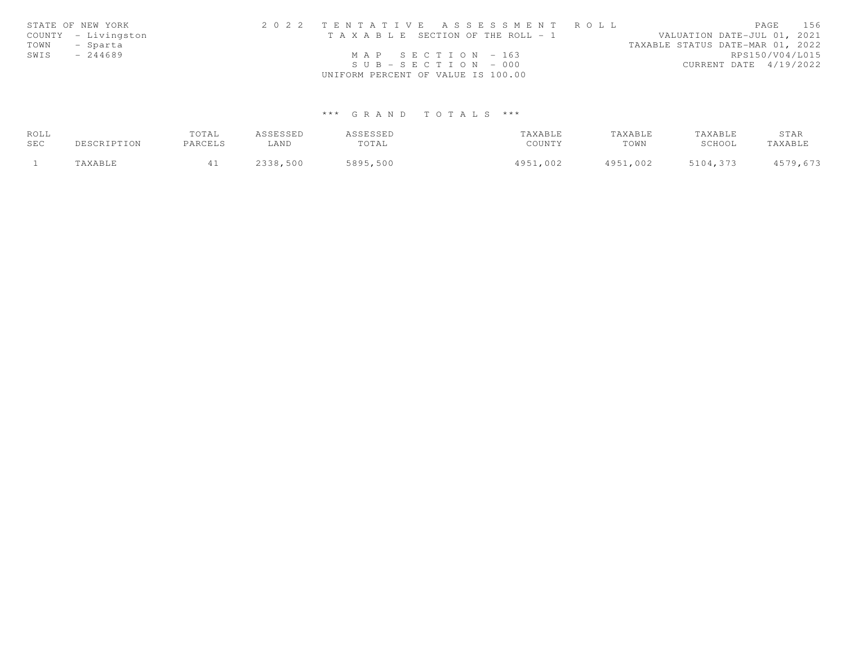|      | STATE OF NEW YORK   | 2022 TENTATIVE ASSESSMENT ROLL        | 156<br>PAGE                      |  |
|------|---------------------|---------------------------------------|----------------------------------|--|
|      | COUNTY - Livingston | T A X A B L E SECTION OF THE ROLL - 1 | VALUATION DATE-JUL 01, 2021      |  |
| TOWN | - Sparta            |                                       | TAXABLE STATUS DATE-MAR 01, 2022 |  |
| SWIS | $-244689$           | MAP SECTION $-163$                    | RPS150/V04/L015                  |  |
|      |                     | $SUB - SECTION - 000$                 | CURRENT DATE 4/19/2022           |  |
|      |                     | UNIFORM PERCENT OF VALUE IS 100.00    |                                  |  |

# \*\*\* G R A N D T O T A L S \*\*\*

| ROLL |             | TOTAL   | ASSESSED | ASSESSED | TAXABLE  | TAXABLE  | TAXABLE  | STAR     |
|------|-------------|---------|----------|----------|----------|----------|----------|----------|
| SEC  | DESCRIPTION | PARCELS | LAND     | TOTAL    | COUNTY   | TOWN     | SCHOOL   | TAXABLE  |
|      | TAXABLE     |         | 2338,500 | 5895,500 | 4951,002 | 4951,002 | 5104,373 | 4579,673 |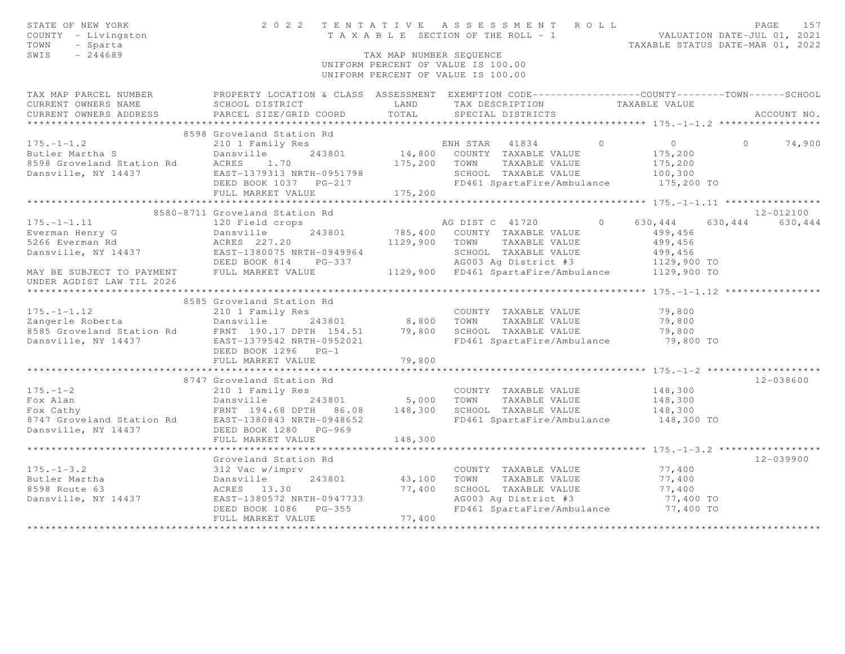| STATE OF NEW YORK<br>COUNTY - Livingston<br>TOWN<br>- Sparta<br>SWIS<br>$-244689$                                                                                                                               |                                                                                                    | TAX MAP NUMBER SEQUENCE       | 2022 TENTATIVE ASSESSMENT ROLL<br>UNIFORM PERCENT OF VALUE IS 100.00<br>UNIFORM PERCENT OF VALUE IS 100.00 |                             | PAGE<br>157<br>T A X A B L E SECTION OF THE ROLL - 1 WALUATION DATE-JUL 01, 2021<br>TAXABLE STATUS DATE-MAR 01, 2022 |
|-----------------------------------------------------------------------------------------------------------------------------------------------------------------------------------------------------------------|----------------------------------------------------------------------------------------------------|-------------------------------|------------------------------------------------------------------------------------------------------------|-----------------------------|----------------------------------------------------------------------------------------------------------------------|
| TAX MAP PARCEL NUMBER                                                                                                                                                                                           | PROPERTY LOCATION & CLASS ASSESSMENT EXEMPTION CODE-----------------COUNTY--------TOWN------SCHOOL |                               |                                                                                                            |                             |                                                                                                                      |
| CURRENT OWNERS NAME                                                                                                                                                                                             | SCHOOL DISTRICT LAND                                                                               |                               | TAX DESCRIPTION                                                                                            | TAXABLE VALUE               |                                                                                                                      |
| CURRENT OWNERS ADDRESS                                                                                                                                                                                          | PARCEL SIZE/GRID COORD                                                                             | TOTAL                         | SPECIAL DISTRICTS                                                                                          |                             | ACCOUNT NO.                                                                                                          |
|                                                                                                                                                                                                                 | 8598 Groveland Station Rd                                                                          |                               |                                                                                                            |                             |                                                                                                                      |
| $175. - 1 - 1.2$                                                                                                                                                                                                | 210 1 Family Res                                                                                   |                               | ENH STAR 41834                                                                                             | $\bigcap$<br>$\overline{0}$ | 74,900<br>$\cap$                                                                                                     |
| Butler Martha S                                                                                                                                                                                                 | Dansville                                                                                          |                               | 243801 14,800 COUNTY TAXABLE VALUE                                                                         | 175,200                     |                                                                                                                      |
|                                                                                                                                                                                                                 | 1.70                                                                                               |                               | 175,200 TOWN TAXABLE VALUE                                                                                 | 175,200                     |                                                                                                                      |
|                                                                                                                                                                                                                 | EAST-1379313 NRTH-0951798                                                                          |                               | SCHOOL TAXABLE VALUE                                                                                       | 100,300                     |                                                                                                                      |
|                                                                                                                                                                                                                 | DEED BOOK 1037    PG-217                                                                           |                               | FD461 SpartaFire/Ambulance 175,200 TO                                                                      |                             |                                                                                                                      |
|                                                                                                                                                                                                                 | FULL MARKET VALUE                                                                                  | 175,200                       |                                                                                                            |                             |                                                                                                                      |
|                                                                                                                                                                                                                 |                                                                                                    |                               |                                                                                                            |                             |                                                                                                                      |
|                                                                                                                                                                                                                 | 8580-8711 Groveland Station Rd                                                                     |                               |                                                                                                            |                             | 12-012100                                                                                                            |
| $175. - 1 - 1.11$                                                                                                                                                                                               | 120 Field crops                                                                                    |                               | AG DIST C 41720                                                                                            | $\Omega$<br>630,444         | 630, 444 630, 444                                                                                                    |
|                                                                                                                                                                                                                 |                                                                                                    |                               | 785,400 COUNTY TAXABLE VALUE                                                                               | 499,456                     |                                                                                                                      |
|                                                                                                                                                                                                                 |                                                                                                    |                               | 1129,900 TOWN TAXABLE VALUE                                                                                | 499,456                     |                                                                                                                      |
|                                                                                                                                                                                                                 |                                                                                                    |                               | SCHOOL TAXABLE VALUE                                                                                       | 499,456                     |                                                                                                                      |
|                                                                                                                                                                                                                 | DEED BOOK 814 PG-337                                                                               |                               | AG003 Ag District #3                                                                                       | 1129,900 TO                 |                                                                                                                      |
| MAY BE SUBJECT TO PAYMENT FULL MARKET VALUE                                                                                                                                                                     |                                                                                                    |                               | 1129,900 FD461 SpartaFire/Ambulance 1129,900 TO                                                            |                             |                                                                                                                      |
| UNDER AGDIST LAW TIL 2026                                                                                                                                                                                       |                                                                                                    |                               |                                                                                                            |                             |                                                                                                                      |
|                                                                                                                                                                                                                 |                                                                                                    |                               |                                                                                                            |                             |                                                                                                                      |
|                                                                                                                                                                                                                 | 8585 Groveland Station Rd                                                                          |                               |                                                                                                            |                             |                                                                                                                      |
| $175. - 1 - 1.12$                                                                                                                                                                                               | 210 1 Family Res                                                                                   |                               | COUNTY TAXABLE VALUE                                                                                       | 79,800                      |                                                                                                                      |
|                                                                                                                                                                                                                 |                                                                                                    |                               |                                                                                                            | 79,800                      |                                                                                                                      |
|                                                                                                                                                                                                                 |                                                                                                    |                               |                                                                                                            | 79,800                      |                                                                                                                      |
| Example Roberta<br>243801 8,800 TOWN TAXABLE VALUE<br>8585 Groveland Station Rd FRNT 190.17 DPTH 154.51 79,800 SCHOOL TAXABLE VALUE<br>Dansville, NY 14437 EAST-1379542 NRTH-0952021 FD461 SpartaFire/Ambulance |                                                                                                    |                               | FD461 SpartaFire/Ambulance                                                                                 |                             | 79,800 TO                                                                                                            |
|                                                                                                                                                                                                                 | DEED BOOK 1296 PG-1                                                                                |                               |                                                                                                            |                             |                                                                                                                      |
|                                                                                                                                                                                                                 | FULL MARKET VALUE                                                                                  | 79,800                        |                                                                                                            |                             |                                                                                                                      |
|                                                                                                                                                                                                                 |                                                                                                    | ***********                   |                                                                                                            |                             |                                                                                                                      |
|                                                                                                                                                                                                                 | 8747 Groveland Station Rd                                                                          |                               |                                                                                                            |                             | $12 - 038600$                                                                                                        |
| $175. - 1 - 2$                                                                                                                                                                                                  | 210 1 Family Res                                                                                   |                               | COUNTY TAXABLE VALUE                                                                                       | 148,300                     |                                                                                                                      |
|                                                                                                                                                                                                                 |                                                                                                    |                               | 5,000 TOWN TAXABLE VALUE                                                                                   | 148,300                     |                                                                                                                      |
| For Alan and Station Rd East-1380843 NRTH-0948652<br>For Cathy FRNT 194.68 DPTH 86.08 148,300 SCHOOL TAXABLE VALUE<br>8747 Groveland Station Rd EAST-1380843 NRTH-0948652 FD461 SpartaFire/Ambul                |                                                                                                    |                               |                                                                                                            | 148,300                     |                                                                                                                      |
|                                                                                                                                                                                                                 |                                                                                                    |                               | FD461 SpartaFire/Ambulance                                                                                 |                             | 148,300 TO                                                                                                           |
| Dansville, NY 14437                                                                                                                                                                                             | DEED BOOK 1280 PG-969                                                                              |                               |                                                                                                            |                             |                                                                                                                      |
|                                                                                                                                                                                                                 | FULL MARKET VALUE                                                                                  | 148,300                       |                                                                                                            |                             |                                                                                                                      |
|                                                                                                                                                                                                                 | Groveland Station Rd                                                                               |                               |                                                                                                            |                             | $12 - 039900$                                                                                                        |
| $175. - 1 - 3.2$                                                                                                                                                                                                | 312 Vac w/imprv                                                                                    |                               | COUNTY TAXABLE VALUE                                                                                       | 77,400                      |                                                                                                                      |
| Butler Martha                                                                                                                                                                                                   | Dansville<br>243801                                                                                | 43,100                        | TAXABLE VALUE<br>TOWN                                                                                      | 77,400                      |                                                                                                                      |
| 8598 Route 63                                                                                                                                                                                                   | ACRES 13.30                                                                                        | 77,400                        | SCHOOL TAXABLE VALUE                                                                                       | 77,400                      |                                                                                                                      |
| Dansville, NY 14437                                                                                                                                                                                             | EAST-1380572 NRTH-0947733                                                                          |                               | AG003 Ag District #3                                                                                       |                             |                                                                                                                      |
|                                                                                                                                                                                                                 | DEED BOOK 1086    PG-355                                                                           |                               | AG003 Ag District #3 77,400 TO<br>FD461 SpartaFire/Ambulance 77,400 TO                                     |                             |                                                                                                                      |
|                                                                                                                                                                                                                 | FULL MARKET VALUE                                                                                  | 77,400                        |                                                                                                            |                             |                                                                                                                      |
|                                                                                                                                                                                                                 |                                                                                                    | * * * * * * * * * * * * * * * |                                                                                                            |                             |                                                                                                                      |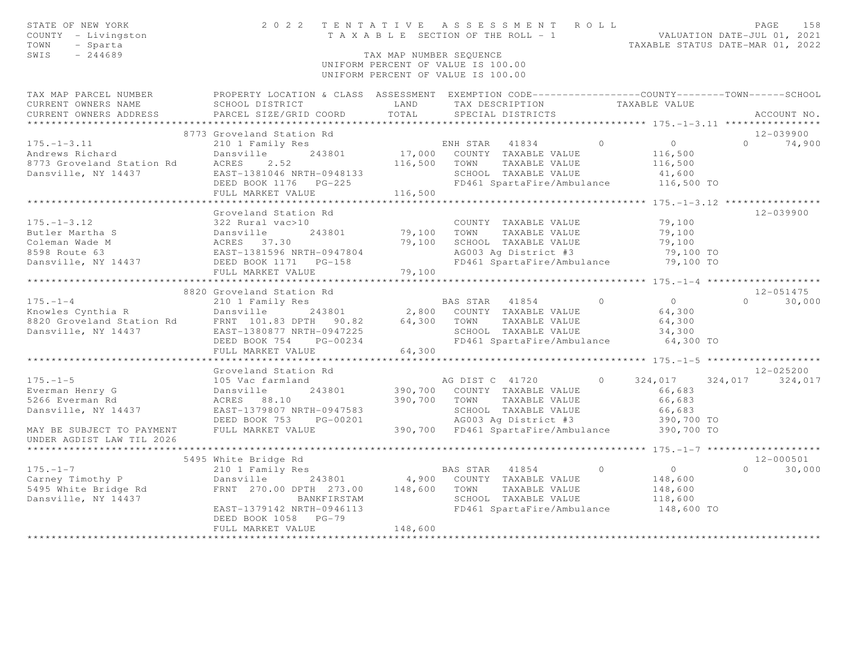| STATE OF NEW YORK<br>COUNTY - Livingston<br>TOWN<br>- Sparta<br>SWIS<br>$-244689$        |                                                                                                                                                | TAX MAP NUMBER SEOUENCE | 2022 TENTATIVE ASSESSMENT ROLL<br>T A X A B L E SECTION OF THE ROLL - 1<br>UNIFORM PERCENT OF VALUE IS 100.00<br>UNIFORM PERCENT OF VALUE IS 100.00 |            | VALUATION DATE-JUL 01, 2021<br>TAXABLE STATUS DATE-MAR 01, 2022 | PAGE            | 158           |
|------------------------------------------------------------------------------------------|------------------------------------------------------------------------------------------------------------------------------------------------|-------------------------|-----------------------------------------------------------------------------------------------------------------------------------------------------|------------|-----------------------------------------------------------------|-----------------|---------------|
| TAX MAP PARCEL NUMBER<br>CURRENT OWNERS NAME<br>CURRENT OWNERS ADDRESS                   | PROPERTY LOCATION & CLASS ASSESSMENT EXEMPTION CODE-----------------COUNTY-------TOWN------SCHOOL<br>SCHOOL DISTRICT<br>PARCEL SIZE/GRID COORD | LAND<br>TOTAL           | TAX DESCRIPTION<br>SPECIAL DISTRICTS                                                                                                                |            | TAXABLE VALUE                                                   |                 | ACCOUNT NO.   |
| ********************                                                                     |                                                                                                                                                |                         |                                                                                                                                                     |            |                                                                 |                 |               |
|                                                                                          | 8773 Groveland Station Rd                                                                                                                      |                         |                                                                                                                                                     |            |                                                                 |                 | 12-039900     |
| $175. - 1 - 3.11$<br>Andrews Richard<br>8773 Groveland Station Rd<br>Dansville, NY 14437 | 210 1 Family Res<br>Dansville<br>243801<br>ACRES<br>2.52<br>EAST-1381046 NRTH-0948133<br>$PG-225$<br>DEED BOOK 1176                            | 17,000<br>116,500       | ENH STAR<br>41834<br>COUNTY TAXABLE VALUE<br>TOWN<br>TAXABLE VALUE<br>SCHOOL TAXABLE VALUE<br>FD461 SpartaFire/Ambulance                            | $\Omega$   | $\overline{0}$<br>116,500<br>116,500<br>41,600<br>116,500 TO    | $\cap$          | 74,900        |
|                                                                                          | FULL MARKET VALUE                                                                                                                              | 116,500                 |                                                                                                                                                     |            | ************** 175. -1-3. 12 *****************                  |                 |               |
| $175. - 1 - 3.12$<br>Butler Martha S<br>Coleman Wade M                                   | Groveland Station Rd<br>322 Rural vac>10<br>243801<br>Dansville<br>ACRES 37.30<br>EAST-1381596 N                                               | 79,100<br>79,100        | COUNTY TAXABLE VALUE<br>TOWN<br>TAXABLE VALUE<br>SCHOOL TAXABLE VALUE                                                                               |            | 79,100<br>79,100<br>79,100                                      |                 | $12 - 039900$ |
| 8598 Route 63                                                                            | EAST-1381596 NRTH-0947804                                                                                                                      |                         | AG003 Ag District #3                                                                                                                                |            | 79,100 TO                                                       |                 |               |
| Dansville, NY 14437                                                                      | DEED BOOK 1171    PG-158                                                                                                                       |                         | FD461 SpartaFire/Ambulance                                                                                                                          |            | 79,100 TO                                                       |                 |               |
|                                                                                          | FULL MARKET VALUE<br>****************************                                                                                              | 79,100                  |                                                                                                                                                     |            |                                                                 |                 |               |
|                                                                                          | 8820 Groveland Station Rd                                                                                                                      |                         |                                                                                                                                                     |            |                                                                 |                 | $12 - 051475$ |
| $175. - 1 - 4$                                                                           | 210 1 Family Res                                                                                                                               |                         | BAS STAR<br>41854                                                                                                                                   | $\bigcirc$ | $\overline{0}$                                                  | $\Omega$        | 30,000        |
| Knowles Cynthia R                                                                        | Dansville<br>243801                                                                                                                            |                         | 2,800 COUNTY TAXABLE VALUE                                                                                                                          |            | 64,300                                                          |                 |               |
| 8820 Groveland Station Rd<br>Dansville, NY 14437                                         | FRNT 101.83 DPTH 90.82                                                                                                                         | 64,300                  | TOWN<br>TAXABLE VALUE                                                                                                                               |            | 64,300                                                          |                 |               |
|                                                                                          | EAST-1380877 NRTH-0947225<br>PG-00234<br>DEED BOOK 754                                                                                         |                         | SCHOOL TAXABLE VALUE<br>FD461 SpartaFire/Ambulance                                                                                                  |            | 34,300<br>64,300 TO                                             |                 |               |
|                                                                                          | FULL MARKET VALUE                                                                                                                              | 64,300                  |                                                                                                                                                     |            |                                                                 |                 |               |
|                                                                                          | ***********************                                                                                                                        |                         |                                                                                                                                                     |            | ************* 175. -1-5 ********************                    |                 |               |
|                                                                                          | Groveland Station Rd                                                                                                                           |                         |                                                                                                                                                     |            |                                                                 |                 | $12 - 025200$ |
| $175. - 1 - 5$<br>Everman Henry G<br>5266 Everman Rd<br>Dansville, NY 14437              | 105 Vac farmland<br>Dansville<br>243801<br>ACRES 88.10<br>EAST-1379807 NRTH-0947583<br>DEED BOOK 753<br>PG-00201                               | 390,700<br>390,700      | AG DIST C 41720<br>COUNTY TAXABLE VALUE<br>TAXABLE VALUE<br>TOWN<br>SCHOOL TAXABLE VALUE<br>AG003 Ag District #3                                    | $\Omega$   | 324,017<br>66,683<br>66,683<br>66,683<br>390,700 TO             | 324,017 324,017 |               |
| MAY BE SUBJECT TO PAYMENT<br>UNDER AGDIST LAW TIL 2026                                   | FULL MARKET VALUE                                                                                                                              |                         | 390,700 FD461 SpartaFire/Ambulance                                                                                                                  |            | 390,700 TO                                                      |                 |               |
|                                                                                          |                                                                                                                                                |                         |                                                                                                                                                     |            |                                                                 |                 |               |
|                                                                                          | 5495 White Bridge Rd                                                                                                                           |                         |                                                                                                                                                     |            |                                                                 |                 | $12 - 000501$ |
| $175. - 1 - 7$<br>Carney Timothy P<br>5495 White Bridge Rd<br>Dansville, NY 14437        | 210 1 Family Res<br>Dansville<br>243801<br>FRNT 270.00 DPTH 273.00<br>BANKFIRSTAM<br>EAST-1379142 NRTH-0946113<br>DEED BOOK 1058 PG-79         | 4,900<br>148,600        | BAS STAR<br>41854<br>COUNTY TAXABLE VALUE<br>TOWN<br>TAXABLE VALUE<br>SCHOOL TAXABLE VALUE<br>FD461 SpartaFire/Ambulance                            | $\bigcirc$ | $\circ$<br>148,600<br>148,600<br>118,600<br>148,600 TO          | $\Omega$        | 30,000        |
|                                                                                          | FULL MARKET VALUE                                                                                                                              | 148,600                 |                                                                                                                                                     |            |                                                                 |                 |               |
|                                                                                          |                                                                                                                                                |                         |                                                                                                                                                     |            |                                                                 |                 |               |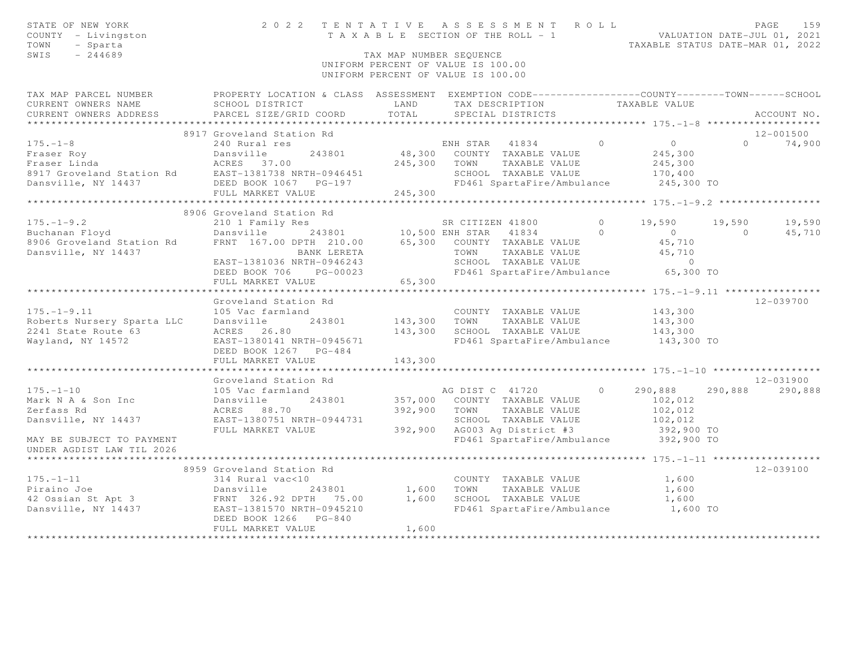| STATE OF NEW YORK<br>COUNTY - Livingston<br>TOWN<br>- Sparta<br>$-244689$<br>SWIS           |                                                                                                                                                                    | TAX MAP NUMBER SEQUENCE       | 2022 TENTATIVE ASSESSMENT ROLL<br>T A X A B L E SECTION OF THE ROLL - 1<br>UNIFORM PERCENT OF VALUE IS 100.00<br>UNIFORM PERCENT OF VALUE IS 100.00 |                      | VALUATION DATE-JUL 01, 2021<br>TAXABLE STATUS DATE-MAR 01, 2022 |                          | 159<br>PAGE          |
|---------------------------------------------------------------------------------------------|--------------------------------------------------------------------------------------------------------------------------------------------------------------------|-------------------------------|-----------------------------------------------------------------------------------------------------------------------------------------------------|----------------------|-----------------------------------------------------------------|--------------------------|----------------------|
| TAX MAP PARCEL NUMBER<br>CURRENT OWNERS NAME<br>CURRENT OWNERS ADDRESS                      | PROPERTY LOCATION & CLASS ASSESSMENT EXEMPTION CODE-----------------COUNTY--------TOWN------SCHOOL<br>SCHOOL DISTRICT<br>PARCEL SIZE/GRID COORD                    | LAND<br>TOTAL                 | TAX DESCRIPTION TAXABLE VALUE<br>SPECIAL DISTRICTS                                                                                                  |                      |                                                                 |                          | ACCOUNT NO.          |
|                                                                                             | 8917 Groveland Station Rd                                                                                                                                          |                               |                                                                                                                                                     |                      |                                                                 |                          | 12-001500            |
| $175. - 1 - 8$<br>Dansville, NY 14437                                                       | 240 Rural res<br>DEED BOOK 1067 PG-197<br>FULL MARKET VALUE                                                                                                        | 245,300<br>245,300            | ENH STAR 41834<br>48,300 COUNTY TAXABLE VALUE<br>TOWN<br>TAXABLE VALUE<br>SCHOOL TAXABLE VALUE<br>FD461 SpartaFire/Ambulance                        | $\bigcirc$           | $\circ$<br>245,300<br>245,300<br>170,400<br>245,300 TO          | $\cap$                   | 74,900               |
| ************************                                                                    |                                                                                                                                                                    |                               |                                                                                                                                                     |                      |                                                                 |                          |                      |
| $175. - 1 - 9.2$<br>Buchanan Floyd                                                          | 8906 Groveland Station Rd<br>210 1 Family Res<br>Dansville                                                                                                         |                               | SR CITIZEN 41800<br>243801 10,500 ENH STAR 41834                                                                                                    | $\Omega$<br>$\Omega$ | 19,590<br>$\overline{0}$                                        | 19,590<br>$\overline{0}$ | 19,590<br>45,710     |
| 8906 Groveland Station Rd<br>Dansville, NY 14437                                            | FRNT 167.00 DPTH 210.00 65,300 COUNTY TAXABLE VALUE<br>BANK LERETA<br>EAST-1381036 NRTH-0946243<br>DEED BOOK 706 PG-00023<br>FULL MARKET VALUE                     | 65,300                        | TAXABLE VALUE<br>TOWN<br>SCHOOL TAXABLE VALUE<br>FD461 SpartaFire/Ambulance 65,300 TO                                                               |                      | 45,710<br>45,710<br>$\overline{0}$                              |                          |                      |
|                                                                                             |                                                                                                                                                                    |                               |                                                                                                                                                     |                      |                                                                 |                          |                      |
| $175. - 1 - 9.11$<br>Roberts Nursery Sparta LLC<br>2241 State Route 63<br>Wayland, NY 14572 | Groveland Station Rd<br>105 Vac farmland<br>Dansville<br>243801<br>ACRES 26.80<br>EAST-1380141 NRTH-0945671<br>DEED BOOK 1267 PG-484                               | 143,300<br>143,300            | COUNTY TAXABLE VALUE<br>TOWN<br>TAXABLE VALUE<br>SCHOOL TAXABLE VALUE<br>FD461 SpartaFire/Ambulance 143,300 TO                                      |                      | 143,300<br>143,300<br>143,300                                   |                          | $12 - 039700$        |
|                                                                                             | FULL MARKET VALUE                                                                                                                                                  | 143,300                       |                                                                                                                                                     |                      |                                                                 |                          |                      |
|                                                                                             |                                                                                                                                                                    |                               |                                                                                                                                                     |                      |                                                                 |                          |                      |
| $175. - 1 - 10$<br>Mark N A & Son Inc<br>Zerfass Rd<br>Dansville, NY 14437                  | Groveland Station Rd<br>105 Vac farmland<br>Dansville<br>243801<br>ACRES 88.70<br>EAST-1380751 NRTH-0944731<br>FULL MARKET VALUE                                   | 357,000<br>392,900<br>392,900 | AG DIST C 41720<br>COUNTY TAXABLE VALUE<br>TOWN<br>TAXABLE VALUE<br>SCHOOL TAXABLE VALUE<br>AG003 Ag District #3                                    | $\Omega$             | 290,888<br>102,012<br>102,012<br>102,012<br>392,900 TO          | 290,888                  | 12-031900<br>290,888 |
| MAY BE SUBJECT TO PAYMENT<br>UNDER AGDIST LAW TIL 2026                                      |                                                                                                                                                                    |                               | FD461 SpartaFire/Ambulance 392,900 TO                                                                                                               |                      |                                                                 |                          |                      |
|                                                                                             | 8959 Groveland Station Rd                                                                                                                                          |                               |                                                                                                                                                     |                      |                                                                 |                          | 12-039100            |
| $175. - 1 - 11$<br>Piraino Joe<br>42 Ossian St Apt 3<br>Dansville, NY 14437                 | 314 Rural vac<10<br>Dansville<br>243801<br>Dansville<br>FRNT 326.92 DPTH 75.00<br>התפור המחירה משפחת 1045210<br>EAST-1381570 NRTH-0945210<br>DEED BOOK 1266 PG-840 | 1,600<br>1,600                | COUNTY TAXABLE VALUE<br>TOWN<br>TAXABLE VALUE<br>SCHOOL TAXABLE VALUE<br>FD461 SpartaFire/Ambulance                                                 |                      | 1,600<br>1,600<br>1,600<br>1,600 TO                             |                          |                      |
|                                                                                             | FULL MARKET VALUE                                                                                                                                                  | 1,600                         |                                                                                                                                                     |                      |                                                                 |                          |                      |
|                                                                                             |                                                                                                                                                                    |                               |                                                                                                                                                     |                      |                                                                 |                          |                      |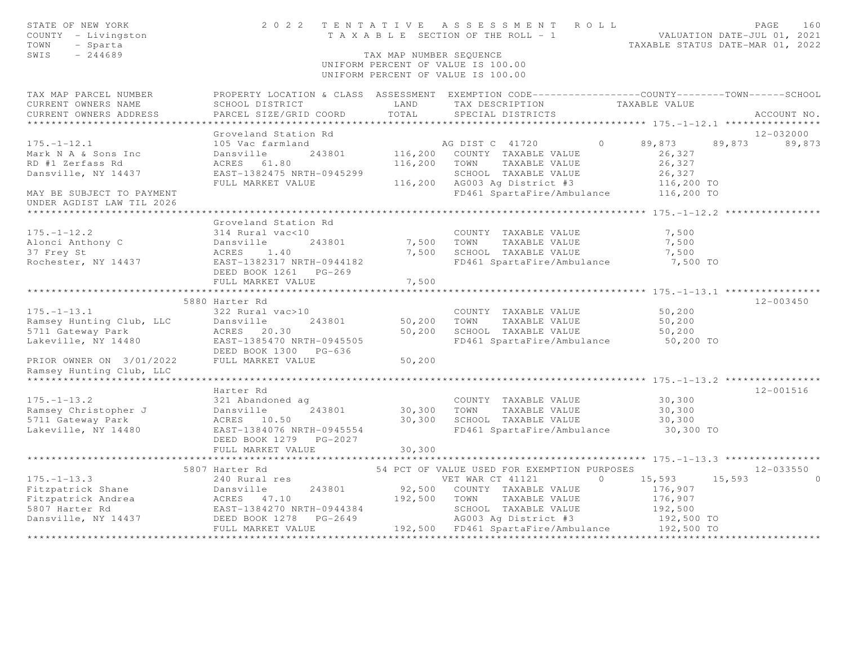| STATE OF NEW YORK<br>COUNTY - Livingston<br>TOWN<br>- Sparta<br>SWIS<br>$-244689$                                                                                                                                                     |                                                           | TAX MAP NUMBER SEQUENCE                                                                            | TENTATIVE ASSESSMENT ROLL PAGE 160<br>TAXABLE SECTION OF THE ROLL - 1 VALUATION DATE-JUL 01, 2021<br>TAXABLE STATUS DATE-MAR 01, 2022<br>2022 TENTATIVE ASSESSMENT ROLL<br>UNIFORM PERCENT OF VALUE IS 100.00<br>UNIFORM PERCENT OF VALUE IS 100.00 |                                                           |                           |
|---------------------------------------------------------------------------------------------------------------------------------------------------------------------------------------------------------------------------------------|-----------------------------------------------------------|----------------------------------------------------------------------------------------------------|-----------------------------------------------------------------------------------------------------------------------------------------------------------------------------------------------------------------------------------------------------|-----------------------------------------------------------|---------------------------|
| TAX MAP PARCEL NUMBER FROPERTY LOCATION & CLASS ASSESSMENT EXEMPTION CODE---------------COUNTY-------TOWN------SCHOOL<br>CURRENT OWNERS NAME<br>CURRENT OWNERS ADDRESS                                                                |                                                           |                                                                                                    | SCHOOL DISTRICT                         LAND         TAX DESCRIPTION                   TAXABLE VALUE PARCEL SIZE/GRID COORD          TOTAL       SPECIAL DISTRICTS                                                                                  |                                                           | ACCOUNT NO.               |
|                                                                                                                                                                                                                                       |                                                           |                                                                                                    |                                                                                                                                                                                                                                                     |                                                           |                           |
|                                                                                                                                                                                                                                       | Groveland Station Rd                                      |                                                                                                    |                                                                                                                                                                                                                                                     |                                                           | 12-032000                 |
| $175. - 1 - 12.1$<br>Mark N A & Sons Inc<br>RD #1 Zerfass Rd<br>Dansville, NY 14437<br>MAY BE SUBJECT TO PAYMENT                                                                                                                      | 105 Vac farmland<br>Dansville<br>Dansville<br>ACRES 61.80 |                                                                                                    | AG DIST C 41720 0 89,873 89,873 89,873<br>243801 116, 200 COUNTY TAXABLE VALUE<br>116,200 TOWN TAXABLE VALUE<br>SCHOOL TAXABLE VALUE $26,327$<br>AG003 Ag District #3 116,200 TO<br>FD461 SpartaFire/Ambulance 116,200 TO                           | 26,327<br>26,327                                          |                           |
| UNDER AGDIST LAW TIL 2026                                                                                                                                                                                                             |                                                           |                                                                                                    |                                                                                                                                                                                                                                                     |                                                           |                           |
| $175. - 1 - 12.2$<br>175.-1-12.2<br>Alonci Anthony C Dansville<br>37 Frey St ACRES 1.40<br>Rochester, NY 14437 EAST-1382317 NRTH-0944182<br>DEED BOOK 1261 PG-269<br>DEED BOOK 1261 PG-269                                            | Groveland Station Rd<br>314 Rural vac<10                  | $\label{eq:2} \frac{d\mathbf{y}}{dt} = \frac{d\mathbf{y}}{dt} \mathbf{y} + \frac{d\mathbf{y}}{dt}$ | COUNTY TAXABLE VALUE<br>243801 7,500 TOWN TAXABLE VALUE<br>7,500 SCHOOL TAXABLE VALUE<br>FD461 SpartaFire/Ambulance                                                                                                                                 | 7,500<br>7,500<br>7,500<br>7,500 TO                       |                           |
|                                                                                                                                                                                                                                       | FULL MARKET VALUE                                         | 7,500                                                                                              |                                                                                                                                                                                                                                                     |                                                           |                           |
|                                                                                                                                                                                                                                       | 5880 Harter Rd                                            |                                                                                                    |                                                                                                                                                                                                                                                     |                                                           | $12 - 003450$             |
| $175. - 1 - 13.1$<br>Ramsey Hunting Club, LLC<br>5711 Gateway Park<br>Lakeville, NY 14480<br>Lakeville, NY 14480<br>RAST-1385470 NRTH-0945505<br>RAST-1386470 NRTH-0945505                                                            | 322 Rural vac>10<br>DEED BOOK 1300 PG-636                 |                                                                                                    | COUNTY TAXABLE VALUE<br>243801 50,200 TOWN TAXABLE VALUE<br>30 50,200 SCHOOL TAXABLE VALUE<br>FD461 SpartaFire/Ambulance 50,200 TO                                                                                                                  | 50, 200<br>50,200<br>50,200                               |                           |
| PRIOR OWNER ON 3/01/2022 FULL MARKET VALUE<br>Ramsey Hunting Club, LLC                                                                                                                                                                |                                                           | 50,200                                                                                             |                                                                                                                                                                                                                                                     |                                                           |                           |
|                                                                                                                                                                                                                                       |                                                           |                                                                                                    |                                                                                                                                                                                                                                                     |                                                           |                           |
| $175. - 1 - 13.2$<br>Framsey Christopher J<br>Ramsey Christopher J<br>5711 Gateway Park ACRES 10.50 30,300 SCHOOL TAXABLE VALUE<br>Lakeville, NY 14480 EAST-1384076 NRTH-0945554 FD461 SpartaFire/Ambulance<br>NETP BOOK 1279 PC 2027 | Harter Rd<br>321 Abandoned ag<br>DEED BOOK 1279 PG-2027   |                                                                                                    | COUNTY TAXABLE VALUE 30,300                                                                                                                                                                                                                         | 30,300<br>30,300<br>30,300 TO                             | 12-001516                 |
|                                                                                                                                                                                                                                       | FULL MARKET VALUE                                         | 30, 300                                                                                            |                                                                                                                                                                                                                                                     |                                                           |                           |
|                                                                                                                                                                                                                                       |                                                           |                                                                                                    |                                                                                                                                                                                                                                                     |                                                           |                           |
| 175.-1-13.3<br>Fitzpatrick Shane<br>Fitzpatrick Andrea<br>Exster Adden and the CRES and the set of the set of the set of the set of the set of the set of the set of the set of the set of the set of the set of the set of the set   | 5807 Harter Rd                                            |                                                                                                    | 54 PCT OF VALUE USED FOR EXEMPTION PURPOSES<br>VET WAR CT 41121 0 15,593 15,593                                                                                                                                                                     | 176,907<br>176,907<br>192,500<br>192,500 TO<br>192,500 TO | $12 - 033550$<br>$\Omega$ |
|                                                                                                                                                                                                                                       |                                                           |                                                                                                    |                                                                                                                                                                                                                                                     |                                                           |                           |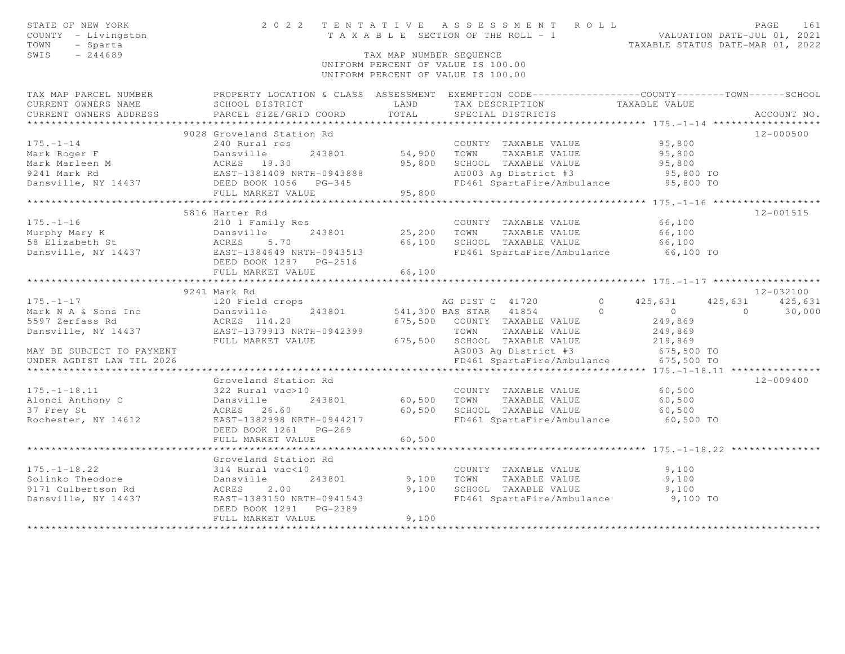| STATE OF NEW YORK<br>COUNTY - Livingston<br>TOWN<br>- Sparta<br>SWIS<br>$-244689$                                             |                                                | TAX MAP NUMBER SEQUENCE | 2022 TENTATIVE ASSESSMENT ROLL<br>T A X A B L E SECTION OF THE ROLL - 1 VALUATION DATE-JUL 01, 2021<br>UNIFORM PERCENT OF VALUE IS 100.00<br>UNIFORM PERCENT OF VALUE IS 100.00 | TAXABLE STATUS DATE-MAR 01, 2022 | 161<br>PAGE                    |
|-------------------------------------------------------------------------------------------------------------------------------|------------------------------------------------|-------------------------|---------------------------------------------------------------------------------------------------------------------------------------------------------------------------------|----------------------------------|--------------------------------|
| TAX MAP PARCEL NUMBER                                                                                                         |                                                |                         | PROPERTY LOCATION & CLASS ASSESSMENT EXEMPTION CODE-----------------COUNTY-------TOWN------SCHOOL                                                                               |                                  |                                |
| CURRENT OWNERS NAME<br>CURRENT OWNERS ADDRESS                                                                                 | SCHOOL DISTRICT<br>PARCEL SIZE/GRID COORD      | LAND<br>TOTAL           | TAX DESCRIPTION<br>SPECIAL DISTRICTS                                                                                                                                            | TAXABLE VALUE                    | ACCOUNT NO.                    |
| ************************                                                                                                      |                                                |                         |                                                                                                                                                                                 |                                  |                                |
|                                                                                                                               | 9028 Groveland Station Rd                      |                         |                                                                                                                                                                                 |                                  | 12-000500                      |
| $175. - 1 - 14$                                                                                                               | 240 Rural res                                  |                         | COUNTY TAXABLE VALUE                                                                                                                                                            | 95,800                           |                                |
|                                                                                                                               |                                                | 54,900 TOWN             | TAXABLE VALUE                                                                                                                                                                   | 95,800                           |                                |
|                                                                                                                               |                                                | 95,800                  | SCHOOL TAXABLE VALUE                                                                                                                                                            | 95,800                           |                                |
|                                                                                                                               |                                                |                         | $AG003$ Ag District #3                                                                                                                                                          | 95,800 TO                        |                                |
| Mark Roger F<br>Mark Marleen M<br>9241 Mark Rd<br>Dansville, NY 14437<br>DEED BOOK 1056<br>PG-345<br>PEED BOOK 1056<br>PG-345 |                                                |                         | FD461 SpartaFire/Ambulance 95,800 TO                                                                                                                                            |                                  |                                |
|                                                                                                                               | FULL MARKET VALUE                              | 95,800                  |                                                                                                                                                                                 |                                  |                                |
|                                                                                                                               |                                                |                         |                                                                                                                                                                                 |                                  |                                |
|                                                                                                                               | 5816 Harter Rd                                 |                         |                                                                                                                                                                                 |                                  | $12 - 001515$                  |
| $175. - 1 - 16$                                                                                                               | 210 1 Family Res                               |                         | COUNTY TAXABLE VALUE                                                                                                                                                            | 66,100                           |                                |
| Murphy Mary K<br>58 Elizabeth St                                                                                              | Dansville<br>ACRES :<br>243801<br>5.70         | 25,200<br>66,100        | TAXABLE VALUE<br>TOWN<br>SCHOOL TAXABLE VALUE                                                                                                                                   | 66,100                           |                                |
|                                                                                                                               | EAST-1384649 NRTH-0943513                      |                         | FD461 SpartaFire/Ambulance                                                                                                                                                      | 66,100<br>66,100 TO              |                                |
| Dansville, NY 14437                                                                                                           | DEED BOOK 1287    PG-2516                      |                         |                                                                                                                                                                                 |                                  |                                |
|                                                                                                                               | FULL MARKET VALUE                              | 66,100                  |                                                                                                                                                                                 |                                  |                                |
|                                                                                                                               |                                                |                         |                                                                                                                                                                                 |                                  |                                |
|                                                                                                                               |                                                |                         |                                                                                                                                                                                 |                                  |                                |
|                                                                                                                               |                                                |                         |                                                                                                                                                                                 |                                  |                                |
|                                                                                                                               | 9241 Mark Rd                                   |                         |                                                                                                                                                                                 |                                  | 12-032100                      |
| $175. - 1 - 17$                                                                                                               | 120 Field crops                                |                         | AG DIST C 41720<br>$\circ$<br>$\Omega$                                                                                                                                          | 425,631<br>$\overline{0}$        | 425,631<br>425,631<br>$\Omega$ |
| Mark N A & Sons Inc                                                                                                           | 243801<br>Dansville                            |                         | 541,300 BAS STAR 41854                                                                                                                                                          |                                  | 30,000                         |
| 5597 Zerfass Rd<br>Dansville, NY 14437                                                                                        | ACRES 114.20<br>EAST-1379913 NRTH-0942399      |                         | 675,500 COUNTY TAXABLE VALUE<br>TOWN<br>TAXABLE VALUE                                                                                                                           | 249,869<br>249,869               |                                |
|                                                                                                                               | FULL MARKET VALUE                              | 675,500                 | SCHOOL TAXABLE VALUE                                                                                                                                                            | 219,869                          |                                |
| MAY BE SUBJECT TO PAYMENT                                                                                                     |                                                |                         |                                                                                                                                                                                 | 675,500 TO                       |                                |
| UNDER AGDIST LAW TIL 2026                                                                                                     |                                                |                         | AG003 Ag District #3                                                                                                                                                            | 675,500 TO                       |                                |
|                                                                                                                               |                                                |                         | FD461 SpartaFire/Ambulance                                                                                                                                                      |                                  |                                |
|                                                                                                                               | Groveland Station Rd                           |                         |                                                                                                                                                                                 |                                  | $12 - 009400$                  |
| $175. - 1 - 18.11$                                                                                                            | 322 Rural vac>10                               |                         | COUNTY TAXABLE VALUE                                                                                                                                                            | 60,500                           |                                |
| Alonci Anthony C                                                                                                              | 243801<br>Dansville                            |                         | 60,500 TOWN TAXABLE VALUE                                                                                                                                                       | 60,500                           |                                |
| 37 Frey St                                                                                                                    | ACRES 26.60                                    | 60,500                  | SCHOOL TAXABLE VALUE                                                                                                                                                            | 60,500                           |                                |
| Rochester, NY 14612                                                                                                           | EAST-1382998 NRTH-0944217                      |                         | FD461 SpartaFire/Ambulance                                                                                                                                                      | 60,500 TO                        |                                |
|                                                                                                                               | DEED BOOK 1261<br>$PG-269$                     |                         |                                                                                                                                                                                 |                                  |                                |
|                                                                                                                               | FULL MARKET VALUE                              | 60,500                  |                                                                                                                                                                                 |                                  |                                |
|                                                                                                                               |                                                |                         |                                                                                                                                                                                 |                                  |                                |
|                                                                                                                               | Groveland Station Rd                           |                         |                                                                                                                                                                                 |                                  |                                |
| $175. - 1 - 18.22$                                                                                                            | 314 Rural vac<10                               |                         | COUNTY TAXABLE VALUE                                                                                                                                                            | 9,100                            |                                |
| Solinko Theodore                                                                                                              | Dansville<br>243801                            | 9,100                   | TAXABLE VALUE<br>TOWN                                                                                                                                                           | 9,100                            |                                |
| 9171 Culbertson Rd                                                                                                            | 2.00<br>ACRES                                  | 9,100                   | SCHOOL TAXABLE VALUE                                                                                                                                                            | 9,100                            |                                |
| Dansville, NY 14437                                                                                                           | EAST-1383150 NRTH-0941543                      |                         | FD461 SpartaFire/Ambulance 9,100 TO                                                                                                                                             |                                  |                                |
|                                                                                                                               | DEED BOOK 1291<br>PG-2389<br>FULL MARKET VALUE | 9,100                   |                                                                                                                                                                                 |                                  |                                |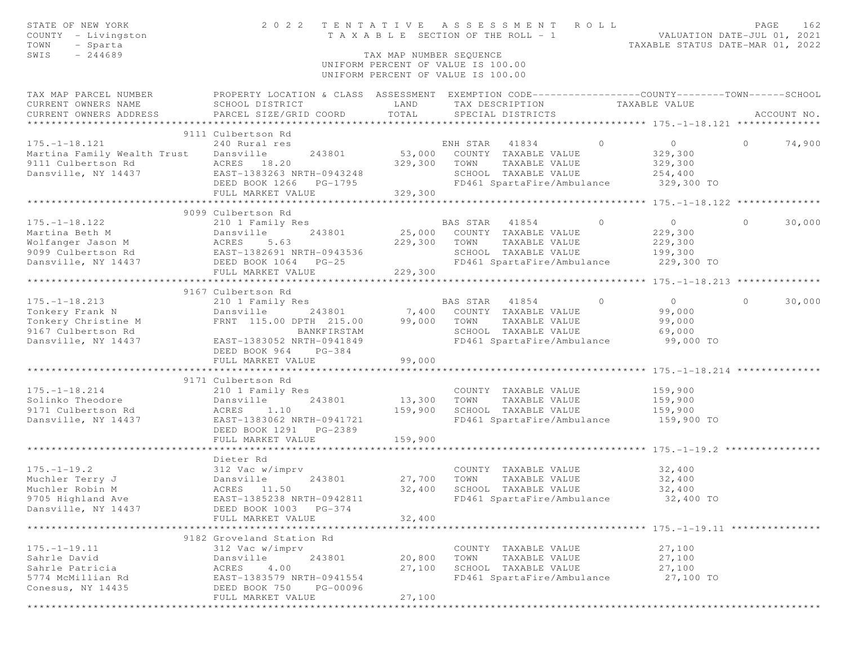| STATE OF NEW YORK<br>COUNTY - Livingston<br>TOWN<br>- Sparta<br>$-244689$<br>SWIS                                                                               | 2022 TENTATIVE ASSESSMENT ROLL                                                                                                                               | TAX MAP NUMBER SEQUENCE<br>UNIFORM PERCENT OF VALUE IS 100.00 |                        |                                                                                                           |                | TENTAILVE ASSESSMENT NSEE NALUATION DATE-JUL 01, 2021<br>TAXABLE SECTION OF THE ROLL - 1<br>TAXABLE STATUS DATE-MAR 01, 2022 | PAGE     | 162         |
|-----------------------------------------------------------------------------------------------------------------------------------------------------------------|--------------------------------------------------------------------------------------------------------------------------------------------------------------|---------------------------------------------------------------|------------------------|-----------------------------------------------------------------------------------------------------------|----------------|------------------------------------------------------------------------------------------------------------------------------|----------|-------------|
|                                                                                                                                                                 |                                                                                                                                                              | UNIFORM PERCENT OF VALUE IS 100.00                            |                        |                                                                                                           |                |                                                                                                                              |          |             |
| TAX MAP PARCEL NUMBER<br>CURRENT OWNERS NAME<br>CURRENT OWNERS ADDRESS                                                                                          | PROPERTY LOCATION & CLASS ASSESSMENT EXEMPTION CODE-----------------COUNTY--------TOWN------SCHOOL<br>SCHOOL DISTRICT<br>PARCEL SIZE/GRID COORD              | LAND<br>TOTAL                                                 |                        | TAX DESCRIPTION TAXABLE VALUE<br>SPECIAL DISTRICTS                                                        |                |                                                                                                                              |          | ACCOUNT NO. |
|                                                                                                                                                                 | 9111 Culbertson Rd                                                                                                                                           |                                                               | ENH STAR 41834         |                                                                                                           | $\Omega$       | $\sim$ 0                                                                                                                     | $\Omega$ |             |
| $175. - 1 - 18.121$<br>Martina Family Wealth Index<br>9111 Culbertson Rd 18.20<br>Dansville, NY 14437 1883263 NRTH-0943248<br>DEED BOOK 1266 PG-1795<br>229,300 | 240 Rural res                                                                                                                                                | 329,300                                                       |                        | 53,000 COUNTY TAXABLE VALUE<br>TOWN TAXABLE VALUE<br>SCHOOL TAXABLE VALUE<br>FD461 SpartaFire/Ambulance   |                | 329,300<br>329,300<br>254,400<br>329,300 TO                                                                                  |          | 74,900      |
|                                                                                                                                                                 |                                                                                                                                                              | 329,300                                                       |                        |                                                                                                           |                |                                                                                                                              |          |             |
|                                                                                                                                                                 | 9099 Culbertson Rd                                                                                                                                           |                                                               |                        |                                                                                                           |                |                                                                                                                              |          |             |
| $175. - 1 - 18.122$<br>Dansville, NY 14437                                                                                                                      | 210 1 Family Res<br>DEED BOOK 1064 PG-25<br>FULL MARKET VALUE                                                                                                | 229,300<br>229,300                                            | BAS STAR 41854<br>TOWN | 25,000 COUNTY TAXABLE VALUE<br>TAXABLE VALUE<br>SCHOOL TAXABLE VALUE<br>FD461 SpartaFire/Ambulance        | $\overline{0}$ | $\overline{0}$<br>229,300<br>229,300<br>199,300<br>229,300 TO                                                                | $\circ$  | 30,000      |
|                                                                                                                                                                 |                                                                                                                                                              |                                                               |                        |                                                                                                           |                |                                                                                                                              |          |             |
| $175. -1 - 18.213$<br>Tonkery Christine M<br>9167 Culbertson Rd<br>Dansville, NY 14437                                                                          | 9167 Culbertson Rd<br>210 1 Family Res<br>Dansville 243801<br>FRNT 115.00 DPTH 215.00<br>BANKFIRSTAM<br>EAST-1383052 NRTH-0941849<br>DEED BOOK 964<br>PG-384 | 99,000 TOWN                                                   |                        | BAS STAR 41854 0<br>BAS STAR 41854<br>7,400 COUNTY TAXABLE VALUE<br>TAXABLE VALUE<br>SCHOOL TAXABLE VALUE |                | $\overline{0}$<br>99,000<br>99,000<br>69,000<br>FD461 SpartaFire/Ambulance 99,000 TO                                         | $\circ$  | 30,000      |
|                                                                                                                                                                 | FULL MARKET VALUE                                                                                                                                            | 99,000                                                        |                        |                                                                                                           |                |                                                                                                                              |          |             |
|                                                                                                                                                                 |                                                                                                                                                              |                                                               |                        |                                                                                                           |                |                                                                                                                              |          |             |
| $175. - 1 - 18.214$<br>Solinko Theodore<br>9171 Culbertson Rd<br>Dansville, NY 14437                                                                            | 9171 Culbertson Rd<br>210 1 Family Res<br>Dansville<br>243801<br>ACRES<br>1.10<br>EAST-1383062 NRTH-0941721<br>DEED BOOK 1291 PG-2389                        | 13,300 TOWN<br>159,900                                        |                        | COUNTY TAXABLE VALUE<br>TAXABLE VALUE<br>SCHOOL TAXABLE VALUE                                             |                | 159,900<br>159,900<br>159,900<br>FD461 SpartaFire/Ambulance 159,900 TO                                                       |          |             |
|                                                                                                                                                                 | FULL MARKET VALUE<br>**************************                                                                                                              | 159,900                                                       |                        |                                                                                                           |                | ************************ 175.-1-19.2 ****************                                                                        |          |             |
| $175. - 1 - 19.2$<br>Muchler Terry J<br>Muchler Robin M<br>9705 Highland Ave<br>Dansville, NY 14437                                                             | Dieter Rd<br>312 Vac w/imprv<br>Dansville<br>243801<br>ACRES 11.50<br>EAST-1385238 NRTH-0942811<br>DEED BOOK 1003 PG-374<br>FULL MARKET VALUE                | 27,700<br>32,400<br>32,400                                    | TOWN                   | COUNTY TAXABLE VALUE<br>TAXABLE VALUE<br>SCHOOL TAXABLE VALUE<br>FD461 SpartaFire/Ambulance               |                | 32,400<br>32,400<br>32,400<br>32,400 TO                                                                                      |          |             |
|                                                                                                                                                                 | 9182 Groveland Station Rd                                                                                                                                    |                                                               |                        |                                                                                                           |                |                                                                                                                              |          |             |
| $175. - 1 - 19.11$<br>Sahrle David<br>Sahrle Patricia<br>5774 McMillian Rd<br>Conesus, NY 14435                                                                 | 312 Vac w/imprv<br>Dansville<br>243801<br>ACRES<br>4.00<br>EAST-1383579 NRTH-0941554<br>DEED BOOK 750<br>PG-00096<br>FULL MARKET VALUE                       | 20,800<br>27,100<br>27,100                                    | TOWN                   | COUNTY TAXABLE VALUE<br>TAXABLE VALUE<br>SCHOOL TAXABLE VALUE<br>FD461 SpartaFire/Ambulance               |                | 27,100<br>27,100<br>27,100<br>27,100 TO                                                                                      |          |             |
|                                                                                                                                                                 |                                                                                                                                                              |                                                               |                        |                                                                                                           |                |                                                                                                                              |          |             |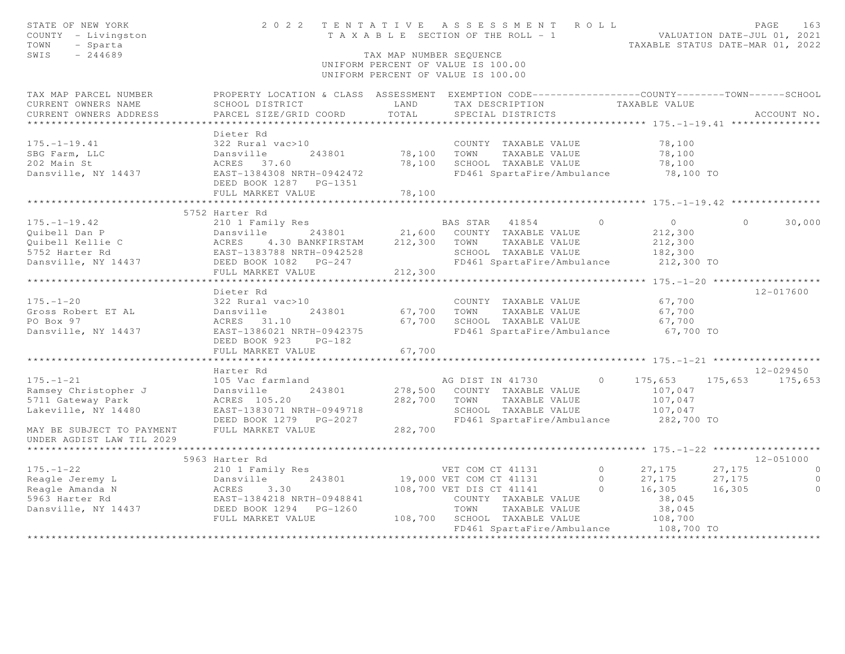| STATE OF NEW YORK<br>COUNTY - Livingston<br>TOWN<br>- Sparta<br>SWIS<br>$-244689$                                                                                                                                                                                   |                                                                                                                                               | TAX MAP NUMBER SEQUENCE      | 2022 TENTATIVE ASSESSMENT ROLL<br>TENTAILVE ASSESSMENT NVER VER VALUATION DATE-JUL 01, 2021<br>TAXABLE SECTION OF THE ROLL - 1<br>TAXABLE STATUS DATE-MAR 01, 2022<br>UNIFORM PERCENT OF VALUE IS 100.00<br>UNIFORM PERCENT OF VALUE IS 100.00 |         |                                                         |                  | PAGE<br>163        |
|---------------------------------------------------------------------------------------------------------------------------------------------------------------------------------------------------------------------------------------------------------------------|-----------------------------------------------------------------------------------------------------------------------------------------------|------------------------------|------------------------------------------------------------------------------------------------------------------------------------------------------------------------------------------------------------------------------------------------|---------|---------------------------------------------------------|------------------|--------------------|
| TAX MAP PARCEL NUMBER<br>CURRENT OWNERS NAME<br>CURRENT OWNERS ADDRESS                                                                                                                                                                                              | PROPERTY LOCATION & CLASS ASSESSMENT EXEMPTION CODE----------------COUNTY-------TOWN-----SCHOOL<br>SCHOOL DISTRICT<br>PARCEL SIZE/GRID COORD  | LAND<br>TOTAL                | TAX DESCRIPTION<br>SPECIAL DISTRICTS                                                                                                                                                                                                           |         | TAXABLE VALUE                                           |                  | ACCOUNT NO.        |
| $175. - 1 - 19.41$<br>SBG Farm, LLC<br>202 Main St<br>Dansville, NY 14437                                                                                                                                                                                           | Dieter Rd<br>322 Rural vac>10<br>-<br>Dansville<br>ACRES 37.60<br>EAST-1384308 NRTH-0942472<br>DEED BOOK 1287    PG-1351<br>FULL MARKET VALUE | 243801 78,100 TOWN<br>78,100 | COUNTY TAXABLE VALUE<br>TAXABLE VALUE<br>78,100 SCHOOL TAXABLE VALUE<br>FD461 SpartaFire/Ambulance 78,100 TO                                                                                                                                   |         | 78,100<br>78,100<br>78,100                              |                  |                    |
|                                                                                                                                                                                                                                                                     |                                                                                                                                               |                              |                                                                                                                                                                                                                                                |         |                                                         |                  |                    |
| $175. - 1 - 19.42$<br>911 Dan P<br>21.0 1 Family Res<br>21,600 COUNTY TAXABLE VALUE<br>21,600 COUNTY TAXABLE VALUE<br>21,800 COUNTY TAXABLE VALUE<br>212,300 TOWN TAXABLE VALUE<br>212,300 TOWN TAXABLE VALUE<br>212,300 TOWN TAXABLE VALUE<br>212,300 TOWN TAXABLE | 5752 Harter Rd<br>210 1 Family Res                                                                                                            |                              | BAS STAR 41854<br>SCHOOL TAXABLE VALUE                                                                                                                                                                                                         | $\circ$ | $\overline{0}$<br>212,300<br>212,300<br>182,300         | $\Omega$         | 30,000             |
|                                                                                                                                                                                                                                                                     | FULL MARKET VALUE                                                                                                                             | 212,300                      | FD461 SpartaFire/Ambulance                                                                                                                                                                                                                     |         | 212,300 TO                                              |                  |                    |
|                                                                                                                                                                                                                                                                     |                                                                                                                                               |                              |                                                                                                                                                                                                                                                |         |                                                         |                  |                    |
| $175. - 1 - 20$<br>Gross Robert ET AL<br>PO Box 97<br>Dansville, NY 14437                                                                                                                                                                                           | Dieter Rd<br>322 Rural vac>10<br>Dansville 243801<br>ACRES 31.10<br>EAST-1386021 NRTH-0942375<br>DEED BOOK 923 PG-182<br>FULL MARKET VALUE    | 67,700                       | COUNTY TAXABLE VALUE<br>67,700 TOWN TAXABLE VALUE<br>67,700 SCHOOL TAXABLE VALUE<br>FD461 SpartaFire/Ambulance                                                                                                                                 |         | 67,700<br>67,700<br>67,700<br>67,700 TO                 |                  | 12-017600          |
|                                                                                                                                                                                                                                                                     |                                                                                                                                               |                              |                                                                                                                                                                                                                                                |         |                                                         |                  |                    |
|                                                                                                                                                                                                                                                                     | Harter Rd                                                                                                                                     |                              |                                                                                                                                                                                                                                                |         |                                                         |                  | $12 - 029450$      |
| $175. - 1 - 21$<br>Ramsey Christopher J<br>5711 Gateway Park<br>Lakeville, NY 14480                                                                                                                                                                                 | 105 Vac farmland<br>Dansville<br>243801<br>ACRES 105.20<br>EAST-1383071 NRTH-0949718<br>DEED BOOK 1279 PG-2027                                | 282,700 TOWN                 | AG DIST IN 41730<br>278,500 COUNTY TAXABLE VALUE<br>TAXABLE VALUE<br>SCHOOL TAXABLE VALUE<br>FD461 SpartaFire/Ambulance 282,700 TO                                                                                                             |         | $0 \t 175,653$<br>107,047<br>107,047<br>107,047         |                  | 175,653 175,653    |
| MAY BE SUBJECT TO PAYMENT<br>UNDER AGDIST LAW TIL 2029                                                                                                                                                                                                              | FULL MARKET VALUE                                                                                                                             | 282,700                      |                                                                                                                                                                                                                                                |         |                                                         |                  |                    |
|                                                                                                                                                                                                                                                                     | 5963 Harter Rd                                                                                                                                |                              |                                                                                                                                                                                                                                                |         |                                                         |                  | $12 - 051000$      |
| $175. - 1 - 22$                                                                                                                                                                                                                                                     | 210 1 Family Res                                                                                                                              |                              | VET COM CT 41131                                                                                                                                                                                                                               |         | 0 $27,175$                                              | 27,175           | $\overline{0}$     |
| Reagle Jeremy L<br>Reagle Jeremy L<br>Reagle Amanda N<br>5963 Harter Rd<br>Dansville, NY 14437<br>DEED BOOK 1294 PG-1260<br>FIILL MARKET VALUE                                                                                                                      | 243801<br>FULL MARKET VALUE                                                                                                                   |                              | 19,000 VET COM CT 41131<br>108,700 VET DIS CT 41141<br>COUNTY TAXABLE VALUE<br>TOWN<br>TAXABLE VALUE<br>108,700 SCHOOL TAXABLE VALUE<br>FD461 SpartaFire/Ambulance 108,700 TO                                                                  |         | 0 $27,175$<br>0 $16,305$<br>38,045<br>38,045<br>108,700 | 27,175<br>16,305 | $\circ$<br>$\circ$ |
|                                                                                                                                                                                                                                                                     |                                                                                                                                               |                              | ************************                                                                                                                                                                                                                       |         |                                                         |                  |                    |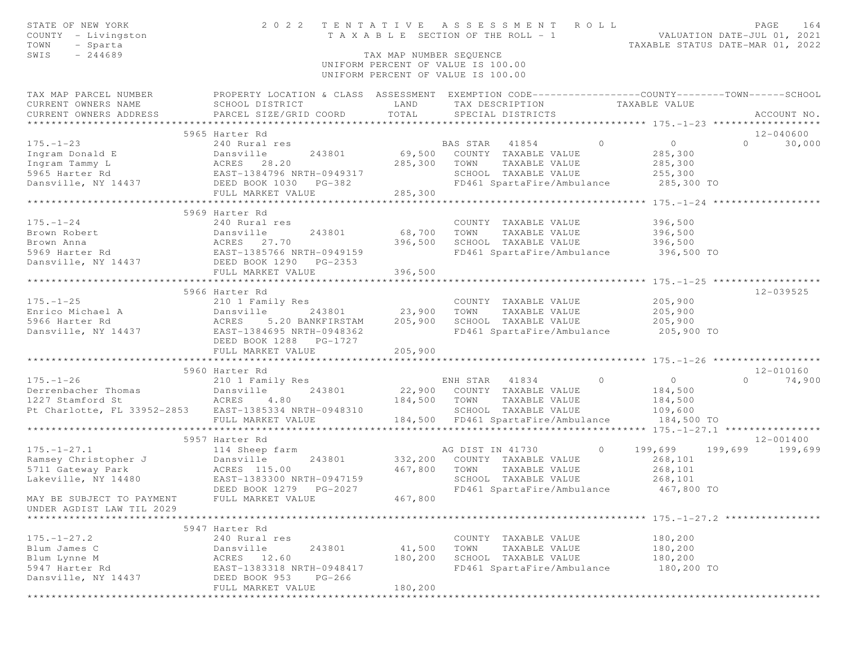| STATE OF NEW YORK<br>COUNTY - Livingston                                                                                                                                            |                           |                               | 2022 TENTATIVE ASSESSMENT ROLL<br>T A X A B L E SECTION OF THE ROLL - 1                                                                                                 | VALUATION DATE-JUL 01, 2021<br>TAXABLE STATUS DATE-MAR 01, 2022 | PAGE          | 164         |
|-------------------------------------------------------------------------------------------------------------------------------------------------------------------------------------|---------------------------|-------------------------------|-------------------------------------------------------------------------------------------------------------------------------------------------------------------------|-----------------------------------------------------------------|---------------|-------------|
| - Sparta<br>TOWN<br>$-244689$<br>SWIS                                                                                                                                               |                           | TAX MAP NUMBER SEQUENCE       |                                                                                                                                                                         |                                                                 |               |             |
|                                                                                                                                                                                     |                           |                               | UNIFORM PERCENT OF VALUE IS 100.00                                                                                                                                      |                                                                 |               |             |
|                                                                                                                                                                                     |                           |                               | UNIFORM PERCENT OF VALUE IS 100.00                                                                                                                                      |                                                                 |               |             |
| TAX MAP PARCEL NUMBER THE PROPERTY LOCATION & CLASS ASSESSMENT EXEMPTION CODE--------------COUNTY-------TOWN------SCHOOL                                                            |                           |                               |                                                                                                                                                                         |                                                                 |               |             |
| CURRENT OWNERS NAME                                                                                                                                                                 |                           | LAND                          | TAX DESCRIPTION TAXABLE VALUE                                                                                                                                           |                                                                 |               |             |
| CURRENT OWNERS ADDRESS                                                                                                                                                              |                           | TOTAL                         | SPECIAL DISTRICTS                                                                                                                                                       |                                                                 |               | ACCOUNT NO. |
|                                                                                                                                                                                     |                           |                               |                                                                                                                                                                         |                                                                 |               |             |
|                                                                                                                                                                                     | 5965 Harter Rd            |                               |                                                                                                                                                                         |                                                                 | 12-040600     |             |
| $175. - 1 - 23$                                                                                                                                                                     | 240 Rural res             |                               | BAS STAR 41854 0                                                                                                                                                        | $\overline{0}$                                                  | $0 \t 30,000$ |             |
| 173.-1-23<br>Ingram Donald E Dansville 243801 69,500<br>Ingram Tammy L ACRES 28.20 285,300<br>5965 Harter Rd EAST-1384796 NRTH-0949317<br>Dansville, NY 14437 DEED BOOK 1030 PG-382 |                           |                               | ${\small \begin{tabular}{lcccccc} \bf 243801 & \tt 69,500 & \tt COUNTY & \tt TAXABLE \;\; VALUE \\ & \tt 285,300 & \tt TOWN & \tt TAXABLE \;\; VALUE \\ \end{tabular}}$ | 285,300                                                         |               |             |
|                                                                                                                                                                                     |                           |                               | TAXABLE VALUE                                                                                                                                                           | 285,300                                                         |               |             |
|                                                                                                                                                                                     |                           |                               |                                                                                                                                                                         |                                                                 |               |             |
|                                                                                                                                                                                     |                           |                               |                                                                                                                                                                         |                                                                 |               |             |
|                                                                                                                                                                                     | FULL MARKET VALUE 285,300 |                               |                                                                                                                                                                         |                                                                 |               |             |
|                                                                                                                                                                                     |                           |                               |                                                                                                                                                                         |                                                                 |               |             |
|                                                                                                                                                                                     | 5969 Harter Rd            |                               |                                                                                                                                                                         |                                                                 |               |             |
| $175. - 1 - 24$                                                                                                                                                                     | 240 Rural res             |                               | COUNTY TAXABLE VALUE                                                                                                                                                    | 396,500                                                         |               |             |
|                                                                                                                                                                                     |                           | 68,700                        | TAXABLE VALUE 396,500<br>TAXABLE VALUE 396,500<br>TOWN                                                                                                                  |                                                                 |               |             |
|                                                                                                                                                                                     |                           | 396,500                       | SCHOOL TAXABLE VALUE                                                                                                                                                    |                                                                 |               |             |
|                                                                                                                                                                                     |                           |                               | FD461 SpartaFire/Ambulance 396,500 TO                                                                                                                                   |                                                                 |               |             |
| Example 243801<br>Brown Robert<br>Brown Anna<br>5969 Harter Rd<br>Dansville, NY 14437<br>Dansville, NY 14437<br>DEED BOOK 1290 PG-2353<br>FIIIT MARKET WARKET WARKER                |                           |                               |                                                                                                                                                                         |                                                                 |               |             |
|                                                                                                                                                                                     | FULL MARKET VALUE         | 396,500                       |                                                                                                                                                                         |                                                                 |               |             |
|                                                                                                                                                                                     |                           |                               |                                                                                                                                                                         |                                                                 |               |             |
|                                                                                                                                                                                     | 5966 Harter Rd            |                               |                                                                                                                                                                         |                                                                 | 12-039525     |             |
|                                                                                                                                                                                     |                           |                               | COUNTY TAXABLE VALUE                                                                                                                                                    | 205,900                                                         |               |             |
|                                                                                                                                                                                     |                           | 243801 23,900                 | TOWN<br>TAXABLE VALUE                                                                                                                                                   | 205,900                                                         |               |             |
|                                                                                                                                                                                     |                           | 205,900                       |                                                                                                                                                                         |                                                                 |               |             |
|                                                                                                                                                                                     |                           |                               |                                                                                                                                                                         |                                                                 |               |             |
|                                                                                                                                                                                     | DEED BOOK 1288 PG-1727    |                               |                                                                                                                                                                         |                                                                 |               |             |
|                                                                                                                                                                                     | FULL MARKET VALUE         | 205,900                       |                                                                                                                                                                         |                                                                 |               |             |
|                                                                                                                                                                                     |                           | * * * * * * * * * * * * * * * |                                                                                                                                                                         |                                                                 |               |             |
|                                                                                                                                                                                     | 5960 Harter Rd            |                               |                                                                                                                                                                         |                                                                 | 12-010160     |             |
| $175. - 1 - 26$                                                                                                                                                                     | 210 1 Family Res          |                               | ENH STAR 41834 0                                                                                                                                                        | $\overline{0}$                                                  | $\circ$       | 74,900      |
|                                                                                                                                                                                     | 243801                    |                               | 22,900 COUNTY TAXABLE VALUE                                                                                                                                             | 184,500                                                         |               |             |
|                                                                                                                                                                                     |                           | 184,500 TOWN                  | TAXABLE VALUE                                                                                                                                                           | 184,500                                                         |               |             |
| Pt Charlotte, FL 33952-2853 EAST-1385334 NRTH-0948310                                                                                                                               |                           |                               | SCHOOL TAXABLE VALUE                                                                                                                                                    | 109,600                                                         |               |             |
|                                                                                                                                                                                     | FULL MARKET VALUE         |                               | 184,500 FD461 SpartaFire/Ambulance 184,500 TO                                                                                                                           |                                                                 |               |             |
|                                                                                                                                                                                     |                           |                               |                                                                                                                                                                         |                                                                 |               |             |
|                                                                                                                                                                                     | 5957 Harter Rd            |                               |                                                                                                                                                                         |                                                                 | 12-001400     |             |
| $175. - 1 - 27.1$                                                                                                                                                                   | 114 Sheep farm            |                               | AG DIST IN 41730 0 199,699 199,699 199,699                                                                                                                              |                                                                 |               |             |
|                                                                                                                                                                                     | 243801 332,200            |                               | COUNTY TAXABLE VALUE                                                                                                                                                    | 268,101                                                         |               |             |
|                                                                                                                                                                                     | 467,800                   |                               |                                                                                                                                                                         |                                                                 |               |             |
|                                                                                                                                                                                     |                           |                               |                                                                                                                                                                         |                                                                 |               |             |
|                                                                                                                                                                                     | DEED BOOK 1279 PG-2027    |                               | FD461 SpartaFire/Ambulance 467,800 TO                                                                                                                                   |                                                                 |               |             |
| MAY BE SUBJECT TO PAYMENT FULL MARKET VALUE                                                                                                                                         |                           | 467,800                       |                                                                                                                                                                         |                                                                 |               |             |
| UNDER AGDIST LAW TIL 2029                                                                                                                                                           |                           |                               |                                                                                                                                                                         |                                                                 |               |             |
|                                                                                                                                                                                     |                           |                               |                                                                                                                                                                         |                                                                 |               |             |
|                                                                                                                                                                                     | 5947 Harter Rd            |                               |                                                                                                                                                                         |                                                                 |               |             |
| $175. - 1 - 27.2$                                                                                                                                                                   | 240 Rural res             |                               | COUNTY TAXABLE VALUE                                                                                                                                                    | 180,200                                                         |               |             |
| Blum James C                                                                                                                                                                        | Dansville<br>243801       | 41,500                        | TOWN<br>TAXABLE VALUE                                                                                                                                                   | 180,200                                                         |               |             |
| Blum Lynne M                                                                                                                                                                        | ACRES<br>12.60            | 180,200                       | SCHOOL<br>TAXABLE VALUE                                                                                                                                                 | 180,200                                                         |               |             |
| 5947 Harter Rd                                                                                                                                                                      | EAST-1383318 NRTH-0948417 |                               | FD461 SpartaFire/Ambulance                                                                                                                                              | 180,200 TO                                                      |               |             |
| Dansville, NY 14437                                                                                                                                                                 | DEED BOOK 953<br>$PG-266$ |                               |                                                                                                                                                                         |                                                                 |               |             |
|                                                                                                                                                                                     | FULL MARKET VALUE         | 180,200                       |                                                                                                                                                                         |                                                                 |               |             |
|                                                                                                                                                                                     |                           |                               |                                                                                                                                                                         |                                                                 |               |             |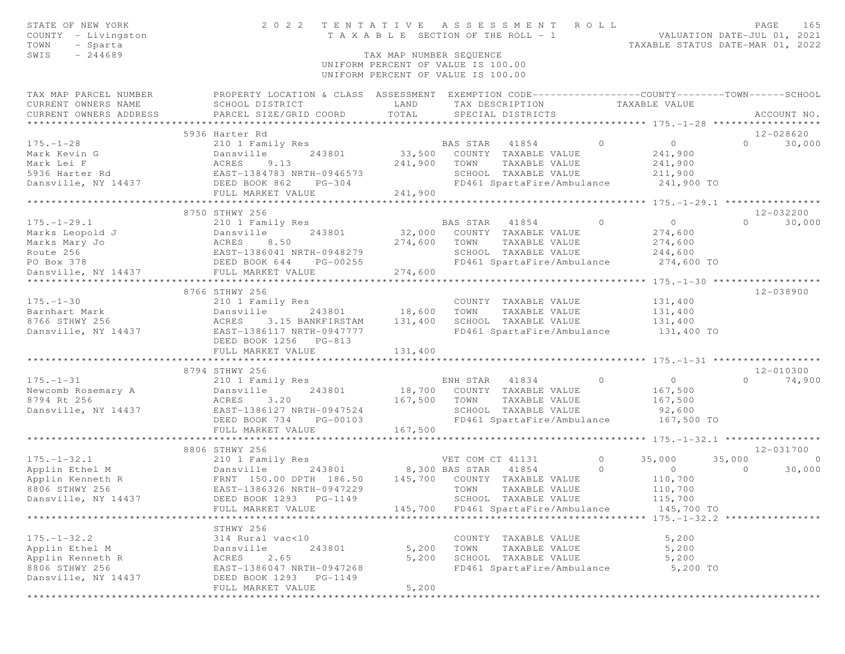| STATE OF NEW YORK<br>COUNTY - Livingston<br>- Sparta<br>TOWN<br>SWIS<br>$-244689$ | 2 0 2 2                                                                                                                                                                                                                                                    | T A X A B L E SECTION OF THE ROLL - 1<br>TAX MAP NUMBER SEQUENCE<br>UNIFORM PERCENT OF VALUE IS 100.00 |                  | TENTATIVE ASSESSMENT ROLL                                     |                | VALUATION DATE-JUL 01, 2021<br>TAXABLE STATUS DATE-MAR 01, 2022 |                | PAGE<br>165    |
|-----------------------------------------------------------------------------------|------------------------------------------------------------------------------------------------------------------------------------------------------------------------------------------------------------------------------------------------------------|--------------------------------------------------------------------------------------------------------|------------------|---------------------------------------------------------------|----------------|-----------------------------------------------------------------|----------------|----------------|
|                                                                                   |                                                                                                                                                                                                                                                            | UNIFORM PERCENT OF VALUE IS 100.00                                                                     |                  |                                                               |                |                                                                 |                |                |
| TAX MAP PARCEL NUMBER<br>CURRENT OWNERS NAME<br>CURRENT OWNERS ADDRESS            | PROPERTY LOCATION & CLASS ASSESSMENT EXEMPTION CODE-----------------COUNTY-------TOWN------SCHOOL<br>SCHOOL DISTRICT<br>PARCEL SIZE/GRID COORD                                                                                                             | LAND<br>TOTAL                                                                                          |                  | TAX DESCRIPTION TAXABLE VALUE<br>SPECIAL DISTRICTS            |                |                                                                 |                | ACCOUNT NO.    |
|                                                                                   | 5936 Harter Rd                                                                                                                                                                                                                                             |                                                                                                        |                  |                                                               |                |                                                                 |                | 12-028620      |
| $175. - 1 - 28$                                                                   | 210 1 Family Res                                                                                                                                                                                                                                           |                                                                                                        | BAS STAR 41854   | $\sim$ 0 $\sim$ 0 $\sim$                                      |                | $\overline{0}$                                                  | $\Omega$       | 30,000         |
|                                                                                   | Mark Kevin G<br>Mark Lei F<br>5936 Harter Rd<br>5936 Harter Rd<br>5936 Harter Rd<br>5936 Harter Rd<br>5936 Harter Rd<br>5936 Harter Rd<br>5936 Harter Rd<br>5936 Harter Rd<br>5936 Harter Rd<br>5936 Harter Rd<br>5936 Harter Rd<br>5936 Harter Rd<br>5936 |                                                                                                        |                  | 33,500 COUNTY TAXABLE VALUE<br>241,900 TOWN TAXABLE VALUE     |                | 241,900                                                         |                |                |
|                                                                                   |                                                                                                                                                                                                                                                            |                                                                                                        |                  | TAXABLE VALUE                                                 |                | 241,900                                                         |                |                |
|                                                                                   |                                                                                                                                                                                                                                                            |                                                                                                        |                  | SCHOOL TAXABLE VALUE<br>FD461 SpartaFire/Ambulance 241,900 TO |                | 211,900                                                         |                |                |
|                                                                                   | FULL MARKET VALUE                                                                                                                                                                                                                                          | 241,900                                                                                                |                  |                                                               |                |                                                                 |                |                |
|                                                                                   |                                                                                                                                                                                                                                                            |                                                                                                        |                  |                                                               |                |                                                                 |                |                |
|                                                                                   | 8750 STHWY 256                                                                                                                                                                                                                                             |                                                                                                        |                  |                                                               |                |                                                                 |                | 12-032200      |
| $175. - 1 - 29.1$                                                                 | 210 1 Family Res                                                                                                                                                                                                                                           |                                                                                                        | BAS STAR 41854   |                                                               | $\overline{0}$ | $\overline{0}$                                                  | $\Omega$       | 30,000         |
|                                                                                   |                                                                                                                                                                                                                                                            |                                                                                                        |                  | 32,000 COUNTY TAXABLE VALUE                                   |                | 274,600                                                         |                |                |
|                                                                                   |                                                                                                                                                                                                                                                            | 274,600                                                                                                | TOWN             | TAXABLE VALUE                                                 |                | 274,600                                                         |                |                |
|                                                                                   |                                                                                                                                                                                                                                                            |                                                                                                        |                  | SCHOOL TAXABLE VALUE 244,600                                  |                |                                                                 |                |                |
|                                                                                   | $PG-00255$                                                                                                                                                                                                                                                 |                                                                                                        |                  | FD461 SpartaFire/Ambulance                                    |                | 274,600 TO                                                      |                |                |
|                                                                                   |                                                                                                                                                                                                                                                            |                                                                                                        |                  |                                                               |                |                                                                 |                |                |
|                                                                                   | 8766 STHWY 256                                                                                                                                                                                                                                             |                                                                                                        |                  |                                                               |                |                                                                 |                | 12-038900      |
| $175. - 1 - 30$                                                                   | 210 1 Family Res                                                                                                                                                                                                                                           |                                                                                                        |                  | COUNTY TAXABLE VALUE                                          |                | 131,400                                                         |                |                |
|                                                                                   | 243801                                                                                                                                                                                                                                                     | 18,600                                                                                                 | TOWN             | TAXABLE VALUE                                                 |                | 131,400                                                         |                |                |
|                                                                                   |                                                                                                                                                                                                                                                            | 131,400                                                                                                |                  | SCHOOL TAXABLE VALUE                                          |                | 131,400                                                         |                |                |
|                                                                                   |                                                                                                                                                                                                                                                            |                                                                                                        |                  | FD461 SpartaFire/Ambulance                                    |                | $131,400$ TO                                                    |                |                |
|                                                                                   | DEED BOOK 1256 PG-813                                                                                                                                                                                                                                      |                                                                                                        |                  |                                                               |                |                                                                 |                |                |
|                                                                                   | FULL MARKET VALUE                                                                                                                                                                                                                                          | 131,400                                                                                                |                  |                                                               |                |                                                                 |                |                |
|                                                                                   |                                                                                                                                                                                                                                                            | ************                                                                                           |                  | ************************* 175.-1-31 *******************       |                |                                                                 |                |                |
|                                                                                   | 8794 STHWY 256                                                                                                                                                                                                                                             |                                                                                                        |                  |                                                               |                |                                                                 |                | 12-010300      |
| $175. - 1 - 31$                                                                   | 210 1 Family Res                                                                                                                                                                                                                                           |                                                                                                        | ENH STAR 41834   | $\sim$ 0                                                      |                | $\overline{0}$                                                  | $\circ$        | 74,900         |
|                                                                                   | 243801<br>Dansville                                                                                                                                                                                                                                        |                                                                                                        |                  | 18,700 COUNTY TAXABLE VALUE                                   |                | 167,500                                                         |                |                |
| Newcomb Rosemary A<br>8794 Rt 256<br>Dansville, NY 14437                          | 3.20<br>ACRES<br>EAST-1386127 NRTH-0947524                                                                                                                                                                                                                 | 167,500                                                                                                | TOWN             | TAXABLE VALUE<br>SCHOOL TAXABLE VALUE                         |                | 167,500<br>92,600                                               |                |                |
|                                                                                   | DEED BOOK 734<br>PG-00103                                                                                                                                                                                                                                  |                                                                                                        |                  | FD461 SpartaFire/Ambulance 167,500 TO                         |                |                                                                 |                |                |
|                                                                                   | FULL MARKET VALUE                                                                                                                                                                                                                                          | 167,500                                                                                                |                  |                                                               |                |                                                                 |                |                |
|                                                                                   |                                                                                                                                                                                                                                                            |                                                                                                        |                  |                                                               |                |                                                                 |                |                |
|                                                                                   | 8806 STHWY 256                                                                                                                                                                                                                                             |                                                                                                        |                  |                                                               |                |                                                                 |                | 12-031700      |
| $175. - 1 - 32.1$                                                                 | 210 1 Family Res                                                                                                                                                                                                                                           |                                                                                                        | VET COM CT 41131 |                                                               | $\overline{0}$ | 35,000                                                          | 35,000         | $\overline{0}$ |
|                                                                                   |                                                                                                                                                                                                                                                            |                                                                                                        |                  |                                                               | $\bigcirc$     | $0$<br>110,700                                                  | $\overline{0}$ | 30,000         |
|                                                                                   |                                                                                                                                                                                                                                                            |                                                                                                        |                  |                                                               |                |                                                                 |                |                |
|                                                                                   |                                                                                                                                                                                                                                                            |                                                                                                        |                  |                                                               |                | 110,700                                                         |                |                |
| Dansville, NY 14437                                                               | DEED BOOK 1293 PG-1149                                                                                                                                                                                                                                     |                                                                                                        |                  | SCHOOL TAXABLE VALUE                                          |                | 115,700                                                         |                |                |
|                                                                                   | FULL MARKET VALUE                                                                                                                                                                                                                                          |                                                                                                        |                  | 145,700 FD461 SpartaFire/Ambulance                            |                | 145,700 TO                                                      |                |                |
|                                                                                   | STHWY 256                                                                                                                                                                                                                                                  |                                                                                                        |                  |                                                               |                |                                                                 |                |                |
| $175. - 1 - 32.2$                                                                 | 314 Rural vac<10                                                                                                                                                                                                                                           |                                                                                                        |                  | COUNTY TAXABLE VALUE                                          |                | 5,200                                                           |                |                |
| Applin Ethel M                                                                    | 243801<br>Dansville                                                                                                                                                                                                                                        | 5,200                                                                                                  | TOWN             | TAXABLE VALUE                                                 |                | 5,200                                                           |                |                |
| Applin Kenneth R                                                                  | 2.65<br>ACRES                                                                                                                                                                                                                                              | 5,200                                                                                                  |                  | SCHOOL TAXABLE VALUE                                          |                | 5,200                                                           |                |                |
| 8806 STHWY 256                                                                    | EAST-1386047 NRTH-0947268                                                                                                                                                                                                                                  |                                                                                                        |                  | FD461 SpartaFire/Ambulance                                    |                | 5,200 TO                                                        |                |                |
| Dansville, NY 14437                                                               | DEED BOOK 1293 PG-1149                                                                                                                                                                                                                                     |                                                                                                        |                  |                                                               |                |                                                                 |                |                |
|                                                                                   | FULL MARKET VALUE                                                                                                                                                                                                                                          | 5,200                                                                                                  |                  |                                                               |                |                                                                 |                |                |
| ***********                                                                       |                                                                                                                                                                                                                                                            |                                                                                                        |                  |                                                               |                |                                                                 |                |                |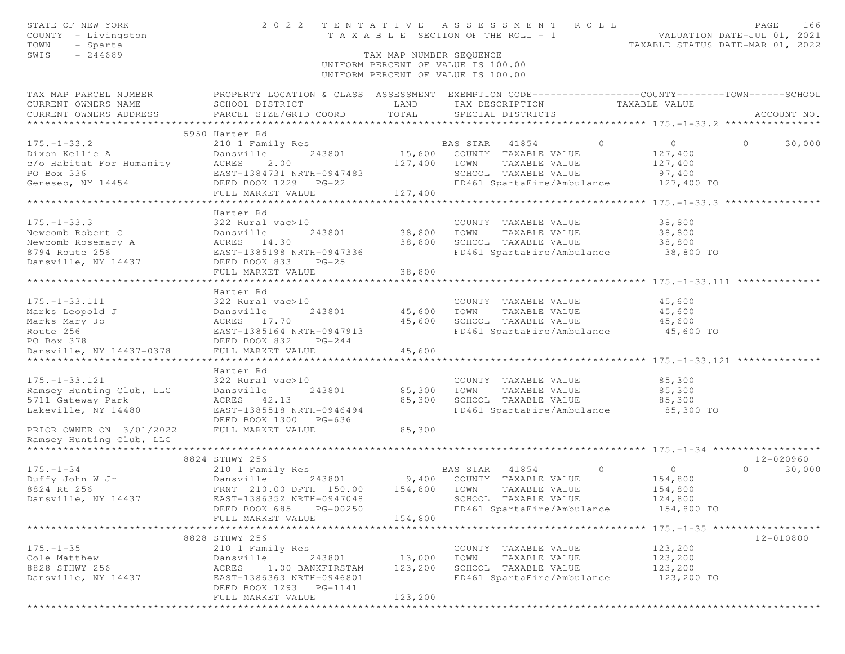| STATE OF NEW YORK<br>COUNTY - Livingston<br>TOWN<br>- Sparta<br>SWIS<br>$-244689$ |                                                                                                  | TAX MAP NUMBER SEOUENCE | 2022 TENTATIVE ASSESSMENT<br>ROLL<br>T A X A B L E SECTION OF THE ROLL - 1<br>UNIFORM PERCENT OF VALUE IS 100.00<br>UNIFORM PERCENT OF VALUE IS 100.00 | VALUATION DATE-JUL 01, 2021                          | PAGE<br>166<br>TAXABLE STATUS DATE-MAR 01, 2022 |
|-----------------------------------------------------------------------------------|--------------------------------------------------------------------------------------------------|-------------------------|--------------------------------------------------------------------------------------------------------------------------------------------------------|------------------------------------------------------|-------------------------------------------------|
| TAX MAP PARCEL NUMBER                                                             | PROPERTY LOCATION & CLASS ASSESSMENT EXEMPTION CODE----------------COUNTY-------TOWN------SCHOOL |                         |                                                                                                                                                        |                                                      |                                                 |
| CURRENT OWNERS NAME                                                               | SCHOOL DISTRICT                                                                                  | LAND                    | TAX DESCRIPTION                                                                                                                                        | TAXABLE VALUE                                        |                                                 |
| CURRENT OWNERS ADDRESS                                                            | PARCEL SIZE/GRID COORD                                                                           | TOTAL                   | SPECIAL DISTRICTS                                                                                                                                      |                                                      | ACCOUNT NO.                                     |
|                                                                                   | 5950 Harter Rd                                                                                   |                         |                                                                                                                                                        |                                                      |                                                 |
| $175. - 1 - 33.2$                                                                 | 210 1 Family Res                                                                                 |                         | BAS STAR 41854<br>$\Omega$                                                                                                                             | $\overline{0}$                                       | $\Omega$<br>30,000                              |
| Dixon Kellie A                                                                    | 243801<br>Dansville                                                                              |                         | 15,600 COUNTY TAXABLE VALUE                                                                                                                            | 127,400                                              |                                                 |
| c/o Habitat For Humanity                                                          | 2.00<br>ACRES                                                                                    | 127,400                 | TOWN<br>TAXABLE VALUE                                                                                                                                  | 127,400                                              |                                                 |
| PO Box 336                                                                        | EAST-1384731 NRTH-0947483                                                                        |                         | SCHOOL TAXABLE VALUE                                                                                                                                   | 97,400                                               |                                                 |
| Geneseo, NY 14454                                                                 | DEED BOOK 1229 PG-22                                                                             |                         | FD461 SpartaFire/Ambulance                                                                                                                             | 127,400 TO                                           |                                                 |
|                                                                                   | FULL MARKET VALUE                                                                                | 127,400                 |                                                                                                                                                        |                                                      |                                                 |
|                                                                                   |                                                                                                  |                         |                                                                                                                                                        |                                                      |                                                 |
| $175. - 1 - 33.3$                                                                 | Harter Rd<br>322 Rural vac>10                                                                    |                         | COUNTY TAXABLE VALUE                                                                                                                                   | 38,800                                               |                                                 |
| Newcomb Robert C                                                                  | Dansville<br>243801                                                                              | 38,800                  | TOWN<br>TAXABLE VALUE                                                                                                                                  | 38,800                                               |                                                 |
| Newcomb Rosemary A                                                                | ACRES 14.30                                                                                      | 38,800                  | SCHOOL TAXABLE VALUE                                                                                                                                   | 38,800                                               |                                                 |
| 8794 Route 256                                                                    | EAST-1385198 NRTH-0947336                                                                        |                         | FD461 SpartaFire/Ambulance 38,800 TO                                                                                                                   |                                                      |                                                 |
| Dansville, NY 14437                                                               | DEED BOOK 833<br>$PG-25$                                                                         |                         |                                                                                                                                                        |                                                      |                                                 |
|                                                                                   | FULL MARKET VALUE                                                                                | 38,800                  |                                                                                                                                                        |                                                      |                                                 |
|                                                                                   |                                                                                                  |                         |                                                                                                                                                        |                                                      |                                                 |
|                                                                                   | Harter Rd                                                                                        |                         |                                                                                                                                                        |                                                      |                                                 |
| $175. - 1 - 33.111$                                                               | 322 Rural vac>10                                                                                 |                         | COUNTY TAXABLE VALUE                                                                                                                                   | 45,600                                               |                                                 |
| Marks Leopold J                                                                   | Dansville<br>243801                                                                              | 45,600                  | TOWN<br>TAXABLE VALUE                                                                                                                                  | 45,600                                               |                                                 |
| Marks Mary Jo                                                                     | ACRES 17.70                                                                                      | 45,600                  | SCHOOL TAXABLE VALUE                                                                                                                                   | 45,600<br>45,600 TO                                  |                                                 |
| Route 256<br>PO Box 378                                                           | EAST-1385164 NRTH-0947913<br>DEED BOOK 832<br>$PG-244$                                           |                         | FD461 SpartaFire/Ambulance                                                                                                                             |                                                      |                                                 |
| Dansville, NY 14437-0378                                                          | FULL MARKET VALUE                                                                                | 45,600                  |                                                                                                                                                        |                                                      |                                                 |
|                                                                                   |                                                                                                  | * * * * * * * * * *     |                                                                                                                                                        | ********************** 175.-1-33.121 *************** |                                                 |
|                                                                                   | Harter Rd                                                                                        |                         |                                                                                                                                                        |                                                      |                                                 |
| $175. - 1 - 33.121$                                                               | 322 Rural vac>10                                                                                 |                         | COUNTY TAXABLE VALUE                                                                                                                                   | 85,300                                               |                                                 |
| Ramsey Hunting Club, LLC                                                          | Dansville<br>243801                                                                              | 85,300                  | TOWN<br>TAXABLE VALUE                                                                                                                                  | 85,300                                               |                                                 |
| 5711 Gateway Park                                                                 | ACRES 42.13                                                                                      | 85,300                  | SCHOOL TAXABLE VALUE                                                                                                                                   | 85,300                                               |                                                 |
| Lakeville, NY 14480                                                               | EAST-1385518 NRTH-0946494                                                                        |                         | FD461 SpartaFire/Ambulance                                                                                                                             | 85,300 TO                                            |                                                 |
|                                                                                   | DEED BOOK 1300 PG-636                                                                            |                         |                                                                                                                                                        |                                                      |                                                 |
| PRIOR OWNER ON 3/01/2022<br>Ramsey Hunting Club, LLC                              | FULL MARKET VALUE                                                                                | 85,300                  |                                                                                                                                                        |                                                      |                                                 |
|                                                                                   |                                                                                                  |                         |                                                                                                                                                        |                                                      |                                                 |
|                                                                                   | 8824 STHWY 256                                                                                   |                         |                                                                                                                                                        |                                                      | 12-020960                                       |
| $175. - 1 - 34$                                                                   | 210 1 Family Res                                                                                 |                         | $\circ$<br>41854<br>BAS STAR                                                                                                                           | $\circ$                                              | 30,000<br>$\Omega$                              |
| Duffy John W Jr                                                                   | Dansville<br>243801                                                                              |                         | 9,400 COUNTY TAXABLE VALUE                                                                                                                             | 154,800                                              |                                                 |
| 8824 Rt 256                                                                       | FRNT 210.00 DPTH 150.00                                                                          | 154,800                 | TOWN<br>TAXABLE VALUE                                                                                                                                  | 154,800                                              |                                                 |
| Dansville, NY 14437                                                               | EAST-1386352 NRTH-0947048                                                                        |                         | SCHOOL TAXABLE VALUE                                                                                                                                   | 124,800                                              |                                                 |
|                                                                                   | DEED BOOK 685<br>PG-00250                                                                        |                         | FD461 SpartaFire/Ambulance                                                                                                                             | 154,800 TO                                           |                                                 |
|                                                                                   | FULL MARKET VALUE                                                                                | 154,800                 |                                                                                                                                                        |                                                      |                                                 |
|                                                                                   |                                                                                                  |                         |                                                                                                                                                        |                                                      |                                                 |
| $175. - 1 - 35$                                                                   | 8828 STHWY 256<br>210 1 Family Res                                                               |                         | COUNTY TAXABLE VALUE                                                                                                                                   | 123,200                                              | 12-010800                                       |
| Cole Matthew                                                                      | Dansville<br>243801                                                                              | 13,000                  | TOWN<br>TAXABLE VALUE                                                                                                                                  | 123,200                                              |                                                 |
| 8828 STHWY 256                                                                    | ACRES<br>1.00 BANKFIRSTAM                                                                        | 123,200                 | SCHOOL TAXABLE VALUE                                                                                                                                   | 123,200                                              |                                                 |
| Dansville, NY 14437                                                               | EAST-1386363 NRTH-0946801                                                                        |                         | FD461 SpartaFire/Ambulance                                                                                                                             | 123,200 TO                                           |                                                 |
|                                                                                   | DEED BOOK 1293 PG-1141                                                                           |                         |                                                                                                                                                        |                                                      |                                                 |
|                                                                                   | FULL MARKET VALUE                                                                                | 123,200                 |                                                                                                                                                        |                                                      |                                                 |
|                                                                                   |                                                                                                  |                         |                                                                                                                                                        |                                                      |                                                 |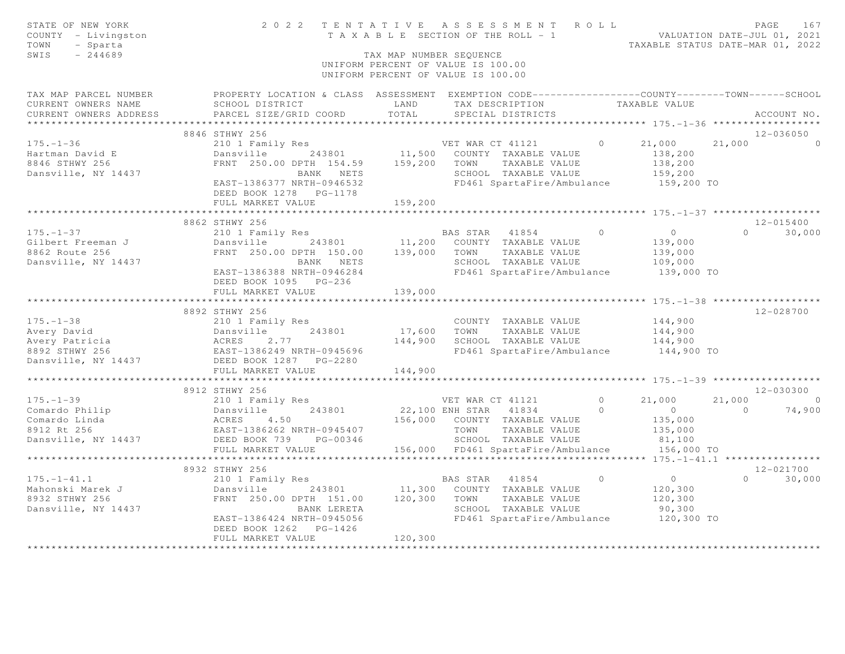| PROPERTY LOCATION & CLASS ASSESSMENT EXEMPTION CODE-----------------COUNTY-------TOWN------SCHOOL<br>TAX MAP PARCEL NUMBER<br>TAXABLE VALUE<br>CURRENT OWNERS NAME<br>SCHOOL DISTRICT<br>LAND<br>TAX DESCRIPTION<br>PARCEL SIZE/GRID COORD<br>TOTAL<br>CURRENT OWNERS ADDRESS<br>SPECIAL DISTRICTS<br>ACCOUNT NO.<br>8846 STHWY 256<br>12-036050<br>VET WAR CT 41121<br>$0 \t 21,000$<br>$175. - 1 - 36$<br>210 1 Family Res<br>21,000<br>$\Omega$<br>Dansville 243801 11,500 COUNTY TAXABLE VALUE<br>Hartman David E<br>138,200<br>8846 STHWY 256<br>FRNT 250.00 DPTH 154.59 159,200 TOWN<br>138,200<br>TAXABLE VALUE<br>Dansville, NY 14437<br>SCHOOL TAXABLE VALUE<br>159,200<br>BANK NETS<br>FD461 SpartaFire/Ambulance<br>EAST-1386377 NRTH-0946532<br>159,200 TO<br>DEED BOOK 1278 PG-1178<br>FULL MARKET VALUE<br>159,200<br>*************************<br>*************<br>******************************** 175. -1-37 ******************<br>8862 STHWY 256<br>12-015400<br>$\overline{0}$<br>$175. - 1 - 37$<br>$\circ$<br>30,000<br>210 1 Family Res<br>BAS STAR 41854<br>$\Omega$<br>Dansville 243801<br>11,200 COUNTY TAXABLE VALUE<br>Gilbert Freeman J<br>139,000<br>FRNT 250.00 DPTH 150.00 139,000 TOWN<br>TAXABLE VALUE<br>8862 Route 256<br>139,000<br>SCHOOL TAXABLE VALUE<br>Dansville, NY 14437<br>109,000<br>BANK NETS<br>EAST-1386388 NRTH-0946284<br>FD461 SpartaFire/Ambulance<br>139,000 TO<br>DEED BOOK 1095 PG-236<br>139,000<br>FULL MARKET VALUE<br>8892 STHWY 256<br>12-028700<br>$175. - 1 - 38$<br>210 1 Family Res<br>COUNTY TAXABLE VALUE<br>144,900<br>17,600 TOWN TAXABLE VALUE<br>243801<br>144,900<br>144,900 SCHOOL TAXABLE VALUE<br>144,900<br>FD461 SpartaFire/Ambulance<br>144,900 TO<br>Dansville, NY 14437<br>DEED BOOK 1287 PG-2280<br>144,900<br>FULL MARKET VALUE<br>*************************<br>12-030300<br>8912 STHWY 256<br>210 1 Family Res<br>VET WAR CT 41121<br>$\bigcirc$<br>21,000<br>21,000<br>$\sim$ 0 $\sim$ 0 $\sim$<br>Dansville 243801 22,100 E<br>ACRES 4.50 156,000<br>EAST-1386262 NRTH-0945407<br>DEED BOOK 739 PG-00346<br>22,100 ENH STAR 41834<br>175.-1-35<br>Comardo Philip<br>Comardo Philip<br>$\circ$<br>$\overline{0}$<br>$\sim$ 0<br>74,900<br>156,000 COUNTY TAXABLE VALUE<br>135,000<br>8912 Rt 256<br>TOWN<br>TAXABLE VALUE<br>135,000<br>SCHOOL TAXABLE VALUE<br>Dansville, NY 14437<br>81,100<br>156,000 TO<br>156,000 FD461 SpartaFire/Ambulance<br>FULL MARKET VALUE<br>************************<br>8932 STHWY 256<br>12-021700<br>$175. - 1 - 41.1$<br>$\overline{0}$<br>$\overline{0}$<br>$0 \t 30,000$<br>210 1 Family Res<br>BAS STAR 41854<br>Mahonski Marek J<br>8932 STHWY 256<br>243801 11,300 COUNTY TAXABLE VALUE<br>Dansville<br>120,300<br>FRNT 250.00 DPTH 151.00<br>120,300<br>8932 STHWY 256<br>TOWN TAXABLE VALUE<br>120,300<br>SCHOOL TAXABLE VALUE<br>Dansville, NY 14437<br>BANK LERETA<br>90,300<br>FD461 SpartaFire/Ambulance 120,300 TO<br>EAST-1386424 NRTH-0945056<br>DEED BOOK 1262 PG-1426<br>120,300<br>FULL MARKET VALUE | STATE OF NEW YORK<br>COUNTY - Livingston<br>- Sparta<br>TOWN<br>SWIS<br>$-244689$ | TAX MAP NUMBER SEOUENCE | TENTATIVE ASSESSMENT ROLL PAGE 167<br>TAXABLE SECTION OF THE ROLL - 1 VALUATION DATE-JUL 01, 2021<br>TAXABLE STATUS DATE-MAR 01, 2022<br>2022 TENTATIVE ASSESSMENT ROLL<br>UNIFORM PERCENT OF VALUE IS 100.00<br>UNIFORM PERCENT OF VALUE IS 100.00 |  |  |
|-------------------------------------------------------------------------------------------------------------------------------------------------------------------------------------------------------------------------------------------------------------------------------------------------------------------------------------------------------------------------------------------------------------------------------------------------------------------------------------------------------------------------------------------------------------------------------------------------------------------------------------------------------------------------------------------------------------------------------------------------------------------------------------------------------------------------------------------------------------------------------------------------------------------------------------------------------------------------------------------------------------------------------------------------------------------------------------------------------------------------------------------------------------------------------------------------------------------------------------------------------------------------------------------------------------------------------------------------------------------------------------------------------------------------------------------------------------------------------------------------------------------------------------------------------------------------------------------------------------------------------------------------------------------------------------------------------------------------------------------------------------------------------------------------------------------------------------------------------------------------------------------------------------------------------------------------------------------------------------------------------------------------------------------------------------------------------------------------------------------------------------------------------------------------------------------------------------------------------------------------------------------------------------------------------------------------------------------------------------------------------------------------------------------------------------------------------------------------------------------------------------------------------------------------------------------------------------------------------------------------------------------------------------------------------------------------------------------------------------------------------------------------------------------------------------------------------------------------------------------------------------------------------------------------------------------------------------------------------------------------------------------------------------------|-----------------------------------------------------------------------------------|-------------------------|-----------------------------------------------------------------------------------------------------------------------------------------------------------------------------------------------------------------------------------------------------|--|--|
|                                                                                                                                                                                                                                                                                                                                                                                                                                                                                                                                                                                                                                                                                                                                                                                                                                                                                                                                                                                                                                                                                                                                                                                                                                                                                                                                                                                                                                                                                                                                                                                                                                                                                                                                                                                                                                                                                                                                                                                                                                                                                                                                                                                                                                                                                                                                                                                                                                                                                                                                                                                                                                                                                                                                                                                                                                                                                                                                                                                                                                           |                                                                                   |                         |                                                                                                                                                                                                                                                     |  |  |
|                                                                                                                                                                                                                                                                                                                                                                                                                                                                                                                                                                                                                                                                                                                                                                                                                                                                                                                                                                                                                                                                                                                                                                                                                                                                                                                                                                                                                                                                                                                                                                                                                                                                                                                                                                                                                                                                                                                                                                                                                                                                                                                                                                                                                                                                                                                                                                                                                                                                                                                                                                                                                                                                                                                                                                                                                                                                                                                                                                                                                                           |                                                                                   |                         |                                                                                                                                                                                                                                                     |  |  |
|                                                                                                                                                                                                                                                                                                                                                                                                                                                                                                                                                                                                                                                                                                                                                                                                                                                                                                                                                                                                                                                                                                                                                                                                                                                                                                                                                                                                                                                                                                                                                                                                                                                                                                                                                                                                                                                                                                                                                                                                                                                                                                                                                                                                                                                                                                                                                                                                                                                                                                                                                                                                                                                                                                                                                                                                                                                                                                                                                                                                                                           |                                                                                   |                         |                                                                                                                                                                                                                                                     |  |  |
|                                                                                                                                                                                                                                                                                                                                                                                                                                                                                                                                                                                                                                                                                                                                                                                                                                                                                                                                                                                                                                                                                                                                                                                                                                                                                                                                                                                                                                                                                                                                                                                                                                                                                                                                                                                                                                                                                                                                                                                                                                                                                                                                                                                                                                                                                                                                                                                                                                                                                                                                                                                                                                                                                                                                                                                                                                                                                                                                                                                                                                           |                                                                                   |                         |                                                                                                                                                                                                                                                     |  |  |
|                                                                                                                                                                                                                                                                                                                                                                                                                                                                                                                                                                                                                                                                                                                                                                                                                                                                                                                                                                                                                                                                                                                                                                                                                                                                                                                                                                                                                                                                                                                                                                                                                                                                                                                                                                                                                                                                                                                                                                                                                                                                                                                                                                                                                                                                                                                                                                                                                                                                                                                                                                                                                                                                                                                                                                                                                                                                                                                                                                                                                                           |                                                                                   |                         |                                                                                                                                                                                                                                                     |  |  |
|                                                                                                                                                                                                                                                                                                                                                                                                                                                                                                                                                                                                                                                                                                                                                                                                                                                                                                                                                                                                                                                                                                                                                                                                                                                                                                                                                                                                                                                                                                                                                                                                                                                                                                                                                                                                                                                                                                                                                                                                                                                                                                                                                                                                                                                                                                                                                                                                                                                                                                                                                                                                                                                                                                                                                                                                                                                                                                                                                                                                                                           |                                                                                   |                         |                                                                                                                                                                                                                                                     |  |  |
|                                                                                                                                                                                                                                                                                                                                                                                                                                                                                                                                                                                                                                                                                                                                                                                                                                                                                                                                                                                                                                                                                                                                                                                                                                                                                                                                                                                                                                                                                                                                                                                                                                                                                                                                                                                                                                                                                                                                                                                                                                                                                                                                                                                                                                                                                                                                                                                                                                                                                                                                                                                                                                                                                                                                                                                                                                                                                                                                                                                                                                           |                                                                                   |                         |                                                                                                                                                                                                                                                     |  |  |
|                                                                                                                                                                                                                                                                                                                                                                                                                                                                                                                                                                                                                                                                                                                                                                                                                                                                                                                                                                                                                                                                                                                                                                                                                                                                                                                                                                                                                                                                                                                                                                                                                                                                                                                                                                                                                                                                                                                                                                                                                                                                                                                                                                                                                                                                                                                                                                                                                                                                                                                                                                                                                                                                                                                                                                                                                                                                                                                                                                                                                                           |                                                                                   |                         |                                                                                                                                                                                                                                                     |  |  |
|                                                                                                                                                                                                                                                                                                                                                                                                                                                                                                                                                                                                                                                                                                                                                                                                                                                                                                                                                                                                                                                                                                                                                                                                                                                                                                                                                                                                                                                                                                                                                                                                                                                                                                                                                                                                                                                                                                                                                                                                                                                                                                                                                                                                                                                                                                                                                                                                                                                                                                                                                                                                                                                                                                                                                                                                                                                                                                                                                                                                                                           |                                                                                   |                         |                                                                                                                                                                                                                                                     |  |  |
|                                                                                                                                                                                                                                                                                                                                                                                                                                                                                                                                                                                                                                                                                                                                                                                                                                                                                                                                                                                                                                                                                                                                                                                                                                                                                                                                                                                                                                                                                                                                                                                                                                                                                                                                                                                                                                                                                                                                                                                                                                                                                                                                                                                                                                                                                                                                                                                                                                                                                                                                                                                                                                                                                                                                                                                                                                                                                                                                                                                                                                           |                                                                                   |                         |                                                                                                                                                                                                                                                     |  |  |
|                                                                                                                                                                                                                                                                                                                                                                                                                                                                                                                                                                                                                                                                                                                                                                                                                                                                                                                                                                                                                                                                                                                                                                                                                                                                                                                                                                                                                                                                                                                                                                                                                                                                                                                                                                                                                                                                                                                                                                                                                                                                                                                                                                                                                                                                                                                                                                                                                                                                                                                                                                                                                                                                                                                                                                                                                                                                                                                                                                                                                                           |                                                                                   |                         |                                                                                                                                                                                                                                                     |  |  |
|                                                                                                                                                                                                                                                                                                                                                                                                                                                                                                                                                                                                                                                                                                                                                                                                                                                                                                                                                                                                                                                                                                                                                                                                                                                                                                                                                                                                                                                                                                                                                                                                                                                                                                                                                                                                                                                                                                                                                                                                                                                                                                                                                                                                                                                                                                                                                                                                                                                                                                                                                                                                                                                                                                                                                                                                                                                                                                                                                                                                                                           |                                                                                   |                         |                                                                                                                                                                                                                                                     |  |  |
|                                                                                                                                                                                                                                                                                                                                                                                                                                                                                                                                                                                                                                                                                                                                                                                                                                                                                                                                                                                                                                                                                                                                                                                                                                                                                                                                                                                                                                                                                                                                                                                                                                                                                                                                                                                                                                                                                                                                                                                                                                                                                                                                                                                                                                                                                                                                                                                                                                                                                                                                                                                                                                                                                                                                                                                                                                                                                                                                                                                                                                           |                                                                                   |                         |                                                                                                                                                                                                                                                     |  |  |
|                                                                                                                                                                                                                                                                                                                                                                                                                                                                                                                                                                                                                                                                                                                                                                                                                                                                                                                                                                                                                                                                                                                                                                                                                                                                                                                                                                                                                                                                                                                                                                                                                                                                                                                                                                                                                                                                                                                                                                                                                                                                                                                                                                                                                                                                                                                                                                                                                                                                                                                                                                                                                                                                                                                                                                                                                                                                                                                                                                                                                                           |                                                                                   |                         |                                                                                                                                                                                                                                                     |  |  |
|                                                                                                                                                                                                                                                                                                                                                                                                                                                                                                                                                                                                                                                                                                                                                                                                                                                                                                                                                                                                                                                                                                                                                                                                                                                                                                                                                                                                                                                                                                                                                                                                                                                                                                                                                                                                                                                                                                                                                                                                                                                                                                                                                                                                                                                                                                                                                                                                                                                                                                                                                                                                                                                                                                                                                                                                                                                                                                                                                                                                                                           |                                                                                   |                         |                                                                                                                                                                                                                                                     |  |  |
|                                                                                                                                                                                                                                                                                                                                                                                                                                                                                                                                                                                                                                                                                                                                                                                                                                                                                                                                                                                                                                                                                                                                                                                                                                                                                                                                                                                                                                                                                                                                                                                                                                                                                                                                                                                                                                                                                                                                                                                                                                                                                                                                                                                                                                                                                                                                                                                                                                                                                                                                                                                                                                                                                                                                                                                                                                                                                                                                                                                                                                           |                                                                                   |                         |                                                                                                                                                                                                                                                     |  |  |
|                                                                                                                                                                                                                                                                                                                                                                                                                                                                                                                                                                                                                                                                                                                                                                                                                                                                                                                                                                                                                                                                                                                                                                                                                                                                                                                                                                                                                                                                                                                                                                                                                                                                                                                                                                                                                                                                                                                                                                                                                                                                                                                                                                                                                                                                                                                                                                                                                                                                                                                                                                                                                                                                                                                                                                                                                                                                                                                                                                                                                                           |                                                                                   |                         |                                                                                                                                                                                                                                                     |  |  |
|                                                                                                                                                                                                                                                                                                                                                                                                                                                                                                                                                                                                                                                                                                                                                                                                                                                                                                                                                                                                                                                                                                                                                                                                                                                                                                                                                                                                                                                                                                                                                                                                                                                                                                                                                                                                                                                                                                                                                                                                                                                                                                                                                                                                                                                                                                                                                                                                                                                                                                                                                                                                                                                                                                                                                                                                                                                                                                                                                                                                                                           |                                                                                   |                         |                                                                                                                                                                                                                                                     |  |  |
|                                                                                                                                                                                                                                                                                                                                                                                                                                                                                                                                                                                                                                                                                                                                                                                                                                                                                                                                                                                                                                                                                                                                                                                                                                                                                                                                                                                                                                                                                                                                                                                                                                                                                                                                                                                                                                                                                                                                                                                                                                                                                                                                                                                                                                                                                                                                                                                                                                                                                                                                                                                                                                                                                                                                                                                                                                                                                                                                                                                                                                           |                                                                                   |                         |                                                                                                                                                                                                                                                     |  |  |
|                                                                                                                                                                                                                                                                                                                                                                                                                                                                                                                                                                                                                                                                                                                                                                                                                                                                                                                                                                                                                                                                                                                                                                                                                                                                                                                                                                                                                                                                                                                                                                                                                                                                                                                                                                                                                                                                                                                                                                                                                                                                                                                                                                                                                                                                                                                                                                                                                                                                                                                                                                                                                                                                                                                                                                                                                                                                                                                                                                                                                                           |                                                                                   |                         |                                                                                                                                                                                                                                                     |  |  |
|                                                                                                                                                                                                                                                                                                                                                                                                                                                                                                                                                                                                                                                                                                                                                                                                                                                                                                                                                                                                                                                                                                                                                                                                                                                                                                                                                                                                                                                                                                                                                                                                                                                                                                                                                                                                                                                                                                                                                                                                                                                                                                                                                                                                                                                                                                                                                                                                                                                                                                                                                                                                                                                                                                                                                                                                                                                                                                                                                                                                                                           |                                                                                   |                         |                                                                                                                                                                                                                                                     |  |  |
|                                                                                                                                                                                                                                                                                                                                                                                                                                                                                                                                                                                                                                                                                                                                                                                                                                                                                                                                                                                                                                                                                                                                                                                                                                                                                                                                                                                                                                                                                                                                                                                                                                                                                                                                                                                                                                                                                                                                                                                                                                                                                                                                                                                                                                                                                                                                                                                                                                                                                                                                                                                                                                                                                                                                                                                                                                                                                                                                                                                                                                           |                                                                                   |                         |                                                                                                                                                                                                                                                     |  |  |
|                                                                                                                                                                                                                                                                                                                                                                                                                                                                                                                                                                                                                                                                                                                                                                                                                                                                                                                                                                                                                                                                                                                                                                                                                                                                                                                                                                                                                                                                                                                                                                                                                                                                                                                                                                                                                                                                                                                                                                                                                                                                                                                                                                                                                                                                                                                                                                                                                                                                                                                                                                                                                                                                                                                                                                                                                                                                                                                                                                                                                                           |                                                                                   |                         |                                                                                                                                                                                                                                                     |  |  |
|                                                                                                                                                                                                                                                                                                                                                                                                                                                                                                                                                                                                                                                                                                                                                                                                                                                                                                                                                                                                                                                                                                                                                                                                                                                                                                                                                                                                                                                                                                                                                                                                                                                                                                                                                                                                                                                                                                                                                                                                                                                                                                                                                                                                                                                                                                                                                                                                                                                                                                                                                                                                                                                                                                                                                                                                                                                                                                                                                                                                                                           |                                                                                   |                         |                                                                                                                                                                                                                                                     |  |  |
|                                                                                                                                                                                                                                                                                                                                                                                                                                                                                                                                                                                                                                                                                                                                                                                                                                                                                                                                                                                                                                                                                                                                                                                                                                                                                                                                                                                                                                                                                                                                                                                                                                                                                                                                                                                                                                                                                                                                                                                                                                                                                                                                                                                                                                                                                                                                                                                                                                                                                                                                                                                                                                                                                                                                                                                                                                                                                                                                                                                                                                           |                                                                                   |                         |                                                                                                                                                                                                                                                     |  |  |
|                                                                                                                                                                                                                                                                                                                                                                                                                                                                                                                                                                                                                                                                                                                                                                                                                                                                                                                                                                                                                                                                                                                                                                                                                                                                                                                                                                                                                                                                                                                                                                                                                                                                                                                                                                                                                                                                                                                                                                                                                                                                                                                                                                                                                                                                                                                                                                                                                                                                                                                                                                                                                                                                                                                                                                                                                                                                                                                                                                                                                                           |                                                                                   |                         |                                                                                                                                                                                                                                                     |  |  |
|                                                                                                                                                                                                                                                                                                                                                                                                                                                                                                                                                                                                                                                                                                                                                                                                                                                                                                                                                                                                                                                                                                                                                                                                                                                                                                                                                                                                                                                                                                                                                                                                                                                                                                                                                                                                                                                                                                                                                                                                                                                                                                                                                                                                                                                                                                                                                                                                                                                                                                                                                                                                                                                                                                                                                                                                                                                                                                                                                                                                                                           |                                                                                   |                         |                                                                                                                                                                                                                                                     |  |  |
|                                                                                                                                                                                                                                                                                                                                                                                                                                                                                                                                                                                                                                                                                                                                                                                                                                                                                                                                                                                                                                                                                                                                                                                                                                                                                                                                                                                                                                                                                                                                                                                                                                                                                                                                                                                                                                                                                                                                                                                                                                                                                                                                                                                                                                                                                                                                                                                                                                                                                                                                                                                                                                                                                                                                                                                                                                                                                                                                                                                                                                           |                                                                                   |                         |                                                                                                                                                                                                                                                     |  |  |
|                                                                                                                                                                                                                                                                                                                                                                                                                                                                                                                                                                                                                                                                                                                                                                                                                                                                                                                                                                                                                                                                                                                                                                                                                                                                                                                                                                                                                                                                                                                                                                                                                                                                                                                                                                                                                                                                                                                                                                                                                                                                                                                                                                                                                                                                                                                                                                                                                                                                                                                                                                                                                                                                                                                                                                                                                                                                                                                                                                                                                                           |                                                                                   |                         |                                                                                                                                                                                                                                                     |  |  |
|                                                                                                                                                                                                                                                                                                                                                                                                                                                                                                                                                                                                                                                                                                                                                                                                                                                                                                                                                                                                                                                                                                                                                                                                                                                                                                                                                                                                                                                                                                                                                                                                                                                                                                                                                                                                                                                                                                                                                                                                                                                                                                                                                                                                                                                                                                                                                                                                                                                                                                                                                                                                                                                                                                                                                                                                                                                                                                                                                                                                                                           |                                                                                   |                         |                                                                                                                                                                                                                                                     |  |  |
|                                                                                                                                                                                                                                                                                                                                                                                                                                                                                                                                                                                                                                                                                                                                                                                                                                                                                                                                                                                                                                                                                                                                                                                                                                                                                                                                                                                                                                                                                                                                                                                                                                                                                                                                                                                                                                                                                                                                                                                                                                                                                                                                                                                                                                                                                                                                                                                                                                                                                                                                                                                                                                                                                                                                                                                                                                                                                                                                                                                                                                           |                                                                                   |                         |                                                                                                                                                                                                                                                     |  |  |
|                                                                                                                                                                                                                                                                                                                                                                                                                                                                                                                                                                                                                                                                                                                                                                                                                                                                                                                                                                                                                                                                                                                                                                                                                                                                                                                                                                                                                                                                                                                                                                                                                                                                                                                                                                                                                                                                                                                                                                                                                                                                                                                                                                                                                                                                                                                                                                                                                                                                                                                                                                                                                                                                                                                                                                                                                                                                                                                                                                                                                                           |                                                                                   |                         |                                                                                                                                                                                                                                                     |  |  |
|                                                                                                                                                                                                                                                                                                                                                                                                                                                                                                                                                                                                                                                                                                                                                                                                                                                                                                                                                                                                                                                                                                                                                                                                                                                                                                                                                                                                                                                                                                                                                                                                                                                                                                                                                                                                                                                                                                                                                                                                                                                                                                                                                                                                                                                                                                                                                                                                                                                                                                                                                                                                                                                                                                                                                                                                                                                                                                                                                                                                                                           |                                                                                   |                         |                                                                                                                                                                                                                                                     |  |  |
|                                                                                                                                                                                                                                                                                                                                                                                                                                                                                                                                                                                                                                                                                                                                                                                                                                                                                                                                                                                                                                                                                                                                                                                                                                                                                                                                                                                                                                                                                                                                                                                                                                                                                                                                                                                                                                                                                                                                                                                                                                                                                                                                                                                                                                                                                                                                                                                                                                                                                                                                                                                                                                                                                                                                                                                                                                                                                                                                                                                                                                           |                                                                                   |                         |                                                                                                                                                                                                                                                     |  |  |
|                                                                                                                                                                                                                                                                                                                                                                                                                                                                                                                                                                                                                                                                                                                                                                                                                                                                                                                                                                                                                                                                                                                                                                                                                                                                                                                                                                                                                                                                                                                                                                                                                                                                                                                                                                                                                                                                                                                                                                                                                                                                                                                                                                                                                                                                                                                                                                                                                                                                                                                                                                                                                                                                                                                                                                                                                                                                                                                                                                                                                                           |                                                                                   |                         |                                                                                                                                                                                                                                                     |  |  |
|                                                                                                                                                                                                                                                                                                                                                                                                                                                                                                                                                                                                                                                                                                                                                                                                                                                                                                                                                                                                                                                                                                                                                                                                                                                                                                                                                                                                                                                                                                                                                                                                                                                                                                                                                                                                                                                                                                                                                                                                                                                                                                                                                                                                                                                                                                                                                                                                                                                                                                                                                                                                                                                                                                                                                                                                                                                                                                                                                                                                                                           |                                                                                   |                         |                                                                                                                                                                                                                                                     |  |  |
|                                                                                                                                                                                                                                                                                                                                                                                                                                                                                                                                                                                                                                                                                                                                                                                                                                                                                                                                                                                                                                                                                                                                                                                                                                                                                                                                                                                                                                                                                                                                                                                                                                                                                                                                                                                                                                                                                                                                                                                                                                                                                                                                                                                                                                                                                                                                                                                                                                                                                                                                                                                                                                                                                                                                                                                                                                                                                                                                                                                                                                           |                                                                                   |                         |                                                                                                                                                                                                                                                     |  |  |
|                                                                                                                                                                                                                                                                                                                                                                                                                                                                                                                                                                                                                                                                                                                                                                                                                                                                                                                                                                                                                                                                                                                                                                                                                                                                                                                                                                                                                                                                                                                                                                                                                                                                                                                                                                                                                                                                                                                                                                                                                                                                                                                                                                                                                                                                                                                                                                                                                                                                                                                                                                                                                                                                                                                                                                                                                                                                                                                                                                                                                                           |                                                                                   |                         |                                                                                                                                                                                                                                                     |  |  |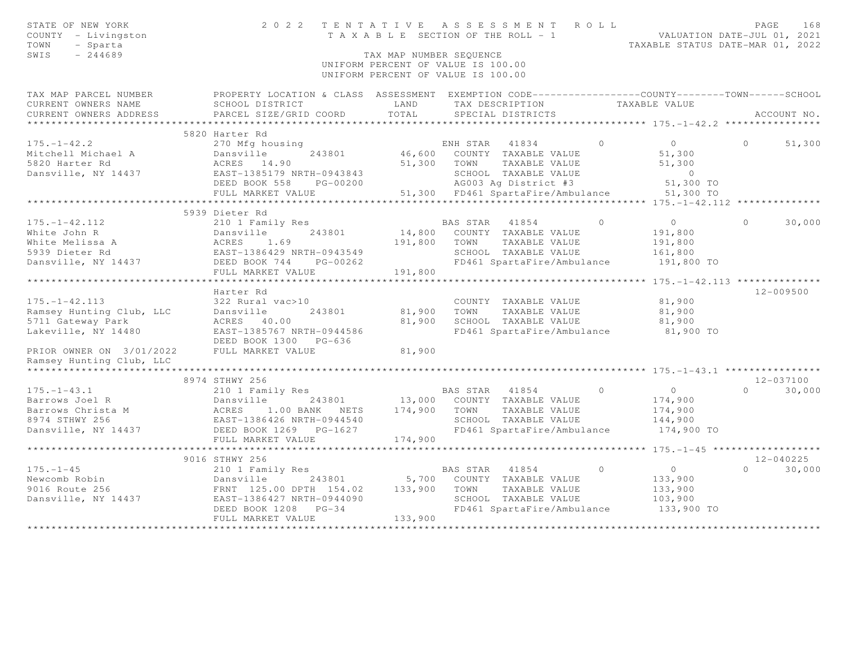| STATE OF NEW YORK<br>COUNTY - Livingston<br>- Sparta<br>TOWN<br>SWIS<br>$-244689$ | 2022 TENTATIVE ASSESSMENT ROLL                                                                   | T A X A B L E SECTION OF THE ROLL - 1<br>TAX MAP NUMBER SEOUENCE<br>UNIFORM PERCENT OF VALUE IS 100.00<br>UNIFORM PERCENT OF VALUE IS 100.00 |                |                                      |          | VALUATION DATE-JUL 01, 2021<br>TAXABLE STATUS DATE-MAR 01, 2022 | PAGE     | 168           |
|-----------------------------------------------------------------------------------|--------------------------------------------------------------------------------------------------|----------------------------------------------------------------------------------------------------------------------------------------------|----------------|--------------------------------------|----------|-----------------------------------------------------------------|----------|---------------|
| TAX MAP PARCEL NUMBER                                                             | PROPERTY LOCATION & CLASS ASSESSMENT EXEMPTION CODE----------------COUNTY-------TOWN------SCHOOL |                                                                                                                                              |                |                                      |          |                                                                 |          |               |
| CURRENT OWNERS NAME<br>CURRENT OWNERS ADDRESS                                     | SCHOOL DISTRICT<br>PARCEL SIZE/GRID COORD                                                        | LAND<br>TOTAL                                                                                                                                |                | TAX DESCRIPTION<br>SPECIAL DISTRICTS |          | TAXABLE VALUE                                                   |          | ACCOUNT NO.   |
| *********************                                                             | 5820 Harter Rd                                                                                   |                                                                                                                                              |                |                                      |          |                                                                 |          |               |
| $175. - 1 - 42.2$                                                                 | 270 Mfg housing                                                                                  |                                                                                                                                              |                | ENH STAR 41834                       | $\circ$  | $\overline{0}$                                                  | $\circ$  | 51,300        |
| Mitchell Michael A                                                                | Dansville<br>243801                                                                              |                                                                                                                                              |                | 46,600 COUNTY TAXABLE VALUE          |          | 51,300                                                          |          |               |
| 5820 Harter Rd                                                                    | ACRES 14.90                                                                                      |                                                                                                                                              | 51,300 TOWN    | TAXABLE VALUE                        |          | 51,300                                                          |          |               |
| Dansville, NY 14437                                                               | EAST-1385179 NRTH-0943843                                                                        |                                                                                                                                              |                | SCHOOL TAXABLE VALUE                 |          | $\overline{0}$                                                  |          |               |
|                                                                                   | DEED BOOK 558<br>PG-00200                                                                        |                                                                                                                                              |                | AG003 Ag District #3                 |          | 51,300 TO                                                       |          |               |
|                                                                                   | FULL MARKET VALUE                                                                                |                                                                                                                                              |                | 51,300 FD461 SpartaFire/Ambulance    |          | 51,300 TO                                                       |          |               |
|                                                                                   | ***********************                                                                          |                                                                                                                                              |                |                                      |          |                                                                 |          |               |
|                                                                                   | 5939 Dieter Rd                                                                                   |                                                                                                                                              |                |                                      |          |                                                                 |          |               |
| $175. - 1 - 42.112$                                                               | 210 1 Family Res                                                                                 |                                                                                                                                              | BAS STAR 41854 |                                      | $\Omega$ | $\overline{0}$                                                  | $\Omega$ | 30,000        |
| White John R                                                                      |                                                                                                  | 14,800                                                                                                                                       |                | COUNTY TAXABLE VALUE                 |          | 191,800                                                         |          |               |
| White Melissa A                                                                   |                                                                                                  | 191,800                                                                                                                                      | TOWN           | TAXABLE VALUE                        |          | 191,800                                                         |          |               |
| 5939 Dieter Rd                                                                    |                                                                                                  |                                                                                                                                              |                | SCHOOL TAXABLE VALUE                 |          | 161,800                                                         |          |               |
| Dansville, NY 14437                                                               | Dansville<br>ACRES 1.69<br>EAST-1386429 NRTH-0943549<br>DEED BOOK 744<br>DEED BOOK 744           |                                                                                                                                              |                | FD461 SpartaFire/Ambulance           |          | 191,800 TO                                                      |          |               |
|                                                                                   | FULL MARKET VALUE                                                                                | 191,800                                                                                                                                      |                |                                      |          |                                                                 |          |               |
|                                                                                   |                                                                                                  |                                                                                                                                              |                |                                      |          |                                                                 |          |               |
|                                                                                   | Harter Rd                                                                                        |                                                                                                                                              |                |                                      |          |                                                                 |          | 12-009500     |
| $175. - 1 - 42.113$                                                               | 322 Rural vac>10                                                                                 |                                                                                                                                              |                | COUNTY TAXABLE VALUE                 |          | 81,900                                                          |          |               |
| Ramsey Hunting Club, LLC                                                          | Dansville<br>243801                                                                              | 81,900                                                                                                                                       | TOWN           | TAXABLE VALUE                        |          | 81,900                                                          |          |               |
| 5711 Gateway Park                                                                 | ACRES 40.00                                                                                      | 81,900                                                                                                                                       |                | SCHOOL TAXABLE VALUE                 |          | 81,900                                                          |          |               |
| Lakeville, NY 14480                                                               | EAST-1385767 NRTH-0944586                                                                        |                                                                                                                                              |                | FD461 SpartaFire/Ambulance           |          | 81,900 TO                                                       |          |               |
|                                                                                   | DEED BOOK 1300 PG-636                                                                            |                                                                                                                                              |                |                                      |          |                                                                 |          |               |
| PRIOR OWNER ON 3/01/2022                                                          | FULL MARKET VALUE                                                                                | 81,900                                                                                                                                       |                |                                      |          |                                                                 |          |               |
| Ramsey Hunting Club, LLC                                                          |                                                                                                  |                                                                                                                                              |                |                                      |          |                                                                 |          |               |
|                                                                                   |                                                                                                  |                                                                                                                                              |                |                                      |          |                                                                 |          |               |
|                                                                                   | 8974 STHWY 256                                                                                   |                                                                                                                                              |                |                                      |          |                                                                 |          | 12-037100     |
| $175. - 1 - 43.1$                                                                 | 210 1 Family Res                                                                                 |                                                                                                                                              |                | BAS STAR 41854 0                     |          | $\overline{0}$                                                  | $\Omega$ | 30,000        |
| Barrows Joel R                                                                    | Dansville 243801<br>ACRES 1.00 BANK NETS<br>EAST-1386426 NRTH-0944540                            | 13,000                                                                                                                                       |                | COUNTY TAXABLE VALUE                 |          | 174,900                                                         |          |               |
| Barrows Christa M<br>8974 STHWY 256                                               | 1.00 BANK NETS 174,900                                                                           |                                                                                                                                              | TOWN           | TAXABLE VALUE                        |          | 174,900                                                         |          |               |
| 8974 STHWY 256                                                                    |                                                                                                  |                                                                                                                                              |                | SCHOOL TAXABLE VALUE                 |          | 144,900                                                         |          |               |
| Dansville, NY 14437                                                               | DEED BOOK 1269 PG-1627                                                                           |                                                                                                                                              |                | FD461 SpartaFire/Ambulance           |          | 174,900 TO                                                      |          |               |
|                                                                                   | FULL MARKET VALUE                                                                                | 174,900                                                                                                                                      |                |                                      |          |                                                                 |          |               |
|                                                                                   |                                                                                                  |                                                                                                                                              |                |                                      |          |                                                                 |          |               |
|                                                                                   | 9016 STHWY 256                                                                                   |                                                                                                                                              |                |                                      |          |                                                                 |          | $12 - 040225$ |
| $175. - 1 - 45$                                                                   | 210 1 Family Res                                                                                 |                                                                                                                                              | BAS STAR 41854 |                                      | $\circ$  | $\overline{0}$                                                  | $\Omega$ | 30,000        |
| Newcomb Robin                                                                     | Dansville 243801<br>FRNT 125.00 DPTH 154.02                                                      | 5,700                                                                                                                                        |                | COUNTY TAXABLE VALUE                 |          | 133,900                                                         |          |               |
| 9016 Route 256                                                                    |                                                                                                  | 133,900                                                                                                                                      | TOWN           | TAXABLE VALUE                        |          | 133,900                                                         |          |               |
| Dansville, NY 14437                                                               | EAST-1386427 NRTH-0944090                                                                        |                                                                                                                                              |                | SCHOOL TAXABLE VALUE                 |          | 103,900                                                         |          |               |
|                                                                                   | DEED BOOK 1208<br>$PG-34$                                                                        |                                                                                                                                              |                | FD461 SpartaFire/Ambulance           |          | 133,900 TO                                                      |          |               |
|                                                                                   | FULL MARKET VALUE                                                                                | 133,900                                                                                                                                      |                |                                      |          |                                                                 |          |               |
|                                                                                   |                                                                                                  |                                                                                                                                              |                |                                      |          |                                                                 |          |               |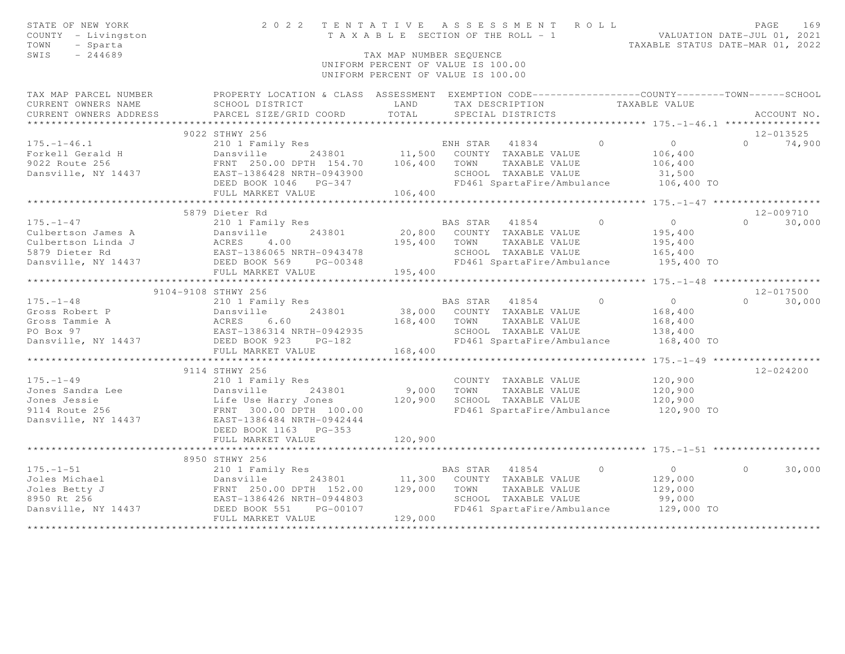| STATE OF NEW YORK<br>COUNTY - Livingston<br>TOWN<br>- Sparta<br>SWIS<br>$-244689$ | 2022 TENTATIVE ASSESSMENT ROLL                                                                       | TAX MAP NUMBER SEOUENCE<br>UNIFORM PERCENT OF VALUE IS 100.00<br>UNIFORM PERCENT OF VALUE IS 100.00 |                |                                                    |                | TAXABLE SECTION OF THE ROLL - 1 VALUATION DATE-JUL 01, 2021<br>TAXABLE STATUS DATE-MAR 01, 2022 | PAGE              | 169         |
|-----------------------------------------------------------------------------------|------------------------------------------------------------------------------------------------------|-----------------------------------------------------------------------------------------------------|----------------|----------------------------------------------------|----------------|-------------------------------------------------------------------------------------------------|-------------------|-------------|
| TAX MAP PARCEL NUMBER                                                             | PROPERTY LOCATION & CLASS ASSESSMENT EXEMPTION CODE-----------------COUNTY-------TOWN------SCHOOL    |                                                                                                     |                |                                                    |                |                                                                                                 |                   |             |
| CURRENT OWNERS NAME                                                               | SCHOOL DISTRICT                                                                                      | LAND                                                                                                |                | TAX DESCRIPTION                                    |                | TAXABLE VALUE                                                                                   |                   |             |
| CURRENT OWNERS ADDRESS                                                            | PARCEL SIZE/GRID COORD                                                                               | TOTAL                                                                                               |                | SPECIAL DISTRICTS                                  |                |                                                                                                 |                   | ACCOUNT NO. |
| ***********************                                                           |                                                                                                      |                                                                                                     |                |                                                    |                |                                                                                                 |                   |             |
|                                                                                   | 9022 STHWY 256                                                                                       |                                                                                                     |                |                                                    |                |                                                                                                 | $12 - 013525$     |             |
| $175. - 1 - 46.1$                                                                 | 210 1 Family Res                                                                                     |                                                                                                     |                | ENH STAR 41834 0                                   |                | $\overline{0}$                                                                                  | $\Omega$          | 74,900      |
| Forkell Gerald H                                                                  | Dansville<br>243801                                                                                  |                                                                                                     |                | 11,500 COUNTY TAXABLE VALUE                        |                | 106,400                                                                                         |                   |             |
| 9022 Route 256                                                                    | FRNT 250.00 DPTH 154.70 106,400 TOWN                                                                 |                                                                                                     |                | TAXABLE VALUE                                      |                | 106,400                                                                                         |                   |             |
| Dansville, NY 14437                                                               | EAST-1386428 NRTH-0943900                                                                            |                                                                                                     |                | SCHOOL TAXABLE VALUE<br>FD461 SpartaFire/Ambulance |                | 31,500                                                                                          |                   |             |
|                                                                                   | DEED BOOK 1046    PG-347<br>FULL MARKET VALUE                                                        | 106,400                                                                                             |                |                                                    |                | 106,400 TO                                                                                      |                   |             |
|                                                                                   |                                                                                                      |                                                                                                     |                |                                                    |                |                                                                                                 |                   |             |
|                                                                                   | 5879 Dieter Rd                                                                                       |                                                                                                     |                |                                                    |                |                                                                                                 | 12-009710         |             |
| $175. - 1 - 47$                                                                   | 210 1 Family Res                                                                                     |                                                                                                     | BAS STAR 41854 |                                                    | $\bigcirc$     | $\overline{O}$                                                                                  | $0 \t 30,000$     |             |
| Culbertson James A                                                                |                                                                                                      | 20,800                                                                                              |                | COUNTY TAXABLE VALUE                               |                | 195,400                                                                                         |                   |             |
| Culbertson Linda J                                                                |                                                                                                      |                                                                                                     | TOWN           | TAXABLE VALUE                                      |                | 195,400                                                                                         |                   |             |
| 5879 Dieter Rd                                                                    |                                                                                                      |                                                                                                     |                | SCHOOL TAXABLE VALUE                               |                | 165,400                                                                                         |                   |             |
| Dansville, NY 14437                                                               | Dansville 243801 20,800<br>ACRES 4.00 195,400<br>EAST-1386065 NRTH-0943478<br>DEED BOOK 569 PG-00348 |                                                                                                     |                | FD461 SpartaFire/Ambulance                         |                | 195,400 TO                                                                                      |                   |             |
|                                                                                   | FULL MARKET VALUE                                                                                    | 195,400                                                                                             |                |                                                    |                |                                                                                                 |                   |             |
|                                                                                   | ************************                                                                             |                                                                                                     |                |                                                    |                |                                                                                                 |                   |             |
|                                                                                   | 9104-9108 STHWY 256                                                                                  |                                                                                                     |                |                                                    |                |                                                                                                 | 12-017500         |             |
| $175. - 1 - 48$                                                                   | 210 1 Family Res                                                                                     |                                                                                                     |                | BAS STAR 41854                                     | $\overline{0}$ | $\overline{0}$                                                                                  | $0 \qquad \qquad$ | 30,000      |
| Gross Robert P                                                                    |                                                                                                      |                                                                                                     |                | 38,000 COUNTY TAXABLE VALUE                        |                | 168,400                                                                                         |                   |             |
| Gross Tammie A                                                                    |                                                                                                      | 168,400                                                                                             | TOWN           | TAXABLE VALUE                                      |                | 168,400                                                                                         |                   |             |
| PO Box 97                                                                         | 210 1 Family Res<br>Dansville         243801<br>ACRES     6.60<br>EAST-1386314 NRTH-0942935          |                                                                                                     |                | SCHOOL TAXABLE VALUE                               |                | 138,400                                                                                         |                   |             |
| Dansville, NY 14437                                                               | DEED BOOK 923<br>$PG-182$                                                                            |                                                                                                     |                | FD461 SpartaFire/Ambulance                         |                | 168,400 TO                                                                                      |                   |             |
|                                                                                   | FULL MARKET VALUE                                                                                    | 168,400                                                                                             |                |                                                    |                |                                                                                                 |                   |             |
|                                                                                   | ***********************                                                                              |                                                                                                     |                |                                                    |                |                                                                                                 |                   |             |
|                                                                                   | 9114 STHWY 256                                                                                       |                                                                                                     |                |                                                    |                |                                                                                                 | $12 - 024200$     |             |
| $175. - 1 - 49$                                                                   | 210 1 Family Res                                                                                     |                                                                                                     |                | COUNTY TAXABLE VALUE                               |                | 120,900                                                                                         |                   |             |
| Jones Sandra Lee                                                                  | Dansville<br>243801                                                                                  | 9,000                                                                                               | TOWN           | TAXABLE VALUE                                      |                | 120,900                                                                                         |                   |             |
| Jones Jessie                                                                      | Life Use Harry Jones<br>FRNT 300.00 DPTH 100.00                                                      | 120,900                                                                                             |                | SCHOOL TAXABLE VALUE                               |                | 120,900                                                                                         |                   |             |
| 9114 Route 256                                                                    |                                                                                                      |                                                                                                     |                |                                                    |                | FD461 SpartaFire/Ambulance 120,900 TO                                                           |                   |             |
| Dansville, NY 14437                                                               | EAST-1386484 NRTH-0942444                                                                            |                                                                                                     |                |                                                    |                |                                                                                                 |                   |             |
|                                                                                   | DEED BOOK 1163 PG-353                                                                                |                                                                                                     |                |                                                    |                |                                                                                                 |                   |             |
|                                                                                   | FULL MARKET VALUE                                                                                    | 120,900                                                                                             |                |                                                    |                |                                                                                                 |                   |             |
|                                                                                   |                                                                                                      |                                                                                                     |                |                                                    |                |                                                                                                 |                   |             |
| $175. - 1 - 51$                                                                   | 8950 STHWY 256<br>210 1 Family Res                                                                   |                                                                                                     | BAS STAR 41854 |                                                    | $\circ$        | $\overline{0}$                                                                                  | $\Omega$          | 30,000      |
| Joles Michael                                                                     |                                                                                                      | 11,300                                                                                              |                | COUNTY TAXABLE VALUE                               |                | 129,000                                                                                         |                   |             |
| Joles Betty J                                                                     |                                                                                                      | 129,000                                                                                             | TOWN           | TAXABLE VALUE                                      |                | 129,000                                                                                         |                   |             |
| 8950 Rt 256                                                                       |                                                                                                      |                                                                                                     |                | SCHOOL TAXABLE VALUE                               |                | 99,000                                                                                          |                   |             |
| Dansville, NY 14437                                                               | Dansville 243801<br>FRNT 250.00 DPTH 152.00<br>EAST-1386426 NRTH-0944803<br>DEED BOOK 551 PG-00107   |                                                                                                     |                | FD461 SpartaFire/Ambulance                         |                | 129,000 TO                                                                                      |                   |             |
|                                                                                   | FULL MARKET VALUE                                                                                    | 129,000                                                                                             |                |                                                    |                |                                                                                                 |                   |             |
|                                                                                   |                                                                                                      |                                                                                                     |                |                                                    |                |                                                                                                 |                   |             |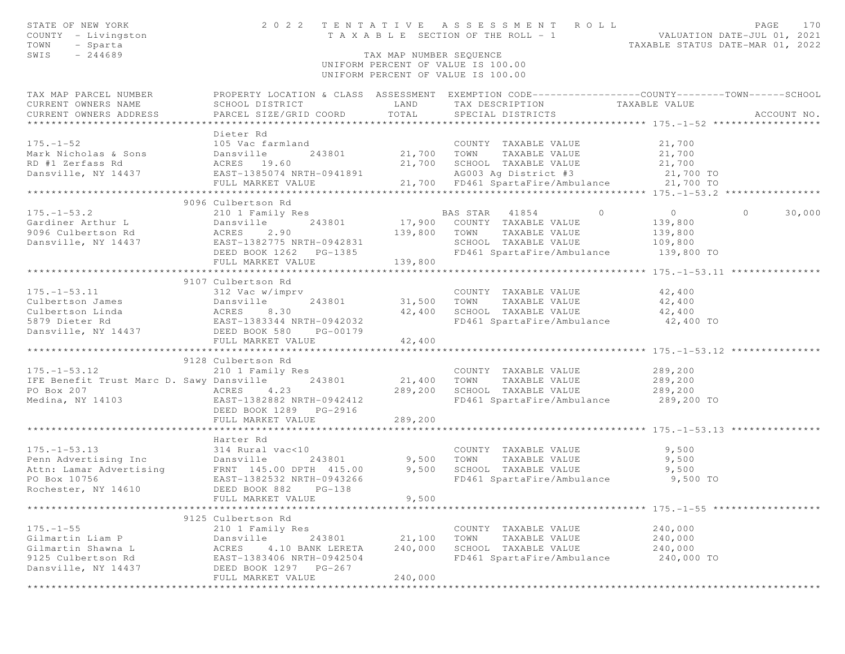| STATE OF NEW YORK<br>COUNTY - Livingston<br>TOWN<br>- Sparta<br>SWIS<br>$-244689$                                                                                                                                                                                                                                                                            |                                                                                              | TAX MAP NUMBER SEQUENCE | 2022 TENTATIVE ASSESSMENT ROLL<br>T A X A B L E SECTION OF THE ROLL - 1 VALUATION DATE-JUL 01, 2021                                                   | PAGE<br>TAXABLE STATUS DATE-MAR 01, 2022            | 170         |
|--------------------------------------------------------------------------------------------------------------------------------------------------------------------------------------------------------------------------------------------------------------------------------------------------------------------------------------------------------------|----------------------------------------------------------------------------------------------|-------------------------|-------------------------------------------------------------------------------------------------------------------------------------------------------|-----------------------------------------------------|-------------|
|                                                                                                                                                                                                                                                                                                                                                              |                                                                                              |                         | UNIFORM PERCENT OF VALUE IS 100.00<br>UNIFORM PERCENT OF VALUE IS 100.00                                                                              |                                                     |             |
| TAX MAP PARCEL NUMBER<br>CURRENT OWNERS NAME<br>CURRENT OWNERS ADDRESS                                                                                                                                                                                                                                                                                       | SCHOOL DISTRICT<br>PARCEL SIZE/GRID COORD                                                    | LAND<br>TOTAL           | PROPERTY LOCATION & CLASS ASSESSMENT EXEMPTION CODE---------------COUNTY-------TOWN------SCHOOL<br>TAX DESCRIPTION TAXABLE VALUE<br>SPECIAL DISTRICTS |                                                     | ACCOUNT NO. |
|                                                                                                                                                                                                                                                                                                                                                              | Dieter Rd                                                                                    |                         |                                                                                                                                                       |                                                     |             |
| $175. - 1 - 52$                                                                                                                                                                                                                                                                                                                                              | 105 Vac farmland                                                                             |                         | COUNTY TAXABLE VALUE                                                                                                                                  | 21,700                                              |             |
| Mark Nicholas & Sons                                                                                                                                                                                                                                                                                                                                         | 243801<br>Dansville<br>ACRES 19.60                                                           |                         | 21,700 TOWN TAXABLE VALUE                                                                                                                             | 21,700                                              |             |
| RD #1 Zerfass Rd                                                                                                                                                                                                                                                                                                                                             |                                                                                              |                         | 21,700 SCHOOL TAXABLE VALUE                                                                                                                           | 21,700                                              |             |
| Dansville, NY 14437                                                                                                                                                                                                                                                                                                                                          | EAST-1385074 NRTH-0941891                                                                    |                         | AG003 Ag District #3<br>21,700 FD461 SpartaFire/Ambulance 21,700 TO                                                                                   | 21,700 TO                                           |             |
|                                                                                                                                                                                                                                                                                                                                                              | FULL MARKET VALUE<br>**************************                                              |                         |                                                                                                                                                       |                                                     |             |
|                                                                                                                                                                                                                                                                                                                                                              | 9096 Culbertson Rd                                                                           |                         |                                                                                                                                                       |                                                     |             |
| $175. - 1 - 53.2$                                                                                                                                                                                                                                                                                                                                            | 210 1 Family Res                                                                             |                         | $\overline{0}$<br>BAS STAR 41854                                                                                                                      | $\overline{O}$<br>$\circ$                           | 30,000      |
| Gardiner Arthur L                                                                                                                                                                                                                                                                                                                                            | 210 1 1 2<br>Dansville<br>ACRES 2.90<br>EAST-1382775 NRTH-0942831<br>----- ROOK 1262 PG-1385 |                         | 17,900 COUNTY TAXABLE VALUE                                                                                                                           | 139,800                                             |             |
| 9096 Culbertson Rd                                                                                                                                                                                                                                                                                                                                           |                                                                                              | 139,800                 | TOWN<br>TAXABLE VALUE                                                                                                                                 | 139,800                                             |             |
| Dansville, NY 14437                                                                                                                                                                                                                                                                                                                                          |                                                                                              |                         | SCHOOL TAXABLE VALUE                                                                                                                                  | 109,800                                             |             |
|                                                                                                                                                                                                                                                                                                                                                              |                                                                                              |                         | FD461 SpartaFire/Ambulance 139,800 TO                                                                                                                 |                                                     |             |
|                                                                                                                                                                                                                                                                                                                                                              | FULL MARKET VALUE                                                                            | 139,800                 |                                                                                                                                                       |                                                     |             |
|                                                                                                                                                                                                                                                                                                                                                              | *************************                                                                    | **********              |                                                                                                                                                       | *************** 175.-1-53.11 ****************       |             |
|                                                                                                                                                                                                                                                                                                                                                              | 9107 Culbertson Rd<br>312 Vac w/imprv                                                        |                         |                                                                                                                                                       |                                                     |             |
|                                                                                                                                                                                                                                                                                                                                                              |                                                                                              | 31,500                  | COUNTY TAXABLE VALUE<br>TOWN<br>TAXABLE VALUE                                                                                                         | 42,400<br>42,400                                    |             |
|                                                                                                                                                                                                                                                                                                                                                              |                                                                                              | 42,400                  | SCHOOL TAXABLE VALUE                                                                                                                                  | 42,400                                              |             |
|                                                                                                                                                                                                                                                                                                                                                              |                                                                                              |                         | FD461 SpartaFire/Ambulance                                                                                                                            | 42,400 TO                                           |             |
| $\begin{tabular}{lllllllllll} 175.-1-53.11 & 312\text{Vac w/imprv} \\ {\texttt{Culbertson James}} & {\texttt{Dansville}} & 243801 \\ {\texttt{Culbertson Linda}} & {\texttt{ACRES}} & 8.30 \\ 5879\text{ Dieter Rd} & {\texttt{EAST-1383344 NRTH-0942032}} \\ {\texttt{Dansville, NY 14437}} & {\texttt{DEED BOOK 580}} & {\texttt{PG-00179}} \end{tabular}$ |                                                                                              |                         |                                                                                                                                                       |                                                     |             |
|                                                                                                                                                                                                                                                                                                                                                              | FULL MARKET VALUE                                                                            | 42,400                  |                                                                                                                                                       |                                                     |             |
|                                                                                                                                                                                                                                                                                                                                                              |                                                                                              |                         |                                                                                                                                                       |                                                     |             |
|                                                                                                                                                                                                                                                                                                                                                              | 9128 Culbertson Rd                                                                           |                         |                                                                                                                                                       |                                                     |             |
| $175. - 1 - 53.12$                                                                                                                                                                                                                                                                                                                                           | 210 1 Family Res                                                                             |                         | COUNTY TAXABLE VALUE                                                                                                                                  | 289,200                                             |             |
| IFE Benefit Trust Marc D. Sawy Dansville                                                                                                                                                                                                                                                                                                                     | 243801                                                                                       | 21,400<br>289,200       | TOWN<br>TAXABLE VALUE<br>SCHOOL TAXABLE VALUE                                                                                                         | 289,200<br>289,200                                  |             |
|                                                                                                                                                                                                                                                                                                                                                              |                                                                                              |                         | FD461 SpartaFire/Ambulance 289,200 TO                                                                                                                 |                                                     |             |
|                                                                                                                                                                                                                                                                                                                                                              | DEED BOOK 1289 PG-2916                                                                       |                         |                                                                                                                                                       |                                                     |             |
|                                                                                                                                                                                                                                                                                                                                                              | FULL MARKET VALUE                                                                            | 289,200                 |                                                                                                                                                       |                                                     |             |
|                                                                                                                                                                                                                                                                                                                                                              |                                                                                              |                         |                                                                                                                                                       |                                                     |             |
|                                                                                                                                                                                                                                                                                                                                                              | Harter Rd                                                                                    |                         |                                                                                                                                                       |                                                     |             |
| $175. - 1 - 53.13$                                                                                                                                                                                                                                                                                                                                           | 314 Rural vac<10                                                                             |                         | COUNTY TAXABLE VALUE                                                                                                                                  | 9,500                                               |             |
| Penn Advertising Inc and the Maria Vaccio<br>Penn Advertising Inc Dansville 243801 9,500<br>Attn: Lamar Advertising FRNT 1495.00 DPTH 415.00 9,500                                                                                                                                                                                                           |                                                                                              |                         | TOWN<br>TAXABLE VALUE                                                                                                                                 | 9,500                                               |             |
|                                                                                                                                                                                                                                                                                                                                                              |                                                                                              |                         | SCHOOL TAXABLE VALUE                                                                                                                                  | 9,500                                               |             |
| PO Box 10756<br>Rochester, NY 14610                                                                                                                                                                                                                                                                                                                          | EAST-1382532 NRTH-0943266<br>DEED BOOK 882<br>$PG-138$                                       |                         | FD461 SpartaFire/Ambulance                                                                                                                            | 9,500 TO                                            |             |
|                                                                                                                                                                                                                                                                                                                                                              | FULL MARKET VALUE                                                                            | 9,500                   |                                                                                                                                                       |                                                     |             |
| **************                                                                                                                                                                                                                                                                                                                                               |                                                                                              |                         |                                                                                                                                                       | ******************** 175. -1-55 ******************* |             |
|                                                                                                                                                                                                                                                                                                                                                              | 9125 Culbertson Rd                                                                           |                         |                                                                                                                                                       |                                                     |             |
| $175. - 1 - 55$                                                                                                                                                                                                                                                                                                                                              | 210 1 Family Res                                                                             |                         | COUNTY TAXABLE VALUE                                                                                                                                  | 240,000                                             |             |
| Gilmartin Liam P                                                                                                                                                                                                                                                                                                                                             | Dansville<br>243801                                                                          | 21,100                  | TOWN<br>TAXABLE VALUE                                                                                                                                 | 240,000                                             |             |
| Gilmartin Shawna L                                                                                                                                                                                                                                                                                                                                           | ACRES<br>4.10 BANK LERETA                                                                    | 240,000                 | SCHOOL TAXABLE VALUE                                                                                                                                  | 240,000                                             |             |
| 9125 Culbertson Rd                                                                                                                                                                                                                                                                                                                                           | EAST-1383406 NRTH-0942504                                                                    |                         | FD461 SpartaFire/Ambulance                                                                                                                            | 240,000 TO                                          |             |
| Dansville, NY 14437                                                                                                                                                                                                                                                                                                                                          | DEED BOOK 1297 PG-267                                                                        |                         |                                                                                                                                                       |                                                     |             |
| *********************                                                                                                                                                                                                                                                                                                                                        | FULL MARKET VALUE                                                                            | 240,000                 |                                                                                                                                                       |                                                     |             |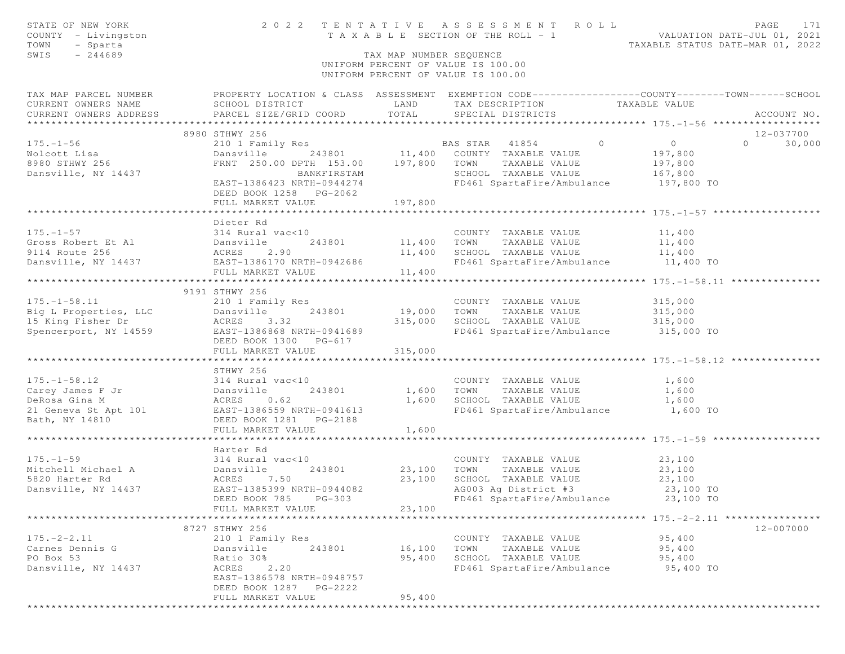| STATE OF NEW YORK<br>COUNTY - Livingston<br>TOWN<br>- Sparta<br>$-244689$<br>SWIS                                                                                                                                                    |                                                        | TAX MAP NUMBER SEQUENCE       | UNIFORM PERCENT OF VALUE IS 100.00<br>UNIFORM PERCENT OF VALUE IS 100.00                                                                                              |                                                                                                                      |
|--------------------------------------------------------------------------------------------------------------------------------------------------------------------------------------------------------------------------------------|--------------------------------------------------------|-------------------------------|-----------------------------------------------------------------------------------------------------------------------------------------------------------------------|----------------------------------------------------------------------------------------------------------------------|
|                                                                                                                                                                                                                                      |                                                        |                               |                                                                                                                                                                       |                                                                                                                      |
|                                                                                                                                                                                                                                      |                                                        |                               |                                                                                                                                                                       | TAX MAP PARCEL NUMBER FROPERTY LOCATION & CLASS ASSESSMENT EXEMPTION CODE---------------COUNTY-------TOWN-----SCHOOL |
|                                                                                                                                                                                                                                      |                                                        |                               | TAX DESCRIPTION TAXABLE VALUE<br>SPECIAL DISTRICTS                                                                                                                    | ACCOUNT NO.                                                                                                          |
|                                                                                                                                                                                                                                      |                                                        |                               |                                                                                                                                                                       |                                                                                                                      |
|                                                                                                                                                                                                                                      | 8980 STHWY 256                                         |                               |                                                                                                                                                                       | 12-037700                                                                                                            |
|                                                                                                                                                                                                                                      |                                                        |                               | 210 1 Family Res<br>243801 11,400 COUNTY TAXABLE VALUE 197,800<br>243801 11,400 COUNTY TAXABLE VALUE 197,800<br>250.00 DPTH 153.00 197,800 TOWN TAXABLE VALUE 197,800 | $0 \t 30,000$                                                                                                        |
| 175.–1–56<br>Wolcott Lisa<br>8980 STHWY 256                                                                                                                                                                                          |                                                        |                               |                                                                                                                                                                       |                                                                                                                      |
|                                                                                                                                                                                                                                      |                                                        |                               |                                                                                                                                                                       |                                                                                                                      |
| Dansville, NY 14437                                                                                                                                                                                                                  |                                                        |                               |                                                                                                                                                                       |                                                                                                                      |
|                                                                                                                                                                                                                                      | BANKFIRSTAM<br>EAST-1386423 NRTH-0944274               |                               | SCHOOL TAXABLE VALUE 167,800<br>FD461 SpartaFire/Ambulance 197,800 TO                                                                                                 |                                                                                                                      |
|                                                                                                                                                                                                                                      | DEED BOOK 1258 PG-2062                                 |                               |                                                                                                                                                                       |                                                                                                                      |
|                                                                                                                                                                                                                                      |                                                        |                               |                                                                                                                                                                       |                                                                                                                      |
|                                                                                                                                                                                                                                      |                                                        |                               |                                                                                                                                                                       |                                                                                                                      |
|                                                                                                                                                                                                                                      | Dieter Rd                                              |                               |                                                                                                                                                                       |                                                                                                                      |
|                                                                                                                                                                                                                                      |                                                        |                               |                                                                                                                                                                       |                                                                                                                      |
|                                                                                                                                                                                                                                      |                                                        |                               |                                                                                                                                                                       |                                                                                                                      |
|                                                                                                                                                                                                                                      |                                                        |                               |                                                                                                                                                                       |                                                                                                                      |
|                                                                                                                                                                                                                                      |                                                        |                               |                                                                                                                                                                       |                                                                                                                      |
|                                                                                                                                                                                                                                      | FULL MARKET VALUE                                      | 11,400                        |                                                                                                                                                                       |                                                                                                                      |
|                                                                                                                                                                                                                                      |                                                        |                               |                                                                                                                                                                       |                                                                                                                      |
|                                                                                                                                                                                                                                      | 9191 STHWY 256                                         |                               |                                                                                                                                                                       |                                                                                                                      |
|                                                                                                                                                                                                                                      |                                                        |                               |                                                                                                                                                                       |                                                                                                                      |
|                                                                                                                                                                                                                                      |                                                        |                               |                                                                                                                                                                       |                                                                                                                      |
| 175.-1-58.11 210 1 Family Res<br>Big L Properties, LLC Dansville 243801 19,000 TOWN TAXABLE VALUE 315,000<br>15 King Fisher Dr ACRES 3.32 315,000 SCHOOL TAXABLE VALUE 315,000<br>Spencerport, NY 14559 EAST-1386868 NRTH-0941689 FD |                                                        |                               | 315,000 SCHOOL TAXABLE VALUE 315,000<br>-0941689 FD461 SpartaFire/Ambulance 315,000 TO                                                                                |                                                                                                                      |
|                                                                                                                                                                                                                                      | DEED BOOK 1300 PG-617                                  |                               |                                                                                                                                                                       |                                                                                                                      |
|                                                                                                                                                                                                                                      | FULL MARKET VALUE                                      | 315,000                       |                                                                                                                                                                       |                                                                                                                      |
|                                                                                                                                                                                                                                      | **************************                             | * * * * * * * * * * * * * * * |                                                                                                                                                                       |                                                                                                                      |
|                                                                                                                                                                                                                                      | STHWY 256                                              |                               |                                                                                                                                                                       |                                                                                                                      |
|                                                                                                                                                                                                                                      |                                                        |                               |                                                                                                                                                                       |                                                                                                                      |
|                                                                                                                                                                                                                                      |                                                        |                               |                                                                                                                                                                       |                                                                                                                      |
|                                                                                                                                                                                                                                      |                                                        |                               |                                                                                                                                                                       |                                                                                                                      |
|                                                                                                                                                                                                                                      |                                                        |                               | FD461 SpartaFire/Ambulance 1,600 TO                                                                                                                                   |                                                                                                                      |
|                                                                                                                                                                                                                                      |                                                        |                               |                                                                                                                                                                       |                                                                                                                      |
|                                                                                                                                                                                                                                      | FULL MARKET VALUE                                      | 1,600                         |                                                                                                                                                                       |                                                                                                                      |
|                                                                                                                                                                                                                                      |                                                        |                               |                                                                                                                                                                       |                                                                                                                      |
|                                                                                                                                                                                                                                      | Harter Rd                                              |                               |                                                                                                                                                                       |                                                                                                                      |
|                                                                                                                                                                                                                                      |                                                        |                               | COUNTY TAXABLE VALUE 23,100                                                                                                                                           |                                                                                                                      |
|                                                                                                                                                                                                                                      |                                                        |                               |                                                                                                                                                                       |                                                                                                                      |
|                                                                                                                                                                                                                                      |                                                        |                               |                                                                                                                                                                       |                                                                                                                      |
| 175.-1-59<br>Mitchell Michael A 314 Rural vac<10<br>5820 Harter Rd 243801 23,100<br>5820 Harter Rd ACRES 7.50 23,100<br>23,100<br>23,100<br>23,100<br>23,100<br>23,100<br>23,100                                                     |                                                        |                               | AG003 Ag District #3 23,100 TO                                                                                                                                        |                                                                                                                      |
|                                                                                                                                                                                                                                      | DEED BOOK 785 PG-303                                   |                               | FD461 SpartaFire/Ambulance                                                                                                                                            | 23,100 TO                                                                                                            |
|                                                                                                                                                                                                                                      | FULL MARKET VALUE                                      | 23,100                        |                                                                                                                                                                       |                                                                                                                      |
|                                                                                                                                                                                                                                      | * * * * * * * * * * * * * * *                          |                               |                                                                                                                                                                       |                                                                                                                      |
|                                                                                                                                                                                                                                      | 8727 STHWY 256                                         |                               |                                                                                                                                                                       | 12-007000                                                                                                            |
| $175. - 2 - 2.11$                                                                                                                                                                                                                    | 210 1 Family Res                                       |                               | COUNTY TAXABLE VALUE                                                                                                                                                  | 95,400                                                                                                               |
| Carnes Dennis G                                                                                                                                                                                                                      | 243801<br>Dansville                                    | 16,100                        | TOWN<br>TAXABLE VALUE                                                                                                                                                 | 95,400                                                                                                               |
| PO Box 53                                                                                                                                                                                                                            | Ratio 30%                                              | 95,400                        | SCHOOL TAXABLE VALUE                                                                                                                                                  | 95,400                                                                                                               |
| Dansville, NY 14437                                                                                                                                                                                                                  | 2.20<br>ACRES                                          |                               | FD461 SpartaFire/Ambulance                                                                                                                                            | 95,400 TO                                                                                                            |
|                                                                                                                                                                                                                                      | EAST-1386578 NRTH-0948757<br>DEED BOOK 1287<br>PG-2222 |                               |                                                                                                                                                                       |                                                                                                                      |
|                                                                                                                                                                                                                                      | FULL MARKET VALUE                                      | 95,400                        |                                                                                                                                                                       |                                                                                                                      |
|                                                                                                                                                                                                                                      |                                                        |                               |                                                                                                                                                                       |                                                                                                                      |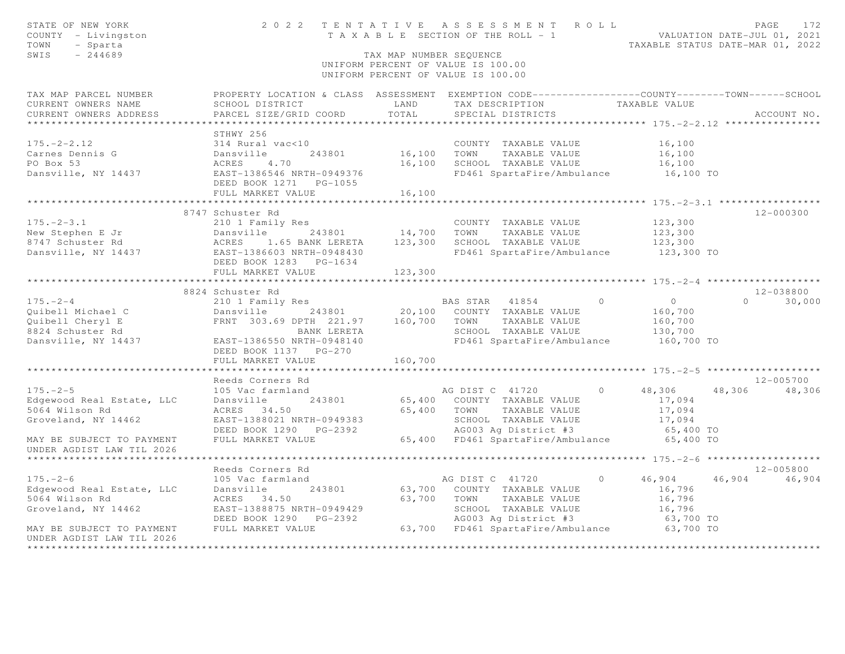| STATE OF NEW YORK<br>COUNTY - Livingston<br>TOWN<br>- Sparta<br>$-244689$<br>SWIS                                                                                                                                                      |                                                                                                                                                                                                                 | TAX MAP NUMBER SEQUENCE | 2022 TENTATIVE ASSESSMENT ROLL<br>UNIFORM PERCENT OF VALUE IS 100.00<br>UNIFORM PERCENT OF VALUE IS 100.00                                                                                    | PAGE<br>172<br>TENIAITVE ASSESSMENT ACEE<br>TAXABLE SECTION OF THE ROLL - 1<br>TAXABLE STATUS DATE-MAR 01, 2022                 |
|----------------------------------------------------------------------------------------------------------------------------------------------------------------------------------------------------------------------------------------|-----------------------------------------------------------------------------------------------------------------------------------------------------------------------------------------------------------------|-------------------------|-----------------------------------------------------------------------------------------------------------------------------------------------------------------------------------------------|---------------------------------------------------------------------------------------------------------------------------------|
| TAX MAP PARCEL NUMBER<br>CURRENT OWNERS NAME<br>CURRENT OWNERS ADDRESS                                                                                                                                                                 | SCHOOL DISTRICT<br>PARCEL SIZE/GRID COORD                                                                                                                                                                       | LAND<br>TOTAL           | TAX DESCRIPTION<br>SPECIAL DISTRICTS                                                                                                                                                          | PROPERTY LOCATION & CLASS ASSESSMENT EXEMPTION CODE----------------COUNTY-------TOWN-----SCHOOL<br>TAXABLE VALUE<br>ACCOUNT NO. |
| $175. - 2 - 2.12$<br>Carnes Dennis G<br>PO Box 53<br>Dansville, NY 14437                                                                                                                                                               | STHWY 256<br>314 Rural vac<10<br>Dansville<br>243801<br>ACRES<br>4,70<br>EAST-1386546 NRTH-0949376<br>DEED BOOK 1271    PG-1055<br>FULL MARKET VALUE                                                            | 16,100 TOWN<br>16,100   | COUNTY TAXABLE VALUE<br>TAXABLE VALUE<br>16,100 SCHOOL TAXABLE VALUE<br>FD461 SpartaFire/Ambulance                                                                                            | 16,100<br>16,100<br>16,100<br>16,100 TO                                                                                         |
| $175. - 2 - 3.1$<br>New Stephen E Jr and Dansville 243801 14,700 TOWN TAXABLE VALUE<br>8747 Schuster Rd ACRES 1.65 BANK LERETA 123,300 SCHOOL TAXABLE VALUE<br>Dansville, NY 14437 EAST-1386603 NRTH-0948430 FD461 SpartaFire/Ambulano | 8747 Schuster Rd<br>210 1 Family Res<br>DEED BOOK 1283 PG-1634                                                                                                                                                  |                         | COUNTY TAXABLE VALUE<br>FD461 SpartaFire/Ambulance 123,300 TO                                                                                                                                 | 12-000300<br>123,300<br>123,300<br>123,300                                                                                      |
|                                                                                                                                                                                                                                        | FULL MARKET VALUE                                                                                                                                                                                               | 123,300                 |                                                                                                                                                                                               |                                                                                                                                 |
| $175. - 2 - 4$<br>Quibell Michael C<br>Quibell Cheryl E<br>8824 Schuster Rd<br>Dansville, NY 14437                                                                                                                                     | 8824 Schuster Rd<br>210 1 Family Res<br>Dansville 243801 20,100 COUNTY TAXABLE VALUE<br>FRNT 303.69 DPTH 221.97 160,700 TOWN TAXABLE VALUE<br>BANK LERETA<br>EAST-1386550 NRTH-0948140<br>DEED BOOK 1137 PG-270 |                         | $\Omega$<br>BAS STAR 41854<br>SCHOOL TAXABLE VALUE<br>FD461 SpartaFire/Ambulance                                                                                                              | 12-038800<br>$\overline{O}$<br>$0 \t 30,000$<br>160,700<br>160,700<br>130,700<br>160,700 TO                                     |
|                                                                                                                                                                                                                                        | FULL MARKET VALUE                                                                                                                                                                                               | 160,700                 |                                                                                                                                                                                               |                                                                                                                                 |
| $175. - 2 - 5$<br>Edgewood Real Estate, LLC<br>5064 Wilson Rd<br>Groveland, NY 14462<br>MAY BE SUBJECT TO PAYMENT<br>UNDER AGDIST LAW TIL 2026                                                                                         | Reeds Corners Rd<br>105 Vac farmland<br>Dansville<br>243801<br>ACRES 34.50<br>EAST-1388021 NRTH-0949383<br>DEED BOOK 1290 PG-2392<br>FULL MARKET VALUE                                                          |                         | AG DIST C 41720 0<br>65,400 COUNTY TAXABLE VALUE<br>65,400 TOWN TAXABLE VALUE<br>SCHOOL TAXABLE VALUE 17,094<br>AG003 Ag District #3 65,400 TO<br>65,400 FD461 SpartaFire/Ambulance 65,400 TO | $12 - 005700$<br>48,306<br>48,306<br>48,306<br>17,094<br>17,094                                                                 |
|                                                                                                                                                                                                                                        |                                                                                                                                                                                                                 |                         |                                                                                                                                                                                               |                                                                                                                                 |
| $175. - 2 - 6$<br>Edgewood Real Estate, LLC<br>5064 Wilson Rd<br>Groveland, NY 14462<br>MAY BE SUBJECT TO PAYMENT<br>UNDER AGDIST LAW TIL 2026                                                                                         | Reeds Corners Rd<br>105 Vac farmland<br>243801<br>Dansville<br>ACRES 34.50<br>EAST-1388875 NRTH-0949429<br>DEED BOOK 1290 PG-2392<br>FULL MARKET VALUE                                                          |                         | AG DIST C 41720<br>$\Omega$<br>63,700 COUNTY TAXABLE VALUE<br>63,700 TOWN TAXABLE VALUE<br>SCHOOL TAXABLE VALUE<br>AG003 Ag District #3<br>63,700 FD461 SpartaFire/Ambulance 63,700 TO        | 12-005800<br>46,904<br>46,904<br>46,904<br>16,796<br>16,796<br>16,796<br>63,700 TO                                              |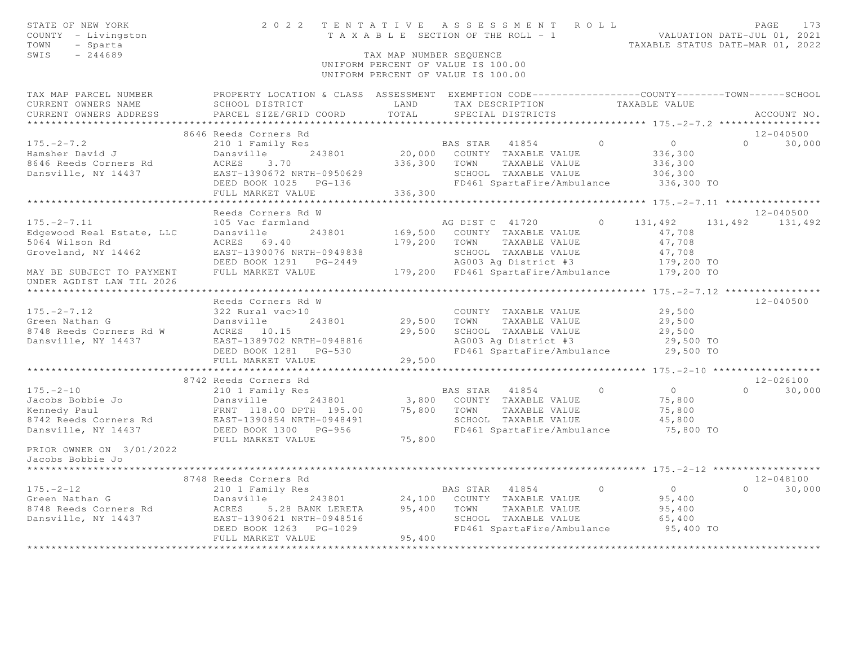| STATE OF NEW YORK<br>COUNTY - Livingston<br>- Sparta<br>TOWN<br>SWIS<br>$-244689$ | 2022 TENTATIVE ASSESSMENT ROLL                                                                    | T A X A B L E SECTION OF THE ROLL - 1<br>TAX MAP NUMBER SEOUENCE<br>UNIFORM PERCENT OF VALUE IS 100.00<br>UNIFORM PERCENT OF VALUE IS 100.00 |                |                                                    |                | VALUATION DATE-JUL 01, 2021<br>TAXABLE STATUS DATE-MAR 01, 2022 |          | PAGE<br>173   |
|-----------------------------------------------------------------------------------|---------------------------------------------------------------------------------------------------|----------------------------------------------------------------------------------------------------------------------------------------------|----------------|----------------------------------------------------|----------------|-----------------------------------------------------------------|----------|---------------|
| TAX MAP PARCEL NUMBER                                                             | PROPERTY LOCATION & CLASS ASSESSMENT EXEMPTION CODE-----------------COUNTY-------TOWN------SCHOOL |                                                                                                                                              |                |                                                    |                |                                                                 |          |               |
| CURRENT OWNERS NAME                                                               | SCHOOL DISTRICT                                                                                   | LAND<br>TOTAL                                                                                                                                |                | TAX DESCRIPTION                                    |                | TAXABLE VALUE                                                   |          |               |
| CURRENT OWNERS ADDRESS                                                            | PARCEL SIZE/GRID COORD                                                                            |                                                                                                                                              |                | SPECIAL DISTRICTS                                  |                |                                                                 |          | ACCOUNT NO.   |
|                                                                                   | 8646 Reeds Corners Rd                                                                             |                                                                                                                                              |                |                                                    |                |                                                                 |          | 12-040500     |
| $175. - 2 - 7.2$                                                                  | 210 1 Family Res                                                                                  |                                                                                                                                              | BAS STAR 41854 |                                                    | $\cap$         | $\overline{0}$                                                  | $\Omega$ | 30,000        |
| Hamsher David J                                                                   | 243801<br>Dansville                                                                               |                                                                                                                                              |                | 20,000 COUNTY TAXABLE VALUE                        |                | 336,300                                                         |          |               |
| 8646 Reeds Corners Rd                                                             | 3.70<br>ACRES                                                                                     | 336,300                                                                                                                                      | TOWN           | TAXABLE VALUE                                      |                | 336,300                                                         |          |               |
| Dansville, NY 14437                                                               | EAST-1390672 NRTH-0950629                                                                         |                                                                                                                                              |                | SCHOOL TAXABLE VALUE                               |                | 306,300                                                         |          |               |
|                                                                                   | DEED BOOK 1025 PG-136                                                                             |                                                                                                                                              |                | FD461 SpartaFire/Ambulance                         |                | 336,300 TO                                                      |          |               |
|                                                                                   | FULL MARKET VALUE                                                                                 | 336,300                                                                                                                                      |                |                                                    |                |                                                                 |          |               |
|                                                                                   |                                                                                                   |                                                                                                                                              |                |                                                    |                |                                                                 |          |               |
|                                                                                   | Reeds Corners Rd W                                                                                |                                                                                                                                              |                |                                                    |                |                                                                 |          | $12 - 040500$ |
| $175. - 2 - 7.11$                                                                 | 105 Vac farmland<br>243801                                                                        |                                                                                                                                              |                | AG DIST C 41720                                    | $\overline{0}$ | 131,492                                                         | 131,492  | 131,492       |
| Edgewood Real Estate, LLC<br>5064 Wilson Rd                                       | Dansville<br>ACRES 69.40                                                                          | 179,200                                                                                                                                      | TOWN           | 169,500 COUNTY TAXABLE VALUE<br>TAXABLE VALUE      |                | 47,708<br>47,708                                                |          |               |
| Groveland, NY 14462                                                               | EAST-1390076 NRTH-0949838                                                                         |                                                                                                                                              |                | SCHOOL TAXABLE VALUE                               |                | 47,708                                                          |          |               |
|                                                                                   | DEED BOOK 1291    PG-2449                                                                         |                                                                                                                                              |                | AG003 Ag District #3                               |                | 179,200 TO                                                      |          |               |
| MAY BE SUBJECT TO PAYMENT                                                         | FULL MARKET VALUE                                                                                 |                                                                                                                                              |                | 179,200 FD461 SpartaFire/Ambulance                 |                | 179,200 TO                                                      |          |               |
| UNDER AGDIST LAW TIL 2026                                                         |                                                                                                   |                                                                                                                                              |                |                                                    |                |                                                                 |          |               |
|                                                                                   |                                                                                                   |                                                                                                                                              |                |                                                    |                | ***************** 175. - 2-7. 12 ****************               |          |               |
|                                                                                   | Reeds Corners Rd W                                                                                |                                                                                                                                              |                |                                                    |                |                                                                 |          | $12 - 040500$ |
| $175. - 2 - 7.12$                                                                 | 322 Rural vac>10                                                                                  |                                                                                                                                              |                | COUNTY TAXABLE VALUE                               |                | 29,500                                                          |          |               |
| Green Nathan G<br>8748 Reeds Corners Rd W                                         | Dansville<br>243801<br>ACRES 10.15                                                                | 29,500<br>29,500                                                                                                                             | TOWN           | TAXABLE VALUE<br>SCHOOL TAXABLE VALUE              |                | 29,500<br>29,500                                                |          |               |
| Dansville, NY 14437                                                               | EAST-1389702 NRTH-0948816                                                                         |                                                                                                                                              |                | AG003 Ag District #3                               |                | 29,500 TO                                                       |          |               |
|                                                                                   | DEED BOOK 1281    PG-530                                                                          |                                                                                                                                              |                | FD461 SpartaFire/Ambulance                         |                | 29,500 TO                                                       |          |               |
|                                                                                   | FULL MARKET VALUE                                                                                 | 29,500                                                                                                                                       |                |                                                    |                |                                                                 |          |               |
|                                                                                   |                                                                                                   |                                                                                                                                              |                |                                                    |                |                                                                 |          |               |
|                                                                                   | 8742 Reeds Corners Rd                                                                             |                                                                                                                                              |                |                                                    |                |                                                                 |          | $12 - 026100$ |
| $175. - 2 - 10$                                                                   | 210 1 Family Res                                                                                  |                                                                                                                                              |                | BAS STAR 41854                                     | $\bigcirc$     | $\overline{O}$                                                  | $\Omega$ | 30,000        |
| Jacobs Bobbie Jo                                                                  | 243801<br>Dansville                                                                               | 3,800                                                                                                                                        |                | COUNTY TAXABLE VALUE                               |                | 75,800                                                          |          |               |
| Kennedy Paul                                                                      | FRNT 118.00 DPTH 195.00                                                                           | 75,800                                                                                                                                       | TOWN           | TAXABLE VALUE                                      |                | 75,800                                                          |          |               |
| 8742 Reeds Corners Rd                                                             | EAST-1390854 NRTH-0948491                                                                         |                                                                                                                                              |                | SCHOOL TAXABLE VALUE                               |                | 45,800                                                          |          |               |
| Dansville, NY 14437                                                               | DEED BOOK 1300 PG-956<br>FULL MARKET VALUE                                                        | 75,800                                                                                                                                       |                | FD461 SpartaFire/Ambulance                         |                | 75,800 TO                                                       |          |               |
| PRIOR OWNER ON 3/01/2022                                                          |                                                                                                   |                                                                                                                                              |                |                                                    |                |                                                                 |          |               |
| Jacobs Bobbie Jo                                                                  |                                                                                                   |                                                                                                                                              |                |                                                    |                |                                                                 |          |               |
|                                                                                   |                                                                                                   |                                                                                                                                              |                |                                                    |                |                                                                 |          |               |
|                                                                                   | 8748 Reeds Corners Rd                                                                             |                                                                                                                                              |                |                                                    |                |                                                                 |          | $12 - 048100$ |
| $175. - 2 - 12$                                                                   | 210 1 Family Res                                                                                  |                                                                                                                                              | BAS STAR 41854 |                                                    | $\overline{0}$ | $\overline{0}$                                                  | $\Omega$ | 30,000        |
| Green Nathan G                                                                    | 243801<br>Dansville                                                                               | 24,100                                                                                                                                       |                | COUNTY TAXABLE VALUE                               |                | 95,400                                                          |          |               |
| 8748 Reeds Corners Rd                                                             | ACRES<br>5.28 BANK LERETA                                                                         | 95,400                                                                                                                                       | TOWN           | TAXABLE VALUE                                      |                | 95,400                                                          |          |               |
| Dansville, NY 14437                                                               | EAST-1390621 NRTH-0948516<br>DEED BOOK 1263 PG-1029                                               |                                                                                                                                              |                | SCHOOL TAXABLE VALUE<br>FD461 SpartaFire/Ambulance |                | 65,400<br>95,400 TO                                             |          |               |
|                                                                                   | FULL MARKET VALUE                                                                                 | 95,400                                                                                                                                       |                |                                                    |                |                                                                 |          |               |
|                                                                                   |                                                                                                   |                                                                                                                                              |                |                                                    |                |                                                                 |          |               |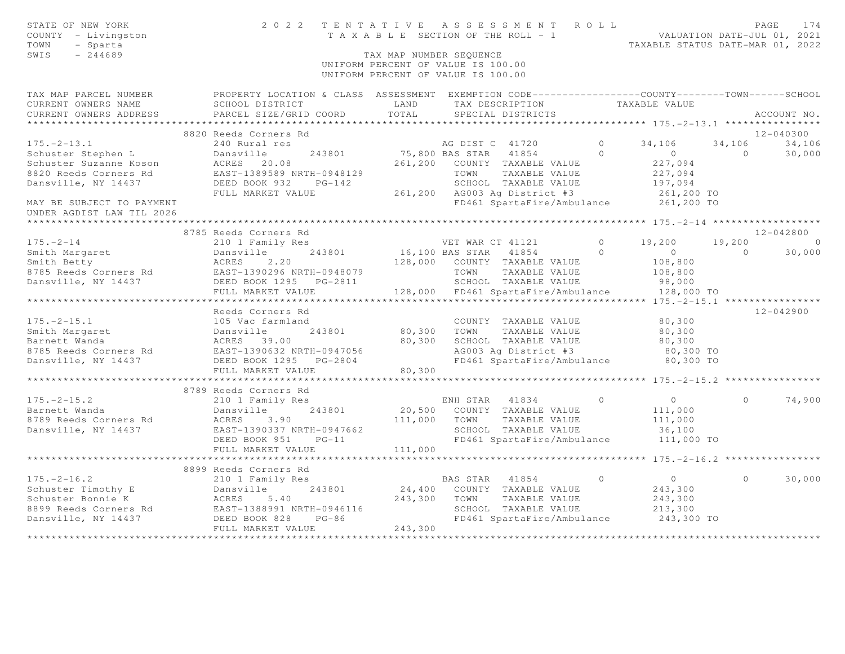| STATE OF NEW YORK<br>COUNTY - Livingston<br>TOWN<br>- Sparta<br>$-244689$<br>SWIS                                                                | 2022 TENTATIVE ASSESSMENT ROLL | T A X A B L E SECTION OF THE ROLL - 1<br>TAX MAP NUMBER SEQUENCE<br>UNIFORM PERCENT OF VALUE IS 100.00<br>UNIFORM PERCENT OF VALUE IS 100.00 |                       |                                              |            | VALUATION DATE-JUL 01, 2021<br>TAXABLE STATUS DATE-MAR 01, 2022 |            | PAGE<br>174    |
|--------------------------------------------------------------------------------------------------------------------------------------------------|--------------------------------|----------------------------------------------------------------------------------------------------------------------------------------------|-----------------------|----------------------------------------------|------------|-----------------------------------------------------------------|------------|----------------|
| TAX MAP PARCEL NUMBER THE PROPERTY LOCATION & CLASS ASSESSMENT EXEMPTION CODE---------------COUNTY-------TOWN------SCHOOL<br>CURRENT OWNERS NAME | SCHOOL DISTRICT                | LAND                                                                                                                                         | TAX DESCRIPTION       |                                              |            | TAXABLE VALUE                                                   |            |                |
| CURRENT OWNERS ADDRESS                                                                                                                           | PARCEL SIZE/GRID COORD         | TOTAL                                                                                                                                        |                       | SPECIAL DISTRICTS                            |            |                                                                 |            | ACCOUNT NO.    |
|                                                                                                                                                  | *************************      |                                                                                                                                              |                       |                                              |            |                                                                 |            |                |
|                                                                                                                                                  | 8820 Reeds Corners Rd          |                                                                                                                                              |                       |                                              |            |                                                                 |            | $12 - 040300$  |
| $175. - 2 - 13.1$                                                                                                                                | 240 Rural res                  |                                                                                                                                              | AG DIST C 41720       |                                              | $\Omega$   | 34,106                                                          | 34,106     | 34,106         |
| Schuster Stephen L                                                                                                                               | Dansville<br>243801            |                                                                                                                                              | 75,800 BAS STAR 41854 |                                              | $\cap$     | $\overline{0}$                                                  | $\bigcirc$ | 30,000         |
| Schuster Suzanne Koson                                                                                                                           | ACRES 20.08                    |                                                                                                                                              |                       | 261,200 COUNTY TAXABLE VALUE                 |            | 227,094                                                         |            |                |
| 8820 Reeds Corners Rd                                                                                                                            | EAST-1389589 NRTH-0948129      |                                                                                                                                              |                       | TOWN TAXABLE VALUE                           |            | 227,094                                                         |            |                |
| Dansville, NY 14437                                                                                                                              | DEED BOOK 932<br>$PG-142$      |                                                                                                                                              |                       | SCHOOL TAXABLE VALUE                         |            | 197,094                                                         |            |                |
|                                                                                                                                                  | FULL MARKET VALUE              |                                                                                                                                              |                       | 261,200 AG003 Ag District #3                 |            | 261,200 TO                                                      |            |                |
| MAY BE SUBJECT TO PAYMENT<br>UNDER AGDIST LAW TIL 2026                                                                                           |                                |                                                                                                                                              |                       |                                              |            | FD461 SpartaFire/Ambulance 261,200 TO                           |            |                |
|                                                                                                                                                  | 8785 Reeds Corners Rd          |                                                                                                                                              |                       |                                              |            |                                                                 |            | $12 - 042800$  |
| $175. - 2 - 14$                                                                                                                                  | 210 1 Family Res               |                                                                                                                                              | VET WAR CT 41121      |                                              | $\Omega$   | 19,200                                                          | 19,200     | $\overline{0}$ |
| Smith Margaret                                                                                                                                   | 243801<br>Dansville            |                                                                                                                                              |                       | 16,100 BAS STAR 41854                        | $\bigcap$  | $\overline{0}$                                                  | $\Omega$   | 30,000         |
| Smith Betty                                                                                                                                      | ACRES<br>2, 20                 | 128,000                                                                                                                                      |                       | COUNTY TAXABLE VALUE                         |            | 108,800                                                         |            |                |
| 8785 Reeds Corners Rd EAST-1390296 NRTH-0948079                                                                                                  |                                |                                                                                                                                              | TOWN                  | TAXABLE VALUE                                |            | 108,800                                                         |            |                |
| Dansville, NY 14437                                                                                                                              |                                |                                                                                                                                              |                       | SCHOOL TAXABLE VALUE                         |            | 98,000                                                          |            |                |
|                                                                                                                                                  | FULL MARKET VALUE              |                                                                                                                                              |                       | 128,000 FD461 SpartaFire/Ambulance           |            | 128,000 TO                                                      |            |                |
|                                                                                                                                                  |                                |                                                                                                                                              |                       |                                              |            | ********* 175. - 2 - 15.1 *****************                     |            |                |
|                                                                                                                                                  | Reeds Corners Rd               |                                                                                                                                              |                       |                                              |            |                                                                 |            | $12 - 042900$  |
| $175. - 2 - 15.1$                                                                                                                                | 105 Vac farmland               |                                                                                                                                              |                       | COUNTY TAXABLE VALUE                         |            | 80,300                                                          |            |                |
|                                                                                                                                                  |                                | 80,300                                                                                                                                       | TOWN                  | TAXABLE VALUE                                |            | 80,300                                                          |            |                |
| Smith Margaret<br>Barnett Wanda<br>8785 Reeds Corners Rd<br>243801<br>8785 Reeds Corners Rd<br>2437<br>2607 190632 NRTH-0947056<br>2607 1906     |                                | 80,300                                                                                                                                       |                       | SCHOOL TAXABLE VALUE                         |            | 80,300                                                          |            |                |
|                                                                                                                                                  |                                |                                                                                                                                              |                       | AG003 Ag District #3                         |            | 80,300 TO                                                       |            |                |
|                                                                                                                                                  |                                |                                                                                                                                              |                       | FD461 SpartaFire/Ambulance                   |            | 80,300 TO                                                       |            |                |
|                                                                                                                                                  | FULL MARKET VALUE              | 80,300                                                                                                                                       |                       |                                              |            |                                                                 |            |                |
|                                                                                                                                                  | 8789 Reeds Corners Rd          |                                                                                                                                              |                       |                                              |            |                                                                 |            |                |
| $175. - 2 - 15.2$                                                                                                                                | 210 1 Family Res               |                                                                                                                                              | ENH STAR 41834        |                                              | $\bigcirc$ | $\overline{0}$                                                  | $\Omega$   | 74,900         |
| Barnett Wanda                                                                                                                                    | 243801<br>Dansville            |                                                                                                                                              |                       | 20,500 COUNTY TAXABLE VALUE                  |            | 111,000                                                         |            |                |
| 8789 Reeds Corners Rd                                                                                                                            | ACRES<br>3.90                  | 111,000                                                                                                                                      | TOWN                  | TAXABLE VALUE                                |            | 111,000                                                         |            |                |
| Dansville, NY 14437                                                                                                                              | EAST-1390337 NRTH-0947662      |                                                                                                                                              |                       | SCHOOL TAXABLE VALUE                         |            | 36,100                                                          |            |                |
|                                                                                                                                                  | DEED BOOK 951<br>$PG-11$       |                                                                                                                                              |                       | FD461 SpartaFire/Ambulance                   |            | 111,000 TO                                                      |            |                |
|                                                                                                                                                  | FULL MARKET VALUE              | 111,000                                                                                                                                      |                       |                                              |            |                                                                 |            |                |
|                                                                                                                                                  | ***********************        |                                                                                                                                              |                       |                                              |            |                                                                 |            |                |
|                                                                                                                                                  | 8899 Reeds Corners Rd          |                                                                                                                                              |                       |                                              |            |                                                                 |            |                |
| $175. - 2 - 16.2$                                                                                                                                | 210 1 Family Res               |                                                                                                                                              | BAS STAR 41854        |                                              | $\Omega$   | $\overline{0}$                                                  | $\Omega$   | 30,000         |
| Contact Timothy E<br>Schuster Timothy E<br>Schuster Bonnie K<br>8899 Reeds Corners Rd<br>Dansville, NY 14437<br>DEED BOOK 828 PG-86              |                                | 243,300                                                                                                                                      | TOWN                  | 24,400 COUNTY TAXABLE VALUE<br>TAXABLE VALUE |            | 243,300<br>243,300                                              |            |                |
|                                                                                                                                                  |                                |                                                                                                                                              |                       | SCHOOL TAXABLE VALUE                         |            | 213,300                                                         |            |                |
|                                                                                                                                                  |                                |                                                                                                                                              |                       | FD461 SpartaFire/Ambulance                   |            | 243,300 TO                                                      |            |                |
|                                                                                                                                                  | FULL MARKET VALUE              | 243,300                                                                                                                                      |                       |                                              |            |                                                                 |            |                |
|                                                                                                                                                  |                                |                                                                                                                                              |                       |                                              |            |                                                                 |            |                |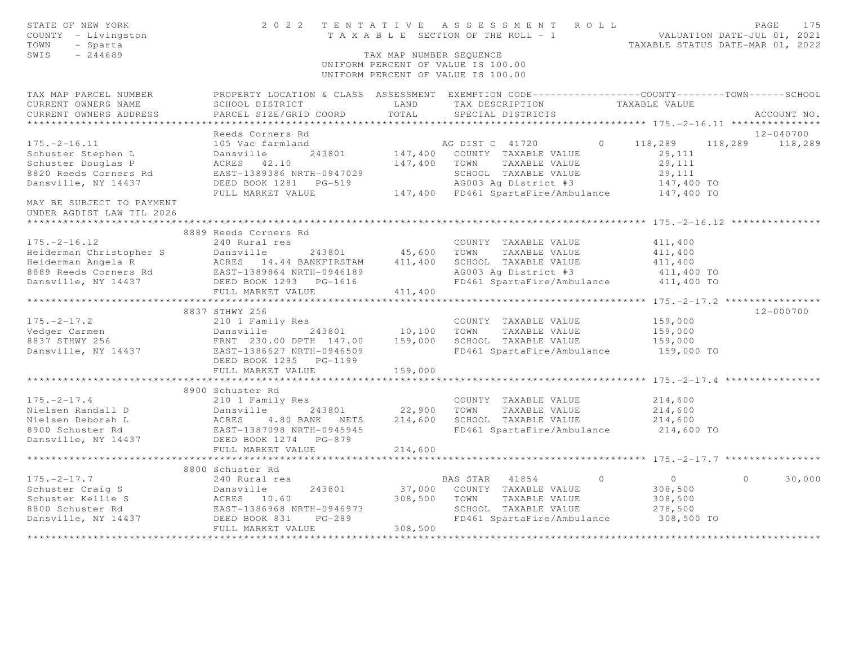| STATE OF NEW YORK<br>COUNTY - Livingston<br>TOWN<br>- Sparta<br>SWIS<br>$-244689$                                                                                            |                                                                                                                                              | TAX MAP NUMBER SEQUENCE | 2022 TENTATIVE ASSESSMENT ROLL<br>T A X A B L E SECTION OF THE ROLL - 1 VALUATION DATE-JUL 01, 2021<br>UNIFORM PERCENT OF VALUE IS 100.00<br>UNIFORM PERCENT OF VALUE IS 100.00 |          | TAXABLE STATUS DATE-MAR 01, 2022    | PAGE<br>175     |
|------------------------------------------------------------------------------------------------------------------------------------------------------------------------------|----------------------------------------------------------------------------------------------------------------------------------------------|-------------------------|---------------------------------------------------------------------------------------------------------------------------------------------------------------------------------|----------|-------------------------------------|-----------------|
| TAX MAP PARCEL NUMBER<br>CURRENT OWNERS NAME<br>CURRENT OWNERS ADDRESS                                                                                                       | PROPERTY LOCATION & CLASS ASSESSMENT EXEMPTION CODE----------------COUNTY-------TOWN-----SCHOOL<br>SCHOOL DISTRICT<br>PARCEL SIZE/GRID COORD | LAND<br>TOTAL           | TAX DESCRIPTION TAXABLE VALUE<br>SPECIAL DISTRICTS                                                                                                                              |          |                                     | ACCOUNT NO.     |
|                                                                                                                                                                              |                                                                                                                                              |                         |                                                                                                                                                                                 |          |                                     |                 |
|                                                                                                                                                                              | Reeds Corners Rd                                                                                                                             |                         |                                                                                                                                                                                 |          |                                     | $12 - 040700$   |
| $175. - 2 - 16.11$                                                                                                                                                           | 105 Vac farmland                                                                                                                             |                         | AG DIST C 41720                                                                                                                                                                 | $\Omega$ | 118,289                             | 118,289 118,289 |
| Schuster Stephen L                                                                                                                                                           | Dansville<br>243801                                                                                                                          |                         | 147,400 COUNTY TAXABLE VALUE                                                                                                                                                    |          | 29,111                              |                 |
| Schuster Douglas P                                                                                                                                                           | ACRES 42.10                                                                                                                                  |                         | 147,400 TOWN TAXABLE VALUE                                                                                                                                                      |          | 29,111                              |                 |
| 8820 Reeds Corners Rd                                                                                                                                                        | EAST-1389386 NRTH-0947029                                                                                                                    |                         | SCHOOL TAXABLE VALUE<br>AG003 Ag District #3                                                                                                                                    |          | 29,111                              |                 |
| Dansville, NY 14437                                                                                                                                                          | DEED BOOK 1281<br>PG-519<br>FULL MARKET VALUE                                                                                                |                         | 147,400 FD461 SpartaFire/Ambulance 147,400 TO                                                                                                                                   |          | 147,400 TO                          |                 |
| MAY BE SUBJECT TO PAYMENT                                                                                                                                                    |                                                                                                                                              |                         |                                                                                                                                                                                 |          |                                     |                 |
| UNDER AGDIST LAW TIL 2026<br>*********************                                                                                                                           |                                                                                                                                              |                         |                                                                                                                                                                                 |          |                                     |                 |
|                                                                                                                                                                              | 8889 Reeds Corners Rd                                                                                                                        |                         |                                                                                                                                                                                 |          |                                     |                 |
| $175. - 2 - 16.12$                                                                                                                                                           | 240 Rural res                                                                                                                                |                         | COUNTY TAXABLE VALUE                                                                                                                                                            |          | 411,400                             |                 |
|                                                                                                                                                                              | 243801 45,600 TOWN                                                                                                                           |                         | TAXABLE VALUE                                                                                                                                                                   |          | 411,400                             |                 |
|                                                                                                                                                                              |                                                                                                                                              | 411,400                 | SCHOOL TAXABLE VALUE                                                                                                                                                            |          | 411,400                             |                 |
|                                                                                                                                                                              |                                                                                                                                              |                         | AG003 Ag District #3<br>FD461 SpartaFire/Ambulance 411,400 TO                                                                                                                   |          |                                     |                 |
| Feiderman Christopher S<br>Heiderman Angela R<br>Rederman Angela R<br>RES 14.44 BANKFIRSTAM 411,400<br>8889 Reeds Corners Rd<br>DANSYLLE, NY 14437<br>DEED BOOK 1293 PG-1616 |                                                                                                                                              |                         |                                                                                                                                                                                 |          |                                     |                 |
|                                                                                                                                                                              | FULL MARKET VALUE                                                                                                                            | 411,400                 |                                                                                                                                                                                 |          |                                     |                 |
|                                                                                                                                                                              | ************************                                                                                                                     |                         |                                                                                                                                                                                 |          |                                     |                 |
|                                                                                                                                                                              | 8837 STHWY 256                                                                                                                               |                         |                                                                                                                                                                                 |          |                                     | $12 - 000700$   |
| $175. - 2 - 17.2$                                                                                                                                                            |                                                                                                                                              |                         | COUNTY TAXABLE VALUE                                                                                                                                                            |          | 159,000                             |                 |
| Vedger Carmen                                                                                                                                                                |                                                                                                                                              | 10,100                  | TOWN<br>TAXABLE VALUE                                                                                                                                                           |          | 159,000                             |                 |
| Vedger Carmen<br>8837 STHWY 256<br>Dansville, NY 14437                                                                                                                       |                                                                                                                                              |                         | SCHOOL TAXABLE VALUE<br>FD461 SpartaFire/Ambulance                                                                                                                              |          | 159,000<br>159,000 TO               |                 |
|                                                                                                                                                                              | DEED BOOK 1295 PG-1199                                                                                                                       |                         |                                                                                                                                                                                 |          |                                     |                 |
|                                                                                                                                                                              | FULL MARKET VALUE<br>********************************                                                                                        | 159,000                 |                                                                                                                                                                                 |          | ********** 175. - 2 - 17. 4 ******* |                 |
|                                                                                                                                                                              | 8900 Schuster Rd                                                                                                                             |                         |                                                                                                                                                                                 |          |                                     |                 |
| $175. - 2 - 17.4$                                                                                                                                                            | 210 1 Family Res                                                                                                                             |                         | COUNTY TAXABLE VALUE                                                                                                                                                            |          | 214,600                             |                 |
|                                                                                                                                                                              |                                                                                                                                              | 243801 22,900           | TOWN TAXABLE VALUE                                                                                                                                                              |          | 214,600                             |                 |
|                                                                                                                                                                              |                                                                                                                                              | 214,600                 | SCHOOL TAXABLE VALUE                                                                                                                                                            |          | 214,600                             |                 |
|                                                                                                                                                                              |                                                                                                                                              |                         | FD461 SpartaFire/Ambulance                                                                                                                                                      |          | 214,600 TO                          |                 |
| Nielsen Randall D<br>Nielsen Deborah L<br>Mielsen Deborah L<br>Sansville, NY 14437<br>DEED BOOK 1274 PG-879                                                                  |                                                                                                                                              |                         |                                                                                                                                                                                 |          |                                     |                 |
|                                                                                                                                                                              | FULL MARKET VALUE                                                                                                                            | 214,600                 |                                                                                                                                                                                 |          |                                     |                 |
|                                                                                                                                                                              | *****************************                                                                                                                |                         |                                                                                                                                                                                 |          |                                     |                 |
|                                                                                                                                                                              | 8800 Schuster Rd                                                                                                                             |                         |                                                                                                                                                                                 |          |                                     |                 |
| $175. - 2 - 17.7$                                                                                                                                                            |                                                                                                                                              |                         | BAS STAR 41854                                                                                                                                                                  | $\Omega$ | $\overline{0}$<br>$\Omega$          | 30,000          |
| Schuster Craig S<br>Schuster Kellie S                                                                                                                                        |                                                                                                                                              | 308,500                 | 37,000 COUNTY TAXABLE VALUE<br>TOWN<br>TAXABLE VALUE                                                                                                                            |          | 308,500<br>308,500                  |                 |
| 8800 Schuster Rd                                                                                                                                                             |                                                                                                                                              |                         | SCHOOL TAXABLE VALUE                                                                                                                                                            |          | 278,500                             |                 |
| Dansville, NY 14437                                                                                                                                                          | 240 Rural res<br>Dansville 243801<br>ACRES 10.60<br>EAST-1386968 NRTH-0946973<br>DEED BOOK 831 PG-289                                        |                         | FD461 SpartaFire/Ambulance                                                                                                                                                      |          | 308,500 TO                          |                 |
|                                                                                                                                                                              | FULL MARKET VALUE                                                                                                                            | 308,500                 |                                                                                                                                                                                 |          |                                     |                 |
|                                                                                                                                                                              |                                                                                                                                              |                         |                                                                                                                                                                                 |          |                                     |                 |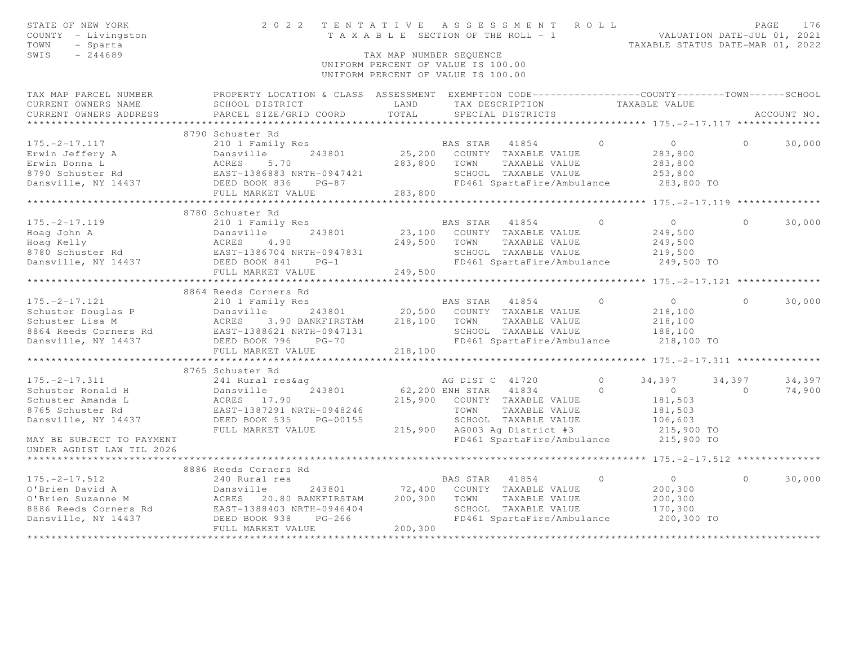| STATE OF NEW YORK<br>COUNTY - Livingston<br>TOWN<br>- Sparta<br>SWIS<br>$-244689$                                                                                                                                 | 2022 TENTATIVE ASSESSMENT ROLL                                                                                        | TAX MAP NUMBER SEQUENCE<br>UNIFORM PERCENT OF VALUE IS 100.00<br>UNIFORM PERCENT OF VALUE IS 100.00 |                 | TAXABLE SECTION OF THE ROLL - 1 VALUATION DATE-JUL 01, 2021 |                      | TAXABLE STATUS DATE-MAR 01, 2022 |                          | PAGE<br>176 |
|-------------------------------------------------------------------------------------------------------------------------------------------------------------------------------------------------------------------|-----------------------------------------------------------------------------------------------------------------------|-----------------------------------------------------------------------------------------------------|-----------------|-------------------------------------------------------------|----------------------|----------------------------------|--------------------------|-------------|
| TAX MAP PARCEL NUMBER                                                                                                                                                                                             | PROPERTY LOCATION & CLASS ASSESSMENT EXEMPTION CODE----------------COUNTY-------TOWN------SCHOOL                      |                                                                                                     |                 |                                                             |                      |                                  |                          |             |
| CURRENT OWNERS NAME                                                                                                                                                                                               | SCHOOL DISTRICT                                                                                                       | LAND                                                                                                |                 | TAX DESCRIPTION                                             |                      | TAXABLE VALUE                    |                          |             |
| CURRENT OWNERS ADDRESS                                                                                                                                                                                            | PARCEL SIZE/GRID COORD                                                                                                | TOTAL                                                                                               |                 | SPECIAL DISTRICTS                                           |                      |                                  |                          | ACCOUNT NO. |
|                                                                                                                                                                                                                   |                                                                                                                       |                                                                                                     |                 |                                                             |                      |                                  |                          |             |
|                                                                                                                                                                                                                   | 8790 Schuster Rd                                                                                                      |                                                                                                     |                 |                                                             |                      |                                  |                          |             |
| $175. - 2 - 17.117$                                                                                                                                                                                               |                                                                                                                       |                                                                                                     | BAS STAR 41854  |                                                             | $\Omega$             | $\overline{0}$                   | $\Omega$                 | 30,000      |
| Erwin Jeffery A                                                                                                                                                                                                   |                                                                                                                       |                                                                                                     |                 | 25,200 COUNTY TAXABLE VALUE                                 |                      | 283,800                          |                          |             |
| Erwin Donna L                                                                                                                                                                                                     |                                                                                                                       | 283,800                                                                                             | TOWN            | TAXABLE VALUE                                               |                      | 283,800                          |                          |             |
| 8790 Schuster Rd                                                                                                                                                                                                  |                                                                                                                       |                                                                                                     |                 | SCHOOL TAXABLE VALUE                                        |                      | 253,800                          |                          |             |
| Dansville, NY 14437                                                                                                                                                                                               | Dansville<br>ACRES 5.70<br>EAST-1386883 NRTH-0947421<br>DEED BOOK 836 PG-87<br>FIIL MARKET VALUE<br>FIIL MARKET VALUE | 283,800                                                                                             |                 | FD461 SpartaFire/Ambulance                                  |                      | 283,800 TO                       |                          |             |
|                                                                                                                                                                                                                   |                                                                                                                       |                                                                                                     |                 |                                                             |                      |                                  |                          |             |
|                                                                                                                                                                                                                   | 8780 Schuster Rd                                                                                                      |                                                                                                     |                 |                                                             |                      |                                  |                          |             |
| $175. - 2 - 17.119$                                                                                                                                                                                               | 210 1 Family Res                                                                                                      |                                                                                                     |                 | BAS STAR 41854                                              | $\Omega$             | $\overline{0}$                   | $\Omega$                 | 30,000      |
|                                                                                                                                                                                                                   |                                                                                                                       |                                                                                                     |                 | 23,100 COUNTY TAXABLE VALUE                                 |                      | 249,500                          |                          |             |
|                                                                                                                                                                                                                   |                                                                                                                       | 249,500                                                                                             | TOWN            | TAXABLE VALUE                                               |                      | 249,500                          |                          |             |
|                                                                                                                                                                                                                   |                                                                                                                       |                                                                                                     |                 | SCHOOL TAXABLE VALUE                                        |                      | 219,500                          |                          |             |
| Example 243801<br>Hoag John A<br>Bansville 243801<br>8780 Schuster Rd<br>Dansville, NY 14437<br>Dansville, NY 14437<br>Dansville, NY 14437<br>Dansville, NY 14437<br>Dansville, NY 14437<br>DEED BOOK 841<br>PG-1 |                                                                                                                       |                                                                                                     |                 | FD461 SpartaFire/Ambulance                                  |                      | 249,500 TO                       |                          |             |
|                                                                                                                                                                                                                   | FULL MARKET VALUE                                                                                                     | 249,500                                                                                             |                 |                                                             |                      |                                  |                          |             |
|                                                                                                                                                                                                                   |                                                                                                                       |                                                                                                     |                 |                                                             |                      |                                  |                          |             |
|                                                                                                                                                                                                                   | 8864 Reeds Corners Rd                                                                                                 |                                                                                                     |                 |                                                             |                      |                                  |                          |             |
| $175. - 2 - 17.121$                                                                                                                                                                                               | 210 1 Family Res                                                                                                      |                                                                                                     |                 | BAS STAR 41854                                              | $\overline{0}$       | $\overline{0}$                   | $\Omega$                 | 30,000      |
|                                                                                                                                                                                                                   |                                                                                                                       |                                                                                                     |                 |                                                             |                      | 218,100                          |                          |             |
|                                                                                                                                                                                                                   |                                                                                                                       |                                                                                                     |                 |                                                             |                      | 218,100                          |                          |             |
| Schuster Douglas P<br>Schuster Lisa M<br>Schuster Lisa M<br>BAST-1388621 NRTH-0947131<br>EAST-1388621 NRTH-0947131<br>SCHOOL TAXABLE VALUE<br>SCHOOL TAXABLE VALUE                                                |                                                                                                                       |                                                                                                     |                 |                                                             |                      | 188,100                          |                          |             |
| Dansville, NY 14437 DEED BOOK 796                                                                                                                                                                                 | $PG-70$                                                                                                               |                                                                                                     |                 | FD461 SpartaFire/Ambulance 218,100 TO                       |                      |                                  |                          |             |
|                                                                                                                                                                                                                   | FULL MARKET VALUE                                                                                                     | 218,100                                                                                             |                 |                                                             |                      |                                  |                          |             |
|                                                                                                                                                                                                                   | ***************************                                                                                           |                                                                                                     |                 |                                                             |                      |                                  |                          |             |
|                                                                                                                                                                                                                   | 8765 Schuster Rd                                                                                                      |                                                                                                     |                 |                                                             |                      |                                  |                          |             |
| $175. - 2 - 17.311$                                                                                                                                                                                               | 241 Rural res&ag                                                                                                      |                                                                                                     | AG DIST C 41720 |                                                             | $\Omega$<br>$\Omega$ | 34,397                           | 34,397<br>$\overline{a}$ | 34,397      |
| Schuster Ronald H<br>Schuster Amanda L                                                                                                                                                                            | 243801                                                                                                                | 62,200 ENH STAR 41834<br>215,900                                                                    |                 |                                                             |                      | $\overline{0}$<br>181,503        |                          | 74,900      |
| 8765 Schuster Rd                                                                                                                                                                                                  | EAST-1387291 NRTH-0948246                                                                                             |                                                                                                     | TOWN            | COUNTY TAXABLE VALUE<br>TAXABLE VALUE                       |                      | 181,503                          |                          |             |
| Dansville, NY 14437                                                                                                                                                                                               | 241 Rural res&<br>Dansville<br>ACRES 17.90<br>EAST-1387291 N<br>DEED BOOK 535<br>PG-00155                             |                                                                                                     |                 | SCHOOL TAXABLE VALUE                                        |                      | 106,603                          |                          |             |
|                                                                                                                                                                                                                   | FULL MARKET VALUE                                                                                                     |                                                                                                     |                 | 215,900 AG003 Ag District #3                                |                      | 215,900 TO                       |                          |             |
| MAY BE SUBJECT TO PAYMENT                                                                                                                                                                                         |                                                                                                                       |                                                                                                     |                 | FD461 SpartaFire/Ambulance 215,900 TO                       |                      |                                  |                          |             |
| UNDER AGDIST LAW TIL 2026                                                                                                                                                                                         |                                                                                                                       |                                                                                                     |                 |                                                             |                      |                                  |                          |             |
|                                                                                                                                                                                                                   |                                                                                                                       |                                                                                                     |                 |                                                             |                      |                                  |                          |             |
|                                                                                                                                                                                                                   | 8886 Reeds Corners Rd                                                                                                 |                                                                                                     |                 |                                                             |                      |                                  |                          |             |
| $175. -2 - 17.512$                                                                                                                                                                                                | 240 Rural res                                                                                                         |                                                                                                     | BAS STAR        | 41854                                                       | $\Omega$             | $\overline{0}$                   | $\cap$                   | 30,000      |
| O'Brien David A                                                                                                                                                                                                   | Dansville 243801<br>ACRES 20.80 BANKFIRSTAM                                                                           | 72,400                                                                                              |                 | COUNTY TAXABLE VALUE                                        |                      | 200,300                          |                          |             |
| O'Brien Suzanne M                                                                                                                                                                                                 |                                                                                                                       | 200,300                                                                                             | TOWN            | TAXABLE VALUE                                               |                      | 200,300                          |                          |             |
| 8886 Reeds Corners Rd<br>Dansville, NY 14437 DEED BOOK 938 PG-266                                                                                                                                                 |                                                                                                                       |                                                                                                     |                 | SCHOOL TAXABLE VALUE                                        |                      | 170,300                          |                          |             |
|                                                                                                                                                                                                                   |                                                                                                                       |                                                                                                     |                 | FD461 SpartaFire/Ambulance                                  |                      | 200,300 TO                       |                          |             |
|                                                                                                                                                                                                                   | FULL MARKET VALUE                                                                                                     | 200,300                                                                                             |                 |                                                             |                      |                                  |                          |             |
|                                                                                                                                                                                                                   |                                                                                                                       |                                                                                                     |                 |                                                             |                      |                                  |                          |             |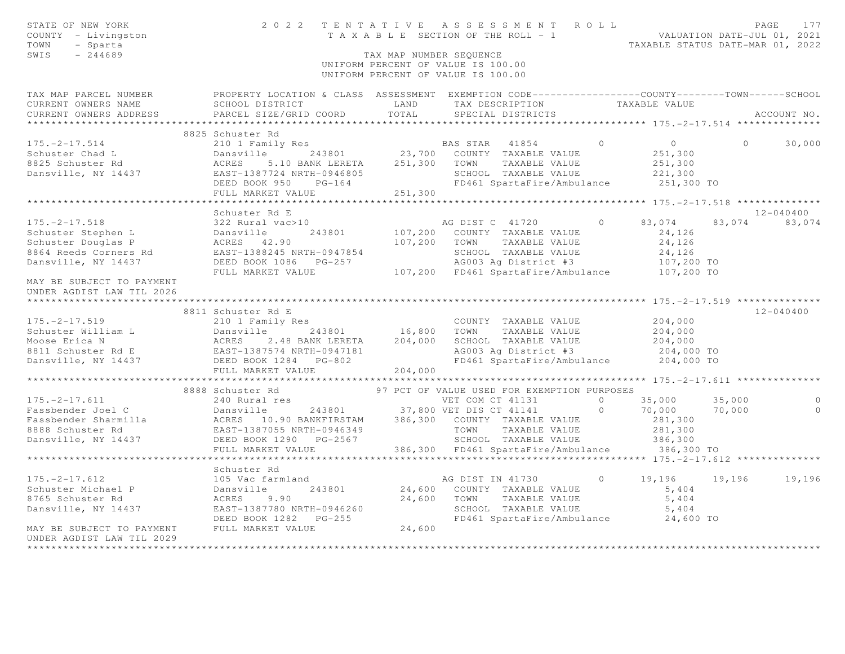| STATE OF NEW YORK<br>COUNTY - Livingston<br>TOWN<br>- Sparta<br>$-244689$<br>SWIS                                                                                                                                                                                                                                                                                                                 |                                                | TAX MAP NUMBER SEQUENCE | TENTATIVE ASSESSMENT ROLL PAGE 177<br>TAXABLE SECTION OF THE ROLL - 1 VALUATION DATE-JUL 01, 2021<br>TAXABLE STATUS DATE-MAR 01, 2022<br>2022 TENTATIVE ASSESSMENT ROLL<br>UNIFORM PERCENT OF VALUE IS 100.00<br>UNIFORM PERCENT OF VALUE IS 100.00 |            |                                  |          |               |
|---------------------------------------------------------------------------------------------------------------------------------------------------------------------------------------------------------------------------------------------------------------------------------------------------------------------------------------------------------------------------------------------------|------------------------------------------------|-------------------------|-----------------------------------------------------------------------------------------------------------------------------------------------------------------------------------------------------------------------------------------------------|------------|----------------------------------|----------|---------------|
| TAX MAP PARCEL NUMBER PROPERTY LOCATION & CLASS ASSESSMENT EXEMPTION CODE---------------COUNTY--------TOWN------SCHOOL<br>CURRENT OWNERS NAME<br>CURRENT OWNERS ADDRESS                                                                                                                                                                                                                           | SCHOOL DISTRICT LAND<br>PARCEL SIZE/GRID COORD | TOTAL                   | TAX DESCRIPTION TAXABLE VALUE<br>SPECIAL DISTRICTS                                                                                                                                                                                                  |            |                                  |          | ACCOUNT NO.   |
|                                                                                                                                                                                                                                                                                                                                                                                                   |                                                |                         |                                                                                                                                                                                                                                                     |            |                                  |          |               |
|                                                                                                                                                                                                                                                                                                                                                                                                   | 8825 Schuster Rd                               |                         |                                                                                                                                                                                                                                                     |            |                                  |          |               |
| 175.-2-17.514<br>Schuster Chad L<br>210 1 Family Res<br>243801<br>23,700 COUNTY TAXABLE VALUE<br>251,300 TOWN TAXABLE VALUE<br>251,300 TOWN TAXABLE VALUE<br>251,300 TOWN TAXABLE VALUE<br>251,300 TOWN TAXABLE VALUE<br>DEED BOOK 950 PG-164<br>P                                                                                                                                                |                                                |                         |                                                                                                                                                                                                                                                     | $\bigcirc$ | $\overline{0}$                   | $\Omega$ | 30,000        |
|                                                                                                                                                                                                                                                                                                                                                                                                   |                                                |                         |                                                                                                                                                                                                                                                     |            | 251,300                          |          |               |
|                                                                                                                                                                                                                                                                                                                                                                                                   |                                                |                         |                                                                                                                                                                                                                                                     |            | 251,300                          |          |               |
|                                                                                                                                                                                                                                                                                                                                                                                                   |                                                |                         | SCHOOL TAXABLE VALUE                                                                                                                                                                                                                                |            | 221,300                          |          |               |
|                                                                                                                                                                                                                                                                                                                                                                                                   |                                                |                         | FD461 SpartaFire/Ambulance 251,300 TO                                                                                                                                                                                                               |            |                                  |          |               |
|                                                                                                                                                                                                                                                                                                                                                                                                   |                                                |                         |                                                                                                                                                                                                                                                     |            |                                  |          |               |
|                                                                                                                                                                                                                                                                                                                                                                                                   | Schuster Rd E                                  |                         |                                                                                                                                                                                                                                                     |            |                                  |          | $12 - 040400$ |
| $175. - 2 - 17.518$                                                                                                                                                                                                                                                                                                                                                                               | 322 Rural vac>10                               |                         | AG DIST C 41720 0                                                                                                                                                                                                                                   |            | 83,074                           |          | 83,074 83,074 |
|                                                                                                                                                                                                                                                                                                                                                                                                   |                                                |                         | 243801 107,200 COUNTY TAXABLE VALUE                                                                                                                                                                                                                 |            | 24,126                           |          |               |
|                                                                                                                                                                                                                                                                                                                                                                                                   |                                                |                         | 107,200 TOWN TAXABLE VALUE                                                                                                                                                                                                                          |            | 24,126                           |          |               |
|                                                                                                                                                                                                                                                                                                                                                                                                   |                                                |                         | SCHOOL TAXABLE VALUE                                                                                                                                                                                                                                |            | 24,126                           |          |               |
| 175.-2-17.518<br>Schuster Stephen L<br>Schuster Douglas P<br>8864 Reeds Corners Rd<br>Dansville, NY 14437<br>Dansville, NY 14437<br>Dansville, NY 14437<br>DEED BOOK 10947854<br>DANS PG-257<br>DEED BOOK 1086 PG-257<br>DEED BOOK 1086 PG-257<br>DE                                                                                                                                              |                                                |                         |                                                                                                                                                                                                                                                     |            |                                  |          |               |
|                                                                                                                                                                                                                                                                                                                                                                                                   | FULL MARKET VALUE                              |                         | SCHOOL TAXABLE VALUE<br>AG003 Ag District #3 107,200 TO<br>TR101 SpartaFire/Ambulance 107,200 TO<br>107,200 FD461 SpartaFire/Ambulance                                                                                                              |            |                                  |          |               |
| MAY BE SUBJECT TO PAYMENT                                                                                                                                                                                                                                                                                                                                                                         |                                                |                         |                                                                                                                                                                                                                                                     |            |                                  |          |               |
| UNDER AGDIST LAW TIL 2026                                                                                                                                                                                                                                                                                                                                                                         |                                                |                         |                                                                                                                                                                                                                                                     |            |                                  |          |               |
|                                                                                                                                                                                                                                                                                                                                                                                                   |                                                |                         |                                                                                                                                                                                                                                                     |            |                                  |          |               |
|                                                                                                                                                                                                                                                                                                                                                                                                   | 8811 Schuster Rd E                             |                         |                                                                                                                                                                                                                                                     |            |                                  |          | $12 - 040400$ |
|                                                                                                                                                                                                                                                                                                                                                                                                   | 210 1 Family Res                               |                         |                                                                                                                                                                                                                                                     |            | 204,000                          |          |               |
|                                                                                                                                                                                                                                                                                                                                                                                                   |                                                |                         |                                                                                                                                                                                                                                                     |            | 204,000<br>204,000<br>204,000 TO |          |               |
|                                                                                                                                                                                                                                                                                                                                                                                                   |                                                |                         | AG003 Ag District #3                                                                                                                                                                                                                                |            |                                  |          |               |
|                                                                                                                                                                                                                                                                                                                                                                                                   |                                                |                         | FD461 SpartaFire/Ambulance 204,000 TO                                                                                                                                                                                                               |            |                                  |          |               |
|                                                                                                                                                                                                                                                                                                                                                                                                   |                                                |                         |                                                                                                                                                                                                                                                     |            |                                  |          |               |
|                                                                                                                                                                                                                                                                                                                                                                                                   |                                                |                         |                                                                                                                                                                                                                                                     |            |                                  |          |               |
|                                                                                                                                                                                                                                                                                                                                                                                                   | 8888 Schuster Rd                               |                         | 97 PCT OF VALUE USED FOR EXEMPTION PURPOSES                                                                                                                                                                                                         |            |                                  |          |               |
|                                                                                                                                                                                                                                                                                                                                                                                                   |                                                |                         |                                                                                                                                                                                                                                                     |            |                                  | 35,000   | $\circ$       |
|                                                                                                                                                                                                                                                                                                                                                                                                   |                                                |                         |                                                                                                                                                                                                                                                     |            |                                  | 70,000   | $\circ$       |
|                                                                                                                                                                                                                                                                                                                                                                                                   |                                                |                         |                                                                                                                                                                                                                                                     |            |                                  |          |               |
|                                                                                                                                                                                                                                                                                                                                                                                                   |                                                |                         |                                                                                                                                                                                                                                                     |            |                                  |          |               |
|                                                                                                                                                                                                                                                                                                                                                                                                   |                                                |                         |                                                                                                                                                                                                                                                     |            |                                  |          |               |
| $\begin{tabular}{lllllllllllllllllllllll} \hline 175.-2-17.611 & 240\text{ Rural res} & \text{VET COM CI 41151} & 0 & 70,000 & 70 \text{ Fassbender Joel C} & 240\text{ Rural res} & 37,800\text{ VET DIS CT 41141} & 0 & 70,000 & 70 \text{ Fassbender Shamilla} & \text{ACRES 10.90 BANKFIRSTSTAM} & 386,300\text{ COUNTY TAXABLE VALUE} & 281,300 \text{ FMS} & 281,300 \text{ FMS} & 281,300$ |                                                |                         |                                                                                                                                                                                                                                                     |            |                                  |          |               |
|                                                                                                                                                                                                                                                                                                                                                                                                   |                                                |                         |                                                                                                                                                                                                                                                     |            |                                  |          |               |
| $175. - 2 - 17.612$                                                                                                                                                                                                                                                                                                                                                                               | Schuster Rd<br>105 Vac farmland                |                         | AG DIST IN 41730                                                                                                                                                                                                                                    | $\circ$    | 19,196                           |          | 19,196 19,196 |
| Schuster Michael P Dansville                                                                                                                                                                                                                                                                                                                                                                      | 243801                                         |                         | 24,600 COUNTY TAXABLE VALUE                                                                                                                                                                                                                         |            | 5,404                            |          |               |
| 8765 Schuster Rd                                                                                                                                                                                                                                                                                                                                                                                  | ACRES 9.90                                     | 24,600                  | TOWN TAXABLE VALUE                                                                                                                                                                                                                                  |            | 5,404                            |          |               |
| Dansville, NY 14437                                                                                                                                                                                                                                                                                                                                                                               | EAST-1387780 NRTH-0946260                      |                         | SCHOOL TAXABLE VALUE                                                                                                                                                                                                                                |            | 5,404                            |          |               |
|                                                                                                                                                                                                                                                                                                                                                                                                   |                                                |                         | FD461 SpartaFire/Ambulance 24,600 TO                                                                                                                                                                                                                |            |                                  |          |               |
| MAY BE SUBJECT TO PAYMENT FULL MARKET VALUE                                                                                                                                                                                                                                                                                                                                                       |                                                | 24,600                  |                                                                                                                                                                                                                                                     |            |                                  |          |               |
| UNDER AGDIST LAW TIL 2029                                                                                                                                                                                                                                                                                                                                                                         |                                                |                         |                                                                                                                                                                                                                                                     |            |                                  |          |               |
| *********************                                                                                                                                                                                                                                                                                                                                                                             |                                                |                         |                                                                                                                                                                                                                                                     |            |                                  |          |               |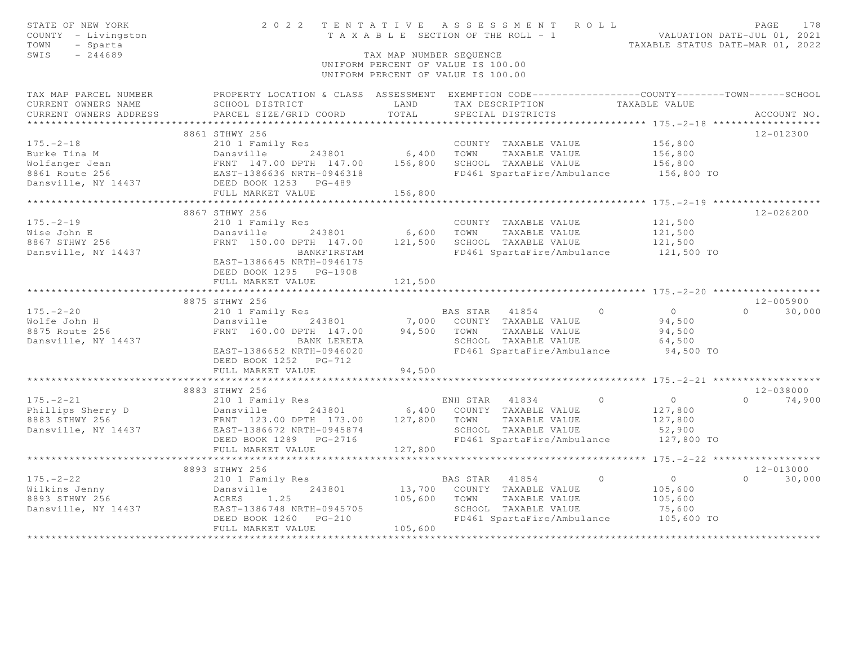| STATE OF NEW YORK<br>COUNTY - Livingston<br>TOWN<br>- Sparta<br>SWIS<br>$-244689$ |                                                                                                                                                              | TAX MAP NUMBER SEOUENCE   | 2022 TENTATIVE ASSESSMENT ROLL<br>T A X A B L E SECTION OF THE ROLL - 1<br>UNIFORM PERCENT OF VALUE IS 100.00<br>UNIFORM PERCENT OF VALUE IS 100.00 | VALUATION DATE-JUL 01, 2021                                  | PAGE<br>178<br>TAXABLE STATUS DATE-MAR 01, 2022 |
|-----------------------------------------------------------------------------------|--------------------------------------------------------------------------------------------------------------------------------------------------------------|---------------------------|-----------------------------------------------------------------------------------------------------------------------------------------------------|--------------------------------------------------------------|-------------------------------------------------|
| TAX MAP PARCEL NUMBER<br>CURRENT OWNERS NAME<br>CURRENT OWNERS ADDRESS            | SCHOOL DISTRICT<br>PARCEL SIZE/GRID COORD                                                                                                                    | LAND<br>TOTAL             | PROPERTY LOCATION & CLASS ASSESSMENT EXEMPTION CODE----------------COUNTY-------TOWN------SCHOOL<br>TAX DESCRIPTION<br>SPECIAL DISTRICTS            | TAXABLE VALUE                                                | ACCOUNT NO.                                     |
|                                                                                   | 8861 STHWY 256                                                                                                                                               |                           |                                                                                                                                                     | *********** 175. - 2 - 18 *******************                | 12-012300                                       |
| $175. - 2 - 18$                                                                   | 210 1 Family Res                                                                                                                                             |                           | COUNTY TAXABLE VALUE                                                                                                                                | 156,800                                                      |                                                 |
| Burke Tina M<br>Wolfanger Jean<br>Wolfanger Jean<br>8861 Route 256                | Dansville<br>243801<br>FRNT 147.00 DPTH 147.00<br>EAST-1386636 NRTH-0946318                                                                                  | 6,400<br>156,800          | TOWN<br>TAXABLE VALUE<br>SCHOOL TAXABLE VALUE<br>FD461 SpartaFire/Ambulance                                                                         | 156,800<br>156,800<br>156,800 TO                             |                                                 |
| Dansville, NY 14437                                                               | DEED BOOK 1253 PG-489                                                                                                                                        |                           |                                                                                                                                                     |                                                              |                                                 |
|                                                                                   | FULL MARKET VALUE                                                                                                                                            | 156,800                   |                                                                                                                                                     |                                                              |                                                 |
| $175. - 2 - 19$                                                                   | 8867 STHWY 256<br>210 1 Family Res                                                                                                                           |                           | COUNTY TAXABLE VALUE                                                                                                                                | 121,500                                                      | $12 - 026200$                                   |
| Wise John E                                                                       | Dansville 243801                                                                                                                                             | 6,600                     | TOWN<br>TAXABLE VALUE                                                                                                                               | 121,500                                                      |                                                 |
| 8867 STHWY 256                                                                    | FRNT 150.00 DPTH 147.00                                                                                                                                      | 121,500                   | SCHOOL TAXABLE VALUE                                                                                                                                | 121,500                                                      |                                                 |
| Dansville, NY 14437                                                               | BANKFIRSTAM<br>EAST-1386645 NRTH-0946175<br>DEED BOOK 1295 PG-1908<br>FULL MARKET VALUE                                                                      | 121,500                   | FD461 SpartaFire/Ambulance                                                                                                                          | 121,500 TO                                                   |                                                 |
|                                                                                   |                                                                                                                                                              | *******                   |                                                                                                                                                     | ****************** 175. -2-20 *******************            |                                                 |
|                                                                                   | 8875 STHWY 256                                                                                                                                               |                           |                                                                                                                                                     |                                                              | 12-005900                                       |
| $175. - 2 - 20$<br>Wolfe John H<br>8875 Route 256<br>Dansville, NY 14437          | 210 1 Family Res<br>Dansville<br>243801<br>FRNT 160.00 DPTH 147.00<br>BANK LERETA<br>EAST-1386652 NRTH-0946020<br>DEED BOOK 1252 PG-712<br>FULL MARKET VALUE | 7,000<br>94,500<br>94,500 | $\circ$<br>BAS STAR 41854<br>COUNTY TAXABLE VALUE<br>TOWN<br>TAXABLE VALUE<br>SCHOOL TAXABLE VALUE<br>FD461 SpartaFire/Ambulance                    | $\overline{0}$<br>94,500<br>94,500<br>64,500<br>94,500 TO    | $\Omega$<br>30,000                              |
|                                                                                   |                                                                                                                                                              |                           |                                                                                                                                                     |                                                              |                                                 |
|                                                                                   | 8883 STHWY 256                                                                                                                                               |                           |                                                                                                                                                     |                                                              | $12 - 038000$                                   |
| $175. - 2 - 21$<br>Phillips Sherry D<br>8883 STHWY 256<br>Dansville, NY 14437     | 210 1 Family Res<br>243801<br>Dansville<br>FRNT 123.00 DPTH 173.00<br>EAST-1386672 NRTH-0945874<br>DEED BOOK 1289 PG-2716                                    | 127,800                   | ENH STAR 41834<br>$\bigcirc$<br>6,400 COUNTY TAXABLE VALUE<br>TAXABLE VALUE<br>TOWN<br>SCHOOL TAXABLE VALUE<br>FD461 SpartaFire/Ambulance           | $\overline{0}$<br>127,800<br>127,800<br>52,900<br>127,800 TO | 74,900<br>$\Omega$                              |
|                                                                                   | FULL MARKET VALUE                                                                                                                                            | 127,800                   |                                                                                                                                                     |                                                              |                                                 |
|                                                                                   | <b>++++++++++++++</b>                                                                                                                                        |                           |                                                                                                                                                     | ******* 175. - 2-22 ******************                       |                                                 |
| $175. - 2 - 22$<br>Wilkins Jenny<br>8893 STHWY 256<br>Dansville, NY 14437         | 8893 STHWY 256<br>210 1 Family Res<br>Dansville<br>243801<br>ACRES<br>1.25<br>EAST-1386748 NRTH-0945705                                                      | 13,700<br>105,600         | $\circ$<br>BAS STAR<br>41854<br>COUNTY TAXABLE VALUE<br>TOWN<br>TAXABLE VALUE<br>SCHOOL TAXABLE VALUE                                               | $\overline{0}$<br>105,600<br>105,600<br>75,600               | 12-013000<br>$\Omega$<br>30,000                 |
|                                                                                   | DEED BOOK 1260<br>$PG-210$<br>FULL MARKET VALUE                                                                                                              | 105,600                   | FD461 SpartaFire/Ambulance                                                                                                                          | 105,600 TO                                                   |                                                 |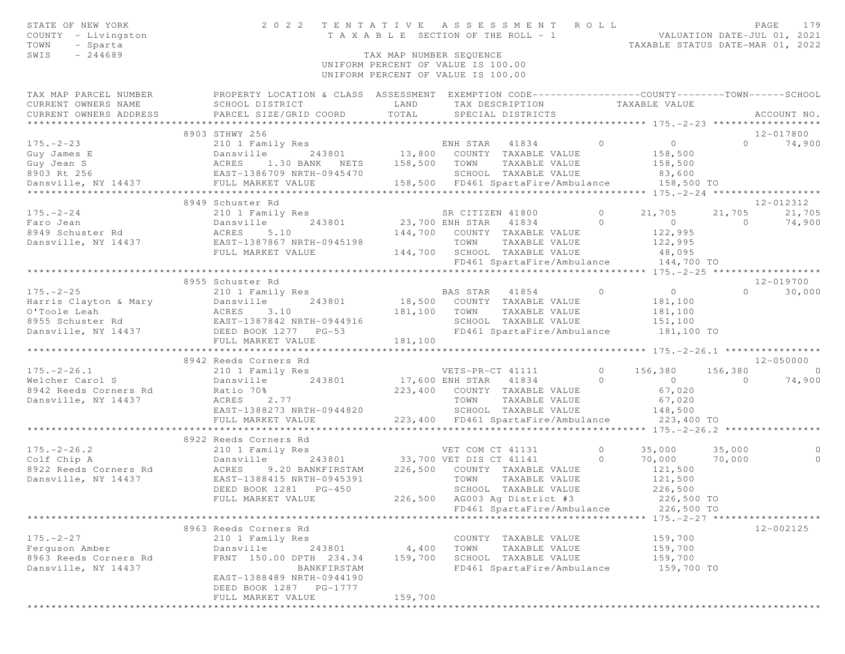| STATE OF NEW YORK                                                                                                                                                                                                                                     | 2022 TENTATIVE ASSESSMENT ROLL                                                                          |                                                                          |      |                                                                                                  |                |                    |                | PAGE<br>179                        |
|-------------------------------------------------------------------------------------------------------------------------------------------------------------------------------------------------------------------------------------------------------|---------------------------------------------------------------------------------------------------------|--------------------------------------------------------------------------|------|--------------------------------------------------------------------------------------------------|----------------|--------------------|----------------|------------------------------------|
| COUNTY - Livingston                                                                                                                                                                                                                                   |                                                                                                         |                                                                          |      | TENIAIIVE ASSESSMENT ACEE<br>TAXABLE SECTION OF THE ROLL - 1<br>TAXABLE STATUS DATE-MAR 01, 2022 |                |                    |                |                                    |
| TOWN<br>- Sparta                                                                                                                                                                                                                                      |                                                                                                         |                                                                          |      |                                                                                                  |                |                    |                |                                    |
| SWIS<br>$-244689$                                                                                                                                                                                                                                     | TAX MAP NUMBER SEOUENCE                                                                                 |                                                                          |      |                                                                                                  |                |                    |                |                                    |
|                                                                                                                                                                                                                                                       |                                                                                                         | UNIFORM PERCENT OF VALUE IS 100.00<br>UNIFORM PERCENT OF VALUE IS 100.00 |      |                                                                                                  |                |                    |                |                                    |
| TAX MAP PARCEL NUMBER THE PROPERTY LOCATION & CLASS ASSESSMENT EXEMPTION CODE--------------COUNTY-------TOWN-----SCHOOL                                                                                                                               |                                                                                                         |                                                                          |      |                                                                                                  |                |                    |                |                                    |
|                                                                                                                                                                                                                                                       |                                                                                                         |                                                                          |      |                                                                                                  |                |                    |                |                                    |
|                                                                                                                                                                                                                                                       |                                                                                                         |                                                                          |      | TAX DESCRIPTION TAXABLE VALUE<br>SPECIAL DISTRICTS                                               |                |                    |                | ACCOUNT NO.                        |
|                                                                                                                                                                                                                                                       |                                                                                                         |                                                                          |      |                                                                                                  |                |                    |                |                                    |
|                                                                                                                                                                                                                                                       | 8903 STHWY 256                                                                                          |                                                                          |      |                                                                                                  |                |                    |                | 12-017800                          |
| 175.-2-23<br>Guy James E 210 1 Family Res<br>Cuy Jean S Dansville 243801<br>Sensitie 243801<br>Sensitie 243801<br>Sensitie 243801<br>Sensitie 158,500<br>Sensitie 158,500<br>SCHOOL TAXABLE VALUE<br>SCHOOL TAXABLE VALUE<br>SCHOOL TAXABLE VALUE<br> |                                                                                                         |                                                                          |      |                                                                                                  |                |                    |                | $0 \t 74,900$                      |
|                                                                                                                                                                                                                                                       |                                                                                                         |                                                                          |      |                                                                                                  |                |                    |                |                                    |
|                                                                                                                                                                                                                                                       |                                                                                                         |                                                                          |      |                                                                                                  |                |                    |                |                                    |
|                                                                                                                                                                                                                                                       |                                                                                                         |                                                                          |      |                                                                                                  |                |                    |                |                                    |
|                                                                                                                                                                                                                                                       |                                                                                                         |                                                                          |      | 158,500 FD461 SpartaFire/Ambulance 158,500 TO                                                    |                |                    |                |                                    |
|                                                                                                                                                                                                                                                       |                                                                                                         |                                                                          |      |                                                                                                  |                |                    |                |                                    |
|                                                                                                                                                                                                                                                       | 8949 Schuster Rd                                                                                        |                                                                          |      |                                                                                                  |                |                    |                | 12-012312                          |
|                                                                                                                                                                                                                                                       |                                                                                                         |                                                                          |      |                                                                                                  | $\overline{0}$ | 21,705             |                | $21, 705$ $21, 705$<br>0 $74, 900$ |
|                                                                                                                                                                                                                                                       |                                                                                                         |                                                                          |      |                                                                                                  |                | $\overline{0}$     |                |                                    |
|                                                                                                                                                                                                                                                       |                                                                                                         |                                                                          |      | 144,700 COUNTY TAXABLE VALUE                                                                     |                | 122,995<br>122,995 |                |                                    |
|                                                                                                                                                                                                                                                       |                                                                                                         |                                                                          |      |                                                                                                  |                |                    |                |                                    |
|                                                                                                                                                                                                                                                       | FULL MARKET VALUE                                                                                       |                                                                          |      | $144,700$ SCHOOL TAXABLE VALUE $48,095$<br>FD461 SpartaFire/Ambulance 144,700 TO                 |                |                    |                |                                    |
|                                                                                                                                                                                                                                                       |                                                                                                         |                                                                          |      |                                                                                                  |                |                    |                |                                    |
|                                                                                                                                                                                                                                                       |                                                                                                         |                                                                          |      |                                                                                                  |                |                    |                |                                    |
|                                                                                                                                                                                                                                                       | 8955 Schuster Rd                                                                                        |                                                                          |      |                                                                                                  |                |                    |                | 12-019700                          |
| $175. - 2 - 25$                                                                                                                                                                                                                                       |                                                                                                         |                                                                          |      |                                                                                                  |                | $0$<br>181,100     | $\Omega$       | 30,000                             |
|                                                                                                                                                                                                                                                       |                                                                                                         |                                                                          |      |                                                                                                  |                | 181,100            |                |                                    |
|                                                                                                                                                                                                                                                       |                                                                                                         |                                                                          |      | TAXABLE VALUE                                                                                    |                |                    |                |                                    |
| Harris Clayton & Mary<br>0'Toole Leah acres 3.10 18,500<br>8955 Schuster Rd EAST-1387842 NRTH-0944916<br>Dansville, NY 14437 DEED BOOK 1277 PG-53                                                                                                     |                                                                                                         |                                                                          |      | SCHOOL TAXABLE VALUE 151,100<br>FD461 SpartaFire/Ambulance 181,100 TO                            |                |                    |                |                                    |
|                                                                                                                                                                                                                                                       | FULL MARKET VALUE                                                                                       | 181,100                                                                  |      |                                                                                                  |                |                    |                |                                    |
|                                                                                                                                                                                                                                                       |                                                                                                         |                                                                          |      |                                                                                                  |                |                    |                |                                    |
|                                                                                                                                                                                                                                                       | 8942 Reeds Corners Rd                                                                                   |                                                                          |      |                                                                                                  |                |                    |                | 12-050000                          |
| $175. - 2 - 26.1$                                                                                                                                                                                                                                     | 210 1 Family Res                                                                                        |                                                                          |      | VETS-PR-CT 41111 0 156,380                                                                       |                |                    |                | 156,380 0                          |
| Welcher Carol S                                                                                                                                                                                                                                       | 210 1 Family Nes<br>Dansville 243801 17,600 ENH STAR 41834 0 0 0<br>223.400 COUNTY TAXABLE VALUE 67,020 |                                                                          |      |                                                                                                  |                |                    | $\overline{0}$ | 74,900                             |
|                                                                                                                                                                                                                                                       |                                                                                                         |                                                                          |      | 223,400 COUNTY TAXABLE VALUE                                                                     |                |                    |                |                                    |
|                                                                                                                                                                                                                                                       | ACRES 2.77                                                                                              |                                                                          |      | TAXABLE VALUE                                                                                    |                |                    |                |                                    |
| 8942 Reeds Corners ku<br>Dansville, NY 14437                                                                                                                                                                                                          | EAST-1388273 NRTH-0944820                                                                               |                                                                          |      |                                                                                                  |                |                    |                |                                    |
|                                                                                                                                                                                                                                                       | FULL MARKET VALUE                                                                                       |                                                                          |      | 223,400 FD461 SpartaFire/Ambulance 223,400 TO                                                    |                |                    |                |                                    |
|                                                                                                                                                                                                                                                       |                                                                                                         |                                                                          |      |                                                                                                  |                |                    |                |                                    |
|                                                                                                                                                                                                                                                       | 8922 Reeds Corners Rd                                                                                   |                                                                          |      |                                                                                                  |                |                    |                |                                    |
| 175.-2-26.2 210 1 Family Res<br>Colf Chip A Dansville 243801 33,700 VET DIS CT 41141 0 70,000<br>8922 Reeds Corners Rd ACRES 9.20 BANKFIRSTAM 226,500 COUNTY TAXABLE VALUE 121,500<br>Dansville, NY 14437 EAST-1388415 NRTH-0945391                   |                                                                                                         |                                                                          |      |                                                                                                  |                |                    | 35,000         | $\circ$                            |
|                                                                                                                                                                                                                                                       |                                                                                                         |                                                                          |      |                                                                                                  |                |                    | 70,000         | $\overline{0}$                     |
|                                                                                                                                                                                                                                                       |                                                                                                         |                                                                          |      |                                                                                                  |                |                    |                |                                    |
|                                                                                                                                                                                                                                                       |                                                                                                         |                                                                          |      |                                                                                                  |                |                    |                |                                    |
|                                                                                                                                                                                                                                                       |                                                                                                         |                                                                          |      |                                                                                                  |                |                    |                |                                    |
|                                                                                                                                                                                                                                                       | FULL MARKET VALUE                                                                                       |                                                                          |      | 226,500 AG003 Ag District #3                                                                     |                | 226,500 TO         |                |                                    |
|                                                                                                                                                                                                                                                       |                                                                                                         |                                                                          |      | FD461 SpartaFire/Ambulance                                                                       |                | 226,500 TO         |                |                                    |
|                                                                                                                                                                                                                                                       |                                                                                                         |                                                                          |      |                                                                                                  |                |                    |                |                                    |
|                                                                                                                                                                                                                                                       | 8963 Reeds Corners Rd                                                                                   |                                                                          |      |                                                                                                  |                |                    |                | 12-002125                          |
| $175. - 2 - 27$<br>Ferguson Amber                                                                                                                                                                                                                     | 210 1 Family Res<br>Dansville<br>243801                                                                 | 4,400                                                                    | TOWN | COUNTY TAXABLE VALUE<br>TAXABLE VALUE                                                            |                | 159,700<br>159,700 |                |                                    |
| 8963 Reeds Corners Rd                                                                                                                                                                                                                                 | FRNT 150.00 DPTH 234.34                                                                                 | 159,700                                                                  |      | SCHOOL TAXABLE VALUE                                                                             |                | 159,700            |                |                                    |
| Dansville, NY 14437                                                                                                                                                                                                                                   | BANKFIRSTAM                                                                                             |                                                                          |      | FD461 SpartaFire/Ambulance                                                                       |                | 159,700 TO         |                |                                    |
|                                                                                                                                                                                                                                                       | EAST-1388489 NRTH-0944190                                                                               |                                                                          |      |                                                                                                  |                |                    |                |                                    |
|                                                                                                                                                                                                                                                       | DEED BOOK 1287<br>PG-1777                                                                               |                                                                          |      |                                                                                                  |                |                    |                |                                    |
|                                                                                                                                                                                                                                                       | FULL MARKET VALUE                                                                                       | 159,700                                                                  |      |                                                                                                  |                |                    |                |                                    |
|                                                                                                                                                                                                                                                       |                                                                                                         |                                                                          |      |                                                                                                  |                |                    |                |                                    |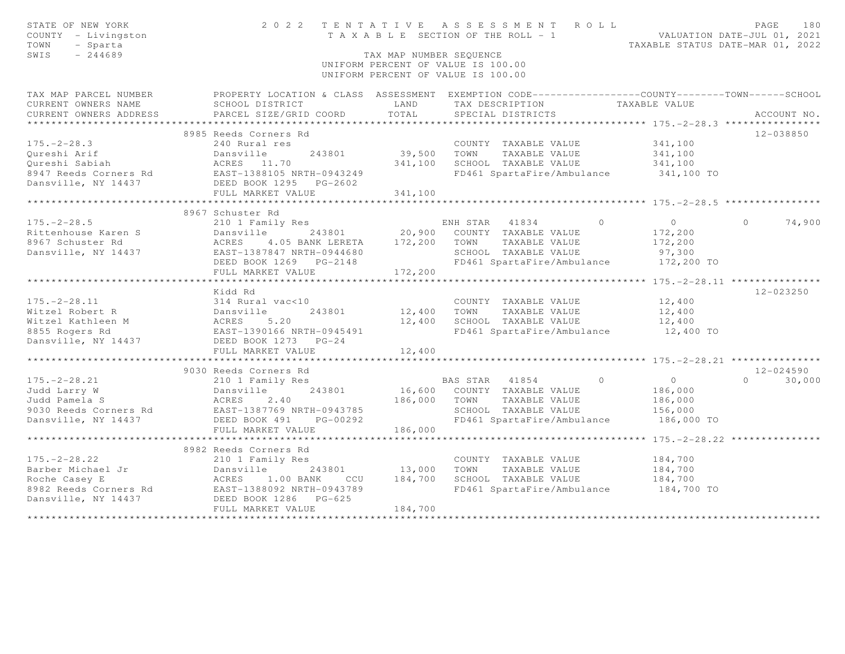| STATE OF NEW YORK<br>COUNTY - Livingston<br>- Sparta<br>TOWN<br>SWIS<br>$-244689$                                                                                                                                                                    | 2022 TENTATIVE ASSESSMENT ROLL                                                                   | TAX MAP NUMBER SEQUENCE<br>UNIFORM PERCENT OF VALUE IS 100.00<br>UNIFORM PERCENT OF VALUE IS 100.00                                                                                              |              | TAXABLE SECTION OF THE ROLL - 1 VALUATION DATE-JUL 01, 2021               |            | TAXABLE STATUS DATE-MAR 01, 2022                                        | PAGE          | 180         |
|------------------------------------------------------------------------------------------------------------------------------------------------------------------------------------------------------------------------------------------------------|--------------------------------------------------------------------------------------------------|--------------------------------------------------------------------------------------------------------------------------------------------------------------------------------------------------|--------------|---------------------------------------------------------------------------|------------|-------------------------------------------------------------------------|---------------|-------------|
| TAX MAP PARCEL NUMBER                                                                                                                                                                                                                                | PROPERTY LOCATION & CLASS ASSESSMENT EXEMPTION CODE----------------COUNTY-------TOWN------SCHOOL |                                                                                                                                                                                                  |              |                                                                           |            |                                                                         |               |             |
| CURRENT OWNERS NAME                                                                                                                                                                                                                                  | SCHOOL DISTRICT                                                                                  | <b>EXAMPLE EXAMPLE EXAMPLE EXAMPLE EXAMPLE EXAMPLE EXAMPLE EXAMPLE EXAMPLE EXAMPLE EXAMPLE EXAMPLE EXAMPLE EXAMPLE EXAMPLE EXAMPLE EXAMPLE EXAMPLE EXAMPLE EXAMPLE EXAMPLE EXAMPLE EXAMPLE E</b> |              | TAX DESCRIPTION TAXABLE VALUE<br>SPECIAL DISTRICTS                        |            |                                                                         |               |             |
| CURRENT OWNERS ADDRESS                                                                                                                                                                                                                               | PARCEL SIZE/GRID COORD                                                                           | TOTAL                                                                                                                                                                                            |              | SPECIAL DISTRICTS                                                         |            |                                                                         |               | ACCOUNT NO. |
|                                                                                                                                                                                                                                                      | 8985 Reeds Corners Rd                                                                            |                                                                                                                                                                                                  |              |                                                                           |            |                                                                         | 12-038850     |             |
| $175. - 2 - 28.3$                                                                                                                                                                                                                                    | 240 Rural res                                                                                    |                                                                                                                                                                                                  |              | COUNTY TAXABLE VALUE 341,100                                              |            |                                                                         |               |             |
|                                                                                                                                                                                                                                                      | 243801                                                                                           |                                                                                                                                                                                                  |              | 39,500 TOWN TAXABLE VALUE                                                 |            |                                                                         |               |             |
| Qureshi Arif<br>Qureshi Sabiah                                                                                                                                                                                                                       |                                                                                                  | 341,100                                                                                                                                                                                          |              | SCHOOL TAXABLE VALUE                                                      |            | 341,100<br>341,100                                                      |               |             |
|                                                                                                                                                                                                                                                      |                                                                                                  |                                                                                                                                                                                                  |              | FD461 SpartaFire/Ambulance 341,100 TO                                     |            |                                                                         |               |             |
|                                                                                                                                                                                                                                                      |                                                                                                  |                                                                                                                                                                                                  |              |                                                                           |            |                                                                         |               |             |
|                                                                                                                                                                                                                                                      | FULL MARKET VALUE                                                                                | 341,100                                                                                                                                                                                          |              |                                                                           |            |                                                                         |               |             |
|                                                                                                                                                                                                                                                      |                                                                                                  |                                                                                                                                                                                                  |              |                                                                           |            |                                                                         |               |             |
|                                                                                                                                                                                                                                                      | 8967 Schuster Rd                                                                                 |                                                                                                                                                                                                  |              |                                                                           |            |                                                                         |               |             |
| $175. - 2 - 28.5$                                                                                                                                                                                                                                    | 210 1 Family Res                                                                                 |                                                                                                                                                                                                  |              | ENH STAR 41834 0                                                          |            | $\overline{O}$ and $\overline{O}$ and $\overline{O}$ and $\overline{O}$ | $\Omega$      | 74,900      |
|                                                                                                                                                                                                                                                      | Dansville 243801 20,900 COUNTY TAXABLE VALUE                                                     |                                                                                                                                                                                                  |              |                                                                           |            | 172,200                                                                 |               |             |
|                                                                                                                                                                                                                                                      | 4.05 BANK LERETA 172,200 TOWN                                                                    |                                                                                                                                                                                                  |              | TAXABLE VALUE                                                             |            | 172,200                                                                 |               |             |
|                                                                                                                                                                                                                                                      |                                                                                                  |                                                                                                                                                                                                  |              | SCHOOL TAXABLE VALUE                                                      |            | 97,300                                                                  |               |             |
|                                                                                                                                                                                                                                                      |                                                                                                  |                                                                                                                                                                                                  |              | FD461 SpartaFire/Ambulance 172,200 TO                                     |            |                                                                         |               |             |
|                                                                                                                                                                                                                                                      | FULL MARKET VALUE                                                                                | 172,200                                                                                                                                                                                          |              |                                                                           |            |                                                                         |               |             |
|                                                                                                                                                                                                                                                      | ***************************                                                                      | * * * * * * * * * * *                                                                                                                                                                            |              |                                                                           |            | ****************** 175.-2-28.11 ****************                        |               |             |
|                                                                                                                                                                                                                                                      | Kidd Rd                                                                                          |                                                                                                                                                                                                  |              |                                                                           |            |                                                                         | 12-023250     |             |
|                                                                                                                                                                                                                                                      |                                                                                                  |                                                                                                                                                                                                  |              | COUNTY TAXABLE VALUE<br>12,400 TOWN TAXABLE VALUE<br>COUNTY TAXABLE VALUE |            | 12,400                                                                  |               |             |
|                                                                                                                                                                                                                                                      |                                                                                                  |                                                                                                                                                                                                  |              |                                                                           |            | 12,400                                                                  |               |             |
|                                                                                                                                                                                                                                                      |                                                                                                  | 12,400                                                                                                                                                                                           |              | TOWN TAXABLE VALUE 12,400<br>SCHOOL TAXABLE VALUE 12,400 TO               |            |                                                                         |               |             |
| 175.-2-28.11<br>Witzel Robert R<br>Witzel Kathleen M<br>8855 Rogers Rd<br>Dansville, NY 14437<br>Dansville, NY 14437<br>Dansville, NY 14437<br>Dansville, NY 14437<br>Dansville, NY 14437<br>Dansville, NY 14437<br>Dansville, NY 14437<br>Dansville |                                                                                                  |                                                                                                                                                                                                  |              |                                                                           |            |                                                                         |               |             |
|                                                                                                                                                                                                                                                      |                                                                                                  |                                                                                                                                                                                                  |              |                                                                           |            |                                                                         |               |             |
|                                                                                                                                                                                                                                                      |                                                                                                  |                                                                                                                                                                                                  |              |                                                                           |            |                                                                         |               |             |
|                                                                                                                                                                                                                                                      | 9030 Reeds Corners Rd                                                                            |                                                                                                                                                                                                  |              |                                                                           |            |                                                                         | 12-024590     |             |
|                                                                                                                                                                                                                                                      |                                                                                                  |                                                                                                                                                                                                  |              | BAS STAR 41854                                                            | $\bigcirc$ | $\overline{O}$                                                          | $0 \t 30,000$ |             |
|                                                                                                                                                                                                                                                      |                                                                                                  |                                                                                                                                                                                                  |              | 16,600 COUNTY TAXABLE VALUE                                               |            | 186,000                                                                 |               |             |
|                                                                                                                                                                                                                                                      |                                                                                                  |                                                                                                                                                                                                  | 186,000 TOWN | TAXABLE VALUE                                                             |            | 186,000                                                                 |               |             |
|                                                                                                                                                                                                                                                      |                                                                                                  |                                                                                                                                                                                                  |              | SCHOOL TAXABLE VALUE                                                      |            | 156,000                                                                 |               |             |
|                                                                                                                                                                                                                                                      |                                                                                                  |                                                                                                                                                                                                  |              | FD461 SpartaFire/Ambulance                                                |            | 186,000 TO                                                              |               |             |
|                                                                                                                                                                                                                                                      | FULL MARKET VALUE                                                                                | 186,000                                                                                                                                                                                          |              |                                                                           |            |                                                                         |               |             |
|                                                                                                                                                                                                                                                      |                                                                                                  |                                                                                                                                                                                                  |              |                                                                           |            |                                                                         |               |             |
|                                                                                                                                                                                                                                                      | 8982 Reeds Corners Rd                                                                            |                                                                                                                                                                                                  |              |                                                                           |            |                                                                         |               |             |
|                                                                                                                                                                                                                                                      |                                                                                                  |                                                                                                                                                                                                  |              | COUNTY TAXABLE VALUE                                                      |            | 184,700                                                                 |               |             |
|                                                                                                                                                                                                                                                      |                                                                                                  | 243801 13,000                                                                                                                                                                                    | TOWN         | TAXABLE VALUE                                                             |            | 184,700                                                                 |               |             |
|                                                                                                                                                                                                                                                      |                                                                                                  | CCU 184,700                                                                                                                                                                                      |              | SCHOOL TAXABLE VALUE                                                      |            | 184,700                                                                 |               |             |
|                                                                                                                                                                                                                                                      |                                                                                                  |                                                                                                                                                                                                  |              | FD461 SpartaFire/Ambulance 184,700 TO                                     |            |                                                                         |               |             |
| 175.-2-28.22 210 1 Family Res<br>Barber Michael Jr Dansville 243801<br>Roche Casey E ACRES 1.00 BANK CCU<br>8982 Reeds Corners Rd EAST-1388092 NRTH-0943789<br>Dansville, NY 14437 DEED BOOK 1286 PG-625                                             |                                                                                                  |                                                                                                                                                                                                  |              |                                                                           |            |                                                                         |               |             |
|                                                                                                                                                                                                                                                      | FULL MARKET VALUE                                                                                | 184,700                                                                                                                                                                                          |              |                                                                           |            |                                                                         |               |             |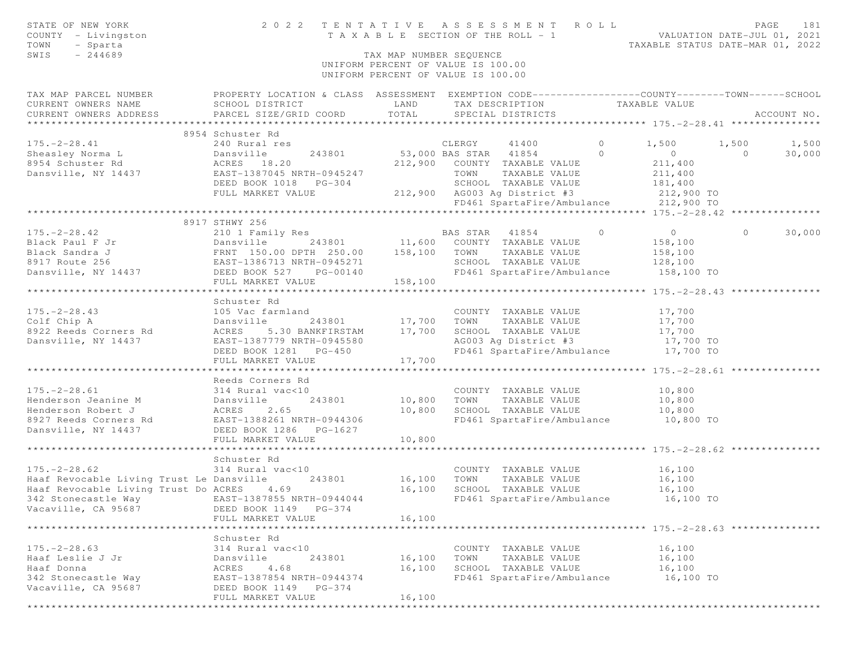| STATE OF NEW YORK<br>COUNTY - Livingston<br>TOWN<br>- Sparta<br>SWIS<br>$-244689$                                                                                                                                                                                                                                                                                                                                 | 2022 TENTATIVE ASSESSMENT ROLL             | TAX MAP NUMBER SEQUENCE<br>UNIFORM PERCENT OF VALUE IS 100.00<br>UNIFORM PERCENT OF VALUE IS 100.00 |      |                             | TAXABLE SECTION OF THE ROLL - 1<br>TAXABLE SECTION OF THE ROLL - 1<br>TAXABLE STATUS DATE-MAR 01, 2022 | PAGE<br>181 |
|-------------------------------------------------------------------------------------------------------------------------------------------------------------------------------------------------------------------------------------------------------------------------------------------------------------------------------------------------------------------------------------------------------------------|--------------------------------------------|-----------------------------------------------------------------------------------------------------|------|-----------------------------|--------------------------------------------------------------------------------------------------------|-------------|
| TAX MAP PARCEL NUMBER FROPERTY LOCATION & CLASS ASSESSMENT EXEMPTION CODE---------------COUNTY-------TOWN------SCHOOL                                                                                                                                                                                                                                                                                             |                                            |                                                                                                     |      |                             |                                                                                                        |             |
|                                                                                                                                                                                                                                                                                                                                                                                                                   |                                            |                                                                                                     |      |                             |                                                                                                        |             |
|                                                                                                                                                                                                                                                                                                                                                                                                                   |                                            |                                                                                                     |      |                             |                                                                                                        |             |
|                                                                                                                                                                                                                                                                                                                                                                                                                   | 8954 Schuster Rd                           |                                                                                                     |      |                             |                                                                                                        |             |
|                                                                                                                                                                                                                                                                                                                                                                                                                   |                                            |                                                                                                     |      |                             |                                                                                                        |             |
|                                                                                                                                                                                                                                                                                                                                                                                                                   |                                            |                                                                                                     |      |                             |                                                                                                        | 30,000      |
|                                                                                                                                                                                                                                                                                                                                                                                                                   |                                            |                                                                                                     |      |                             |                                                                                                        |             |
|                                                                                                                                                                                                                                                                                                                                                                                                                   |                                            |                                                                                                     |      |                             |                                                                                                        |             |
|                                                                                                                                                                                                                                                                                                                                                                                                                   |                                            |                                                                                                     |      |                             |                                                                                                        |             |
|                                                                                                                                                                                                                                                                                                                                                                                                                   |                                            |                                                                                                     |      |                             |                                                                                                        |             |
|                                                                                                                                                                                                                                                                                                                                                                                                                   |                                            |                                                                                                     |      |                             |                                                                                                        |             |
|                                                                                                                                                                                                                                                                                                                                                                                                                   |                                            |                                                                                                     |      |                             |                                                                                                        |             |
|                                                                                                                                                                                                                                                                                                                                                                                                                   | 8917 STHWY 256                             |                                                                                                     |      |                             |                                                                                                        |             |
|                                                                                                                                                                                                                                                                                                                                                                                                                   |                                            |                                                                                                     |      |                             |                                                                                                        |             |
|                                                                                                                                                                                                                                                                                                                                                                                                                   |                                            |                                                                                                     |      |                             |                                                                                                        |             |
|                                                                                                                                                                                                                                                                                                                                                                                                                   |                                            |                                                                                                     |      |                             |                                                                                                        |             |
|                                                                                                                                                                                                                                                                                                                                                                                                                   |                                            |                                                                                                     |      |                             |                                                                                                        |             |
|                                                                                                                                                                                                                                                                                                                                                                                                                   |                                            |                                                                                                     |      |                             |                                                                                                        |             |
| $\begin{array}{cccccccc} 175.-2-28.42 & 210 & 1 &\text{Family Res} & \text{BAS STAR} & 41854 & 0 & 0 & 30,000 \\ \text{Black Paul F Jr} & 210 & 1 &\text{Family Res} & 11,600 & \text{COUNTY} & \text{TXABLE VALUE} & 158,100 \\ \text{Black Sandra J} & \text{ERNT} & 150.00 & \text{DPTH} & 250.00 & 158,100 & \text{TOWN} & \text{TXABLE VALUE} & 158,100 \\ \text{Black Sandra J} & \text{FRNT} & 150.00 & \$ |                                            |                                                                                                     |      |                             |                                                                                                        |             |
|                                                                                                                                                                                                                                                                                                                                                                                                                   | Schuster Rd                                |                                                                                                     |      |                             |                                                                                                        |             |
| 175.-2-28.43<br>Colf Chip A<br>243801 17,700 TOWN TAXABLE VALUE 17,700<br>8922 Reeds Corners Rd ACRES 5.30 BANKFIRSTAM 17,700 SCHOOL TAXABLE VALUE 17,700<br>Dansville, NY 14437 EAST-1387779 NRTH-0945580 AG003 Ag District #3 17,700                                                                                                                                                                            |                                            |                                                                                                     |      |                             |                                                                                                        |             |
|                                                                                                                                                                                                                                                                                                                                                                                                                   |                                            |                                                                                                     |      |                             |                                                                                                        |             |
|                                                                                                                                                                                                                                                                                                                                                                                                                   |                                            |                                                                                                     |      |                             |                                                                                                        |             |
|                                                                                                                                                                                                                                                                                                                                                                                                                   |                                            |                                                                                                     |      |                             |                                                                                                        |             |
|                                                                                                                                                                                                                                                                                                                                                                                                                   |                                            |                                                                                                     |      |                             |                                                                                                        |             |
|                                                                                                                                                                                                                                                                                                                                                                                                                   |                                            |                                                                                                     |      |                             |                                                                                                        |             |
|                                                                                                                                                                                                                                                                                                                                                                                                                   |                                            |                                                                                                     |      |                             |                                                                                                        |             |
|                                                                                                                                                                                                                                                                                                                                                                                                                   | Reeds Corners Rd                           |                                                                                                     |      |                             |                                                                                                        |             |
|                                                                                                                                                                                                                                                                                                                                                                                                                   |                                            |                                                                                                     |      |                             |                                                                                                        |             |
|                                                                                                                                                                                                                                                                                                                                                                                                                   |                                            |                                                                                                     |      |                             |                                                                                                        |             |
|                                                                                                                                                                                                                                                                                                                                                                                                                   |                                            |                                                                                                     |      |                             | 10,800 SCHOOL TAXABLE VALUE 10,800<br>FD461 SpartaFire/Ambulance 10,800 TO                             |             |
|                                                                                                                                                                                                                                                                                                                                                                                                                   |                                            |                                                                                                     |      |                             |                                                                                                        |             |
|                                                                                                                                                                                                                                                                                                                                                                                                                   | FULL MARKET VALUE                          | 10,800                                                                                              |      |                             |                                                                                                        |             |
|                                                                                                                                                                                                                                                                                                                                                                                                                   |                                            |                                                                                                     |      |                             |                                                                                                        |             |
|                                                                                                                                                                                                                                                                                                                                                                                                                   | Schuster Rd                                |                                                                                                     |      |                             |                                                                                                        |             |
|                                                                                                                                                                                                                                                                                                                                                                                                                   |                                            |                                                                                                     |      | COUNTY TAXABLE VALUE 16,100 |                                                                                                        |             |
| COLLUSE NA<br>314 Rural vac<10 COUNTY TAXABLE VALUE<br>Haaf Revocable Living Trust Le Dansville 243801 16,100 TOWN TAXABLE VALUE                                                                                                                                                                                                                                                                                  |                                            |                                                                                                     |      |                             | 16,100                                                                                                 |             |
| Haaf Revocable Living Trust Do ACRES 4.69 16,100                                                                                                                                                                                                                                                                                                                                                                  |                                            |                                                                                                     |      | SCHOOL TAXABLE VALUE        | 16,100                                                                                                 |             |
| 342 Stonecastle Way 6.100 TO EAST-1387855 NRTH-0944044 FD461 SpartaFire/Ambulance 16,100 TO                                                                                                                                                                                                                                                                                                                       |                                            |                                                                                                     |      |                             |                                                                                                        |             |
| Vacaville, CA 95687                                                                                                                                                                                                                                                                                                                                                                                               | DEED BOOK 1149 PG-374                      |                                                                                                     |      |                             |                                                                                                        |             |
|                                                                                                                                                                                                                                                                                                                                                                                                                   | FULL MARKET VALUE                          | 16,100                                                                                              |      |                             |                                                                                                        |             |
|                                                                                                                                                                                                                                                                                                                                                                                                                   |                                            |                                                                                                     |      |                             |                                                                                                        |             |
|                                                                                                                                                                                                                                                                                                                                                                                                                   | Schuster Rd                                |                                                                                                     |      |                             |                                                                                                        |             |
| $175. - 2 - 28.63$                                                                                                                                                                                                                                                                                                                                                                                                | 314 Rural vac<10                           |                                                                                                     |      | COUNTY TAXABLE VALUE        | 16,100                                                                                                 |             |
| Haaf Leslie J Jr                                                                                                                                                                                                                                                                                                                                                                                                  | 243801<br>Dansville                        | 16,100                                                                                              | TOWN | TAXABLE VALUE               | 16,100                                                                                                 |             |
| Haaf Donna                                                                                                                                                                                                                                                                                                                                                                                                        | 4.68<br>ACRES                              | 16,100                                                                                              |      | SCHOOL TAXABLE VALUE        | 16,100                                                                                                 |             |
| 342 Stonecastle Way                                                                                                                                                                                                                                                                                                                                                                                               | EAST-1387854 NRTH-0944374                  |                                                                                                     |      | FD461 SpartaFire/Ambulance  | 16,100 TO                                                                                              |             |
| Vacaville, CA 95687                                                                                                                                                                                                                                                                                                                                                                                               | DEED BOOK 1149 PG-374<br>FULL MARKET VALUE | 16,100                                                                                              |      |                             |                                                                                                        |             |
|                                                                                                                                                                                                                                                                                                                                                                                                                   |                                            |                                                                                                     |      |                             |                                                                                                        |             |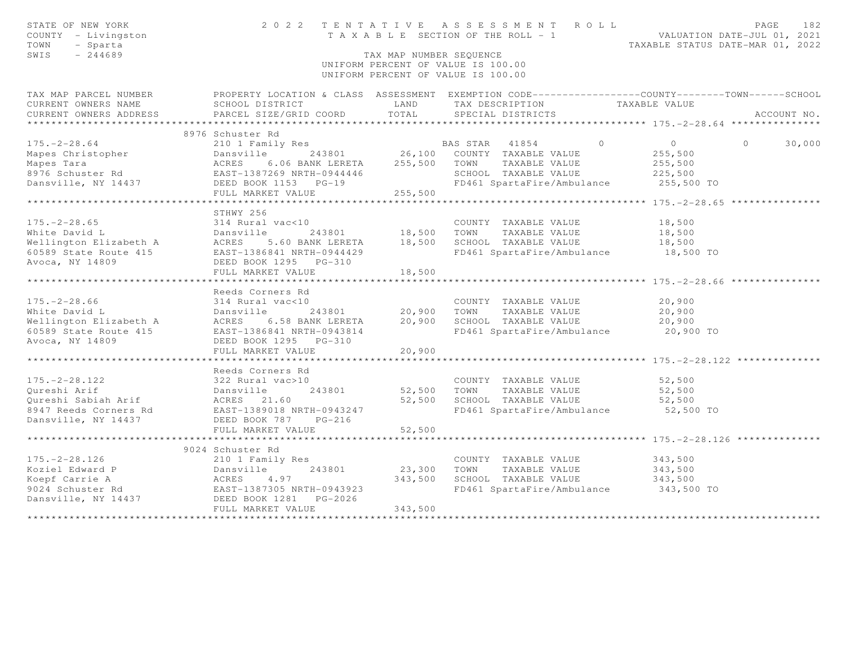| STATE OF NEW YORK<br>COUNTY - Livingston<br>TOWN<br>- Sparta<br>SWIS<br>$-244689$                                                                                                                                    |                          | TAX MAP NUMBER SEQUENCE  | 2022 TENTATIVE ASSESSMENT ROLL<br>TENIAIIVE ASSESSMENT NUMBER VALUATION DATE-JUL 01, 2021<br>TAXABLE SECTION OF THE ROLL - 1<br>TAXABLE STATUS DATE-MAR 01, 2022<br>UNIFORM PERCENT OF VALUE IS 100.00<br>UNIFORM PERCENT OF VALUE IS 100.00 |                                                 | PAGE<br>182        |
|----------------------------------------------------------------------------------------------------------------------------------------------------------------------------------------------------------------------|--------------------------|--------------------------|----------------------------------------------------------------------------------------------------------------------------------------------------------------------------------------------------------------------------------------------|-------------------------------------------------|--------------------|
| TAX MAP PARCEL NUMBER PROPERTY LOCATION & CLASS ASSESSMENT EXEMPTION CODE---------------COUNTY-------TOWN------SCHOOL                                                                                                |                          |                          |                                                                                                                                                                                                                                              |                                                 |                    |
| CURRENT OWNERS NAME                                                                                                                                                                                                  |                          |                          | SCHOOL DISTRICT                         LAND         TAX DESCRIPTION                   TAXABLE VALUE PARCEL SIZE/GRID COORD         TOTAL       SPECIAL DISTRICTS                                                                            |                                                 |                    |
| CURRENT OWNERS ADDRESS                                                                                                                                                                                               | PARCEL SIZE/GRID COORD   | TOTAL                    | SPECIAL DISTRICTS                                                                                                                                                                                                                            |                                                 | ACCOUNT NO.        |
|                                                                                                                                                                                                                      |                          |                          |                                                                                                                                                                                                                                              |                                                 |                    |
|                                                                                                                                                                                                                      | 8976 Schuster Rd         |                          |                                                                                                                                                                                                                                              |                                                 |                    |
|                                                                                                                                                                                                                      |                          |                          |                                                                                                                                                                                                                                              |                                                 | 30,000<br>$\Omega$ |
|                                                                                                                                                                                                                      |                          |                          |                                                                                                                                                                                                                                              |                                                 |                    |
|                                                                                                                                                                                                                      |                          |                          |                                                                                                                                                                                                                                              |                                                 |                    |
|                                                                                                                                                                                                                      |                          |                          | TOWN IAAADDD<br>SCHOOL TAXABLE_VALUE 225,500<br>And Time and ance 255,500 TO                                                                                                                                                                 |                                                 |                    |
|                                                                                                                                                                                                                      |                          |                          |                                                                                                                                                                                                                                              |                                                 |                    |
|                                                                                                                                                                                                                      | FULL MARKET VALUE        | 255,500<br>************* |                                                                                                                                                                                                                                              |                                                 |                    |
|                                                                                                                                                                                                                      | STHWY 256                |                          |                                                                                                                                                                                                                                              |                                                 |                    |
|                                                                                                                                                                                                                      |                          |                          |                                                                                                                                                                                                                                              | 18,500                                          |                    |
|                                                                                                                                                                                                                      |                          |                          |                                                                                                                                                                                                                                              | 18,500                                          |                    |
| 175.-2-28.65<br>White David Land Dansville 243801 18,500 TOWN TAXABLE VALUE<br>Wellington Elizabeth A ACRES 5.60 BANK LERETA 18,500 SCHOOL TAXABLE VALUE<br>EAST-1386841 NRTH-0944429 FD461 SpartaFire/Ambulance     |                          |                          |                                                                                                                                                                                                                                              |                                                 |                    |
|                                                                                                                                                                                                                      |                          |                          |                                                                                                                                                                                                                                              | 18,500<br>18,500 TO                             |                    |
| Avoca, NY 14809                                                                                                                                                                                                      | DEED BOOK 1295 PG-310    |                          |                                                                                                                                                                                                                                              |                                                 |                    |
|                                                                                                                                                                                                                      | FULL MARKET VALUE        | 18,500                   |                                                                                                                                                                                                                                              |                                                 |                    |
|                                                                                                                                                                                                                      | ************************ | **********               |                                                                                                                                                                                                                                              | ********************** 175. -2-28.66 ********** |                    |
|                                                                                                                                                                                                                      | Reeds Corners Rd         |                          |                                                                                                                                                                                                                                              |                                                 |                    |
|                                                                                                                                                                                                                      |                          |                          |                                                                                                                                                                                                                                              |                                                 |                    |
|                                                                                                                                                                                                                      |                          |                          |                                                                                                                                                                                                                                              |                                                 |                    |
|                                                                                                                                                                                                                      |                          |                          |                                                                                                                                                                                                                                              |                                                 |                    |
|                                                                                                                                                                                                                      |                          |                          |                                                                                                                                                                                                                                              |                                                 |                    |
| Avoca, NY 14809                                                                                                                                                                                                      | DEED BOOK 1295 PG-310    |                          |                                                                                                                                                                                                                                              |                                                 |                    |
|                                                                                                                                                                                                                      | FULL MARKET VALUE        | 20,900                   |                                                                                                                                                                                                                                              |                                                 |                    |
|                                                                                                                                                                                                                      |                          |                          |                                                                                                                                                                                                                                              |                                                 |                    |
|                                                                                                                                                                                                                      | Reeds Corners Rd         |                          |                                                                                                                                                                                                                                              |                                                 |                    |
|                                                                                                                                                                                                                      |                          |                          | COUNTY TAXABLE VALUE                                                                                                                                                                                                                         | 52,500                                          |                    |
| 175.-2-28.122<br>Qureshi Arif bansville 243801<br>Qureshi Sabiah Arif bansville 243801<br>8947 Reeds Corners Rd EAST-1389018 NRTH-0943247<br>Dansville, NY 14437 DEED BOOK 787 PG-216                                |                          | 52,500 TOWN              | TAXABLE VALUE                                                                                                                                                                                                                                | 52,500                                          |                    |
|                                                                                                                                                                                                                      |                          | 52,500                   | SCHOOL TAXABLE VALUE                                                                                                                                                                                                                         | 52,500                                          |                    |
|                                                                                                                                                                                                                      |                          |                          | FD461 SpartaFire/Ambulance 52,500 TO                                                                                                                                                                                                         |                                                 |                    |
|                                                                                                                                                                                                                      |                          |                          |                                                                                                                                                                                                                                              |                                                 |                    |
|                                                                                                                                                                                                                      | FULL MARKET VALUE        | 52,500                   |                                                                                                                                                                                                                                              |                                                 |                    |
|                                                                                                                                                                                                                      | 9024 Schuster Rd         |                          |                                                                                                                                                                                                                                              |                                                 |                    |
|                                                                                                                                                                                                                      |                          |                          |                                                                                                                                                                                                                                              |                                                 |                    |
|                                                                                                                                                                                                                      |                          | $\frac{23}{343}$ , 300   | COUNTY TAXABLE VALUE                                                                                                                                                                                                                         | 343,500<br>343,500                              |                    |
|                                                                                                                                                                                                                      |                          |                          | TOWN      TAXABLE VALUE<br>SCHOOL   TAXABLE VALUE                                                                                                                                                                                            | 343,500                                         |                    |
|                                                                                                                                                                                                                      |                          |                          | FD461 SpartaFire/Ambulance 343,500 TO                                                                                                                                                                                                        |                                                 |                    |
| 175.-2-28.126 210 1 Family Res<br>Koziel Edward P Dansville 243801<br>Koepf Carrie A ACRES 4.97<br>9024 Schuster Rd EAST-1387305 NRTH-0943923<br>Dansville, NY 14437 DEED BOOK 1281 PG-2026<br>THE BOOK 1281 PG-2026 |                          |                          |                                                                                                                                                                                                                                              |                                                 |                    |
|                                                                                                                                                                                                                      | FULL MARKET VALUE        | 343,500                  |                                                                                                                                                                                                                                              |                                                 |                    |
|                                                                                                                                                                                                                      |                          |                          |                                                                                                                                                                                                                                              |                                                 |                    |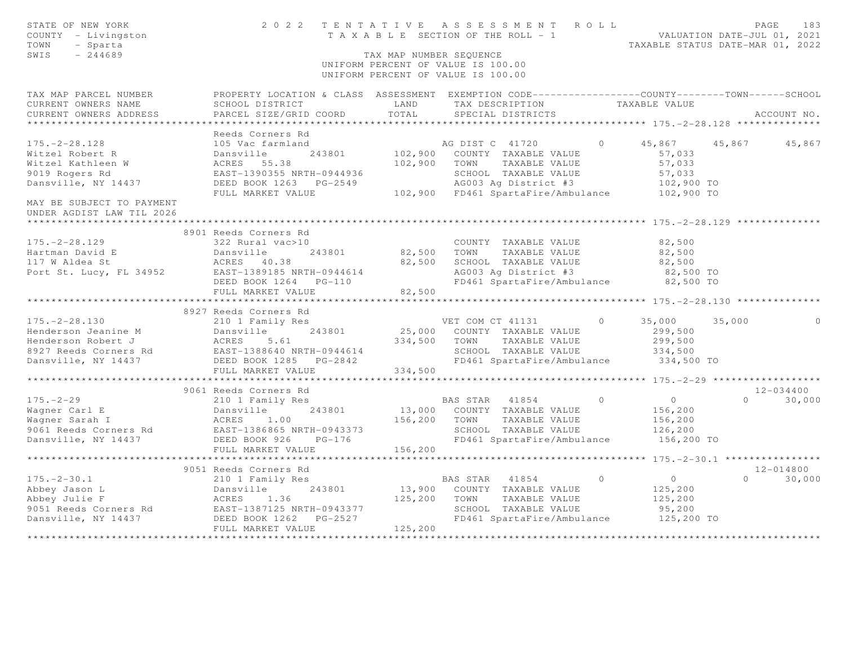| STATE OF NEW YORK<br>COUNTY - Livingston<br>TOWN<br>- Sparta<br>SWIS<br>$-244689$ |                                                                                                                                                                                                                                                                                                                                                                                                                                                          |         | 2022 TENTATIVE ASSESSMENT ROLL<br>TAXABLE SECTION OF THE ROLL - 1<br>TAXABLE SECTION OF THE ROLL - 1<br>TAXABLE STATUS DATE-MAR 01, 2022<br>TAX MAP NUMBER SEQUENCE<br>UNIFORM PERCENT OF VALUE IS 100.00<br>UNIFORM PERCENT OF VALUE IS 100.00 |               | PAGE | 183           |
|-----------------------------------------------------------------------------------|----------------------------------------------------------------------------------------------------------------------------------------------------------------------------------------------------------------------------------------------------------------------------------------------------------------------------------------------------------------------------------------------------------------------------------------------------------|---------|-------------------------------------------------------------------------------------------------------------------------------------------------------------------------------------------------------------------------------------------------|---------------|------|---------------|
| CURRENT OWNERS NAME<br>CURRENT OWNERS ADDRESS                                     | TAX MAP PARCEL NUMBER FROPERTY LOCATION & CLASS ASSESSMENT EXEMPTION CODE---------------COUNTY-------TOWN------SCHOOL<br>SCHOOL DISTRICT TAND TAX DESCRIPTION TAXABLE VALUE                                                                                                                                                                                                                                                                              |         |                                                                                                                                                                                                                                                 |               |      |               |
|                                                                                   |                                                                                                                                                                                                                                                                                                                                                                                                                                                          |         |                                                                                                                                                                                                                                                 |               |      |               |
|                                                                                   | Reeds Corners Rd                                                                                                                                                                                                                                                                                                                                                                                                                                         |         |                                                                                                                                                                                                                                                 |               |      |               |
|                                                                                   |                                                                                                                                                                                                                                                                                                                                                                                                                                                          |         | AG DIST C 41720 0 45,867 45,867 45,867                                                                                                                                                                                                          |               |      |               |
|                                                                                   |                                                                                                                                                                                                                                                                                                                                                                                                                                                          |         |                                                                                                                                                                                                                                                 |               |      |               |
| UNDER AGDIST LAW TIL 2026                                                         |                                                                                                                                                                                                                                                                                                                                                                                                                                                          |         |                                                                                                                                                                                                                                                 |               |      |               |
|                                                                                   |                                                                                                                                                                                                                                                                                                                                                                                                                                                          |         |                                                                                                                                                                                                                                                 |               |      |               |
|                                                                                   | 8901 Reeds Corners Rd                                                                                                                                                                                                                                                                                                                                                                                                                                    |         |                                                                                                                                                                                                                                                 |               |      |               |
|                                                                                   | 175.-2-28.129<br>Hartman David E<br>117 W Aldea St<br>Port St. Lucy, FL 34952<br>243801<br>243801<br>243801<br>243801<br>243801<br>243801<br>243801<br>243801<br>25.500<br>27.500<br>27.500<br>27.500<br>27.500<br>27.500<br>27.500<br>27.500<br>282,500<br>282,500<br>282                                                                                                                                                                               |         | vac>10 COUNTY TAXABLE VALUE<br>243801 82,500 TOWN TAXABLE VALUE                                                                                                                                                                                 | 82,500        |      |               |
|                                                                                   |                                                                                                                                                                                                                                                                                                                                                                                                                                                          |         |                                                                                                                                                                                                                                                 | 82,500        |      |               |
|                                                                                   |                                                                                                                                                                                                                                                                                                                                                                                                                                                          |         |                                                                                                                                                                                                                                                 |               |      |               |
|                                                                                   |                                                                                                                                                                                                                                                                                                                                                                                                                                                          |         | 82,500 SCHOOL TAXABLE VALUE 82,500<br>AG003 Ag District #3 82,500 TO<br>FD461 SpartaFire/Ambulance 82,500 TO                                                                                                                                    |               |      |               |
|                                                                                   | FULL MARKET VALUE                                                                                                                                                                                                                                                                                                                                                                                                                                        | 82,500  |                                                                                                                                                                                                                                                 |               |      |               |
|                                                                                   |                                                                                                                                                                                                                                                                                                                                                                                                                                                          |         |                                                                                                                                                                                                                                                 |               |      |               |
|                                                                                   | 8927 Reeds Corners Rd                                                                                                                                                                                                                                                                                                                                                                                                                                    |         |                                                                                                                                                                                                                                                 |               |      |               |
|                                                                                   |                                                                                                                                                                                                                                                                                                                                                                                                                                                          |         |                                                                                                                                                                                                                                                 | 35,000 35,000 |      | $\circ$       |
|                                                                                   |                                                                                                                                                                                                                                                                                                                                                                                                                                                          |         |                                                                                                                                                                                                                                                 | 299,500       |      |               |
|                                                                                   |                                                                                                                                                                                                                                                                                                                                                                                                                                                          |         |                                                                                                                                                                                                                                                 | 299,500       |      |               |
|                                                                                   |                                                                                                                                                                                                                                                                                                                                                                                                                                                          |         |                                                                                                                                                                                                                                                 | 334,500       |      |               |
|                                                                                   | 175.-2-28.130<br>Henderson Jeanine M<br>Henderson Robert J<br>Service and Dansville 243801<br>Service 243801<br>25,000 COUNTY TAXABLE VALUE<br>25,000 COUNTY TAXABLE VALUE<br>25,000 COUNTY TAXABLE VALUE<br>25,000 COUNTY TAXABLE VALUE<br>25,0                                                                                                                                                                                                         |         | FD461 SpartaFire/Ambulance 334,500 TO                                                                                                                                                                                                           |               |      |               |
|                                                                                   |                                                                                                                                                                                                                                                                                                                                                                                                                                                          |         |                                                                                                                                                                                                                                                 |               |      |               |
|                                                                                   |                                                                                                                                                                                                                                                                                                                                                                                                                                                          |         |                                                                                                                                                                                                                                                 |               |      |               |
|                                                                                   |                                                                                                                                                                                                                                                                                                                                                                                                                                                          |         |                                                                                                                                                                                                                                                 |               |      | $12 - 034400$ |
|                                                                                   |                                                                                                                                                                                                                                                                                                                                                                                                                                                          |         |                                                                                                                                                                                                                                                 |               |      | $0 \t 30,000$ |
|                                                                                   |                                                                                                                                                                                                                                                                                                                                                                                                                                                          |         |                                                                                                                                                                                                                                                 |               |      |               |
|                                                                                   |                                                                                                                                                                                                                                                                                                                                                                                                                                                          |         |                                                                                                                                                                                                                                                 |               |      |               |
|                                                                                   |                                                                                                                                                                                                                                                                                                                                                                                                                                                          |         | FD461 SpartaFire/Ambulance 156,200 TO                                                                                                                                                                                                           |               |      |               |
|                                                                                   | $\begin{array}{cccccc} \texttt{175. -2-29} & & \texttt{9061 }\texttt{Reads}\texttt{Corner} & \texttt{Rd} & & \texttt{BAS} & \texttt{STAR} & \texttt{41854} & 0 & 0 \\ & & \texttt{210 1} & \texttt{Family} & \texttt{Res} & & \texttt{BAS} & \texttt{STAR} & \texttt{41854} & 0 & 0 \\ & & \texttt{Dansville} & & \texttt{243801} & & \texttt{13,000} & \texttt{COUNT} & \texttt{TAXABLE} & \texttt{VALUE} & \texttt{156,200} \\ &$<br>FULL MARKET VALUE | 156,200 |                                                                                                                                                                                                                                                 |               |      |               |
|                                                                                   |                                                                                                                                                                                                                                                                                                                                                                                                                                                          |         |                                                                                                                                                                                                                                                 |               |      |               |
|                                                                                   | 9051 Reeds Corners Rd                                                                                                                                                                                                                                                                                                                                                                                                                                    |         |                                                                                                                                                                                                                                                 |               |      | 12-014800     |
|                                                                                   |                                                                                                                                                                                                                                                                                                                                                                                                                                                          |         |                                                                                                                                                                                                                                                 |               |      | $0 \t 30,000$ |
|                                                                                   |                                                                                                                                                                                                                                                                                                                                                                                                                                                          |         |                                                                                                                                                                                                                                                 |               |      |               |
|                                                                                   |                                                                                                                                                                                                                                                                                                                                                                                                                                                          |         |                                                                                                                                                                                                                                                 |               |      |               |
|                                                                                   |                                                                                                                                                                                                                                                                                                                                                                                                                                                          |         |                                                                                                                                                                                                                                                 |               |      |               |
|                                                                                   |                                                                                                                                                                                                                                                                                                                                                                                                                                                          |         |                                                                                                                                                                                                                                                 |               |      |               |
|                                                                                   |                                                                                                                                                                                                                                                                                                                                                                                                                                                          |         |                                                                                                                                                                                                                                                 |               |      |               |
|                                                                                   |                                                                                                                                                                                                                                                                                                                                                                                                                                                          |         |                                                                                                                                                                                                                                                 |               |      |               |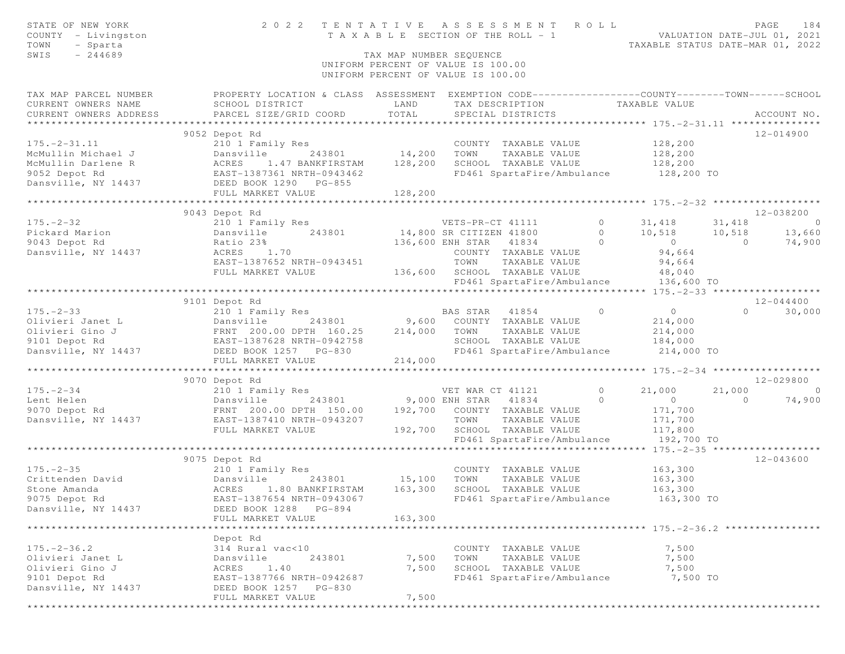| STATE OF NEW YORK<br>COUNTY - Livingston<br>TOWN<br>- Sparta<br>$-244689$<br>SWIS                                                                                                                                              | 2022 TENTATIVE ASSESSMENT ROLL                                                                   | T A X A B L E SECTION OF THE ROLL - 1<br>TAX MAP NUMBER SEQUENCE         |                  |                                                            |                | VALUATION DATE-JUL 01, 2021<br>TAXABLE STATUS DATE-MAR 01, 2022                              |          | PAGE<br>184              |
|--------------------------------------------------------------------------------------------------------------------------------------------------------------------------------------------------------------------------------|--------------------------------------------------------------------------------------------------|--------------------------------------------------------------------------|------------------|------------------------------------------------------------|----------------|----------------------------------------------------------------------------------------------|----------|--------------------------|
|                                                                                                                                                                                                                                |                                                                                                  | UNIFORM PERCENT OF VALUE IS 100.00<br>UNIFORM PERCENT OF VALUE IS 100.00 |                  |                                                            |                |                                                                                              |          |                          |
| TAX MAP PARCEL NUMBER                                                                                                                                                                                                          | PROPERTY LOCATION & CLASS ASSESSMENT EXEMPTION CODE----------------COUNTY-------TOWN------SCHOOL |                                                                          |                  |                                                            |                |                                                                                              |          |                          |
| CURRENT OWNERS NAME                                                                                                                                                                                                            | SCHOOL DISTRICT                                                                                  | LAND                                                                     |                  | TAX DESCRIPTION TAXABLE VALUE                              |                |                                                                                              |          |                          |
| CURRENT OWNERS ADDRESS                                                                                                                                                                                                         | PARCEL SIZE/GRID COORD                                                                           | TOTAL                                                                    |                  | SPECIAL DISTRICTS                                          |                |                                                                                              |          | ACCOUNT NO.              |
|                                                                                                                                                                                                                                | 9052 Depot Rd                                                                                    |                                                                          |                  |                                                            |                |                                                                                              |          | 12-014900                |
| $175. - 2 - 31.11$                                                                                                                                                                                                             | 210 1 Family Res                                                                                 |                                                                          |                  |                                                            |                |                                                                                              |          |                          |
|                                                                                                                                                                                                                                | Dansville 243801 14,200 TOWN                                                                     |                                                                          |                  | COUNTY TAXABLE VALUE 128,200<br>TOWN TAXABLE VALUE 128,200 |                |                                                                                              |          |                          |
|                                                                                                                                                                                                                                | 1.47 BANKFIRSTAM 128,200                                                                         |                                                                          |                  | SCHOOL TAXABLE VALUE 128,200                               |                |                                                                                              |          |                          |
| Note that the main of the contract of the contract of the contract of the contract of the contract of the contract of the contract of the contract of the contract of the contract of the contract of the contract of the cont | EAST-1387361 NRTH-0943462                                                                        |                                                                          |                  |                                                            |                | FD461 SpartaFire/Ambulance 128,200 TO                                                        |          |                          |
|                                                                                                                                                                                                                                |                                                                                                  |                                                                          |                  |                                                            |                |                                                                                              |          |                          |
|                                                                                                                                                                                                                                | FULL MARKET VALUE                                                                                | 128, 200                                                                 |                  |                                                            |                |                                                                                              |          |                          |
|                                                                                                                                                                                                                                |                                                                                                  |                                                                          |                  |                                                            |                |                                                                                              |          |                          |
|                                                                                                                                                                                                                                | 9043 Depot Rd                                                                                    |                                                                          |                  |                                                            |                |                                                                                              |          | 12-038200                |
|                                                                                                                                                                                                                                | 210 1 Family Res                                                                                 |                                                                          |                  |                                                            |                | VETS-PR-CT 41111 0 31, 418 31, 418                                                           |          | $\sim$ 0                 |
|                                                                                                                                                                                                                                |                                                                                                  |                                                                          |                  |                                                            |                | 243801 14,800 SR CITIZEN 41800 0 10,518 10,518 13,660<br>136,600 ENH STAR 41834 0 0 0 74,900 |          |                          |
| Dansville, NY 14437                                                                                                                                                                                                            | ACRES 1.70                                                                                       |                                                                          |                  | COUNTY TAXABLE VALUE                                       |                | 94,664                                                                                       |          |                          |
|                                                                                                                                                                                                                                | EAST-1387652 NRTH-0943451                                                                        |                                                                          | TOWN             | TAXABLE VALUE                                              |                | 94,664                                                                                       |          |                          |
|                                                                                                                                                                                                                                | FULL MARKET VALUE                                                                                |                                                                          |                  | 136,600 SCHOOL TAXABLE VALUE 48,040                        |                |                                                                                              |          |                          |
|                                                                                                                                                                                                                                |                                                                                                  |                                                                          |                  |                                                            |                | FD461 SpartaFire/Ambulance 136,600 TO                                                        |          |                          |
|                                                                                                                                                                                                                                |                                                                                                  |                                                                          |                  |                                                            |                |                                                                                              |          |                          |
|                                                                                                                                                                                                                                | 9101 Depot Rd                                                                                    |                                                                          |                  |                                                            |                |                                                                                              |          | 12-044400                |
|                                                                                                                                                                                                                                | 210 1 Family Res                                                                                 |                                                                          | BAS STAR 41854   |                                                            | $\overline{0}$ | $\overline{0}$                                                                               |          | $\overline{0}$<br>30,000 |
|                                                                                                                                                                                                                                | 243801 9,600 COUNTY TAXABLE VALUE                                                                |                                                                          |                  |                                                            |                | 214,000                                                                                      |          |                          |
|                                                                                                                                                                                                                                |                                                                                                  |                                                                          | TOWN             | TAXABLE VALUE                                              |                | 214,000                                                                                      |          |                          |
|                                                                                                                                                                                                                                |                                                                                                  |                                                                          |                  | SCHOOL TAXABLE VALUE                                       |                | 184,000<br>ance 214,000 TO                                                                   |          |                          |
|                                                                                                                                                                                                                                | FULL MARKET VALUE                                                                                | 214,000                                                                  |                  | FD461 SpartaFire/Ambulance                                 |                |                                                                                              |          |                          |
|                                                                                                                                                                                                                                |                                                                                                  |                                                                          |                  |                                                            |                |                                                                                              |          |                          |
|                                                                                                                                                                                                                                | 9070 Depot Rd                                                                                    |                                                                          |                  |                                                            |                |                                                                                              |          | 12-029800                |
|                                                                                                                                                                                                                                |                                                                                                  |                                                                          | VET WAR CT 41121 |                                                            | $\circ$        | 21,000                                                                                       | 21,000   | $\sim$ 0                 |
|                                                                                                                                                                                                                                |                                                                                                  |                                                                          |                  | 243801 9,000 ENH STAR 41834                                | $\Omega$       | $\overline{0}$                                                                               | $\Omega$ | 74,900                   |
|                                                                                                                                                                                                                                | FRNT 200.00 DPTH 150.00 192,700 COUNTY TAXABLE VALUE                                             |                                                                          |                  |                                                            |                | 171,700                                                                                      |          |                          |
|                                                                                                                                                                                                                                |                                                                                                  |                                                                          | TOWN             | TAXABLE VALUE                                              |                | 171,700                                                                                      |          |                          |
|                                                                                                                                                                                                                                | FULL MARKET VALUE                                                                                |                                                                          |                  | 192,700 SCHOOL TAXABLE VALUE                               |                | 117,800                                                                                      |          |                          |
|                                                                                                                                                                                                                                |                                                                                                  |                                                                          |                  | FD461 SpartaFire/Ambulance                                 |                | 192,700 TO                                                                                   |          |                          |
|                                                                                                                                                                                                                                |                                                                                                  |                                                                          |                  |                                                            |                |                                                                                              |          |                          |
| $175. - 2 - 35$                                                                                                                                                                                                                | 9075 Depot Rd                                                                                    |                                                                          |                  |                                                            |                |                                                                                              |          | 12-043600                |
| Crittenden David                                                                                                                                                                                                               | 210 1 Family Res<br>Dansville<br>243801                                                          |                                                                          |                  | COUNTY TAXABLE VALUE<br>TAXABLE VALUE                      |                | 163,300<br>163,300                                                                           |          |                          |
| Stone Amanda                                                                                                                                                                                                                   | ACRES<br>1.80 BANKFIRSTAM                                                                        | 163,300                                                                  |                  | SCHOOL TAXABLE VALUE                                       |                | 163,300                                                                                      |          |                          |
| 9075 Depot Rd                                                                                                                                                                                                                  | EAST-1387654 NRTH-0943067                                                                        |                                                                          |                  | FD461 SpartaFire/Ambulance                                 |                | 163,300 TO                                                                                   |          |                          |
| Dansville, NY 14437                                                                                                                                                                                                            | DEED BOOK 1288 PG-894                                                                            |                                                                          |                  |                                                            |                |                                                                                              |          |                          |
|                                                                                                                                                                                                                                | FULL MARKET VALUE                                                                                | 163,300                                                                  |                  |                                                            |                |                                                                                              |          |                          |
|                                                                                                                                                                                                                                |                                                                                                  |                                                                          |                  |                                                            |                |                                                                                              |          |                          |
|                                                                                                                                                                                                                                | Depot Rd                                                                                         |                                                                          |                  |                                                            |                |                                                                                              |          |                          |
| $175. - 2 - 36.2$                                                                                                                                                                                                              | 314 Rural vac<10                                                                                 |                                                                          |                  | COUNTY TAXABLE VALUE                                       |                | 7,500                                                                                        |          |                          |
| Olivieri Janet L                                                                                                                                                                                                               | Dansville<br>243801                                                                              | 7,500                                                                    | TOWN             | TAXABLE VALUE                                              |                | 7,500                                                                                        |          |                          |
| Olivieri Gino J                                                                                                                                                                                                                | 1.40<br>ACRES                                                                                    | 7,500                                                                    |                  | SCHOOL TAXABLE VALUE                                       |                | 7,500                                                                                        |          |                          |
| 9101 Depot Rd<br>Dansville, NY 14437                                                                                                                                                                                           | EAST-1387766 NRTH-0942687                                                                        |                                                                          |                  | FD461 SpartaFire/Ambulance                                 |                | 7,500 TO                                                                                     |          |                          |
|                                                                                                                                                                                                                                | DEED BOOK 1257 PG-830<br>FULL MARKET VALUE                                                       | 7,500                                                                    |                  |                                                            |                |                                                                                              |          |                          |
|                                                                                                                                                                                                                                |                                                                                                  |                                                                          |                  |                                                            |                |                                                                                              |          |                          |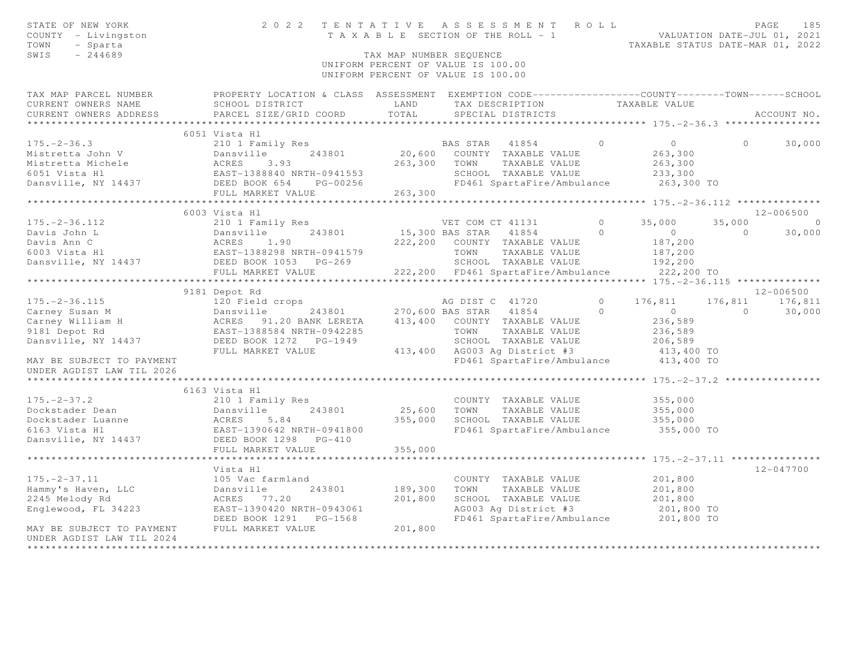| STATE OF NEW YORK<br>COUNTY - Livingston<br>- Sparta<br>TOWN<br>$-244689$<br>SWIS                                                            |                                                                   | TAX MAP NUMBER SEQUENCE | 2022 TENTATIVE ASSESSMENT ROLL<br>T A X A B L E SECTION OF THE ROLL - 1 VALUATION DATE-JUL 01, 2021<br>UNIFORM PERCENT OF VALUE IS 100.00<br>UNIFORM PERCENT OF VALUE IS 100.00 |                | TAXABLE STATUS DATE-MAR 01, 2022             |                | 185<br>PAGE     |
|----------------------------------------------------------------------------------------------------------------------------------------------|-------------------------------------------------------------------|-------------------------|---------------------------------------------------------------------------------------------------------------------------------------------------------------------------------|----------------|----------------------------------------------|----------------|-----------------|
| TAX MAP PARCEL NUMBER FROPERTY LOCATION & CLASS ASSESSMENT EXEMPTION CODE---------------COUNTY-------TOWN------SCHOOL<br>CURRENT OWNERS NAME | SCHOOL DISTRICT                                                   | LAND                    | TAX DESCRIPTION                                                                                                                                                                 |                | TAXABLE VALUE                                |                |                 |
| CURRENT OWNERS ADDRESS                                                                                                                       | PARCEL SIZE/GRID COORD                                            | TOTAL                   | SPECIAL DISTRICTS                                                                                                                                                               |                |                                              |                | ACCOUNT NO.     |
|                                                                                                                                              |                                                                   |                         |                                                                                                                                                                                 |                |                                              |                |                 |
|                                                                                                                                              | 6051 Vista Hl                                                     |                         |                                                                                                                                                                                 | $\Omega$       |                                              |                |                 |
| $175. - 2 - 36.3$<br>Mistretta John V                                                                                                        | 210 1 Family Res<br>243801<br>Dansville                           |                         | BAS STAR 41854<br>20,600 COUNTY TAXABLE VALUE                                                                                                                                   |                | $\overline{0}$<br>263,300                    | $\Omega$       | 30,000          |
| Mistretta Michele                                                                                                                            | Dansvi<br>ACRES<br>3.93                                           | 263,300                 | TAXABLE VALUE<br>TOWN                                                                                                                                                           |                | 263,300                                      |                |                 |
| 6051 Vista Hl                                                                                                                                | AURES 3.33<br>EAST-1388840 NRTH-0941553<br>DEED BOOK 654 PG-00256 |                         | SCHOOL TAXABLE VALUE                                                                                                                                                            |                | 233,300                                      |                |                 |
| Dansville, NY 14437                                                                                                                          | DEED BOOK 654                                                     |                         | FD461 SpartaFire/Ambulance                                                                                                                                                      |                | 263,300 TO                                   |                |                 |
|                                                                                                                                              | FULL MARKET VALUE                                                 | 263,300                 |                                                                                                                                                                                 |                |                                              |                |                 |
|                                                                                                                                              |                                                                   |                         |                                                                                                                                                                                 |                |                                              |                |                 |
|                                                                                                                                              | 6003 Vista Hl                                                     |                         |                                                                                                                                                                                 |                |                                              |                | 12-006500       |
| $175. - 2 - 36.112$                                                                                                                          | 210 1 Family Res                                                  |                         | VET COM CT 41131                                                                                                                                                                | $\overline{0}$ | 35,000                                       | 35,000         | $\overline{0}$  |
| Davis John L                                                                                                                                 | 243801                                                            |                         | 15,300 BAS STAR 41854                                                                                                                                                           | $\Omega$       | $\overline{0}$                               | $\bigcirc$     | 30,000          |
| Davis Ann C                                                                                                                                  | Dansville 243801<br>ACRES 1.90<br>EAST-1388298 NRTH-0941579       |                         | 222,200 COUNTY TAXABLE VALUE                                                                                                                                                    |                | 187,200                                      |                |                 |
| Dansville, NY 14437<br>DEED BOOK 1053 PG-269<br>FIIII MADVET WALLER WALLER                                                                   |                                                                   |                         | TAXABLE VALUE<br>TOWN                                                                                                                                                           |                | 187,200                                      |                |                 |
|                                                                                                                                              |                                                                   |                         | SCHOOL TAXABLE VALUE                                                                                                                                                            |                | 192,200                                      |                |                 |
|                                                                                                                                              |                                                                   |                         | 222,200 FD461 SpartaFire/Ambulance                                                                                                                                              |                | 222,200 TO                                   |                |                 |
|                                                                                                                                              |                                                                   |                         |                                                                                                                                                                                 |                |                                              |                |                 |
|                                                                                                                                              | 9181 Depot Rd                                                     |                         |                                                                                                                                                                                 |                |                                              |                | $12 - 006500$   |
| $175. - 2 - 36.115$                                                                                                                          |                                                                   |                         | AG DIST C 41720                                                                                                                                                                 | $\circ$        | 176,811                                      |                | 176,811 176,811 |
| Carney Susan M                                                                                                                               | 120 Field crops<br>Dansville 243801<br>ACRES 91.20 BANK LERETA    |                         | 270,600 BAS STAR 41854                                                                                                                                                          | $\Omega$       | $\overline{0}$                               | $\overline{0}$ | 30,000          |
| Carney William H<br>9181 Depot Rd                                                                                                            | EAST-1388584 NRTH-0942285                                         |                         | 413,400 COUNTY TAXABLE VALUE<br>TOWN TAXABLE VALUE                                                                                                                              |                | 236,589<br>236,589                           |                |                 |
| Dansville, NY 14437                                                                                                                          | DEED BOOK 1272 PG-1949                                            |                         | SCHOOL TAXABLE VALUE                                                                                                                                                            |                | 206,589                                      |                |                 |
|                                                                                                                                              | FULL MARKET VALUE                                                 |                         | 413,400 AG003 Ag District #3                                                                                                                                                    |                | 413,400 TO                                   |                |                 |
| MAY BE SUBJECT TO PAYMENT                                                                                                                    |                                                                   |                         | FD461 SpartaFire/Ambulance 413,400 TO                                                                                                                                           |                |                                              |                |                 |
| UNDER AGDIST LAW TIL 2026                                                                                                                    |                                                                   |                         |                                                                                                                                                                                 |                |                                              |                |                 |
|                                                                                                                                              | ********************                                              |                         |                                                                                                                                                                                 |                | ********** 175. - 2 - 37. 2 **************** |                |                 |
|                                                                                                                                              | 6163 Vista Hl                                                     |                         |                                                                                                                                                                                 |                |                                              |                |                 |
| $175. - 2 - 37.2$                                                                                                                            | 210 1 Family Res                                                  |                         | COUNTY TAXABLE VALUE                                                                                                                                                            |                | 355,000                                      |                |                 |
| Dockstader Dean                                                                                                                              | 243801<br>Dansville<br>Dani<br>ACRES<br>EAST-<br>DEED             | 25,600                  | TOWN<br>TAXABLE VALUE                                                                                                                                                           |                | 355,000                                      |                |                 |
| Dockstader Luanne                                                                                                                            | 5.84                                                              | 355,000                 | SCHOOL TAXABLE VALUE                                                                                                                                                            |                | 355,000                                      |                |                 |
| 6163 Vista Hl                                                                                                                                | EAST-1390642 NRTH-0941800                                         |                         | FD461 SpartaFire/Ambulance                                                                                                                                                      |                | 355,000 TO                                   |                |                 |
| Dansville, NY 14437                                                                                                                          | DEED BOOK 1298 PG-410                                             |                         |                                                                                                                                                                                 |                |                                              |                |                 |
|                                                                                                                                              | FULL MARKET VALUE                                                 | 355,000                 |                                                                                                                                                                                 |                |                                              |                |                 |
|                                                                                                                                              | *****************************                                     |                         |                                                                                                                                                                                 |                |                                              |                |                 |
|                                                                                                                                              | Vista Hl                                                          |                         |                                                                                                                                                                                 |                |                                              |                | $12 - 047700$   |
| $175. - 2 - 37.11$                                                                                                                           | 105 Vac farmland<br>243801                                        |                         | COUNTY TAXABLE VALUE                                                                                                                                                            |                | 201,800                                      |                |                 |
| Hammy's Haven, LLC                                                                                                                           | Dansville<br>ACRES 77.20                                          | 189,300<br>201,800      | TAXABLE VALUE<br>TOWN<br>SCHOOL TAXABLE VALUE                                                                                                                                   |                | 201,800<br>201,800                           |                |                 |
| 2245 Melody Rd<br>Englewood, FL 34223                                                                                                        | EAST-1390420 NRTH-0943061                                         |                         | AG003 Ag District #3                                                                                                                                                            |                | 201,800 TO                                   |                |                 |
|                                                                                                                                              | DEED BOOK 1291    PG-1568                                         |                         | FD461 SpartaFire/Ambulance 201,800 TO                                                                                                                                           |                |                                              |                |                 |
| MAY BE SUBJECT TO PAYMENT                                                                                                                    | FULL MARKET VALUE                                                 | 201,800                 |                                                                                                                                                                                 |                |                                              |                |                 |
| UNDER AGDIST LAW TIL 2024                                                                                                                    |                                                                   |                         |                                                                                                                                                                                 |                |                                              |                |                 |
| ************                                                                                                                                 |                                                                   |                         |                                                                                                                                                                                 |                |                                              |                |                 |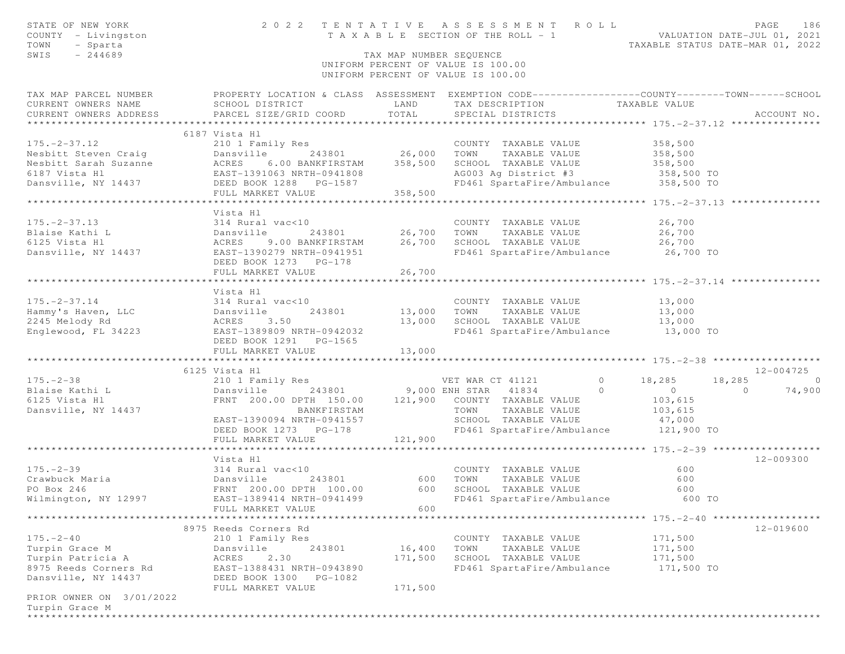| STATE OF NEW YORK<br>COUNTY - Livingston<br>TOWN<br>- Sparta                                                                                                                                                                                               |                                                                                                                                                                       |                         | 2022 TENTATIVE ASSESSMENT ROLL                                             | PAGE<br>186<br>T A X A B L E SECTION OF THE ROLL - 1<br>T A X A B L E SECTION OF THE ROLL - 1<br>TAXABLE STATUS DATE-MAR 01, 2022 |  |
|------------------------------------------------------------------------------------------------------------------------------------------------------------------------------------------------------------------------------------------------------------|-----------------------------------------------------------------------------------------------------------------------------------------------------------------------|-------------------------|----------------------------------------------------------------------------|-----------------------------------------------------------------------------------------------------------------------------------|--|
| SWIS<br>$-244689$                                                                                                                                                                                                                                          |                                                                                                                                                                       | TAX MAP NUMBER SEOUENCE | UNIFORM PERCENT OF VALUE IS 100.00<br>UNIFORM PERCENT OF VALUE IS 100.00   |                                                                                                                                   |  |
|                                                                                                                                                                                                                                                            |                                                                                                                                                                       |                         |                                                                            | TAX MAP PARCEL NUMBER FROPERTY LOCATION & CLASS ASSESSMENT EXEMPTION CODE---------------COUNTY-------TOWN-----SCHOOL              |  |
|                                                                                                                                                                                                                                                            |                                                                                                                                                                       |                         | TAX DESCRIPTION                       TAXABLE VALUE<br>SPECIAL DISTRICTS   |                                                                                                                                   |  |
|                                                                                                                                                                                                                                                            |                                                                                                                                                                       |                         | SPECIAL DISTRICTS                                                          | ACCOUNT NO.                                                                                                                       |  |
|                                                                                                                                                                                                                                                            |                                                                                                                                                                       |                         |                                                                            |                                                                                                                                   |  |
|                                                                                                                                                                                                                                                            | 6187 Vista Hl                                                                                                                                                         |                         |                                                                            |                                                                                                                                   |  |
|                                                                                                                                                                                                                                                            |                                                                                                                                                                       |                         |                                                                            |                                                                                                                                   |  |
|                                                                                                                                                                                                                                                            |                                                                                                                                                                       |                         |                                                                            |                                                                                                                                   |  |
|                                                                                                                                                                                                                                                            |                                                                                                                                                                       |                         |                                                                            |                                                                                                                                   |  |
|                                                                                                                                                                                                                                                            |                                                                                                                                                                       |                         |                                                                            |                                                                                                                                   |  |
|                                                                                                                                                                                                                                                            |                                                                                                                                                                       |                         |                                                                            |                                                                                                                                   |  |
|                                                                                                                                                                                                                                                            |                                                                                                                                                                       |                         |                                                                            |                                                                                                                                   |  |
|                                                                                                                                                                                                                                                            | Vista Hl                                                                                                                                                              |                         |                                                                            |                                                                                                                                   |  |
| $175 - 2 - 37.13$                                                                                                                                                                                                                                          | 314 Rural vac<10                                                                                                                                                      |                         | COUNTY TAXABLE VALUE 26,700                                                |                                                                                                                                   |  |
|                                                                                                                                                                                                                                                            |                                                                                                                                                                       |                         |                                                                            |                                                                                                                                   |  |
|                                                                                                                                                                                                                                                            |                                                                                                                                                                       |                         |                                                                            |                                                                                                                                   |  |
|                                                                                                                                                                                                                                                            | DEED BOOK 1273 PG-178                                                                                                                                                 |                         | FD461 SpartaFire/Ambulance 26,700 TO                                       |                                                                                                                                   |  |
|                                                                                                                                                                                                                                                            | FULL MARKET VALUE                                                                                                                                                     | 26,700                  |                                                                            |                                                                                                                                   |  |
|                                                                                                                                                                                                                                                            | Vista Hl                                                                                                                                                              |                         |                                                                            |                                                                                                                                   |  |
|                                                                                                                                                                                                                                                            |                                                                                                                                                                       |                         |                                                                            |                                                                                                                                   |  |
|                                                                                                                                                                                                                                                            |                                                                                                                                                                       |                         |                                                                            |                                                                                                                                   |  |
|                                                                                                                                                                                                                                                            |                                                                                                                                                                       |                         |                                                                            |                                                                                                                                   |  |
| 175.-2-37.14<br>Hammy's Haven, LLC<br>245 Melody Rd<br>Englewood, FL 34223<br>2245 Melody Rd<br>EAST-1389809 NRTH-0942032<br>EAST-1389809 NRTH-0942032<br>DEED BOOK 1291<br>PG-1565<br>2245 Melody Rd<br>23401<br>23,000<br>2245 Melody Rd<br>23,000<br>22 |                                                                                                                                                                       |                         | 13,000 SCHOOL TAXABLE VALUE 13,000<br>FD461 SpartaFire/Ambulance 13,000 TO |                                                                                                                                   |  |
|                                                                                                                                                                                                                                                            |                                                                                                                                                                       |                         |                                                                            |                                                                                                                                   |  |
|                                                                                                                                                                                                                                                            | FULL MARKET VALUE                                                                                                                                                     | 13,000                  |                                                                            |                                                                                                                                   |  |
|                                                                                                                                                                                                                                                            |                                                                                                                                                                       |                         |                                                                            |                                                                                                                                   |  |
|                                                                                                                                                                                                                                                            | 6125 Vista Hl                                                                                                                                                         |                         |                                                                            | 12-004725                                                                                                                         |  |
|                                                                                                                                                                                                                                                            |                                                                                                                                                                       |                         |                                                                            |                                                                                                                                   |  |
|                                                                                                                                                                                                                                                            |                                                                                                                                                                       |                         |                                                                            |                                                                                                                                   |  |
|                                                                                                                                                                                                                                                            |                                                                                                                                                                       |                         |                                                                            |                                                                                                                                   |  |
|                                                                                                                                                                                                                                                            |                                                                                                                                                                       |                         | SCHOOL TAXABLE VALUE 47,000                                                |                                                                                                                                   |  |
|                                                                                                                                                                                                                                                            | EAST-1390094 NRTH-0941557<br>DEED BOOK 1273 PG-178                                                                                                                    |                         | FD461 SpartaFire/Ambulance 121,900 TO                                      |                                                                                                                                   |  |
|                                                                                                                                                                                                                                                            | FULL MARKET VALUE                                                                                                                                                     | 121,900                 |                                                                            |                                                                                                                                   |  |
|                                                                                                                                                                                                                                                            |                                                                                                                                                                       |                         |                                                                            |                                                                                                                                   |  |
|                                                                                                                                                                                                                                                            | Vista Hl                                                                                                                                                              |                         |                                                                            | $12 - 009300$                                                                                                                     |  |
| 175.-2-39<br>Crawbuck Maria                                                                                                                                                                                                                                | 314 Rural vac<10<br>243801 600 TOWN TAXABLE VALUE<br>Dansville 243801 600 TOWN TAXABLE VALUE<br>FRNT 200.00 DPTH 100.00 600 SCHOOL TAXABLE VALUE<br>TRAFI SPACE VALUE |                         |                                                                            | 600                                                                                                                               |  |
|                                                                                                                                                                                                                                                            |                                                                                                                                                                       |                         | COUNTY TAXABLE VALUE<br>TOWN       TAXABLE  VALUE                          | 600                                                                                                                               |  |
| PO Box 246                                                                                                                                                                                                                                                 |                                                                                                                                                                       |                         |                                                                            | 600                                                                                                                               |  |
| Wilmington, NY 12997                                                                                                                                                                                                                                       |                                                                                                                                                                       |                         | EAST-1389414 NRTH-0941499  FD461 SpartaFire/Ambulance 600 TO               |                                                                                                                                   |  |
|                                                                                                                                                                                                                                                            | FULL MARKET VALUE                                                                                                                                                     | 600                     |                                                                            |                                                                                                                                   |  |
|                                                                                                                                                                                                                                                            |                                                                                                                                                                       |                         |                                                                            |                                                                                                                                   |  |
|                                                                                                                                                                                                                                                            | 8975 Reeds Corners Rd                                                                                                                                                 |                         |                                                                            | 12-019600                                                                                                                         |  |
| $175. - 2 - 40$                                                                                                                                                                                                                                            | 210 1 Family Res<br>243801                                                                                                                                            |                         | COUNTY TAXABLE VALUE                                                       | 171,500<br>171,500                                                                                                                |  |
| Turpin Grace M<br>Turpin Patricia A                                                                                                                                                                                                                        | Dansville<br>ACRES<br>2.30                                                                                                                                            | 16,400<br>171,500       | TOWN<br>TAXABLE VALUE<br>SCHOOL TAXABLE VALUE                              | 171,500                                                                                                                           |  |
| 8975 Reeds Corners Rd                                                                                                                                                                                                                                      | EAST-1388431 NRTH-0943890                                                                                                                                             |                         | FD461 SpartaFire/Ambulance                                                 | 171,500 TO                                                                                                                        |  |
| Dansville, NY 14437                                                                                                                                                                                                                                        | DEED BOOK 1300 PG-1082                                                                                                                                                |                         |                                                                            |                                                                                                                                   |  |
|                                                                                                                                                                                                                                                            | FULL MARKET VALUE                                                                                                                                                     | 171,500                 |                                                                            |                                                                                                                                   |  |
| PRIOR OWNER ON 3/01/2022                                                                                                                                                                                                                                   |                                                                                                                                                                       |                         |                                                                            |                                                                                                                                   |  |
| Turpin Grace M                                                                                                                                                                                                                                             |                                                                                                                                                                       |                         |                                                                            |                                                                                                                                   |  |
|                                                                                                                                                                                                                                                            |                                                                                                                                                                       |                         |                                                                            |                                                                                                                                   |  |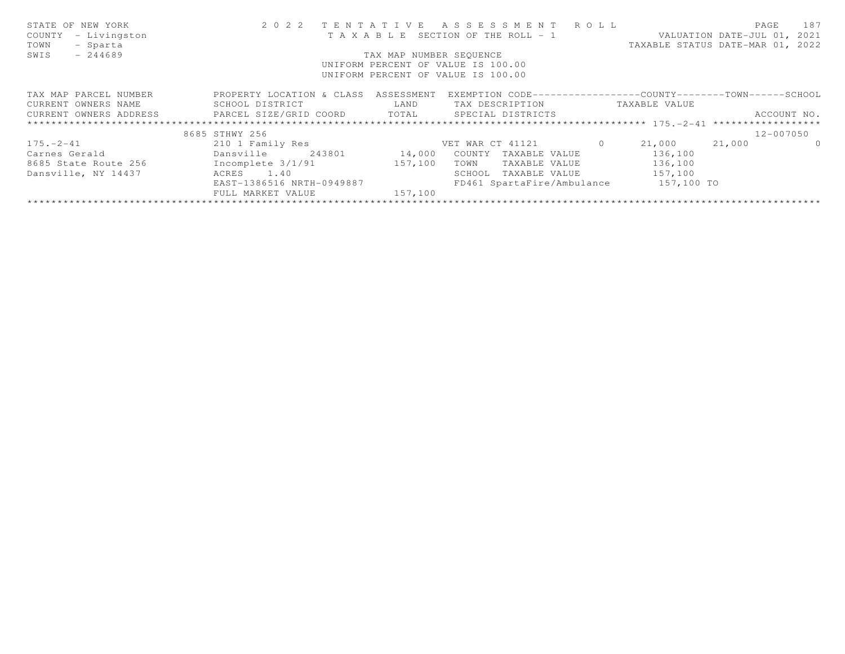| STATE OF NEW YORK                                   |                                    |                         | 2022 TENTATIVE ASSESSMENT ROLL                               |          |                                  | PAGE                        | 187      |
|-----------------------------------------------------|------------------------------------|-------------------------|--------------------------------------------------------------|----------|----------------------------------|-----------------------------|----------|
| COUNTY<br>- Livingston                              |                                    |                         | T A X A B L E SECTION OF THE ROLL - 1                        |          |                                  | VALUATION DATE-JUL 01, 2021 |          |
| TOWN<br>- Sparta                                    |                                    |                         |                                                              |          | TAXABLE STATUS DATE-MAR 01, 2022 |                             |          |
| $-244689$<br>SWIS                                   |                                    | TAX MAP NUMBER SEOUENCE |                                                              |          |                                  |                             |          |
|                                                     | UNIFORM PERCENT OF VALUE IS 100.00 |                         |                                                              |          |                                  |                             |          |
|                                                     |                                    |                         | UNIFORM PERCENT OF VALUE IS 100.00                           |          |                                  |                             |          |
| TAX MAP PARCEL NUMBER                               | PROPERTY LOCATION & CLASS          | ASSESSMENT              | EXEMPTION CODE-----------------COUNTY-------TOWN------SCHOOL |          |                                  |                             |          |
| CURRENT OWNERS NAME                                 | SCHOOL DISTRICT                    | LAND                    | TAX DESCRIPTION                                              |          | TAXABLE VALUE                    |                             |          |
| CURRENT OWNERS ADDRESS FARCEL SIZE/GRID COORD TOTAL |                                    |                         | SPECIAL DISTRICTS                                            |          |                                  | ACCOUNT NO.                 |          |
|                                                     |                                    |                         |                                                              |          |                                  |                             |          |
|                                                     | 8685 STHWY 256                     |                         |                                                              |          |                                  | 12-007050                   |          |
| $175. - 2 - 41$                                     | 210 1 Family Res                   |                         | VET WAR CT 41121                                             | $\Omega$ | 21,000                           | 21,000                      | $\Omega$ |
| Carnes Gerald                                       | Dansville<br>243801                | 14,000                  | COUNTY<br>TAXABLE VALUE                                      |          | 136,100                          |                             |          |
| 8685 State Route 256                                | Incomplete 3/1/91                  | 157,100                 | TOWN<br>TAXABLE VALUE                                        |          | 136,100                          |                             |          |
| Dansville, NY 14437                                 | ACRES 1.40                         |                         | SCHOOL<br>TAXABLE VALUE                                      |          | 157,100                          |                             |          |
|                                                     | EAST-1386516 NRTH-0949887          |                         | FD461 SpartaFire/Ambulance                                   |          | 157,100 TO                       |                             |          |
|                                                     | FULL MARKET VALUE                  | 157,100                 |                                                              |          |                                  |                             |          |
|                                                     |                                    |                         |                                                              |          |                                  |                             |          |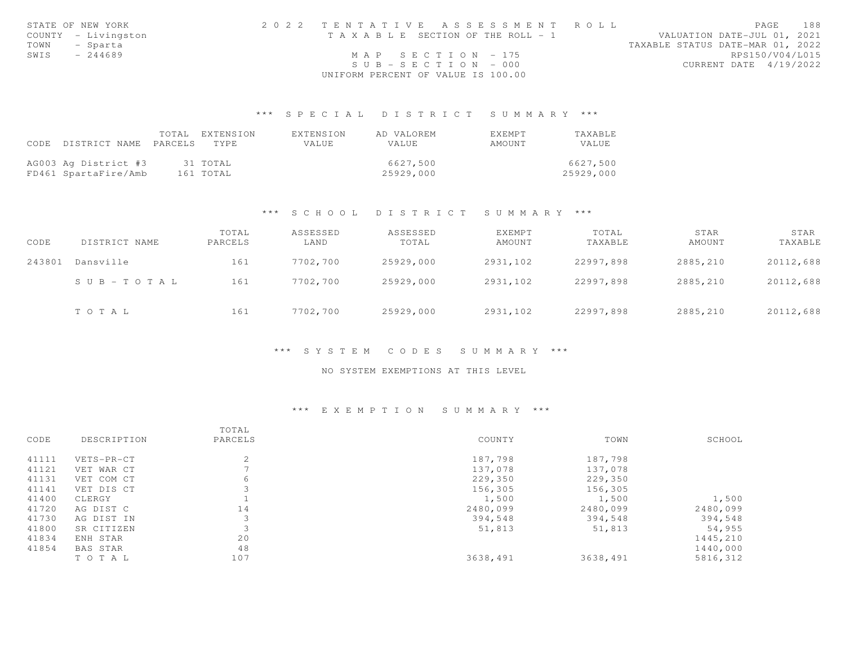|      | STATE OF NEW YORK   | 2022 TENTATIVE ASSESSMENT ROLL        | 188<br>PAGE                      |
|------|---------------------|---------------------------------------|----------------------------------|
|      | COUNTY - Livingston | T A X A B L E SECTION OF THE ROLL - 1 | VALUATION DATE-JUL 01, 2021      |
|      | TOWN - Sparta       |                                       | TAXABLE STATUS DATE-MAR 01, 2022 |
| SWIS | - 244689            | MAP SECTION - 175                     | RPS150/V04/L015                  |
|      |                     | $SUB - SECTION - 000$                 | CURRENT DATE 4/19/2022           |
|      |                     | UNIFORM PERCENT OF VALUE IS 100.00    |                                  |

| CODE | DISTRICT NAME                                | TOTAL<br>PARCELS | EXTENSION<br>TYPE     | EXTENSION<br>VALUE | AD VALOREM<br>VALUE   | EXEMPT<br>AMOUNT | TAXABLE<br>VALUE      |
|------|----------------------------------------------|------------------|-----------------------|--------------------|-----------------------|------------------|-----------------------|
|      | AG003 Ag District #3<br>FD461 SpartaFire/Amb |                  | 31 TOTAL<br>161 TOTAL |                    | 6627,500<br>25929,000 |                  | 6627,500<br>25929,000 |

### \*\*\* S C H O O L D I S T R I C T S U M M A R Y \*\*\*

| CODE   | DISTRICT NAME             | TOTAL<br>PARCELS | ASSESSED<br>LAND | ASSESSED<br>TOTAL | <b>EXEMPT</b><br>AMOUNT | TOTAL<br>TAXABLE | STAR<br>AMOUNT | STAR<br>TAXABLE |
|--------|---------------------------|------------------|------------------|-------------------|-------------------------|------------------|----------------|-----------------|
| 243801 | Dansville                 | 161              | 7702,700         | 25929,000         | 2931,102                | 22997,898        | 2885,210       | 20112,688       |
|        | $S \cup B = T \cup T A L$ | 161              | 7702,700         | 25929,000         | 2931,102                | 22997,898        | 2885,210       | 20112,688       |
|        | TOTAL                     | 161              | 7702,700         | 25929,000         | 2931,102                | 22997,898        | 2885,210       | 20112,688       |

### \*\*\* S Y S T E M C O D E S S U M M A R Y \*\*\*

#### NO SYSTEM EXEMPTIONS AT THIS LEVEL

## \*\*\* E X E M P T I O N S U M M A R Y \*\*\*

|       |             | TOTAL   |          |          |          |
|-------|-------------|---------|----------|----------|----------|
| CODE  | DESCRIPTION | PARCELS | COUNTY   | TOWN     | SCHOOL   |
| 41111 | VETS-PR-CT  | 2       | 187,798  | 187,798  |          |
| 41121 | VET WAR CT  |         | 137,078  | 137,078  |          |
| 41131 | VET COM CT  | 6       | 229,350  | 229,350  |          |
| 41141 | VET DIS CT  |         | 156,305  | 156,305  |          |
| 41400 | CLERGY      |         | 1,500    | 1,500    | 1,500    |
| 41720 | AG DIST C   | 14      | 2480,099 | 2480,099 | 2480,099 |
| 41730 | AG DIST IN  |         | 394,548  | 394,548  | 394,548  |
| 41800 | SR CITIZEN  | 3       | 51,813   | 51,813   | 54,955   |
| 41834 | ENH STAR    | 20      |          |          | 1445,210 |
| 41854 | BAS STAR    | 48      |          |          | 1440,000 |
|       | TOTAL       | 107     | 3638,491 | 3638,491 | 5816,312 |
|       |             |         |          |          |          |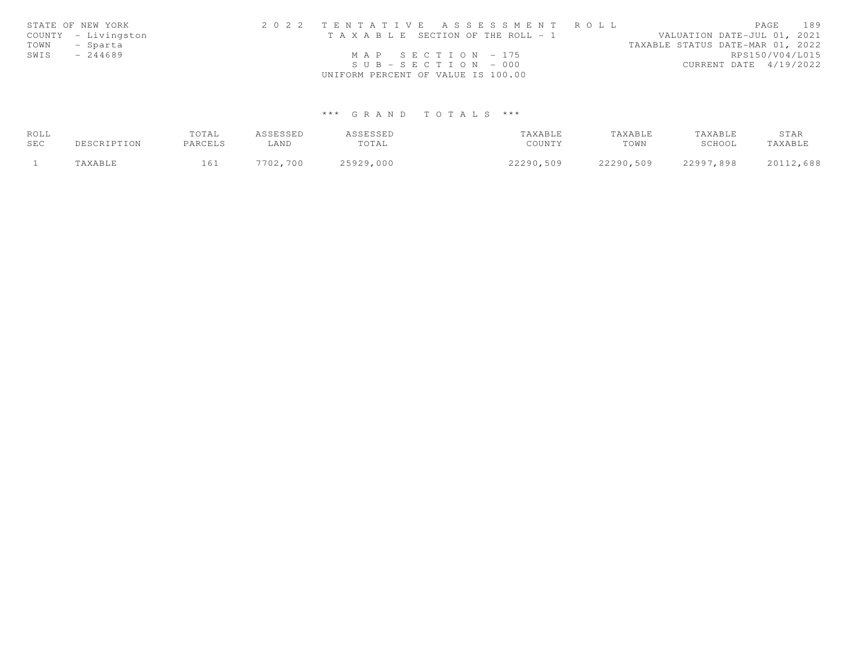|      | STATE OF NEW YORK   | 2022 TENTATIVE ASSESSMENT ROLL        | 189<br>PAGE                      |  |
|------|---------------------|---------------------------------------|----------------------------------|--|
|      | COUNTY - Livingston | T A X A B L E SECTION OF THE ROLL - 1 | VALUATION DATE-JUL 01, 2021      |  |
| TOWN | - Sparta            |                                       | TAXABLE STATUS DATE-MAR 01, 2022 |  |
| SWIS | $-244689$           | MAP SECTION $-175$                    | RPS150/V04/L015                  |  |
|      |                     | $SUB - SECTION - 000$                 | CURRENT DATE 4/19/2022           |  |
|      |                     | UNIFORM PERCENT OF VALUE IS 100.00    |                                  |  |

| ROLL |             | TOTAL   | ASSESSED | ASSESSED  | TAXABLE   | TAXABLE   | TAXABLE   | STAR      |
|------|-------------|---------|----------|-----------|-----------|-----------|-----------|-----------|
| SEC  | DESCRIPTION | PARCELS | LAND     | TOTAL     | COUNTY    | TOWN      | SCHOOL    | TAXABLE   |
|      | TAXABLE     | 161     | 7702,700 | 25929,000 | 22290,509 | 22290,509 | 22997,898 | 20112,688 |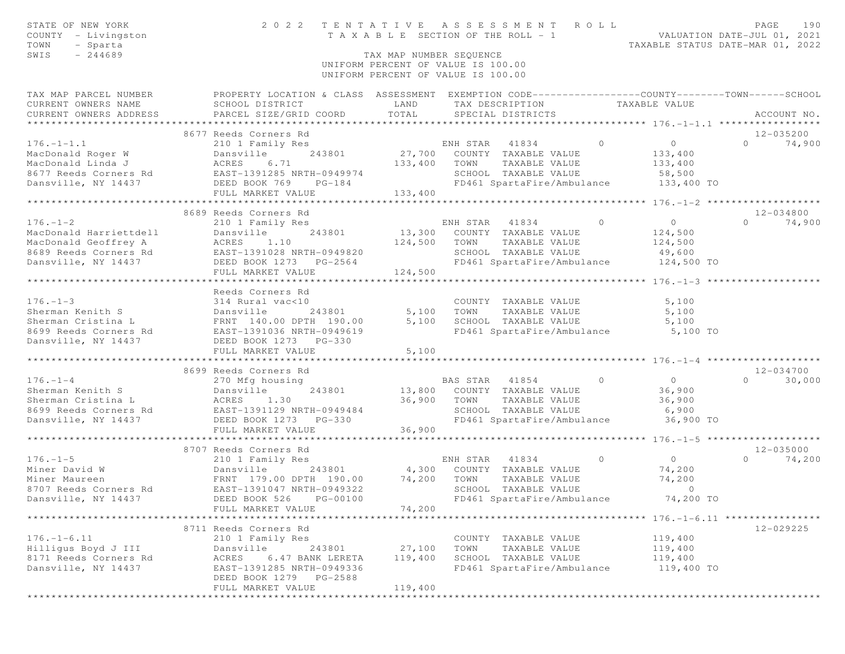| STATE OF NEW YORK<br>COUNTY - Livingston<br>TOWN<br>- Sparta<br>$-244689$<br>SWIS                                                                                                                                                                          | 2022 TENTATIVE ASSESSMENT ROLL                  | TAX MAP NUMBER SEQUENCE                                                  |            |                                                    | TENIAITVE ASSESSMENT NUMEROL PRIDENTION DATE-JUL 01, 2021<br>TAXABLE SECTION OF THE ROLL - 1<br>TAXABLE STATUS DATE-MAR 01, 2022 | PAGE                  | 190         |
|------------------------------------------------------------------------------------------------------------------------------------------------------------------------------------------------------------------------------------------------------------|-------------------------------------------------|--------------------------------------------------------------------------|------------|----------------------------------------------------|----------------------------------------------------------------------------------------------------------------------------------|-----------------------|-------------|
|                                                                                                                                                                                                                                                            |                                                 | UNIFORM PERCENT OF VALUE IS 100.00<br>UNIFORM PERCENT OF VALUE IS 100.00 |            |                                                    |                                                                                                                                  |                       |             |
| TAX MAP PARCEL NUMBER THE PROPERTY LOCATION & CLASS ASSESSMENT EXEMPTION CODE--------------COUNTY-------TOWN-----SCHOOL<br>CURRENT OWNERS NAME<br>CURRENT OWNERS ADDRESS                                                                                   | SCHOOL DISTRICT<br>PARCEL SIZE/GRID COORD TOTAL | LAND                                                                     |            | TAX DESCRIPTION TAXABLE VALUE<br>SPECIAL DISTRICTS |                                                                                                                                  |                       | ACCOUNT NO. |
|                                                                                                                                                                                                                                                            | 8677 Reeds Corners Rd                           |                                                                          |            |                                                    |                                                                                                                                  | 12-035200             |             |
| $176. - 1 - 1.1$<br>176.-1-1.1 210 1 Family Res<br>MacDonald Roger W Dansville 243801 27,700 COUNTY TAXABLE VALUE<br>MacDonald Linda J ACRES 6.71 133,400 TOWN TAXABLE VALUE<br>8677 Reeds Corners Rd EAST-1391285 NRTH-0949974 SCHOOL TAXABLE VALUE<br>Da | 210 1 Family Res                                |                                                                          |            | ENH STAR 41834 0                                   | $\overline{0}$                                                                                                                   | $0 \t 74,900$         |             |
|                                                                                                                                                                                                                                                            |                                                 |                                                                          |            | TAXABLE VALUE                                      | 133,400                                                                                                                          |                       |             |
|                                                                                                                                                                                                                                                            |                                                 |                                                                          |            |                                                    | 133,400                                                                                                                          |                       |             |
|                                                                                                                                                                                                                                                            |                                                 |                                                                          |            |                                                    |                                                                                                                                  |                       |             |
|                                                                                                                                                                                                                                                            | FULL MARKET VALUE 133,400                       |                                                                          |            |                                                    |                                                                                                                                  |                       |             |
|                                                                                                                                                                                                                                                            |                                                 |                                                                          |            |                                                    |                                                                                                                                  |                       |             |
|                                                                                                                                                                                                                                                            | 8689 Reeds Corners Rd                           |                                                                          |            |                                                    |                                                                                                                                  | 12-034800             |             |
| $176. - 1 - 2$                                                                                                                                                                                                                                             | 210 1 Family Res                                |                                                                          |            | ENH STAR 41834 0                                   | $\overline{0}$                                                                                                                   | $0 \t 74,900$         |             |
|                                                                                                                                                                                                                                                            |                                                 |                                                                          |            | 13,300 COUNTY TAXABLE VALUE                        | 124,500                                                                                                                          |                       |             |
|                                                                                                                                                                                                                                                            |                                                 |                                                                          |            | 124,500 TOWN TAXABLE VALUE                         | 124,500                                                                                                                          |                       |             |
|                                                                                                                                                                                                                                                            |                                                 |                                                                          |            | SCHOOL TAXABLE VALUE                               | 49,600                                                                                                                           |                       |             |
| MacDonald Harriettdell<br>MacDonald Geoffrey A (EAST-1391028 NRTH-0949820<br>MacDonald Geoffrey A (EAST-1391028 NRTH-0949820<br>Dansville, NY 14437 (DEED BOOK 1273 PG-2564<br>FULL MARKET VALUE                                                           | FULL MARKET VALUE                               | 124,500                                                                  |            | FD461 SpartaFire/Ambulance                         | 124,500 TO                                                                                                                       |                       |             |
|                                                                                                                                                                                                                                                            |                                                 |                                                                          |            |                                                    |                                                                                                                                  |                       |             |
|                                                                                                                                                                                                                                                            | Reeds Corners Rd                                |                                                                          |            |                                                    |                                                                                                                                  |                       |             |
|                                                                                                                                                                                                                                                            |                                                 |                                                                          |            |                                                    | 5,100                                                                                                                            |                       |             |
|                                                                                                                                                                                                                                                            |                                                 |                                                                          | 5,100 TOWN | COUNTY TAXABLE VALUE<br>TOWN      TAXABLE  VALUE   | 5,100                                                                                                                            |                       |             |
|                                                                                                                                                                                                                                                            |                                                 | 5,100                                                                    |            |                                                    |                                                                                                                                  |                       |             |
|                                                                                                                                                                                                                                                            |                                                 |                                                                          |            |                                                    |                                                                                                                                  |                       |             |
| 176.-1-3<br>Sherman Kenith S<br>Sherman Cristina L<br>Sherman Cristina L<br>Sherman Cristina L<br>Sherman Cristina L<br>Sherman Cristina L<br>FRNT 140.00 DPTH 190.00 5,100<br>5,100<br>Dansville, NY 14437<br>DEED BOOK 1273 PG-330<br>DRNET 273 PG       |                                                 |                                                                          |            |                                                    |                                                                                                                                  |                       |             |
|                                                                                                                                                                                                                                                            | FULL MARKET VALUE                               | 5,100                                                                    |            |                                                    |                                                                                                                                  |                       |             |
|                                                                                                                                                                                                                                                            |                                                 |                                                                          |            |                                                    |                                                                                                                                  |                       |             |
| $176. - 1 - 4$                                                                                                                                                                                                                                             | 8699 Reeds Corners Rd                           |                                                                          |            | BAS STAR 41854 0                                   | $\overline{0}$                                                                                                                   | 12-034700<br>$\Omega$ | 30,000      |
|                                                                                                                                                                                                                                                            | 243801 13,800 COUNTY TAXABLE VALUE              |                                                                          |            |                                                    | 36,900                                                                                                                           |                       |             |
|                                                                                                                                                                                                                                                            |                                                 | 36,900 TOWN                                                              |            | TAXABLE VALUE                                      | 36,900                                                                                                                           |                       |             |
|                                                                                                                                                                                                                                                            |                                                 |                                                                          |            | SCHOOL TAXABLE VALUE                               | 6,900                                                                                                                            |                       |             |
| 176.-1-4<br>Sherman Kenith S<br>Sherman Cristina L<br>8699 Reeds Corners Rd<br>Dansville, NY 14437<br>DEED BOOK 1273<br>PG-330                                                                                                                             |                                                 |                                                                          |            |                                                    | FD461 SpartaFire/Ambulance 36,900 TO                                                                                             |                       |             |
|                                                                                                                                                                                                                                                            | FULL MARKET VALUE                               | 36,900                                                                   |            |                                                    |                                                                                                                                  |                       |             |
|                                                                                                                                                                                                                                                            |                                                 |                                                                          |            |                                                    |                                                                                                                                  |                       |             |
|                                                                                                                                                                                                                                                            | 8707 Reeds Corners Rd                           |                                                                          |            |                                                    |                                                                                                                                  | $12 - 035000$         |             |
| $176. - 1 - 5$                                                                                                                                                                                                                                             |                                                 |                                                                          |            | ENH STAR 41834 0 0 0                               |                                                                                                                                  | 0 $74,200$            |             |
|                                                                                                                                                                                                                                                            |                                                 |                                                                          |            |                                                    | 74,200<br>74,200                                                                                                                 |                       |             |
|                                                                                                                                                                                                                                                            |                                                 |                                                                          |            |                                                    | $\sim$ 0                                                                                                                         |                       |             |
| Dansville, NY 14437                                                                                                                                                                                                                                        | DEED BOOK 526 PG-00100                          |                                                                          |            | FD461 SpartaFire/Ambulance                         | 74,200 TO                                                                                                                        |                       |             |
|                                                                                                                                                                                                                                                            | FULL MARKET VALUE                               | 74,200                                                                   |            |                                                    |                                                                                                                                  |                       |             |
|                                                                                                                                                                                                                                                            |                                                 |                                                                          |            |                                                    |                                                                                                                                  |                       |             |
|                                                                                                                                                                                                                                                            | 8711 Reeds Corners Rd                           |                                                                          |            |                                                    |                                                                                                                                  | 12-029225             |             |
| $176. - 1 - 6.11$                                                                                                                                                                                                                                          | 210 1 Family Res                                |                                                                          |            | COUNTY TAXABLE VALUE                               | 119,400                                                                                                                          |                       |             |
| Hilligus Boyd J III                                                                                                                                                                                                                                        | Dansville<br>243801                             | 27,100                                                                   | TOWN       | TAXABLE VALUE                                      | 119,400                                                                                                                          |                       |             |
| 8171 Reeds Corners Rd                                                                                                                                                                                                                                      | ACRES<br>6.47 BANK LERETA                       | 119,400                                                                  |            | SCHOOL TAXABLE VALUE                               | 119,400                                                                                                                          |                       |             |
| Dansville, NY 14437                                                                                                                                                                                                                                        | EAST-1391285 NRTH-0949336                       |                                                                          |            | FD461 SpartaFire/Ambulance                         | 119,400 TO                                                                                                                       |                       |             |
|                                                                                                                                                                                                                                                            | DEED BOOK 1279 PG-2588                          |                                                                          |            |                                                    |                                                                                                                                  |                       |             |
|                                                                                                                                                                                                                                                            | FULL MARKET VALUE                               | 119,400                                                                  |            |                                                    |                                                                                                                                  |                       |             |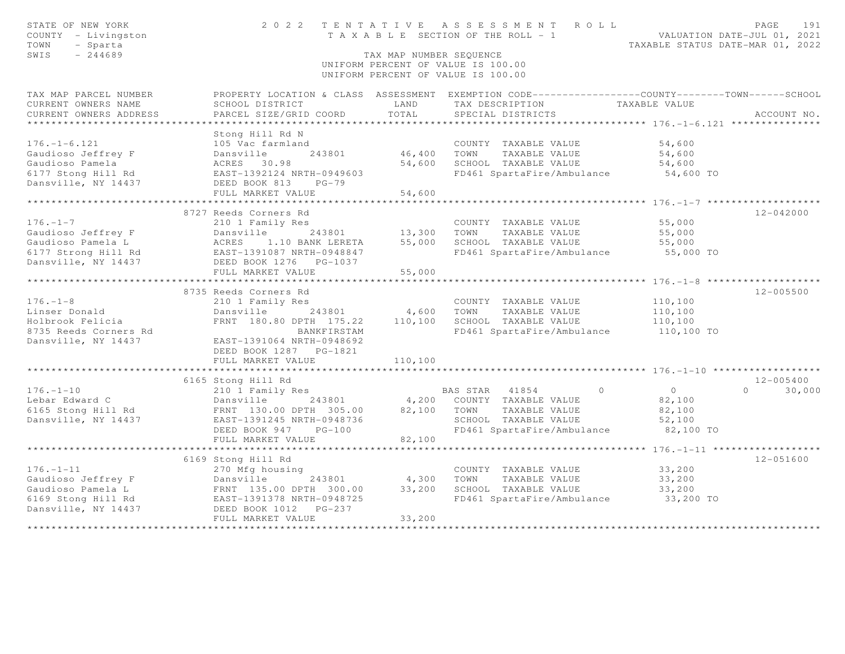| STATE OF NEW YORK<br>COUNTY - Livingston<br>TOWN<br>- Sparta<br>SWIS<br>$-244689$                                                      | 2022 TENTATIVE ASSESSMENT ROLL                                                                  | T A X A B L E SECTION OF THE ROLL - 1<br>TAX MAP NUMBER SEOUENCE<br>UNIFORM PERCENT OF VALUE IS 100.00<br>UNIFORM PERCENT OF VALUE IS 100.00 |                |                                       | VALUATION DATE-JUL 01, 2021          | PAGE<br>191<br>TAXABLE STATUS DATE-MAR 01, 2022 |
|----------------------------------------------------------------------------------------------------------------------------------------|-------------------------------------------------------------------------------------------------|----------------------------------------------------------------------------------------------------------------------------------------------|----------------|---------------------------------------|--------------------------------------|-------------------------------------------------|
| TAX MAP PARCEL NUMBER                                                                                                                  | PROPERTY LOCATION & CLASS ASSESSMENT EXEMPTION CODE---------------COUNTY-------TOWN------SCHOOL |                                                                                                                                              |                |                                       |                                      |                                                 |
| CURRENT OWNERS NAME                                                                                                                    | SCHOOL DISTRICT                                                                                 | LAND                                                                                                                                         |                | TAX DESCRIPTION                       | TAXABLE VALUE                        |                                                 |
| CURRENT OWNERS ADDRESS<br>***********************                                                                                      | PARCEL SIZE/GRID COORD                                                                          | TOTAL                                                                                                                                        |                | SPECIAL DISTRICTS                     |                                      | ACCOUNT NO.                                     |
|                                                                                                                                        | Stong Hill Rd N                                                                                 |                                                                                                                                              |                |                                       |                                      |                                                 |
| $176. - 1 - 6.121$                                                                                                                     | 105 Vac farmland                                                                                |                                                                                                                                              |                | COUNTY TAXABLE VALUE                  | 54,600                               |                                                 |
| Gaudioso Jeffrey F                                                                                                                     | Dansville<br>243801                                                                             | 46,400 TOWN                                                                                                                                  |                | TAXABLE VALUE                         | 54,600                               |                                                 |
| Gaudioso Pamela                                                                                                                        |                                                                                                 | 54,600                                                                                                                                       |                | SCHOOL TAXABLE VALUE                  | 54,600                               |                                                 |
| 6177 Stong Hill Rd                                                                                                                     | ACRES 30.98<br>EAST-1392124 NRTH-0949603                                                        |                                                                                                                                              |                | FD461 SpartaFire/Ambulance            | 54,600 TO                            |                                                 |
| Dansville, NY 14437                                                                                                                    | DEED BOOK 813<br>$PG-79$                                                                        |                                                                                                                                              |                |                                       |                                      |                                                 |
|                                                                                                                                        | FULL MARKET VALUE                                                                               | 54,600                                                                                                                                       |                |                                       |                                      |                                                 |
|                                                                                                                                        |                                                                                                 | * * * * * * * * * * * *                                                                                                                      |                |                                       |                                      |                                                 |
| $176. - 1 - 7$                                                                                                                         | 8727 Reeds Corners Rd                                                                           |                                                                                                                                              |                |                                       |                                      | $12 - 042000$                                   |
| Gaudioso Jeffrey F                                                                                                                     | 210 1 Family Res<br>Dansville                                                                   |                                                                                                                                              | TOWN           | COUNTY TAXABLE VALUE<br>TAXABLE VALUE | 55,000<br>55,000                     |                                                 |
| Gaudioso Pamela L                                                                                                                      | ACRES 1.10 BANK LERETA                                                                          | 243801 13,300<br>55,000                                                                                                                      |                | SCHOOL TAXABLE VALUE                  | 55,000                               |                                                 |
| 6177 Strong Hill Rd                                                                                                                    | EAST-1391087 NRTH-0948847                                                                       |                                                                                                                                              |                |                                       | FD461 SpartaFire/Ambulance 55,000 TO |                                                 |
| Dansville, NY 14437                                                                                                                    | DEED BOOK 1276 PG-1037                                                                          |                                                                                                                                              |                |                                       |                                      |                                                 |
|                                                                                                                                        | FULL MARKET VALUE                                                                               | 55,000                                                                                                                                       |                |                                       |                                      |                                                 |
|                                                                                                                                        |                                                                                                 |                                                                                                                                              |                |                                       |                                      |                                                 |
|                                                                                                                                        | 8735 Reeds Corners Rd                                                                           |                                                                                                                                              |                |                                       |                                      | $12 - 005500$                                   |
| $176. - 1 - 8$                                                                                                                         | 210 1 Family Res                                                                                |                                                                                                                                              |                | COUNTY TAXABLE VALUE                  | 110,100                              |                                                 |
| Linser Donald                                                                                                                          | Dansville 243801                                                                                | 4,600                                                                                                                                        | TOWN           | TAXABLE VALUE                         | 110,100                              |                                                 |
| Holbrook Felicia                                                                                                                       | FRNT 180.80 DPTH 175.22                                                                         | 110,100                                                                                                                                      |                | SCHOOL TAXABLE VALUE                  | 110,100                              |                                                 |
| 8735 Reeds Corners Rd                                                                                                                  | BANKFIRSTAM                                                                                     |                                                                                                                                              |                | FD461 SpartaFire/Ambulance            | 110,100 TO                           |                                                 |
| Dansville, NY 14437                                                                                                                    | EAST-1391064 NRTH-0948692                                                                       |                                                                                                                                              |                |                                       |                                      |                                                 |
|                                                                                                                                        | DEED BOOK 1287 PG-1821                                                                          |                                                                                                                                              |                |                                       |                                      |                                                 |
|                                                                                                                                        | FULL MARKET VALUE                                                                               | 110,100                                                                                                                                      |                |                                       |                                      |                                                 |
|                                                                                                                                        | 6165 Stong Hill Rd                                                                              |                                                                                                                                              |                |                                       |                                      | $12 - 005400$                                   |
| $176. - 1 - 10$                                                                                                                        | 210 1 Family Res                                                                                |                                                                                                                                              | BAS STAR 41854 | $\circ$                               | $\overline{0}$                       | 30,000<br>$\circ$                               |
| Lebar Edward C                                                                                                                         | Dansville<br>243801                                                                             |                                                                                                                                              |                | 4,200 COUNTY TAXABLE VALUE            | 82,100                               |                                                 |
| 6165 Stong Hill Rd                                                                                                                     | FRNT 130.00 DPTH 305.00                                                                         | 82,100                                                                                                                                       | TOWN           | TAXABLE VALUE                         | 82,100                               |                                                 |
| Dansville, NY 14437                                                                                                                    | EAST-1391245 NRTH-0948736                                                                       |                                                                                                                                              |                | SCHOOL TAXABLE VALUE                  | 52,100                               |                                                 |
|                                                                                                                                        | DEED BOOK 947<br>$PG-100$                                                                       |                                                                                                                                              |                | FD461 SpartaFire/Ambulance            | 82,100 TO                            |                                                 |
|                                                                                                                                        | FULL MARKET VALUE                                                                               | 82,100                                                                                                                                       |                |                                       |                                      |                                                 |
|                                                                                                                                        |                                                                                                 |                                                                                                                                              |                |                                       |                                      |                                                 |
|                                                                                                                                        | 6169 Stong Hill Rd                                                                              |                                                                                                                                              |                |                                       |                                      | $12 - 051600$                                   |
| $176. - 1 - 11$                                                                                                                        | 270 Mfg housing                                                                                 |                                                                                                                                              |                | COUNTY TAXABLE VALUE                  | 33,200                               |                                                 |
|                                                                                                                                        |                                                                                                 | 4,300                                                                                                                                        | TOWN           | TAXABLE VALUE                         | 33,200                               |                                                 |
|                                                                                                                                        |                                                                                                 | 33,200                                                                                                                                       |                | SCHOOL TAXABLE VALUE                  | 33,200                               |                                                 |
| Gaudioso Jeffrey F<br>Gaudioso Pamela L<br>Gaudioso Pamela L<br>FRNT 135.00 DPTH 300.00<br>6169 Stong Hill Rd<br>DEED BOOK 1012 PG-237 |                                                                                                 |                                                                                                                                              |                | FD461 SpartaFire/Ambulance            | 33,200 TO                            |                                                 |
|                                                                                                                                        | FULL MARKET VALUE                                                                               | 33,200                                                                                                                                       |                |                                       |                                      |                                                 |
|                                                                                                                                        |                                                                                                 |                                                                                                                                              |                |                                       |                                      |                                                 |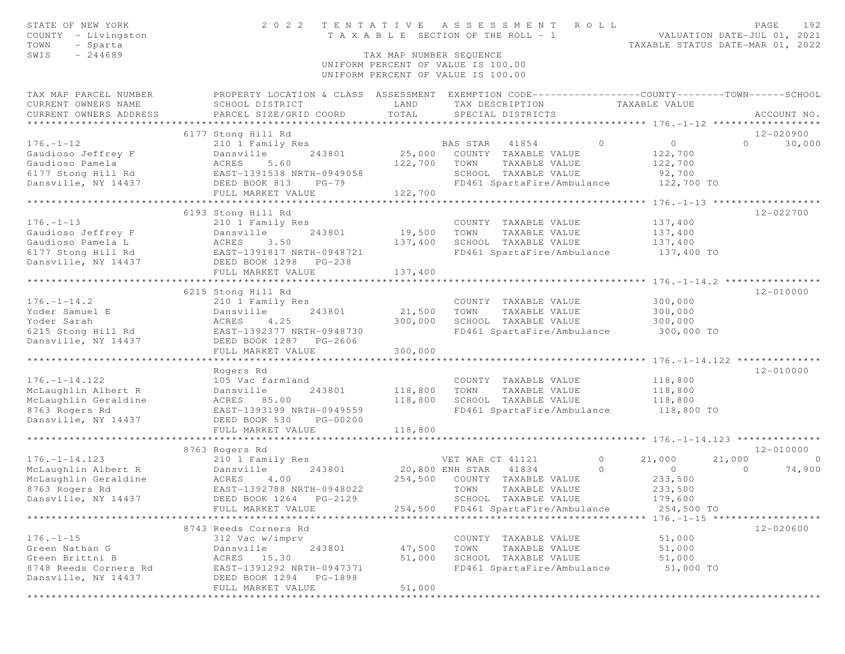| STATE OF NEW YORK                            | 2 0 2 2                                                                                          | TENTATIVE                             |                  | A S S E S S M E N T                                                | ROLL    |                                  |         | PAGE<br>192    |
|----------------------------------------------|--------------------------------------------------------------------------------------------------|---------------------------------------|------------------|--------------------------------------------------------------------|---------|----------------------------------|---------|----------------|
| COUNTY - Livingston                          |                                                                                                  | T A X A B L E SECTION OF THE ROLL - 1 |                  |                                                                    |         | VALUATION DATE-JUL 01, 2021      |         |                |
| TOWN<br>- Sparta                             |                                                                                                  |                                       |                  |                                                                    |         | TAXABLE STATUS DATE-MAR 01, 2022 |         |                |
| SWIS<br>$-244689$                            |                                                                                                  | TAX MAP NUMBER SEQUENCE               |                  |                                                                    |         |                                  |         |                |
|                                              |                                                                                                  | UNIFORM PERCENT OF VALUE IS 100.00    |                  |                                                                    |         |                                  |         |                |
|                                              |                                                                                                  | UNIFORM PERCENT OF VALUE IS 100.00    |                  |                                                                    |         |                                  |         |                |
| TAX MAP PARCEL NUMBER                        | PROPERTY LOCATION & CLASS ASSESSMENT EXEMPTION CODE----------------COUNTY-------TOWN------SCHOOL |                                       |                  |                                                                    |         |                                  |         |                |
| CURRENT OWNERS NAME                          | SCHOOL DISTRICT                                                                                  | LAND                                  |                  | TAX DESCRIPTION                                                    |         | TAXABLE VALUE                    |         |                |
| CURRENT OWNERS ADDRESS                       | PARCEL SIZE/GRID COORD                                                                           | TOTAL                                 |                  | SPECIAL DISTRICTS                                                  |         |                                  |         | ACCOUNT NO.    |
|                                              |                                                                                                  |                                       |                  |                                                                    |         |                                  |         |                |
|                                              | 6177 Stong Hill Rd                                                                               |                                       |                  |                                                                    |         |                                  |         | 12-020900      |
| $176. - 1 - 12$                              | 210 1 Family Res                                                                                 |                                       | BAS STAR         | 41854                                                              | $\circ$ | $\circ$                          | $\circ$ | 30,000         |
| Gaudioso Jeffrey F                           | 243801<br>Dansville                                                                              | 25,000                                |                  | COUNTY TAXABLE VALUE                                               |         | 122,700                          |         |                |
| Gaudioso Pamela                              | 5.60<br>ACRES                                                                                    | 122,700                               | TOWN             | TAXABLE VALUE                                                      |         | 122,700                          |         |                |
| 6177 Stong Hill Rd                           | EAST-1391538 NRTH-0949058                                                                        |                                       |                  | SCHOOL TAXABLE VALUE                                               |         | 92,700                           |         |                |
| Dansville, NY 14437                          | DEED BOOK 813<br>$PG-79$                                                                         |                                       |                  | FD461 SpartaFire/Ambulance                                         |         | 122,700 TO                       |         |                |
|                                              | FULL MARKET VALUE                                                                                | 122,700                               |                  |                                                                    |         |                                  |         |                |
|                                              |                                                                                                  |                                       |                  |                                                                    |         |                                  |         |                |
|                                              | 6193 Stong Hill Rd                                                                               |                                       |                  |                                                                    |         |                                  |         | 12-022700      |
| $176. - 1 - 13$                              | 210 1 Family Res                                                                                 |                                       |                  | COUNTY TAXABLE VALUE                                               |         | 137,400                          |         |                |
| Gaudioso Jeffrey F                           | Dansville<br>243801                                                                              | 19,500                                | TOWN             | TAXABLE VALUE                                                      |         | 137,400                          |         |                |
| Gaudioso Pamela L                            | 3.50<br>ACRES                                                                                    | 137,400                               |                  | SCHOOL TAXABLE VALUE                                               |         | 137,400                          |         |                |
| 6177 Stong Hill Rd EAST-1391817 NRTH-0948721 |                                                                                                  |                                       |                  | FD461 SpartaFire/Ambulance                                         |         | 137,400 TO                       |         |                |
| Dansville, NY 14437                          | DEED BOOK 1298 PG-238                                                                            |                                       |                  |                                                                    |         |                                  |         |                |
|                                              | FULL MARKET VALUE                                                                                | 137,400                               |                  |                                                                    |         |                                  |         |                |
|                                              | 6215 Stong Hill Rd                                                                               |                                       |                  |                                                                    |         |                                  |         | 12-010000      |
| $176. - 1 - 14.2$                            | 210 1 Family Res                                                                                 |                                       |                  | COUNTY TAXABLE VALUE                                               |         | 300,000                          |         |                |
| Yoder Samuel E                               | Dansville<br>243801                                                                              | 21,500                                | TOWN             | TAXABLE VALUE                                                      |         | 300,000                          |         |                |
| Yoder Sarah                                  | 4.25<br>ACRES                                                                                    | 300,000                               |                  | SCHOOL TAXABLE VALUE                                               |         | 300,000                          |         |                |
| 6215 Stong Hill Rd                           | EAST-1392377 NRTH-0948730                                                                        |                                       |                  | FD461 SpartaFire/Ambulance                                         |         | 300,000 TO                       |         |                |
| Dansville, NY 14437                          | DEED BOOK 1287 PG-2606                                                                           |                                       |                  |                                                                    |         |                                  |         |                |
|                                              | FULL MARKET VALUE                                                                                | 300,000                               |                  |                                                                    |         |                                  |         |                |
|                                              |                                                                                                  | ************                          |                  | ************************************ 176.-1-14.122 *************** |         |                                  |         |                |
|                                              | Rogers Rd                                                                                        |                                       |                  |                                                                    |         |                                  |         | 12-010000      |
| $176. - 1 - 14.122$                          | 105 Vac farmland                                                                                 |                                       |                  | COUNTY TAXABLE VALUE                                               |         | 118,800                          |         |                |
| McLaughlin Albert R                          | Dansville<br>243801                                                                              | 118,800                               | TOWN             | TAXABLE VALUE                                                      |         | 118,800                          |         |                |
| McLaughlin Geraldine                         | ACRES 85.00                                                                                      | 118,800                               |                  | SCHOOL TAXABLE VALUE                                               |         | 118,800                          |         |                |
| 8763 Rogers Rd                               | EAST-1393199 NRTH-0949559                                                                        |                                       |                  | FD461 SpartaFire/Ambulance                                         |         | 118,800 TO                       |         |                |
| Dansville, NY 14437                          | DEED BOOK 530<br>PG-00200                                                                        |                                       |                  |                                                                    |         |                                  |         |                |
|                                              | FULL MARKET VALUE                                                                                | 118,800                               |                  |                                                                    |         |                                  |         |                |
|                                              |                                                                                                  |                                       |                  |                                                                    |         |                                  |         |                |
|                                              | 8763 Rogers Rd                                                                                   |                                       |                  |                                                                    |         |                                  |         | 12-010000      |
| $176. - 1 - 14.123$                          | 210 1 Family Res                                                                                 |                                       | VET WAR CT 41121 |                                                                    | $\circ$ | 21,000                           | 21,000  | $\overline{0}$ |
| McLaughlin Albert R                          | 243801<br>Dansville                                                                              | 20,800 ENH STAR                       |                  | 41834                                                              | $\circ$ | $\circ$                          | $\circ$ | 74,900         |
| McLaughlin Geraldine                         | ACRES<br>4.00                                                                                    | 254,500                               |                  | COUNTY TAXABLE VALUE                                               |         | 233,500                          |         |                |
| 8763 Rogers Rd                               | EAST-1392788 NRTH-0948022                                                                        |                                       | TOWN             | TAXABLE VALUE                                                      |         | 233,500                          |         |                |
| Dansville, NY 14437                          | DEED BOOK 1264 PG-2129                                                                           |                                       |                  | SCHOOL TAXABLE VALUE                                               |         | 179,600                          |         |                |
|                                              | FULL MARKET VALUE                                                                                |                                       |                  | 254,500 FD461 SpartaFire/Ambulance                                 |         | 254,500 TO                       |         |                |
|                                              |                                                                                                  |                                       |                  |                                                                    |         |                                  |         |                |
|                                              | 8743 Reeds Corners Rd                                                                            |                                       |                  |                                                                    |         |                                  |         | 12-020600      |
| $176. - 1 - 15$                              | 312 Vac w/imprv                                                                                  |                                       |                  | COUNTY TAXABLE VALUE                                               |         | 51,000                           |         |                |
| Green Nathan G                               | Dansville<br>243801                                                                              | 47,500                                | TOWN             | TAXABLE VALUE                                                      |         | 51,000                           |         |                |
| Green Brittni B                              | ACRES 15.30                                                                                      | 51,000                                |                  | SCHOOL TAXABLE VALUE                                               |         | 51,000                           |         |                |
| 8748 Reeds Corners Rd<br>Dansville, NY 14437 | EAST-1391292 NRTH-0947371<br>PG-1898                                                             |                                       |                  | FD461 SpartaFire/Ambulance                                         |         | 51,000 TO                        |         |                |
|                                              | DEED BOOK 1294<br>FULL MARKET VALUE                                                              | 51,000                                |                  |                                                                    |         |                                  |         |                |
| ************                                 |                                                                                                  |                                       |                  |                                                                    |         |                                  |         |                |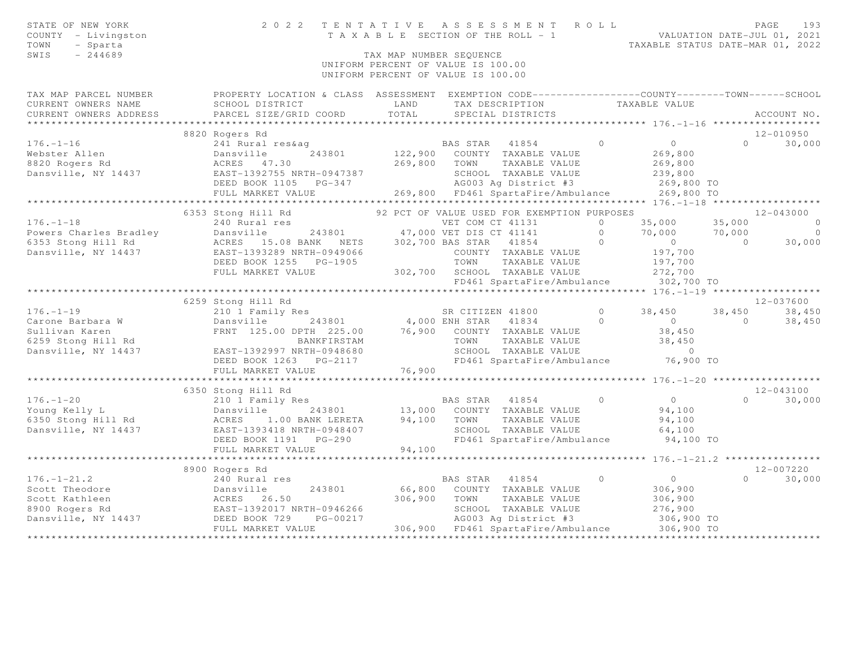| STATE OF NEW YORK<br>COUNTY - Livingston<br>TOWN<br>- Sparta<br>SWIS<br>$-244689$ | 2 0 2 2                                                                                                                                                                                                                                                        |        | TENTATIVE ASSESSMENT ROLL<br>TAXABLE SECTION OF THE ROLL - 1<br>TAXABLE SECTION OF THE ROLL - 1<br>TAXABLE STATUS DATE-MAR 01, 2022<br>TAX MAP NUMBER SEQUENCE<br>UNIFORM PERCENT OF VALUE IS 100.00<br>UNIFORM PERCENT OF VALUE IS 100.00 |            |                        |                | PAGE<br>193        |
|-----------------------------------------------------------------------------------|----------------------------------------------------------------------------------------------------------------------------------------------------------------------------------------------------------------------------------------------------------------|--------|--------------------------------------------------------------------------------------------------------------------------------------------------------------------------------------------------------------------------------------------|------------|------------------------|----------------|--------------------|
|                                                                                   | TAX MAP PARCEL NUMBER FROPERTY LOCATION & CLASS ASSESSMENT EXEMPTION CODE---------------COUNTY-------TOWN------SCHOOL                                                                                                                                          |        |                                                                                                                                                                                                                                            |            |                        |                |                    |
|                                                                                   |                                                                                                                                                                                                                                                                |        |                                                                                                                                                                                                                                            |            |                        |                |                    |
|                                                                                   | 8820 Rogers Rd                                                                                                                                                                                                                                                 |        |                                                                                                                                                                                                                                            |            |                        |                | 12-010950          |
|                                                                                   | 176.-1-16<br>Webster Allen<br>241 Rural res&ag<br>243801 22,900 COUNTY TAXABLE VALUE<br>269,800<br>269,800 TOWN TAXABLE VALUE<br>269,800 TOWN TAXABLE VALUE<br>269,800 DEED BOOK 1105 PG-347<br>269,800 DEED BOOK 1105 PG-347<br>269,800 DEED BO               |        |                                                                                                                                                                                                                                            |            |                        |                | $\Omega$<br>30,000 |
|                                                                                   |                                                                                                                                                                                                                                                                |        |                                                                                                                                                                                                                                            |            |                        |                |                    |
|                                                                                   |                                                                                                                                                                                                                                                                |        |                                                                                                                                                                                                                                            |            |                        |                |                    |
|                                                                                   |                                                                                                                                                                                                                                                                |        |                                                                                                                                                                                                                                            |            |                        |                |                    |
|                                                                                   |                                                                                                                                                                                                                                                                |        |                                                                                                                                                                                                                                            |            |                        |                |                    |
|                                                                                   |                                                                                                                                                                                                                                                                |        |                                                                                                                                                                                                                                            |            |                        |                |                    |
|                                                                                   |                                                                                                                                                                                                                                                                |        |                                                                                                                                                                                                                                            |            |                        |                |                    |
|                                                                                   | 6353 Stong Hill Rd                                                                                                                                                                                                                                             |        | 92 PCT OF VALUE USED FOR EXEMPTION PURPOSES                                                                                                                                                                                                |            |                        |                | $12 - 043000$      |
|                                                                                   |                                                                                                                                                                                                                                                                |        |                                                                                                                                                                                                                                            |            |                        |                |                    |
|                                                                                   |                                                                                                                                                                                                                                                                |        |                                                                                                                                                                                                                                            |            |                        |                |                    |
|                                                                                   |                                                                                                                                                                                                                                                                |        |                                                                                                                                                                                                                                            |            |                        |                |                    |
|                                                                                   |                                                                                                                                                                                                                                                                |        |                                                                                                                                                                                                                                            |            |                        |                |                    |
|                                                                                   |                                                                                                                                                                                                                                                                |        |                                                                                                                                                                                                                                            |            |                        |                |                    |
|                                                                                   | $[176. -1-18$ 476.-1-18<br>240 Represent 243801<br>243801<br>243801<br>243801<br>243801<br>243801<br>247,000 VET DIS CT 41131<br>26353 Stong Hill Rd<br>26353 Stong Hill Rd<br>26353 Stong Hill Rd<br>262,700<br>277,700<br>277,700<br>277,700<br>277,700<br>2 |        |                                                                                                                                                                                                                                            |            |                        |                |                    |
|                                                                                   |                                                                                                                                                                                                                                                                |        |                                                                                                                                                                                                                                            |            |                        |                |                    |
|                                                                                   | 6259 Stong Hill Rd                                                                                                                                                                                                                                             |        |                                                                                                                                                                                                                                            |            |                        |                | 12-037600          |
| $176. - 1 - 19$                                                                   | 210 1 Family Res                                                                                                                                                                                                                                               |        | SR CITIZEN 41800                                                                                                                                                                                                                           | $\bigcirc$ | 38,450                 |                | 38,450 38,450      |
|                                                                                   |                                                                                                                                                                                                                                                                |        |                                                                                                                                                                                                                                            |            |                        | $\overline{0}$ | 38,450             |
|                                                                                   |                                                                                                                                                                                                                                                                |        |                                                                                                                                                                                                                                            |            |                        |                |                    |
|                                                                                   | Carone Barbara W (Dansville 243801 4,000 ENH STAR 41834 0<br>Sullivan Karen FRNT 125.00 DPTH 225.00 76,900 COUNTY TAXABLE VALUE<br>EAST-1392997 NRTH-0948680 SCHOOL TAXABLE VALUE<br>Dansville, NY 14437 EAST-1392997 NRTH-0948680 S                           |        | TOWN      TAXABLE VALUE<br>SCHOOL   TAXABLE VALUE                                                                                                                                                                                          |            | $38,450$<br>38,450     |                |                    |
|                                                                                   |                                                                                                                                                                                                                                                                |        |                                                                                                                                                                                                                                            |            | $\overline{0}$         |                |                    |
|                                                                                   | DEED BOOK 1263    PG-2117                                                                                                                                                                                                                                      |        | FD461 SpartaFire/Ambulance 76,900 TO                                                                                                                                                                                                       |            |                        |                |                    |
|                                                                                   | FULL MARKET VALUE                                                                                                                                                                                                                                              | 76,900 |                                                                                                                                                                                                                                            |            |                        |                |                    |
|                                                                                   |                                                                                                                                                                                                                                                                |        |                                                                                                                                                                                                                                            |            |                        |                |                    |
|                                                                                   | 6350 Stong Hill Rd                                                                                                                                                                                                                                             |        |                                                                                                                                                                                                                                            |            |                        |                | $12 - 043100$      |
|                                                                                   |                                                                                                                                                                                                                                                                |        |                                                                                                                                                                                                                                            |            | $\overline{0}$         |                | $0 \t 30,000$      |
|                                                                                   |                                                                                                                                                                                                                                                                |        |                                                                                                                                                                                                                                            |            | 94,100                 |                |                    |
|                                                                                   | 0350 Stong Hill Kd 210 1 Family Res 210 1 Family Res 210 1 Family Res 210 1 Family Res 210 1 Family Res 213801 213,000 COUNTY TAXABLE VALUE 243801 243801 243801 24550 Stong Hill Rd 2550 Stong Hill Rd 2550 Stong Hill Rd 255                                 |        |                                                                                                                                                                                                                                            |            | 94,100                 |                |                    |
|                                                                                   |                                                                                                                                                                                                                                                                | 94,100 | FD461 SpartaFire/Ambulance 94,100 TO                                                                                                                                                                                                       |            | 64,100                 |                |                    |
|                                                                                   | FULL MARKET VALUE                                                                                                                                                                                                                                              |        |                                                                                                                                                                                                                                            |            |                        |                |                    |
|                                                                                   |                                                                                                                                                                                                                                                                |        |                                                                                                                                                                                                                                            |            |                        |                |                    |
|                                                                                   | 8900 Rogers Rd                                                                                                                                                                                                                                                 |        |                                                                                                                                                                                                                                            |            |                        |                | 12-007220          |
|                                                                                   |                                                                                                                                                                                                                                                                |        |                                                                                                                                                                                                                                            | $\circ$    | $\overline{0}$         |                | $0 \t 30,000$      |
|                                                                                   |                                                                                                                                                                                                                                                                |        |                                                                                                                                                                                                                                            |            |                        |                |                    |
|                                                                                   |                                                                                                                                                                                                                                                                |        |                                                                                                                                                                                                                                            |            | $306,900$<br>$306,900$ |                |                    |
|                                                                                   |                                                                                                                                                                                                                                                                |        | SCHOOL TAXABLE VALUE<br>AG003 Ag District #3                                                                                                                                                                                               |            | 276,900                |                |                    |
|                                                                                   |                                                                                                                                                                                                                                                                |        |                                                                                                                                                                                                                                            |            | 306,900 TO             |                |                    |
|                                                                                   |                                                                                                                                                                                                                                                                |        | 306,900 FD461 SpartaFire/Ambulance 306,900 TO                                                                                                                                                                                              |            |                        |                |                    |
|                                                                                   |                                                                                                                                                                                                                                                                |        |                                                                                                                                                                                                                                            |            |                        |                |                    |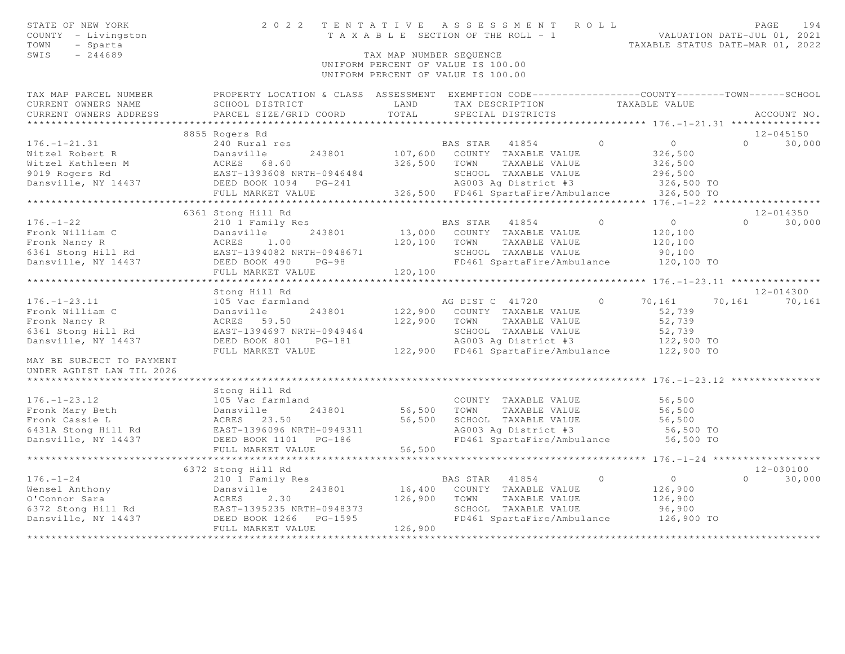| STATE OF NEW YORK<br>COUNTY - Livingston<br>TOWN<br>- Sparta<br>$-244689$<br>SWIS                                                                                                                                                                    |                                                                                                                                               | TAX MAP NUMBER SEQUENCE | 2022 TENTATIVE ASSESSMENT ROLL<br>T A X A B L E SECTION OF THE ROLL - 1<br>UNIFORM PERCENT OF VALUE IS 100.00<br>UNIFORM PERCENT OF VALUE IS 100.00 |          | VALUATION DATE-JUL 01, 2021<br>TAXABLE STATUS DATE-MAR 01, 2022 | PAGE     | 194           |
|------------------------------------------------------------------------------------------------------------------------------------------------------------------------------------------------------------------------------------------------------|-----------------------------------------------------------------------------------------------------------------------------------------------|-------------------------|-----------------------------------------------------------------------------------------------------------------------------------------------------|----------|-----------------------------------------------------------------|----------|---------------|
| TAX MAP PARCEL NUMBER<br>CURRENT OWNERS NAME<br>CURRENT OWNERS ADDRESS                                                                                                                                                                               | PROPERTY LOCATION & CLASS ASSESSMENT EXEMPTION CODE----------------COUNTY-------TOWN------SCHOOL<br>SCHOOL DISTRICT<br>PARCEL SIZE/GRID COORD | LAND<br>TOTAL           | TAX DESCRIPTION TAXABLE VALUE<br>SPECIAL DISTRICTS                                                                                                  |          |                                                                 |          | ACCOUNT NO.   |
|                                                                                                                                                                                                                                                      |                                                                                                                                               |                         |                                                                                                                                                     |          |                                                                 |          |               |
|                                                                                                                                                                                                                                                      | 8855 Rogers Rd                                                                                                                                |                         |                                                                                                                                                     |          |                                                                 |          | $12 - 045150$ |
| $176. - 1 - 21.31$                                                                                                                                                                                                                                   | 240 Rural res                                                                                                                                 |                         | BAS STAR 41854                                                                                                                                      | $\Omega$ | $\circ$                                                         | $\Omega$ | 30,000        |
| Witzel Robert R                                                                                                                                                                                                                                      | Dansville<br>ACRES 68.60<br>243801                                                                                                            | 107,600                 | COUNTY TAXABLE VALUE                                                                                                                                |          | 326,500                                                         |          |               |
| Witzel Kathleen M                                                                                                                                                                                                                                    |                                                                                                                                               | 326,500                 | TOWN<br>TAXABLE VALUE                                                                                                                               |          | 326,500                                                         |          |               |
| 9019 Rogers Rd                                                                                                                                                                                                                                       | EAST-1393608 NRTH-0946484                                                                                                                     |                         | SCHOOL TAXABLE VALUE                                                                                                                                |          | 296,500                                                         |          |               |
| Dansville, NY 14437                                                                                                                                                                                                                                  | EAST-1393608 NAIL<br>DEED BOOK 1094 PG-241                                                                                                    |                         | AG003 Aq District #3                                                                                                                                |          | 326,500 TO                                                      |          |               |
|                                                                                                                                                                                                                                                      |                                                                                                                                               |                         | 326,500 FD461 SpartaFire/Ambulance                                                                                                                  |          | 326,500 TO                                                      |          |               |
|                                                                                                                                                                                                                                                      |                                                                                                                                               |                         |                                                                                                                                                     |          |                                                                 |          |               |
|                                                                                                                                                                                                                                                      | 6361 Stong Hill Rd                                                                                                                            |                         |                                                                                                                                                     | $\Omega$ |                                                                 |          | 12-014350     |
| $176. - 1 - 22$                                                                                                                                                                                                                                      | 210 1 Family Res                                                                                                                              |                         | BAS STAR<br>41854                                                                                                                                   |          | $\overline{0}$                                                  | $\Omega$ | 30,000        |
|                                                                                                                                                                                                                                                      |                                                                                                                                               | 120,100                 | 13,000 COUNTY TAXABLE VALUE<br>TAXABLE VALUE<br>TOWN                                                                                                |          | 120,100<br>120,100                                              |          |               |
| Fronk William C<br>Fronk Nancy R<br>6361 Stong Hill Rd<br>8361 Stong Hill Rd<br>8361 Stong Hill Rd<br>8361 Stong Hill Rd<br>8361 Stong Hill Rd<br>8361 Stong Hill Rd<br>8361 Stong Hill Rd<br>8361 Stong Hill Rd<br>8361 Stong Hill Rd<br>8362 NRTH- |                                                                                                                                               |                         | SCHOOL TAXABLE VALUE                                                                                                                                |          | 90,100                                                          |          |               |
| Dansville, NY 14437                                                                                                                                                                                                                                  | DEED BOOK 490 PG-98                                                                                                                           |                         | FD461 SpartaFire/Ambulance                                                                                                                          |          | 120,100 TO                                                      |          |               |
|                                                                                                                                                                                                                                                      | FULL MARKET VALUE                                                                                                                             | 120,100                 |                                                                                                                                                     |          |                                                                 |          |               |
|                                                                                                                                                                                                                                                      | **************************                                                                                                                    |                         |                                                                                                                                                     |          |                                                                 |          |               |
|                                                                                                                                                                                                                                                      | Stong Hill Rd                                                                                                                                 |                         |                                                                                                                                                     |          |                                                                 |          | $12 - 014300$ |
| $176. - 1 - 23.11$                                                                                                                                                                                                                                   | 105 Vac farmland                                                                                                                              |                         | AG DIST C 41720                                                                                                                                     | $\Omega$ | 70,161                                                          | 70,161   | 70,161        |
| Fronk William C                                                                                                                                                                                                                                      | 243801<br>Dansville                                                                                                                           |                         | 122,900 COUNTY TAXABLE VALUE                                                                                                                        |          | 52,739                                                          |          |               |
| Fronk Nancy R                                                                                                                                                                                                                                        | ACRES 59.50                                                                                                                                   | 122,900                 | TOWN<br>TAXABLE VALUE                                                                                                                               |          | 52,739                                                          |          |               |
| 6361 Stong Hill Rd                                                                                                                                                                                                                                   | EAST-1394697 NRTH-0949464                                                                                                                     |                         | SCHOOL TAXABLE VALUE                                                                                                                                |          | 52,739                                                          |          |               |
| Dansville, NY 14437                                                                                                                                                                                                                                  | DEED BOOK 801<br>$PG-181$                                                                                                                     |                         | AG003 Ag District #3                                                                                                                                |          | 122,900 TO                                                      |          |               |
|                                                                                                                                                                                                                                                      | FULL MARKET VALUE                                                                                                                             |                         | 122,900 FD461 SpartaFire/Ambulance                                                                                                                  |          | 122,900 TO                                                      |          |               |
| MAY BE SUBJECT TO PAYMENT                                                                                                                                                                                                                            |                                                                                                                                               |                         |                                                                                                                                                     |          |                                                                 |          |               |
| UNDER AGDIST LAW TIL 2026                                                                                                                                                                                                                            |                                                                                                                                               |                         |                                                                                                                                                     |          |                                                                 |          |               |
|                                                                                                                                                                                                                                                      |                                                                                                                                               |                         |                                                                                                                                                     |          |                                                                 |          |               |
|                                                                                                                                                                                                                                                      | Stong Hill Rd                                                                                                                                 |                         |                                                                                                                                                     |          |                                                                 |          |               |
| $176. - 1 - 23.12$                                                                                                                                                                                                                                   | 105 Vac farmland                                                                                                                              |                         | COUNTY TAXABLE VALUE                                                                                                                                |          | 56,500                                                          |          |               |
| Fronk Mary Beth                                                                                                                                                                                                                                      | 243801<br>Dansville                                                                                                                           | 56,500                  | TOWN<br>TAXABLE VALUE                                                                                                                               |          | 56,500                                                          |          |               |
| Fronk Cassie L                                                                                                                                                                                                                                       | ACRES 23.50                                                                                                                                   | 56,500                  | SCHOOL TAXABLE VALUE                                                                                                                                |          | 56,500                                                          |          |               |
| 6431A Stong Hill Rd                                                                                                                                                                                                                                  | EAST-1396096 NRTH-0949311                                                                                                                     |                         | AG003 Ag District #3                                                                                                                                |          | 56,500 TO                                                       |          |               |
| Dansville, NY 14437                                                                                                                                                                                                                                  | DEED BOOK 1101    PG-186                                                                                                                      |                         | FD461 SpartaFire/Ambulance 56,500 TO                                                                                                                |          |                                                                 |          |               |
|                                                                                                                                                                                                                                                      | FULL MARKET VALUE<br>*************************                                                                                                | 56,500                  |                                                                                                                                                     |          | ********************** 176. -1-24 *******************           |          |               |
|                                                                                                                                                                                                                                                      | 6372 Stong Hill Rd                                                                                                                            |                         |                                                                                                                                                     |          |                                                                 |          | 12-030100     |
| $176. - 1 - 24$                                                                                                                                                                                                                                      | 210 1 Family Res                                                                                                                              |                         | BAS STAR<br>41854                                                                                                                                   | $\Omega$ | $\overline{0}$                                                  | $\Omega$ | 30,000        |
| Wensel Anthony                                                                                                                                                                                                                                       | Dansville<br>243801                                                                                                                           | 16,400                  | COUNTY TAXABLE VALUE                                                                                                                                |          | 126,900                                                         |          |               |
| O'Connor Sara                                                                                                                                                                                                                                        | Dansvi<br>ACRES<br>2.30                                                                                                                       | 126,900                 | TOWN<br>TAXABLE VALUE                                                                                                                               |          | 126,900                                                         |          |               |
|                                                                                                                                                                                                                                                      |                                                                                                                                               |                         | SCHOOL TAXABLE VALUE                                                                                                                                |          | 96,900                                                          |          |               |
|                                                                                                                                                                                                                                                      |                                                                                                                                               |                         | FD461 SpartaFire/Ambulance                                                                                                                          |          | 126,900 TO                                                      |          |               |
|                                                                                                                                                                                                                                                      | FULL MARKET VALUE                                                                                                                             | 126,900                 |                                                                                                                                                     |          |                                                                 |          |               |
|                                                                                                                                                                                                                                                      |                                                                                                                                               |                         |                                                                                                                                                     |          |                                                                 |          |               |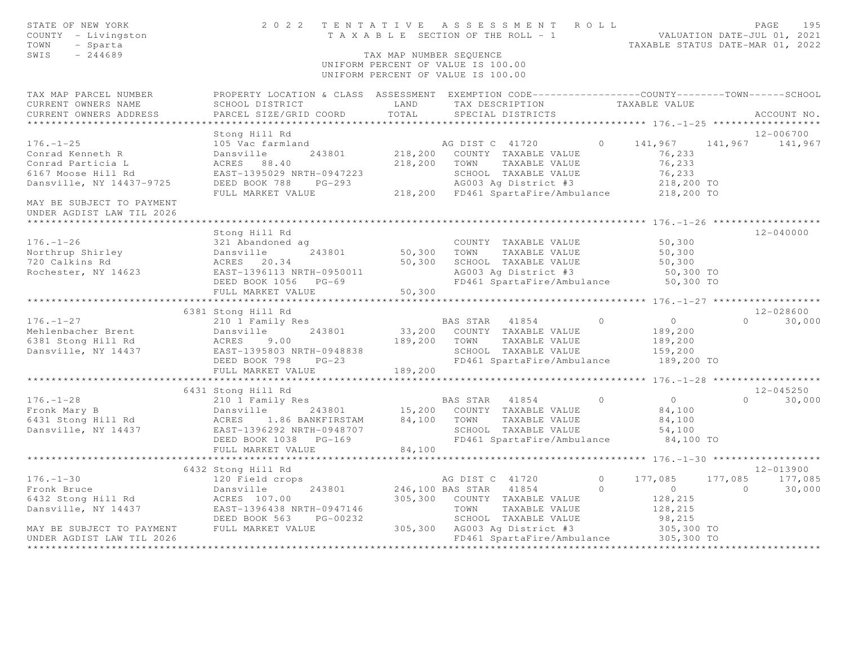| STATE OF NEW YORK<br>COUNTY - Livingston<br>TOWN<br>- Sparta<br>SWIS<br>$-244689$ | 2022 TENTATIVE ASSESSMENT ROLL                                                                                                                                                             | TAX MAP NUMBER SEOUENCE | UNIFORM PERCENT OF VALUE IS 100.00<br>UNIFORM PERCENT OF VALUE IS 100.00 |                                            |                | TENTATIVE ASSESSMENT ROLL PAGE 195<br>TAXABLE SECTION OF THE ROLL - 1 VALUATION DATE-JUL 01, 2021<br>TAXABLE STATUS DATE-MAR 01, 2022 |                 |                       |             |
|-----------------------------------------------------------------------------------|--------------------------------------------------------------------------------------------------------------------------------------------------------------------------------------------|-------------------------|--------------------------------------------------------------------------|--------------------------------------------|----------------|---------------------------------------------------------------------------------------------------------------------------------------|-----------------|-----------------------|-------------|
| TAX MAP PARCEL NUMBER<br>CURRENT OWNERS NAME<br>CURRENT OWNERS ADDRESS            | PROPERTY LOCATION & CLASS ASSESSMENT EXEMPTION CODE----------------COUNTY-------TOWN-----SCHOOL<br>SCHOOL DISTRICT<br>PARCEL SIZE/GRID COORD                                               | LAND<br>TOTAL           | TAX DESCRIPTION<br>SPECIAL DISTRICTS                                     |                                            |                | TAXABLE VALUE                                                                                                                         |                 |                       | ACCOUNT NO. |
|                                                                                   |                                                                                                                                                                                            |                         |                                                                          |                                            |                |                                                                                                                                       |                 |                       |             |
|                                                                                   | Stong Hill Rd                                                                                                                                                                              |                         |                                                                          |                                            |                |                                                                                                                                       |                 | 12-006700             |             |
| $176. - 1 - 25$                                                                   | 105 Vac farmland                                                                                                                                                                           |                         | AG DIST C 41720                                                          |                                            |                | $0 \t141,967$                                                                                                                         | 141,967 141,967 |                       |             |
| Conrad Kenneth R                                                                  | 243801<br>Dansville                                                                                                                                                                        |                         | 218,200 COUNTY TAXABLE VALUE                                             |                                            |                | 76,233                                                                                                                                |                 |                       |             |
| Conrad Particia L                                                                 | ACRES 88.40                                                                                                                                                                                |                         | 218,200 TOWN TAXABLE VALUE                                               |                                            |                | 76,233                                                                                                                                |                 |                       |             |
| 6167 Moose Hill Rd<br>Dansville, NY 14437-9725                                    | DEED BOOK 788                                                                                                                                                                              |                         |                                                                          |                                            |                |                                                                                                                                       |                 |                       |             |
|                                                                                   |                                                                                                                                                                                            |                         |                                                                          |                                            |                |                                                                                                                                       |                 |                       |             |
| MAY BE SUBJECT TO PAYMENT<br>UNDER AGDIST LAW TIL 2026                            | ACRES 00.40<br>EAST-1395029 NRTH-0947223 SCHOOL TAXABLE VALUE<br>DEED BOOK 788 PG-293 AG003 Ag District #3 218,200 TO<br>FIII.I MARKET VALUE 218,200 FD461 SpartaFire/Ambulance 218,200 TO |                         |                                                                          |                                            |                |                                                                                                                                       |                 |                       |             |
|                                                                                   |                                                                                                                                                                                            |                         |                                                                          |                                            |                |                                                                                                                                       |                 |                       |             |
|                                                                                   | Stong Hill Rd                                                                                                                                                                              |                         |                                                                          |                                            |                |                                                                                                                                       |                 | 12-040000             |             |
| $176. - 1 - 26$                                                                   | 321 Abandoned ag                                                                                                                                                                           |                         |                                                                          | COUNTY TAXABLE VALUE                       |                | 50,300                                                                                                                                |                 |                       |             |
| Northrup Shirley                                                                  |                                                                                                                                                                                            |                         | 50,300 TOWN                                                              | TAXABLE VALUE                              |                | 50,300                                                                                                                                |                 |                       |             |
| 720 Calkins Rd                                                                    | Dansville 243801<br>ACRES 20.34<br>EAST-1396113 NRTH-0950011                                                                                                                               |                         | 50,300 SCHOOL TAXABLE VALUE                                              | AG003 Ag District #3<br>FD461 Spartaric (1 |                | 50,300                                                                                                                                |                 |                       |             |
| Rochester, NY 14623                                                               | DEED BOOK 1056 PG-69                                                                                                                                                                       |                         |                                                                          |                                            |                | 50,300 TO<br>FD461 SpartaFire/Ambulance 50,300 TO                                                                                     |                 |                       |             |
|                                                                                   | FULL MARKET VALUE                                                                                                                                                                          | 50,300                  |                                                                          |                                            |                |                                                                                                                                       |                 |                       |             |
|                                                                                   |                                                                                                                                                                                            |                         |                                                                          |                                            |                |                                                                                                                                       |                 |                       |             |
|                                                                                   | 6381 Stong Hill Rd                                                                                                                                                                         |                         |                                                                          |                                            |                |                                                                                                                                       |                 | $12 - 028600$         |             |
| $176. - 1 - 27$                                                                   | 210 1 Family Res                                                                                                                                                                           |                         | BAS STAR 41854                                                           |                                            | $\overline{0}$ | $\overline{0}$                                                                                                                        |                 | $\Omega$              | 30,000      |
| Mehlenbacher Brent<br>6381 Stong Hill Rd                                          | 243801<br>Dansville                                                                                                                                                                        |                         | 33,200 COUNTY TAXABLE VALUE                                              |                                            |                | 189,200                                                                                                                               |                 |                       |             |
|                                                                                   | ACRES<br>9.00                                                                                                                                                                              | 189,200 TOWN            |                                                                          | TAXABLE VALUE                              |                | 189,200                                                                                                                               |                 |                       |             |
| Dansville, NY 14437                                                               | EAST-1395803 NRTH-0948838<br>DEED BOOK 798 PG-23                                                                                                                                           |                         |                                                                          | SCHOOL TAXABLE VALUE                       |                | 159,200                                                                                                                               |                 |                       |             |
|                                                                                   |                                                                                                                                                                                            |                         |                                                                          |                                            |                | FD461 SpartaFire/Ambulance 189,200 TO                                                                                                 |                 |                       |             |
|                                                                                   | FULL MARKET VALUE                                                                                                                                                                          | 189,200                 |                                                                          |                                            |                |                                                                                                                                       |                 |                       |             |
|                                                                                   |                                                                                                                                                                                            |                         |                                                                          |                                            |                |                                                                                                                                       |                 |                       |             |
| $176. - 1 - 28$                                                                   | 6431 Stong Hill Rd<br>210 1 Family Res                                                                                                                                                     |                         | BAS STAR 41854                                                           |                                            | $\circ$        | $\overline{0}$                                                                                                                        |                 | 12-045250<br>$\Omega$ | 30,000      |
| Fronk Mary B                                                                      |                                                                                                                                                                                            |                         |                                                                          |                                            |                | 84,100                                                                                                                                |                 |                       |             |
| 6431 Stong Hill Rd                                                                | Lle 243801 15,200 COUNTY TAXABLE VALUE<br>1.86 BANKFIRSTAM 84,100 TOWN TAXABLE VALUE<br>Dansville<br>ACRES 1                                                                               |                         |                                                                          | TAXABLE VALUE                              |                | 84,100                                                                                                                                |                 |                       |             |
| Dansville, NY 14437                                                               | EAST-1396292 NRTH-0948707                                                                                                                                                                  |                         |                                                                          | SCHOOL TAXABLE VALUE                       |                | 54,100                                                                                                                                |                 |                       |             |
|                                                                                   | DEED BOOK 1038 PG-169                                                                                                                                                                      |                         |                                                                          |                                            |                | FD461 SpartaFire/Ambulance 84,100 TO                                                                                                  |                 |                       |             |
|                                                                                   | FULL MARKET VALUE                                                                                                                                                                          | 84,100                  |                                                                          |                                            |                |                                                                                                                                       |                 |                       |             |
|                                                                                   |                                                                                                                                                                                            |                         |                                                                          |                                            |                |                                                                                                                                       |                 |                       |             |
|                                                                                   | 6432 Stong Hill Rd                                                                                                                                                                         |                         |                                                                          |                                            |                |                                                                                                                                       |                 | 12-013900             |             |
| $176. - 1 - 30$                                                                   | 120 Field crops                                                                                                                                                                            |                         | AG DIST C 41720                                                          |                                            | $\circ$        | 177,085                                                                                                                               | 177,085 177,085 |                       |             |
| Fronk Bruce                                                                       | Dansville                                                                                                                                                                                  |                         | 243801 246,100 BAS STAR 41854                                            |                                            | $\Omega$       | $\begin{pmatrix} 0 \\ 0 \end{pmatrix}$                                                                                                | $\overline{0}$  |                       | 30,000      |
| 6432 Stong Hill Rd                                                                | ACRES 107.00                                                                                                                                                                               |                         | 305,300 COUNTY TAXABLE VALUE                                             |                                            |                | 128,215                                                                                                                               |                 |                       |             |
| Dansville, NY 14437 EAST-1396438 NRTH-0947146                                     | DEED BOOK 563<br>PG-00232                                                                                                                                                                  |                         | TOWN                                                                     | TAXABLE VALUE<br>SCHOOL TAXABLE VALUE      |                | 128,215<br>98,215                                                                                                                     |                 |                       |             |
| MAY BE SUBJECT TO PAYMENT FULL MARKET VALUE                                       |                                                                                                                                                                                            |                         | 305,300 AG003 Ag District #3                                             |                                            |                | 305,300 TO                                                                                                                            |                 |                       |             |
| UNDER AGDIST LAW TIL 2026                                                         |                                                                                                                                                                                            |                         |                                                                          |                                            |                | FD461 SpartaFire/Ambulance 305,300 TO                                                                                                 |                 |                       |             |
| ********************                                                              |                                                                                                                                                                                            |                         |                                                                          |                                            |                |                                                                                                                                       |                 |                       |             |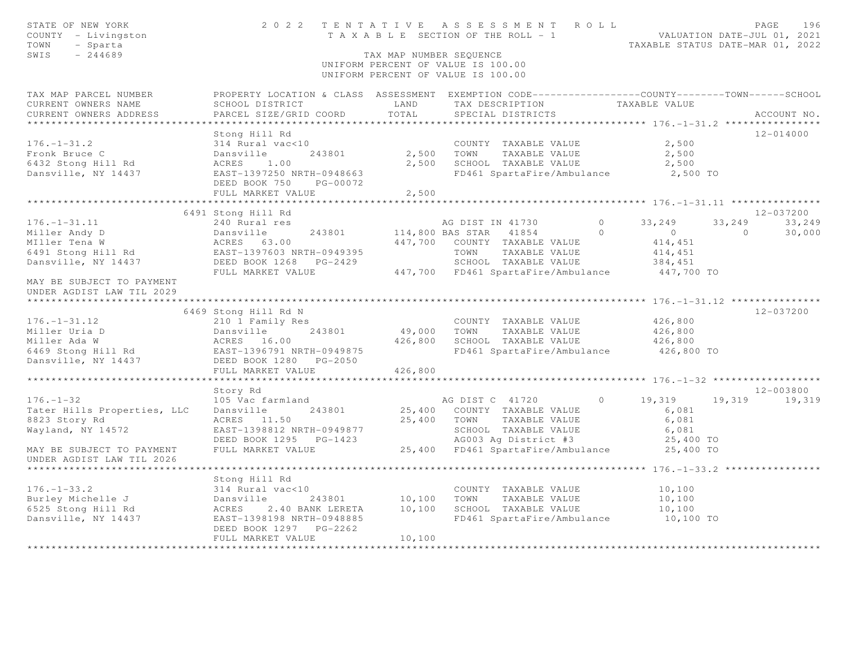| STATE OF NEW YORK<br>COUNTY - Livingston<br>- Sparta<br>TOWN<br>SWIS<br>$-244689$                 |                                                                                                                                                                                                             | TAX MAP NUMBER SEQUENCE | 2022 TENTATIVE ASSESSMENT ROLL<br>---- TENTATIVE ASSESSMENT AVER PRIDATION DATE-JUL 01, 2021<br>TAXABLE SECTION OF THE ROLL - 1 TAXABLE STATUS DATE-MAR 01, 2022<br>UNIFORM PERCENT OF VALUE IS 100.00<br>UNIFORM PERCENT OF VALUE IS 100.00 |                |                                                                             |                          | PAGE<br>196                       |
|---------------------------------------------------------------------------------------------------|-------------------------------------------------------------------------------------------------------------------------------------------------------------------------------------------------------------|-------------------------|----------------------------------------------------------------------------------------------------------------------------------------------------------------------------------------------------------------------------------------------|----------------|-----------------------------------------------------------------------------|--------------------------|-----------------------------------|
| TAX MAP PARCEL NUMBER<br>CURRENT OWNERS NAME<br>CURRENT OWNERS ADDRESS                            | PROPERTY LOCATION & CLASS ASSESSMENT EXEMPTION CODE----------------COUNTY-------TOWN-----SCHOOL<br>SCHOOL DISTRICT<br>PARCEL SIZE/GRID COORD                                                                | LAND<br>TOTAL           | TAX DESCRIPTION<br>SPECIAL DISTRICTS                                                                                                                                                                                                         |                | TAXABLE VALUE                                                               |                          | ACCOUNT NO.                       |
| $176. - 1 - 31.2$<br>Fronk Bruce C<br>6432 Stong Hill Rd<br>Dansville, NY 14437                   | Stong Hill Rd<br>314 Rural vac<10<br>Dansville<br>243801<br>1.00<br>ACRES<br>EAST-1397250 NRTH-0948663<br>DEED BOOK 750<br>PG-00072<br>FULL MARKET VALUE                                                    | 2,500                   | COUNTY TAXABLE VALUE<br>2,500 TOWN<br>TAXABLE VALUE<br>2,500 SCHOOL TAXABLE VALUE<br>FD461 SpartaFire/Ambulance                                                                                                                              |                | 2,500<br>2,500<br>2,500<br>2,500 TO                                         |                          | 12-014000                         |
|                                                                                                   |                                                                                                                                                                                                             |                         |                                                                                                                                                                                                                                              |                |                                                                             |                          |                                   |
| $176. - 1 - 31.11$<br>Miller Andy D<br>MIller Tena W<br>6491 Stong Hill Rd<br>Dansville, NY 14437 | 6491 Stong Hill Rd<br>240 Rural res<br>Dansville<br>Dansville 243801<br>ACRES 63.00<br>EAST-1397603 NRTH-0949395                                                                                            |                         | AG DIST IN 41730<br>243801 114,800 BAS STAR 41854<br>447,700 COUNTY TAXABLE VALUE<br>TOWN<br>TAXABLE VALUE                                                                                                                                   | $\circ$        | 0 $33,249$<br>$\overline{0}$<br>414,451<br>414,451<br>384,451<br>447,700 TO | 33,249<br>$\overline{0}$ | $12 - 037200$<br>33,249<br>30,000 |
| MAY BE SUBJECT TO PAYMENT<br>UNDER AGDIST LAW TIL 2029                                            |                                                                                                                                                                                                             |                         |                                                                                                                                                                                                                                              |                |                                                                             |                          |                                   |
| $176. - 1 - 31.12$<br>Miller Uria D<br>Miller Ada W<br>6469 Stong Hill Rd                         | 6469 Stong Hill Rd N<br>210 1 Family Res<br>243801<br>Dansville                                                                                                                                             |                         | COUNTY TAXABLE VALUE<br>49,000 TOWN TAXABLE VALUE<br>426,800 SCHOOL TAXABLE VALUE<br>FD461 SpartaFire/Ambulance 426,800 TO                                                                                                                   |                | 426,800<br>426,800<br>426,800                                               |                          | $12 - 037200$                     |
|                                                                                                   | FULL MARKET VALUE                                                                                                                                                                                           | 426,800                 |                                                                                                                                                                                                                                              |                |                                                                             |                          |                                   |
| $176. - 1 - 32$                                                                                   | Story Rd                                                                                                                                                                                                    |                         |                                                                                                                                                                                                                                              |                |                                                                             |                          | 12-003800                         |
| Tater Hills Properties, LLC<br>8823 Story Rd<br>Wayland, NY 14572<br>MAY BE SUBJECT TO PAYMENT    | 105 Vac farmland<br>243801<br>Dansville<br>ACRES 11.50<br>EAST-1398812 NRTH-0949877<br>DEED BOOK 1295 PG-1423<br>FULL MARKET VALUE                                                                          |                         | AG DIST C 41720<br>25,400 COUNTY TAXABLE VALUE<br>25,400 TOWN TAXABLE VALUE<br>SCHOOL TAXABLE VALUE<br>AG003 Ag District #3<br>25,400 FD461 SpartaFire/Ambulance                                                                             | $\overline{0}$ | 19,319<br>6,081<br>6,081<br>6,081<br>25,400 TO<br>25,400 TO                 |                          | 19,319 19,319                     |
| UNDER AGDIST LAW TIL 2026                                                                         |                                                                                                                                                                                                             |                         |                                                                                                                                                                                                                                              |                |                                                                             |                          |                                   |
| $176. - 1 - 33.2$<br>Burley Michelle J<br>6525 Stong Hill Rd<br>Dansville, NY 14437               | Stong Hill Rd<br>314 Rural vac<10<br>Dansville<br>ACRES 2.40 BANK LERETA 10,100 SCHOOL TAXABLE VALUE<br>EAST-1398198 NRTH-0948885 FD461 SpartaFire/Ambulance<br>DEED BOOK 1297 PG-2262<br>FULL MARKET VALUE | 10,100                  | COUNTY TAXABLE VALUE<br>FD461 SpartaFire/Ambulance 10,100 TO                                                                                                                                                                                 |                | 10,100<br>10,100<br>10,100                                                  |                          |                                   |
|                                                                                                   |                                                                                                                                                                                                             |                         |                                                                                                                                                                                                                                              |                |                                                                             |                          |                                   |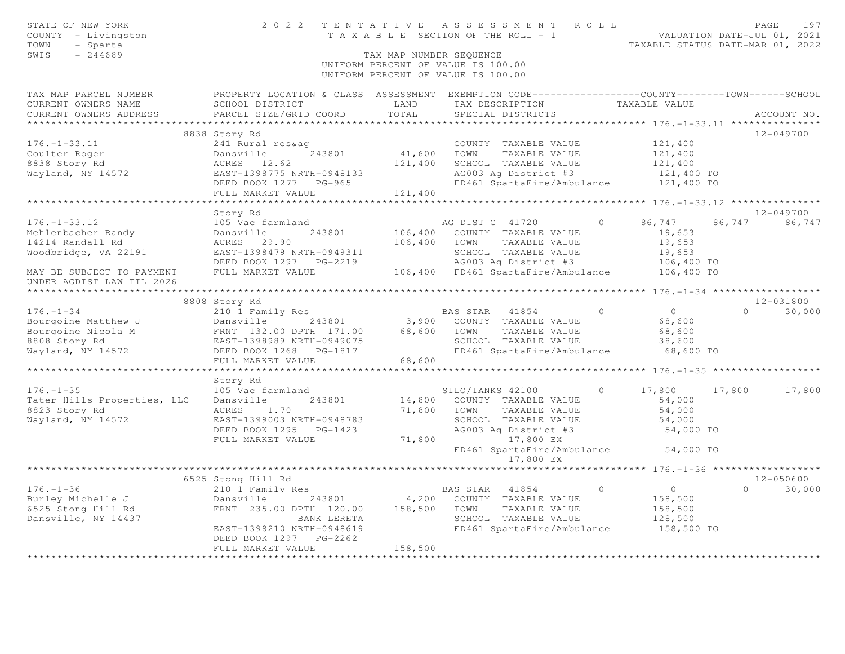|                                                                                                                                                     |                                                                                                                                                                                                      |                                       |                                                                                                                                                                                                                                                                                                                                                                                                                                                               | PAGE<br>197<br>TAXABLE STATUS DATE-MAR 01, 2022                                                                                                                                                                                                                                                                                                                                                                                                                                                                                                                                                                                                                                                                                                                                                                                                                                                         |
|-----------------------------------------------------------------------------------------------------------------------------------------------------|------------------------------------------------------------------------------------------------------------------------------------------------------------------------------------------------------|---------------------------------------|---------------------------------------------------------------------------------------------------------------------------------------------------------------------------------------------------------------------------------------------------------------------------------------------------------------------------------------------------------------------------------------------------------------------------------------------------------------|---------------------------------------------------------------------------------------------------------------------------------------------------------------------------------------------------------------------------------------------------------------------------------------------------------------------------------------------------------------------------------------------------------------------------------------------------------------------------------------------------------------------------------------------------------------------------------------------------------------------------------------------------------------------------------------------------------------------------------------------------------------------------------------------------------------------------------------------------------------------------------------------------------|
| SCHOOL DISTRICT<br>PARCEL SIZE/GRID COORD                                                                                                           | LAND<br>TOTAL                                                                                                                                                                                        | TAX DESCRIPTION<br>SPECIAL DISTRICTS  |                                                                                                                                                                                                                                                                                                                                                                                                                                                               | ACCOUNT NO.                                                                                                                                                                                                                                                                                                                                                                                                                                                                                                                                                                                                                                                                                                                                                                                                                                                                                             |
|                                                                                                                                                     |                                                                                                                                                                                                      |                                       |                                                                                                                                                                                                                                                                                                                                                                                                                                                               |                                                                                                                                                                                                                                                                                                                                                                                                                                                                                                                                                                                                                                                                                                                                                                                                                                                                                                         |
|                                                                                                                                                     |                                                                                                                                                                                                      |                                       |                                                                                                                                                                                                                                                                                                                                                                                                                                                               | 12-049700                                                                                                                                                                                                                                                                                                                                                                                                                                                                                                                                                                                                                                                                                                                                                                                                                                                                                               |
| 243801<br>EAST-1398775 NRTH-0948133                                                                                                                 |                                                                                                                                                                                                      | TAXABLE VALUE                         | 121,400<br>121,400                                                                                                                                                                                                                                                                                                                                                                                                                                            |                                                                                                                                                                                                                                                                                                                                                                                                                                                                                                                                                                                                                                                                                                                                                                                                                                                                                                         |
|                                                                                                                                                     |                                                                                                                                                                                                      |                                       |                                                                                                                                                                                                                                                                                                                                                                                                                                                               |                                                                                                                                                                                                                                                                                                                                                                                                                                                                                                                                                                                                                                                                                                                                                                                                                                                                                                         |
| ************************                                                                                                                            |                                                                                                                                                                                                      |                                       |                                                                                                                                                                                                                                                                                                                                                                                                                                                               |                                                                                                                                                                                                                                                                                                                                                                                                                                                                                                                                                                                                                                                                                                                                                                                                                                                                                                         |
| Story Rd                                                                                                                                            |                                                                                                                                                                                                      |                                       |                                                                                                                                                                                                                                                                                                                                                                                                                                                               | 12-049700                                                                                                                                                                                                                                                                                                                                                                                                                                                                                                                                                                                                                                                                                                                                                                                                                                                                                               |
| 105 Vac farmland<br>243801<br>Dansville<br>ACRES 29.90<br>EAST-1398479 NRTH-0949311                                                                 |                                                                                                                                                                                                      | AG DIST C 41720<br>TAXABLE VALUE      | 19,653<br>19,653<br>19,653                                                                                                                                                                                                                                                                                                                                                                                                                                    | 86, 747 86, 747 86, 747                                                                                                                                                                                                                                                                                                                                                                                                                                                                                                                                                                                                                                                                                                                                                                                                                                                                                 |
|                                                                                                                                                     |                                                                                                                                                                                                      |                                       |                                                                                                                                                                                                                                                                                                                                                                                                                                                               |                                                                                                                                                                                                                                                                                                                                                                                                                                                                                                                                                                                                                                                                                                                                                                                                                                                                                                         |
|                                                                                                                                                     |                                                                                                                                                                                                      |                                       |                                                                                                                                                                                                                                                                                                                                                                                                                                                               |                                                                                                                                                                                                                                                                                                                                                                                                                                                                                                                                                                                                                                                                                                                                                                                                                                                                                                         |
|                                                                                                                                                     |                                                                                                                                                                                                      |                                       |                                                                                                                                                                                                                                                                                                                                                                                                                                                               |                                                                                                                                                                                                                                                                                                                                                                                                                                                                                                                                                                                                                                                                                                                                                                                                                                                                                                         |
| 8808 Story Rd                                                                                                                                       |                                                                                                                                                                                                      |                                       |                                                                                                                                                                                                                                                                                                                                                                                                                                                               | 12-031800                                                                                                                                                                                                                                                                                                                                                                                                                                                                                                                                                                                                                                                                                                                                                                                                                                                                                               |
|                                                                                                                                                     |                                                                                                                                                                                                      |                                       | $\overline{0}$                                                                                                                                                                                                                                                                                                                                                                                                                                                | 30,000<br>$\Omega$                                                                                                                                                                                                                                                                                                                                                                                                                                                                                                                                                                                                                                                                                                                                                                                                                                                                                      |
|                                                                                                                                                     |                                                                                                                                                                                                      | TAXABLE VALUE                         | 68,600<br>38,600                                                                                                                                                                                                                                                                                                                                                                                                                                              |                                                                                                                                                                                                                                                                                                                                                                                                                                                                                                                                                                                                                                                                                                                                                                                                                                                                                                         |
| FULL MARKET VALUE                                                                                                                                   |                                                                                                                                                                                                      |                                       |                                                                                                                                                                                                                                                                                                                                                                                                                                                               |                                                                                                                                                                                                                                                                                                                                                                                                                                                                                                                                                                                                                                                                                                                                                                                                                                                                                                         |
|                                                                                                                                                     |                                                                                                                                                                                                      |                                       |                                                                                                                                                                                                                                                                                                                                                                                                                                                               |                                                                                                                                                                                                                                                                                                                                                                                                                                                                                                                                                                                                                                                                                                                                                                                                                                                                                                         |
| Story Rd<br>105 Vac farmland                                                                                                                        |                                                                                                                                                                                                      | SILO/TANKS 42100                      | 17,800                                                                                                                                                                                                                                                                                                                                                                                                                                                        | 17,800<br>17,800                                                                                                                                                                                                                                                                                                                                                                                                                                                                                                                                                                                                                                                                                                                                                                                                                                                                                        |
| ACRES 1.70<br>EAST-1399003 NRTH-0948783<br>DEED BOOK 1295 PG-1423<br>FULL MARKET VALUE                                                              |                                                                                                                                                                                                      | TAXABLE VALUE<br>SCHOOL TAXABLE VALUE | 54,000<br>54,000                                                                                                                                                                                                                                                                                                                                                                                                                                              |                                                                                                                                                                                                                                                                                                                                                                                                                                                                                                                                                                                                                                                                                                                                                                                                                                                                                                         |
|                                                                                                                                                     |                                                                                                                                                                                                      |                                       |                                                                                                                                                                                                                                                                                                                                                                                                                                                               |                                                                                                                                                                                                                                                                                                                                                                                                                                                                                                                                                                                                                                                                                                                                                                                                                                                                                                         |
|                                                                                                                                                     |                                                                                                                                                                                                      |                                       |                                                                                                                                                                                                                                                                                                                                                                                                                                                               | 12-050600                                                                                                                                                                                                                                                                                                                                                                                                                                                                                                                                                                                                                                                                                                                                                                                                                                                                                               |
| 210 1 Family Res<br>Dansville<br>FRNT 235.00 DPTH 120.00<br>BANK LERETA<br>EAST-1398210 NRTH-0948619<br>DEED BOOK 1297 PG-2262<br>FULL MARKET VALUE | 158,500                                                                                                                                                                                              | TAXABLE VALUE<br>SCHOOL TAXABLE VALUE | $\overline{0}$<br>158,500<br>158,500<br>128,500                                                                                                                                                                                                                                                                                                                                                                                                               | $0 \t 30,000$                                                                                                                                                                                                                                                                                                                                                                                                                                                                                                                                                                                                                                                                                                                                                                                                                                                                                           |
|                                                                                                                                                     | 8838 Story Rd<br>241 Rural res&ag<br>DEED BOOK 1277 PG-965<br>FULL MARKET VALUE<br>FULL MARKET VALUE<br>210 1 Family Res<br>Tater Hills Properties, LLC<br>Dansville<br>243801<br>6525 Stong Hill Rd |                                       | TAX MAP NUMBER SEQUENCE<br>UNIFORM PERCENT OF VALUE IS 100.00<br>UNIFORM PERCENT OF VALUE IS 100.00<br>COUNTY TAXABLE VALUE<br>41,600 TOWN<br>121,400 SCHOOL TAXABLE VALUE<br>121,400<br>**********************<br>106,400 COUNTY TAXABLE VALUE<br>106,400 TOWN<br>3,900 COUNTY TAXABLE VALUE<br>68,600<br>14,800 COUNTY TAXABLE VALUE<br>71,800 TOWN<br>71,800 17,800 EX<br>17,800 EX<br>BAS STAR 41854<br>243801 4,200 COUNTY TAXABLE VALUE<br>158,500 TOWN | 2022 TENTATIVE ASSESSMENT ROLL<br>T A X A B L E SECTION OF THE ROLL - 1 VALUATION DATE-JUL 01, 2021<br>TAXABLE STATUS DATE-MAR 01. 2022<br>TAX MAP PARCEL NUMBER THE PROPERTY LOCATION & CLASS ASSESSMENT EXEMPTION CODE---------------COUNTY--------TOWN------SCHOOL<br>TAXABLE VALUE<br>121,400<br>AG003 Ag District #3<br>121,400 TO<br>FD461 SpartaFire/Ambulance<br>121,400 TO<br>********************** 176. -1-33. 12 ***************<br>$\Omega$<br>SCHOOL TAXABLE VALUE<br>AG003 Ag District #3<br>106,400 TO<br>106,400 FD461 SpartaFire/Ambulance 106,400 TO<br>BAS STAR 41854 0<br>68,600<br>SCHOOL TAXABLE VALUE<br>FD461 SpartaFire/Ambulance<br>68,600 TO<br>$\circ$<br>54,000<br>SCHOOL INTERNATION #3<br>AG003 Ag District #3<br>54,000 TO<br>FD461 SpartaFire/Ambulance 54,000 TO<br>********* 176.-1-36 ********************<br>$\Omega$<br>FD461 SpartaFire/Ambulance<br>158,500 TO |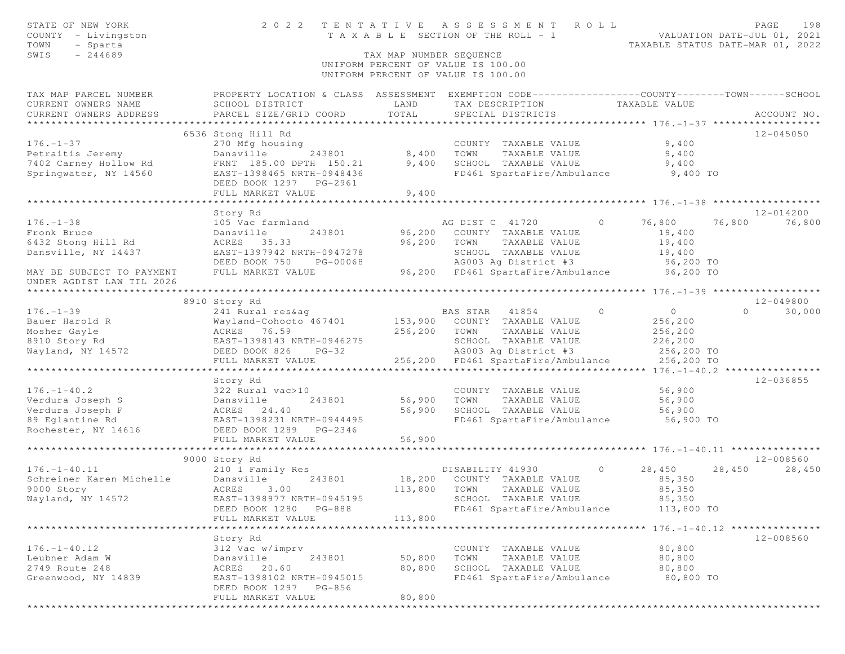| STATE OF NEW YORK<br>COUNTY - Livingston<br>TOWN<br>- Sparta<br>$-244689$<br>SWIS                        |                                                                                  | TAX MAP NUMBER SEQUENCE | 2022 TENTATIVE ASSESSMENT ROLL<br>T A X A B L E SECTION OF THE ROLL - 1                         |                          | PAGE<br>198<br>VALUATION DATE-JUL 01, 2021<br>TAXABLE STATUS DATE-MAR 01, 2022 |
|----------------------------------------------------------------------------------------------------------|----------------------------------------------------------------------------------|-------------------------|-------------------------------------------------------------------------------------------------|--------------------------|--------------------------------------------------------------------------------|
|                                                                                                          |                                                                                  |                         | UNIFORM PERCENT OF VALUE IS 100.00<br>UNIFORM PERCENT OF VALUE IS 100.00                        |                          |                                                                                |
| TAX MAP PARCEL NUMBER                                                                                    |                                                                                  |                         | PROPERTY LOCATION & CLASS ASSESSMENT EXEMPTION CODE----------------COUNTY-------TOWN-----SCHOOL |                          |                                                                                |
| CURRENT OWNERS NAME                                                                                      | SCHOOL DISTRICT                                                                  | LAND                    | TAX DESCRIPTION TAXABLE VALUE                                                                   |                          |                                                                                |
| CURRENT OWNERS ADDRESS                                                                                   | PARCEL SIZE/GRID COORD                                                           | TOTAL                   | SPECIAL DISTRICTS                                                                               |                          | ACCOUNT NO.                                                                    |
|                                                                                                          |                                                                                  |                         |                                                                                                 |                          |                                                                                |
| $176. - 1 - 37$                                                                                          | 6536 Stong Hill Rd                                                               |                         | COUNTY TAXABLE VALUE                                                                            |                          | 12-045050                                                                      |
|                                                                                                          | 270 Mfg housing<br>Dansville 243801 8,400 TOWN                                   |                         | TAXABLE VALUE                                                                                   | 9,400<br>9,400           |                                                                                |
| Petraitis Jeremy<br>7402 Carney Hollow Rd                                                                | FRNT 185.00 DPTH 150.21                                                          | 9,400                   | SCHOOL TAXABLE VALUE                                                                            | 9,400                    |                                                                                |
| Springwater, NY 14560                                                                                    | EAST-1398465 NRTH-0948436                                                        |                         | FD461 SpartaFire/Ambulance 9,400 TO                                                             |                          |                                                                                |
|                                                                                                          | DEED BOOK 1297 PG-2961<br>FULL MARKET VALUE                                      | 9,400                   |                                                                                                 |                          |                                                                                |
|                                                                                                          |                                                                                  |                         |                                                                                                 |                          |                                                                                |
|                                                                                                          | Story Rd                                                                         |                         |                                                                                                 |                          | 12-014200                                                                      |
| $176. - 1 - 38$                                                                                          | 105 Vac farmland                                                                 |                         | AG DIST C 41720<br>$\overline{0}$                                                               | 76,800                   | 76,800 76,800                                                                  |
| Fronk Bruce                                                                                              | Dansville<br>243801                                                              |                         | 96,200 COUNTY TAXABLE VALUE                                                                     | 19,400                   |                                                                                |
| 6432 Stong Hill Rd                                                                                       | ACRES 35.33                                                                      |                         | 96,200 TOWN<br>TAXABLE VALUE                                                                    | 19,400                   |                                                                                |
| Dansville, NY 14437                                                                                      | EAST-1397942 NRTH-0947278                                                        |                         | SCHOOL TAXABLE VALUE                                                                            | 19,400<br>96,200 TO      |                                                                                |
| MAY BE SUBJECT TO PAYMENT<br>UNDER AGDIST LAW TIL 2026                                                   | DEED BOOK 750 PG-00068<br>FULL MARKET VALUE                                      |                         | AG003 Ag District #3<br>96,200 FD461 SpartaFire/Ambulance 96,200 TO                             |                          |                                                                                |
|                                                                                                          |                                                                                  |                         |                                                                                                 |                          |                                                                                |
|                                                                                                          | 8910 Story Rd                                                                    |                         |                                                                                                 |                          | 12-049800                                                                      |
| $176. - 1 - 39$                                                                                          | 241 Rural res&ag                                                                 |                         | $\overline{0}$<br>BAS STAR 41854                                                                | $\overline{0}$           | $0 \qquad \qquad$<br>30,000                                                    |
| Bauer Harold R                                                                                           | Wayland-Cohocto 467401 153,900 COUNTY TAXABLE VALUE                              |                         |                                                                                                 | $256, 200$<br>$256, 200$ |                                                                                |
| Mosher Gayle                                                                                             | ACRES 76.59                                                                      | 256,200                 | TOWN<br>TAXABLE VALUE                                                                           |                          |                                                                                |
| 8910 Story Rd                                                                                            | EAST-1398143 NRTH-0946275                                                        |                         | SCHOOL TAXABLE VALUE                                                                            | 226,200                  |                                                                                |
| Wayland, NY 14572                                                                                        | DEED BOOK 826 PG-32                                                              |                         | AG003 Ag District #3                                                                            | 256,200 TO               |                                                                                |
|                                                                                                          | FULL MARKET VALUE                                                                |                         | 256,200 FD461 SpartaFire/Ambulance                                                              | 256,200 TO               |                                                                                |
|                                                                                                          | Story Rd                                                                         |                         |                                                                                                 |                          | 12-036855                                                                      |
| $176. - 1 - 40.2$                                                                                        |                                                                                  |                         | COUNTY TAXABLE VALUE                                                                            | 56,900                   |                                                                                |
| Verdura Joseph S                                                                                         |                                                                                  | 56,900                  | TOWN<br>TAXABLE VALUE                                                                           | 56,900                   |                                                                                |
| Verdura Joseph F                                                                                         |                                                                                  | 56,900                  | SCHOOL TAXABLE VALUE                                                                            | 56,900                   |                                                                                |
| 89 Eglantine Rd                                                                                          | 322 Rural vac>10<br>Dansville 243801<br>ACRES 24.40<br>EAST-1398231 NRTH-0944495 |                         | FD461 SpartaFire/Ambulance 56,900 TO                                                            |                          |                                                                                |
| Rochester, NY 14616                                                                                      | DEED BOOK 1289 PG-2346                                                           |                         |                                                                                                 |                          |                                                                                |
|                                                                                                          | FULL MARKET VALUE                                                                | 56,900                  |                                                                                                 |                          |                                                                                |
|                                                                                                          |                                                                                  |                         |                                                                                                 |                          |                                                                                |
|                                                                                                          | 9000 Story Rd                                                                    |                         | $\overline{0}$                                                                                  |                          | 12-008560<br>28,450                                                            |
|                                                                                                          | 210 1 Family Res<br>243801                                                       |                         | DISABILITY 41930<br>18,200 COUNTY TAXABLE VALUE                                                 | 28,450<br>85,350         | 28,450                                                                         |
| 176.-1-40.11 210 1 Fami<br>Schreiner Karen Michelle Dansville<br>9000 Story ACRES 3<br>Merchand W. 14572 | 3.00                                                                             | 113,800 TOWN            | TAXABLE VALUE                                                                                   | 85,350                   |                                                                                |
| Wayland, NY 14572                                                                                        | EAST-1398977 NRTH-0945195 SCHOOL TAXABLE VALUE                                   |                         |                                                                                                 | 85,350                   |                                                                                |
|                                                                                                          | DEED BOOK 1280 PG-888                                                            |                         | FD461 SpartaFire/Ambulance                                                                      | 113,800 TO               |                                                                                |
|                                                                                                          | FULL MARKET VALUE                                                                | 113,800                 |                                                                                                 |                          |                                                                                |
|                                                                                                          |                                                                                  |                         |                                                                                                 |                          |                                                                                |
|                                                                                                          | Story Rd                                                                         |                         |                                                                                                 |                          | 12-008560                                                                      |
| $176. - 1 - 40.12$                                                                                       | 312 Vac w/imprv                                                                  |                         | COUNTY TAXABLE VALUE                                                                            | 80,800                   |                                                                                |
| Leubner Adam W                                                                                           | Dansville<br>243801                                                              | 50,800                  | TOWN<br>TAXABLE VALUE                                                                           | 80,800                   |                                                                                |
| 2749 Route 248                                                                                           | 20.60<br>ACRES                                                                   | 80,800                  | SCHOOL TAXABLE VALUE                                                                            | 80,800                   |                                                                                |
| Greenwood, NY 14839                                                                                      | EAST-1398102 NRTH-0945015                                                        |                         | FD461 SpartaFire/Ambulance                                                                      | 80,800 TO                |                                                                                |
|                                                                                                          | DEED BOOK 1297 PG-856                                                            | 80,800                  |                                                                                                 |                          |                                                                                |
|                                                                                                          | FULL MARKET VALUE                                                                |                         |                                                                                                 |                          |                                                                                |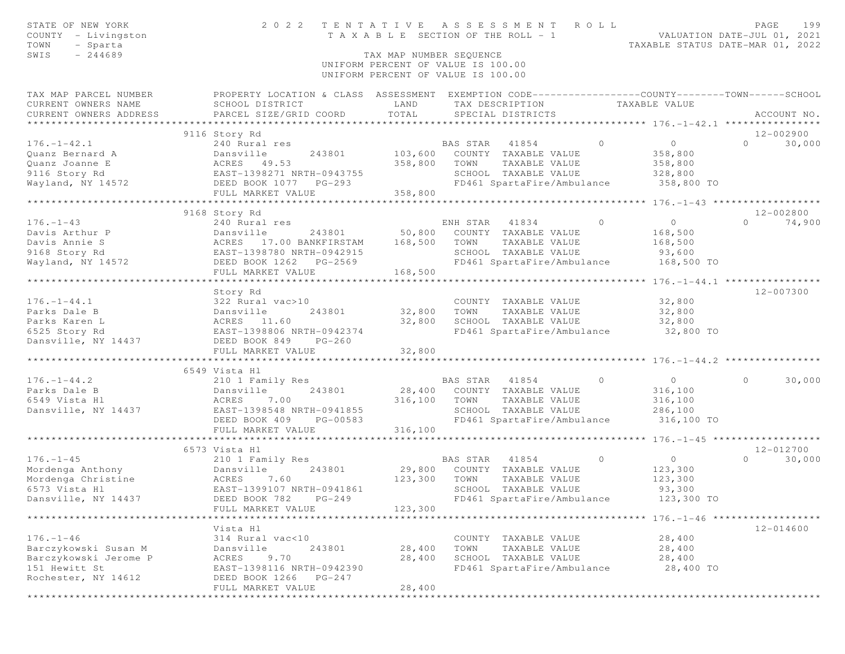| STATE OF NEW YORK<br>COUNTY - Livingston<br>TOWN<br>- Sparta      | 2 0 2 2                                                                                          | TENTATIVE<br>T A X A B L E SECTION OF THE ROLL - 1 |          | A S S E S S M E N T        | ROLL           | VALUATION DATE-JUL 01, 2021<br>TAXABLE STATUS DATE-MAR 01, 2022 | PAGE     | 199           |
|-------------------------------------------------------------------|--------------------------------------------------------------------------------------------------|----------------------------------------------------|----------|----------------------------|----------------|-----------------------------------------------------------------|----------|---------------|
| SWIS<br>$-244689$                                                 |                                                                                                  | TAX MAP NUMBER SEQUENCE                            |          |                            |                |                                                                 |          |               |
|                                                                   |                                                                                                  | UNIFORM PERCENT OF VALUE IS 100.00                 |          |                            |                |                                                                 |          |               |
|                                                                   |                                                                                                  | UNIFORM PERCENT OF VALUE IS 100.00                 |          |                            |                |                                                                 |          |               |
| TAX MAP PARCEL NUMBER                                             | PROPERTY LOCATION & CLASS ASSESSMENT EXEMPTION CODE----------------COUNTY--------TOWN-----SCHOOL |                                                    |          |                            |                |                                                                 |          |               |
| CURRENT OWNERS NAME                                               | SCHOOL DISTRICT                                                                                  | LAND                                               |          | TAX DESCRIPTION            |                | TAXABLE VALUE                                                   |          |               |
| CURRENT OWNERS ADDRESS                                            | PARCEL SIZE/GRID COORD                                                                           | TOTAL                                              |          | SPECIAL DISTRICTS          |                |                                                                 |          | ACCOUNT NO.   |
| ***********************                                           |                                                                                                  |                                                    |          |                            |                |                                                                 |          |               |
|                                                                   | 9116 Story Rd                                                                                    |                                                    |          |                            |                |                                                                 |          | 12-002900     |
| $176. - 1 - 42.1$                                                 | 240 Rural res                                                                                    |                                                    | BAS STAR | 41854                      | $\Omega$       | $\overline{0}$                                                  | $\Omega$ | 30,000        |
| Quanz Bernard A                                                   | Dansville<br>243801                                                                              | 103,600                                            |          | COUNTY TAXABLE VALUE       |                | 358,800                                                         |          |               |
| Quanz Joanne E                                                    | ACRES 49.53                                                                                      | 358,800                                            | TOWN     | TAXABLE VALUE              |                | 358,800                                                         |          |               |
| 9116 Story Rd<br>Wayland, NY 14572                                | EAST-1398271 NRTH-0943755<br>----<br>DEED BOOK 1077 PG-293                                       |                                                    |          | SCHOOL TAXABLE VALUE       |                | 328,800                                                         |          |               |
|                                                                   | FULL MARKET VALUE                                                                                | 358,800                                            |          | FD461 SpartaFire/Ambulance |                | 358,800 TO                                                      |          |               |
|                                                                   |                                                                                                  |                                                    |          |                            |                |                                                                 |          |               |
|                                                                   | 9168 Story Rd                                                                                    |                                                    |          |                            |                |                                                                 |          | 12-002800     |
| $176. - 1 - 43$                                                   | 240 Rural res                                                                                    |                                                    | ENH STAR | 41834                      | $\circ$        | $\circ$                                                         | $\Omega$ | 74,900        |
| Davis Arthur P                                                    | Dansville<br>243801                                                                              | 50,800                                             |          | COUNTY TAXABLE VALUE       |                | 168,500                                                         |          |               |
| Davis Annie S                                                     | ACRES 17.00 BANKFIRSTAM                                                                          | 168,500                                            | TOWN     | TAXABLE VALUE              |                | 168,500                                                         |          |               |
| 9168 Story Rd                                                     | EAST-1398780 NRTH-0942915                                                                        |                                                    |          | SCHOOL TAXABLE VALUE       |                | 93,600                                                          |          |               |
| Wayland, NY 14572                                                 | DEED BOOK 1262 PG-2569                                                                           |                                                    |          | FD461 SpartaFire/Ambulance |                | 168,500 TO                                                      |          |               |
|                                                                   | FULL MARKET VALUE                                                                                | 168,500                                            |          |                            |                |                                                                 |          |               |
|                                                                   |                                                                                                  |                                                    |          |                            |                |                                                                 |          |               |
|                                                                   | Story Rd                                                                                         |                                                    |          |                            |                |                                                                 |          | 12-007300     |
| $176. - 1 - 44.1$                                                 | 322 Rural vac>10                                                                                 |                                                    |          | COUNTY TAXABLE VALUE       |                | 32,800                                                          |          |               |
| Parks Dale B                                                      | Dansville<br>243801                                                                              | 32,800                                             | TOWN     | TAXABLE VALUE              |                | 32,800                                                          |          |               |
| Parks Karen L                                                     | ACRES 11.60                                                                                      | 32,800                                             |          | SCHOOL TAXABLE VALUE       |                | 32,800                                                          |          |               |
| 6525 Story Rd                                                     | EAST-1398806 NRTH-0942374                                                                        |                                                    |          | FD461 SpartaFire/Ambulance |                | 32,800 TO                                                       |          |               |
| Dansville, NY 14437                                               | DEED BOOK 849<br>$PG-260$                                                                        |                                                    |          |                            |                |                                                                 |          |               |
|                                                                   | FULL MARKET VALUE                                                                                | 32,800                                             |          |                            |                |                                                                 |          |               |
|                                                                   |                                                                                                  |                                                    |          |                            |                | ********************* 176. -1-44.2 **************               |          |               |
|                                                                   | 6549 Vista Hl                                                                                    |                                                    |          |                            |                |                                                                 |          |               |
| $176. - 1 - 44.2$                                                 | 210 1 Family Res                                                                                 |                                                    | BAS STAR | 41854                      | $\overline{0}$ | $\overline{0}$                                                  | $\circ$  | 30,000        |
| Parks Dale B                                                      | 243801<br>Dansville                                                                              | 28,400                                             |          | COUNTY TAXABLE VALUE       |                | 316,100                                                         |          |               |
| 6549 Vista Hl                                                     | ACRES<br>7.00                                                                                    | 316,100                                            | TOWN     | TAXABLE VALUE              |                | 316,100                                                         |          |               |
| Dansville, NY 14437                                               | EAST-1398548 NRTH-0941855                                                                        |                                                    |          | SCHOOL TAXABLE VALUE       |                | 286,100                                                         |          |               |
|                                                                   | DEED BOOK 409<br>PG-00583                                                                        |                                                    |          | FD461 SpartaFire/Ambulance |                | 316,100 TO                                                      |          |               |
|                                                                   | FULL MARKET VALUE                                                                                | 316,100                                            |          |                            |                |                                                                 |          |               |
|                                                                   | *****************************                                                                    |                                                    |          |                            |                |                                                                 |          |               |
|                                                                   | 6573 Vista Hl                                                                                    |                                                    |          |                            |                |                                                                 |          | $12 - 012700$ |
| $176. - 1 - 45$                                                   | 210 1 Family Res                                                                                 |                                                    | BAS STAR | 41854                      | $\overline{0}$ | $\circ$                                                         | $\Omega$ | 30,000        |
| Nordenga Anthony<br>Mordenga Christine<br>6573 Vista Hl<br>EAST-1 | 243801<br>Dansville                                                                              | 29,800                                             |          | COUNTY TAXABLE VALUE       |                | 123,300                                                         |          |               |
|                                                                   | 7.60                                                                                             | 123,300                                            | TOWN     | TAXABLE VALUE              |                | 123,300                                                         |          |               |
|                                                                   | EAST-1399107 NRTH-0941861                                                                        |                                                    |          | SCHOOL TAXABLE VALUE       |                | 93,300                                                          |          |               |
| Dansville, NY 14437                                               | DEED BOOK 782 PG-249                                                                             |                                                    |          | FD461 SpartaFire/Ambulance |                | 123,300 TO                                                      |          |               |
|                                                                   | FULL MARKET VALUE                                                                                | 123,300                                            |          |                            |                |                                                                 |          |               |
|                                                                   |                                                                                                  |                                                    |          |                            |                |                                                                 |          |               |
|                                                                   | Vista Hl                                                                                         |                                                    |          |                            |                |                                                                 |          | 12-014600     |
| $176. - 1 - 46$                                                   | 314 Rural vac<10                                                                                 |                                                    |          | COUNTY TAXABLE VALUE       |                | 28,400                                                          |          |               |
| Barczykowski Susan M                                              | Dansville<br>243801                                                                              | 28,400                                             | TOWN     | TAXABLE VALUE              |                | 28,400                                                          |          |               |
| Barczykowski Jerome P                                             | 9.70<br>ACRES                                                                                    | 28,400                                             |          | SCHOOL TAXABLE VALUE       |                | 28,400                                                          |          |               |
| 151 Hewitt St                                                     | EAST-1398116 NRTH-0942390                                                                        |                                                    |          | FD461 SpartaFire/Ambulance |                | 28,400 TO                                                       |          |               |
| Rochester, NY 14612                                               | DEED BOOK 1266<br>$PG-247$                                                                       |                                                    |          |                            |                |                                                                 |          |               |
|                                                                   | FULL MARKET VALUE                                                                                | 28,400                                             |          |                            |                |                                                                 |          |               |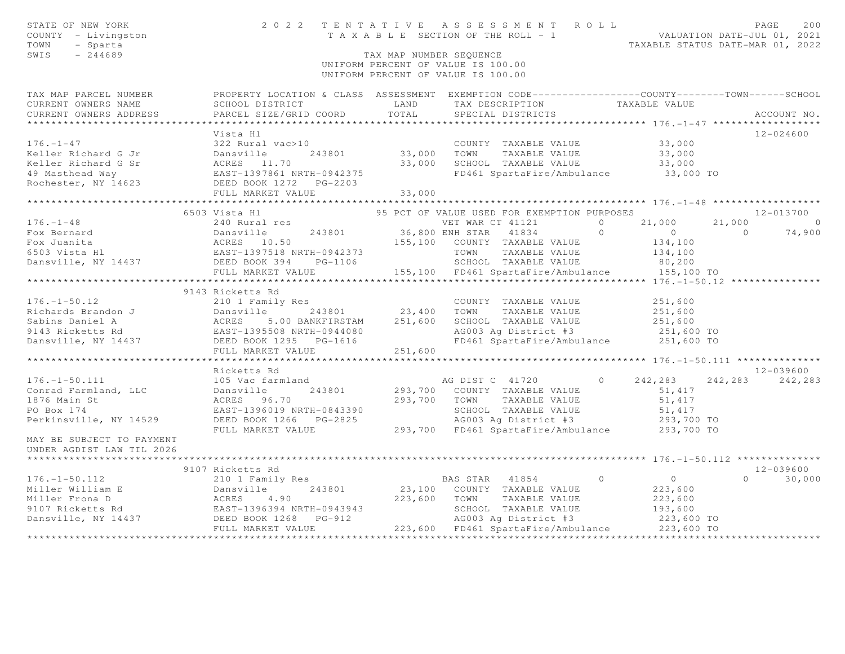| STATE OF NEW YORK<br>COUNTY - Livingston<br>TOWN<br>- Sparta<br>SWIS<br>$-244689$                                                                                                                                                                                                                                                                                                    |                                                                                                                                                           | TAX MAP NUMBER SEQUENCE | TENTATIVE ASSESSMENT ROLL PAGE 200<br>TAXABLE SECTION OF THE ROLL - 1 VALUATION DATE-JUL 01, 2021<br>TAXABLE STATUS DATE-MAR 01, 2022<br>2022 TENTATIVE ASSESSMENT ROLL<br>UNIFORM PERCENT OF VALUE IS 100.00<br>UNIFORM PERCENT OF VALUE IS 100.00 |                                  |                   |               |
|--------------------------------------------------------------------------------------------------------------------------------------------------------------------------------------------------------------------------------------------------------------------------------------------------------------------------------------------------------------------------------------|-----------------------------------------------------------------------------------------------------------------------------------------------------------|-------------------------|-----------------------------------------------------------------------------------------------------------------------------------------------------------------------------------------------------------------------------------------------------|----------------------------------|-------------------|---------------|
| TAX MAP PARCEL NUMBER<br>CURRENT OWNERS NAME<br>CURRENT OWNERS ADDRESS                                                                                                                                                                                                                                                                                                               | PROPERTY LOCATION & CLASS ASSESSMENT EXEMPTION CODE----------------COUNTY-------TOWN-----SCHOOL<br>SCHOOL DISTRICT<br>PARCEL SIZE/GRID COORD              | LAND<br>TOTAL           | TAX DESCRIPTION<br>SPECIAL DISTRICTS                                                                                                                                                                                                                | TAXABLE VALUE                    |                   | ACCOUNT NO.   |
|                                                                                                                                                                                                                                                                                                                                                                                      |                                                                                                                                                           |                         |                                                                                                                                                                                                                                                     |                                  |                   |               |
|                                                                                                                                                                                                                                                                                                                                                                                      | Vista Hl                                                                                                                                                  |                         |                                                                                                                                                                                                                                                     |                                  |                   | $12 - 024600$ |
| $176. - 1 - 47$<br>Keller Richard G Jr                                                                                                                                                                                                                                                                                                                                               | 322 Rural vac>10<br>Jr Dansville 243801 33,000<br>Sr ACRES 11.70 33,000<br>EAST-1397861 NRTH-0942375<br>DEED BOOK 1272 PG-2203<br>THE MARKET VALUE 33,000 | 33,000 TOWN             | COUNTY TAXABLE VALUE<br>TAXABLE VALUE                                                                                                                                                                                                               | 33,000<br>33,000                 |                   |               |
| Keller Richard G Sr                                                                                                                                                                                                                                                                                                                                                                  |                                                                                                                                                           |                         | 33,000 SCHOOL TAXABLE VALUE                                                                                                                                                                                                                         | 33,000                           |                   |               |
| 49 Masthead Way                                                                                                                                                                                                                                                                                                                                                                      |                                                                                                                                                           |                         | FD461 SpartaFire/Ambulance 33,000 TO                                                                                                                                                                                                                |                                  |                   |               |
| Rochester, NY 14623                                                                                                                                                                                                                                                                                                                                                                  |                                                                                                                                                           |                         |                                                                                                                                                                                                                                                     |                                  |                   |               |
|                                                                                                                                                                                                                                                                                                                                                                                      |                                                                                                                                                           | 33,000                  |                                                                                                                                                                                                                                                     |                                  |                   |               |
|                                                                                                                                                                                                                                                                                                                                                                                      | ****************************                                                                                                                              |                         |                                                                                                                                                                                                                                                     |                                  |                   |               |
|                                                                                                                                                                                                                                                                                                                                                                                      | 6503 Vista Hl                                                                                                                                             |                         | 95 PCT OF VALUE USED FOR EXEMPTION PURPOSES                                                                                                                                                                                                         |                                  |                   | 12-013700     |
| $\begin{tabular}{lllllllllllll} 176.-1-48 & 240 {\rm \; Rural\; res} \\ {\rm \, Fox\; \, Bernard} & {\rm \, Dansville} & 243801 \\ {\rm \, Fox\; \, Juanita} & {\rm \,ACRES} & 10.50 \\ {\rm \, 6503\; \, Vista\; \, H1} & {\rm \, EAST-1397518\; \, NTH-0942373 \\ {\rm \, Dansville\; \, NY\; \, 14437} & {\rm \, DEED\; \, BOOK\; \, 394 & \rm \, PG-1106 \\ {\rm \, FULL\; \, M$ |                                                                                                                                                           |                         | VET WAR CT 41121                                                                                                                                                                                                                                    | $\circ$<br>21,000                | 21,000            | $\bigcirc$    |
|                                                                                                                                                                                                                                                                                                                                                                                      |                                                                                                                                                           |                         | 36,800 ENH STAR 41834                                                                                                                                                                                                                               | $\overline{0}$<br>$\sim$ 0       | $\overline{0}$    | 74,900        |
|                                                                                                                                                                                                                                                                                                                                                                                      |                                                                                                                                                           |                         | 155,100 COUNTY TAXABLE VALUE                                                                                                                                                                                                                        | 134,100                          |                   |               |
|                                                                                                                                                                                                                                                                                                                                                                                      |                                                                                                                                                           |                         | TOWN TAXABLE VALUE                                                                                                                                                                                                                                  | 134,100                          |                   |               |
|                                                                                                                                                                                                                                                                                                                                                                                      |                                                                                                                                                           |                         | SCHOOL TAXABLE VALUE                                                                                                                                                                                                                                | 80,200                           |                   |               |
|                                                                                                                                                                                                                                                                                                                                                                                      | ********************************                                                                                                                          |                         | 155,100 FD461 SpartaFire/Ambulance 155,100 TO                                                                                                                                                                                                       |                                  |                   |               |
|                                                                                                                                                                                                                                                                                                                                                                                      | 9143 Ricketts Rd                                                                                                                                          |                         |                                                                                                                                                                                                                                                     |                                  |                   |               |
| $176. - 1 - 50.12$                                                                                                                                                                                                                                                                                                                                                                   | 210 1 Family Res                                                                                                                                          |                         | COUNTY TAXABLE VALUE                                                                                                                                                                                                                                | 251,600                          |                   |               |
|                                                                                                                                                                                                                                                                                                                                                                                      | Dansville 243801 23,400 TOWN TAXABLE VALUE                                                                                                                |                         |                                                                                                                                                                                                                                                     | 251,600                          |                   |               |
|                                                                                                                                                                                                                                                                                                                                                                                      |                                                                                                                                                           | 251,600                 | SCHOOL TAXABLE VALUE                                                                                                                                                                                                                                | 251,600                          |                   |               |
|                                                                                                                                                                                                                                                                                                                                                                                      |                                                                                                                                                           |                         | AG003 Ag District #3                                                                                                                                                                                                                                | 251,600 TO                       |                   |               |
| Fichards Brandon J<br>Sabins Daniel A<br>9143 Ricketts Rd<br>Dansville 243801<br>9143 Ricketts Rd<br>Dansville, NY 14437<br>2006 1295 PG-1616<br>2007 1295 PG-1616<br>2008 1295 PG-1616                                                                                                                                                                                              |                                                                                                                                                           |                         | FD461 SpartaFire/Ambulance 251,600 TO                                                                                                                                                                                                               |                                  |                   |               |
|                                                                                                                                                                                                                                                                                                                                                                                      | FULL MARKET VALUE                                                                                                                                         | 251,600                 |                                                                                                                                                                                                                                                     |                                  |                   |               |
|                                                                                                                                                                                                                                                                                                                                                                                      |                                                                                                                                                           |                         |                                                                                                                                                                                                                                                     |                                  |                   |               |
|                                                                                                                                                                                                                                                                                                                                                                                      | Ricketts Rd                                                                                                                                               |                         |                                                                                                                                                                                                                                                     |                                  |                   | 12-039600     |
| $176. - 1 - 50.111$                                                                                                                                                                                                                                                                                                                                                                  | 105 Vac farmland                                                                                                                                          |                         | AG DIST C 41720                                                                                                                                                                                                                                     | $\circ$<br>242,283               | 242, 283 242, 283 |               |
| Conrad Farmland, LLC                                                                                                                                                                                                                                                                                                                                                                 | 105 Vac farmla<br>Dansville<br>ACRES 96.70<br>243801                                                                                                      |                         | 293,700 COUNTY TAXABLE VALUE                                                                                                                                                                                                                        | 51, 417                          |                   |               |
| 1876 Main St                                                                                                                                                                                                                                                                                                                                                                         |                                                                                                                                                           |                         | 293,700 TOWN TAXABLE VALUE                                                                                                                                                                                                                          | 51,417                           |                   |               |
| PO Box 174                                                                                                                                                                                                                                                                                                                                                                           | EAST-1396019 NRTH-0843390                                                                                                                                 |                         | SCHOOL TAXABLE VALUE<br>AGOO3 Ag District #3                                                                                                                                                                                                        | 51,417<br>293,700 TO             |                   |               |
| Perkinsville, NY 14529                                                                                                                                                                                                                                                                                                                                                               |                                                                                                                                                           |                         |                                                                                                                                                                                                                                                     |                                  |                   |               |
|                                                                                                                                                                                                                                                                                                                                                                                      | FULL MARKET VALUE                                                                                                                                         |                         | 293,700 FD461 SpartaFire/Ambulance 293,700 TO                                                                                                                                                                                                       |                                  |                   |               |
| MAY BE SUBJECT TO PAYMENT                                                                                                                                                                                                                                                                                                                                                            |                                                                                                                                                           |                         |                                                                                                                                                                                                                                                     |                                  |                   |               |
| UNDER AGDIST LAW TIL 2026<br>*********************                                                                                                                                                                                                                                                                                                                                   |                                                                                                                                                           |                         |                                                                                                                                                                                                                                                     |                                  |                   |               |
|                                                                                                                                                                                                                                                                                                                                                                                      | 9107 Ricketts Rd                                                                                                                                          |                         |                                                                                                                                                                                                                                                     |                                  |                   | 12-039600     |
| $176. - 1 - 50.112$                                                                                                                                                                                                                                                                                                                                                                  | 210 1 Family Res                                                                                                                                          |                         | BAS STAR 41854                                                                                                                                                                                                                                      | $\overline{0}$<br>$\overline{0}$ | $\Omega$          | 30,000        |
|                                                                                                                                                                                                                                                                                                                                                                                      |                                                                                                                                                           |                         | 23,100 COUNTY TAXABLE VALUE                                                                                                                                                                                                                         | 223,600                          |                   |               |
| VOIDER NILLE NILLE NILLE ENGINE ENTIREMENT PRINTS AND ACRES<br>Miller Frona D<br>9107 Ricketts Rd<br>Dansville, NY 14437 BEED BOOK 1268 PG-912<br>FULL MARKET VALUE                                                                                                                                                                                                                  |                                                                                                                                                           |                         | 223,600 TOWN<br>TAXABLE VALUE                                                                                                                                                                                                                       | 223,600                          |                   |               |
|                                                                                                                                                                                                                                                                                                                                                                                      |                                                                                                                                                           |                         | SCHOOL TAXABLE VALUE                                                                                                                                                                                                                                | 193,600                          |                   |               |
|                                                                                                                                                                                                                                                                                                                                                                                      |                                                                                                                                                           |                         | AG003 Ag District #3                                                                                                                                                                                                                                | 223,600 TO                       |                   |               |
|                                                                                                                                                                                                                                                                                                                                                                                      | FULL MARKET VALUE                                                                                                                                         |                         | 223,600 FD461 SpartaFire/Ambulance                                                                                                                                                                                                                  | 223,600 TO                       |                   |               |
|                                                                                                                                                                                                                                                                                                                                                                                      |                                                                                                                                                           |                         |                                                                                                                                                                                                                                                     |                                  |                   |               |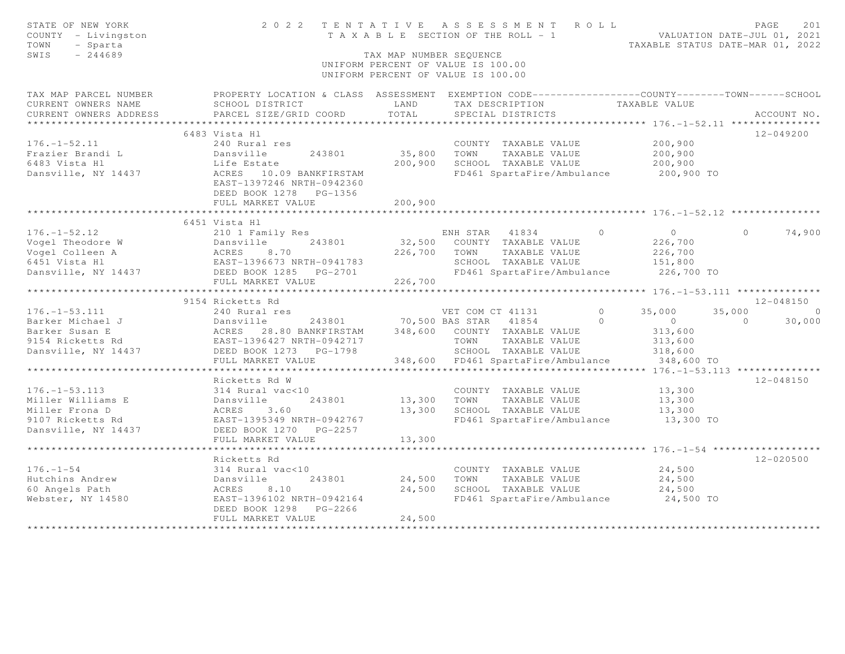| STATE OF NEW YORK<br>COUNTY - Livingston<br>TOWN<br>- Sparta<br>SWIS<br>$-244689$ |                                                                                                   | 2022 TENTATIVE ASSESSMENT ROLL<br>PAGE<br>VALUATION DATE-JUL 01, 2021<br>T A X A B L E SECTION OF THE ROLL - 1<br>TAXABLE STATUS DATE-MAR 01, 2022<br>TAX MAP NUMBER SEOUENCE<br>UNIFORM PERCENT OF VALUE IS 100.00<br>UNIFORM PERCENT OF VALUE IS 100.00 |                                                             |                           |                    |  |  |
|-----------------------------------------------------------------------------------|---------------------------------------------------------------------------------------------------|-----------------------------------------------------------------------------------------------------------------------------------------------------------------------------------------------------------------------------------------------------------|-------------------------------------------------------------|---------------------------|--------------------|--|--|
| TAX MAP PARCEL NUMBER                                                             | PROPERTY LOCATION & CLASS ASSESSMENT EXEMPTION CODE-----------------COUNTY-------TOWN------SCHOOL |                                                                                                                                                                                                                                                           |                                                             |                           |                    |  |  |
| CURRENT OWNERS NAME                                                               | SCHOOL DISTRICT                                                                                   | LAND                                                                                                                                                                                                                                                      | TAX DESCRIPTION                                             | TAXABLE VALUE             |                    |  |  |
| CURRENT OWNERS ADDRESS                                                            | PARCEL SIZE/GRID COORD                                                                            | TOTAL                                                                                                                                                                                                                                                     | SPECIAL DISTRICTS                                           |                           | ACCOUNT NO.        |  |  |
| ************************                                                          |                                                                                                   |                                                                                                                                                                                                                                                           |                                                             |                           |                    |  |  |
|                                                                                   | 6483 Vista Hl                                                                                     |                                                                                                                                                                                                                                                           |                                                             |                           | $12 - 049200$      |  |  |
| $176. - 1 - 52.11$                                                                | 240 Rural res                                                                                     |                                                                                                                                                                                                                                                           | COUNTY TAXABLE VALUE                                        | 200,900                   |                    |  |  |
| Frazier Brandi L                                                                  | Dansville<br>243801                                                                               | 35,800                                                                                                                                                                                                                                                    | TOWN<br>TAXABLE VALUE                                       | 200,900                   |                    |  |  |
| 6483 Vista Hl                                                                     | Life Estate                                                                                       | 200,900                                                                                                                                                                                                                                                   | SCHOOL TAXABLE VALUE                                        | 200,900                   |                    |  |  |
| Dansville, NY 14437                                                               | ACRES 10.09 BANKFIRSTAM<br>EAST-1397246 NRTH-0942360<br>DEED BOOK 1278 PG-1356                    |                                                                                                                                                                                                                                                           | FD461 SpartaFire/Ambulance                                  | 200,900 TO                |                    |  |  |
|                                                                                   | FULL MARKET VALUE<br>*********************                                                        | 200,900<br>****************                                                                                                                                                                                                                               |                                                             |                           |                    |  |  |
|                                                                                   |                                                                                                   |                                                                                                                                                                                                                                                           | *********************************** 176.-1-52.12 ********** |                           |                    |  |  |
|                                                                                   | 6451 Vista Hl                                                                                     |                                                                                                                                                                                                                                                           |                                                             | $\Omega$                  | $\Omega$           |  |  |
| $176. - 1 - 52.12$<br>Vogel Theodore W                                            | 210 1 Family Res<br>Dansville<br>243801                                                           |                                                                                                                                                                                                                                                           | ENH STAR 41834<br>32,500 COUNTY TAXABLE VALUE               | $\overline{0}$<br>226,700 | 74,900             |  |  |
|                                                                                   |                                                                                                   |                                                                                                                                                                                                                                                           |                                                             |                           |                    |  |  |
| Vogel Colleen A                                                                   | ACRES<br>8.70                                                                                     | 226,700                                                                                                                                                                                                                                                   | TOWN<br>TAXABLE VALUE                                       | 226,700                   |                    |  |  |
| 6451 Vista Hl                                                                     | EAST-1396673 NRTH-0941783                                                                         |                                                                                                                                                                                                                                                           | SCHOOL TAXABLE VALUE                                        | 151,800                   |                    |  |  |
| Dansville, NY 14437                                                               | DEED BOOK 1285 PG-2701                                                                            |                                                                                                                                                                                                                                                           | FD461 SpartaFire/Ambulance                                  | 226,700 TO                |                    |  |  |
|                                                                                   | FULL MARKET VALUE<br>***********************                                                      | 226,700                                                                                                                                                                                                                                                   |                                                             |                           |                    |  |  |
|                                                                                   | 9154 Ricketts Rd                                                                                  |                                                                                                                                                                                                                                                           |                                                             |                           | $12 - 048150$      |  |  |
| $176. - 1 - 53.111$                                                               | 240 Rural res                                                                                     |                                                                                                                                                                                                                                                           | VET COM CT 41131                                            | $\circ$<br>35,000         | 35,000<br>$\Omega$ |  |  |
| Barker Michael J                                                                  | Dansville                                                                                         | 243801 70,500 BAS STAR                                                                                                                                                                                                                                    | 41854                                                       | $\Omega$<br>$\circ$       | $\Omega$<br>30,000 |  |  |
| Barker Susan E                                                                    | ACRES 28.80 BANKFIRSTAM                                                                           |                                                                                                                                                                                                                                                           | 348,600 COUNTY TAXABLE VALUE                                | 313,600                   |                    |  |  |
| 9154 Ricketts Rd                                                                  | EAST-1396427 NRTH-0942717                                                                         |                                                                                                                                                                                                                                                           | TOWN<br>TAXABLE VALUE                                       | 313,600                   |                    |  |  |
| Dansville, NY 14437                                                               | DEED BOOK 1273 PG-1798                                                                            |                                                                                                                                                                                                                                                           | SCHOOL TAXABLE VALUE                                        | 318,600                   |                    |  |  |
|                                                                                   | FULL MARKET VALUE                                                                                 | 348,600                                                                                                                                                                                                                                                   | FD461 SpartaFire/Ambulance                                  | 348,600 TO                |                    |  |  |
|                                                                                   |                                                                                                   |                                                                                                                                                                                                                                                           |                                                             |                           |                    |  |  |
|                                                                                   | Ricketts Rd W                                                                                     |                                                                                                                                                                                                                                                           |                                                             |                           | $12 - 048150$      |  |  |
| $176. - 1 - 53.113$                                                               | 314 Rural vac<10                                                                                  |                                                                                                                                                                                                                                                           | COUNTY TAXABLE VALUE                                        | 13,300                    |                    |  |  |
| Miller Williams E                                                                 | Dansville<br>243801                                                                               | 13,300                                                                                                                                                                                                                                                    | TOWN<br>TAXABLE VALUE                                       | 13,300                    |                    |  |  |
| Miller Frona D                                                                    | ACRES<br>3.60                                                                                     | 13,300                                                                                                                                                                                                                                                    | SCHOOL TAXABLE VALUE                                        | 13,300                    |                    |  |  |
| 9107 Ricketts Rd                                                                  | EAST-1395349 NRTH-0942767                                                                         |                                                                                                                                                                                                                                                           | FD461 SpartaFire/Ambulance                                  | 13,300 TO                 |                    |  |  |
| Dansville, NY 14437                                                               | DEED BOOK 1270 PG-2257                                                                            |                                                                                                                                                                                                                                                           |                                                             |                           |                    |  |  |
|                                                                                   | FULL MARKET VALUE                                                                                 | 13,300                                                                                                                                                                                                                                                    |                                                             |                           |                    |  |  |
|                                                                                   | ***********************                                                                           | * * * * * * * * * * * * *                                                                                                                                                                                                                                 |                                                             |                           |                    |  |  |
|                                                                                   | Ricketts Rd                                                                                       |                                                                                                                                                                                                                                                           |                                                             |                           | $12 - 020500$      |  |  |
| $176. - 1 - 54$                                                                   | 314 Rural vac<10                                                                                  |                                                                                                                                                                                                                                                           | COUNTY TAXABLE VALUE                                        | 24,500                    |                    |  |  |
| Hutchins Andrew                                                                   | 243801<br>Dansville                                                                               | 24,500                                                                                                                                                                                                                                                    | TOWN<br>TAXABLE VALUE                                       | 24,500                    |                    |  |  |
| 60 Angels Path                                                                    | ACRES<br>8.10                                                                                     | 24,500                                                                                                                                                                                                                                                    | SCHOOL TAXABLE VALUE                                        | 24,500                    |                    |  |  |
| Webster, NY 14580                                                                 | EAST-1396102 NRTH-0942164                                                                         |                                                                                                                                                                                                                                                           | FD461 SpartaFire/Ambulance                                  | 24,500 TO                 |                    |  |  |
|                                                                                   | DEED BOOK 1298<br>PG-2266                                                                         |                                                                                                                                                                                                                                                           |                                                             |                           |                    |  |  |
|                                                                                   | FULL MARKET VALUE                                                                                 | 24,500                                                                                                                                                                                                                                                    |                                                             |                           |                    |  |  |
|                                                                                   | **************************                                                                        |                                                                                                                                                                                                                                                           |                                                             |                           |                    |  |  |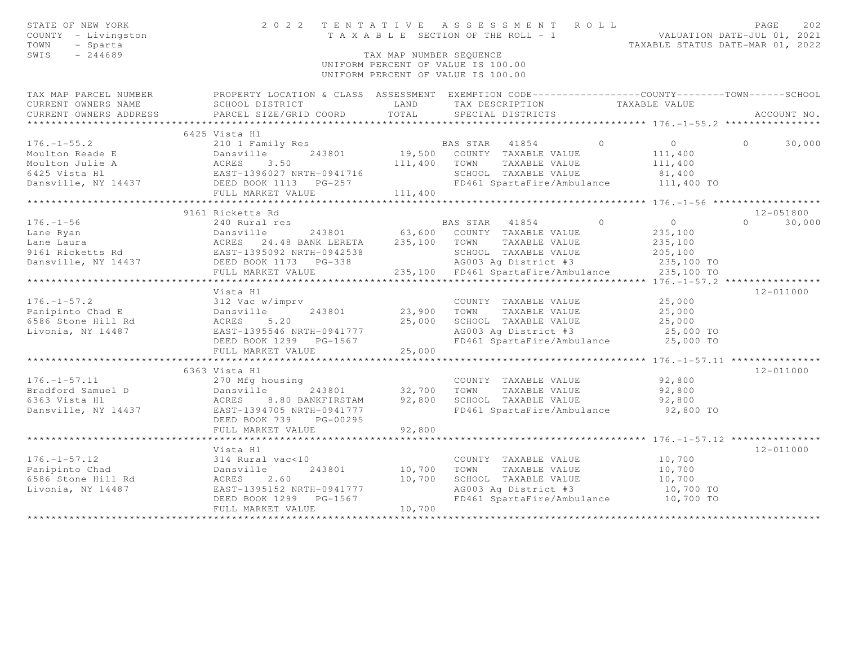| STATE OF NEW YORK<br>COUNTY - Livingston<br>TOWN<br>- Sparta<br>SWIS<br>$-244689$ | 2 0 2 2                                                                                          | TAX MAP NUMBER SEQUENCE | TENTATIVE ASSESSMENT ROLL<br>T A X A B L E SECTION OF THE ROLL - 1<br>UNIFORM PERCENT OF VALUE IS 100.00<br>UNIFORM PERCENT OF VALUE IS 100.00 |          | VALUATION DATE-JUL 01, 2021<br>TAXABLE STATUS DATE-MAR 01, 2022 | PAGE     | 202           |
|-----------------------------------------------------------------------------------|--------------------------------------------------------------------------------------------------|-------------------------|------------------------------------------------------------------------------------------------------------------------------------------------|----------|-----------------------------------------------------------------|----------|---------------|
| TAX MAP PARCEL NUMBER                                                             | PROPERTY LOCATION & CLASS ASSESSMENT EXEMPTION CODE----------------COUNTY-------TOWN------SCHOOL |                         |                                                                                                                                                |          |                                                                 |          |               |
| CURRENT OWNERS NAME                                                               | SCHOOL DISTRICT                                                                                  | LAND                    | TAX DESCRIPTION                                                                                                                                |          | TAXABLE VALUE                                                   |          |               |
| CURRENT OWNERS ADDRESS                                                            | PARCEL SIZE/GRID COORD                                                                           | TOTAL                   | SPECIAL DISTRICTS                                                                                                                              |          |                                                                 |          | ACCOUNT NO.   |
|                                                                                   |                                                                                                  |                         |                                                                                                                                                |          |                                                                 |          |               |
|                                                                                   | 6425 Vista Hl                                                                                    |                         |                                                                                                                                                |          |                                                                 |          |               |
| $176. - 1 - 55.2$                                                                 | 210 1 Family Res                                                                                 |                         | BAS STAR 41854                                                                                                                                 | $\circ$  | $\overline{0}$                                                  | $\Omega$ | 30,000        |
| Moulton Reade E                                                                   | 243801<br>Dansville                                                                              |                         | 19,500 COUNTY TAXABLE VALUE                                                                                                                    |          | 111,400                                                         |          |               |
| Moulton Julie A                                                                   | 3.50<br>ACRES                                                                                    | 111,400                 | TOWN<br>TAXABLE VALUE                                                                                                                          |          | 111,400                                                         |          |               |
| 6425 Vista Hl                                                                     | EAST-1396027 NRTH-0941716                                                                        |                         | SCHOOL TAXABLE VALUE                                                                                                                           |          | 81,400                                                          |          |               |
| Dansville, NY 14437                                                               | DEED BOOK 1113 PG-257                                                                            |                         | FD461 SpartaFire/Ambulance                                                                                                                     |          | 111,400 TO                                                      |          |               |
|                                                                                   | FULL MARKET VALUE                                                                                | 111,400                 |                                                                                                                                                |          |                                                                 |          |               |
|                                                                                   | 9161 Ricketts Rd                                                                                 |                         |                                                                                                                                                |          |                                                                 |          | $12 - 051800$ |
| $176. - 1 - 56$                                                                   | 240 Rural res                                                                                    |                         | BAS STAR<br>41854                                                                                                                              | $\Omega$ | $\circ$                                                         | $\cap$   | 30,000        |
| Lane Ryan                                                                         | Dansville<br>243801                                                                              | 63,600                  | COUNTY TAXABLE VALUE                                                                                                                           |          | 235,100                                                         |          |               |
| Lane Laura                                                                        | 24.48 BANK LERETA<br>ACRES                                                                       | 235,100                 | TAXABLE VALUE<br>TOWN                                                                                                                          |          | 235,100                                                         |          |               |
| 9161 Ricketts Rd                                                                  | EAST-1395092 NRTH-0942538                                                                        |                         | SCHOOL TAXABLE VALUE                                                                                                                           |          | 205,100                                                         |          |               |
| Dansville, NY 14437                                                               | DEED BOOK 1173 PG-338                                                                            |                         | AG003 Ag District #3                                                                                                                           |          | 235,100 TO                                                      |          |               |
|                                                                                   | FULL MARKET VALUE                                                                                | 235,100                 | FD461 SpartaFire/Ambulance                                                                                                                     |          | 235,100 TO                                                      |          |               |
|                                                                                   | ************************                                                                         |                         | ********************************* 176.-1-57.2 ****************                                                                                 |          |                                                                 |          |               |
|                                                                                   | Vista Hl                                                                                         |                         |                                                                                                                                                |          |                                                                 |          | 12-011000     |
| $176. - 1 - 57.2$                                                                 | 312 Vac w/imprv                                                                                  |                         | COUNTY TAXABLE VALUE                                                                                                                           |          | 25,000                                                          |          |               |
| Panipinto Chad E                                                                  | Dansville<br>243801                                                                              | 23,900                  | TOWN<br>TAXABLE VALUE                                                                                                                          |          | 25,000                                                          |          |               |
| 6586 Stone Hill Rd                                                                | ACRES<br>5.20                                                                                    | 25,000                  | SCHOOL TAXABLE VALUE                                                                                                                           |          | 25,000                                                          |          |               |
| Livonia, NY 14487                                                                 | EAST-1395546 NRTH-0941777                                                                        |                         | AG003 Ag District #3                                                                                                                           |          | 25,000 TO                                                       |          |               |
|                                                                                   | DEED BOOK 1299 PG-1567                                                                           |                         | FD461 SpartaFire/Ambulance                                                                                                                     |          | 25,000 TO                                                       |          |               |
|                                                                                   | FULL MARKET VALUE                                                                                | 25,000                  |                                                                                                                                                |          |                                                                 |          |               |
|                                                                                   |                                                                                                  |                         |                                                                                                                                                |          |                                                                 |          |               |
|                                                                                   | 6363 Vista Hl                                                                                    |                         |                                                                                                                                                |          |                                                                 |          | $12 - 011000$ |
| $176. - 1 - 57.11$                                                                | 270 Mfg housing                                                                                  |                         | COUNTY TAXABLE VALUE                                                                                                                           |          | 92,800                                                          |          |               |
| Bradford Samuel D                                                                 | Dansville<br>243801                                                                              | 32,700                  | TOWN<br>TAXABLE VALUE                                                                                                                          |          | 92,800                                                          |          |               |
| 6363 Vista Hl                                                                     | ACRES<br>8.80 BANKFIRSTAM                                                                        | 92,800                  | SCHOOL TAXABLE VALUE                                                                                                                           |          | 92,800                                                          |          |               |
| Dansville, NY 14437                                                               | EAST-1394705 NRTH-0941777                                                                        |                         | FD461 SpartaFire/Ambulance                                                                                                                     |          | 92,800 TO                                                       |          |               |
|                                                                                   | DEED BOOK 739<br>PG-00295                                                                        |                         |                                                                                                                                                |          |                                                                 |          |               |
|                                                                                   | FULL MARKET VALUE                                                                                | 92,800                  |                                                                                                                                                |          |                                                                 |          |               |
|                                                                                   |                                                                                                  |                         |                                                                                                                                                |          |                                                                 |          | $12 - 011000$ |
|                                                                                   | Vista Hl                                                                                         |                         |                                                                                                                                                |          |                                                                 |          |               |
| $176. - 1 - 57.12$<br>Panipinto Chad                                              | 314 Rural vac<10<br>Dansville<br>243801                                                          | 10,700                  | COUNTY TAXABLE VALUE<br>TAXABLE VALUE<br>TOWN                                                                                                  |          | 10,700<br>10,700                                                |          |               |
| 6586 Stone Hill Rd                                                                | 2.60<br>ACRES                                                                                    | 10,700                  | SCHOOL TAXABLE VALUE                                                                                                                           |          | 10,700                                                          |          |               |
| Livonia, NY 14487                                                                 | EAST-1395152 NRTH-0941777                                                                        |                         | AG003 Ag District #3                                                                                                                           |          | 10,700 TO                                                       |          |               |
|                                                                                   | DEED BOOK 1299 PG-1567                                                                           |                         | FD461 SpartaFire/Ambulance                                                                                                                     |          | 10,700 TO                                                       |          |               |
|                                                                                   | FULL MARKET VALUE                                                                                | 10,700                  |                                                                                                                                                |          |                                                                 |          |               |
|                                                                                   |                                                                                                  |                         |                                                                                                                                                |          |                                                                 |          |               |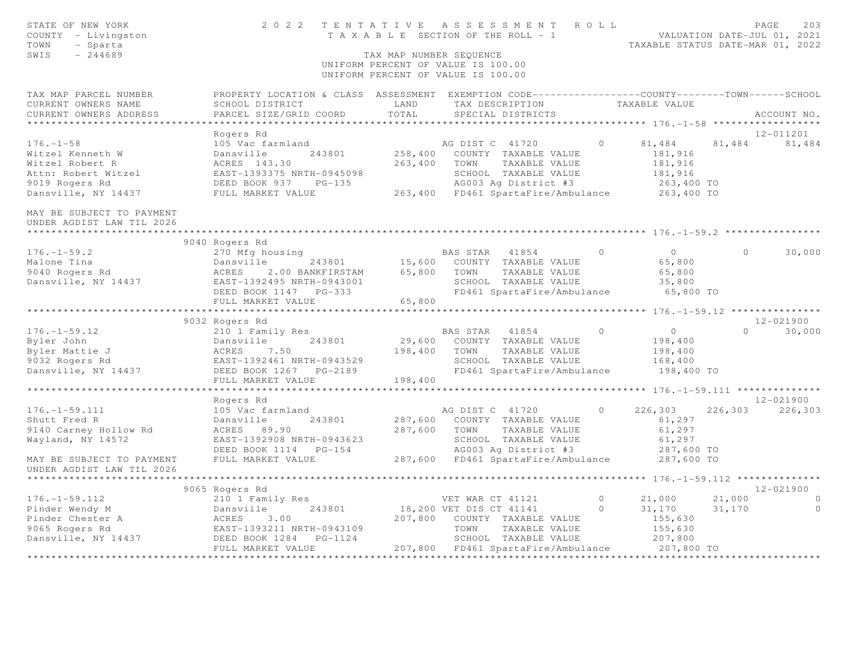| STATE OF NEW YORK<br>COUNTY - Livingston<br>TOWN<br>- Sparta<br>SWIS<br>$-244689$ |                                                                                                 | TAX MAP NUMBER SEQUENCE | 2022 TENTATIVE ASSESSMENT ROLL<br>T A X A B L E SECTION OF THE ROLL - 1<br>UNIFORM PERCENT OF VALUE IS 100.00<br>UNIFORM PERCENT OF VALUE IS 100.00 |         | VALUATION DATE-JUL 01, 2021<br>TAXABLE STATUS DATE-MAR 01, 2022 |                  | PAGE<br>203           |
|-----------------------------------------------------------------------------------|-------------------------------------------------------------------------------------------------|-------------------------|-----------------------------------------------------------------------------------------------------------------------------------------------------|---------|-----------------------------------------------------------------|------------------|-----------------------|
| TAX MAP PARCEL NUMBER                                                             | PROPERTY LOCATION & CLASS ASSESSMENT EXEMPTION CODE----------------COUNTY-------TOWN-----SCHOOL |                         |                                                                                                                                                     |         |                                                                 |                  |                       |
| CURRENT OWNERS NAME                                                               | SCHOOL DISTRICT                                                                                 | LAND                    | TAX DESCRIPTION                                                                                                                                     |         | TAXABLE VALUE                                                   |                  |                       |
| CURRENT OWNERS ADDRESS                                                            | PARCEL SIZE/GRID COORD                                                                          | TOTAL                   | SPECIAL DISTRICTS                                                                                                                                   |         |                                                                 |                  | ACCOUNT NO.           |
|                                                                                   |                                                                                                 |                         |                                                                                                                                                     |         |                                                                 |                  |                       |
| $176. - 1 - 58$                                                                   | Rogers Rd<br>105 Vac farmland                                                                   |                         | AG DIST C 41720                                                                                                                                     | $\circ$ | 81,484                                                          | 81,484           | 12-011201<br>81,484   |
| Witzel Kenneth W                                                                  | 243801<br>Dansville                                                                             | 258,400                 | COUNTY TAXABLE VALUE                                                                                                                                |         | 181,916                                                         |                  |                       |
| Witzel Robert R                                                                   | ACRES 143.30                                                                                    | 263,400                 | TOWN<br>TAXABLE VALUE                                                                                                                               |         | 181,916                                                         |                  |                       |
| Attn: Robert Witzel                                                               | EAST-1393375 NRTH-0945098                                                                       |                         | SCHOOL TAXABLE VALUE                                                                                                                                |         | 181,916                                                         |                  |                       |
| 9019 Rogers Rd                                                                    | DEED BOOK 937 PG-135                                                                            |                         | AG003 Ag District #3                                                                                                                                |         | 263,400 TO                                                      |                  |                       |
| Dansville, NY 14437                                                               | FULL MARKET VALUE                                                                               |                         | 263,400 FD461 SpartaFire/Ambulance 263,400 TO                                                                                                       |         |                                                                 |                  |                       |
| MAY BE SUBJECT TO PAYMENT<br>UNDER AGDIST LAW TIL 2026                            |                                                                                                 |                         |                                                                                                                                                     |         |                                                                 |                  |                       |
|                                                                                   | 9040 Rogers Rd                                                                                  |                         |                                                                                                                                                     |         |                                                                 |                  |                       |
| $176. - 1 - 59.2$                                                                 | 270 Mfg housing                                                                                 |                         | BAS STAR 41854                                                                                                                                      | $\circ$ | $\overline{0}$                                                  | $\circ$          | 30,000                |
| Malone Tina                                                                       | Dansville<br>243801                                                                             |                         | 15,600 COUNTY TAXABLE VALUE                                                                                                                         |         | 65,800                                                          |                  |                       |
| 9040 Rogers Rd                                                                    | ACRES<br>2.00 BANKFIRSTAM                                                                       | 65,800                  | TOWN<br>TAXABLE VALUE                                                                                                                               |         | 65,800                                                          |                  |                       |
| Dansville, NY 14437                                                               | EAST-1392495 NRTH-0943001                                                                       |                         | SCHOOL TAXABLE VALUE                                                                                                                                |         | 35,800                                                          |                  |                       |
|                                                                                   | DEED BOOK 1147 PG-333                                                                           |                         | FD461 SpartaFire/Ambulance                                                                                                                          |         | 65,800 TO                                                       |                  |                       |
|                                                                                   | FULL MARKET VALUE                                                                               | 65,800                  |                                                                                                                                                     |         |                                                                 |                  |                       |
|                                                                                   |                                                                                                 |                         |                                                                                                                                                     |         |                                                                 |                  |                       |
|                                                                                   | 9032 Rogers Rd                                                                                  |                         |                                                                                                                                                     |         |                                                                 |                  | 12-021900             |
| $176. - 1 - 59.12$                                                                | 210 1 Family Res                                                                                |                         | BAS STAR 41854                                                                                                                                      | $\circ$ | $\overline{0}$                                                  |                  | $\Omega$<br>30,000    |
| Byler John                                                                        | Dansville<br>243801                                                                             | 29,600                  | COUNTY TAXABLE VALUE                                                                                                                                |         | 198,400                                                         |                  |                       |
| Byler Mattie J                                                                    | 7.50<br>ACRES                                                                                   | 198,400                 | TOWN<br>TAXABLE VALUE                                                                                                                               |         | 198,400                                                         |                  |                       |
| 9032 Rogers Rd                                                                    | EAST-1392461 NRTH-0943529                                                                       |                         | SCHOOL TAXABLE VALUE                                                                                                                                |         | 168,400                                                         |                  |                       |
| Dansville, NY 14437                                                               | DEED BOOK 1267 PG-2189<br>FULL MARKET VALUE                                                     | 198,400                 | FD461 SpartaFire/Ambulance                                                                                                                          |         | 198,400 TO                                                      |                  |                       |
|                                                                                   | ************************                                                                        | *************           |                                                                                                                                                     |         | ********************** 176. -1-59.111 ***************           |                  |                       |
|                                                                                   | Rogers Rd                                                                                       |                         |                                                                                                                                                     |         |                                                                 |                  | 12-021900             |
| $176. - 1 - 59.111$                                                               | 105 Vac farmland                                                                                |                         | AG DIST C 41720                                                                                                                                     | $\circ$ | 226,303                                                         | 226,303          | 226,303               |
| Shutt Fred R                                                                      | 243801<br>Dansville                                                                             |                         | 287,600 COUNTY TAXABLE VALUE                                                                                                                        |         | 61,297                                                          |                  |                       |
| 9140 Carney Hollow Rd                                                             | ACRES 89.90                                                                                     | 287,600                 | TOWN<br>TAXABLE VALUE                                                                                                                               |         | 61,297                                                          |                  |                       |
| Wayland, NY 14572                                                                 | EAST-1392908 NRTH-0943623                                                                       |                         | SCHOOL TAXABLE VALUE                                                                                                                                |         | 61,297                                                          |                  |                       |
|                                                                                   | DEED BOOK 1114    PG-154                                                                        |                         | AG003 Ag District #3                                                                                                                                |         | 287,600 TO                                                      |                  |                       |
| MAY BE SUBJECT TO PAYMENT                                                         | FULL MARKET VALUE                                                                               |                         | 287,600 FD461 SpartaFire/Ambulance                                                                                                                  |         | 287,600 TO                                                      |                  |                       |
| UNDER AGDIST LAW TIL 2026                                                         |                                                                                                 |                         |                                                                                                                                                     |         |                                                                 |                  |                       |
|                                                                                   |                                                                                                 |                         |                                                                                                                                                     |         |                                                                 |                  |                       |
|                                                                                   | 9065 Rogers Rd                                                                                  |                         |                                                                                                                                                     | $\circ$ |                                                                 |                  | 12-021900<br>$\sim$ 0 |
| $176. - 1 - 59.112$                                                               | 210 1 Family Res<br>243801<br>Dansville                                                         |                         | VET WAR CT 41121<br>18,200 VET DIS CT 41141                                                                                                         | $\circ$ | 21,000<br>31,170                                                | 21,000<br>31,170 | $\overline{0}$        |
| Pinder Wendy M<br>Pinder Chester A                                                |                                                                                                 |                         | 207,800 COUNTY TAXABLE VALUE                                                                                                                        |         | 155,630                                                         |                  |                       |
| 9065 Rogers Rd                                                                    | ACRES 3.00<br>EAST-1393211 NRTH-0943109                                                         |                         | TOWN<br>TAXABLE VALUE                                                                                                                               |         | 155,630                                                         |                  |                       |
| Dansville, NY 14437                                                               | PG-1124<br>DEED BOOK 1284                                                                       |                         | SCHOOL TAXABLE VALUE                                                                                                                                |         | 207,800                                                         |                  |                       |
|                                                                                   | FULL MARKET VALUE                                                                               |                         | 207,800 FD461 SpartaFire/Ambulance 207,800 TO                                                                                                       |         |                                                                 |                  |                       |
|                                                                                   | ***********************                                                                         |                         |                                                                                                                                                     |         |                                                                 |                  |                       |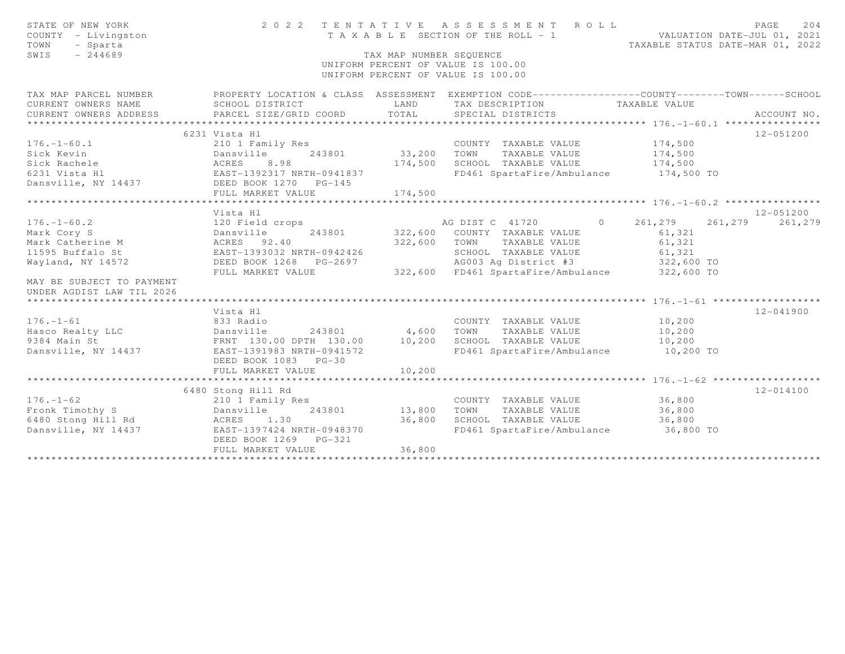| STATE OF NEW YORK<br>COUNTY - Livingston<br>TOWN<br>- Sparta<br>$-244689$<br>SWIS                                          | 2 0 2 2                                                                                                                                                | TAX MAP NUMBER SEQUENCE          | TENTATIVE ASSESSMENT ROLL<br>T A X A B L E SECTION OF THE ROLL - 1 WALUATION DATE-JUL 01, 2021<br>TAXABLE STATUS DATE-MAR 01, 2022<br>UNIFORM PERCENT OF VALUE IS 100.00<br>UNIFORM PERCENT OF VALUE IS 100.00 |                                                        | PAGE<br>204              |
|----------------------------------------------------------------------------------------------------------------------------|--------------------------------------------------------------------------------------------------------------------------------------------------------|----------------------------------|----------------------------------------------------------------------------------------------------------------------------------------------------------------------------------------------------------------|--------------------------------------------------------|--------------------------|
| TAX MAP PARCEL NUMBER<br>CURRENT OWNERS NAME<br>CURRENT OWNERS ADDRESS                                                     | PROPERTY LOCATION & CLASS ASSESSMENT EXEMPTION CODE----------------COUNTY--------TOWN-----SCHOOL<br>SCHOOL DISTRICT<br>PARCEL SIZE/GRID COORD          | LAND<br>TOTAL                    | TAX DESCRIPTION<br>SPECIAL DISTRICTS                                                                                                                                                                           | TAXABLE VALUE                                          | ACCOUNT NO.              |
|                                                                                                                            |                                                                                                                                                        |                                  |                                                                                                                                                                                                                |                                                        |                          |
| $176. - 1 - 60.1$<br>Sick Kevin<br>Sick Rachele<br>6231 Vista Hl<br>Dansville, NY 14437                                    | 6231 Vista Hl<br>210 1 Family Res<br>243801<br>Dansville<br>8.98<br>ACRES<br>EAST-1392317 NRTH-0941837<br>DEED BOOK 1270 PG-145<br>FULL MARKET VALUE   | 33,200<br>174,500<br>174,500     | COUNTY TAXABLE VALUE<br>TOWN<br>TAXABLE VALUE<br>SCHOOL TAXABLE VALUE<br>FD461 SpartaFire/Ambulance 174,500 TO                                                                                                 | 174,500<br>174,500<br>174,500                          | 12-051200                |
|                                                                                                                            | ***********************                                                                                                                                | ***********                      |                                                                                                                                                                                                                | *********************** 176.-1-60.2 ****************   |                          |
| $176. - 1 - 60.2$<br>Mark Cory S<br>Mark Catherine M<br>11595 Buffalo St<br>Wayland, NY 14572<br>MAY BE SUBJECT TO PAYMENT | Vista Hl<br>120 Field crops<br>Dansville<br>243801<br>ACRES 92.40<br>EAST-1393032 NRTH-0942426<br>DEED BOOK 1268 PG-2697<br>FULL MARKET VALUE          | 322,600<br>322,600               | AG DIST C 41720 0 261, 279 261, 279<br>COUNTY TAXABLE VALUE<br>TOWN TAXABLE VALUE<br>SCHOOL TAXABLE VALUE<br>AG003 Ag District #3<br>322,600 FD461 SpartaFire/Ambulance                                        | 61,321<br>61,321<br>61,321<br>322,600 TO<br>322,600 TO | $12 - 051200$<br>261,279 |
| UNDER AGDIST LAW TIL 2026                                                                                                  |                                                                                                                                                        |                                  |                                                                                                                                                                                                                |                                                        |                          |
| $176. - 1 - 61$<br>Hasco Realty LLC<br>9384 Main St<br>Dansville, NY 14437                                                 | Vista Hl<br>833 Radio<br>Dansville<br>FRNT 130.00 DPTH 130.00<br>EAST-1391983 NRTH-0941572<br>DEED BOOK 1083 PG-30<br>FULL MARKET VALUE                | 243801 4,600<br>10,200<br>10,200 | COUNTY TAXABLE VALUE<br>TOWN<br>TAXABLE VALUE<br>SCHOOL TAXABLE VALUE<br>FD461 SpartaFire/Ambulance 10,200 TO                                                                                                  | 10,200<br>10,200<br>10,200                             | 12-041900                |
|                                                                                                                            |                                                                                                                                                        |                                  |                                                                                                                                                                                                                |                                                        |                          |
| $176. - 1 - 62$<br>Fronk Timothy S<br>6480 Stong Hill Rd<br>Dansville, NY 14437                                            | 6480 Stong Hill Rd<br>210 1 Family Res<br>243801<br>Dansville<br>ACRES 1.30<br>EAST-1397424 NRTH-0948370<br>DEED BOOK 1269 PG-321<br>FULL MARKET VALUE | 13,800<br>36,800<br>36,800       | COUNTY TAXABLE VALUE<br>TOWN<br>TAXABLE VALUE<br>SCHOOL TAXABLE VALUE<br>FD461 SpartaFire/Ambulance                                                                                                            | 36,800<br>36,800<br>36,800<br>36,800 TO                | $12 - 014100$            |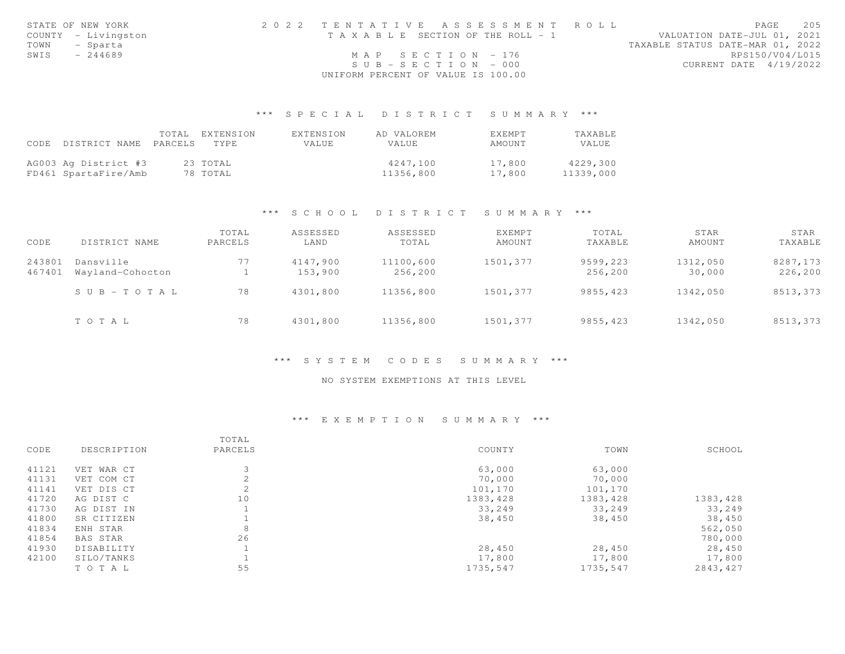|      | STATE OF NEW YORK   | 2022 TENTATIVE ASSESSMENT ROLL        | 205<br>PAGE                      |
|------|---------------------|---------------------------------------|----------------------------------|
|      | COUNTY - Livingston | T A X A B L E SECTION OF THE ROLL - 1 | VALUATION DATE-JUL 01, 2021      |
| TOWN | - Sparta            |                                       | TAXABLE STATUS DATE-MAR 01, 2022 |
| SWIS | $-244689$           | MAP SECTION $-176$                    | RPS150/V04/L015                  |
|      |                     | $SUB - SECTION - 000$                 | CURRENT DATE 4/19/2022           |
|      |                     | UNIFORM PERCENT OF VALUE IS 100.00    |                                  |

|      |                      |         | TOTAL EXTENSION | EXTENSION | AD VALOREM   | <b>EXEMPT</b> | TAXABLE   |
|------|----------------------|---------|-----------------|-----------|--------------|---------------|-----------|
| CODE | DISTRICT NAME        | PARCELS | TYPE.           | VALUE     | <b>VALUE</b> | AMOUNT        | VALUE     |
|      |                      |         |                 |           |              |               |           |
|      | AG003 Ag District #3 |         | 23 TOTAL        |           | 4247.100     | 17,800        | 4229,300  |
|      | FD461 SpartaFire/Amb |         | 78 TOTAL        |           | 11356,800    | 17,800        | 11339,000 |

### \*\*\* S C H O O L D I S T R I C T S U M M A R Y \*\*\*

| CODE             | DISTRICT NAME                 | TOTAL<br>PARCELS | ASSESSED<br>LAND    | ASSESSED<br>TOTAL    | <b>EXEMPT</b><br>AMOUNT | TOTAL<br>TAXABLE    | STAR<br>AMOUNT     | STAR<br>TAXABLE     |
|------------------|-------------------------------|------------------|---------------------|----------------------|-------------------------|---------------------|--------------------|---------------------|
| 243801<br>467401 | Dansville<br>Wayland-Cohocton | 77               | 4147,900<br>153,900 | 11100,600<br>256,200 | 1501,377                | 9599,223<br>256,200 | 1312,050<br>30,000 | 8287,173<br>226,200 |
|                  | $S \cup B = T \cup T A L$     | 78               | 4301,800            | 11356,800            | 1501,377                | 9855,423            | 1342,050           | 8513,373            |
|                  | TOTAL                         | 78               | 4301,800            | 11356,800            | 1501,377                | 9855, 423           | 1342,050           | 8513,373            |

### \*\*\* S Y S T E M C O D E S S U M M A R Y \*\*\*

### NO SYSTEM EXEMPTIONS AT THIS LEVEL

### \*\*\* E X E M P T I O N S U M M A R Y \*\*\*

|       |             | TOTAL       |           |          |           |
|-------|-------------|-------------|-----------|----------|-----------|
| CODE  | DESCRIPTION | PARCELS     | COUNTY    | TOWN     | SCHOOL    |
| 41121 | VET WAR CT  |             | 63,000    | 63,000   |           |
| 41131 | VET COM CT  |             | 70,000    | 70,000   |           |
| 41141 | VET DIS CT  | $\sim$<br>∠ | 101,170   | 101,170  |           |
| 41720 | AG DIST C   | 10          | 1383, 428 | 1383,428 | 1383, 428 |
| 41730 | AG DIST IN  |             | 33,249    | 33,249   | 33,249    |
| 41800 | SR CITIZEN  |             | 38,450    | 38,450   | 38,450    |
| 41834 | ENH STAR    | 8           |           |          | 562,050   |
| 41854 | BAS STAR    | 26          |           |          | 780,000   |
| 41930 | DISABILITY  |             | 28,450    | 28,450   | 28,450    |
| 42100 | SILO/TANKS  |             | 17,800    | 17,800   | 17,800    |
|       | TO TAL      | 55          | 1735,547  | 1735,547 | 2843,427  |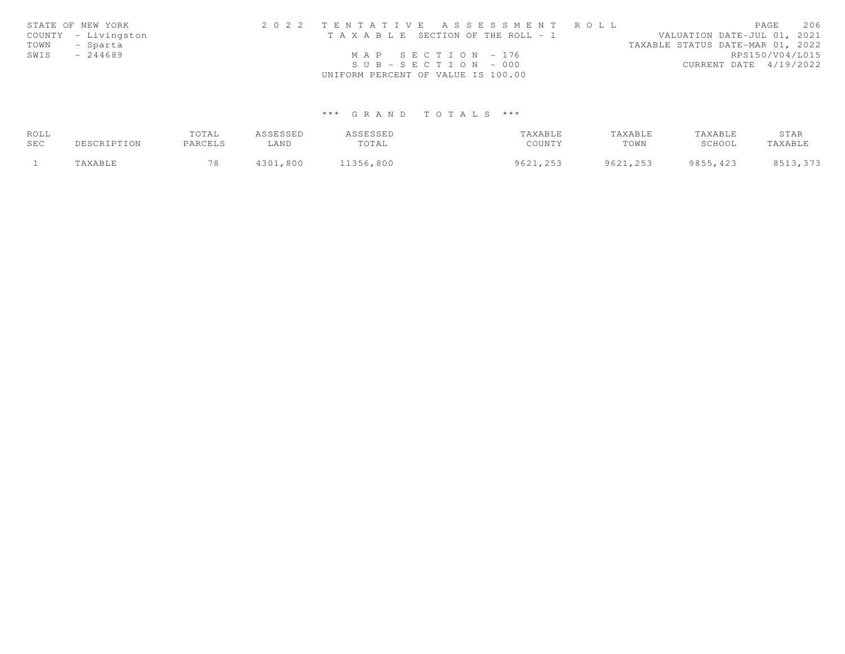|      | STATE OF NEW YORK   | 2022 TENTATIVE ASSESSMENT ROLL        | 206<br>PAGE                      |
|------|---------------------|---------------------------------------|----------------------------------|
|      | COUNTY - Livingston | T A X A B L E SECTION OF THE ROLL - 1 | VALUATION DATE-JUL 01, 2021      |
| TOWN | - Sparta            |                                       | TAXABLE STATUS DATE-MAR 01, 2022 |
| SWIS | $-244689$           | MAP SECTION - 176                     | RPS150/V04/L015                  |
|      |                     | $SUB - SECTION - 000$                 | CURRENT DATE 4/19/2022           |
|      |                     | UNIFORM PERCENT OF VALUE IS 100.00    |                                  |

| ROLL |             | TOTAL   | ASSESSED | ASSESSED  | TAXABLE  | TAXABLE  | TAXABLE   | STAR     |
|------|-------------|---------|----------|-----------|----------|----------|-----------|----------|
| SEC  | DESCRIPTION | PARCELS | ∟AND     | TOTAL     | COUNTY   | TOWN     | SCHOOL    | TAXABLE  |
|      | TAXABLE     | 78      | 4301,800 | 11356,800 | 9621,253 | 9621,253 | 9855, 423 | 8513,373 |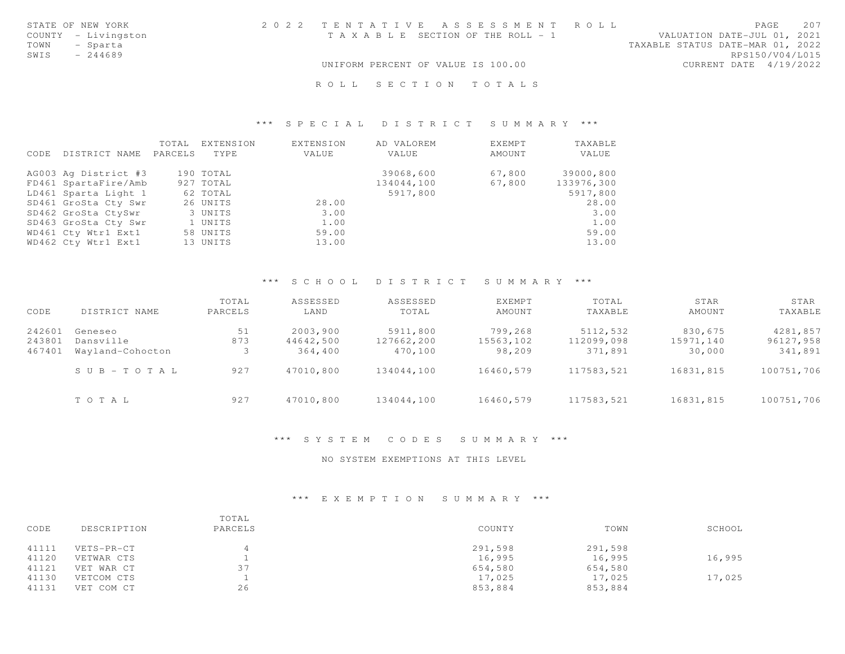|      | STATE OF NEW YORK   |  |                                    | 2022 TENTATIVE ASSESSMENT ROLL        |  |                                  | <b>PAGE</b>     | 2.0.7 |
|------|---------------------|--|------------------------------------|---------------------------------------|--|----------------------------------|-----------------|-------|
|      | COUNTY - Livingston |  |                                    | T A X A B L E SECTION OF THE ROLL - 1 |  | VALUATION DATE-JUL 01, 2021      |                 |       |
| TOWN | - Sparta            |  |                                    |                                       |  | TAXABLE STATUS DATE-MAR 01, 2022 |                 |       |
| SWIS | - 244689            |  |                                    |                                       |  |                                  | RPS150/V04/L015 |       |
|      |                     |  | UNIFORM PERCENT OF VALUE IS 100.00 |                                       |  | CURRENT DATE 4/19/2022           |                 |       |
|      |                     |  |                                    | ROLL SECTION TOTALS                   |  |                                  |                 |       |

| CODE | DISTRICT NAME        | TOTAL<br>PARCELS | EXTENSION<br>TYPE | EXTENSION<br>VALUE | AD VALOREM<br>VALUE | EXEMPT<br>AMOUNT | TAXABLE<br>VALUE |
|------|----------------------|------------------|-------------------|--------------------|---------------------|------------------|------------------|
|      | AG003 Ag District #3 |                  | 190 TOTAL         |                    | 39068,600           | 67,800           | 39000,800        |
|      | FD461 SpartaFire/Amb |                  | 927 TOTAL         |                    | 134044,100          | 67,800           | 133976,300       |
|      | LD461 Sparta Light 1 |                  | 62 TOTAL          |                    | 5917,800            |                  | 5917,800         |
|      | SD461 GroSta Cty Swr |                  | 26 UNITS          | 28.00              |                     |                  | 28.00            |
|      | SD462 GroSta CtySwr  |                  | 3 UNITS           | 3.00               |                     |                  | 3.00             |
|      | SD463 GroSta Cty Swr |                  | 1 UNITS           | 1.00               |                     |                  | 1.00             |
|      | WD461 Cty Wtr1 Ext1  |                  | 58 UNITS          | 59.00              |                     |                  | 59.00            |
|      | WD462 Cty Wtr1 Ext1  |                  | 13 UNITS          | 13.00              |                     |                  | 13.00            |

### \*\*\* S C H O O L D I S T R I C T S U M M A R Y \*\*\*

| CODE   | DISTRICT NAME             | TOTAL<br>PARCELS | ASSESSED<br>LAND | ASSESSED<br>TOTAL | <b>EXEMPT</b><br>AMOUNT | TOTAL<br>TAXABLE | STAR<br>AMOUNT | STAR<br>TAXABLE |
|--------|---------------------------|------------------|------------------|-------------------|-------------------------|------------------|----------------|-----------------|
| 242601 | Geneseo                   | 51               | 2003,900         | 5911,800          | 799,268                 | 5112,532         | 830,675        | 4281,857        |
| 243801 | Dansville                 | 873              | 44642,500        | 127662,200        | 15563,102               | 112099,098       | 15971,140      | 96127,958       |
| 467401 | Wayland-Cohocton          |                  | 364,400          | 470,100           | 98,209                  | 371,891          | 30,000         | 341,891         |
|        | $S \cup B = T \cup T A L$ | 927              | 47010,800        | 134044,100        | 16460,579               | 117583,521       | 16831,815      | 100751,706      |
|        | TOTAL                     | 927              | 47010,800        | 134044,100        | 16460,579               | 117583,521       | 16831,815      | 100751,706      |

\*\*\* S Y S T E M C O D E S S U M M A R Y \*\*\*

NO SYSTEM EXEMPTIONS AT THIS LEVEL

## \*\*\* E X E M P T I O N S U M M A R Y \*\*\*

| CODE  | DESCRIPTION | TOTAL<br>PARCELS | COUNTY  | TOWN    | SCHOOL |
|-------|-------------|------------------|---------|---------|--------|
| 41111 | VETS-PR-CT  |                  | 291,598 | 291,598 |        |
| 41120 | VETWAR CTS  |                  | 16,995  | 16,995  | 16,995 |
| 41121 | VET WAR CT  | 37               | 654,580 | 654,580 |        |
| 41130 | VETCOM CTS  |                  | 17,025  | 17,025  | 17,025 |
| 41131 | VET COM CT  | 26               | 853,884 | 853,884 |        |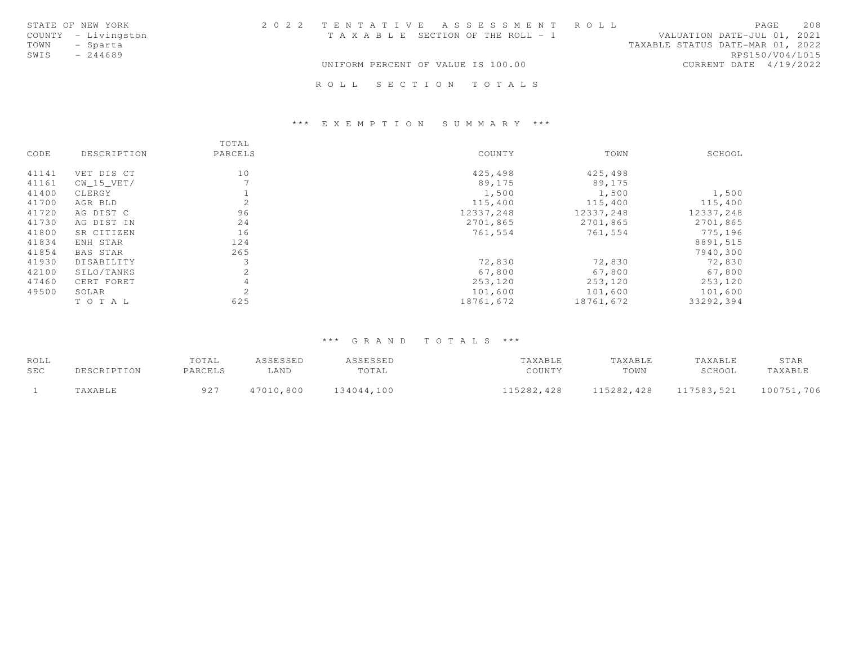| STATE OF NEW YORK   | 2022 TENTATIVE ASSESSMENT ROLL        |  |                                  | PAGE            | 208 |
|---------------------|---------------------------------------|--|----------------------------------|-----------------|-----|
| COUNTY - Livingston | T A X A B L E SECTION OF THE ROLL - 1 |  | VALUATION DATE-JUL 01, 2021      |                 |     |
| TOWN<br>- Sparta    |                                       |  | TAXABLE STATUS DATE-MAR 01, 2022 |                 |     |
| $-244689$<br>SWIS   |                                       |  |                                  | RPS150/V04/L015 |     |
|                     | UNIFORM PERCENT OF VALUE IS 100.00    |  | CURRENT DATE 4/19/2022           |                 |     |
|                     |                                       |  |                                  |                 |     |
|                     | ROLL SECTION TOTALS                   |  |                                  |                 |     |

### \*\*\* E X E M P T I O N S U M M A R Y \*\*\*

|       |             | TOTAL                    |           |           |           |
|-------|-------------|--------------------------|-----------|-----------|-----------|
| CODE  | DESCRIPTION | PARCELS                  | COUNTY    | TOWN      | SCHOOL    |
| 41141 | VET DIS CT  | 10                       | 425,498   | 425,498   |           |
| 41161 | CW 15 VET/  | $\overline{\phantom{a}}$ | 89,175    | 89,175    |           |
| 41400 | CLERGY      |                          | 1,500     | 1,500     | 1,500     |
| 41700 | AGR BLD     | 2                        | 115,400   | 115,400   | 115,400   |
| 41720 | AG DIST C   | 96                       | 12337,248 | 12337,248 | 12337,248 |
| 41730 | AG DIST IN  | 24                       | 2701,865  | 2701,865  | 2701,865  |
| 41800 | SR CITIZEN  | 16                       | 761,554   | 761,554   | 775,196   |
| 41834 | ENH STAR    | 124                      |           |           | 8891,515  |
| 41854 | BAS STAR    | 265                      |           |           | 7940,300  |
| 41930 | DISABILITY  |                          | 72,830    | 72,830    | 72,830    |
| 42100 | SILO/TANKS  | 2                        | 67,800    | 67,800    | 67,800    |
| 47460 | CERT FORET  |                          | 253,120   | 253,120   | 253,120   |
| 49500 | SOLAR       | 2                        | 101,600   | 101,600   | 101,600   |
|       | TOTAL       | 625                      | 18761,672 | 18761,672 | 33292,394 |

| ROLL       |             | TOTAL   | ASSESSED  | ASSESSED   | TAXABLE    | TAXABLE    | TAXABLE    | STAR       |
|------------|-------------|---------|-----------|------------|------------|------------|------------|------------|
| <b>SEC</b> | DESCRIPTION | PARCELS | LAND      | TOTAL      | COUNTY     | TOWN       | SCHOOL     | TAXABLE    |
|            | TAXABLE     | 927     | 47010,800 | 134044,100 | 115282,428 | 115282,428 | 117583,521 | 100751,706 |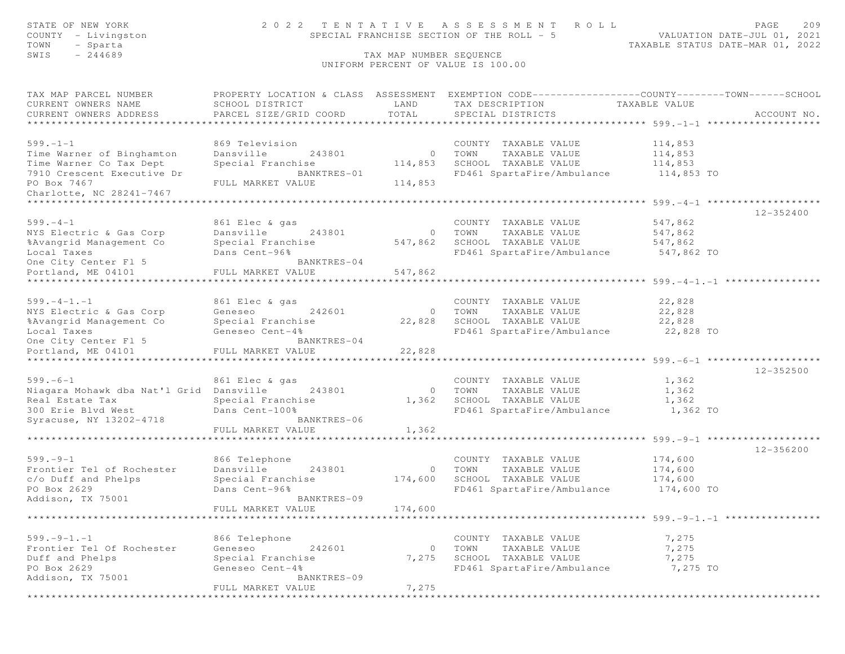| STATE OF NEW YORK<br>COUNTY - Livingston<br>TOWN<br>- Sparta           | 2022 TENTATIVE<br>SPECIAL FRANCHISE SECTION OF THE ROLL - 5 | PAGE<br>209<br>VALUATION DATE-JUL 01, 2021<br>TAXABLE STATUS DATE-MAR 01, 2022 |                                                                                                                                          |                                                   |             |
|------------------------------------------------------------------------|-------------------------------------------------------------|--------------------------------------------------------------------------------|------------------------------------------------------------------------------------------------------------------------------------------|---------------------------------------------------|-------------|
| SWIS<br>$-244689$                                                      |                                                             | TAX MAP NUMBER SEQUENCE                                                        | UNIFORM PERCENT OF VALUE IS 100.00                                                                                                       |                                                   |             |
| TAX MAP PARCEL NUMBER<br>CURRENT OWNERS NAME<br>CURRENT OWNERS ADDRESS | SCHOOL DISTRICT<br>PARCEL SIZE/GRID COORD                   | LAND<br>TOTAL                                                                  | PROPERTY LOCATION & CLASS ASSESSMENT EXEMPTION CODE----------------COUNTY-------TOWN------SCHOOL<br>TAX DESCRIPTION<br>SPECIAL DISTRICTS | TAXABLE VALUE                                     | ACCOUNT NO. |
| **********************                                                 |                                                             |                                                                                |                                                                                                                                          |                                                   |             |
| $599. - 1 - 1$                                                         | 869 Television                                              |                                                                                | COUNTY TAXABLE VALUE                                                                                                                     | 114,853                                           |             |
| Time Warner of Binghamton                                              | Dansville<br>243801                                         |                                                                                | TAXABLE VALUE<br>0 TOWN                                                                                                                  | 114,853                                           |             |
| Time Warner Co Tax Dept<br>7910 Crescent Executive Dr                  | Special Franchise<br>BANKTRES-01                            | 114,853                                                                        | SCHOOL TAXABLE VALUE<br>FD461 SpartaFire/Ambulance                                                                                       | 114,853                                           |             |
| PO Box 7467                                                            | FULL MARKET VALUE                                           | 114,853                                                                        |                                                                                                                                          | 114,853 TO                                        |             |
| Charlotte, NC 28241-7467                                               |                                                             |                                                                                |                                                                                                                                          |                                                   |             |
|                                                                        |                                                             |                                                                                |                                                                                                                                          |                                                   |             |
| $599. - 4 - 1$                                                         | 861 Elec & gas                                              |                                                                                | COUNTY TAXABLE VALUE                                                                                                                     | 547,862                                           | 12-352400   |
| NYS Electric & Gas Corp                                                | Dansville<br>243801                                         | $\circ$                                                                        | TOWN<br>TAXABLE VALUE                                                                                                                    | 547,862                                           |             |
| %Avangrid Management Co                                                | Special Franchise                                           | 547,862                                                                        | SCHOOL TAXABLE VALUE                                                                                                                     | 547,862                                           |             |
| Local Taxes                                                            | Dans Cent-96%                                               |                                                                                | FD461 SpartaFire/Ambulance 547,862 TO                                                                                                    |                                                   |             |
| One City Center Fl 5                                                   | BANKTRES-04                                                 |                                                                                |                                                                                                                                          |                                                   |             |
| Portland, ME 04101                                                     | FULL MARKET VALUE                                           | 547,862                                                                        |                                                                                                                                          |                                                   |             |
|                                                                        |                                                             |                                                                                |                                                                                                                                          |                                                   |             |
| $599. - 4 - 1. - 1$<br>NYS Electric & Gas Corp                         | 861 Elec & gas<br>Geneseo<br>242601                         | $\circ$                                                                        | COUNTY TAXABLE VALUE<br>TOWN<br>TAXABLE VALUE                                                                                            | 22,828<br>22,828                                  |             |
| %Avangrid Management Co                                                | Special Franchise                                           | 22,828                                                                         | SCHOOL TAXABLE VALUE                                                                                                                     | 22,828                                            |             |
| Local Taxes                                                            | Geneseo Cent-4%                                             |                                                                                | FD461 SpartaFire/Ambulance                                                                                                               | 22,828 TO                                         |             |
| One City Center Fl 5                                                   | BANKTRES-04                                                 |                                                                                |                                                                                                                                          |                                                   |             |
| Portland, ME 04101                                                     | FULL MARKET VALUE                                           | 22,828                                                                         |                                                                                                                                          |                                                   |             |
| ************************                                               | ********************                                        | * * * * * * * * * * * *                                                        | ********************************* 599.-6-1 ********************                                                                          |                                                   |             |
| $599. -6 - 1$                                                          | 861 Elec & gas                                              |                                                                                | COUNTY TAXABLE VALUE                                                                                                                     | 1,362                                             | 12-352500   |
| Niagara Mohawk dba Nat'l Grid                                          | Dansville<br>243801                                         |                                                                                | 0 TOWN<br>TAXABLE VALUE                                                                                                                  | 1,362                                             |             |
| Real Estate Tax                                                        | Special Franchise                                           | 1,362                                                                          | SCHOOL TAXABLE VALUE                                                                                                                     | 1,362                                             |             |
| 300 Erie Blvd West                                                     | Dans Cent-100%                                              |                                                                                | FD461 SpartaFire/Ambulance                                                                                                               | 1,362 TO                                          |             |
| Syracuse, NY 13202-4718                                                | BANKTRES-06                                                 |                                                                                |                                                                                                                                          |                                                   |             |
|                                                                        | FULL MARKET VALUE                                           | 1,362                                                                          |                                                                                                                                          | ****************** 599. -9-1 ******************** |             |
|                                                                        |                                                             |                                                                                |                                                                                                                                          |                                                   | 12-356200   |
| $599. - 9 - 1$                                                         | 866 Telephone                                               |                                                                                | COUNTY TAXABLE VALUE                                                                                                                     | 174,600                                           |             |
| Frontier Tel of Rochester                                              | Dansville<br>243801                                         | $\circ$                                                                        | TOWN<br>TAXABLE VALUE                                                                                                                    | 174,600                                           |             |
| c/o Duff and Phelps                                                    | Special Franchise                                           | 174,600                                                                        | SCHOOL TAXABLE VALUE                                                                                                                     | 174,600                                           |             |
| PO Box 2629<br>Addison, TX 75001                                       | Dans Cent-96%<br>BANKTRES-09                                |                                                                                | FD461 SpartaFire/Ambulance                                                                                                               | 174,600 TO                                        |             |
|                                                                        | FULL MARKET VALUE                                           | 174,600                                                                        |                                                                                                                                          |                                                   |             |
|                                                                        |                                                             |                                                                                |                                                                                                                                          | ******************** 599. -9-1. -1 *********      |             |
| $599. - 9 - 1. - 1$                                                    |                                                             |                                                                                | COUNTY TAXABLE VALUE                                                                                                                     | 7,275                                             |             |
| Frontier Tel Of Rochester                                              | 866 Telephone<br>Geneseo<br>242601                          | $\circ$                                                                        | TOWN<br>TAXABLE VALUE                                                                                                                    | 7,275                                             |             |
| Duff and Phelps                                                        | Special Franchise                                           | 7,275                                                                          | SCHOOL TAXABLE VALUE                                                                                                                     | 7,275                                             |             |
| PO Box 2629                                                            | Geneseo Cent-4%                                             |                                                                                | FD461 SpartaFire/Ambulance                                                                                                               | 7,275 TO                                          |             |
| Addison, TX 75001                                                      | BANKTRES-09                                                 |                                                                                |                                                                                                                                          |                                                   |             |
|                                                                        | FULL MARKET VALUE                                           | 7,275                                                                          |                                                                                                                                          |                                                   |             |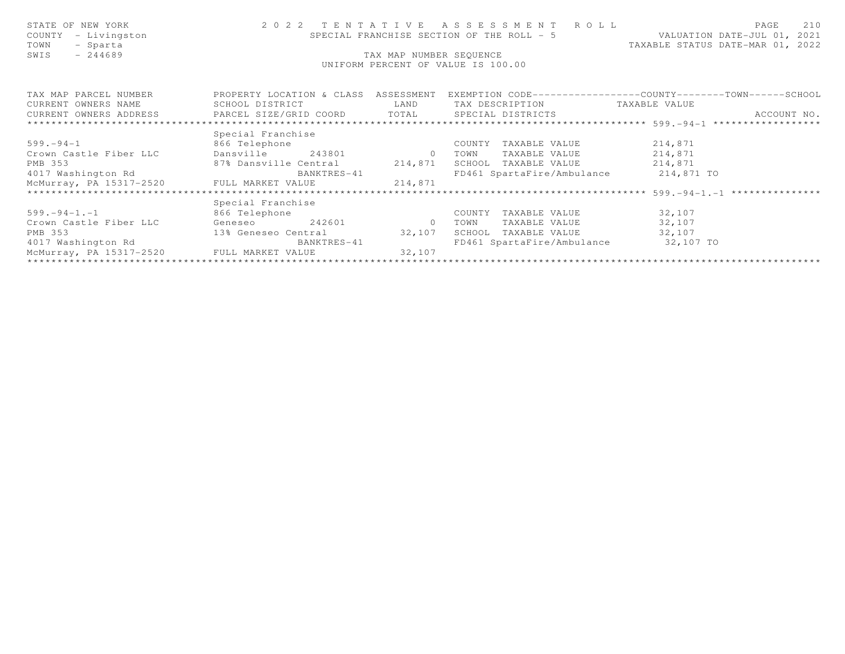| STATE OF NEW YORK<br>COUNTY - Livingston<br>TOWN - Sparta<br>- Sparta<br>TOWN<br>$-244689$<br>SWIS |                               | TAX MAP NUMBER SEQUENCE | 2022 TENTATIVE ASSESSMENT ROLL<br>UNIFORM PERCENT OF VALUE IS 100.00 | PAGE<br>210<br>SPECIAL FRANCHISE SECTION OF THE ROLL - 5 VALUATION DATE-JUL 01, 2021<br>TAXABLE STATUS DATE-MAR 01, 2022          |
|----------------------------------------------------------------------------------------------------|-------------------------------|-------------------------|----------------------------------------------------------------------|-----------------------------------------------------------------------------------------------------------------------------------|
|                                                                                                    |                               |                         |                                                                      | TAX MAP PARCEL NUMBER <a> PROPERTY LOCATION &amp; CLASS ASSESSMENT EXEMPTION CODE---------------COUNTY-------TOWN------SCHOOL</a> |
| CURRENT OWNERS NAME SCHOOL DISTRICT TAN LAND TAX DESCRIPTION TAXABLE VALUE                         |                               |                         |                                                                      |                                                                                                                                   |
|                                                                                                    |                               |                         |                                                                      | ACCOUNT NO.                                                                                                                       |
|                                                                                                    |                               |                         |                                                                      |                                                                                                                                   |
|                                                                                                    | Special Franchise             |                         |                                                                      |                                                                                                                                   |
| 599.-94-1 866 Telephone                                                                            |                               |                         | COUNTY TAXABLE VALUE 214,871                                         |                                                                                                                                   |
| Crown Castle Fiber LLC                                                                             | Dansville 243801 0 TOWN       |                         | TAXABLE VALUE 214,871                                                |                                                                                                                                   |
| PMB 353                                                                                            | 87% Dansville Central 214,871 |                         | SCHOOL TAXABLE VALUE 214,871                                         |                                                                                                                                   |
| 4017 Washington Rd                                                                                 | BANKTRES-41                   |                         | FD461 SpartaFire/Ambulance 214,871 TO                                |                                                                                                                                   |
| McMurray, PA 15317-2520 FULL MARKET VALUE 214,871                                                  |                               |                         |                                                                      |                                                                                                                                   |
|                                                                                                    |                               |                         |                                                                      |                                                                                                                                   |
|                                                                                                    | Special Franchise             |                         |                                                                      |                                                                                                                                   |
|                                                                                                    |                               |                         | COUNTY TAXABLE VALUE 32,107                                          |                                                                                                                                   |
| 599.-94-1.-1<br>Crown Castle Fiber LLC 6eneseo 242601 0 TOWN                                       |                               |                         | TAXABLE VALUE 32,107                                                 |                                                                                                                                   |
|                                                                                                    |                               |                         | SCHOOL TAXABLE VALUE 32,107                                          |                                                                                                                                   |
| PMB 353<br>4017 Washington Rd<br>82,107<br>MeMerican State of Care and SANKTRES-41                 |                               |                         | FD461 SpartaFire/Ambulance 32,107 TO                                 |                                                                                                                                   |
| McMurray, PA 15317-2520 FULL MARKET VALUE 32,107                                                   |                               |                         |                                                                      |                                                                                                                                   |
|                                                                                                    |                               |                         |                                                                      |                                                                                                                                   |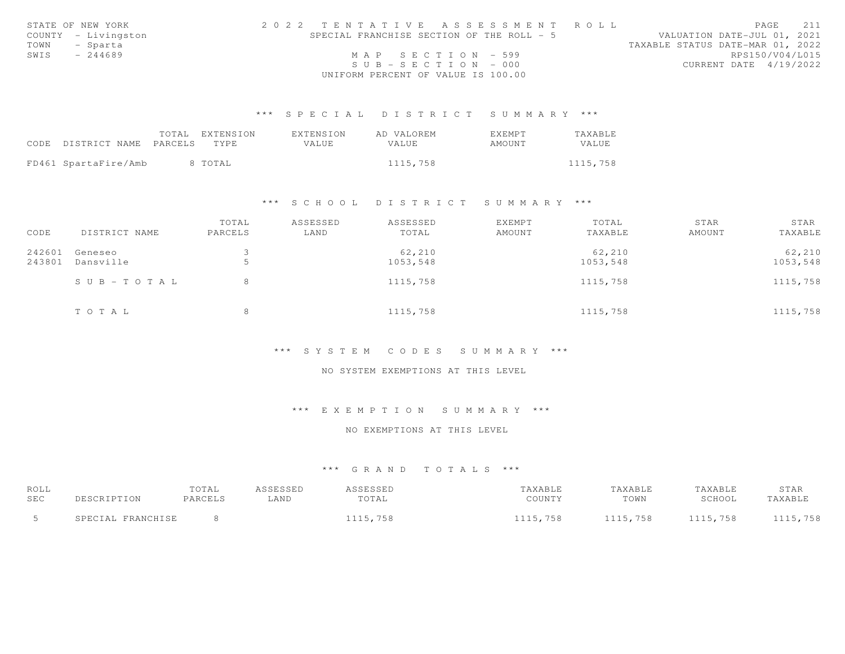|               | STATE OF NEW YORK   | 2022 TENTATIVE ASSESSMENT ROLL            |                       |  |  |                                  |                        | PAGE 211        |  |
|---------------|---------------------|-------------------------------------------|-----------------------|--|--|----------------------------------|------------------------|-----------------|--|
|               | COUNTY - Livingston | SPECIAL FRANCHISE SECTION OF THE ROLL - 5 |                       |  |  | VALUATION DATE-JUL 01, 2021      |                        |                 |  |
| TOWN - Sparta |                     |                                           |                       |  |  | TAXABLE STATUS DATE-MAR 01, 2022 |                        |                 |  |
| SWIS          | $-244689$           |                                           | MAP SECTION $-599$    |  |  |                                  |                        | RPS150/V04/L015 |  |
|               |                     |                                           | $SUB - SECTION - 000$ |  |  |                                  | CURRENT DATE 4/19/2022 |                 |  |
|               |                     | UNIFORM PERCENT OF VALUE IS 100.00        |                       |  |  |                                  |                        |                 |  |

|                            | TOTAL EXTENSION | EXTENSION | AD VALOREM   | EXEMPT | TAXABLE  |
|----------------------------|-----------------|-----------|--------------|--------|----------|
| CODE DISTRICT NAME PARCELS | TYPE.           | VALUE.    | <b>VALUE</b> | AMOUNT | VALUE    |
|                            |                 |           |              |        |          |
| FD461 SpartaFire/Amb       | 8 TOTAL         |           | 1115,758     |        | 1115,758 |

#### \*\*\* S C H O O L D I S T R I C T S U M M A R Y \*\*\*

|        |                       | TOTAL   | ASSESSED | ASSESSED | EXEMPT | TOTAL    | STAR   | STAR     |
|--------|-----------------------|---------|----------|----------|--------|----------|--------|----------|
| CODE   | DISTRICT NAME         | PARCELS | LAND     | TOTAL    | AMOUNT | TAXABLE  | AMOUNT | TAXABLE  |
| 242601 | Geneseo               | ر_.     |          | 62,210   |        | 62,210   |        | 62,210   |
| 243801 | Dansville             | 5       |          | 1053,548 |        | 1053,548 |        | 1053,548 |
|        | $S \cup B - TO T A L$ | 8       |          | 1115,758 |        | 1115,758 |        | 1115,758 |
|        | TOTAL                 | 8       |          | 1115,758 |        | 1115,758 |        | 1115,758 |

#### \*\*\* S Y S T E M C O D E S S U M M A R Y \*\*\*

#### NO SYSTEM EXEMPTIONS AT THIS LEVEL

## \*\*\* E X E M P T I O N S U M M A R Y \*\*\*

#### NO EXEMPTIONS AT THIS LEVEL

| ROLL |                   | TOTAL   | ASSESSED | ASSESSED | TAXABLE  | TAXABLE  | TAXABLE  | STAR     |
|------|-------------------|---------|----------|----------|----------|----------|----------|----------|
| SEC  | DESCRIPTION       | PARCELS | LAND     | TOTAL    | COUNTY   | TOWN     | SCHOOL   | TAXABLE  |
|      | SPECIAL FRANCHISE |         |          | 1115,758 | 1115,758 | 1115,758 | 1115,758 | 1115,758 |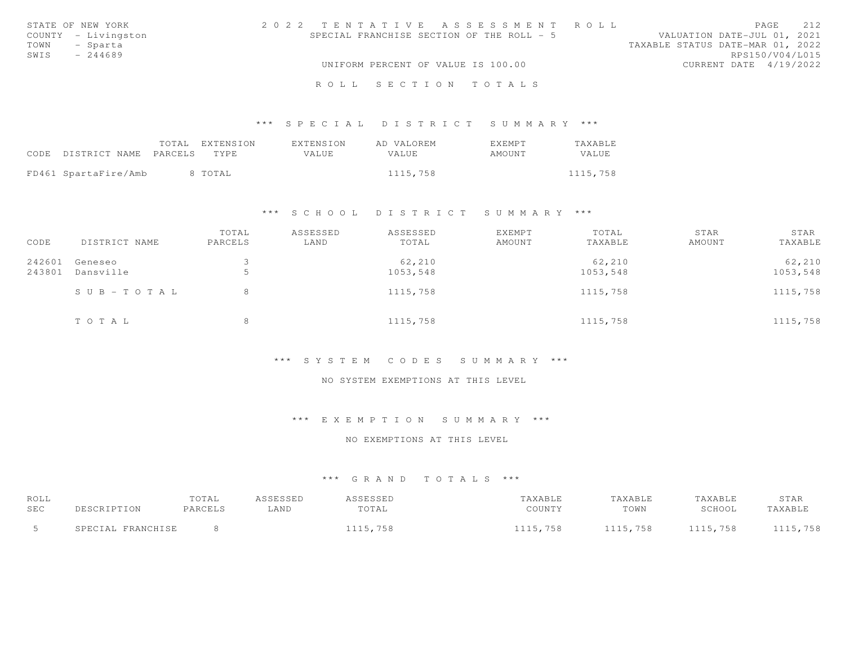| STATE OF NEW YORK   | 2022 TENTATIVE ASSESSMENT ROLL            | 2.12<br>PAGE                     |
|---------------------|-------------------------------------------|----------------------------------|
| COUNTY - Livingston | SPECIAL FRANCHISE SECTION OF THE ROLL - 5 | VALUATION DATE-JUL 01, 2021      |
| TOWN<br>- Sparta    |                                           | TAXABLE STATUS DATE-MAR 01, 2022 |
| SWIS<br>$-244689$   |                                           | RPS150/V04/L015                  |
|                     | UNIFORM PERCENT OF VALUE IS 100.00        | CURRENT DATE 4/19/2022           |
|                     | ROLL SECTION TOTALS                       |                                  |

|                                 | TOTAL EXTENSION | EXTENSION | AD VALOREM | <b>F.XFMPT</b> | <b>TAXABLE</b> |
|---------------------------------|-----------------|-----------|------------|----------------|----------------|
| CODE DISTRICT NAME PARCELS TYPE |                 | VALUE     | VALUE      | AMOUNT         | VALUE          |
| FD461 SpartaFire/Amb            | 8 TOTAL         |           | 1115,758   |                | 1115,758       |

### \*\*\* S C H O O L D I S T R I C T S U M M A R Y \*\*\*

| CODE             | DISTRICT NAME             | TOTAL<br>PARCELS | ASSESSED<br>LAND | ASSESSED<br>TOTAL  | EXEMPT<br>AMOUNT | TOTAL<br>TAXABLE   | STAR<br>AMOUNT | STAR<br>TAXABLE    |
|------------------|---------------------------|------------------|------------------|--------------------|------------------|--------------------|----------------|--------------------|
| 242601<br>243801 | Geneseo<br>Dansville      |                  |                  | 62,210<br>1053,548 |                  | 62,210<br>1053,548 |                | 62,210<br>1053,548 |
|                  | $S \cup B - T \cup T A L$ |                  |                  | 1115,758           |                  | 1115,758           |                | 1115,758           |
|                  | TOTAL                     |                  |                  | 1115,758           |                  | 1115,758           |                | 1115,758           |

### \*\*\* S Y S T E M C O D E S S U M M A R Y \*\*\*

### NO SYSTEM EXEMPTIONS AT THIS LEVEL

### \*\*\* E X E M P T I O N S U M M A R Y \*\*\*

#### NO EXEMPTIONS AT THIS LEVEL

| ROLL       |                                          | TOTAL   | SSESSED | I S S F S S F D | <b>AXABLE</b> | TAXABLE  | 'AXABLE  | STAR    |
|------------|------------------------------------------|---------|---------|-----------------|---------------|----------|----------|---------|
| <b>SEC</b> |                                          | PARCELS | LAND    | TOTAL           | COUNTY        | TOWN     | SCHOOL   | TAXABL  |
|            | <b>PDANCHICE</b><br><b>ΤΔ</b> .<br>ז המי |         |         | 15,758          | 1115,758      | 1115,758 | 1115,758 | 115,758 |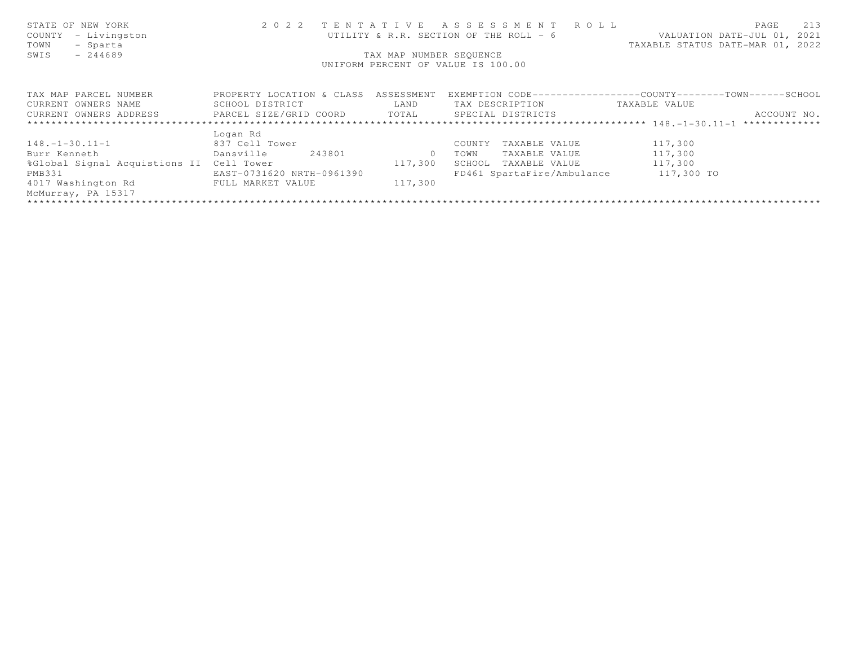| STATE OF NEW YORK<br>- Livingston<br>COUNTY<br>TOWN<br>- Sparta<br>$-244689$<br>SWIS | 2 0 2 2                                        | TAX MAP NUMBER SEQUENCE | TENTATIVE ASSESSMENT ROLL<br>UTILITY & R.R. SECTION OF THE ROLL - 6<br>UNIFORM PERCENT OF VALUE IS 100.00 | 213<br>PAGE<br>VALUATION DATE-JUL 01, 2021<br>TAXABLE STATUS DATE-MAR 01, 2022 |
|--------------------------------------------------------------------------------------|------------------------------------------------|-------------------------|-----------------------------------------------------------------------------------------------------------|--------------------------------------------------------------------------------|
| TAX MAP PARCEL NUMBER                                                                | PROPERTY LOCATION & CLASS ASSESSMENT           |                         |                                                                                                           | EXEMPTION CODE-----------------COUNTY-------TOWN------SCHOOL                   |
| CURRENT OWNERS NAME                                                                  | SCHOOL DISTRICT                                | LAND                    | TAX DESCRIPTION                                                                                           | TAXABLE VALUE                                                                  |
| CURRENT OWNERS ADDRESS                                                               | PARCEL SIZE/GRID COORD TOTAL SPECIAL DISTRICTS |                         |                                                                                                           | ACCOUNT NO.                                                                    |
|                                                                                      |                                                |                         |                                                                                                           |                                                                                |
|                                                                                      | Logan Rd                                       |                         |                                                                                                           |                                                                                |
| $148. - 1 - 30.11 - 1$                                                               | 837 Cell Tower                                 |                         | COUNTY<br>TAXABLE VALUE                                                                                   | 117,300                                                                        |
| Burr Kenneth                                                                         | 243801<br>Dansville                            | $\Omega$                | TAXABLE VALUE<br>TOWN                                                                                     | 117,300                                                                        |
| %Global Signal Acquistions II Cell Tower                                             |                                                | 117,300                 | SCHOOL TAXABLE VALUE                                                                                      | 117,300                                                                        |
| PMB331                                                                               | EAST-0731620 NRTH-0961390                      |                         | FD461 SpartaFire/Ambulance 117,300 TO                                                                     |                                                                                |
| 4017 Washington Rd                                                                   | FULL MARKET VALUE                              | 117,300                 |                                                                                                           |                                                                                |
| McMurray, PA 15317                                                                   |                                                |                         |                                                                                                           |                                                                                |
|                                                                                      |                                                |                         |                                                                                                           |                                                                                |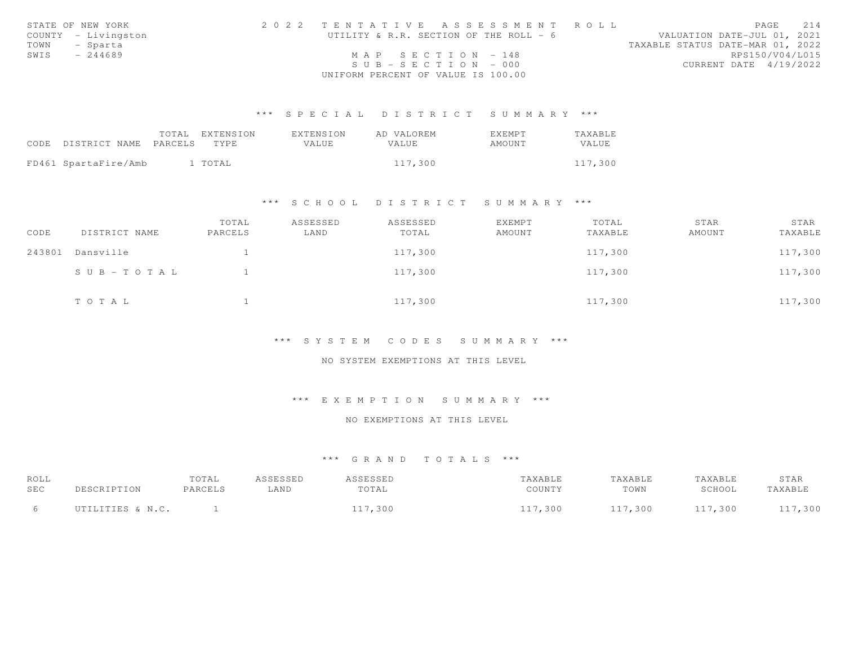|      | STATE OF NEW YORK   | 2022 TENTATIVE ASSESSMENT ROLL         |                                  | PAGE | 214 |
|------|---------------------|----------------------------------------|----------------------------------|------|-----|
|      | COUNTY - Livingston | UTILITY & R.R. SECTION OF THE ROLL - 6 | VALUATION DATE-JUL 01, 2021      |      |     |
| TOWN | - Sparta            |                                        | TAXABLE STATUS DATE-MAR 01, 2022 |      |     |
| SWIS | $-244689$           | MAP SECTION - 148                      | RPS150/V04/L015                  |      |     |
|      |                     | $SUB - SECTION - 000$                  | CURRENT DATE 4/19/2022           |      |     |
|      |                     | UNIFORM PERCENT OF VALUE IS 100.00     |                                  |      |     |

|                                 | TOTAL EXTENSION | EXTENSION | AD VALOREM | EXEMPT | TAXABLE |
|---------------------------------|-----------------|-----------|------------|--------|---------|
| CODE DISTRICT NAME PARCELS TYPE |                 | VALUE.    | VALUE      | AMOUNT | VALUE   |
|                                 |                 |           |            |        |         |
| FD461 SpartaFire/Amb            | 1 TOTAL         |           | 117,300    |        | 117,300 |

#### \*\*\* S C H O O L D I S T R I C T S U M M A R Y \*\*\*

| CODE   | DISTRICT NAME | TOTAL<br>PARCELS | ASSESSED<br>LAND | ASSESSED<br>TOTAL | EXEMPT<br>AMOUNT | TOTAL<br>TAXABLE | STAR<br>AMOUNT | STAR<br>TAXABLE |
|--------|---------------|------------------|------------------|-------------------|------------------|------------------|----------------|-----------------|
| 243801 | Dansville     |                  |                  | 117,300           |                  | 117,300          |                | 117,300         |
|        | SUB-TOTAL     |                  |                  | 117,300           |                  | 117,300          |                | 117,300         |
|        | TOTAL         |                  |                  | 117,300           |                  | 117,300          |                | 117,300         |

#### \*\*\* S Y S T E M C O D E S S U M M A R Y \*\*\*

#### NO SYSTEM EXEMPTIONS AT THIS LEVEL

### \*\*\* E X E M P T I O N S U M M A R Y \*\*\*

## NO EXEMPTIONS AT THIS LEVEL

| ROLL<br>SEC | DESCRIPTION      | TOTAL<br>PARCELS | ASSESSED<br>-AND | <i><b>\SSESSED</b></i><br>TOTAL | TAXABLE<br>COUNTY | <b>TAXABLE</b><br>TOWN | TAXABLE<br>SCHOOL | STAR<br>TAXABLE |
|-------------|------------------|------------------|------------------|---------------------------------|-------------------|------------------------|-------------------|-----------------|
|             | UTILITIES & N.C. |                  |                  | 117,300                         | , 300             | 117,300                | 117,300           | 117,300         |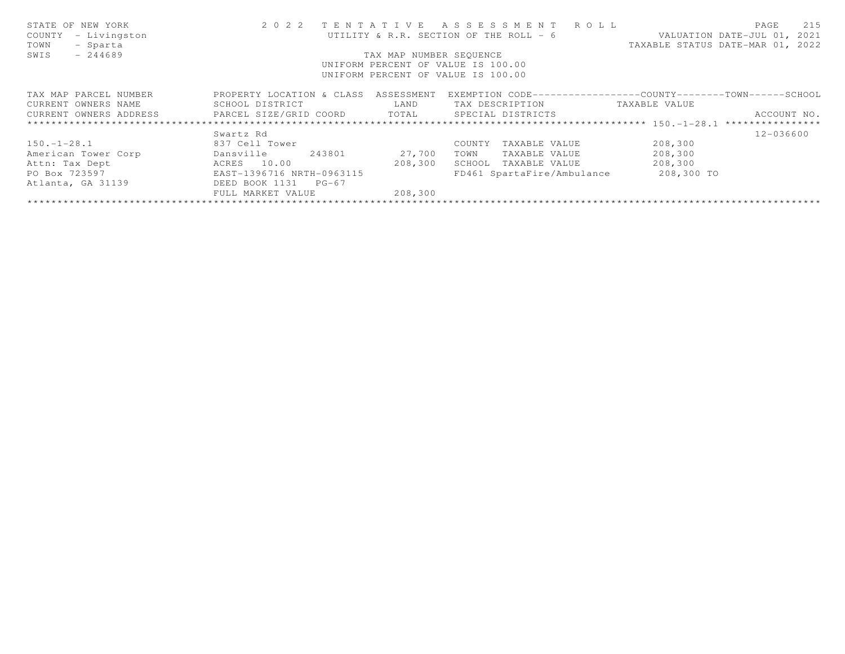| STATE OF NEW YORK<br>COUNTY<br>- Livingston         | 2 0 2 2                   |                         | TENTATIVE ASSESSMENT ROLL<br>UTILITY & R.R. SECTION OF THE ROLL - 6 |                                  | 215<br>PAGE<br>VALUATION DATE-JUL 01, 2021 |
|-----------------------------------------------------|---------------------------|-------------------------|---------------------------------------------------------------------|----------------------------------|--------------------------------------------|
| TOWN<br>- Sparta                                    |                           |                         |                                                                     | TAXABLE STATUS DATE-MAR 01, 2022 |                                            |
| SWIS<br>$-244689$                                   |                           | TAX MAP NUMBER SEOUENCE |                                                                     |                                  |                                            |
|                                                     |                           |                         | UNIFORM PERCENT OF VALUE IS 100.00                                  |                                  |                                            |
|                                                     |                           |                         | UNIFORM PERCENT OF VALUE IS 100.00                                  |                                  |                                            |
| TAX MAP PARCEL NUMBER                               | PROPERTY LOCATION & CLASS | ASSESSMENT              | EXEMPTION CODE-----------------COUNTY-------TOWN-----SCHOOL         |                                  |                                            |
| CURRENT OWNERS NAME                                 | SCHOOL DISTRICT           | LAND                    | TAX DESCRIPTION                                                     | TAXABLE VALUE                    |                                            |
| CURRENT OWNERS ADDRESS FARCEL SIZE/GRID COORD TOTAL |                           |                         | SPECIAL DISTRICTS                                                   |                                  | ACCOUNT NO.                                |
|                                                     |                           |                         |                                                                     |                                  |                                            |
|                                                     | Swartz Rd                 |                         |                                                                     |                                  | 12-036600                                  |
| $150. - 1 - 28.1$                                   | 837 Cell Tower            |                         | COUNTY<br>TAXABLE VALUE                                             | 208,300                          |                                            |
| American Tower Corp                                 | Dansville<br>243801       | 27,700                  | TOWN<br>TAXABLE VALUE                                               | 208,300                          |                                            |
| Attn: Tax Dept                                      | ACRES 10.00               | 208,300                 | TAXABLE VALUE<br>SCHOOL                                             | 208,300                          |                                            |
| PO Box 723597                                       | EAST-1396716 NRTH-0963115 |                         | FD461 SpartaFire/Ambulance                                          | 208,300 TO                       |                                            |
| Atlanta, GA 31139                                   | DEED BOOK 1131<br>$PG-67$ |                         |                                                                     |                                  |                                            |
|                                                     | FULL MARKET VALUE         | 208,300                 |                                                                     |                                  |                                            |
|                                                     |                           |                         |                                                                     |                                  |                                            |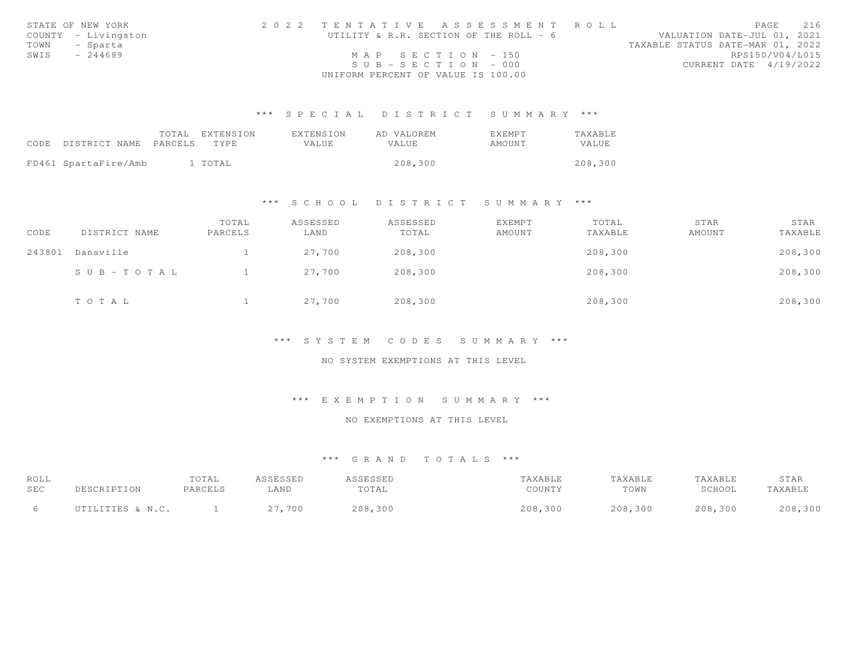|      | STATE OF NEW YORK   | 2022 TENTATIVE ASSESSMENT ROLL         | 216<br>PAGE                      |
|------|---------------------|----------------------------------------|----------------------------------|
|      | COUNTY - Livingston | UTILITY & R.R. SECTION OF THE ROLL - 6 | VALUATION DATE-JUL 01, 2021      |
|      | TOWN - Sparta       |                                        | TAXABLE STATUS DATE-MAR 01, 2022 |
| SWIS | - 244689            | MAP SECTION - 150                      | RPS150/V04/L015                  |
|      |                     | $SUB - SECTION - 000$                  | CURRENT DATE 4/19/2022           |
|      |                     | UNIFORM PERCENT OF VALUE IS 100.00     |                                  |

|                                 | TOTAL EXTENSION | EXTENSION | AD VALOREM | EXEMPT | TAXABLE |
|---------------------------------|-----------------|-----------|------------|--------|---------|
| CODE DISTRICT NAME PARCELS TYPE |                 | VALUE     | VALUE      | AMOUNT | VALUE   |
|                                 |                 |           |            |        |         |
| FD461 SpartaFire/Amb            | 1 TOTAL         |           | 208,300    |        | 208,300 |

#### \*\*\* S C H O O L D I S T R I C T S U M M A R Y \*\*\*

| CODE   | DISTRICT NAME         | TOTAL<br>PARCELS | ASSESSED<br>LAND | ASSESSED<br>TOTAL | <b>EXEMPT</b><br>AMOUNT | TOTAL<br>TAXABLE | STAR<br>AMOUNT | STAR<br>TAXABLE |
|--------|-----------------------|------------------|------------------|-------------------|-------------------------|------------------|----------------|-----------------|
| 243801 | Dansville             |                  | 27,700           | 208,300           |                         | 208,300          |                | 208,300         |
|        | $S \cup B - TO T A L$ |                  | 27,700           | 208,300           |                         | 208,300          |                | 208,300         |
|        | TOTAL                 |                  | 27,700           | 208,300           |                         | 208,300          |                | 208,300         |

#### \*\*\* S Y S T E M C O D E S S U M M A R Y \*\*\*

#### NO SYSTEM EXEMPTIONS AT THIS LEVEL

### \*\*\* E X E M P T I O N S U M M A R Y \*\*\*

## NO EXEMPTIONS AT THIS LEVEL

| ROLL<br>SEC | DESCRIPTION      | TOTAL<br>PARCELS | ASSESSED<br>LAND | <i><b>SSESSED</b></i><br>TOTAL | TAXABLE<br>COUNTY | TAXABLE<br>TOWN | TAXABLE<br>SCHOOL | STAR<br>TAXABLE |
|-------------|------------------|------------------|------------------|--------------------------------|-------------------|-----------------|-------------------|-----------------|
|             | UTILITIES & N.C. |                  | 27,700           | 208,300                        | 208,300           | 208,300         | 208,300           | 208,300         |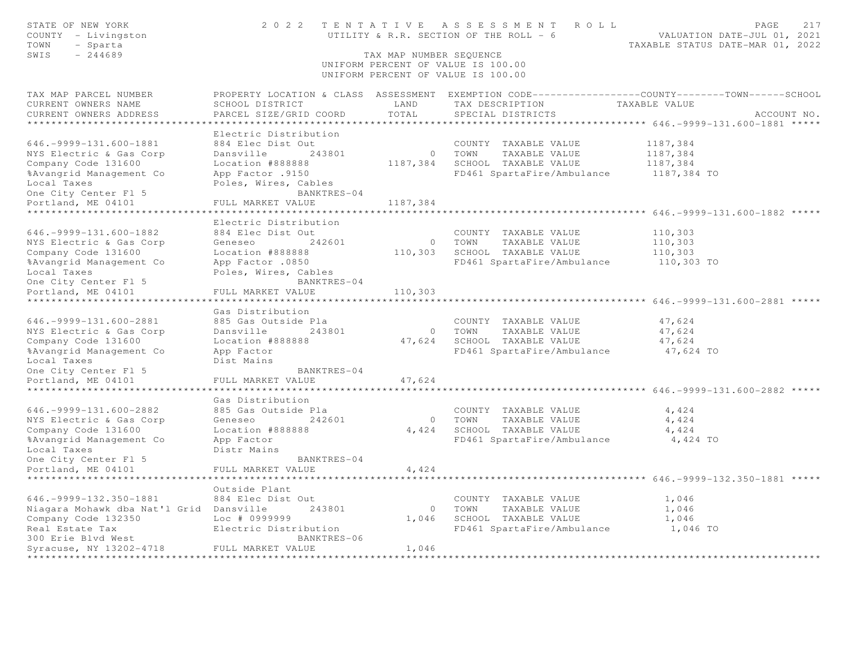| STATE OF NEW YORK<br>COUNTY - Livingston<br>TOWN<br>- Sparta<br>SWIS<br>$-244689$                                                                                                                                        | 2022 TENTATIVE                                                                                                                                                                            | TAX MAP NUMBER SEQUENCE          | A S S E S S M E N T<br>R O L L<br>UTILITY & R.R. SECTION OF THE ROLL - 6<br>UNIFORM PERCENT OF VALUE IS 100.00<br>UNIFORM PERCENT OF VALUE IS 100.00 | PAGE<br>217<br>VALUATION DATE-JUL 01, 2021<br>TAXABLE STATUS DATE-MAR 01, 2022                                                   |
|--------------------------------------------------------------------------------------------------------------------------------------------------------------------------------------------------------------------------|-------------------------------------------------------------------------------------------------------------------------------------------------------------------------------------------|----------------------------------|------------------------------------------------------------------------------------------------------------------------------------------------------|----------------------------------------------------------------------------------------------------------------------------------|
| TAX MAP PARCEL NUMBER<br>CURRENT OWNERS NAME<br>CURRENT OWNERS ADDRESS                                                                                                                                                   | SCHOOL DISTRICT<br>PARCEL SIZE/GRID COORD                                                                                                                                                 | LAND<br>TOTAL                    | TAX DESCRIPTION<br>SPECIAL DISTRICTS                                                                                                                 | PROPERTY LOCATION & CLASS ASSESSMENT EXEMPTION CODE----------------COUNTY-------TOWN------SCHOOL<br>TAXABLE VALUE<br>ACCOUNT NO. |
| 646. - 9999 - 131. 600 - 1881<br>NYS Electric & Gas Corp<br>Company Code 131600<br>%Avangrid Management Co<br>Local Taxes<br>One City Center Fl 5                                                                        | Electric Distribution<br>884 Elec Dist Out<br>Dansville<br>243801<br>Location #888888<br>App Factor .9150<br>Poles, Wires, Cables<br>BANKTRES-04                                          | $\overline{0}$<br>1187,384       | COUNTY TAXABLE VALUE<br>TOWN<br>TAXABLE VALUE<br>SCHOOL TAXABLE VALUE<br>FD461 SpartaFire/Ambulance                                                  | 1187,384<br>1187,384<br>1187,384<br>1187,384 TO                                                                                  |
| Portland, ME 04101                                                                                                                                                                                                       | FULL MARKET VALUE<br>***************                                                                                                                                                      | 1187,384                         |                                                                                                                                                      | ******************** 646. - 9999 - 131.600 - 1882 *****                                                                          |
| $646. -9999 - 131.600 - 1882$<br>NYS Electric & Gas Corp<br>Company Code 131600<br>%Avangrid Management Co<br>Local Taxes<br>One City Center Fl 5                                                                        | Electric Distribution<br>884 Elec Dist Out<br>242601<br>Geneseo<br>Location #888888<br>App Factor .0850<br>Poles, Wires, Cables<br>BANKTRES-04                                            | $\circ$<br>110,303               | COUNTY TAXABLE VALUE<br>TOWN<br>TAXABLE VALUE<br>SCHOOL TAXABLE VALUE<br>FD461 SpartaFire/Ambulance                                                  | 110,303<br>110,303<br>110,303<br>110,303 TO                                                                                      |
| Portland, ME 04101                                                                                                                                                                                                       | FULL MARKET VALUE                                                                                                                                                                         | 110,303                          |                                                                                                                                                      |                                                                                                                                  |
| **********************<br>$646. -9999 - 131.600 - 2881$<br>NYS Electric & Gas Corp<br>Company Code 131600<br>%Avangrid Management Co<br>Local Taxes<br>One City Center Fl 5<br>Portland, ME 04101<br>******************* | * * * * * * * * * * * * * * * * * *<br>Gas Distribution<br>885 Gas Outside Pla<br>Dansville<br>243801<br>Location #888888<br>App Factor<br>Dist Mains<br>BANKTRES-04<br>FULL MARKET VALUE | $\circ$<br>47,624<br>47,624      | COUNTY TAXABLE VALUE<br>TOWN<br>TAXABLE VALUE<br>SCHOOL TAXABLE VALUE<br>FD461 SpartaFire/Ambulance                                                  | 47,624<br>47,624<br>47,624<br>47,624 TO<br>***************** 646.-9999-131.600-2882 *****                                        |
| $646. -9999 - 131.600 - 2882$<br>NYS Electric & Gas Corp<br>Company Code 131600<br>%Avangrid Management Co<br>Local Taxes<br>One City Center Fl 5<br>Portland, ME 04101                                                  | Gas Distribution<br>885 Gas Outside Pla<br>Geneseo<br>242601<br>Location #888888<br>App Factor<br>Distr Mains<br>BANKTRES-04<br>FULL MARKET VALUE                                         | $\circ$<br>4,424<br>4,424        | COUNTY TAXABLE VALUE<br>TOWN<br>TAXABLE VALUE<br>SCHOOL TAXABLE VALUE<br>FD461 SpartaFire/Ambulance                                                  | 4,424<br>4,424<br>4,424<br>4,424 TO                                                                                              |
| $646. -9999 - 132.350 - 1881$<br>Niagara Mohawk dba Nat'l Grid Dansville<br>Company Code 132350<br>Real Estate Tax<br>300 Erie Blvd West<br>Syracuse, NY 13202-4718                                                      | Outside Plant<br>884 Elec Dist Out<br>243801<br>Loc # 0999999<br>Electric Distribution<br>BANKTRES-06<br>FULL MARKET VALUE                                                                | $\overline{0}$<br>1,046<br>1,046 | COUNTY TAXABLE VALUE<br>TOWN<br>TAXABLE VALUE<br>SCHOOL TAXABLE VALUE<br>FD461 SpartaFire/Ambulance                                                  | ********* 646. - 9999 - 132. 350 - 1881 *****<br>1,046<br>1,046<br>1,046<br>1,046 TO                                             |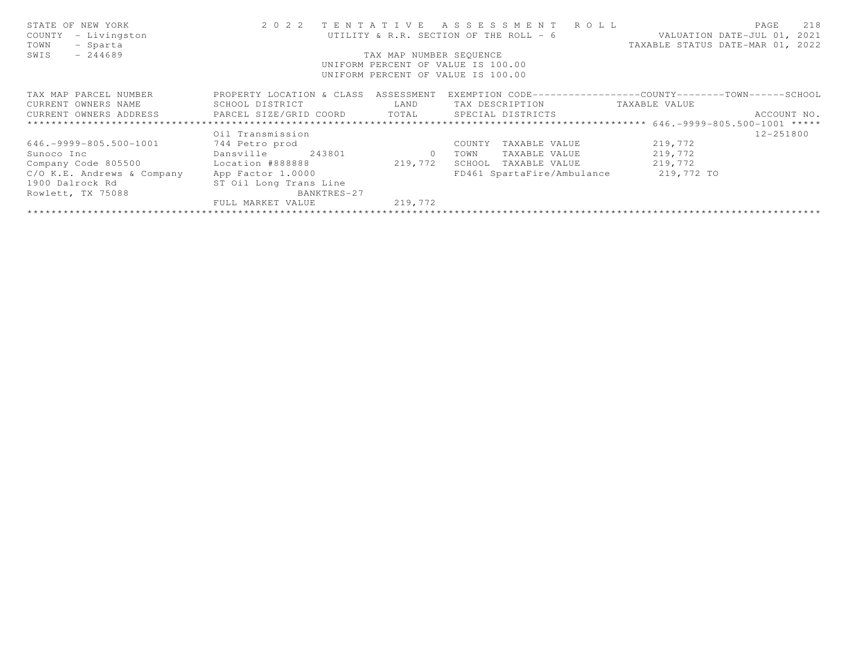| STATE OF NEW YORK<br>- Livingston<br>COUNTY<br>- Sparta<br>TOWN<br>- 244689<br>SWIS |                                      | TAX MAP NUMBER SEOUENCE                                                                                                                                                                          | 2022 TENTATIVE ASSESSMENT ROLL<br>UTILITY & R.R. SECTION OF THE ROLL - 6<br>UNIFORM PERCENT OF VALUE IS 100.00<br>UNIFORM PERCENT OF VALUE IS 100.00 | TAXABLE STATUS DATE-MAR 01, 2022 | 218<br>PAGE<br>VALUATION DATE-JUL 01, 2021 |
|-------------------------------------------------------------------------------------|--------------------------------------|--------------------------------------------------------------------------------------------------------------------------------------------------------------------------------------------------|------------------------------------------------------------------------------------------------------------------------------------------------------|----------------------------------|--------------------------------------------|
|                                                                                     |                                      |                                                                                                                                                                                                  |                                                                                                                                                      |                                  |                                            |
| TAX MAP PARCEL NUMBER                                                               | PROPERTY LOCATION & CLASS ASSESSMENT |                                                                                                                                                                                                  | EXEMPTION CODE-----------------COUNTY-------TOWN------SCHOOL                                                                                         |                                  |                                            |
| CURRENT OWNERS NAME                                                                 | SCHOOL DISTRICT                      | <b>EXAMPLE EXAMPLE EXAMPLE EXAMPLE EXAMPLE EXAMPLE EXAMPLE EXAMPLE EXAMPLE EXAMPLE EXAMPLE EXAMPLE EXAMPLE EXAMPLE EXAMPLE EXAMPLE EXAMPLE EXAMPLE EXAMPLE EXAMPLE EXAMPLE EXAMPLE EXAMPLE E</b> | TAX DESCRIPTION TAXABLE VALUE                                                                                                                        |                                  |                                            |
| CURRENT OWNERS ADDRESS 6 PARCEL SIZE/GRID COORD 6 TOTAL 6 SPECIAL DISTRICTS         |                                      |                                                                                                                                                                                                  |                                                                                                                                                      |                                  | ACCOUNT NO.                                |
|                                                                                     |                                      |                                                                                                                                                                                                  |                                                                                                                                                      |                                  |                                            |
|                                                                                     | Oil Transmission                     |                                                                                                                                                                                                  |                                                                                                                                                      |                                  | 12-251800                                  |
| $646. -9999 - 805.500 - 1001$                                                       | 744 Petro prod                       |                                                                                                                                                                                                  | COUNTY<br>TAXABLE VALUE                                                                                                                              | 219,772                          |                                            |
| Sunoco Inc                                                                          | Dansville<br>243801                  | $\circ$                                                                                                                                                                                          | TAXABLE VALUE<br>TOWN                                                                                                                                | 219,772                          |                                            |
| Company Code 805500 Location #888888                                                |                                      | 219,772                                                                                                                                                                                          | SCHOOL<br>TAXABLE VALUE                                                                                                                              | 219,772                          |                                            |
| C/O K.E. Andrews & Company                                                          | App Factor 1.0000                    |                                                                                                                                                                                                  | FD461 SpartaFire/Ambulance                                                                                                                           | 219,772 TO                       |                                            |
| 1900 Dalrock Rd                                                                     | ST Oil Long Trans Line               |                                                                                                                                                                                                  |                                                                                                                                                      |                                  |                                            |
| Rowlett, TX 75088                                                                   | BANKTRES-27                          |                                                                                                                                                                                                  |                                                                                                                                                      |                                  |                                            |
|                                                                                     | FULL MARKET VALUE                    | 219,772                                                                                                                                                                                          |                                                                                                                                                      |                                  |                                            |
|                                                                                     |                                      |                                                                                                                                                                                                  |                                                                                                                                                      |                                  |                                            |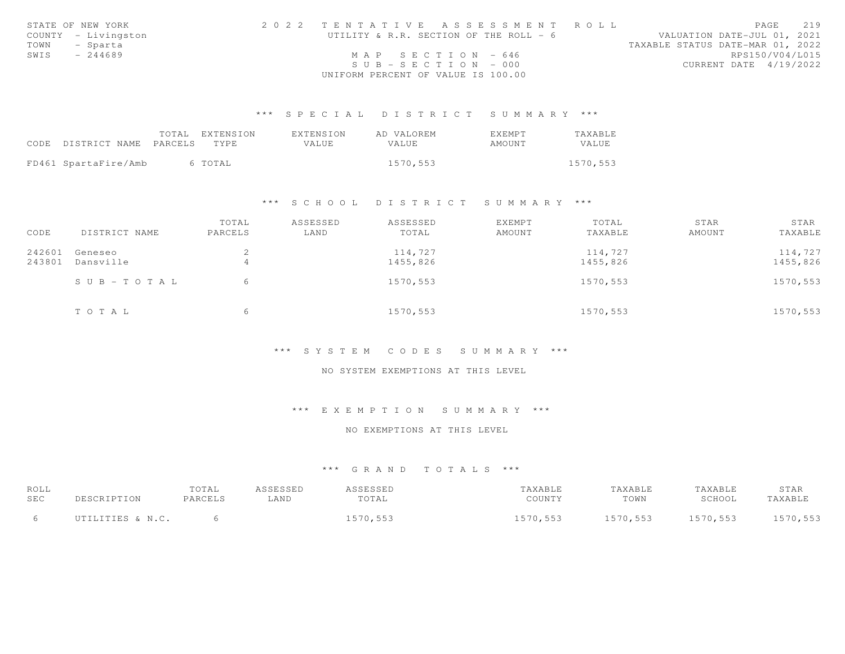|      | STATE OF NEW YORK   |                                    | 2022 TENTATIVE ASSESSMENT ROLL         |                                  | PAGE            | 219 |
|------|---------------------|------------------------------------|----------------------------------------|----------------------------------|-----------------|-----|
|      | COUNTY - Livingston |                                    | UTILITY & R.R. SECTION OF THE ROLL - 6 | VALUATION DATE-JUL 01, 2021      |                 |     |
|      | TOWN - Sparta       |                                    |                                        | TAXABLE STATUS DATE-MAR 01, 2022 |                 |     |
| SWIS | - 244689            |                                    | MAP SECTION - 646                      |                                  | RPS150/V04/L015 |     |
|      |                     |                                    | $SUB - SECTION - 000$                  | CURRENT DATE 4/19/2022           |                 |     |
|      |                     | UNIFORM PERCENT OF VALUE IS 100.00 |                                        |                                  |                 |     |

|      |                            | TOTAL EXTENSION | EXTENSION | AD VALOREM   | EXEMPT | TAXABLE  |
|------|----------------------------|-----------------|-----------|--------------|--------|----------|
| CODE | DISTRICT NAME PARCELS TYPE |                 | VALUE     | <b>VALUE</b> | AMOUNT | VALUE    |
|      |                            |                 |           |              |        |          |
|      | FD461 SpartaFire/Amb       | 6 TOTAL         |           | 1570,553     |        | 1570,553 |

#### \*\*\* S C H O O L D I S T R I C T S U M M A R Y \*\*\*

|        |               | TOTAL   | ASSESSED | ASSESSED | <b>EXEMPT</b> | TOTAL    | STAR   | STAR     |
|--------|---------------|---------|----------|----------|---------------|----------|--------|----------|
| CODE   | DISTRICT NAME | PARCELS | LAND     | TOTAL    | AMOUNT        | TAXABLE  | AMOUNT | TAXABLE  |
| 242601 | Geneseo       | ∠       |          | 114,727  |               | 114,727  |        | 114,727  |
| 243801 | Dansville     |         |          | 1455,826 |               | 1455,826 |        | 1455,826 |
|        | SUB-TOTAL     | 6       |          | 1570,553 |               | 1570,553 |        | 1570,553 |
|        | TOTAL         | 6       |          | 1570,553 |               | 1570,553 |        | 1570,553 |

#### \*\*\* S Y S T E M C O D E S S U M M A R Y \*\*\*

### NO SYSTEM EXEMPTIONS AT THIS LEVEL

# \*\*\* E X E M P T I O N S U M M A R Y \*\*\*

#### NO EXEMPTIONS AT THIS LEVEL

| ROLL |                  | TOTAL   | ASSESSED | ASSESSED | TAXABLE  | TAXABLE  | TAXABLE  | STAR     |
|------|------------------|---------|----------|----------|----------|----------|----------|----------|
| SEC  | DESCRIPTION      | PARCELS | LAND     | TOTAL    | COUNTY   | TOWN     | SCHOOL   | TAXABLE  |
|      | UTILITIES & N.C. |         |          | 1570,553 | 1570,553 | 1570,553 | 1570,553 | 1570,553 |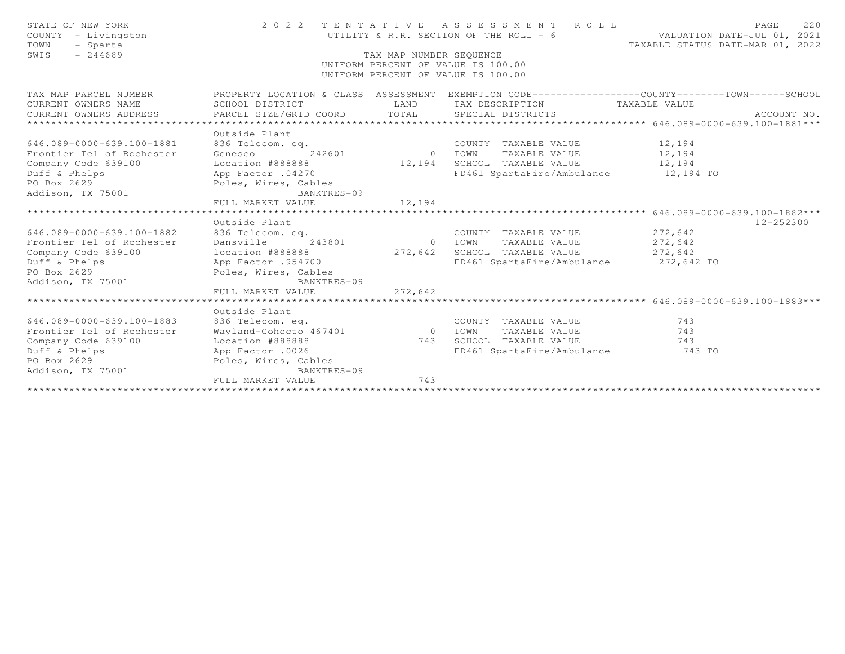| STATE OF NEW YORK<br>COUNTY - Livingston<br>TOWN<br>- Sparta<br>$-244689$<br>SWIS                                                          |                                                                        | TAX MAP NUMBER SEOUENCE | 2022 TENTATIVE ASSESSMENT ROLL<br>UTILITY & R.R. SECTION OF THE ROLL - 6 VALUATION DATE-JUL 01, 2021<br>UNIFORM PERCENT OF VALUE IS 100.00<br>UNIFORM PERCENT OF VALUE IS 100.00 | TAXABLE STATUS DATE-MAR 01, 2022 | PAGE<br>220   |
|--------------------------------------------------------------------------------------------------------------------------------------------|------------------------------------------------------------------------|-------------------------|----------------------------------------------------------------------------------------------------------------------------------------------------------------------------------|----------------------------------|---------------|
| TAX MAP PARCEL NUMBER                                                                                                                      |                                                                        |                         | PROPERTY LOCATION & CLASS ASSESSMENT EXEMPTION CODE----------------COUNTY-------TOWN------SCHOOL                                                                                 |                                  |               |
| CURRENT OWNERS NAME                                                                                                                        | SCHOOL DISTRICT                                                        |                         | LAND TAX DESCRIPTION TAXABLE VALUE                                                                                                                                               |                                  |               |
| CURRENT OWNERS ADDRESS                                                                                                                     |                                                                        |                         |                                                                                                                                                                                  |                                  |               |
|                                                                                                                                            | Outside Plant                                                          |                         |                                                                                                                                                                                  |                                  |               |
| 646.089-0000-639.100-1881                                                                                                                  | 836 Telecom. eq.                                                       |                         | COUNTY TAXABLE VALUE 12,194                                                                                                                                                      |                                  |               |
| Frontier Tel of Rochester                                                                                                                  | Geneseo 242601 0 TOWN                                                  |                         | TAXABLE VALUE 12,194                                                                                                                                                             |                                  |               |
| Company Code 639100                                                                                                                        |                                                                        |                         | Location #888888 $12,194$ SCHOOL TAXABLE VALUE 12,194                                                                                                                            |                                  |               |
| Duff & Phelps App Factor .04270                                                                                                            |                                                                        |                         | FD461 SpartaFire/Ambulance 12,194 TO                                                                                                                                             |                                  |               |
| PO Box 2629                                                                                                                                | Poles, Wires, Cables                                                   |                         |                                                                                                                                                                                  |                                  |               |
| Addison, TX 75001                                                                                                                          | BANKTRES-09                                                            |                         |                                                                                                                                                                                  |                                  |               |
|                                                                                                                                            | FULL MARKET VALUE                                                      | 12,194                  |                                                                                                                                                                                  |                                  |               |
|                                                                                                                                            |                                                                        |                         |                                                                                                                                                                                  |                                  |               |
|                                                                                                                                            | Outside Plant                                                          |                         |                                                                                                                                                                                  |                                  | $12 - 252300$ |
| 646.089-0000-639.100-1882<br>Frontier Tel of Rochester                                                                                     | 836 Telecom. eq.<br>Dansville                                          | 0 TOWN                  | COUNTY TAXABLE VALUE 272,642                                                                                                                                                     |                                  |               |
| Company Code 639100                                                                                                                        | 243801                                                                 |                         | TAXABLE VALUE 272,642                                                                                                                                                            |                                  |               |
|                                                                                                                                            | location #888888<br>App Factor .954700<br>FD461 SpartaFire/Ambul FD461 |                         | FD461 SpartaFire/Ambulance 272,642 TO                                                                                                                                            | 272,642                          |               |
| Duff & Phelps App Factor .954700<br>PO Box 2629                                                                                            | Poles, Wires, Cables                                                   |                         |                                                                                                                                                                                  |                                  |               |
| Addison, TX 75001                                                                                                                          | BANKTRES-09                                                            |                         |                                                                                                                                                                                  |                                  |               |
|                                                                                                                                            | FULL MARKET VALUE                                                      | 272,642                 |                                                                                                                                                                                  |                                  |               |
|                                                                                                                                            |                                                                        |                         |                                                                                                                                                                                  |                                  |               |
|                                                                                                                                            |                                                                        |                         |                                                                                                                                                                                  |                                  |               |
| 646.089-0000-639.100-1883                                                                                                                  | 836 Telecom. eq.                                                       |                         | COUNTY TAXABLE VALUE                                                                                                                                                             | 743<br>743                       |               |
| Frontier Tel of Rochester                                                                                                                  |                                                                        |                         |                                                                                                                                                                                  |                                  |               |
|                                                                                                                                            |                                                                        |                         |                                                                                                                                                                                  | 743                              |               |
|                                                                                                                                            |                                                                        |                         | FD461 SpartaFire/Ambulance 743 TO                                                                                                                                                |                                  |               |
|                                                                                                                                            |                                                                        |                         |                                                                                                                                                                                  |                                  |               |
|                                                                                                                                            | BANKTRES-09                                                            |                         |                                                                                                                                                                                  |                                  |               |
| App Factor .0026<br>App Factor .0026<br>Addison, TX 75001<br>Addison, TX 75001<br>Attical Society Report of the Society Poles, Wires, Cabi |                                                                        | 743                     |                                                                                                                                                                                  |                                  |               |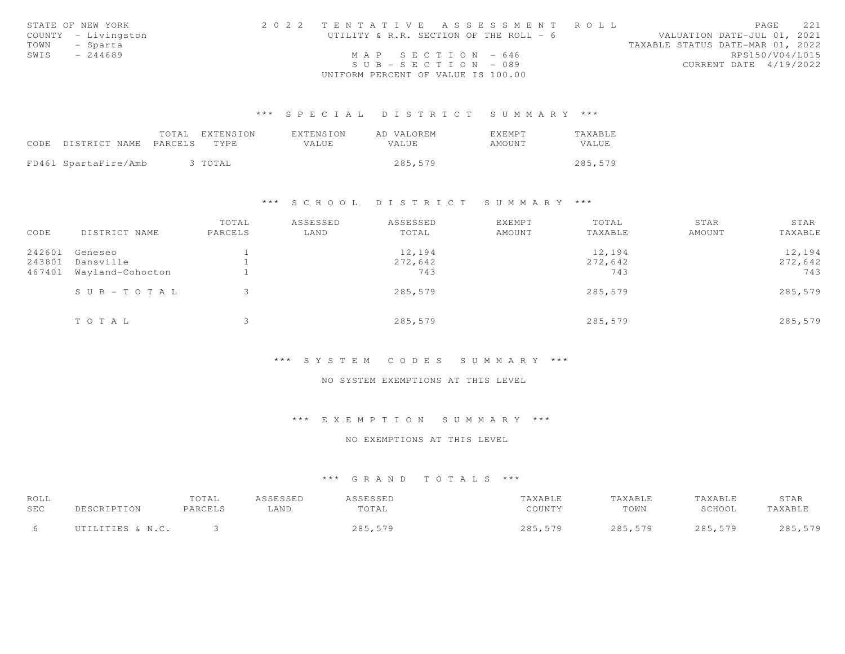|      | STATE OF NEW YORK   | 2022 TENTATIVE ASSESSMENT ROLL         | 221<br>PAGE                      |
|------|---------------------|----------------------------------------|----------------------------------|
|      | COUNTY - Livingston | UTILITY & R.R. SECTION OF THE ROLL - 6 | VALUATION DATE-JUL 01, 2021      |
|      | TOWN - Sparta       |                                        | TAXABLE STATUS DATE-MAR 01, 2022 |
| SWIS | - 244689            | MAP SECTION - 646                      | RPS150/V04/L015                  |
|      |                     | $SUB - SECTION - 089$                  | CURRENT DATE 4/19/2022           |
|      |                     | UNIFORM PERCENT OF VALUE IS 100.00     |                                  |

|                            | TOTAL EXTENSION | EXTENSION | AD VALOREM   | EXEMPT | TAXABLE      |
|----------------------------|-----------------|-----------|--------------|--------|--------------|
| CODE DISTRICT NAME PARCELS | TYPE.           | VALUE     | <b>VALUE</b> | AMOUNT | <b>VALUE</b> |
|                            |                 |           |              |        |              |
| FD461 SpartaFire/Amb       | 3 TOTAL         |           | 285,579      |        | 285,579      |

#### \*\*\* S C H O O L D I S T R I C T S U M M A R Y \*\*\*

| CODE   | DISTRICT NAME          | TOTAL<br>PARCELS | ASSESSED<br>LAND | ASSESSED<br>TOTAL | EXEMPT<br>AMOUNT | TOTAL<br>TAXABLE | STAR<br>AMOUNT | STAR<br>TAXABLE |
|--------|------------------------|------------------|------------------|-------------------|------------------|------------------|----------------|-----------------|
| 242601 | Geneseo                |                  |                  | 12,194            |                  | 12,194           |                | 12,194          |
| 243801 | Dansville              |                  |                  | 272,642           |                  | 272,642          |                | 272,642         |
| 467401 | Wayland-Cohocton       |                  |                  | 743               |                  | 743              |                | 743             |
|        | $S \cup B - T O T A L$ |                  |                  | 285,579           |                  | 285,579          |                | 285,579         |
|        | TOTAL                  |                  |                  | 285,579           |                  | 285,579          |                | 285,579         |

### \*\*\* S Y S T E M C O D E S S U M M A R Y \*\*\*

### NO SYSTEM EXEMPTIONS AT THIS LEVEL

### \*\*\* E X E M P T I O N S U M M A R Y \*\*\*

### NO EXEMPTIONS AT THIS LEVEL

| ROLL |                  | TOTAL   | ASSESSED | <i><b>\SSESSED</b></i> | `AXABLE | TAXABLE | TAXABLE | STAR    |
|------|------------------|---------|----------|------------------------|---------|---------|---------|---------|
| SEC  |                  | PARCELS | LAND     | TOTAL                  | COUNTY  | TOWN    | SCHOOL  | TAXABLL |
|      | UTILITIES & N.C. |         |          | 285,579                | 285,579 | 285,579 | 285,579 | 285,579 |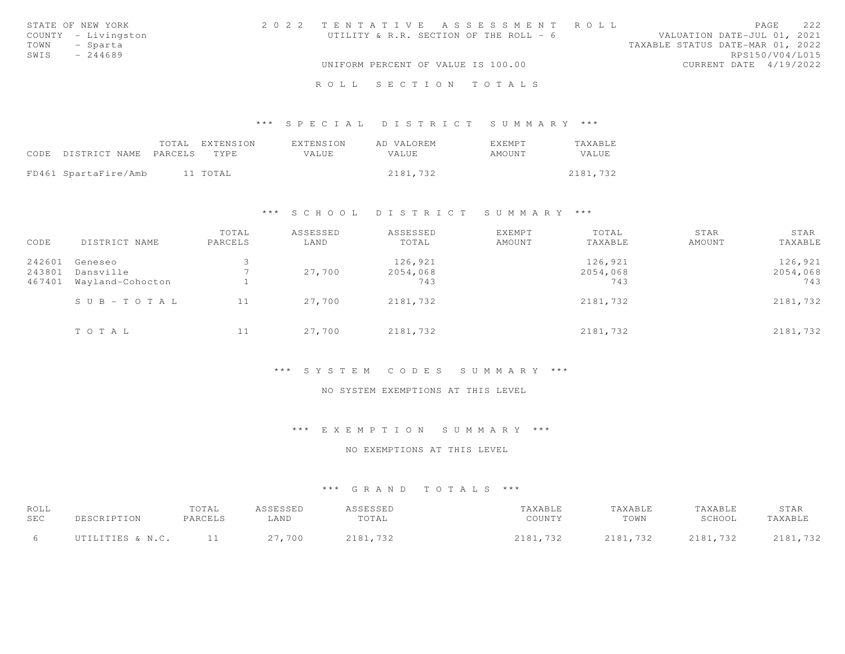| STATE OF NEW YORK   |  |  | 2022 TENTATIVE ASSESSMENT ROLL         |  |                                  | PAGE                   | 2.2.2 |
|---------------------|--|--|----------------------------------------|--|----------------------------------|------------------------|-------|
| COUNTY - Livingston |  |  | UTILITY & R.R. SECTION OF THE ROLL - 6 |  | VALUATION DATE-JUL 01, 2021      |                        |       |
| TOWN - Sparta       |  |  |                                        |  | TAXABLE STATUS DATE-MAR 01, 2022 |                        |       |
| SWIS<br>$-244689$   |  |  |                                        |  |                                  | RPS150/V04/L015        |       |
|                     |  |  | UNIFORM PERCENT OF VALUE IS 100.00     |  |                                  | CURRENT DATE 4/19/2022 |       |
|                     |  |  | ROLL SECTION TOTALS                    |  |                                  |                        |       |

| CODE DISTRICT NAME PARCELS TYPE | TOTAL EXTENSION | EXTENSION<br>VALUE | AD VALOREM<br>VALUE | EXEMPT<br>AMOUNT | TAXABLE<br>VALUE |
|---------------------------------|-----------------|--------------------|---------------------|------------------|------------------|
| FD461 SpartaFire/Amb            | 11 TOTAL        |                    | 2181,732            |                  | 2181,732         |

### \*\*\* S C H O O L D I S T R I C T S U M M A R Y \*\*\*

| CODE   | DISTRICT NAME          | TOTAL<br>PARCELS | ASSESSED<br>LAND | ASSESSED<br>TOTAL | EXEMPT<br>AMOUNT | TOTAL<br>TAXABLE | STAR<br>AMOUNT | STAR<br>TAXABLE |
|--------|------------------------|------------------|------------------|-------------------|------------------|------------------|----------------|-----------------|
| 242601 | Geneseo                |                  |                  | 126,921           |                  | 126,921          |                | 126,921         |
| 243801 | Dansville              |                  | 27,700           | 2054,068          |                  | 2054,068         |                | 2054,068        |
| 467401 | Wayland-Cohocton       |                  |                  | 743               |                  | 743              |                | 743             |
|        | $S \cup B - T O T A L$ | 11               | 27,700           | 2181,732          |                  | 2181,732         |                | 2181,732        |
|        | TOTAL                  | 11               | 27,700           | 2181,732          |                  | 2181,732         |                | 2181,732        |

## \*\*\* S Y S T E M C O D E S S U M M A R Y \*\*\*

### NO SYSTEM EXEMPTIONS AT THIS LEVEL

### \*\*\* E X E M P T I O N S U M M A R Y \*\*\*

#### NO EXEMPTIONS AT THIS LEVEL

| ROLL       |                  | TOTAL   | ASSESSED | ASSESSED | TAXABLE  | TAXABLE  | TAXABLE  | STAR             |
|------------|------------------|---------|----------|----------|----------|----------|----------|------------------|
| <b>SEC</b> |                  | PARCELS | ⊥AND     | TOTAL    | COUNTY   | TOWN     | SCHOOL   | TAXABLE          |
|            | UTILITIES & N.C. |         | 27,700   | 2181,732 | 2181,732 | 2181,732 | 2181,732 | 2181,732<br>2181 |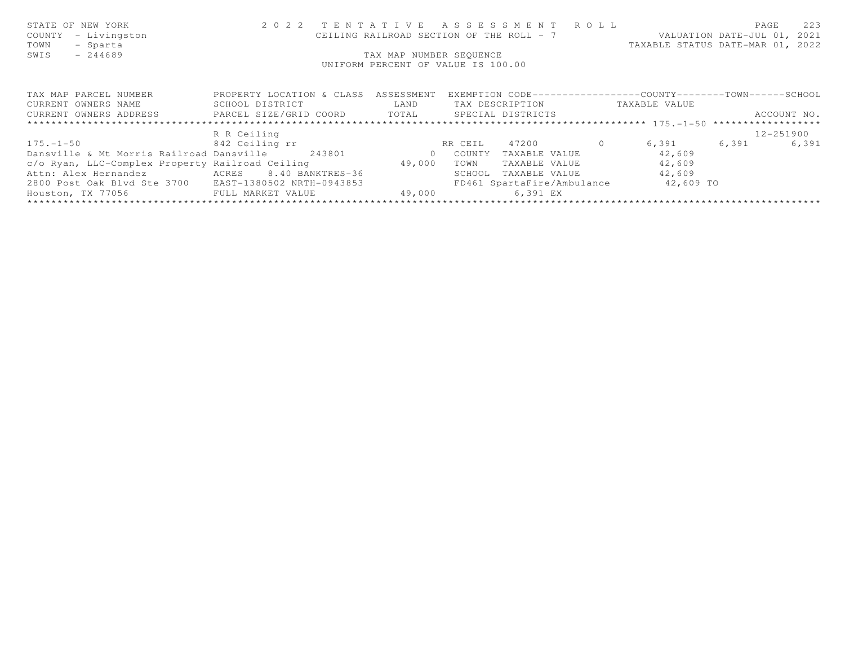| STATE OF NEW YORK<br>COUNTY<br>- Livingston<br>TOWN<br>- Sparta             |                                      |        | 2022 TENTATIVE ASSESSMENT ROLL<br>CEILING RAILROAD SECTION OF THE ROLL - 7 VALUATION DATE-JUL 01, 2021 | TAXABLE STATUS DATE-MAR 01, 2022 | PAGE        | 223   |
|-----------------------------------------------------------------------------|--------------------------------------|--------|--------------------------------------------------------------------------------------------------------|----------------------------------|-------------|-------|
| $-244689$<br>SWIS                                                           |                                      |        | TAX MAP NUMBER SEOUENCE                                                                                |                                  |             |       |
|                                                                             |                                      |        | UNIFORM PERCENT OF VALUE IS 100.00                                                                     |                                  |             |       |
|                                                                             |                                      |        |                                                                                                        |                                  |             |       |
|                                                                             |                                      |        |                                                                                                        |                                  |             |       |
| TAX MAP PARCEL NUMBER                                                       | PROPERTY LOCATION & CLASS ASSESSMENT |        | EXEMPTION CODE-----------------COUNTY-------TOWN------SCHOOL                                           |                                  |             |       |
| CURRENT OWNERS NAME                                                         | <b>LAND</b><br>SCHOOL DISTRICT       |        | TAX DESCRIPTION TAXABLE VALUE                                                                          |                                  |             |       |
| CURRENT OWNERS ADDRESS 6 PARCEL SIZE/GRID COORD TOTAL SPECIAL DISTRICTS     |                                      |        |                                                                                                        |                                  | ACCOUNT NO. |       |
|                                                                             |                                      |        |                                                                                                        |                                  |             |       |
|                                                                             | R R Ceiling                          |        |                                                                                                        |                                  | 12-251900   |       |
| $175. -1 - 50$ 842 Ceiling rr                                               |                                      |        | RR CEIL 47200 0                                                                                        | 6,391 6,391                      |             | 6,391 |
| Dansville & Mt Morris Railroad Dansville 243801 60 000 COUNTY TAXABLE VALUE |                                      |        |                                                                                                        | 42,609                           |             |       |
| c/o Ryan, LLC-Complex Property Railroad Ceiling 49,000                      |                                      |        | TOWN<br>TAXABLE VALUE                                                                                  | 42,609                           |             |       |
| Attn: Alex Hernandez                 ACRES      8.40 BANKTRES-36            |                                      |        | SCHOOL<br>TAXABLE VALUE                                                                                | 42,609                           |             |       |
| 2800 Post Oak Blvd Ste 3700 EAST-1380502 NRTH-0943853                       |                                      |        | FD461 SpartaFire/Ambulance 42,609 TO                                                                   |                                  |             |       |
| Houston, TX 77056 FULL MARKET VALUE                                         |                                      | 49,000 | 6,391 EX                                                                                               |                                  |             |       |
|                                                                             |                                      |        |                                                                                                        |                                  |             |       |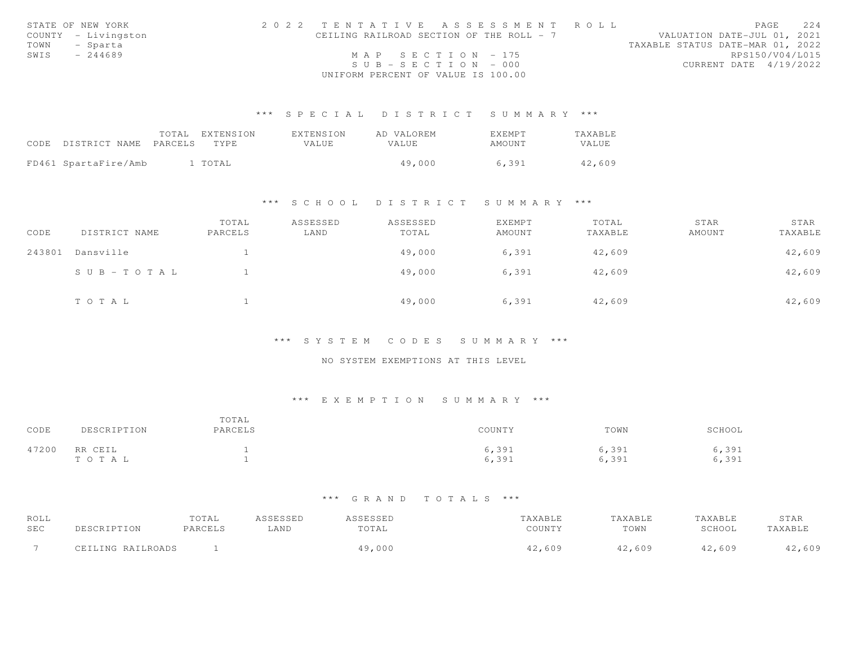|      | STATE OF NEW YORK   | 2022 TENTATIVE ASSESSMENT ROLL |                                          |                       |  |  |  |                                  |                        | PAGE | 2.2.4 |
|------|---------------------|--------------------------------|------------------------------------------|-----------------------|--|--|--|----------------------------------|------------------------|------|-------|
|      | COUNTY - Livingston |                                | CEILING RAILROAD SECTION OF THE ROLL - 7 |                       |  |  |  | VALUATION DATE-JUL 01, 2021      |                        |      |       |
|      | TOWN - Sparta       |                                |                                          |                       |  |  |  | TAXABLE STATUS DATE-MAR 01, 2022 |                        |      |       |
| SWIS | $-244689$           |                                |                                          | MAP SECTION - 175     |  |  |  |                                  | RPS150/V04/L015        |      |       |
|      |                     |                                |                                          | $SUB - SECTION - 000$ |  |  |  |                                  | CURRENT DATE 4/19/2022 |      |       |
|      |                     |                                | UNIFORM PERCENT OF VALUE IS 100.00       |                       |  |  |  |                                  |                        |      |       |

| CODE DISTRICT NAME PARCELS | TOTAL | EXTENSION<br>TYPE. | EXTENSION<br>VALUE | AD VALOREM<br>VALUE | <b>FXFMPT</b><br>AMOUNT | TAXABLE<br>VALUE |
|----------------------------|-------|--------------------|--------------------|---------------------|-------------------------|------------------|
| FD461 SpartaFire/Amb       |       | 1 TOTAL            |                    | 49,000              | 6,391                   | 42,609           |

### \*\*\* S C H O O L D I S T R I C T S U M M A R Y \*\*\*

| CODE   | DISTRICT NAME          | TOTAL<br>PARCELS | ASSESSED<br>LAND | ASSESSED<br>TOTAL | EXEMPT<br>AMOUNT | TOTAL<br>TAXABLE | STAR<br>AMOUNT | STAR<br>TAXABLE |
|--------|------------------------|------------------|------------------|-------------------|------------------|------------------|----------------|-----------------|
| 243801 | Dansville              |                  |                  | 49,000            | 6,391            | 42,609           |                | 42,609          |
|        | $S \cup B - T O T A L$ |                  |                  | 49,000            | 6,391            | 42,609           |                | 42,609          |
|        | TOTAL                  |                  |                  | 49,000            | 6,391            | 42,609           |                | 42,609          |

### \*\*\* S Y S T E M C O D E S S U M M A R Y \*\*\*

## NO SYSTEM EXEMPTIONS AT THIS LEVEL

## \*\*\* E X E M P T I O N S U M M A R Y \*\*\*

| CODE  | DESCRIPTION      | TOTAL<br>PARCELS | COUNTY         | TOWN           | SCHOOL         |
|-------|------------------|------------------|----------------|----------------|----------------|
| 47200 | RR CEIL<br>TOTAL |                  | 6,391<br>6,391 | 6,391<br>6,391 | 6,391<br>6,391 |

| ROLL                     |                   | TOTAL   | CCFCCFD | ᆸᇦᇦᆸᇦ  |               | `AXABLE |        | STAR  |
|--------------------------|-------------------|---------|---------|--------|---------------|---------|--------|-------|
| SEC                      |                   | PARCELS | LAND    | TOTAL  | COUNTY        | TOWN    | SCHOOL | AXABL |
| $\overline{\phantom{0}}$ | CEILING RAILROADS |         |         | 19,000 | 609<br>$\sim$ | ,609    | 2,609  | ,609  |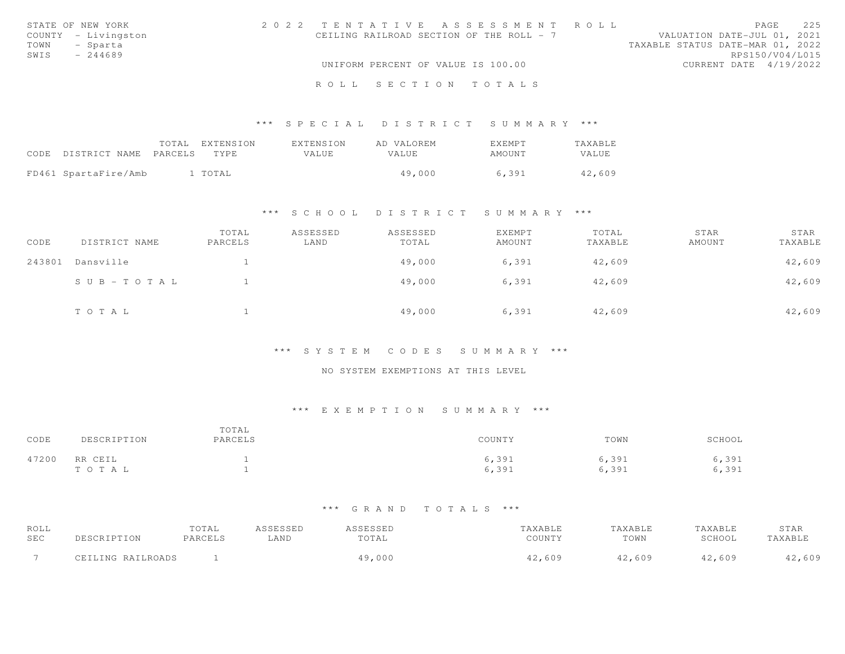| STATE OF NEW YORK   | 2022 TENTATIVE ASSESSMENT ROLL           |  |                                  |                 | PAGE | 22.5 |
|---------------------|------------------------------------------|--|----------------------------------|-----------------|------|------|
| COUNTY - Livingston | CEILING RAILROAD SECTION OF THE ROLL - 7 |  | VALUATION DATE-JUL 01, 2021      |                 |      |      |
| TOWN - Sparta       |                                          |  | TAXABLE STATUS DATE-MAR 01, 2022 |                 |      |      |
| SWIS<br>$-244689$   |                                          |  |                                  | RPS150/V04/L015 |      |      |
|                     | UNIFORM PERCENT OF VALUE IS 100.00       |  | CURRENT DATE 4/19/2022           |                 |      |      |
|                     | ROLL SECTION TOTALS                      |  |                                  |                 |      |      |

|                                 | TOTAL EXTENSION | EXTENSION | AD VALOREM | <b>EXEMPT</b> | <b>TAXABLE</b> |
|---------------------------------|-----------------|-----------|------------|---------------|----------------|
| CODE DISTRICT NAME PARCELS TYPE |                 | VALUE     | VALUE      | AMOUNT        | VALUE          |
| FD461 SpartaFire/Amb            | 1 TOTAL         |           | 49,000     | 6.391         | 42,609         |

### \*\*\* S C H O O L D I S T R I C T S U M M A R Y \*\*\*

| CODE   | DISTRICT NAME         | TOTAL<br>PARCELS | ASSESSED<br>LAND | ASSESSED<br>TOTAL | EXEMPT<br>AMOUNT | TOTAL<br>TAXABLE | STAR<br>AMOUNT | STAR<br>TAXABLE |
|--------|-----------------------|------------------|------------------|-------------------|------------------|------------------|----------------|-----------------|
| 243801 | Dansville             |                  |                  | 49,000            | 6,391            | 42,609           |                | 42,609          |
|        | $S \cup B - TO T A L$ |                  |                  | 49,000            | 6,391            | 42,609           |                | 42,609          |
|        | TOTAL                 |                  |                  | 49,000            | 6,391            | 42,609           |                | 42,609          |

### \*\*\* S Y S T E M C O D E S S U M M A R Y \*\*\*

### NO SYSTEM EXEMPTIONS AT THIS LEVEL

# \*\*\* E X E M P T I O N S U M M A R Y \*\*\*

| CODE  | DESCRIPTION      | TOTAL<br>PARCELS | COUNTY         | TOWN           | SCHOOL         |
|-------|------------------|------------------|----------------|----------------|----------------|
| 47200 | RR CEIL<br>TOTAL |                  | 6,391<br>6,391 | 6,391<br>6,391 | 6,391<br>6,391 |

| ROLL       |                   | TOTAL   | ASSESSED | ASSESSED | TAXABLE | TAXABLE | TAXABLE | STAR    |
|------------|-------------------|---------|----------|----------|---------|---------|---------|---------|
| <b>SEC</b> | DESCRIPTION       | PARCELS | LAND     | TOTAL    | COUNTY  | TOWN    | SCHOOL  | TAXABLE |
|            | CEILING RAILROADS |         |          | 19,000   | 42,609  | 42,609  | 42,609  | 42,609  |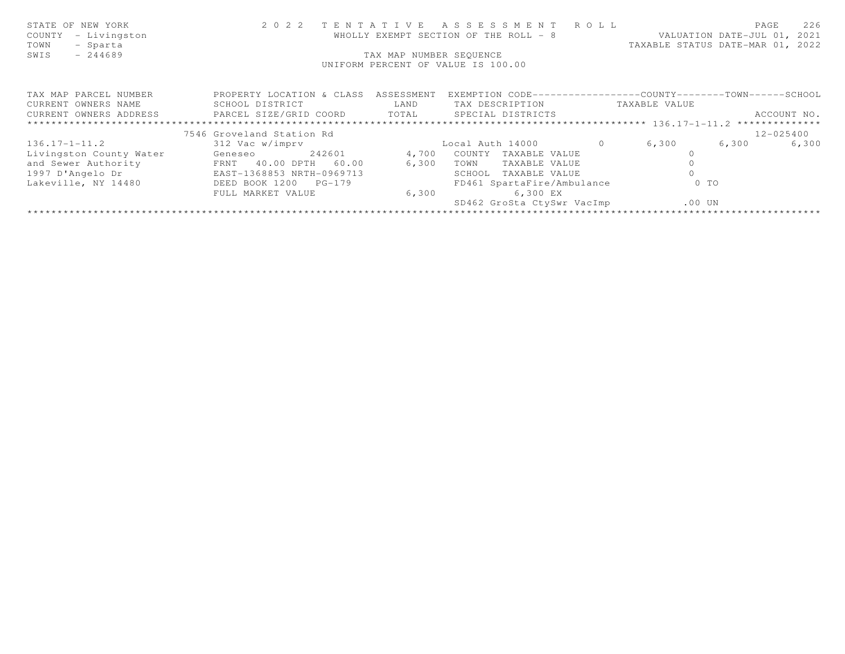| STATE OF NEW YORK<br>COUNTY<br>- Livingston<br>- Sparta<br>TOWN<br>SWIS<br>$-244689$ |                                      | TAX MAP NUMBER SEQUENCE | 2022 TENTATIVE ASSESSMENT ROLL<br>WHOLLY EXEMPT SECTION OF THE ROLL - 8<br>UNIFORM PERCENT OF VALUE IS 100.00 |               | 226<br>PAGE<br>VALUATION DATE-JUL 01, 2021<br>TAXABLE STATUS DATE-MAR 01, 2022 |
|--------------------------------------------------------------------------------------|--------------------------------------|-------------------------|---------------------------------------------------------------------------------------------------------------|---------------|--------------------------------------------------------------------------------|
| TAX MAP PARCEL NUMBER                                                                | PROPERTY LOCATION & CLASS ASSESSMENT |                         | EXEMPTION CODE-----------------COUNTY-------TOWN------SCHOOL                                                  |               |                                                                                |
| CURRENT OWNERS NAME                                                                  | SCHOOL DISTRICT                      | LAND                    | TAX DESCRIPTION                                                                                               | TAXABLE VALUE |                                                                                |
| CURRENT OWNERS ADDRESS     PARCEL SIZE/GRID COORD     TOTAL     SPECIAL DISTRICTS    |                                      |                         |                                                                                                               |               | ACCOUNT NO.                                                                    |
|                                                                                      |                                      |                         |                                                                                                               |               |                                                                                |
|                                                                                      | 7546 Groveland Station Rd            |                         |                                                                                                               |               | 12-025400                                                                      |
| $136.17 - 1 - 11.2$                                                                  | 312 Vac w/imprv                      |                         | Local Auth 14000 0                                                                                            | 6,300         | 6,300<br>6,300                                                                 |
| Livingston County Water                                                              | 242601<br>Geneseo                    | 4,700                   | COUNTY TAXABLE VALUE                                                                                          |               |                                                                                |
| and Sewer Authority                                                                  | FRNT 40.00 DPTH 60.00                | 6,300                   | TOWN<br>TAXABLE VALUE                                                                                         |               |                                                                                |
| 1997 D'Angelo Dr                                                                     | EAST-1368853 NRTH-0969713            |                         | SCHOOL TAXABLE VALUE                                                                                          |               |                                                                                |
| Lakeville, NY 14480                                                                  | DEED BOOK 1200 PG-179                |                         | FD461 SpartaFire/Ambulance                                                                                    | $0$ TO        |                                                                                |
|                                                                                      | FULL MARKET VALUE                    | 6,300                   | 6,300 EX                                                                                                      |               |                                                                                |
|                                                                                      |                                      |                         | SD462 GroSta CtySwr VacImp                                                                                    | $.00$ UN      |                                                                                |
|                                                                                      |                                      |                         |                                                                                                               |               |                                                                                |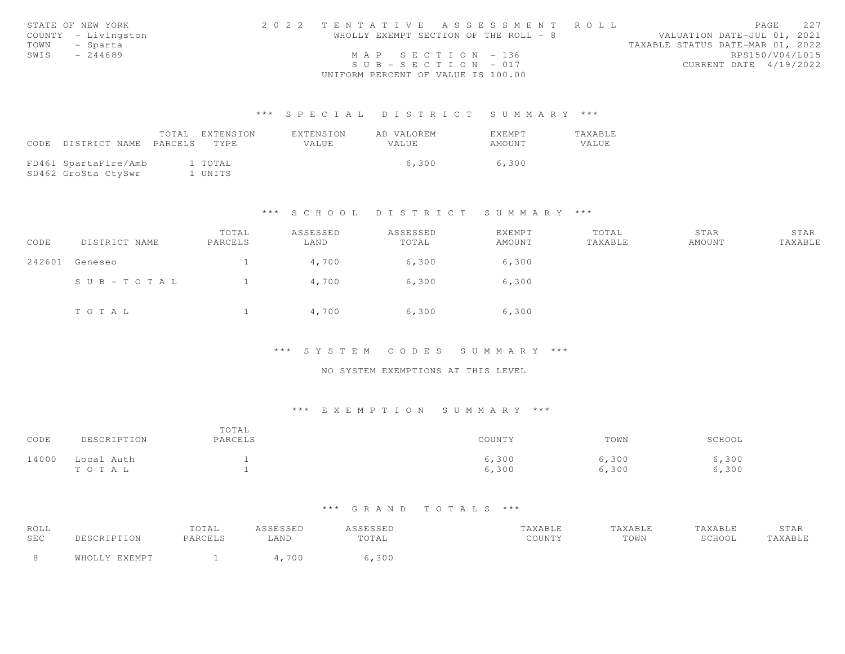|      | STATE OF NEW YORK   | 2022 TENTATIVE ASSESSMENT ROLL        |  |                                  | PAGE.           | 227 |
|------|---------------------|---------------------------------------|--|----------------------------------|-----------------|-----|
|      | COUNTY - Livingston | WHOLLY EXEMPT SECTION OF THE ROLL - 8 |  | VALUATION DATE-JUL 01, 2021      |                 |     |
|      | TOWN - Sparta       |                                       |  | TAXABLE STATUS DATE-MAR 01, 2022 |                 |     |
| SWIS | - 244689            | MAP SECTION - 136                     |  |                                  | RPS150/V04/L015 |     |
|      |                     | $SUB - SECTION - 017$                 |  | CURRENT DATE 4/19/2022           |                 |     |
|      |                     | UNIFORM PERCENT OF VALUE IS 100.00    |  |                                  |                 |     |

|       |                       | TOTAL EXTENSION | EXTENSION | AD VALOREM | EXEMPT | <b>TAXABLE</b> |
|-------|-----------------------|-----------------|-----------|------------|--------|----------------|
| CODE. | DISTRICT NAME PARCELS | TYPE.           | VALUE     | VALUE      | AMOUNT | VALUE          |
|       |                       |                 |           |            |        |                |
|       | FD461 SpartaFire/Amb  | 1 TOTAL         |           | 6,300      | 6,300  |                |
|       | SD462 GroSta CtySwr   | 1 UNITS         |           |            |        |                |

## \*\*\* S C H O O L D I S T R I C T S U M M A R Y \*\*\*

| CODE   | DISTRICT NAME | TOTAL<br>PARCELS | ASSESSED<br>LAND | ASSESSED<br>TOTAL | EXEMPT<br>AMOUNT | TOTAL<br>TAXABLE | STAR<br>AMOUNT | STAR<br>TAXABLE |
|--------|---------------|------------------|------------------|-------------------|------------------|------------------|----------------|-----------------|
| 242601 | Geneseo       |                  | 4,700            | 6,300             | 6,300            |                  |                |                 |
|        | SUB-TOTAL     |                  | 4,700            | 6,300             | 6,300            |                  |                |                 |
|        | TOTAL         |                  | 4,700            | 6,300             | 6,300            |                  |                |                 |

### \*\*\* S Y S T E M C O D E S S U M M A R Y \*\*\*

### NO SYSTEM EXEMPTIONS AT THIS LEVEL

# \*\*\* E X E M P T I O N S U M M A R Y \*\*\*

| CODE  | DESCRIPTION         | TOTAL<br>PARCELS | COUNTY         | TOWN           | SCHOOL         |
|-------|---------------------|------------------|----------------|----------------|----------------|
| 14000 | Local Auth<br>TOTAL |                  | 6,300<br>6,300 | 6,300<br>6,300 | 6,300<br>6,300 |

| ROLL |                       | TOTAL   | <b>CCTCCTD</b><br>ستددت | ASSESSED | TAXABLE | "AXABLE | TAXABLE | STAR    |
|------|-----------------------|---------|-------------------------|----------|---------|---------|---------|---------|
| SEC  | DESCRIPTION           | PARCELS | <b>AND</b>              | TOTAL    | COUNTY  | TOWN    | SCHOOL  | TAXABLE |
|      | <b>UVEMDT</b><br>ធា¤∩ |         | 70C                     | 6,300    |         |         |         |         |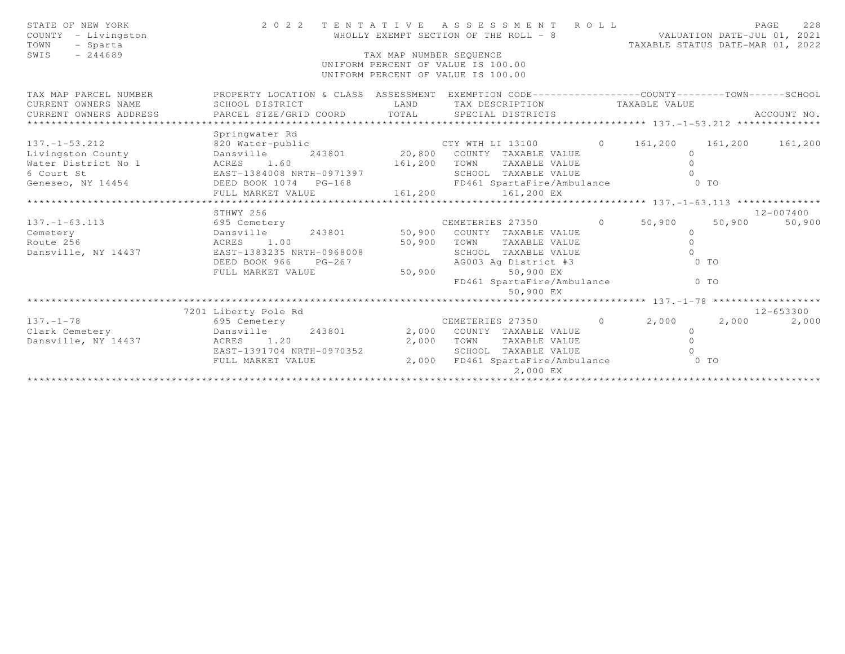| STATE OF NEW YORK<br>COUNTY - Livingston<br>TOWN<br>- Sparta<br>$-244689$<br>SWIS | 2 0 2 2                                                                                                             | TAX MAP NUMBER SEQUENCE | TENTATIVE ASSESSMENT ROLL<br>WHOLLY EXEMPT SECTION OF THE ROLL - 8<br>WHOLLY EXEMPT SECTION OF THE ROLL - 8<br>TAXABLE STATUS DATE-MAR 01, 2022<br>UNIFORM PERCENT OF VALUE IS 100.00<br>UNIFORM PERCENT OF VALUE IS 100.00 |                |                |         | PAGE<br>228   |
|-----------------------------------------------------------------------------------|---------------------------------------------------------------------------------------------------------------------|-------------------------|-----------------------------------------------------------------------------------------------------------------------------------------------------------------------------------------------------------------------------|----------------|----------------|---------|---------------|
| TAX MAP PARCEL NUMBER<br>CURRENT OWNERS NAME                                      | PROPERTY LOCATION & CLASS ASSESSMENT EXEMPTION CODE----------------COUNTY--------TOWN-----SCHOOL<br>SCHOOL DISTRICT | LAND                    | TAX DESCRIPTION                                                                                                                                                                                                             |                | TAXABLE VALUE  |         |               |
| CURRENT OWNERS ADDRESS                                                            | PARCEL SIZE/GRID COORD TOTAL                                                                                        |                         | SPECIAL DISTRICTS                                                                                                                                                                                                           |                |                |         | ACCOUNT NO.   |
| *************************                                                         |                                                                                                                     |                         |                                                                                                                                                                                                                             |                |                |         |               |
|                                                                                   | Springwater Rd                                                                                                      |                         |                                                                                                                                                                                                                             |                |                |         |               |
| $137. - 1 - 53.212$                                                               | 820 Water-public                                                                                                    |                         | CTY WTH LI 13100                                                                                                                                                                                                            |                | $0 \t 161,200$ | 161,200 | 161,200       |
| Livingston County                                                                 | Dansville                                                                                                           |                         | 243801 20,800 COUNTY TAXABLE VALUE                                                                                                                                                                                          |                | $\circ$        |         |               |
| Water District No 1                                                               | ACRES 1.60                                                                                                          | 161,200                 | TOWN<br>TAXABLE VALUE                                                                                                                                                                                                       |                | $\Omega$       |         |               |
| 6 Court St                                                                        | EAST-1384008 NRTH-0971397                                                                                           |                         | SCHOOL TAXABLE VALUE                                                                                                                                                                                                        |                |                |         |               |
| Geneseo, NY 14454                                                                 | DEED BOOK 1074    PG-168                                                                                            |                         | FD461 SpartaFire/Ambulance                                                                                                                                                                                                  |                | $0$ TO         |         |               |
|                                                                                   | FULL MARKET VALUE                                                                                                   | 161,200                 | 161,200 EX                                                                                                                                                                                                                  |                |                |         |               |
|                                                                                   | STHWY 256                                                                                                           |                         |                                                                                                                                                                                                                             |                |                |         | $12 - 007400$ |
| $137. - 1 - 63.113$                                                               | 695 Cemetery                                                                                                        |                         | CEMETERIES 27350                                                                                                                                                                                                            | $\overline{0}$ | 50,900         | 50,900  | 50,900        |
| Cemetery                                                                          | 243801<br>Dansville                                                                                                 | 50,900                  | COUNTY TAXABLE VALUE                                                                                                                                                                                                        |                | $\circ$        |         |               |
| Route 256                                                                         | ACRES 1.00                                                                                                          | 50,900                  | TOWN<br>TAXABLE VALUE                                                                                                                                                                                                       |                | $\circ$        |         |               |
| Dansville, NY 14437                                                               | EAST-1383235 NRTH-0968008                                                                                           |                         | SCHOOL TAXABLE VALUE                                                                                                                                                                                                        |                | $\Omega$       |         |               |
|                                                                                   | DEED BOOK 966<br>$PG-267$                                                                                           |                         | AG003 Ag District #3                                                                                                                                                                                                        |                | $0$ TO         |         |               |
|                                                                                   | FULL MARKET VALUE                                                                                                   | 50,900                  | 50,900 EX                                                                                                                                                                                                                   |                |                |         |               |
|                                                                                   |                                                                                                                     |                         | FD461 SpartaFire/Ambulance<br>50,900 EX                                                                                                                                                                                     |                | $0$ TO         |         |               |
|                                                                                   |                                                                                                                     |                         |                                                                                                                                                                                                                             |                |                |         |               |
|                                                                                   | 7201 Liberty Pole Rd                                                                                                |                         |                                                                                                                                                                                                                             |                |                |         | 12-653300     |
| $137. - 1 - 78$                                                                   | 695 Cemetery                                                                                                        |                         | CEMETERIES 27350                                                                                                                                                                                                            | $\overline{0}$ | 2,000          | 2,000   | 2,000         |
| Clark Cemetery                                                                    | 243801<br>Dansville                                                                                                 | 2,000                   | COUNTY TAXABLE VALUE                                                                                                                                                                                                        |                | $\circ$        |         |               |
| Dansville, NY 14437                                                               | ACRES 1.20                                                                                                          | 2,000                   | TOWN<br>TAXABLE VALUE                                                                                                                                                                                                       |                | $\Omega$       |         |               |
|                                                                                   | EAST-1391704 NRTH-0970352                                                                                           |                         | SCHOOL TAXABLE VALUE                                                                                                                                                                                                        |                | $\cap$         |         |               |
|                                                                                   | FULL MARKET VALUE                                                                                                   | 2,000                   | FD461 SpartaFire/Ambulance<br>2,000 EX                                                                                                                                                                                      |                | $0$ TO         |         |               |
|                                                                                   |                                                                                                                     |                         |                                                                                                                                                                                                                             |                |                |         |               |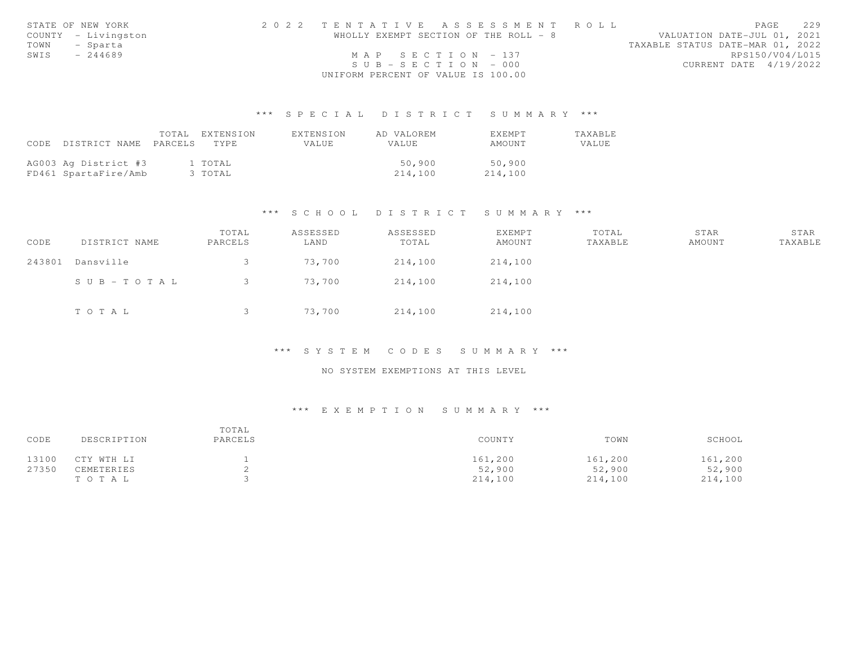|      | STATE OF NEW YORK   | 2022 TENTATIVE ASSESSMENT ROLL        |  |                                  | PAGE            | 229 |
|------|---------------------|---------------------------------------|--|----------------------------------|-----------------|-----|
|      | COUNTY - Livingston | WHOLLY EXEMPT SECTION OF THE ROLL - 8 |  | VALUATION DATE-JUL 01, 2021      |                 |     |
|      | TOWN - Sparta       |                                       |  | TAXABLE STATUS DATE-MAR 01, 2022 |                 |     |
| SWIS | $-244689$           | MAP SECTION - 137                     |  |                                  | RPS150/V04/L015 |     |
|      |                     | $SUB - SECTION - 000$                 |  | CURRENT DATE 4/19/2022           |                 |     |
|      |                     | UNIFORM PERCENT OF VALUE IS 100.00    |  |                                  |                 |     |

|      |                      |         | TOTAL EXTENSION | EXTENSION | AD VALOREM | EXEMPT  | TAXABLE |
|------|----------------------|---------|-----------------|-----------|------------|---------|---------|
| CODE | DISTRICT NAME        | PARCELS | TYPE.           | VALUE     | VALUE      | AMOUNT  | VALUE   |
|      |                      |         |                 |           |            |         |         |
|      | AG003 Ag District #3 |         | 1 TOTAL         |           | 50,900     | 50,900  |         |
|      | FD461 SpartaFire/Amb |         | 3 TOTAL         |           | 214,100    | 214,100 |         |

### \*\*\* S C H O O L D I S T R I C T S U M M A R Y \*\*\*

| CODE   | DISTRICT NAME | TOTAL<br>PARCELS | ASSESSED<br>LAND | ASSESSED<br>TOTAL | EXEMPT<br>AMOUNT | TOTAL<br>TAXABLE | STAR<br>AMOUNT | STAR<br>TAXABLE |
|--------|---------------|------------------|------------------|-------------------|------------------|------------------|----------------|-----------------|
| 243801 | Dansville     |                  | 73,700           | 214,100           | 214,100          |                  |                |                 |
|        | SUB-TOTAL     |                  | 73,700           | 214,100           | 214,100          |                  |                |                 |
|        | TOTAL         |                  | 73,700           | 214,100           | 214,100          |                  |                |                 |

### \*\*\* S Y S T E M C O D E S S U M M A R Y \*\*\*

# NO SYSTEM EXEMPTIONS AT THIS LEVEL

| CODE  | DESCRIPTION | TOTAL<br>PARCELS | COUNTY  | TOWN    | SCHOOL  |
|-------|-------------|------------------|---------|---------|---------|
| 13100 | CTY WTH LI  |                  | 161,200 | 161,200 | 161,200 |
| 27350 | CEMETERIES  |                  | 52,900  | 52,900  | 52,900  |
|       | T O T A L   |                  | 214,100 | 214,100 | 214,100 |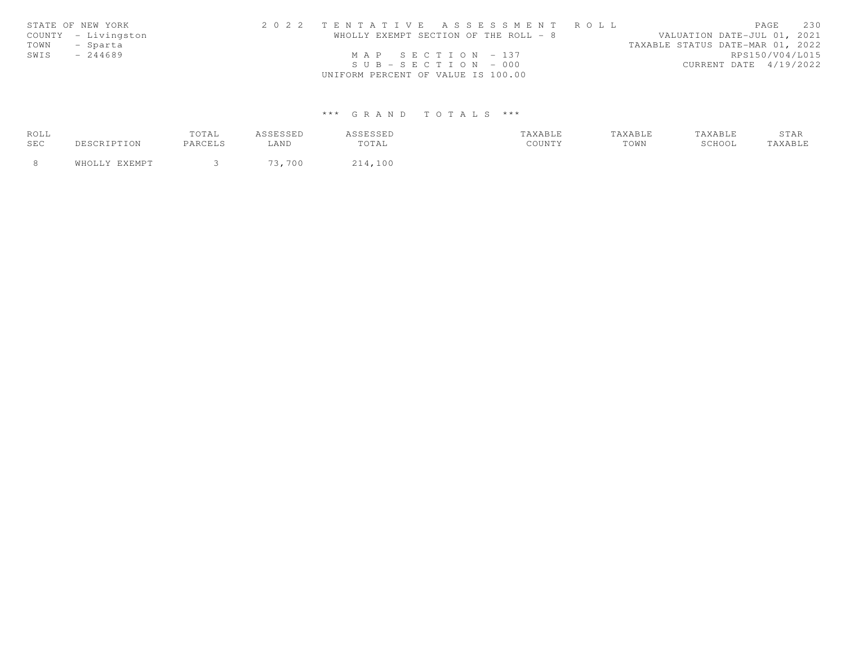|      | STATE OF NEW YORK   | 2022 TENTATIVE ASSESSMENT ROLL        |  |                                  | PAGE            | 2.30 |
|------|---------------------|---------------------------------------|--|----------------------------------|-----------------|------|
|      | COUNTY - Livingston | WHOLLY EXEMPT SECTION OF THE ROLL - 8 |  | VALUATION DATE-JUL 01, 2021      |                 |      |
| TOWN | - Sparta            |                                       |  | TAXABLE STATUS DATE-MAR 01, 2022 |                 |      |
| SWIS | $-244689$           | MAP SECTION $-137$                    |  |                                  | RPS150/V04/L015 |      |
|      |                     | $SUB - SECTION - 000$                 |  | CURRENT DATE 4/19/2022           |                 |      |
|      |                     | UNIFORM PERCENT OF VALUE IS 100.00    |  |                                  |                 |      |

| ROLL |               | TOTAL   | A S S F S S F D | <i><b>SSESSED</b></i> | TAXABLE | TAXABLE | TAXABLE | STAR          |
|------|---------------|---------|-----------------|-----------------------|---------|---------|---------|---------------|
| SEC  | DESCRIPTION   | PARCELS | ∟AND            | TOTAL                 | COUNTY  | TOWN    | SCHOOL  | <b>AXABLE</b> |
|      | WHOLLY EXEMPT |         | 73,700          | 214,100               |         |         |         |               |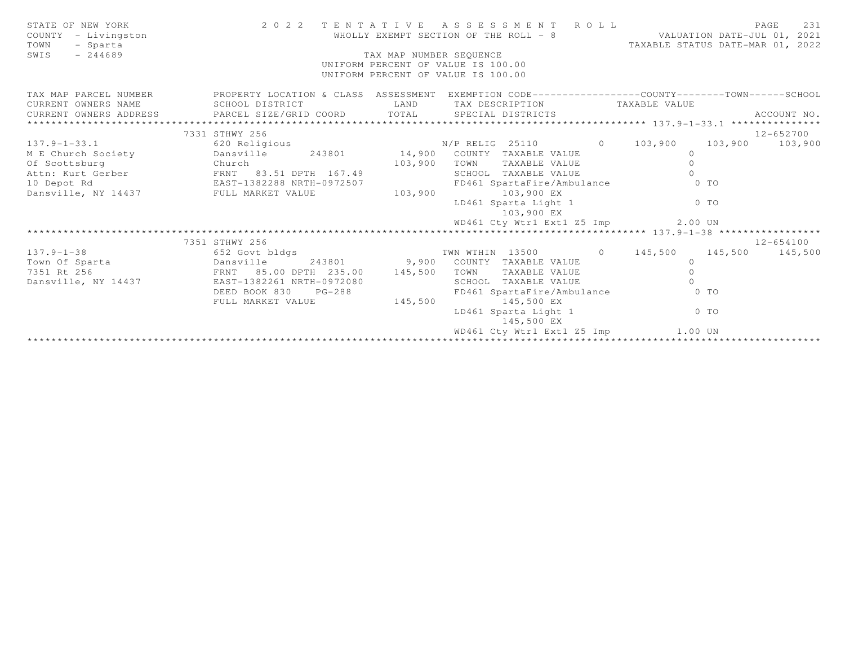| STATE OF NEW YORK<br>COUNTY - Livingston<br>- Sparta<br>TOWN<br>$-244689$<br>SWIS                                                                                                                                                                                                                                                                                                                                                                                                                                                                                                                                               | 2022 TENTATIVE ASSESSMENT ROLL<br>WHOLLY EXEMPT SECTION OF THE ROLL - 8 VALUATION DATE-JUL 01, 2021<br>TAX MAP NUMBER SEQUENCE<br>UNIFORM PERCENT OF VALUE IS 100.00<br>UNIFORM PERCENT OF VALUE IS 100.00 |         |                                                                 |  |          |                 |                 |
|---------------------------------------------------------------------------------------------------------------------------------------------------------------------------------------------------------------------------------------------------------------------------------------------------------------------------------------------------------------------------------------------------------------------------------------------------------------------------------------------------------------------------------------------------------------------------------------------------------------------------------|------------------------------------------------------------------------------------------------------------------------------------------------------------------------------------------------------------|---------|-----------------------------------------------------------------|--|----------|-----------------|-----------------|
| TAX MAP PARCEL NUMBER THE PROPERTY LOCATION & CLASS ASSESSMENT EXEMPTION CODE--------------COUNTY-------TOWN------SCHOOL<br>CURRENT OWNERS NAME SCHOOL DISTRICT<br>$\begin{minipage}{0.5cm} \begin{minipage}{0.5cm} \begin{minipage}{0.5cm} \begin{minipage}{0.5cm} \begin{minipage}{0.5cm} \begin{minipage}{0.5cm} \begin{minipage}{0.5cm} \begin{minipage}{0.5cm} \begin{minipage}{0.5cm} \begin{minipage}{0.5cm} \begin{minipage}{0.5cm} \begin{minipage}{0.5cm} \begin{minipage}{0.5cm} \begin{minipage}{0.5cm} \begin{minipage}{0.5cm} \begin{minipage}{0.5cm} \begin{minipage}{0.5cm} \begin{minipage}{0.5cm} \begin{min$ |                                                                                                                                                                                                            |         | LAND TAX DESCRIPTION TAXABLE VALUE                              |  |          |                 |                 |
|                                                                                                                                                                                                                                                                                                                                                                                                                                                                                                                                                                                                                                 | 7331 STHWY 256                                                                                                                                                                                             |         |                                                                 |  |          |                 | 12-652700       |
| $137.9 - 1 - 33.1$                                                                                                                                                                                                                                                                                                                                                                                                                                                                                                                                                                                                              | 620 Religious                                                                                                                                                                                              |         | N/P RELIG 25110 0 103,900<br>243801 14,900 COUNTY TAXABLE VALUE |  | $\circ$  |                 | 103,900 103,900 |
| M E Church Society Dansville                                                                                                                                                                                                                                                                                                                                                                                                                                                                                                                                                                                                    |                                                                                                                                                                                                            | 103,900 | TOWN<br>TAXABLE VALUE                                           |  | $\Omega$ |                 |                 |
|                                                                                                                                                                                                                                                                                                                                                                                                                                                                                                                                                                                                                                 |                                                                                                                                                                                                            |         | SCHOOL TAXABLE VALUE                                            |  |          |                 |                 |
|                                                                                                                                                                                                                                                                                                                                                                                                                                                                                                                                                                                                                                 |                                                                                                                                                                                                            |         | FD461 SpartaFire/Ambulance 0 TO                                 |  |          |                 |                 |
|                                                                                                                                                                                                                                                                                                                                                                                                                                                                                                                                                                                                                                 |                                                                                                                                                                                                            | 103,900 | 103,900 EX                                                      |  |          |                 |                 |
|                                                                                                                                                                                                                                                                                                                                                                                                                                                                                                                                                                                                                                 |                                                                                                                                                                                                            |         | LD461 Sparta Light 1 0 TO<br>103,900 EX                         |  |          |                 |                 |
|                                                                                                                                                                                                                                                                                                                                                                                                                                                                                                                                                                                                                                 |                                                                                                                                                                                                            |         | WD461 Cty Wtr1 Ext1 Z5 Imp 2.00 UN                              |  |          |                 |                 |
|                                                                                                                                                                                                                                                                                                                                                                                                                                                                                                                                                                                                                                 | ********************************                                                                                                                                                                           |         |                                                                 |  |          |                 |                 |
|                                                                                                                                                                                                                                                                                                                                                                                                                                                                                                                                                                                                                                 | 7351 STHWY 256                                                                                                                                                                                             |         |                                                                 |  |          |                 | 12-654100       |
| $137.9 - 1 - 38$                                                                                                                                                                                                                                                                                                                                                                                                                                                                                                                                                                                                                | 652 Govt bldgs                                                                                                                                                                                             |         | TWN WTHIN 13500 0 145,500                                       |  |          | 145,500 145,500 |                 |
|                                                                                                                                                                                                                                                                                                                                                                                                                                                                                                                                                                                                                                 |                                                                                                                                                                                                            |         | 243801 9,900 COUNTY TAXABLE VALUE                               |  | $\circ$  |                 |                 |
|                                                                                                                                                                                                                                                                                                                                                                                                                                                                                                                                                                                                                                 |                                                                                                                                                                                                            | 145,500 | TOWN TAXABLE VALUE                                              |  | $\Omega$ |                 |                 |
| Dansville, NY 14437 EAST-1382261 NRTH-0972080                                                                                                                                                                                                                                                                                                                                                                                                                                                                                                                                                                                   |                                                                                                                                                                                                            |         | SCHOOL TAXABLE VALUE                                            |  | $\cap$   |                 |                 |
|                                                                                                                                                                                                                                                                                                                                                                                                                                                                                                                                                                                                                                 | DEED BOOK 830<br>$PG-288$                                                                                                                                                                                  |         | FD461 SpartaFire/Ambulance 0 TO                                 |  |          |                 |                 |
|                                                                                                                                                                                                                                                                                                                                                                                                                                                                                                                                                                                                                                 | FULL MARKET VALUE                                                                                                                                                                                          | 145,500 | 145,500 EX                                                      |  |          |                 |                 |
|                                                                                                                                                                                                                                                                                                                                                                                                                                                                                                                                                                                                                                 |                                                                                                                                                                                                            |         | LD461 Sparta Light 1 0 TO<br>145,500 EX                         |  |          |                 |                 |
|                                                                                                                                                                                                                                                                                                                                                                                                                                                                                                                                                                                                                                 |                                                                                                                                                                                                            |         | WD461 Cty Wtr1 Ext1 Z5 Imp 1.00 UN                              |  |          |                 |                 |
|                                                                                                                                                                                                                                                                                                                                                                                                                                                                                                                                                                                                                                 |                                                                                                                                                                                                            |         |                                                                 |  |          |                 |                 |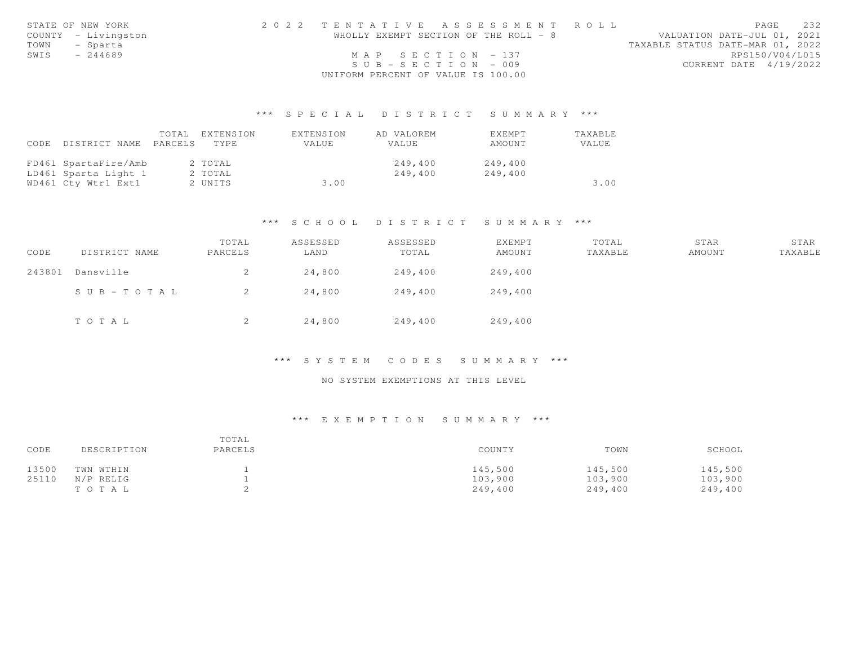|      | STATE OF NEW YORK   | 2022 TENTATIVE ASSESSMENT ROLL        |  |                                  | PAGE            | 232 |
|------|---------------------|---------------------------------------|--|----------------------------------|-----------------|-----|
|      | COUNTY - Livingston | WHOLLY EXEMPT SECTION OF THE ROLL - 8 |  | VALUATION DATE-JUL 01, 2021      |                 |     |
| TOWN | - Sparta            |                                       |  | TAXABLE STATUS DATE-MAR 01, 2022 |                 |     |
| SWIS | $-244689$           | MAP SECTION $-137$                    |  |                                  | RPS150/V04/L015 |     |
|      |                     | $SUB - SECTION - 009$                 |  | CURRENT DATE 4/19/2022           |                 |     |
|      |                     | UNIFORM PERCENT OF VALUE IS 100.00    |  |                                  |                 |     |

|      |                       | TOTAL | EXTENSION | EXTENSION | AD VALOREM   | EXEMPT  | TAXABLE |
|------|-----------------------|-------|-----------|-----------|--------------|---------|---------|
| CODE | DISTRICT NAME PARCELS |       | TYPE.     | VALUE.    | <b>VALUE</b> | AMOUNT  | VALUE   |
|      |                       |       |           |           |              |         |         |
|      | FD461 SpartaFire/Amb  |       | 2 TOTAL   |           | 249,400      | 249,400 |         |
|      | LD461 Sparta Light 1  |       | 2 TOTAL   |           | 249,400      | 249.400 |         |
|      | WD461 Cty Wtr1 Ext1   |       | 2 UNITS   | 3.00      |              |         | 3.00    |

# \*\*\* S C H O O L D I S T R I C T S U M M A R Y \*\*\*

| CODE   | DISTRICT NAME | TOTAL<br>PARCELS | ASSESSED<br>LAND | ASSESSED<br>TOTAL | EXEMPT<br>AMOUNT | TOTAL<br>TAXABLE | STAR<br>AMOUNT | STAR<br>TAXABLE |
|--------|---------------|------------------|------------------|-------------------|------------------|------------------|----------------|-----------------|
| 243801 | Dansville     | 2                | 24,800           | 249,400           | 249,400          |                  |                |                 |
|        | SUB-TOTAL     |                  | 24,800           | 249,400           | 249,400          |                  |                |                 |
|        | TOTAL         |                  | 24,800           | 249,400           | 249,400          |                  |                |                 |

### \*\*\* S Y S T E M C O D E S S U M M A R Y \*\*\*

## NO SYSTEM EXEMPTIONS AT THIS LEVEL

| CODE  | DESCRIPTION | TOTAL<br>PARCELS | COUNTY  | TOWN    | SCHOOL  |
|-------|-------------|------------------|---------|---------|---------|
| 13500 | TWN WTHIN   |                  | 145,500 | 145,500 | 145,500 |
| 25110 | N/P RELIG   |                  | 103,900 | 103,900 | 103,900 |
|       | TOTAL       |                  | 249,400 | 249,400 | 249,400 |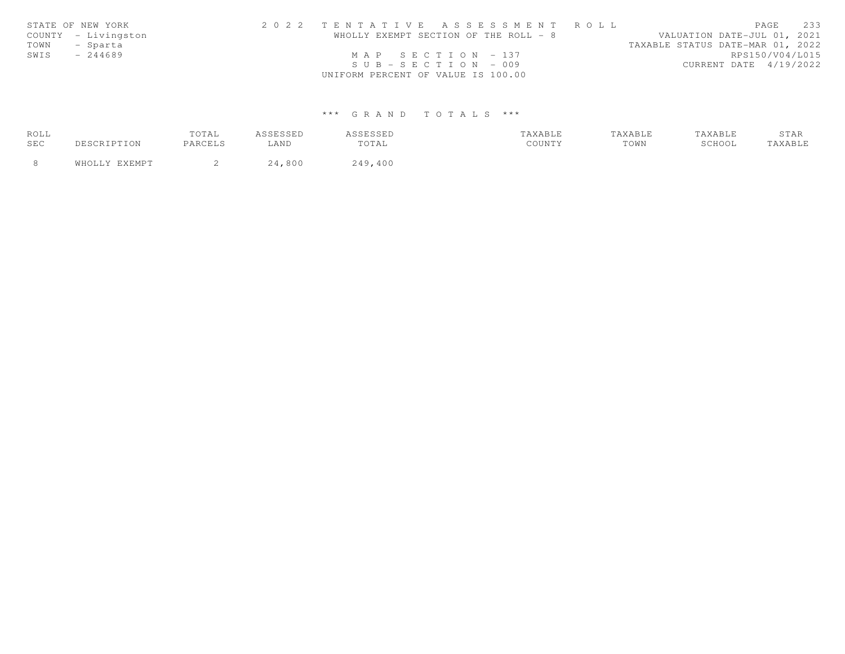|      | STATE OF NEW YORK   | 2022 TENTATIVE ASSESSMENT ROLL        |  |                                  | PAGE            | 233 |
|------|---------------------|---------------------------------------|--|----------------------------------|-----------------|-----|
|      | COUNTY - Livingston | WHOLLY EXEMPT SECTION OF THE ROLL - 8 |  | VALUATION DATE-JUL 01, 2021      |                 |     |
| TOWN | - Sparta            |                                       |  | TAXABLE STATUS DATE-MAR 01, 2022 |                 |     |
| SWIS | $-244689$           | MAP SECTION $-137$                    |  |                                  | RPS150/V04/L015 |     |
|      |                     | $SUB - SECTION - 009$                 |  | CURRENT DATE 4/19/2022           |                 |     |
|      |                     | UNIFORM PERCENT OF VALUE IS 100.00    |  |                                  |                 |     |

| ROLL |             | TOTAL   | A S S F S S F D | <i><b>SSESSED</b></i> | TAXABLE | TAXABLE | TAXABLE | STAR          |
|------|-------------|---------|-----------------|-----------------------|---------|---------|---------|---------------|
| SEC  | DESCRIPTION | PARCELS | ∟AND            | TOTAL                 | COUNTY  | TOWN    | SCHOOL  | <b>AXABLE</b> |
|      | FYFMDT      |         |                 | 249,400               |         |         |         |               |
|      | WHOLLY      |         | .800<br>24      |                       |         |         |         |               |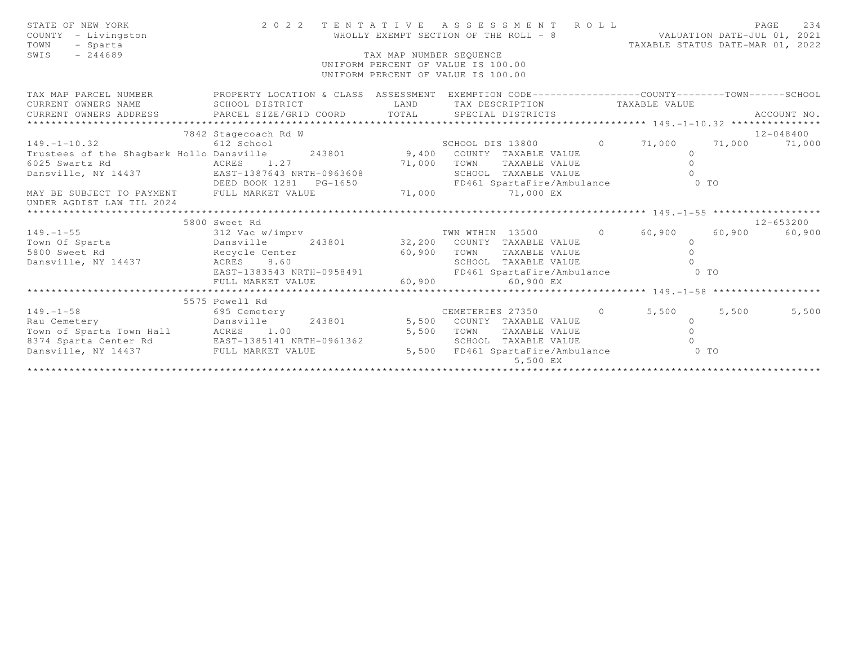| STATE OF NEW YORK<br>COUNTY - Livingston<br>TOWN<br>- Sparta                                                                                                                                                                                                                                                                                                                                                                                                                  |                      |                         | 2022 TENTATIVE ASSESSMENT ROLL<br>WHOLLY EXEMPT SECTION OF THE ROLL - 8 VALUATION DATE-JUL 01, 2021 | TAXABLE STATUS DATE-MAR 01, 2022 |       | 234<br>PAGE         |
|-------------------------------------------------------------------------------------------------------------------------------------------------------------------------------------------------------------------------------------------------------------------------------------------------------------------------------------------------------------------------------------------------------------------------------------------------------------------------------|----------------------|-------------------------|-----------------------------------------------------------------------------------------------------|----------------------------------|-------|---------------------|
| $-244689$<br>SWIS                                                                                                                                                                                                                                                                                                                                                                                                                                                             |                      | TAX MAP NUMBER SEQUENCE | UNIFORM PERCENT OF VALUE IS 100.00<br>UNIFORM PERCENT OF VALUE IS 100.00                            |                                  |       |                     |
| TAX MAP PARCEL NUMBER PROPERTY LOCATION & CLASS ASSESSMENT EXEMPTION CODE----------------COUNTY-------TOWN------SCHOOL                                                                                                                                                                                                                                                                                                                                                        |                      |                         |                                                                                                     |                                  |       |                     |
| CURRENT OWNERS NAME SCHOOL DISTRICT                                                                                                                                                                                                                                                                                                                                                                                                                                           |                      |                         | LAND TAX DESCRIPTION TAXABLE VALUE                                                                  |                                  |       |                     |
| $\begin{minipage}{.4cm} \begin{minipage}{.4cm} \begin{minipage}{.4cm} \begin{minipage}{.4cm} \begin{minipage}{.4cm} \begin{minipage}{.4cm} \begin{minipage}{.4cm} \begin{minipage}{.4cm} \begin{minipage}{.4cm} \begin{minipage}{.4cm} \begin{minipage}{.4cm} \begin{minipage}{.4cm} \begin{minipage}{.4cm} \begin{minipage}{.4cm} \begin{minipage}{.4cm} \begin{minipage}{.4cm} \begin{minipage}{.4cm} \begin{minipage}{.4cm} \begin{minipage}{.4cm} \begin{minipage}{.4cm}$ |                      |                         |                                                                                                     |                                  |       |                     |
|                                                                                                                                                                                                                                                                                                                                                                                                                                                                               | 7842 Stagecoach Rd W |                         |                                                                                                     |                                  |       | 12-048400           |
| $149.-1-10.32$ 612 School SCHOOL DIS 13800 0 71,000 71,000 71,000 71,000                                                                                                                                                                                                                                                                                                                                                                                                      |                      |                         |                                                                                                     |                                  |       |                     |
| Trustees of the Shagbark Hollo Dansville 243801 9,400 COUNTY TAXABLE VALUE                                                                                                                                                                                                                                                                                                                                                                                                    |                      |                         |                                                                                                     | $\circ$                          |       |                     |
|                                                                                                                                                                                                                                                                                                                                                                                                                                                                               |                      |                         | TOWN TAXABLE VALUE                                                                                  | $\Omega$                         |       |                     |
|                                                                                                                                                                                                                                                                                                                                                                                                                                                                               |                      |                         | SCHOOL TAXABLE VALUE                                                                                |                                  |       |                     |
|                                                                                                                                                                                                                                                                                                                                                                                                                                                                               |                      |                         | FD461 SpartaFire/Ambulance 0 TO                                                                     |                                  |       |                     |
| EXERCISE AND ACRES<br>Dansville, NY 14437<br>MAY BE SUBJECT TO PAYMENT FULL MARKET VALUE<br>MAY BE SUBJECT TO PAYMENT FULL MARKET VALUE<br>PG-1650<br>MAY BE SUBJECT TO PAYMENT FULL MARKET VALUE<br>PG-1650<br>PG-1650<br>PG-1650<br>PG-1650<br>P                                                                                                                                                                                                                            |                      |                         |                                                                                                     |                                  |       |                     |
| UNDER AGDIST LAW TIL 2024                                                                                                                                                                                                                                                                                                                                                                                                                                                     |                      |                         |                                                                                                     |                                  |       |                     |
|                                                                                                                                                                                                                                                                                                                                                                                                                                                                               |                      |                         |                                                                                                     |                                  |       |                     |
| 3800 Sweet Rd<br>312 Vac w/imprv<br>243801 243801 32,200 COUNTY TAXABLE VALUE<br>5800 Sweet Rd<br>243801 32,200 COUNTY TAXABLE VALUE 0<br>243801 32,200 COUNTY TAXABLE VALUE 0<br>243801 50,900 TOWN TAXABLE VALUE 0<br>260,900 TOWN TAXABLE                                                                                                                                                                                                                                  | 5800 Sweet Rd        |                         |                                                                                                     |                                  |       | 12-653200<br>60,900 |
|                                                                                                                                                                                                                                                                                                                                                                                                                                                                               |                      |                         |                                                                                                     |                                  |       |                     |
|                                                                                                                                                                                                                                                                                                                                                                                                                                                                               |                      |                         |                                                                                                     |                                  |       |                     |
|                                                                                                                                                                                                                                                                                                                                                                                                                                                                               |                      |                         |                                                                                                     |                                  |       |                     |
|                                                                                                                                                                                                                                                                                                                                                                                                                                                                               |                      |                         |                                                                                                     |                                  |       |                     |
|                                                                                                                                                                                                                                                                                                                                                                                                                                                                               | FULL MARKET VALUE    |                         | 60,900 60,900 EX                                                                                    |                                  |       |                     |
|                                                                                                                                                                                                                                                                                                                                                                                                                                                                               |                      |                         |                                                                                                     |                                  |       |                     |
| 5575 Powell Rd<br>695 Cemetery<br>Rau Cemetery<br>Town of Sparta Town Hall<br>8374 Sparta Cemeter Rd<br>EAS 1.00<br>8374 Sparta Cemeter Rd<br>EAS 1.00<br>EAS 1.00<br>EAS 1.00<br>Sparta CEMETERIES 27350<br>5,500 COUNTY TAXABLE VALUE<br>5,500 TOWN                                                                                                                                                                                                                         |                      |                         |                                                                                                     |                                  |       |                     |
|                                                                                                                                                                                                                                                                                                                                                                                                                                                                               |                      |                         |                                                                                                     |                                  | 5,500 | 5,500               |
|                                                                                                                                                                                                                                                                                                                                                                                                                                                                               |                      |                         |                                                                                                     |                                  |       |                     |
|                                                                                                                                                                                                                                                                                                                                                                                                                                                                               |                      |                         |                                                                                                     |                                  |       |                     |
|                                                                                                                                                                                                                                                                                                                                                                                                                                                                               |                      |                         |                                                                                                     |                                  |       |                     |
| Dansville, NY 14437 FULL MARKET VALUE                                                                                                                                                                                                                                                                                                                                                                                                                                         |                      |                         | 5,500 FD461 SpartaFire/Ambulance 0 TO<br>5,500 EX                                                   |                                  |       |                     |
|                                                                                                                                                                                                                                                                                                                                                                                                                                                                               |                      |                         |                                                                                                     |                                  |       |                     |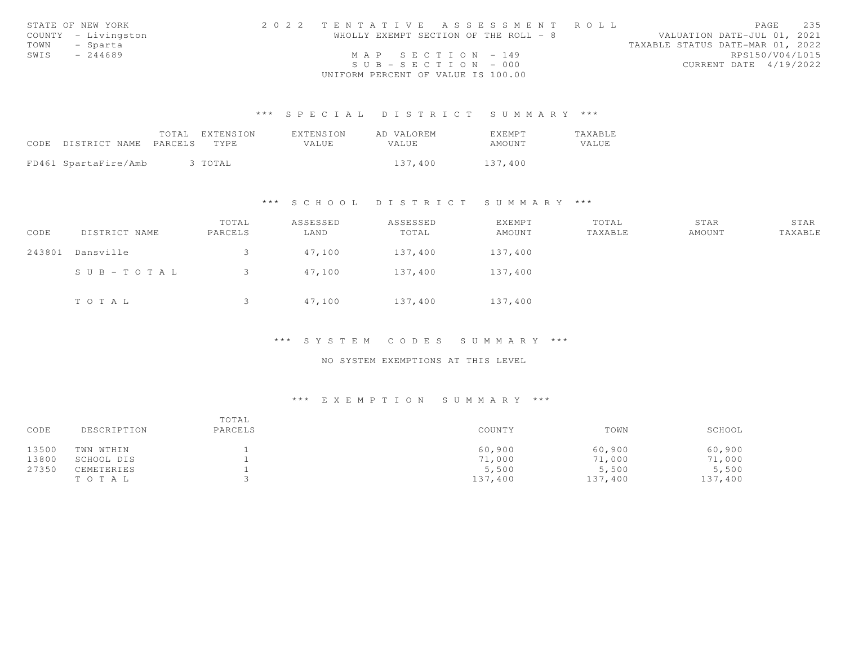|      | STATE OF NEW YORK   | 2022 TENTATIVE ASSESSMENT ROLL        |  |                                  |                 | PAGE | 2.35 |
|------|---------------------|---------------------------------------|--|----------------------------------|-----------------|------|------|
|      | COUNTY - Livingston | WHOLLY EXEMPT SECTION OF THE ROLL - 8 |  | VALUATION DATE-JUL 01, 2021      |                 |      |      |
| TOWN | - Sparta            |                                       |  | TAXABLE STATUS DATE-MAR 01, 2022 |                 |      |      |
| SWIS | $-244689$           | MAP SECTION - 149                     |  |                                  | RPS150/V04/L015 |      |      |
|      |                     | $SUB - SECTION - 000$                 |  | CURRENT DATE 4/19/2022           |                 |      |      |
|      |                     | UNIFORM PERCENT OF VALUE IS 100.00    |  |                                  |                 |      |      |

|                            | TOTAL EXTENSION | EXTENSION | AD VALOREM | EXEMPT  | TAXABLE |
|----------------------------|-----------------|-----------|------------|---------|---------|
| CODE DISTRICT NAME PARCELS | TYPE.           | VALUE.    | VALUE      | AMOUNT  | VALUE   |
|                            |                 |           |            |         |         |
| FD461 SpartaFire/Amb       | 3 TOTAL         |           | 137,400    | 137,400 |         |

# \*\*\* S C H O O L D I S T R I C T S U M M A R Y \*\*\*

| CODE   | DISTRICT NAME         | TOTAL<br>PARCELS | ASSESSED<br>LAND | ASSESSED<br>TOTAL | EXEMPT<br>AMOUNT | TOTAL<br>TAXABLE | STAR<br>AMOUNT | STAR<br>TAXABLE |
|--------|-----------------------|------------------|------------------|-------------------|------------------|------------------|----------------|-----------------|
| 243801 | Dansville             | 3                | 47,100           | 137,400           | 137,400          |                  |                |                 |
|        | $S \cup B - TO T A L$ | 3                | 47,100           | 137,400           | 137,400          |                  |                |                 |
|        | TOTAL                 | 3                | 47,100           | 137,400           | 137,400          |                  |                |                 |

# \*\*\* S Y S T E M C O D E S S U M M A R Y \*\*\*

## NO SYSTEM EXEMPTIONS AT THIS LEVEL

| CODE  | DESCRIPTION | TOTAL<br>PARCELS | COUNTY  | TOWN    | SCHOOL  |
|-------|-------------|------------------|---------|---------|---------|
| 13500 | TWN WTHIN   |                  | 60,900  | 60,900  | 60,900  |
| 13800 | SCHOOL DIS  |                  | 71,000  | 71,000  | 71,000  |
| 27350 | CEMETERIES  |                  | 5,500   | 5,500   | 5,500   |
|       | TO TAL      |                  | 137,400 | 137,400 | 137,400 |
|       |             |                  |         |         |         |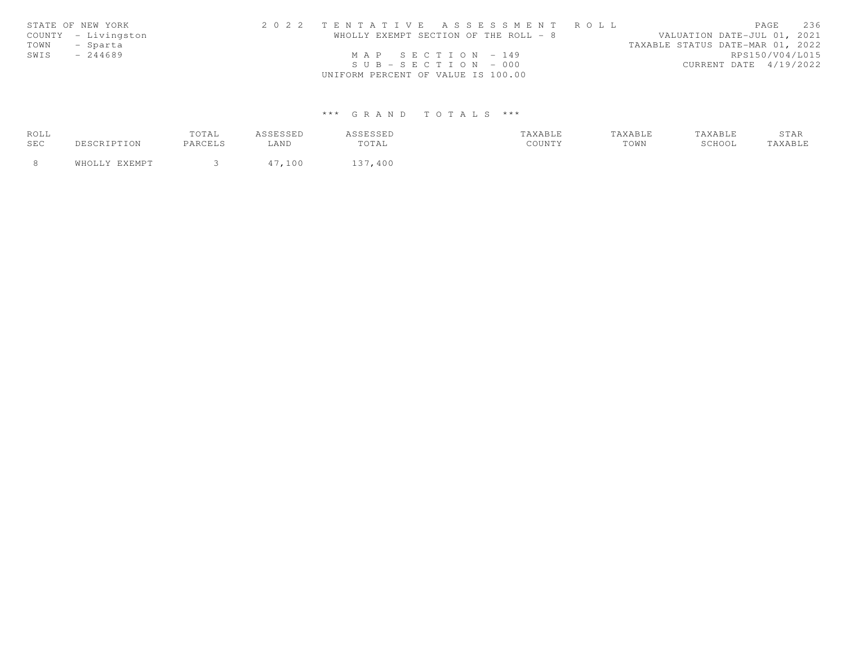|      | STATE OF NEW YORK   | 2022 TENTATIVE ASSESSMENT ROLL        |  |                                  | PAGE            | 236 |
|------|---------------------|---------------------------------------|--|----------------------------------|-----------------|-----|
|      | COUNTY - Livingston | WHOLLY EXEMPT SECTION OF THE ROLL - 8 |  | VALUATION DATE-JUL 01, 2021      |                 |     |
| TOWN | - Sparta            |                                       |  | TAXABLE STATUS DATE-MAR 01, 2022 |                 |     |
| SWIS | $-244689$           | MAP SECTION $-149$                    |  |                                  | RPS150/V04/L015 |     |
|      |                     | $SUB - SECTION - 000$                 |  | CURRENT DATE 4/19/2022           |                 |     |
|      |                     | UNIFORM PERCENT OF VALUE IS 100.00    |  |                                  |                 |     |

| ROLL |      | TOTAL   |                 |               |        | TAXABLE | TAXABLE | STAR   |
|------|------|---------|-----------------|---------------|--------|---------|---------|--------|
| SEC  | TON. | PARCELS | $\triangle$ AND | TOTAL         | COUNTY | TOWN    | SCHOOL  | AXABLE |
|      |      |         | 100             | 1 2 7<br>,400 |        |         |         |        |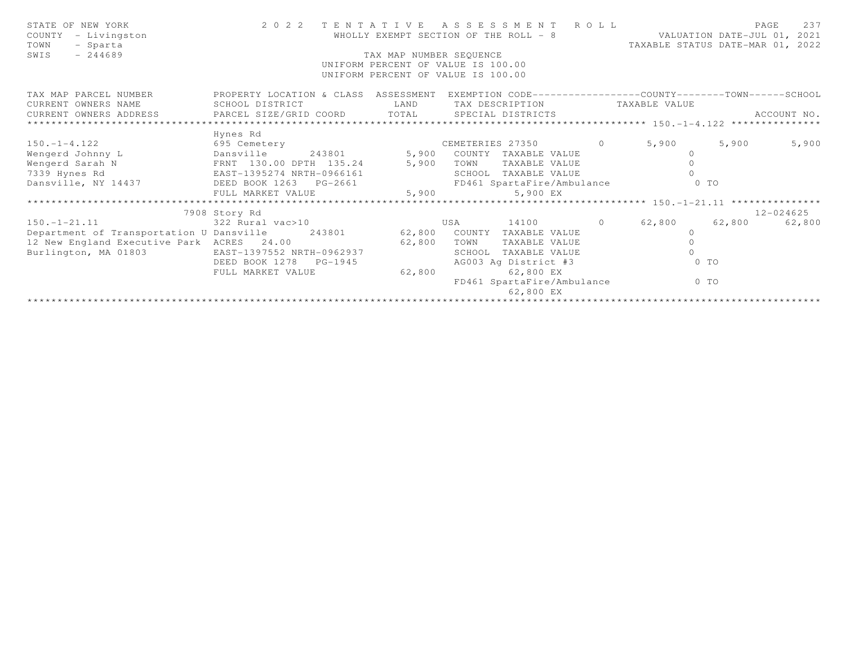| STATE OF NEW YORK<br>COUNTY - Livingston<br>TOWN<br>- Sparta<br>SWIS<br>$-244689$                                                                                      | 2 0 2 2                                                                                                                                                                | TAX MAP NUMBER SEQUENCE | TENTATIVE ASSESSMENT ROLL<br>WHOLLY EXEMPT SECTION OF THE ROLL - 8<br>UNIFORM PERCENT OF VALUE IS 100.00<br>UNIFORM PERCENT OF VALUE IS 100.00            | TAXABLE STATUS DATE-MAR 01, 2022 | VALUATION DATE-JUL 01, 2021 | 237<br>PAGE   |
|------------------------------------------------------------------------------------------------------------------------------------------------------------------------|------------------------------------------------------------------------------------------------------------------------------------------------------------------------|-------------------------|-----------------------------------------------------------------------------------------------------------------------------------------------------------|----------------------------------|-----------------------------|---------------|
| TAX MAP PARCEL NUMBER<br>CURRENT OWNERS NAME<br>CURRENT OWNERS ADDRESS                                                                                                 | PROPERTY LOCATION & CLASS ASSESSMENT EXEMPTION CODE----------------COUNTY--------TOWN------SCHOOL<br>SCHOOL DISTRICT<br>PARCEL SIZE/GRID COORD TOTAL SPECIAL DISTRICTS | LAND                    | TAX DESCRIPTION TAXABLE VALUE                                                                                                                             |                                  |                             | ACCOUNT NO.   |
| $150. - 1 - 4.122$<br>Dansville<br>Wengerd Johnny L<br>Wengerd Sarah N<br>7339 Hynes Rd<br>Dansville, NY 14437 DEED BOOK 1263 PG-2661                                  | Hynes Rd<br>695 Cemetery<br>243801 5,900<br>FRNT 130.00 DPTH 135.24 5,900<br>EAST-1395274 NRTH-0966161<br>FULL MARKET VALUE                                            | 5,900                   | CEMETERIES 27350 0 5,900<br>COUNTY TAXABLE VALUE<br>TOWN<br>TAXABLE VALUE<br>SCHOOL TAXABLE VALUE<br>FD461 SpartaFire/Ambulance<br>5,900 EX               | $\circ$<br>$\circ$               | 5,900<br>0 TO               | 5,900         |
|                                                                                                                                                                        |                                                                                                                                                                        |                         |                                                                                                                                                           |                                  |                             |               |
|                                                                                                                                                                        | 7908 Story Rd                                                                                                                                                          |                         |                                                                                                                                                           |                                  |                             | $12 - 024625$ |
| $150. - 1 - 21.11$<br>Department of Transportation U Dansville 243801 62,800 COUNTY TAXABLE VALUE<br>12 New England Executive Park ACRES 24.00<br>Burlington, MA 01803 | 322 Rural vac>10<br>EAST-1397552 NRTH-0962937<br>DEED BOOK 1278<br>$PG-1945$<br>FULL MARKET VALUE                                                                      | 62,800<br>62,800        | 14100 0 62,800<br>USA<br>TOWN<br>TAXABLE VALUE<br>TAXABLE VALUE<br>SCHOOL<br>AG003 Ag District #3<br>62,800 EX<br>FD461 SpartaFire/Ambulance<br>62,800 EX | $\circ$<br>$\Omega$<br>$\circ$   | 62,800<br>0 TO<br>$0$ TO    | 62,800        |
|                                                                                                                                                                        |                                                                                                                                                                        |                         |                                                                                                                                                           |                                  |                             |               |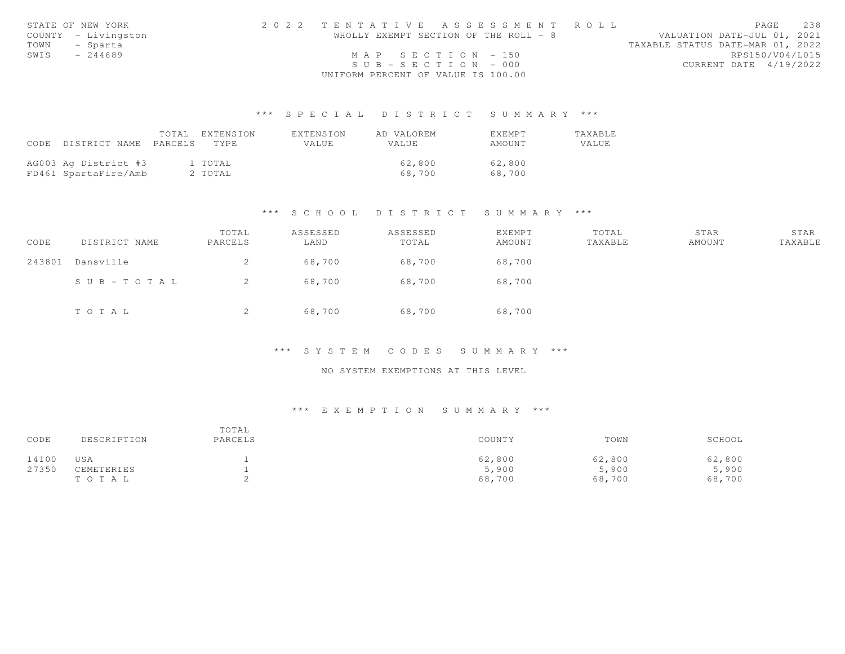|               | STATE OF NEW YORK   | 2022 TENTATIVE ASSESSMENT ROLL        |  |  |                                  | PAGE            | 238 |
|---------------|---------------------|---------------------------------------|--|--|----------------------------------|-----------------|-----|
|               | COUNTY - Livingston | WHOLLY EXEMPT SECTION OF THE ROLL - 8 |  |  | VALUATION DATE-JUL 01, 2021      |                 |     |
| TOWN - Sparta |                     |                                       |  |  | TAXABLE STATUS DATE-MAR 01, 2022 |                 |     |
| SWIS          | $-244689$           | MAP SECTION $-150$                    |  |  |                                  | RPS150/V04/L015 |     |
|               |                     | $SUB - SECTION - 000$                 |  |  | CURRENT DATE 4/19/2022           |                 |     |
|               |                     | UNIFORM PERCENT OF VALUE IS 100.00    |  |  |                                  |                 |     |

|                            | TOTAL EXTENSION | EXTENSION    | AD VALOREM   | <b>EXEMPT</b> | TAXABLE |
|----------------------------|-----------------|--------------|--------------|---------------|---------|
| CODE DISTRICT NAME PARCELS | TYPE.           | <b>VALUE</b> | <b>VALUE</b> | AMOUNT        | VALUE   |
|                            |                 |              |              |               |         |
| AG003 Ag District #3       | 1 TOTAL         |              | 62,800       | 62,800        |         |
| FD461 SpartaFire/Amb       | 2 TOTAL         |              | 68.700       | 68,700        |         |

### \*\*\* S C H O O L D I S T R I C T S U M M A R Y \*\*\*

| CODE   | DISTRICT NAME | TOTAL<br>PARCELS | ASSESSED<br>LAND | ASSESSED<br>TOTAL | EXEMPT<br>AMOUNT | TOTAL<br>TAXABLE | STAR<br>AMOUNT | STAR<br>TAXABLE |
|--------|---------------|------------------|------------------|-------------------|------------------|------------------|----------------|-----------------|
| 243801 | Dansville     |                  | 68,700           | 68,700            | 68,700           |                  |                |                 |
|        | SUB-TOTAL     |                  | 68,700           | 68,700            | 68,700           |                  |                |                 |
|        | TOTAL         |                  | 68,700           | 68,700            | 68,700           |                  |                |                 |

### \*\*\* S Y S T E M C O D E S S U M M A R Y \*\*\*

# NO SYSTEM EXEMPTIONS AT THIS LEVEL

| CODE  | DESCRIPTION | TOTAL<br>PARCELS | COUNTY | TOWN   | SCHOOL |
|-------|-------------|------------------|--------|--------|--------|
| 14100 | USA         |                  | 62,800 | 62,800 | 62,800 |
| 27350 | CEMETERIES  |                  | 5,900  | 5,900  | 5,900  |
|       | TO TAL      |                  | 68,700 | 68,700 | 68,700 |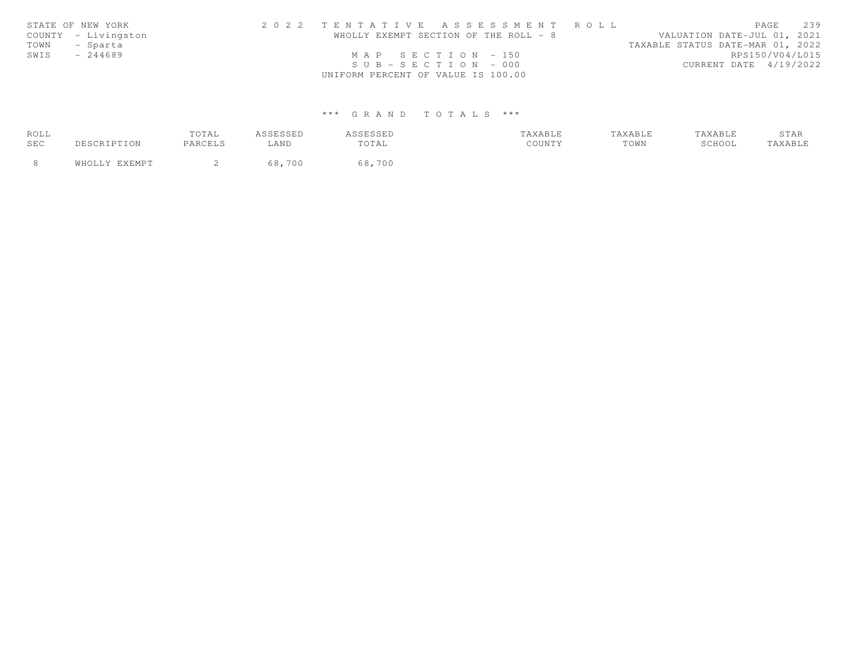|      | STATE OF NEW YORK   | 2022 TENTATIVE ASSESSMENT ROLL        |  |                                  | PAGE            | 2.39 |
|------|---------------------|---------------------------------------|--|----------------------------------|-----------------|------|
|      | COUNTY - Livingston | WHOLLY EXEMPT SECTION OF THE ROLL - 8 |  | VALUATION DATE-JUL 01, 2021      |                 |      |
| TOWN | - Sparta            |                                       |  | TAXABLE STATUS DATE-MAR 01, 2022 |                 |      |
| SWIS | $-244689$           | MAP SECTION $-150$                    |  |                                  | RPS150/V04/L015 |      |
|      |                     | $SUB - SECTION - 000$                 |  | CURRENT DATE 4/19/2022           |                 |      |
|      |                     | UNIFORM PERCENT OF VALUE IS 100.00    |  |                                  |                 |      |

| ROLL |     | TOTAL   | <i>I</i> C C F C C F L<br>---- | <i>SSESSED</i> | AXABLF | <b>AXABLE</b> | TAXABLE | ΆE<br>$U + \Gamma$ |
|------|-----|---------|--------------------------------|----------------|--------|---------------|---------|--------------------|
| SEC  | ION | PARCELS | LAND                           | TOTAL          | COUNTY | TOWN          | SCHOOL  | AXABLE             |
|      |     |         | 700                            | 68,700         |        |               |         |                    |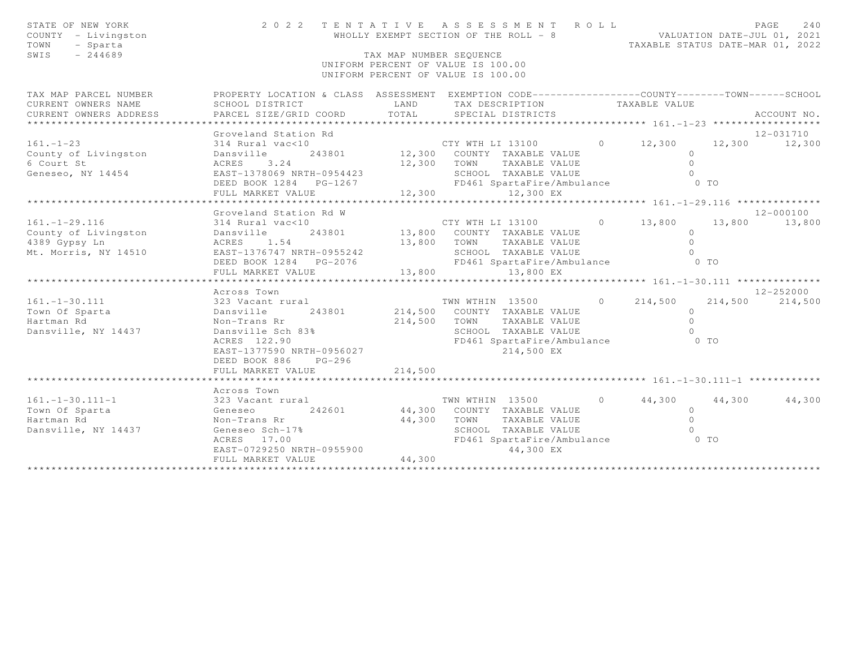| STATE OF NEW YORK<br>COUNTY - Livingston<br>TOWN<br>- Sparta<br>$-244689$<br>SWIS    |                                                                                                                                                                                  | TAX MAP NUMBER SEQUENCE       | 2022 TENTATIVE ASSESSMENT ROLL<br>WHOLLY EXEMPT SECTION OF THE ROLL - 8<br>UNIFORM PERCENT OF VALUE IS 100.00<br>UNIFORM PERCENT OF VALUE IS 100.00                                |         | VALUATION DATE-JUL 01, 2021<br>TAXABLE STATUS DATE-MAR 01, 2022 |         | 240<br>PAGE                      |
|--------------------------------------------------------------------------------------|----------------------------------------------------------------------------------------------------------------------------------------------------------------------------------|-------------------------------|------------------------------------------------------------------------------------------------------------------------------------------------------------------------------------|---------|-----------------------------------------------------------------|---------|----------------------------------|
| TAX MAP PARCEL NUMBER<br>CURRENT OWNERS NAME<br>CURRENT OWNERS ADDRESS               | PROPERTY LOCATION & CLASS ASSESSMENT EXEMPTION CODE----------------COUNTY-------TOWN------SCHOOL<br>SCHOOL DISTRICT<br>PARCEL SIZE/GRID COORD                                    | LAND<br>TOTAL                 | TAX DESCRIPTION TAXABLE VALUE<br>SPECIAL DISTRICTS                                                                                                                                 |         |                                                                 |         | ACCOUNT NO.                      |
|                                                                                      | Groveland Station Rd                                                                                                                                                             |                               |                                                                                                                                                                                    |         |                                                                 |         | 12-031710                        |
| $161. - 1 - 23$<br>County of Livingston<br>6 Court St<br>Geneseo, NY 14454           | 314 Rural vac<10<br>Dansville<br>ACRES<br>3.24<br>EAST-1378069 NRTH-0954423<br>DEED BOOK 1284 PG-1267<br>FULL MARKET VALUE                                                       | 12,300                        | CTY WTH LI 13100 0 12,300 12,300 12,300<br>243801 12,300 COUNTY TAXABLE VALUE<br>12,300 TOWN TAXABLE VALUE<br>SCHOOL TAXABLE VALUE<br>FD461 SpartaFire/Ambulance 0 TO<br>12,300 EX |         | $\Omega$<br>$\Omega$<br>$\Omega$                                |         |                                  |
|                                                                                      |                                                                                                                                                                                  |                               |                                                                                                                                                                                    |         |                                                                 |         |                                  |
| $161. - 1 - 29.116$<br>County of Livingston<br>4389 Gypsy Ln<br>Mt. Morris, NY 14510 | Groveland Station Rd W<br>314 Rural vac<10<br>Dansville<br>243801<br>1.54<br>ACRES<br>EAST-1376747 NRTH-0955242<br>DEED BOOK 1284    PG-2076<br>FULL MARKET VALUE<br>Across Town | 13,800<br>13,800              | CTY WTH LI 13100<br>13,800 COUNTY TAXABLE VALUE<br>TOWN<br>TAXABLE VALUE<br>SCHOOL TAXABLE VALUE<br>FD461 SpartaFire/Ambulance 0 TO<br>13,800 EX                                   |         | $0 \t 13,800$<br>$\circ$<br>$\Omega$<br>$\Omega$                | 13,800  | 12-000100<br>13,800<br>12-252000 |
| $161. - 1 - 30.111$<br>Town Of Sparta<br>Hartman Rd<br>Dansville, NY 14437           | 323 Vacant rural<br>243801<br>Dansville<br>Non-Trans Rr<br>Dansville Sch 83%<br>ACRES 122.90<br>EAST-1377590 NRTH-0956027<br>DEED BOOK 886<br>$PG-296$<br>FULL MARKET VALUE      | 214,500<br>214,500<br>214,500 | TWN WTHIN 13500 0<br>COUNTY TAXABLE VALUE<br>TOWN<br>TAXABLE VALUE<br>SCHOOL TAXABLE VALUE<br>FD461 SpartaFire/Ambulance 0 TO<br>214,500 EX                                        |         | 214,500<br>$\circ$<br>$\circ$<br>$\Omega$                       | 214,500 | 214,500                          |
|                                                                                      | Across Town                                                                                                                                                                      |                               |                                                                                                                                                                                    |         |                                                                 |         |                                  |
| $161. - 1 - 30.111 - 1$<br>Town Of Sparta<br>Hartman Rd<br>Dansville, NY 14437       | 323 Vacant rural<br>242601<br>Geneseo<br>Non-Trans Rr<br>Geneseo Sch-17%<br>ACRES 17.00<br>EAST-0729250 NRTH-0955900<br>FULL MARKET VALUE                                        | 44,300<br>44,300              | TWN WTHIN 13500<br>44,300 COUNTY TAXABLE VALUE<br>TOWN<br>TAXABLE VALUE<br>SCHOOL TAXABLE VALUE<br>FD461 SpartaFire/Ambulance<br>44,300 EX                                         | $\circ$ | 44,300<br>$\circ$<br>$\Omega$<br>$\circ$<br>O TO                |         | 44,300 44,300                    |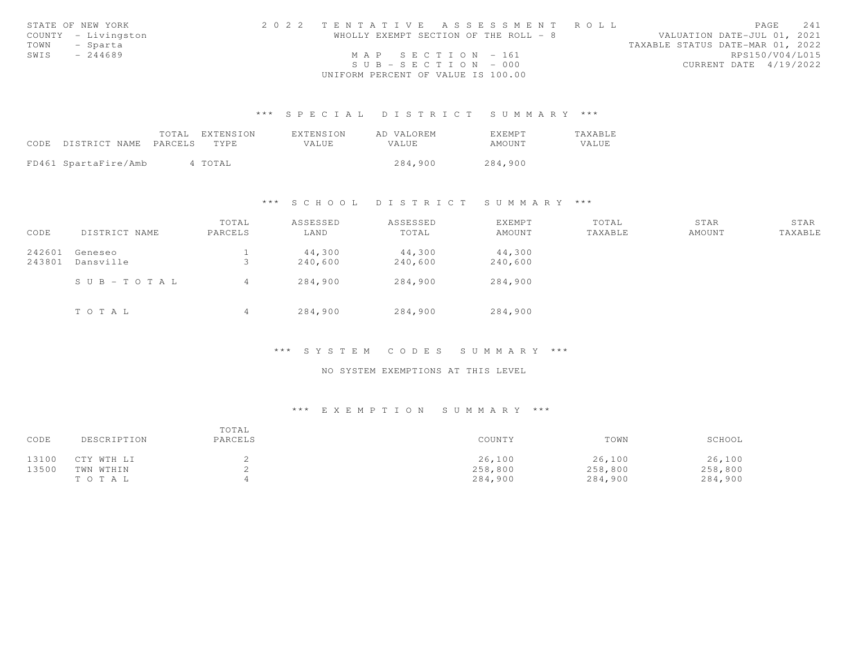|      | STATE OF NEW YORK   | 2022 TENTATIVE ASSESSMENT ROLL        |  |  |                                  |                        | PAGE 241 |  |
|------|---------------------|---------------------------------------|--|--|----------------------------------|------------------------|----------|--|
|      | COUNTY - Livingston | WHOLLY EXEMPT SECTION OF THE ROLL - 8 |  |  | VALUATION DATE-JUL 01, 2021      |                        |          |  |
| TOWN | - Sparta            |                                       |  |  | TAXABLE STATUS DATE-MAR 01, 2022 |                        |          |  |
| SWIS | $-244689$           | $MAP$ SECTION - 161                   |  |  |                                  | RPS150/V04/L015        |          |  |
|      |                     | $SUB - SECTION - 000$                 |  |  |                                  | CURRENT DATE 4/19/2022 |          |  |
|      |                     | UNIFORM PERCENT OF VALUE IS 100.00    |  |  |                                  |                        |          |  |

|                            | TOTAL EXTENSION | EXTENSION | AD VALOREM | EXEMPT  | TAXABLE |
|----------------------------|-----------------|-----------|------------|---------|---------|
| CODE DISTRICT NAME PARCELS | TYPE.           | VALUE     | VALUE      | AMOUNT  | VALUE   |
|                            |                 |           |            |         |         |
| FD461 SpartaFire/Amb       | 4 TOTAL         |           | 284,900    | 284,900 |         |

# \*\*\* S C H O O L D I S T R I C T S U M M A R Y \*\*\*

|        |               | TOTAL          | ASSESSED | ASSESSED | EXEMPT  | TOTAL   | STAR   | STAR    |
|--------|---------------|----------------|----------|----------|---------|---------|--------|---------|
| CODE   | DISTRICT NAME | PARCELS        | LAND     | TOTAL    | AMOUNT  | TAXABLE | AMOUNT | TAXABLE |
| 242601 | Geneseo       |                | 44,300   | 44,300   | 44,300  |         |        |         |
| 243801 | Dansville     | ت              | 240,600  | 240,600  | 240,600 |         |        |         |
|        | SUB-TOTAL     | 4              | 284,900  | 284,900  | 284,900 |         |        |         |
|        | TOTAL         | $\overline{4}$ | 284,900  | 284,900  | 284,900 |         |        |         |

### \*\*\* S Y S T E M C O D E S S U M M A R Y \*\*\*

## NO SYSTEM EXEMPTIONS AT THIS LEVEL

| CODE  | DESCRIPTION | TOTAL<br>PARCELS | COUNTY  | TOWN    | SCHOOL  |
|-------|-------------|------------------|---------|---------|---------|
| 13100 | CTY WTH LI  |                  | 26,100  | 26,100  | 26,100  |
| 13500 | TWN WTHIN   |                  | 258,800 | 258,800 | 258,800 |
|       | TO TAL      |                  | 284,900 | 284,900 | 284,900 |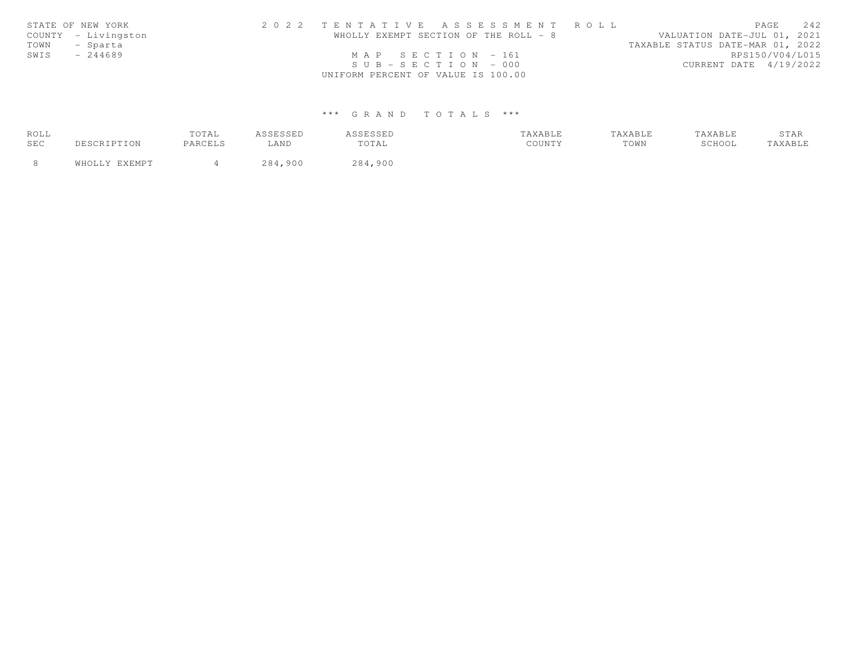|      | STATE OF NEW YORK   | 2022 TENTATIVE ASSESSMENT ROLL        |  |                                  | PAGE            | 2.42 |
|------|---------------------|---------------------------------------|--|----------------------------------|-----------------|------|
|      | COUNTY - Livingston | WHOLLY EXEMPT SECTION OF THE ROLL - 8 |  | VALUATION DATE-JUL 01, 2021      |                 |      |
| TOWN | - Sparta            |                                       |  | TAXABLE STATUS DATE-MAR 01, 2022 |                 |      |
| SWIS | $-244689$           | $MAP$ SECTION = 161                   |  |                                  | RPS150/V04/L015 |      |
|      |                     | $SUB - SECTION - 000$                 |  | CURRENT DATE 4/19/2022           |                 |      |
|      |                     | UNIFORM PERCENT OF VALUE IS 100.00    |  |                                  |                 |      |

| ROLL |               | TOTAL   | 7 C C F C C F D<br>ـ سىنال باسىيە | <b>ISSESSED</b> | TAXABLE | TAXABLE | TAXABLE | STAR   |
|------|---------------|---------|-----------------------------------|-----------------|---------|---------|---------|--------|
| SEC  | 'SCRIPTION    | PARCELS | LAND                              | TOTAL           | COUNTY  | TOWN    | SCHOOL  | AXABLE |
|      | WHOLLY EXEMPT |         | 284<br>900                        | 284,900         |         |         |         |        |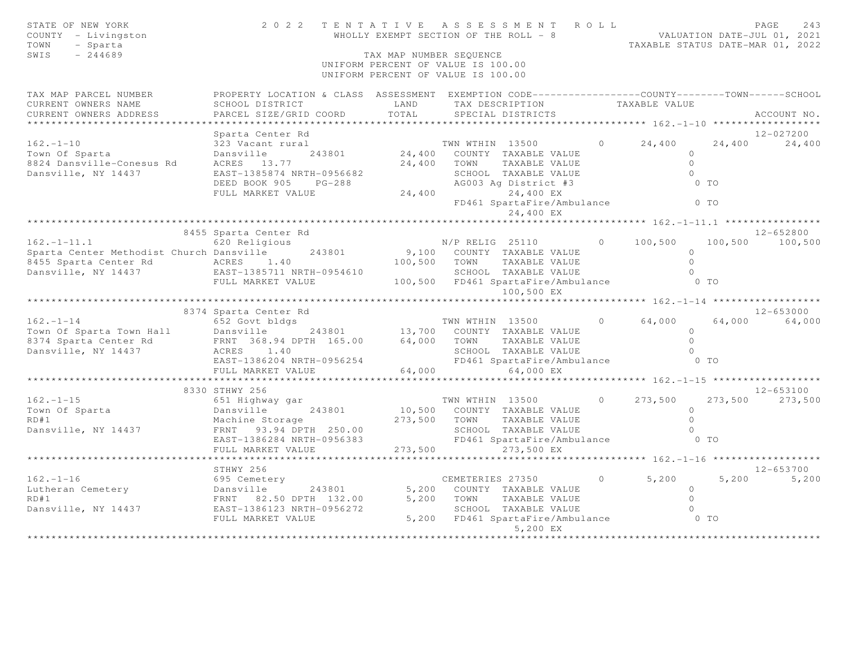| STATE OF NEW YORK<br>COUNTY - Livingston<br>- Sparta<br>TOWN<br>SWIS<br>$-244689$                                           |                                                                                                                    | TAX MAP NUMBER SEQUENCE | 2022 TENTATIVE ASSESSMENT ROLL<br>WHOLLY EXEMPT SECTION OF THE ROLL - 8  |                | VALUATION DATE-JUL 01, 2021<br>TAXABLE STATUS DATE-MAR 01, 2022 |         | PAGE<br>243   |
|-----------------------------------------------------------------------------------------------------------------------------|--------------------------------------------------------------------------------------------------------------------|-------------------------|--------------------------------------------------------------------------|----------------|-----------------------------------------------------------------|---------|---------------|
|                                                                                                                             |                                                                                                                    |                         | UNIFORM PERCENT OF VALUE IS 100.00<br>UNIFORM PERCENT OF VALUE IS 100.00 |                |                                                                 |         |               |
| TAX MAP PARCEL NUMBER<br>CURRENT OWNERS NAME                                                                                | PROPERTY LOCATION & CLASS ASSESSMENT EXEMPTION CODE----------------COUNTY-------TOWN-----SCHOOL<br>SCHOOL DISTRICT | LAND                    | TAX DESCRIPTION                                                          |                | TAXABLE VALUE                                                   |         |               |
| CURRENT OWNERS ADDRESS<br>* * * * * * * * * * * * * * * *                                                                   | PARCEL SIZE/GRID COORD                                                                                             | TOTAL                   | SPECIAL DISTRICTS                                                        |                |                                                                 |         | ACCOUNT NO.   |
|                                                                                                                             | Sparta Center Rd                                                                                                   |                         |                                                                          |                |                                                                 |         | 12-027200     |
| $162. - 1 - 10$                                                                                                             | 323 Vacant rural                                                                                                   |                         | TWN WTHIN 13500                                                          | $\circ$        | 24,400                                                          | 24,400  | 24,400        |
| Town Of Sparta                                                                                                              | Dansville<br>243801                                                                                                | 24,400                  | COUNTY TAXABLE VALUE                                                     |                | $\circ$                                                         |         |               |
| 8824 Dansville-Conesus Rd                                                                                                   | ACRES 13.77                                                                                                        | 24,400                  | TOWN<br>TAXABLE VALUE                                                    |                | $\circ$                                                         |         |               |
| Dansville, NY 14437                                                                                                         | EAST-1385874 NRTH-0956682                                                                                          |                         | SCHOOL TAXABLE VALUE                                                     |                | $\Omega$                                                        |         |               |
|                                                                                                                             | DEED BOOK 905<br>$PG-288$                                                                                          |                         | AG003 Aq District #3                                                     |                |                                                                 | $0$ TO  |               |
|                                                                                                                             | FULL MARKET VALUE                                                                                                  | 24,400                  | 24,400 EX                                                                |                |                                                                 |         |               |
|                                                                                                                             |                                                                                                                    |                         | FD461 SpartaFire/Ambulance<br>24,400 EX                                  |                |                                                                 | $0$ TO  |               |
|                                                                                                                             |                                                                                                                    |                         |                                                                          |                | **** $162 - 1 - 11 - 1$ ************                            |         |               |
|                                                                                                                             | 8455 Sparta Center Rd                                                                                              |                         |                                                                          |                |                                                                 |         | 12-652800     |
| $162. - 1 - 11.1$                                                                                                           | 620 Religious                                                                                                      |                         | $N/P$ RELIG 25110                                                        | $\circ$        | 100,500                                                         | 100,500 | 100,500       |
| Sparta Center Methodist Church Dansville                                                                                    | 243801                                                                                                             |                         | 9,100 COUNTY TAXABLE VALUE                                               |                | $\Omega$                                                        |         |               |
| 8455 Sparta Center Rd                                                                                                       | ACRES 1.40                                                                                                         | 100,500                 | TAXABLE VALUE<br>TOWN                                                    |                | $\Omega$                                                        |         |               |
| Dansville, NY 14437                                                                                                         | EAST-1385711 NRTH-0954610                                                                                          |                         | SCHOOL TAXABLE VALUE                                                     |                |                                                                 |         |               |
|                                                                                                                             | FULL MARKET VALUE                                                                                                  |                         | 100,500 FD461 SpartaFire/Ambulance                                       |                |                                                                 | $0$ TO  |               |
|                                                                                                                             |                                                                                                                    |                         | 100,500 EX                                                               |                | ****************** 162.-1-14 *******************                |         |               |
|                                                                                                                             | 8374 Sparta Center Rd                                                                                              |                         |                                                                          |                |                                                                 |         | 12-653000     |
| $162 - 1 - 14$                                                                                                              | 652 Govt bldgs                                                                                                     |                         | TWN WTHIN 13500                                                          | $\Omega$       | 64,000                                                          | 64,000  | 64,000        |
| Town Of Sparta Town Hall Dansville                                                                                          | 243801                                                                                                             |                         | 13,700 COUNTY TAXABLE VALUE                                              |                | $\Omega$                                                        |         |               |
| 8374 Sparta Center Rd                                                                                                       | FRNT 368.94 DPTH 165.00                                                                                            | 64,000                  | TOWN<br>TAXABLE VALUE                                                    |                | $\Omega$                                                        |         |               |
| Dansville, NY 14437                                                                                                         | ACRES 1.40                                                                                                         |                         | SCHOOL TAXABLE VALUE                                                     |                | $\bigcap$                                                       |         |               |
|                                                                                                                             | EAST-1386204 NRTH-0956254                                                                                          |                         | FD461 SpartaFire/Ambulance                                               |                |                                                                 | $0$ TO  |               |
|                                                                                                                             | FULL MARKET VALUE                                                                                                  | 64,000                  | 64,000 EX                                                                |                |                                                                 |         |               |
|                                                                                                                             |                                                                                                                    |                         |                                                                          |                | ****************** 162.-1-15 *******************                |         |               |
|                                                                                                                             | 8330 STHWY 256                                                                                                     |                         |                                                                          |                |                                                                 |         | $12 - 653100$ |
| $162. - 1 - 15$                                                                                                             | 651 Highway gar                                                                                                    |                         | TWN WTHIN 13500                                                          | $\overline{0}$ | 273,500                                                         | 273,500 | 273,500       |
| Town Of Sparta                                                                                                              | 243801<br>Dansville                                                                                                |                         | 10,500 COUNTY TAXABLE VALUE                                              |                | $\Omega$                                                        |         |               |
| RD#1                                                                                                                        | Machine Storage                                                                                                    | 273,500                 | TOWN<br>TAXABLE VALUE                                                    |                | $\Omega$                                                        |         |               |
| Dansville, NY 14437                                                                                                         | FRNT 93.94 DPTH 250.00                                                                                             |                         | SCHOOL TAXABLE VALUE                                                     |                | $\bigcap$                                                       | $0$ TO  |               |
|                                                                                                                             | EAST-1386284 NRTH-0956383<br>FULL MARKET VALUE                                                                     | 273,500                 | FD461 SpartaFire/Ambulance<br>273,500 EX                                 |                |                                                                 |         |               |
|                                                                                                                             |                                                                                                                    |                         |                                                                          |                | *** $162 - 1 - 16$ ******************                           |         |               |
|                                                                                                                             | STHWY 256                                                                                                          |                         |                                                                          |                |                                                                 |         | $12 - 653700$ |
| $162. - 1 - 16$                                                                                                             | 695 Cemetery                                                                                                       |                         | CEMETERIES 27350                                                         | $\circ$        | 5,200                                                           | 5,200   | 5,200         |
| 162.-1-16<br>Lutheran Cemetery<br>RD#1<br>RD#1<br>Dansville, NY 14437<br>RNT 82.50 DPTH 132.00<br>EAST-1386123 NRTH-0956272 | 243801                                                                                                             | 5,200                   | COUNTY TAXABLE VALUE                                                     |                | $\Omega$                                                        |         |               |
|                                                                                                                             |                                                                                                                    | 5,200                   | TOWN<br>TAXABLE VALUE                                                    |                | $\Omega$                                                        |         |               |
|                                                                                                                             |                                                                                                                    |                         | SCHOOL TAXABLE VALUE                                                     |                |                                                                 |         |               |
|                                                                                                                             | FULL MARKET VALUE                                                                                                  |                         | 5,200 FD461 SpartaFire/Ambulance 0 TO                                    |                |                                                                 |         |               |
|                                                                                                                             |                                                                                                                    |                         | 5,200 EX                                                                 |                |                                                                 |         |               |
|                                                                                                                             |                                                                                                                    |                         |                                                                          |                |                                                                 |         |               |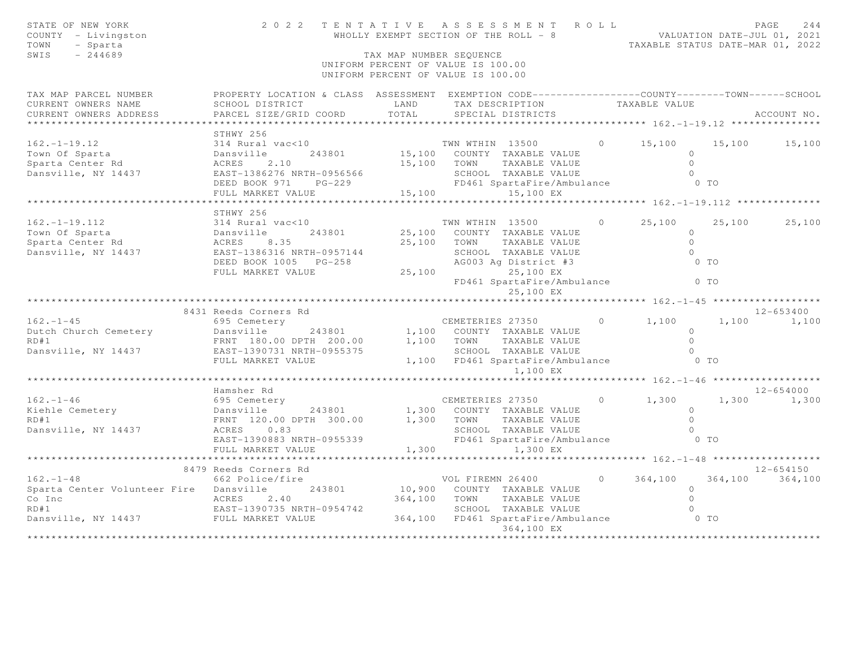| STATE OF NEW YORK<br>COUNTY - Livingston<br>- Sparta<br>TOWN<br>SWIS<br>$-244689$ |                                                                                                                                              | TAX MAP NUMBER SEQUENCE | ENTATIVE ASSESSMENT ROLL<br>WALUATION DATE-JUL 01, 2021<br>WALUATION DATE-JUL 01, 2021<br>TAXABLE STATUS DATE-MAR 01, 2022<br>2022 TENTATIVE ASSESSMENT ROLL<br>UNIFORM PERCENT OF VALUE IS 100.00<br>UNIFORM PERCENT OF VALUE IS 100.00 |                |                                               |        |                 |
|-----------------------------------------------------------------------------------|----------------------------------------------------------------------------------------------------------------------------------------------|-------------------------|------------------------------------------------------------------------------------------------------------------------------------------------------------------------------------------------------------------------------------------|----------------|-----------------------------------------------|--------|-----------------|
| TAX MAP PARCEL NUMBER<br>CURRENT OWNERS NAME<br>CURRENT OWNERS ADDRESS            | PROPERTY LOCATION & CLASS ASSESSMENT EXEMPTION CODE----------------COUNTY-------TOWN-----SCHOOL<br>SCHOOL DISTRICT<br>PARCEL SIZE/GRID COORD | LAND<br>TOTAL           | TAX DESCRIPTION<br>SPECIAL DISTRICTS                                                                                                                                                                                                     |                | TAXABLE VALUE                                 |        | ACCOUNT NO.     |
| * * * * * * * * * * * * * * *                                                     |                                                                                                                                              |                         |                                                                                                                                                                                                                                          |                |                                               |        |                 |
| $162. - 1 - 19.12$<br>Town Of Sparta<br>Sparta Center Rd<br>Dansville, NY 14437   | STHWY 256<br>314 Rural vac<10<br>243801<br>Dansville<br>2.10<br>ACRES<br>EAST-1386276 NRTH-0956566                                           |                         | TWN WTHIN 13500<br>15,100 COUNTY TAXABLE VALUE<br>15,100 TOWN TAXABLE VALUE<br>SCHOOL TAXABLE VALUE                                                                                                                                      | $\overline{0}$ | 15,100<br>$\circ$<br>$\circ$<br>$\cap$        | 15,100 | 15,100          |
|                                                                                   | $PG-229$<br>DEED BOOK 971                                                                                                                    |                         | FD461 SpartaFire/Ambulance                                                                                                                                                                                                               |                | $0$ TO                                        |        |                 |
|                                                                                   | FULL MARKET VALUE                                                                                                                            | 15,100                  | 15,100 EX                                                                                                                                                                                                                                |                |                                               |        |                 |
|                                                                                   |                                                                                                                                              |                         |                                                                                                                                                                                                                                          |                | ************** 162. -1-19.112 *************** |        |                 |
| $162. - 1 - 19.112$<br>Town Of Sparta                                             | STHWY 256<br>314 Rural vac<10                                                                                                                |                         | TWN WTHIN 13500<br>25,100 COUNTY TAXABLE VALUE                                                                                                                                                                                           | $\circ$        | 25,100<br>$\circ$                             | 25,100 | 25,100          |
| Sparta Center Rd<br>Dansville, NY 14437                                           | DEED BOOK 1005 PG-258                                                                                                                        |                         | 25,100 TOWN TAXABLE VALUE<br>SCHOOL TAXABLE VALUE<br>AG003 Ag District #3                                                                                                                                                                |                | $\circ$<br>$\Omega$<br>$0$ TO                 |        |                 |
|                                                                                   | FULL MARKET VALUE                                                                                                                            |                         | 25,100 25,100 EX<br>FD461 SpartaFire/Ambulance 0 TO<br>25,100 EX                                                                                                                                                                         |                |                                               |        |                 |
|                                                                                   |                                                                                                                                              |                         |                                                                                                                                                                                                                                          |                |                                               |        |                 |
|                                                                                   | 8431 Reeds Corners Rd                                                                                                                        |                         |                                                                                                                                                                                                                                          |                |                                               |        | 12-653400       |
| $162. - 1 - 45$                                                                   | 695 Cemetery                                                                                                                                 |                         | CEMETERIES 27350                                                                                                                                                                                                                         |                | $0 \t 1, 100$                                 |        | 1,100 1,100     |
| Dutch Church Cemetery                                                             | Dansville<br>243801                                                                                                                          |                         | 1,100 COUNTY TAXABLE VALUE                                                                                                                                                                                                               |                | $\circ$<br>$\Omega$                           |        |                 |
| RD#1<br>Dansville, NY 14437                                                       | FRNT 180.00 DPTH 200.00<br>EAST-1390731 NRTH-0955375                                                                                         |                         | 1,100 TOWN TAXABLE VALUE<br>SCHOOL TAXABLE VALUE                                                                                                                                                                                         |                | $\Omega$                                      |        |                 |
|                                                                                   | FULL MARKET VALUE                                                                                                                            |                         | 1,100 FD461 SpartaFire/Ambulance<br>1,100 EX                                                                                                                                                                                             |                | $0$ TO                                        |        |                 |
|                                                                                   |                                                                                                                                              |                         |                                                                                                                                                                                                                                          |                |                                               |        |                 |
|                                                                                   | Hamsher Rd                                                                                                                                   |                         |                                                                                                                                                                                                                                          |                |                                               |        | $12 - 654000$   |
| $162 - 1 - 46$<br>Kiehle Cemetery<br>RD#1<br>Dansville, NY 14437                  | 695 Cemetery<br>Dansville 243801<br>FRNT 120.00 DPTH 300.00<br>ACRES 0.83<br>EAST-1390883 NRTH-0955339                                       |                         | CEMETERIES 27350<br>1,300 COUNTY TAXABLE VALUE<br>1,300 TOWN<br>TAXABLE VALUE<br>SCHOOL TAXABLE VALUE<br>FD461 SpartaFire/Ambulance 0 TO                                                                                                 | $\circ$        | 1,300<br>$\circ$<br>$\Omega$<br>$\circ$       | 1,300  | 1,300           |
|                                                                                   | FULL MARKET VALUE                                                                                                                            | 1,300                   | 1,300 EX                                                                                                                                                                                                                                 |                |                                               |        |                 |
|                                                                                   | * * * * * * * * * * * * * * * * * *                                                                                                          |                         |                                                                                                                                                                                                                                          |                | ****** $162 - 1 - 48$ *******************     |        |                 |
|                                                                                   | 8479 Reeds Corners Rd                                                                                                                        |                         |                                                                                                                                                                                                                                          |                |                                               |        | 12-654150       |
| $162. - 1 - 48$                                                                   | 662 Police/fire                                                                                                                              |                         | VOL FIREMN 26400                                                                                                                                                                                                                         | $\circ$        | 364,100                                       |        | 364,100 364,100 |
| Sparta Center Volunteer Fire Dansville                                            | 243801                                                                                                                                       |                         | 10,900 COUNTY TAXABLE VALUE                                                                                                                                                                                                              |                | $\circ$                                       |        |                 |
| Co Inc                                                                            | 2.40<br>ACRES                                                                                                                                | 364,100                 | TOWN<br>TAXABLE VALUE                                                                                                                                                                                                                    |                | $\circ$                                       |        |                 |
| RD#1<br>Dansville, NY 14437<br>FULL MARKET VALUE                                  |                                                                                                                                              |                         | SCHOOL TAXABLE VALUE<br>364,100 FD461 SpartaFire/Ambulance 0 TO                                                                                                                                                                          |                |                                               |        |                 |
|                                                                                   |                                                                                                                                              |                         | 364,100 EX<br>****************                                                                                                                                                                                                           |                |                                               |        |                 |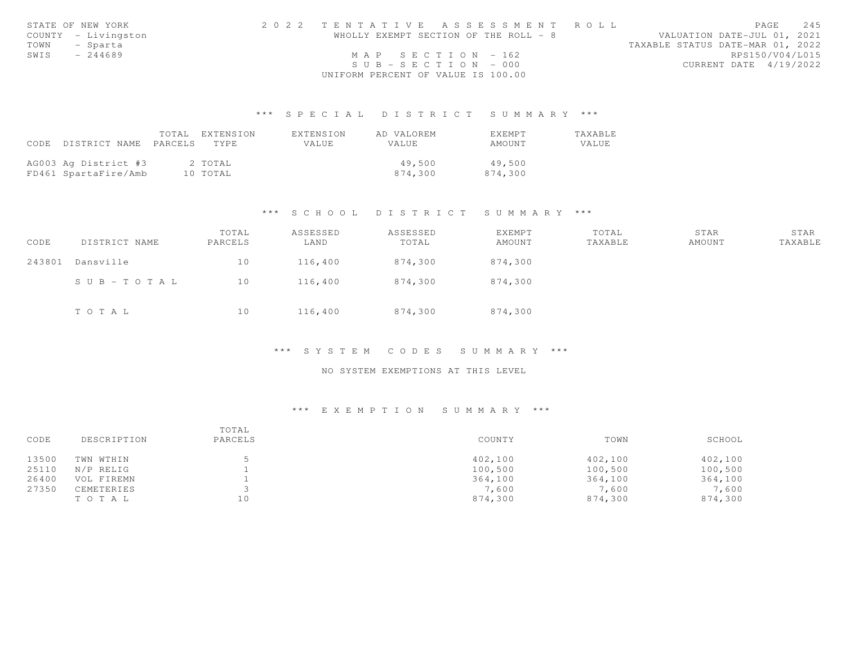|      | STATE OF NEW YORK   | 2022 TENTATIVE ASSESSMENT ROLL        | PAGE 245                         |
|------|---------------------|---------------------------------------|----------------------------------|
|      | COUNTY - Livingston | WHOLLY EXEMPT SECTION OF THE ROLL - 8 | VALUATION DATE-JUL 01, 2021      |
|      | TOWN - Sparta       |                                       | TAXABLE STATUS DATE-MAR 01, 2022 |
| SWIS | $-244689$           | MAP SECTION $-162$                    | RPS150/V04/L015                  |
|      |                     | $SUB - SECTION - 000$                 | CURRENT DATE 4/19/2022           |
|      |                     | UNIFORM PERCENT OF VALUE IS 100.00    |                                  |

|                            | TOTAL EXTENSION | EXTENSION | AD VALOREM | <b>FXFMPT</b> | <b>TAXABLE</b> |
|----------------------------|-----------------|-----------|------------|---------------|----------------|
| CODE DISTRICT NAME PARCELS | TYPE.           | VALUE     | VALUE      | AMOUNT        | VALUE.         |
|                            |                 |           |            |               |                |
| AG003 Ag District #3       | 2 TOTAL         |           | 49,500     | 49,500        |                |
| FD461 SpartaFire/Amb       | 10 TOTAL        |           | 874,300    | 874,300       |                |

### \*\*\* S C H O O L D I S T R I C T S U M M A R Y \*\*\*

| CODE   | DISTRICT NAME | TOTAL<br>PARCELS | ASSESSED<br>LAND | ASSESSED<br>TOTAL | EXEMPT<br>AMOUNT | TOTAL<br>TAXABLE | STAR<br>AMOUNT | STAR<br>TAXABLE |
|--------|---------------|------------------|------------------|-------------------|------------------|------------------|----------------|-----------------|
| 243801 | Dansville     | 10               | 116,400          | 874,300           | 874,300          |                  |                |                 |
|        | SUB-TOTAL     | 10               | 116,400          | 874,300           | 874,300          |                  |                |                 |
|        | TOTAL         | 10               | 116,400          | 874,300           | 874,300          |                  |                |                 |

### \*\*\* S Y S T E M C O D E S S U M M A R Y \*\*\*

## NO SYSTEM EXEMPTIONS AT THIS LEVEL

| CODE  | DESCRIPTION | TOTAL<br>PARCELS | COUNTY  | TOWN    | SCHOOL  |
|-------|-------------|------------------|---------|---------|---------|
| 13500 | TWN WTHIN   |                  | 402,100 | 402,100 | 402,100 |
| 25110 | N/P RELIG   |                  | 100,500 | 100,500 | 100,500 |
| 26400 | VOL FIREMN  |                  | 364,100 | 364,100 | 364,100 |
| 27350 | CEMETERIES  |                  | 7.600   | 7,600   | 7,600   |
|       | TOTAL       | 10               | 874,300 | 874,300 | 874,300 |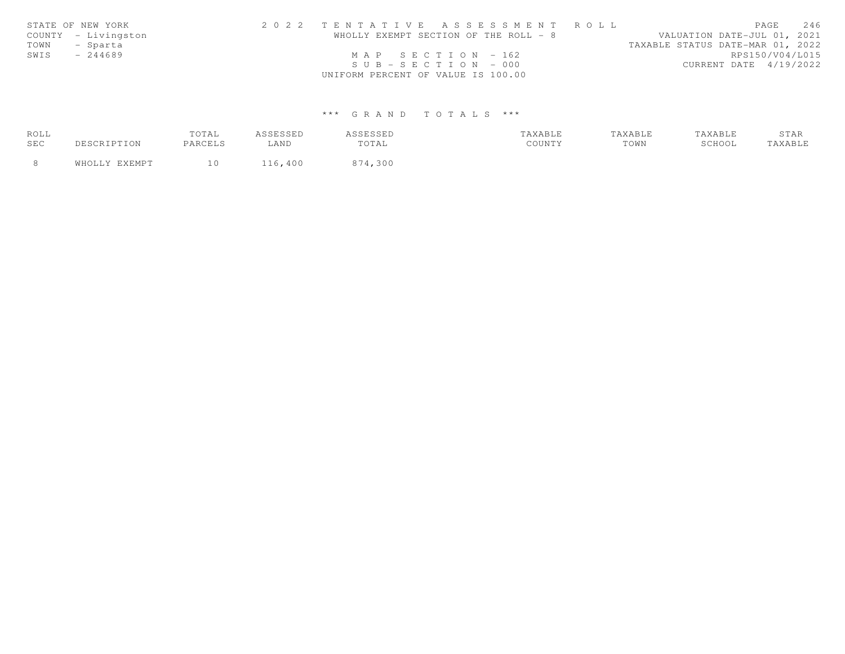|      | STATE OF NEW YORK   | 2022 TENTATIVE ASSESSMENT ROLL        |  |                                  | PAGE            | 2.46 |
|------|---------------------|---------------------------------------|--|----------------------------------|-----------------|------|
|      | COUNTY - Livingston | WHOLLY EXEMPT SECTION OF THE ROLL - 8 |  | VALUATION DATE-JUL 01, 2021      |                 |      |
| TOWN | - Sparta            |                                       |  | TAXABLE STATUS DATE-MAR 01, 2022 |                 |      |
| SWIS | $-244689$           | MAP SECTION $-162$                    |  |                                  | RPS150/V04/L015 |      |
|      |                     | $SUB - SECTION - 000$                 |  | CURRENT DATE 4/19/2022           |                 |      |
|      |                     | UNIFORM PERCENT OF VALUE IS 100.00    |  |                                  |                 |      |

| ROLL |               | TOTAL   | <b><i>ACCECCED</i></b><br>ـ سىنال باسىيە | <i><b>ISSESSED</b></i> | TAXABLE | TAXABLE | TAXABLE | STAR   |
|------|---------------|---------|------------------------------------------|------------------------|---------|---------|---------|--------|
| SEC  | DESCRIPTION   | PARCELS | LAND                                     | TOTAL                  | COUNTY  | TOWN    | SCHOOL  | AXABLE |
|      | WHOLLY EXEMPT |         | 400                                      | 874,300                |         |         |         |        |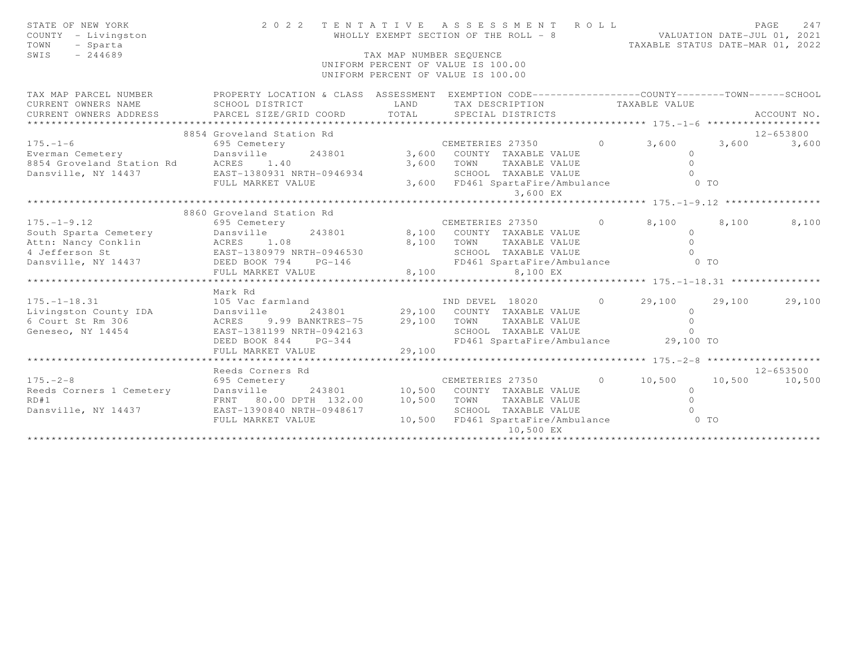| STATE OF NEW YORK<br>COUNTY - Livingston<br>TOWN<br>- Sparta<br>$-244689$<br>SWIS                                                                                                                                                                                           |                                                                                                                     | TAX MAP NUMBER SEQUENCE | 2022 TENTATIVE ASSESSMENT ROLL<br>WHOLLY EXEMPT SECTION OF THE ROLL - 8 WALUATION DATE-JUL 01, 2021<br>TAXABLE STATUS DATE-MAR 01, 2022<br>UNIFORM PERCENT OF VALUE IS 100.00<br>UNIFORM PERCENT OF VALUE IS 100.00 |                                                  |       | PAGE<br>247   |
|-----------------------------------------------------------------------------------------------------------------------------------------------------------------------------------------------------------------------------------------------------------------------------|---------------------------------------------------------------------------------------------------------------------|-------------------------|---------------------------------------------------------------------------------------------------------------------------------------------------------------------------------------------------------------------|--------------------------------------------------|-------|---------------|
| TAX MAP PARCEL NUMBER<br>CURRENT OWNERS NAME                                                                                                                                                                                                                                | PROPERTY LOCATION & CLASS ASSESSMENT EXEMPTION CODE----------------COUNTY-------TOWN------SCHOOL<br>SCHOOL DISTRICT | LAND                    | TAX DESCRIPTION TAXABLE VALUE                                                                                                                                                                                       |                                                  |       |               |
|                                                                                                                                                                                                                                                                             | 8854 Groveland Station Rd                                                                                           |                         |                                                                                                                                                                                                                     |                                                  |       | 12-653800     |
| $175. - 1 - 6$<br>Everman Cemetery bansville 243801<br>8854 Groveland Station Rd ACRES 1.40<br>Dansville, NY 14437 EAST-1380931 NRTH-0946934                                                                                                                                | 695 Cemetery<br>FULL MARKET VALUE                                                                                   | 3,600                   | CEMETERIES 27350 0 3,600 3,600<br>243801 3,600 COUNTY TAXABLE VALUE 0<br>TOWN TAXABLE VALUE<br>SCHOOL TAXABLE VALUE<br>3,600 FD461 SpartaFire/Ambulance 6 0 TO<br>3,600 EX                                          | $\cap$                                           |       | 3,600         |
|                                                                                                                                                                                                                                                                             |                                                                                                                     |                         |                                                                                                                                                                                                                     | ****************** 175. -1-9.12 **************** |       |               |
|                                                                                                                                                                                                                                                                             | 8860 Groveland Station Rd                                                                                           |                         |                                                                                                                                                                                                                     |                                                  |       |               |
| $175. - 1 - 9.12$<br>South Sparta Cemetery<br>Attn: Nancy Conklin<br>4 Jefferson St<br>Dansville, NY 14437<br>Dansville, NY 14437<br>Dansville, NY 14437<br>Dansville, NY 14437<br>Dansville, NY 14437<br>DEED BOOK 794<br>NY 14437<br>DEED BOOK 794<br>NY 14437<br>DEED BO | 695 Cemetery                                                                                                        | 8,100                   | CEMETERIES 27350 0<br>8,100 COUNTY TAXABLE VALUE<br>TOWN TAXABLE VALUE<br>SCHOOL TAXABLE VALUE<br>FD461 SpartaFire/Ambulance 0 TO                                                                                   | 8,100<br>$\circ$<br>$\cap$                       | 8,100 | 8,100         |
|                                                                                                                                                                                                                                                                             | Mark Rd                                                                                                             |                         |                                                                                                                                                                                                                     |                                                  |       |               |
| 175.-1-18.31 105 Vac farmland 1ND DEVEL 18020 0 29,100 29,100<br>Livingston County IDA Dansville 243801 29,100 COUNTY TAXABLE VALUE 0<br>6 Court St Rm 306 ACRES 9.99 BANKTRES-75 29,100 TOWN TAXABLE VALUE 0<br>Geneseo, NY 14454                                          | 105 Vac farmland<br>EAST-1381199 NRTH-0942163<br>DEED BOOK 844<br>$PG-344$                                          |                         | SCHOOL TAXABLE VALUE<br>FD461 SpartaFire/Ambulance 29,100 TO                                                                                                                                                        | $\Omega$                                         |       | 29,100        |
|                                                                                                                                                                                                                                                                             |                                                                                                                     |                         |                                                                                                                                                                                                                     |                                                  |       | $12 - 653500$ |
| 1/5.-2-8<br>FRNT 80.00 DPTH 132.00<br>Reeds Corners 1 Cemetery<br>RD#1<br>RD#1<br>RD#1<br>Nanswille MY 14427<br>RD#1<br>Nanswille MY 14427<br>RD#1<br>Nanswille MY 14427<br>RD#1<br>Nanswille MY 14427<br>RD#1<br>Nanswille MY 14427<br>RD#1<br>Dansville, NY 14437         | EAST-1390840 NRTH-0948617<br>FULL MARKET VALUE                                                                      |                         | SCHOOL TAXABLE VALUE<br>10,500 FD461 SpartaFire/Ambulance 0 TO<br>10,500 EX                                                                                                                                         | $\cap$<br>*******************************        |       | 10,500 10,500 |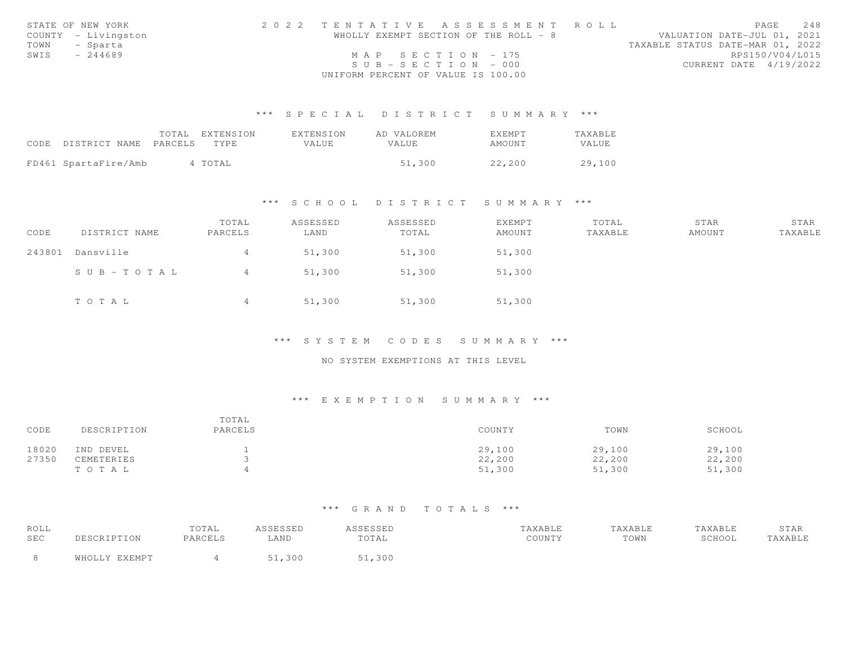|      | STATE OF NEW YORK   |                                    |  | 2022 TENTATIVE ASSESSMENT ROLL        |                                  |                 | PAGE | 2.48 |
|------|---------------------|------------------------------------|--|---------------------------------------|----------------------------------|-----------------|------|------|
|      | COUNTY - Livingston |                                    |  | WHOLLY EXEMPT SECTION OF THE ROLL - 8 | VALUATION DATE-JUL 01, 2021      |                 |      |      |
|      | TOWN - Sparta       |                                    |  |                                       | TAXABLE STATUS DATE-MAR 01, 2022 |                 |      |      |
| SWIS | $-244689$           | MAP SECTION - 175                  |  |                                       |                                  | RPS150/V04/L015 |      |      |
|      |                     | $SUB - SECTION - 000$              |  |                                       | CURRENT DATE 4/19/2022           |                 |      |      |
|      |                     | UNIFORM PERCENT OF VALUE IS 100.00 |  |                                       |                                  |                 |      |      |

|                                 | TOTAL EXTENSION | EXTENSION | AD VALOREM | <b>FXFMPT</b> | TAXABLE      |
|---------------------------------|-----------------|-----------|------------|---------------|--------------|
| CODE DISTRICT NAME PARCELS TYPE |                 | VALUE     | VALUE.     | AMOUNT        | <b>VALUE</b> |
|                                 |                 |           |            |               |              |
| FD461 SpartaFire/Amb            | 4 TOTAL         |           | 51,300     | 22,200        | 29,100       |

#### \*\*\* S C H O O L D I S T R I C T S U M M A R Y \*\*\*

| CODE   | DISTRICT NAME | TOTAL<br>PARCELS | ASSESSED<br>LAND | ASSESSED<br>TOTAL | <b>EXEMPT</b><br>AMOUNT | TOTAL<br>TAXABLE | STAR<br>AMOUNT | STAR<br>TAXABLE |
|--------|---------------|------------------|------------------|-------------------|-------------------------|------------------|----------------|-----------------|
| 243801 | Dansville     | 4                | 51,300           | 51,300            | 51,300                  |                  |                |                 |
|        | SUB-TOTAL     | 4                | 51,300           | 51,300            | 51,300                  |                  |                |                 |
|        | TOTAL         | 4                | 51,300           | 51,300            | 51,300                  |                  |                |                 |

# \*\*\* S Y S T E M C O D E S S U M M A R Y \*\*\*

## NO SYSTEM EXEMPTIONS AT THIS LEVEL

## \*\*\* E X E M P T I O N S U M M A R Y \*\*\*

| CODE  | DESCRIPTION | TOTAL<br>PARCELS | COUNTY | TOWN   | SCHOOL |
|-------|-------------|------------------|--------|--------|--------|
| 18020 | IND DEVEL   |                  | 29,100 | 29,100 | 29,100 |
| 27350 | CEMETERIES  |                  | 22,200 | 22,200 | 22,200 |
|       | TOTAL       |                  | 51,300 | 51,300 | 51,300 |

| ROLL |               | TOTAL   | ASSESSED   | <i><b>ISSESSED</b></i> | TAXABLE | TAXABLE | TAXABLE | STAR    |
|------|---------------|---------|------------|------------------------|---------|---------|---------|---------|
| SEC  | DESCRIPTION   | PARCELS | <b>AND</b> | TOTAL                  | COUNTY  | TOWN    | SCHOOL  | TAXABLE |
|      | WHOLLY EXEMPT |         | ,300       | 1,300 ک                |         |         |         |         |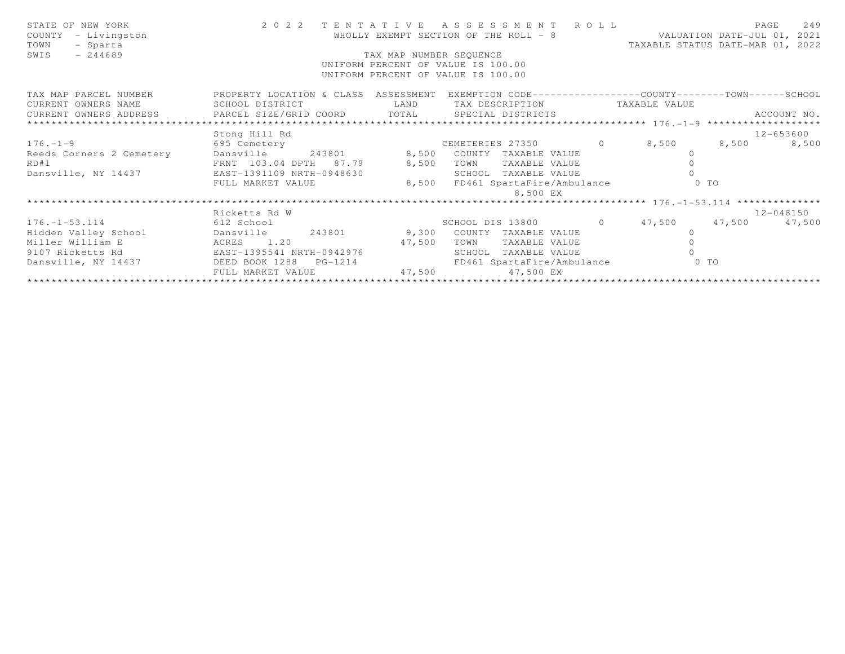| STATE OF NEW YORK<br>COUNTY - Livingston<br>TOWN<br>- Sparta<br>$-244689$<br>SWIS                                         |                                                              | TAX MAP NUMBER SEQUENCE | 2022 TENTATIVE ASSESSMENT ROLL<br>WHOLLY EXEMPT SECTION OF THE ROLL - 8 WALUATION DATE-JUL 01, 2021<br>UNIFORM PERCENT OF VALUE IS 100.00<br>UNIFORM PERCENT OF VALUE IS 100.00 | TAXABLE STATUS DATE-MAR 01, 2022 | PAGE          | 249         |
|---------------------------------------------------------------------------------------------------------------------------|--------------------------------------------------------------|-------------------------|---------------------------------------------------------------------------------------------------------------------------------------------------------------------------------|----------------------------------|---------------|-------------|
| TAX MAP PARCEL NUMBER THE PROPERTY LOCATION & CLASS ASSESSMENT EXEMPTION CODE---------------COUNTY-------TOWN------SCHOOL |                                                              |                         |                                                                                                                                                                                 |                                  |               | ACCOUNT NO. |
|                                                                                                                           | Stong Hill Rd                                                |                         |                                                                                                                                                                                 |                                  | $12 - 653600$ |             |
| $176. - 1 - 9$ 695 Cemetery                                                                                               |                                                              |                         | CEMETERIES 27350 0 8,500 8,500                                                                                                                                                  |                                  |               | 8,500       |
| Reeds Corners 2 Cemetery<br>Reeds Corners 2 Cemetery<br>RD#1 FRNT 103.04 DPTH 87.79 8,500 TOWN TAXABLE VALUE              |                                                              |                         |                                                                                                                                                                                 |                                  |               |             |
|                                                                                                                           |                                                              |                         |                                                                                                                                                                                 |                                  |               |             |
| Dansville, NY 14437 EAST-1391109 NRTH-0948630                                                                             |                                                              |                         | SCHOOL TAXABLE VALUE                                                                                                                                                            |                                  |               |             |
|                                                                                                                           | FULL MARKET VALUE                                            |                         | 8,500 FD461 SpartaFire/Ambulance<br>8,500 EX                                                                                                                                    | O TO                             |               |             |
|                                                                                                                           |                                                              |                         |                                                                                                                                                                                 |                                  |               |             |
|                                                                                                                           | Ricketts Rd W                                                |                         |                                                                                                                                                                                 |                                  |               | 12-048150   |
| 176.-1-53.114 612 School 612 School SCHOOL DIS 13800 0 47,500 47,500 47,500                                               |                                                              |                         |                                                                                                                                                                                 |                                  |               |             |
| Hidden Valley School Dansville 243801 9,300 COUNTY TAXABLE VALUE                                                          |                                                              |                         |                                                                                                                                                                                 | $\circ$                          |               |             |
| Miller William E                                                                                                          | ACRES 1.20<br>ACRES 1.20 47,500<br>EAST-1395541 NRTH-0942976 |                         | TOWN<br>TAXABLE VALUE                                                                                                                                                           |                                  |               |             |
| 9107 Ricketts Rd                                                                                                          |                                                              |                         | SCHOOL TAXABLE VALUE                                                                                                                                                            |                                  |               |             |
| Dansville, NY 14437 DEED BOOK 1288 PG-1214                                                                                |                                                              |                         | FD461 SpartaFire/Ambulance                                                                                                                                                      | $0$ TO                           |               |             |
|                                                                                                                           | FULL MARKET VALUE                                            | 47,500                  | 47,500 EX                                                                                                                                                                       |                                  |               |             |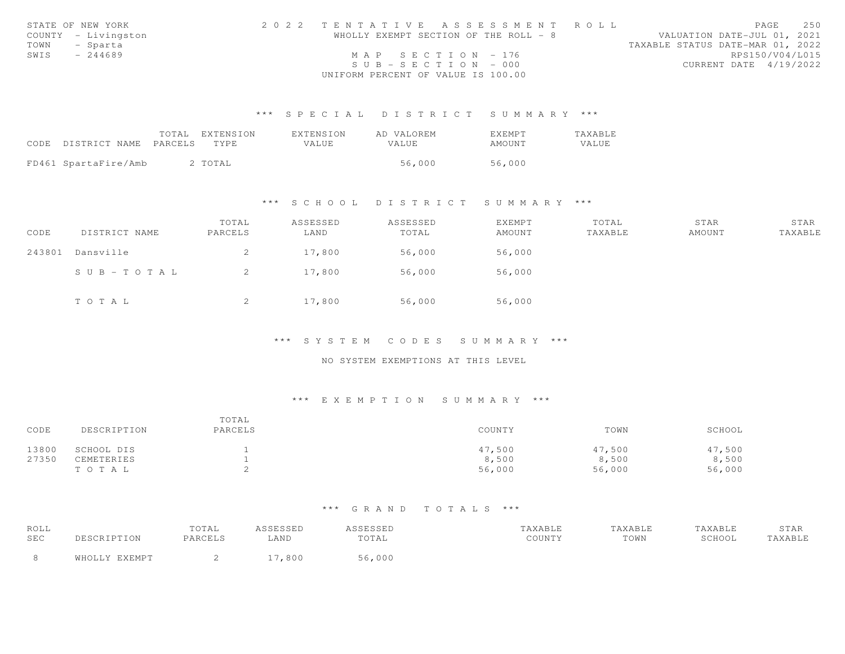|      | STATE OF NEW YORK   | 2022 TENTATIVE ASSESSMENT ROLL        |  |  |                                  |                        | PAGE | 2.50 |
|------|---------------------|---------------------------------------|--|--|----------------------------------|------------------------|------|------|
|      | COUNTY - Livingston | WHOLLY EXEMPT SECTION OF THE ROLL - 8 |  |  | VALUATION DATE-JUL 01, 2021      |                        |      |      |
| TOWN | - Sparta            |                                       |  |  | TAXABLE STATUS DATE-MAR 01, 2022 |                        |      |      |
| SWIS | $-244689$           | MAP SECTION - 176                     |  |  |                                  | RPS150/V04/L015        |      |      |
|      |                     | $SUB - SECTION - 000$                 |  |  |                                  | CURRENT DATE 4/19/2022 |      |      |
|      |                     | UNIFORM PERCENT OF VALUE IS 100.00    |  |  |                                  |                        |      |      |

|                            | TOTAL | EXTENSION | EXTENSION | AD VALOREM | EXEMPT | <b>TAXABLE</b> |
|----------------------------|-------|-----------|-----------|------------|--------|----------------|
| CODE DISTRICT NAME PARCELS |       | TYPE.     | VALUE.    | VALUE.     | AMOUNT | VALUE          |
|                            |       |           |           |            |        |                |
| FD461 SpartaFire/Amb       |       | 2 TOTAL   |           | 56,000     | 56,000 |                |

### \*\*\* S C H O O L D I S T R I C T S U M M A R Y \*\*\*

| CODE   | DISTRICT NAME | TOTAL<br>PARCELS | ASSESSED<br>LAND | ASSESSED<br>TOTAL | EXEMPT<br>AMOUNT | TOTAL<br>TAXABLE | STAR<br>AMOUNT | STAR<br>TAXABLE |
|--------|---------------|------------------|------------------|-------------------|------------------|------------------|----------------|-----------------|
| 243801 | Dansville     | 2                | 17,800           | 56,000            | 56,000           |                  |                |                 |
|        | SUB-TOTAL     | -2               | 17,800           | 56,000            | 56,000           |                  |                |                 |
|        | TOTAL         | 2                | 17,800           | 56,000            | 56,000           |                  |                |                 |

# \*\*\* S Y S T E M C O D E S S U M M A R Y \*\*\*

## NO SYSTEM EXEMPTIONS AT THIS LEVEL

## \*\*\* E X E M P T I O N S U M M A R Y \*\*\*

| CODE  | DESCRIPTION | TOTAL<br>PARCELS | COUNTY | TOWN   | SCHOOL |
|-------|-------------|------------------|--------|--------|--------|
| 13800 | SCHOOL DIS  |                  | 47,500 | 47,500 | 47,500 |
| 27350 | CEMETERIES  |                  | 8,500  | 8,500  | 8,500  |
|       | TOTAL       |                  | 56,000 | 56,000 | 56,000 |

| ROLL |                  | TOTAL   | <b>SCECCED</b><br>7 . <i>. .</i> | <i><b>SSESSED</b></i> | <b>AYARLF</b> | TAXABLE | <b>AXABLE</b> | 5 I AK |
|------|------------------|---------|----------------------------------|-----------------------|---------------|---------|---------------|--------|
| SEC  | CRIPTION         | PARCELS | ⊥AND                             | TOTAL                 | COUNTY        | TOWN    | SCHOOL        | AXABLE |
|      | $5.7$ T T $\cap$ |         | $\circ$ $\circ$ $\circ$          | ,000                  |               |         |               |        |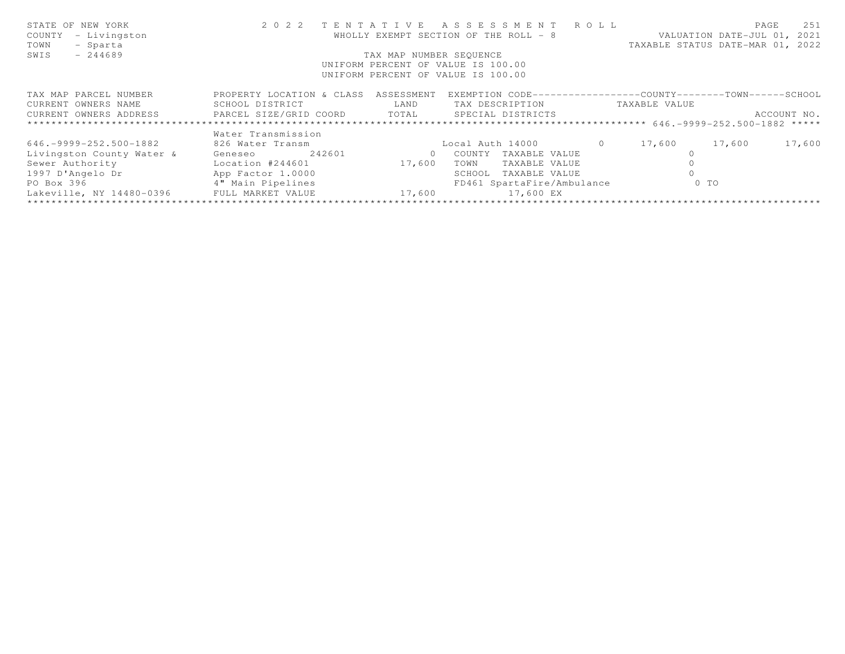| STATE OF NEW YORK<br>- Livingston<br>COUNTY         |                           |                         | 2022 TENTATIVE ASSESSMENT ROLL<br>WHOLLY EXEMPT SECTION OF THE ROLL - 8 |          |               | 251<br>PAGE<br>VALUATION DATE-JUL 01, 2021 |
|-----------------------------------------------------|---------------------------|-------------------------|-------------------------------------------------------------------------|----------|---------------|--------------------------------------------|
| TOWN<br>- Sparta                                    |                           |                         |                                                                         |          |               | TAXABLE STATUS DATE-MAR 01, 2022           |
| $-244689$<br>SWIS                                   |                           | TAX MAP NUMBER SEOUENCE |                                                                         |          |               |                                            |
|                                                     |                           |                         | UNIFORM PERCENT OF VALUE IS 100.00                                      |          |               |                                            |
|                                                     |                           |                         | UNIFORM PERCENT OF VALUE IS 100.00                                      |          |               |                                            |
| TAX MAP PARCEL NUMBER                               | PROPERTY LOCATION & CLASS | ASSESSMENT              | EXEMPTION CODE-----------------COUNTY-------TOWN-----SCHOOL             |          |               |                                            |
| CURRENT OWNERS NAME                                 | SCHOOL DISTRICT           | LAND                    | TAX DESCRIPTION                                                         |          | TAXABLE VALUE |                                            |
| CURRENT OWNERS ADDRESS FARCEL SIZE/GRID COORD TOTAL |                           |                         | SPECIAL DISTRICTS                                                       |          |               | ACCOUNT NO.                                |
|                                                     |                           |                         |                                                                         |          |               |                                            |
|                                                     | Water Transmission        |                         |                                                                         |          |               |                                            |
| $646. -9999 - 252.500 - 1882$                       | 826 Water Transm          |                         | Local Auth 14000                                                        | $\Omega$ | 17,600        | 17,600<br>17,600                           |
| Livingston County Water &                           | 242601<br>Geneseo         | $\Omega$                | COUNTY<br>TAXABLE VALUE                                                 |          |               |                                            |
| Sewer Authority                                     | Location #244601          | 17,600                  | TOWN<br>TAXABLE VALUE                                                   |          |               |                                            |
| 1997 D'Angelo Dr                                    | App Factor 1.0000         |                         | TAXABLE VALUE<br>SCHOOL                                                 |          |               |                                            |
| PO Box 396                                          | 4" Main Pipelines         |                         | FD461 SpartaFire/Ambulance                                              |          | $0$ TO        |                                            |
| Lakeville, NY 14480-0396                            | FULL MARKET VALUE         | 17,600                  | 17,600 EX                                                               |          |               |                                            |
|                                                     |                           |                         |                                                                         |          |               |                                            |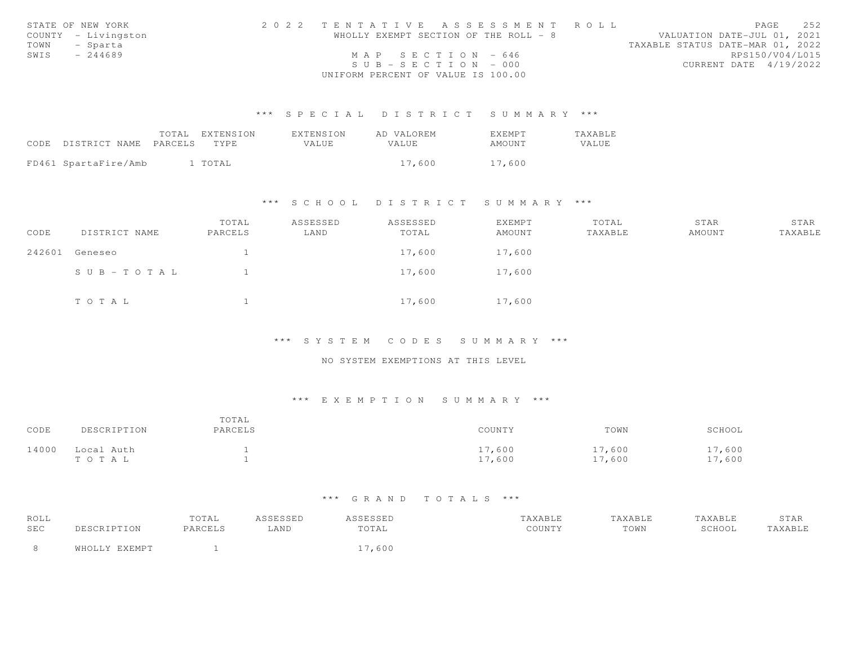|      | STATE OF NEW YORK   | 2022 TENTATIVE ASSESSMENT ROLL        |                                  | PAGE | 2.52 |
|------|---------------------|---------------------------------------|----------------------------------|------|------|
|      | COUNTY - Livingston | WHOLLY EXEMPT SECTION OF THE ROLL - 8 | VALUATION DATE-JUL 01, 2021      |      |      |
|      | TOWN - Sparta       |                                       | TAXABLE STATUS DATE-MAR 01, 2022 |      |      |
| SWIS | - 244689            | MAP SECTION $-646$                    | RPS150/V04/L015                  |      |      |
|      |                     | $SUB - SECTION - 000$                 | CURRENT DATE 4/19/2022           |      |      |
|      |                     | UNIFORM PERCENT OF VALUE IS 100.00    |                                  |      |      |

|                            | TOTAL EXTENSION | EXTENSION | AD VALOREM   | EXEMPT | <b>TAXABLE</b> |
|----------------------------|-----------------|-----------|--------------|--------|----------------|
| CODE DISTRICT NAME PARCELS | TYPE.           | VALUE.    | <b>VALUE</b> | AMOUNT | VALUE          |
|                            |                 |           |              |        |                |
| FD461 SpartaFire/Amb       | 1 TOTAL         |           | 17,600       | 17,600 |                |

## \*\*\* S C H O O L D I S T R I C T S U M M A R Y \*\*\*

| CODE   | DISTRICT NAME | TOTAL<br>PARCELS | ASSESSED<br>LAND | ASSESSED<br>TOTAL | EXEMPT<br>AMOUNT | TOTAL<br>TAXABLE | STAR<br>AMOUNT | STAR<br>TAXABLE |
|--------|---------------|------------------|------------------|-------------------|------------------|------------------|----------------|-----------------|
| 242601 | Geneseo       |                  |                  | 17,600            | 17,600           |                  |                |                 |
|        | SUB-TOTAL     |                  |                  | 17,600            | 17,600           |                  |                |                 |
|        | TOTAL         |                  |                  | 17,600            | 17,600           |                  |                |                 |

\*\*\* S Y S T E M C O D E S S U M M A R Y \*\*\*

## NO SYSTEM EXEMPTIONS AT THIS LEVEL

## \*\*\* E X E M P T I O N S U M M A R Y \*\*\*

| CODE  | DESCRIPTION         | TOTAL<br>PARCELS | COUNTY            | TOWN            | SCHOOL           |
|-------|---------------------|------------------|-------------------|-----------------|------------------|
| 14000 | Local Auth<br>тотаь |                  | 17,600<br>1.7,600 | 17,600<br>7,600 | 17,600<br>17,600 |

| ROLL |               | TOTAL   | ASSESSED | <i><b>SSESSED</b></i> | TAXABLE | TAXABLE | TAXABLE | STAR    |
|------|---------------|---------|----------|-----------------------|---------|---------|---------|---------|
| SEC  | DESCRIPTION   | PARCELS | LAND     | TOTAL                 | COUNTY  | TOWN    | SCHOOL  | TAXABLE |
|      | WHOLLY EXEMPT |         |          | 17,600                |         |         |         |         |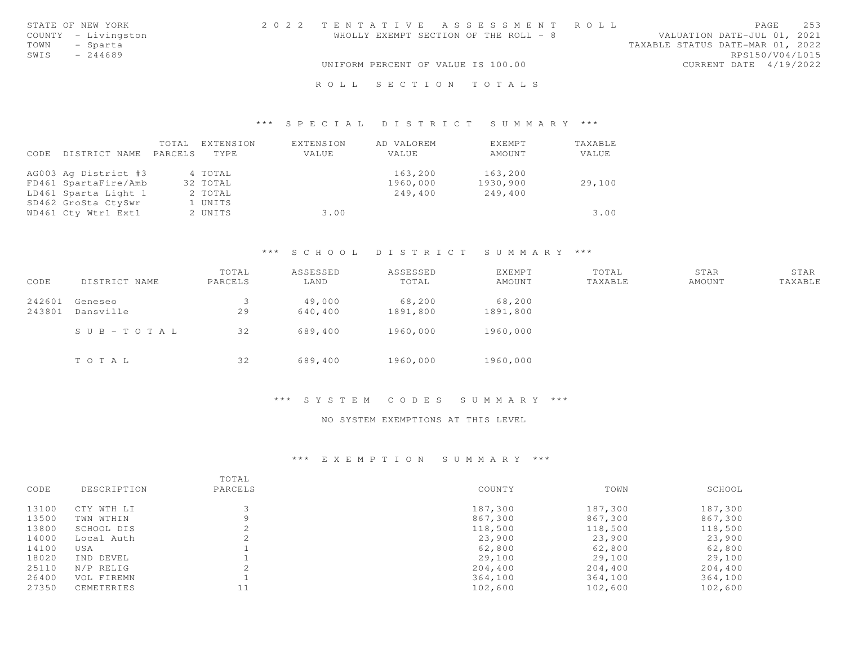| STATE OF NEW YORK   | 2022 TENTATIVE ASSESSMENT ROLL        | 253<br>PAGE                      |
|---------------------|---------------------------------------|----------------------------------|
| COUNTY - Livingston | WHOLLY EXEMPT SECTION OF THE ROLL - 8 | VALUATION DATE-JUL 01, 2021      |
| - Sparta<br>TOWN    |                                       | TAXABLE STATUS DATE-MAR 01, 2022 |
| SWIS<br>$-244689$   |                                       | RPS150/V04/L015                  |
|                     | UNIFORM PERCENT OF VALUE IS 100.00    | CURRENT DATE 4/19/2022           |
|                     |                                       |                                  |
|                     | ROLL SECTION TOTALS                   |                                  |

#### \*\*\* S P E C I A L D I S T R I C T S U M M A R Y \*\*\*

| CODE | DISTRICT NAME        | TOTAL<br>PARCELS | EXTENSION<br>TYPE | EXTENSION<br>VALUE | AD VALOREM<br>VALUE | EXEMPT<br>AMOUNT | TAXABLE<br>VALUE |
|------|----------------------|------------------|-------------------|--------------------|---------------------|------------------|------------------|
|      | AG003 Ag District #3 |                  | 4 TOTAL           |                    | 163,200             | 163,200          |                  |
|      | FD461 SpartaFire/Amb |                  | 32 TOTAL          |                    | 1960,000            | 1930,900         | 29,100           |
|      | LD461 Sparta Light 1 |                  | 2 TOTAL           |                    | 249,400             | 249,400          |                  |
|      | SD462 GroSta CtySwr  |                  | 1 UNITS           |                    |                     |                  |                  |
|      | WD461 Cty Wtr1 Ext1  |                  | 2 UNITS           | 3.00               |                     |                  | 3.00             |

### \*\*\* S C H O O L D I S T R I C T S U M M A R Y \*\*\*

| CODE             | DISTRICT NAME        | TOTAL<br>PARCELS | ASSESSED<br>LAND  | ASSESSED<br>TOTAL  | <b>EXEMPT</b><br>AMOUNT | TOTAL<br>TAXABLE | STAR<br>AMOUNT | STAR<br>TAXABLE |
|------------------|----------------------|------------------|-------------------|--------------------|-------------------------|------------------|----------------|-----------------|
| 242601<br>243801 | Geneseo<br>Dansville | 29               | 49,000<br>640,400 | 68,200<br>1891,800 | 68,200<br>1891,800      |                  |                |                 |
|                  | SUB-TOTAL            | 32               | 689,400           | 1960,000           | 1960,000                |                  |                |                 |
|                  | TOTAL                | 32               | 689,400           | 1960,000           | 1960,000                |                  |                |                 |

### \*\*\* S Y S T E M C O D E S S U M M A R Y \*\*\*

#### NO SYSTEM EXEMPTIONS AT THIS LEVEL

#### \*\*\* E X E M P T I O N S U M M A R Y \*\*\*

| CODE  | DESCRIPTION | TOTAL<br>PARCELS | COUNTY  | TOWN    | SCHOOL  |
|-------|-------------|------------------|---------|---------|---------|
| 13100 | CTY WTH LI  |                  | 187,300 | 187,300 | 187,300 |
| 13500 | TWN WTHIN   | Q                | 867,300 | 867,300 | 867,300 |
| 13800 | SCHOOL DIS  |                  | 118,500 | 118,500 | 118,500 |
| 14000 | Local Auth  |                  | 23,900  | 23,900  | 23,900  |
| 14100 | USA         |                  | 62,800  | 62,800  | 62,800  |
| 18020 | IND DEVEL   |                  | 29,100  | 29,100  | 29,100  |
| 25110 | N/P RELIG   |                  | 204,400 | 204,400 | 204,400 |
| 26400 | VOL FIREMN  |                  | 364,100 | 364,100 | 364,100 |
| 27350 | CEMETERIES  |                  | 102,600 | 102,600 | 102,600 |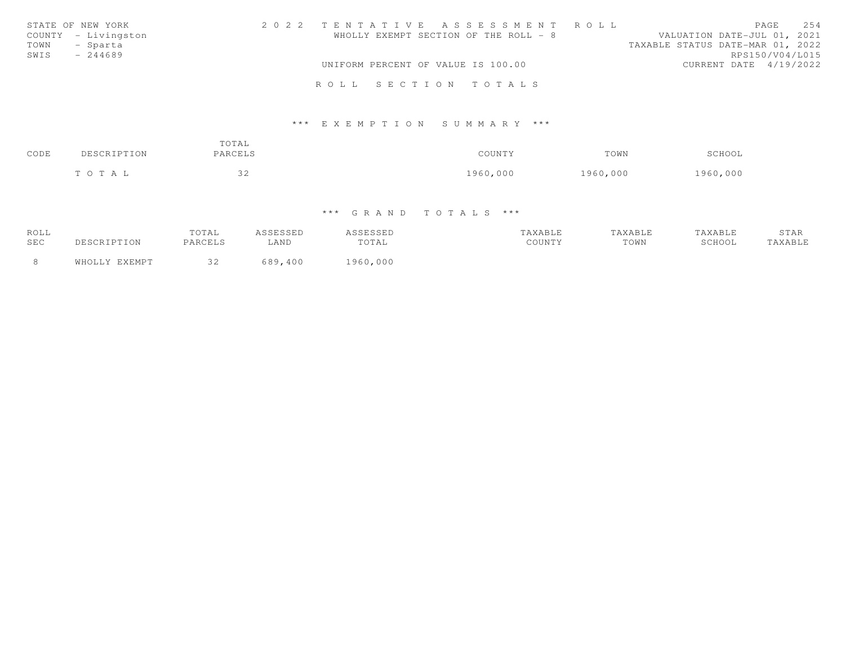| STATE OF NEW YORK   |  |  | 2022 TENTATIVE ASSESSMENT ROLL        |  |                                  |                 | PAGE | 2.54 |
|---------------------|--|--|---------------------------------------|--|----------------------------------|-----------------|------|------|
| COUNTY - Livingston |  |  | WHOLLY EXEMPT SECTION OF THE ROLL - 8 |  | VALUATION DATE-JUL 01, 2021      |                 |      |      |
| TOWN<br>- Sparta    |  |  |                                       |  | TAXABLE STATUS DATE-MAR 01, 2022 |                 |      |      |
| SWIS<br>$-244689$   |  |  |                                       |  |                                  | RPS150/V04/L015 |      |      |
|                     |  |  | UNIFORM PERCENT OF VALUE IS 100.00    |  | CURRENT DATE 4/19/2022           |                 |      |      |
|                     |  |  |                                       |  |                                  |                 |      |      |
|                     |  |  | ROLL SECTION TOTALS                   |  |                                  |                 |      |      |

#### \*\*\* E X E M P T I O N S U M M A R Y \*\*\*

| CODE | DESCRIPTION | TOTAL<br>PARCELS | COUNTY   | TOWN     | SCHOOL   |
|------|-------------|------------------|----------|----------|----------|
|      | TOTAL       | $\cap$<br>ے ب    | 1960,000 | 1960,000 | 1960,000 |

| ROLL       |               | TOTAL   | ASSESSEP | ASSESSED | TAXABLE | TAXABLE | TAXABLE | STAR    |
|------------|---------------|---------|----------|----------|---------|---------|---------|---------|
| <b>SEC</b> | DESCRIPTION   | PARCELS | LAND     | TOTAL    | COUNTY  | TOWN    | SCHOOL  | TAXABLE |
| -8         | WHOLLY EXEMPT |         | 689,400  | 1960,000 |         |         |         |         |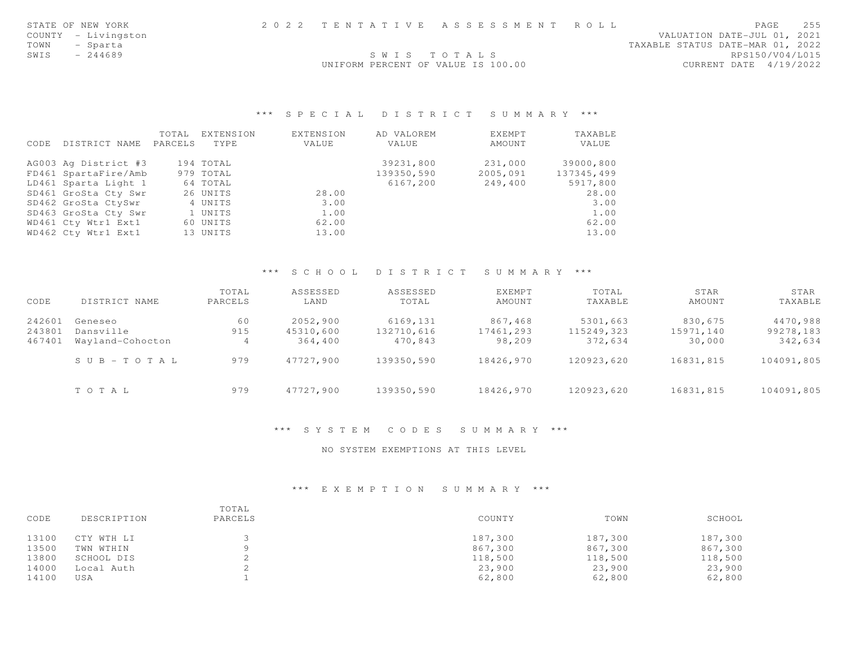|      | STATE OF NEW YORK   | 2022 TENTATIVE ASSESSMENT ROLL     |             |  |                                  | PAGE                        | 255 |
|------|---------------------|------------------------------------|-------------|--|----------------------------------|-----------------------------|-----|
|      | COUNTY - Livingston |                                    |             |  |                                  | VALUATION DATE-JUL 01, 2021 |     |
|      | TOWN - Sparta       |                                    |             |  | TAXABLE STATUS DATE-MAR 01, 2022 |                             |     |
| SWIS | - 244689            |                                    | SWIS TOTALS |  |                                  | RPS150/V04/L015             |     |
|      |                     | UNIFORM PERCENT OF VALUE IS 100.00 |             |  |                                  | CURRENT DATE 4/19/2022      |     |

### \*\*\* S P E C I A L D I S T R I C T S U M M A R Y \*\*\*

|      |                      | TOTAL   | EXTENSION | EXTENSION | AD VALOREM | EXEMPT   | TAXABLE    |
|------|----------------------|---------|-----------|-----------|------------|----------|------------|
| CODE | DISTRICT NAME        | PARCELS | TYPE      | VALUE     | VALUE      | AMOUNT   | VALUE      |
|      | AG003 Ag District #3 |         | 194 TOTAL |           | 39231,800  | 231,000  | 39000,800  |
|      | FD461 SpartaFire/Amb |         | 979 TOTAL |           | 139350,590 | 2005,091 | 137345,499 |
|      | LD461 Sparta Light 1 |         | 64 TOTAL  |           | 6167,200   | 249,400  | 5917,800   |
|      | SD461 GroSta Cty Swr |         | 26 UNITS  | 28.00     |            |          | 28.00      |
|      | SD462 GroSta CtySwr  |         | 4 UNITS   | 3.00      |            |          | 3.00       |
|      | SD463 GroSta Cty Swr |         | 1 UNITS   | 1.00      |            |          | 1.00       |
|      | WD461 Cty Wtr1 Ext1  |         | 60 UNITS  | 62.00     |            |          | 62.00      |
|      | WD462 Cty Wtr1 Ext1  |         | 13 UNITS  | 13.00     |            |          | 13.00      |

### \*\*\* S C H O O L D I S T R I C T S U M M A R Y \*\*\*

| CODE   | DISTRICT NAME             | TOTAL<br>PARCELS | ASSESSED<br>LAND | ASSESSED<br>TOTAL | EXEMPT<br>AMOUNT | TOTAL<br>TAXABLE | STAR<br>AMOUNT | STAR<br>TAXABLE |
|--------|---------------------------|------------------|------------------|-------------------|------------------|------------------|----------------|-----------------|
| 242601 | Geneseo                   | 60               | 2052,900         | 6169,131          | 867,468          | 5301,663         | 830,675        | 4470,988        |
| 243801 | Dansville                 | 915              | 45310,600        | 132710,616        | 17461,293        | 115249,323       | 15971,140      | 99278,183       |
| 467401 | Wayland-Cohocton          | 4                | 364,400          | 470,843           | 98,209           | 372,634          | 30,000         | 342,634         |
|        | $S \cup B - T \cup T A L$ | 979              | 47727,900        | 139350,590        | 18426,970        | 120923,620       | 16831,815      | 104091,805      |
|        | TOTAL                     | 979              | 47727,900        | 139350,590        | 18426,970        | 120923,620       | 16831,815      | 104091,805      |

#### \*\*\* S Y S T E M C O D E S S U M M A R Y \*\*\*

NO SYSTEM EXEMPTIONS AT THIS LEVEL

### \*\*\* E X E M P T I O N S U M M A R Y \*\*\*

| CODE  | DESCRIPTION | TOTAL<br>PARCELS | COUNTY  | TOWN    | SCHOOL  |
|-------|-------------|------------------|---------|---------|---------|
| 13100 | CTY WTH LI  |                  | 187,300 | 187,300 | 187,300 |
| 13500 | TWN WTHIN   |                  | 867,300 | 867,300 | 867,300 |
| 13800 | SCHOOL DIS  |                  | 118,500 | 118,500 | 118,500 |
| 14000 | Local Auth  |                  | 23,900  | 23,900  | 23,900  |
| 14100 | USA         |                  | 62,800  | 62,800  | 62,800  |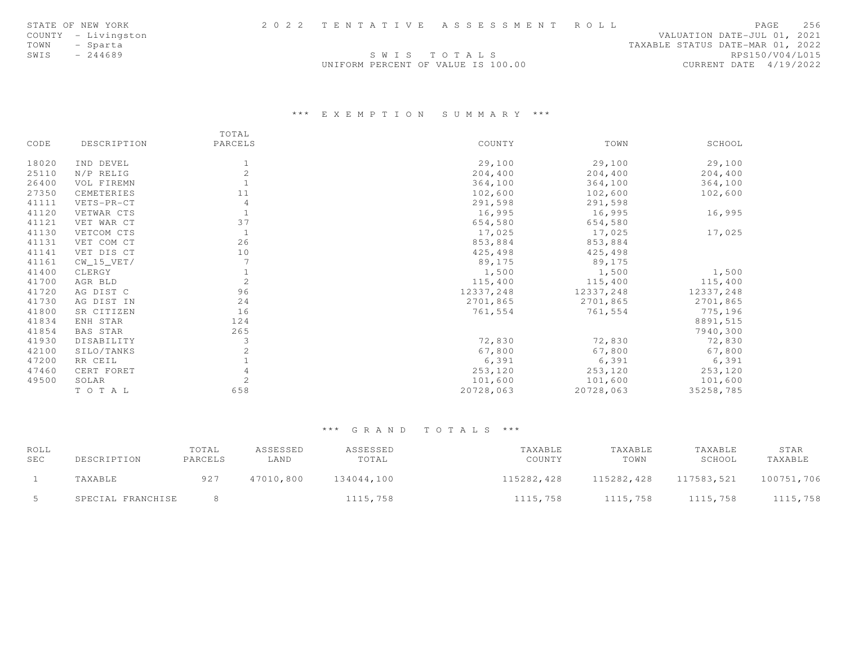|      | STATE OF NEW YORK   |                                    | 2022 TENTATIVE ASSESSMENT ROLL |                                  |                        | PAGE | 256 |
|------|---------------------|------------------------------------|--------------------------------|----------------------------------|------------------------|------|-----|
|      | COUNTY - Livingston |                                    |                                | VALUATION DATE-JUL 01, 2021      |                        |      |     |
| TOWN | - Sparta            |                                    |                                | TAXABLE STATUS DATE-MAR 01, 2022 |                        |      |     |
| SWIS | $-244689$           | SWIS TOTALS                        |                                |                                  | RPS150/V04/L015        |      |     |
|      |                     | UNIFORM PERCENT OF VALUE IS 100.00 |                                |                                  | CURRENT DATE 4/19/2022 |      |     |

## \*\*\* E X E M P T I O N S U M M A R Y \*\*\*

|       |              | TOTAL          |           |           |           |
|-------|--------------|----------------|-----------|-----------|-----------|
| CODE  | DESCRIPTION  | PARCELS        | COUNTY    | TOWN      | SCHOOL    |
| 18020 | IND DEVEL    |                | 29,100    | 29,100    | 29,100    |
| 25110 | N/P RELIG    | 2              | 204,400   | 204,400   | 204,400   |
| 26400 | VOL FIREMN   |                | 364,100   | 364,100   | 364,100   |
| 27350 | CEMETERIES   | 11             | 102,600   | 102,600   | 102,600   |
| 41111 | VETS-PR-CT   | $\overline{4}$ | 291,598   | 291,598   |           |
| 41120 | VETWAR CTS   |                | 16,995    | 16,995    | 16,995    |
| 41121 | VET WAR CT   | 37             | 654,580   | 654,580   |           |
| 41130 | VETCOM CTS   | -1             | 17,025    | 17,025    | 17,025    |
| 41131 | VET COM CT   | 26             | 853,884   | 853,884   |           |
| 41141 | VET DIS CT   | 10             | 425,498   | 425,498   |           |
| 41161 | $CW_15_VET/$ |                | 89,175    | 89,175    |           |
| 41400 | CLERGY       |                | 1,500     | 1,500     | 1,500     |
| 41700 | AGR BLD      | 2              | 115,400   | 115,400   | 115,400   |
| 41720 | AG DIST C    | 96             | 12337,248 | 12337,248 | 12337,248 |
| 41730 | AG DIST IN   | 24             | 2701,865  | 2701,865  | 2701,865  |
| 41800 | SR CITIZEN   | 16             | 761,554   | 761,554   | 775,196   |
| 41834 | ENH STAR     | 124            |           |           | 8891,515  |
| 41854 | BAS STAR     | 265            |           |           | 7940,300  |
| 41930 | DISABILITY   | 3              | 72,830    | 72,830    | 72,830    |
| 42100 | SILO/TANKS   |                | 67,800    | 67,800    | 67,800    |
| 47200 | RR CEIL      |                | 6,391     | 6,391     | 6,391     |
| 47460 | CERT FORET   |                | 253,120   | 253,120   | 253,120   |
| 49500 | SOLAR        | $\overline{c}$ | 101,600   | 101,600   | 101,600   |
|       | TO TAL       | 658            | 20728,063 | 20728,063 | 35258,785 |

| ROLL<br><b>SEC</b> | DESCRIPTION       | TOTAL<br>PARCELS | ASSESSED<br>LAND | ASSESSED<br>TOTAL | TAXABLE<br>COUNTY | TAXABLE<br>TOWN | TAXABLE<br>SCHOOL | STAR<br>TAXABLE |
|--------------------|-------------------|------------------|------------------|-------------------|-------------------|-----------------|-------------------|-----------------|
|                    | TAXABLE           | 927              | 47010,800        | 134044,100        | 115282,428        | 115282,428      | 117583.521        | 100751,706      |
|                    | SPECIAL FRANCHISE |                  |                  | 1115,758          | 1115,758          | 1115,758        | 1115,758          | 1115,758        |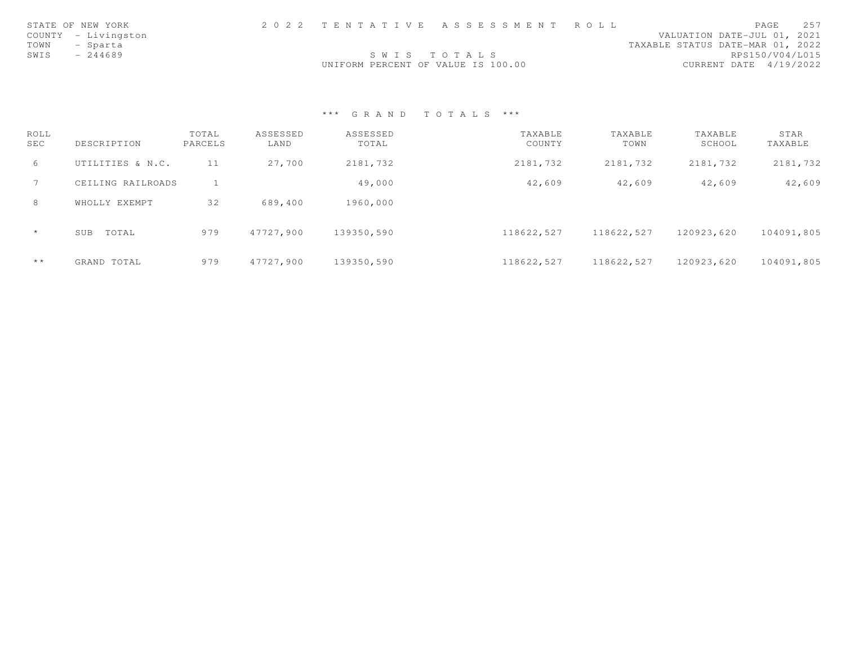|      | STATE OF NEW YORK   |                                    | 2022 TENTATIVE ASSESSMENT ROLL |                                  |                        | PAGE | 257 |
|------|---------------------|------------------------------------|--------------------------------|----------------------------------|------------------------|------|-----|
|      | COUNTY - Livingston |                                    |                                | VALUATION DATE-JUL 01, 2021      |                        |      |     |
| TOWN | - Sparta            |                                    |                                | TAXABLE STATUS DATE-MAR 01, 2022 |                        |      |     |
| SWIS | $-244689$           | SWIS TOTALS                        |                                |                                  | RPS150/V04/L015        |      |     |
|      |                     | UNIFORM PERCENT OF VALUE IS 100.00 |                                |                                  | CURRENT DATE 4/19/2022 |      |     |

| ROLL<br>SEC  | DESCRIPTION       | TOTAL<br>PARCELS | ASSESSED<br>LAND | ASSESSED<br>TOTAL | TAXABLE<br>COUNTY | TAXABLE<br>TOWN | TAXABLE<br>SCHOOL | STAR<br>TAXABLE |
|--------------|-------------------|------------------|------------------|-------------------|-------------------|-----------------|-------------------|-----------------|
| 6            | UTILITIES & N.C.  | 11               | 27,700           | 2181,732          | 2181,732          | 2181,732        | 2181,732          | 2181,732        |
|              | CEILING RAILROADS |                  |                  | 49,000            | 42,609            | 42,609          | 42,609            | 42,609          |
| 8            | WHOLLY EXEMPT     | 32               | 689,400          | 1960,000          |                   |                 |                   |                 |
| $\star$      | TOTAL<br>SUB      | 979              | 47727,900        | 139350,590        | 118622,527        | 118622,527      | 120923,620        | 104091,805      |
| $\star\star$ | GRAND TOTAL       | 979              | 47727.900        | 139350,590        | 118622,527        | 118622,527      | 120923.620        | 104091,805      |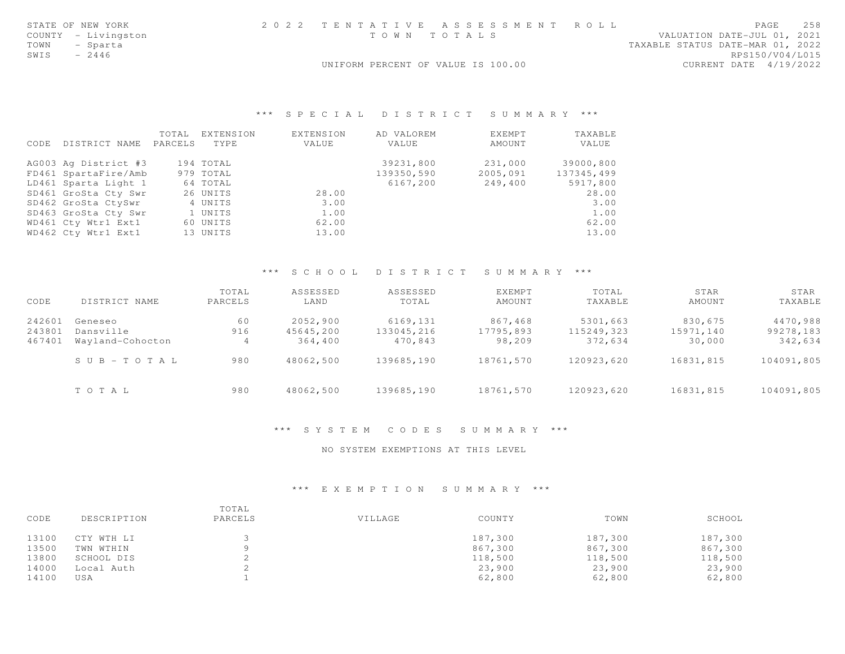| STATE OF NEW YORK   | 2022 TENTATIVE ASSESSMENT ROLL     | 258<br><b>PAGE</b>               |
|---------------------|------------------------------------|----------------------------------|
| COUNTY - Livingston | TOWN TOTALS                        | VALUATION DATE-JUL 01, 2021      |
| TOWN - Sparta       |                                    | TAXABLE STATUS DATE-MAR 01, 2022 |
| SWIS<br>$-2446$     |                                    | RPS150/V04/L015                  |
|                     | UNIFORM PERCENT OF VALUE IS 100.00 | CURRENT DATE 4/19/2022           |
|                     |                                    |                                  |

### \*\*\* S P E C I A L D I S T R I C T S U M M A R Y \*\*\*

|      |                      | TOTAL   | EXTENSION | <b>EXTENSION</b> | AD VALOREM | EXEMPT   | TAXABLE    |
|------|----------------------|---------|-----------|------------------|------------|----------|------------|
| CODE | DISTRICT NAME        | PARCELS | TYPE      | VALUE            | VALUE      | AMOUNT   | VALUE      |
|      | AG003 Ag District #3 |         | 194 TOTAL |                  | 39231,800  | 231,000  | 39000,800  |
|      | FD461 SpartaFire/Amb |         | 979 TOTAL |                  | 139350,590 | 2005,091 | 137345,499 |
|      | LD461 Sparta Light 1 |         | 64 TOTAL  |                  | 6167,200   | 249,400  | 5917,800   |
|      | SD461 GroSta Cty Swr |         | 26 UNITS  | 28.00            |            |          | 28.00      |
|      | SD462 GroSta CtySwr  |         | 4 UNITS   | 3.00             |            |          | 3.00       |
|      | SD463 GroSta Cty Swr |         | 1 UNITS   | 1.00             |            |          | 1.00       |
|      | WD461 Cty Wtr1 Ext1  |         | 60 UNITS  | 62.00            |            |          | 62.00      |
|      | WD462 Cty Wtr1 Ext1  |         | 13 UNITS  | 13.00            |            |          | 13.00      |

### \*\*\* S C H O O L D I S T R I C T S U M M A R Y \*\*\*

| CODE   | DISTRICT NAME             | TOTAL<br>PARCELS | ASSESSED<br>LAND | ASSESSED<br>TOTAL | EXEMPT<br>AMOUNT | TOTAL<br>TAXABLE | STAR<br>AMOUNT | STAR<br>TAXABLE |
|--------|---------------------------|------------------|------------------|-------------------|------------------|------------------|----------------|-----------------|
| 242601 | Geneseo                   | 60               | 2052,900         | 6169,131          | 867,468          | 5301,663         | 830,675        | 4470,988        |
| 243801 | Dansville                 | 916              | 45645,200        | 133045,216        | 17795,893        | 115249,323       | 15971,140      | 99278,183       |
| 467401 | Wayland-Cohocton          | 4                | 364,400          | 470,843           | 98,209           | 372,634          | 30,000         | 342,634         |
|        | $S \cup B - T \cup T A L$ | 980              | 48062,500        | 139685,190        | 18761,570        | 120923,620       | 16831,815      | 104091,805      |
|        | TOTAL                     | 980              | 48062,500        | 139685,190        | 18761,570        | 120923,620       | 16831,815      | 104091,805      |

#### \*\*\* S Y S T E M C O D E S S U M M A R Y \*\*\*

NO SYSTEM EXEMPTIONS AT THIS LEVEL

### \*\*\* E X E M P T I O N S U M M A R Y \*\*\*

| CODE  | DESCRIPTION | TOTAL<br>PARCELS | VILLAGE | COUNTY  | TOWN    | SCHOOL  |
|-------|-------------|------------------|---------|---------|---------|---------|
| 13100 | CTY WTH LI  |                  |         | 187,300 | 187,300 | 187,300 |
| 13500 | TWN WTHIN   |                  |         | 867,300 | 867,300 | 867,300 |
| 13800 | SCHOOL DIS  |                  |         | 118,500 | 118,500 | 118,500 |
| 14000 | Local Auth  |                  |         | 23,900  | 23,900  | 23,900  |
| 14100 | USA         |                  |         | 62,800  | 62,800  | 62,800  |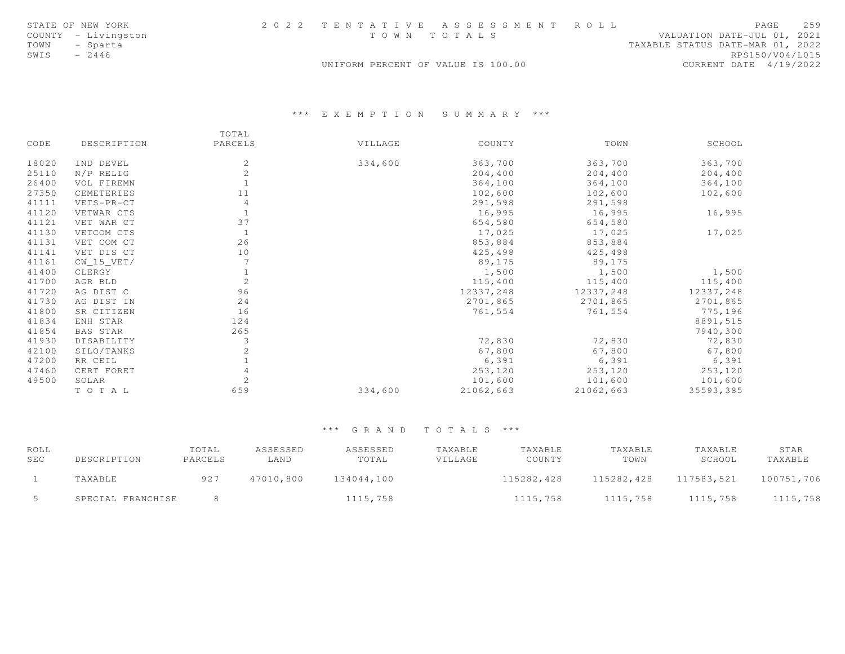|      | STATE OF NEW YORK   |                                    | 2022 TENTATIVE ASSESSMENT ROLL |                                  |                        | PAGE | 2.59 |
|------|---------------------|------------------------------------|--------------------------------|----------------------------------|------------------------|------|------|
|      | COUNTY - Livingston |                                    | TOWN TOTALS                    | VALUATION DATE-JUL 01, 2021      |                        |      |      |
| TOWN | - Sparta            |                                    |                                | TAXABLE STATUS DATE-MAR 01, 2022 |                        |      |      |
| SWIS | $-2446$             |                                    |                                |                                  | RPS150/V04/L015        |      |      |
|      |                     | UNIFORM PERCENT OF VALUE IS 100.00 |                                |                                  | CURRENT DATE 4/19/2022 |      |      |

## \*\*\* E X E M P T I O N S U M M A R Y \*\*\*

|       |                 | TOTAL   |         |           |           |           |
|-------|-----------------|---------|---------|-----------|-----------|-----------|
| CODE  | DESCRIPTION     | PARCELS | VILLAGE | COUNTY    | TOWN      | SCHOOL    |
| 18020 | IND DEVEL       | 2       | 334,600 | 363,700   | 363,700   | 363,700   |
| 25110 | N/P RELIG       | 2       |         | 204,400   | 204,400   | 204,400   |
| 26400 | VOL FIREMN      |         |         | 364,100   | 364,100   | 364,100   |
| 27350 | CEMETERIES      | 11      |         | 102,600   | 102,600   | 102,600   |
| 41111 | VETS-PR-CT      | 4       |         | 291,598   | 291,598   |           |
| 41120 | VETWAR CTS      |         |         | 16,995    | 16,995    | 16,995    |
| 41121 | VET WAR CT      | 37      |         | 654,580   | 654,580   |           |
| 41130 | VETCOM CTS      |         |         | 17,025    | 17,025    | 17,025    |
| 41131 | VET COM CT      | 26      |         | 853,884   | 853,884   |           |
| 41141 | VET DIS CT      | 10      |         | 425,498   | 425,498   |           |
| 41161 | $CW_15_VET/$    |         |         | 89,175    | 89,175    |           |
| 41400 | CLERGY          |         |         | 1,500     | 1,500     | 1,500     |
| 41700 | AGR BLD         | 2       |         | 115,400   | 115,400   | 115,400   |
| 41720 | AG DIST C       | 96      |         | 12337,248 | 12337,248 | 12337,248 |
| 41730 | AG DIST IN      | 24      |         | 2701,865  | 2701,865  | 2701,865  |
| 41800 | SR CITIZEN      | 16      |         | 761,554   | 761,554   | 775,196   |
| 41834 | ENH STAR        | 124     |         |           |           | 8891,515  |
| 41854 | <b>BAS STAR</b> | 265     |         |           |           | 7940,300  |
| 41930 | DISABILITY      | 3       |         | 72,830    | 72,830    | 72,830    |
| 42100 | SILO/TANKS      |         |         | 67,800    | 67,800    | 67,800    |
| 47200 | RR CEIL         |         |         | 6,391     | 6,391     | 6,391     |
| 47460 | CERT FORET      |         |         | 253,120   | 253,120   | 253,120   |
| 49500 | SOLAR           | 2       |         | 101,600   | 101,600   | 101,600   |
|       | TO TAL          | 659     | 334,600 | 21062,663 | 21062,663 | 35593,385 |

| ROLL<br><b>SEC</b> | DESCRIPTION       | TOTAL<br>PARCELS | ASSESSED<br>LAND | ASSESSED<br>TOTAL | TAXABLE<br>VILLAGE | TAXABLE<br>COUNTY | TAXABLE<br>TOWN | TAXABLE<br>SCHOOL | STAR<br>TAXABLE |
|--------------------|-------------------|------------------|------------------|-------------------|--------------------|-------------------|-----------------|-------------------|-----------------|
|                    | TAXABLE           | 927              | 47010,800        | 134044,100        |                    | 115282,428        | 115282,428      | 117583,521        | 100751,706      |
|                    | SPECIAL FRANCHISE |                  |                  | 1115,758          |                    | 1115,758          | 1115,758        | 1115,758          | 1115,758        |